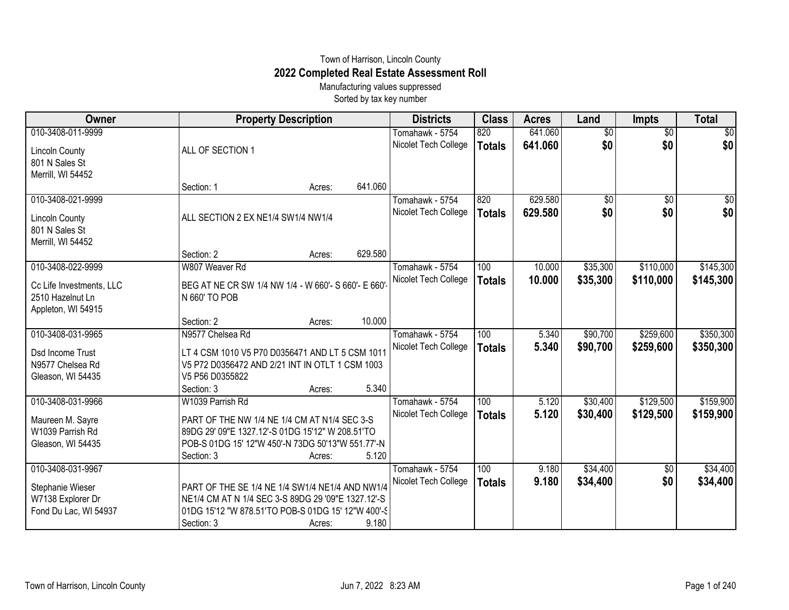## Town of Harrison, Lincoln County **2022 Completed Real Estate Assessment Roll**

Manufacturing values suppressed Sorted by tax key number

| Owner                    | <b>Property Description</b>                         |        |         | <b>Districts</b>     | <b>Class</b>  | <b>Acres</b> | Land            | <b>Impts</b>    | <b>Total</b>    |
|--------------------------|-----------------------------------------------------|--------|---------|----------------------|---------------|--------------|-----------------|-----------------|-----------------|
| 010-3408-011-9999        |                                                     |        |         | Tomahawk - 5754      | 820           | 641.060      | $\overline{60}$ | $\overline{50}$ | $\overline{50}$ |
| <b>Lincoln County</b>    | ALL OF SECTION 1                                    |        |         | Nicolet Tech College | <b>Totals</b> | 641.060      | \$0             | \$0             | \$0             |
| 801 N Sales St           |                                                     |        |         |                      |               |              |                 |                 |                 |
| Merrill, WI 54452        |                                                     |        |         |                      |               |              |                 |                 |                 |
|                          | Section: 1                                          | Acres: | 641.060 |                      |               |              |                 |                 |                 |
| 010-3408-021-9999        |                                                     |        |         | Tomahawk - 5754      | 820           | 629.580      | $\overline{50}$ | $\overline{$0}$ | \$0             |
| <b>Lincoln County</b>    | ALL SECTION 2 EX NE1/4 SW1/4 NW1/4                  |        |         | Nicolet Tech College | <b>Totals</b> | 629.580      | \$0             | \$0             | \$0             |
| 801 N Sales St           |                                                     |        |         |                      |               |              |                 |                 |                 |
| Merrill, WI 54452        |                                                     |        |         |                      |               |              |                 |                 |                 |
|                          | Section: 2                                          | Acres: | 629.580 |                      |               |              |                 |                 |                 |
| 010-3408-022-9999        | W807 Weaver Rd                                      |        |         | Tomahawk - 5754      | 100           | 10.000       | \$35,300        | \$110,000       | \$145,300       |
| Cc Life Investments, LLC | BEG AT NE CR SW 1/4 NW 1/4 - W 660'- S 660'- E 660' |        |         | Nicolet Tech College | <b>Totals</b> | 10.000       | \$35,300        | \$110,000       | \$145,300       |
| 2510 Hazelnut Ln         | N 660' TO POB                                       |        |         |                      |               |              |                 |                 |                 |
| Appleton, WI 54915       |                                                     |        |         |                      |               |              |                 |                 |                 |
|                          | Section: 2                                          | Acres: | 10.000  |                      |               |              |                 |                 |                 |
| 010-3408-031-9965        | N9577 Chelsea Rd                                    |        |         | Tomahawk - 5754      | 100           | 5.340        | \$90,700        | \$259,600       | \$350,300       |
| Dsd Income Trust         | LT 4 CSM 1010 V5 P70 D0356471 AND LT 5 CSM 1011     |        |         | Nicolet Tech College | <b>Totals</b> | 5.340        | \$90,700        | \$259,600       | \$350,300       |
| N9577 Chelsea Rd         | V5 P72 D0356472 AND 2/21 INT IN OTLT 1 CSM 1003     |        |         |                      |               |              |                 |                 |                 |
| Gleason, WI 54435        | V5 P56 D0355822                                     |        |         |                      |               |              |                 |                 |                 |
|                          | Section: 3                                          | Acres: | 5.340   |                      |               |              |                 |                 |                 |
| 010-3408-031-9966        | W1039 Parrish Rd                                    |        |         | Tomahawk - 5754      | 100           | 5.120        | \$30,400        | \$129,500       | \$159,900       |
| Maureen M. Sayre         | PART OF THE NW 1/4 NE 1/4 CM AT N1/4 SEC 3-S        |        |         | Nicolet Tech College | <b>Totals</b> | 5.120        | \$30,400        | \$129,500       | \$159,900       |
| W1039 Parrish Rd         | 89DG 29' 09"E 1327.12'-S 01DG 15'12" W 208.51'TO    |        |         |                      |               |              |                 |                 |                 |
| Gleason, WI 54435        | POB-S 01DG 15' 12"W 450'-N 73DG 50'13"W 551.77'-N   |        |         |                      |               |              |                 |                 |                 |
|                          | Section: 3                                          | Acres: | 5.120   |                      |               |              |                 |                 |                 |
| 010-3408-031-9967        |                                                     |        |         | Tomahawk - 5754      | 100           | 9.180        | \$34,400        | $\overline{60}$ | \$34,400        |
| Stephanie Wieser         | PART OF THE SE 1/4 NE 1/4 SW1/4 NE1/4 AND NW1/4     |        |         | Nicolet Tech College | <b>Totals</b> | 9.180        | \$34,400        | \$0             | \$34,400        |
| W7138 Explorer Dr        | NE1/4 CM AT N 1/4 SEC 3-S 89DG 29 '09"E 1327.12'-S  |        |         |                      |               |              |                 |                 |                 |
| Fond Du Lac, WI 54937    | 01DG 15'12 "W 878.51'TO POB-S 01DG 15' 12"W 400'-S  |        |         |                      |               |              |                 |                 |                 |
|                          | Section: 3                                          | Acres: | 9.180   |                      |               |              |                 |                 |                 |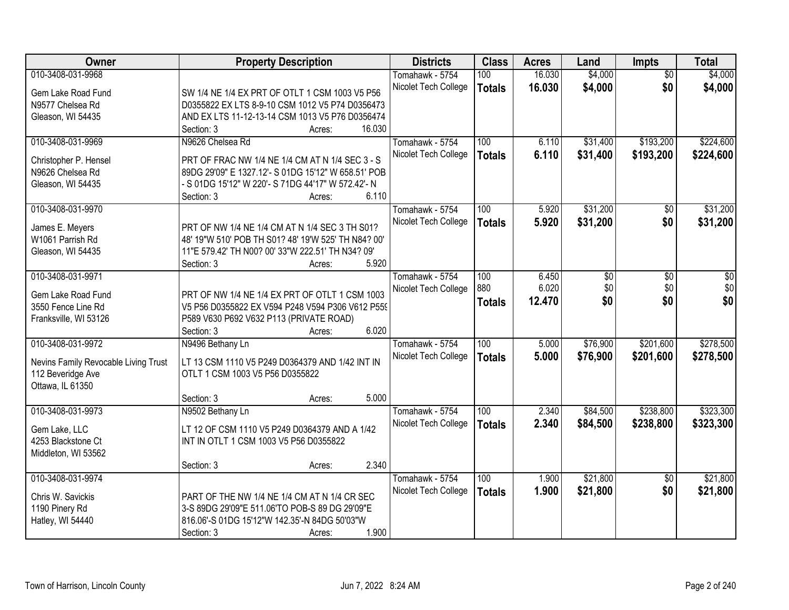| <b>Owner</b>                         | <b>Property Description</b>                                 | <b>Districts</b>     | <b>Class</b>  | <b>Acres</b> | Land     | Impts           | <b>Total</b> |
|--------------------------------------|-------------------------------------------------------------|----------------------|---------------|--------------|----------|-----------------|--------------|
| 010-3408-031-9968                    |                                                             | Tomahawk - 5754      | 100           | 16.030       | \$4,000  | $\overline{50}$ | \$4,000      |
| Gem Lake Road Fund                   | SW 1/4 NE 1/4 EX PRT OF OTLT 1 CSM 1003 V5 P56              | Nicolet Tech College | <b>Totals</b> | 16.030       | \$4,000  | \$0             | \$4,000      |
| N9577 Chelsea Rd                     | D0355822 EX LTS 8-9-10 CSM 1012 V5 P74 D0356473             |                      |               |              |          |                 |              |
| Gleason, WI 54435                    | AND EX LTS 11-12-13-14 CSM 1013 V5 P76 D0356474             |                      |               |              |          |                 |              |
|                                      | 16.030<br>Section: 3<br>Acres:                              |                      |               |              |          |                 |              |
| 010-3408-031-9969                    | N9626 Chelsea Rd                                            | Tomahawk - 5754      | 100           | 6.110        | \$31,400 | \$193,200       | \$224,600    |
|                                      |                                                             | Nicolet Tech College | <b>Totals</b> | 6.110        | \$31,400 | \$193,200       | \$224,600    |
| Christopher P. Hensel                | PRT OF FRAC NW 1/4 NE 1/4 CM AT N 1/4 SEC 3 - S             |                      |               |              |          |                 |              |
| N9626 Chelsea Rd                     | 89DG 29'09" E 1327.12'- S 01DG 15'12" W 658.51' POB         |                      |               |              |          |                 |              |
| Gleason, WI 54435                    | - S 01DG 15'12" W 220'- S 71DG 44'17" W 572.42'- N<br>6.110 |                      |               |              |          |                 |              |
| 010-3408-031-9970                    | Section: 3<br>Acres:                                        | Tomahawk - 5754      | 100           | 5.920        | \$31,200 | $\overline{50}$ | \$31,200     |
|                                      |                                                             |                      |               |              |          |                 |              |
| James E. Meyers                      | PRT OF NW 1/4 NE 1/4 CM AT N 1/4 SEC 3 TH S01?              | Nicolet Tech College | <b>Totals</b> | 5.920        | \$31,200 | \$0             | \$31,200     |
| W1061 Parrish Rd                     | 48' 19"W 510' POB TH S01? 48' 19'W 525' TH N84? 00'         |                      |               |              |          |                 |              |
| Gleason, WI 54435                    | 11"E 579.42' TH N00? 00' 33"W 222.51' TH N34? 09'           |                      |               |              |          |                 |              |
|                                      | 5.920<br>Section: 3<br>Acres:                               |                      |               |              |          |                 |              |
| 010-3408-031-9971                    |                                                             | Tomahawk - 5754      | 100           | 6.450        | \$0      | \$0             | \$0          |
| Gem Lake Road Fund                   | PRT OF NW 1/4 NE 1/4 EX PRT OF OTLT 1 CSM 1003              | Nicolet Tech College | 880           | 6.020        | \$0      | \$0             | \$0          |
| 3550 Fence Line Rd                   | V5 P56 D0355822 EX V594 P248 V594 P306 V612 P559            |                      | <b>Totals</b> | 12.470       | \$0      | \$0             | \$0          |
| Franksville, WI 53126                | P589 V630 P692 V632 P113 (PRIVATE ROAD)                     |                      |               |              |          |                 |              |
|                                      | 6.020<br>Section: 3<br>Acres:                               |                      |               |              |          |                 |              |
| 010-3408-031-9972                    | N9496 Bethany Ln                                            | Tomahawk - 5754      | 100           | 5.000        | \$76,900 | \$201,600       | \$278,500    |
|                                      |                                                             | Nicolet Tech College |               | 5.000        | \$76,900 | \$201,600       |              |
| Nevins Family Revocable Living Trust | LT 13 CSM 1110 V5 P249 D0364379 AND 1/42 INT IN             |                      | <b>Totals</b> |              |          |                 | \$278,500    |
| 112 Beveridge Ave                    | OTLT 1 CSM 1003 V5 P56 D0355822                             |                      |               |              |          |                 |              |
| Ottawa, IL 61350                     |                                                             |                      |               |              |          |                 |              |
|                                      | 5.000<br>Section: 3<br>Acres:                               |                      |               |              |          |                 |              |
| 010-3408-031-9973                    | N9502 Bethany Ln                                            | Tomahawk - 5754      | 100           | 2.340        | \$84,500 | \$238,800       | \$323,300    |
| Gem Lake, LLC                        | LT 12 OF CSM 1110 V5 P249 D0364379 AND A 1/42               | Nicolet Tech College | <b>Totals</b> | 2.340        | \$84,500 | \$238,800       | \$323,300    |
| 4253 Blackstone Ct                   | INT IN OTLT 1 CSM 1003 V5 P56 D0355822                      |                      |               |              |          |                 |              |
| Middleton, WI 53562                  |                                                             |                      |               |              |          |                 |              |
|                                      | 2.340<br>Section: 3<br>Acres:                               |                      |               |              |          |                 |              |
| 010-3408-031-9974                    |                                                             | Tomahawk - 5754      | 100           | 1.900        | \$21,800 | $\overline{30}$ | \$21,800     |
|                                      |                                                             | Nicolet Tech College | <b>Totals</b> | 1.900        | \$21,800 | \$0             | \$21,800     |
| Chris W. Savickis                    | PART OF THE NW 1/4 NE 1/4 CM AT N 1/4 CR SEC                |                      |               |              |          |                 |              |
| 1190 Pinery Rd                       | 3-S 89DG 29'09"E 511.06'TO POB-S 89 DG 29'09"E              |                      |               |              |          |                 |              |
| Hatley, WI 54440                     | 816.06'-S 01DG 15'12"W 142.35'-N 84DG 50'03"W               |                      |               |              |          |                 |              |
|                                      | 1.900<br>Section: 3<br>Acres:                               |                      |               |              |          |                 |              |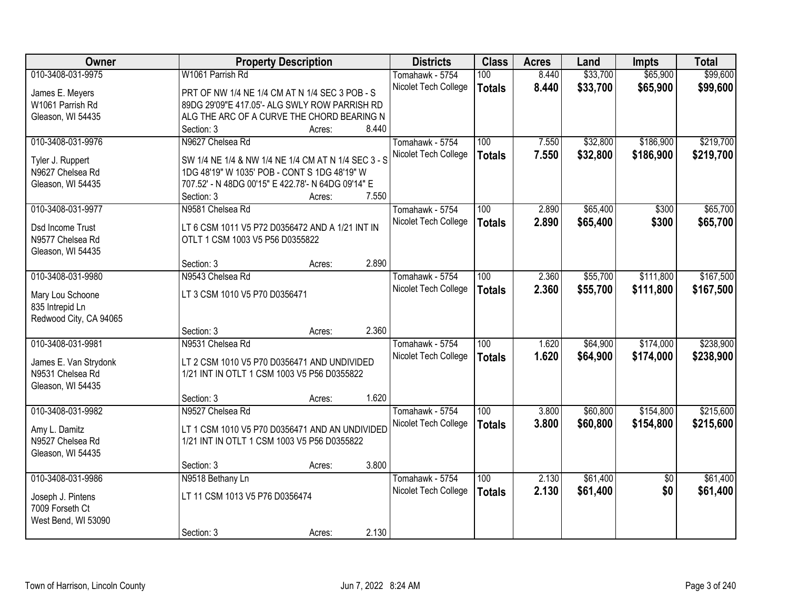| Owner                  |                                                     | <b>Property Description</b> |       | <b>Districts</b>     | <b>Class</b>     | <b>Acres</b> | Land     | <b>Impts</b>    | <b>Total</b> |
|------------------------|-----------------------------------------------------|-----------------------------|-------|----------------------|------------------|--------------|----------|-----------------|--------------|
| 010-3408-031-9975      | W1061 Parrish Rd                                    |                             |       | Tomahawk - 5754      | 100              | 8.440        | \$33,700 | \$65,900        | \$99,600     |
| James E. Meyers        | PRT OF NW 1/4 NE 1/4 CM AT N 1/4 SEC 3 POB - S      |                             |       | Nicolet Tech College | <b>Totals</b>    | 8.440        | \$33,700 | \$65,900        | \$99,600     |
| W1061 Parrish Rd       | 89DG 29'09"E 417.05'- ALG SWLY ROW PARRISH RD       |                             |       |                      |                  |              |          |                 |              |
| Gleason, WI 54435      | ALG THE ARC OF A CURVE THE CHORD BEARING N          |                             |       |                      |                  |              |          |                 |              |
|                        | Section: 3                                          | Acres:                      | 8.440 |                      |                  |              |          |                 |              |
| 010-3408-031-9976      | N9627 Chelsea Rd                                    |                             |       | Tomahawk - 5754      | 100              | 7.550        | \$32,800 | \$186,900       | \$219,700    |
|                        |                                                     |                             |       | Nicolet Tech College | <b>Totals</b>    | 7.550        | \$32,800 | \$186,900       | \$219,700    |
| Tyler J. Ruppert       | SW 1/4 NE 1/4 & NW 1/4 NE 1/4 CM AT N 1/4 SEC 3 - S |                             |       |                      |                  |              |          |                 |              |
| N9627 Chelsea Rd       | 1DG 48'19" W 1035' POB - CONT S 1DG 48'19" W        |                             |       |                      |                  |              |          |                 |              |
| Gleason, WI 54435      | 707.52' - N 48DG 00'15" E 422.78'- N 64DG 09'14" E  |                             |       |                      |                  |              |          |                 |              |
|                        | Section: 3                                          | Acres:                      | 7.550 |                      |                  |              |          |                 |              |
| 010-3408-031-9977      | N9581 Chelsea Rd                                    |                             |       | Tomahawk - 5754      | 100              | 2.890        | \$65,400 | \$300           | \$65,700     |
| Dsd Income Trust       | LT 6 CSM 1011 V5 P72 D0356472 AND A 1/21 INT IN     |                             |       | Nicolet Tech College | <b>Totals</b>    | 2.890        | \$65,400 | \$300           | \$65,700     |
| N9577 Chelsea Rd       | OTLT 1 CSM 1003 V5 P56 D0355822                     |                             |       |                      |                  |              |          |                 |              |
| Gleason, WI 54435      |                                                     |                             |       |                      |                  |              |          |                 |              |
|                        | Section: 3                                          | Acres:                      | 2.890 |                      |                  |              |          |                 |              |
| 010-3408-031-9980      | N9543 Chelsea Rd                                    |                             |       | Tomahawk - 5754      | 100              | 2.360        | \$55,700 | \$111,800       | \$167,500    |
|                        |                                                     |                             |       | Nicolet Tech College | <b>Totals</b>    | 2.360        | \$55,700 | \$111,800       | \$167,500    |
| Mary Lou Schoone       | LT 3 CSM 1010 V5 P70 D0356471                       |                             |       |                      |                  |              |          |                 |              |
| 835 Intrepid Ln        |                                                     |                             |       |                      |                  |              |          |                 |              |
| Redwood City, CA 94065 |                                                     |                             |       |                      |                  |              |          |                 |              |
|                        | Section: 3                                          | Acres:                      | 2.360 |                      |                  |              |          |                 |              |
| 010-3408-031-9981      | N9531 Chelsea Rd                                    |                             |       | Tomahawk - 5754      | $\overline{100}$ | 1.620        | \$64,900 | \$174,000       | \$238,900    |
| James E. Van Strydonk  | LT 2 CSM 1010 V5 P70 D0356471 AND UNDIVIDED         |                             |       | Nicolet Tech College | <b>Totals</b>    | 1.620        | \$64,900 | \$174,000       | \$238,900    |
| N9531 Chelsea Rd       | 1/21 INT IN OTLT 1 CSM 1003 V5 P56 D0355822         |                             |       |                      |                  |              |          |                 |              |
| Gleason, WI 54435      |                                                     |                             |       |                      |                  |              |          |                 |              |
|                        | Section: 3                                          | Acres:                      | 1.620 |                      |                  |              |          |                 |              |
| 010-3408-031-9982      | N9527 Chelsea Rd                                    |                             |       | Tomahawk - 5754      | 100              | 3.800        | \$60,800 | \$154,800       | \$215,600    |
|                        |                                                     |                             |       | Nicolet Tech College | <b>Totals</b>    | 3.800        | \$60,800 | \$154,800       | \$215,600    |
| Amy L. Damitz          | LT 1 CSM 1010 V5 P70 D0356471 AND AN UNDIVIDED      |                             |       |                      |                  |              |          |                 |              |
| N9527 Chelsea Rd       | 1/21 INT IN OTLT 1 CSM 1003 V5 P56 D0355822         |                             |       |                      |                  |              |          |                 |              |
| Gleason, WI 54435      |                                                     |                             |       |                      |                  |              |          |                 |              |
|                        | Section: 3                                          | Acres:                      | 3.800 |                      |                  |              |          |                 |              |
| 010-3408-031-9986      | N9518 Bethany Ln                                    |                             |       | Tomahawk - 5754      | 100              | 2.130        | \$61,400 | $\overline{50}$ | \$61,400     |
| Joseph J. Pintens      | LT 11 CSM 1013 V5 P76 D0356474                      |                             |       | Nicolet Tech College | <b>Totals</b>    | 2.130        | \$61,400 | \$0             | \$61,400     |
| 7009 Forseth Ct        |                                                     |                             |       |                      |                  |              |          |                 |              |
| West Bend, WI 53090    |                                                     |                             |       |                      |                  |              |          |                 |              |
|                        | Section: 3                                          | Acres:                      | 2.130 |                      |                  |              |          |                 |              |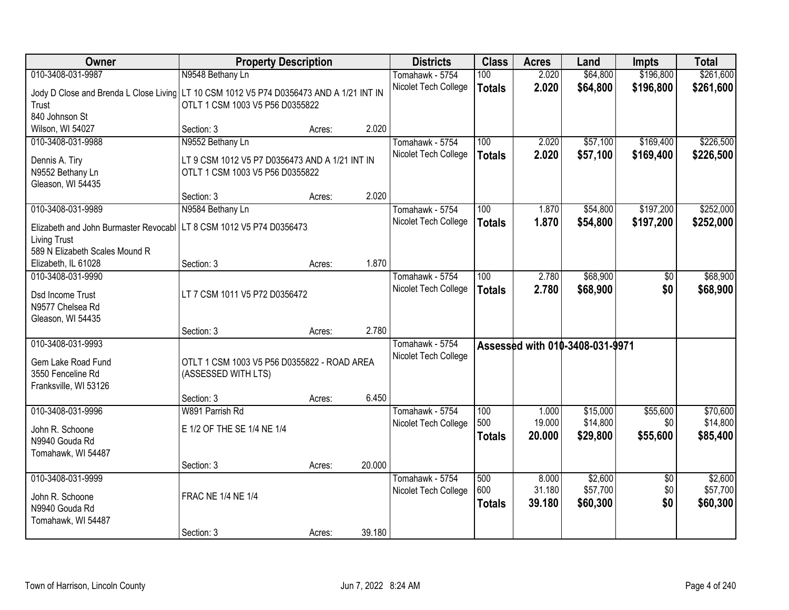| Owner                                                                 | <b>Property Description</b>                                        |        |        | <b>Districts</b>     | <b>Class</b>  | <b>Acres</b> | Land                            | <b>Impts</b>    | <b>Total</b> |
|-----------------------------------------------------------------------|--------------------------------------------------------------------|--------|--------|----------------------|---------------|--------------|---------------------------------|-----------------|--------------|
| 010-3408-031-9987                                                     | N9548 Bethany Ln                                                   |        |        | Tomahawk - 5754      | 100           | 2.020        | \$64,800                        | \$196,800       | \$261,600    |
| Jody D Close and Brenda L Close Living                                | LT 10 CSM 1012 V5 P74 D0356473 AND A 1/21 INT IN                   |        |        | Nicolet Tech College | <b>Totals</b> | 2.020        | \$64,800                        | \$196,800       | \$261,600    |
| Trust                                                                 | OTLT 1 CSM 1003 V5 P56 D0355822                                    |        |        |                      |               |              |                                 |                 |              |
| 840 Johnson St                                                        |                                                                    |        |        |                      |               |              |                                 |                 |              |
| Wilson, WI 54027                                                      | Section: 3                                                         | Acres: | 2.020  |                      |               |              |                                 |                 |              |
| 010-3408-031-9988                                                     | N9552 Bethany Ln                                                   |        |        | Tomahawk - 5754      | 100           | 2.020        | \$57,100                        | \$169,400       | \$226,500    |
| Dennis A. Tiry                                                        | LT 9 CSM 1012 V5 P7 D0356473 AND A 1/21 INT IN                     |        |        | Nicolet Tech College | <b>Totals</b> | 2.020        | \$57,100                        | \$169,400       | \$226,500    |
| N9552 Bethany Ln                                                      | OTLT 1 CSM 1003 V5 P56 D0355822                                    |        |        |                      |               |              |                                 |                 |              |
| Gleason, WI 54435                                                     |                                                                    |        |        |                      |               |              |                                 |                 |              |
|                                                                       | Section: 3                                                         | Acres: | 2.020  |                      |               |              |                                 |                 |              |
| 010-3408-031-9989                                                     | N9584 Bethany Ln                                                   |        |        | Tomahawk - 5754      | 100           | 1.870        | \$54,800                        | \$197,200       | \$252,000    |
| Elizabeth and John Burmaster Revocabl   LT 8 CSM 1012 V5 P74 D0356473 |                                                                    |        |        | Nicolet Tech College | <b>Totals</b> | 1.870        | \$54,800                        | \$197,200       | \$252,000    |
| Living Trust                                                          |                                                                    |        |        |                      |               |              |                                 |                 |              |
| 589 N Elizabeth Scales Mound R                                        |                                                                    |        |        |                      |               |              |                                 |                 |              |
| Elizabeth, IL 61028                                                   | Section: 3                                                         | Acres: | 1.870  |                      |               |              |                                 |                 |              |
| 010-3408-031-9990                                                     |                                                                    |        |        | Tomahawk - 5754      | 100           | 2.780        | \$68,900                        | \$0             | \$68,900     |
| Dsd Income Trust                                                      | LT 7 CSM 1011 V5 P72 D0356472                                      |        |        | Nicolet Tech College | <b>Totals</b> | 2.780        | \$68,900                        | \$0             | \$68,900     |
| N9577 Chelsea Rd                                                      |                                                                    |        |        |                      |               |              |                                 |                 |              |
| Gleason, WI 54435                                                     |                                                                    |        |        |                      |               |              |                                 |                 |              |
|                                                                       | Section: 3                                                         | Acres: | 2.780  |                      |               |              |                                 |                 |              |
| 010-3408-031-9993                                                     |                                                                    |        |        | Tomahawk - 5754      |               |              | Assessed with 010-3408-031-9971 |                 |              |
|                                                                       |                                                                    |        |        | Nicolet Tech College |               |              |                                 |                 |              |
| Gem Lake Road Fund<br>3550 Fenceline Rd                               | OTLT 1 CSM 1003 V5 P56 D0355822 - ROAD AREA<br>(ASSESSED WITH LTS) |        |        |                      |               |              |                                 |                 |              |
| Franksville, WI 53126                                                 |                                                                    |        |        |                      |               |              |                                 |                 |              |
|                                                                       | Section: 3                                                         | Acres: | 6.450  |                      |               |              |                                 |                 |              |
| 010-3408-031-9996                                                     | W891 Parrish Rd                                                    |        |        | Tomahawk - 5754      | 100           | 1.000        | \$15,000                        | \$55,600        | \$70,600     |
|                                                                       | E 1/2 OF THE SE 1/4 NE 1/4                                         |        |        | Nicolet Tech College | 500           | 19.000       | \$14,800                        | \$0             | \$14,800     |
| John R. Schoone<br>N9940 Gouda Rd                                     |                                                                    |        |        |                      | <b>Totals</b> | 20.000       | \$29,800                        | \$55,600        | \$85,400     |
| Tomahawk, WI 54487                                                    |                                                                    |        |        |                      |               |              |                                 |                 |              |
|                                                                       | Section: 3                                                         | Acres: | 20.000 |                      |               |              |                                 |                 |              |
| 010-3408-031-9999                                                     |                                                                    |        |        | Tomahawk - 5754      | 500           | 8.000        | \$2,600                         | $\overline{50}$ | \$2,600      |
|                                                                       | <b>FRAC NE 1/4 NE 1/4</b>                                          |        |        | Nicolet Tech College | 600           | 31.180       | \$57,700                        | \$0             | \$57,700     |
| John R. Schoone<br>N9940 Gouda Rd                                     |                                                                    |        |        |                      | <b>Totals</b> | 39.180       | \$60,300                        | \$0             | \$60,300     |
| Tomahawk, WI 54487                                                    |                                                                    |        |        |                      |               |              |                                 |                 |              |
|                                                                       | Section: 3                                                         | Acres: | 39.180 |                      |               |              |                                 |                 |              |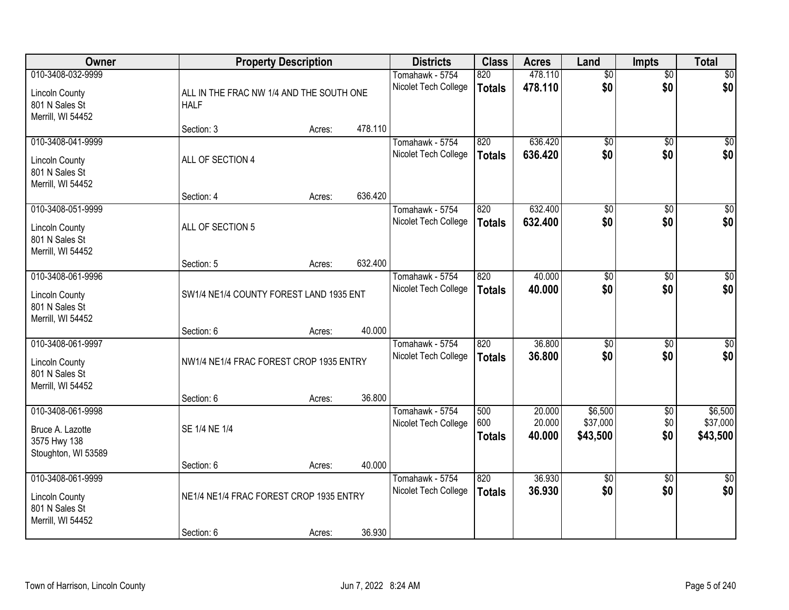| Owner                                                        | <b>Property Description</b>              |        |         | <b>Districts</b>                        | <b>Class</b>         | <b>Acres</b>       | Land                   | <b>Impts</b>           | <b>Total</b> |
|--------------------------------------------------------------|------------------------------------------|--------|---------|-----------------------------------------|----------------------|--------------------|------------------------|------------------------|--------------|
| 010-3408-032-9999<br><b>Lincoln County</b>                   | ALL IN THE FRAC NW 1/4 AND THE SOUTH ONE |        |         | Tomahawk - 5754<br>Nicolet Tech College | 820<br><b>Totals</b> | 478.110<br>478.110 | $\overline{50}$<br>\$0 | $\overline{50}$<br>\$0 | \$0<br>\$0   |
| 801 N Sales St<br>Merrill, WI 54452                          | <b>HALF</b>                              |        |         |                                         |                      |                    |                        |                        |              |
|                                                              | Section: 3                               | Acres: | 478.110 |                                         |                      |                    |                        |                        |              |
| 010-3408-041-9999                                            |                                          |        |         | Tomahawk - 5754                         | 820                  | 636.420            | \$0                    | $\overline{50}$        | \$0          |
| <b>Lincoln County</b><br>801 N Sales St<br>Merrill, WI 54452 | ALL OF SECTION 4                         |        |         | Nicolet Tech College                    | <b>Totals</b>        | 636.420            | \$0                    | \$0                    | \$0          |
|                                                              | Section: 4                               | Acres: | 636.420 |                                         |                      |                    |                        |                        |              |
| 010-3408-051-9999                                            |                                          |        |         | Tomahawk - 5754                         | 820                  | 632.400            | $\overline{50}$        | \$0                    | $\sqrt{50}$  |
| <b>Lincoln County</b><br>801 N Sales St<br>Merrill, WI 54452 | ALL OF SECTION 5                         |        |         | Nicolet Tech College                    | Totals               | 632.400            | \$0                    | \$0                    | \$0          |
|                                                              | Section: 5                               | Acres: | 632.400 |                                         |                      |                    |                        |                        |              |
| 010-3408-061-9996                                            |                                          |        |         | Tomahawk - 5754                         | 820                  | 40.000             | $\overline{50}$        | $\overline{50}$        | $\sqrt{50}$  |
| <b>Lincoln County</b><br>801 N Sales St<br>Merrill, WI 54452 | SW1/4 NE1/4 COUNTY FOREST LAND 1935 ENT  |        |         | Nicolet Tech College                    | <b>Totals</b>        | 40.000             | \$0                    | \$0                    | \$0          |
|                                                              | Section: 6                               | Acres: | 40.000  |                                         |                      |                    |                        |                        |              |
| 010-3408-061-9997                                            |                                          |        |         | Tomahawk - 5754                         | 820                  | 36.800             | $\overline{50}$        | \$0                    | $\sqrt{50}$  |
|                                                              | NW1/4 NE1/4 FRAC FOREST CROP 1935 ENTRY  |        |         | Nicolet Tech College                    | <b>Totals</b>        | 36.800             | \$0                    | \$0                    | \$0          |
| <b>Lincoln County</b><br>801 N Sales St<br>Merrill, WI 54452 |                                          |        |         |                                         |                      |                    |                        |                        |              |
|                                                              | Section: 6                               | Acres: | 36.800  |                                         |                      |                    |                        |                        |              |
| 010-3408-061-9998                                            |                                          |        |         | Tomahawk - 5754                         | 500                  | 20.000             | \$6,500                | $\sqrt{$0}$            | \$6,500      |
| Bruce A. Lazotte                                             | SE 1/4 NE 1/4                            |        |         | Nicolet Tech College                    | 600                  | 20.000             | \$37,000               | \$0                    | \$37,000     |
| 3575 Hwy 138                                                 |                                          |        |         |                                         | <b>Totals</b>        | 40.000             | \$43,500               | \$0                    | \$43,500     |
| Stoughton, WI 53589                                          |                                          |        |         |                                         |                      |                    |                        |                        |              |
|                                                              | Section: 6                               | Acres: | 40.000  |                                         |                      |                    |                        |                        |              |
| 010-3408-061-9999                                            |                                          |        |         | Tomahawk - 5754                         | $\overline{820}$     | 36.930             | $\overline{50}$        | $\overline{50}$        | $\sqrt{50}$  |
| <b>Lincoln County</b><br>801 N Sales St<br>Merrill, WI 54452 | NE1/4 NE1/4 FRAC FOREST CROP 1935 ENTRY  |        |         | Nicolet Tech College                    | <b>Totals</b>        | 36.930             | \$0                    | \$0                    | \$0          |
|                                                              | Section: 6                               | Acres: | 36.930  |                                         |                      |                    |                        |                        |              |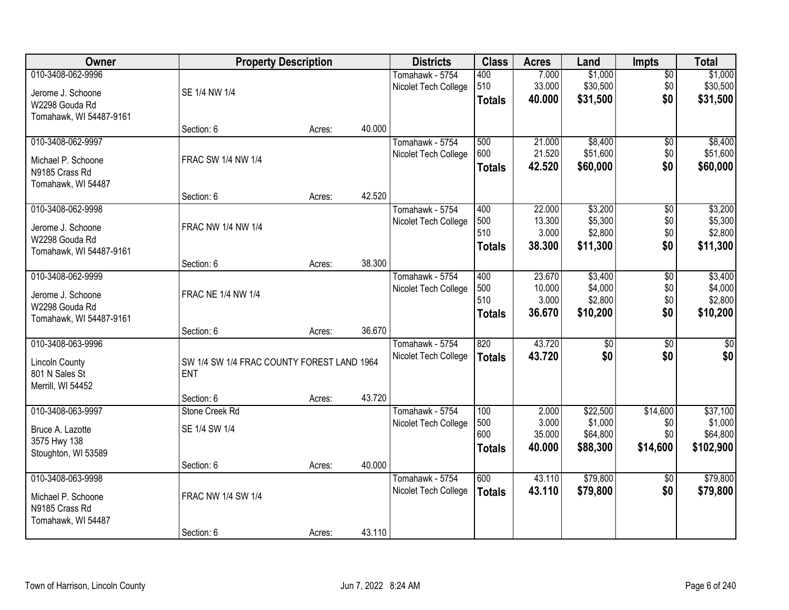| Owner                   | <b>Property Description</b>                |        |        | <b>Districts</b>     | <b>Class</b>  | <b>Acres</b> | Land     | <b>Impts</b>    | <b>Total</b> |
|-------------------------|--------------------------------------------|--------|--------|----------------------|---------------|--------------|----------|-----------------|--------------|
| 010-3408-062-9996       |                                            |        |        | Tomahawk - 5754      | 400           | 7.000        | \$1,000  | \$0             | \$1,000      |
| Jerome J. Schoone       | SE 1/4 NW 1/4                              |        |        | Nicolet Tech College | 510           | 33.000       | \$30,500 | \$0             | \$30,500     |
| W2298 Gouda Rd          |                                            |        |        |                      | <b>Totals</b> | 40.000       | \$31,500 | \$0             | \$31,500     |
| Tomahawk, WI 54487-9161 |                                            |        |        |                      |               |              |          |                 |              |
|                         | Section: 6                                 | Acres: | 40.000 |                      |               |              |          |                 |              |
| 010-3408-062-9997       |                                            |        |        | Tomahawk - 5754      | 500           | 21.000       | \$8,400  | \$0             | \$8,400      |
| Michael P. Schoone      | FRAC SW 1/4 NW 1/4                         |        |        | Nicolet Tech College | 600           | 21.520       | \$51,600 | \$0             | \$51,600     |
| N9185 Crass Rd          |                                            |        |        |                      | <b>Totals</b> | 42.520       | \$60,000 | \$0             | \$60,000     |
| Tomahawk, WI 54487      |                                            |        |        |                      |               |              |          |                 |              |
|                         | Section: 6                                 | Acres: | 42.520 |                      |               |              |          |                 |              |
| 010-3408-062-9998       |                                            |        |        | Tomahawk - 5754      | 400           | 22.000       | \$3,200  | \$0             | \$3,200      |
| Jerome J. Schoone       | FRAC NW 1/4 NW 1/4                         |        |        | Nicolet Tech College | 500           | 13.300       | \$5,300  | \$0             | \$5,300      |
| W2298 Gouda Rd          |                                            |        |        |                      | 510           | 3.000        | \$2,800  | \$0             | \$2,800      |
| Tomahawk, WI 54487-9161 |                                            |        |        |                      | <b>Totals</b> | 38.300       | \$11,300 | \$0             | \$11,300     |
|                         | Section: 6                                 | Acres: | 38.300 |                      |               |              |          |                 |              |
| 010-3408-062-9999       |                                            |        |        | Tomahawk - 5754      | 400           | 23.670       | \$3,400  | \$0             | \$3,400      |
| Jerome J. Schoone       | <b>FRAC NE 1/4 NW 1/4</b>                  |        |        | Nicolet Tech College | 500           | 10.000       | \$4,000  | \$0             | \$4,000      |
| W2298 Gouda Rd          |                                            |        |        |                      | 510           | 3.000        | \$2,800  | \$0             | \$2,800      |
| Tomahawk, WI 54487-9161 |                                            |        |        |                      | <b>Totals</b> | 36.670       | \$10,200 | \$0             | \$10,200     |
|                         | Section: 6                                 | Acres: | 36.670 |                      |               |              |          |                 |              |
| 010-3408-063-9996       |                                            |        |        | Tomahawk - 5754      | 820           | 43.720       | \$0      | \$0             | \$0          |
| <b>Lincoln County</b>   | SW 1/4 SW 1/4 FRAC COUNTY FOREST LAND 1964 |        |        | Nicolet Tech College | <b>Totals</b> | 43.720       | \$0      | \$0             | \$0          |
| 801 N Sales St          | <b>ENT</b>                                 |        |        |                      |               |              |          |                 |              |
| Merrill, WI 54452       |                                            |        |        |                      |               |              |          |                 |              |
|                         | Section: 6                                 | Acres: | 43.720 |                      |               |              |          |                 |              |
| 010-3408-063-9997       | Stone Creek Rd                             |        |        | Tomahawk - 5754      | 100           | 2.000        | \$22,500 | \$14,600        | \$37,100     |
| Bruce A. Lazotte        | SE 1/4 SW 1/4                              |        |        | Nicolet Tech College | 500           | 3.000        | \$1,000  | \$0             | \$1,000      |
| 3575 Hwy 138            |                                            |        |        |                      | 600           | 35.000       | \$64,800 | \$0             | \$64,800     |
| Stoughton, WI 53589     |                                            |        |        |                      | <b>Totals</b> | 40.000       | \$88,300 | \$14,600        | \$102,900    |
|                         | Section: 6                                 | Acres: | 40.000 |                      |               |              |          |                 |              |
| 010-3408-063-9998       |                                            |        |        | Tomahawk - 5754      | 600           | 43.110       | \$79,800 | $\overline{50}$ | \$79,800     |
| Michael P. Schoone      | FRAC NW 1/4 SW 1/4                         |        |        | Nicolet Tech College | <b>Totals</b> | 43.110       | \$79,800 | \$0             | \$79,800     |
| N9185 Crass Rd          |                                            |        |        |                      |               |              |          |                 |              |
| Tomahawk, WI 54487      |                                            |        |        |                      |               |              |          |                 |              |
|                         | Section: 6                                 | Acres: | 43.110 |                      |               |              |          |                 |              |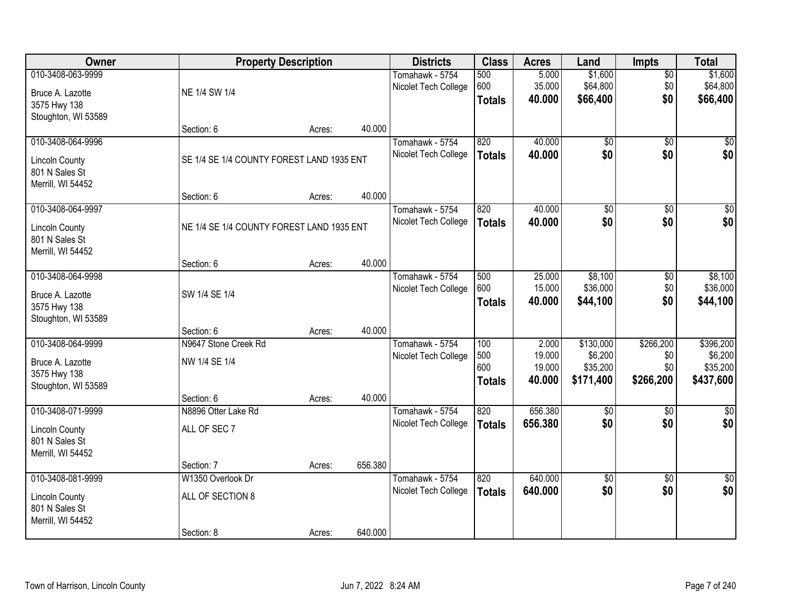| Owner                 | <b>Property Description</b>               |        |         | <b>Districts</b>     | <b>Class</b>  | <b>Acres</b> | Land            | <b>Impts</b>    | <b>Total</b>    |
|-----------------------|-------------------------------------------|--------|---------|----------------------|---------------|--------------|-----------------|-----------------|-----------------|
| 010-3408-063-9999     |                                           |        |         | Tomahawk - 5754      | 500           | 5.000        | \$1,600         | $\overline{60}$ | \$1,600         |
| Bruce A. Lazotte      | NE 1/4 SW 1/4                             |        |         | Nicolet Tech College | 600           | 35.000       | \$64,800        | \$0             | \$64,800        |
| 3575 Hwy 138          |                                           |        |         |                      | <b>Totals</b> | 40.000       | \$66,400        | \$0             | \$66,400        |
| Stoughton, WI 53589   |                                           |        |         |                      |               |              |                 |                 |                 |
|                       | Section: 6                                | Acres: | 40.000  |                      |               |              |                 |                 |                 |
| 010-3408-064-9996     |                                           |        |         | Tomahawk - 5754      | 820           | 40.000       | \$0             | $\overline{50}$ | \$0             |
| <b>Lincoln County</b> | SE 1/4 SE 1/4 COUNTY FOREST LAND 1935 ENT |        |         | Nicolet Tech College | <b>Totals</b> | 40.000       | \$0             | \$0             | \$0             |
| 801 N Sales St        |                                           |        |         |                      |               |              |                 |                 |                 |
| Merrill, WI 54452     |                                           |        |         |                      |               |              |                 |                 |                 |
|                       | Section: 6                                | Acres: | 40.000  |                      |               |              |                 |                 |                 |
| 010-3408-064-9997     |                                           |        |         | Tomahawk - 5754      | 820           | 40.000       | \$0             | \$0             | $\overline{50}$ |
| <b>Lincoln County</b> | NE 1/4 SE 1/4 COUNTY FOREST LAND 1935 ENT |        |         | Nicolet Tech College | <b>Totals</b> | 40.000       | \$0             | \$0             | \$0             |
| 801 N Sales St        |                                           |        |         |                      |               |              |                 |                 |                 |
| Merrill, WI 54452     |                                           |        |         |                      |               |              |                 |                 |                 |
|                       | Section: 6                                | Acres: | 40.000  |                      |               |              |                 |                 |                 |
| 010-3408-064-9998     |                                           |        |         | Tomahawk - 5754      | 500           | 25.000       | \$8,100         | \$0             | \$8,100         |
| Bruce A. Lazotte      | SW 1/4 SE 1/4                             |        |         | Nicolet Tech College | 600           | 15.000       | \$36,000        | \$0             | \$36,000        |
| 3575 Hwy 138          |                                           |        |         |                      | <b>Totals</b> | 40.000       | \$44,100        | \$0             | \$44,100        |
| Stoughton, WI 53589   |                                           |        |         |                      |               |              |                 |                 |                 |
|                       | Section: 6                                | Acres: | 40.000  |                      |               |              |                 |                 |                 |
| 010-3408-064-9999     | N9647 Stone Creek Rd                      |        |         | Tomahawk - 5754      | 100           | 2.000        | \$130,000       | \$266,200       | \$396,200       |
| Bruce A. Lazotte      | NW 1/4 SE 1/4                             |        |         | Nicolet Tech College | 500           | 19.000       | \$6,200         | \$0             | \$6,200         |
| 3575 Hwy 138          |                                           |        |         |                      | 600           | 19.000       | \$35,200        | \$0             | \$35,200        |
| Stoughton, WI 53589   |                                           |        |         |                      | <b>Totals</b> | 40.000       | \$171,400       | \$266,200       | \$437,600       |
|                       | Section: 6                                | Acres: | 40.000  |                      |               |              |                 |                 |                 |
| 010-3408-071-9999     | N8896 Otter Lake Rd                       |        |         | Tomahawk - 5754      | 820           | 656.380      | $\overline{60}$ | $\overline{50}$ | $\overline{50}$ |
| <b>Lincoln County</b> | ALL OF SEC 7                              |        |         | Nicolet Tech College | <b>Totals</b> | 656.380      | \$0             | \$0             | \$0             |
| 801 N Sales St        |                                           |        |         |                      |               |              |                 |                 |                 |
| Merrill, WI 54452     |                                           |        |         |                      |               |              |                 |                 |                 |
|                       | Section: 7                                | Acres: | 656.380 |                      |               |              |                 |                 |                 |
| 010-3408-081-9999     | W1350 Overlook Dr                         |        |         | Tomahawk - 5754      | 820           | 640.000      | $\sqrt{$0}$     | $\overline{30}$ | \$0             |
| <b>Lincoln County</b> | ALL OF SECTION 8                          |        |         | Nicolet Tech College | <b>Totals</b> | 640.000      | \$0             | \$0             | \$0             |
| 801 N Sales St        |                                           |        |         |                      |               |              |                 |                 |                 |
| Merrill, WI 54452     |                                           |        |         |                      |               |              |                 |                 |                 |
|                       | Section: 8                                | Acres: | 640.000 |                      |               |              |                 |                 |                 |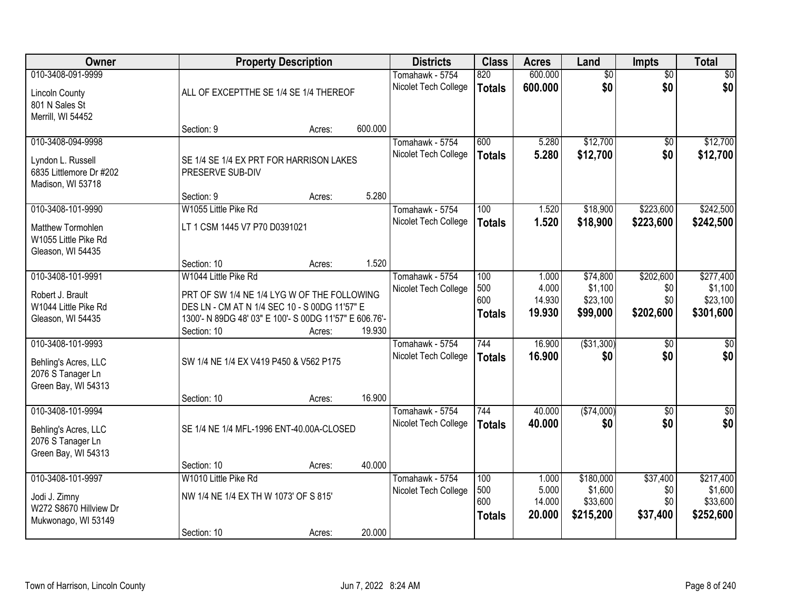| Owner                   |                                                        | <b>Property Description</b> |         | <b>Districts</b>     | <b>Class</b>  | <b>Acres</b>    | Land                | <b>Impts</b>    | <b>Total</b>        |
|-------------------------|--------------------------------------------------------|-----------------------------|---------|----------------------|---------------|-----------------|---------------------|-----------------|---------------------|
| 010-3408-091-9999       |                                                        |                             |         | Tomahawk - 5754      | 820           | 600.000         | $\overline{50}$     | $\overline{50}$ | $\overline{50}$     |
| <b>Lincoln County</b>   | ALL OF EXCEPTTHE SE 1/4 SE 1/4 THEREOF                 |                             |         | Nicolet Tech College | <b>Totals</b> | 600.000         | \$0                 | \$0             | \$0                 |
| 801 N Sales St          |                                                        |                             |         |                      |               |                 |                     |                 |                     |
| Merrill, WI 54452       |                                                        |                             |         |                      |               |                 |                     |                 |                     |
|                         | Section: 9                                             | Acres:                      | 600.000 |                      |               |                 |                     |                 |                     |
| 010-3408-094-9998       |                                                        |                             |         | Tomahawk - 5754      | 600           | 5.280           | \$12,700            | $\overline{50}$ | \$12,700            |
| Lyndon L. Russell       | SE 1/4 SE 1/4 EX PRT FOR HARRISON LAKES                |                             |         | Nicolet Tech College | <b>Totals</b> | 5.280           | \$12,700            | \$0             | \$12,700            |
| 6835 Littlemore Dr #202 | PRESERVE SUB-DIV                                       |                             |         |                      |               |                 |                     |                 |                     |
| Madison, WI 53718       |                                                        |                             |         |                      |               |                 |                     |                 |                     |
|                         | Section: 9                                             | Acres:                      | 5.280   |                      |               |                 |                     |                 |                     |
| 010-3408-101-9990       | W1055 Little Pike Rd                                   |                             |         | Tomahawk - 5754      | 100           | 1.520           | \$18,900            | \$223,600       | \$242,500           |
| Matthew Tormohlen       | LT 1 CSM 1445 V7 P70 D0391021                          |                             |         | Nicolet Tech College | <b>Totals</b> | 1.520           | \$18,900            | \$223,600       | \$242,500           |
| W1055 Little Pike Rd    |                                                        |                             |         |                      |               |                 |                     |                 |                     |
| Gleason, WI 54435       |                                                        |                             |         |                      |               |                 |                     |                 |                     |
|                         | Section: 10                                            | Acres:                      | 1.520   |                      |               |                 |                     |                 |                     |
| 010-3408-101-9991       | W1044 Little Pike Rd                                   |                             |         | Tomahawk - 5754      | 100           | 1.000           | \$74,800            | \$202,600       | \$277,400           |
| Robert J. Brault        | PRT OF SW 1/4 NE 1/4 LYG W OF THE FOLLOWING            |                             |         | Nicolet Tech College | 500           | 4.000           | \$1,100             | \$0             | \$1,100             |
| W1044 Little Pike Rd    | DES LN - CM AT N 1/4 SEC 10 - S 00DG 11'57" E          |                             |         |                      | 600           | 14.930          | \$23,100            | \$0             | \$23,100            |
| Gleason, WI 54435       | 1300'- N 89DG 48' 03" E 100'- S 00DG 11'57" E 606.76'- |                             |         |                      | <b>Totals</b> | 19.930          | \$99,000            | \$202,600       | \$301,600           |
|                         | Section: 10                                            | Acres:                      | 19.930  |                      |               |                 |                     |                 |                     |
| 010-3408-101-9993       |                                                        |                             |         | Tomahawk - 5754      | 744           | 16.900          | ( \$31,300)         | $\overline{30}$ | $\overline{30}$     |
| Behling's Acres, LLC    | SW 1/4 NE 1/4 EX V419 P450 & V562 P175                 |                             |         | Nicolet Tech College | <b>Totals</b> | 16.900          | \$0                 | \$0             | \$0                 |
| 2076 S Tanager Ln       |                                                        |                             |         |                      |               |                 |                     |                 |                     |
| Green Bay, WI 54313     |                                                        |                             |         |                      |               |                 |                     |                 |                     |
|                         | Section: 10                                            | Acres:                      | 16.900  |                      |               |                 |                     |                 |                     |
| 010-3408-101-9994       |                                                        |                             |         | Tomahawk - 5754      | 744           | 40.000          | ( \$74,000)         | \$0             | $\sqrt{50}$         |
| Behling's Acres, LLC    | SE 1/4 NE 1/4 MFL-1996 ENT-40.00A-CLOSED               |                             |         | Nicolet Tech College | <b>Totals</b> | 40.000          | \$0                 | \$0             | \$0                 |
| 2076 S Tanager Ln       |                                                        |                             |         |                      |               |                 |                     |                 |                     |
| Green Bay, WI 54313     |                                                        |                             |         |                      |               |                 |                     |                 |                     |
|                         | Section: 10                                            | Acres:                      | 40.000  |                      |               |                 |                     |                 |                     |
| 010-3408-101-9997       | W1010 Little Pike Rd                                   |                             |         | Tomahawk - 5754      | 100           | 1.000           | \$180,000           | \$37,400        | \$217,400           |
| Jodi J. Zimny           | NW 1/4 NE 1/4 EX TH W 1073' OF S 815'                  |                             |         | Nicolet Tech College | 500<br>600    | 5.000<br>14.000 | \$1,600<br>\$33,600 | \$0<br>\$0      | \$1,600<br>\$33,600 |
| W272 S8670 Hillview Dr  |                                                        |                             |         |                      | <b>Totals</b> | 20.000          | \$215,200           | \$37,400        | \$252,600           |
| Mukwonago, WI 53149     |                                                        |                             |         |                      |               |                 |                     |                 |                     |
|                         | Section: 10                                            | Acres:                      | 20.000  |                      |               |                 |                     |                 |                     |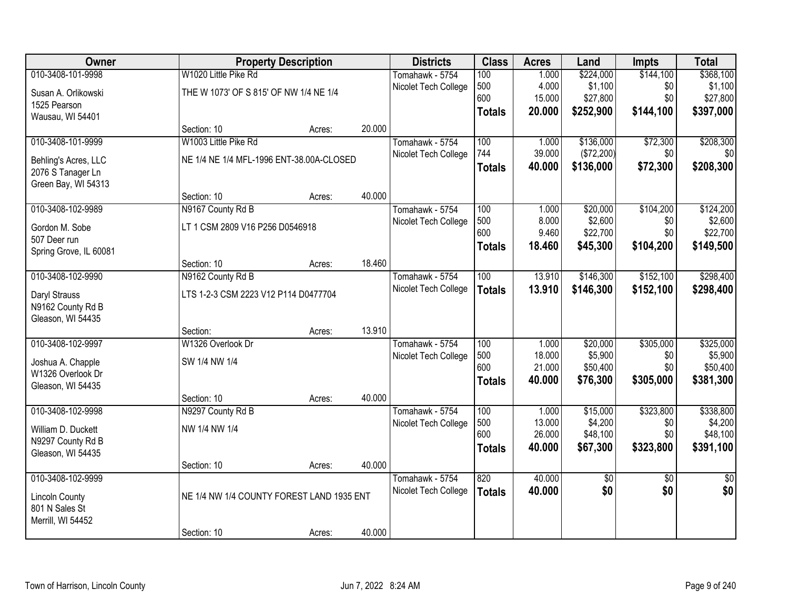| Owner                  |                                           | <b>Property Description</b> |        | <b>Districts</b>     | <b>Class</b>  | <b>Acres</b>     | Land            | Impts           | <b>Total</b>    |
|------------------------|-------------------------------------------|-----------------------------|--------|----------------------|---------------|------------------|-----------------|-----------------|-----------------|
| 010-3408-101-9998      | W1020 Little Pike Rd                      |                             |        | Tomahawk - 5754      | 100           | 1.000            | \$224,000       | \$144,100       | \$368,100       |
| Susan A. Orlikowski    | THE W 1073' OF S 815' OF NW 1/4 NE 1/4    |                             |        | Nicolet Tech College | 500           | 4.000            | \$1,100         | \$0             | \$1,100         |
| 1525 Pearson           |                                           |                             |        |                      | 600           | 15.000           | \$27,800        | \$0             | \$27,800        |
| Wausau, WI 54401       |                                           |                             |        |                      | <b>Totals</b> | 20.000           | \$252,900       | \$144,100       | \$397,000       |
|                        | Section: 10                               | Acres:                      | 20.000 |                      |               |                  |                 |                 |                 |
| 010-3408-101-9999      | W1003 Little Pike Rd                      |                             |        | Tomahawk - 5754      | 100           | 1.000            | \$136,000       | \$72,300        | \$208,300       |
| Behling's Acres, LLC   | NE 1/4 NE 1/4 MFL-1996 ENT-38.00A-CLOSED  |                             |        | Nicolet Tech College | 744           | 39.000           | (\$72,200)      | \$0             | \$0             |
| 2076 S Tanager Ln      |                                           |                             |        |                      | <b>Totals</b> | 40.000           | \$136,000       | \$72,300        | \$208,300       |
| Green Bay, WI 54313    |                                           |                             |        |                      |               |                  |                 |                 |                 |
|                        | Section: 10                               | Acres:                      | 40.000 |                      |               |                  |                 |                 |                 |
| 010-3408-102-9989      | N9167 County Rd B                         |                             |        | Tomahawk - 5754      | 100           | 1.000            | \$20,000        | \$104,200       | \$124,200       |
| Gordon M. Sobe         | LT 1 CSM 2809 V16 P256 D0546918           |                             |        | Nicolet Tech College | 500           | 8.000            | \$2,600         | \$0             | \$2,600         |
| 507 Deer run           |                                           |                             |        |                      | 600           | 9.460            | \$22,700        | \$0             | \$22,700        |
| Spring Grove, IL 60081 |                                           |                             |        |                      | <b>Totals</b> | 18.460           | \$45,300        | \$104,200       | \$149,500       |
|                        | Section: 10                               | Acres:                      | 18.460 |                      |               |                  |                 |                 |                 |
| 010-3408-102-9990      | N9162 County Rd B                         |                             |        | Tomahawk - 5754      | 100           | 13.910           | \$146,300       | \$152,100       | \$298,400       |
| Daryl Strauss          | LTS 1-2-3 CSM 2223 V12 P114 D0477704      |                             |        | Nicolet Tech College | <b>Totals</b> | 13.910           | \$146,300       | \$152,100       | \$298,400       |
| N9162 County Rd B      |                                           |                             |        |                      |               |                  |                 |                 |                 |
| Gleason, WI 54435      |                                           |                             |        |                      |               |                  |                 |                 |                 |
|                        | Section:                                  | Acres:                      | 13.910 |                      |               |                  |                 |                 |                 |
| 010-3408-102-9997      | W1326 Overlook Dr                         |                             |        | Tomahawk - 5754      | 100           | 1.000            | \$20,000        | \$305,000       | \$325,000       |
| Joshua A. Chapple      | SW 1/4 NW 1/4                             |                             |        | Nicolet Tech College | 500           | 18.000           | \$5,900         | \$0             | \$5,900         |
| W1326 Overlook Dr      |                                           |                             |        |                      | 600           | 21.000           | \$50,400        | \$0             | \$50,400        |
| Gleason, WI 54435      |                                           |                             |        |                      | <b>Totals</b> | 40.000           | \$76,300        | \$305,000       | \$381,300       |
|                        | Section: 10                               | Acres:                      | 40.000 |                      |               |                  |                 |                 |                 |
| 010-3408-102-9998      | N9297 County Rd B                         |                             |        | Tomahawk - 5754      | 100           | 1.000            | \$15,000        | \$323,800       | \$338,800       |
| William D. Duckett     | NW 1/4 NW 1/4                             |                             |        | Nicolet Tech College | 500<br>600    | 13.000           | \$4,200         | \$0             | \$4,200         |
| N9297 County Rd B      |                                           |                             |        |                      |               | 26.000<br>40.000 | \$48,100        | \$0             | \$48,100        |
| Gleason, WI 54435      |                                           |                             |        |                      | <b>Totals</b> |                  | \$67,300        | \$323,800       | \$391,100       |
|                        | Section: 10                               | Acres:                      | 40.000 |                      |               |                  |                 |                 |                 |
| 010-3408-102-9999      |                                           |                             |        | Tomahawk - 5754      | 820           | 40.000           | $\overline{50}$ | $\overline{50}$ | $\overline{50}$ |
| <b>Lincoln County</b>  | NE 1/4 NW 1/4 COUNTY FOREST LAND 1935 ENT |                             |        | Nicolet Tech College | <b>Totals</b> | 40.000           | \$0             | \$0             | \$0             |
| 801 N Sales St         |                                           |                             |        |                      |               |                  |                 |                 |                 |
| Merrill, WI 54452      |                                           |                             |        |                      |               |                  |                 |                 |                 |
|                        | Section: 10                               | Acres:                      | 40.000 |                      |               |                  |                 |                 |                 |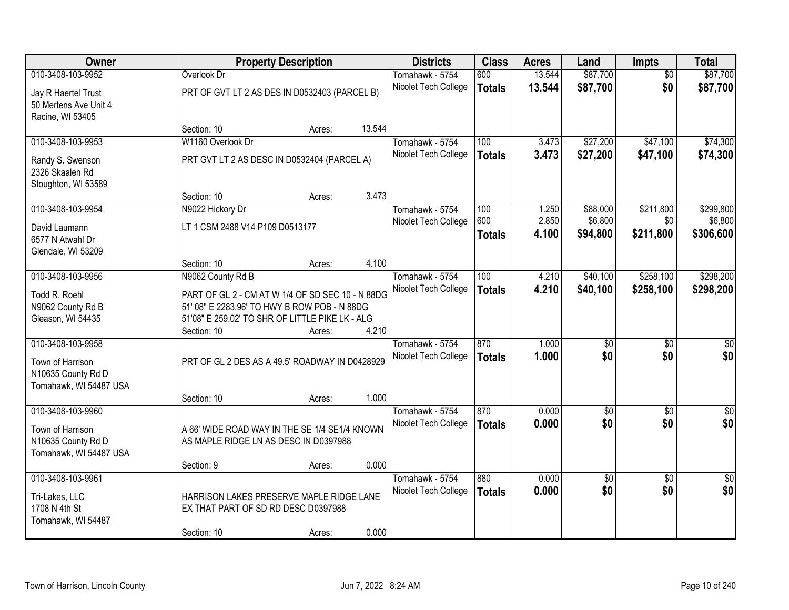| Owner                  |                                                  | <b>Property Description</b> |        | <b>Districts</b>     | <b>Class</b>  | <b>Acres</b> | Land            | <b>Impts</b>    | <b>Total</b>    |
|------------------------|--------------------------------------------------|-----------------------------|--------|----------------------|---------------|--------------|-----------------|-----------------|-----------------|
| 010-3408-103-9952      | Overlook Dr                                      |                             |        | Tomahawk - 5754      | 600           | 13.544       | \$87,700        | $\overline{50}$ | \$87,700        |
| Jay R Haertel Trust    | PRT OF GVT LT 2 AS DES IN D0532403 (PARCEL B)    |                             |        | Nicolet Tech College | <b>Totals</b> | 13.544       | \$87,700        | \$0             | \$87,700        |
| 50 Mertens Ave Unit 4  |                                                  |                             |        |                      |               |              |                 |                 |                 |
| Racine, WI 53405       |                                                  |                             |        |                      |               |              |                 |                 |                 |
|                        | Section: 10                                      | Acres:                      | 13.544 |                      |               |              |                 |                 |                 |
| 010-3408-103-9953      | W1160 Overlook Dr                                |                             |        | Tomahawk - 5754      | 100           | 3.473        | \$27,200        | \$47,100        | \$74,300        |
| Randy S. Swenson       | PRT GVT LT 2 AS DESC IN D0532404 (PARCEL A)      |                             |        | Nicolet Tech College | <b>Totals</b> | 3.473        | \$27,200        | \$47,100        | \$74,300        |
| 2326 Skaalen Rd        |                                                  |                             |        |                      |               |              |                 |                 |                 |
| Stoughton, WI 53589    |                                                  |                             |        |                      |               |              |                 |                 |                 |
|                        | Section: 10                                      | Acres:                      | 3.473  |                      |               |              |                 |                 |                 |
| 010-3408-103-9954      | N9022 Hickory Dr                                 |                             |        | Tomahawk - 5754      | 100           | 1.250        | \$88,000        | \$211,800       | \$299,800       |
| David Laumann          | LT 1 CSM 2488 V14 P109 D0513177                  |                             |        | Nicolet Tech College | 600           | 2.850        | \$6,800         | \$0             | \$6,800         |
| 6577 N Atwahl Dr       |                                                  |                             |        |                      | <b>Totals</b> | 4.100        | \$94,800        | \$211,800       | \$306,600       |
| Glendale, WI 53209     |                                                  |                             |        |                      |               |              |                 |                 |                 |
|                        | Section: 10                                      | Acres:                      | 4.100  |                      |               |              |                 |                 |                 |
| 010-3408-103-9956      | N9062 County Rd B                                |                             |        | Tomahawk - 5754      | 100           | 4.210        | \$40,100        | \$258,100       | \$298,200       |
| Todd R. Roehl          | PART OF GL 2 - CM AT W 1/4 OF SD SEC 10 - N 88DG |                             |        | Nicolet Tech College | <b>Totals</b> | 4.210        | \$40,100        | \$258,100       | \$298,200       |
| N9062 County Rd B      | 51' 08" E 2283.96' TO HWY B ROW POB - N 88DG     |                             |        |                      |               |              |                 |                 |                 |
| Gleason, WI 54435      | 51'08" E 259.02' TO SHR OF LITTLE PIKE LK - ALG  |                             |        |                      |               |              |                 |                 |                 |
|                        | Section: 10                                      | Acres:                      | 4.210  |                      |               |              |                 |                 |                 |
| 010-3408-103-9958      |                                                  |                             |        | Tomahawk - 5754      | 870           | 1.000        | \$0             | $\overline{50}$ | \$0             |
| Town of Harrison       | PRT OF GL 2 DES AS A 49.5' ROADWAY IN D0428929   |                             |        | Nicolet Tech College | <b>Totals</b> | 1.000        | \$0             | \$0             | \$0             |
| N10635 County Rd D     |                                                  |                             |        |                      |               |              |                 |                 |                 |
| Tomahawk, WI 54487 USA |                                                  |                             |        |                      |               |              |                 |                 |                 |
|                        | Section: 10                                      | Acres:                      | 1.000  |                      |               |              |                 |                 |                 |
| 010-3408-103-9960      |                                                  |                             |        | Tomahawk - 5754      | 870           | 0.000        | $\overline{50}$ | $\overline{50}$ | $\overline{50}$ |
| Town of Harrison       | A 66' WIDE ROAD WAY IN THE SE 1/4 SE1/4 KNOWN    |                             |        | Nicolet Tech College | <b>Totals</b> | 0.000        | \$0             | \$0             | \$0             |
| N10635 County Rd D     | AS MAPLE RIDGE LN AS DESC IN D0397988            |                             |        |                      |               |              |                 |                 |                 |
| Tomahawk, WI 54487 USA |                                                  |                             |        |                      |               |              |                 |                 |                 |
|                        | Section: 9                                       | Acres:                      | 0.000  |                      |               |              |                 |                 |                 |
| 010-3408-103-9961      |                                                  |                             |        | Tomahawk - 5754      | 880           | 0.000        | $\overline{60}$ | $\overline{30}$ | $\overline{50}$ |
| Tri-Lakes, LLC         | HARRISON LAKES PRESERVE MAPLE RIDGE LANE         |                             |        | Nicolet Tech College | <b>Totals</b> | 0.000        | \$0             | \$0             | \$0             |
| 1708 N 4th St          | EX THAT PART OF SD RD DESC D0397988              |                             |        |                      |               |              |                 |                 |                 |
| Tomahawk, WI 54487     |                                                  |                             |        |                      |               |              |                 |                 |                 |
|                        | Section: 10                                      | Acres:                      | 0.000  |                      |               |              |                 |                 |                 |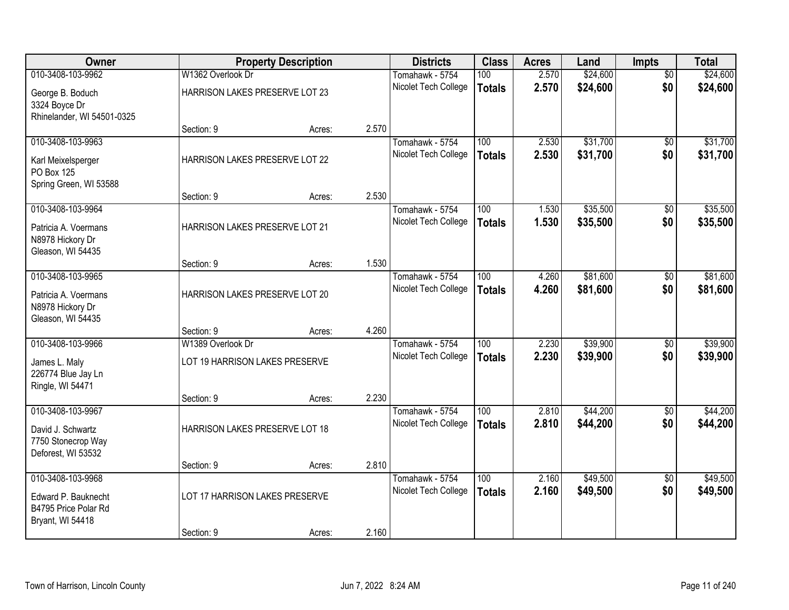| Owner                                                           |                                | <b>Property Description</b> |       | <b>Districts</b>     | <b>Class</b>  | <b>Acres</b> | Land     | <b>Impts</b>    | <b>Total</b> |
|-----------------------------------------------------------------|--------------------------------|-----------------------------|-------|----------------------|---------------|--------------|----------|-----------------|--------------|
| 010-3408-103-9962                                               | W1362 Overlook Dr              |                             |       | Tomahawk - 5754      | 100           | 2.570        | \$24,600 | $\overline{50}$ | \$24,600     |
| George B. Boduch<br>3324 Boyce Dr<br>Rhinelander, WI 54501-0325 | HARRISON LAKES PRESERVE LOT 23 |                             |       | Nicolet Tech College | <b>Totals</b> | 2.570        | \$24,600 | \$0             | \$24,600     |
|                                                                 | Section: 9                     | Acres:                      | 2.570 |                      |               |              |          |                 |              |
| 010-3408-103-9963                                               |                                |                             |       | Tomahawk - 5754      | 100           | 2.530        | \$31,700 | \$0             | \$31,700     |
| Karl Meixelsperger<br>PO Box 125<br>Spring Green, WI 53588      | HARRISON LAKES PRESERVE LOT 22 |                             |       | Nicolet Tech College | <b>Totals</b> | 2.530        | \$31,700 | \$0             | \$31,700     |
|                                                                 | Section: 9                     | Acres:                      | 2.530 |                      |               |              |          |                 |              |
| 010-3408-103-9964                                               |                                |                             |       | Tomahawk - 5754      | 100           | 1.530        | \$35,500 | \$0             | \$35,500     |
| Patricia A. Voermans<br>N8978 Hickory Dr<br>Gleason, WI 54435   | HARRISON LAKES PRESERVE LOT 21 |                             |       | Nicolet Tech College | <b>Totals</b> | 1.530        | \$35,500 | \$0             | \$35,500     |
|                                                                 | Section: 9                     | Acres:                      | 1.530 |                      |               |              |          |                 |              |
| 010-3408-103-9965                                               |                                |                             |       | Tomahawk - 5754      | 100           | 4.260        | \$81,600 | $\overline{50}$ | \$81,600     |
| Patricia A. Voermans<br>N8978 Hickory Dr                        | HARRISON LAKES PRESERVE LOT 20 |                             |       | Nicolet Tech College | <b>Totals</b> | 4.260        | \$81,600 | \$0             | \$81,600     |
| Gleason, WI 54435                                               | Section: 9                     | Acres:                      | 4.260 |                      |               |              |          |                 |              |
| 010-3408-103-9966                                               | W1389 Overlook Dr              |                             |       | Tomahawk - 5754      | 100           | 2.230        | \$39,900 | $\overline{50}$ | \$39,900     |
|                                                                 |                                |                             |       | Nicolet Tech College | <b>Totals</b> | 2.230        | \$39,900 | \$0             | \$39,900     |
| James L. Maly<br>226774 Blue Jay Ln<br>Ringle, WI 54471         | LOT 19 HARRISON LAKES PRESERVE |                             |       |                      |               |              |          |                 |              |
|                                                                 | Section: 9                     | Acres:                      | 2.230 |                      |               |              |          |                 |              |
| 010-3408-103-9967                                               |                                |                             |       | Tomahawk - 5754      | 100           | 2.810        | \$44,200 | $\sqrt{6}$      | \$44,200     |
| David J. Schwartz<br>7750 Stonecrop Way<br>Deforest, WI 53532   | HARRISON LAKES PRESERVE LOT 18 |                             |       | Nicolet Tech College | <b>Totals</b> | 2.810        | \$44,200 | \$0             | \$44,200     |
|                                                                 | Section: 9                     | Acres:                      | 2.810 |                      |               |              |          |                 |              |
| 010-3408-103-9968                                               |                                |                             |       | Tomahawk - 5754      | 100           | 2.160        | \$49,500 | $\overline{50}$ | \$49,500     |
| Edward P. Bauknecht<br>B4795 Price Polar Rd<br>Bryant, WI 54418 | LOT 17 HARRISON LAKES PRESERVE |                             |       | Nicolet Tech College | <b>Totals</b> | 2.160        | \$49,500 | \$0             | \$49,500     |
|                                                                 | Section: 9                     | Acres:                      | 2.160 |                      |               |              |          |                 |              |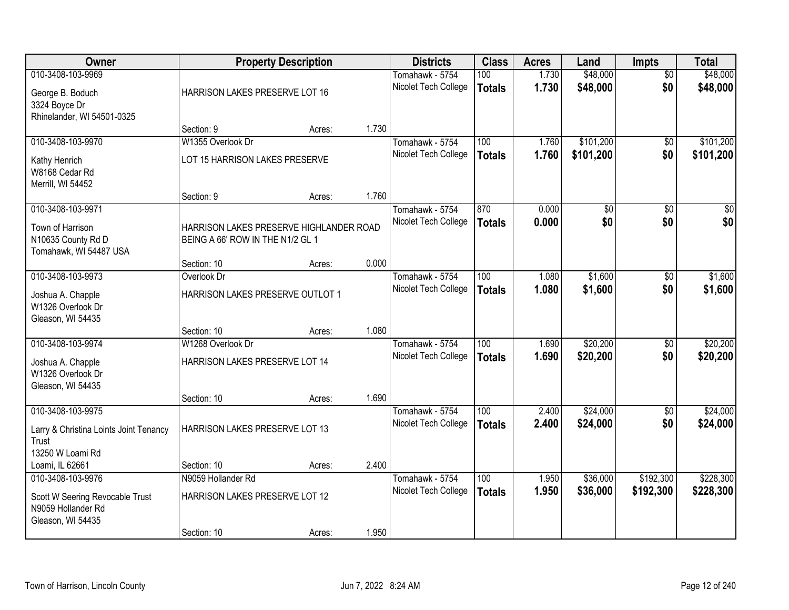| Owner                                   |                                         | <b>Property Description</b> |       | <b>Districts</b>                        | <b>Class</b>     | <b>Acres</b> | Land      | <b>Impts</b>    | <b>Total</b>     |
|-----------------------------------------|-----------------------------------------|-----------------------------|-------|-----------------------------------------|------------------|--------------|-----------|-----------------|------------------|
| 010-3408-103-9969                       |                                         |                             |       | Tomahawk - 5754                         | 100              | 1.730        | \$48,000  | $\overline{50}$ | \$48,000         |
| George B. Boduch                        | HARRISON LAKES PRESERVE LOT 16          |                             |       | Nicolet Tech College                    | <b>Totals</b>    | 1.730        | \$48,000  | \$0             | \$48,000         |
| 3324 Boyce Dr                           |                                         |                             |       |                                         |                  |              |           |                 |                  |
| Rhinelander, WI 54501-0325              |                                         |                             |       |                                         |                  |              |           |                 |                  |
|                                         | Section: 9                              | Acres:                      | 1.730 |                                         |                  |              |           |                 |                  |
| 010-3408-103-9970                       | W1355 Overlook Dr                       |                             |       | Tomahawk - 5754                         | 100              | 1.760        | \$101,200 | \$0             | \$101,200        |
| Kathy Henrich                           | LOT 15 HARRISON LAKES PRESERVE          |                             |       | Nicolet Tech College                    | <b>Totals</b>    | 1.760        | \$101,200 | \$0             | \$101,200        |
| W8168 Cedar Rd                          |                                         |                             |       |                                         |                  |              |           |                 |                  |
| Merrill, WI 54452                       |                                         |                             |       |                                         |                  |              |           |                 |                  |
|                                         | Section: 9                              | Acres:                      | 1.760 |                                         |                  |              |           |                 |                  |
| 010-3408-103-9971                       |                                         |                             |       | Tomahawk - 5754                         | 870              | 0.000        | \$0       | \$0             | $\overline{\$0}$ |
| Town of Harrison                        | HARRISON LAKES PRESERVE HIGHLANDER ROAD |                             |       | Nicolet Tech College                    | <b>Totals</b>    | 0.000        | \$0       | \$0             | \$0              |
| N10635 County Rd D                      | BEING A 66' ROW IN THE N1/2 GL 1        |                             |       |                                         |                  |              |           |                 |                  |
| Tomahawk, WI 54487 USA                  |                                         |                             |       |                                         |                  |              |           |                 |                  |
|                                         | Section: 10                             | Acres:                      | 0.000 |                                         |                  |              |           |                 |                  |
| 010-3408-103-9973                       | Overlook Dr                             |                             |       | Tomahawk - 5754<br>Nicolet Tech College | 100              | 1.080        | \$1,600   | \$0<br>\$0      | \$1,600          |
| Joshua A. Chapple                       | HARRISON LAKES PRESERVE OUTLOT 1        |                             |       |                                         | <b>Totals</b>    | 1.080        | \$1,600   |                 | \$1,600          |
| W1326 Overlook Dr                       |                                         |                             |       |                                         |                  |              |           |                 |                  |
| Gleason, WI 54435                       |                                         |                             |       |                                         |                  |              |           |                 |                  |
| 010-3408-103-9974                       | Section: 10<br>W1268 Overlook Dr        | Acres:                      | 1.080 |                                         | $\overline{100}$ | 1.690        | \$20,200  |                 | \$20,200         |
|                                         |                                         |                             |       | Tomahawk - 5754<br>Nicolet Tech College |                  | 1.690        | \$20,200  | \$0<br>\$0      | \$20,200         |
| Joshua A. Chapple                       | HARRISON LAKES PRESERVE LOT 14          |                             |       |                                         | <b>Totals</b>    |              |           |                 |                  |
| W1326 Overlook Dr                       |                                         |                             |       |                                         |                  |              |           |                 |                  |
| Gleason, WI 54435                       | Section: 10                             |                             | 1.690 |                                         |                  |              |           |                 |                  |
| 010-3408-103-9975                       |                                         | Acres:                      |       | Tomahawk - 5754                         | 100              | 2.400        | \$24,000  | $\sqrt{6}$      | \$24,000         |
|                                         |                                         |                             |       | Nicolet Tech College                    | <b>Totals</b>    | 2.400        | \$24,000  | \$0             | \$24,000         |
| Larry & Christina Loints Joint Tenancy  | HARRISON LAKES PRESERVE LOT 13          |                             |       |                                         |                  |              |           |                 |                  |
| Trust<br>13250 W Loami Rd               |                                         |                             |       |                                         |                  |              |           |                 |                  |
| Loami, IL 62661                         | Section: 10                             | Acres:                      | 2.400 |                                         |                  |              |           |                 |                  |
| 010-3408-103-9976                       | N9059 Hollander Rd                      |                             |       | Tomahawk - 5754                         | 100              | 1.950        | \$36,000  | \$192,300       | \$228,300        |
|                                         |                                         |                             |       | Nicolet Tech College                    | <b>Totals</b>    | 1.950        | \$36,000  | \$192,300       | \$228,300        |
| Scott W Seering Revocable Trust         | HARRISON LAKES PRESERVE LOT 12          |                             |       |                                         |                  |              |           |                 |                  |
| N9059 Hollander Rd<br>Gleason, WI 54435 |                                         |                             |       |                                         |                  |              |           |                 |                  |
|                                         | Section: 10                             | Acres:                      | 1.950 |                                         |                  |              |           |                 |                  |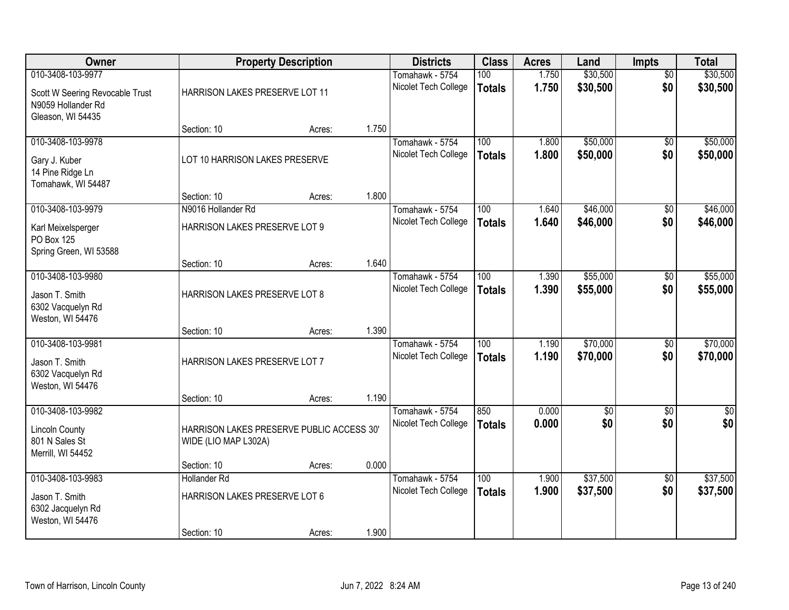| Owner                                                                             |                                                                   | <b>Property Description</b> |       | <b>Districts</b>                        | <b>Class</b>                      | <b>Acres</b>   | Land                 | <b>Impts</b>           | <b>Total</b>           |
|-----------------------------------------------------------------------------------|-------------------------------------------------------------------|-----------------------------|-------|-----------------------------------------|-----------------------------------|----------------|----------------------|------------------------|------------------------|
| 010-3408-103-9977                                                                 |                                                                   |                             |       | Tomahawk - 5754                         | 100                               | 1.750          | \$30,500             | $\overline{60}$        | \$30,500               |
| Scott W Seering Revocable Trust<br>N9059 Hollander Rd<br>Gleason, WI 54435        | HARRISON LAKES PRESERVE LOT 11                                    |                             |       | Nicolet Tech College                    | <b>Totals</b>                     | 1.750          | \$30,500             | \$0                    | \$30,500               |
|                                                                                   | Section: 10                                                       | Acres:                      | 1.750 |                                         |                                   |                |                      |                        |                        |
| 010-3408-103-9978                                                                 |                                                                   |                             |       | Tomahawk - 5754                         | 100                               | 1.800          | \$50,000             | $\overline{50}$        | \$50,000               |
| Gary J. Kuber<br>14 Pine Ridge Ln<br>Tomahawk, WI 54487                           | LOT 10 HARRISON LAKES PRESERVE                                    |                             |       | Nicolet Tech College                    | <b>Totals</b>                     | 1.800          | \$50,000             | \$0                    | \$50,000               |
|                                                                                   | Section: 10                                                       | Acres:                      | 1.800 |                                         |                                   |                |                      |                        |                        |
| 010-3408-103-9979                                                                 | N9016 Hollander Rd                                                |                             |       | Tomahawk - 5754                         | 100                               | 1.640          | \$46,000             | $\overline{50}$        | \$46,000               |
| Karl Meixelsperger<br>PO Box 125<br>Spring Green, WI 53588                        | HARRISON LAKES PRESERVE LOT 9                                     |                             |       | Nicolet Tech College                    | <b>Totals</b>                     | 1.640          | \$46,000             | \$0                    | \$46,000               |
|                                                                                   | Section: 10                                                       | Acres:                      | 1.640 |                                         |                                   |                |                      |                        |                        |
| 010-3408-103-9980                                                                 |                                                                   |                             |       | Tomahawk - 5754                         | 100                               | 1.390          | \$55,000             | $\overline{50}$        | \$55,000               |
| Jason T. Smith<br>6302 Vacquelyn Rd<br>Weston, WI 54476                           | HARRISON LAKES PRESERVE LOT 8                                     |                             |       | Nicolet Tech College                    | <b>Totals</b>                     | 1.390          | \$55,000             | \$0                    | \$55,000               |
|                                                                                   | Section: 10                                                       | Acres:                      | 1.390 |                                         |                                   |                |                      |                        |                        |
| 010-3408-103-9981<br>Jason T. Smith<br>6302 Vacquelyn Rd<br>Weston, WI 54476      | HARRISON LAKES PRESERVE LOT 7                                     |                             |       | Tomahawk - 5754<br>Nicolet Tech College | $\overline{100}$<br><b>Totals</b> | 1.190<br>1.190 | \$70,000<br>\$70,000 | \$0<br>\$0             | \$70,000<br>\$70,000   |
|                                                                                   | Section: 10                                                       | Acres:                      | 1.190 |                                         |                                   |                |                      |                        |                        |
| 010-3408-103-9982<br><b>Lincoln County</b><br>801 N Sales St<br>Merrill, WI 54452 | HARRISON LAKES PRESERVE PUBLIC ACCESS 30'<br>WIDE (LIO MAP L302A) |                             |       | Tomahawk - 5754<br>Nicolet Tech College | 850<br><b>Totals</b>              | 0.000<br>0.000 | $\sqrt{6}$<br>\$0    | $\overline{30}$<br>\$0 | $\overline{50}$<br>\$0 |
|                                                                                   | Section: 10                                                       | Acres:                      | 0.000 |                                         |                                   |                |                      |                        |                        |
| 010-3408-103-9983                                                                 | <b>Hollander Rd</b>                                               |                             |       | Tomahawk - 5754                         | 100                               | 1.900          | \$37,500             | $\overline{50}$        | \$37,500               |
| Jason T. Smith<br>6302 Jacquelyn Rd<br>Weston, WI 54476                           | HARRISON LAKES PRESERVE LOT 6                                     |                             | 1.900 | Nicolet Tech College                    | <b>Totals</b>                     | 1.900          | \$37,500             | \$0                    | \$37,500               |
|                                                                                   | Section: 10                                                       | Acres:                      |       |                                         |                                   |                |                      |                        |                        |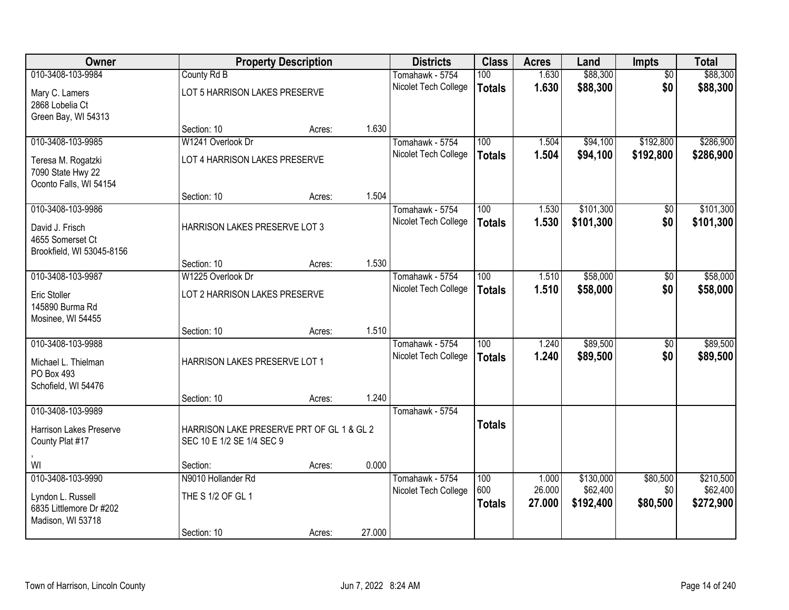| Owner                                                                                  |                                                                        | <b>Property Description</b> |        | <b>Districts</b>                        | <b>Class</b>                      | <b>Acres</b>              | Land                               | <b>Impts</b>                | <b>Total</b>                       |
|----------------------------------------------------------------------------------------|------------------------------------------------------------------------|-----------------------------|--------|-----------------------------------------|-----------------------------------|---------------------------|------------------------------------|-----------------------------|------------------------------------|
| 010-3408-103-9984                                                                      | County Rd B                                                            |                             |        | Tomahawk - 5754                         | 100                               | 1.630                     | \$88,300                           | $\overline{50}$             | \$88,300                           |
| Mary C. Lamers<br>2868 Lobelia Ct<br>Green Bay, WI 54313                               | LOT 5 HARRISON LAKES PRESERVE                                          |                             |        | Nicolet Tech College                    | <b>Totals</b>                     | 1.630                     | \$88,300                           | \$0                         | \$88,300                           |
|                                                                                        | Section: 10                                                            | Acres:                      | 1.630  |                                         |                                   |                           |                                    |                             |                                    |
| 010-3408-103-9985                                                                      | W1241 Overlook Dr                                                      |                             |        | Tomahawk - 5754                         | 100                               | 1.504                     | \$94,100                           | \$192,800                   | \$286,900                          |
| Teresa M. Rogatzki<br>7090 State Hwy 22<br>Oconto Falls, WI 54154                      | LOT 4 HARRISON LAKES PRESERVE                                          |                             |        | Nicolet Tech College                    | <b>Totals</b>                     | 1.504                     | \$94,100                           | \$192,800                   | \$286,900                          |
|                                                                                        | Section: 10                                                            | Acres:                      | 1.504  |                                         |                                   |                           |                                    |                             |                                    |
| 010-3408-103-9986                                                                      |                                                                        |                             |        | Tomahawk - 5754                         | 100                               | 1.530                     | \$101,300                          | $\overline{50}$             | \$101,300                          |
| David J. Frisch<br>4655 Somerset Ct<br>Brookfield, WI 53045-8156                       | HARRISON LAKES PRESERVE LOT 3                                          |                             |        | Nicolet Tech College                    | <b>Totals</b>                     | 1.530                     | \$101,300                          | \$0                         | \$101,300                          |
|                                                                                        | Section: 10                                                            | Acres:                      | 1.530  |                                         |                                   |                           |                                    |                             |                                    |
| 010-3408-103-9987                                                                      | W1225 Overlook Dr                                                      |                             |        | Tomahawk - 5754                         | 100                               | 1.510                     | \$58,000                           | $\overline{50}$             | \$58,000                           |
| <b>Eric Stoller</b><br>145890 Burma Rd<br>Mosinee, WI 54455                            | LOT 2 HARRISON LAKES PRESERVE                                          |                             |        | Nicolet Tech College                    | <b>Totals</b>                     | 1.510                     | \$58,000                           | \$0                         | \$58,000                           |
|                                                                                        | Section: 10                                                            | Acres:                      | 1.510  |                                         |                                   |                           |                                    |                             |                                    |
| 010-3408-103-9988<br>Michael L. Thielman<br>PO Box 493<br>Schofield, WI 54476          | HARRISON LAKES PRESERVE LOT 1                                          |                             |        | Tomahawk - 5754<br>Nicolet Tech College | $\overline{100}$<br><b>Totals</b> | 1.240<br>1.240            | \$89,500<br>\$89,500               | \$0<br>\$0                  | \$89,500<br>\$89,500               |
|                                                                                        | Section: 10                                                            | Acres:                      | 1.240  |                                         |                                   |                           |                                    |                             |                                    |
| 010-3408-103-9989<br><b>Harrison Lakes Preserve</b><br>County Plat #17                 | HARRISON LAKE PRESERVE PRT OF GL 1 & GL 2<br>SEC 10 E 1/2 SE 1/4 SEC 9 |                             |        | Tomahawk - 5754                         | <b>Totals</b>                     |                           |                                    |                             |                                    |
| WI                                                                                     | Section:                                                               | Acres:                      | 0.000  |                                         |                                   |                           |                                    |                             |                                    |
| 010-3408-103-9990<br>Lyndon L. Russell<br>6835 Littlemore Dr #202<br>Madison, WI 53718 | N9010 Hollander Rd<br>THE S 1/2 OF GL 1                                |                             |        | Tomahawk - 5754<br>Nicolet Tech College | 100<br>600<br><b>Totals</b>       | 1.000<br>26.000<br>27.000 | \$130,000<br>\$62,400<br>\$192,400 | \$80,500<br>\$0<br>\$80,500 | \$210,500<br>\$62,400<br>\$272,900 |
|                                                                                        | Section: 10                                                            | Acres:                      | 27.000 |                                         |                                   |                           |                                    |                             |                                    |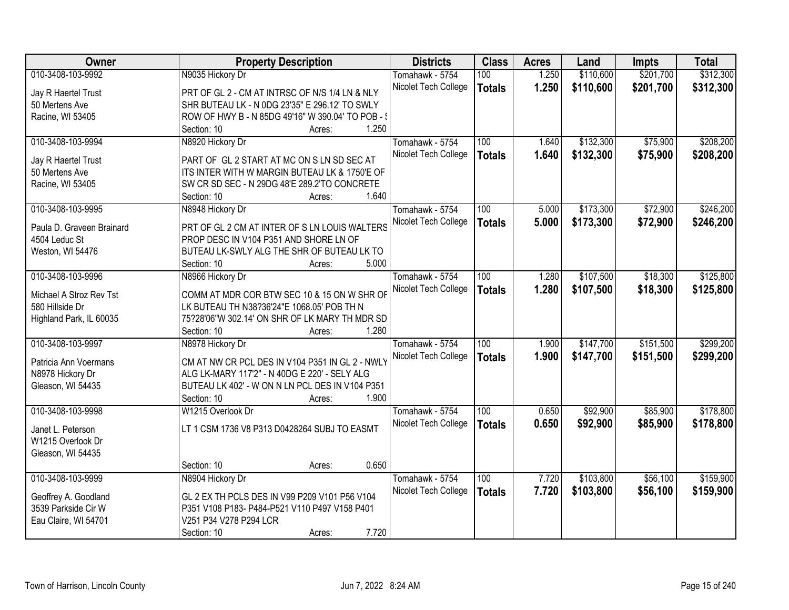| Owner                     | <b>Property Description</b>                        | <b>Districts</b>     | <b>Class</b>     | <b>Acres</b> | Land      | <b>Impts</b> | <b>Total</b> |
|---------------------------|----------------------------------------------------|----------------------|------------------|--------------|-----------|--------------|--------------|
| 010-3408-103-9992         | N9035 Hickory Dr                                   | Tomahawk - 5754      | 100              | 1.250        | \$110,600 | \$201,700    | \$312,300    |
| Jay R Haertel Trust       | PRT OF GL 2 - CM AT INTRSC OF N/S 1/4 LN & NLY     | Nicolet Tech College | <b>Totals</b>    | 1.250        | \$110,600 | \$201,700    | \$312,300    |
| 50 Mertens Ave            | SHR BUTEAU LK - N 0DG 23'35" E 296.12' TO SWLY     |                      |                  |              |           |              |              |
| Racine, WI 53405          | ROW OF HWY B - N 85DG 49'16" W 390.04' TO POB - \$ |                      |                  |              |           |              |              |
|                           | 1.250<br>Section: 10<br>Acres:                     |                      |                  |              |           |              |              |
| 010-3408-103-9994         |                                                    | Tomahawk - 5754      | 100              | 1.640        | \$132,300 | \$75,900     | \$208,200    |
|                           | N8920 Hickory Dr                                   |                      |                  |              |           |              |              |
| Jay R Haertel Trust       | PART OF GL 2 START AT MC ON S LN SD SEC AT         | Nicolet Tech College | <b>Totals</b>    | 1.640        | \$132,300 | \$75,900     | \$208,200    |
| 50 Mertens Ave            | ITS INTER WITH W MARGIN BUTEAU LK & 1750'E OF      |                      |                  |              |           |              |              |
| Racine, WI 53405          | SW CR SD SEC - N 29DG 48'E 289.2'TO CONCRETE       |                      |                  |              |           |              |              |
|                           | 1.640<br>Section: 10<br>Acres:                     |                      |                  |              |           |              |              |
| 010-3408-103-9995         | N8948 Hickory Dr                                   | Tomahawk - 5754      | 100              | 5.000        | \$173,300 | \$72,900     | \$246,200    |
|                           |                                                    | Nicolet Tech College | <b>Totals</b>    | 5.000        | \$173,300 | \$72,900     | \$246,200    |
| Paula D. Graveen Brainard | PRT OF GL 2 CM AT INTER OF S LN LOUIS WALTERS      |                      |                  |              |           |              |              |
| 4504 Leduc St             | PROP DESC IN V104 P351 AND SHORE LN OF             |                      |                  |              |           |              |              |
| Weston, WI 54476          | BUTEAU LK-SWLY ALG THE SHR OF BUTEAU LK TO         |                      |                  |              |           |              |              |
|                           | 5.000<br>Section: 10<br>Acres:                     |                      |                  |              |           |              |              |
| 010-3408-103-9996         | N8966 Hickory Dr                                   | Tomahawk - 5754      | 100              | 1.280        | \$107,500 | \$18,300     | \$125,800    |
| Michael A Stroz Rev Tst   | COMM AT MDR COR BTW SEC 10 & 15 ON W SHR OF        | Nicolet Tech College | <b>Totals</b>    | 1.280        | \$107,500 | \$18,300     | \$125,800    |
| 580 Hillside Dr           | LK BUTEAU TH N38?36'24"E 1068.05' POB TH N         |                      |                  |              |           |              |              |
| Highland Park, IL 60035   | 75?28'06"W 302.14' ON SHR OF LK MARY TH MDR SD     |                      |                  |              |           |              |              |
|                           | 1.280<br>Section: 10<br>Acres:                     |                      |                  |              |           |              |              |
| 010-3408-103-9997         | N8978 Hickory Dr                                   | Tomahawk - 5754      | $\overline{100}$ | 1.900        | \$147,700 | \$151,500    | \$299,200    |
|                           |                                                    | Nicolet Tech College | <b>Totals</b>    | 1.900        | \$147,700 | \$151,500    | \$299,200    |
| Patricia Ann Voermans     | CM AT NW CR PCL DES IN V104 P351 IN GL 2 - NWLY    |                      |                  |              |           |              |              |
| N8978 Hickory Dr          | ALG LK-MARY 117'2" - N 40DG E 220' - SELY ALG      |                      |                  |              |           |              |              |
| Gleason, WI 54435         | BUTEAU LK 402' - W ON N LN PCL DES IN V104 P351    |                      |                  |              |           |              |              |
|                           | 1.900<br>Section: 10<br>Acres:                     |                      |                  |              |           |              |              |
| 010-3408-103-9998         | W1215 Overlook Dr                                  | Tomahawk - 5754      | 100              | 0.650        | \$92,900  | \$85,900     | \$178,800    |
| Janet L. Peterson         | LT 1 CSM 1736 V8 P313 D0428264 SUBJ TO EASMT       | Nicolet Tech College | <b>Totals</b>    | 0.650        | \$92,900  | \$85,900     | \$178,800    |
| W1215 Overlook Dr         |                                                    |                      |                  |              |           |              |              |
| Gleason, WI 54435         |                                                    |                      |                  |              |           |              |              |
|                           | 0.650<br>Section: 10<br>Acres:                     |                      |                  |              |           |              |              |
| 010-3408-103-9999         | N8904 Hickory Dr                                   | Tomahawk - 5754      | 100              | 7.720        | \$103,800 | \$56,100     | \$159,900    |
|                           |                                                    | Nicolet Tech College | <b>Totals</b>    | 7.720        | \$103,800 | \$56,100     | \$159,900    |
| Geoffrey A. Goodland      | GL 2 EX TH PCLS DES IN V99 P209 V101 P56 V104      |                      |                  |              |           |              |              |
| 3539 Parkside Cir W       | P351 V108 P183- P484-P521 V110 P497 V158 P401      |                      |                  |              |           |              |              |
| Eau Claire, WI 54701      | V251 P34 V278 P294 LCR                             |                      |                  |              |           |              |              |
|                           | 7.720<br>Section: 10<br>Acres:                     |                      |                  |              |           |              |              |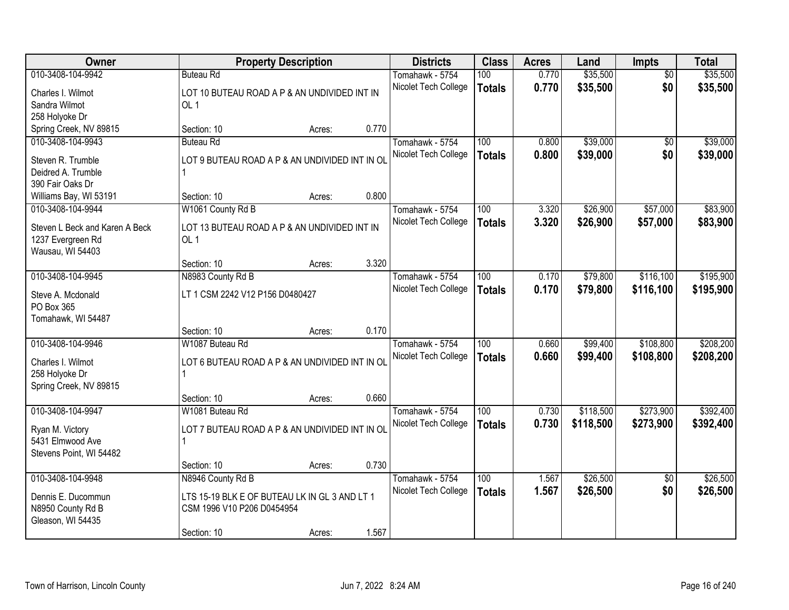| Owner                                  | <b>Property Description</b>                          |        |       | <b>Districts</b>     | <b>Class</b>     | <b>Acres</b> | Land      | Impts           | <b>Total</b> |
|----------------------------------------|------------------------------------------------------|--------|-------|----------------------|------------------|--------------|-----------|-----------------|--------------|
| 010-3408-104-9942                      | <b>Buteau Rd</b>                                     |        |       | Tomahawk - 5754      | 100              | 0.770        | \$35,500  | $\overline{50}$ | \$35,500     |
| Charles I. Wilmot                      | LOT 10 BUTEAU ROAD A P & AN UNDIVIDED INT IN         |        |       | Nicolet Tech College | <b>Totals</b>    | 0.770        | \$35,500  | \$0             | \$35,500     |
| Sandra Wilmot                          | OL <sub>1</sub>                                      |        |       |                      |                  |              |           |                 |              |
| 258 Holyoke Dr                         |                                                      |        |       |                      |                  |              |           |                 |              |
| Spring Creek, NV 89815                 | Section: 10                                          | Acres: | 0.770 |                      |                  |              |           |                 |              |
| 010-3408-104-9943                      | <b>Buteau Rd</b>                                     |        |       | Tomahawk - 5754      | 100              | 0.800        | \$39,000  | $\overline{50}$ | \$39,000     |
| Steven R. Trumble                      | LOT 9 BUTEAU ROAD A P & AN UNDIVIDED INT IN OL       |        |       | Nicolet Tech College | <b>Totals</b>    | 0.800        | \$39,000  | \$0             | \$39,000     |
| Deidred A. Trumble                     | 1                                                    |        |       |                      |                  |              |           |                 |              |
| 390 Fair Oaks Dr                       |                                                      |        |       |                      |                  |              |           |                 |              |
| Williams Bay, WI 53191                 | Section: 10                                          | Acres: | 0.800 |                      |                  |              |           |                 |              |
| 010-3408-104-9944                      | W1061 County Rd B                                    |        |       | Tomahawk - 5754      | 100              | 3.320        | \$26,900  | \$57,000        | \$83,900     |
| Steven L Beck and Karen A Beck         | LOT 13 BUTEAU ROAD A P & AN UNDIVIDED INT IN         |        |       | Nicolet Tech College | <b>Totals</b>    | 3.320        | \$26,900  | \$57,000        | \$83,900     |
| 1237 Evergreen Rd                      | OL <sub>1</sub>                                      |        |       |                      |                  |              |           |                 |              |
| Wausau, WI 54403                       |                                                      |        |       |                      |                  |              |           |                 |              |
|                                        | Section: 10                                          | Acres: | 3.320 |                      |                  |              |           |                 |              |
| 010-3408-104-9945                      | N8983 County Rd B                                    |        |       | Tomahawk - 5754      | 100              | 0.170        | \$79,800  | \$116,100       | \$195,900    |
| Steve A. Mcdonald                      | LT 1 CSM 2242 V12 P156 D0480427                      |        |       | Nicolet Tech College | <b>Totals</b>    | 0.170        | \$79,800  | \$116,100       | \$195,900    |
| PO Box 365                             |                                                      |        |       |                      |                  |              |           |                 |              |
| Tomahawk, WI 54487                     |                                                      |        |       |                      |                  |              |           |                 |              |
|                                        | Section: 10                                          | Acres: | 0.170 |                      |                  |              |           |                 |              |
| 010-3408-104-9946                      | W1087 Buteau Rd                                      |        |       | Tomahawk - 5754      | $\overline{100}$ | 0.660        | \$99,400  | \$108,800       | \$208,200    |
|                                        |                                                      |        |       | Nicolet Tech College | <b>Totals</b>    | 0.660        | \$99,400  | \$108,800       | \$208,200    |
| Charles I. Wilmot<br>258 Holyoke Dr    | LOT 6 BUTEAU ROAD A P & AN UNDIVIDED INT IN OL<br>1. |        |       |                      |                  |              |           |                 |              |
| Spring Creek, NV 89815                 |                                                      |        |       |                      |                  |              |           |                 |              |
|                                        | Section: 10                                          | Acres: | 0.660 |                      |                  |              |           |                 |              |
| 010-3408-104-9947                      | W1081 Buteau Rd                                      |        |       | Tomahawk - 5754      | 100              | 0.730        | \$118,500 | \$273,900       | \$392,400    |
|                                        |                                                      |        |       | Nicolet Tech College | <b>Totals</b>    | 0.730        | \$118,500 | \$273,900       | \$392,400    |
| Ryan M. Victory<br>5431 Elmwood Ave    | LOT 7 BUTEAU ROAD A P & AN UNDIVIDED INT IN OL<br>1  |        |       |                      |                  |              |           |                 |              |
| Stevens Point, WI 54482                |                                                      |        |       |                      |                  |              |           |                 |              |
|                                        | Section: 10                                          | Acres: | 0.730 |                      |                  |              |           |                 |              |
| 010-3408-104-9948                      | N8946 County Rd B                                    |        |       | Tomahawk - 5754      | 100              | 1.567        | \$26,500  | $\overline{50}$ | \$26,500     |
|                                        |                                                      |        |       | Nicolet Tech College | <b>Totals</b>    | 1.567        | \$26,500  | \$0             | \$26,500     |
| Dennis E. Ducommun                     | LTS 15-19 BLK E OF BUTEAU LK IN GL 3 AND LT 1        |        |       |                      |                  |              |           |                 |              |
| N8950 County Rd B<br>Gleason, WI 54435 | CSM 1996 V10 P206 D0454954                           |        |       |                      |                  |              |           |                 |              |
|                                        | Section: 10                                          | Acres: | 1.567 |                      |                  |              |           |                 |              |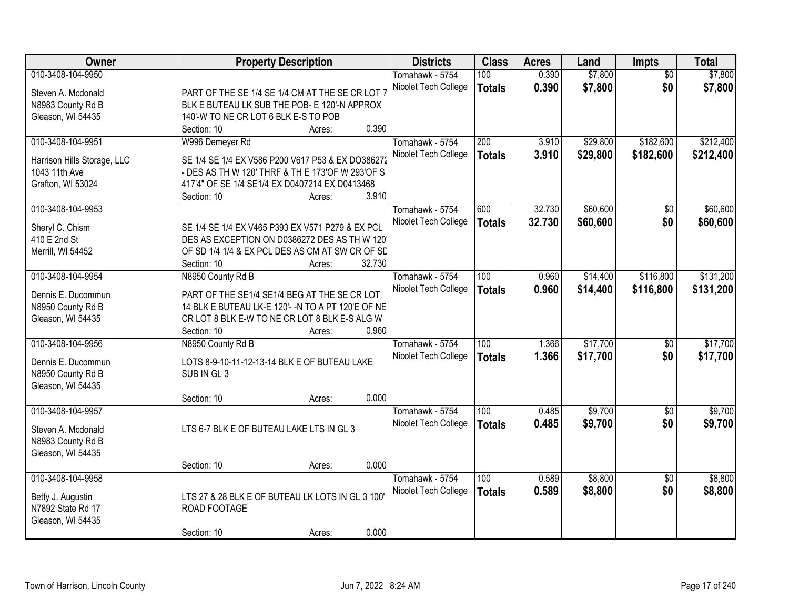| Owner                                        | <b>Property Description</b>                                                                           |                  | <b>Districts</b>     | <b>Class</b>  | <b>Acres</b> | Land     | <b>Impts</b>    | <b>Total</b> |
|----------------------------------------------|-------------------------------------------------------------------------------------------------------|------------------|----------------------|---------------|--------------|----------|-----------------|--------------|
| 010-3408-104-9950                            |                                                                                                       |                  | Tomahawk - 5754      | 100           | 0.390        | \$7,800  | $\overline{50}$ | \$7,800      |
| Steven A. Mcdonald                           | PART OF THE SE 1/4 SE 1/4 CM AT THE SE CR LOT 7                                                       |                  | Nicolet Tech College | <b>Totals</b> | 0.390        | \$7,800  | \$0             | \$7,800      |
| N8983 County Rd B                            | BLK E BUTEAU LK SUB THE POB- E 120'-N APPROX                                                          |                  |                      |               |              |          |                 |              |
| Gleason, WI 54435                            | 140'-W TO NE CR LOT 6 BLK E-S TO POB                                                                  |                  |                      |               |              |          |                 |              |
|                                              | Section: 10                                                                                           | 0.390<br>Acres:  |                      |               |              |          |                 |              |
| 010-3408-104-9951                            | W996 Demeyer Rd                                                                                       |                  | Tomahawk - 5754      | 200           | 3.910        | \$29,800 | \$182,600       | \$212,400    |
|                                              |                                                                                                       |                  | Nicolet Tech College | <b>Totals</b> | 3.910        | \$29,800 | \$182,600       | \$212,400    |
| Harrison Hills Storage, LLC<br>1043 11th Ave | SE 1/4 SE 1/4 EX V586 P200 V617 P53 & EX DO386272<br>- DES AS TH W 120' THRF & TH E 173'OF W 293'OF S |                  |                      |               |              |          |                 |              |
| Grafton, WI 53024                            | 417'4" OF SE 1/4 SE1/4 EX D0407214 EX D0413468                                                        |                  |                      |               |              |          |                 |              |
|                                              | Section: 10                                                                                           | 3.910<br>Acres:  |                      |               |              |          |                 |              |
| 010-3408-104-9953                            |                                                                                                       |                  | Tomahawk - 5754      | 600           | 32.730       | \$60,600 | \$0             | \$60,600     |
|                                              |                                                                                                       |                  | Nicolet Tech College | <b>Totals</b> | 32.730       | \$60,600 | \$0             | \$60,600     |
| Sheryl C. Chism                              | SE 1/4 SE 1/4 EX V465 P393 EX V571 P279 & EX PCL                                                      |                  |                      |               |              |          |                 |              |
| 410 E 2nd St                                 | DES AS EXCEPTION ON D0386272 DES AS THW 120'                                                          |                  |                      |               |              |          |                 |              |
| Merrill, WI 54452                            | OF SD 1/4 1/4 & EX PCL DES AS CM AT SW CR OF SD                                                       |                  |                      |               |              |          |                 |              |
|                                              | Section: 10                                                                                           | 32.730<br>Acres: |                      |               |              |          |                 |              |
| 010-3408-104-9954                            | N8950 County Rd B                                                                                     |                  | Tomahawk - 5754      | 100           | 0.960        | \$14,400 | \$116,800       | \$131,200    |
| Dennis E. Ducommun                           | PART OF THE SE1/4 SE1/4 BEG AT THE SE CR LOT                                                          |                  | Nicolet Tech College | <b>Totals</b> | 0.960        | \$14,400 | \$116,800       | \$131,200    |
| N8950 County Rd B                            | 14 BLK E BUTEAU LK-E 120'- -N TO A PT 120'E OF NE                                                     |                  |                      |               |              |          |                 |              |
| Gleason, WI 54435                            | CR LOT 8 BLK E-W TO NE CR LOT 8 BLK E-S ALG W                                                         |                  |                      |               |              |          |                 |              |
|                                              | Section: 10                                                                                           | 0.960<br>Acres:  |                      |               |              |          |                 |              |
| 010-3408-104-9956                            | N8950 County Rd B                                                                                     |                  | Tomahawk - 5754      | 100           | 1.366        | \$17,700 | $\overline{50}$ | \$17,700     |
|                                              |                                                                                                       |                  | Nicolet Tech College | <b>Totals</b> | 1.366        | \$17,700 | \$0             | \$17,700     |
| Dennis E. Ducommun                           | LOTS 8-9-10-11-12-13-14 BLK E OF BUTEAU LAKE                                                          |                  |                      |               |              |          |                 |              |
| N8950 County Rd B<br>Gleason, WI 54435       | SUB IN GL 3                                                                                           |                  |                      |               |              |          |                 |              |
|                                              | Section: 10                                                                                           | 0.000<br>Acres:  |                      |               |              |          |                 |              |
| 010-3408-104-9957                            |                                                                                                       |                  | Tomahawk - 5754      | 100           | 0.485        | \$9,700  | $\sqrt{6}$      | \$9,700      |
|                                              |                                                                                                       |                  | Nicolet Tech College |               | 0.485        | \$9,700  | \$0             | \$9,700      |
| Steven A. Mcdonald                           | LTS 6-7 BLK E OF BUTEAU LAKE LTS IN GL 3                                                              |                  |                      | <b>Totals</b> |              |          |                 |              |
| N8983 County Rd B                            |                                                                                                       |                  |                      |               |              |          |                 |              |
| Gleason, WI 54435                            |                                                                                                       |                  |                      |               |              |          |                 |              |
|                                              | Section: 10                                                                                           | 0.000<br>Acres:  |                      |               |              |          |                 |              |
| 010-3408-104-9958                            |                                                                                                       |                  | Tomahawk - 5754      | 100           | 0.589        | \$8,800  | $\overline{30}$ | \$8,800      |
| Betty J. Augustin                            | LTS 27 & 28 BLK E OF BUTEAU LK LOTS IN GL 3 100'                                                      |                  | Nicolet Tech College | <b>Totals</b> | 0.589        | \$8,800  | \$0             | \$8,800      |
| N7892 State Rd 17                            | ROAD FOOTAGE                                                                                          |                  |                      |               |              |          |                 |              |
| Gleason, WI 54435                            |                                                                                                       |                  |                      |               |              |          |                 |              |
|                                              | Section: 10                                                                                           | 0.000<br>Acres:  |                      |               |              |          |                 |              |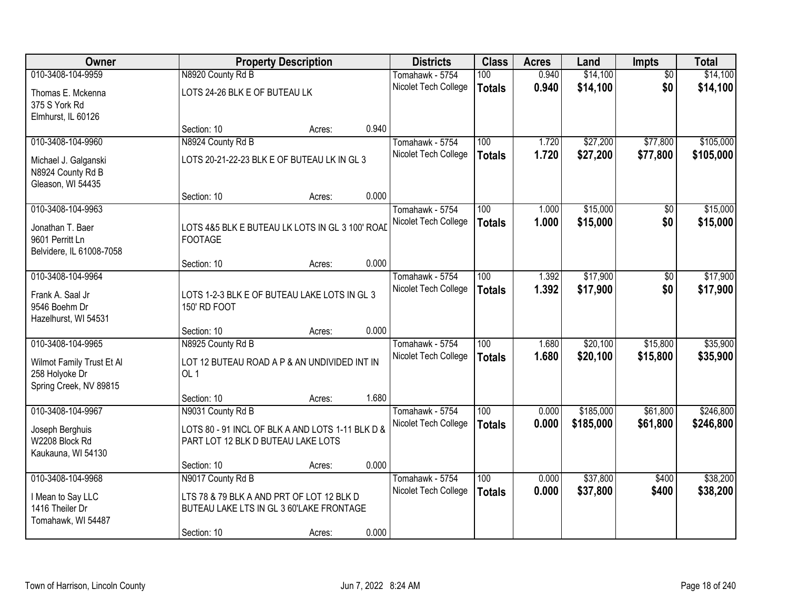| Owner                                       |                                                  | <b>Property Description</b> |       | <b>Districts</b>                        | <b>Class</b>     | <b>Acres</b>   | Land      | Impts           | <b>Total</b> |
|---------------------------------------------|--------------------------------------------------|-----------------------------|-------|-----------------------------------------|------------------|----------------|-----------|-----------------|--------------|
| 010-3408-104-9959                           | N8920 County Rd B                                |                             |       | Tomahawk - 5754                         | 100              | 0.940          | \$14,100  | $\overline{50}$ | \$14,100     |
| Thomas E. Mckenna                           | LOTS 24-26 BLK E OF BUTEAU LK                    |                             |       | Nicolet Tech College                    | <b>Totals</b>    | 0.940          | \$14,100  | \$0             | \$14,100     |
| 375 S York Rd                               |                                                  |                             |       |                                         |                  |                |           |                 |              |
| Elmhurst, IL 60126                          |                                                  |                             |       |                                         |                  |                |           |                 |              |
|                                             | Section: 10                                      | Acres:                      | 0.940 |                                         |                  |                |           |                 |              |
| 010-3408-104-9960                           | N8924 County Rd B                                |                             |       | Tomahawk - 5754                         | 100              | 1.720          | \$27,200  | \$77,800        | \$105,000    |
| Michael J. Galganski                        | LOTS 20-21-22-23 BLK E OF BUTEAU LK IN GL 3      |                             |       | Nicolet Tech College                    | <b>Totals</b>    | 1.720          | \$27,200  | \$77,800        | \$105,000    |
| N8924 County Rd B                           |                                                  |                             |       |                                         |                  |                |           |                 |              |
| Gleason, WI 54435                           | Section: 10                                      |                             | 0.000 |                                         |                  |                |           |                 |              |
| 010-3408-104-9963                           |                                                  | Acres:                      |       | Tomahawk - 5754                         | 100              | 1.000          | \$15,000  | \$0             | \$15,000     |
|                                             |                                                  |                             |       | Nicolet Tech College                    | <b>Totals</b>    | 1.000          | \$15,000  | \$0             | \$15,000     |
| Jonathan T. Baer                            | LOTS 4&5 BLK E BUTEAU LK LOTS IN GL 3 100' ROAD  |                             |       |                                         |                  |                |           |                 |              |
| 9601 Perritt Ln<br>Belvidere, IL 61008-7058 | <b>FOOTAGE</b>                                   |                             |       |                                         |                  |                |           |                 |              |
|                                             | Section: 10                                      | Acres:                      | 0.000 |                                         |                  |                |           |                 |              |
| 010-3408-104-9964                           |                                                  |                             |       | Tomahawk - 5754                         | 100              | 1.392          | \$17,900  | \$0             | \$17,900     |
| Frank A. Saal Jr                            | LOTS 1-2-3 BLK E OF BUTEAU LAKE LOTS IN GL 3     |                             |       | Nicolet Tech College                    | <b>Totals</b>    | 1.392          | \$17,900  | \$0             | \$17,900     |
| 9546 Boehm Dr                               | 150' RD FOOT                                     |                             |       |                                         |                  |                |           |                 |              |
| Hazelhurst, WI 54531                        |                                                  |                             |       |                                         |                  |                |           |                 |              |
|                                             | Section: 10                                      | Acres:                      | 0.000 |                                         |                  |                |           |                 |              |
| 010-3408-104-9965                           | N8925 County Rd B                                |                             |       | Tomahawk - 5754                         | $\overline{100}$ | 1.680          | \$20,100  | \$15,800        | \$35,900     |
| Wilmot Family Trust Et Al                   | LOT 12 BUTEAU ROAD A P & AN UNDIVIDED INT IN     |                             |       | Nicolet Tech College                    | <b>Totals</b>    | 1.680          | \$20,100  | \$15,800        | \$35,900     |
| 258 Holyoke Dr                              | OL <sub>1</sub>                                  |                             |       |                                         |                  |                |           |                 |              |
| Spring Creek, NV 89815                      |                                                  |                             |       |                                         |                  |                |           |                 |              |
|                                             | Section: 10                                      | Acres:                      | 1.680 |                                         |                  |                |           |                 |              |
| 010-3408-104-9967                           | N9031 County Rd B                                |                             |       | Tomahawk - 5754<br>Nicolet Tech College | 100              | 0.000<br>0.000 | \$185,000 | \$61,800        | \$246,800    |
| Joseph Berghuis                             | LOTS 80 - 91 INCL OF BLK A AND LOTS 1-11 BLK D & |                             |       |                                         | <b>Totals</b>    |                | \$185,000 | \$61,800        | \$246,800    |
| W2208 Block Rd                              | PART LOT 12 BLK D BUTEAU LAKE LOTS               |                             |       |                                         |                  |                |           |                 |              |
| Kaukauna, WI 54130                          | Section: 10                                      | Acres:                      | 0.000 |                                         |                  |                |           |                 |              |
| 010-3408-104-9968                           | N9017 County Rd B                                |                             |       | Tomahawk - 5754                         | 100              | 0.000          | \$37,800  | \$400           | \$38,200     |
|                                             |                                                  |                             |       | Nicolet Tech College                    | <b>Totals</b>    | 0.000          | \$37,800  | \$400           | \$38,200     |
| I Mean to Say LLC<br>1416 Theiler Dr        | LTS 78 & 79 BLK A AND PRT OF LOT 12 BLK D        |                             |       |                                         |                  |                |           |                 |              |
| Tomahawk, WI 54487                          | BUTEAU LAKE LTS IN GL 3 60'LAKE FRONTAGE         |                             |       |                                         |                  |                |           |                 |              |
|                                             | Section: 10                                      | Acres:                      | 0.000 |                                         |                  |                |           |                 |              |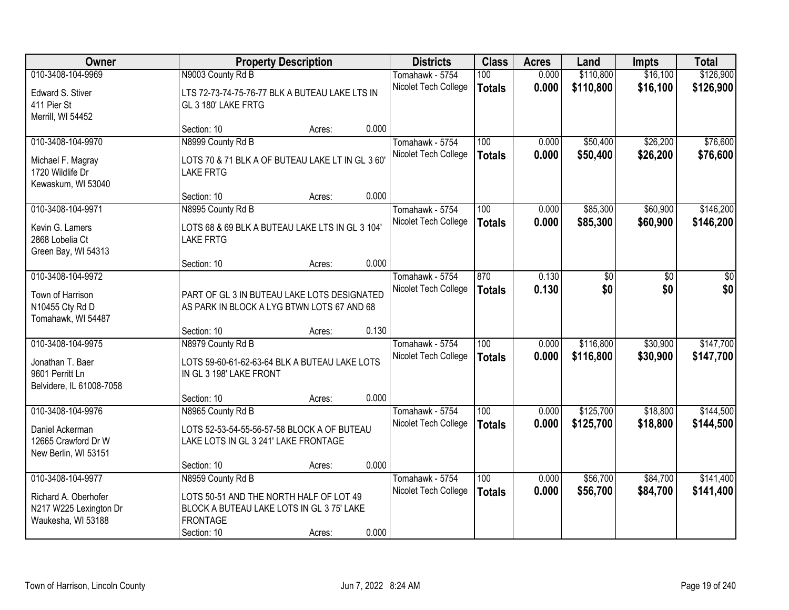| Owner                                                                                |                                                                                                                        | <b>Property Description</b> |       | <b>Districts</b>                        | <b>Class</b>         | <b>Acres</b>   | Land                   | <b>Impts</b>         | <b>Total</b>           |
|--------------------------------------------------------------------------------------|------------------------------------------------------------------------------------------------------------------------|-----------------------------|-------|-----------------------------------------|----------------------|----------------|------------------------|----------------------|------------------------|
| 010-3408-104-9969                                                                    | N9003 County Rd B                                                                                                      |                             |       | Tomahawk - 5754                         | 100                  | 0.000          | \$110,800              | \$16,100             | \$126,900              |
| Edward S. Stiver<br>411 Pier St<br>Merrill, WI 54452                                 | LTS 72-73-74-75-76-77 BLK A BUTEAU LAKE LTS IN<br>GL 3 180' LAKE FRTG                                                  |                             |       | Nicolet Tech College                    | <b>Totals</b>        | 0.000          | \$110,800              | \$16,100             | \$126,900              |
|                                                                                      | Section: 10                                                                                                            | Acres:                      | 0.000 |                                         |                      |                |                        |                      |                        |
| 010-3408-104-9970                                                                    | N8999 County Rd B                                                                                                      |                             |       | Tomahawk - 5754                         | 100                  | 0.000          | \$50,400               | \$26,200             | \$76,600               |
| Michael F. Magray<br>1720 Wildlife Dr<br>Kewaskum, WI 53040                          | LOTS 70 & 71 BLK A OF BUTEAU LAKE LT IN GL 3 60'<br><b>LAKE FRTG</b>                                                   |                             |       | Nicolet Tech College                    | <b>Totals</b>        | 0.000          | \$50,400               | \$26,200             | \$76,600               |
|                                                                                      | Section: 10                                                                                                            | Acres:                      | 0.000 |                                         |                      |                |                        |                      |                        |
| 010-3408-104-9971                                                                    | N8995 County Rd B                                                                                                      |                             |       | Tomahawk - 5754                         | 100                  | 0.000          | \$85,300               | \$60,900             | \$146,200              |
| Kevin G. Lamers<br>2868 Lobelia Ct<br>Green Bay, WI 54313                            | LOTS 68 & 69 BLK A BUTEAU LAKE LTS IN GL 3 104'<br><b>LAKE FRTG</b>                                                    |                             |       | Nicolet Tech College                    | <b>Totals</b>        | 0.000          | \$85,300               | \$60,900             | \$146,200              |
|                                                                                      | Section: 10                                                                                                            | Acres:                      | 0.000 |                                         |                      |                |                        |                      |                        |
| 010-3408-104-9972                                                                    |                                                                                                                        |                             |       | Tomahawk - 5754                         | 870                  | 0.130          | \$0                    | \$0                  | \$0                    |
| Town of Harrison<br>N10455 Cty Rd D<br>Tomahawk, WI 54487                            | PART OF GL 3 IN BUTEAU LAKE LOTS DESIGNATED<br>AS PARK IN BLOCK A LYG BTWN LOTS 67 AND 68                              |                             |       | Nicolet Tech College                    | <b>Totals</b>        | 0.130          | \$0                    | \$0                  | \$0                    |
|                                                                                      | Section: 10                                                                                                            | Acres:                      | 0.130 |                                         |                      |                |                        |                      |                        |
| 010-3408-104-9975<br>Jonathan T. Baer<br>9601 Perritt Ln<br>Belvidere, IL 61008-7058 | N8979 County Rd B<br>LOTS 59-60-61-62-63-64 BLK A BUTEAU LAKE LOTS<br>IN GL 3 198' LAKE FRONT                          |                             |       | Tomahawk - 5754<br>Nicolet Tech College | 100<br><b>Totals</b> | 0.000<br>0.000 | \$116,800<br>\$116,800 | \$30,900<br>\$30,900 | \$147,700<br>\$147,700 |
|                                                                                      | Section: 10                                                                                                            | Acres:                      | 0.000 |                                         |                      |                |                        |                      |                        |
| 010-3408-104-9976                                                                    | N8965 County Rd B                                                                                                      |                             |       | Tomahawk - 5754                         | 100                  | 0.000          | \$125,700              | \$18,800             | \$144,500              |
| Daniel Ackerman<br>12665 Crawford Dr W<br>New Berlin, WI 53151                       | LOTS 52-53-54-55-56-57-58 BLOCK A OF BUTEAU<br>LAKE LOTS IN GL 3 241' LAKE FRONTAGE                                    |                             |       | Nicolet Tech College                    | <b>Totals</b>        | 0.000          | \$125,700              | \$18,800             | \$144,500              |
|                                                                                      | Section: 10                                                                                                            | Acres:                      | 0.000 |                                         |                      |                |                        |                      |                        |
| 010-3408-104-9977                                                                    | N8959 County Rd B                                                                                                      |                             |       | Tomahawk - 5754                         | 100                  | 0.000          | \$56,700               | \$84,700             | \$141,400              |
| Richard A. Oberhofer<br>N217 W225 Lexington Dr<br>Waukesha, WI 53188                 | LOTS 50-51 AND THE NORTH HALF OF LOT 49<br>BLOCK A BUTEAU LAKE LOTS IN GL 3 75' LAKE<br><b>FRONTAGE</b><br>Section: 10 | Acres:                      | 0.000 | Nicolet Tech College                    | <b>Totals</b>        | 0.000          | \$56,700               | \$84,700             | \$141,400              |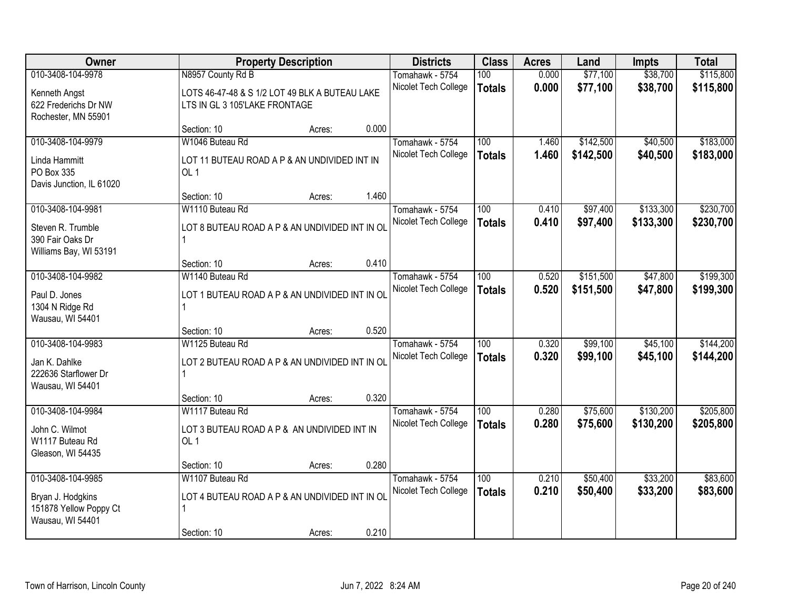| Owner                                                                                |                                                                                                      | <b>Property Description</b> |       | <b>Districts</b>                        | <b>Class</b>         | <b>Acres</b>   | Land                   | <b>Impts</b>           | <b>Total</b>           |
|--------------------------------------------------------------------------------------|------------------------------------------------------------------------------------------------------|-----------------------------|-------|-----------------------------------------|----------------------|----------------|------------------------|------------------------|------------------------|
| 010-3408-104-9978<br>Kenneth Angst<br>622 Frederichs Dr NW                           | N8957 County Rd B<br>LOTS 46-47-48 & S 1/2 LOT 49 BLK A BUTEAU LAKE<br>LTS IN GL 3 105'LAKE FRONTAGE |                             |       | Tomahawk - 5754<br>Nicolet Tech College | 100<br><b>Totals</b> | 0.000<br>0.000 | \$77,100<br>\$77,100   | \$38,700<br>\$38,700   | \$115,800<br>\$115,800 |
| Rochester, MN 55901                                                                  | Section: 10                                                                                          | Acres:                      | 0.000 |                                         |                      |                |                        |                        |                        |
| 010-3408-104-9979<br>Linda Hammitt<br>PO Box 335<br>Davis Junction, IL 61020         | W1046 Buteau Rd<br>LOT 11 BUTEAU ROAD A P & AN UNDIVIDED INT IN<br>OL <sub>1</sub>                   |                             |       | Tomahawk - 5754<br>Nicolet Tech College | 100<br><b>Totals</b> | 1.460<br>1.460 | \$142,500<br>\$142,500 | \$40,500<br>\$40,500   | \$183,000<br>\$183,000 |
| 010-3408-104-9981<br>Steven R. Trumble<br>390 Fair Oaks Dr<br>Williams Bay, WI 53191 | Section: 10<br>W1110 Buteau Rd<br>LOT 8 BUTEAU ROAD A P & AN UNDIVIDED INT IN OL                     | Acres:                      | 1.460 | Tomahawk - 5754<br>Nicolet Tech College | 100<br><b>Totals</b> | 0.410<br>0.410 | \$97,400<br>\$97,400   | \$133,300<br>\$133,300 | \$230,700<br>\$230,700 |
|                                                                                      | Section: 10                                                                                          | Acres:                      | 0.410 |                                         |                      |                |                        |                        |                        |
| 010-3408-104-9982<br>Paul D. Jones<br>1304 N Ridge Rd<br>Wausau, WI 54401            | W1140 Buteau Rd<br>LOT 1 BUTEAU ROAD A P & AN UNDIVIDED INT IN OL                                    |                             |       | Tomahawk - 5754<br>Nicolet Tech College | 100<br><b>Totals</b> | 0.520<br>0.520 | \$151,500<br>\$151,500 | \$47,800<br>\$47,800   | \$199,300<br>\$199,300 |
|                                                                                      | Section: 10                                                                                          | Acres:                      | 0.520 |                                         |                      |                |                        |                        |                        |
| 010-3408-104-9983<br>Jan K. Dahlke<br>222636 Starflower Dr<br>Wausau, WI 54401       | W1125 Buteau Rd<br>LOT 2 BUTEAU ROAD A P & AN UNDIVIDED INT IN OL<br>Section: 10                     | Acres:                      | 0.320 | Tomahawk - 5754<br>Nicolet Tech College | 100<br><b>Totals</b> | 0.320<br>0.320 | \$99,100<br>\$99,100   | \$45,100<br>\$45,100   | \$144,200<br>\$144,200 |
| 010-3408-104-9984<br>John C. Wilmot<br>W1117 Buteau Rd<br>Gleason, WI 54435          | W1117 Buteau Rd<br>LOT 3 BUTEAU ROAD A P & AN UNDIVIDED INT IN<br>OL <sub>1</sub>                    |                             |       | Tomahawk - 5754<br>Nicolet Tech College | 100<br><b>Totals</b> | 0.280<br>0.280 | \$75,600<br>\$75,600   | \$130,200<br>\$130,200 | \$205,800<br>\$205,800 |
|                                                                                      | Section: 10                                                                                          | Acres:                      | 0.280 |                                         |                      |                |                        |                        |                        |
| 010-3408-104-9985<br>Bryan J. Hodgkins<br>151878 Yellow Poppy Ct<br>Wausau, WI 54401 | W1107 Buteau Rd<br>LOT 4 BUTEAU ROAD A P & AN UNDIVIDED INT IN OL<br>Section: 10                     | Acres:                      | 0.210 | Tomahawk - 5754<br>Nicolet Tech College | 100<br><b>Totals</b> | 0.210<br>0.210 | \$50,400<br>\$50,400   | \$33,200<br>\$33,200   | \$83,600<br>\$83,600   |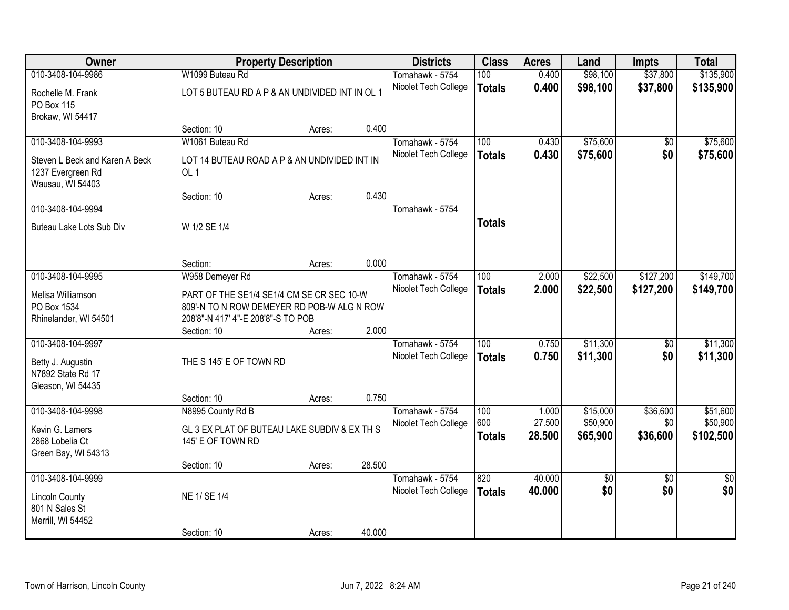| \$135,900<br>010-3408-104-9986<br>W1099 Buteau Rd<br>100<br>0.400<br>\$98,100<br>\$37,800<br>Tomahawk - 5754<br>0.400<br>\$98,100<br>\$37,800<br>Nicolet Tech College<br>\$135,900<br><b>Totals</b><br>LOT 5 BUTEAU RD A P & AN UNDIVIDED INT IN OL 1<br>Rochelle M. Frank<br>PO Box 115<br>Brokaw, WI 54417<br>0.400<br>Section: 10<br>Acres:<br>W1061 Buteau Rd<br>\$75,600<br>\$75,600<br>010-3408-104-9993<br>100<br>0.430<br>Tomahawk - 5754<br>\$0<br>\$0<br>0.430<br>\$75,600<br>\$75,600<br>Nicolet Tech College<br><b>Totals</b><br>Steven L Beck and Karen A Beck<br>LOT 14 BUTEAU ROAD A P & AN UNDIVIDED INT IN<br>OL 1<br>1237 Evergreen Rd<br>Wausau, WI 54403<br>0.430<br>Section: 10<br>Acres:<br>010-3408-104-9994<br>Tomahawk - 5754<br><b>Totals</b><br>Buteau Lake Lots Sub Div<br>W 1/2 SE 1/4<br>0.000<br>Section:<br>Acres:<br>\$22,500<br>\$127,200<br>\$149,700<br>010-3408-104-9995<br>Tomahawk - 5754<br>100<br>2.000<br>W958 Demeyer Rd<br>Nicolet Tech College<br>2.000<br>\$22,500<br>\$127,200<br>\$149,700<br><b>Totals</b><br>Melisa Williamson<br>PART OF THE SE1/4 SE1/4 CM SE CR SEC 10-W<br>PO Box 1534<br>809'-N TO N ROW DEMEYER RD POB-W ALG N ROW<br>208'8"-N 417' 4"-E 208'8"-S TO POB<br>Rhinelander, WI 54501<br>2.000<br>Section: 10<br>Acres:<br>010-3408-104-9997<br>$\overline{100}$<br>\$11,300<br>0.750<br>\$0<br>Tomahawk - 5754<br>0.750<br>\$11,300<br>\$0<br>Nicolet Tech College<br><b>Totals</b><br>THE S 145' E OF TOWN RD<br>Betty J. Augustin<br>N7892 State Rd 17<br>Gleason, WI 54435<br>0.750<br>Section: 10<br>Acres:<br>010-3408-104-9998<br>N8995 County Rd B<br>\$15,000<br>\$36,600<br>Tomahawk - 5754<br>100<br>1.000<br>600<br>\$50,900<br>27.500<br>\$0<br>Nicolet Tech College<br>GL 3 EX PLAT OF BUTEAU LAKE SUBDIV & EX TH S<br>Kevin G. Lamers<br>\$65,900<br>\$36,600<br>28.500<br><b>Totals</b><br>2868 Lobelia Ct<br>145' E OF TOWN RD<br>Green Bay, WI 54313<br>28.500<br>Section: 10<br>Acres:<br>010-3408-104-9999<br>820<br>40.000<br>$\overline{50}$<br>Tomahawk - 5754<br>$\sqrt{$0}$<br>\$0<br>\$0<br>\$0<br>Nicolet Tech College<br>40.000<br><b>Totals</b><br>NE 1/ SE 1/4<br><b>Lincoln County</b><br>801 N Sales St<br>Merrill, WI 54452 | Owner |             | <b>Property Description</b> |        | <b>Districts</b> | <b>Class</b> | <b>Acres</b> | Land | <b>Impts</b> | <b>Total</b> |
|----------------------------------------------------------------------------------------------------------------------------------------------------------------------------------------------------------------------------------------------------------------------------------------------------------------------------------------------------------------------------------------------------------------------------------------------------------------------------------------------------------------------------------------------------------------------------------------------------------------------------------------------------------------------------------------------------------------------------------------------------------------------------------------------------------------------------------------------------------------------------------------------------------------------------------------------------------------------------------------------------------------------------------------------------------------------------------------------------------------------------------------------------------------------------------------------------------------------------------------------------------------------------------------------------------------------------------------------------------------------------------------------------------------------------------------------------------------------------------------------------------------------------------------------------------------------------------------------------------------------------------------------------------------------------------------------------------------------------------------------------------------------------------------------------------------------------------------------------------------------------------------------------------------------------------------------------------------------------------------------------------------------------------------------------------------------------------------------------------------------------------------------------------------------------------------------------------------------------------|-------|-------------|-----------------------------|--------|------------------|--------------|--------------|------|--------------|--------------|
|                                                                                                                                                                                                                                                                                                                                                                                                                                                                                                                                                                                                                                                                                                                                                                                                                                                                                                                                                                                                                                                                                                                                                                                                                                                                                                                                                                                                                                                                                                                                                                                                                                                                                                                                                                                                                                                                                                                                                                                                                                                                                                                                                                                                                                  |       |             |                             |        |                  |              |              |      |              |              |
|                                                                                                                                                                                                                                                                                                                                                                                                                                                                                                                                                                                                                                                                                                                                                                                                                                                                                                                                                                                                                                                                                                                                                                                                                                                                                                                                                                                                                                                                                                                                                                                                                                                                                                                                                                                                                                                                                                                                                                                                                                                                                                                                                                                                                                  |       |             |                             |        |                  |              |              |      |              |              |
|                                                                                                                                                                                                                                                                                                                                                                                                                                                                                                                                                                                                                                                                                                                                                                                                                                                                                                                                                                                                                                                                                                                                                                                                                                                                                                                                                                                                                                                                                                                                                                                                                                                                                                                                                                                                                                                                                                                                                                                                                                                                                                                                                                                                                                  |       |             |                             |        |                  |              |              |      |              |              |
|                                                                                                                                                                                                                                                                                                                                                                                                                                                                                                                                                                                                                                                                                                                                                                                                                                                                                                                                                                                                                                                                                                                                                                                                                                                                                                                                                                                                                                                                                                                                                                                                                                                                                                                                                                                                                                                                                                                                                                                                                                                                                                                                                                                                                                  |       |             |                             |        |                  |              |              |      |              |              |
|                                                                                                                                                                                                                                                                                                                                                                                                                                                                                                                                                                                                                                                                                                                                                                                                                                                                                                                                                                                                                                                                                                                                                                                                                                                                                                                                                                                                                                                                                                                                                                                                                                                                                                                                                                                                                                                                                                                                                                                                                                                                                                                                                                                                                                  |       |             |                             |        |                  |              |              |      |              |              |
|                                                                                                                                                                                                                                                                                                                                                                                                                                                                                                                                                                                                                                                                                                                                                                                                                                                                                                                                                                                                                                                                                                                                                                                                                                                                                                                                                                                                                                                                                                                                                                                                                                                                                                                                                                                                                                                                                                                                                                                                                                                                                                                                                                                                                                  |       |             |                             |        |                  |              |              |      |              |              |
|                                                                                                                                                                                                                                                                                                                                                                                                                                                                                                                                                                                                                                                                                                                                                                                                                                                                                                                                                                                                                                                                                                                                                                                                                                                                                                                                                                                                                                                                                                                                                                                                                                                                                                                                                                                                                                                                                                                                                                                                                                                                                                                                                                                                                                  |       |             |                             |        |                  |              |              |      |              |              |
|                                                                                                                                                                                                                                                                                                                                                                                                                                                                                                                                                                                                                                                                                                                                                                                                                                                                                                                                                                                                                                                                                                                                                                                                                                                                                                                                                                                                                                                                                                                                                                                                                                                                                                                                                                                                                                                                                                                                                                                                                                                                                                                                                                                                                                  |       |             |                             |        |                  |              |              |      |              |              |
|                                                                                                                                                                                                                                                                                                                                                                                                                                                                                                                                                                                                                                                                                                                                                                                                                                                                                                                                                                                                                                                                                                                                                                                                                                                                                                                                                                                                                                                                                                                                                                                                                                                                                                                                                                                                                                                                                                                                                                                                                                                                                                                                                                                                                                  |       |             |                             |        |                  |              |              |      |              |              |
|                                                                                                                                                                                                                                                                                                                                                                                                                                                                                                                                                                                                                                                                                                                                                                                                                                                                                                                                                                                                                                                                                                                                                                                                                                                                                                                                                                                                                                                                                                                                                                                                                                                                                                                                                                                                                                                                                                                                                                                                                                                                                                                                                                                                                                  |       |             |                             |        |                  |              |              |      |              |              |
|                                                                                                                                                                                                                                                                                                                                                                                                                                                                                                                                                                                                                                                                                                                                                                                                                                                                                                                                                                                                                                                                                                                                                                                                                                                                                                                                                                                                                                                                                                                                                                                                                                                                                                                                                                                                                                                                                                                                                                                                                                                                                                                                                                                                                                  |       |             |                             |        |                  |              |              |      |              |              |
|                                                                                                                                                                                                                                                                                                                                                                                                                                                                                                                                                                                                                                                                                                                                                                                                                                                                                                                                                                                                                                                                                                                                                                                                                                                                                                                                                                                                                                                                                                                                                                                                                                                                                                                                                                                                                                                                                                                                                                                                                                                                                                                                                                                                                                  |       |             |                             |        |                  |              |              |      |              |              |
|                                                                                                                                                                                                                                                                                                                                                                                                                                                                                                                                                                                                                                                                                                                                                                                                                                                                                                                                                                                                                                                                                                                                                                                                                                                                                                                                                                                                                                                                                                                                                                                                                                                                                                                                                                                                                                                                                                                                                                                                                                                                                                                                                                                                                                  |       |             |                             |        |                  |              |              |      |              |              |
|                                                                                                                                                                                                                                                                                                                                                                                                                                                                                                                                                                                                                                                                                                                                                                                                                                                                                                                                                                                                                                                                                                                                                                                                                                                                                                                                                                                                                                                                                                                                                                                                                                                                                                                                                                                                                                                                                                                                                                                                                                                                                                                                                                                                                                  |       |             |                             |        |                  |              |              |      |              |              |
|                                                                                                                                                                                                                                                                                                                                                                                                                                                                                                                                                                                                                                                                                                                                                                                                                                                                                                                                                                                                                                                                                                                                                                                                                                                                                                                                                                                                                                                                                                                                                                                                                                                                                                                                                                                                                                                                                                                                                                                                                                                                                                                                                                                                                                  |       |             |                             |        |                  |              |              |      |              |              |
|                                                                                                                                                                                                                                                                                                                                                                                                                                                                                                                                                                                                                                                                                                                                                                                                                                                                                                                                                                                                                                                                                                                                                                                                                                                                                                                                                                                                                                                                                                                                                                                                                                                                                                                                                                                                                                                                                                                                                                                                                                                                                                                                                                                                                                  |       |             |                             |        |                  |              |              |      |              |              |
|                                                                                                                                                                                                                                                                                                                                                                                                                                                                                                                                                                                                                                                                                                                                                                                                                                                                                                                                                                                                                                                                                                                                                                                                                                                                                                                                                                                                                                                                                                                                                                                                                                                                                                                                                                                                                                                                                                                                                                                                                                                                                                                                                                                                                                  |       |             |                             |        |                  |              |              |      |              |              |
| \$11,300<br>\$11,300<br>\$51,600<br>\$50,900<br>\$102,500<br>$\overline{50}$                                                                                                                                                                                                                                                                                                                                                                                                                                                                                                                                                                                                                                                                                                                                                                                                                                                                                                                                                                                                                                                                                                                                                                                                                                                                                                                                                                                                                                                                                                                                                                                                                                                                                                                                                                                                                                                                                                                                                                                                                                                                                                                                                     |       |             |                             |        |                  |              |              |      |              |              |
|                                                                                                                                                                                                                                                                                                                                                                                                                                                                                                                                                                                                                                                                                                                                                                                                                                                                                                                                                                                                                                                                                                                                                                                                                                                                                                                                                                                                                                                                                                                                                                                                                                                                                                                                                                                                                                                                                                                                                                                                                                                                                                                                                                                                                                  |       |             |                             |        |                  |              |              |      |              |              |
|                                                                                                                                                                                                                                                                                                                                                                                                                                                                                                                                                                                                                                                                                                                                                                                                                                                                                                                                                                                                                                                                                                                                                                                                                                                                                                                                                                                                                                                                                                                                                                                                                                                                                                                                                                                                                                                                                                                                                                                                                                                                                                                                                                                                                                  |       |             |                             |        |                  |              |              |      |              |              |
|                                                                                                                                                                                                                                                                                                                                                                                                                                                                                                                                                                                                                                                                                                                                                                                                                                                                                                                                                                                                                                                                                                                                                                                                                                                                                                                                                                                                                                                                                                                                                                                                                                                                                                                                                                                                                                                                                                                                                                                                                                                                                                                                                                                                                                  |       |             |                             |        |                  |              |              |      |              |              |
|                                                                                                                                                                                                                                                                                                                                                                                                                                                                                                                                                                                                                                                                                                                                                                                                                                                                                                                                                                                                                                                                                                                                                                                                                                                                                                                                                                                                                                                                                                                                                                                                                                                                                                                                                                                                                                                                                                                                                                                                                                                                                                                                                                                                                                  |       |             |                             |        |                  |              |              |      |              |              |
|                                                                                                                                                                                                                                                                                                                                                                                                                                                                                                                                                                                                                                                                                                                                                                                                                                                                                                                                                                                                                                                                                                                                                                                                                                                                                                                                                                                                                                                                                                                                                                                                                                                                                                                                                                                                                                                                                                                                                                                                                                                                                                                                                                                                                                  |       |             |                             |        |                  |              |              |      |              |              |
|                                                                                                                                                                                                                                                                                                                                                                                                                                                                                                                                                                                                                                                                                                                                                                                                                                                                                                                                                                                                                                                                                                                                                                                                                                                                                                                                                                                                                                                                                                                                                                                                                                                                                                                                                                                                                                                                                                                                                                                                                                                                                                                                                                                                                                  |       |             |                             |        |                  |              |              |      |              |              |
|                                                                                                                                                                                                                                                                                                                                                                                                                                                                                                                                                                                                                                                                                                                                                                                                                                                                                                                                                                                                                                                                                                                                                                                                                                                                                                                                                                                                                                                                                                                                                                                                                                                                                                                                                                                                                                                                                                                                                                                                                                                                                                                                                                                                                                  |       |             |                             |        |                  |              |              |      |              |              |
|                                                                                                                                                                                                                                                                                                                                                                                                                                                                                                                                                                                                                                                                                                                                                                                                                                                                                                                                                                                                                                                                                                                                                                                                                                                                                                                                                                                                                                                                                                                                                                                                                                                                                                                                                                                                                                                                                                                                                                                                                                                                                                                                                                                                                                  |       |             |                             |        |                  |              |              |      |              |              |
|                                                                                                                                                                                                                                                                                                                                                                                                                                                                                                                                                                                                                                                                                                                                                                                                                                                                                                                                                                                                                                                                                                                                                                                                                                                                                                                                                                                                                                                                                                                                                                                                                                                                                                                                                                                                                                                                                                                                                                                                                                                                                                                                                                                                                                  |       |             |                             |        |                  |              |              |      |              |              |
|                                                                                                                                                                                                                                                                                                                                                                                                                                                                                                                                                                                                                                                                                                                                                                                                                                                                                                                                                                                                                                                                                                                                                                                                                                                                                                                                                                                                                                                                                                                                                                                                                                                                                                                                                                                                                                                                                                                                                                                                                                                                                                                                                                                                                                  |       |             |                             |        |                  |              |              |      |              |              |
|                                                                                                                                                                                                                                                                                                                                                                                                                                                                                                                                                                                                                                                                                                                                                                                                                                                                                                                                                                                                                                                                                                                                                                                                                                                                                                                                                                                                                                                                                                                                                                                                                                                                                                                                                                                                                                                                                                                                                                                                                                                                                                                                                                                                                                  |       |             |                             |        |                  |              |              |      |              |              |
|                                                                                                                                                                                                                                                                                                                                                                                                                                                                                                                                                                                                                                                                                                                                                                                                                                                                                                                                                                                                                                                                                                                                                                                                                                                                                                                                                                                                                                                                                                                                                                                                                                                                                                                                                                                                                                                                                                                                                                                                                                                                                                                                                                                                                                  |       |             |                             |        |                  |              |              |      |              |              |
|                                                                                                                                                                                                                                                                                                                                                                                                                                                                                                                                                                                                                                                                                                                                                                                                                                                                                                                                                                                                                                                                                                                                                                                                                                                                                                                                                                                                                                                                                                                                                                                                                                                                                                                                                                                                                                                                                                                                                                                                                                                                                                                                                                                                                                  |       |             |                             |        |                  |              |              |      |              |              |
|                                                                                                                                                                                                                                                                                                                                                                                                                                                                                                                                                                                                                                                                                                                                                                                                                                                                                                                                                                                                                                                                                                                                                                                                                                                                                                                                                                                                                                                                                                                                                                                                                                                                                                                                                                                                                                                                                                                                                                                                                                                                                                                                                                                                                                  |       |             |                             |        |                  |              |              |      |              |              |
|                                                                                                                                                                                                                                                                                                                                                                                                                                                                                                                                                                                                                                                                                                                                                                                                                                                                                                                                                                                                                                                                                                                                                                                                                                                                                                                                                                                                                                                                                                                                                                                                                                                                                                                                                                                                                                                                                                                                                                                                                                                                                                                                                                                                                                  |       |             |                             |        |                  |              |              |      |              |              |
|                                                                                                                                                                                                                                                                                                                                                                                                                                                                                                                                                                                                                                                                                                                                                                                                                                                                                                                                                                                                                                                                                                                                                                                                                                                                                                                                                                                                                                                                                                                                                                                                                                                                                                                                                                                                                                                                                                                                                                                                                                                                                                                                                                                                                                  |       |             |                             |        |                  |              |              |      |              |              |
|                                                                                                                                                                                                                                                                                                                                                                                                                                                                                                                                                                                                                                                                                                                                                                                                                                                                                                                                                                                                                                                                                                                                                                                                                                                                                                                                                                                                                                                                                                                                                                                                                                                                                                                                                                                                                                                                                                                                                                                                                                                                                                                                                                                                                                  |       |             |                             |        |                  |              |              |      |              |              |
|                                                                                                                                                                                                                                                                                                                                                                                                                                                                                                                                                                                                                                                                                                                                                                                                                                                                                                                                                                                                                                                                                                                                                                                                                                                                                                                                                                                                                                                                                                                                                                                                                                                                                                                                                                                                                                                                                                                                                                                                                                                                                                                                                                                                                                  |       | Section: 10 | Acres:                      | 40.000 |                  |              |              |      |              |              |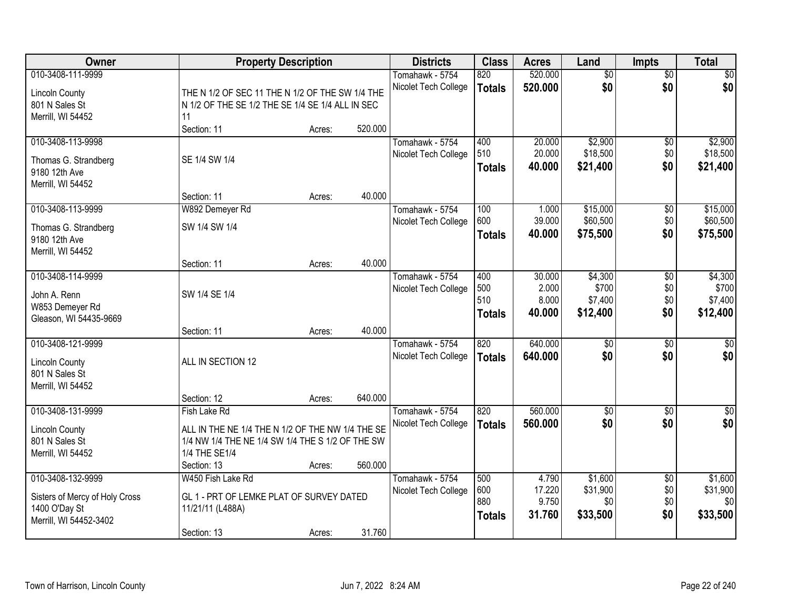| Owner                                 | <b>Property Description</b>                      |        |         | <b>Districts</b>     | <b>Class</b>  | <b>Acres</b> | Land            | <b>Impts</b>    | <b>Total</b>     |
|---------------------------------------|--------------------------------------------------|--------|---------|----------------------|---------------|--------------|-----------------|-----------------|------------------|
| 010-3408-111-9999                     |                                                  |        |         | Tomahawk - 5754      | 820           | 520,000      | $\overline{50}$ | $\overline{50}$ | $\overline{30}$  |
| <b>Lincoln County</b>                 | THE N 1/2 OF SEC 11 THE N 1/2 OF THE SW 1/4 THE  |        |         | Nicolet Tech College | <b>Totals</b> | 520.000      | \$0             | \$0             | \$0              |
| 801 N Sales St                        | N 1/2 OF THE SE 1/2 THE SE 1/4 SE 1/4 ALL IN SEC |        |         |                      |               |              |                 |                 |                  |
| Merrill, WI 54452                     | 11                                               |        |         |                      |               |              |                 |                 |                  |
|                                       | Section: 11                                      | Acres: | 520.000 |                      |               |              |                 |                 |                  |
| 010-3408-113-9998                     |                                                  |        |         | Tomahawk - 5754      | 400           | 20.000       | \$2,900         | \$0             | \$2,900          |
|                                       | SE 1/4 SW 1/4                                    |        |         | Nicolet Tech College | 510           | 20.000       | \$18,500        | \$0             | \$18,500         |
| Thomas G. Strandberg<br>9180 12th Ave |                                                  |        |         |                      | <b>Totals</b> | 40.000       | \$21,400        | \$0             | \$21,400         |
| Merrill, WI 54452                     |                                                  |        |         |                      |               |              |                 |                 |                  |
|                                       | Section: 11                                      | Acres: | 40.000  |                      |               |              |                 |                 |                  |
| 010-3408-113-9999                     | W892 Demeyer Rd                                  |        |         | Tomahawk - 5754      | 100           | 1.000        | \$15,000        | $\sqrt[6]{3}$   | \$15,000         |
|                                       | SW 1/4 SW 1/4                                    |        |         | Nicolet Tech College | 600           | 39.000       | \$60,500        | \$0             | \$60,500         |
| Thomas G. Strandberg<br>9180 12th Ave |                                                  |        |         |                      | <b>Totals</b> | 40.000       | \$75,500        | \$0             | \$75,500         |
| Merrill, WI 54452                     |                                                  |        |         |                      |               |              |                 |                 |                  |
|                                       | Section: 11                                      | Acres: | 40.000  |                      |               |              |                 |                 |                  |
| 010-3408-114-9999                     |                                                  |        |         | Tomahawk - 5754      | 400           | 30.000       | \$4,300         | \$0             | \$4,300          |
|                                       |                                                  |        |         | Nicolet Tech College | 500           | 2.000        | \$700           | \$0             | \$700            |
| John A. Renn                          | SW 1/4 SE 1/4                                    |        |         |                      | 510           | 8.000        | \$7,400         | \$0             | \$7,400          |
| W853 Demeyer Rd                       |                                                  |        |         |                      | <b>Totals</b> | 40.000       | \$12,400        | \$0             | \$12,400         |
| Gleason, WI 54435-9669                | Section: 11                                      | Acres: | 40.000  |                      |               |              |                 |                 |                  |
| 010-3408-121-9999                     |                                                  |        |         | Tomahawk - 5754      | 820           | 640.000      | $\overline{50}$ | \$0             | $\sqrt{50}$      |
|                                       |                                                  |        |         | Nicolet Tech College |               | 640.000      | \$0             | \$0             | \$0              |
| <b>Lincoln County</b>                 | ALL IN SECTION 12                                |        |         |                      | <b>Totals</b> |              |                 |                 |                  |
| 801 N Sales St                        |                                                  |        |         |                      |               |              |                 |                 |                  |
| Merrill, WI 54452                     |                                                  |        |         |                      |               |              |                 |                 |                  |
|                                       | Section: 12                                      | Acres: | 640.000 |                      |               |              |                 |                 |                  |
| 010-3408-131-9999                     | Fish Lake Rd                                     |        |         | Tomahawk - 5754      | 820           | 560.000      | $\overline{50}$ | \$0             | $\overline{\$0}$ |
| <b>Lincoln County</b>                 | ALL IN THE NE 1/4 THE N 1/2 OF THE NW 1/4 THE SE |        |         | Nicolet Tech College | <b>Totals</b> | 560.000      | \$0             | \$0             | \$0              |
| 801 N Sales St                        | 1/4 NW 1/4 THE NE 1/4 SW 1/4 THE S 1/2 OF THE SW |        |         |                      |               |              |                 |                 |                  |
| Merrill, WI 54452                     | 1/4 THE SE1/4                                    |        |         |                      |               |              |                 |                 |                  |
|                                       | Section: 13                                      | Acres: | 560.000 |                      |               |              |                 |                 |                  |
| 010-3408-132-9999                     | W450 Fish Lake Rd                                |        |         | Tomahawk - 5754      | 500           | 4.790        | \$1,600         | $\overline{60}$ | \$1,600          |
| Sisters of Mercy of Holy Cross        | GL 1 - PRT OF LEMKE PLAT OF SURVEY DATED         |        |         | Nicolet Tech College | 600           | 17.220       | \$31,900        | \$0             | \$31,900         |
| 1400 O'Day St                         | 11/21/11 (L488A)                                 |        |         |                      | 880           | 9.750        | \$0             | \$0             | \$0              |
| Merrill, WI 54452-3402                |                                                  |        |         |                      | <b>Totals</b> | 31.760       | \$33,500        | \$0             | \$33,500         |
|                                       | Section: 13                                      | Acres: | 31.760  |                      |               |              |                 |                 |                  |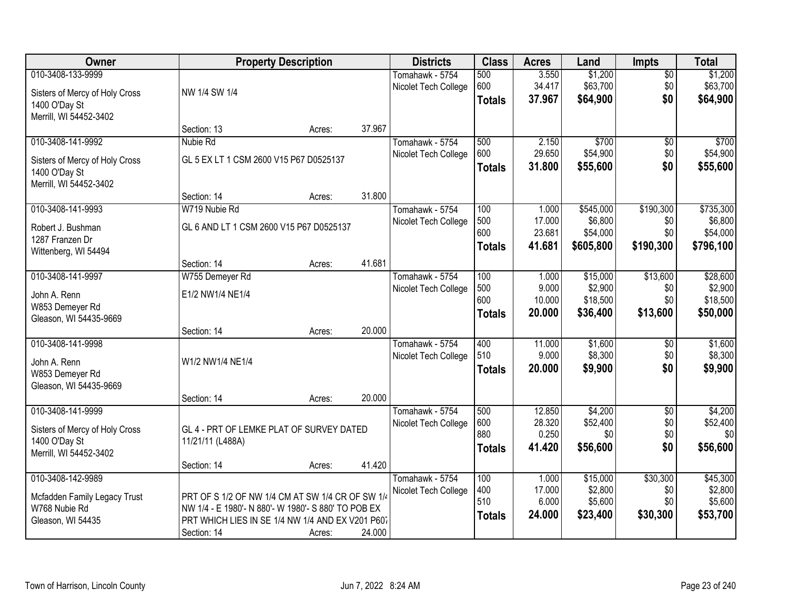| Owner                          |                                                     | <b>Property Description</b> |        | <b>Districts</b>     | <b>Class</b>  | <b>Acres</b> | Land      | <b>Impts</b>    | <b>Total</b> |
|--------------------------------|-----------------------------------------------------|-----------------------------|--------|----------------------|---------------|--------------|-----------|-----------------|--------------|
| 010-3408-133-9999              |                                                     |                             |        | Tomahawk - 5754      | 500           | 3.550        | \$1,200   | $\sqrt{$0}$     | \$1,200      |
| Sisters of Mercy of Holy Cross | NW 1/4 SW 1/4                                       |                             |        | Nicolet Tech College | 600           | 34.417       | \$63,700  | \$0             | \$63,700     |
| 1400 O'Day St                  |                                                     |                             |        |                      | <b>Totals</b> | 37.967       | \$64,900  | \$0             | \$64,900     |
| Merrill, WI 54452-3402         |                                                     |                             |        |                      |               |              |           |                 |              |
|                                | Section: 13                                         | Acres:                      | 37.967 |                      |               |              |           |                 |              |
| 010-3408-141-9992              | Nubie Rd                                            |                             |        | Tomahawk - 5754      | 500           | 2.150        | \$700     | \$0             | \$700        |
| Sisters of Mercy of Holy Cross | GL 5 EX LT 1 CSM 2600 V15 P67 D0525137              |                             |        | Nicolet Tech College | 600           | 29.650       | \$54,900  | \$0             | \$54,900     |
| 1400 O'Day St                  |                                                     |                             |        |                      | <b>Totals</b> | 31.800       | \$55,600  | \$0             | \$55,600     |
| Merrill, WI 54452-3402         |                                                     |                             |        |                      |               |              |           |                 |              |
|                                | Section: 14                                         | Acres:                      | 31.800 |                      |               |              |           |                 |              |
| 010-3408-141-9993              | W719 Nubie Rd                                       |                             |        | Tomahawk - 5754      | 100           | 1.000        | \$545,000 | \$190,300       | \$735,300    |
| Robert J. Bushman              | GL 6 AND LT 1 CSM 2600 V15 P67 D0525137             |                             |        | Nicolet Tech College | 500           | 17.000       | \$6,800   | \$0             | \$6,800      |
| 1287 Franzen Dr                |                                                     |                             |        |                      | 600           | 23.681       | \$54,000  | \$0             | \$54,000     |
| Wittenberg, WI 54494           |                                                     |                             |        |                      | <b>Totals</b> | 41.681       | \$605,800 | \$190,300       | \$796,100    |
|                                | Section: 14                                         | Acres:                      | 41.681 |                      |               |              |           |                 |              |
| 010-3408-141-9997              | W755 Demeyer Rd                                     |                             |        | Tomahawk - 5754      | 100           | 1.000        | \$15,000  | \$13,600        | \$28,600     |
| John A. Renn                   | E1/2 NW1/4 NE1/4                                    |                             |        | Nicolet Tech College | 500           | 9.000        | \$2,900   | \$0             | \$2,900      |
| W853 Demeyer Rd                |                                                     |                             |        |                      | 600           | 10.000       | \$18,500  | \$0             | \$18,500     |
| Gleason, WI 54435-9669         |                                                     |                             |        |                      | <b>Totals</b> | 20.000       | \$36,400  | \$13,600        | \$50,000     |
|                                | Section: 14                                         | Acres:                      | 20.000 |                      |               |              |           |                 |              |
| 010-3408-141-9998              |                                                     |                             |        | Tomahawk - 5754      | 400           | 11.000       | \$1,600   | \$0             | \$1,600      |
| John A. Renn                   | W1/2 NW1/4 NE1/4                                    |                             |        | Nicolet Tech College | 510           | 9.000        | \$8,300   | \$0             | \$8,300      |
| W853 Demeyer Rd                |                                                     |                             |        |                      | <b>Totals</b> | 20.000       | \$9,900   | \$0             | \$9,900      |
| Gleason, WI 54435-9669         |                                                     |                             |        |                      |               |              |           |                 |              |
|                                | Section: 14                                         | Acres:                      | 20.000 |                      |               |              |           |                 |              |
| 010-3408-141-9999              |                                                     |                             |        | Tomahawk - 5754      | 500           | 12.850       | \$4,200   | $\overline{60}$ | \$4,200      |
| Sisters of Mercy of Holy Cross | GL 4 - PRT OF LEMKE PLAT OF SURVEY DATED            |                             |        | Nicolet Tech College | 600           | 28.320       | \$52,400  | \$0             | \$52,400     |
| 1400 O'Day St                  | 11/21/11 (L488A)                                    |                             |        |                      | 880           | 0.250        | \$0       | \$0             | \$0          |
| Merrill, WI 54452-3402         |                                                     |                             |        |                      | <b>Totals</b> | 41.420       | \$56,600  | \$0             | \$56,600     |
|                                | Section: 14                                         | Acres:                      | 41.420 |                      |               |              |           |                 |              |
| 010-3408-142-9989              |                                                     |                             |        | Tomahawk - 5754      | 100           | 1.000        | \$15,000  | \$30,300        | \$45,300     |
| Mcfadden Family Legacy Trust   | PRT OF S 1/2 OF NW 1/4 CM AT SW 1/4 CR OF SW 1/4    |                             |        | Nicolet Tech College | 400           | 17.000       | \$2,800   | \$0             | \$2,800      |
| W768 Nubie Rd                  | NW 1/4 - E 1980'- N 880'- W 1980'- S 880' TO POB EX |                             |        |                      | 510           | 6.000        | \$5,600   | \$0             | \$5,600      |
| Gleason, WI 54435              | PRT WHICH LIES IN SE 1/4 NW 1/4 AND EX V201 P607    |                             |        |                      | <b>Totals</b> | 24.000       | \$23,400  | \$30,300        | \$53,700     |
|                                | Section: 14                                         | Acres:                      | 24.000 |                      |               |              |           |                 |              |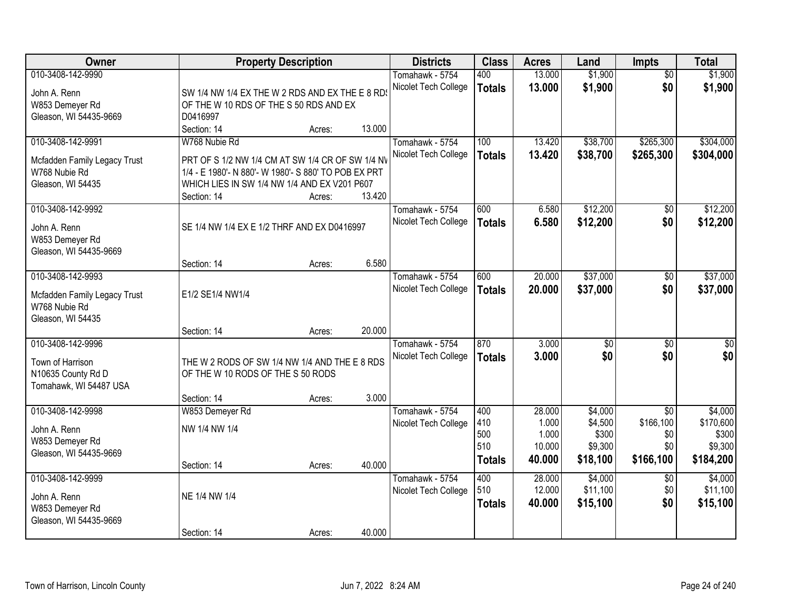| Owner                                                              |                                                                                                          | <b>Property Description</b> |        | <b>Districts</b>                        | <b>Class</b>         | <b>Acres</b>     | Land                   | <b>Impts</b>           | <b>Total</b>           |
|--------------------------------------------------------------------|----------------------------------------------------------------------------------------------------------|-----------------------------|--------|-----------------------------------------|----------------------|------------------|------------------------|------------------------|------------------------|
| 010-3408-142-9990<br>John A. Renn                                  | SW 1/4 NW 1/4 EX THE W 2 RDS AND EX THE E 8 RD                                                           |                             |        | Tomahawk - 5754<br>Nicolet Tech College | 400<br><b>Totals</b> | 13.000<br>13.000 | \$1,900<br>\$1,900     | $\overline{50}$<br>\$0 | \$1,900<br>\$1,900     |
| W853 Demeyer Rd<br>Gleason, WI 54435-9669                          | OF THE W 10 RDS OF THE S 50 RDS AND EX<br>D0416997                                                       |                             |        |                                         |                      |                  |                        |                        |                        |
|                                                                    | Section: 14                                                                                              | Acres:                      | 13.000 |                                         |                      |                  |                        |                        |                        |
| 010-3408-142-9991                                                  | W768 Nubie Rd                                                                                            |                             |        | Tomahawk - 5754<br>Nicolet Tech College | 100<br><b>Totals</b> | 13.420<br>13.420 | \$38,700<br>\$38,700   | \$265,300<br>\$265,300 | \$304,000<br>\$304,000 |
| Mcfadden Family Legacy Trust<br>W768 Nubie Rd                      | PRT OF S 1/2 NW 1/4 CM AT SW 1/4 CR OF SW 1/4 NV<br>1/4 - E 1980'- N 880'- W 1980'- S 880' TO POB EX PRT |                             |        |                                         |                      |                  |                        |                        |                        |
| Gleason, WI 54435                                                  | WHICH LIES IN SW 1/4 NW 1/4 AND EX V201 P607<br>Section: 14                                              | Acres:                      | 13.420 |                                         |                      |                  |                        |                        |                        |
| 010-3408-142-9992                                                  |                                                                                                          |                             |        | Tomahawk - 5754                         | 600                  | 6.580            | \$12,200               | \$0                    | \$12,200               |
| John A. Renn<br>W853 Demeyer Rd<br>Gleason, WI 54435-9669          | SE 1/4 NW 1/4 EX E 1/2 THRF AND EX D0416997                                                              |                             |        | Nicolet Tech College                    | <b>Totals</b>        | 6.580            | \$12,200               | \$0                    | \$12,200               |
|                                                                    | Section: 14                                                                                              | Acres:                      | 6.580  |                                         |                      |                  |                        |                        |                        |
| 010-3408-142-9993                                                  |                                                                                                          |                             |        | Tomahawk - 5754                         | 600                  | 20.000           | \$37,000               | $\sqrt{6}$             | \$37,000               |
| Mcfadden Family Legacy Trust<br>W768 Nubie Rd<br>Gleason, WI 54435 | E1/2 SE1/4 NW1/4                                                                                         |                             |        | Nicolet Tech College                    | <b>Totals</b>        | 20.000           | \$37,000               | \$0                    | \$37,000               |
|                                                                    | Section: 14                                                                                              | Acres:                      | 20.000 |                                         |                      |                  |                        |                        |                        |
| 010-3408-142-9996<br>Town of Harrison<br>N10635 County Rd D        | THE W 2 RODS OF SW 1/4 NW 1/4 AND THE E 8 RDS<br>OF THE W 10 RODS OF THE S 50 RODS                       |                             |        | Tomahawk - 5754<br>Nicolet Tech College | 870<br><b>Totals</b> | 3.000<br>3.000   | $\overline{50}$<br>\$0 | $\overline{30}$<br>\$0 | $\overline{30}$<br>\$0 |
| Tomahawk, WI 54487 USA                                             |                                                                                                          |                             |        |                                         |                      |                  |                        |                        |                        |
|                                                                    | Section: 14                                                                                              | Acres:                      | 3.000  |                                         |                      |                  |                        |                        |                        |
| 010-3408-142-9998                                                  | W853 Demeyer Rd                                                                                          |                             |        | Tomahawk - 5754                         | 400                  | 28.000           | \$4,000                | $\overline{30}$        | \$4,000                |
| John A. Renn                                                       | NW 1/4 NW 1/4                                                                                            |                             |        | Nicolet Tech College                    | 410<br>500           | 1.000<br>1.000   | \$4,500<br>\$300       | \$166,100<br>\$0       | \$170,600<br>\$300     |
| W853 Demeyer Rd                                                    |                                                                                                          |                             |        |                                         | 510                  | 10.000           | \$9,300                | \$0                    | \$9,300                |
| Gleason, WI 54435-9669                                             | Section: 14                                                                                              | Acres:                      | 40.000 |                                         | <b>Totals</b>        | 40.000           | \$18,100               | \$166,100              | \$184,200              |
| 010-3408-142-9999                                                  |                                                                                                          |                             |        | Tomahawk - 5754                         | 400                  | 28.000           | \$4,000                | $\overline{50}$        | \$4,000                |
| John A. Renn                                                       | NE 1/4 NW 1/4                                                                                            |                             |        | Nicolet Tech College                    | 510                  | 12.000           | \$11,100               | \$0                    | \$11,100               |
| W853 Demeyer Rd<br>Gleason, WI 54435-9669                          |                                                                                                          |                             |        |                                         | <b>Totals</b>        | 40.000           | \$15,100               | \$0                    | \$15,100               |
|                                                                    | Section: 14                                                                                              | Acres:                      | 40.000 |                                         |                      |                  |                        |                        |                        |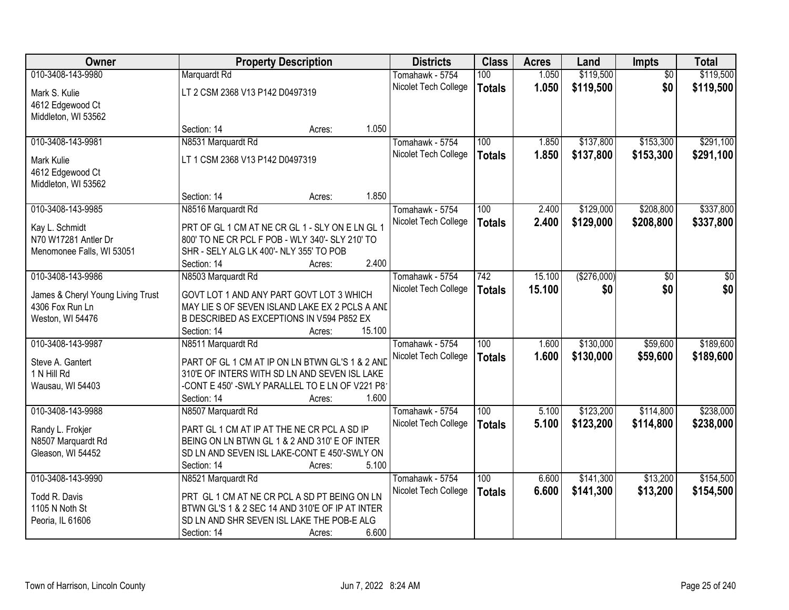| Owner                                                | <b>Property Description</b>                                                                      |                  | <b>Districts</b>     | <b>Class</b>     | <b>Acres</b> | Land        | Impts           | <b>Total</b> |
|------------------------------------------------------|--------------------------------------------------------------------------------------------------|------------------|----------------------|------------------|--------------|-------------|-----------------|--------------|
| 010-3408-143-9980                                    | Marquardt Rd                                                                                     |                  | Tomahawk - 5754      | 100              | 1.050        | \$119,500   | $\overline{50}$ | \$119,500    |
| Mark S. Kulie                                        | LT 2 CSM 2368 V13 P142 D0497319                                                                  |                  | Nicolet Tech College | <b>Totals</b>    | 1.050        | \$119,500   | \$0             | \$119,500    |
| 4612 Edgewood Ct                                     |                                                                                                  |                  |                      |                  |              |             |                 |              |
| Middleton, WI 53562                                  |                                                                                                  |                  |                      |                  |              |             |                 |              |
|                                                      | Section: 14                                                                                      | Acres:           | 1.050                |                  |              |             |                 |              |
| 010-3408-143-9981                                    | N8531 Marquardt Rd                                                                               |                  | Tomahawk - 5754      | 100              | 1.850        | \$137,800   | \$153,300       | \$291,100    |
| Mark Kulie                                           | LT 1 CSM 2368 V13 P142 D0497319                                                                  |                  | Nicolet Tech College | <b>Totals</b>    | 1.850        | \$137,800   | \$153,300       | \$291,100    |
| 4612 Edgewood Ct                                     |                                                                                                  |                  |                      |                  |              |             |                 |              |
| Middleton, WI 53562                                  |                                                                                                  |                  |                      |                  |              |             |                 |              |
|                                                      | Section: 14                                                                                      | Acres:           | 1.850                |                  |              |             |                 |              |
| 010-3408-143-9985                                    | N8516 Marquardt Rd                                                                               |                  | Tomahawk - 5754      | 100              | 2.400        | \$129,000   | \$208,800       | \$337,800    |
| Kay L. Schmidt                                       | PRT OF GL 1 CM AT NE CR GL 1 - SLY ON E LN GL 1                                                  |                  | Nicolet Tech College | <b>Totals</b>    | 2.400        | \$129,000   | \$208,800       | \$337,800    |
| N70 W17281 Antler Dr                                 | 800' TO NE CR PCL F POB - WLY 340'- SLY 210' TO                                                  |                  |                      |                  |              |             |                 |              |
| Menomonee Falls, WI 53051                            | SHR - SELY ALG LK 400'- NLY 355' TO POB                                                          |                  |                      |                  |              |             |                 |              |
|                                                      | Section: 14                                                                                      | Acres:           | 2.400                |                  |              |             |                 |              |
| 010-3408-143-9986                                    | N8503 Marquardt Rd                                                                               |                  | Tomahawk - 5754      | 742              | 15.100       | (\$276,000) | \$0             | \$0          |
|                                                      |                                                                                                  |                  | Nicolet Tech College | <b>Totals</b>    | 15.100       | \$0         | \$0             | \$0          |
| James & Cheryl Young Living Trust<br>4306 Fox Run Ln | GOVT LOT 1 AND ANY PART GOVT LOT 3 WHICH<br>MAY LIE S OF SEVEN ISLAND LAKE EX 2 PCLS A AND       |                  |                      |                  |              |             |                 |              |
| Weston, WI 54476                                     | B DESCRIBED AS EXCEPTIONS IN V594 P852 EX                                                        |                  |                      |                  |              |             |                 |              |
|                                                      | Section: 14                                                                                      | 15.100<br>Acres: |                      |                  |              |             |                 |              |
| 010-3408-143-9987                                    | N8511 Marquardt Rd                                                                               |                  | Tomahawk - 5754      | 100              | 1.600        | \$130,000   | \$59,600        | \$189,600    |
|                                                      |                                                                                                  |                  | Nicolet Tech College | <b>Totals</b>    | 1.600        | \$130,000   | \$59,600        | \$189,600    |
| Steve A. Gantert<br>1 N Hill Rd                      | PART OF GL 1 CM AT IP ON LN BTWN GL'S 1 & 2 AND<br>310'E OF INTERS WITH SD LN AND SEVEN ISL LAKE |                  |                      |                  |              |             |                 |              |
| Wausau, WI 54403                                     | -CONT E 450' - SWLY PARALLEL TO E LN OF V221 P8                                                  |                  |                      |                  |              |             |                 |              |
|                                                      | Section: 14                                                                                      | Acres:           | 1.600                |                  |              |             |                 |              |
| 010-3408-143-9988                                    | N8507 Marquardt Rd                                                                               |                  | Tomahawk - 5754      | $\overline{100}$ | 5.100        | \$123,200   | \$114,800       | \$238,000    |
|                                                      |                                                                                                  |                  | Nicolet Tech College | <b>Totals</b>    | 5.100        | \$123,200   | \$114,800       | \$238,000    |
| Randy L. Frokjer                                     | PART GL 1 CM AT IP AT THE NE CR PCL A SD IP                                                      |                  |                      |                  |              |             |                 |              |
| N8507 Marquardt Rd                                   | BEING ON LN BTWN GL 1 & 2 AND 310' E OF INTER                                                    |                  |                      |                  |              |             |                 |              |
| Gleason, WI 54452                                    | SD LN AND SEVEN ISL LAKE-CONT E 450'-SWLY ON<br>Section: 14                                      | Acres:           | 5.100                |                  |              |             |                 |              |
| 010-3408-143-9990                                    | N8521 Marquardt Rd                                                                               |                  | Tomahawk - 5754      | 100              | 6.600        | \$141,300   | \$13,200        | \$154,500    |
|                                                      |                                                                                                  |                  | Nicolet Tech College | <b>Totals</b>    | 6.600        | \$141,300   | \$13,200        | \$154,500    |
| Todd R. Davis                                        | PRT GL 1 CM AT NE CR PCL A SD PT BEING ON LN                                                     |                  |                      |                  |              |             |                 |              |
| 1105 N Noth St                                       | BTWN GL'S 1 & 2 SEC 14 AND 310'E OF IP AT INTER                                                  |                  |                      |                  |              |             |                 |              |
| Peoria, IL 61606                                     | SD LN AND SHR SEVEN ISL LAKE THE POB-E ALG                                                       |                  |                      |                  |              |             |                 |              |
|                                                      | Section: 14                                                                                      | Acres:           | 6.600                |                  |              |             |                 |              |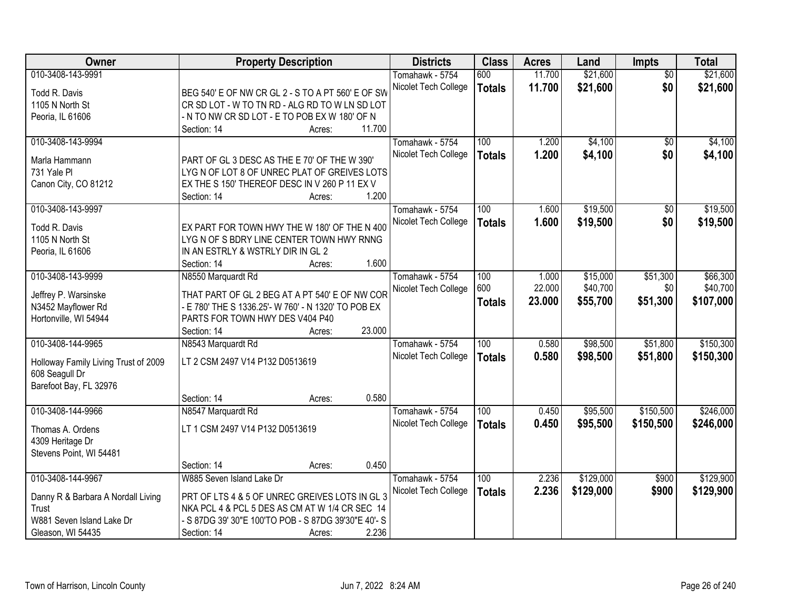| Owner                                | <b>Property Description</b>                          |                  | <b>Districts</b>     | <b>Class</b>  | <b>Acres</b> | Land      | <b>Impts</b>    | <b>Total</b> |
|--------------------------------------|------------------------------------------------------|------------------|----------------------|---------------|--------------|-----------|-----------------|--------------|
| 010-3408-143-9991                    |                                                      |                  | Tomahawk - 5754      | 600           | 11.700       | \$21,600  | $\overline{50}$ | \$21,600     |
| Todd R. Davis                        | BEG 540' E OF NW CR GL 2 - S TO A PT 560' E OF SW    |                  | Nicolet Tech College | <b>Totals</b> | 11.700       | \$21,600  | \$0             | \$21,600     |
| 1105 N North St                      | CR SD LOT - W TO TN RD - ALG RD TO W LN SD LOT       |                  |                      |               |              |           |                 |              |
| Peoria, IL 61606                     | - N TO NW CR SD LOT - E TO POB EX W 180' OF N        |                  |                      |               |              |           |                 |              |
|                                      | Section: 14                                          | 11.700<br>Acres: |                      |               |              |           |                 |              |
| 010-3408-143-9994                    |                                                      |                  | Tomahawk - 5754      | 100           | 1.200        | \$4,100   | $\overline{50}$ | \$4,100      |
|                                      |                                                      |                  | Nicolet Tech College | <b>Totals</b> | 1.200        | \$4,100   | \$0             | \$4,100      |
| Marla Hammann<br>731 Yale PI         | PART OF GL 3 DESC AS THE E 70' OF THE W 390'         |                  |                      |               |              |           |                 |              |
|                                      | LYGN OF LOT 8 OF UNREC PLAT OF GREIVES LOTS          |                  |                      |               |              |           |                 |              |
| Canon City, CO 81212                 | EX THE S 150' THEREOF DESC IN V 260 P 11 EX V        | 1.200            |                      |               |              |           |                 |              |
| 010-3408-143-9997                    | Section: 14                                          | Acres:           | Tomahawk - 5754      | 100           | 1.600        | \$19,500  | \$0             | \$19,500     |
|                                      |                                                      |                  | Nicolet Tech College |               | 1.600        | \$19,500  | \$0             |              |
| Todd R. Davis                        | EX PART FOR TOWN HWY THE W 180' OF THE N 400         |                  |                      | <b>Totals</b> |              |           |                 | \$19,500     |
| 1105 N North St                      | LYGN OF S BDRY LINE CENTER TOWN HWY RNNG             |                  |                      |               |              |           |                 |              |
| Peoria, IL 61606                     | IN AN ESTRLY & WSTRLY DIR IN GL 2                    |                  |                      |               |              |           |                 |              |
|                                      | Section: 14                                          | 1.600<br>Acres:  |                      |               |              |           |                 |              |
| 010-3408-143-9999                    | N8550 Marquardt Rd                                   |                  | Tomahawk - 5754      | 100           | 1.000        | \$15,000  | \$51,300        | \$66,300     |
| Jeffrey P. Warsinske                 | THAT PART OF GL 2 BEG AT A PT 540' E OF NW COR       |                  | Nicolet Tech College | 600           | 22.000       | \$40,700  | \$0             | \$40,700     |
| N3452 Mayflower Rd                   | E 780' THE S 1336.25'- W 760' - N 1320' TO POB EX    |                  |                      | <b>Totals</b> | 23.000       | \$55,700  | \$51,300        | \$107,000    |
| Hortonville, WI 54944                | PARTS FOR TOWN HWY DES V404 P40                      |                  |                      |               |              |           |                 |              |
|                                      | Section: 14                                          | 23.000<br>Acres: |                      |               |              |           |                 |              |
| 010-3408-144-9965                    | N8543 Marquardt Rd                                   |                  | Tomahawk - 5754      | 100           | 0.580        | \$98,500  | \$51,800        | \$150,300    |
|                                      |                                                      |                  | Nicolet Tech College |               | 0.580        | \$98,500  | \$51,800        | \$150,300    |
| Holloway Family Living Trust of 2009 | LT 2 CSM 2497 V14 P132 D0513619                      |                  |                      | <b>Totals</b> |              |           |                 |              |
| 608 Seagull Dr                       |                                                      |                  |                      |               |              |           |                 |              |
| Barefoot Bay, FL 32976               |                                                      |                  |                      |               |              |           |                 |              |
|                                      | Section: 14                                          | 0.580<br>Acres:  |                      |               |              |           |                 |              |
| 010-3408-144-9966                    | N8547 Marquardt Rd                                   |                  | Tomahawk - 5754      | 100           | 0.450        | \$95,500  | \$150,500       | \$246,000    |
| Thomas A. Ordens                     | LT 1 CSM 2497 V14 P132 D0513619                      |                  | Nicolet Tech College | <b>Totals</b> | 0.450        | \$95,500  | \$150,500       | \$246,000    |
| 4309 Heritage Dr                     |                                                      |                  |                      |               |              |           |                 |              |
| Stevens Point, WI 54481              |                                                      |                  |                      |               |              |           |                 |              |
|                                      | Section: 14                                          | 0.450<br>Acres:  |                      |               |              |           |                 |              |
| 010-3408-144-9967                    | W885 Seven Island Lake Dr                            |                  | Tomahawk - 5754      | 100           | 2.236        | \$129,000 | \$900           | \$129,900    |
|                                      |                                                      |                  | Nicolet Tech College | <b>Totals</b> | 2.236        | \$129,000 | \$900           | \$129,900    |
| Danny R & Barbara A Nordall Living   | PRT OF LTS 4 & 5 OF UNREC GREIVES LOTS IN GL 3       |                  |                      |               |              |           |                 |              |
| Trust                                | NKA PCL 4 & PCL 5 DES AS CM AT W 1/4 CR SEC 14       |                  |                      |               |              |           |                 |              |
| W881 Seven Island Lake Dr            | - S 87DG 39' 30"E 100'TO POB - S 87DG 39'30"E 40'- S |                  |                      |               |              |           |                 |              |
| Gleason, WI 54435                    | Section: 14                                          | 2.236<br>Acres:  |                      |               |              |           |                 |              |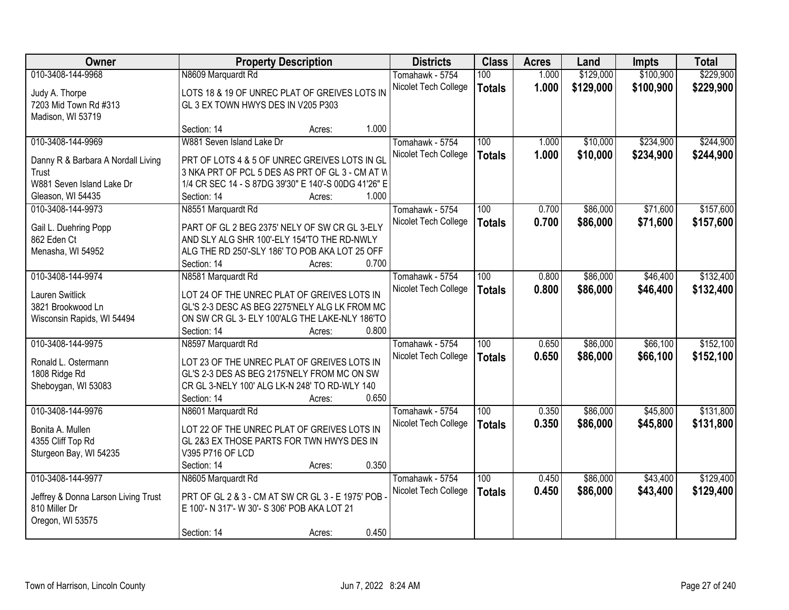| Owner                               | <b>Property Description</b>                                   |                 | <b>Districts</b>     | <b>Class</b>     | <b>Acres</b> | Land      | <b>Impts</b> | <b>Total</b> |
|-------------------------------------|---------------------------------------------------------------|-----------------|----------------------|------------------|--------------|-----------|--------------|--------------|
| 010-3408-144-9968                   | N8609 Marquardt Rd                                            |                 | Tomahawk - 5754      | 100              | 1.000        | \$129,000 | \$100,900    | \$229,900    |
| Judy A. Thorpe                      | LOTS 18 & 19 OF UNREC PLAT OF GREIVES LOTS IN                 |                 | Nicolet Tech College | <b>Totals</b>    | 1.000        | \$129,000 | \$100,900    | \$229,900    |
| 7203 Mid Town Rd #313               | GL 3 EX TOWN HWYS DES IN V205 P303                            |                 |                      |                  |              |           |              |              |
| Madison, WI 53719                   |                                                               |                 |                      |                  |              |           |              |              |
|                                     | Section: 14                                                   | 1.000<br>Acres: |                      |                  |              |           |              |              |
| 010-3408-144-9969                   | W881 Seven Island Lake Dr                                     |                 | Tomahawk - 5754      | 100              | 1.000        | \$10,000  | \$234,900    | \$244,900    |
| Danny R & Barbara A Nordall Living  | PRT OF LOTS 4 & 5 OF UNREC GREIVES LOTS IN GL                 |                 | Nicolet Tech College | <b>Totals</b>    | 1.000        | \$10,000  | \$234,900    | \$244,900    |
| Trust                               | 3 NKA PRT OF PCL 5 DES AS PRT OF GL 3 - CM AT W               |                 |                      |                  |              |           |              |              |
| W881 Seven Island Lake Dr           | 1/4 CR SEC 14 - S 87DG 39'30" E 140'-S 00DG 41'26" E          |                 |                      |                  |              |           |              |              |
| Gleason, WI 54435                   | Section: 14                                                   | 1.000<br>Acres: |                      |                  |              |           |              |              |
| 010-3408-144-9973                   | N8551 Marquardt Rd                                            |                 | Tomahawk - 5754      | 100              | 0.700        | \$86,000  | \$71,600     | \$157,600    |
|                                     |                                                               |                 | Nicolet Tech College | <b>Totals</b>    | 0.700        | \$86,000  | \$71,600     | \$157,600    |
| Gail L. Duehring Popp               | PART OF GL 2 BEG 2375' NELY OF SW CR GL 3-ELY                 |                 |                      |                  |              |           |              |              |
| 862 Eden Ct                         | AND SLY ALG SHR 100'-ELY 154'TO THE RD-NWLY                   |                 |                      |                  |              |           |              |              |
| Menasha, WI 54952                   | ALG THE RD 250'-SLY 186' TO POB AKA LOT 25 OFF<br>Section: 14 | 0.700<br>Acres: |                      |                  |              |           |              |              |
| 010-3408-144-9974                   | N8581 Marquardt Rd                                            |                 | Tomahawk - 5754      | 100              | 0.800        | \$86,000  | \$46,400     | \$132,400    |
|                                     |                                                               |                 | Nicolet Tech College |                  | 0.800        | \$86,000  | \$46,400     | \$132,400    |
| Lauren Switlick                     | LOT 24 OF THE UNREC PLAT OF GREIVES LOTS IN                   |                 |                      | <b>Totals</b>    |              |           |              |              |
| 3821 Brookwood Ln                   | GL'S 2-3 DESC AS BEG 2275'NELY ALG LK FROM MC                 |                 |                      |                  |              |           |              |              |
| Wisconsin Rapids, WI 54494          | ON SW CR GL 3- ELY 100'ALG THE LAKE-NLY 186'TO                |                 |                      |                  |              |           |              |              |
|                                     | Section: 14                                                   | 0.800<br>Acres: |                      |                  |              |           |              |              |
| 010-3408-144-9975                   | N8597 Marquardt Rd                                            |                 | Tomahawk - 5754      | $\overline{100}$ | 0.650        | \$86,000  | \$66,100     | \$152,100    |
| Ronald L. Ostermann                 | LOT 23 OF THE UNREC PLAT OF GREIVES LOTS IN                   |                 | Nicolet Tech College | <b>Totals</b>    | 0.650        | \$86,000  | \$66,100     | \$152,100    |
| 1808 Ridge Rd                       | GL'S 2-3 DES AS BEG 2175'NELY FROM MC ON SW                   |                 |                      |                  |              |           |              |              |
| Sheboygan, WI 53083                 | CR GL 3-NELY 100' ALG LK-N 248' TO RD-WLY 140                 |                 |                      |                  |              |           |              |              |
|                                     | Section: 14                                                   | 0.650<br>Acres: |                      |                  |              |           |              |              |
| 010-3408-144-9976                   | N8601 Marquardt Rd                                            |                 | Tomahawk - 5754      | 100              | 0.350        | \$86,000  | \$45,800     | \$131,800    |
| Bonita A. Mullen                    | LOT 22 OF THE UNREC PLAT OF GREIVES LOTS IN                   |                 | Nicolet Tech College | <b>Totals</b>    | 0.350        | \$86,000  | \$45,800     | \$131,800    |
| 4355 Cliff Top Rd                   | GL 2&3 EX THOSE PARTS FOR TWN HWYS DES IN                     |                 |                      |                  |              |           |              |              |
| Sturgeon Bay, WI 54235              | V395 P716 OF LCD                                              |                 |                      |                  |              |           |              |              |
|                                     | Section: 14                                                   | 0.350<br>Acres: |                      |                  |              |           |              |              |
| 010-3408-144-9977                   | N8605 Marquardt Rd                                            |                 | Tomahawk - 5754      | 100              | 0.450        | \$86,000  | \$43,400     | \$129,400    |
|                                     |                                                               |                 | Nicolet Tech College | <b>Totals</b>    | 0.450        | \$86,000  | \$43,400     | \$129,400    |
| Jeffrey & Donna Larson Living Trust | PRT OF GL 2 & 3 - CM AT SW CR GL 3 - E 1975' POB              |                 |                      |                  |              |           |              |              |
| 810 Miller Dr                       | E 100'- N 317'- W 30'- S 306' POB AKA LOT 21                  |                 |                      |                  |              |           |              |              |
| Oregon, WI 53575                    |                                                               |                 |                      |                  |              |           |              |              |
|                                     | Section: 14                                                   | 0.450<br>Acres: |                      |                  |              |           |              |              |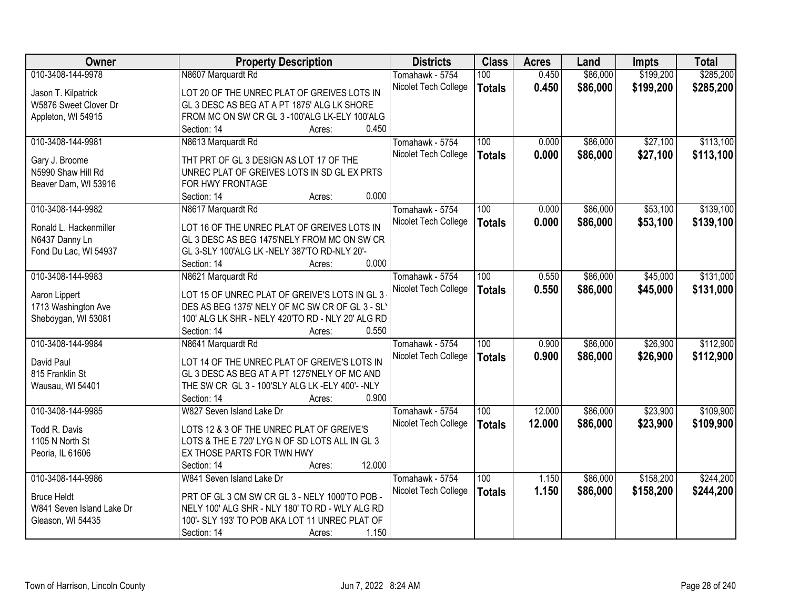| Owner                     | <b>Property Description</b>                               | <b>Districts</b>     | <b>Class</b>  | <b>Acres</b> | Land     | <b>Impts</b> | <b>Total</b> |
|---------------------------|-----------------------------------------------------------|----------------------|---------------|--------------|----------|--------------|--------------|
| 010-3408-144-9978         | N8607 Marquardt Rd                                        | Tomahawk - 5754      | 100           | 0.450        | \$86,000 | \$199,200    | \$285,200    |
| Jason T. Kilpatrick       | LOT 20 OF THE UNREC PLAT OF GREIVES LOTS IN               | Nicolet Tech College | <b>Totals</b> | 0.450        | \$86,000 | \$199,200    | \$285,200    |
| W5876 Sweet Clover Dr     | GL 3 DESC AS BEG AT A PT 1875' ALG LK SHORE               |                      |               |              |          |              |              |
| Appleton, WI 54915        | FROM MC ON SW CR GL 3 -100'ALG LK-ELY 100'ALG             |                      |               |              |          |              |              |
|                           | 0.450<br>Section: 14<br>Acres:                            |                      |               |              |          |              |              |
| 010-3408-144-9981         | N8613 Marquardt Rd                                        | Tomahawk - 5754      | 100           | 0.000        | \$86,000 | \$27,100     | \$113,100    |
|                           |                                                           | Nicolet Tech College | <b>Totals</b> | 0.000        | \$86,000 | \$27,100     | \$113,100    |
| Gary J. Broome            | THT PRT OF GL 3 DESIGN AS LOT 17 OF THE                   |                      |               |              |          |              |              |
| N5990 Shaw Hill Rd        | UNREC PLAT OF GREIVES LOTS IN SD GL EX PRTS               |                      |               |              |          |              |              |
| Beaver Dam, WI 53916      | FOR HWY FRONTAGE                                          |                      |               |              |          |              |              |
|                           | 0.000<br>Section: 14<br>Acres:                            |                      |               |              |          |              |              |
| 010-3408-144-9982         | N8617 Marquardt Rd                                        | Tomahawk - 5754      | 100           | 0.000        | \$86,000 | \$53,100     | \$139,100    |
| Ronald L. Hackenmiller    | LOT 16 OF THE UNREC PLAT OF GREIVES LOTS IN               | Nicolet Tech College | <b>Totals</b> | 0.000        | \$86,000 | \$53,100     | \$139,100    |
| N6437 Danny Ln            | GL 3 DESC AS BEG 1475'NELY FROM MC ON SW CR               |                      |               |              |          |              |              |
| Fond Du Lac, WI 54937     | GL 3-SLY 100'ALG LK -NELY 387'TO RD-NLY 20'-              |                      |               |              |          |              |              |
|                           | 0.000<br>Section: 14<br>Acres:                            |                      |               |              |          |              |              |
| 010-3408-144-9983         | N8621 Marquardt Rd                                        | Tomahawk - 5754      | 100           | 0.550        | \$86,000 | \$45,000     | \$131,000    |
|                           |                                                           | Nicolet Tech College |               | 0.550        | \$86,000 | \$45,000     | \$131,000    |
| Aaron Lippert             | LOT 15 OF UNREC PLAT OF GREIVE'S LOTS IN GL 3             |                      | <b>Totals</b> |              |          |              |              |
| 1713 Washington Ave       | DES AS BEG 1375' NELY OF MC SW CR OF GL 3 - SL'           |                      |               |              |          |              |              |
| Sheboygan, WI 53081       | 100' ALG LK SHR - NELY 420'TO RD - NLY 20' ALG RD         |                      |               |              |          |              |              |
|                           | 0.550<br>Section: 14<br>Acres:                            |                      |               |              |          |              |              |
| 010-3408-144-9984         | N8641 Marquardt Rd                                        | Tomahawk - 5754      | 100           | 0.900        | \$86,000 | \$26,900     | \$112,900    |
| David Paul                | LOT 14 OF THE UNREC PLAT OF GREIVE'S LOTS IN              | Nicolet Tech College | <b>Totals</b> | 0.900        | \$86,000 | \$26,900     | \$112,900    |
|                           |                                                           |                      |               |              |          |              |              |
| 815 Franklin St           | GL 3 DESC AS BEG AT A PT 1275'NELY OF MC AND              |                      |               |              |          |              |              |
| Wausau, WI 54401          | THE SW CR GL 3 - 100'SLY ALG LK -ELY 400'- - NLY<br>0.900 |                      |               |              |          |              |              |
|                           | Section: 14<br>Acres:                                     |                      |               |              |          |              |              |
| 010-3408-144-9985         | W827 Seven Island Lake Dr                                 | Tomahawk - 5754      | 100           | 12.000       | \$86,000 | \$23,900     | \$109,900    |
| Todd R. Davis             | LOTS 12 & 3 OF THE UNREC PLAT OF GREIVE'S                 | Nicolet Tech College | <b>Totals</b> | 12.000       | \$86,000 | \$23,900     | \$109,900    |
| 1105 N North St           | LOTS & THE E 720' LYG N OF SD LOTS ALL IN GL 3            |                      |               |              |          |              |              |
| Peoria, IL 61606          | EX THOSE PARTS FOR TWN HWY                                |                      |               |              |          |              |              |
|                           | 12.000<br>Section: 14<br>Acres:                           |                      |               |              |          |              |              |
| 010-3408-144-9986         | W841 Seven Island Lake Dr                                 | Tomahawk - 5754      | 100           | 1.150        | \$86,000 | \$158,200    | \$244,200    |
|                           |                                                           | Nicolet Tech College | <b>Totals</b> | 1.150        | \$86,000 | \$158,200    | \$244,200    |
| <b>Bruce Heldt</b>        | PRT OF GL 3 CM SW CR GL 3 - NELY 1000'TO POB -            |                      |               |              |          |              |              |
| W841 Seven Island Lake Dr | NELY 100' ALG SHR - NLY 180' TO RD - WLY ALG RD           |                      |               |              |          |              |              |
| Gleason, WI 54435         | 100'- SLY 193' TO POB AKA LOT 11 UNREC PLAT OF            |                      |               |              |          |              |              |
|                           | 1.150<br>Section: 14<br>Acres:                            |                      |               |              |          |              |              |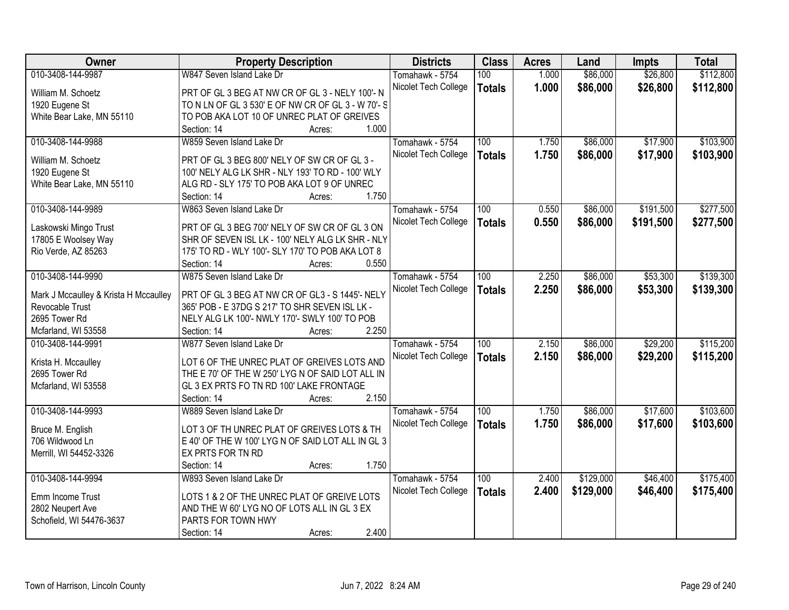| 010-3408-144-9987<br>W847 Seven Island Lake Dr<br>\$86,000<br>\$26,800<br>\$112,800<br>100<br>1.000<br>Tomahawk - 5754<br>1.000<br>\$86,000<br>\$26,800<br>Nicolet Tech College<br>\$112,800<br><b>Totals</b><br>William M. Schoetz<br>PRT OF GL 3 BEG AT NW CR OF GL 3 - NELY 100'- N<br>1920 Eugene St<br>TO N LN OF GL 3 530' E OF NW CR OF GL 3 - W 70'- S<br>White Bear Lake, MN 55110<br>TO POB AKA LOT 10 OF UNREC PLAT OF GREIVES<br>1.000<br>Section: 14<br>Acres:<br>010-3408-144-9988<br>\$86,000<br>\$17,900<br>W859 Seven Island Lake Dr<br>100<br>1.750<br>Tomahawk - 5754<br>1.750<br>\$86,000<br>\$17,900<br>Nicolet Tech College<br><b>Totals</b><br>William M. Schoetz<br>PRT OF GL 3 BEG 800' NELY OF SW CR OF GL 3 -<br>1920 Eugene St<br>100' NELY ALG LK SHR - NLY 193' TO RD - 100' WLY<br>White Bear Lake, MN 55110<br>ALG RD - SLY 175' TO POB AKA LOT 9 OF UNREC<br>1.750<br>Section: 14<br>Acres:<br>\$191,500<br>010-3408-144-9989<br>100<br>0.550<br>\$86,000<br>W863 Seven Island Lake Dr<br>Tomahawk - 5754<br>\$86,000<br>Nicolet Tech College<br>0.550<br>\$191,500<br><b>Totals</b><br>PRT OF GL 3 BEG 700' NELY OF SW CR OF GL 3 ON<br>Laskowski Mingo Trust<br>SHR OF SEVEN ISL LK - 100' NELY ALG LK SHR - NLY<br>17805 E Woolsey Way<br>Rio Verde, AZ 85263<br>175' TO RD - WLY 100'- SLY 170' TO POB AKA LOT 8<br>Section: 14<br>0.550<br>Acres:<br>010-3408-144-9990<br>\$86,000<br>\$53,300<br>W875 Seven Island Lake Dr<br>Tomahawk - 5754<br>100<br>2.250<br>2.250<br>\$53,300<br>Nicolet Tech College<br>\$86,000<br><b>Totals</b><br>PRT OF GL 3 BEG AT NW CR OF GL3 - S 1445'- NELY<br>Mark J Mccaulley & Krista H Mccaulley<br>Revocable Trust<br>365' POB - E 37DG S 217' TO SHR SEVEN ISL LK -<br>2695 Tower Rd<br>NELY ALG LK 100'- NWLY 170'- SWLY 100' TO POB<br>2.250<br>Mcfarland, WI 53558<br>Section: 14<br>Acres:<br>\$29,200<br>010-3408-144-9991<br>W877 Seven Island Lake Dr<br>$\overline{100}$<br>2.150<br>\$86,000<br>Tomahawk - 5754 |
|------------------------------------------------------------------------------------------------------------------------------------------------------------------------------------------------------------------------------------------------------------------------------------------------------------------------------------------------------------------------------------------------------------------------------------------------------------------------------------------------------------------------------------------------------------------------------------------------------------------------------------------------------------------------------------------------------------------------------------------------------------------------------------------------------------------------------------------------------------------------------------------------------------------------------------------------------------------------------------------------------------------------------------------------------------------------------------------------------------------------------------------------------------------------------------------------------------------------------------------------------------------------------------------------------------------------------------------------------------------------------------------------------------------------------------------------------------------------------------------------------------------------------------------------------------------------------------------------------------------------------------------------------------------------------------------------------------------------------------------------------------------------------------------------------------------------------------------------------------------------------------------------------------------------------------------------------------------------------------------------------|
|                                                                                                                                                                                                                                                                                                                                                                                                                                                                                                                                                                                                                                                                                                                                                                                                                                                                                                                                                                                                                                                                                                                                                                                                                                                                                                                                                                                                                                                                                                                                                                                                                                                                                                                                                                                                                                                                                                                                                                                                      |
| \$103,900                                                                                                                                                                                                                                                                                                                                                                                                                                                                                                                                                                                                                                                                                                                                                                                                                                                                                                                                                                                                                                                                                                                                                                                                                                                                                                                                                                                                                                                                                                                                                                                                                                                                                                                                                                                                                                                                                                                                                                                            |
|                                                                                                                                                                                                                                                                                                                                                                                                                                                                                                                                                                                                                                                                                                                                                                                                                                                                                                                                                                                                                                                                                                                                                                                                                                                                                                                                                                                                                                                                                                                                                                                                                                                                                                                                                                                                                                                                                                                                                                                                      |
|                                                                                                                                                                                                                                                                                                                                                                                                                                                                                                                                                                                                                                                                                                                                                                                                                                                                                                                                                                                                                                                                                                                                                                                                                                                                                                                                                                                                                                                                                                                                                                                                                                                                                                                                                                                                                                                                                                                                                                                                      |
|                                                                                                                                                                                                                                                                                                                                                                                                                                                                                                                                                                                                                                                                                                                                                                                                                                                                                                                                                                                                                                                                                                                                                                                                                                                                                                                                                                                                                                                                                                                                                                                                                                                                                                                                                                                                                                                                                                                                                                                                      |
| \$103,900<br>\$277,500<br>\$277,500<br>\$139,300<br>\$139,300                                                                                                                                                                                                                                                                                                                                                                                                                                                                                                                                                                                                                                                                                                                                                                                                                                                                                                                                                                                                                                                                                                                                                                                                                                                                                                                                                                                                                                                                                                                                                                                                                                                                                                                                                                                                                                                                                                                                        |
|                                                                                                                                                                                                                                                                                                                                                                                                                                                                                                                                                                                                                                                                                                                                                                                                                                                                                                                                                                                                                                                                                                                                                                                                                                                                                                                                                                                                                                                                                                                                                                                                                                                                                                                                                                                                                                                                                                                                                                                                      |
|                                                                                                                                                                                                                                                                                                                                                                                                                                                                                                                                                                                                                                                                                                                                                                                                                                                                                                                                                                                                                                                                                                                                                                                                                                                                                                                                                                                                                                                                                                                                                                                                                                                                                                                                                                                                                                                                                                                                                                                                      |
|                                                                                                                                                                                                                                                                                                                                                                                                                                                                                                                                                                                                                                                                                                                                                                                                                                                                                                                                                                                                                                                                                                                                                                                                                                                                                                                                                                                                                                                                                                                                                                                                                                                                                                                                                                                                                                                                                                                                                                                                      |
|                                                                                                                                                                                                                                                                                                                                                                                                                                                                                                                                                                                                                                                                                                                                                                                                                                                                                                                                                                                                                                                                                                                                                                                                                                                                                                                                                                                                                                                                                                                                                                                                                                                                                                                                                                                                                                                                                                                                                                                                      |
|                                                                                                                                                                                                                                                                                                                                                                                                                                                                                                                                                                                                                                                                                                                                                                                                                                                                                                                                                                                                                                                                                                                                                                                                                                                                                                                                                                                                                                                                                                                                                                                                                                                                                                                                                                                                                                                                                                                                                                                                      |
|                                                                                                                                                                                                                                                                                                                                                                                                                                                                                                                                                                                                                                                                                                                                                                                                                                                                                                                                                                                                                                                                                                                                                                                                                                                                                                                                                                                                                                                                                                                                                                                                                                                                                                                                                                                                                                                                                                                                                                                                      |
|                                                                                                                                                                                                                                                                                                                                                                                                                                                                                                                                                                                                                                                                                                                                                                                                                                                                                                                                                                                                                                                                                                                                                                                                                                                                                                                                                                                                                                                                                                                                                                                                                                                                                                                                                                                                                                                                                                                                                                                                      |
|                                                                                                                                                                                                                                                                                                                                                                                                                                                                                                                                                                                                                                                                                                                                                                                                                                                                                                                                                                                                                                                                                                                                                                                                                                                                                                                                                                                                                                                                                                                                                                                                                                                                                                                                                                                                                                                                                                                                                                                                      |
|                                                                                                                                                                                                                                                                                                                                                                                                                                                                                                                                                                                                                                                                                                                                                                                                                                                                                                                                                                                                                                                                                                                                                                                                                                                                                                                                                                                                                                                                                                                                                                                                                                                                                                                                                                                                                                                                                                                                                                                                      |
|                                                                                                                                                                                                                                                                                                                                                                                                                                                                                                                                                                                                                                                                                                                                                                                                                                                                                                                                                                                                                                                                                                                                                                                                                                                                                                                                                                                                                                                                                                                                                                                                                                                                                                                                                                                                                                                                                                                                                                                                      |
|                                                                                                                                                                                                                                                                                                                                                                                                                                                                                                                                                                                                                                                                                                                                                                                                                                                                                                                                                                                                                                                                                                                                                                                                                                                                                                                                                                                                                                                                                                                                                                                                                                                                                                                                                                                                                                                                                                                                                                                                      |
|                                                                                                                                                                                                                                                                                                                                                                                                                                                                                                                                                                                                                                                                                                                                                                                                                                                                                                                                                                                                                                                                                                                                                                                                                                                                                                                                                                                                                                                                                                                                                                                                                                                                                                                                                                                                                                                                                                                                                                                                      |
|                                                                                                                                                                                                                                                                                                                                                                                                                                                                                                                                                                                                                                                                                                                                                                                                                                                                                                                                                                                                                                                                                                                                                                                                                                                                                                                                                                                                                                                                                                                                                                                                                                                                                                                                                                                                                                                                                                                                                                                                      |
|                                                                                                                                                                                                                                                                                                                                                                                                                                                                                                                                                                                                                                                                                                                                                                                                                                                                                                                                                                                                                                                                                                                                                                                                                                                                                                                                                                                                                                                                                                                                                                                                                                                                                                                                                                                                                                                                                                                                                                                                      |
| \$115,200                                                                                                                                                                                                                                                                                                                                                                                                                                                                                                                                                                                                                                                                                                                                                                                                                                                                                                                                                                                                                                                                                                                                                                                                                                                                                                                                                                                                                                                                                                                                                                                                                                                                                                                                                                                                                                                                                                                                                                                            |
|                                                                                                                                                                                                                                                                                                                                                                                                                                                                                                                                                                                                                                                                                                                                                                                                                                                                                                                                                                                                                                                                                                                                                                                                                                                                                                                                                                                                                                                                                                                                                                                                                                                                                                                                                                                                                                                                                                                                                                                                      |
|                                                                                                                                                                                                                                                                                                                                                                                                                                                                                                                                                                                                                                                                                                                                                                                                                                                                                                                                                                                                                                                                                                                                                                                                                                                                                                                                                                                                                                                                                                                                                                                                                                                                                                                                                                                                                                                                                                                                                                                                      |
| 2.150<br>\$86,000<br>\$29,200<br>\$115,200<br>Nicolet Tech College<br><b>Totals</b><br>Krista H. Mccaulley<br>LOT 6 OF THE UNREC PLAT OF GREIVES LOTS AND                                                                                                                                                                                                                                                                                                                                                                                                                                                                                                                                                                                                                                                                                                                                                                                                                                                                                                                                                                                                                                                                                                                                                                                                                                                                                                                                                                                                                                                                                                                                                                                                                                                                                                                                                                                                                                            |
| 2695 Tower Rd<br>THE E 70' OF THE W 250' LYG N OF SAID LOT ALL IN                                                                                                                                                                                                                                                                                                                                                                                                                                                                                                                                                                                                                                                                                                                                                                                                                                                                                                                                                                                                                                                                                                                                                                                                                                                                                                                                                                                                                                                                                                                                                                                                                                                                                                                                                                                                                                                                                                                                    |
| GL 3 EX PRTS FO TN RD 100' LAKE FRONTAGE<br>Mcfarland, WI 53558                                                                                                                                                                                                                                                                                                                                                                                                                                                                                                                                                                                                                                                                                                                                                                                                                                                                                                                                                                                                                                                                                                                                                                                                                                                                                                                                                                                                                                                                                                                                                                                                                                                                                                                                                                                                                                                                                                                                      |
| 2.150<br>Section: 14<br>Acres:                                                                                                                                                                                                                                                                                                                                                                                                                                                                                                                                                                                                                                                                                                                                                                                                                                                                                                                                                                                                                                                                                                                                                                                                                                                                                                                                                                                                                                                                                                                                                                                                                                                                                                                                                                                                                                                                                                                                                                       |
| 010-3408-144-9993<br>\$86,000<br>\$17,600<br>\$103,600<br>W889 Seven Island Lake Dr<br>100<br>1.750<br>Tomahawk - 5754                                                                                                                                                                                                                                                                                                                                                                                                                                                                                                                                                                                                                                                                                                                                                                                                                                                                                                                                                                                                                                                                                                                                                                                                                                                                                                                                                                                                                                                                                                                                                                                                                                                                                                                                                                                                                                                                               |
| 1.750<br>\$86,000<br>\$17,600<br>\$103,600<br>Nicolet Tech College<br><b>Totals</b>                                                                                                                                                                                                                                                                                                                                                                                                                                                                                                                                                                                                                                                                                                                                                                                                                                                                                                                                                                                                                                                                                                                                                                                                                                                                                                                                                                                                                                                                                                                                                                                                                                                                                                                                                                                                                                                                                                                  |
| LOT 3 OF TH UNREC PLAT OF GREIVES LOTS & TH<br>Bruce M. English                                                                                                                                                                                                                                                                                                                                                                                                                                                                                                                                                                                                                                                                                                                                                                                                                                                                                                                                                                                                                                                                                                                                                                                                                                                                                                                                                                                                                                                                                                                                                                                                                                                                                                                                                                                                                                                                                                                                      |
| E 40' OF THE W 100' LYG N OF SAID LOT ALL IN GL 3<br>706 Wildwood Ln                                                                                                                                                                                                                                                                                                                                                                                                                                                                                                                                                                                                                                                                                                                                                                                                                                                                                                                                                                                                                                                                                                                                                                                                                                                                                                                                                                                                                                                                                                                                                                                                                                                                                                                                                                                                                                                                                                                                 |
| Merrill, WI 54452-3326<br>EX PRTS FOR TN RD                                                                                                                                                                                                                                                                                                                                                                                                                                                                                                                                                                                                                                                                                                                                                                                                                                                                                                                                                                                                                                                                                                                                                                                                                                                                                                                                                                                                                                                                                                                                                                                                                                                                                                                                                                                                                                                                                                                                                          |
| 1.750<br>Section: 14<br>Acres:                                                                                                                                                                                                                                                                                                                                                                                                                                                                                                                                                                                                                                                                                                                                                                                                                                                                                                                                                                                                                                                                                                                                                                                                                                                                                                                                                                                                                                                                                                                                                                                                                                                                                                                                                                                                                                                                                                                                                                       |
| 010-3408-144-9994<br>\$129,000<br>\$46,400<br>\$175,400<br>W893 Seven Island Lake Dr<br>100<br>2.400<br>Tomahawk - 5754                                                                                                                                                                                                                                                                                                                                                                                                                                                                                                                                                                                                                                                                                                                                                                                                                                                                                                                                                                                                                                                                                                                                                                                                                                                                                                                                                                                                                                                                                                                                                                                                                                                                                                                                                                                                                                                                              |
| Nicolet Tech College<br>2.400<br>\$129,000<br>\$46,400<br>\$175,400<br><b>Totals</b><br>LOTS 1 & 2 OF THE UNREC PLAT OF GREIVE LOTS<br>Emm Income Trust                                                                                                                                                                                                                                                                                                                                                                                                                                                                                                                                                                                                                                                                                                                                                                                                                                                                                                                                                                                                                                                                                                                                                                                                                                                                                                                                                                                                                                                                                                                                                                                                                                                                                                                                                                                                                                              |
| 2802 Neupert Ave<br>AND THE W 60' LYG NO OF LOTS ALL IN GL 3 EX                                                                                                                                                                                                                                                                                                                                                                                                                                                                                                                                                                                                                                                                                                                                                                                                                                                                                                                                                                                                                                                                                                                                                                                                                                                                                                                                                                                                                                                                                                                                                                                                                                                                                                                                                                                                                                                                                                                                      |
| PARTS FOR TOWN HWY<br>Schofield, WI 54476-3637                                                                                                                                                                                                                                                                                                                                                                                                                                                                                                                                                                                                                                                                                                                                                                                                                                                                                                                                                                                                                                                                                                                                                                                                                                                                                                                                                                                                                                                                                                                                                                                                                                                                                                                                                                                                                                                                                                                                                       |
| 2.400<br>Section: 14<br>Acres:                                                                                                                                                                                                                                                                                                                                                                                                                                                                                                                                                                                                                                                                                                                                                                                                                                                                                                                                                                                                                                                                                                                                                                                                                                                                                                                                                                                                                                                                                                                                                                                                                                                                                                                                                                                                                                                                                                                                                                       |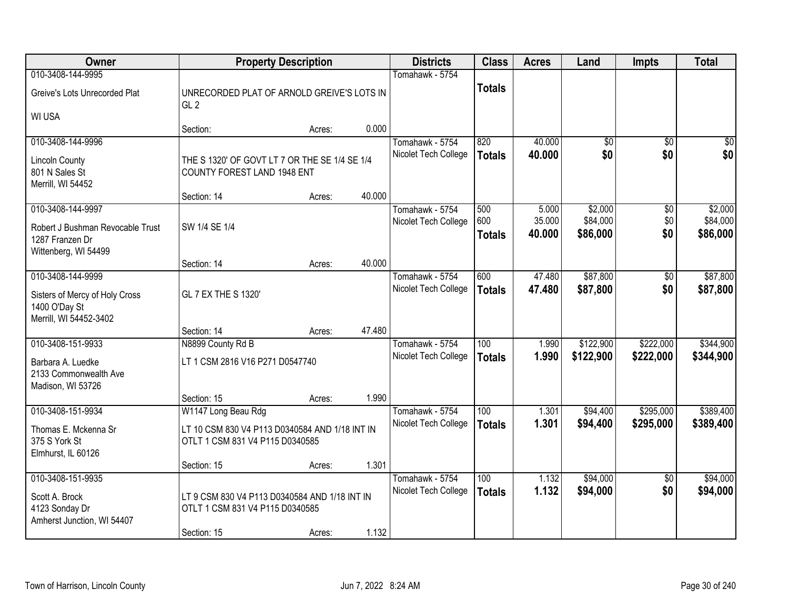| Owner                                                        |                                                                                     | <b>Property Description</b> |        | <b>Districts</b>     | <b>Class</b>         | <b>Acres</b>     | Land                 | <b>Impts</b>    | <b>Total</b>         |
|--------------------------------------------------------------|-------------------------------------------------------------------------------------|-----------------------------|--------|----------------------|----------------------|------------------|----------------------|-----------------|----------------------|
| 010-3408-144-9995                                            |                                                                                     |                             |        | Tomahawk - 5754      |                      |                  |                      |                 |                      |
| Greive's Lots Unrecorded Plat                                | UNRECORDED PLAT OF ARNOLD GREIVE'S LOTS IN<br>GL <sub>2</sub>                       |                             |        |                      | <b>Totals</b>        |                  |                      |                 |                      |
| <b>WI USA</b>                                                |                                                                                     |                             |        |                      |                      |                  |                      |                 |                      |
|                                                              | Section:                                                                            | Acres:                      | 0.000  |                      |                      |                  |                      |                 |                      |
| 010-3408-144-9996                                            |                                                                                     |                             |        | Tomahawk - 5754      | 820                  | 40.000           | $\overline{50}$      | $\overline{50}$ | $\sqrt{50}$          |
| <b>Lincoln County</b><br>801 N Sales St<br>Merrill, WI 54452 | THE S 1320' OF GOVT LT 7 OR THE SE 1/4 SE 1/4<br><b>COUNTY FOREST LAND 1948 ENT</b> |                             |        | Nicolet Tech College | <b>Totals</b>        | 40.000           | \$0                  | \$0             | \$0                  |
|                                                              | Section: 14                                                                         | Acres:                      | 40.000 |                      |                      |                  |                      |                 |                      |
| 010-3408-144-9997                                            |                                                                                     |                             |        | Tomahawk - 5754      | 500                  | 5.000            | \$2,000              | \$0             | \$2,000              |
| Robert J Bushman Revocable Trust<br>1287 Franzen Dr          | SW 1/4 SE 1/4                                                                       |                             |        | Nicolet Tech College | 600<br><b>Totals</b> | 35.000<br>40.000 | \$84,000<br>\$86,000 | \$0<br>\$0      | \$84,000<br>\$86,000 |
| Wittenberg, WI 54499                                         | Section: 14                                                                         | Acres:                      | 40.000 |                      |                      |                  |                      |                 |                      |
| 010-3408-144-9999                                            |                                                                                     |                             |        | Tomahawk - 5754      | 600                  | 47.480           | \$87,800             | \$0             | \$87,800             |
| Sisters of Mercy of Holy Cross<br>1400 O'Day St              | GL 7 EX THE S 1320'                                                                 |                             |        | Nicolet Tech College | <b>Totals</b>        | 47.480           | \$87,800             | \$0             | \$87,800             |
| Merrill, WI 54452-3402                                       |                                                                                     |                             |        |                      |                      |                  |                      |                 |                      |
|                                                              | Section: 14                                                                         | Acres:                      | 47.480 |                      |                      |                  |                      |                 |                      |
| 010-3408-151-9933                                            | N8899 County Rd B                                                                   |                             |        | Tomahawk - 5754      | $\overline{100}$     | 1.990            | \$122,900            | \$222,000       | \$344,900            |
| Barbara A. Luedke                                            | LT 1 CSM 2816 V16 P271 D0547740                                                     |                             |        | Nicolet Tech College | <b>Totals</b>        | 1.990            | \$122,900            | \$222,000       | \$344,900            |
| 2133 Commonwealth Ave                                        |                                                                                     |                             |        |                      |                      |                  |                      |                 |                      |
| Madison, WI 53726                                            | Section: 15                                                                         | Acres:                      | 1.990  |                      |                      |                  |                      |                 |                      |
| 010-3408-151-9934                                            | W1147 Long Beau Rdg                                                                 |                             |        | Tomahawk - 5754      | 100                  | 1.301            | \$94,400             | \$295,000       | \$389,400            |
|                                                              |                                                                                     |                             |        | Nicolet Tech College | <b>Totals</b>        | 1.301            | \$94,400             | \$295,000       | \$389,400            |
| Thomas E. Mckenna Sr<br>375 S York St                        | LT 10 CSM 830 V4 P113 D0340584 AND 1/18 INT IN<br>OTLT 1 CSM 831 V4 P115 D0340585   |                             |        |                      |                      |                  |                      |                 |                      |
| Elmhurst, IL 60126                                           |                                                                                     |                             |        |                      |                      |                  |                      |                 |                      |
|                                                              | Section: 15                                                                         | Acres:                      | 1.301  |                      |                      |                  |                      |                 |                      |
| 010-3408-151-9935                                            |                                                                                     |                             |        | Tomahawk - 5754      | 100                  | 1.132            | \$94,000             | $\overline{50}$ | \$94,000             |
| Scott A. Brock                                               | LT 9 CSM 830 V4 P113 D0340584 AND 1/18 INT IN                                       |                             |        | Nicolet Tech College | <b>Totals</b>        | 1.132            | \$94,000             | \$0             | \$94,000             |
| 4123 Sonday Dr                                               | OTLT 1 CSM 831 V4 P115 D0340585                                                     |                             |        |                      |                      |                  |                      |                 |                      |
| Amherst Junction, WI 54407                                   |                                                                                     |                             |        |                      |                      |                  |                      |                 |                      |
|                                                              | Section: 15                                                                         | Acres:                      | 1.132  |                      |                      |                  |                      |                 |                      |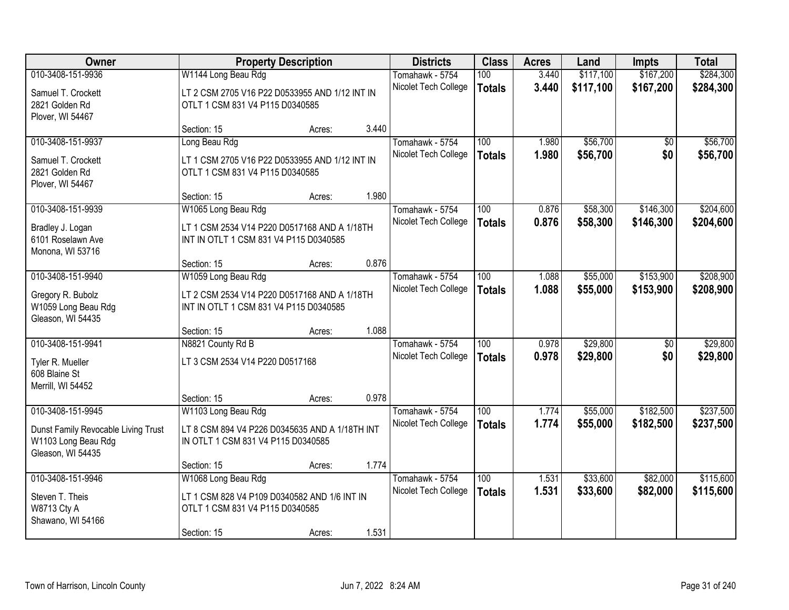| Owner                                                                           |                                                                                        | <b>Property Description</b> |       | <b>Districts</b>     | <b>Class</b>     | <b>Acres</b> | Land      | <b>Impts</b>    | <b>Total</b> |
|---------------------------------------------------------------------------------|----------------------------------------------------------------------------------------|-----------------------------|-------|----------------------|------------------|--------------|-----------|-----------------|--------------|
| 010-3408-151-9936                                                               | W1144 Long Beau Rdg                                                                    |                             |       | Tomahawk - 5754      | 100              | 3.440        | \$117,100 | \$167,200       | \$284,300    |
| Samuel T. Crockett<br>2821 Golden Rd                                            | LT 2 CSM 2705 V16 P22 D0533955 AND 1/12 INT IN<br>OTLT 1 CSM 831 V4 P115 D0340585      |                             |       | Nicolet Tech College | <b>Totals</b>    | 3.440        | \$117,100 | \$167,200       | \$284,300    |
| Plover, WI 54467                                                                |                                                                                        |                             |       |                      |                  |              |           |                 |              |
|                                                                                 | Section: 15                                                                            | Acres:                      | 3.440 |                      |                  |              |           |                 |              |
| 010-3408-151-9937                                                               | Long Beau Rdg                                                                          |                             |       | Tomahawk - 5754      | 100              | 1.980        | \$56,700  | \$0             | \$56,700     |
| Samuel T. Crockett<br>2821 Golden Rd<br>Plover, WI 54467                        | LT 1 CSM 2705 V16 P22 D0533955 AND 1/12 INT IN<br>OTLT 1 CSM 831 V4 P115 D0340585      |                             |       | Nicolet Tech College | <b>Totals</b>    | 1.980        | \$56,700  | \$0             | \$56,700     |
|                                                                                 | Section: 15                                                                            | Acres:                      | 1.980 |                      |                  |              |           |                 |              |
| 010-3408-151-9939                                                               | W1065 Long Beau Rdg                                                                    |                             |       | Tomahawk - 5754      | 100              | 0.876        | \$58,300  | \$146,300       | \$204,600    |
| Bradley J. Logan<br>6101 Roselawn Ave<br>Monona, WI 53716                       | LT 1 CSM 2534 V14 P220 D0517168 AND A 1/18TH<br>INT IN OTLT 1 CSM 831 V4 P115 D0340585 |                             |       | Nicolet Tech College | <b>Totals</b>    | 0.876        | \$58,300  | \$146,300       | \$204,600    |
|                                                                                 | Section: 15                                                                            | Acres:                      | 0.876 |                      |                  |              |           |                 |              |
| 010-3408-151-9940                                                               | W1059 Long Beau Rdg                                                                    |                             |       | Tomahawk - 5754      | 100              | 1.088        | \$55,000  | \$153,900       | \$208,900    |
| Gregory R. Bubolz<br>W1059 Long Beau Rdg<br>Gleason, WI 54435                   | LT 2 CSM 2534 V14 P220 D0517168 AND A 1/18TH<br>INT IN OTLT 1 CSM 831 V4 P115 D0340585 |                             |       | Nicolet Tech College | <b>Totals</b>    | 1.088        | \$55,000  | \$153,900       | \$208,900    |
|                                                                                 | Section: 15                                                                            | Acres:                      | 1.088 |                      |                  |              |           |                 |              |
| 010-3408-151-9941                                                               | N8821 County Rd B                                                                      |                             |       | Tomahawk - 5754      | $\overline{100}$ | 0.978        | \$29,800  | $\overline{50}$ | \$29,800     |
| Tyler R. Mueller                                                                | LT 3 CSM 2534 V14 P220 D0517168                                                        |                             |       | Nicolet Tech College | <b>Totals</b>    | 0.978        | \$29,800  | \$0             | \$29,800     |
| 608 Blaine St                                                                   |                                                                                        |                             |       |                      |                  |              |           |                 |              |
| Merrill, WI 54452                                                               |                                                                                        |                             |       |                      |                  |              |           |                 |              |
|                                                                                 | Section: 15                                                                            | Acres:                      | 0.978 |                      |                  |              |           |                 |              |
| 010-3408-151-9945                                                               | W1103 Long Beau Rdg                                                                    |                             |       | Tomahawk - 5754      | 100              | 1.774        | \$55,000  | \$182,500       | \$237,500    |
| Dunst Family Revocable Living Trust<br>W1103 Long Beau Rdg<br>Gleason, WI 54435 | LT 8 CSM 894 V4 P226 D0345635 AND A 1/18TH INT<br>IN OTLT 1 CSM 831 V4 P115 D0340585   |                             |       | Nicolet Tech College | <b>Totals</b>    | 1.774        | \$55,000  | \$182,500       | \$237,500    |
|                                                                                 | Section: 15                                                                            | Acres:                      | 1.774 |                      |                  |              |           |                 |              |
| 010-3408-151-9946                                                               | W1068 Long Beau Rdg                                                                    |                             |       | Tomahawk - 5754      | 100              | 1.531        | \$33,600  | \$82,000        | \$115,600    |
| Steven T. Theis<br><b>W8713 Cty A</b><br>Shawano, WI 54166                      | LT 1 CSM 828 V4 P109 D0340582 AND 1/6 INT IN<br>OTLT 1 CSM 831 V4 P115 D0340585        |                             |       | Nicolet Tech College | <b>Totals</b>    | 1.531        | \$33,600  | \$82,000        | \$115,600    |
|                                                                                 | Section: 15                                                                            | Acres:                      | 1.531 |                      |                  |              |           |                 |              |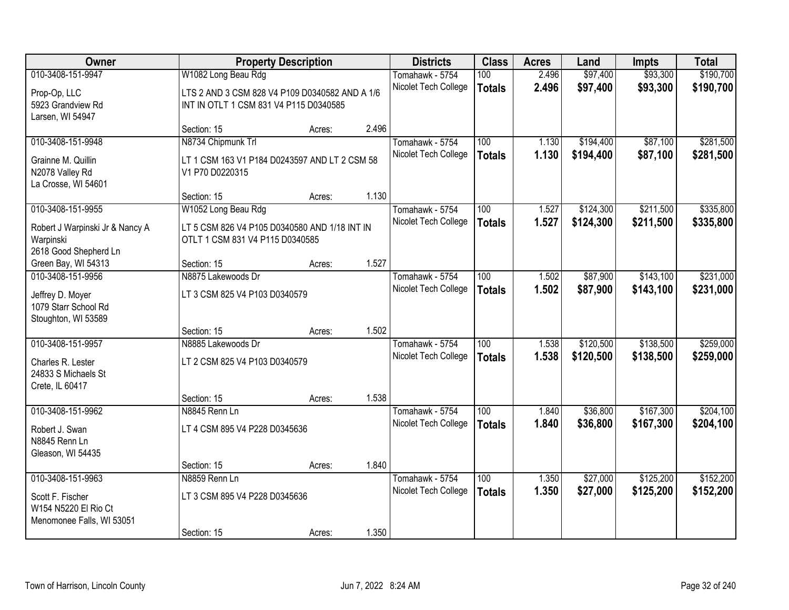| Owner                                       |                                                | <b>Property Description</b> |       | <b>Districts</b>                        | <b>Class</b>     | <b>Acres</b> | Land      | <b>Impts</b> | <b>Total</b> |
|---------------------------------------------|------------------------------------------------|-----------------------------|-------|-----------------------------------------|------------------|--------------|-----------|--------------|--------------|
| 010-3408-151-9947                           | W1082 Long Beau Rdg                            |                             |       | Tomahawk - 5754                         | 100              | 2.496        | \$97,400  | \$93,300     | \$190,700    |
| Prop-Op, LLC                                | LTS 2 AND 3 CSM 828 V4 P109 D0340582 AND A 1/6 |                             |       | Nicolet Tech College                    | <b>Totals</b>    | 2.496        | \$97,400  | \$93,300     | \$190,700    |
| 5923 Grandview Rd                           | INT IN OTLT 1 CSM 831 V4 P115 D0340585         |                             |       |                                         |                  |              |           |              |              |
| Larsen, WI 54947                            |                                                |                             |       |                                         |                  |              |           |              |              |
|                                             | Section: 15                                    | Acres:                      | 2.496 |                                         |                  |              |           |              |              |
| 010-3408-151-9948                           | N8734 Chipmunk Trl                             |                             |       | Tomahawk - 5754                         | 100              | 1.130        | \$194,400 | \$87,100     | \$281,500    |
| Grainne M. Quillin                          | LT 1 CSM 163 V1 P184 D0243597 AND LT 2 CSM 58  |                             |       | Nicolet Tech College                    | <b>Totals</b>    | 1.130        | \$194,400 | \$87,100     | \$281,500    |
| N2078 Valley Rd                             | V1 P70 D0220315                                |                             |       |                                         |                  |              |           |              |              |
| La Crosse, WI 54601                         |                                                |                             |       |                                         |                  |              |           |              |              |
|                                             | Section: 15                                    | Acres:                      | 1.130 |                                         |                  |              |           |              |              |
| 010-3408-151-9955                           | W1052 Long Beau Rdg                            |                             |       | Tomahawk - 5754<br>Nicolet Tech College | 100              | 1.527        | \$124,300 | \$211,500    | \$335,800    |
| Robert J Warpinski Jr & Nancy A             | LT 5 CSM 826 V4 P105 D0340580 AND 1/18 INT IN  |                             |       |                                         | <b>Totals</b>    | 1.527        | \$124,300 | \$211,500    | \$335,800    |
| Warpinski                                   | OTLT 1 CSM 831 V4 P115 D0340585                |                             |       |                                         |                  |              |           |              |              |
| 2618 Good Shepherd Ln                       |                                                |                             | 1.527 |                                         |                  |              |           |              |              |
| Green Bay, WI 54313<br>010-3408-151-9956    | Section: 15<br>N8875 Lakewoods Dr              | Acres:                      |       | Tomahawk - 5754                         | 100              | 1.502        | \$87,900  | \$143,100    | \$231,000    |
|                                             |                                                |                             |       | Nicolet Tech College                    | <b>Totals</b>    | 1.502        | \$87,900  | \$143,100    | \$231,000    |
| Jeffrey D. Moyer                            | LT 3 CSM 825 V4 P103 D0340579                  |                             |       |                                         |                  |              |           |              |              |
| 1079 Starr School Rd<br>Stoughton, WI 53589 |                                                |                             |       |                                         |                  |              |           |              |              |
|                                             | Section: 15                                    | Acres:                      | 1.502 |                                         |                  |              |           |              |              |
| 010-3408-151-9957                           | N8885 Lakewoods Dr                             |                             |       | Tomahawk - 5754                         | $\overline{100}$ | 1.538        | \$120,500 | \$138,500    | \$259,000    |
|                                             |                                                |                             |       | Nicolet Tech College                    | <b>Totals</b>    | 1.538        | \$120,500 | \$138,500    | \$259,000    |
| Charles R. Lester<br>24833 S Michaels St    | LT 2 CSM 825 V4 P103 D0340579                  |                             |       |                                         |                  |              |           |              |              |
| Crete, IL 60417                             |                                                |                             |       |                                         |                  |              |           |              |              |
|                                             | Section: 15                                    | Acres:                      | 1.538 |                                         |                  |              |           |              |              |
| 010-3408-151-9962                           | N8845 Renn Ln                                  |                             |       | Tomahawk - 5754                         | 100              | 1.840        | \$36,800  | \$167,300    | \$204,100    |
| Robert J. Swan                              | LT 4 CSM 895 V4 P228 D0345636                  |                             |       | Nicolet Tech College                    | <b>Totals</b>    | 1.840        | \$36,800  | \$167,300    | \$204,100    |
| N8845 Renn Ln                               |                                                |                             |       |                                         |                  |              |           |              |              |
| Gleason, WI 54435                           |                                                |                             |       |                                         |                  |              |           |              |              |
|                                             | Section: 15                                    | Acres:                      | 1.840 |                                         |                  |              |           |              |              |
| 010-3408-151-9963                           | N8859 Renn Ln                                  |                             |       | Tomahawk - 5754                         | 100              | 1.350        | \$27,000  | \$125,200    | \$152,200    |
| Scott F. Fischer                            | LT 3 CSM 895 V4 P228 D0345636                  |                             |       | Nicolet Tech College                    | <b>Totals</b>    | 1.350        | \$27,000  | \$125,200    | \$152,200    |
| W154 N5220 El Rio Ct                        |                                                |                             |       |                                         |                  |              |           |              |              |
| Menomonee Falls, WI 53051                   |                                                |                             |       |                                         |                  |              |           |              |              |
|                                             | Section: 15                                    | Acres:                      | 1.350 |                                         |                  |              |           |              |              |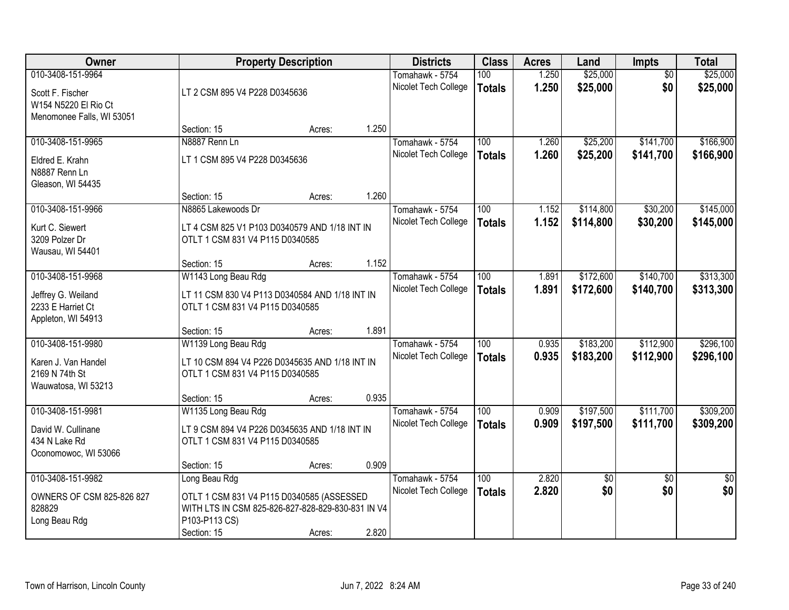| Owner                     | <b>Property Description</b>                       |        |       | <b>Districts</b>     | <b>Class</b>     | <b>Acres</b> | Land            | <b>Impts</b>    | <b>Total</b>    |
|---------------------------|---------------------------------------------------|--------|-------|----------------------|------------------|--------------|-----------------|-----------------|-----------------|
| 010-3408-151-9964         |                                                   |        |       | Tomahawk - 5754      | 100              | 1.250        | \$25,000        | $\overline{50}$ | \$25,000        |
| Scott F. Fischer          | LT 2 CSM 895 V4 P228 D0345636                     |        |       | Nicolet Tech College | <b>Totals</b>    | 1.250        | \$25,000        | \$0             | \$25,000        |
| W154 N5220 El Rio Ct      |                                                   |        |       |                      |                  |              |                 |                 |                 |
| Menomonee Falls, WI 53051 |                                                   |        |       |                      |                  |              |                 |                 |                 |
|                           | Section: 15                                       | Acres: | 1.250 |                      |                  |              |                 |                 |                 |
| 010-3408-151-9965         | N8887 Renn Ln                                     |        |       | Tomahawk - 5754      | 100              | 1.260        | \$25,200        | \$141,700       | \$166,900       |
| Eldred E. Krahn           | LT 1 CSM 895 V4 P228 D0345636                     |        |       | Nicolet Tech College | <b>Totals</b>    | 1.260        | \$25,200        | \$141,700       | \$166,900       |
| N8887 Renn Ln             |                                                   |        |       |                      |                  |              |                 |                 |                 |
| Gleason, WI 54435         |                                                   |        |       |                      |                  |              |                 |                 |                 |
|                           | Section: 15                                       | Acres: | 1.260 |                      |                  |              |                 |                 |                 |
| 010-3408-151-9966         | N8865 Lakewoods Dr                                |        |       | Tomahawk - 5754      | 100              | 1.152        | \$114,800       | \$30,200        | \$145,000       |
| Kurt C. Siewert           | LT 4 CSM 825 V1 P103 D0340579 AND 1/18 INT IN     |        |       | Nicolet Tech College | <b>Totals</b>    | 1.152        | \$114,800       | \$30,200        | \$145,000       |
| 3209 Polzer Dr            | OTLT 1 CSM 831 V4 P115 D0340585                   |        |       |                      |                  |              |                 |                 |                 |
| Wausau, WI 54401          |                                                   |        |       |                      |                  |              |                 |                 |                 |
|                           | Section: 15                                       | Acres: | 1.152 |                      |                  |              |                 |                 |                 |
| 010-3408-151-9968         | W1143 Long Beau Rdg                               |        |       | Tomahawk - 5754      | 100              | 1.891        | \$172,600       | \$140,700       | \$313,300       |
| Jeffrey G. Weiland        | LT 11 CSM 830 V4 P113 D0340584 AND 1/18 INT IN    |        |       | Nicolet Tech College | <b>Totals</b>    | 1.891        | \$172,600       | \$140,700       | \$313,300       |
| 2233 E Harriet Ct         | OTLT 1 CSM 831 V4 P115 D0340585                   |        |       |                      |                  |              |                 |                 |                 |
| Appleton, WI 54913        |                                                   |        |       |                      |                  |              |                 |                 |                 |
|                           | Section: 15                                       | Acres: | 1.891 |                      |                  |              |                 |                 |                 |
| 010-3408-151-9980         | W1139 Long Beau Rdg                               |        |       | Tomahawk - 5754      | $\overline{100}$ | 0.935        | \$183,200       | \$112,900       | \$296,100       |
| Karen J. Van Handel       | LT 10 CSM 894 V4 P226 D0345635 AND 1/18 INT IN    |        |       | Nicolet Tech College | <b>Totals</b>    | 0.935        | \$183,200       | \$112,900       | \$296,100       |
| 2169 N 74th St            | OTLT 1 CSM 831 V4 P115 D0340585                   |        |       |                      |                  |              |                 |                 |                 |
| Wauwatosa, WI 53213       |                                                   |        |       |                      |                  |              |                 |                 |                 |
|                           | Section: 15                                       | Acres: | 0.935 |                      |                  |              |                 |                 |                 |
| 010-3408-151-9981         | W1135 Long Beau Rdg                               |        |       | Tomahawk - 5754      | 100              | 0.909        | \$197,500       | \$111,700       | \$309,200       |
| David W. Cullinane        | LT 9 CSM 894 V4 P226 D0345635 AND 1/18 INT IN     |        |       | Nicolet Tech College | <b>Totals</b>    | 0.909        | \$197,500       | \$111,700       | \$309,200       |
| 434 N Lake Rd             | OTLT 1 CSM 831 V4 P115 D0340585                   |        |       |                      |                  |              |                 |                 |                 |
| Oconomowoc, WI 53066      |                                                   |        |       |                      |                  |              |                 |                 |                 |
|                           | Section: 15                                       | Acres: | 0.909 |                      |                  |              |                 |                 |                 |
| 010-3408-151-9982         | Long Beau Rdg                                     |        |       | Tomahawk - 5754      | 100              | 2.820        | $\overline{50}$ | $\overline{30}$ | $\overline{50}$ |
| OWNERS OF CSM 825-826 827 | OTLT 1 CSM 831 V4 P115 D0340585 (ASSESSED         |        |       | Nicolet Tech College | <b>Totals</b>    | 2.820        | \$0             | \$0             | \$0             |
| 828829                    | WITH LTS IN CSM 825-826-827-828-829-830-831 IN V4 |        |       |                      |                  |              |                 |                 |                 |
| Long Beau Rdg             | P103-P113 CS)                                     |        |       |                      |                  |              |                 |                 |                 |
|                           | Section: 15                                       | Acres: | 2.820 |                      |                  |              |                 |                 |                 |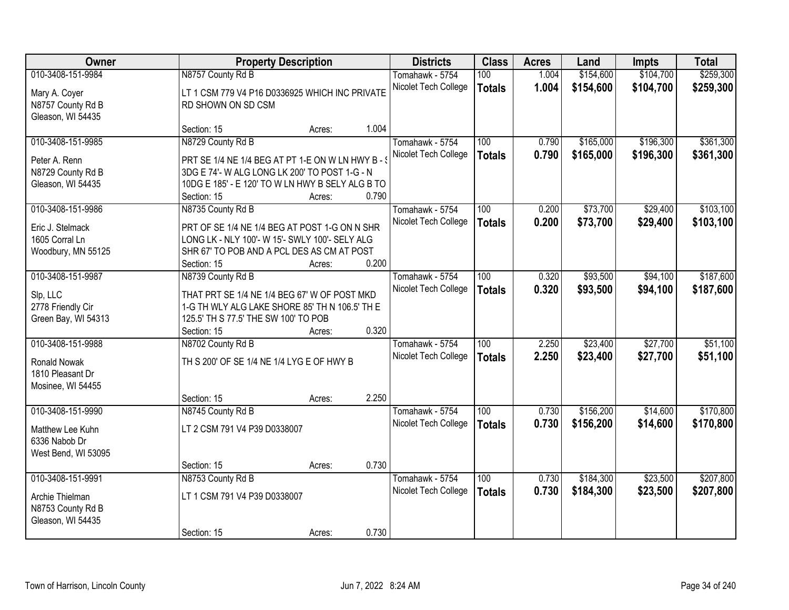| Owner                              | <b>Property Description</b>                       |        |       | <b>Districts</b>     | <b>Class</b>  | <b>Acres</b> | Land      | <b>Impts</b> | <b>Total</b> |
|------------------------------------|---------------------------------------------------|--------|-------|----------------------|---------------|--------------|-----------|--------------|--------------|
| 010-3408-151-9984                  | N8757 County Rd B                                 |        |       | Tomahawk - 5754      | 100           | 1.004        | \$154,600 | \$104,700    | \$259,300    |
| Mary A. Coyer                      | LT 1 CSM 779 V4 P16 D0336925 WHICH INC PRIVATE    |        |       | Nicolet Tech College | <b>Totals</b> | 1.004        | \$154,600 | \$104,700    | \$259,300    |
| N8757 County Rd B                  | RD SHOWN ON SD CSM                                |        |       |                      |               |              |           |              |              |
| Gleason, WI 54435                  |                                                   |        |       |                      |               |              |           |              |              |
|                                    | Section: 15                                       | Acres: | 1.004 |                      |               |              |           |              |              |
| 010-3408-151-9985                  | N8729 County Rd B                                 |        |       | Tomahawk - 5754      | 100           | 0.790        | \$165,000 | \$196,300    | \$361,300    |
| Peter A. Renn                      | PRT SE 1/4 NE 1/4 BEG AT PT 1-E ON W LN HWY B - 9 |        |       | Nicolet Tech College | <b>Totals</b> | 0.790        | \$165,000 | \$196,300    | \$361,300    |
| N8729 County Rd B                  | 3DG E 74'- W ALG LONG LK 200' TO POST 1-G - N     |        |       |                      |               |              |           |              |              |
| Gleason, WI 54435                  | 10DG E 185' - E 120' TO W LN HWY B SELY ALG B TO  |        |       |                      |               |              |           |              |              |
|                                    | Section: 15                                       | Acres: | 0.790 |                      |               |              |           |              |              |
| 010-3408-151-9986                  | N8735 County Rd B                                 |        |       | Tomahawk - 5754      | 100           | 0.200        | \$73,700  | \$29,400     | \$103,100    |
|                                    | PRT OF SE 1/4 NE 1/4 BEG AT POST 1-G ON N SHR     |        |       | Nicolet Tech College | <b>Totals</b> | 0.200        | \$73,700  | \$29,400     | \$103,100    |
| Eric J. Stelmack<br>1605 Corral Ln | LONG LK - NLY 100'- W 15'- SWLY 100'- SELY ALG    |        |       |                      |               |              |           |              |              |
| Woodbury, MN 55125                 | SHR 67' TO POB AND A PCL DES AS CM AT POST        |        |       |                      |               |              |           |              |              |
|                                    | Section: 15                                       | Acres: | 0.200 |                      |               |              |           |              |              |
| 010-3408-151-9987                  | N8739 County Rd B                                 |        |       | Tomahawk - 5754      | 100           | 0.320        | \$93,500  | \$94,100     | \$187,600    |
|                                    |                                                   |        |       | Nicolet Tech College | <b>Totals</b> | 0.320        | \$93,500  | \$94,100     | \$187,600    |
| Slp, LLC                           | THAT PRT SE 1/4 NE 1/4 BEG 67' W OF POST MKD      |        |       |                      |               |              |           |              |              |
| 2778 Friendly Cir                  | 1-G TH WLY ALG LAKE SHORE 85' TH N 106.5' TH E    |        |       |                      |               |              |           |              |              |
| Green Bay, WI 54313                | 125.5' TH S 77.5' THE SW 100' TO POB              |        |       |                      |               |              |           |              |              |
|                                    | Section: 15                                       | Acres: | 0.320 |                      |               |              |           |              |              |
| 010-3408-151-9988                  | N8702 County Rd B                                 |        |       | Tomahawk - 5754      | 100           | 2.250        | \$23,400  | \$27,700     | \$51,100     |
| Ronald Nowak                       | TH S 200' OF SE 1/4 NE 1/4 LYG E OF HWY B         |        |       | Nicolet Tech College | <b>Totals</b> | 2.250        | \$23,400  | \$27,700     | \$51,100     |
| 1810 Pleasant Dr                   |                                                   |        |       |                      |               |              |           |              |              |
| Mosinee, WI 54455                  |                                                   |        |       |                      |               |              |           |              |              |
|                                    | Section: 15                                       | Acres: | 2.250 |                      |               |              |           |              |              |
| 010-3408-151-9990                  | N8745 County Rd B                                 |        |       | Tomahawk - 5754      | 100           | 0.730        | \$156,200 | \$14,600     | \$170,800    |
| Matthew Lee Kuhn                   | LT 2 CSM 791 V4 P39 D0338007                      |        |       | Nicolet Tech College | <b>Totals</b> | 0.730        | \$156,200 | \$14,600     | \$170,800    |
| 6336 Nabob Dr                      |                                                   |        |       |                      |               |              |           |              |              |
| West Bend, WI 53095                |                                                   |        |       |                      |               |              |           |              |              |
|                                    | Section: 15                                       | Acres: | 0.730 |                      |               |              |           |              |              |
| 010-3408-151-9991                  | N8753 County Rd B                                 |        |       | Tomahawk - 5754      | 100           | 0.730        | \$184,300 | \$23,500     | \$207,800    |
| Archie Thielman                    | LT 1 CSM 791 V4 P39 D0338007                      |        |       | Nicolet Tech College | <b>Totals</b> | 0.730        | \$184,300 | \$23,500     | \$207,800    |
| N8753 County Rd B                  |                                                   |        |       |                      |               |              |           |              |              |
| Gleason, WI 54435                  |                                                   |        |       |                      |               |              |           |              |              |
|                                    | Section: 15                                       | Acres: | 0.730 |                      |               |              |           |              |              |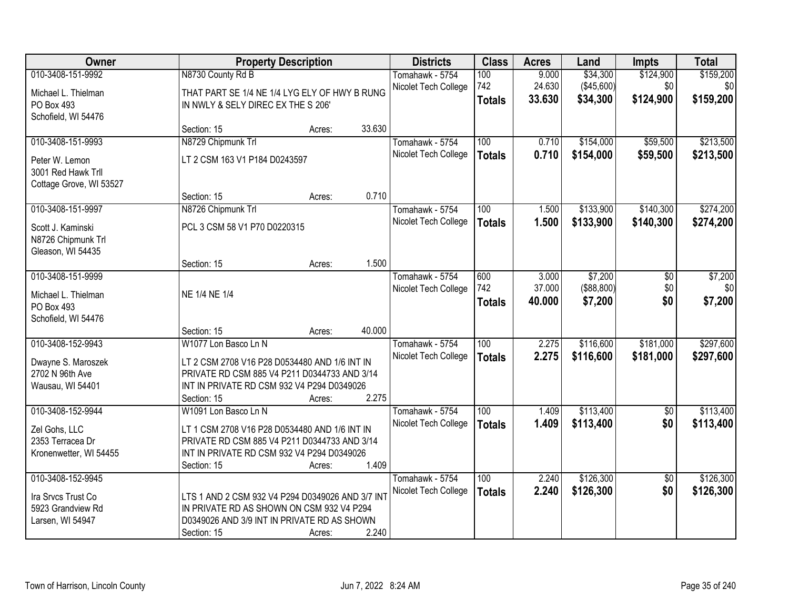| Owner                   |                                                            | <b>Property Description</b> | <b>Districts</b>                        | <b>Class</b>  | <b>Acres</b>     | Land                    | <b>Impts</b>           | <b>Total</b>           |
|-------------------------|------------------------------------------------------------|-----------------------------|-----------------------------------------|---------------|------------------|-------------------------|------------------------|------------------------|
| 010-3408-151-9992       | N8730 County Rd B                                          |                             | Tomahawk - 5754                         | 100           | 9.000            | \$34,300                | \$124,900              | \$159,200              |
| Michael L. Thielman     | THAT PART SE 1/4 NE 1/4 LYG ELY OF HWY B RUNG              |                             | Nicolet Tech College                    | 742           | 24.630           | (\$45,600)              | \$0                    | \$0                    |
| PO Box 493              | IN NWLY & SELY DIREC EX THE S 206'                         |                             |                                         | <b>Totals</b> | 33.630           | \$34,300                | \$124,900              | \$159,200              |
| Schofield, WI 54476     |                                                            |                             |                                         |               |                  |                         |                        |                        |
|                         | Section: 15                                                | 33.630<br>Acres:            |                                         |               |                  |                         |                        |                        |
| 010-3408-151-9993       | N8729 Chipmunk Trl                                         |                             | Tomahawk - 5754                         | 100           | 0.710            | \$154,000               | \$59,500               | \$213,500              |
| Peter W. Lemon          | LT 2 CSM 163 V1 P184 D0243597                              |                             | Nicolet Tech College                    | <b>Totals</b> | 0.710            | \$154,000               | \$59,500               | \$213,500              |
| 3001 Red Hawk Trll      |                                                            |                             |                                         |               |                  |                         |                        |                        |
| Cottage Grove, WI 53527 |                                                            |                             |                                         |               |                  |                         |                        |                        |
|                         | Section: 15                                                | 0.710<br>Acres:             |                                         |               |                  |                         |                        |                        |
| 010-3408-151-9997       | N8726 Chipmunk Trl                                         |                             | Tomahawk - 5754                         | 100           | 1.500            | \$133,900               | \$140,300              | \$274,200              |
| Scott J. Kaminski       | PCL 3 CSM 58 V1 P70 D0220315                               |                             | Nicolet Tech College                    | <b>Totals</b> | 1.500            | \$133,900               | \$140,300              | \$274,200              |
| N8726 Chipmunk Trl      |                                                            |                             |                                         |               |                  |                         |                        |                        |
| Gleason, WI 54435       |                                                            |                             |                                         |               |                  |                         |                        |                        |
|                         | Section: 15                                                | 1.500<br>Acres:             |                                         |               |                  |                         |                        |                        |
| 010-3408-151-9999       |                                                            |                             | Tomahawk - 5754                         | 600           | 3.000            | \$7,200                 | \$0                    | \$7,200                |
| Michael L. Thielman     | NE 1/4 NE 1/4                                              |                             | Nicolet Tech College                    | 742           | 37.000<br>40.000 | ( \$88, 800)<br>\$7,200 | \$0<br>\$0             | \$0<br>\$7,200         |
| PO Box 493              |                                                            |                             |                                         | <b>Totals</b> |                  |                         |                        |                        |
| Schofield, WI 54476     |                                                            |                             |                                         |               |                  |                         |                        |                        |
|                         | Section: 15                                                | 40.000<br>Acres:            |                                         |               |                  |                         |                        |                        |
| 010-3408-152-9943       | W1077 Lon Basco Ln N                                       |                             | Tomahawk - 5754                         | 100           | 2.275            | \$116,600               | \$181,000              | \$297,600              |
| Dwayne S. Maroszek      | LT 2 CSM 2708 V16 P28 D0534480 AND 1/6 INT IN              |                             | Nicolet Tech College                    | <b>Totals</b> | 2.275            | \$116,600               | \$181,000              | \$297,600              |
| 2702 N 96th Ave         | PRIVATE RD CSM 885 V4 P211 D0344733 AND 3/14               |                             |                                         |               |                  |                         |                        |                        |
| Wausau, WI 54401        | INT IN PRIVATE RD CSM 932 V4 P294 D0349026                 |                             |                                         |               |                  |                         |                        |                        |
| 010-3408-152-9944       | Section: 15                                                | 2.275<br>Acres:             |                                         | 100           |                  | \$113,400               |                        |                        |
|                         | W1091 Lon Basco Ln N                                       |                             | Tomahawk - 5754<br>Nicolet Tech College |               | 1.409<br>1.409   | \$113,400               | $\overline{50}$<br>\$0 | \$113,400<br>\$113,400 |
| Zel Gohs, LLC           | LT 1 CSM 2708 V16 P28 D0534480 AND 1/6 INT IN              |                             |                                         | <b>Totals</b> |                  |                         |                        |                        |
| 2353 Terracea Dr        | PRIVATE RD CSM 885 V4 P211 D0344733 AND 3/14               |                             |                                         |               |                  |                         |                        |                        |
| Kronenwetter, WI 54455  | INT IN PRIVATE RD CSM 932 V4 P294 D0349026                 | 1.409                       |                                         |               |                  |                         |                        |                        |
| 010-3408-152-9945       | Section: 15                                                | Acres:                      | Tomahawk - 5754                         | 100           | 2.240            | \$126,300               | $\overline{50}$        | \$126,300              |
|                         |                                                            |                             | Nicolet Tech College                    | <b>Totals</b> | 2.240            | \$126,300               | \$0                    | \$126,300              |
| Ira Srvcs Trust Co      | LTS 1 AND 2 CSM 932 V4 P294 D0349026 AND 3/7 INT           |                             |                                         |               |                  |                         |                        |                        |
| 5923 Grandview Rd       | IN PRIVATE RD AS SHOWN ON CSM 932 V4 P294                  |                             |                                         |               |                  |                         |                        |                        |
| Larsen, WI 54947        | D0349026 AND 3/9 INT IN PRIVATE RD AS SHOWN<br>Section: 15 | 2.240<br>Acres:             |                                         |               |                  |                         |                        |                        |
|                         |                                                            |                             |                                         |               |                  |                         |                        |                        |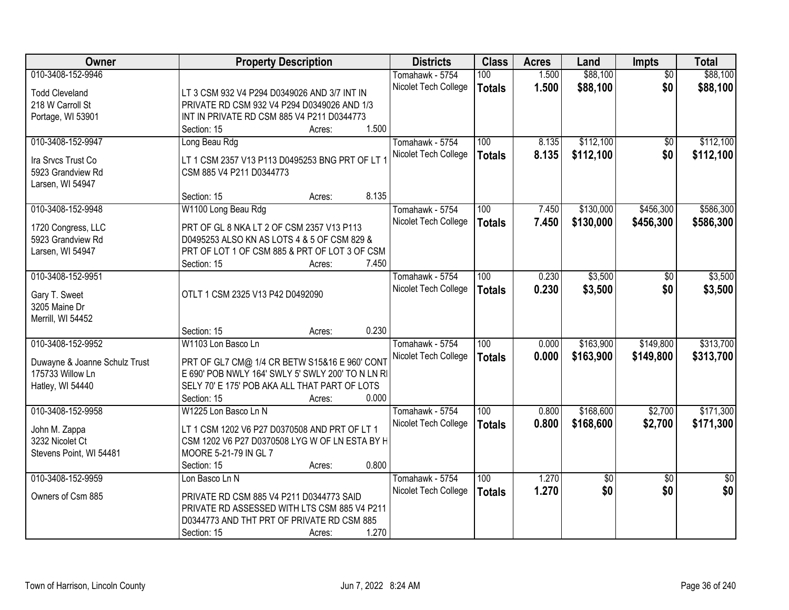| Owner                                   | <b>Property Description</b>                                                              | <b>Districts</b>     | <b>Class</b>  | <b>Acres</b> | Land      | Impts           | <b>Total</b>    |
|-----------------------------------------|------------------------------------------------------------------------------------------|----------------------|---------------|--------------|-----------|-----------------|-----------------|
| 010-3408-152-9946                       |                                                                                          | Tomahawk - 5754      | 100           | 1.500        | \$88,100  | $\overline{50}$ | \$88,100        |
| <b>Todd Cleveland</b>                   | LT 3 CSM 932 V4 P294 D0349026 AND 3/7 INT IN                                             | Nicolet Tech College | <b>Totals</b> | 1.500        | \$88,100  | \$0             | \$88,100        |
| 218 W Carroll St                        | PRIVATE RD CSM 932 V4 P294 D0349026 AND 1/3                                              |                      |               |              |           |                 |                 |
| Portage, WI 53901                       | INT IN PRIVATE RD CSM 885 V4 P211 D0344773                                               |                      |               |              |           |                 |                 |
|                                         | 1.500<br>Section: 15<br>Acres:                                                           |                      |               |              |           |                 |                 |
| 010-3408-152-9947                       | Long Beau Rdg                                                                            | Tomahawk - 5754      | 100           | 8.135        | \$112,100 | $\overline{50}$ | \$112,100       |
| Ira Srvcs Trust Co                      | LT 1 CSM 2357 V13 P113 D0495253 BNG PRT OF LT 1                                          | Nicolet Tech College | <b>Totals</b> | 8.135        | \$112,100 | \$0             | \$112,100       |
| 5923 Grandview Rd                       | CSM 885 V4 P211 D0344773                                                                 |                      |               |              |           |                 |                 |
| Larsen, WI 54947                        |                                                                                          |                      |               |              |           |                 |                 |
|                                         | 8.135<br>Section: 15<br>Acres:                                                           |                      |               |              |           |                 |                 |
| 010-3408-152-9948                       | W1100 Long Beau Rdg                                                                      | Tomahawk - 5754      | 100           | 7.450        | \$130,000 | \$456,300       | \$586,300       |
|                                         | PRT OF GL 8 NKA LT 2 OF CSM 2357 V13 P113                                                | Nicolet Tech College | <b>Totals</b> | 7.450        | \$130,000 | \$456,300       | \$586,300       |
| 1720 Congress, LLC<br>5923 Grandview Rd | D0495253 ALSO KN AS LOTS 4 & 5 OF CSM 829 &                                              |                      |               |              |           |                 |                 |
| Larsen, WI 54947                        | PRT OF LOT 1 OF CSM 885 & PRT OF LOT 3 OF CSM                                            |                      |               |              |           |                 |                 |
|                                         | 7.450<br>Section: 15<br>Acres:                                                           |                      |               |              |           |                 |                 |
| 010-3408-152-9951                       |                                                                                          | Tomahawk - 5754      | 100           | 0.230        | \$3,500   | $\sqrt[6]{}$    | \$3,500         |
|                                         |                                                                                          | Nicolet Tech College | <b>Totals</b> | 0.230        | \$3,500   | \$0             | \$3,500         |
| Gary T. Sweet                           | OTLT 1 CSM 2325 V13 P42 D0492090                                                         |                      |               |              |           |                 |                 |
| 3205 Maine Dr                           |                                                                                          |                      |               |              |           |                 |                 |
| Merrill, WI 54452                       |                                                                                          |                      |               |              |           |                 |                 |
|                                         | 0.230<br>Section: 15<br>Acres:                                                           |                      |               |              |           |                 |                 |
| 010-3408-152-9952                       | W1103 Lon Basco Ln                                                                       | Tomahawk - 5754      | 100           | 0.000        | \$163,900 | \$149,800       | \$313,700       |
| Duwayne & Joanne Schulz Trust           | PRT OF GL7 CM@ 1/4 CR BETW S15&16 E 960' CONT                                            | Nicolet Tech College | <b>Totals</b> | 0.000        | \$163,900 | \$149,800       | \$313,700       |
| 175733 Willow Ln                        | E 690' POB NWLY 164' SWLY 5' SWLY 200' TO N LN RI                                        |                      |               |              |           |                 |                 |
| Hatley, WI 54440                        | SELY 70' E 175' POB AKA ALL THAT PART OF LOTS                                            |                      |               |              |           |                 |                 |
|                                         | 0.000<br>Section: 15<br>Acres:                                                           |                      |               |              |           |                 |                 |
| 010-3408-152-9958                       | W1225 Lon Basco Ln N                                                                     | Tomahawk - 5754      | 100           | 0.800        | \$168,600 | \$2,700         | \$171,300       |
| John M. Zappa                           | LT 1 CSM 1202 V6 P27 D0370508 AND PRT OF LT 1                                            | Nicolet Tech College | <b>Totals</b> | 0.800        | \$168,600 | \$2,700         | \$171,300       |
| 3232 Nicolet Ct                         | CSM 1202 V6 P27 D0370508 LYG W OF LN ESTA BY H                                           |                      |               |              |           |                 |                 |
| Stevens Point, WI 54481                 | MOORE 5-21-79 IN GL 7                                                                    |                      |               |              |           |                 |                 |
|                                         | 0.800<br>Section: 15<br>Acres:                                                           |                      |               |              |           |                 |                 |
| 010-3408-152-9959                       | Lon Basco Ln N                                                                           | Tomahawk - 5754      | 100           | 1.270        | \$0       | $\overline{30}$ | $\overline{50}$ |
| Owners of Csm 885                       |                                                                                          | Nicolet Tech College | <b>Totals</b> | 1.270        | \$0       | \$0             | \$0             |
|                                         | PRIVATE RD CSM 885 V4 P211 D0344773 SAID<br>PRIVATE RD ASSESSED WITH LTS CSM 885 V4 P211 |                      |               |              |           |                 |                 |
|                                         | D0344773 AND THT PRT OF PRIVATE RD CSM 885                                               |                      |               |              |           |                 |                 |
|                                         | 1.270                                                                                    |                      |               |              |           |                 |                 |
|                                         | Section: 15<br>Acres:                                                                    |                      |               |              |           |                 |                 |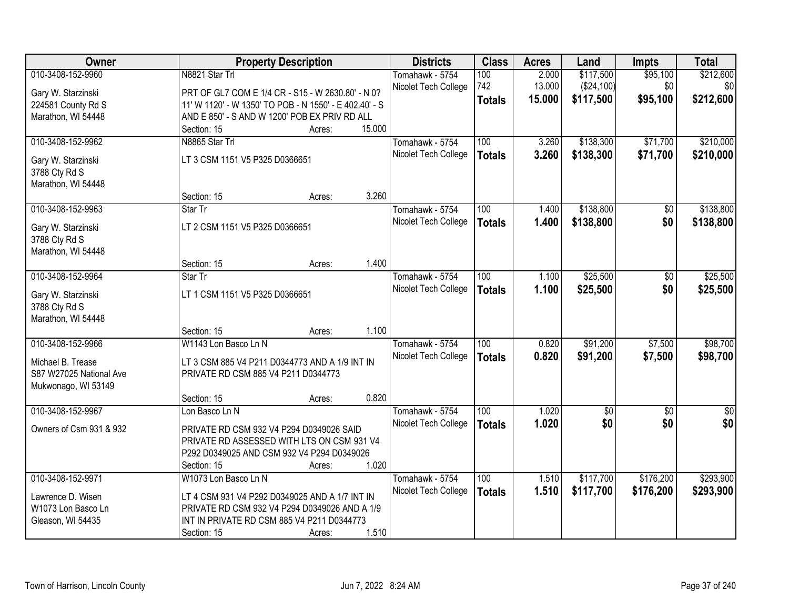| Owner                               |                                                        | <b>Property Description</b> |        | <b>Districts</b>     | <b>Class</b>     | <b>Acres</b> | Land            | <b>Impts</b>    | <b>Total</b>    |
|-------------------------------------|--------------------------------------------------------|-----------------------------|--------|----------------------|------------------|--------------|-----------------|-----------------|-----------------|
| 010-3408-152-9960                   | N8821 Star Trl                                         |                             |        | Tomahawk - 5754      | 100              | 2.000        | \$117,500       | \$95,100        | \$212,600       |
| Gary W. Starzinski                  | PRT OF GL7 COM E 1/4 CR - S15 - W 2630.80' - N 0?      |                             |        | Nicolet Tech College | 742              | 13.000       | (\$24,100)      | \$0             | \$0             |
| 224581 County Rd S                  | 11' W 1120' - W 1350' TO POB - N 1550' - E 402.40' - S |                             |        |                      | <b>Totals</b>    | 15.000       | \$117,500       | \$95,100        | \$212,600       |
| Marathon, WI 54448                  | AND E 850' - S AND W 1200' POB EX PRIV RD ALL          |                             |        |                      |                  |              |                 |                 |                 |
|                                     | Section: 15                                            | Acres:                      | 15.000 |                      |                  |              |                 |                 |                 |
| 010-3408-152-9962                   | N8865 Star Trl                                         |                             |        | Tomahawk - 5754      | 100              | 3.260        | \$138,300       | \$71,700        | \$210,000       |
| Gary W. Starzinski                  | LT 3 CSM 1151 V5 P325 D0366651                         |                             |        | Nicolet Tech College | <b>Totals</b>    | 3.260        | \$138,300       | \$71,700        | \$210,000       |
| 3788 Cty Rd S                       |                                                        |                             |        |                      |                  |              |                 |                 |                 |
| Marathon, WI 54448                  |                                                        |                             |        |                      |                  |              |                 |                 |                 |
|                                     | Section: 15                                            | Acres:                      | 3.260  |                      |                  |              |                 |                 |                 |
| 010-3408-152-9963                   | Star Tr                                                |                             |        | Tomahawk - 5754      | 100              | 1.400        | \$138,800       | \$0             | \$138,800       |
|                                     | LT 2 CSM 1151 V5 P325 D0366651                         |                             |        | Nicolet Tech College | <b>Totals</b>    | 1.400        | \$138,800       | \$0             | \$138,800       |
| Gary W. Starzinski<br>3788 Cty Rd S |                                                        |                             |        |                      |                  |              |                 |                 |                 |
| Marathon, WI 54448                  |                                                        |                             |        |                      |                  |              |                 |                 |                 |
|                                     | Section: 15                                            | Acres:                      | 1.400  |                      |                  |              |                 |                 |                 |
| 010-3408-152-9964                   | Star Tr                                                |                             |        | Tomahawk - 5754      | 100              | 1.100        | \$25,500        | \$0             | \$25,500        |
|                                     |                                                        |                             |        | Nicolet Tech College | <b>Totals</b>    | 1.100        | \$25,500        | \$0             | \$25,500        |
| Gary W. Starzinski                  | LT 1 CSM 1151 V5 P325 D0366651                         |                             |        |                      |                  |              |                 |                 |                 |
| 3788 Cty Rd S<br>Marathon, WI 54448 |                                                        |                             |        |                      |                  |              |                 |                 |                 |
|                                     | Section: 15                                            | Acres:                      | 1.100  |                      |                  |              |                 |                 |                 |
| 010-3408-152-9966                   | W1143 Lon Basco Ln N                                   |                             |        | Tomahawk - 5754      | $\overline{100}$ | 0.820        | \$91,200        | \$7,500         | \$98,700        |
|                                     |                                                        |                             |        | Nicolet Tech College | <b>Totals</b>    | 0.820        | \$91,200        | \$7,500         | \$98,700        |
| Michael B. Trease                   | LT 3 CSM 885 V4 P211 D0344773 AND A 1/9 INT IN         |                             |        |                      |                  |              |                 |                 |                 |
| S87 W27025 National Ave             | PRIVATE RD CSM 885 V4 P211 D0344773                    |                             |        |                      |                  |              |                 |                 |                 |
| Mukwonago, WI 53149                 |                                                        |                             | 0.820  |                      |                  |              |                 |                 |                 |
| 010-3408-152-9967                   | Section: 15<br>Lon Basco Ln N                          | Acres:                      |        | Tomahawk - 5754      | $\overline{100}$ | 1.020        | $\overline{50}$ | $\overline{50}$ | $\overline{50}$ |
|                                     |                                                        |                             |        | Nicolet Tech College |                  | 1.020        | \$0             | \$0             | \$0             |
| Owners of Csm 931 & 932             | PRIVATE RD CSM 932 V4 P294 D0349026 SAID               |                             |        |                      | <b>Totals</b>    |              |                 |                 |                 |
|                                     | PRIVATE RD ASSESSED WITH LTS ON CSM 931 V4             |                             |        |                      |                  |              |                 |                 |                 |
|                                     | P292 D0349025 AND CSM 932 V4 P294 D0349026             |                             |        |                      |                  |              |                 |                 |                 |
|                                     | Section: 15                                            | Acres:                      | 1.020  |                      |                  |              |                 |                 |                 |
| 010-3408-152-9971                   | W1073 Lon Basco Ln N                                   |                             |        | Tomahawk - 5754      | 100              | 1.510        | \$117,700       | \$176,200       | \$293,900       |
| Lawrence D. Wisen                   | LT 4 CSM 931 V4 P292 D0349025 AND A 1/7 INT IN         |                             |        | Nicolet Tech College | <b>Totals</b>    | 1.510        | \$117,700       | \$176,200       | \$293,900       |
| W1073 Lon Basco Ln                  | PRIVATE RD CSM 932 V4 P294 D0349026 AND A 1/9          |                             |        |                      |                  |              |                 |                 |                 |
| Gleason, WI 54435                   | INT IN PRIVATE RD CSM 885 V4 P211 D0344773             |                             |        |                      |                  |              |                 |                 |                 |
|                                     | Section: 15                                            | Acres:                      | 1.510  |                      |                  |              |                 |                 |                 |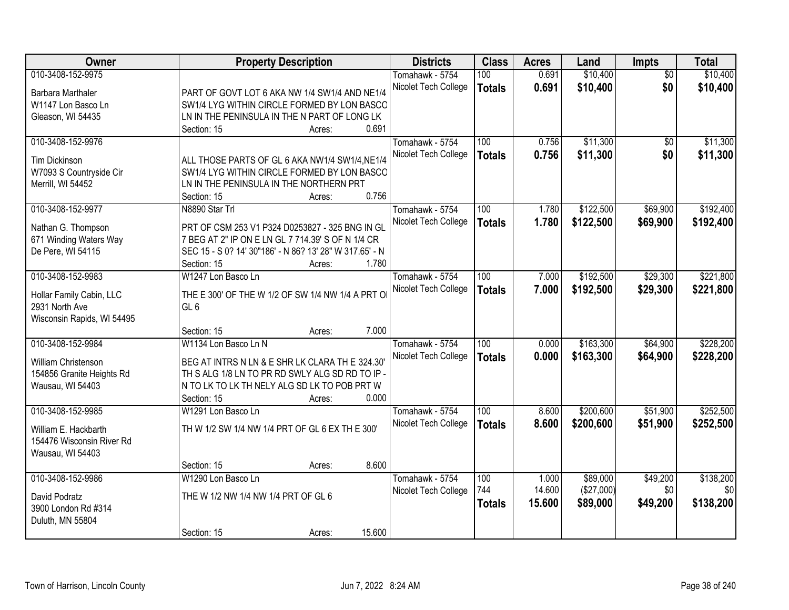| Owner                                      |                                         | <b>Property Description</b>                             | <b>Districts</b>     | <b>Class</b>     | <b>Acres</b> | Land       | Impts           | <b>Total</b> |
|--------------------------------------------|-----------------------------------------|---------------------------------------------------------|----------------------|------------------|--------------|------------|-----------------|--------------|
| 010-3408-152-9975                          |                                         |                                                         | Tomahawk - 5754      | 100              | 0.691        | \$10,400   | $\overline{50}$ | \$10,400     |
| Barbara Marthaler                          |                                         | PART OF GOVT LOT 6 AKA NW 1/4 SW1/4 AND NE1/4           | Nicolet Tech College | <b>Totals</b>    | 0.691        | \$10,400   | \$0             | \$10,400     |
| W1147 Lon Basco Ln                         |                                         | SW1/4 LYG WITHIN CIRCLE FORMED BY LON BASCO             |                      |                  |              |            |                 |              |
| Gleason, WI 54435                          |                                         | LN IN THE PENINSULA IN THE N PART OF LONG LK            |                      |                  |              |            |                 |              |
|                                            | Section: 15                             | Acres:                                                  | 0.691                |                  |              |            |                 |              |
| 010-3408-152-9976                          |                                         |                                                         | Tomahawk - 5754      | 100              | 0.756        | \$11,300   | $\overline{50}$ | \$11,300     |
|                                            |                                         |                                                         | Nicolet Tech College | <b>Totals</b>    | 0.756        | \$11,300   | \$0             | \$11,300     |
| Tim Dickinson                              |                                         | ALL THOSE PARTS OF GL 6 AKA NW1/4 SW1/4, NE1/4          |                      |                  |              |            |                 |              |
| W7093 S Countryside Cir                    |                                         | SW1/4 LYG WITHIN CIRCLE FORMED BY LON BASCO             |                      |                  |              |            |                 |              |
| Merrill, WI 54452                          | LN IN THE PENINSULA IN THE NORTHERN PRT |                                                         | 0.756                |                  |              |            |                 |              |
|                                            | Section: 15                             | Acres:                                                  |                      |                  |              |            |                 |              |
| 010-3408-152-9977                          | N8890 Star Trl                          |                                                         | Tomahawk - 5754      | 100              | 1.780        | \$122,500  | \$69,900        | \$192,400    |
| Nathan G. Thompson                         |                                         | PRT OF CSM 253 V1 P324 D0253827 - 325 BNG IN GL         | Nicolet Tech College | <b>Totals</b>    | 1.780        | \$122,500  | \$69,900        | \$192,400    |
| 671 Winding Waters Way                     |                                         | 7 BEG AT 2" IP ON E LN GL 7 714.39' S OF N 1/4 CR       |                      |                  |              |            |                 |              |
| De Pere, WI 54115                          |                                         | SEC 15 - S 0? 14' 30"186' - N 86? 13' 28" W 317.65' - N |                      |                  |              |            |                 |              |
|                                            | Section: 15                             | Acres:                                                  | 1.780                |                  |              |            |                 |              |
| 010-3408-152-9983                          | W1247 Lon Basco Ln                      |                                                         | Tomahawk - 5754      | 100              | 7.000        | \$192,500  | \$29,300        | \$221,800    |
|                                            |                                         | THE E 300' OF THE W 1/2 OF SW 1/4 NW 1/4 A PRT O        | Nicolet Tech College | <b>Totals</b>    | 7.000        | \$192,500  | \$29,300        | \$221,800    |
| Hollar Family Cabin, LLC<br>2931 North Ave | GL 6                                    |                                                         |                      |                  |              |            |                 |              |
| Wisconsin Rapids, WI 54495                 |                                         |                                                         |                      |                  |              |            |                 |              |
|                                            | Section: 15                             | Acres:                                                  | 7.000                |                  |              |            |                 |              |
| 010-3408-152-9984                          | W1134 Lon Basco Ln N                    |                                                         | Tomahawk - 5754      | $\overline{100}$ | 0.000        | \$163,300  | \$64,900        | \$228,200    |
|                                            |                                         |                                                         | Nicolet Tech College |                  | 0.000        | \$163,300  | \$64,900        | \$228,200    |
| William Christenson                        |                                         | BEG AT INTRS N LN & E SHR LK CLARA TH E 324.30          |                      | <b>Totals</b>    |              |            |                 |              |
| 154856 Granite Heights Rd                  |                                         | TH S ALG 1/8 LN TO PR RD SWLY ALG SD RD TO IP -         |                      |                  |              |            |                 |              |
| Wausau, WI 54403                           |                                         | N TO LK TO LK TH NELY ALG SD LK TO POB PRT W            |                      |                  |              |            |                 |              |
|                                            | Section: 15                             | Acres:                                                  | 0.000                |                  |              |            |                 |              |
| 010-3408-152-9985                          | W1291 Lon Basco Ln                      |                                                         | Tomahawk - 5754      | 100              | 8.600        | \$200,600  | \$51,900        | \$252,500    |
| William E. Hackbarth                       |                                         | TH W 1/2 SW 1/4 NW 1/4 PRT OF GL 6 EX TH E 300'         | Nicolet Tech College | <b>Totals</b>    | 8.600        | \$200,600  | \$51,900        | \$252,500    |
| 154476 Wisconsin River Rd                  |                                         |                                                         |                      |                  |              |            |                 |              |
| Wausau, WI 54403                           |                                         |                                                         |                      |                  |              |            |                 |              |
|                                            | Section: 15                             | Acres:                                                  | 8.600                |                  |              |            |                 |              |
| 010-3408-152-9986                          | W1290 Lon Basco Ln                      |                                                         | Tomahawk - 5754      | 100              | 1.000        | \$89,000   | \$49,200        | \$138,200    |
|                                            |                                         |                                                         | Nicolet Tech College | 744              | 14.600       | (\$27,000) | \$0             | \$0          |
| David Podratz                              | THE W 1/2 NW 1/4 NW 1/4 PRT OF GL 6     |                                                         |                      | <b>Totals</b>    | 15.600       | \$89,000   | \$49,200        | \$138,200    |
| 3900 London Rd #314                        |                                         |                                                         |                      |                  |              |            |                 |              |
| Duluth, MN 55804                           |                                         |                                                         |                      |                  |              |            |                 |              |
|                                            | Section: 15                             | Acres:                                                  | 15.600               |                  |              |            |                 |              |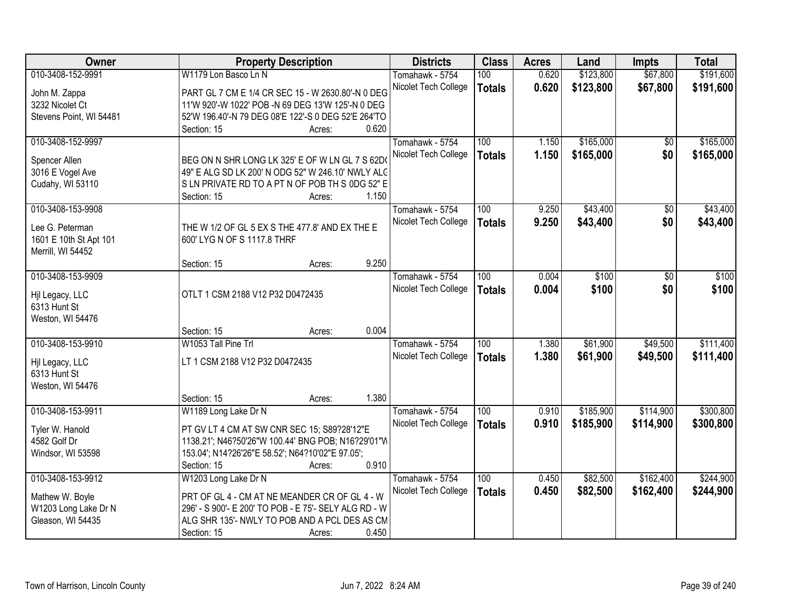| Owner                   | <b>Property Description</b>                                                                         | <b>Districts</b>     | <b>Class</b>  | <b>Acres</b> | Land      | <b>Impts</b>    | <b>Total</b> |
|-------------------------|-----------------------------------------------------------------------------------------------------|----------------------|---------------|--------------|-----------|-----------------|--------------|
| 010-3408-152-9991       | W1179 Lon Basco Ln N                                                                                | Tomahawk - 5754      | 100           | 0.620        | \$123,800 | \$67,800        | \$191,600    |
| John M. Zappa           | PART GL 7 CM E 1/4 CR SEC 15 - W 2630.80'-N 0 DEG                                                   | Nicolet Tech College | <b>Totals</b> | 0.620        | \$123,800 | \$67,800        | \$191,600    |
| 3232 Nicolet Ct         | 11'W 920'-W 1022' POB -N 69 DEG 13'W 125'-N 0 DEG                                                   |                      |               |              |           |                 |              |
| Stevens Point, WI 54481 | 52'W 196.40'-N 79 DEG 08'E 122'-S 0 DEG 52'E 264'TO                                                 |                      |               |              |           |                 |              |
|                         | 0.620<br>Section: 15<br>Acres:                                                                      |                      |               |              |           |                 |              |
| 010-3408-152-9997       |                                                                                                     | Tomahawk - 5754      | 100           | 1.150        | \$165,000 | \$0             | \$165,000    |
|                         |                                                                                                     | Nicolet Tech College | <b>Totals</b> | 1.150        | \$165,000 | \$0             | \$165,000    |
| Spencer Allen           | BEG ON N SHR LONG LK 325' E OF W LN GL 7 S 62D                                                      |                      |               |              |           |                 |              |
| 3016 E Vogel Ave        | 49" E ALG SD LK 200' N ODG 52" W 246.10' NWLY ALC<br>SLN PRIVATE RD TO A PT N OF POB TH S 0DG 52" E |                      |               |              |           |                 |              |
| Cudahy, WI 53110        | 1.150<br>Section: 15                                                                                |                      |               |              |           |                 |              |
| 010-3408-153-9908       | Acres:                                                                                              | Tomahawk - 5754      | 100           | 9.250        | \$43,400  | $\overline{50}$ | \$43,400     |
|                         |                                                                                                     | Nicolet Tech College |               | 9.250        | \$43,400  | \$0             | \$43,400     |
| Lee G. Peterman         | THE W 1/2 OF GL 5 EX S THE 477.8' AND EX THE E                                                      |                      | <b>Totals</b> |              |           |                 |              |
| 1601 E 10th St Apt 101  | 600' LYG N OF S 1117.8 THRF                                                                         |                      |               |              |           |                 |              |
| Merrill, WI 54452       |                                                                                                     |                      |               |              |           |                 |              |
|                         | 9.250<br>Section: 15<br>Acres:                                                                      |                      |               |              |           |                 |              |
| 010-3408-153-9909       |                                                                                                     | Tomahawk - 5754      | 100           | 0.004        | \$100     | \$0             | \$100        |
| Hjl Legacy, LLC         | OTLT 1 CSM 2188 V12 P32 D0472435                                                                    | Nicolet Tech College | <b>Totals</b> | 0.004        | \$100     | \$0             | \$100        |
| 6313 Hunt St            |                                                                                                     |                      |               |              |           |                 |              |
| Weston, WI 54476        |                                                                                                     |                      |               |              |           |                 |              |
|                         | 0.004<br>Section: 15<br>Acres:                                                                      |                      |               |              |           |                 |              |
| 010-3408-153-9910       | W1053 Tall Pine Trl                                                                                 | Tomahawk - 5754      | 100           | 1.380        | \$61,900  | \$49,500        | \$111,400    |
|                         |                                                                                                     | Nicolet Tech College | <b>Totals</b> | 1.380        | \$61,900  | \$49,500        | \$111,400    |
| Hil Legacy, LLC         | LT 1 CSM 2188 V12 P32 D0472435                                                                      |                      |               |              |           |                 |              |
| 6313 Hunt St            |                                                                                                     |                      |               |              |           |                 |              |
| Weston, WI 54476        |                                                                                                     |                      |               |              |           |                 |              |
|                         | 1.380<br>Section: 15<br>Acres:                                                                      |                      |               |              |           |                 |              |
| 010-3408-153-9911       | W1189 Long Lake Dr N                                                                                | Tomahawk - 5754      | 100           | 0.910        | \$185,900 | \$114,900       | \$300,800    |
| Tyler W. Hanold         | PT GV LT 4 CM AT SW CNR SEC 15; S89?28'12"E                                                         | Nicolet Tech College | <b>Totals</b> | 0.910        | \$185,900 | \$114,900       | \$300,800    |
| 4582 Golf Dr            | 1138.21'; N46?50'26"W 100.44' BNG POB; N16?29'01"W                                                  |                      |               |              |           |                 |              |
| Windsor, WI 53598       | 153.04'; N14?26'26"E 58.52'; N64?10'02"E 97.05';                                                    |                      |               |              |           |                 |              |
|                         | 0.910<br>Section: 15<br>Acres:                                                                      |                      |               |              |           |                 |              |
| 010-3408-153-9912       | W1203 Long Lake Dr N                                                                                | Tomahawk - 5754      | 100           | 0.450        | \$82,500  | \$162,400       | \$244,900    |
|                         |                                                                                                     | Nicolet Tech College | <b>Totals</b> | 0.450        | \$82,500  | \$162,400       | \$244,900    |
| Mathew W. Boyle         | PRT OF GL 4 - CM AT NE MEANDER CR OF GL 4 - W                                                       |                      |               |              |           |                 |              |
| W1203 Long Lake Dr N    | 296' - S 900'- E 200' TO POB - E 75'- SELY ALG RD - W                                               |                      |               |              |           |                 |              |
| Gleason, WI 54435       | ALG SHR 135'- NWLY TO POB AND A PCL DES AS CM                                                       |                      |               |              |           |                 |              |
|                         | 0.450<br>Section: 15<br>Acres:                                                                      |                      |               |              |           |                 |              |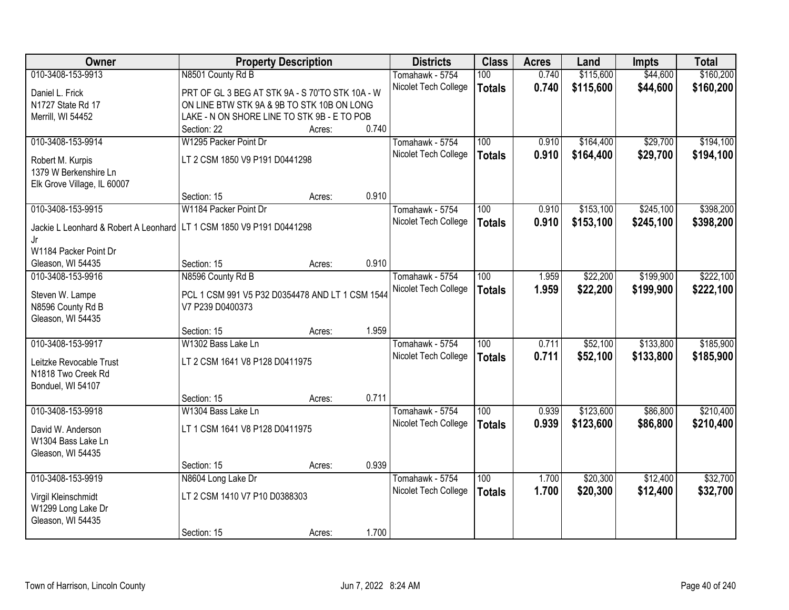| Owner                                 | <b>Property Description</b>                     |        |       | <b>Districts</b>     | <b>Class</b>     | <b>Acres</b> | Land      | <b>Impts</b> | <b>Total</b> |
|---------------------------------------|-------------------------------------------------|--------|-------|----------------------|------------------|--------------|-----------|--------------|--------------|
| 010-3408-153-9913                     | N8501 County Rd B                               |        |       | Tomahawk - 5754      | 100              | 0.740        | \$115,600 | \$44,600     | \$160,200    |
| Daniel L. Frick                       | PRT OF GL 3 BEG AT STK 9A - S 70'TO STK 10A - W |        |       | Nicolet Tech College | <b>Totals</b>    | 0.740        | \$115,600 | \$44,600     | \$160,200    |
| N1727 State Rd 17                     | ON LINE BTW STK 9A & 9B TO STK 10B ON LONG      |        |       |                      |                  |              |           |              |              |
| Merrill, WI 54452                     | LAKE - N ON SHORE LINE TO STK 9B - E TO POB     |        |       |                      |                  |              |           |              |              |
|                                       | Section: 22                                     | Acres: | 0.740 |                      |                  |              |           |              |              |
| 010-3408-153-9914                     | W1295 Packer Point Dr                           |        |       | Tomahawk - 5754      | 100              | 0.910        | \$164,400 | \$29,700     | \$194,100    |
| Robert M. Kurpis                      | LT 2 CSM 1850 V9 P191 D0441298                  |        |       | Nicolet Tech College | <b>Totals</b>    | 0.910        | \$164,400 | \$29,700     | \$194,100    |
| 1379 W Berkenshire Ln                 |                                                 |        |       |                      |                  |              |           |              |              |
| Elk Grove Village, IL 60007           |                                                 |        |       |                      |                  |              |           |              |              |
|                                       | Section: 15                                     | Acres: | 0.910 |                      |                  |              |           |              |              |
| 010-3408-153-9915                     | W1184 Packer Point Dr                           |        |       | Tomahawk - 5754      | 100              | 0.910        | \$153,100 | \$245,100    | \$398,200    |
|                                       |                                                 |        |       | Nicolet Tech College | <b>Totals</b>    | 0.910        | \$153,100 | \$245,100    | \$398,200    |
| Jackie L Leonhard & Robert A Leonhard | LT 1 CSM 1850 V9 P191 D0441298                  |        |       |                      |                  |              |           |              |              |
| Jr<br>W1184 Packer Point Dr           |                                                 |        |       |                      |                  |              |           |              |              |
| Gleason, WI 54435                     | Section: 15                                     | Acres: | 0.910 |                      |                  |              |           |              |              |
| 010-3408-153-9916                     | N8596 County Rd B                               |        |       | Tomahawk - 5754      | 100              | 1.959        | \$22,200  | \$199,900    | \$222,100    |
|                                       |                                                 |        |       | Nicolet Tech College | <b>Totals</b>    | 1.959        | \$22,200  | \$199,900    | \$222,100    |
| Steven W. Lampe                       | PCL 1 CSM 991 V5 P32 D0354478 AND LT 1 CSM 1544 |        |       |                      |                  |              |           |              |              |
| N8596 County Rd B                     | V7 P239 D0400373                                |        |       |                      |                  |              |           |              |              |
| Gleason, WI 54435                     |                                                 |        |       |                      |                  |              |           |              |              |
|                                       | Section: 15                                     | Acres: | 1.959 |                      |                  |              |           |              |              |
| 010-3408-153-9917                     | W1302 Bass Lake Ln                              |        |       | Tomahawk - 5754      | $\overline{100}$ | 0.711        | \$52,100  | \$133,800    | \$185,900    |
| Leitzke Revocable Trust               | LT 2 CSM 1641 V8 P128 D0411975                  |        |       | Nicolet Tech College | <b>Totals</b>    | 0.711        | \$52,100  | \$133,800    | \$185,900    |
| N1818 Two Creek Rd                    |                                                 |        |       |                      |                  |              |           |              |              |
| Bonduel, WI 54107                     |                                                 |        |       |                      |                  |              |           |              |              |
|                                       | Section: 15                                     | Acres: | 0.711 |                      |                  |              |           |              |              |
| 010-3408-153-9918                     | W1304 Bass Lake Ln                              |        |       | Tomahawk - 5754      | 100              | 0.939        | \$123,600 | \$86,800     | \$210,400    |
| David W. Anderson                     | LT 1 CSM 1641 V8 P128 D0411975                  |        |       | Nicolet Tech College | <b>Totals</b>    | 0.939        | \$123,600 | \$86,800     | \$210,400    |
| W1304 Bass Lake Ln                    |                                                 |        |       |                      |                  |              |           |              |              |
| Gleason, WI 54435                     |                                                 |        |       |                      |                  |              |           |              |              |
|                                       | Section: 15                                     | Acres: | 0.939 |                      |                  |              |           |              |              |
| 010-3408-153-9919                     | N8604 Long Lake Dr                              |        |       | Tomahawk - 5754      | 100              | 1.700        | \$20,300  | \$12,400     | \$32,700     |
| Virgil Kleinschmidt                   | LT 2 CSM 1410 V7 P10 D0388303                   |        |       | Nicolet Tech College | <b>Totals</b>    | 1.700        | \$20,300  | \$12,400     | \$32,700     |
| W1299 Long Lake Dr                    |                                                 |        |       |                      |                  |              |           |              |              |
| Gleason, WI 54435                     |                                                 |        |       |                      |                  |              |           |              |              |
|                                       | Section: 15                                     | Acres: | 1.700 |                      |                  |              |           |              |              |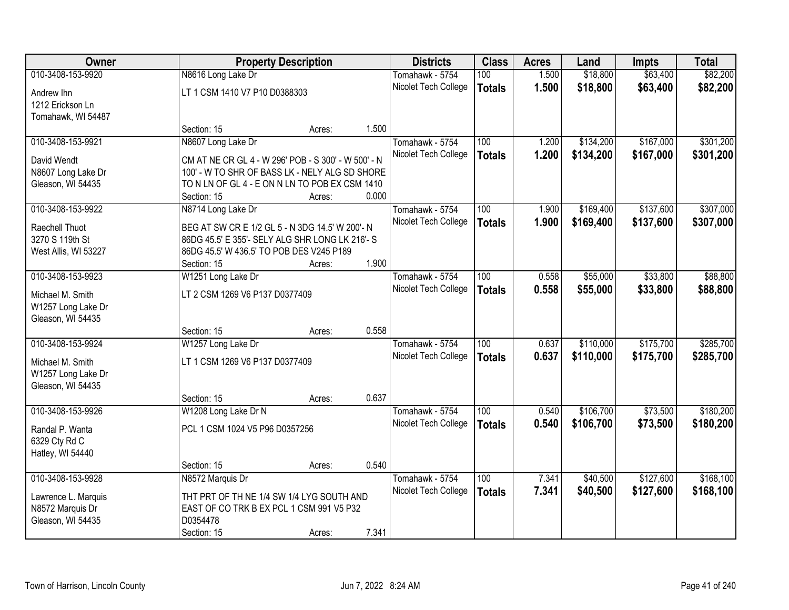| <b>Owner</b>                           |                                                      | <b>Property Description</b> |       | <b>Districts</b>     | <b>Class</b>     | <b>Acres</b> | Land      | <b>Impts</b> | <b>Total</b> |
|----------------------------------------|------------------------------------------------------|-----------------------------|-------|----------------------|------------------|--------------|-----------|--------------|--------------|
| 010-3408-153-9920                      | N8616 Long Lake Dr                                   |                             |       | Tomahawk - 5754      | 100              | 1.500        | \$18,800  | \$63,400     | \$82,200     |
| Andrew Ihn                             | LT 1 CSM 1410 V7 P10 D0388303                        |                             |       | Nicolet Tech College | <b>Totals</b>    | 1.500        | \$18,800  | \$63,400     | \$82,200     |
| 1212 Erickson Ln                       |                                                      |                             |       |                      |                  |              |           |              |              |
| Tomahawk, WI 54487                     |                                                      |                             |       |                      |                  |              |           |              |              |
|                                        | Section: 15                                          | Acres:                      | 1.500 |                      |                  |              |           |              |              |
| 010-3408-153-9921                      | N8607 Long Lake Dr                                   |                             |       | Tomahawk - 5754      | 100              | 1.200        | \$134,200 | \$167,000    | \$301,200    |
| David Wendt                            | CM AT NE CR GL 4 - W 296' POB - S 300' - W 500' - N  |                             |       | Nicolet Tech College | <b>Totals</b>    | 1.200        | \$134,200 | \$167,000    | \$301,200    |
| N8607 Long Lake Dr                     | 100' - W TO SHR OF BASS LK - NELY ALG SD SHORE       |                             |       |                      |                  |              |           |              |              |
| Gleason, WI 54435                      | TO N LN OF GL 4 - E ON N LN TO POB EX CSM 1410       |                             |       |                      |                  |              |           |              |              |
|                                        | Section: 15                                          | Acres:                      | 0.000 |                      |                  |              |           |              |              |
| 010-3408-153-9922                      | N8714 Long Lake Dr                                   |                             |       | Tomahawk - 5754      | 100              | 1.900        | \$169,400 | \$137,600    | \$307,000    |
| Raechell Thuot                         | BEG AT SW CR E 1/2 GL 5 - N 3DG 14.5' W 200'- N      |                             |       | Nicolet Tech College | <b>Totals</b>    | 1.900        | \$169,400 | \$137,600    | \$307,000    |
| 3270 S 119th St                        | 86DG 45.5' E 355'- SELY ALG SHR LONG LK 216'- S      |                             |       |                      |                  |              |           |              |              |
| West Allis, WI 53227                   | 86DG 45.5' W 436.5' TO POB DES V245 P189             |                             |       |                      |                  |              |           |              |              |
|                                        | Section: 15                                          | Acres:                      | 1.900 |                      |                  |              |           |              |              |
| 010-3408-153-9923                      | W1251 Long Lake Dr                                   |                             |       | Tomahawk - 5754      | 100              | 0.558        | \$55,000  | \$33,800     | \$88,800     |
| Michael M. Smith                       | LT 2 CSM 1269 V6 P137 D0377409                       |                             |       | Nicolet Tech College | <b>Totals</b>    | 0.558        | \$55,000  | \$33,800     | \$88,800     |
| W1257 Long Lake Dr                     |                                                      |                             |       |                      |                  |              |           |              |              |
| Gleason, WI 54435                      |                                                      |                             |       |                      |                  |              |           |              |              |
|                                        | Section: 15                                          | Acres:                      | 0.558 |                      |                  |              |           |              |              |
| 010-3408-153-9924                      | W1257 Long Lake Dr                                   |                             |       | Tomahawk - 5754      | $\overline{100}$ | 0.637        | \$110,000 | \$175,700    | \$285,700    |
|                                        | LT 1 CSM 1269 V6 P137 D0377409                       |                             |       | Nicolet Tech College | <b>Totals</b>    | 0.637        | \$110,000 | \$175,700    | \$285,700    |
| Michael M. Smith<br>W1257 Long Lake Dr |                                                      |                             |       |                      |                  |              |           |              |              |
| Gleason, WI 54435                      |                                                      |                             |       |                      |                  |              |           |              |              |
|                                        | Section: 15                                          | Acres:                      | 0.637 |                      |                  |              |           |              |              |
| 010-3408-153-9926                      | W1208 Long Lake Dr N                                 |                             |       | Tomahawk - 5754      | 100              | 0.540        | \$106,700 | \$73,500     | \$180,200    |
|                                        |                                                      |                             |       | Nicolet Tech College | <b>Totals</b>    | 0.540        | \$106,700 | \$73,500     | \$180,200    |
| Randal P. Wanta                        | PCL 1 CSM 1024 V5 P96 D0357256                       |                             |       |                      |                  |              |           |              |              |
| 6329 Cty Rd C<br>Hatley, WI 54440      |                                                      |                             |       |                      |                  |              |           |              |              |
|                                        | Section: 15                                          | Acres:                      | 0.540 |                      |                  |              |           |              |              |
| 010-3408-153-9928                      | N8572 Marquis Dr                                     |                             |       | Tomahawk - 5754      | 100              | 7.341        | \$40,500  | \$127,600    | \$168,100    |
|                                        |                                                      |                             |       | Nicolet Tech College | <b>Totals</b>    | 7.341        | \$40,500  | \$127,600    | \$168,100    |
| Lawrence L. Marquis                    | THT PRT OF TH NE 1/4 SW 1/4 LYG SOUTH AND            |                             |       |                      |                  |              |           |              |              |
| N8572 Marquis Dr                       | EAST OF CO TRK B EX PCL 1 CSM 991 V5 P32<br>D0354478 |                             |       |                      |                  |              |           |              |              |
| Gleason, WI 54435                      | Section: 15                                          | Acres:                      | 7.341 |                      |                  |              |           |              |              |
|                                        |                                                      |                             |       |                      |                  |              |           |              |              |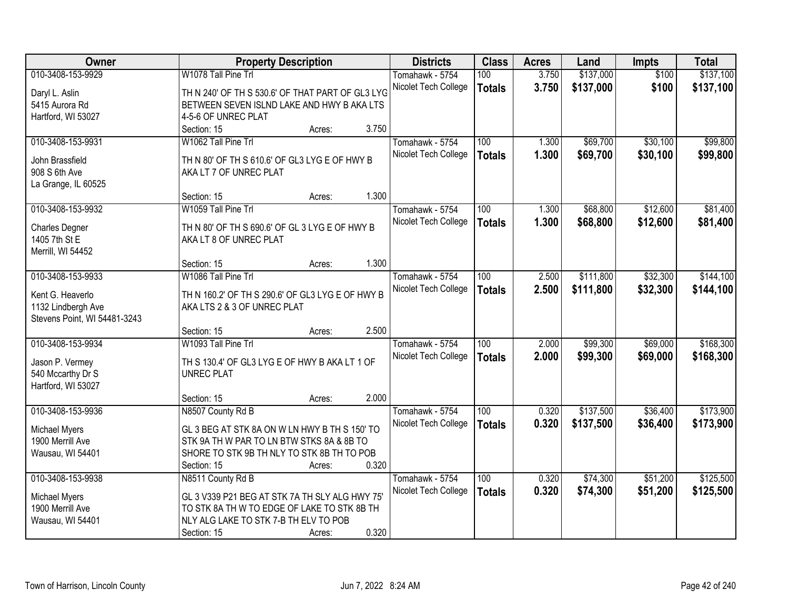| Owner                        | <b>Property Description</b>                      | <b>Districts</b>     | <b>Class</b>     | <b>Acres</b> | Land      | Impts    | <b>Total</b> |
|------------------------------|--------------------------------------------------|----------------------|------------------|--------------|-----------|----------|--------------|
| 010-3408-153-9929            | W1078 Tall Pine Trl                              | Tomahawk - 5754      | 100              | 3.750        | \$137,000 | \$100    | \$137,100    |
| Daryl L. Aslin               | TH N 240' OF TH S 530.6' OF THAT PART OF GL3 LYG | Nicolet Tech College | <b>Totals</b>    | 3.750        | \$137,000 | \$100    | \$137,100    |
| 5415 Aurora Rd               | BETWEEN SEVEN ISLND LAKE AND HWY B AKA LTS       |                      |                  |              |           |          |              |
| Hartford, WI 53027           | 4-5-6 OF UNREC PLAT                              |                      |                  |              |           |          |              |
|                              | 3.750<br>Section: 15<br>Acres:                   |                      |                  |              |           |          |              |
| 010-3408-153-9931            | W1062 Tall Pine Trl                              | Tomahawk - 5754      | 100              | 1.300        | \$69,700  | \$30,100 | \$99,800     |
| John Brassfield              | TH N 80' OF TH S 610.6' OF GL3 LYG E OF HWY B    | Nicolet Tech College | <b>Totals</b>    | 1.300        | \$69,700  | \$30,100 | \$99,800     |
| 908 S 6th Ave                | AKA LT 7 OF UNREC PLAT                           |                      |                  |              |           |          |              |
| La Grange, IL 60525          |                                                  |                      |                  |              |           |          |              |
|                              | 1.300<br>Section: 15<br>Acres:                   |                      |                  |              |           |          |              |
| 010-3408-153-9932            | W1059 Tall Pine Trl                              | Tomahawk - 5754      | 100              | 1.300        | \$68,800  | \$12,600 | \$81,400     |
|                              |                                                  | Nicolet Tech College | <b>Totals</b>    | 1.300        | \$68,800  | \$12,600 | \$81,400     |
| <b>Charles Degner</b>        | TH N 80' OF TH S 690.6' OF GL 3 LYG E OF HWY B   |                      |                  |              |           |          |              |
| 1405 7th St E                | AKA LT 8 OF UNREC PLAT                           |                      |                  |              |           |          |              |
| Merrill, WI 54452            | 1.300<br>Section: 15<br>Acres:                   |                      |                  |              |           |          |              |
| 010-3408-153-9933            | W1086 Tall Pine Trl                              | Tomahawk - 5754      | 100              | 2.500        | \$111,800 | \$32,300 | \$144,100    |
|                              |                                                  | Nicolet Tech College |                  | 2.500        | \$111,800 |          |              |
| Kent G. Heaverlo             | TH N 160.2' OF TH S 290.6' OF GL3 LYG E OF HWY B |                      | <b>Totals</b>    |              |           | \$32,300 | \$144,100    |
| 1132 Lindbergh Ave           | AKA LTS 2 & 3 OF UNREC PLAT                      |                      |                  |              |           |          |              |
| Stevens Point, WI 54481-3243 |                                                  |                      |                  |              |           |          |              |
|                              | 2.500<br>Section: 15<br>Acres:                   |                      |                  |              |           |          |              |
| 010-3408-153-9934            | W1093 Tall Pine Trl                              | Tomahawk - 5754      | $\overline{100}$ | 2.000        | \$99,300  | \$69,000 | \$168,300    |
| Jason P. Vermey              | TH S 130.4' OF GL3 LYG E OF HWY B AKA LT 1 OF    | Nicolet Tech College | <b>Totals</b>    | 2.000        | \$99,300  | \$69,000 | \$168,300    |
| 540 Mccarthy Dr S            | <b>UNREC PLAT</b>                                |                      |                  |              |           |          |              |
| Hartford, WI 53027           |                                                  |                      |                  |              |           |          |              |
|                              | 2.000<br>Section: 15<br>Acres:                   |                      |                  |              |           |          |              |
| 010-3408-153-9936            | N8507 County Rd B                                | Tomahawk - 5754      | $\overline{100}$ | 0.320        | \$137,500 | \$36,400 | \$173,900    |
| Michael Myers                | GL 3 BEG AT STK 8A ON W LN HWY B TH S 150' TO    | Nicolet Tech College | <b>Totals</b>    | 0.320        | \$137,500 | \$36,400 | \$173,900    |
| 1900 Merrill Ave             | STK 9A TH W PAR TO LN BTW STKS 8A & 8B TO        |                      |                  |              |           |          |              |
| Wausau, WI 54401             | SHORE TO STK 9B TH NLY TO STK 8B TH TO POB       |                      |                  |              |           |          |              |
|                              | 0.320<br>Section: 15<br>Acres:                   |                      |                  |              |           |          |              |
| 010-3408-153-9938            | N8511 County Rd B                                | Tomahawk - 5754      | 100              | 0.320        | \$74,300  | \$51,200 | \$125,500    |
|                              |                                                  | Nicolet Tech College | <b>Totals</b>    | 0.320        | \$74,300  | \$51,200 | \$125,500    |
| <b>Michael Myers</b>         | GL 3 V339 P21 BEG AT STK 7A TH SLY ALG HWY 75'   |                      |                  |              |           |          |              |
| 1900 Merrill Ave             | TO STK 8A TH W TO EDGE OF LAKE TO STK 8B TH      |                      |                  |              |           |          |              |
| Wausau, WI 54401             | NLY ALG LAKE TO STK 7-B TH ELV TO POB            |                      |                  |              |           |          |              |
|                              | 0.320<br>Section: 15<br>Acres:                   |                      |                  |              |           |          |              |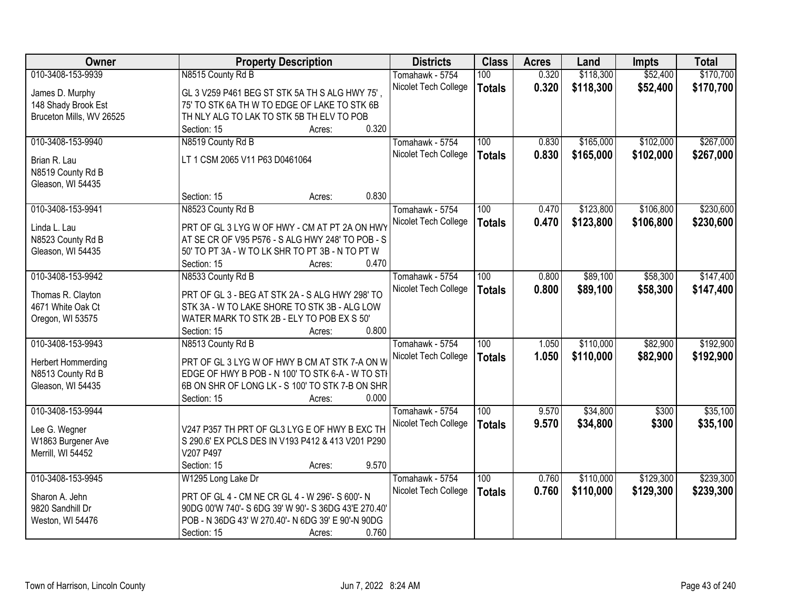| Owner                                  | <b>Property Description</b>                                                                         | <b>Districts</b>     | <b>Class</b>  | <b>Acres</b> | Land      | <b>Impts</b> | <b>Total</b> |
|----------------------------------------|-----------------------------------------------------------------------------------------------------|----------------------|---------------|--------------|-----------|--------------|--------------|
| 010-3408-153-9939                      | N8515 County Rd B                                                                                   | Tomahawk - 5754      | 100           | 0.320        | \$118,300 | \$52,400     | \$170,700    |
| James D. Murphy                        | GL 3 V259 P461 BEG ST STK 5A TH S ALG HWY 75',                                                      | Nicolet Tech College | <b>Totals</b> | 0.320        | \$118,300 | \$52,400     | \$170,700    |
| 148 Shady Brook Est                    | 75' TO STK 6A TH W TO EDGE OF LAKE TO STK 6B                                                        |                      |               |              |           |              |              |
| Bruceton Mills, WV 26525               | TH NLY ALG TO LAK TO STK 5B TH ELV TO POB                                                           |                      |               |              |           |              |              |
|                                        | 0.320<br>Section: 15<br>Acres:                                                                      |                      |               |              |           |              |              |
| 010-3408-153-9940                      | N8519 County Rd B                                                                                   | Tomahawk - 5754      | 100           | 0.830        | \$165,000 | \$102,000    | \$267,000    |
| Brian R. Lau                           | LT 1 CSM 2065 V11 P63 D0461064                                                                      | Nicolet Tech College | <b>Totals</b> | 0.830        | \$165,000 | \$102,000    | \$267,000    |
| N8519 County Rd B                      |                                                                                                     |                      |               |              |           |              |              |
| Gleason, WI 54435                      |                                                                                                     |                      |               |              |           |              |              |
|                                        | 0.830<br>Section: 15<br>Acres:                                                                      |                      |               |              |           |              |              |
| 010-3408-153-9941                      | N8523 County Rd B                                                                                   | Tomahawk - 5754      | 100           | 0.470        | \$123,800 | \$106,800    | \$230,600    |
|                                        |                                                                                                     | Nicolet Tech College | <b>Totals</b> | 0.470        | \$123,800 | \$106,800    | \$230,600    |
| Linda L. Lau                           | PRT OF GL 3 LYG W OF HWY - CM AT PT 2A ON HWY                                                       |                      |               |              |           |              |              |
| N8523 County Rd B                      | AT SE CR OF V95 P576 - S ALG HWY 248' TO POB - S                                                    |                      |               |              |           |              |              |
| Gleason, WI 54435                      | 50' TO PT 3A - W TO LK SHR TO PT 3B - N TO PT W                                                     |                      |               |              |           |              |              |
|                                        | 0.470<br>Section: 15<br>Acres:                                                                      |                      |               |              |           |              |              |
| 010-3408-153-9942                      | N8533 County Rd B                                                                                   | Tomahawk - 5754      | 100           | 0.800        | \$89,100  | \$58,300     | \$147,400    |
| Thomas R. Clayton                      | PRT OF GL 3 - BEG AT STK 2A - S ALG HWY 298' TO                                                     | Nicolet Tech College | <b>Totals</b> | 0.800        | \$89,100  | \$58,300     | \$147,400    |
| 4671 White Oak Ct                      | STK 3A - W TO LAKE SHORE TO STK 3B - ALG LOW                                                        |                      |               |              |           |              |              |
| Oregon, WI 53575                       | WATER MARK TO STK 2B - ELY TO POB EX S 50'                                                          |                      |               |              |           |              |              |
|                                        | 0.800<br>Section: 15<br>Acres:                                                                      |                      |               |              |           |              |              |
| 010-3408-153-9943                      | N8513 County Rd B                                                                                   | Tomahawk - 5754      | 100           | 1.050        | \$110,000 | \$82,900     | \$192,900    |
|                                        |                                                                                                     | Nicolet Tech College | <b>Totals</b> | 1.050        | \$110,000 | \$82,900     | \$192,900    |
| <b>Herbert Hommerding</b>              | PRT OF GL 3 LYG W OF HWY B CM AT STK 7-A ON W                                                       |                      |               |              |           |              |              |
| N8513 County Rd B<br>Gleason, WI 54435 | EDGE OF HWY B POB - N 100' TO STK 6-A - W TO STH<br>6B ON SHR OF LONG LK - S 100' TO STK 7-B ON SHR |                      |               |              |           |              |              |
|                                        | 0.000<br>Section: 15<br>Acres:                                                                      |                      |               |              |           |              |              |
| 010-3408-153-9944                      |                                                                                                     | Tomahawk - 5754      | 100           | 9.570        | \$34,800  | \$300        | \$35,100     |
|                                        |                                                                                                     | Nicolet Tech College |               | 9.570        | \$34,800  | \$300        | \$35,100     |
| Lee G. Wegner                          | V247 P357 TH PRT OF GL3 LYG E OF HWY B EXC TH                                                       |                      | <b>Totals</b> |              |           |              |              |
| W1863 Burgener Ave                     | S 290.6' EX PCLS DES IN V193 P412 & 413 V201 P290                                                   |                      |               |              |           |              |              |
| Merrill, WI 54452                      | V207 P497                                                                                           |                      |               |              |           |              |              |
|                                        | 9.570<br>Section: 15<br>Acres:                                                                      |                      |               |              |           |              |              |
| 010-3408-153-9945                      | W1295 Long Lake Dr                                                                                  | Tomahawk - 5754      | 100           | 0.760        | \$110,000 | \$129,300    | \$239,300    |
| Sharon A. Jehn                         | PRT OF GL 4 - CM NE CR GL 4 - W 296'- S 600'- N                                                     | Nicolet Tech College | <b>Totals</b> | 0.760        | \$110,000 | \$129,300    | \$239,300    |
| 9820 Sandhill Dr                       | 90DG 00'W 740'- S 6DG 39' W 90'- S 36DG 43'E 270.40'                                                |                      |               |              |           |              |              |
| Weston, WI 54476                       | POB - N 36DG 43' W 270.40'- N 6DG 39' E 90'-N 90DG                                                  |                      |               |              |           |              |              |
|                                        | 0.760<br>Section: 15<br>Acres:                                                                      |                      |               |              |           |              |              |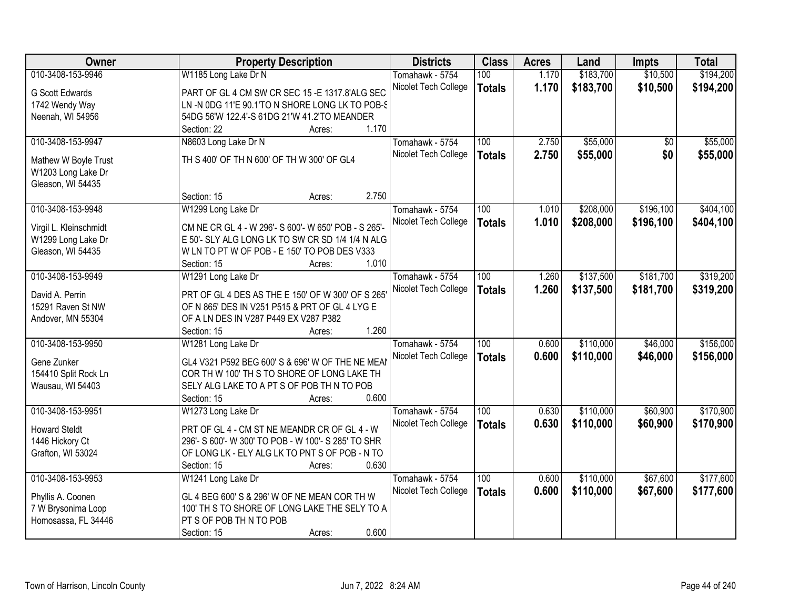| Owner                                   | <b>Property Description</b>                             | <b>Districts</b>     | <b>Class</b>     | <b>Acres</b> | Land      | <b>Impts</b> | <b>Total</b> |
|-----------------------------------------|---------------------------------------------------------|----------------------|------------------|--------------|-----------|--------------|--------------|
| 010-3408-153-9946                       | W1185 Long Lake Dr N                                    | Tomahawk - 5754      | 100              | 1.170        | \$183,700 | \$10,500     | \$194,200    |
| G Scott Edwards                         | PART OF GL 4 CM SW CR SEC 15 - E 1317.8'ALG SEC         | Nicolet Tech College | <b>Totals</b>    | 1.170        | \$183,700 | \$10,500     | \$194,200    |
| 1742 Wendy Way                          | LN -N 0DG 11'E 90.1'TO N SHORE LONG LK TO POB-S         |                      |                  |              |           |              |              |
| Neenah, WI 54956                        | 54DG 56'W 122.4'-S 61DG 21'W 41.2'TO MEANDER            |                      |                  |              |           |              |              |
|                                         | 1.170<br>Section: 22<br>Acres:                          |                      |                  |              |           |              |              |
| 010-3408-153-9947                       | N8603 Long Lake Dr N                                    | Tomahawk - 5754      | 100              | 2.750        | \$55,000  | \$0          | \$55,000     |
|                                         | TH S 400' OF TH N 600' OF TH W 300' OF GL4              | Nicolet Tech College | <b>Totals</b>    | 2.750        | \$55,000  | \$0          | \$55,000     |
| Mathew W Boyle Trust                    |                                                         |                      |                  |              |           |              |              |
| W1203 Long Lake Dr<br>Gleason, WI 54435 |                                                         |                      |                  |              |           |              |              |
|                                         | 2.750<br>Section: 15<br>Acres:                          |                      |                  |              |           |              |              |
| 010-3408-153-9948                       | W1299 Long Lake Dr                                      | Tomahawk - 5754      | 100              | 1.010        | \$208,000 | \$196,100    | \$404,100    |
|                                         |                                                         | Nicolet Tech College | <b>Totals</b>    | 1.010        | \$208,000 | \$196,100    | \$404,100    |
| Virgil L. Kleinschmidt                  | CM NE CR GL 4 - W 296'- S 600'- W 650' POB - S 265'-    |                      |                  |              |           |              |              |
| W1299 Long Lake Dr                      | E 50'- SLY ALG LONG LK TO SW CR SD 1/4 1/4 N ALG        |                      |                  |              |           |              |              |
| Gleason, WI 54435                       | W LN TO PT W OF POB - E 150' TO POB DES V333            |                      |                  |              |           |              |              |
|                                         | 1.010<br>Section: 15<br>Acres:                          |                      |                  |              |           |              |              |
| 010-3408-153-9949                       | W1291 Long Lake Dr                                      | Tomahawk - 5754      | 100              | 1.260        | \$137,500 | \$181,700    | \$319,200    |
| David A. Perrin                         | PRT OF GL 4 DES AS THE E 150' OF W 300' OF S 265'       | Nicolet Tech College | <b>Totals</b>    | 1.260        | \$137,500 | \$181,700    | \$319,200    |
| 15291 Raven St NW                       | OF N 865' DES IN V251 P515 & PRT OF GL 4 LYG E          |                      |                  |              |           |              |              |
| Andover, MN 55304                       | OF A LN DES IN V287 P449 EX V287 P382                   |                      |                  |              |           |              |              |
|                                         | 1.260<br>Section: 15<br>Acres:                          |                      |                  |              |           |              |              |
| 010-3408-153-9950                       | W1281 Long Lake Dr                                      | Tomahawk - 5754      | $\overline{100}$ | 0.600        | \$110,000 | \$46,000     | \$156,000    |
| Gene Zunker                             | GL4 V321 P592 BEG 600' S & 696' W OF THE NE MEAI        | Nicolet Tech College | <b>Totals</b>    | 0.600        | \$110,000 | \$46,000     | \$156,000    |
| 154410 Split Rock Ln                    | COR TH W 100' TH S TO SHORE OF LONG LAKE TH             |                      |                  |              |           |              |              |
| Wausau, WI 54403                        | SELY ALG LAKE TO A PT S OF POB TH N TO POB              |                      |                  |              |           |              |              |
|                                         | 0.600<br>Section: 15<br>Acres:                          |                      |                  |              |           |              |              |
| 010-3408-153-9951                       | W1273 Long Lake Dr                                      | Tomahawk - 5754      | 100              | 0.630        | \$110,000 | \$60,900     | \$170,900    |
|                                         |                                                         | Nicolet Tech College | <b>Totals</b>    | 0.630        | \$110,000 | \$60,900     | \$170,900    |
| <b>Howard Steldt</b>                    | PRT OF GL 4 - CM ST NE MEANDR CR OF GL 4 - W            |                      |                  |              |           |              |              |
| 1446 Hickory Ct                         | 296'- S 600'- W 300' TO POB - W 100'- S 285' TO SHR     |                      |                  |              |           |              |              |
| Grafton, WI 53024                       | OF LONG LK - ELY ALG LK TO PNT S OF POB - N TO<br>0.630 |                      |                  |              |           |              |              |
| 010-3408-153-9953                       | Section: 15<br>Acres:<br>W1241 Long Lake Dr             | Tomahawk - 5754      | 100              | 0.600        | \$110,000 | \$67,600     | \$177,600    |
|                                         |                                                         | Nicolet Tech College |                  |              |           |              |              |
| Phyllis A. Coonen                       | GL 4 BEG 600' S & 296' W OF NE MEAN COR TH W            |                      | <b>Totals</b>    | 0.600        | \$110,000 | \$67,600     | \$177,600    |
| 7 W Brysonima Loop                      | 100' TH S TO SHORE OF LONG LAKE THE SELY TO A           |                      |                  |              |           |              |              |
| Homosassa, FL 34446                     | PT S OF POB TH N TO POB                                 |                      |                  |              |           |              |              |
|                                         | 0.600<br>Section: 15<br>Acres:                          |                      |                  |              |           |              |              |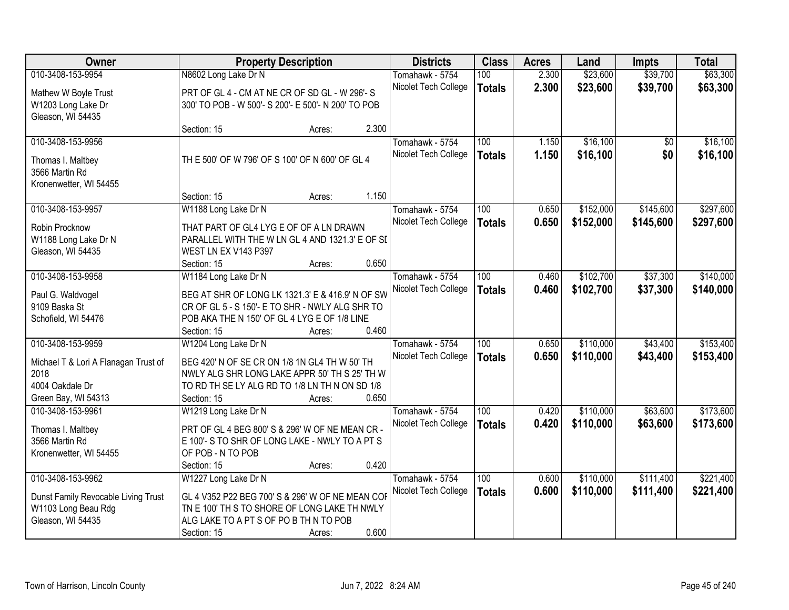| <b>Owner</b>                         | <b>Property Description</b>                                                                |        |       | <b>Districts</b>     | <b>Class</b>     | <b>Acres</b> | Land      | <b>Impts</b> | <b>Total</b> |
|--------------------------------------|--------------------------------------------------------------------------------------------|--------|-------|----------------------|------------------|--------------|-----------|--------------|--------------|
| 010-3408-153-9954                    | N8602 Long Lake Dr N                                                                       |        |       | Tomahawk - 5754      | 100              | 2.300        | \$23,600  | \$39,700     | \$63,300     |
| Mathew W Boyle Trust                 | PRT OF GL 4 - CM AT NE CR OF SD GL - W 296'-S                                              |        |       | Nicolet Tech College | <b>Totals</b>    | 2.300        | \$23,600  | \$39,700     | \$63,300     |
| W1203 Long Lake Dr                   | 300' TO POB - W 500'- S 200'- E 500'- N 200' TO POB                                        |        |       |                      |                  |              |           |              |              |
| Gleason, WI 54435                    |                                                                                            |        |       |                      |                  |              |           |              |              |
|                                      | Section: 15                                                                                | Acres: | 2.300 |                      |                  |              |           |              |              |
| 010-3408-153-9956                    |                                                                                            |        |       | Tomahawk - 5754      | 100              | 1.150        | \$16,100  | \$0          | \$16,100     |
| Thomas I. Maltbey                    | TH E 500' OF W 796' OF S 100' OF N 600' OF GL 4                                            |        |       | Nicolet Tech College | <b>Totals</b>    | 1.150        | \$16,100  | \$0          | \$16,100     |
| 3566 Martin Rd                       |                                                                                            |        |       |                      |                  |              |           |              |              |
| Kronenwetter, WI 54455               |                                                                                            |        |       |                      |                  |              |           |              |              |
|                                      | Section: 15                                                                                | Acres: | 1.150 |                      |                  |              |           |              |              |
| 010-3408-153-9957                    | W1188 Long Lake Dr N                                                                       |        |       | Tomahawk - 5754      | 100              | 0.650        | \$152,000 | \$145,600    | \$297,600    |
|                                      |                                                                                            |        |       | Nicolet Tech College | <b>Totals</b>    | 0.650        | \$152,000 | \$145,600    | \$297,600    |
| Robin Procknow                       | THAT PART OF GL4 LYG E OF OF A LN DRAWN<br>PARALLEL WITH THE W LN GL 4 AND 1321.3' E OF SI |        |       |                      |                  |              |           |              |              |
| W1188 Long Lake Dr N                 | WEST LN EX V143 P397                                                                       |        |       |                      |                  |              |           |              |              |
| Gleason, WI 54435                    | Section: 15                                                                                | Acres: | 0.650 |                      |                  |              |           |              |              |
| 010-3408-153-9958                    | W1184 Long Lake Dr N                                                                       |        |       | Tomahawk - 5754      | 100              | 0.460        | \$102,700 | \$37,300     | \$140,000    |
|                                      |                                                                                            |        |       | Nicolet Tech College | <b>Totals</b>    | 0.460        | \$102,700 | \$37,300     | \$140,000    |
| Paul G. Waldvogel                    | BEG AT SHR OF LONG LK 1321.3' E & 416.9' N OF SW                                           |        |       |                      |                  |              |           |              |              |
| 9109 Baska St                        | CR OF GL 5 - S 150'- E TO SHR - NWLY ALG SHR TO                                            |        |       |                      |                  |              |           |              |              |
| Schofield, WI 54476                  | POB AKA THE N 150' OF GL 4 LYG E OF 1/8 LINE                                               |        |       |                      |                  |              |           |              |              |
|                                      | Section: 15                                                                                | Acres: | 0.460 |                      |                  |              |           |              |              |
| 010-3408-153-9959                    | W1204 Long Lake Dr N                                                                       |        |       | Tomahawk - 5754      | $\overline{100}$ | 0.650        | \$110,000 | \$43,400     | \$153,400    |
| Michael T & Lori A Flanagan Trust of | BEG 420' N OF SE CR ON 1/8 1N GL4 TH W 50' TH                                              |        |       | Nicolet Tech College | <b>Totals</b>    | 0.650        | \$110,000 | \$43,400     | \$153,400    |
| 2018                                 | NWLY ALG SHR LONG LAKE APPR 50' TH S 25' TH W                                              |        |       |                      |                  |              |           |              |              |
| 4004 Oakdale Dr                      | TO RD TH SE LY ALG RD TO 1/8 LN TH N ON SD 1/8                                             |        |       |                      |                  |              |           |              |              |
| Green Bay, WI 54313                  | Section: 15                                                                                | Acres: | 0.650 |                      |                  |              |           |              |              |
| 010-3408-153-9961                    | W1219 Long Lake Dr N                                                                       |        |       | Tomahawk - 5754      | $\overline{100}$ | 0.420        | \$110,000 | \$63,600     | \$173,600    |
| Thomas I. Maltbey                    | PRT OF GL 4 BEG 800' S & 296' W OF NE MEAN CR -                                            |        |       | Nicolet Tech College | <b>Totals</b>    | 0.420        | \$110,000 | \$63,600     | \$173,600    |
| 3566 Martin Rd                       | E 100'- S TO SHR OF LONG LAKE - NWLY TO A PT S                                             |        |       |                      |                  |              |           |              |              |
| Kronenwetter, WI 54455               | OF POB - N TO POB                                                                          |        |       |                      |                  |              |           |              |              |
|                                      | Section: 15                                                                                | Acres: | 0.420 |                      |                  |              |           |              |              |
| 010-3408-153-9962                    | W1227 Long Lake Dr N                                                                       |        |       | Tomahawk - 5754      | 100              | 0.600        | \$110,000 | \$111,400    | \$221,400    |
| Dunst Family Revocable Living Trust  | GL 4 V352 P22 BEG 700' S & 296' W OF NE MEAN COF                                           |        |       | Nicolet Tech College | <b>Totals</b>    | 0.600        | \$110,000 | \$111,400    | \$221,400    |
| W1103 Long Beau Rdg                  | TN E 100' TH S TO SHORE OF LONG LAKE TH NWLY                                               |        |       |                      |                  |              |           |              |              |
| Gleason, WI 54435                    | ALG LAKE TO A PT S OF PO B TH N TO POB                                                     |        |       |                      |                  |              |           |              |              |
|                                      | Section: 15                                                                                | Acres: | 0.600 |                      |                  |              |           |              |              |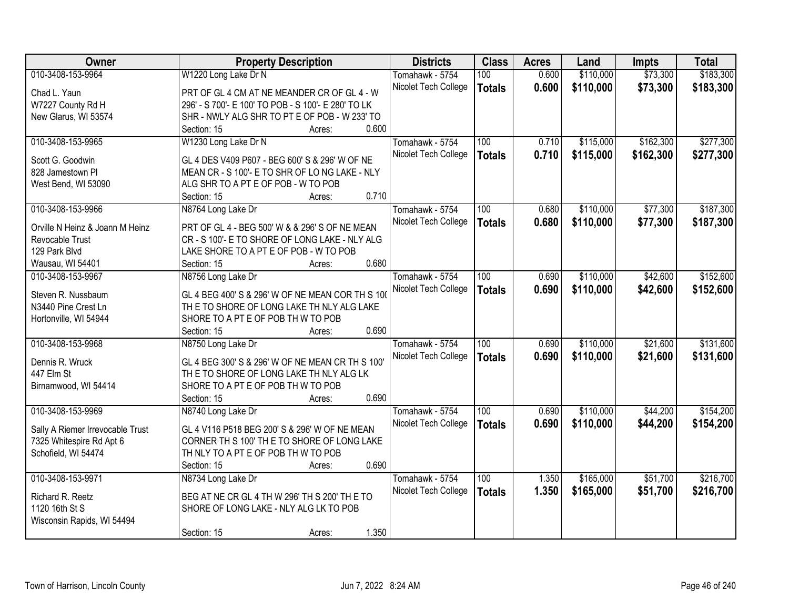| <b>Owner</b>                     | <b>Property Description</b>                         | <b>Districts</b>     | <b>Class</b>     | <b>Acres</b> | Land      | <b>Impts</b> | <b>Total</b> |
|----------------------------------|-----------------------------------------------------|----------------------|------------------|--------------|-----------|--------------|--------------|
| 010-3408-153-9964                | W1220 Long Lake Dr N                                | Tomahawk - 5754      | 100              | 0.600        | \$110,000 | \$73,300     | \$183,300    |
| Chad L. Yaun                     | PRT OF GL 4 CM AT NE MEANDER CR OF GL 4 - W         | Nicolet Tech College | <b>Totals</b>    | 0.600        | \$110,000 | \$73,300     | \$183,300    |
| W7227 County Rd H                | 296' - S 700'- E 100' TO POB - S 100'- E 280' TO LK |                      |                  |              |           |              |              |
| New Glarus, WI 53574             | SHR - NWLY ALG SHR TO PT E OF POB - W 233' TO       |                      |                  |              |           |              |              |
|                                  | 0.600<br>Section: 15<br>Acres:                      |                      |                  |              |           |              |              |
| 010-3408-153-9965                | W1230 Long Lake Dr N                                | Tomahawk - 5754      | 100              | 0.710        | \$115,000 | \$162,300    | \$277,300    |
|                                  |                                                     | Nicolet Tech College | <b>Totals</b>    | 0.710        | \$115,000 | \$162,300    | \$277,300    |
| Scott G. Goodwin                 | GL 4 DES V409 P607 - BEG 600' S & 296' W OF NE      |                      |                  |              |           |              |              |
| 828 Jamestown Pl                 | MEAN CR - S 100'- E TO SHR OF LO NG LAKE - NLY      |                      |                  |              |           |              |              |
| West Bend, WI 53090              | ALG SHR TO A PT E OF POB - W TO POB                 |                      |                  |              |           |              |              |
|                                  | 0.710<br>Section: 15<br>Acres:                      |                      |                  |              |           |              |              |
| 010-3408-153-9966                | N8764 Long Lake Dr                                  | Tomahawk - 5754      | 100              | 0.680        | \$110,000 | \$77,300     | \$187,300    |
| Orville N Heinz & Joann M Heinz  | PRT OF GL 4 - BEG 500' W & & 296' S OF NE MEAN      | Nicolet Tech College | <b>Totals</b>    | 0.680        | \$110,000 | \$77,300     | \$187,300    |
| Revocable Trust                  | CR - S 100'- E TO SHORE OF LONG LAKE - NLY ALG      |                      |                  |              |           |              |              |
|                                  |                                                     |                      |                  |              |           |              |              |
| 129 Park Blvd                    | LAKE SHORE TO A PT E OF POB - W TO POB              |                      |                  |              |           |              |              |
| Wausau, WI 54401                 | 0.680<br>Section: 15<br>Acres:                      |                      |                  |              |           |              |              |
| 010-3408-153-9967                | N8756 Long Lake Dr                                  | Tomahawk - 5754      | 100              | 0.690        | \$110,000 | \$42,600     | \$152,600    |
| Steven R. Nussbaum               | GL 4 BEG 400' S & 296' W OF NE MEAN COR TH S 100    | Nicolet Tech College | <b>Totals</b>    | 0.690        | \$110,000 | \$42,600     | \$152,600    |
| N3440 Pine Crest Ln              | TH E TO SHORE OF LONG LAKE TH NLY ALG LAKE          |                      |                  |              |           |              |              |
| Hortonville, WI 54944            | SHORE TO A PT E OF POB TH W TO POB                  |                      |                  |              |           |              |              |
|                                  | 0.690<br>Section: 15<br>Acres:                      |                      |                  |              |           |              |              |
| 010-3408-153-9968                | N8750 Long Lake Dr                                  | Tomahawk - 5754      | $\overline{100}$ | 0.690        | \$110,000 | \$21,600     | \$131,600    |
|                                  |                                                     | Nicolet Tech College | <b>Totals</b>    | 0.690        | \$110,000 | \$21,600     | \$131,600    |
| Dennis R. Wruck                  | GL 4 BEG 300' S & 296' W OF NE MEAN CR TH S 100'    |                      |                  |              |           |              |              |
| 447 Elm St                       | THE TO SHORE OF LONG LAKE TH NLY ALG LK             |                      |                  |              |           |              |              |
| Birnamwood, WI 54414             | SHORE TO A PT E OF POB TH W TO POB                  |                      |                  |              |           |              |              |
|                                  | 0.690<br>Section: 15<br>Acres:                      |                      |                  |              |           |              |              |
| 010-3408-153-9969                | N8740 Long Lake Dr                                  | Tomahawk - 5754      | 100              | 0.690        | \$110,000 | \$44,200     | \$154,200    |
|                                  | GL 4 V116 P518 BEG 200' S & 296' W OF NE MEAN       | Nicolet Tech College | <b>Totals</b>    | 0.690        | \$110,000 | \$44,200     | \$154,200    |
| Sally A Riemer Irrevocable Trust |                                                     |                      |                  |              |           |              |              |
| 7325 Whitespire Rd Apt 6         | CORNER TH S 100' TH E TO SHORE OF LONG LAKE         |                      |                  |              |           |              |              |
| Schofield, WI 54474              | TH NLY TO A PT E OF POB TH W TO POB                 |                      |                  |              |           |              |              |
|                                  | 0.690<br>Section: 15<br>Acres:                      |                      |                  |              |           |              |              |
| 010-3408-153-9971                | N8734 Long Lake Dr                                  | Tomahawk - 5754      | 100              | 1.350        | \$165,000 | \$51,700     | \$216,700    |
| Richard R. Reetz                 | BEG AT NE CR GL 4 TH W 296' TH S 200' TH E TO       | Nicolet Tech College | <b>Totals</b>    | 1.350        | \$165,000 | \$51,700     | \$216,700    |
| 1120 16th St S                   | SHORE OF LONG LAKE - NLY ALG LK TO POB              |                      |                  |              |           |              |              |
| Wisconsin Rapids, WI 54494       |                                                     |                      |                  |              |           |              |              |
|                                  | 1.350<br>Section: 15<br>Acres:                      |                      |                  |              |           |              |              |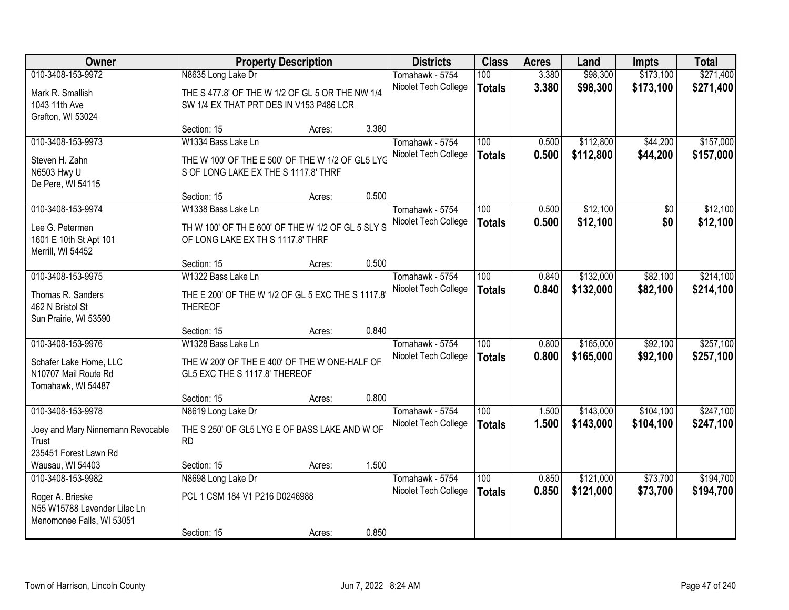| Owner                             |                                                   | <b>Property Description</b> |       | <b>Districts</b>     | <b>Class</b>     | <b>Acres</b> | Land      | <b>Impts</b> | <b>Total</b> |
|-----------------------------------|---------------------------------------------------|-----------------------------|-------|----------------------|------------------|--------------|-----------|--------------|--------------|
| 010-3408-153-9972                 | N8635 Long Lake Dr                                |                             |       | Tomahawk - 5754      | 100              | 3.380        | \$98,300  | \$173,100    | \$271,400    |
| Mark R. Smallish                  | THE S 477.8' OF THE W 1/2 OF GL 5 OR THE NW 1/4   |                             |       | Nicolet Tech College | <b>Totals</b>    | 3.380        | \$98,300  | \$173,100    | \$271,400    |
| 1043 11th Ave                     | SW 1/4 EX THAT PRT DES IN V153 P486 LCR           |                             |       |                      |                  |              |           |              |              |
| Grafton, WI 53024                 |                                                   |                             |       |                      |                  |              |           |              |              |
|                                   | Section: 15                                       | Acres:                      | 3.380 |                      |                  |              |           |              |              |
| 010-3408-153-9973                 | W1334 Bass Lake Ln                                |                             |       | Tomahawk - 5754      | 100              | 0.500        | \$112,800 | \$44,200     | \$157,000    |
| Steven H. Zahn                    | THE W 100' OF THE E 500' OF THE W 1/2 OF GL5 LYG  |                             |       | Nicolet Tech College | <b>Totals</b>    | 0.500        | \$112,800 | \$44,200     | \$157,000    |
| N6503 Hwy U                       | S OF LONG LAKE EX THE S 1117.8' THRF              |                             |       |                      |                  |              |           |              |              |
| De Pere, WI 54115                 |                                                   |                             |       |                      |                  |              |           |              |              |
|                                   | Section: 15                                       | Acres:                      | 0.500 |                      |                  |              |           |              |              |
| 010-3408-153-9974                 | W1338 Bass Lake Ln                                |                             |       | Tomahawk - 5754      | 100              | 0.500        | \$12,100  | \$0          | \$12,100     |
| Lee G. Petermen                   | TH W 100' OF TH E 600' OF THE W 1/2 OF GL 5 SLY S |                             |       | Nicolet Tech College | <b>Totals</b>    | 0.500        | \$12,100  | \$0          | \$12,100     |
| 1601 E 10th St Apt 101            | OF LONG LAKE EX TH S 1117.8' THRF                 |                             |       |                      |                  |              |           |              |              |
| Merrill, WI 54452                 |                                                   |                             |       |                      |                  |              |           |              |              |
|                                   | Section: 15                                       | Acres:                      | 0.500 |                      |                  |              |           |              |              |
| 010-3408-153-9975                 | W1322 Bass Lake Ln                                |                             |       | Tomahawk - 5754      | 100              | 0.840        | \$132,000 | \$82,100     | \$214,100    |
| Thomas R. Sanders                 | THE E 200' OF THE W 1/2 OF GL 5 EXC THE S 1117.8' |                             |       | Nicolet Tech College | <b>Totals</b>    | 0.840        | \$132,000 | \$82,100     | \$214,100    |
| 462 N Bristol St                  | <b>THEREOF</b>                                    |                             |       |                      |                  |              |           |              |              |
| Sun Prairie, WI 53590             |                                                   |                             |       |                      |                  |              |           |              |              |
|                                   | Section: 15                                       | Acres:                      | 0.840 |                      |                  |              |           |              |              |
| 010-3408-153-9976                 | W1328 Bass Lake Ln                                |                             |       | Tomahawk - 5754      | $\overline{100}$ | 0.800        | \$165,000 | \$92,100     | \$257,100    |
| Schafer Lake Home, LLC            | THE W 200' OF THE E 400' OF THE W ONE-HALF OF     |                             |       | Nicolet Tech College | <b>Totals</b>    | 0.800        | \$165,000 | \$92,100     | \$257,100    |
| N10707 Mail Route Rd              | GL5 EXC THE S 1117.8' THEREOF                     |                             |       |                      |                  |              |           |              |              |
| Tomahawk, WI 54487                |                                                   |                             |       |                      |                  |              |           |              |              |
|                                   | Section: 15                                       | Acres:                      | 0.800 |                      |                  |              |           |              |              |
| 010-3408-153-9978                 | N8619 Long Lake Dr                                |                             |       | Tomahawk - 5754      | 100              | 1.500        | \$143,000 | \$104,100    | \$247,100    |
| Joey and Mary Ninnemann Revocable | THE S 250' OF GL5 LYG E OF BASS LAKE AND W OF     |                             |       | Nicolet Tech College | <b>Totals</b>    | 1.500        | \$143,000 | \$104,100    | \$247,100    |
| Trust                             | <b>RD</b>                                         |                             |       |                      |                  |              |           |              |              |
| 235451 Forest Lawn Rd             |                                                   |                             |       |                      |                  |              |           |              |              |
| Wausau, WI 54403                  | Section: 15                                       | Acres:                      | 1.500 |                      |                  |              |           |              |              |
| 010-3408-153-9982                 | N8698 Long Lake Dr                                |                             |       | Tomahawk - 5754      | 100              | 0.850        | \$121,000 | \$73,700     | \$194,700    |
| Roger A. Brieske                  | PCL 1 CSM 184 V1 P216 D0246988                    |                             |       | Nicolet Tech College | <b>Totals</b>    | 0.850        | \$121,000 | \$73,700     | \$194,700    |
| N55 W15788 Lavender Lilac Ln      |                                                   |                             |       |                      |                  |              |           |              |              |
| Menomonee Falls, WI 53051         |                                                   |                             |       |                      |                  |              |           |              |              |
|                                   | Section: 15                                       | Acres:                      | 0.850 |                      |                  |              |           |              |              |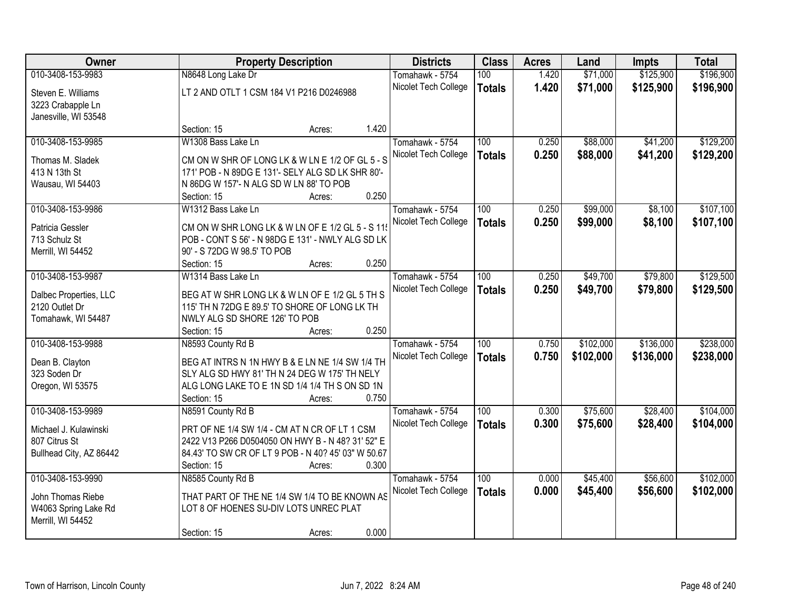| Owner                   |                                                     | <b>Property Description</b> | <b>Districts</b> | <b>Class</b>         | <b>Acres</b>  | Land  | <b>Impts</b> | <b>Total</b> |           |
|-------------------------|-----------------------------------------------------|-----------------------------|------------------|----------------------|---------------|-------|--------------|--------------|-----------|
| 010-3408-153-9983       | N8648 Long Lake Dr                                  |                             |                  | Tomahawk - 5754      | 100           | 1.420 | \$71,000     | \$125,900    | \$196,900 |
| Steven E. Williams      | LT 2 AND OTLT 1 CSM 184 V1 P216 D0246988            |                             |                  | Nicolet Tech College | <b>Totals</b> | 1.420 | \$71,000     | \$125,900    | \$196,900 |
| 3223 Crabapple Ln       |                                                     |                             |                  |                      |               |       |              |              |           |
| Janesville, WI 53548    |                                                     |                             |                  |                      |               |       |              |              |           |
|                         | Section: 15                                         | Acres:                      | 1.420            |                      |               |       |              |              |           |
| 010-3408-153-9985       | W1308 Bass Lake Ln                                  |                             |                  | Tomahawk - 5754      | 100           | 0.250 | \$88,000     | \$41,200     | \$129,200 |
| Thomas M. Sladek        | CM ON W SHR OF LONG LK & W LN E 1/2 OF GL 5 - S     |                             |                  | Nicolet Tech College | <b>Totals</b> | 0.250 | \$88,000     | \$41,200     | \$129,200 |
| 413 N 13th St           | 171' POB - N 89DG E 131'- SELY ALG SD LK SHR 80'-   |                             |                  |                      |               |       |              |              |           |
| Wausau, WI 54403        | N 86DG W 157'- N ALG SD W LN 88' TO POB             |                             |                  |                      |               |       |              |              |           |
|                         | Section: 15                                         | Acres:                      | 0.250            |                      |               |       |              |              |           |
| 010-3408-153-9986       | W1312 Bass Lake Ln                                  |                             |                  | Tomahawk - 5754      | 100           | 0.250 | \$99,000     | \$8,100      | \$107,100 |
|                         |                                                     |                             |                  | Nicolet Tech College | <b>Totals</b> | 0.250 | \$99,000     | \$8,100      | \$107,100 |
| Patricia Gessler        | CM ON W SHR LONG LK & W LN OF E 1/2 GL 5 - S 11     |                             |                  |                      |               |       |              |              |           |
| 713 Schulz St           | POB - CONT S 56' - N 98DG E 131' - NWLY ALG SD LK   |                             |                  |                      |               |       |              |              |           |
| Merrill, WI 54452       | 90' - S 72DG W 98.5' TO POB                         |                             | 0.250            |                      |               |       |              |              |           |
| 010-3408-153-9987       | Section: 15<br>W1314 Bass Lake Ln                   | Acres:                      |                  | Tomahawk - 5754      | 100           | 0.250 | \$49,700     | \$79,800     | \$129,500 |
|                         |                                                     |                             |                  |                      |               |       |              |              |           |
| Dalbec Properties, LLC  | BEG AT W SHR LONG LK & W LN OF E 1/2 GL 5 TH S      |                             |                  | Nicolet Tech College | <b>Totals</b> | 0.250 | \$49,700     | \$79,800     | \$129,500 |
| 2120 Outlet Dr          | 115' TH N 72DG E 89.5' TO SHORE OF LONG LK TH       |                             |                  |                      |               |       |              |              |           |
| Tomahawk, WI 54487      | NWLY ALG SD SHORE 126' TO POB                       |                             |                  |                      |               |       |              |              |           |
|                         | Section: 15                                         | Acres:                      | 0.250            |                      |               |       |              |              |           |
| 010-3408-153-9988       | N8593 County Rd B                                   |                             |                  | Tomahawk - 5754      | 100           | 0.750 | \$102,000    | \$136,000    | \$238,000 |
| Dean B. Clayton         | BEG AT INTRS N 1N HWY B & E LN NE 1/4 SW 1/4 TH     |                             |                  | Nicolet Tech College | <b>Totals</b> | 0.750 | \$102,000    | \$136,000    | \$238,000 |
| 323 Soden Dr            | SLY ALG SD HWY 81' TH N 24 DEG W 175' TH NELY       |                             |                  |                      |               |       |              |              |           |
| Oregon, WI 53575        | ALG LONG LAKE TO E 1N SD 1/4 1/4 TH S ON SD 1N      |                             |                  |                      |               |       |              |              |           |
|                         | Section: 15                                         | Acres:                      | 0.750            |                      |               |       |              |              |           |
| 010-3408-153-9989       | N8591 County Rd B                                   |                             |                  | Tomahawk - 5754      | 100           | 0.300 | \$75,600     | \$28,400     | \$104,000 |
| Michael J. Kulawinski   | PRT OF NE 1/4 SW 1/4 - CM AT N CR OF LT 1 CSM       |                             |                  | Nicolet Tech College | <b>Totals</b> | 0.300 | \$75,600     | \$28,400     | \$104,000 |
| 807 Citrus St           | 2422 V13 P266 D0504050 ON HWY B - N 48? 31' 52" E   |                             |                  |                      |               |       |              |              |           |
| Bullhead City, AZ 86442 | 84.43' TO SW CR OF LT 9 POB - N 40? 45' 03" W 50.67 |                             |                  |                      |               |       |              |              |           |
|                         | Section: 15                                         | Acres:                      | 0.300            |                      |               |       |              |              |           |
| 010-3408-153-9990       | N8585 County Rd B                                   |                             |                  | Tomahawk - 5754      | 100           | 0.000 | \$45,400     | \$56,600     | \$102,000 |
|                         |                                                     |                             |                  | Nicolet Tech College | <b>Totals</b> | 0.000 | \$45,400     | \$56,600     | \$102,000 |
| John Thomas Riebe       | THAT PART OF THE NE 1/4 SW 1/4 TO BE KNOWN AS       |                             |                  |                      |               |       |              |              |           |
| W4063 Spring Lake Rd    | LOT 8 OF HOENES SU-DIV LOTS UNREC PLAT              |                             |                  |                      |               |       |              |              |           |
| Merrill, WI 54452       |                                                     |                             |                  |                      |               |       |              |              |           |
|                         | Section: 15                                         | Acres:                      | 0.000            |                      |               |       |              |              |           |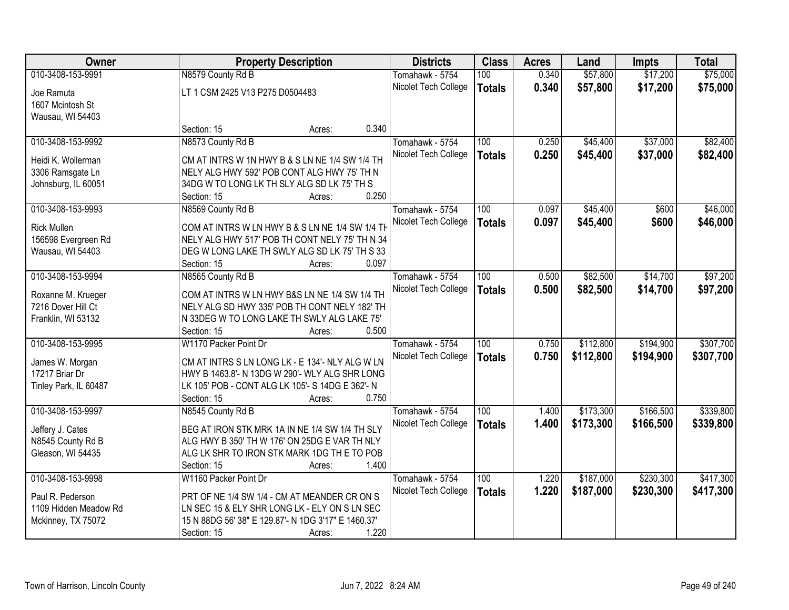| Owner                 | <b>Property Description</b>                         |       | <b>Districts</b>     | <b>Class</b>  | <b>Acres</b> | Land      | <b>Impts</b> | <b>Total</b> |
|-----------------------|-----------------------------------------------------|-------|----------------------|---------------|--------------|-----------|--------------|--------------|
| 010-3408-153-9991     | N8579 County Rd B                                   |       | Tomahawk - 5754      | 100           | 0.340        | \$57,800  | \$17,200     | \$75,000     |
| Joe Ramuta            | LT 1 CSM 2425 V13 P275 D0504483                     |       | Nicolet Tech College | <b>Totals</b> | 0.340        | \$57,800  | \$17,200     | \$75,000     |
| 1607 Mcintosh St      |                                                     |       |                      |               |              |           |              |              |
| Wausau, WI 54403      |                                                     |       |                      |               |              |           |              |              |
|                       | Section: 15<br>Acres:                               | 0.340 |                      |               |              |           |              |              |
| 010-3408-153-9992     | N8573 County Rd B                                   |       | Tomahawk - 5754      | 100           | 0.250        | \$45,400  | \$37,000     | \$82,400     |
|                       |                                                     |       | Nicolet Tech College | <b>Totals</b> | 0.250        | \$45,400  | \$37,000     | \$82,400     |
| Heidi K. Wollerman    | CM AT INTRS W 1N HWY B & S LN NE 1/4 SW 1/4 TH      |       |                      |               |              |           |              |              |
| 3306 Ramsgate Ln      | NELY ALG HWY 592' POB CONT ALG HWY 75' TH N         |       |                      |               |              |           |              |              |
| Johnsburg, IL 60051   | 34DG W TO LONG LK TH SLY ALG SD LK 75' TH S         | 0.250 |                      |               |              |           |              |              |
|                       | Section: 15<br>Acres:                               |       |                      |               |              |           |              |              |
| 010-3408-153-9993     | N8569 County Rd B                                   |       | Tomahawk - 5754      | 100           | 0.097        | \$45,400  | \$600        | \$46,000     |
| <b>Rick Mullen</b>    | COM AT INTRS W LN HWY B & S LN NE 1/4 SW 1/4 TH     |       | Nicolet Tech College | <b>Totals</b> | 0.097        | \$45,400  | \$600        | \$46,000     |
| 156598 Evergreen Rd   | NELY ALG HWY 517' POB TH CONT NELY 75' TH N 34      |       |                      |               |              |           |              |              |
| Wausau, WI 54403      | DEG W LONG LAKE TH SWLY ALG SD LK 75' TH S 33       |       |                      |               |              |           |              |              |
|                       | Section: 15<br>Acres:                               | 0.097 |                      |               |              |           |              |              |
| 010-3408-153-9994     | N8565 County Rd B                                   |       | Tomahawk - 5754      | 100           | 0.500        | \$82,500  | \$14,700     | \$97,200     |
|                       |                                                     |       | Nicolet Tech College | <b>Totals</b> | 0.500        | \$82,500  | \$14,700     | \$97,200     |
| Roxanne M. Krueger    | COM AT INTRS W LN HWY B&S LN NE 1/4 SW 1/4 TH       |       |                      |               |              |           |              |              |
| 7216 Dover Hill Ct    | NELY ALG SD HWY 335' POB TH CONT NELY 182' TH       |       |                      |               |              |           |              |              |
| Franklin, WI 53132    | N 33DEG W TO LONG LAKE TH SWLY ALG LAKE 75'         |       |                      |               |              |           |              |              |
|                       | Section: 15<br>Acres:                               | 0.500 |                      |               |              |           |              |              |
| 010-3408-153-9995     | W1170 Packer Point Dr                               |       | Tomahawk - 5754      | 100           | 0.750        | \$112,800 | \$194,900    | \$307,700    |
| James W. Morgan       | CM AT INTRS S LN LONG LK - E 134'- NLY ALG W LN     |       | Nicolet Tech College | <b>Totals</b> | 0.750        | \$112,800 | \$194,900    | \$307,700    |
| 17217 Briar Dr        | HWY B 1463.8'- N 13DG W 290'- WLY ALG SHR LONG      |       |                      |               |              |           |              |              |
| Tinley Park, IL 60487 | LK 105' POB - CONT ALG LK 105'- S 14DG E 362'- N    |       |                      |               |              |           |              |              |
|                       | Section: 15<br>Acres:                               | 0.750 |                      |               |              |           |              |              |
| 010-3408-153-9997     | N8545 County Rd B                                   |       | Tomahawk - 5754      | 100           | 1.400        | \$173,300 | \$166,500    | \$339,800    |
| Jeffery J. Cates      | BEG AT IRON STK MRK 1A IN NE 1/4 SW 1/4 TH SLY      |       | Nicolet Tech College | <b>Totals</b> | 1.400        | \$173,300 | \$166,500    | \$339,800    |
| N8545 County Rd B     | ALG HWY B 350' TH W 176' ON 25DG E VAR TH NLY       |       |                      |               |              |           |              |              |
| Gleason, WI 54435     | ALG LK SHR TO IRON STK MARK 1DG TH E TO POB         |       |                      |               |              |           |              |              |
|                       | Section: 15<br>Acres:                               | 1.400 |                      |               |              |           |              |              |
| 010-3408-153-9998     | W1160 Packer Point Dr                               |       | Tomahawk - 5754      | 100           | 1.220        | \$187,000 | \$230,300    | \$417,300    |
|                       |                                                     |       | Nicolet Tech College | <b>Totals</b> | 1.220        | \$187,000 | \$230,300    | \$417,300    |
| Paul R. Pederson      | PRT OF NE 1/4 SW 1/4 - CM AT MEANDER CR ON S        |       |                      |               |              |           |              |              |
| 1109 Hidden Meadow Rd | LN SEC 15 & ELY SHR LONG LK - ELY ON S LN SEC       |       |                      |               |              |           |              |              |
| Mckinney, TX 75072    | 15 N 88DG 56' 38" E 129.87'- N 1DG 3'17" E 1460.37' |       |                      |               |              |           |              |              |
|                       | Section: 15<br>Acres:                               | 1.220 |                      |               |              |           |              |              |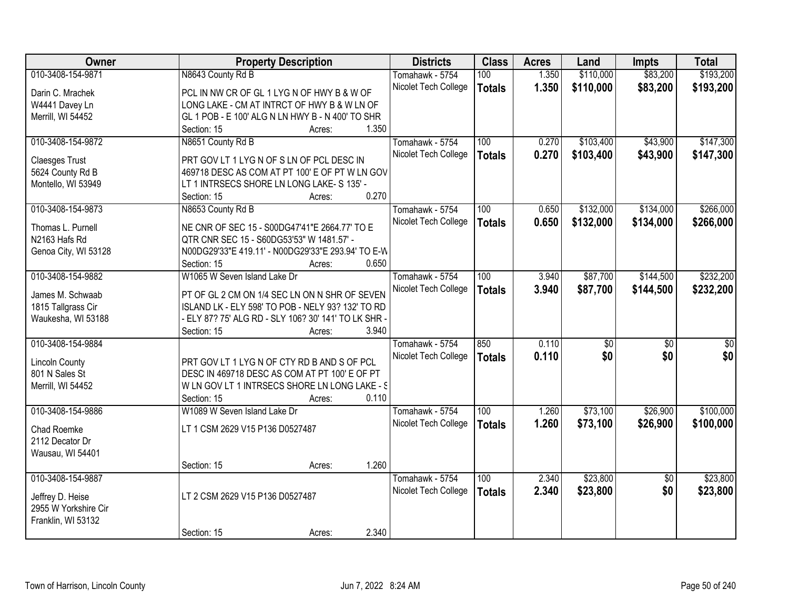| <b>Owner</b>          | <b>Property Description</b>                          | <b>Districts</b>     | <b>Class</b>  | <b>Acres</b> | Land            | <b>Impts</b>    | <b>Total</b>    |
|-----------------------|------------------------------------------------------|----------------------|---------------|--------------|-----------------|-----------------|-----------------|
| 010-3408-154-9871     | N8643 County Rd B                                    | Tomahawk - 5754      | 100           | 1.350        | \$110,000       | \$83,200        | \$193,200       |
| Darin C. Mrachek      | PCL IN NW CR OF GL 1 LYG N OF HWY B & W OF           | Nicolet Tech College | <b>Totals</b> | 1.350        | \$110,000       | \$83,200        | \$193,200       |
| W4441 Davey Ln        | LONG LAKE - CM AT INTRCT OF HWY B & W LN OF          |                      |               |              |                 |                 |                 |
| Merrill, WI 54452     | GL 1 POB - E 100' ALG N LN HWY B - N 400' TO SHR     |                      |               |              |                 |                 |                 |
|                       | 1.350<br>Section: 15<br>Acres:                       |                      |               |              |                 |                 |                 |
| 010-3408-154-9872     | N8651 County Rd B                                    | Tomahawk - 5754      | 100           | 0.270        | \$103,400       | \$43,900        | \$147,300       |
|                       |                                                      | Nicolet Tech College | <b>Totals</b> | 0.270        | \$103,400       | \$43,900        | \$147,300       |
| <b>Claesges Trust</b> | PRT GOV LT 1 LYG N OF S LN OF PCL DESC IN            |                      |               |              |                 |                 |                 |
| 5624 County Rd B      | 469718 DESC AS COM AT PT 100' E OF PT W LN GOV       |                      |               |              |                 |                 |                 |
| Montello, WI 53949    | LT 1 INTRSECS SHORE LN LONG LAKE- S 135' -           |                      |               |              |                 |                 |                 |
|                       | 0.270<br>Section: 15<br>Acres:                       |                      |               |              |                 |                 |                 |
| 010-3408-154-9873     | N8653 County Rd B                                    | Tomahawk - 5754      | 100           | 0.650        | \$132,000       | \$134,000       | \$266,000       |
| Thomas L. Purnell     | NE CNR OF SEC 15 - S00DG47'41"E 2664.77' TO E        | Nicolet Tech College | <b>Totals</b> | 0.650        | \$132,000       | \$134,000       | \$266,000       |
| N2163 Hafs Rd         | QTR CNR SEC 15 - S60DG53'53" W 1481.57' -            |                      |               |              |                 |                 |                 |
|                       | N00DG29'33"E 419.11' - N00DG29'33"E 293.94' TO E-W   |                      |               |              |                 |                 |                 |
| Genoa City, WI 53128  | 0.650<br>Section: 15<br>Acres:                       |                      |               |              |                 |                 |                 |
| 010-3408-154-9882     | W1065 W Seven Island Lake Dr                         |                      |               |              | \$87,700        | \$144,500       | \$232,200       |
|                       |                                                      | Tomahawk - 5754      | 100           | 3.940        |                 |                 |                 |
| James M. Schwaab      | PT OF GL 2 CM ON 1/4 SEC LN ON N SHR OF SEVEN        | Nicolet Tech College | <b>Totals</b> | 3.940        | \$87,700        | \$144,500       | \$232,200       |
| 1815 Tallgrass Cir    | ISLAND LK - ELY 598' TO POB - NELY 93? 132' TO RD    |                      |               |              |                 |                 |                 |
| Waukesha, WI 53188    | - ELY 87? 75' ALG RD - SLY 106? 30' 141' TO LK SHR - |                      |               |              |                 |                 |                 |
|                       | 3.940<br>Section: 15<br>Acres:                       |                      |               |              |                 |                 |                 |
| 010-3408-154-9884     |                                                      | Tomahawk - 5754      | 850           | 0.110        | $\overline{50}$ | $\overline{50}$ | $\overline{50}$ |
|                       |                                                      | Nicolet Tech College | <b>Totals</b> | 0.110        | \$0             | \$0             | \$0             |
| <b>Lincoln County</b> | PRT GOV LT 1 LYG N OF CTY RD B AND S OF PCL          |                      |               |              |                 |                 |                 |
| 801 N Sales St        | DESC IN 469718 DESC AS COM AT PT 100' E OF PT        |                      |               |              |                 |                 |                 |
| Merrill, WI 54452     | W LN GOV LT 1 INTRSECS SHORE LN LONG LAKE - S        |                      |               |              |                 |                 |                 |
|                       | 0.110<br>Section: 15<br>Acres:                       |                      |               |              |                 |                 |                 |
| 010-3408-154-9886     | W1089 W Seven Island Lake Dr                         | Tomahawk - 5754      | 100           | 1.260        | \$73,100        | \$26,900        | \$100,000       |
| Chad Roemke           | LT 1 CSM 2629 V15 P136 D0527487                      | Nicolet Tech College | <b>Totals</b> | 1.260        | \$73,100        | \$26,900        | \$100,000       |
| 2112 Decator Dr       |                                                      |                      |               |              |                 |                 |                 |
| Wausau, WI 54401      |                                                      |                      |               |              |                 |                 |                 |
|                       | 1.260<br>Section: 15                                 |                      |               |              |                 |                 |                 |
| 010-3408-154-9887     | Acres:                                               |                      |               | 2.340        |                 |                 |                 |
|                       |                                                      | Tomahawk - 5754      | 100           |              | \$23,800        | $\overline{50}$ | \$23,800        |
| Jeffrey D. Heise      | LT 2 CSM 2629 V15 P136 D0527487                      | Nicolet Tech College | <b>Totals</b> | 2.340        | \$23,800        | \$0             | \$23,800        |
| 2955 W Yorkshire Cir  |                                                      |                      |               |              |                 |                 |                 |
| Franklin, WI 53132    |                                                      |                      |               |              |                 |                 |                 |
|                       | 2.340<br>Section: 15<br>Acres:                       |                      |               |              |                 |                 |                 |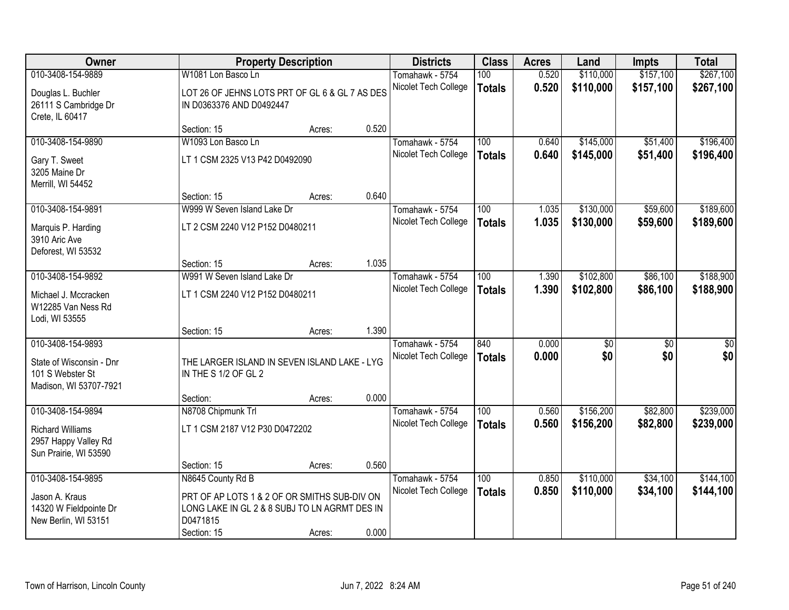| Owner                                                                                       |                                                                                                                          | <b>Property Description</b> |       | <b>Districts</b>                        | <b>Class</b>         | <b>Acres</b>   | Land       | <b>Impts</b>           | <b>Total</b> |
|---------------------------------------------------------------------------------------------|--------------------------------------------------------------------------------------------------------------------------|-----------------------------|-------|-----------------------------------------|----------------------|----------------|------------|------------------------|--------------|
| 010-3408-154-9889                                                                           | W1081 Lon Basco Ln                                                                                                       |                             |       | Tomahawk - 5754                         | 100                  | 0.520          | \$110,000  | \$157,100              | \$267,100    |
| Douglas L. Buchler<br>26111 S Cambridge Dr<br>Crete, IL 60417                               | LOT 26 OF JEHNS LOTS PRT OF GL 6 & GL 7 AS DES<br>IN D0363376 AND D0492447                                               |                             |       | Nicolet Tech College                    | <b>Totals</b>        | 0.520          | \$110,000  | \$157,100              | \$267,100    |
|                                                                                             | Section: 15                                                                                                              | Acres:                      | 0.520 |                                         |                      |                |            |                        |              |
| 010-3408-154-9890                                                                           | W1093 Lon Basco Ln                                                                                                       |                             |       | Tomahawk - 5754                         | 100                  | 0.640          | \$145,000  | \$51,400               | \$196,400    |
| Gary T. Sweet<br>3205 Maine Dr<br>Merrill, WI 54452                                         | LT 1 CSM 2325 V13 P42 D0492090                                                                                           |                             |       | Nicolet Tech College                    | <b>Totals</b>        | 0.640          | \$145,000  | \$51,400               | \$196,400    |
|                                                                                             | Section: 15                                                                                                              | Acres:                      | 0.640 |                                         |                      |                |            |                        |              |
| 010-3408-154-9891                                                                           | W999 W Seven Island Lake Dr                                                                                              |                             |       | Tomahawk - 5754                         | 100                  | 1.035          | \$130,000  | \$59,600               | \$189,600    |
| Marquis P. Harding<br>3910 Aric Ave<br>Deforest, WI 53532                                   | LT 2 CSM 2240 V12 P152 D0480211                                                                                          |                             |       | Nicolet Tech College                    | <b>Totals</b>        | 1.035          | \$130,000  | \$59,600               | \$189,600    |
|                                                                                             | Section: 15                                                                                                              | Acres:                      | 1.035 |                                         |                      |                |            |                        |              |
| 010-3408-154-9892                                                                           | W991 W Seven Island Lake Dr                                                                                              |                             |       | Tomahawk - 5754                         | 100                  | 1.390          | \$102,800  | \$86,100               | \$188,900    |
| Michael J. Mccracken<br>W12285 Van Ness Rd<br>Lodi, WI 53555                                | LT 1 CSM 2240 V12 P152 D0480211                                                                                          |                             |       | Nicolet Tech College                    | <b>Totals</b>        | 1.390          | \$102,800  | \$86,100               | \$188,900    |
|                                                                                             | Section: 15                                                                                                              | Acres:                      | 1.390 |                                         |                      |                |            |                        |              |
| 010-3408-154-9893<br>State of Wisconsin - Dnr<br>101 S Webster St<br>Madison, WI 53707-7921 | THE LARGER ISLAND IN SEVEN ISLAND LAKE - LYG<br>IN THE S 1/2 OF GL 2                                                     |                             |       | Tomahawk - 5754<br>Nicolet Tech College | 840<br><b>Totals</b> | 0.000<br>0.000 | \$0<br>\$0 | $\overline{50}$<br>\$0 | \$0<br>\$0   |
|                                                                                             | Section:                                                                                                                 | Acres:                      | 0.000 |                                         |                      |                |            |                        |              |
| 010-3408-154-9894                                                                           | N8708 Chipmunk Trl                                                                                                       |                             |       | Tomahawk - 5754                         | 100                  | 0.560          | \$156,200  | \$82,800               | \$239,000    |
| <b>Richard Williams</b><br>2957 Happy Valley Rd<br>Sun Prairie, WI 53590                    | LT 1 CSM 2187 V12 P30 D0472202                                                                                           |                             |       | Nicolet Tech College                    | <b>Totals</b>        | 0.560          | \$156,200  | \$82,800               | \$239,000    |
|                                                                                             | Section: 15                                                                                                              | Acres:                      | 0.560 |                                         |                      |                |            |                        |              |
| 010-3408-154-9895                                                                           | N8645 County Rd B                                                                                                        |                             |       | Tomahawk - 5754                         | 100                  | 0.850          | \$110,000  | \$34,100               | \$144,100    |
| Jason A. Kraus<br>14320 W Fieldpointe Dr<br>New Berlin, WI 53151                            | PRT OF AP LOTS 1 & 2 OF OR SMITHS SUB-DIV ON<br>LONG LAKE IN GL 2 & 8 SUBJ TO LN AGRMT DES IN<br>D0471815<br>Section: 15 | Acres:                      | 0.000 | Nicolet Tech College                    | <b>Totals</b>        | 0.850          | \$110,000  | \$34,100               | \$144,100    |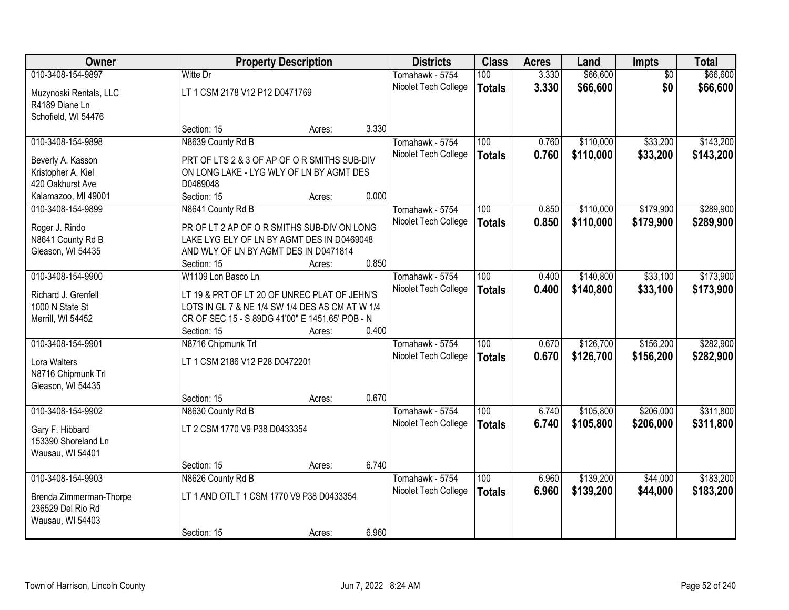| Owner                                        |                                                 | <b>Property Description</b> |       | <b>Districts</b>     | <b>Class</b>  | <b>Acres</b> | Land      | Impts           | <b>Total</b> |
|----------------------------------------------|-------------------------------------------------|-----------------------------|-------|----------------------|---------------|--------------|-----------|-----------------|--------------|
| 010-3408-154-9897                            | Witte Dr                                        |                             |       | Tomahawk - 5754      | 100           | 3.330        | \$66,600  | $\overline{50}$ | \$66,600     |
| Muzynoski Rentals, LLC                       | LT 1 CSM 2178 V12 P12 D0471769                  |                             |       | Nicolet Tech College | <b>Totals</b> | 3.330        | \$66,600  | \$0             | \$66,600     |
| R4189 Diane Ln                               |                                                 |                             |       |                      |               |              |           |                 |              |
| Schofield, WI 54476                          |                                                 |                             |       |                      |               |              |           |                 |              |
|                                              | Section: 15                                     | Acres:                      | 3.330 |                      |               |              |           |                 |              |
| 010-3408-154-9898                            | N8639 County Rd B                               |                             |       | Tomahawk - 5754      | 100           | 0.760        | \$110,000 | \$33,200        | \$143,200    |
|                                              | PRT OF LTS 2 & 3 OF AP OF OR SMITHS SUB-DIV     |                             |       | Nicolet Tech College | <b>Totals</b> | 0.760        | \$110,000 | \$33,200        | \$143,200    |
| Beverly A. Kasson<br>Kristopher A. Kiel      | ON LONG LAKE - LYG WLY OF LN BY AGMT DES        |                             |       |                      |               |              |           |                 |              |
| 420 Oakhurst Ave                             | D0469048                                        |                             |       |                      |               |              |           |                 |              |
| Kalamazoo, MI 49001                          | Section: 15                                     | Acres:                      | 0.000 |                      |               |              |           |                 |              |
| 010-3408-154-9899                            | N8641 County Rd B                               |                             |       | Tomahawk - 5754      | 100           | 0.850        | \$110,000 | \$179,900       | \$289,900    |
|                                              |                                                 |                             |       | Nicolet Tech College | <b>Totals</b> | 0.850        | \$110,000 | \$179,900       | \$289,900    |
| Roger J. Rindo                               | PR OF LT 2 AP OF O R SMITHS SUB-DIV ON LONG     |                             |       |                      |               |              |           |                 |              |
| N8641 County Rd B                            | LAKE LYG ELY OF LN BY AGMT DES IN D0469048      |                             |       |                      |               |              |           |                 |              |
| Gleason, WI 54435                            | AND WLY OF LN BY AGMT DES IN D0471814           |                             |       |                      |               |              |           |                 |              |
|                                              | Section: 15                                     | Acres:                      | 0.850 |                      |               |              |           |                 |              |
| 010-3408-154-9900                            | W1109 Lon Basco Ln                              |                             |       | Tomahawk - 5754      | 100           | 0.400        | \$140,800 | \$33,100        | \$173,900    |
| Richard J. Grenfell                          | LT 19 & PRT OF LT 20 OF UNREC PLAT OF JEHN'S    |                             |       | Nicolet Tech College | <b>Totals</b> | 0.400        | \$140,800 | \$33,100        | \$173,900    |
| 1000 N State St                              | LOTS IN GL 7 & NE 1/4 SW 1/4 DES AS CM AT W 1/4 |                             |       |                      |               |              |           |                 |              |
| Merrill, WI 54452                            | CR OF SEC 15 - S 89DG 41'00" E 1451.65' POB - N |                             |       |                      |               |              |           |                 |              |
|                                              | Section: 15                                     | Acres:                      | 0.400 |                      |               |              |           |                 |              |
| 010-3408-154-9901                            | N8716 Chipmunk Trl                              |                             |       | Tomahawk - 5754      | 100           | 0.670        | \$126,700 | \$156,200       | \$282,900    |
|                                              |                                                 |                             |       | Nicolet Tech College | <b>Totals</b> | 0.670        | \$126,700 | \$156,200       | \$282,900    |
| Lora Walters                                 | LT 1 CSM 2186 V12 P28 D0472201                  |                             |       |                      |               |              |           |                 |              |
| N8716 Chipmunk Trl                           |                                                 |                             |       |                      |               |              |           |                 |              |
| Gleason, WI 54435                            |                                                 |                             |       |                      |               |              |           |                 |              |
|                                              | Section: 15                                     | Acres:                      | 0.670 |                      |               |              |           |                 |              |
| 010-3408-154-9902                            | N8630 County Rd B                               |                             |       | Tomahawk - 5754      | 100           | 6.740        | \$105,800 | \$206,000       | \$311,800    |
| Gary F. Hibbard                              | LT 2 CSM 1770 V9 P38 D0433354                   |                             |       | Nicolet Tech College | <b>Totals</b> | 6.740        | \$105,800 | \$206,000       | \$311,800    |
| 153390 Shoreland Ln                          |                                                 |                             |       |                      |               |              |           |                 |              |
| Wausau, WI 54401                             |                                                 |                             |       |                      |               |              |           |                 |              |
|                                              | Section: 15                                     | Acres:                      | 6.740 |                      |               |              |           |                 |              |
| 010-3408-154-9903                            | N8626 County Rd B                               |                             |       | Tomahawk - 5754      | 100           | 6.960        | \$139,200 | \$44,000        | \$183,200    |
|                                              |                                                 |                             |       | Nicolet Tech College | <b>Totals</b> | 6.960        | \$139,200 | \$44,000        | \$183,200    |
| Brenda Zimmerman-Thorpe<br>236529 Del Rio Rd | LT 1 AND OTLT 1 CSM 1770 V9 P38 D0433354        |                             |       |                      |               |              |           |                 |              |
|                                              |                                                 |                             |       |                      |               |              |           |                 |              |
| Wausau, WI 54403                             | Section: 15                                     |                             | 6.960 |                      |               |              |           |                 |              |
|                                              |                                                 | Acres:                      |       |                      |               |              |           |                 |              |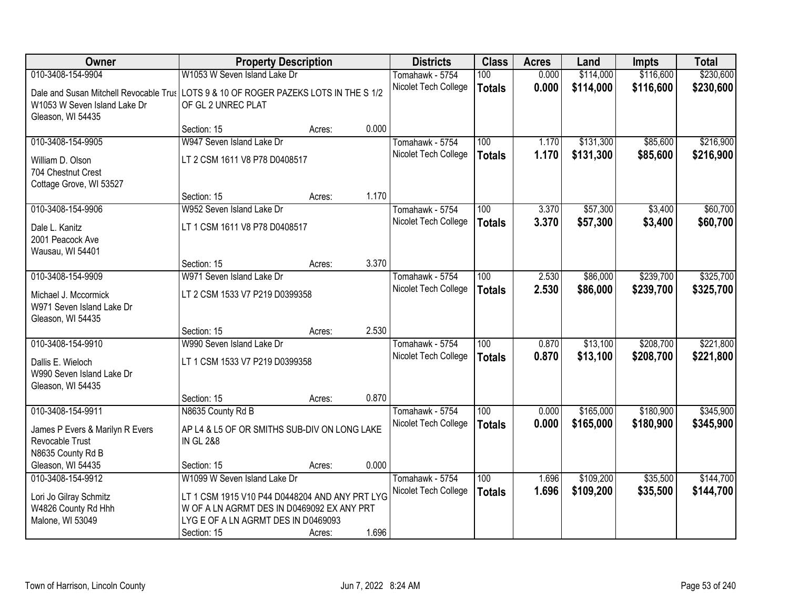| Owner                                  |                                                | <b>Property Description</b> |       | <b>Districts</b>     | <b>Class</b>     | <b>Acres</b> | Land      | <b>Impts</b> | <b>Total</b> |
|----------------------------------------|------------------------------------------------|-----------------------------|-------|----------------------|------------------|--------------|-----------|--------------|--------------|
| 010-3408-154-9904                      | W1053 W Seven Island Lake Dr                   |                             |       | Tomahawk - 5754      | 100              | 0.000        | \$114,000 | \$116,600    | \$230,600    |
| Dale and Susan Mitchell Revocable Trus | LOTS 9 & 10 OF ROGER PAZEKS LOTS IN THE S 1/2  |                             |       | Nicolet Tech College | <b>Totals</b>    | 0.000        | \$114,000 | \$116,600    | \$230,600    |
| W1053 W Seven Island Lake Dr           | OF GL 2 UNREC PLAT                             |                             |       |                      |                  |              |           |              |              |
| Gleason, WI 54435                      |                                                |                             |       |                      |                  |              |           |              |              |
|                                        | Section: 15                                    | Acres:                      | 0.000 |                      |                  |              |           |              |              |
| 010-3408-154-9905                      | W947 Seven Island Lake Dr                      |                             |       | Tomahawk - 5754      | 100              | 1.170        | \$131,300 | \$85,600     | \$216,900    |
| William D. Olson                       | LT 2 CSM 1611 V8 P78 D0408517                  |                             |       | Nicolet Tech College | <b>Totals</b>    | 1.170        | \$131,300 | \$85,600     | \$216,900    |
| 704 Chestnut Crest                     |                                                |                             |       |                      |                  |              |           |              |              |
| Cottage Grove, WI 53527                |                                                |                             |       |                      |                  |              |           |              |              |
|                                        | Section: 15                                    | Acres:                      | 1.170 |                      |                  |              |           |              |              |
| 010-3408-154-9906                      | W952 Seven Island Lake Dr                      |                             |       | Tomahawk - 5754      | 100              | 3.370        | \$57,300  | \$3,400      | \$60,700     |
| Dale L. Kanitz                         | LT 1 CSM 1611 V8 P78 D0408517                  |                             |       | Nicolet Tech College | <b>Totals</b>    | 3.370        | \$57,300  | \$3,400      | \$60,700     |
| 2001 Peacock Ave                       |                                                |                             |       |                      |                  |              |           |              |              |
| Wausau, WI 54401                       |                                                |                             |       |                      |                  |              |           |              |              |
|                                        | Section: 15                                    | Acres:                      | 3.370 |                      |                  |              |           |              |              |
| 010-3408-154-9909                      | W971 Seven Island Lake Dr                      |                             |       | Tomahawk - 5754      | 100              | 2.530        | \$86,000  | \$239,700    | \$325,700    |
| Michael J. Mccormick                   | LT 2 CSM 1533 V7 P219 D0399358                 |                             |       | Nicolet Tech College | <b>Totals</b>    | 2.530        | \$86,000  | \$239,700    | \$325,700    |
| W971 Seven Island Lake Dr              |                                                |                             |       |                      |                  |              |           |              |              |
| Gleason, WI 54435                      |                                                |                             |       |                      |                  |              |           |              |              |
|                                        | Section: 15                                    | Acres:                      | 2.530 |                      |                  |              |           |              |              |
| 010-3408-154-9910                      | W990 Seven Island Lake Dr                      |                             |       | Tomahawk - 5754      | 100              | 0.870        | \$13,100  | \$208,700    | \$221,800    |
| Dallis E. Wieloch                      | LT 1 CSM 1533 V7 P219 D0399358                 |                             |       | Nicolet Tech College | <b>Totals</b>    | 0.870        | \$13,100  | \$208,700    | \$221,800    |
| W990 Seven Island Lake Dr              |                                                |                             |       |                      |                  |              |           |              |              |
| Gleason, WI 54435                      |                                                |                             |       |                      |                  |              |           |              |              |
|                                        | Section: 15                                    | Acres:                      | 0.870 |                      |                  |              |           |              |              |
| 010-3408-154-9911                      | N8635 County Rd B                              |                             |       | Tomahawk - 5754      | $\overline{100}$ | 0.000        | \$165,000 | \$180,900    | \$345,900    |
| James P Evers & Marilyn R Evers        | AP L4 & L5 OF OR SMITHS SUB-DIV ON LONG LAKE   |                             |       | Nicolet Tech College | <b>Totals</b>    | 0.000        | \$165,000 | \$180,900    | \$345,900    |
| Revocable Trust                        | <b>IN GL 2&amp;8</b>                           |                             |       |                      |                  |              |           |              |              |
| N8635 County Rd B                      |                                                |                             |       |                      |                  |              |           |              |              |
| Gleason, WI 54435                      | Section: 15                                    | Acres:                      | 0.000 |                      |                  |              |           |              |              |
| 010-3408-154-9912                      | W1099 W Seven Island Lake Dr                   |                             |       | Tomahawk - 5754      | 100              | 1.696        | \$109,200 | \$35,500     | \$144,700    |
| Lori Jo Gilray Schmitz                 | LT 1 CSM 1915 V10 P44 D0448204 AND ANY PRT LYG |                             |       | Nicolet Tech College | <b>Totals</b>    | 1.696        | \$109,200 | \$35,500     | \$144,700    |
| W4826 County Rd Hhh                    | W OF A LN AGRMT DES IN D0469092 EX ANY PRT     |                             |       |                      |                  |              |           |              |              |
| Malone, WI 53049                       | LYG E OF A LN AGRMT DES IN D0469093            |                             |       |                      |                  |              |           |              |              |
|                                        | Section: 15                                    | Acres:                      | 1.696 |                      |                  |              |           |              |              |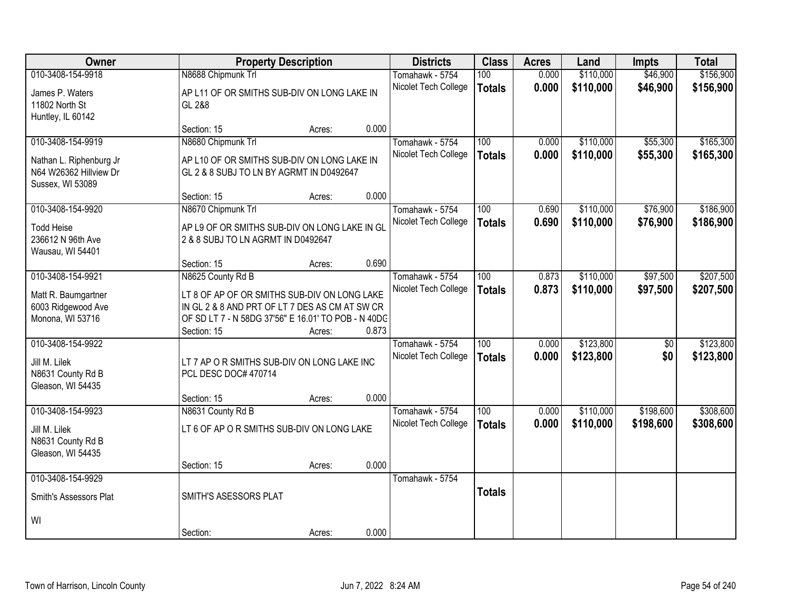| <b>Owner</b>                                                          |                                                                                         | <b>Property Description</b> |       | <b>Districts</b>                        | <b>Class</b>     | <b>Acres</b>   | Land                   | <b>Impts</b>           | <b>Total</b>           |
|-----------------------------------------------------------------------|-----------------------------------------------------------------------------------------|-----------------------------|-------|-----------------------------------------|------------------|----------------|------------------------|------------------------|------------------------|
| 010-3408-154-9918                                                     | N8688 Chipmunk Trl                                                                      |                             |       | Tomahawk - 5754                         | 100              | 0.000          | \$110,000              | \$46,900               | \$156,900              |
| James P. Waters<br>11802 North St                                     | AP L11 OF OR SMITHS SUB-DIV ON LONG LAKE IN<br>GL 2&8                                   |                             |       | Nicolet Tech College                    | <b>Totals</b>    | 0.000          | \$110,000              | \$46,900               | \$156,900              |
| Huntley, IL 60142                                                     |                                                                                         |                             |       |                                         |                  |                |                        |                        |                        |
|                                                                       | Section: 15                                                                             | Acres:                      | 0.000 |                                         |                  |                |                        |                        |                        |
| 010-3408-154-9919                                                     | N8680 Chipmunk Trl                                                                      |                             |       | Tomahawk - 5754                         | 100              | 0.000          | \$110,000              | \$55,300               | \$165,300              |
| Nathan L. Riphenburg Jr<br>N64 W26362 Hillview Dr<br>Sussex, WI 53089 | AP L10 OF OR SMITHS SUB-DIV ON LONG LAKE IN<br>GL 2 & 8 SUBJ TO LN BY AGRMT IN D0492647 |                             |       | Nicolet Tech College                    | <b>Totals</b>    | 0.000          | \$110,000              | \$55,300               | \$165,300              |
|                                                                       | Section: 15                                                                             | Acres:                      | 0.000 |                                         |                  |                |                        |                        |                        |
| 010-3408-154-9920                                                     | N8670 Chipmunk Trl                                                                      |                             |       | Tomahawk - 5754                         | 100              | 0.690          | \$110,000              | \$76,900               | \$186,900              |
| <b>Todd Heise</b>                                                     | AP L9 OF OR SMITHS SUB-DIV ON LONG LAKE IN GL                                           |                             |       | Nicolet Tech College                    | <b>Totals</b>    | 0.690          | \$110,000              | \$76,900               | \$186,900              |
| 236612 N 96th Ave                                                     | 2 & 8 SUBJ TO LN AGRMT IN D0492647                                                      |                             |       |                                         |                  |                |                        |                        |                        |
| Wausau, WI 54401                                                      |                                                                                         |                             |       |                                         |                  |                |                        |                        |                        |
|                                                                       | Section: 15                                                                             | Acres:                      | 0.690 |                                         |                  |                |                        |                        |                        |
| 010-3408-154-9921                                                     | N8625 County Rd B                                                                       |                             |       | Tomahawk - 5754                         | 100              | 0.873          | \$110,000              | \$97,500               | \$207,500              |
| Matt R. Baumgartner                                                   | LT 8 OF AP OF OR SMITHS SUB-DIV ON LONG LAKE                                            |                             |       | Nicolet Tech College                    | <b>Totals</b>    | 0.873          | \$110,000              | \$97,500               | \$207,500              |
| 6003 Ridgewood Ave                                                    | IN GL 2 & 8 AND PRT OF LT 7 DES AS CM AT SW CR                                          |                             |       |                                         |                  |                |                        |                        |                        |
| Monona, WI 53716                                                      | OF SD LT 7 - N 58DG 37'56" E 16.01' TO POB - N 40DC                                     |                             |       |                                         |                  |                |                        |                        |                        |
|                                                                       | Section: 15                                                                             | Acres:                      | 0.873 |                                         |                  |                |                        |                        |                        |
| 010-3408-154-9922                                                     |                                                                                         |                             |       | Tomahawk - 5754                         | $\overline{100}$ | 0.000          | \$123,800              | \$0                    | \$123,800              |
| Jill M. Lilek                                                         | LT 7 AP O R SMITHS SUB-DIV ON LONG LAKE INC                                             |                             |       | Nicolet Tech College                    | <b>Totals</b>    | 0.000          | \$123,800              | \$0                    | \$123,800              |
| N8631 County Rd B                                                     | PCL DESC DOC# 470714                                                                    |                             |       |                                         |                  |                |                        |                        |                        |
| Gleason, WI 54435                                                     |                                                                                         |                             |       |                                         |                  |                |                        |                        |                        |
| 010-3408-154-9923                                                     | Section: 15                                                                             | Acres:                      | 0.000 |                                         | 100              |                |                        |                        |                        |
|                                                                       | N8631 County Rd B                                                                       |                             |       | Tomahawk - 5754<br>Nicolet Tech College |                  | 0.000<br>0.000 | \$110,000<br>\$110,000 | \$198,600<br>\$198,600 | \$308,600<br>\$308,600 |
| Jill M. Lilek                                                         | LT 6 OF AP O R SMITHS SUB-DIV ON LONG LAKE                                              |                             |       |                                         | <b>Totals</b>    |                |                        |                        |                        |
| N8631 County Rd B<br>Gleason, WI 54435                                |                                                                                         |                             |       |                                         |                  |                |                        |                        |                        |
|                                                                       | Section: 15                                                                             | Acres:                      | 0.000 |                                         |                  |                |                        |                        |                        |
| 010-3408-154-9929                                                     |                                                                                         |                             |       | Tomahawk - 5754                         |                  |                |                        |                        |                        |
|                                                                       |                                                                                         |                             |       |                                         | <b>Totals</b>    |                |                        |                        |                        |
| Smith's Assessors Plat                                                | SMITH'S ASESSORS PLAT                                                                   |                             |       |                                         |                  |                |                        |                        |                        |
| WI                                                                    |                                                                                         |                             |       |                                         |                  |                |                        |                        |                        |
|                                                                       | Section:                                                                                | Acres:                      | 0.000 |                                         |                  |                |                        |                        |                        |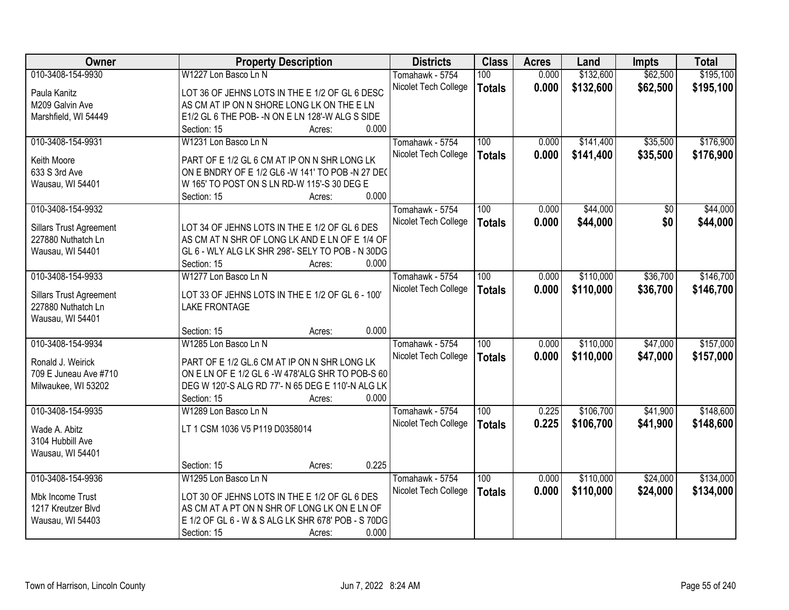| Owner                          | <b>Property Description</b>                        | <b>Districts</b>     | <b>Class</b>  | <b>Acres</b> | Land      | <b>Impts</b>    | <b>Total</b> |
|--------------------------------|----------------------------------------------------|----------------------|---------------|--------------|-----------|-----------------|--------------|
| 010-3408-154-9930              | W1227 Lon Basco Ln N                               | Tomahawk - 5754      | 100           | 0.000        | \$132,600 | \$62,500        | \$195,100    |
| Paula Kanitz                   | LOT 36 OF JEHNS LOTS IN THE E 1/2 OF GL 6 DESC     | Nicolet Tech College | <b>Totals</b> | 0.000        | \$132,600 | \$62,500        | \$195,100    |
| M209 Galvin Ave                | AS CM AT IP ON N SHORE LONG LK ON THE E LN         |                      |               |              |           |                 |              |
| Marshfield, WI 54449           | E1/2 GL 6 THE POB- -N ON E LN 128'-W ALG S SIDE    |                      |               |              |           |                 |              |
|                                | 0.000<br>Section: 15<br>Acres:                     |                      |               |              |           |                 |              |
| 010-3408-154-9931              | W1231 Lon Basco Ln N                               | Tomahawk - 5754      | 100           | 0.000        | \$141,400 | \$35,500        | \$176,900    |
|                                |                                                    | Nicolet Tech College | <b>Totals</b> | 0.000        | \$141,400 | \$35,500        | \$176,900    |
| Keith Moore                    | PART OF E 1/2 GL 6 CM AT IP ON N SHR LONG LK       |                      |               |              |           |                 |              |
| 633 S 3rd Ave                  | ON E BNDRY OF E 1/2 GL6 -W 141' TO POB -N 27 DEC   |                      |               |              |           |                 |              |
| Wausau, WI 54401               | W 165' TO POST ON S LN RD-W 115'-S 30 DEG E        |                      |               |              |           |                 |              |
|                                | 0.000<br>Section: 15<br>Acres:                     |                      |               |              |           |                 |              |
| 010-3408-154-9932              |                                                    | Tomahawk - 5754      | 100           | 0.000        | \$44,000  | $\overline{50}$ | \$44,000     |
| <b>Sillars Trust Agreement</b> | LOT 34 OF JEHNS LOTS IN THE E 1/2 OF GL 6 DES      | Nicolet Tech College | <b>Totals</b> | 0.000        | \$44,000  | \$0             | \$44,000     |
| 227880 Nuthatch Ln             | AS CM AT N SHR OF LONG LK AND E LN OF E 1/4 OF     |                      |               |              |           |                 |              |
| Wausau, WI 54401               | GL 6 - WLY ALG LK SHR 298'- SELY TO POB - N 30DG   |                      |               |              |           |                 |              |
|                                | 0.000<br>Section: 15<br>Acres:                     |                      |               |              |           |                 |              |
| 010-3408-154-9933              | W1277 Lon Basco Ln N                               | Tomahawk - 5754      | 100           | 0.000        | \$110,000 | \$36,700        | \$146,700    |
|                                |                                                    | Nicolet Tech College | <b>Totals</b> | 0.000        | \$110,000 | \$36,700        | \$146,700    |
| <b>Sillars Trust Agreement</b> | LOT 33 OF JEHNS LOTS IN THE E 1/2 OF GL 6 - 100'   |                      |               |              |           |                 |              |
| 227880 Nuthatch Ln             | <b>LAKE FRONTAGE</b>                               |                      |               |              |           |                 |              |
| Wausau, WI 54401               |                                                    |                      |               |              |           |                 |              |
|                                | 0.000<br>Section: 15<br>Acres:                     |                      |               |              |           |                 |              |
| 010-3408-154-9934              | W1285 Lon Basco Ln N                               | Tomahawk - 5754      | 100           | 0.000        | \$110,000 | \$47,000        | \$157,000    |
| Ronald J. Weirick              | PART OF E 1/2 GL.6 CM AT IP ON N SHR LONG LK       | Nicolet Tech College | <b>Totals</b> | 0.000        | \$110,000 | \$47,000        | \$157,000    |
| 709 E Juneau Ave #710          | ON ELN OF E 1/2 GL 6 -W 478'ALG SHR TO POB-S 60    |                      |               |              |           |                 |              |
| Milwaukee, WI 53202            | DEG W 120'-S ALG RD 77'- N 65 DEG E 110'-N ALG LK  |                      |               |              |           |                 |              |
|                                | 0.000<br>Section: 15<br>Acres:                     |                      |               |              |           |                 |              |
| 010-3408-154-9935              | W1289 Lon Basco Ln N                               | Tomahawk - 5754      | 100           | 0.225        | \$106,700 | \$41,900        | \$148,600    |
|                                |                                                    | Nicolet Tech College |               | 0.225        | \$106,700 |                 | \$148,600    |
| Wade A. Abitz                  | LT 1 CSM 1036 V5 P119 D0358014                     |                      | <b>Totals</b> |              |           | \$41,900        |              |
| 3104 Hubbill Ave               |                                                    |                      |               |              |           |                 |              |
| Wausau, WI 54401               |                                                    |                      |               |              |           |                 |              |
|                                | 0.225<br>Section: 15<br>Acres:                     |                      |               |              |           |                 |              |
| 010-3408-154-9936              | W1295 Lon Basco Ln N                               | Tomahawk - 5754      | 100           | 0.000        | \$110,000 | \$24,000        | \$134,000    |
| Mbk Income Trust               | LOT 30 OF JEHNS LOTS IN THE E 1/2 OF GL 6 DES      | Nicolet Tech College | <b>Totals</b> | 0.000        | \$110,000 | \$24,000        | \$134,000    |
| 1217 Kreutzer Blvd             | AS CM AT A PT ON N SHR OF LONG LK ON E LN OF       |                      |               |              |           |                 |              |
| Wausau, WI 54403               | E 1/2 OF GL 6 - W & S ALG LK SHR 678' POB - S 70DG |                      |               |              |           |                 |              |
|                                | 0.000<br>Section: 15<br>Acres:                     |                      |               |              |           |                 |              |
|                                |                                                    |                      |               |              |           |                 |              |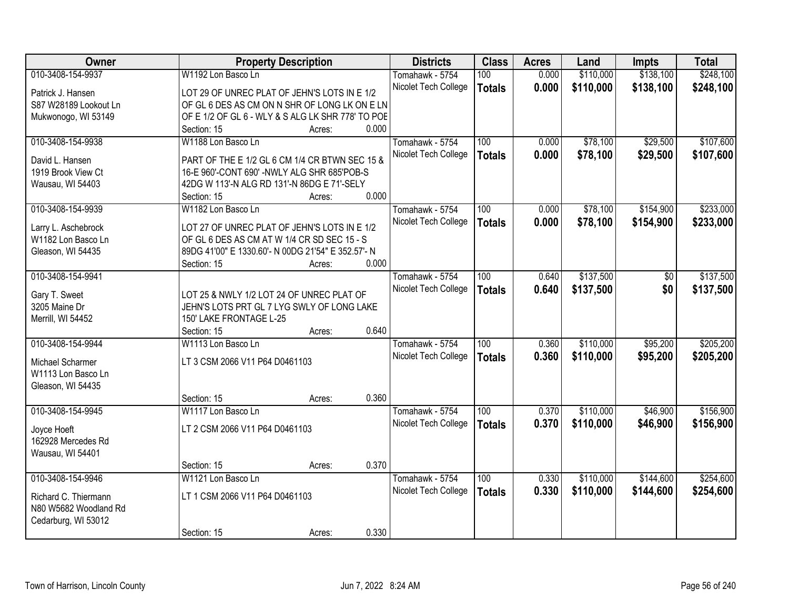| Owner                 |                                | <b>Property Description</b>                        |       | <b>Districts</b>     | <b>Class</b>  | <b>Acres</b> | Land      | <b>Impts</b> | <b>Total</b> |
|-----------------------|--------------------------------|----------------------------------------------------|-------|----------------------|---------------|--------------|-----------|--------------|--------------|
| 010-3408-154-9937     | W1192 Lon Basco Ln             |                                                    |       | Tomahawk - 5754      | 100           | 0.000        | \$110,000 | \$138,100    | \$248,100    |
| Patrick J. Hansen     |                                | LOT 29 OF UNREC PLAT OF JEHN'S LOTS IN E 1/2       |       | Nicolet Tech College | <b>Totals</b> | 0.000        | \$110,000 | \$138,100    | \$248,100    |
| S87 W28189 Lookout Ln |                                | OF GL 6 DES AS CM ON N SHR OF LONG LK ON E LN      |       |                      |               |              |           |              |              |
| Mukwonogo, WI 53149   |                                | OF E 1/2 OF GL 6 - WLY & S ALG LK SHR 778' TO POE  |       |                      |               |              |           |              |              |
|                       | Section: 15                    | Acres:                                             | 0.000 |                      |               |              |           |              |              |
| 010-3408-154-9938     | W1188 Lon Basco Ln             |                                                    |       | Tomahawk - 5754      | 100           | 0.000        | \$78,100  | \$29,500     | \$107,600    |
|                       |                                |                                                    |       | Nicolet Tech College | <b>Totals</b> | 0.000        | \$78,100  | \$29,500     | \$107,600    |
| David L. Hansen       |                                | PART OF THE E 1/2 GL 6 CM 1/4 CR BTWN SEC 15 &     |       |                      |               |              |           |              |              |
| 1919 Brook View Ct    |                                | 16-E 960'-CONT 690' -NWLY ALG SHR 685'POB-S        |       |                      |               |              |           |              |              |
| Wausau, WI 54403      |                                | 42DG W 113'-N ALG RD 131'-N 86DG E 71'-SELY        |       |                      |               |              |           |              |              |
|                       | Section: 15                    | Acres:                                             | 0.000 |                      |               |              |           |              |              |
| 010-3408-154-9939     | W1182 Lon Basco Ln             |                                                    |       | Tomahawk - 5754      | 100           | 0.000        | \$78,100  | \$154,900    | \$233,000    |
| Larry L. Aschebrock   |                                | LOT 27 OF UNREC PLAT OF JEHN'S LOTS IN E 1/2       |       | Nicolet Tech College | <b>Totals</b> | 0.000        | \$78,100  | \$154,900    | \$233,000    |
| W1182 Lon Basco Ln    |                                | OF GL 6 DES AS CM AT W 1/4 CR SD SEC 15 - S        |       |                      |               |              |           |              |              |
| Gleason, WI 54435     |                                | 89DG 41'00" E 1330.60'- N 00DG 21'54" E 352.57'- N |       |                      |               |              |           |              |              |
|                       | Section: 15                    | Acres:                                             | 0.000 |                      |               |              |           |              |              |
| 010-3408-154-9941     |                                |                                                    |       | Tomahawk - 5754      | 100           | 0.640        | \$137,500 | \$0          | \$137,500    |
|                       |                                |                                                    |       | Nicolet Tech College | <b>Totals</b> | 0.640        | \$137,500 | \$0          | \$137,500    |
| Gary T. Sweet         |                                | LOT 25 & NWLY 1/2 LOT 24 OF UNREC PLAT OF          |       |                      |               |              |           |              |              |
| 3205 Maine Dr         |                                | JEHN'S LOTS PRT GL 7 LYG SWLY OF LONG LAKE         |       |                      |               |              |           |              |              |
| Merrill, WI 54452     | 150' LAKE FRONTAGE L-25        |                                                    |       |                      |               |              |           |              |              |
|                       | Section: 15                    | Acres:                                             | 0.640 |                      |               |              |           |              |              |
| 010-3408-154-9944     | W1113 Lon Basco Ln             |                                                    |       | Tomahawk - 5754      | 100           | 0.360        | \$110,000 | \$95,200     | \$205,200    |
| Michael Scharmer      | LT 3 CSM 2066 V11 P64 D0461103 |                                                    |       | Nicolet Tech College | <b>Totals</b> | 0.360        | \$110,000 | \$95,200     | \$205,200    |
| W1113 Lon Basco Ln    |                                |                                                    |       |                      |               |              |           |              |              |
| Gleason, WI 54435     |                                |                                                    |       |                      |               |              |           |              |              |
|                       | Section: 15                    | Acres:                                             | 0.360 |                      |               |              |           |              |              |
| 010-3408-154-9945     | W1117 Lon Basco Ln             |                                                    |       | Tomahawk - 5754      | 100           | 0.370        | \$110,000 | \$46,900     | \$156,900    |
|                       | LT 2 CSM 2066 V11 P64 D0461103 |                                                    |       | Nicolet Tech College | <b>Totals</b> | 0.370        | \$110,000 | \$46,900     | \$156,900    |
| Joyce Hoeft           |                                |                                                    |       |                      |               |              |           |              |              |
| 162928 Mercedes Rd    |                                |                                                    |       |                      |               |              |           |              |              |
| Wausau, WI 54401      | Section: 15                    |                                                    | 0.370 |                      |               |              |           |              |              |
| 010-3408-154-9946     | W1121 Lon Basco Ln             | Acres:                                             |       |                      | 100           | 0.330        | \$110,000 | \$144,600    | \$254,600    |
|                       |                                |                                                    |       | Tomahawk - 5754      |               |              |           |              |              |
| Richard C. Thiermann  | LT 1 CSM 2066 V11 P64 D0461103 |                                                    |       | Nicolet Tech College | <b>Totals</b> | 0.330        | \$110,000 | \$144,600    | \$254,600    |
| N80 W5682 Woodland Rd |                                |                                                    |       |                      |               |              |           |              |              |
| Cedarburg, WI 53012   |                                |                                                    |       |                      |               |              |           |              |              |
|                       | Section: 15                    | Acres:                                             | 0.330 |                      |               |              |           |              |              |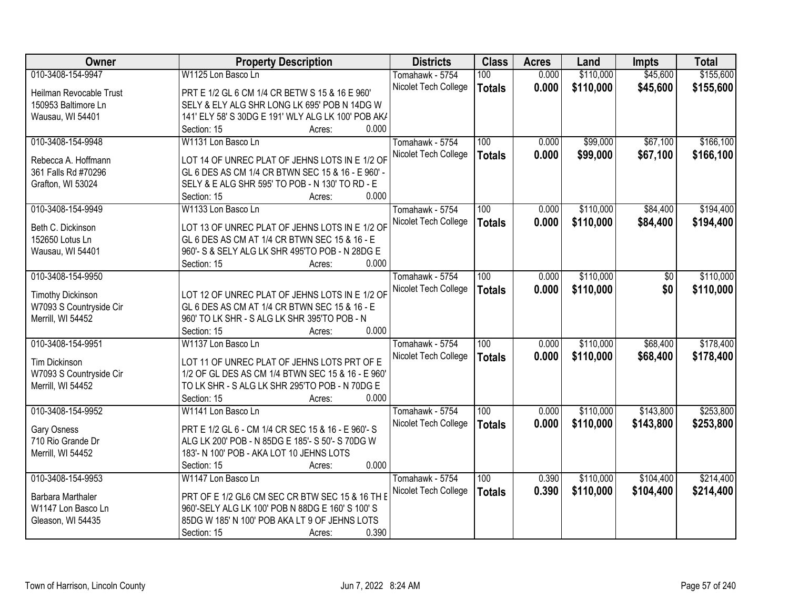| Owner                    | <b>Property Description</b>                        | <b>Districts</b>     | <b>Class</b>     | <b>Acres</b> | Land      | <b>Impts</b> | <b>Total</b> |
|--------------------------|----------------------------------------------------|----------------------|------------------|--------------|-----------|--------------|--------------|
| 010-3408-154-9947        | W1125 Lon Basco Ln                                 | Tomahawk - 5754      | 100              | 0.000        | \$110,000 | \$45,600     | \$155,600    |
| Heilman Revocable Trust  | PRT E 1/2 GL 6 CM 1/4 CR BETW S 15 & 16 E 960'     | Nicolet Tech College | <b>Totals</b>    | 0.000        | \$110,000 | \$45,600     | \$155,600    |
| 150953 Baltimore Ln      | SELY & ELY ALG SHR LONG LK 695' POB N 14DG W       |                      |                  |              |           |              |              |
| Wausau, WI 54401         | 141' ELY 58' S 30DG E 191' WLY ALG LK 100' POB AK/ |                      |                  |              |           |              |              |
|                          | 0.000<br>Section: 15<br>Acres:                     |                      |                  |              |           |              |              |
| 010-3408-154-9948        | W1131 Lon Basco Ln                                 | Tomahawk - 5754      | 100              | 0.000        | \$99,000  | \$67,100     | \$166, 100   |
|                          |                                                    | Nicolet Tech College | <b>Totals</b>    | 0.000        | \$99,000  | \$67,100     | \$166,100    |
| Rebecca A. Hoffmann      | LOT 14 OF UNREC PLAT OF JEHNS LOTS IN E 1/2 OF     |                      |                  |              |           |              |              |
| 361 Falls Rd #70296      | GL 6 DES AS CM 1/4 CR BTWN SEC 15 & 16 - E 960' -  |                      |                  |              |           |              |              |
| Grafton, WI 53024        | SELY & E ALG SHR 595' TO POB - N 130' TO RD - E    |                      |                  |              |           |              |              |
|                          | 0.000<br>Section: 15<br>Acres:                     |                      |                  |              |           |              |              |
| 010-3408-154-9949        | W1133 Lon Basco Ln                                 | Tomahawk - 5754      | 100              | 0.000        | \$110,000 | \$84,400     | \$194,400    |
| Beth C. Dickinson        | LOT 13 OF UNREC PLAT OF JEHNS LOTS IN E 1/2 OF     | Nicolet Tech College | <b>Totals</b>    | 0.000        | \$110,000 | \$84,400     | \$194,400    |
| 152650 Lotus Ln          | GL 6 DES AS CM AT 1/4 CR BTWN SEC 15 & 16 - E      |                      |                  |              |           |              |              |
| Wausau, WI 54401         | 960'- S & SELY ALG LK SHR 495'TO POB - N 28DG E    |                      |                  |              |           |              |              |
|                          | 0.000<br>Section: 15<br>Acres:                     |                      |                  |              |           |              |              |
| 010-3408-154-9950        |                                                    | Tomahawk - 5754      | 100              | 0.000        | \$110,000 | \$0          | \$110,000    |
|                          |                                                    | Nicolet Tech College |                  | 0.000        | \$110,000 | \$0          | \$110,000    |
| <b>Timothy Dickinson</b> | LOT 12 OF UNREC PLAT OF JEHNS LOTS IN E 1/2 OF     |                      | <b>Totals</b>    |              |           |              |              |
| W7093 S Countryside Cir  | GL 6 DES AS CM AT 1/4 CR BTWN SEC 15 & 16 - E      |                      |                  |              |           |              |              |
| Merrill, WI 54452        | 960' TO LK SHR - S ALG LK SHR 395'TO POB - N       |                      |                  |              |           |              |              |
|                          | 0.000<br>Section: 15<br>Acres:                     |                      |                  |              |           |              |              |
| 010-3408-154-9951        | W1137 Lon Basco Ln                                 | Tomahawk - 5754      | $\overline{100}$ | 0.000        | \$110,000 | \$68,400     | \$178,400    |
| <b>Tim Dickinson</b>     | LOT 11 OF UNREC PLAT OF JEHNS LOTS PRT OF E        | Nicolet Tech College | <b>Totals</b>    | 0.000        | \$110,000 | \$68,400     | \$178,400    |
| W7093 S Countryside Cir  | 1/2 OF GL DES AS CM 1/4 BTWN SEC 15 & 16 - E 960'  |                      |                  |              |           |              |              |
| Merrill, WI 54452        | TO LK SHR - S ALG LK SHR 295'TO POB - N 70DG E     |                      |                  |              |           |              |              |
|                          | 0.000<br>Section: 15<br>Acres:                     |                      |                  |              |           |              |              |
| 010-3408-154-9952        | W1141 Lon Basco Ln                                 | Tomahawk - 5754      | 100              | 0.000        | \$110,000 | \$143,800    | \$253,800    |
|                          |                                                    | Nicolet Tech College |                  | 0.000        | \$110,000 |              |              |
| Gary Osness              | PRT E 1/2 GL 6 - CM 1/4 CR SEC 15 & 16 - E 960'- S |                      | <b>Totals</b>    |              |           | \$143,800    | \$253,800    |
| 710 Rio Grande Dr        | ALG LK 200' POB - N 85DG E 185'- S 50'- S 70DG W   |                      |                  |              |           |              |              |
| Merrill, WI 54452        | 183'- N 100' POB - AKA LOT 10 JEHNS LOTS           |                      |                  |              |           |              |              |
|                          | 0.000<br>Section: 15<br>Acres:                     |                      |                  |              |           |              |              |
| 010-3408-154-9953        | W1147 Lon Basco Ln                                 | Tomahawk - 5754      | 100              | 0.390        | \$110,000 | \$104,400    | \$214,400    |
| Barbara Marthaler        | PRT OF E 1/2 GL6 CM SEC CR BTW SEC 15 & 16 TH E    | Nicolet Tech College | <b>Totals</b>    | 0.390        | \$110,000 | \$104,400    | \$214,400    |
| W1147 Lon Basco Ln       | 960'-SELY ALG LK 100' POB N 88DG E 160' S 100' S   |                      |                  |              |           |              |              |
| Gleason, WI 54435        | 85DG W 185' N 100' POB AKA LT 9 OF JEHNS LOTS      |                      |                  |              |           |              |              |
|                          | 0.390<br>Section: 15<br>Acres:                     |                      |                  |              |           |              |              |
|                          |                                                    |                      |                  |              |           |              |              |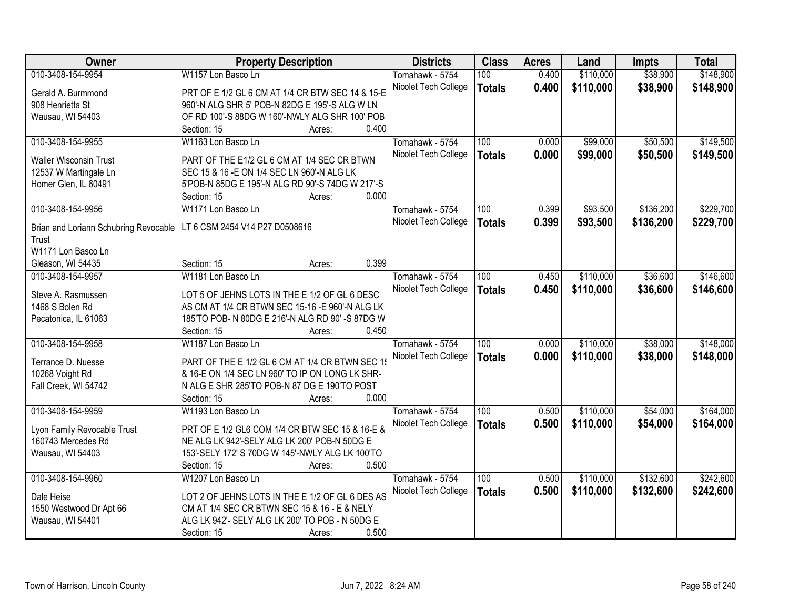| Owner                                 | <b>Property Description</b>                      |                 | <b>Districts</b>     | <b>Class</b>     | <b>Acres</b> | Land      | <b>Impts</b> | <b>Total</b> |
|---------------------------------------|--------------------------------------------------|-----------------|----------------------|------------------|--------------|-----------|--------------|--------------|
| 010-3408-154-9954                     | W1157 Lon Basco Ln                               |                 | Tomahawk - 5754      | 100              | 0.400        | \$110,000 | \$38,900     | \$148,900    |
| Gerald A. Burmmond                    | PRT OF E 1/2 GL 6 CM AT 1/4 CR BTW SEC 14 & 15-E |                 | Nicolet Tech College | <b>Totals</b>    | 0.400        | \$110,000 | \$38,900     | \$148,900    |
| 908 Henrietta St                      | 960'-N ALG SHR 5' POB-N 82DG E 195'-S ALG W LN   |                 |                      |                  |              |           |              |              |
| Wausau, WI 54403                      | OF RD 100'-S 88DG W 160'-NWLY ALG SHR 100' POB   |                 |                      |                  |              |           |              |              |
|                                       | Section: 15                                      | 0.400<br>Acres: |                      |                  |              |           |              |              |
| 010-3408-154-9955                     | W1163 Lon Basco Ln                               |                 | Tomahawk - 5754      | 100              | 0.000        | \$99,000  | \$50,500     | \$149,500    |
|                                       |                                                  |                 | Nicolet Tech College | <b>Totals</b>    | 0.000        | \$99,000  | \$50,500     | \$149,500    |
| <b>Waller Wisconsin Trust</b>         | PART OF THE E1/2 GL 6 CM AT 1/4 SEC CR BTWN      |                 |                      |                  |              |           |              |              |
| 12537 W Martingale Ln                 | SEC 15 & 16 - E ON 1/4 SEC LN 960'-N ALG LK      |                 |                      |                  |              |           |              |              |
| Homer Glen, IL 60491                  | 5'POB-N 85DG E 195'-N ALG RD 90'-S 74DG W 217'-S |                 |                      |                  |              |           |              |              |
|                                       | Section: 15                                      | 0.000<br>Acres: |                      |                  |              |           |              |              |
| 010-3408-154-9956                     | W1171 Lon Basco Ln                               |                 | Tomahawk - 5754      | 100              | 0.399        | \$93,500  | \$136,200    | \$229,700    |
| Brian and Loriann Schubring Revocable | LT 6 CSM 2454 V14 P27 D0508616                   |                 | Nicolet Tech College | <b>Totals</b>    | 0.399        | \$93,500  | \$136,200    | \$229,700    |
| Trust                                 |                                                  |                 |                      |                  |              |           |              |              |
| W1171 Lon Basco Ln                    |                                                  |                 |                      |                  |              |           |              |              |
|                                       | Section: 15                                      | 0.399           |                      |                  |              |           |              |              |
| Gleason, WI 54435                     |                                                  | Acres:          |                      |                  |              |           |              |              |
| 010-3408-154-9957                     | W1181 Lon Basco Ln                               |                 | Tomahawk - 5754      | 100              | 0.450        | \$110,000 | \$36,600     | \$146,600    |
| Steve A. Rasmussen                    | LOT 5 OF JEHNS LOTS IN THE E 1/2 OF GL 6 DESC    |                 | Nicolet Tech College | <b>Totals</b>    | 0.450        | \$110,000 | \$36,600     | \$146,600    |
| 1468 S Bolen Rd                       | AS CM AT 1/4 CR BTWN SEC 15-16 -E 960'-N ALG LK  |                 |                      |                  |              |           |              |              |
| Pecatonica, IL 61063                  | 185'TO POB- N 80DG E 216'-N ALG RD 90' -S 87DG W |                 |                      |                  |              |           |              |              |
|                                       | Section: 15                                      | 0.450<br>Acres: |                      |                  |              |           |              |              |
| 010-3408-154-9958                     | W1187 Lon Basco Ln                               |                 | Tomahawk - 5754      | $\overline{100}$ | 0.000        | \$110,000 | \$38,000     | \$148,000    |
|                                       |                                                  |                 | Nicolet Tech College | <b>Totals</b>    | 0.000        | \$110,000 | \$38,000     | \$148,000    |
| Terrance D. Nuesse                    | PART OF THE E 1/2 GL 6 CM AT 1/4 CR BTWN SEC 15  |                 |                      |                  |              |           |              |              |
| 10268 Voight Rd                       | & 16-E ON 1/4 SEC LN 960' TO IP ON LONG LK SHR-  |                 |                      |                  |              |           |              |              |
| Fall Creek, WI 54742                  | N ALG E SHR 285'TO POB-N 87 DG E 190'TO POST     |                 |                      |                  |              |           |              |              |
|                                       | Section: 15                                      | 0.000<br>Acres: |                      |                  |              |           |              |              |
| 010-3408-154-9959                     | W1193 Lon Basco Ln                               |                 | Tomahawk - 5754      | 100              | 0.500        | \$110,000 | \$54,000     | \$164,000    |
| Lyon Family Revocable Trust           | PRT OF E 1/2 GL6 COM 1/4 CR BTW SEC 15 & 16-E &  |                 | Nicolet Tech College | <b>Totals</b>    | 0.500        | \$110,000 | \$54,000     | \$164,000    |
| 160743 Mercedes Rd                    | NE ALG LK 942'-SELY ALG LK 200' POB-N 50DG E     |                 |                      |                  |              |           |              |              |
|                                       |                                                  |                 |                      |                  |              |           |              |              |
| Wausau, WI 54403                      | 153'-SELY 172' S 70DG W 145'-NWLY ALG LK 100'TO  | 0.500           |                      |                  |              |           |              |              |
|                                       | Section: 15                                      | Acres:          |                      |                  |              |           |              |              |
| 010-3408-154-9960                     | W1207 Lon Basco Ln                               |                 | Tomahawk - 5754      | 100              | 0.500        | \$110,000 | \$132,600    | \$242,600    |
| Dale Heise                            | LOT 2 OF JEHNS LOTS IN THE E 1/2 OF GL 6 DES AS  |                 | Nicolet Tech College | <b>Totals</b>    | 0.500        | \$110,000 | \$132,600    | \$242,600    |
| 1550 Westwood Dr Apt 66               | CM AT 1/4 SEC CR BTWN SEC 15 & 16 - E & NELY     |                 |                      |                  |              |           |              |              |
| Wausau, WI 54401                      | ALG LK 942'- SELY ALG LK 200' TO POB - N 50DG E  |                 |                      |                  |              |           |              |              |
|                                       | Section: 15                                      | 0.500<br>Acres: |                      |                  |              |           |              |              |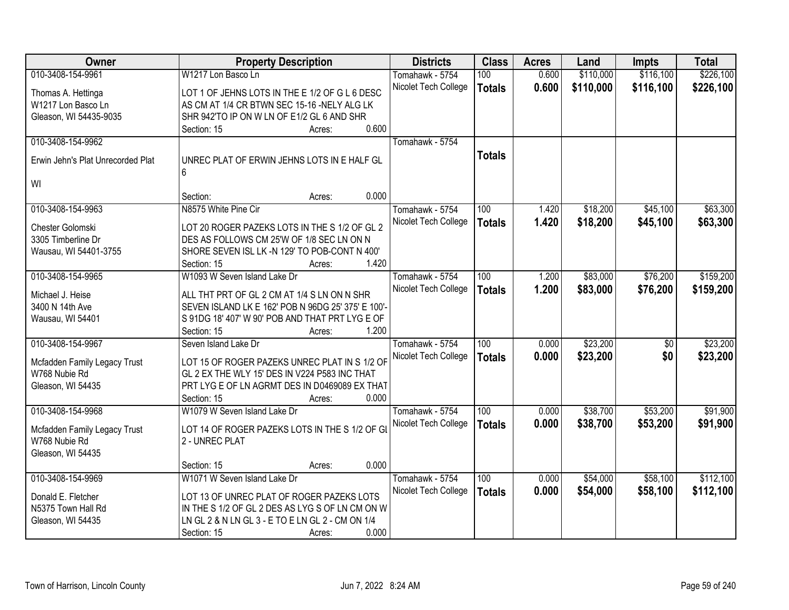| Owner                                         | <b>Property Description</b>                        | <b>Districts</b>     | <b>Class</b>     | <b>Acres</b> | Land      | <b>Impts</b>    | <b>Total</b> |
|-----------------------------------------------|----------------------------------------------------|----------------------|------------------|--------------|-----------|-----------------|--------------|
| 010-3408-154-9961                             | W1217 Lon Basco Ln                                 | Tomahawk - 5754      | 100              | 0.600        | \$110,000 | \$116,100       | \$226,100    |
| Thomas A. Hettinga                            | LOT 1 OF JEHNS LOTS IN THE E 1/2 OF G L 6 DESC     | Nicolet Tech College | <b>Totals</b>    | 0.600        | \$110,000 | \$116,100       | \$226,100    |
| W1217 Lon Basco Ln                            | AS CM AT 1/4 CR BTWN SEC 15-16 -NELY ALG LK        |                      |                  |              |           |                 |              |
| Gleason, WI 54435-9035                        | SHR 942'TO IP ON W LN OF E1/2 GL 6 AND SHR         |                      |                  |              |           |                 |              |
|                                               | 0.600<br>Section: 15<br>Acres:                     |                      |                  |              |           |                 |              |
| 010-3408-154-9962                             |                                                    | Tomahawk - 5754      |                  |              |           |                 |              |
|                                               |                                                    |                      | <b>Totals</b>    |              |           |                 |              |
| Erwin Jehn's Plat Unrecorded Plat             | UNREC PLAT OF ERWIN JEHNS LOTS IN E HALF GL        |                      |                  |              |           |                 |              |
|                                               | 6                                                  |                      |                  |              |           |                 |              |
| WI                                            |                                                    |                      |                  |              |           |                 |              |
|                                               | 0.000<br>Section:<br>Acres:                        |                      |                  |              |           |                 |              |
| 010-3408-154-9963                             | N8575 White Pine Cir                               | Tomahawk - 5754      | 100              | 1.420        | \$18,200  | \$45,100        | \$63,300     |
| Chester Golomski                              | LOT 20 ROGER PAZEKS LOTS IN THE S 1/2 OF GL 2      | Nicolet Tech College | <b>Totals</b>    | 1.420        | \$18,200  | \$45,100        | \$63,300     |
| 3305 Timberline Dr                            | DES AS FOLLOWS CM 25'W OF 1/8 SEC LN ON N          |                      |                  |              |           |                 |              |
| Wausau, WI 54401-3755                         | SHORE SEVEN ISL LK -N 129' TO POB-CONT N 400'      |                      |                  |              |           |                 |              |
|                                               | 1.420<br>Section: 15<br>Acres:                     |                      |                  |              |           |                 |              |
| 010-3408-154-9965                             | W1093 W Seven Island Lake Dr                       | Tomahawk - 5754      | 100              | 1.200        | \$83,000  | \$76,200        | \$159,200    |
|                                               |                                                    | Nicolet Tech College | <b>Totals</b>    | 1.200        | \$83,000  | \$76,200        | \$159,200    |
| Michael J. Heise                              | ALL THT PRT OF GL 2 CM AT 1/4 S LN ON N SHR        |                      |                  |              |           |                 |              |
| 3400 N 14th Ave                               | SEVEN ISLAND LK E 162' POB N 96DG 25' 375' E 100'- |                      |                  |              |           |                 |              |
| Wausau, WI 54401                              | S 91DG 18' 407' W 90' POB AND THAT PRT LYG E OF    |                      |                  |              |           |                 |              |
|                                               | 1.200<br>Section: 15<br>Acres:                     |                      |                  |              |           |                 |              |
| 010-3408-154-9967                             | Seven Island Lake Dr                               | Tomahawk - 5754      | $\overline{100}$ | 0.000        | \$23,200  | $\overline{50}$ | \$23,200     |
| Mcfadden Family Legacy Trust                  | LOT 15 OF ROGER PAZEKS UNREC PLAT IN S 1/2 OF      | Nicolet Tech College | <b>Totals</b>    | 0.000        | \$23,200  | \$0             | \$23,200     |
| W768 Nubie Rd                                 | GL 2 EX THE WLY 15' DES IN V224 P583 INC THAT      |                      |                  |              |           |                 |              |
| Gleason, WI 54435                             | PRT LYG E OF LN AGRMT DES IN D0469089 EX THAT      |                      |                  |              |           |                 |              |
|                                               | 0.000<br>Section: 15<br>Acres:                     |                      |                  |              |           |                 |              |
| 010-3408-154-9968                             | W1079 W Seven Island Lake Dr                       | Tomahawk - 5754      | $\overline{100}$ | 0.000        | \$38,700  | \$53,200        | \$91,900     |
|                                               | LOT 14 OF ROGER PAZEKS LOTS IN THE S 1/2 OF GI     | Nicolet Tech College | <b>Totals</b>    | 0.000        | \$38,700  | \$53,200        | \$91,900     |
| Mcfadden Family Legacy Trust<br>W768 Nubie Rd | 2 - UNREC PLAT                                     |                      |                  |              |           |                 |              |
| Gleason, WI 54435                             |                                                    |                      |                  |              |           |                 |              |
|                                               | 0.000<br>Section: 15                               |                      |                  |              |           |                 |              |
| 010-3408-154-9969                             | Acres:<br>W1071 W Seven Island Lake Dr             | Tomahawk - 5754      | 100              | 0.000        | \$54,000  | \$58,100        | \$112,100    |
|                                               |                                                    |                      |                  |              |           |                 |              |
| Donald E. Fletcher                            | LOT 13 OF UNREC PLAT OF ROGER PAZEKS LOTS          | Nicolet Tech College | <b>Totals</b>    | 0.000        | \$54,000  | \$58,100        | \$112,100    |
| N5375 Town Hall Rd                            | IN THE S 1/2 OF GL 2 DES AS LYG S OF LN CM ON W    |                      |                  |              |           |                 |              |
| Gleason, WI 54435                             | LN GL 2 & N LN GL 3 - E TO E LN GL 2 - CM ON 1/4   |                      |                  |              |           |                 |              |
|                                               | 0.000<br>Section: 15<br>Acres:                     |                      |                  |              |           |                 |              |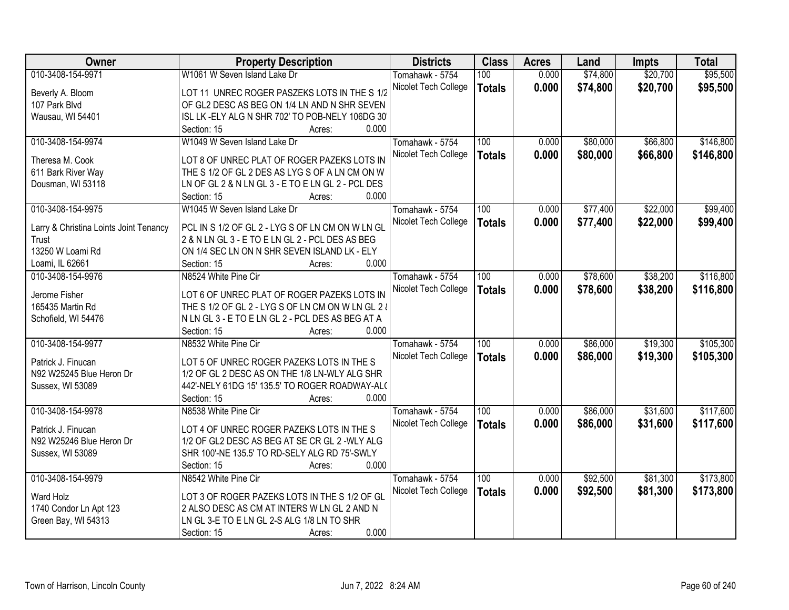| Owner                                  | <b>Property Description</b>                       | <b>Districts</b>     | <b>Class</b>  | <b>Acres</b> | Land     | <b>Impts</b> | <b>Total</b> |
|----------------------------------------|---------------------------------------------------|----------------------|---------------|--------------|----------|--------------|--------------|
| 010-3408-154-9971                      | W1061 W Seven Island Lake Dr                      | Tomahawk - 5754      | 100           | 0.000        | \$74,800 | \$20,700     | \$95,500     |
| Beverly A. Bloom                       | LOT 11 UNREC ROGER PASZEKS LOTS IN THE S 1/2      | Nicolet Tech College | <b>Totals</b> | 0.000        | \$74,800 | \$20,700     | \$95,500     |
| 107 Park Blvd                          | OF GL2 DESC AS BEG ON 1/4 LN AND N SHR SEVEN      |                      |               |              |          |              |              |
| Wausau, WI 54401                       | ISL LK-ELY ALG N SHR 702' TO POB-NELY 106DG 30'   |                      |               |              |          |              |              |
|                                        | 0.000<br>Section: 15<br>Acres:                    |                      |               |              |          |              |              |
| 010-3408-154-9974                      | W1049 W Seven Island Lake Dr                      | Tomahawk - 5754      | 100           | 0.000        | \$80,000 | \$66,800     | \$146,800    |
| Theresa M. Cook                        | LOT 8 OF UNREC PLAT OF ROGER PAZEKS LOTS IN       | Nicolet Tech College | <b>Totals</b> | 0.000        | \$80,000 | \$66,800     | \$146,800    |
| 611 Bark River Way                     | THE S 1/2 OF GL 2 DES AS LYG S OF A LN CM ON W    |                      |               |              |          |              |              |
| Dousman, WI 53118                      | LN OF GL 2 & N LN GL 3 - E TO E LN GL 2 - PCL DES |                      |               |              |          |              |              |
|                                        | 0.000<br>Section: 15<br>Acres:                    |                      |               |              |          |              |              |
| 010-3408-154-9975                      | W1045 W Seven Island Lake Dr                      | Tomahawk - 5754      | 100           | 0.000        | \$77,400 | \$22,000     | \$99,400     |
|                                        |                                                   | Nicolet Tech College |               | 0.000        | \$77,400 | \$22,000     | \$99,400     |
| Larry & Christina Loints Joint Tenancy | PCL IN S 1/2 OF GL 2 - LYG S OF LN CM ON W LN GL  |                      | <b>Totals</b> |              |          |              |              |
| Trust                                  | 2 & N LN GL 3 - E TO E LN GL 2 - PCL DES AS BEG   |                      |               |              |          |              |              |
| 13250 W Loami Rd                       | ON 1/4 SEC LN ON N SHR SEVEN ISLAND LK - ELY      |                      |               |              |          |              |              |
| Loami, IL 62661                        | 0.000<br>Section: 15<br>Acres:                    |                      |               |              |          |              |              |
| 010-3408-154-9976                      | N8524 White Pine Cir                              | Tomahawk - 5754      | 100           | 0.000        | \$78,600 | \$38,200     | \$116,800    |
| Jerome Fisher                          | LOT 6 OF UNREC PLAT OF ROGER PAZEKS LOTS IN       | Nicolet Tech College | <b>Totals</b> | 0.000        | \$78,600 | \$38,200     | \$116,800    |
| 165435 Martin Rd                       | THE S 1/2 OF GL 2 - LYG S OF LN CM ON W LN GL 2 & |                      |               |              |          |              |              |
| Schofield, WI 54476                    | N LN GL 3 - E TO E LN GL 2 - PCL DES AS BEG AT A  |                      |               |              |          |              |              |
|                                        | Section: 15<br>0.000<br>Acres:                    |                      |               |              |          |              |              |
| 010-3408-154-9977                      | N8532 White Pine Cir                              | Tomahawk - 5754      | 100           | 0.000        | \$86,000 | \$19,300     | \$105,300    |
|                                        |                                                   | Nicolet Tech College | <b>Totals</b> | 0.000        | \$86,000 | \$19,300     | \$105,300    |
| Patrick J. Finucan                     | LOT 5 OF UNREC ROGER PAZEKS LOTS IN THE S         |                      |               |              |          |              |              |
| N92 W25245 Blue Heron Dr               | 1/2 OF GL 2 DESC AS ON THE 1/8 LN-WLY ALG SHR     |                      |               |              |          |              |              |
| Sussex, WI 53089                       | 442'-NELY 61DG 15' 135.5' TO ROGER ROADWAY-AL(    |                      |               |              |          |              |              |
|                                        | 0.000<br>Section: 15<br>Acres:                    |                      |               |              |          |              |              |
| 010-3408-154-9978                      | N8538 White Pine Cir                              | Tomahawk - 5754      | 100           | 0.000        | \$86,000 | \$31,600     | \$117,600    |
| Patrick J. Finucan                     | LOT 4 OF UNREC ROGER PAZEKS LOTS IN THE S         | Nicolet Tech College | <b>Totals</b> | 0.000        | \$86,000 | \$31,600     | \$117,600    |
| N92 W25246 Blue Heron Dr               | 1/2 OF GL2 DESC AS BEG AT SE CR GL 2 -WLY ALG     |                      |               |              |          |              |              |
| Sussex, WI 53089                       | SHR 100'-NE 135.5' TO RD-SELY ALG RD 75'-SWLY     |                      |               |              |          |              |              |
|                                        | 0.000<br>Section: 15<br>Acres:                    |                      |               |              |          |              |              |
| 010-3408-154-9979                      | N8542 White Pine Cir                              | Tomahawk - 5754      | 100           | 0.000        | \$92,500 | \$81,300     | \$173,800    |
|                                        |                                                   | Nicolet Tech College | <b>Totals</b> | 0.000        | \$92,500 | \$81,300     | \$173,800    |
| <b>Ward Holz</b>                       | LOT 3 OF ROGER PAZEKS LOTS IN THE S 1/2 OF GL     |                      |               |              |          |              |              |
| 1740 Condor Ln Apt 123                 | 2 ALSO DESC AS CM AT INTERS W LN GL 2 AND N       |                      |               |              |          |              |              |
| Green Bay, WI 54313                    | LN GL 3-E TO E LN GL 2-S ALG 1/8 LN TO SHR        |                      |               |              |          |              |              |
|                                        | 0.000<br>Section: 15<br>Acres:                    |                      |               |              |          |              |              |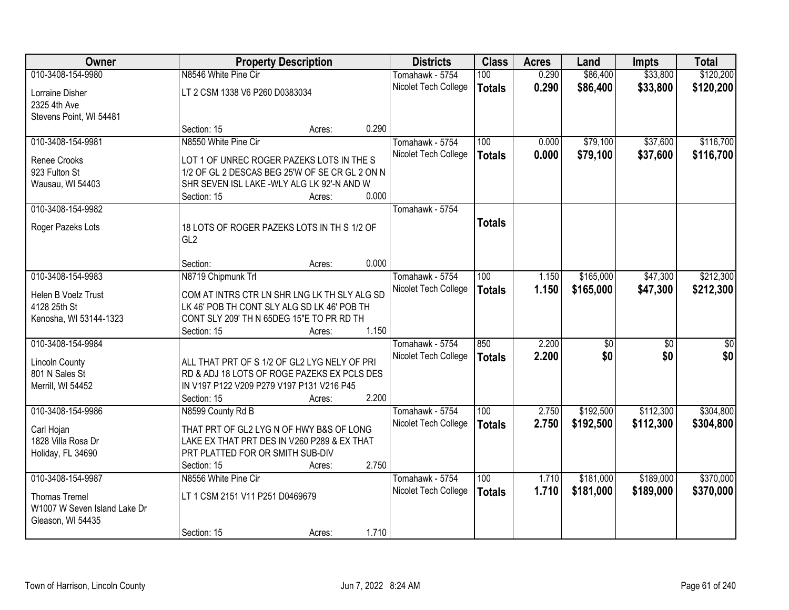| <b>Owner</b>                                         |                                                | <b>Property Description</b> |       | <b>Districts</b>     | <b>Class</b>  | <b>Acres</b> | Land        | <b>Impts</b>    | <b>Total</b>    |
|------------------------------------------------------|------------------------------------------------|-----------------------------|-------|----------------------|---------------|--------------|-------------|-----------------|-----------------|
| 010-3408-154-9980                                    | N8546 White Pine Cir                           |                             |       | Tomahawk - 5754      | 100           | 0.290        | \$86,400    | \$33,800        | \$120,200       |
| Lorraine Disher                                      | LT 2 CSM 1338 V6 P260 D0383034                 |                             |       | Nicolet Tech College | <b>Totals</b> | 0.290        | \$86,400    | \$33,800        | \$120,200       |
| 2325 4th Ave                                         |                                                |                             |       |                      |               |              |             |                 |                 |
| Stevens Point, WI 54481                              |                                                |                             |       |                      |               |              |             |                 |                 |
|                                                      | Section: 15                                    | Acres:                      | 0.290 |                      |               |              |             |                 |                 |
| 010-3408-154-9981                                    | N8550 White Pine Cir                           |                             |       | Tomahawk - 5754      | 100           | 0.000        | \$79,100    | \$37,600        | \$116,700       |
| Renee Crooks                                         | LOT 1 OF UNREC ROGER PAZEKS LOTS IN THE S      |                             |       | Nicolet Tech College | <b>Totals</b> | 0.000        | \$79,100    | \$37,600        | \$116,700       |
| 923 Fulton St                                        | 1/2 OF GL 2 DESCAS BEG 25'W OF SE CR GL 2 ON N |                             |       |                      |               |              |             |                 |                 |
| Wausau, WI 54403                                     | SHR SEVEN ISL LAKE - WLY ALG LK 92'-N AND W    |                             |       |                      |               |              |             |                 |                 |
|                                                      | Section: 15                                    | Acres:                      | 0.000 |                      |               |              |             |                 |                 |
| 010-3408-154-9982                                    |                                                |                             |       | Tomahawk - 5754      |               |              |             |                 |                 |
| Roger Pazeks Lots                                    | 18 LOTS OF ROGER PAZEKS LOTS IN TH S 1/2 OF    |                             |       |                      | <b>Totals</b> |              |             |                 |                 |
|                                                      | GL2                                            |                             |       |                      |               |              |             |                 |                 |
|                                                      |                                                |                             |       |                      |               |              |             |                 |                 |
|                                                      | Section:                                       | Acres:                      | 0.000 |                      |               |              |             |                 |                 |
| 010-3408-154-9983                                    | N8719 Chipmunk Trl                             |                             |       | Tomahawk - 5754      | 100           | 1.150        | \$165,000   | \$47,300        | \$212,300       |
| Helen B Voelz Trust                                  | COM AT INTRS CTR LN SHR LNG LK TH SLY ALG SD   |                             |       | Nicolet Tech College | <b>Totals</b> | 1.150        | \$165,000   | \$47,300        | \$212,300       |
| 4128 25th St                                         | LK 46' POB TH CONT SLY ALG SD LK 46' POB TH    |                             |       |                      |               |              |             |                 |                 |
| Kenosha, WI 53144-1323                               | CONT SLY 209' TH N 65DEG 15"E TO PR RD TH      |                             |       |                      |               |              |             |                 |                 |
|                                                      | Section: 15                                    | Acres:                      | 1.150 |                      |               |              |             |                 |                 |
| 010-3408-154-9984                                    |                                                |                             |       | Tomahawk - 5754      | 850           | 2.200        | $\sqrt{50}$ | $\overline{50}$ | $\overline{50}$ |
| <b>Lincoln County</b>                                | ALL THAT PRT OF S 1/2 OF GL2 LYG NELY OF PRI   |                             |       | Nicolet Tech College | <b>Totals</b> | 2.200        | \$0         | \$0             | \$0             |
| 801 N Sales St                                       | RD & ADJ 18 LOTS OF ROGE PAZEKS EX PCLS DES    |                             |       |                      |               |              |             |                 |                 |
| Merrill, WI 54452                                    | IN V197 P122 V209 P279 V197 P131 V216 P45      |                             |       |                      |               |              |             |                 |                 |
|                                                      | Section: 15                                    | Acres:                      | 2.200 |                      |               |              |             |                 |                 |
| 010-3408-154-9986                                    | N8599 County Rd B                              |                             |       | Tomahawk - 5754      | 100           | 2.750        | \$192,500   | \$112,300       | \$304,800       |
| Carl Hojan                                           | THAT PRT OF GL2 LYG N OF HWY B&S OF LONG       |                             |       | Nicolet Tech College | <b>Totals</b> | 2.750        | \$192,500   | \$112,300       | \$304,800       |
| 1828 Villa Rosa Dr                                   | LAKE EX THAT PRT DES IN V260 P289 & EX THAT    |                             |       |                      |               |              |             |                 |                 |
| Holiday, FL 34690                                    | PRT PLATTED FOR OR SMITH SUB-DIV               |                             |       |                      |               |              |             |                 |                 |
|                                                      | Section: 15                                    | Acres:                      | 2.750 |                      |               |              |             |                 |                 |
| 010-3408-154-9987                                    | N8556 White Pine Cir                           |                             |       | Tomahawk - 5754      | 100           | 1.710        | \$181,000   | \$189,000       | \$370,000       |
|                                                      |                                                |                             |       | Nicolet Tech College | <b>Totals</b> | 1.710        | \$181,000   | \$189,000       | \$370,000       |
| <b>Thomas Tremel</b><br>W1007 W Seven Island Lake Dr | LT 1 CSM 2151 V11 P251 D0469679                |                             |       |                      |               |              |             |                 |                 |
| Gleason, WI 54435                                    |                                                |                             |       |                      |               |              |             |                 |                 |
|                                                      | Section: 15                                    | Acres:                      | 1.710 |                      |               |              |             |                 |                 |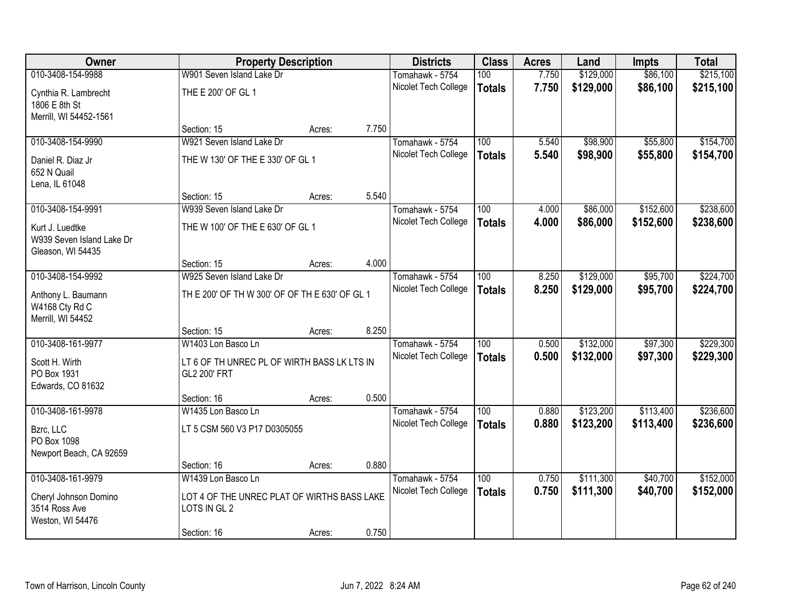| Owner                     |                                                | <b>Property Description</b> |       | <b>Districts</b>                        | <b>Class</b>     | <b>Acres</b> | Land      | <b>Impts</b> | <b>Total</b> |
|---------------------------|------------------------------------------------|-----------------------------|-------|-----------------------------------------|------------------|--------------|-----------|--------------|--------------|
| 010-3408-154-9988         | W901 Seven Island Lake Dr                      |                             |       | Tomahawk - 5754                         | 100              | 7.750        | \$129,000 | \$86,100     | \$215,100    |
| Cynthia R. Lambrecht      | THE E 200' OF GL 1                             |                             |       | Nicolet Tech College                    | <b>Totals</b>    | 7.750        | \$129,000 | \$86,100     | \$215,100    |
| 1806 E 8th St             |                                                |                             |       |                                         |                  |              |           |              |              |
| Merrill, WI 54452-1561    |                                                |                             |       |                                         |                  |              |           |              |              |
|                           | Section: 15                                    | Acres:                      | 7.750 |                                         |                  |              |           |              |              |
| 010-3408-154-9990         | W921 Seven Island Lake Dr                      |                             |       | Tomahawk - 5754                         | 100              | 5.540        | \$98,900  | \$55,800     | \$154,700    |
| Daniel R. Diaz Jr         | THE W 130' OF THE E 330' OF GL 1               |                             |       | Nicolet Tech College                    | <b>Totals</b>    | 5.540        | \$98,900  | \$55,800     | \$154,700    |
| 652 N Quail               |                                                |                             |       |                                         |                  |              |           |              |              |
| Lena, IL 61048            |                                                |                             |       |                                         |                  |              |           |              |              |
|                           | Section: 15                                    | Acres:                      | 5.540 |                                         |                  |              |           |              |              |
| 010-3408-154-9991         | W939 Seven Island Lake Dr                      |                             |       | Tomahawk - 5754                         | 100              | 4.000        | \$86,000  | \$152,600    | \$238,600    |
| Kurt J. Luedtke           | THE W 100' OF THE E 630' OF GL 1               |                             |       | Nicolet Tech College                    | <b>Totals</b>    | 4.000        | \$86,000  | \$152,600    | \$238,600    |
| W939 Seven Island Lake Dr |                                                |                             |       |                                         |                  |              |           |              |              |
| Gleason, WI 54435         |                                                |                             |       |                                         |                  |              |           |              |              |
|                           | Section: 15                                    | Acres:                      | 4.000 |                                         |                  |              |           |              |              |
| 010-3408-154-9992         | W925 Seven Island Lake Dr                      |                             |       | Tomahawk - 5754                         | 100              | 8.250        | \$129,000 | \$95,700     | \$224,700    |
| Anthony L. Baumann        | TH E 200' OF TH W 300' OF OF TH E 630' OF GL 1 |                             |       | Nicolet Tech College                    | <b>Totals</b>    | 8.250        | \$129,000 | \$95,700     | \$224,700    |
| W4168 Cty Rd C            |                                                |                             |       |                                         |                  |              |           |              |              |
| Merrill, WI 54452         |                                                |                             |       |                                         |                  |              |           |              |              |
| 010-3408-161-9977         | Section: 15<br>W1403 Lon Basco Ln              | Acres:                      | 8.250 |                                         | $\overline{100}$ | 0.500        |           |              |              |
|                           |                                                |                             |       | Tomahawk - 5754<br>Nicolet Tech College |                  | 0.500        | \$132,000 | \$97,300     | \$229,300    |
| Scott H. Wirth            | LT 6 OF TH UNREC PL OF WIRTH BASS LK LTS IN    |                             |       |                                         | <b>Totals</b>    |              | \$132,000 | \$97,300     | \$229,300    |
| PO Box 1931               | GL2 200' FRT                                   |                             |       |                                         |                  |              |           |              |              |
| Edwards, CO 81632         |                                                |                             |       |                                         |                  |              |           |              |              |
| 010-3408-161-9978         | Section: 16<br>W1435 Lon Basco Ln              | Acres:                      | 0.500 | Tomahawk - 5754                         | 100              | 0.880        | \$123,200 | \$113,400    | \$236,600    |
|                           |                                                |                             |       | Nicolet Tech College                    | <b>Totals</b>    | 0.880        | \$123,200 | \$113,400    | \$236,600    |
| Bzrc, LLC                 | LT 5 CSM 560 V3 P17 D0305055                   |                             |       |                                         |                  |              |           |              |              |
| PO Box 1098               |                                                |                             |       |                                         |                  |              |           |              |              |
| Newport Beach, CA 92659   | Section: 16                                    |                             | 0.880 |                                         |                  |              |           |              |              |
| 010-3408-161-9979         | W1439 Lon Basco Ln                             | Acres:                      |       | Tomahawk - 5754                         | 100              | 0.750        | \$111,300 | \$40,700     | \$152,000    |
|                           |                                                |                             |       | Nicolet Tech College                    | <b>Totals</b>    | 0.750        | \$111,300 | \$40,700     | \$152,000    |
| Cheryl Johnson Domino     | LOT 4 OF THE UNREC PLAT OF WIRTHS BASS LAKE    |                             |       |                                         |                  |              |           |              |              |
| 3514 Ross Ave             | LOTS IN GL 2                                   |                             |       |                                         |                  |              |           |              |              |
| Weston, WI 54476          | Section: 16                                    | Acres:                      | 0.750 |                                         |                  |              |           |              |              |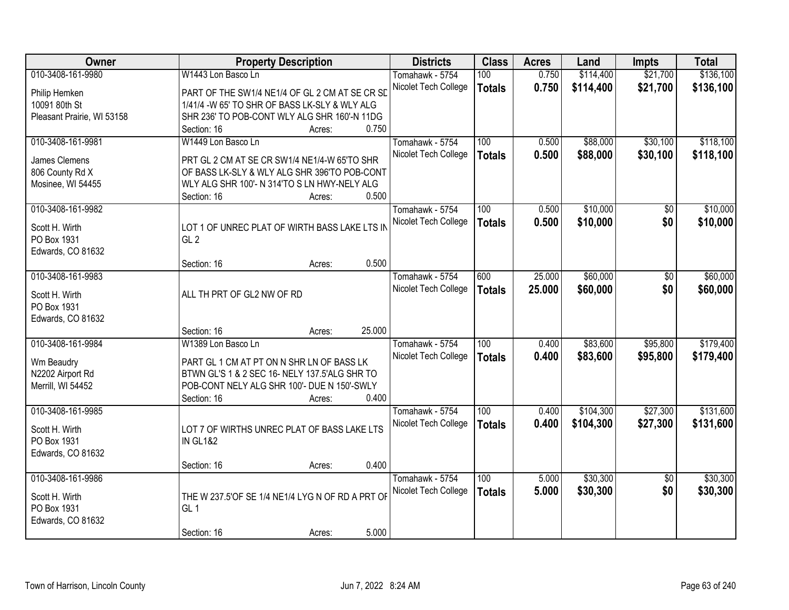| Owner                                | <b>Property Description</b>                                                                  | <b>Districts</b>     | <b>Class</b>  | <b>Acres</b> | Land      | <b>Impts</b>    | <b>Total</b> |
|--------------------------------------|----------------------------------------------------------------------------------------------|----------------------|---------------|--------------|-----------|-----------------|--------------|
| 010-3408-161-9980                    | W1443 Lon Basco Ln                                                                           | Tomahawk - 5754      | 100           | 0.750        | \$114,400 | \$21,700        | \$136,100    |
| Philip Hemken                        | PART OF THE SW1/4 NE1/4 OF GL 2 CM AT SE CR SD                                               | Nicolet Tech College | <b>Totals</b> | 0.750        | \$114,400 | \$21,700        | \$136,100    |
| 10091 80th St                        | 1/41/4 -W 65' TO SHR OF BASS LK-SLY & WLY ALG                                                |                      |               |              |           |                 |              |
| Pleasant Prairie, WI 53158           | SHR 236' TO POB-CONT WLY ALG SHR 160'-N 11DG                                                 |                      |               |              |           |                 |              |
|                                      | 0.750<br>Section: 16<br>Acres:                                                               |                      |               |              |           |                 |              |
| 010-3408-161-9981                    | W1449 Lon Basco Ln                                                                           | Tomahawk - 5754      | 100           | 0.500        | \$88,000  | \$30,100        | \$118,100    |
|                                      |                                                                                              | Nicolet Tech College | <b>Totals</b> | 0.500        | \$88,000  | \$30,100        | \$118,100    |
| James Clemens                        | PRT GL 2 CM AT SE CR SW1/4 NE1/4-W 65'TO SHR                                                 |                      |               |              |           |                 |              |
| 806 County Rd X<br>Mosinee, WI 54455 | OF BASS LK-SLY & WLY ALG SHR 396'TO POB-CONT<br>WLY ALG SHR 100'- N 314'TO S LN HWY-NELY ALG |                      |               |              |           |                 |              |
|                                      | 0.500<br>Section: 16<br>Acres:                                                               |                      |               |              |           |                 |              |
| 010-3408-161-9982                    |                                                                                              | Tomahawk - 5754      | 100           | 0.500        | \$10,000  | \$0             | \$10,000     |
|                                      |                                                                                              | Nicolet Tech College |               | 0.500        | \$10,000  | \$0             | \$10,000     |
| Scott H. Wirth                       | LOT 1 OF UNREC PLAT OF WIRTH BASS LAKE LTS IN                                                |                      | <b>Totals</b> |              |           |                 |              |
| PO Box 1931                          | GL <sub>2</sub>                                                                              |                      |               |              |           |                 |              |
| Edwards, CO 81632                    |                                                                                              |                      |               |              |           |                 |              |
|                                      | 0.500<br>Section: 16<br>Acres:                                                               |                      |               |              |           |                 |              |
| 010-3408-161-9983                    |                                                                                              | Tomahawk - 5754      | 600           | 25,000       | \$60,000  | \$0             | \$60,000     |
| Scott H. Wirth                       | ALL TH PRT OF GL2 NW OF RD                                                                   | Nicolet Tech College | <b>Totals</b> | 25.000       | \$60,000  | \$0             | \$60,000     |
| PO Box 1931                          |                                                                                              |                      |               |              |           |                 |              |
| Edwards, CO 81632                    |                                                                                              |                      |               |              |           |                 |              |
|                                      | 25.000<br>Section: 16<br>Acres:                                                              |                      |               |              |           |                 |              |
| 010-3408-161-9984                    | W1389 Lon Basco Ln                                                                           | Tomahawk - 5754      | 100           | 0.400        | \$83,600  | \$95,800        | \$179,400    |
| Wm Beaudry                           | PART GL 1 CM AT PT ON N SHR LN OF BASS LK                                                    | Nicolet Tech College | <b>Totals</b> | 0.400        | \$83,600  | \$95,800        | \$179,400    |
| N2202 Airport Rd                     | BTWN GL'S 1 & 2 SEC 16- NELY 137.5'ALG SHR TO                                                |                      |               |              |           |                 |              |
| Merrill, WI 54452                    | POB-CONT NELY ALG SHR 100'- DUE N 150'-SWLY                                                  |                      |               |              |           |                 |              |
|                                      | 0.400<br>Section: 16<br>Acres:                                                               |                      |               |              |           |                 |              |
| 010-3408-161-9985                    |                                                                                              | Tomahawk - 5754      | 100           | 0.400        | \$104,300 | \$27,300        | \$131,600    |
|                                      |                                                                                              | Nicolet Tech College | <b>Totals</b> | 0.400        | \$104,300 | \$27,300        | \$131,600    |
| Scott H. Wirth<br>PO Box 1931        | LOT 7 OF WIRTHS UNREC PLAT OF BASS LAKE LTS<br><b>IN GL1&amp;2</b>                           |                      |               |              |           |                 |              |
| Edwards, CO 81632                    |                                                                                              |                      |               |              |           |                 |              |
|                                      | 0.400<br>Section: 16<br>Acres:                                                               |                      |               |              |           |                 |              |
| 010-3408-161-9986                    |                                                                                              | Tomahawk - 5754      | 100           | 5.000        | \$30,300  | $\overline{50}$ | \$30,300     |
|                                      |                                                                                              | Nicolet Tech College | <b>Totals</b> | 5.000        | \$30,300  | \$0             | \$30,300     |
| Scott H. Wirth                       | THE W 237.5'OF SE 1/4 NE1/4 LYG N OF RD A PRT OF                                             |                      |               |              |           |                 |              |
| PO Box 1931                          | GL <sub>1</sub>                                                                              |                      |               |              |           |                 |              |
| Edwards, CO 81632                    |                                                                                              |                      |               |              |           |                 |              |
|                                      | 5.000<br>Section: 16<br>Acres:                                                               |                      |               |              |           |                 |              |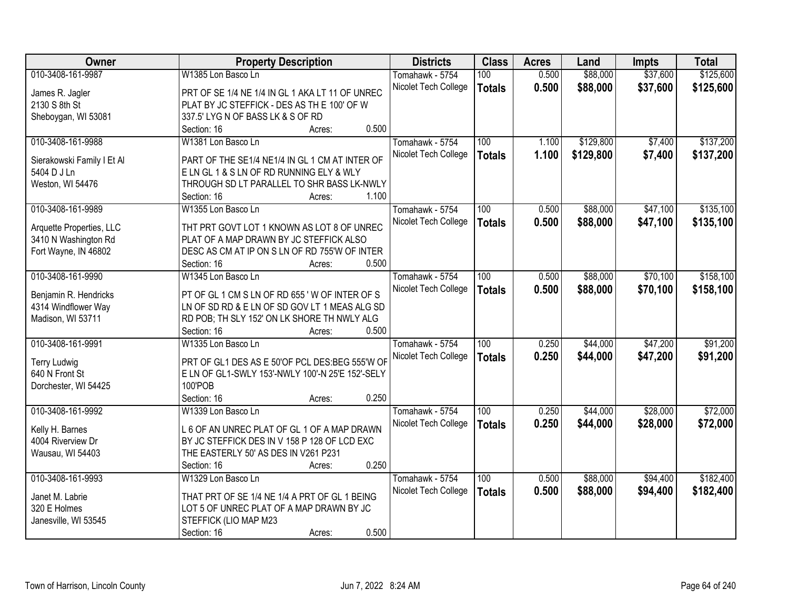| Owner                      | <b>Property Description</b>                      | <b>Districts</b>     | <b>Class</b>  | <b>Acres</b> | Land      | <b>Impts</b> | <b>Total</b> |
|----------------------------|--------------------------------------------------|----------------------|---------------|--------------|-----------|--------------|--------------|
| 010-3408-161-9987          | W1385 Lon Basco Ln                               | Tomahawk - 5754      | 100           | 0.500        | \$88,000  | \$37,600     | \$125,600    |
| James R. Jagler            | PRT OF SE 1/4 NE 1/4 IN GL 1 AKA LT 11 OF UNREC  | Nicolet Tech College | <b>Totals</b> | 0.500        | \$88,000  | \$37,600     | \$125,600    |
| 2130 S 8th St              | PLAT BY JC STEFFICK - DES AS TH E 100' OF W      |                      |               |              |           |              |              |
| Sheboygan, WI 53081        | 337.5' LYG N OF BASS LK & S OF RD                |                      |               |              |           |              |              |
|                            | Section: 16<br>Acres:                            | 0.500                |               |              |           |              |              |
| 010-3408-161-9988          | W1381 Lon Basco Ln                               | Tomahawk - 5754      | 100           | 1.100        | \$129,800 | \$7,400      | \$137,200    |
|                            |                                                  | Nicolet Tech College | <b>Totals</b> | 1.100        | \$129,800 | \$7,400      | \$137,200    |
| Sierakowski Family I Et Al | PART OF THE SE1/4 NE1/4 IN GL 1 CM AT INTER OF   |                      |               |              |           |              |              |
| 5404 D J Ln                | ELN GL 1 & S LN OF RD RUNNING ELY & WLY          |                      |               |              |           |              |              |
| Weston, WI 54476           | THROUGH SD LT PARALLEL TO SHR BASS LK-NWLY       |                      |               |              |           |              |              |
|                            | Section: 16<br>Acres:                            | 1.100                |               |              |           |              |              |
| 010-3408-161-9989          | W1355 Lon Basco Ln                               | Tomahawk - 5754      | 100           | 0.500        | \$88,000  | \$47,100     | \$135,100    |
| Arquette Properties, LLC   | THT PRT GOVT LOT 1 KNOWN AS LOT 8 OF UNREC       | Nicolet Tech College | <b>Totals</b> | 0.500        | \$88,000  | \$47,100     | \$135,100    |
| 3410 N Washington Rd       | PLAT OF A MAP DRAWN BY JC STEFFICK ALSO          |                      |               |              |           |              |              |
| Fort Wayne, IN 46802       | DESC AS CM AT IP ON S LN OF RD 755'W OF INTER    |                      |               |              |           |              |              |
|                            | Section: 16                                      | 0.500                |               |              |           |              |              |
| 010-3408-161-9990          | Acres:<br>W1345 Lon Basco Ln                     |                      |               |              |           |              |              |
|                            |                                                  | Tomahawk - 5754      | 100           | 0.500        | \$88,000  | \$70,100     | \$158,100    |
| Benjamin R. Hendricks      | PT OF GL 1 CM S LN OF RD 655 'W OF INTER OF S    | Nicolet Tech College | <b>Totals</b> | 0.500        | \$88,000  | \$70,100     | \$158,100    |
| 4314 Windflower Way        | LN OF SD RD & E LN OF SD GOV LT 1 MEAS ALG SD    |                      |               |              |           |              |              |
| Madison, WI 53711          | RD POB; TH SLY 152' ON LK SHORE TH NWLY ALG      |                      |               |              |           |              |              |
|                            | Section: 16<br>Acres:                            | 0.500                |               |              |           |              |              |
| 010-3408-161-9991          | W1335 Lon Basco Ln                               | Tomahawk - 5754      | 100           | 0.250        | \$44,000  | \$47,200     | \$91,200     |
|                            |                                                  | Nicolet Tech College | <b>Totals</b> | 0.250        | \$44,000  | \$47,200     | \$91,200     |
| <b>Terry Ludwig</b>        | PRT OF GL1 DES AS E 50'OF PCL DES:BEG 555'W OF   |                      |               |              |           |              |              |
| 640 N Front St             | E LN OF GL1-SWLY 153'-NWLY 100'-N 25'E 152'-SELY |                      |               |              |           |              |              |
| Dorchester, WI 54425       | 100'POB                                          |                      |               |              |           |              |              |
|                            | Section: 16<br>Acres:                            | 0.250                |               |              |           |              |              |
| 010-3408-161-9992          | W1339 Lon Basco Ln                               | Tomahawk - 5754      | 100           | 0.250        | \$44,000  | \$28,000     | \$72,000     |
| Kelly H. Barnes            | L 6 OF AN UNREC PLAT OF GL 1 OF A MAP DRAWN      | Nicolet Tech College | <b>Totals</b> | 0.250        | \$44,000  | \$28,000     | \$72,000     |
| 4004 Riverview Dr          | BY JC STEFFICK DES IN V 158 P 128 OF LCD EXC     |                      |               |              |           |              |              |
| Wausau, WI 54403           | THE EASTERLY 50' AS DES IN V261 P231             |                      |               |              |           |              |              |
|                            | Section: 16<br>Acres:                            | 0.250                |               |              |           |              |              |
| 010-3408-161-9993          | W1329 Lon Basco Ln                               | Tomahawk - 5754      | 100           | 0.500        | \$88,000  | \$94,400     | \$182,400    |
|                            |                                                  | Nicolet Tech College | <b>Totals</b> | 0.500        | \$88,000  | \$94,400     | \$182,400    |
| Janet M. Labrie            | THAT PRT OF SE 1/4 NE 1/4 A PRT OF GL 1 BEING    |                      |               |              |           |              |              |
| 320 E Holmes               | LOT 5 OF UNREC PLAT OF A MAP DRAWN BY JC         |                      |               |              |           |              |              |
| Janesville, WI 53545       | STEFFICK (LIO MAP M23                            |                      |               |              |           |              |              |
|                            | Section: 16<br>Acres:                            | 0.500                |               |              |           |              |              |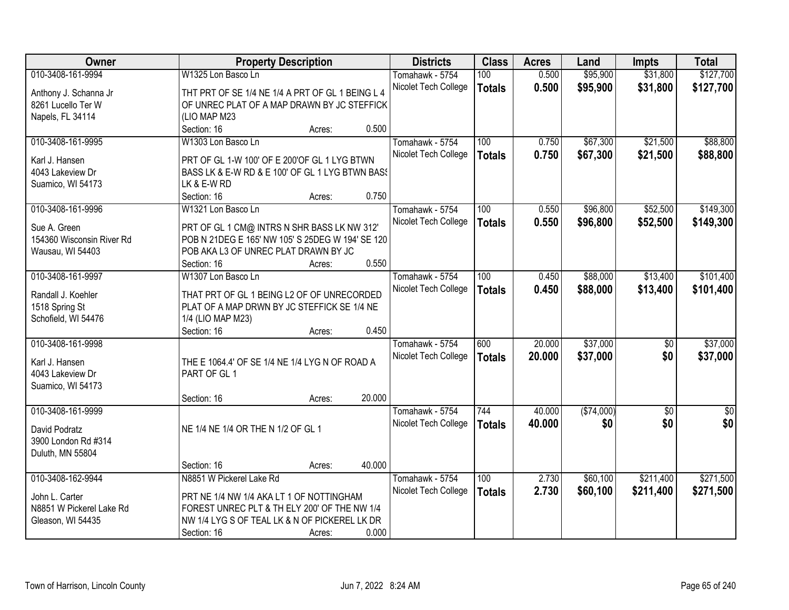| Owner                     | <b>Property Description</b>                      |                  | <b>Districts</b>     | <b>Class</b>  | <b>Acres</b> | Land       | <b>Impts</b>    | <b>Total</b> |
|---------------------------|--------------------------------------------------|------------------|----------------------|---------------|--------------|------------|-----------------|--------------|
| 010-3408-161-9994         | W1325 Lon Basco Ln                               |                  | Tomahawk - 5754      | 100           | 0.500        | \$95,900   | \$31,800        | \$127,700    |
| Anthony J. Schanna Jr     | THT PRT OF SE 1/4 NE 1/4 A PRT OF GL 1 BEING L 4 |                  | Nicolet Tech College | <b>Totals</b> | 0.500        | \$95,900   | \$31,800        | \$127,700    |
| 8261 Lucello Ter W        | OF UNREC PLAT OF A MAP DRAWN BY JC STEFFICK      |                  |                      |               |              |            |                 |              |
| Napels, FL 34114          | (LIO MAP M23                                     |                  |                      |               |              |            |                 |              |
|                           | Section: 16                                      | 0.500<br>Acres:  |                      |               |              |            |                 |              |
| 010-3408-161-9995         | W1303 Lon Basco Ln                               |                  | Tomahawk - 5754      | 100           | 0.750        | \$67,300   | \$21,500        | \$88,800     |
|                           |                                                  |                  | Nicolet Tech College | <b>Totals</b> | 0.750        | \$67,300   | \$21,500        | \$88,800     |
| Karl J. Hansen            | PRT OF GL 1-W 100' OF E 200'OF GL 1 LYG BTWN     |                  |                      |               |              |            |                 |              |
| 4043 Lakeview Dr          | BASS LK & E-W RD & E 100' OF GL 1 LYG BTWN BASS  |                  |                      |               |              |            |                 |              |
| Suamico, WI 54173         | LK & E-W RD                                      |                  |                      |               |              |            |                 |              |
|                           | Section: 16                                      | 0.750<br>Acres:  |                      |               |              |            |                 |              |
| 010-3408-161-9996         | W1321 Lon Basco Ln                               |                  | Tomahawk - 5754      | 100           | 0.550        | \$96,800   | \$52,500        | \$149,300    |
| Sue A. Green              | PRT OF GL 1 CM@ INTRS N SHR BASS LK NW 312'      |                  | Nicolet Tech College | <b>Totals</b> | 0.550        | \$96,800   | \$52,500        | \$149,300    |
| 154360 Wisconsin River Rd | POB N 21DEG E 165' NW 105' S 25DEG W 194' SE 120 |                  |                      |               |              |            |                 |              |
| Wausau, WI 54403          | POB AKA L3 OF UNREC PLAT DRAWN BY JC             |                  |                      |               |              |            |                 |              |
|                           | Section: 16                                      | 0.550<br>Acres:  |                      |               |              |            |                 |              |
| 010-3408-161-9997         | W1307 Lon Basco Ln                               |                  | Tomahawk - 5754      | 100           | 0.450        | \$88,000   | \$13,400        | \$101,400    |
|                           |                                                  |                  | Nicolet Tech College | <b>Totals</b> | 0.450        | \$88,000   | \$13,400        | \$101,400    |
| Randall J. Koehler        | THAT PRT OF GL 1 BEING L2 OF OF UNRECORDED       |                  |                      |               |              |            |                 |              |
| 1518 Spring St            | PLAT OF A MAP DRWN BY JC STEFFICK SE 1/4 NE      |                  |                      |               |              |            |                 |              |
| Schofield, WI 54476       | 1/4 (LIO MAP M23)                                |                  |                      |               |              |            |                 |              |
|                           | Section: 16                                      | 0.450<br>Acres:  |                      |               |              |            |                 |              |
| 010-3408-161-9998         |                                                  |                  | Tomahawk - 5754      | 600           | 20.000       | \$37,000   | $\overline{50}$ | \$37,000     |
| Karl J. Hansen            | THE E 1064.4' OF SE 1/4 NE 1/4 LYG N OF ROAD A   |                  | Nicolet Tech College | <b>Totals</b> | 20.000       | \$37,000   | \$0             | \$37,000     |
| 4043 Lakeview Dr          | PART OF GL 1                                     |                  |                      |               |              |            |                 |              |
| Suamico, WI 54173         |                                                  |                  |                      |               |              |            |                 |              |
|                           | Section: 16                                      | 20.000<br>Acres: |                      |               |              |            |                 |              |
| 010-3408-161-9999         |                                                  |                  | Tomahawk - 5754      | 744           | 40.000       | (\$74,000) | $\overline{50}$ | \$0          |
|                           | NE 1/4 NE 1/4 OR THE N 1/2 OF GL 1               |                  | Nicolet Tech College | <b>Totals</b> | 40.000       | \$0        | \$0             | \$0          |
| David Podratz             |                                                  |                  |                      |               |              |            |                 |              |
| 3900 London Rd #314       |                                                  |                  |                      |               |              |            |                 |              |
| Duluth, MN 55804          |                                                  |                  |                      |               |              |            |                 |              |
|                           | Section: 16                                      | 40.000<br>Acres: |                      |               |              |            |                 |              |
| 010-3408-162-9944         | N8851 W Pickerel Lake Rd                         |                  | Tomahawk - 5754      | 100           | 2.730        | \$60,100   | \$211,400       | \$271,500    |
| John L. Carter            | PRT NE 1/4 NW 1/4 AKA LT 1 OF NOTTINGHAM         |                  | Nicolet Tech College | <b>Totals</b> | 2.730        | \$60,100   | \$211,400       | \$271,500    |
| N8851 W Pickerel Lake Rd  | FOREST UNREC PLT & TH ELY 200' OF THE NW 1/4     |                  |                      |               |              |            |                 |              |
| Gleason, WI 54435         | NW 1/4 LYG S OF TEAL LK & N OF PICKEREL LK DR    |                  |                      |               |              |            |                 |              |
|                           | Section: 16                                      | 0.000<br>Acres:  |                      |               |              |            |                 |              |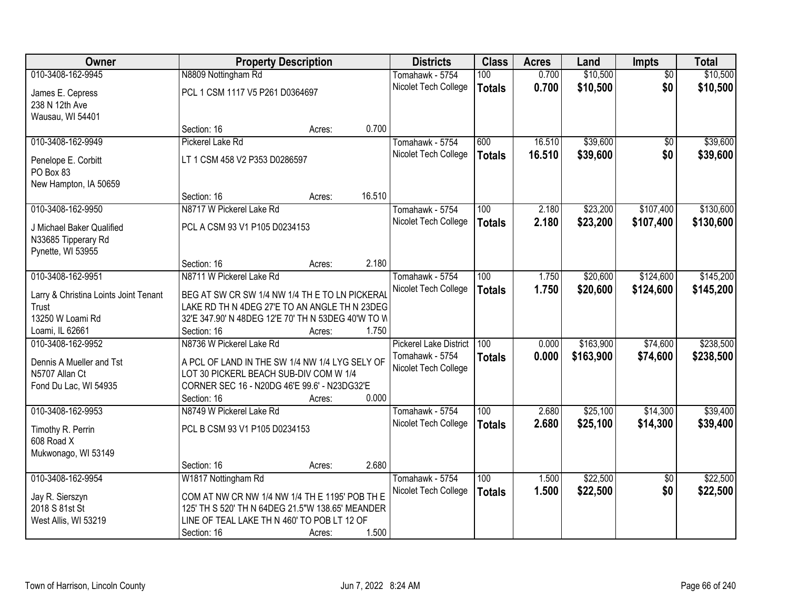| Owner                                          |                                                                                                 | <b>Property Description</b> |        | <b>Districts</b>              | <b>Class</b>     | <b>Acres</b> | Land      | <b>Impts</b>    | <b>Total</b> |
|------------------------------------------------|-------------------------------------------------------------------------------------------------|-----------------------------|--------|-------------------------------|------------------|--------------|-----------|-----------------|--------------|
| 010-3408-162-9945                              | N8809 Nottingham Rd                                                                             |                             |        | Tomahawk - 5754               | 100              | 0.700        | \$10,500  | $\overline{50}$ | \$10,500     |
| James E. Cepress                               | PCL 1 CSM 1117 V5 P261 D0364697                                                                 |                             |        | Nicolet Tech College          | <b>Totals</b>    | 0.700        | \$10,500  | \$0             | \$10,500     |
| 238 N 12th Ave                                 |                                                                                                 |                             |        |                               |                  |              |           |                 |              |
| Wausau, WI 54401                               |                                                                                                 |                             |        |                               |                  |              |           |                 |              |
|                                                | Section: 16                                                                                     | Acres:                      | 0.700  |                               |                  |              |           |                 |              |
| 010-3408-162-9949                              | Pickerel Lake Rd                                                                                |                             |        | Tomahawk - 5754               | 600              | 16.510       | \$39,600  | $\overline{50}$ | \$39,600     |
| Penelope E. Corbitt                            | LT 1 CSM 458 V2 P353 D0286597                                                                   |                             |        | Nicolet Tech College          | <b>Totals</b>    | 16.510       | \$39,600  | \$0             | \$39,600     |
| PO Box 83                                      |                                                                                                 |                             |        |                               |                  |              |           |                 |              |
| New Hampton, IA 50659                          |                                                                                                 |                             |        |                               |                  |              |           |                 |              |
|                                                | Section: 16                                                                                     | Acres:                      | 16.510 |                               |                  |              |           |                 |              |
| 010-3408-162-9950                              | N8717 W Pickerel Lake Rd                                                                        |                             |        | Tomahawk - 5754               | 100              | 2.180        | \$23,200  | \$107,400       | \$130,600    |
| J Michael Baker Qualified                      | PCL A CSM 93 V1 P105 D0234153                                                                   |                             |        | Nicolet Tech College          | <b>Totals</b>    | 2.180        | \$23,200  | \$107,400       | \$130,600    |
| N33685 Tipperary Rd                            |                                                                                                 |                             |        |                               |                  |              |           |                 |              |
| Pynette, WI 53955                              |                                                                                                 |                             |        |                               |                  |              |           |                 |              |
|                                                | Section: 16                                                                                     | Acres:                      | 2.180  |                               |                  |              |           |                 |              |
| 010-3408-162-9951                              | N8711 W Pickerel Lake Rd                                                                        |                             |        | Tomahawk - 5754               | 100              | 1.750        | \$20,600  | \$124,600       | \$145,200    |
|                                                |                                                                                                 |                             |        | Nicolet Tech College          | <b>Totals</b>    | 1.750        | \$20,600  | \$124,600       | \$145,200    |
| Larry & Christina Loints Joint Tenant<br>Trust | BEG AT SW CR SW 1/4 NW 1/4 TH E TO LN PICKERAL<br>LAKE RD TH N 4DEG 27'E TO AN ANGLE TH N 23DEG |                             |        |                               |                  |              |           |                 |              |
| 13250 W Loami Rd                               | 32'E 347.90' N 48DEG 12'E 70' TH N 53DEG 40'W TO W                                              |                             |        |                               |                  |              |           |                 |              |
| Loami, IL 62661                                | Section: 16                                                                                     | Acres:                      | 1.750  |                               |                  |              |           |                 |              |
| 010-3408-162-9952                              | N8736 W Pickerel Lake Rd                                                                        |                             |        | <b>Pickerel Lake District</b> | 100              | 0.000        | \$163,900 | \$74,600        | \$238,500    |
|                                                |                                                                                                 |                             |        | Tomahawk - 5754               | <b>Totals</b>    | 0.000        | \$163,900 | \$74,600        | \$238,500    |
| Dennis A Mueller and Tst                       | A PCL OF LAND IN THE SW 1/4 NW 1/4 LYG SELY OF                                                  |                             |        | Nicolet Tech College          |                  |              |           |                 |              |
| N5707 Allan Ct                                 | LOT 30 PICKERL BEACH SUB-DIV COM W 1/4                                                          |                             |        |                               |                  |              |           |                 |              |
| Fond Du Lac, WI 54935                          | CORNER SEC 16 - N20DG 46'E 99.6' - N23DG32'E<br>Section: 16                                     | Acres:                      | 0.000  |                               |                  |              |           |                 |              |
| 010-3408-162-9953                              | N8749 W Pickerel Lake Rd                                                                        |                             |        | Tomahawk - 5754               | $\overline{100}$ | 2.680        | \$25,100  | \$14,300        | \$39,400     |
|                                                |                                                                                                 |                             |        | Nicolet Tech College          | <b>Totals</b>    | 2.680        | \$25,100  | \$14,300        | \$39,400     |
| Timothy R. Perrin                              | PCL B CSM 93 V1 P105 D0234153                                                                   |                             |        |                               |                  |              |           |                 |              |
| 608 Road X                                     |                                                                                                 |                             |        |                               |                  |              |           |                 |              |
| Mukwonago, WI 53149                            |                                                                                                 |                             |        |                               |                  |              |           |                 |              |
|                                                | Section: 16                                                                                     | Acres:                      | 2.680  |                               |                  |              |           |                 |              |
| 010-3408-162-9954                              | W1817 Nottingham Rd                                                                             |                             |        | Tomahawk - 5754               | 100              | 1.500        | \$22,500  | $\overline{30}$ | \$22,500     |
| Jay R. Sierszyn                                | COM AT NW CR NW 1/4 NW 1/4 TH E 1195' POB TH E                                                  |                             |        | Nicolet Tech College          | <b>Totals</b>    | 1.500        | \$22,500  | \$0             | \$22,500     |
| 2018 S 81st St                                 | 125' TH S 520' TH N 64DEG 21.5"W 138.65' MEANDER                                                |                             |        |                               |                  |              |           |                 |              |
| West Allis, WI 53219                           | LINE OF TEAL LAKE TH N 460' TO POB LT 12 OF                                                     |                             |        |                               |                  |              |           |                 |              |
|                                                | Section: 16                                                                                     | Acres:                      | 1.500  |                               |                  |              |           |                 |              |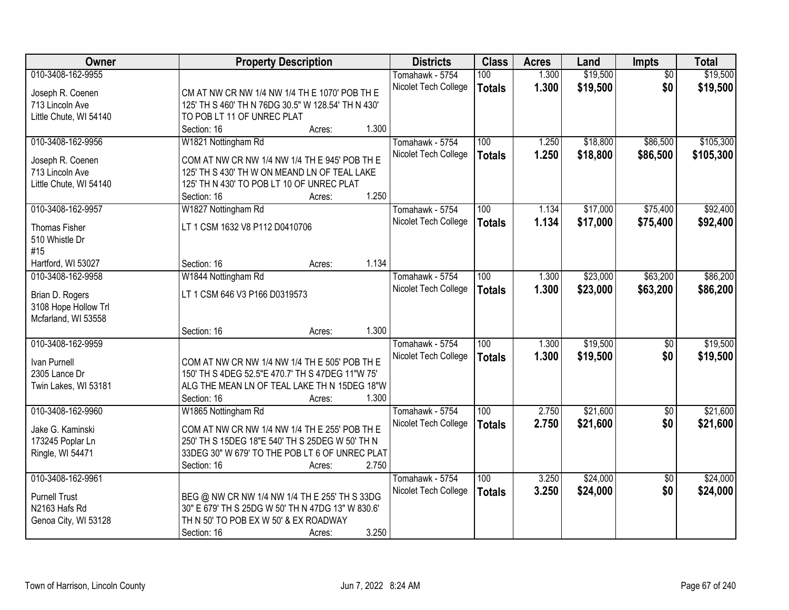| Owner                                | <b>Property Description</b>                        | <b>Districts</b>     | <b>Class</b>  | <b>Acres</b> | Land     | <b>Impts</b>    | <b>Total</b> |
|--------------------------------------|----------------------------------------------------|----------------------|---------------|--------------|----------|-----------------|--------------|
| 010-3408-162-9955                    |                                                    | Tomahawk - 5754      | 100           | 1.300        | \$19,500 | $\overline{50}$ | \$19,500     |
| Joseph R. Coenen                     | CM AT NW CR NW 1/4 NW 1/4 TH E 1070' POB TH E      | Nicolet Tech College | <b>Totals</b> | 1.300        | \$19,500 | \$0             | \$19,500     |
| 713 Lincoln Ave                      | 125' TH S 460' TH N 76DG 30.5" W 128.54' TH N 430' |                      |               |              |          |                 |              |
| Little Chute, WI 54140               | TO POB LT 11 OF UNREC PLAT                         |                      |               |              |          |                 |              |
|                                      | 1.300<br>Section: 16<br>Acres:                     |                      |               |              |          |                 |              |
| 010-3408-162-9956                    | W1821 Nottingham Rd                                | Tomahawk - 5754      | 100           | 1.250        | \$18,800 | \$86,500        | \$105,300    |
|                                      | COM AT NW CR NW 1/4 NW 1/4 TH E 945' POB TH E      | Nicolet Tech College | <b>Totals</b> | 1.250        | \$18,800 | \$86,500        | \$105,300    |
| Joseph R. Coenen<br>713 Lincoln Ave  | 125' TH S 430' TH W ON MEAND LN OF TEAL LAKE       |                      |               |              |          |                 |              |
| Little Chute, WI 54140               | 125' TH N 430' TO POB LT 10 OF UNREC PLAT          |                      |               |              |          |                 |              |
|                                      | 1.250<br>Section: 16<br>Acres:                     |                      |               |              |          |                 |              |
| 010-3408-162-9957                    | W1827 Nottingham Rd                                | Tomahawk - 5754      | 100           | 1.134        | \$17,000 | \$75,400        | \$92,400     |
|                                      |                                                    | Nicolet Tech College | <b>Totals</b> | 1.134        | \$17,000 | \$75,400        | \$92,400     |
| Thomas Fisher                        | LT 1 CSM 1632 V8 P112 D0410706                     |                      |               |              |          |                 |              |
| 510 Whistle Dr                       |                                                    |                      |               |              |          |                 |              |
| #15                                  |                                                    |                      |               |              |          |                 |              |
| Hartford, WI 53027                   | 1.134<br>Section: 16<br>Acres:                     |                      |               |              |          |                 |              |
| 010-3408-162-9958                    | W1844 Nottingham Rd                                | Tomahawk - 5754      | 100           | 1.300        | \$23,000 | \$63,200        | \$86,200     |
| Brian D. Rogers                      | LT 1 CSM 646 V3 P166 D0319573                      | Nicolet Tech College | <b>Totals</b> | 1.300        | \$23,000 | \$63,200        | \$86,200     |
| 3108 Hope Hollow Trl                 |                                                    |                      |               |              |          |                 |              |
| Mcfarland, WI 53558                  |                                                    |                      |               |              |          |                 |              |
|                                      | 1.300<br>Section: 16<br>Acres:                     |                      |               |              |          |                 |              |
| 010-3408-162-9959                    |                                                    | Tomahawk - 5754      | 100           | 1.300        | \$19,500 | $\overline{50}$ | \$19,500     |
| Ivan Purnell                         | COM AT NW CR NW 1/4 NW 1/4 TH E 505' POB TH E      | Nicolet Tech College | <b>Totals</b> | 1.300        | \$19,500 | \$0             | \$19,500     |
| 2305 Lance Dr                        | 150' TH S 4DEG 52.5"E 470.7' TH S 47DEG 11"W 75"   |                      |               |              |          |                 |              |
| Twin Lakes, WI 53181                 | ALG THE MEAN LN OF TEAL LAKE TH N 15DEG 18"W       |                      |               |              |          |                 |              |
|                                      | 1.300<br>Section: 16<br>Acres:                     |                      |               |              |          |                 |              |
| 010-3408-162-9960                    | W1865 Nottingham Rd                                | Tomahawk - 5754      | 100           | 2.750        | \$21,600 | $\sqrt{6}$      | \$21,600     |
|                                      | COM AT NW CR NW 1/4 NW 1/4 TH E 255' POB TH E      | Nicolet Tech College | <b>Totals</b> | 2.750        | \$21,600 | \$0             | \$21,600     |
| Jake G. Kaminski<br>173245 Poplar Ln | 250' TH S 15DEG 18"E 540' TH S 25DEG W 50' TH N    |                      |               |              |          |                 |              |
| Ringle, WI 54471                     | 33DEG 30" W 679' TO THE POB LT 6 OF UNREC PLAT     |                      |               |              |          |                 |              |
|                                      | 2.750<br>Section: 16<br>Acres:                     |                      |               |              |          |                 |              |
| 010-3408-162-9961                    |                                                    | Tomahawk - 5754      | 100           | 3.250        | \$24,000 | $\overline{50}$ | \$24,000     |
|                                      |                                                    | Nicolet Tech College | <b>Totals</b> | 3.250        | \$24,000 | \$0             | \$24,000     |
| <b>Purnell Trust</b>                 | BEG @ NW CR NW 1/4 NW 1/4 TH E 255' TH S 33DG      |                      |               |              |          |                 |              |
| N2163 Hafs Rd                        | 30" E 679' TH S 25DG W 50' TH N 47DG 13" W 830.6'  |                      |               |              |          |                 |              |
| Genoa City, WI 53128                 | TH N 50' TO POB EX W 50' & EX ROADWAY              |                      |               |              |          |                 |              |
|                                      | 3.250<br>Section: 16<br>Acres:                     |                      |               |              |          |                 |              |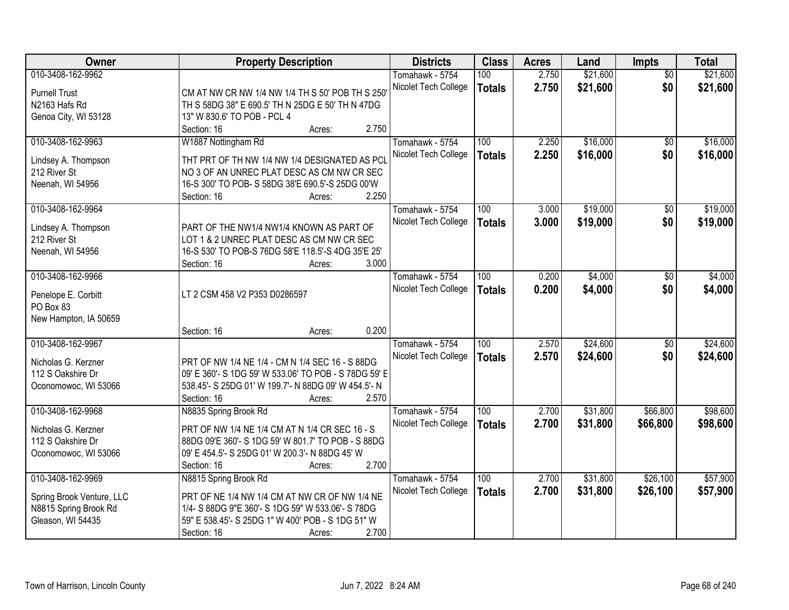| Owner                               | <b>Property Description</b>                                                                 | <b>Districts</b>     | <b>Class</b>  | <b>Acres</b> | Land     | <b>Impts</b>    | <b>Total</b> |
|-------------------------------------|---------------------------------------------------------------------------------------------|----------------------|---------------|--------------|----------|-----------------|--------------|
| 010-3408-162-9962                   |                                                                                             | Tomahawk - 5754      | 100           | 2.750        | \$21,600 | $\overline{50}$ | \$21,600     |
| <b>Purnell Trust</b>                | CM AT NW CR NW 1/4 NW 1/4 TH S 50' POB TH S 250                                             | Nicolet Tech College | <b>Totals</b> | 2.750        | \$21,600 | \$0             | \$21,600     |
| N2163 Hafs Rd                       | TH S 58DG 38" E 690.5' TH N 25DG E 50' TH N 47DG                                            |                      |               |              |          |                 |              |
| Genoa City, WI 53128                | 13" W 830.6' TO POB - PCL 4                                                                 |                      |               |              |          |                 |              |
|                                     | 2.750<br>Section: 16<br>Acres:                                                              |                      |               |              |          |                 |              |
| 010-3408-162-9963                   | W1887 Nottingham Rd                                                                         | Tomahawk - 5754      | 100           | 2.250        | \$16,000 | $\overline{50}$ | \$16,000     |
|                                     |                                                                                             | Nicolet Tech College | <b>Totals</b> | 2.250        | \$16,000 | \$0             | \$16,000     |
| Lindsey A. Thompson<br>212 River St | THT PRT OF TH NW 1/4 NW 1/4 DESIGNATED AS PCL<br>NO 3 OF AN UNREC PLAT DESC AS CM NW CR SEC |                      |               |              |          |                 |              |
| Neenah, WI 54956                    | 16-S 300' TO POB- S 58DG 38'E 690.5'-S 25DG 00'W                                            |                      |               |              |          |                 |              |
|                                     | 2.250<br>Section: 16<br>Acres:                                                              |                      |               |              |          |                 |              |
| 010-3408-162-9964                   |                                                                                             | Tomahawk - 5754      | 100           | 3.000        | \$19,000 | $\overline{50}$ | \$19,000     |
|                                     |                                                                                             | Nicolet Tech College | <b>Totals</b> | 3.000        | \$19,000 | \$0             | \$19,000     |
| Lindsey A. Thompson                 | PART OF THE NW1/4 NW1/4 KNOWN AS PART OF                                                    |                      |               |              |          |                 |              |
| 212 River St                        | LOT 1 & 2 UNREC PLAT DESC AS CM NW CR SEC                                                   |                      |               |              |          |                 |              |
| Neenah, WI 54956                    | 16-S 530' TO POB-S 76DG 58'E 118.5'-S 4DG 35'E 25'                                          |                      |               |              |          |                 |              |
|                                     | 3.000<br>Section: 16<br>Acres:                                                              |                      |               |              |          |                 |              |
| 010-3408-162-9966                   |                                                                                             | Tomahawk - 5754      | 100           | 0.200        | \$4,000  | \$0             | \$4,000      |
| Penelope E. Corbitt                 | LT 2 CSM 458 V2 P353 D0286597                                                               | Nicolet Tech College | <b>Totals</b> | 0.200        | \$4,000  | \$0             | \$4,000      |
| PO Box 83                           |                                                                                             |                      |               |              |          |                 |              |
| New Hampton, IA 50659               |                                                                                             |                      |               |              |          |                 |              |
|                                     | 0.200<br>Section: 16<br>Acres:                                                              |                      |               |              |          |                 |              |
| 010-3408-162-9967                   |                                                                                             | Tomahawk - 5754      | 100           | 2.570        | \$24,600 | $\overline{50}$ | \$24,600     |
| Nicholas G. Kerzner                 | PRT OF NW 1/4 NE 1/4 - CM N 1/4 SEC 16 - S 88DG                                             | Nicolet Tech College | <b>Totals</b> | 2.570        | \$24,600 | \$0             | \$24,600     |
| 112 S Oakshire Dr                   | 09' E 360'- S 1DG 59' W 533.06' TO POB - S 78DG 59' E                                       |                      |               |              |          |                 |              |
| Oconomowoc, WI 53066                | 538.45'- S 25DG 01' W 199.7'- N 88DG 09' W 454.5'- N                                        |                      |               |              |          |                 |              |
|                                     | 2.570<br>Section: 16<br>Acres:                                                              |                      |               |              |          |                 |              |
| 010-3408-162-9968                   | N8835 Spring Brook Rd                                                                       | Tomahawk - 5754      | 100           | 2.700        | \$31,800 | \$66,800        | \$98,600     |
| Nicholas G. Kerzner                 | PRT OF NW 1/4 NE 1/4 CM AT N 1/4 CR SEC 16 - S                                              | Nicolet Tech College | <b>Totals</b> | 2.700        | \$31,800 | \$66,800        | \$98,600     |
| 112 S Oakshire Dr                   | 88DG 09'E 360'- S 1DG 59' W 801.7' TO POB - S 88DG                                          |                      |               |              |          |                 |              |
| Oconomowoc, WI 53066                | 09' E 454.5'- S 25DG 01' W 200.3'- N 88DG 45' W                                             |                      |               |              |          |                 |              |
|                                     | 2.700<br>Section: 16<br>Acres:                                                              |                      |               |              |          |                 |              |
| 010-3408-162-9969                   | N8815 Spring Brook Rd                                                                       | Tomahawk - 5754      | 100           | 2.700        | \$31,800 | \$26,100        | \$57,900     |
|                                     |                                                                                             | Nicolet Tech College | <b>Totals</b> | 2.700        | \$31,800 | \$26,100        | \$57,900     |
| Spring Brook Venture, LLC           | PRT OF NE 1/4 NW 1/4 CM AT NW CR OF NW 1/4 NE                                               |                      |               |              |          |                 |              |
| N8815 Spring Brook Rd               | 1/4- S 88DG 9"E 360'- S 1DG 59" W 533.06'- S 78DG                                           |                      |               |              |          |                 |              |
| Gleason, WI 54435                   | 59" E 538.45'- S 25DG 1" W 400' POB - S 1DG 51" W                                           |                      |               |              |          |                 |              |
|                                     | 2.700<br>Section: 16<br>Acres:                                                              |                      |               |              |          |                 |              |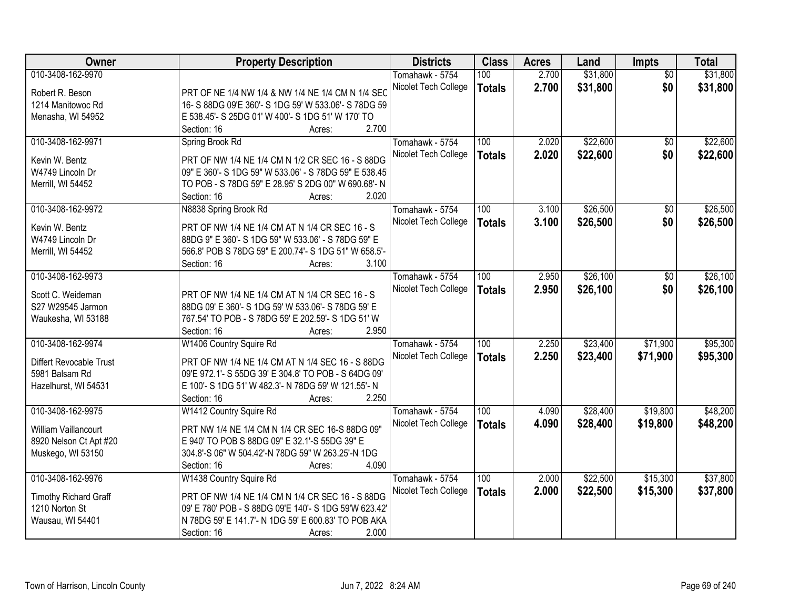| Owner                       | <b>Property Description</b>                           | <b>Districts</b>     | <b>Class</b>     | <b>Acres</b> | Land     | <b>Impts</b>    | <b>Total</b> |
|-----------------------------|-------------------------------------------------------|----------------------|------------------|--------------|----------|-----------------|--------------|
| 010-3408-162-9970           |                                                       | Tomahawk - 5754      | 100              | 2.700        | \$31,800 | $\overline{50}$ | \$31,800     |
| Robert R. Beson             | PRT OF NE 1/4 NW 1/4 & NW 1/4 NE 1/4 CM N 1/4 SEC     | Nicolet Tech College | <b>Totals</b>    | 2.700        | \$31,800 | \$0             | \$31,800     |
| 1214 Manitowoc Rd           | 16- S 88DG 09'E 360'- S 1DG 59' W 533.06'- S 78DG 59  |                      |                  |              |          |                 |              |
| Menasha, WI 54952           | E 538.45'- S 25DG 01' W 400'- S 1DG 51' W 170' TO     |                      |                  |              |          |                 |              |
|                             | 2.700<br>Section: 16<br>Acres:                        |                      |                  |              |          |                 |              |
| 010-3408-162-9971           | Spring Brook Rd                                       | Tomahawk - 5754      | 100              | 2.020        | \$22,600 | \$0             | \$22,600     |
| Kevin W. Bentz              | PRT OF NW 1/4 NE 1/4 CM N 1/2 CR SEC 16 - S 88DG      | Nicolet Tech College | <b>Totals</b>    | 2.020        | \$22,600 | \$0             | \$22,600     |
| W4749 Lincoln Dr            | 09" E 360'- S 1DG 59" W 533.06' - S 78DG 59" E 538.45 |                      |                  |              |          |                 |              |
| Merrill, WI 54452           | TO POB - S 78DG 59" E 28.95' S 2DG 00" W 690.68'- N   |                      |                  |              |          |                 |              |
|                             | 2.020<br>Section: 16<br>Acres:                        |                      |                  |              |          |                 |              |
| 010-3408-162-9972           | N8838 Spring Brook Rd                                 | Tomahawk - 5754      | 100              | 3.100        | \$26,500 | $\sqrt[6]{3}$   | \$26,500     |
|                             |                                                       | Nicolet Tech College | <b>Totals</b>    | 3.100        | \$26,500 | \$0             | \$26,500     |
| Kevin W. Bentz              | PRT OF NW 1/4 NE 1/4 CM AT N 1/4 CR SEC 16 - S        |                      |                  |              |          |                 |              |
| W4749 Lincoln Dr            | 88DG 9" E 360'- S 1DG 59" W 533.06' - S 78DG 59" E    |                      |                  |              |          |                 |              |
| Merrill, WI 54452           | 566.8' POB S 78DG 59" E 200.74'- S 1DG 51" W 658.5'-  |                      |                  |              |          |                 |              |
|                             | 3.100<br>Section: 16<br>Acres:                        |                      |                  |              |          |                 |              |
| 010-3408-162-9973           |                                                       | Tomahawk - 5754      | 100              | 2.950        | \$26,100 | $\sqrt[6]{}$    | \$26,100     |
| Scott C. Weideman           | PRT OF NW 1/4 NE 1/4 CM AT N 1/4 CR SEC 16 - S        | Nicolet Tech College | <b>Totals</b>    | 2.950        | \$26,100 | \$0             | \$26,100     |
| S27 W29545 Jarmon           | 88DG 09' E 360'- S 1DG 59' W 533.06'- S 78DG 59' E    |                      |                  |              |          |                 |              |
| Waukesha, WI 53188          | 767.54' TO POB - S 78DG 59' E 202.59'- S 1DG 51' W    |                      |                  |              |          |                 |              |
|                             | Section: 16<br>2.950<br>Acres:                        |                      |                  |              |          |                 |              |
| 010-3408-162-9974           | W1406 Country Squire Rd                               | Tomahawk - 5754      | 100              | 2.250        | \$23,400 | \$71,900        | \$95,300     |
|                             |                                                       | Nicolet Tech College | <b>Totals</b>    | 2.250        | \$23,400 | \$71,900        | \$95,300     |
| Differt Revocable Trust     | PRT OF NW 1/4 NE 1/4 CM AT N 1/4 SEC 16 - S 88DG      |                      |                  |              |          |                 |              |
| 5981 Balsam Rd              | 09'E 972.1'- S 55DG 39' E 304.8' TO POB - S 64DG 09'  |                      |                  |              |          |                 |              |
| Hazelhurst, WI 54531        | E 100'- S 1DG 51' W 482.3'- N 78DG 59' W 121.55'- N   |                      |                  |              |          |                 |              |
|                             | 2.250<br>Section: 16<br>Acres:                        |                      |                  |              |          |                 |              |
| 010-3408-162-9975           | W1412 Country Squire Rd                               | Tomahawk - 5754      | $\overline{100}$ | 4.090        | \$28,400 | \$19,800        | \$48,200     |
| <b>William Vaillancourt</b> | PRT NW 1/4 NE 1/4 CM N 1/4 CR SEC 16-S 88DG 09"       | Nicolet Tech College | <b>Totals</b>    | 4.090        | \$28,400 | \$19,800        | \$48,200     |
| 8920 Nelson Ct Apt #20      | E 940' TO POB S 88DG 09" E 32.1'-S 55DG 39" E         |                      |                  |              |          |                 |              |
| Muskego, WI 53150           | 304.8'-S 06" W 504.42'-N 78DG 59" W 263.25'-N 1DG     |                      |                  |              |          |                 |              |
|                             | 4.090<br>Section: 16<br>Acres:                        |                      |                  |              |          |                 |              |
| 010-3408-162-9976           | W1438 Country Squire Rd                               | Tomahawk - 5754      | 100              | 2.000        | \$22,500 | \$15,300        | \$37,800     |
| Timothy Richard Graff       | PRT OF NW 1/4 NE 1/4 CM N 1/4 CR SEC 16 - S 88DG      | Nicolet Tech College | <b>Totals</b>    | 2.000        | \$22,500 | \$15,300        | \$37,800     |
| 1210 Norton St              | 09' E 780' POB - S 88DG 09'E 140'- S 1DG 59'W 623.42' |                      |                  |              |          |                 |              |
| Wausau, WI 54401            | N 78DG 59' E 141.7'- N 1DG 59' E 600.83' TO POB AKA   |                      |                  |              |          |                 |              |
|                             | 2.000<br>Section: 16<br>Acres:                        |                      |                  |              |          |                 |              |
|                             |                                                       |                      |                  |              |          |                 |              |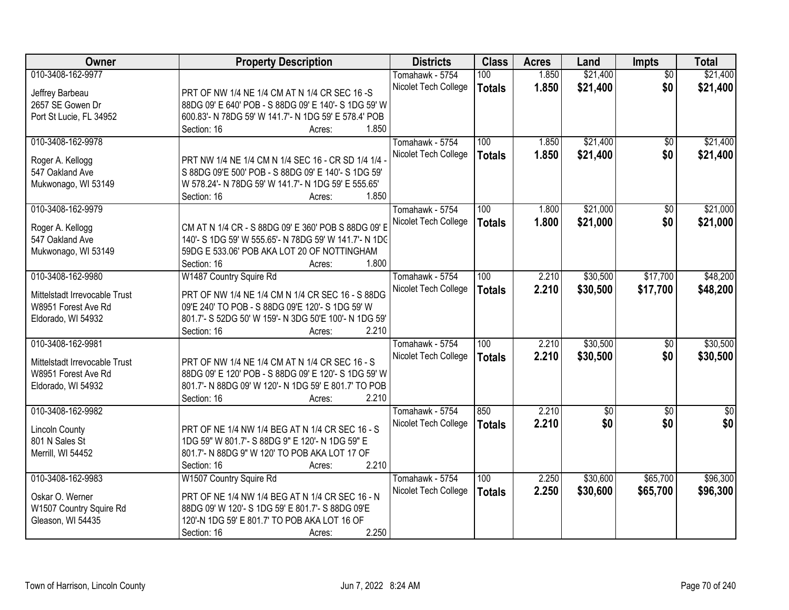| <b>Owner</b>                  | <b>Property Description</b>                           | <b>Districts</b>     | <b>Class</b>  | <b>Acres</b> | Land        | Impts           | <b>Total</b>    |
|-------------------------------|-------------------------------------------------------|----------------------|---------------|--------------|-------------|-----------------|-----------------|
| 010-3408-162-9977             |                                                       | Tomahawk - 5754      | 100           | 1.850        | \$21,400    | $\overline{50}$ | \$21,400        |
| Jeffrey Barbeau               | PRT OF NW 1/4 NE 1/4 CM AT N 1/4 CR SEC 16 -S         | Nicolet Tech College | <b>Totals</b> | 1.850        | \$21,400    | \$0             | \$21,400        |
| 2657 SE Gowen Dr              | 88DG 09' E 640' POB - S 88DG 09' E 140'- S 1DG 59' W  |                      |               |              |             |                 |                 |
| Port St Lucie, FL 34952       | 600.83'- N 78DG 59' W 141.7'- N 1DG 59' E 578.4' POB  |                      |               |              |             |                 |                 |
|                               | 1.850<br>Section: 16<br>Acres:                        |                      |               |              |             |                 |                 |
| 010-3408-162-9978             |                                                       | Tomahawk - 5754      | 100           | 1.850        | \$21,400    | $\overline{50}$ | \$21,400        |
|                               |                                                       | Nicolet Tech College | <b>Totals</b> | 1.850        | \$21,400    | \$0             | \$21,400        |
| Roger A. Kellogg              | PRT NW 1/4 NE 1/4 CM N 1/4 SEC 16 - CR SD 1/4 1/4     |                      |               |              |             |                 |                 |
| 547 Oakland Ave               | S 88DG 09'E 500' POB - S 88DG 09' E 140'- S 1DG 59'   |                      |               |              |             |                 |                 |
| Mukwonago, WI 53149           | W 578.24'- N 78DG 59' W 141.7'- N 1DG 59' E 555.65'   |                      |               |              |             |                 |                 |
|                               | 1.850<br>Section: 16<br>Acres:                        |                      |               |              |             |                 |                 |
| 010-3408-162-9979             |                                                       | Tomahawk - 5754      | 100           | 1.800        | \$21,000    | \$0             | \$21,000        |
| Roger A. Kellogg              | CM AT N 1/4 CR - S 88DG 09' E 360' POB S 88DG 09' E   | Nicolet Tech College | <b>Totals</b> | 1.800        | \$21,000    | \$0             | \$21,000        |
| 547 Oakland Ave               | 140'- S 1DG 59' W 555.65'- N 78DG 59' W 141.7'- N 1DC |                      |               |              |             |                 |                 |
| Mukwonago, WI 53149           | 59DG E 533.06' POB AKA LOT 20 OF NOTTINGHAM           |                      |               |              |             |                 |                 |
|                               | 1.800<br>Section: 16<br>Acres:                        |                      |               |              |             |                 |                 |
| 010-3408-162-9980             | W1487 Country Squire Rd                               | Tomahawk - 5754      | 100           | 2.210        | \$30,500    | \$17,700        | \$48,200        |
|                               |                                                       | Nicolet Tech College | <b>Totals</b> | 2.210        | \$30,500    | \$17,700        | \$48,200        |
| Mittelstadt Irrevocable Trust | PRT OF NW 1/4 NE 1/4 CM N 1/4 CR SEC 16 - S 88DG      |                      |               |              |             |                 |                 |
| W8951 Forest Ave Rd           | 09'E 240' TO POB - S 88DG 09'E 120'- S 1DG 59' W      |                      |               |              |             |                 |                 |
| Eldorado, WI 54932            | 801.7'- S 52DG 50' W 159'- N 3DG 50'E 100'- N 1DG 59' |                      |               |              |             |                 |                 |
|                               | 2.210<br>Section: 16<br>Acres:                        |                      |               |              |             |                 |                 |
| 010-3408-162-9981             |                                                       | Tomahawk - 5754      | 100           | 2.210        | \$30,500    | $\overline{50}$ | \$30,500        |
| Mittelstadt Irrevocable Trust | PRT OF NW 1/4 NE 1/4 CM AT N 1/4 CR SEC 16 - S        | Nicolet Tech College | <b>Totals</b> | 2.210        | \$30,500    | \$0             | \$30,500        |
| W8951 Forest Ave Rd           | 88DG 09' E 120' POB - S 88DG 09' E 120'- S 1DG 59' W  |                      |               |              |             |                 |                 |
| Eldorado, WI 54932            | 801.7'- N 88DG 09' W 120'- N 1DG 59' E 801.7' TO POB  |                      |               |              |             |                 |                 |
|                               | 2.210<br>Section: 16<br>Acres:                        |                      |               |              |             |                 |                 |
| 010-3408-162-9982             |                                                       | Tomahawk - 5754      | 850           | 2.210        | $\sqrt{50}$ | $\overline{50}$ | $\overline{50}$ |
|                               |                                                       | Nicolet Tech College | <b>Totals</b> | 2.210        | \$0         | \$0             | \$0             |
| <b>Lincoln County</b>         | PRT OF NE 1/4 NW 1/4 BEG AT N 1/4 CR SEC 16 - S       |                      |               |              |             |                 |                 |
| 801 N Sales St                | 1DG 59" W 801.7'- S 88DG 9" E 120'- N 1DG 59" E       |                      |               |              |             |                 |                 |
| Merrill, WI 54452             | 801.7'- N 88DG 9" W 120' TO POB AKA LOT 17 OF         |                      |               |              |             |                 |                 |
|                               | 2.210<br>Section: 16<br>Acres:                        |                      |               |              |             |                 |                 |
| 010-3408-162-9983             | W1507 Country Squire Rd                               | Tomahawk - 5754      | 100           | 2.250        | \$30,600    | \$65,700        | \$96,300        |
| Oskar O. Werner               | PRT OF NE 1/4 NW 1/4 BEG AT N 1/4 CR SEC 16 - N       | Nicolet Tech College | <b>Totals</b> | 2.250        | \$30,600    | \$65,700        | \$96,300        |
| W1507 Country Squire Rd       | 88DG 09' W 120'- S 1DG 59' E 801.7'- S 88DG 09'E      |                      |               |              |             |                 |                 |
| Gleason, WI 54435             | 120'-N 1DG 59' E 801.7' TO POB AKA LOT 16 OF          |                      |               |              |             |                 |                 |
|                               | 2.250                                                 |                      |               |              |             |                 |                 |
|                               | Section: 16<br>Acres:                                 |                      |               |              |             |                 |                 |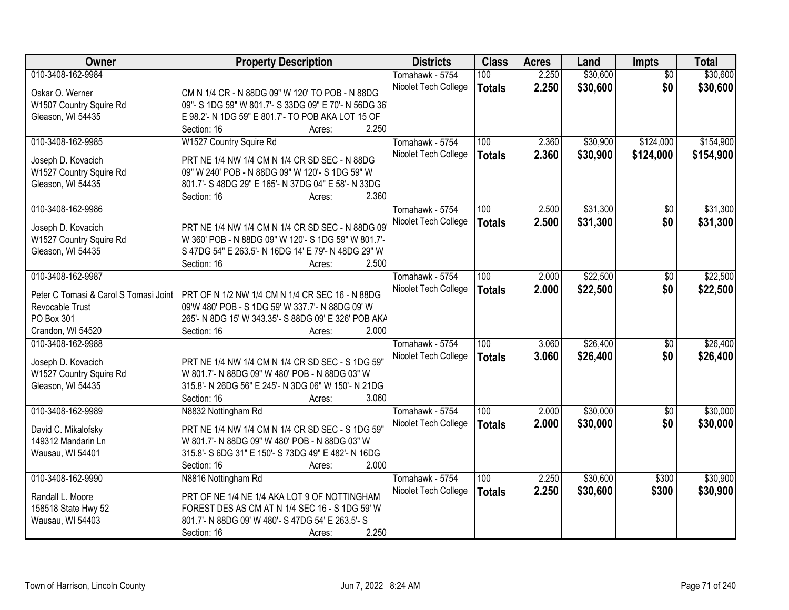| <b>Owner</b>                          | <b>Property Description</b>                                  | <b>Districts</b>     | <b>Class</b>  | <b>Acres</b> | Land     | Impts           | <b>Total</b> |
|---------------------------------------|--------------------------------------------------------------|----------------------|---------------|--------------|----------|-----------------|--------------|
| 010-3408-162-9984                     |                                                              | Tomahawk - 5754      | 100           | 2.250        | \$30,600 | $\overline{50}$ | \$30,600     |
| Oskar O. Werner                       | CM N 1/4 CR - N 88DG 09" W 120' TO POB - N 88DG              | Nicolet Tech College | <b>Totals</b> | 2.250        | \$30,600 | \$0             | \$30,600     |
| W1507 Country Squire Rd               | 09"- S 1DG 59" W 801.7'- S 33DG 09" E 70'- N 56DG 36'        |                      |               |              |          |                 |              |
| Gleason, WI 54435                     | E 98.2'- N 1DG 59" E 801.7'- TO POB AKA LOT 15 OF            |                      |               |              |          |                 |              |
|                                       | 2.250<br>Section: 16<br>Acres:                               |                      |               |              |          |                 |              |
| 010-3408-162-9985                     | W1527 Country Squire Rd                                      | Tomahawk - 5754      | 100           | 2.360        | \$30,900 | \$124,000       | \$154,900    |
|                                       |                                                              | Nicolet Tech College | <b>Totals</b> | 2.360        | \$30,900 | \$124,000       | \$154,900    |
| Joseph D. Kovacich                    | PRT NE 1/4 NW 1/4 CM N 1/4 CR SD SEC - N 88DG                |                      |               |              |          |                 |              |
| W1527 Country Squire Rd               | 09" W 240' POB - N 88DG 09" W 120'- S 1DG 59" W              |                      |               |              |          |                 |              |
| Gleason, WI 54435                     | 801.7'- S 48DG 29" E 165'- N 37DG 04" E 58'- N 33DG          |                      |               |              |          |                 |              |
|                                       | 2.360<br>Section: 16<br>Acres:                               |                      |               |              |          |                 |              |
| 010-3408-162-9986                     |                                                              | Tomahawk - 5754      | 100           | 2.500        | \$31,300 | \$0             | \$31,300     |
| Joseph D. Kovacich                    | PRT NE 1/4 NW 1/4 CM N 1/4 CR SD SEC - N 88DG 09             | Nicolet Tech College | <b>Totals</b> | 2.500        | \$31,300 | \$0             | \$31,300     |
| W1527 Country Squire Rd               | W 360' POB - N 88DG 09" W 120'- S 1DG 59" W 801.7'-          |                      |               |              |          |                 |              |
| Gleason, WI 54435                     | S 47DG 54" E 263.5'- N 16DG 14' E 79'- N 48DG 29" W          |                      |               |              |          |                 |              |
|                                       | 2.500<br>Section: 16<br>Acres:                               |                      |               |              |          |                 |              |
| 010-3408-162-9987                     |                                                              | Tomahawk - 5754      | 100           | 2.000        | \$22,500 | \$0             | \$22,500     |
|                                       |                                                              | Nicolet Tech College | <b>Totals</b> | 2.000        | \$22,500 | \$0             | \$22,500     |
| Peter C Tomasi & Carol S Tomasi Joint | PRT OF N 1/2 NW 1/4 CM N 1/4 CR SEC 16 - N 88DG              |                      |               |              |          |                 |              |
| Revocable Trust                       | 09'W 480' POB - S 1DG 59' W 337.7'- N 88DG 09' W             |                      |               |              |          |                 |              |
| PO Box 301                            | 265'- N 8DG 15' W 343.35'- S 88DG 09' E 326' POB AKA         |                      |               |              |          |                 |              |
| Crandon, WI 54520                     | 2.000<br>Section: 16<br>Acres:                               |                      |               |              |          |                 |              |
| 010-3408-162-9988                     |                                                              | Tomahawk - 5754      | 100           | 3.060        | \$26,400 | $\overline{50}$ | \$26,400     |
| Joseph D. Kovacich                    | PRT NE 1/4 NW 1/4 CM N 1/4 CR SD SEC - S 1DG 59"             | Nicolet Tech College | <b>Totals</b> | 3.060        | \$26,400 | \$0             | \$26,400     |
| W1527 Country Squire Rd               | W 801.7'- N 88DG 09" W 480' POB - N 88DG 03" W               |                      |               |              |          |                 |              |
| Gleason, WI 54435                     | 315.8'- N 26DG 56" E 245'- N 3DG 06" W 150'- N 21DG          |                      |               |              |          |                 |              |
|                                       | 3.060<br>Section: 16<br>Acres:                               |                      |               |              |          |                 |              |
| 010-3408-162-9989                     | N8832 Nottingham Rd                                          | Tomahawk - 5754      | 100           | 2.000        | \$30,000 | $\overline{50}$ | \$30,000     |
|                                       |                                                              | Nicolet Tech College | <b>Totals</b> | 2.000        | \$30,000 | \$0             | \$30,000     |
| David C. Mikalofsky                   | PRT NE 1/4 NW 1/4 CM N 1/4 CR SD SEC - S 1DG 59"             |                      |               |              |          |                 |              |
| 149312 Mandarin Ln                    | W 801.7'- N 88DG 09" W 480' POB - N 88DG 03" W               |                      |               |              |          |                 |              |
| Wausau, WI 54401                      | 315.8'- S 6DG 31" E 150'- S 73DG 49" E 482'- N 16DG<br>2.000 |                      |               |              |          |                 |              |
| 010-3408-162-9990                     | Section: 16<br>Acres:                                        |                      |               |              | \$30,600 |                 | \$30,900     |
|                                       | N8816 Nottingham Rd                                          | Tomahawk - 5754      | 100           | 2.250        |          | \$300           |              |
| Randall L. Moore                      | PRT OF NE 1/4 NE 1/4 AKA LOT 9 OF NOTTINGHAM                 | Nicolet Tech College | <b>Totals</b> | 2.250        | \$30,600 | \$300           | \$30,900     |
| 158518 State Hwy 52                   | FOREST DES AS CM AT N 1/4 SEC 16 - S 1DG 59' W               |                      |               |              |          |                 |              |
| Wausau, WI 54403                      | 801.7'- N 88DG 09' W 480'- S 47DG 54' E 263.5'- S            |                      |               |              |          |                 |              |
|                                       | 2.250<br>Section: 16<br>Acres:                               |                      |               |              |          |                 |              |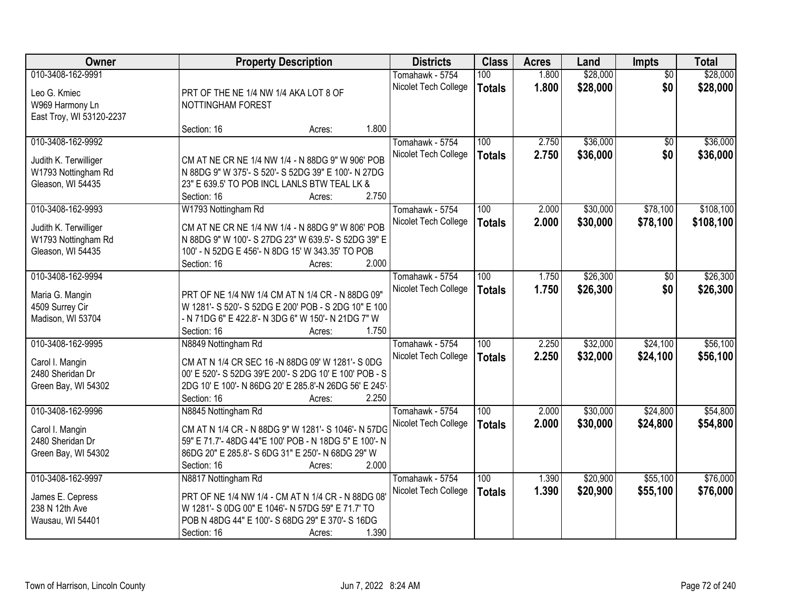| Owner                    |                                                        | <b>Property Description</b>                        |       | <b>Districts</b>     | <b>Class</b>     | <b>Acres</b> | Land     | <b>Impts</b>    | <b>Total</b> |
|--------------------------|--------------------------------------------------------|----------------------------------------------------|-------|----------------------|------------------|--------------|----------|-----------------|--------------|
| 010-3408-162-9991        |                                                        |                                                    |       | Tomahawk - 5754      | 100              | 1.800        | \$28,000 | $\overline{50}$ | \$28,000     |
| Leo G. Kmiec             | PRT OF THE NE 1/4 NW 1/4 AKA LOT 8 OF                  |                                                    |       | Nicolet Tech College | <b>Totals</b>    | 1.800        | \$28,000 | \$0             | \$28,000     |
| W969 Harmony Ln          | NOTTINGHAM FOREST                                      |                                                    |       |                      |                  |              |          |                 |              |
| East Troy, WI 53120-2237 |                                                        |                                                    |       |                      |                  |              |          |                 |              |
|                          | Section: 16                                            | Acres:                                             | 1.800 |                      |                  |              |          |                 |              |
| 010-3408-162-9992        |                                                        |                                                    |       | Tomahawk - 5754      | 100              | 2.750        | \$36,000 | $\overline{50}$ | \$36,000     |
|                          |                                                        |                                                    |       | Nicolet Tech College | <b>Totals</b>    | 2.750        | \$36,000 | \$0             | \$36,000     |
| Judith K. Terwilliger    | CM AT NE CR NE 1/4 NW 1/4 - N 88DG 9" W 906' POB       |                                                    |       |                      |                  |              |          |                 |              |
| W1793 Nottingham Rd      | N 88DG 9" W 375'- S 520'- S 52DG 39" E 100'- N 27DG    |                                                    |       |                      |                  |              |          |                 |              |
| Gleason, WI 54435        | 23" E 639.5' TO POB INCL LANLS BTW TEAL LK &           |                                                    |       |                      |                  |              |          |                 |              |
|                          | Section: 16                                            | Acres:                                             | 2.750 |                      |                  |              |          |                 |              |
| 010-3408-162-9993        | W1793 Nottingham Rd                                    |                                                    |       | Tomahawk - 5754      | 100              | 2.000        | \$30,000 | \$78,100        | \$108,100    |
| Judith K. Terwilliger    | CM AT NE CR NE 1/4 NW 1/4 - N 88DG 9" W 806' POB       |                                                    |       | Nicolet Tech College | <b>Totals</b>    | 2.000        | \$30,000 | \$78,100        | \$108,100    |
| W1793 Nottingham Rd      | N 88DG 9" W 100'- S 27DG 23" W 639.5'- S 52DG 39" E    |                                                    |       |                      |                  |              |          |                 |              |
| Gleason, WI 54435        | 100' - N 52DG E 456'- N 8DG 15' W 343.35' TO POB       |                                                    |       |                      |                  |              |          |                 |              |
|                          | Section: 16                                            | Acres:                                             | 2.000 |                      |                  |              |          |                 |              |
| 010-3408-162-9994        |                                                        |                                                    |       | Tomahawk - 5754      | 100              | 1.750        | \$26,300 | $\sqrt[6]{}$    | \$26,300     |
|                          |                                                        |                                                    |       | Nicolet Tech College | <b>Totals</b>    | 1.750        | \$26,300 | \$0             | \$26,300     |
| Maria G. Mangin          | PRT OF NE 1/4 NW 1/4 CM AT N 1/4 CR - N 88DG 09"       |                                                    |       |                      |                  |              |          |                 |              |
| 4509 Surrey Cir          | W 1281'- S 520'- S 52DG E 200' POB - S 2DG 10" E 100   |                                                    |       |                      |                  |              |          |                 |              |
| Madison, WI 53704        |                                                        | - N 71DG 6" E 422.8'- N 3DG 6" W 150'- N 21DG 7" W |       |                      |                  |              |          |                 |              |
|                          | Section: 16                                            | Acres:                                             | 1.750 |                      |                  |              |          |                 |              |
| 010-3408-162-9995        | N8849 Nottingham Rd                                    |                                                    |       | Tomahawk - 5754      | 100              | 2.250        | \$32,000 | \$24,100        | \$56,100     |
| Carol I. Mangin          | CM AT N 1/4 CR SEC 16 -N 88DG 09' W 1281'- S 0DG       |                                                    |       | Nicolet Tech College | <b>Totals</b>    | 2.250        | \$32,000 | \$24,100        | \$56,100     |
| 2480 Sheridan Dr         | 00' E 520'- S 52DG 39'E 200'- S 2DG 10' E 100' POB - S |                                                    |       |                      |                  |              |          |                 |              |
| Green Bay, WI 54302      | 2DG 10' E 100'- N 86DG 20' E 285.8'-N 26DG 56' E 245'- |                                                    |       |                      |                  |              |          |                 |              |
|                          | Section: 16                                            | Acres:                                             | 2.250 |                      |                  |              |          |                 |              |
| 010-3408-162-9996        | N8845 Nottingham Rd                                    |                                                    |       | Tomahawk - 5754      | $\overline{100}$ | 2.000        | \$30,000 | \$24,800        | \$54,800     |
| Carol I. Mangin          | CM AT N 1/4 CR - N 88DG 9" W 1281'- S 1046'- N 57DG    |                                                    |       | Nicolet Tech College | <b>Totals</b>    | 2.000        | \$30,000 | \$24,800        | \$54,800     |
| 2480 Sheridan Dr         | 59" E 71.7'- 48DG 44"E 100' POB - N 18DG 5" E 100'- N  |                                                    |       |                      |                  |              |          |                 |              |
| Green Bay, WI 54302      | 86DG 20" E 285.8'- S 6DG 31" E 250'- N 68DG 29" W      |                                                    |       |                      |                  |              |          |                 |              |
|                          | Section: 16                                            | Acres:                                             | 2.000 |                      |                  |              |          |                 |              |
| 010-3408-162-9997        | N8817 Nottingham Rd                                    |                                                    |       | Tomahawk - 5754      | 100              | 1.390        | \$20,900 | \$55,100        | \$76,000     |
|                          |                                                        |                                                    |       | Nicolet Tech College | <b>Totals</b>    | 1.390        | \$20,900 | \$55,100        | \$76,000     |
| James E. Cepress         | PRT OF NE 1/4 NW 1/4 - CM AT N 1/4 CR - N 88DG 08'     |                                                    |       |                      |                  |              |          |                 |              |
| 238 N 12th Ave           | W 1281'- S 0DG 00" E 1046'- N 57DG 59" E 71.7' TO      |                                                    |       |                      |                  |              |          |                 |              |
| Wausau, WI 54401         | POB N 48DG 44" E 100'- S 68DG 29" E 370'- S 16DG       |                                                    |       |                      |                  |              |          |                 |              |
|                          | Section: 16                                            | Acres:                                             | 1.390 |                      |                  |              |          |                 |              |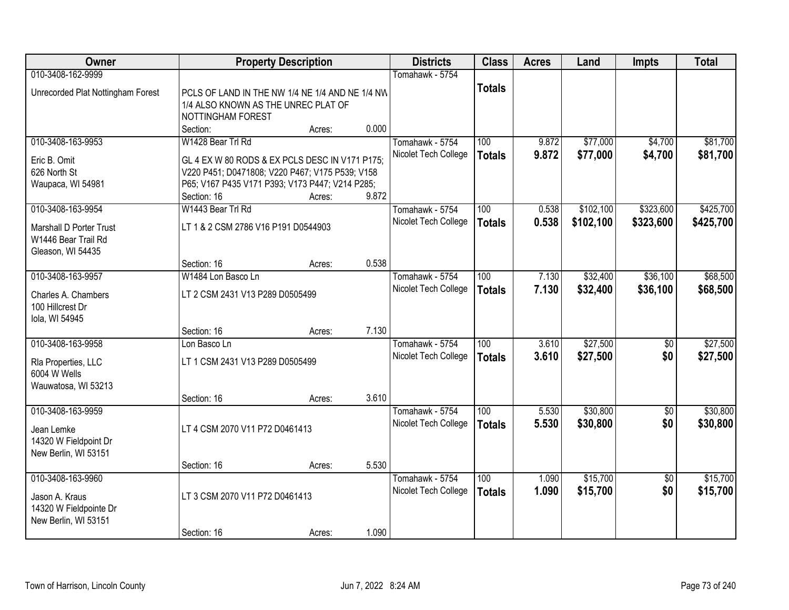| Owner                                                               |                                                                                                             | <b>Property Description</b> |       | <b>Districts</b>                        | <b>Class</b>         | <b>Acres</b>   | Land                 | <b>Impts</b>       | <b>Total</b>         |
|---------------------------------------------------------------------|-------------------------------------------------------------------------------------------------------------|-----------------------------|-------|-----------------------------------------|----------------------|----------------|----------------------|--------------------|----------------------|
| 010-3408-162-9999                                                   |                                                                                                             |                             |       | Tomahawk - 5754                         |                      |                |                      |                    |                      |
| Unrecorded Plat Nottingham Forest                                   | PCLS OF LAND IN THE NW 1/4 NE 1/4 AND NE 1/4 NW<br>1/4 ALSO KNOWN AS THE UNREC PLAT OF<br>NOTTINGHAM FOREST |                             |       |                                         | <b>Totals</b>        |                |                      |                    |                      |
|                                                                     | Section:                                                                                                    | Acres:                      | 0.000 |                                         |                      |                |                      |                    |                      |
| 010-3408-163-9953                                                   | W1428 Bear Trl Rd                                                                                           |                             |       | Tomahawk - 5754<br>Nicolet Tech College | 100<br><b>Totals</b> | 9.872<br>9.872 | \$77,000<br>\$77,000 | \$4,700<br>\$4,700 | \$81,700<br>\$81,700 |
| Eric B. Omit<br>626 North St                                        | GL 4 EX W 80 RODS & EX PCLS DESC IN V171 P175;<br>V220 P451; D0471808; V220 P467; V175 P539; V158           |                             |       |                                         |                      |                |                      |                    |                      |
| Waupaca, WI 54981                                                   | P65; V167 P435 V171 P393; V173 P447; V214 P285;                                                             |                             |       |                                         |                      |                |                      |                    |                      |
|                                                                     | Section: 16                                                                                                 | Acres:                      | 9.872 |                                         |                      |                |                      |                    |                      |
| 010-3408-163-9954                                                   | W1443 Bear Trl Rd                                                                                           |                             |       | Tomahawk - 5754                         | 100                  | 0.538          | \$102,100            | \$323,600          | \$425,700            |
| Marshall D Porter Trust<br>W1446 Bear Trail Rd<br>Gleason, WI 54435 | LT 1 & 2 CSM 2786 V16 P191 D0544903                                                                         |                             |       | Nicolet Tech College                    | <b>Totals</b>        | 0.538          | \$102,100            | \$323,600          | \$425,700            |
|                                                                     | Section: 16                                                                                                 | Acres:                      | 0.538 |                                         |                      |                |                      |                    |                      |
| 010-3408-163-9957                                                   | W1484 Lon Basco Ln                                                                                          |                             |       | Tomahawk - 5754                         | 100                  | 7.130          | \$32,400             | \$36,100           | \$68,500             |
| Charles A. Chambers<br>100 Hillcrest Dr<br>Iola, WI 54945           | LT 2 CSM 2431 V13 P289 D0505499                                                                             |                             |       | Nicolet Tech College                    | <b>Totals</b>        | 7.130          | \$32,400             | \$36,100           | \$68,500             |
|                                                                     | Section: 16                                                                                                 | Acres:                      | 7.130 |                                         |                      |                |                      |                    |                      |
| 010-3408-163-9958                                                   | Lon Basco Ln                                                                                                |                             |       | Tomahawk - 5754                         | $\overline{100}$     | 3.610          | \$27,500             | $\overline{50}$    | \$27,500             |
| Rla Properties, LLC<br>6004 W Wells<br>Wauwatosa, WI 53213          | LT 1 CSM 2431 V13 P289 D0505499                                                                             |                             |       | Nicolet Tech College                    | <b>Totals</b>        | 3.610          | \$27,500             | \$0                | \$27,500             |
|                                                                     | Section: 16                                                                                                 | Acres:                      | 3.610 |                                         |                      |                |                      |                    |                      |
| 010-3408-163-9959<br>Jean Lemke                                     | LT 4 CSM 2070 V11 P72 D0461413                                                                              |                             |       | Tomahawk - 5754<br>Nicolet Tech College | 100<br><b>Totals</b> | 5.530<br>5.530 | \$30,800<br>\$30,800 | $\sqrt{6}$<br>\$0  | \$30,800<br>\$30,800 |
| 14320 W Fieldpoint Dr<br>New Berlin, WI 53151                       |                                                                                                             |                             |       |                                         |                      |                |                      |                    |                      |
|                                                                     | Section: 16                                                                                                 | Acres:                      | 5.530 |                                         |                      |                |                      |                    |                      |
| 010-3408-163-9960                                                   |                                                                                                             |                             |       | Tomahawk - 5754                         | 100                  | 1.090          | \$15,700             | $\overline{50}$    | \$15,700             |
| Jason A. Kraus<br>14320 W Fieldpointe Dr<br>New Berlin, WI 53151    | LT 3 CSM 2070 V11 P72 D0461413                                                                              |                             |       | Nicolet Tech College                    | <b>Totals</b>        | 1.090          | \$15,700             | \$0                | \$15,700             |
|                                                                     | Section: 16                                                                                                 | Acres:                      | 1.090 |                                         |                      |                |                      |                    |                      |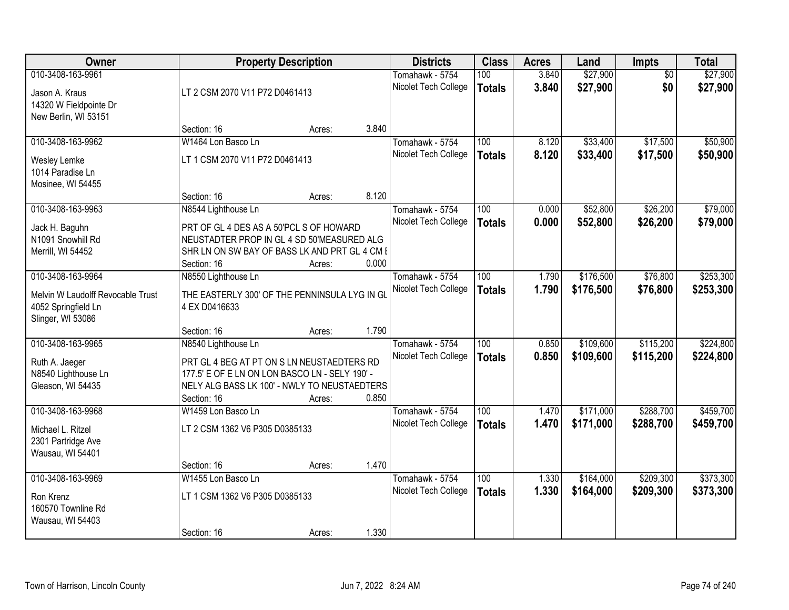| Owner                                                                                 |                                                                                                                                                                                    | <b>Property Description</b> |       | <b>Districts</b>                        | <b>Class</b>         | <b>Acres</b>   | Land                   | Impts                  | <b>Total</b>           |
|---------------------------------------------------------------------------------------|------------------------------------------------------------------------------------------------------------------------------------------------------------------------------------|-----------------------------|-------|-----------------------------------------|----------------------|----------------|------------------------|------------------------|------------------------|
| 010-3408-163-9961<br>Jason A. Kraus<br>14320 W Fieldpointe Dr<br>New Berlin, WI 53151 | LT 2 CSM 2070 V11 P72 D0461413                                                                                                                                                     |                             |       | Tomahawk - 5754<br>Nicolet Tech College | 100<br><b>Totals</b> | 3.840<br>3.840 | \$27,900<br>\$27,900   | $\overline{50}$<br>\$0 | \$27,900<br>\$27,900   |
|                                                                                       | Section: 16                                                                                                                                                                        | Acres:                      | 3.840 |                                         |                      |                |                        |                        |                        |
| 010-3408-163-9962<br>Wesley Lemke<br>1014 Paradise Ln<br>Mosinee, WI 54455            | W1464 Lon Basco Ln<br>LT 1 CSM 2070 V11 P72 D0461413<br>Section: 16                                                                                                                |                             | 8.120 | Tomahawk - 5754<br>Nicolet Tech College | 100<br><b>Totals</b> | 8.120<br>8.120 | \$33,400<br>\$33,400   | \$17,500<br>\$17,500   | \$50,900<br>\$50,900   |
| 010-3408-163-9963                                                                     | N8544 Lighthouse Ln                                                                                                                                                                | Acres:                      |       | Tomahawk - 5754                         | 100                  | 0.000          | \$52,800               | \$26,200               | \$79,000               |
| Jack H. Baguhn<br>N1091 Snowhill Rd<br>Merrill, WI 54452                              | PRT OF GL 4 DES AS A 50'PCL S OF HOWARD<br>NEUSTADTER PROP IN GL 4 SD 50'MEASURED ALG<br>SHR LN ON SW BAY OF BASS LK AND PRT GL 4 CM I<br>Section: 16                              | Acres:                      | 0.000 | Nicolet Tech College                    | <b>Totals</b>        | 0.000          | \$52,800               | \$26,200               | \$79,000               |
| 010-3408-163-9964                                                                     | N8550 Lighthouse Ln                                                                                                                                                                |                             |       | Tomahawk - 5754                         | 100                  | 1.790          | \$176,500              | \$76,800               | \$253,300              |
| Melvin W Laudolff Revocable Trust<br>4052 Springfield Ln<br>Slinger, WI 53086         | THE EASTERLY 300' OF THE PENNINSULA LYG IN GL<br>4 EX D0416633                                                                                                                     |                             |       | Nicolet Tech College                    | <b>Totals</b>        | 1.790          | \$176,500              | \$76,800               | \$253,300              |
|                                                                                       | Section: 16                                                                                                                                                                        | Acres:                      | 1.790 |                                         |                      |                |                        |                        |                        |
| 010-3408-163-9965<br>Ruth A. Jaeger<br>N8540 Lighthouse Ln<br>Gleason, WI 54435       | N8540 Lighthouse Ln<br>PRT GL 4 BEG AT PT ON S LN NEUSTAEDTERS RD<br>177.5' E OF E LN ON LON BASCO LN - SELY 190' -<br>NELY ALG BASS LK 100' - NWLY TO NEUSTAEDTERS<br>Section: 16 | Acres:                      | 0.850 | Tomahawk - 5754<br>Nicolet Tech College | 100<br><b>Totals</b> | 0.850<br>0.850 | \$109,600<br>\$109,600 | \$115,200<br>\$115,200 | \$224,800<br>\$224,800 |
| 010-3408-163-9968<br>Michael L. Ritzel<br>2301 Partridge Ave<br>Wausau, WI 54401      | W1459 Lon Basco Ln<br>LT 2 CSM 1362 V6 P305 D0385133<br>Section: 16                                                                                                                |                             | 1.470 | Tomahawk - 5754<br>Nicolet Tech College | 100<br><b>Totals</b> | 1.470<br>1.470 | \$171,000<br>\$171,000 | \$288,700<br>\$288,700 | \$459,700<br>\$459,700 |
| 010-3408-163-9969                                                                     | W1455 Lon Basco Ln                                                                                                                                                                 | Acres:                      |       | Tomahawk - 5754                         | 100                  | 1.330          | \$164,000              | \$209,300              | \$373,300              |
| Ron Krenz<br>160570 Townline Rd<br>Wausau, WI 54403                                   | LT 1 CSM 1362 V6 P305 D0385133<br>Section: 16                                                                                                                                      | Acres:                      | 1.330 | Nicolet Tech College                    | <b>Totals</b>        | 1.330          | \$164,000              | \$209,300              | \$373,300              |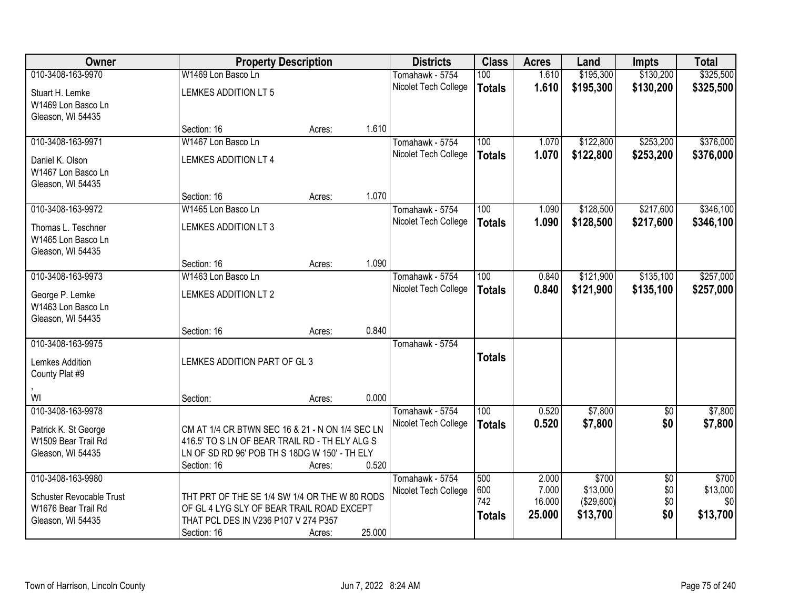| Owner                    | <b>Property Description</b>                     |        |        | <b>Districts</b>     | <b>Class</b>     | <b>Acres</b> | Land       | <b>Impts</b>    | <b>Total</b> |
|--------------------------|-------------------------------------------------|--------|--------|----------------------|------------------|--------------|------------|-----------------|--------------|
| 010-3408-163-9970        | W1469 Lon Basco Ln                              |        |        | Tomahawk - 5754      | 100              | 1.610        | \$195,300  | \$130,200       | \$325,500    |
| Stuart H. Lemke          | <b>LEMKES ADDITION LT 5</b>                     |        |        | Nicolet Tech College | <b>Totals</b>    | 1.610        | \$195,300  | \$130,200       | \$325,500    |
| W1469 Lon Basco Ln       |                                                 |        |        |                      |                  |              |            |                 |              |
| Gleason, WI 54435        |                                                 |        |        |                      |                  |              |            |                 |              |
|                          | Section: 16                                     | Acres: | 1.610  |                      |                  |              |            |                 |              |
| 010-3408-163-9971        | W1467 Lon Basco Ln                              |        |        | Tomahawk - 5754      | 100              | 1.070        | \$122,800  | \$253,200       | \$376,000    |
| Daniel K. Olson          | LEMKES ADDITION LT 4                            |        |        | Nicolet Tech College | <b>Totals</b>    | 1.070        | \$122,800  | \$253,200       | \$376,000    |
| W1467 Lon Basco Ln       |                                                 |        |        |                      |                  |              |            |                 |              |
| Gleason, WI 54435        |                                                 |        |        |                      |                  |              |            |                 |              |
|                          | Section: 16                                     | Acres: | 1.070  |                      |                  |              |            |                 |              |
| 010-3408-163-9972        | W1465 Lon Basco Ln                              |        |        | Tomahawk - 5754      | 100              | 1.090        | \$128,500  | \$217,600       | \$346,100    |
| Thomas L. Teschner       | <b>LEMKES ADDITION LT 3</b>                     |        |        | Nicolet Tech College | <b>Totals</b>    | 1.090        | \$128,500  | \$217,600       | \$346,100    |
| W1465 Lon Basco Ln       |                                                 |        |        |                      |                  |              |            |                 |              |
| Gleason, WI 54435        |                                                 |        |        |                      |                  |              |            |                 |              |
|                          | Section: 16                                     | Acres: | 1.090  |                      |                  |              |            |                 |              |
| 010-3408-163-9973        | W1463 Lon Basco Ln                              |        |        | Tomahawk - 5754      | 100              | 0.840        | \$121,900  | \$135,100       | \$257,000    |
| George P. Lemke          | <b>LEMKES ADDITION LT 2</b>                     |        |        | Nicolet Tech College | <b>Totals</b>    | 0.840        | \$121,900  | \$135,100       | \$257,000    |
| W1463 Lon Basco Ln       |                                                 |        |        |                      |                  |              |            |                 |              |
| Gleason, WI 54435        |                                                 |        |        |                      |                  |              |            |                 |              |
|                          | Section: 16                                     | Acres: | 0.840  |                      |                  |              |            |                 |              |
| 010-3408-163-9975        |                                                 |        |        | Tomahawk - 5754      |                  |              |            |                 |              |
| Lemkes Addition          | LEMKES ADDITION PART OF GL 3                    |        |        |                      | <b>Totals</b>    |              |            |                 |              |
| County Plat #9           |                                                 |        |        |                      |                  |              |            |                 |              |
|                          |                                                 |        |        |                      |                  |              |            |                 |              |
| WI                       | Section:                                        | Acres: | 0.000  |                      |                  |              |            |                 |              |
| 010-3408-163-9978        |                                                 |        |        | Tomahawk - 5754      | $\overline{100}$ | 0.520        | \$7,800    | $\overline{60}$ | \$7,800      |
| Patrick K. St George     | CM AT 1/4 CR BTWN SEC 16 & 21 - N ON 1/4 SEC LN |        |        | Nicolet Tech College | <b>Totals</b>    | 0.520        | \$7,800    | \$0             | \$7,800      |
| W1509 Bear Trail Rd      | 416.5' TO S LN OF BEAR TRAIL RD - TH ELY ALG S  |        |        |                      |                  |              |            |                 |              |
| Gleason, WI 54435        | LN OF SD RD 96' POB TH S 18DG W 150' - TH ELY   |        |        |                      |                  |              |            |                 |              |
|                          | Section: 16                                     | Acres: | 0.520  |                      |                  |              |            |                 |              |
| 010-3408-163-9980        |                                                 |        |        | Tomahawk - 5754      | 500              | 2.000        | \$700      | $\overline{30}$ | \$700        |
| Schuster Revocable Trust | THT PRT OF THE SE 1/4 SW 1/4 OR THE W 80 RODS   |        |        | Nicolet Tech College | 600              | 7.000        | \$13,000   | \$0             | \$13,000     |
| W1676 Bear Trail Rd      | OF GL 4 LYG SLY OF BEAR TRAIL ROAD EXCEPT       |        |        |                      | 742              | 16.000       | (\$29,600) | \$0             | \$0          |
| Gleason, WI 54435        | THAT PCL DES IN V236 P107 V 274 P357            |        |        |                      | <b>Totals</b>    | 25.000       | \$13,700   | \$0             | \$13,700     |
|                          | Section: 16                                     | Acres: | 25.000 |                      |                  |              |            |                 |              |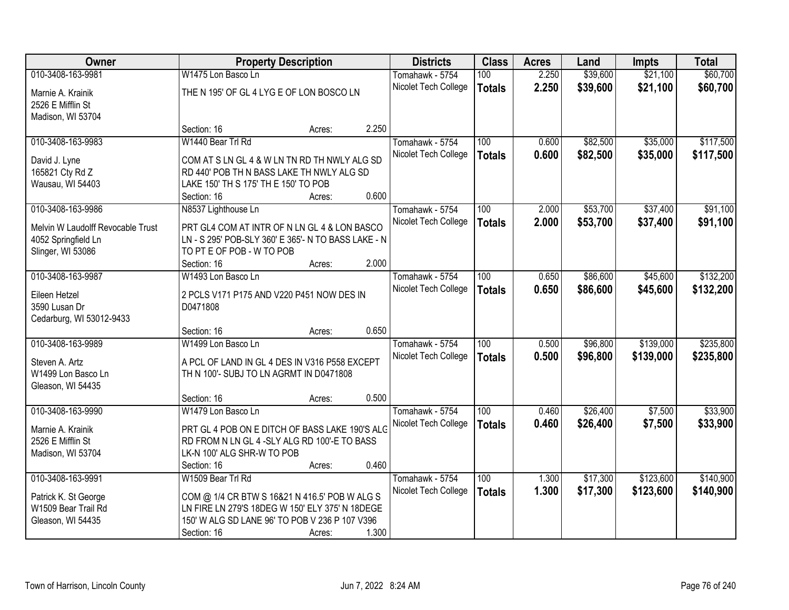| Owner                             | <b>Property Description</b>                           |                 | <b>Districts</b>                        | <b>Class</b>     | <b>Acres</b>   | Land     | <b>Impts</b> | <b>Total</b> |
|-----------------------------------|-------------------------------------------------------|-----------------|-----------------------------------------|------------------|----------------|----------|--------------|--------------|
| 010-3408-163-9981                 | W1475 Lon Basco Ln                                    |                 | Tomahawk - 5754                         | 100              | 2.250          | \$39,600 | \$21,100     | \$60,700     |
| Marnie A. Krainik                 | THE N 195' OF GL 4 LYG E OF LON BOSCO LN              |                 | Nicolet Tech College                    | <b>Totals</b>    | 2.250          | \$39,600 | \$21,100     | \$60,700     |
| 2526 E Mifflin St                 |                                                       |                 |                                         |                  |                |          |              |              |
| Madison, WI 53704                 |                                                       |                 |                                         |                  |                |          |              |              |
|                                   | Section: 16                                           | 2.250<br>Acres: |                                         |                  |                |          |              |              |
| 010-3408-163-9983                 | W1440 Bear Trl Rd                                     |                 | Tomahawk - 5754                         | 100              | 0.600          | \$82,500 | \$35,000     | \$117,500    |
| David J. Lyne                     | COM AT S LN GL 4 & W LN TN RD TH NWLY ALG SD          |                 | Nicolet Tech College                    | <b>Totals</b>    | 0.600          | \$82,500 | \$35,000     | \$117,500    |
| 165821 Cty Rd Z                   | RD 440' POB TH N BASS LAKE TH NWLY ALG SD             |                 |                                         |                  |                |          |              |              |
| Wausau, WI 54403                  | LAKE 150' TH S 175' TH E 150' TO POB                  |                 |                                         |                  |                |          |              |              |
|                                   | Section: 16                                           | 0.600<br>Acres: |                                         |                  |                |          |              |              |
| 010-3408-163-9986                 | N8537 Lighthouse Ln                                   |                 | Tomahawk - 5754                         | 100              | 2.000          | \$53,700 | \$37,400     | \$91,100     |
| Melvin W Laudolff Revocable Trust | PRT GL4 COM AT INTR OF N LN GL 4 & LON BASCO          |                 | Nicolet Tech College                    | <b>Totals</b>    | 2.000          | \$53,700 | \$37,400     | \$91,100     |
| 4052 Springfield Ln               | LN - S 295' POB-SLY 360' E 365'- N TO BASS LAKE - N   |                 |                                         |                  |                |          |              |              |
| Slinger, WI 53086                 | TO PT E OF POB - W TO POB                             |                 |                                         |                  |                |          |              |              |
|                                   | Section: 16                                           | 2.000<br>Acres: |                                         |                  |                |          |              |              |
| 010-3408-163-9987                 | W1493 Lon Basco Ln                                    |                 | Tomahawk - 5754                         | 100              | 0.650          | \$86,600 | \$45,600     | \$132,200    |
|                                   |                                                       |                 | Nicolet Tech College                    | <b>Totals</b>    | 0.650          | \$86,600 | \$45,600     | \$132,200    |
| Eileen Hetzel<br>3590 Lusan Dr    | 2 PCLS V171 P175 AND V220 P451 NOW DES IN<br>D0471808 |                 |                                         |                  |                |          |              |              |
| Cedarburg, WI 53012-9433          |                                                       |                 |                                         |                  |                |          |              |              |
|                                   | Section: 16                                           | 0.650<br>Acres: |                                         |                  |                |          |              |              |
| 010-3408-163-9989                 | W1499 Lon Basco Ln                                    |                 | Tomahawk - 5754                         | $\overline{100}$ | 0.500          | \$96,800 | \$139,000    | \$235,800    |
|                                   |                                                       |                 | Nicolet Tech College                    | <b>Totals</b>    | 0.500          | \$96,800 | \$139,000    | \$235,800    |
| Steven A. Artz                    | A PCL OF LAND IN GL 4 DES IN V316 P558 EXCEPT         |                 |                                         |                  |                |          |              |              |
| W1499 Lon Basco Ln                | TH N 100'- SUBJ TO LN AGRMT IN D0471808               |                 |                                         |                  |                |          |              |              |
| Gleason, WI 54435                 | Section: 16                                           | 0.500<br>Acres: |                                         |                  |                |          |              |              |
| 010-3408-163-9990                 | W1479 Lon Basco Ln                                    |                 | Tomahawk - 5754                         | 100              | 0.460          | \$26,400 | \$7,500      | \$33,900     |
|                                   |                                                       |                 | Nicolet Tech College                    | <b>Totals</b>    | 0.460          | \$26,400 | \$7,500      | \$33,900     |
| Marnie A. Krainik                 | PRT GL 4 POB ON E DITCH OF BASS LAKE 190'S ALC        |                 |                                         |                  |                |          |              |              |
| 2526 E Mifflin St                 | RD FROM N LN GL 4 -SLY ALG RD 100'-E TO BASS          |                 |                                         |                  |                |          |              |              |
| Madison, WI 53704                 | LK-N 100' ALG SHR-W TO POB                            |                 |                                         |                  |                |          |              |              |
| 010-3408-163-9991                 | Section: 16<br>W1509 Bear Trl Rd                      | 0.460<br>Acres: |                                         | 100              |                | \$17,300 | \$123,600    | \$140,900    |
|                                   |                                                       |                 | Tomahawk - 5754<br>Nicolet Tech College |                  | 1.300<br>1.300 |          |              |              |
| Patrick K. St George              | COM @ 1/4 CR BTW S 16&21 N 416.5' POB W ALG S         |                 |                                         | <b>Totals</b>    |                | \$17,300 | \$123,600    | \$140,900    |
| W1509 Bear Trail Rd               | LN FIRE LN 279'S 18DEG W 150' ELY 375' N 18DEGE       |                 |                                         |                  |                |          |              |              |
| Gleason, WI 54435                 | 150' W ALG SD LANE 96' TO POB V 236 P 107 V396        |                 |                                         |                  |                |          |              |              |
|                                   | Section: 16                                           | 1.300<br>Acres: |                                         |                  |                |          |              |              |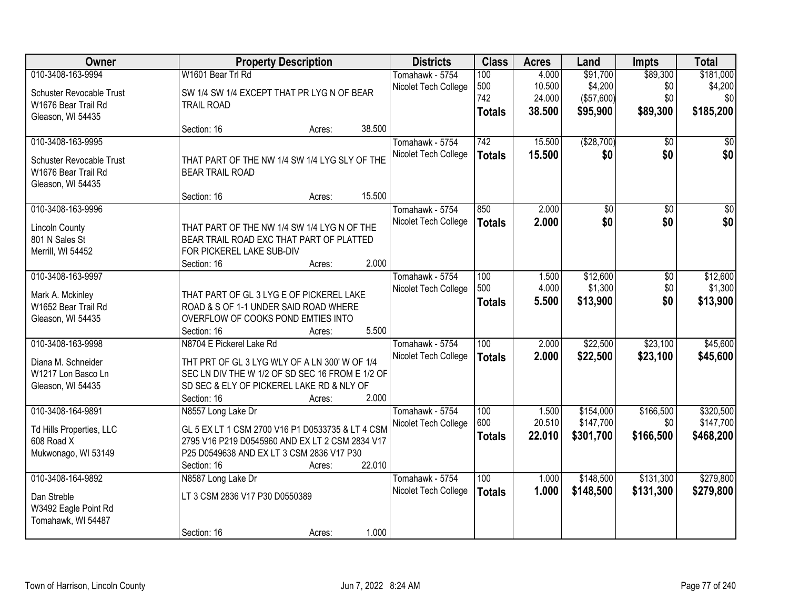| Owner                                  |                                                  | <b>Property Description</b> |        | <b>Districts</b>     | <b>Class</b>     | <b>Acres</b> | Land            | <b>Impts</b>    | <b>Total</b>    |
|----------------------------------------|--------------------------------------------------|-----------------------------|--------|----------------------|------------------|--------------|-----------------|-----------------|-----------------|
| 010-3408-163-9994                      | W1601 Bear Trl Rd                                |                             |        | Tomahawk - 5754      | 100              | 4.000        | \$91,700        | \$89,300        | \$181,000       |
| Schuster Revocable Trust               | SW 1/4 SW 1/4 EXCEPT THAT PR LYG N OF BEAR       |                             |        | Nicolet Tech College | 500              | 10.500       | \$4,200         | \$0             | \$4,200         |
| W1676 Bear Trail Rd                    | <b>TRAIL ROAD</b>                                |                             |        |                      | 742              | 24.000       | (\$57,600)      | \$0             | \$0             |
| Gleason, WI 54435                      |                                                  |                             |        |                      | <b>Totals</b>    | 38.500       | \$95,900        | \$89,300        | \$185,200       |
|                                        | Section: 16                                      | Acres:                      | 38.500 |                      |                  |              |                 |                 |                 |
| 010-3408-163-9995                      |                                                  |                             |        | Tomahawk - 5754      | 742              | 15.500       | (\$28,700)      | $\overline{30}$ | $\overline{50}$ |
| Schuster Revocable Trust               | THAT PART OF THE NW 1/4 SW 1/4 LYG SLY OF THE    |                             |        | Nicolet Tech College | <b>Totals</b>    | 15.500       | \$0             | \$0             | \$0             |
| W1676 Bear Trail Rd                    | <b>BEAR TRAIL ROAD</b>                           |                             |        |                      |                  |              |                 |                 |                 |
| Gleason, WI 54435                      |                                                  |                             |        |                      |                  |              |                 |                 |                 |
|                                        | Section: 16                                      | Acres:                      | 15.500 |                      |                  |              |                 |                 |                 |
| 010-3408-163-9996                      |                                                  |                             |        | Tomahawk - 5754      | 850              | 2.000        | $\overline{60}$ | $\overline{50}$ | $\overline{50}$ |
| <b>Lincoln County</b>                  | THAT PART OF THE NW 1/4 SW 1/4 LYG N OF THE      |                             |        | Nicolet Tech College | <b>Totals</b>    | 2.000        | \$0             | \$0             | \$0             |
| 801 N Sales St                         | BEAR TRAIL ROAD EXC THAT PART OF PLATTED         |                             |        |                      |                  |              |                 |                 |                 |
| Merrill, WI 54452                      | FOR PICKEREL LAKE SUB-DIV                        |                             |        |                      |                  |              |                 |                 |                 |
|                                        | Section: 16                                      | Acres:                      | 2.000  |                      |                  |              |                 |                 |                 |
| 010-3408-163-9997                      |                                                  |                             |        | Tomahawk - 5754      | 100              | 1.500        | \$12,600        | $\overline{50}$ | \$12,600        |
| Mark A. Mckinley                       | THAT PART OF GL 3 LYG E OF PICKEREL LAKE         |                             |        | Nicolet Tech College | 500              | 4.000        | \$1,300         | \$0             | \$1,300         |
| W1652 Bear Trail Rd                    | ROAD & S OF 1-1 UNDER SAID ROAD WHERE            |                             |        |                      | <b>Totals</b>    | 5.500        | \$13,900        | \$0             | \$13,900        |
| Gleason, WI 54435                      | OVERFLOW OF COOKS POND EMTIES INTO               |                             |        |                      |                  |              |                 |                 |                 |
|                                        | Section: 16                                      | Acres:                      | 5.500  |                      |                  |              |                 |                 |                 |
| 010-3408-163-9998                      | N8704 E Pickerel Lake Rd                         |                             |        | Tomahawk - 5754      | $\overline{100}$ | 2.000        | \$22,500        | \$23,100        | \$45,600        |
| Diana M. Schneider                     | THT PRT OF GL 3 LYG WLY OF A LN 300' W OF 1/4    |                             |        | Nicolet Tech College | <b>Totals</b>    | 2.000        | \$22,500        | \$23,100        | \$45,600        |
| W1217 Lon Basco Ln                     | SEC LN DIV THE W 1/2 OF SD SEC 16 FROM E 1/2 OF  |                             |        |                      |                  |              |                 |                 |                 |
| Gleason, WI 54435                      | SD SEC & ELY OF PICKEREL LAKE RD & NLY OF        |                             |        |                      |                  |              |                 |                 |                 |
|                                        | Section: 16                                      | Acres:                      | 2.000  |                      |                  |              |                 |                 |                 |
| 010-3408-164-9891                      | N8557 Long Lake Dr                               |                             |        | Tomahawk - 5754      | 100              | 1.500        | \$154,000       | \$166,500       | \$320,500       |
|                                        | GL 5 EX LT 1 CSM 2700 V16 P1 D0533735 & LT 4 CSM |                             |        | Nicolet Tech College | 600              | 20.510       | \$147,700       | \$0             | \$147,700       |
| Td Hills Properties, LLC<br>608 Road X | 2795 V16 P219 D0545960 AND EX LT 2 CSM 2834 V17  |                             |        |                      | <b>Totals</b>    | 22.010       | \$301,700       | \$166,500       | \$468,200       |
| Mukwonago, WI 53149                    | P25 D0549638 AND EX LT 3 CSM 2836 V17 P30        |                             |        |                      |                  |              |                 |                 |                 |
|                                        | Section: 16                                      | Acres:                      | 22.010 |                      |                  |              |                 |                 |                 |
| 010-3408-164-9892                      | N8587 Long Lake Dr                               |                             |        | Tomahawk - 5754      | 100              | 1.000        | \$148,500       | \$131,300       | \$279,800       |
| Dan Streble                            | LT 3 CSM 2836 V17 P30 D0550389                   |                             |        | Nicolet Tech College | <b>Totals</b>    | 1.000        | \$148,500       | \$131,300       | \$279,800       |
| W3492 Eagle Point Rd                   |                                                  |                             |        |                      |                  |              |                 |                 |                 |
| Tomahawk, WI 54487                     |                                                  |                             |        |                      |                  |              |                 |                 |                 |
|                                        | Section: 16                                      | Acres:                      | 1.000  |                      |                  |              |                 |                 |                 |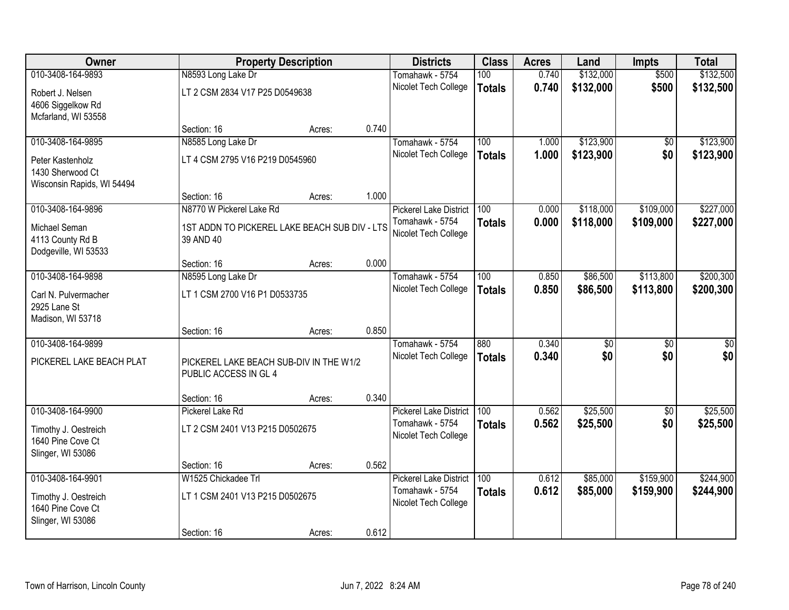| Owner                                |                                               | <b>Property Description</b> |       | <b>Districts</b>                        | <b>Class</b>  | <b>Acres</b> | Land            | <b>Impts</b>    | <b>Total</b>    |
|--------------------------------------|-----------------------------------------------|-----------------------------|-------|-----------------------------------------|---------------|--------------|-----------------|-----------------|-----------------|
| 010-3408-164-9893                    | N8593 Long Lake Dr                            |                             |       | Tomahawk - 5754                         | 100           | 0.740        | \$132,000       | \$500           | \$132,500       |
| Robert J. Nelsen                     | LT 2 CSM 2834 V17 P25 D0549638                |                             |       | Nicolet Tech College                    | <b>Totals</b> | 0.740        | \$132,000       | \$500           | \$132,500       |
| 4606 Siggelkow Rd                    |                                               |                             |       |                                         |               |              |                 |                 |                 |
| Mcfarland, WI 53558                  |                                               |                             |       |                                         |               |              |                 |                 |                 |
|                                      | Section: 16                                   | Acres:                      | 0.740 |                                         |               |              |                 |                 |                 |
| 010-3408-164-9895                    | N8585 Long Lake Dr                            |                             |       | Tomahawk - 5754                         | 100           | 1.000        | \$123,900       | $\overline{50}$ | \$123,900       |
| Peter Kastenholz                     | LT 4 CSM 2795 V16 P219 D0545960               |                             |       | Nicolet Tech College                    | <b>Totals</b> | 1.000        | \$123,900       | \$0             | \$123,900       |
| 1430 Sherwood Ct                     |                                               |                             |       |                                         |               |              |                 |                 |                 |
| Wisconsin Rapids, WI 54494           |                                               |                             |       |                                         |               |              |                 |                 |                 |
| 010-3408-164-9896                    | Section: 16<br>N8770 W Pickerel Lake Rd       | Acres:                      | 1.000 | <b>Pickerel Lake District</b>           | 100           | 0.000        | \$118,000       | \$109,000       | \$227,000       |
|                                      |                                               |                             |       | Tomahawk - 5754                         | <b>Totals</b> | 0.000        | \$118,000       | \$109,000       | \$227,000       |
| Michael Seman                        | 1ST ADDN TO PICKEREL LAKE BEACH SUB DIV - LTS |                             |       | Nicolet Tech College                    |               |              |                 |                 |                 |
| 4113 County Rd B                     | 39 AND 40                                     |                             |       |                                         |               |              |                 |                 |                 |
| Dodgeville, WI 53533                 | Section: 16                                   | Acres:                      | 0.000 |                                         |               |              |                 |                 |                 |
| 010-3408-164-9898                    | N8595 Long Lake Dr                            |                             |       | Tomahawk - 5754                         | 100           | 0.850        | \$86,500        | \$113,800       | \$200,300       |
|                                      |                                               |                             |       | Nicolet Tech College                    | <b>Totals</b> | 0.850        | \$86,500        | \$113,800       | \$200,300       |
| Carl N. Pulvermacher<br>2925 Lane St | LT 1 CSM 2700 V16 P1 D0533735                 |                             |       |                                         |               |              |                 |                 |                 |
| Madison, WI 53718                    |                                               |                             |       |                                         |               |              |                 |                 |                 |
|                                      | Section: 16                                   | Acres:                      | 0.850 |                                         |               |              |                 |                 |                 |
| 010-3408-164-9899                    |                                               |                             |       | Tomahawk - 5754                         | 880           | 0.340        | $\overline{50}$ | $\overline{50}$ | $\overline{50}$ |
| PICKEREL LAKE BEACH PLAT             | PICKEREL LAKE BEACH SUB-DIV IN THE W1/2       |                             |       | Nicolet Tech College                    | <b>Totals</b> | 0.340        | \$0             | \$0             | \$0             |
|                                      | PUBLIC ACCESS IN GL 4                         |                             |       |                                         |               |              |                 |                 |                 |
|                                      |                                               |                             |       |                                         |               |              |                 |                 |                 |
|                                      | Section: 16                                   | Acres:                      | 0.340 |                                         |               |              |                 |                 |                 |
| 010-3408-164-9900                    | Pickerel Lake Rd                              |                             |       | <b>Pickerel Lake District</b>           | 100           | 0.562        | \$25,500        | $\overline{50}$ | \$25,500        |
| Timothy J. Oestreich                 | LT 2 CSM 2401 V13 P215 D0502675               |                             |       | Tomahawk - 5754                         | <b>Totals</b> | 0.562        | \$25,500        | \$0             | \$25,500        |
| 1640 Pine Cove Ct                    |                                               |                             |       | Nicolet Tech College                    |               |              |                 |                 |                 |
| Slinger, WI 53086                    |                                               |                             |       |                                         |               |              |                 |                 |                 |
|                                      | Section: 16                                   | Acres:                      | 0.562 |                                         |               |              |                 |                 |                 |
| 010-3408-164-9901                    | W1525 Chickadee Trl                           |                             |       | <b>Pickerel Lake District</b>           | 100           | 0.612        | \$85,000        | \$159,900       | \$244,900       |
| Timothy J. Oestreich                 | LT 1 CSM 2401 V13 P215 D0502675               |                             |       | Tomahawk - 5754<br>Nicolet Tech College | <b>Totals</b> | 0.612        | \$85,000        | \$159,900       | \$244,900       |
| 1640 Pine Cove Ct                    |                                               |                             |       |                                         |               |              |                 |                 |                 |
| Slinger, WI 53086                    |                                               |                             |       |                                         |               |              |                 |                 |                 |
|                                      | Section: 16                                   | Acres:                      | 0.612 |                                         |               |              |                 |                 |                 |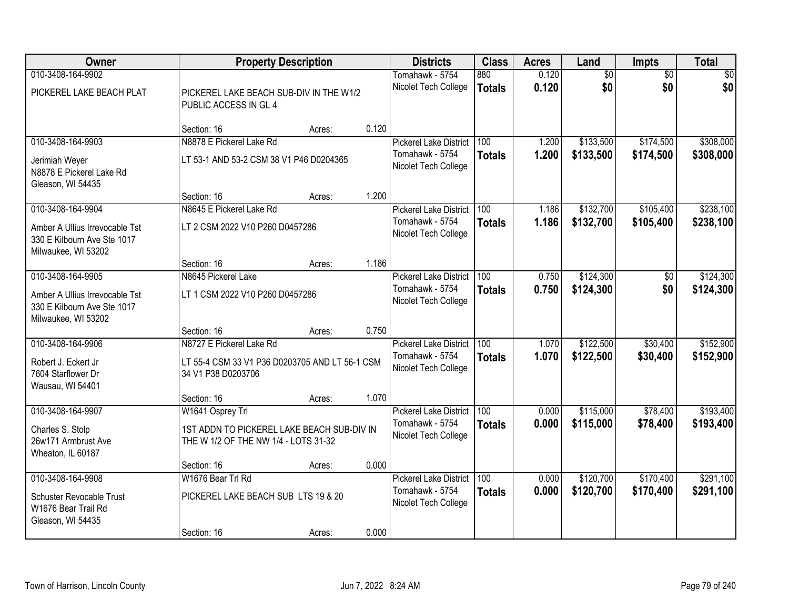| Owner                                                                                                     |                                                                                                  | <b>Property Description</b> |       | <b>Districts</b>                                                         | <b>Class</b>                      | <b>Acres</b>   | Land                   | <b>Impts</b>           | <b>Total</b>           |
|-----------------------------------------------------------------------------------------------------------|--------------------------------------------------------------------------------------------------|-----------------------------|-------|--------------------------------------------------------------------------|-----------------------------------|----------------|------------------------|------------------------|------------------------|
| 010-3408-164-9902<br>PICKEREL LAKE BEACH PLAT                                                             | PICKEREL LAKE BEACH SUB-DIV IN THE W1/2<br>PUBLIC ACCESS IN GL 4                                 |                             |       | Tomahawk - 5754<br>Nicolet Tech College                                  | 880<br><b>Totals</b>              | 0.120<br>0.120 | $\overline{50}$<br>\$0 | $\overline{50}$<br>\$0 | \$0<br>\$0             |
|                                                                                                           | Section: 16                                                                                      | Acres:                      | 0.120 |                                                                          |                                   |                |                        |                        |                        |
| 010-3408-164-9903<br>Jerimiah Weyer<br>N8878 E Pickerel Lake Rd<br>Gleason, WI 54435                      | N8878 E Pickerel Lake Rd<br>LT 53-1 AND 53-2 CSM 38 V1 P46 D0204365                              |                             |       | <b>Pickerel Lake District</b><br>Tomahawk - 5754<br>Nicolet Tech College | 100<br><b>Totals</b>              | 1.200<br>1.200 | \$133,500<br>\$133,500 | \$174,500<br>\$174,500 | \$308,000<br>\$308,000 |
| 010-3408-164-9904                                                                                         | Section: 16<br>N8645 E Pickerel Lake Rd                                                          | Acres:                      | 1.200 |                                                                          |                                   | 1.186          |                        | \$105,400              | \$238,100              |
| Amber A Ullius Irrevocable Tst<br>330 E Kilbourn Ave Ste 1017<br>Milwaukee, WI 53202                      | LT 2 CSM 2022 V10 P260 D0457286                                                                  |                             |       | <b>Pickerel Lake District</b><br>Tomahawk - 5754<br>Nicolet Tech College | 100<br><b>Totals</b>              | 1.186          | \$132,700<br>\$132,700 | \$105,400              | \$238,100              |
|                                                                                                           | Section: 16                                                                                      | Acres:                      | 1.186 |                                                                          |                                   |                |                        |                        |                        |
| 010-3408-164-9905<br>Amber A Ullius Irrevocable Tst<br>330 E Kilbourn Ave Ste 1017<br>Milwaukee, WI 53202 | N8645 Pickerel Lake<br>LT 1 CSM 2022 V10 P260 D0457286                                           |                             |       | <b>Pickerel Lake District</b><br>Tomahawk - 5754<br>Nicolet Tech College | 100<br><b>Totals</b>              | 0.750<br>0.750 | \$124,300<br>\$124,300 | \$0<br>\$0             | \$124,300<br>\$124,300 |
|                                                                                                           | Section: 16                                                                                      | Acres:                      | 0.750 |                                                                          |                                   |                |                        |                        |                        |
| 010-3408-164-9906<br>Robert J. Eckert Jr<br>7604 Starflower Dr<br>Wausau, WI 54401                        | N8727 E Pickerel Lake Rd<br>LT 55-4 CSM 33 V1 P36 D0203705 AND LT 56-1 CSM<br>34 V1 P38 D0203706 |                             |       | <b>Pickerel Lake District</b><br>Tomahawk - 5754<br>Nicolet Tech College | $\overline{100}$<br><b>Totals</b> | 1.070<br>1.070 | \$122,500<br>\$122,500 | \$30,400<br>\$30,400   | \$152,900<br>\$152,900 |
| 010-3408-164-9907                                                                                         | Section: 16<br>W1641 Osprey Trl                                                                  | Acres:                      | 1.070 | <b>Pickerel Lake District</b>                                            | 100                               | 0.000          | \$115,000              | \$78,400               | \$193,400              |
| Charles S. Stolp<br>26w171 Armbrust Ave<br>Wheaton, IL 60187                                              | 1ST ADDN TO PICKEREL LAKE BEACH SUB-DIV IN<br>THE W 1/2 OF THE NW 1/4 - LOTS 31-32               |                             |       | Tomahawk - 5754<br>Nicolet Tech College                                  | <b>Totals</b>                     | 0.000          | \$115,000              | \$78,400               | \$193,400              |
|                                                                                                           | Section: 16                                                                                      | Acres:                      | 0.000 |                                                                          |                                   |                |                        |                        |                        |
| 010-3408-164-9908<br><b>Schuster Revocable Trust</b><br>W1676 Bear Trail Rd<br>Gleason, WI 54435          | W1676 Bear Trl Rd<br>PICKEREL LAKE BEACH SUB LTS 19 & 20<br>Section: 16                          | Acres:                      | 0.000 | <b>Pickerel Lake District</b><br>Tomahawk - 5754<br>Nicolet Tech College | 100<br><b>Totals</b>              | 0.000<br>0.000 | \$120,700<br>\$120,700 | \$170,400<br>\$170,400 | \$291,100<br>\$291,100 |
|                                                                                                           |                                                                                                  |                             |       |                                                                          |                                   |                |                        |                        |                        |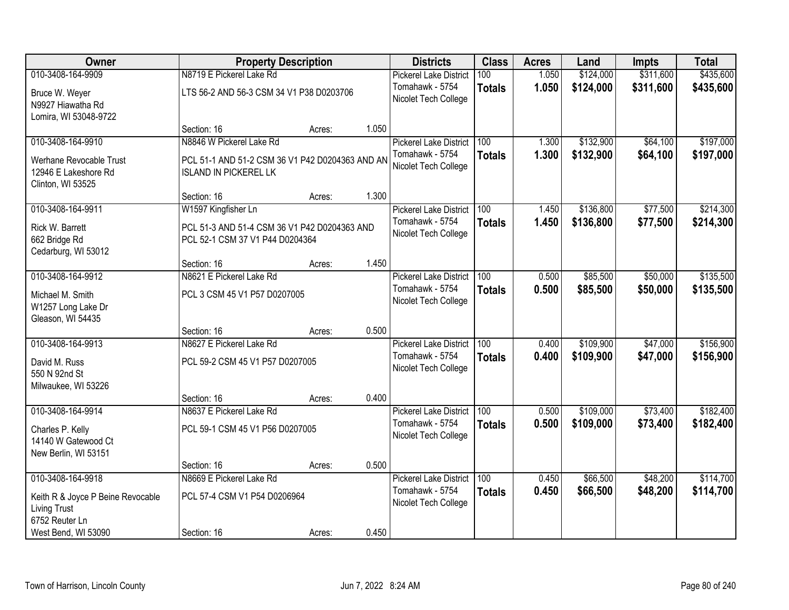| Owner                                                                      |                                 | <b>Property Description</b>                     |       | <b>Districts</b>                        | <b>Class</b>     | <b>Acres</b> | Land      | <b>Impts</b> | <b>Total</b> |
|----------------------------------------------------------------------------|---------------------------------|-------------------------------------------------|-------|-----------------------------------------|------------------|--------------|-----------|--------------|--------------|
| 010-3408-164-9909                                                          | N8719 E Pickerel Lake Rd        |                                                 |       | <b>Pickerel Lake District</b>           | 100              | 1.050        | \$124,000 | \$311,600    | \$435,600    |
| Bruce W. Weyer<br>N9927 Hiawatha Rd<br>Lomira, WI 53048-9722               |                                 | LTS 56-2 AND 56-3 CSM 34 V1 P38 D0203706        |       | Tomahawk - 5754<br>Nicolet Tech College | <b>Totals</b>    | 1.050        | \$124,000 | \$311,600    | \$435,600    |
|                                                                            | Section: 16                     | Acres:                                          | 1.050 |                                         |                  |              |           |              |              |
| 010-3408-164-9910                                                          | N8846 W Pickerel Lake Rd        |                                                 |       | <b>Pickerel Lake District</b>           | 100              | 1.300        | \$132,900 | \$64,100     | \$197,000    |
| Werhane Revocable Trust<br>12946 E Lakeshore Rd<br>Clinton, WI 53525       | <b>ISLAND IN PICKEREL LK</b>    | PCL 51-1 AND 51-2 CSM 36 V1 P42 D0204363 AND AN |       | Tomahawk - 5754<br>Nicolet Tech College | <b>Totals</b>    | 1.300        | \$132,900 | \$64,100     | \$197,000    |
|                                                                            | Section: 16                     | Acres:                                          | 1.300 |                                         |                  |              |           |              |              |
| 010-3408-164-9911                                                          | W1597 Kingfisher Ln             |                                                 |       | <b>Pickerel Lake District</b>           | 100              | 1.450        | \$136,800 | \$77,500     | \$214,300    |
| Rick W. Barrett<br>662 Bridge Rd<br>Cedarburg, WI 53012                    | PCL 52-1 CSM 37 V1 P44 D0204364 | PCL 51-3 AND 51-4 CSM 36 V1 P42 D0204363 AND    |       | Tomahawk - 5754<br>Nicolet Tech College | <b>Totals</b>    | 1.450        | \$136,800 | \$77,500     | \$214,300    |
|                                                                            | Section: 16                     | Acres:                                          | 1.450 |                                         |                  |              |           |              |              |
| 010-3408-164-9912                                                          | N8621 E Pickerel Lake Rd        |                                                 |       | <b>Pickerel Lake District</b>           | 100              | 0.500        | \$85,500  | \$50,000     | \$135,500    |
| Michael M. Smith<br>W1257 Long Lake Dr<br>Gleason, WI 54435                | PCL 3 CSM 45 V1 P57 D0207005    |                                                 |       | Tomahawk - 5754<br>Nicolet Tech College | <b>Totals</b>    | 0.500        | \$85,500  | \$50,000     | \$135,500    |
|                                                                            | Section: 16                     | Acres:                                          | 0.500 |                                         |                  |              |           |              |              |
| 010-3408-164-9913                                                          | N8627 E Pickerel Lake Rd        |                                                 |       | <b>Pickerel Lake District</b>           | $\overline{100}$ | 0.400        | \$109,900 | \$47,000     | \$156,900    |
| David M. Russ<br>550 N 92nd St<br>Milwaukee, WI 53226                      | PCL 59-2 CSM 45 V1 P57 D0207005 |                                                 |       | Tomahawk - 5754<br>Nicolet Tech College | <b>Totals</b>    | 0.400        | \$109,900 | \$47,000     | \$156,900    |
|                                                                            | Section: 16                     | Acres:                                          | 0.400 |                                         |                  |              |           |              |              |
| 010-3408-164-9914                                                          | N8637 E Pickerel Lake Rd        |                                                 |       | <b>Pickerel Lake District</b>           | 100              | 0.500        | \$109,000 | \$73,400     | \$182,400    |
| Charles P. Kelly<br>14140 W Gatewood Ct<br>New Berlin, WI 53151            | PCL 59-1 CSM 45 V1 P56 D0207005 |                                                 |       | Tomahawk - 5754<br>Nicolet Tech College | <b>Totals</b>    | 0.500        | \$109,000 | \$73,400     | \$182,400    |
|                                                                            | Section: 16                     | Acres:                                          | 0.500 |                                         |                  |              |           |              |              |
| 010-3408-164-9918                                                          | N8669 E Pickerel Lake Rd        |                                                 |       | <b>Pickerel Lake District</b>           | 100              | 0.450        | \$66,500  | \$48,200     | \$114,700    |
| Keith R & Joyce P Beine Revocable<br><b>Living Trust</b><br>6752 Reuter Ln | PCL 57-4 CSM V1 P54 D0206964    |                                                 |       | Tomahawk - 5754<br>Nicolet Tech College | <b>Totals</b>    | 0.450        | \$66,500  | \$48,200     | \$114,700    |
| West Bend, WI 53090                                                        | Section: 16                     | Acres:                                          | 0.450 |                                         |                  |              |           |              |              |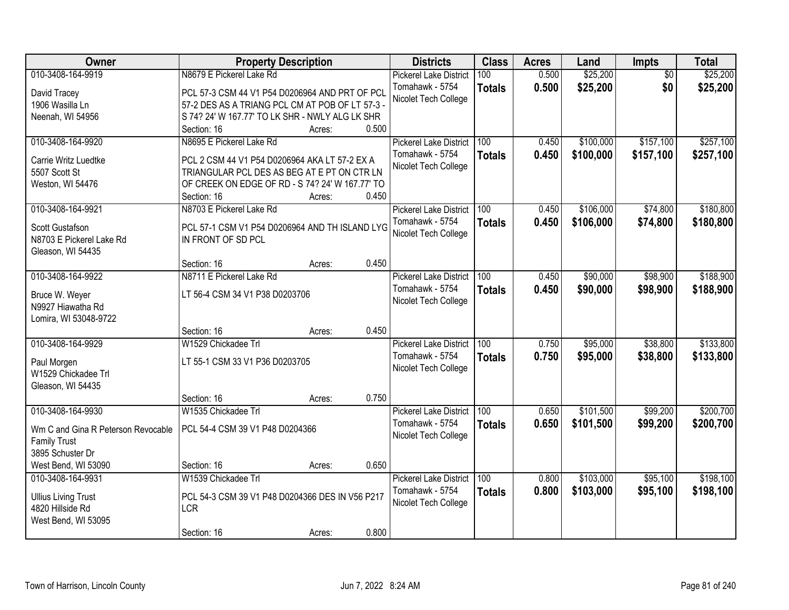| Owner                              | <b>Property Description</b>                                                                    |                 | <b>Districts</b>              | <b>Class</b>  | <b>Acres</b> | Land      | Impts           | <b>Total</b> |
|------------------------------------|------------------------------------------------------------------------------------------------|-----------------|-------------------------------|---------------|--------------|-----------|-----------------|--------------|
| 010-3408-164-9919                  | N8679 E Pickerel Lake Rd                                                                       |                 | <b>Pickerel Lake District</b> | 100           | 0.500        | \$25,200  | $\overline{50}$ | \$25,200     |
| David Tracey                       | PCL 57-3 CSM 44 V1 P54 D0206964 AND PRT OF PCL                                                 |                 | Tomahawk - 5754               | <b>Totals</b> | 0.500        | \$25,200  | \$0             | \$25,200     |
| 1906 Wasilla Ln                    | 57-2 DES AS A TRIANG PCL CM AT POB OF LT 57-3 -                                                |                 | Nicolet Tech College          |               |              |           |                 |              |
| Neenah, WI 54956                   | S 74? 24' W 167.77' TO LK SHR - NWLY ALG LK SHR                                                |                 |                               |               |              |           |                 |              |
|                                    | Section: 16                                                                                    | 0.500<br>Acres: |                               |               |              |           |                 |              |
| 010-3408-164-9920                  | N8695 E Pickerel Lake Rd                                                                       |                 | <b>Pickerel Lake District</b> | 100           | 0.450        | \$100,000 | \$157,100       | \$257,100    |
|                                    |                                                                                                |                 | Tomahawk - 5754               | <b>Totals</b> | 0.450        | \$100,000 | \$157,100       | \$257,100    |
| Carrie Writz Luedtke               | PCL 2 CSM 44 V1 P54 D0206964 AKA LT 57-2 EX A                                                  |                 | Nicolet Tech College          |               |              |           |                 |              |
| 5507 Scott St                      | TRIANGULAR PCL DES AS BEG AT E PT ON CTR LN<br>OF CREEK ON EDGE OF RD - S 74? 24' W 167.77' TO |                 |                               |               |              |           |                 |              |
| Weston, WI 54476                   | Section: 16                                                                                    | 0.450<br>Acres: |                               |               |              |           |                 |              |
| 010-3408-164-9921                  | N8703 E Pickerel Lake Rd                                                                       |                 | <b>Pickerel Lake District</b> | 100           | 0.450        | \$106,000 | \$74,800        | \$180,800    |
|                                    |                                                                                                |                 | Tomahawk - 5754               |               | 0.450        | \$106,000 | \$74,800        | \$180,800    |
| Scott Gustafson                    | PCL 57-1 CSM V1 P54 D0206964 AND TH ISLAND LYG                                                 |                 | Nicolet Tech College          | <b>Totals</b> |              |           |                 |              |
| N8703 E Pickerel Lake Rd           | IN FRONT OF SD PCL                                                                             |                 |                               |               |              |           |                 |              |
| Gleason, WI 54435                  |                                                                                                |                 |                               |               |              |           |                 |              |
|                                    | Section: 16                                                                                    | 0.450<br>Acres: |                               |               |              |           |                 |              |
| 010-3408-164-9922                  | N8711 E Pickerel Lake Rd                                                                       |                 | <b>Pickerel Lake District</b> | 100           | 0.450        | \$90,000  | \$98,900        | \$188,900    |
| Bruce W. Weyer                     | LT 56-4 CSM 34 V1 P38 D0203706                                                                 |                 | Tomahawk - 5754               | <b>Totals</b> | 0.450        | \$90,000  | \$98,900        | \$188,900    |
| N9927 Hiawatha Rd                  |                                                                                                |                 | Nicolet Tech College          |               |              |           |                 |              |
| Lomira, WI 53048-9722              |                                                                                                |                 |                               |               |              |           |                 |              |
|                                    | Section: 16                                                                                    | 0.450<br>Acres: |                               |               |              |           |                 |              |
| 010-3408-164-9929                  | W1529 Chickadee Trl                                                                            |                 | <b>Pickerel Lake District</b> | 100           | 0.750        | \$95,000  | \$38,800        | \$133,800    |
|                                    |                                                                                                |                 | Tomahawk - 5754               | <b>Totals</b> | 0.750        | \$95,000  | \$38,800        | \$133,800    |
| Paul Morgen<br>W1529 Chickadee Trl | LT 55-1 CSM 33 V1 P36 D0203705                                                                 |                 | Nicolet Tech College          |               |              |           |                 |              |
| Gleason, WI 54435                  |                                                                                                |                 |                               |               |              |           |                 |              |
|                                    | Section: 16                                                                                    | 0.750<br>Acres: |                               |               |              |           |                 |              |
| 010-3408-164-9930                  | W1535 Chickadee Trl                                                                            |                 | <b>Pickerel Lake District</b> | 100           | 0.650        | \$101,500 | \$99,200        | \$200,700    |
|                                    |                                                                                                |                 | Tomahawk - 5754               | <b>Totals</b> | 0.650        | \$101,500 | \$99,200        | \$200,700    |
| Wm C and Gina R Peterson Revocable | PCL 54-4 CSM 39 V1 P48 D0204366                                                                |                 | Nicolet Tech College          |               |              |           |                 |              |
| <b>Family Trust</b>                |                                                                                                |                 |                               |               |              |           |                 |              |
| 3895 Schuster Dr                   |                                                                                                |                 |                               |               |              |           |                 |              |
| West Bend, WI 53090                | Section: 16                                                                                    | 0.650<br>Acres: |                               |               |              |           |                 |              |
| 010-3408-164-9931                  | W1539 Chickadee Trl                                                                            |                 | <b>Pickerel Lake District</b> | 100           | 0.800        | \$103,000 | \$95,100        | \$198,100    |
| <b>Ullius Living Trust</b>         | PCL 54-3 CSM 39 V1 P48 D0204366 DES IN V56 P217                                                |                 | Tomahawk - 5754               | <b>Totals</b> | 0.800        | \$103,000 | \$95,100        | \$198,100    |
| 4820 Hillside Rd                   | <b>LCR</b>                                                                                     |                 | Nicolet Tech College          |               |              |           |                 |              |
| West Bend, WI 53095                |                                                                                                |                 |                               |               |              |           |                 |              |
|                                    | Section: 16                                                                                    | 0.800<br>Acres: |                               |               |              |           |                 |              |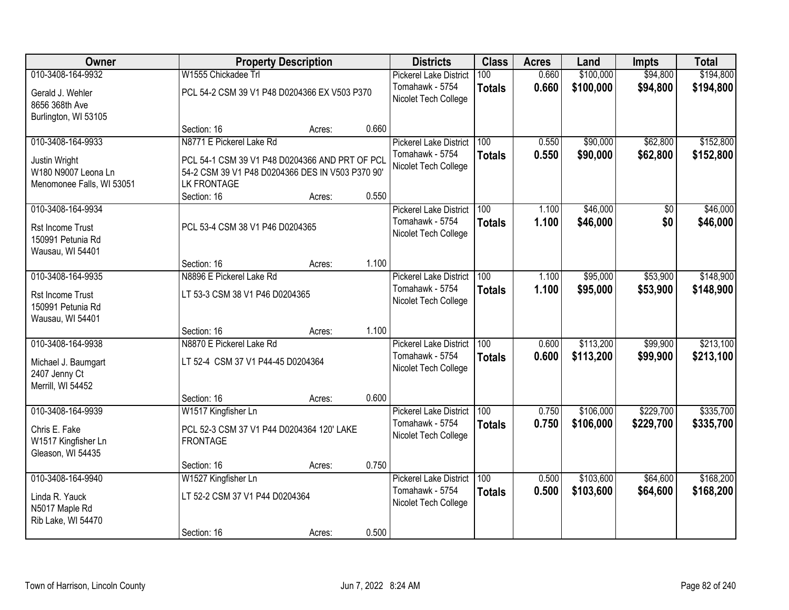| Owner                                                             |                                                                                                                          | <b>Property Description</b> |       | <b>Districts</b>                        | <b>Class</b>  | <b>Acres</b> | Land      | <b>Impts</b> | <b>Total</b> |
|-------------------------------------------------------------------|--------------------------------------------------------------------------------------------------------------------------|-----------------------------|-------|-----------------------------------------|---------------|--------------|-----------|--------------|--------------|
| 010-3408-164-9932                                                 | W1555 Chickadee Trl                                                                                                      |                             |       | <b>Pickerel Lake District</b>           | 100           | 0.660        | \$100,000 | \$94,800     | \$194,800    |
| Gerald J. Wehler<br>8656 368th Ave<br>Burlington, WI 53105        | PCL 54-2 CSM 39 V1 P48 D0204366 EX V503 P370                                                                             |                             |       | Tomahawk - 5754<br>Nicolet Tech College | <b>Totals</b> | 0.660        | \$100,000 | \$94,800     | \$194,800    |
|                                                                   | Section: 16                                                                                                              | Acres:                      | 0.660 |                                         |               |              |           |              |              |
| 010-3408-164-9933                                                 | N8771 E Pickerel Lake Rd                                                                                                 |                             |       | <b>Pickerel Lake District</b>           | 100           | 0.550        | \$90,000  | \$62,800     | \$152,800    |
| Justin Wright<br>W180 N9007 Leona Ln<br>Menomonee Falls, WI 53051 | PCL 54-1 CSM 39 V1 P48 D0204366 AND PRT OF PCL<br>54-2 CSM 39 V1 P48 D0204366 DES IN V503 P370 90'<br><b>LK FRONTAGE</b> |                             |       | Tomahawk - 5754<br>Nicolet Tech College | <b>Totals</b> | 0.550        | \$90,000  | \$62,800     | \$152,800    |
| 010-3408-164-9934                                                 | Section: 16                                                                                                              | Acres:                      | 0.550 | <b>Pickerel Lake District</b>           | 100           | 1.100        | \$46,000  | \$0          | \$46,000     |
| <b>Rst Income Trust</b><br>150991 Petunia Rd<br>Wausau, WI 54401  | PCL 53-4 CSM 38 V1 P46 D0204365                                                                                          |                             |       | Tomahawk - 5754<br>Nicolet Tech College | <b>Totals</b> | 1.100        | \$46,000  | \$0          | \$46,000     |
|                                                                   | Section: 16                                                                                                              | Acres:                      | 1.100 |                                         |               |              |           |              |              |
| 010-3408-164-9935                                                 | N8896 E Pickerel Lake Rd                                                                                                 |                             |       | <b>Pickerel Lake District</b>           | 100           | 1.100        | \$95,000  | \$53,900     | \$148,900    |
| Rst Income Trust<br>150991 Petunia Rd<br>Wausau, WI 54401         | LT 53-3 CSM 38 V1 P46 D0204365                                                                                           |                             |       | Tomahawk - 5754<br>Nicolet Tech College | <b>Totals</b> | 1.100        | \$95,000  | \$53,900     | \$148,900    |
|                                                                   | Section: 16                                                                                                              | Acres:                      | 1.100 |                                         |               |              |           |              |              |
| 010-3408-164-9938                                                 | N8870 E Pickerel Lake Rd                                                                                                 |                             |       | <b>Pickerel Lake District</b>           | 100           | 0.600        | \$113,200 | \$99,900     | \$213,100    |
| Michael J. Baumgart<br>2407 Jenny Ct<br>Merrill, WI 54452         | LT 52-4 CSM 37 V1 P44-45 D0204364                                                                                        |                             |       | Tomahawk - 5754<br>Nicolet Tech College | <b>Totals</b> | 0.600        | \$113,200 | \$99,900     | \$213,100    |
|                                                                   | Section: 16                                                                                                              | Acres:                      | 0.600 |                                         |               |              |           |              |              |
| 010-3408-164-9939                                                 | W1517 Kingfisher Ln                                                                                                      |                             |       | <b>Pickerel Lake District</b>           | 100           | 0.750        | \$106,000 | \$229,700    | \$335,700    |
| Chris E. Fake<br>W1517 Kingfisher Ln<br>Gleason, WI 54435         | PCL 52-3 CSM 37 V1 P44 D0204364 120' LAKE<br><b>FRONTAGE</b>                                                             |                             |       | Tomahawk - 5754<br>Nicolet Tech College | <b>Totals</b> | 0.750        | \$106,000 | \$229,700    | \$335,700    |
|                                                                   | Section: 16                                                                                                              | Acres:                      | 0.750 |                                         |               |              |           |              |              |
| 010-3408-164-9940                                                 | W1527 Kingfisher Ln                                                                                                      |                             |       | <b>Pickerel Lake District</b>           | 100           | 0.500        | \$103,600 | \$64,600     | \$168,200    |
| Linda R. Yauck<br>N5017 Maple Rd<br>Rib Lake, WI 54470            | LT 52-2 CSM 37 V1 P44 D0204364                                                                                           |                             |       | Tomahawk - 5754<br>Nicolet Tech College | <b>Totals</b> | 0.500        | \$103,600 | \$64,600     | \$168,200    |
|                                                                   | Section: 16                                                                                                              | Acres:                      | 0.500 |                                         |               |              |           |              |              |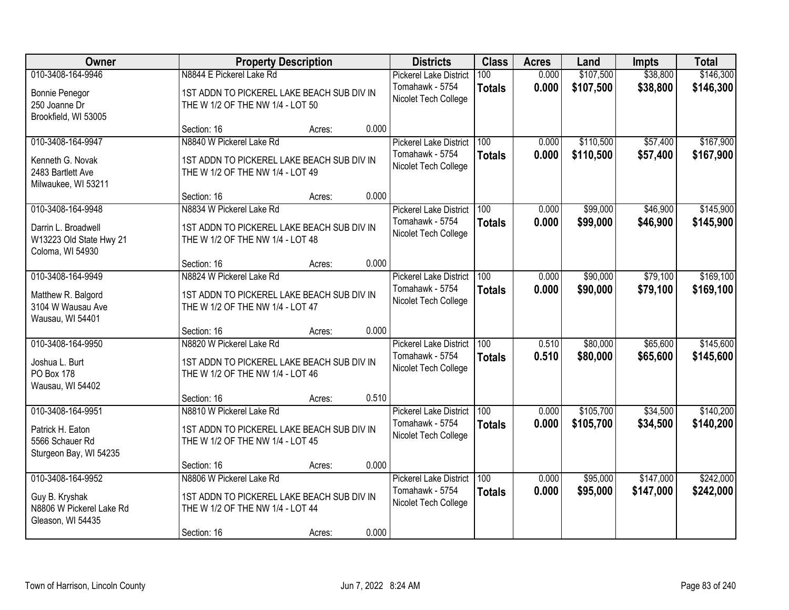| Owner                                                              |                                                                                | <b>Property Description</b> |       | <b>Districts</b>                                 | <b>Class</b>         | <b>Acres</b>   | Land                   | <b>Impts</b>         | <b>Total</b>           |
|--------------------------------------------------------------------|--------------------------------------------------------------------------------|-----------------------------|-------|--------------------------------------------------|----------------------|----------------|------------------------|----------------------|------------------------|
| 010-3408-164-9946<br><b>Bonnie Penegor</b>                         | N8844 E Pickerel Lake Rd<br>1ST ADDN TO PICKEREL LAKE BEACH SUB DIV IN         |                             |       | <b>Pickerel Lake District</b><br>Tomahawk - 5754 | 100<br><b>Totals</b> | 0.000<br>0.000 | \$107,500<br>\$107,500 | \$38,800<br>\$38,800 | \$146,300<br>\$146,300 |
| 250 Joanne Dr<br>Brookfield, WI 53005                              | THE W 1/2 OF THE NW 1/4 - LOT 50                                               |                             |       | Nicolet Tech College                             |                      |                |                        |                      |                        |
|                                                                    | Section: 16                                                                    | Acres:                      | 0.000 |                                                  |                      |                |                        |                      |                        |
| 010-3408-164-9947                                                  | N8840 W Pickerel Lake Rd                                                       |                             |       | <b>Pickerel Lake District</b>                    | 100                  | 0.000          | \$110,500              | \$57,400             | \$167,900              |
| Kenneth G. Novak<br>2483 Bartlett Ave<br>Milwaukee, WI 53211       | 1ST ADDN TO PICKEREL LAKE BEACH SUB DIV IN<br>THE W 1/2 OF THE NW 1/4 - LOT 49 |                             |       | Tomahawk - 5754<br>Nicolet Tech College          | <b>Totals</b>        | 0.000          | \$110,500              | \$57,400             | \$167,900              |
|                                                                    | Section: 16                                                                    | Acres:                      | 0.000 |                                                  |                      |                |                        |                      |                        |
| 010-3408-164-9948                                                  | N8834 W Pickerel Lake Rd                                                       |                             |       | <b>Pickerel Lake District</b>                    | 100                  | 0.000          | \$99,000               | \$46,900             | \$145,900              |
| Darrin L. Broadwell<br>W13223 Old State Hwy 21<br>Coloma, WI 54930 | 1ST ADDN TO PICKEREL LAKE BEACH SUB DIV IN<br>THE W 1/2 OF THE NW 1/4 - LOT 48 |                             |       | Tomahawk - 5754<br>Nicolet Tech College          | <b>Totals</b>        | 0.000          | \$99,000               | \$46,900             | \$145,900              |
|                                                                    | Section: 16                                                                    | Acres:                      | 0.000 |                                                  |                      |                |                        |                      |                        |
| 010-3408-164-9949                                                  | N8824 W Pickerel Lake Rd                                                       |                             |       | <b>Pickerel Lake District</b>                    | 100                  | 0.000          | \$90,000               | \$79,100             | \$169,100              |
| Matthew R. Balgord<br>3104 W Wausau Ave<br>Wausau, WI 54401        | 1ST ADDN TO PICKEREL LAKE BEACH SUB DIV IN<br>THE W 1/2 OF THE NW 1/4 - LOT 47 |                             |       | Tomahawk - 5754<br>Nicolet Tech College          | <b>Totals</b>        | 0.000          | \$90,000               | \$79,100             | \$169,100              |
|                                                                    | Section: 16                                                                    | Acres:                      | 0.000 |                                                  |                      |                |                        |                      |                        |
| 010-3408-164-9950                                                  | N8820 W Pickerel Lake Rd                                                       |                             |       | <b>Pickerel Lake District</b>                    | 100                  | 0.510          | \$80,000               | \$65,600             | \$145,600              |
| Joshua L. Burt                                                     | 1ST ADDN TO PICKEREL LAKE BEACH SUB DIV IN                                     |                             |       | Tomahawk - 5754                                  | <b>Totals</b>        | 0.510          | \$80,000               | \$65,600             | \$145,600              |
| PO Box 178                                                         | THE W 1/2 OF THE NW 1/4 - LOT 46                                               |                             |       | Nicolet Tech College                             |                      |                |                        |                      |                        |
| Wausau, WI 54402                                                   |                                                                                |                             |       |                                                  |                      |                |                        |                      |                        |
| 010-3408-164-9951                                                  | Section: 16<br>N8810 W Pickerel Lake Rd                                        | Acres:                      | 0.510 |                                                  | 100                  | 0.000          | \$105,700              | \$34,500             | \$140,200              |
|                                                                    |                                                                                |                             |       | <b>Pickerel Lake District</b><br>Tomahawk - 5754 | <b>Totals</b>        | 0.000          | \$105,700              | \$34,500             | \$140,200              |
| Patrick H. Eaton                                                   | 1ST ADDN TO PICKEREL LAKE BEACH SUB DIV IN                                     |                             |       | Nicolet Tech College                             |                      |                |                        |                      |                        |
| 5566 Schauer Rd<br>Sturgeon Bay, WI 54235                          | THE W 1/2 OF THE NW 1/4 - LOT 45                                               |                             |       |                                                  |                      |                |                        |                      |                        |
|                                                                    | Section: 16                                                                    | Acres:                      | 0.000 |                                                  |                      |                |                        |                      |                        |
| 010-3408-164-9952                                                  | N8806 W Pickerel Lake Rd                                                       |                             |       | <b>Pickerel Lake District</b>                    | 100                  | 0.000          | \$95,000               | \$147,000            | \$242,000              |
| Guy B. Kryshak<br>N8806 W Pickerel Lake Rd<br>Gleason, WI 54435    | 1ST ADDN TO PICKEREL LAKE BEACH SUB DIV IN<br>THE W 1/2 OF THE NW 1/4 - LOT 44 |                             |       | Tomahawk - 5754<br>Nicolet Tech College          | <b>Totals</b>        | 0.000          | \$95,000               | \$147,000            | \$242,000              |
|                                                                    | Section: 16                                                                    | Acres:                      | 0.000 |                                                  |                      |                |                        |                      |                        |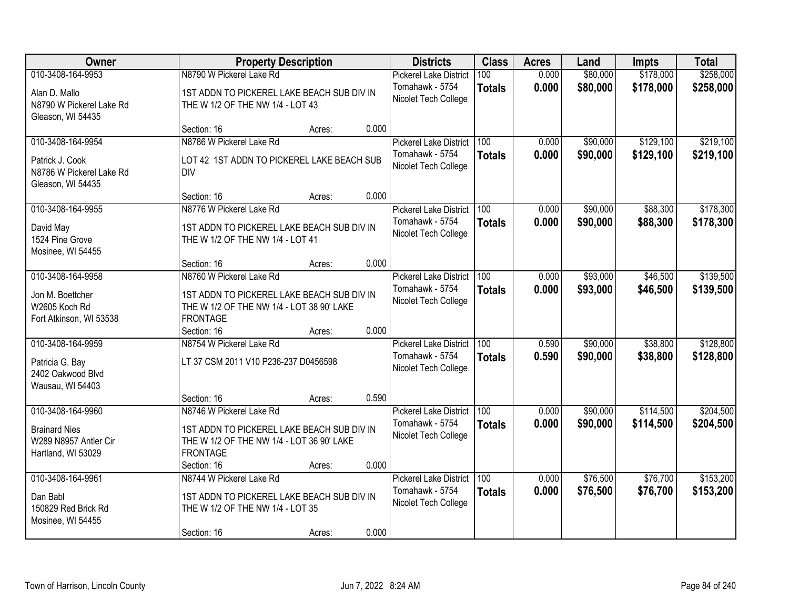| Owner                                         |                                            | <b>Property Description</b> |       | <b>Districts</b>                        | <b>Class</b>  | <b>Acres</b> | Land     | <b>Impts</b> | <b>Total</b> |
|-----------------------------------------------|--------------------------------------------|-----------------------------|-------|-----------------------------------------|---------------|--------------|----------|--------------|--------------|
| 010-3408-164-9953                             | N8790 W Pickerel Lake Rd                   |                             |       | <b>Pickerel Lake District</b>           | 100           | 0.000        | \$80,000 | \$178,000    | \$258,000    |
| Alan D. Mallo                                 | 1ST ADDN TO PICKEREL LAKE BEACH SUB DIV IN |                             |       | Tomahawk - 5754<br>Nicolet Tech College | <b>Totals</b> | 0.000        | \$80,000 | \$178,000    | \$258,000    |
| N8790 W Pickerel Lake Rd<br>Gleason, WI 54435 | THE W 1/2 OF THE NW 1/4 - LOT 43           |                             |       |                                         |               |              |          |              |              |
|                                               | Section: 16                                | Acres:                      | 0.000 |                                         |               |              |          |              |              |
| 010-3408-164-9954                             | N8786 W Pickerel Lake Rd                   |                             |       | <b>Pickerel Lake District</b>           | 100           | 0.000        | \$90,000 | \$129,100    | \$219,100    |
| Patrick J. Cook                               | LOT 42 1ST ADDN TO PICKEREL LAKE BEACH SUB |                             |       | Tomahawk - 5754                         | <b>Totals</b> | 0.000        | \$90,000 | \$129,100    | \$219,100    |
| N8786 W Pickerel Lake Rd                      | <b>DIV</b>                                 |                             |       | Nicolet Tech College                    |               |              |          |              |              |
| Gleason, WI 54435                             |                                            |                             |       |                                         |               |              |          |              |              |
|                                               | Section: 16                                | Acres:                      | 0.000 |                                         |               |              |          |              |              |
| 010-3408-164-9955                             | N8776 W Pickerel Lake Rd                   |                             |       | <b>Pickerel Lake District</b>           | 100           | 0.000        | \$90,000 | \$88,300     | \$178,300    |
| David May                                     | 1ST ADDN TO PICKEREL LAKE BEACH SUB DIV IN |                             |       | Tomahawk - 5754                         | <b>Totals</b> | 0.000        | \$90,000 | \$88,300     | \$178,300    |
| 1524 Pine Grove                               | THE W 1/2 OF THE NW 1/4 - LOT 41           |                             |       | Nicolet Tech College                    |               |              |          |              |              |
| Mosinee, WI 54455                             |                                            |                             |       |                                         |               |              |          |              |              |
|                                               | Section: 16                                | Acres:                      | 0.000 |                                         |               |              |          |              |              |
| 010-3408-164-9958                             | N8760 W Pickerel Lake Rd                   |                             |       | <b>Pickerel Lake District</b>           | 100           | 0.000        | \$93,000 | \$46,500     | \$139,500    |
| Jon M. Boettcher                              | 1ST ADDN TO PICKEREL LAKE BEACH SUB DIV IN |                             |       | Tomahawk - 5754                         | <b>Totals</b> | 0.000        | \$93,000 | \$46,500     | \$139,500    |
| W2605 Koch Rd                                 | THE W 1/2 OF THE NW 1/4 - LOT 38 90' LAKE  |                             |       | Nicolet Tech College                    |               |              |          |              |              |
| Fort Atkinson, WI 53538                       | <b>FRONTAGE</b>                            |                             |       |                                         |               |              |          |              |              |
|                                               | Section: 16                                | Acres:                      | 0.000 |                                         |               |              |          |              |              |
| 010-3408-164-9959                             | N8754 W Pickerel Lake Rd                   |                             |       | <b>Pickerel Lake District</b>           | 100           | 0.590        | \$90,000 | \$38,800     | \$128,800    |
| Patricia G. Bay                               | LT 37 CSM 2011 V10 P236-237 D0456598       |                             |       | Tomahawk - 5754                         | <b>Totals</b> | 0.590        | \$90,000 | \$38,800     | \$128,800    |
| 2402 Oakwood Blvd                             |                                            |                             |       | Nicolet Tech College                    |               |              |          |              |              |
| Wausau, WI 54403                              |                                            |                             |       |                                         |               |              |          |              |              |
|                                               | Section: 16                                | Acres:                      | 0.590 |                                         |               |              |          |              |              |
| 010-3408-164-9960                             | N8746 W Pickerel Lake Rd                   |                             |       | <b>Pickerel Lake District</b>           | 100           | 0.000        | \$90,000 | \$114,500    | \$204,500    |
| <b>Brainard Nies</b>                          | 1ST ADDN TO PICKEREL LAKE BEACH SUB DIV IN |                             |       | Tomahawk - 5754                         | <b>Totals</b> | 0.000        | \$90,000 | \$114,500    | \$204,500    |
| W289 N8957 Antler Cir                         | THE W 1/2 OF THE NW 1/4 - LOT 36 90' LAKE  |                             |       | Nicolet Tech College                    |               |              |          |              |              |
| Hartland, WI 53029                            | <b>FRONTAGE</b>                            |                             |       |                                         |               |              |          |              |              |
|                                               | Section: 16                                | Acres:                      | 0.000 |                                         |               |              |          |              |              |
| 010-3408-164-9961                             | N8744 W Pickerel Lake Rd                   |                             |       | <b>Pickerel Lake District</b>           | 100           | 0.000        | \$76,500 | \$76,700     | \$153,200    |
| Dan Babl                                      | 1ST ADDN TO PICKEREL LAKE BEACH SUB DIV IN |                             |       | Tomahawk - 5754                         | <b>Totals</b> | 0.000        | \$76,500 | \$76,700     | \$153,200    |
| 150829 Red Brick Rd                           | THE W 1/2 OF THE NW 1/4 - LOT 35           |                             |       | Nicolet Tech College                    |               |              |          |              |              |
| Mosinee, WI 54455                             |                                            |                             |       |                                         |               |              |          |              |              |
|                                               | Section: 16                                | Acres:                      | 0.000 |                                         |               |              |          |              |              |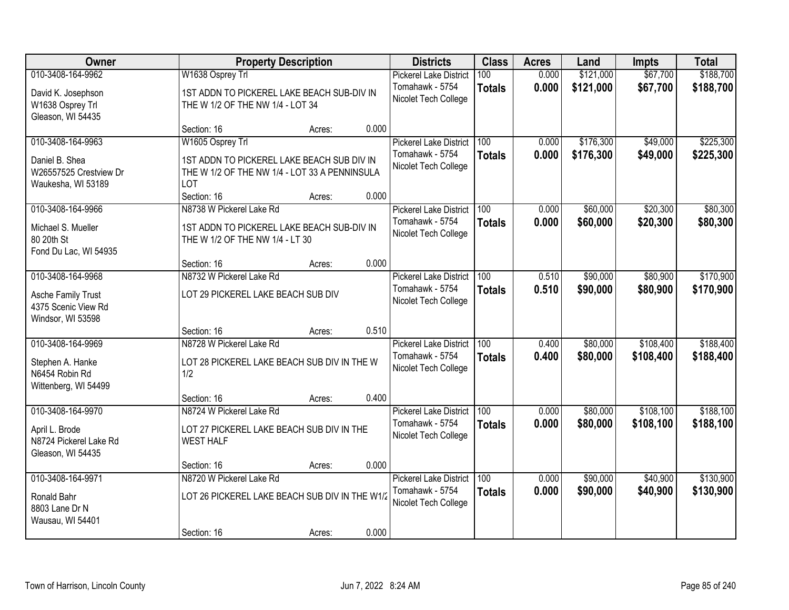| Owner                                                                               |                                                                                                                                       | <b>Property Description</b> |       | <b>Districts</b>                                                         | <b>Class</b>         | <b>Acres</b>   | Land                   | <b>Impts</b>           | <b>Total</b>           |
|-------------------------------------------------------------------------------------|---------------------------------------------------------------------------------------------------------------------------------------|-----------------------------|-------|--------------------------------------------------------------------------|----------------------|----------------|------------------------|------------------------|------------------------|
| 010-3408-164-9962<br>David K. Josephson<br>W1638 Osprey Trl<br>Gleason, WI 54435    | W1638 Osprey Trl<br>1ST ADDN TO PICKEREL LAKE BEACH SUB-DIV IN<br>THE W 1/2 OF THE NW 1/4 - LOT 34                                    |                             |       | <b>Pickerel Lake District</b><br>Tomahawk - 5754<br>Nicolet Tech College | 100<br><b>Totals</b> | 0.000<br>0.000 | \$121,000<br>\$121,000 | \$67,700<br>\$67,700   | \$188,700<br>\$188,700 |
|                                                                                     | Section: 16                                                                                                                           | Acres:                      | 0.000 |                                                                          |                      |                |                        |                        |                        |
| 010-3408-164-9963<br>Daniel B. Shea<br>W26557525 Crestview Dr<br>Waukesha, WI 53189 | W1605 Osprey Trl<br>1ST ADDN TO PICKEREL LAKE BEACH SUB DIV IN<br>THE W 1/2 OF THE NW 1/4 - LOT 33 A PENNINSULA<br>LOT<br>Section: 16 | Acres:                      | 0.000 | <b>Pickerel Lake District</b><br>Tomahawk - 5754<br>Nicolet Tech College | 100<br><b>Totals</b> | 0.000<br>0.000 | \$176,300<br>\$176,300 | \$49,000<br>\$49,000   | \$225,300<br>\$225,300 |
| 010-3408-164-9966<br>Michael S. Mueller<br>80 20th St                               | N8738 W Pickerel Lake Rd<br>1ST ADDN TO PICKEREL LAKE BEACH SUB-DIV IN<br>THE W 1/2 OF THE NW 1/4 - LT 30                             |                             |       | <b>Pickerel Lake District</b><br>Tomahawk - 5754<br>Nicolet Tech College | 100<br><b>Totals</b> | 0.000<br>0.000 | \$60,000<br>\$60,000   | \$20,300<br>\$20,300   | \$80,300<br>\$80,300   |
| Fond Du Lac, WI 54935<br>010-3408-164-9968                                          | Section: 16<br>N8732 W Pickerel Lake Rd                                                                                               | Acres:                      | 0.000 | <b>Pickerel Lake District</b>                                            | 100                  | 0.510          | \$90,000               | \$80,900               | \$170,900              |
| <b>Asche Family Trust</b><br>4375 Scenic View Rd<br>Windsor, WI 53598               | LOT 29 PICKEREL LAKE BEACH SUB DIV                                                                                                    |                             |       | Tomahawk - 5754<br>Nicolet Tech College                                  | <b>Totals</b>        | 0.510          | \$90,000               | \$80,900               | \$170,900              |
|                                                                                     | Section: 16                                                                                                                           | Acres:                      | 0.510 |                                                                          |                      |                |                        |                        |                        |
| 010-3408-164-9969<br>Stephen A. Hanke<br>N6454 Robin Rd<br>Wittenberg, WI 54499     | N8728 W Pickerel Lake Rd<br>LOT 28 PICKEREL LAKE BEACH SUB DIV IN THE W<br>1/2                                                        |                             |       | <b>Pickerel Lake District</b><br>Tomahawk - 5754<br>Nicolet Tech College | 100<br><b>Totals</b> | 0.400<br>0.400 | \$80,000<br>\$80,000   | \$108,400<br>\$108,400 | \$188,400<br>\$188,400 |
|                                                                                     | Section: 16                                                                                                                           | Acres:                      | 0.400 |                                                                          |                      |                |                        |                        |                        |
| 010-3408-164-9970<br>April L. Brode<br>N8724 Pickerel Lake Rd<br>Gleason, WI 54435  | N8724 W Pickerel Lake Rd<br>LOT 27 PICKEREL LAKE BEACH SUB DIV IN THE<br><b>WEST HALF</b>                                             |                             |       | <b>Pickerel Lake District</b><br>Tomahawk - 5754<br>Nicolet Tech College | 100<br><b>Totals</b> | 0.000<br>0.000 | \$80,000<br>\$80,000   | \$108,100<br>\$108,100 | \$188,100<br>\$188,100 |
|                                                                                     | Section: 16                                                                                                                           | Acres:                      | 0.000 |                                                                          |                      |                |                        |                        |                        |
| 010-3408-164-9971<br>Ronald Bahr<br>8803 Lane Dr N<br>Wausau, WI 54401              | N8720 W Pickerel Lake Rd<br>LOT 26 PICKEREL LAKE BEACH SUB DIV IN THE W1/2<br>Section: 16                                             | Acres:                      | 0.000 | <b>Pickerel Lake District</b><br>Tomahawk - 5754<br>Nicolet Tech College | 100<br><b>Totals</b> | 0.000<br>0.000 | \$90,000<br>\$90,000   | \$40,900<br>\$40,900   | \$130,900<br>\$130,900 |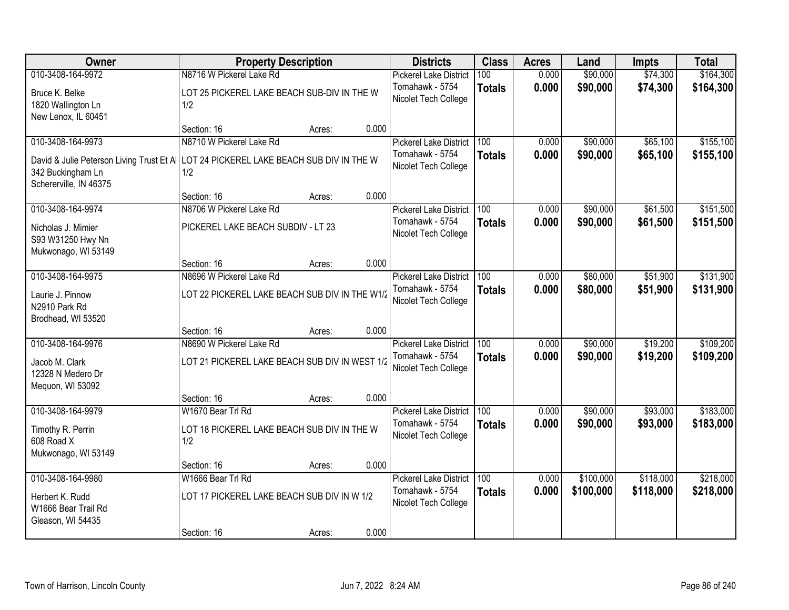| Owner                                      | <b>Property Description</b>                    |        |       | <b>Districts</b>              | <b>Class</b>     | <b>Acres</b> | Land      | Impts     | <b>Total</b> |
|--------------------------------------------|------------------------------------------------|--------|-------|-------------------------------|------------------|--------------|-----------|-----------|--------------|
| 010-3408-164-9972                          | N8716 W Pickerel Lake Rd                       |        |       | <b>Pickerel Lake District</b> | 100              | 0.000        | \$90,000  | \$74,300  | \$164,300    |
| Bruce K. Belke                             | LOT 25 PICKEREL LAKE BEACH SUB-DIV IN THE W    |        |       | Tomahawk - 5754               | <b>Totals</b>    | 0.000        | \$90,000  | \$74,300  | \$164,300    |
| 1820 Wallington Ln                         | 1/2                                            |        |       | Nicolet Tech College          |                  |              |           |           |              |
| New Lenox, IL 60451                        |                                                |        |       |                               |                  |              |           |           |              |
|                                            | Section: 16                                    | Acres: | 0.000 |                               |                  |              |           |           |              |
| 010-3408-164-9973                          | N8710 W Pickerel Lake Rd                       |        |       | <b>Pickerel Lake District</b> | 100              | 0.000        | \$90,000  | \$65,100  | \$155,100    |
| David & Julie Peterson Living Trust Et All | LOT 24 PICKEREL LAKE BEACH SUB DIV IN THE W    |        |       | Tomahawk - 5754               | <b>Totals</b>    | 0.000        | \$90,000  | \$65,100  | \$155,100    |
| 342 Buckingham Ln                          | 1/2                                            |        |       | Nicolet Tech College          |                  |              |           |           |              |
| Schererville, IN 46375                     |                                                |        |       |                               |                  |              |           |           |              |
|                                            | Section: 16                                    | Acres: | 0.000 |                               |                  |              |           |           |              |
| 010-3408-164-9974                          | N8706 W Pickerel Lake Rd                       |        |       | <b>Pickerel Lake District</b> | 100              | 0.000        | \$90,000  | \$61,500  | \$151,500    |
| Nicholas J. Mimier                         | PICKEREL LAKE BEACH SUBDIV - LT 23             |        |       | Tomahawk - 5754               | <b>Totals</b>    | 0.000        | \$90,000  | \$61,500  | \$151,500    |
| S93 W31250 Hwy Nn                          |                                                |        |       | Nicolet Tech College          |                  |              |           |           |              |
| Mukwonago, WI 53149                        |                                                |        |       |                               |                  |              |           |           |              |
|                                            | Section: 16                                    | Acres: | 0.000 |                               |                  |              |           |           |              |
| 010-3408-164-9975                          | N8696 W Pickerel Lake Rd                       |        |       | <b>Pickerel Lake District</b> | 100              | 0.000        | \$80,000  | \$51,900  | \$131,900    |
| Laurie J. Pinnow                           | LOT 22 PICKEREL LAKE BEACH SUB DIV IN THE W1/2 |        |       | Tomahawk - 5754               | <b>Totals</b>    | 0.000        | \$80,000  | \$51,900  | \$131,900    |
| N2910 Park Rd                              |                                                |        |       | Nicolet Tech College          |                  |              |           |           |              |
| Brodhead, WI 53520                         |                                                |        |       |                               |                  |              |           |           |              |
|                                            | Section: 16                                    | Acres: | 0.000 |                               |                  |              |           |           |              |
| 010-3408-164-9976                          | N8690 W Pickerel Lake Rd                       |        |       | <b>Pickerel Lake District</b> | $\overline{100}$ | 0.000        | \$90,000  | \$19,200  | \$109,200    |
| Jacob M. Clark                             | LOT 21 PICKEREL LAKE BEACH SUB DIV IN WEST 1/2 |        |       | Tomahawk - 5754               | <b>Totals</b>    | 0.000        | \$90,000  | \$19,200  | \$109,200    |
| 12328 N Medero Dr                          |                                                |        |       | Nicolet Tech College          |                  |              |           |           |              |
| Mequon, WI 53092                           |                                                |        |       |                               |                  |              |           |           |              |
|                                            | Section: 16                                    | Acres: | 0.000 |                               |                  |              |           |           |              |
| 010-3408-164-9979                          | W1670 Bear Trl Rd                              |        |       | <b>Pickerel Lake District</b> | 100              | 0.000        | \$90,000  | \$93,000  | \$183,000    |
| Timothy R. Perrin                          | LOT 18 PICKEREL LAKE BEACH SUB DIV IN THE W    |        |       | Tomahawk - 5754               | <b>Totals</b>    | 0.000        | \$90,000  | \$93,000  | \$183,000    |
| 608 Road X                                 | 1/2                                            |        |       | Nicolet Tech College          |                  |              |           |           |              |
| Mukwonago, WI 53149                        |                                                |        |       |                               |                  |              |           |           |              |
|                                            | Section: 16                                    | Acres: | 0.000 |                               |                  |              |           |           |              |
| 010-3408-164-9980                          | W1666 Bear Trl Rd                              |        |       | <b>Pickerel Lake District</b> | 100              | 0.000        | \$100,000 | \$118,000 | \$218,000    |
| Herbert K. Rudd                            | LOT 17 PICKEREL LAKE BEACH SUB DIV IN W 1/2    |        |       | Tomahawk - 5754               | <b>Totals</b>    | 0.000        | \$100,000 | \$118,000 | \$218,000    |
| W1666 Bear Trail Rd                        |                                                |        |       | Nicolet Tech College          |                  |              |           |           |              |
| Gleason, WI 54435                          |                                                |        |       |                               |                  |              |           |           |              |
|                                            | Section: 16                                    | Acres: | 0.000 |                               |                  |              |           |           |              |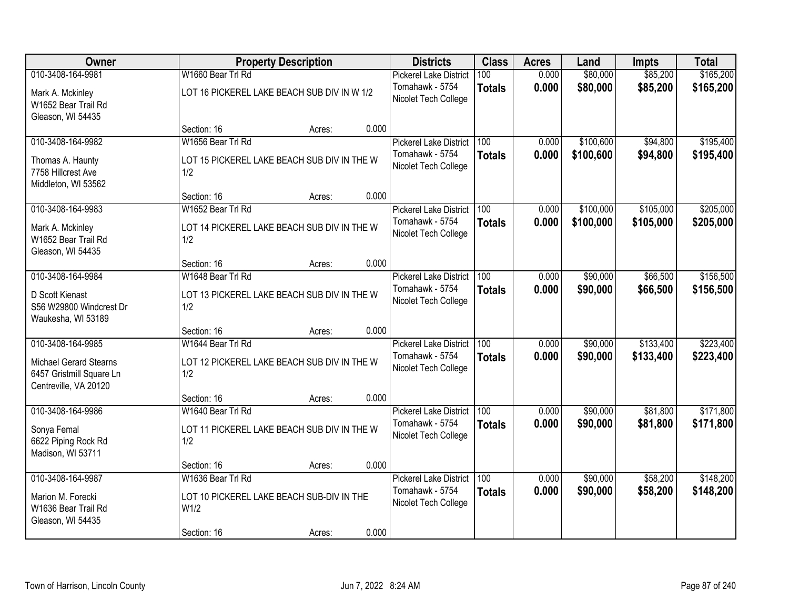| Owner                                                                                                   | <b>Property Description</b>                                                                                               |                | <b>Districts</b>                                                         | <b>Class</b>         | <b>Acres</b>   | Land                   | <b>Impts</b>           | <b>Total</b>           |
|---------------------------------------------------------------------------------------------------------|---------------------------------------------------------------------------------------------------------------------------|----------------|--------------------------------------------------------------------------|----------------------|----------------|------------------------|------------------------|------------------------|
| 010-3408-164-9981<br>Mark A. Mckinley<br>W1652 Bear Trail Rd                                            | W1660 Bear Trl Rd<br>LOT 16 PICKEREL LAKE BEACH SUB DIV IN W 1/2                                                          |                | <b>Pickerel Lake District</b><br>Tomahawk - 5754<br>Nicolet Tech College | 100<br><b>Totals</b> | 0.000<br>0.000 | \$80,000<br>\$80,000   | \$85,200<br>\$85,200   | \$165,200<br>\$165,200 |
| Gleason, WI 54435                                                                                       | Section: 16<br>Acres:                                                                                                     | 0.000          |                                                                          |                      |                |                        |                        |                        |
| 010-3408-164-9982<br>Thomas A. Haunty<br>7758 Hillcrest Ave<br>Middleton, WI 53562                      | W1656 Bear Trl Rd<br>LOT 15 PICKEREL LAKE BEACH SUB DIV IN THE W<br>1/2                                                   |                | <b>Pickerel Lake District</b><br>Tomahawk - 5754<br>Nicolet Tech College | 100<br><b>Totals</b> | 0.000<br>0.000 | \$100,600<br>\$100,600 | \$94,800<br>\$94,800   | \$195,400<br>\$195,400 |
| 010-3408-164-9983<br>Mark A. Mckinley<br>W1652 Bear Trail Rd<br>Gleason, WI 54435                       | Section: 16<br>Acres:<br>W1652 Bear Trl Rd<br>LOT 14 PICKEREL LAKE BEACH SUB DIV IN THE W<br>1/2                          | 0.000<br>0.000 | <b>Pickerel Lake District</b><br>Tomahawk - 5754<br>Nicolet Tech College | 100<br><b>Totals</b> | 0.000<br>0.000 | \$100,000<br>\$100,000 | \$105,000<br>\$105,000 | \$205,000<br>\$205,000 |
| 010-3408-164-9984<br>D Scott Kienast<br>S56 W29800 Windcrest Dr<br>Waukesha, WI 53189                   | Section: 16<br>Acres:<br>W1648 Bear Trl Rd<br>LOT 13 PICKEREL LAKE BEACH SUB DIV IN THE W<br>1/2                          | 0.000          | <b>Pickerel Lake District</b><br>Tomahawk - 5754<br>Nicolet Tech College | 100<br><b>Totals</b> | 0.000<br>0.000 | \$90,000<br>\$90,000   | \$66,500<br>\$66,500   | \$156,500<br>\$156,500 |
| 010-3408-164-9985<br><b>Michael Gerard Stearns</b><br>6457 Gristmill Square Ln<br>Centreville, VA 20120 | Section: 16<br>Acres:<br>W1644 Bear Trl Rd<br>LOT 12 PICKEREL LAKE BEACH SUB DIV IN THE W<br>1/2<br>Section: 16<br>Acres: | 0.000          | <b>Pickerel Lake District</b><br>Tomahawk - 5754<br>Nicolet Tech College | 100<br><b>Totals</b> | 0.000<br>0.000 | \$90,000<br>\$90,000   | \$133,400<br>\$133,400 | \$223,400<br>\$223,400 |
| 010-3408-164-9986<br>Sonya Femal<br>6622 Piping Rock Rd<br>Madison, WI 53711                            | W1640 Bear Trl Rd<br>LOT 11 PICKEREL LAKE BEACH SUB DIV IN THE W<br>1/2<br>Section: 16<br>Acres:                          | 0.000          | <b>Pickerel Lake District</b><br>Tomahawk - 5754<br>Nicolet Tech College | 100<br><b>Totals</b> | 0.000<br>0.000 | \$90,000<br>\$90,000   | \$81,800<br>\$81,800   | \$171,800<br>\$171,800 |
| 010-3408-164-9987<br>Marion M. Forecki<br>W1636 Bear Trail Rd<br>Gleason, WI 54435                      | W1636 Bear Trl Rd<br>LOT 10 PICKEREL LAKE BEACH SUB-DIV IN THE<br>W <sub>1/2</sub><br>Section: 16<br>Acres:               | 0.000          | <b>Pickerel Lake District</b><br>Tomahawk - 5754<br>Nicolet Tech College | 100<br><b>Totals</b> | 0.000<br>0.000 | \$90,000<br>\$90,000   | \$58,200<br>\$58,200   | \$148,200<br>\$148,200 |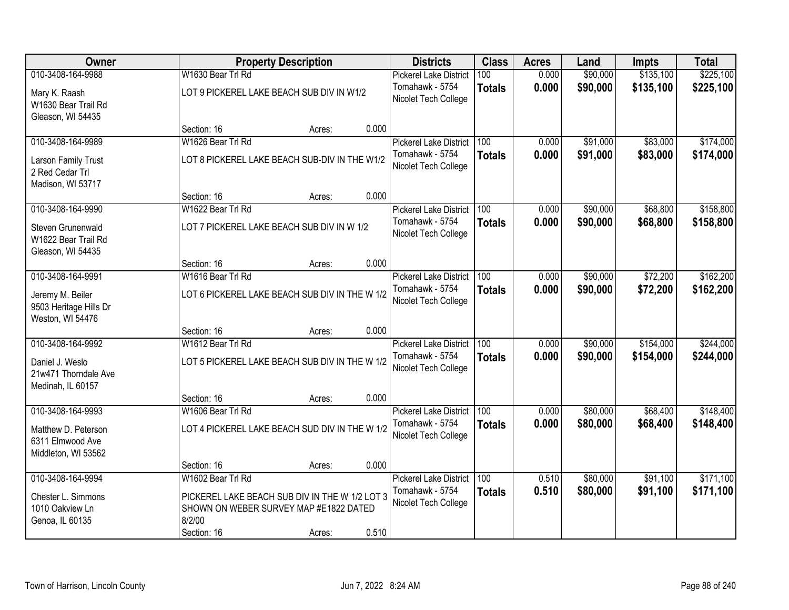| Owner                                                          |                                                                                                    | <b>Property Description</b> |       | <b>Districts</b>                        | <b>Class</b>     | <b>Acres</b> | Land     | <b>Impts</b> | <b>Total</b> |
|----------------------------------------------------------------|----------------------------------------------------------------------------------------------------|-----------------------------|-------|-----------------------------------------|------------------|--------------|----------|--------------|--------------|
| 010-3408-164-9988                                              | W1630 Bear Trl Rd                                                                                  |                             |       | <b>Pickerel Lake District</b>           | 100              | 0.000        | \$90,000 | \$135,100    | \$225,100    |
| Mary K. Raash<br>W1630 Bear Trail Rd<br>Gleason, WI 54435      | LOT 9 PICKEREL LAKE BEACH SUB DIV IN W1/2                                                          |                             |       | Tomahawk - 5754<br>Nicolet Tech College | <b>Totals</b>    | 0.000        | \$90,000 | \$135,100    | \$225,100    |
|                                                                | Section: 16                                                                                        | Acres:                      | 0.000 |                                         |                  |              |          |              |              |
| 010-3408-164-9989                                              | W1626 Bear Trl Rd                                                                                  |                             |       | <b>Pickerel Lake District</b>           | 100              | 0.000        | \$91,000 | \$83,000     | \$174,000    |
| Larson Family Trust<br>2 Red Cedar Trl<br>Madison, WI 53717    | LOT 8 PICKEREL LAKE BEACH SUB-DIV IN THE W1/2                                                      |                             |       | Tomahawk - 5754<br>Nicolet Tech College | <b>Totals</b>    | 0.000        | \$91,000 | \$83,000     | \$174,000    |
|                                                                | Section: 16                                                                                        | Acres:                      | 0.000 |                                         |                  |              |          |              |              |
| 010-3408-164-9990                                              | W1622 Bear Trl Rd                                                                                  |                             |       | <b>Pickerel Lake District</b>           | 100              | 0.000        | \$90,000 | \$68,800     | \$158,800    |
| Steven Grunenwald<br>W1622 Bear Trail Rd<br>Gleason, WI 54435  | LOT 7 PICKEREL LAKE BEACH SUB DIV IN W 1/2                                                         |                             |       | Tomahawk - 5754<br>Nicolet Tech College | <b>Totals</b>    | 0.000        | \$90,000 | \$68,800     | \$158,800    |
|                                                                | Section: 16                                                                                        | Acres:                      | 0.000 |                                         |                  |              |          |              |              |
| 010-3408-164-9991                                              | W1616 Bear Trl Rd                                                                                  |                             |       | <b>Pickerel Lake District</b>           | 100              | 0.000        | \$90,000 | \$72,200     | \$162,200    |
| Jeremy M. Beiler<br>9503 Heritage Hills Dr<br>Weston, WI 54476 | LOT 6 PICKEREL LAKE BEACH SUB DIV IN THE W 1/2                                                     |                             |       | Tomahawk - 5754<br>Nicolet Tech College | <b>Totals</b>    | 0.000        | \$90,000 | \$72,200     | \$162,200    |
|                                                                | Section: 16                                                                                        | Acres:                      | 0.000 |                                         |                  |              |          |              |              |
| 010-3408-164-9992                                              | W1612 Bear Trl Rd                                                                                  |                             |       | <b>Pickerel Lake District</b>           | $\overline{100}$ | 0.000        | \$90,000 | \$154,000    | \$244,000    |
| Daniel J. Weslo<br>21w471 Thorndale Ave<br>Medinah, IL 60157   | LOT 5 PICKEREL LAKE BEACH SUB DIV IN THE W 1/2                                                     |                             |       | Tomahawk - 5754<br>Nicolet Tech College | <b>Totals</b>    | 0.000        | \$90,000 | \$154,000    | \$244,000    |
|                                                                | Section: 16                                                                                        | Acres:                      | 0.000 |                                         |                  |              |          |              |              |
| 010-3408-164-9993                                              | W1606 Bear Trl Rd                                                                                  |                             |       | <b>Pickerel Lake District</b>           | 100              | 0.000        | \$80,000 | \$68,400     | \$148,400    |
| Matthew D. Peterson<br>6311 Elmwood Ave<br>Middleton, WI 53562 | LOT 4 PICKEREL LAKE BEACH SUD DIV IN THE W 1/2                                                     |                             |       | Tomahawk - 5754<br>Nicolet Tech College | <b>Totals</b>    | 0.000        | \$80,000 | \$68,400     | \$148,400    |
|                                                                | Section: 16                                                                                        | Acres:                      | 0.000 |                                         |                  |              |          |              |              |
| 010-3408-164-9994                                              | W1602 Bear Trl Rd                                                                                  |                             |       | <b>Pickerel Lake District</b>           | 100              | 0.510        | \$80,000 | \$91,100     | \$171,100    |
| Chester L. Simmons<br>1010 Oakview Ln<br>Genoa, IL 60135       | PICKEREL LAKE BEACH SUB DIV IN THE W 1/2 LOT 3<br>SHOWN ON WEBER SURVEY MAP #E1822 DATED<br>8/2/00 |                             |       | Tomahawk - 5754<br>Nicolet Tech College | <b>Totals</b>    | 0.510        | \$80,000 | \$91,100     | \$171,100    |
|                                                                | Section: 16                                                                                        | Acres:                      | 0.510 |                                         |                  |              |          |              |              |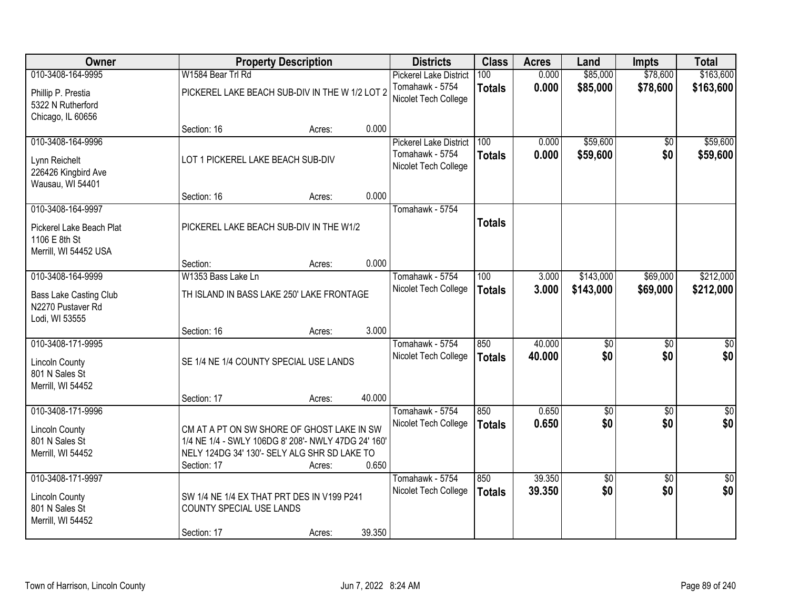| Owner                         |                                                     | <b>Property Description</b> |        | <b>Districts</b>                        | <b>Class</b>  | <b>Acres</b> | Land        | <b>Impts</b>    | <b>Total</b> |
|-------------------------------|-----------------------------------------------------|-----------------------------|--------|-----------------------------------------|---------------|--------------|-------------|-----------------|--------------|
| 010-3408-164-9995             | W1584 Bear Trl Rd                                   |                             |        | Pickerel Lake District                  | 100           | 0.000        | \$85,000    | \$78,600        | \$163,600    |
| Phillip P. Prestia            | PICKEREL LAKE BEACH SUB-DIV IN THE W 1/2 LOT 2      |                             |        | Tomahawk - 5754<br>Nicolet Tech College | <b>Totals</b> | 0.000        | \$85,000    | \$78,600        | \$163,600    |
| 5322 N Rutherford             |                                                     |                             |        |                                         |               |              |             |                 |              |
| Chicago, IL 60656             | Section: 16                                         |                             | 0.000  |                                         |               |              |             |                 |              |
| 010-3408-164-9996             |                                                     | Acres:                      |        | <b>Pickerel Lake District</b>           | 100           | 0.000        | \$59,600    | \$0             | \$59,600     |
|                               |                                                     |                             |        | Tomahawk - 5754                         |               | 0.000        | \$59,600    | \$0             | \$59,600     |
| Lynn Reichelt                 | LOT 1 PICKEREL LAKE BEACH SUB-DIV                   |                             |        | Nicolet Tech College                    | <b>Totals</b> |              |             |                 |              |
| 226426 Kingbird Ave           |                                                     |                             |        |                                         |               |              |             |                 |              |
| Wausau, WI 54401              |                                                     |                             |        |                                         |               |              |             |                 |              |
|                               | Section: 16                                         | Acres:                      | 0.000  |                                         |               |              |             |                 |              |
| 010-3408-164-9997             |                                                     |                             |        | Tomahawk - 5754                         |               |              |             |                 |              |
| Pickerel Lake Beach Plat      | PICKEREL LAKE BEACH SUB-DIV IN THE W1/2             |                             |        |                                         | <b>Totals</b> |              |             |                 |              |
| 1106 E 8th St                 |                                                     |                             |        |                                         |               |              |             |                 |              |
| Merrill, WI 54452 USA         |                                                     |                             |        |                                         |               |              |             |                 |              |
|                               | Section:                                            | Acres:                      | 0.000  |                                         |               |              |             |                 |              |
| 010-3408-164-9999             | W1353 Bass Lake Ln                                  |                             |        | Tomahawk - 5754                         | 100           | 3.000        | \$143,000   | \$69,000        | \$212,000    |
| <b>Bass Lake Casting Club</b> | TH ISLAND IN BASS LAKE 250' LAKE FRONTAGE           |                             |        | Nicolet Tech College                    | <b>Totals</b> | 3.000        | \$143,000   | \$69,000        | \$212,000    |
| N2270 Pustaver Rd             |                                                     |                             |        |                                         |               |              |             |                 |              |
| Lodi, WI 53555                |                                                     |                             |        |                                         |               |              |             |                 |              |
|                               | Section: 16                                         | Acres:                      | 3.000  |                                         |               |              |             |                 |              |
| 010-3408-171-9995             |                                                     |                             |        | Tomahawk - 5754                         | 850           | 40.000       | \$0         | $\overline{50}$ | \$0          |
| <b>Lincoln County</b>         | SE 1/4 NE 1/4 COUNTY SPECIAL USE LANDS              |                             |        | Nicolet Tech College                    | <b>Totals</b> | 40.000       | \$0         | \$0             | \$0          |
| 801 N Sales St                |                                                     |                             |        |                                         |               |              |             |                 |              |
| Merrill, WI 54452             |                                                     |                             |        |                                         |               |              |             |                 |              |
|                               | Section: 17                                         | Acres:                      | 40.000 |                                         |               |              |             |                 |              |
| 010-3408-171-9996             |                                                     |                             |        | Tomahawk - 5754                         | 850           | 0.650        | $\sqrt{$0}$ | $\overline{50}$ | \$0          |
| <b>Lincoln County</b>         | CM AT A PT ON SW SHORE OF GHOST LAKE IN SW          |                             |        | Nicolet Tech College                    | <b>Totals</b> | 0.650        | \$0         | \$0             | \$0          |
| 801 N Sales St                | 1/4 NE 1/4 - SWLY 106DG 8' 208'- NWLY 47DG 24' 160' |                             |        |                                         |               |              |             |                 |              |
| Merrill, WI 54452             | NELY 124DG 34' 130'- SELY ALG SHR SD LAKE TO        |                             |        |                                         |               |              |             |                 |              |
|                               | Section: 17                                         | Acres:                      | 0.650  |                                         |               |              |             |                 |              |
| 010-3408-171-9997             |                                                     |                             |        | Tomahawk - 5754                         | 850           | 39.350       | \$0         | $\overline{50}$ | $\sqrt{50}$  |
| <b>Lincoln County</b>         | SW 1/4 NE 1/4 EX THAT PRT DES IN V199 P241          |                             |        | Nicolet Tech College                    | <b>Totals</b> | 39.350       | \$0         | \$0             | \$0          |
| 801 N Sales St                | COUNTY SPECIAL USE LANDS                            |                             |        |                                         |               |              |             |                 |              |
| Merrill, WI 54452             |                                                     |                             |        |                                         |               |              |             |                 |              |
|                               | Section: 17                                         | Acres:                      | 39.350 |                                         |               |              |             |                 |              |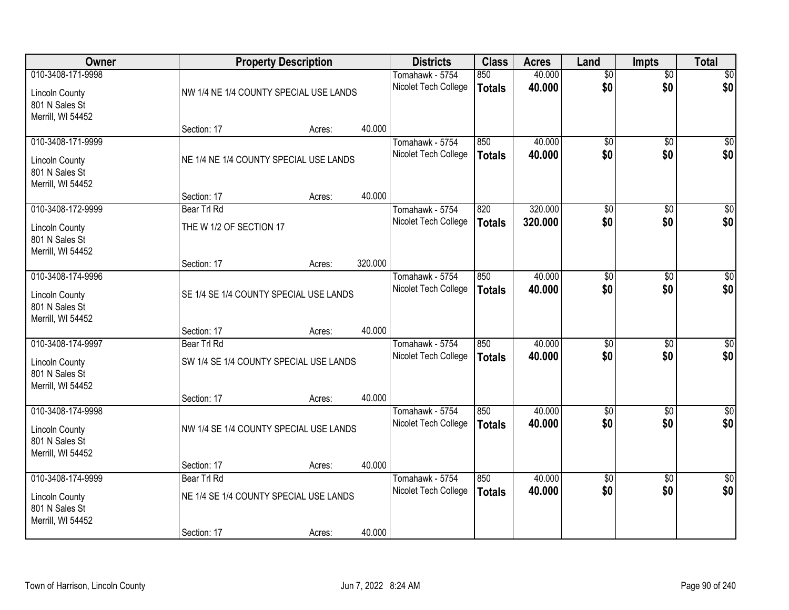| Owner                                                        | <b>Property Description</b>            |        |         | <b>Districts</b>     | <b>Class</b>  | <b>Acres</b> | Land            | <b>Impts</b>    | <b>Total</b>     |
|--------------------------------------------------------------|----------------------------------------|--------|---------|----------------------|---------------|--------------|-----------------|-----------------|------------------|
| 010-3408-171-9998                                            |                                        |        |         | Tomahawk - 5754      | 850           | 40.000       | $\overline{50}$ | $\overline{50}$ | \$0              |
| <b>Lincoln County</b><br>801 N Sales St<br>Merrill, WI 54452 | NW 1/4 NE 1/4 COUNTY SPECIAL USE LANDS |        |         | Nicolet Tech College | <b>Totals</b> | 40.000       | \$0             | \$0             | \$0              |
|                                                              | Section: 17                            | Acres: | 40.000  |                      |               |              |                 |                 |                  |
| 010-3408-171-9999                                            |                                        |        |         | Tomahawk - 5754      | 850           | 40.000       | $\overline{50}$ | $\overline{50}$ | $\sqrt{50}$      |
| <b>Lincoln County</b><br>801 N Sales St<br>Merrill, WI 54452 | NE 1/4 NE 1/4 COUNTY SPECIAL USE LANDS |        |         | Nicolet Tech College | <b>Totals</b> | 40.000       | \$0             | \$0             | \$0              |
|                                                              | Section: 17                            | Acres: | 40.000  |                      |               |              |                 |                 |                  |
| 010-3408-172-9999                                            | Bear Trl Rd                            |        |         | Tomahawk - 5754      | 820           | 320.000      | \$0             | \$0             | \$0              |
| <b>Lincoln County</b><br>801 N Sales St<br>Merrill, WI 54452 | THE W 1/2 OF SECTION 17                |        |         | Nicolet Tech College | <b>Totals</b> | 320.000      | \$0             | \$0             | \$0              |
|                                                              | Section: 17                            | Acres: | 320.000 |                      |               |              |                 |                 |                  |
| 010-3408-174-9996                                            |                                        |        |         | Tomahawk - 5754      | 850           | 40.000       | \$0             | \$0             | $\sqrt{50}$      |
| <b>Lincoln County</b><br>801 N Sales St<br>Merrill, WI 54452 | SE 1/4 SE 1/4 COUNTY SPECIAL USE LANDS |        |         | Nicolet Tech College | <b>Totals</b> | 40.000       | \$0             | \$0             | \$0              |
|                                                              | Section: 17                            | Acres: | 40.000  |                      |               |              |                 |                 |                  |
| 010-3408-174-9997                                            | Bear Trl Rd                            |        |         | Tomahawk - 5754      | 850           | 40.000       | $\overline{50}$ | $\overline{50}$ | $\sqrt{50}$      |
| <b>Lincoln County</b>                                        | SW 1/4 SE 1/4 COUNTY SPECIAL USE LANDS |        |         | Nicolet Tech College | <b>Totals</b> | 40.000       | \$0             | \$0             | \$0              |
| 801 N Sales St<br>Merrill, WI 54452                          |                                        |        |         |                      |               |              |                 |                 |                  |
|                                                              | Section: 17                            | Acres: | 40.000  |                      |               |              |                 |                 |                  |
| 010-3408-174-9998                                            |                                        |        |         | Tomahawk - 5754      | 850           | 40.000       | \$0             | \$0             | $\overline{\$0}$ |
| <b>Lincoln County</b><br>801 N Sales St<br>Merrill, WI 54452 | NW 1/4 SE 1/4 COUNTY SPECIAL USE LANDS |        |         | Nicolet Tech College | <b>Totals</b> | 40.000       | \$0             | \$0             | \$0              |
|                                                              | Section: 17                            | Acres: | 40.000  |                      |               |              |                 |                 |                  |
| 010-3408-174-9999                                            | Bear Trl Rd                            |        |         | Tomahawk - 5754      | 850           | 40.000       | $\overline{50}$ | $\overline{30}$ | $\overline{30}$  |
| <b>Lincoln County</b><br>801 N Sales St<br>Merrill, WI 54452 | NE 1/4 SE 1/4 COUNTY SPECIAL USE LANDS |        |         | Nicolet Tech College | <b>Totals</b> | 40.000       | \$0             | \$0             | \$0              |
|                                                              | Section: 17                            | Acres: | 40.000  |                      |               |              |                 |                 |                  |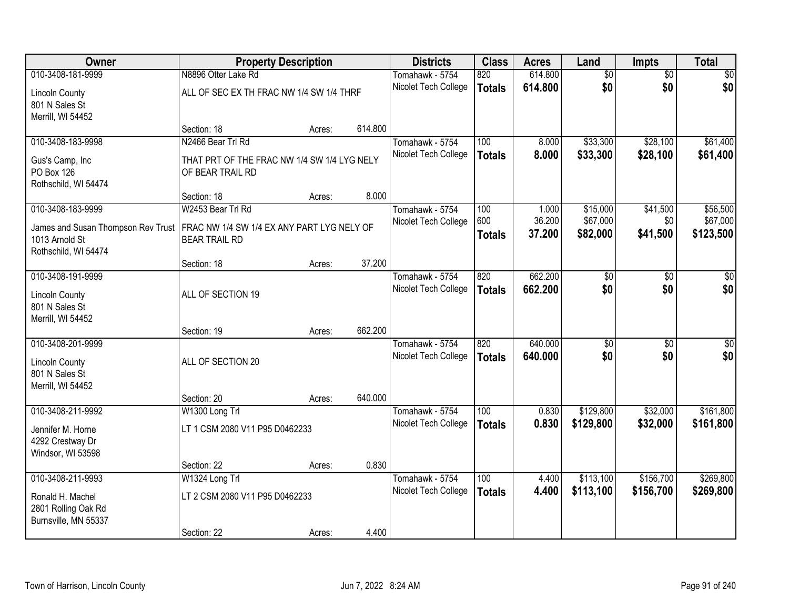| Owner                                   | <b>Property Description</b>                 |        |         | <b>Districts</b>                        | <b>Class</b>  | <b>Acres</b>    | Land                 | <b>Impts</b>    | <b>Total</b>         |
|-----------------------------------------|---------------------------------------------|--------|---------|-----------------------------------------|---------------|-----------------|----------------------|-----------------|----------------------|
| 010-3408-181-9999                       | N8896 Otter Lake Rd                         |        |         | Tomahawk - 5754                         | 820           | 614.800         | $\overline{50}$      | $\overline{50}$ | $\overline{50}$      |
| <b>Lincoln County</b>                   | ALL OF SEC EX TH FRAC NW 1/4 SW 1/4 THRF    |        |         | Nicolet Tech College                    | <b>Totals</b> | 614.800         | \$0                  | \$0             | \$0                  |
| 801 N Sales St                          |                                             |        |         |                                         |               |                 |                      |                 |                      |
| Merrill, WI 54452                       |                                             |        |         |                                         |               |                 |                      |                 |                      |
|                                         | Section: 18                                 | Acres: | 614.800 |                                         |               |                 |                      |                 |                      |
| 010-3408-183-9998                       | N2466 Bear Trl Rd                           |        |         | Tomahawk - 5754                         | 100           | 8.000           | \$33,300             | \$28,100        | \$61,400             |
| Gus's Camp, Inc                         | THAT PRT OF THE FRAC NW 1/4 SW 1/4 LYG NELY |        |         | Nicolet Tech College                    | <b>Totals</b> | 8.000           | \$33,300             | \$28,100        | \$61,400             |
| <b>PO Box 126</b>                       | OF BEAR TRAIL RD                            |        |         |                                         |               |                 |                      |                 |                      |
| Rothschild, WI 54474                    |                                             |        |         |                                         |               |                 |                      |                 |                      |
|                                         | Section: 18                                 | Acres: | 8.000   |                                         |               |                 |                      |                 |                      |
| 010-3408-183-9999                       | W2453 Bear Trl Rd                           |        |         | Tomahawk - 5754<br>Nicolet Tech College | 100<br>600    | 1.000<br>36.200 | \$15,000<br>\$67,000 | \$41,500<br>\$0 | \$56,500<br>\$67,000 |
| James and Susan Thompson Rev Trust      | FRAC NW 1/4 SW 1/4 EX ANY PART LYG NELY OF  |        |         |                                         | <b>Totals</b> | 37.200          | \$82,000             | \$41,500        | \$123,500            |
| 1013 Arnold St                          | <b>BEAR TRAIL RD</b>                        |        |         |                                         |               |                 |                      |                 |                      |
| Rothschild, WI 54474                    |                                             |        | 37.200  |                                         |               |                 |                      |                 |                      |
| 010-3408-191-9999                       | Section: 18                                 | Acres: |         | Tomahawk - 5754                         | 820           | 662.200         | $\overline{60}$      | $\overline{30}$ | $\overline{50}$      |
|                                         |                                             |        |         | Nicolet Tech College                    | <b>Totals</b> | 662.200         | \$0                  | \$0             | \$0                  |
| <b>Lincoln County</b>                   | ALL OF SECTION 19                           |        |         |                                         |               |                 |                      |                 |                      |
| 801 N Sales St<br>Merrill, WI 54452     |                                             |        |         |                                         |               |                 |                      |                 |                      |
|                                         | Section: 19                                 | Acres: | 662.200 |                                         |               |                 |                      |                 |                      |
| 010-3408-201-9999                       |                                             |        |         | Tomahawk - 5754                         | 820           | 640.000         | \$0                  | $\overline{50}$ | $\overline{50}$      |
|                                         |                                             |        |         | Nicolet Tech College                    | <b>Totals</b> | 640.000         | \$0                  | \$0             | \$0                  |
| <b>Lincoln County</b><br>801 N Sales St | ALL OF SECTION 20                           |        |         |                                         |               |                 |                      |                 |                      |
| Merrill, WI 54452                       |                                             |        |         |                                         |               |                 |                      |                 |                      |
|                                         | Section: 20                                 | Acres: | 640.000 |                                         |               |                 |                      |                 |                      |
| 010-3408-211-9992                       | W1300 Long Trl                              |        |         | Tomahawk - 5754                         | 100           | 0.830           | \$129,800            | \$32,000        | \$161,800            |
| Jennifer M. Horne                       | LT 1 CSM 2080 V11 P95 D0462233              |        |         | Nicolet Tech College                    | <b>Totals</b> | 0.830           | \$129,800            | \$32,000        | \$161,800            |
| 4292 Crestway Dr                        |                                             |        |         |                                         |               |                 |                      |                 |                      |
| Windsor, WI 53598                       |                                             |        |         |                                         |               |                 |                      |                 |                      |
|                                         | Section: 22                                 | Acres: | 0.830   |                                         |               |                 |                      |                 |                      |
| 010-3408-211-9993                       | W1324 Long Trl                              |        |         | Tomahawk - 5754                         | 100           | 4.400           | \$113,100            | \$156,700       | \$269,800            |
| Ronald H. Machel                        | LT 2 CSM 2080 V11 P95 D0462233              |        |         | Nicolet Tech College                    | <b>Totals</b> | 4.400           | \$113,100            | \$156,700       | \$269,800            |
| 2801 Rolling Oak Rd                     |                                             |        |         |                                         |               |                 |                      |                 |                      |
| Burnsville, MN 55337                    |                                             |        |         |                                         |               |                 |                      |                 |                      |
|                                         | Section: 22                                 | Acres: | 4.400   |                                         |               |                 |                      |                 |                      |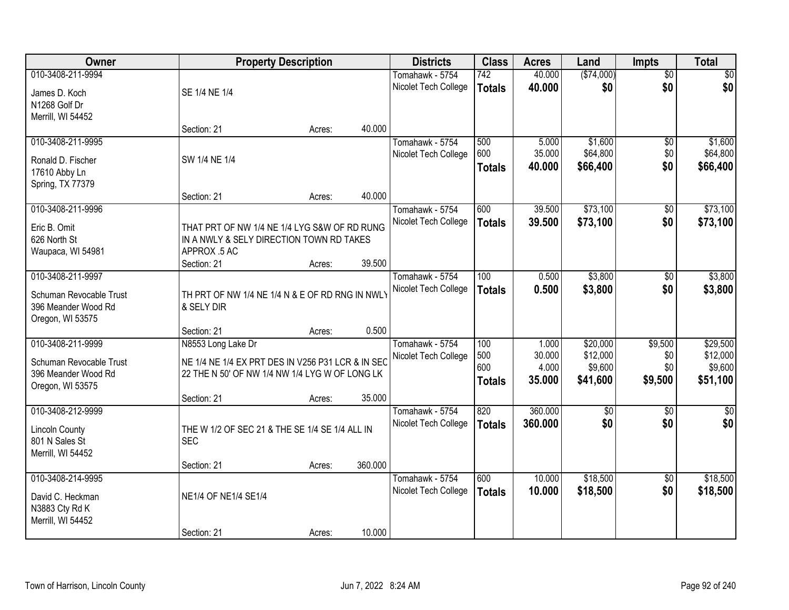| <b>Owner</b>                                                       | <b>Property Description</b>                                                              |        |         | <b>Districts</b>                        | <b>Class</b>         | <b>Acres</b>     | Land                 | Impts                  | <b>Total</b>         |
|--------------------------------------------------------------------|------------------------------------------------------------------------------------------|--------|---------|-----------------------------------------|----------------------|------------------|----------------------|------------------------|----------------------|
| 010-3408-211-9994<br>James D. Koch                                 | SE 1/4 NE 1/4                                                                            |        |         | Tomahawk - 5754<br>Nicolet Tech College | 742<br><b>Totals</b> | 40.000<br>40.000 | (\$74,000)<br>\$0    | $\overline{50}$<br>\$0 | \$0<br>\$0           |
| N1268 Golf Dr<br>Merrill, WI 54452                                 |                                                                                          |        |         |                                         |                      |                  |                      |                        |                      |
|                                                                    | Section: 21                                                                              | Acres: | 40.000  |                                         |                      |                  |                      |                        |                      |
| 010-3408-211-9995                                                  |                                                                                          |        |         | Tomahawk - 5754                         | 500                  | 5.000            | \$1,600              | $\overline{50}$        | \$1,600              |
| Ronald D. Fischer                                                  | SW 1/4 NE 1/4                                                                            |        |         | Nicolet Tech College                    | 600<br><b>Totals</b> | 35.000<br>40.000 | \$64,800<br>\$66,400 | \$0<br>\$0             | \$64,800<br>\$66,400 |
| 17610 Abby Ln<br>Spring, TX 77379                                  |                                                                                          |        |         |                                         |                      |                  |                      |                        |                      |
| 010-3408-211-9996                                                  | Section: 21                                                                              | Acres: | 40.000  |                                         |                      |                  |                      |                        |                      |
|                                                                    |                                                                                          |        |         | Tomahawk - 5754<br>Nicolet Tech College | 600<br><b>Totals</b> | 39.500<br>39.500 | \$73,100<br>\$73,100 | \$0<br>\$0             | \$73,100<br>\$73,100 |
| Eric B. Omit<br>626 North St                                       | THAT PRT OF NW 1/4 NE 1/4 LYG S&W OF RD RUNG<br>IN A NWLY & SELY DIRECTION TOWN RD TAKES |        |         |                                         |                      |                  |                      |                        |                      |
| Waupaca, WI 54981                                                  | APPROX .5 AC                                                                             |        |         |                                         |                      |                  |                      |                        |                      |
|                                                                    | Section: 21                                                                              | Acres: | 39.500  |                                         |                      |                  |                      |                        |                      |
| 010-3408-211-9997                                                  |                                                                                          |        |         | Tomahawk - 5754                         | 100                  | 0.500            | \$3,800              | \$0                    | \$3,800              |
| Schuman Revocable Trust<br>396 Meander Wood Rd<br>Oregon, WI 53575 | TH PRT OF NW 1/4 NE 1/4 N & E OF RD RNG IN NWLY<br>& SELY DIR                            |        |         | Nicolet Tech College                    | <b>Totals</b>        | 0.500            | \$3,800              | \$0                    | \$3,800              |
|                                                                    | Section: 21                                                                              | Acres: | 0.500   |                                         |                      |                  |                      |                        |                      |
| 010-3408-211-9999                                                  | N8553 Long Lake Dr                                                                       |        |         | Tomahawk - 5754                         | 100                  | 1.000            | \$20,000             | \$9,500                | \$29,500             |
| Schuman Revocable Trust                                            | NE 1/4 NE 1/4 EX PRT DES IN V256 P31 LCR & IN SEC                                        |        |         | Nicolet Tech College                    | 500<br>600           | 30.000<br>4.000  | \$12,000<br>\$9,600  | \$0<br>\$0             | \$12,000<br>\$9,600  |
| 396 Meander Wood Rd                                                | 22 THE N 50' OF NW 1/4 NW 1/4 LYG W OF LONG LK                                           |        |         |                                         | <b>Totals</b>        | 35.000           | \$41,600             | \$9,500                | \$51,100             |
| Oregon, WI 53575                                                   | Section: 21                                                                              | Acres: | 35.000  |                                         |                      |                  |                      |                        |                      |
| 010-3408-212-9999                                                  |                                                                                          |        |         | Tomahawk - 5754                         | 820                  | 360.000          | $\overline{60}$      | $\overline{50}$        | $\overline{\$0}$     |
| Lincoln County<br>801 N Sales St<br>Merrill, WI 54452              | THE W 1/2 OF SEC 21 & THE SE 1/4 SE 1/4 ALL IN<br><b>SEC</b>                             |        |         | Nicolet Tech College                    | <b>Totals</b>        | 360.000          | \$0                  | \$0                    | \$0                  |
|                                                                    | Section: 21                                                                              | Acres: | 360.000 |                                         |                      |                  |                      |                        |                      |
| 010-3408-214-9995                                                  |                                                                                          |        |         | Tomahawk - 5754                         | 600                  | 10.000           | \$18,500             | $\overline{50}$        | \$18,500             |
| David C. Heckman<br>N3883 Cty Rd K<br>Merrill, WI 54452            | NE1/4 OF NE1/4 SE1/4                                                                     |        |         | Nicolet Tech College                    | <b>Totals</b>        | 10.000           | \$18,500             | \$0                    | \$18,500             |
|                                                                    | Section: 21                                                                              | Acres: | 10.000  |                                         |                      |                  |                      |                        |                      |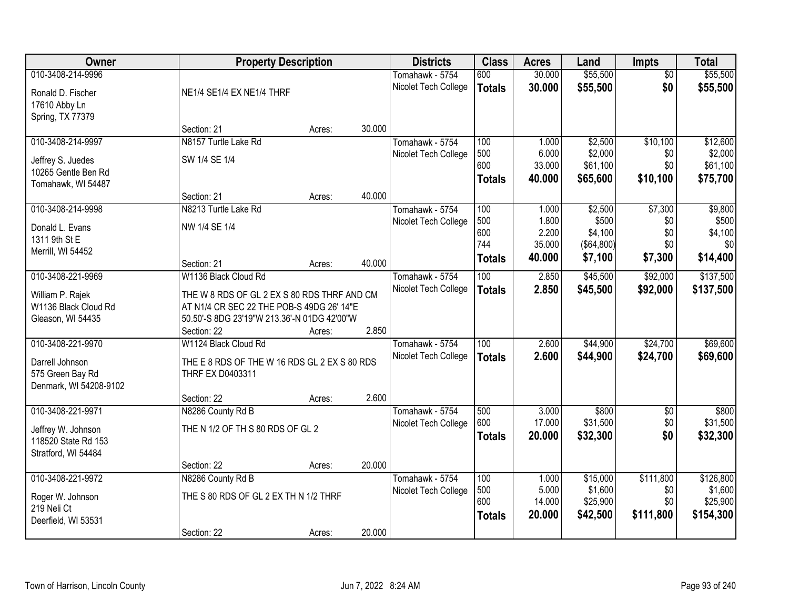| Owner                  | <b>Property Description</b>                  |        |        | <b>Districts</b>     | <b>Class</b>  | <b>Acres</b>    | Land       | <b>Impts</b>    | <b>Total</b>   |
|------------------------|----------------------------------------------|--------|--------|----------------------|---------------|-----------------|------------|-----------------|----------------|
| 010-3408-214-9996      |                                              |        |        | Tomahawk - 5754      | 600           | 30.000          | \$55,500   | $\overline{50}$ | \$55,500       |
| Ronald D. Fischer      | NE1/4 SE1/4 EX NE1/4 THRF                    |        |        | Nicolet Tech College | <b>Totals</b> | 30.000          | \$55,500   | \$0             | \$55,500       |
| 17610 Abby Ln          |                                              |        |        |                      |               |                 |            |                 |                |
| Spring, TX 77379       |                                              |        |        |                      |               |                 |            |                 |                |
|                        | Section: 21                                  | Acres: | 30.000 |                      |               |                 |            |                 |                |
| 010-3408-214-9997      | N8157 Turtle Lake Rd                         |        |        | Tomahawk - 5754      | 100           | 1.000           | \$2,500    | \$10,100        | \$12,600       |
|                        |                                              |        |        | Nicolet Tech College | 500           | 6.000           | \$2,000    | \$0             | \$2,000        |
| Jeffrey S. Juedes      | SW 1/4 SE 1/4                                |        |        |                      | 600           | 33.000          | \$61,100   | \$0             | \$61,100       |
| 10265 Gentle Ben Rd    |                                              |        |        |                      | <b>Totals</b> | 40.000          | \$65,600   | \$10,100        | \$75,700       |
| Tomahawk, WI 54487     |                                              |        |        |                      |               |                 |            |                 |                |
|                        | Section: 21                                  | Acres: | 40.000 |                      |               |                 |            |                 |                |
| 010-3408-214-9998      | N8213 Turtle Lake Rd                         |        |        | Tomahawk - 5754      | 100           | 1.000           | \$2,500    | \$7,300         | \$9,800        |
| Donald L. Evans        | NW 1/4 SE 1/4                                |        |        | Nicolet Tech College | 500<br>600    | 1.800           | \$500      | \$0<br>\$0      | \$500          |
| 1311 9th St E          |                                              |        |        |                      | 744           | 2.200<br>35.000 | \$4,100    | \$0             | \$4,100<br>\$0 |
| Merrill, WI 54452      |                                              |        |        |                      |               |                 | (\$64,800) |                 |                |
|                        | Section: 21                                  | Acres: | 40.000 |                      | <b>Totals</b> | 40.000          | \$7,100    | \$7,300         | \$14,400       |
| 010-3408-221-9969      | W1136 Black Cloud Rd                         |        |        | Tomahawk - 5754      | 100           | 2.850           | \$45,500   | \$92,000        | \$137,500      |
|                        |                                              |        |        | Nicolet Tech College | <b>Totals</b> | 2.850           | \$45,500   | \$92,000        | \$137,500      |
| William P. Rajek       | THE W 8 RDS OF GL 2 EX S 80 RDS THRF AND CM  |        |        |                      |               |                 |            |                 |                |
| W1136 Black Cloud Rd   | AT N1/4 CR SEC 22 THE POB-S 49DG 26' 14"E    |        |        |                      |               |                 |            |                 |                |
| Gleason, WI 54435      | 50.50'-S 8DG 23'19"W 213.36'-N 01DG 42'00"W  |        | 2.850  |                      |               |                 |            |                 |                |
|                        | Section: 22                                  | Acres: |        |                      |               |                 |            |                 |                |
| 010-3408-221-9970      | W1124 Black Cloud Rd                         |        |        | Tomahawk - 5754      | 100           | 2.600           | \$44,900   | \$24,700        | \$69,600       |
| Darrell Johnson        | THE E 8 RDS OF THE W 16 RDS GL 2 EX S 80 RDS |        |        | Nicolet Tech College | <b>Totals</b> | 2.600           | \$44,900   | \$24,700        | \$69,600       |
| 575 Green Bay Rd       | THRF EX D0403311                             |        |        |                      |               |                 |            |                 |                |
| Denmark, WI 54208-9102 |                                              |        |        |                      |               |                 |            |                 |                |
|                        | Section: 22                                  | Acres: | 2.600  |                      |               |                 |            |                 |                |
| 010-3408-221-9971      | N8286 County Rd B                            |        |        | Tomahawk - 5754      | 500           | 3.000           | \$800      | $\overline{60}$ | \$800          |
| Jeffrey W. Johnson     | THE N 1/2 OF TH S 80 RDS OF GL 2             |        |        | Nicolet Tech College | 600           | 17.000          | \$31,500   | \$0             | \$31,500       |
| 118520 State Rd 153    |                                              |        |        |                      | <b>Totals</b> | 20.000          | \$32,300   | \$0             | \$32,300       |
| Stratford, WI 54484    |                                              |        |        |                      |               |                 |            |                 |                |
|                        | Section: 22                                  | Acres: | 20.000 |                      |               |                 |            |                 |                |
| 010-3408-221-9972      | N8286 County Rd B                            |        |        | Tomahawk - 5754      | 100           | 1.000           | \$15,000   | \$111,800       | \$126,800      |
|                        |                                              |        |        | Nicolet Tech College | 500           | 5.000           | \$1,600    | \$0             | \$1,600        |
| Roger W. Johnson       | THE S 80 RDS OF GL 2 EX TH N 1/2 THRF        |        |        |                      | 600           | 14.000          | \$25,900   | \$0             | \$25,900       |
| 219 Neli Ct            |                                              |        |        |                      | <b>Totals</b> | 20.000          | \$42,500   | \$111,800       | \$154,300      |
| Deerfield, WI 53531    |                                              |        |        |                      |               |                 |            |                 |                |
|                        | Section: 22                                  | Acres: | 20.000 |                      |               |                 |            |                 |                |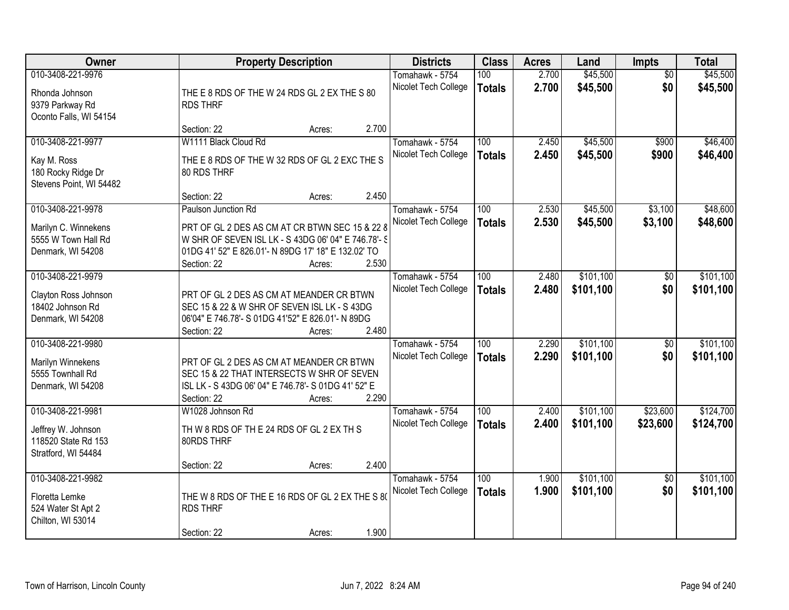| Owner                                                                                 | <b>Property Description</b>                                                                                                                                                                                           | <b>Districts</b>                        | <b>Class</b>                      | <b>Acres</b>   | Land                   | Impts                  | <b>Total</b>           |
|---------------------------------------------------------------------------------------|-----------------------------------------------------------------------------------------------------------------------------------------------------------------------------------------------------------------------|-----------------------------------------|-----------------------------------|----------------|------------------------|------------------------|------------------------|
| 010-3408-221-9976<br>Rhonda Johnson<br>9379 Parkway Rd<br>Oconto Falls, WI 54154      | THE E 8 RDS OF THE W 24 RDS GL 2 EX THE S 80<br><b>RDS THRF</b>                                                                                                                                                       | Tomahawk - 5754<br>Nicolet Tech College | 100<br><b>Totals</b>              | 2.700<br>2.700 | \$45,500<br>\$45,500   | $\overline{50}$<br>\$0 | \$45,500<br>\$45,500   |
|                                                                                       | 2.700<br>Section: 22<br>Acres:                                                                                                                                                                                        |                                         |                                   |                |                        |                        |                        |
| 010-3408-221-9977<br>Kay M. Ross<br>180 Rocky Ridge Dr<br>Stevens Point, WI 54482     | W1111 Black Cloud Rd<br>THE E 8 RDS OF THE W 32 RDS OF GL 2 EXC THE S<br>80 RDS THRF                                                                                                                                  | Tomahawk - 5754<br>Nicolet Tech College | 100<br><b>Totals</b>              | 2.450<br>2.450 | \$45,500<br>\$45,500   | \$900<br>\$900         | \$46,400<br>\$46,400   |
|                                                                                       | 2.450<br>Section: 22<br>Acres:                                                                                                                                                                                        |                                         |                                   |                |                        |                        |                        |
| 010-3408-221-9978<br>Marilyn C. Winnekens<br>5555 W Town Hall Rd<br>Denmark, WI 54208 | Paulson Junction Rd<br>PRT OF GL 2 DES AS CM AT CR BTWN SEC 15 & 22 &<br>W SHR OF SEVEN ISL LK - S 43DG 06' 04" E 746.78'- S<br>01DG 41' 52" E 826.01'- N 89DG 17' 18" E 132.02' TO<br>2.530<br>Section: 22<br>Acres: | Tomahawk - 5754<br>Nicolet Tech College | 100<br><b>Totals</b>              | 2.530<br>2.530 | \$45,500<br>\$45,500   | \$3,100<br>\$3,100     | \$48,600<br>\$48,600   |
| 010-3408-221-9979<br>Clayton Ross Johnson<br>18402 Johnson Rd<br>Denmark, WI 54208    | PRT OF GL 2 DES AS CM AT MEANDER CR BTWN<br>SEC 15 & 22 & W SHR OF SEVEN ISL LK - S 43DG<br>06'04" E 746.78'- S 01DG 41'52" E 826.01'- N 89DG<br>2.480<br>Section: 22<br>Acres:                                       | Tomahawk - 5754<br>Nicolet Tech College | 100<br><b>Totals</b>              | 2.480<br>2.480 | \$101,100<br>\$101,100 | \$0<br>\$0             | \$101,100<br>\$101,100 |
| 010-3408-221-9980<br>Marilyn Winnekens<br>5555 Townhall Rd<br>Denmark, WI 54208       | PRT OF GL 2 DES AS CM AT MEANDER CR BTWN<br>SEC 15 & 22 THAT INTERSECTS W SHR OF SEVEN<br>ISL LK - S 43DG 06' 04" E 746.78'- S 01DG 41' 52" E<br>2.290<br>Section: 22<br>Acres:                                       | Tomahawk - 5754<br>Nicolet Tech College | $\overline{100}$<br><b>Totals</b> | 2.290<br>2.290 | \$101,100<br>\$101,100 | $\overline{50}$<br>\$0 | \$101,100<br>\$101,100 |
| 010-3408-221-9981<br>Jeffrey W. Johnson<br>118520 State Rd 153<br>Stratford, WI 54484 | W1028 Johnson Rd<br>TH W 8 RDS OF TH E 24 RDS OF GL 2 EX TH S<br>80RDS THRF<br>2.400<br>Section: 22<br>Acres:                                                                                                         | Tomahawk - 5754<br>Nicolet Tech College | 100<br><b>Totals</b>              | 2.400<br>2.400 | \$101,100<br>\$101,100 | \$23,600<br>\$23,600   | \$124,700<br>\$124,700 |
| 010-3408-221-9982<br>Floretta Lemke<br>524 Water St Apt 2<br>Chilton, WI 53014        | THE W 8 RDS OF THE E 16 RDS OF GL 2 EX THE S 80<br><b>RDS THRF</b><br>1.900<br>Section: 22<br>Acres:                                                                                                                  | Tomahawk - 5754<br>Nicolet Tech College | 100<br><b>Totals</b>              | 1.900<br>1.900 | \$101,100<br>\$101,100 | $\overline{50}$<br>\$0 | \$101,100<br>\$101,100 |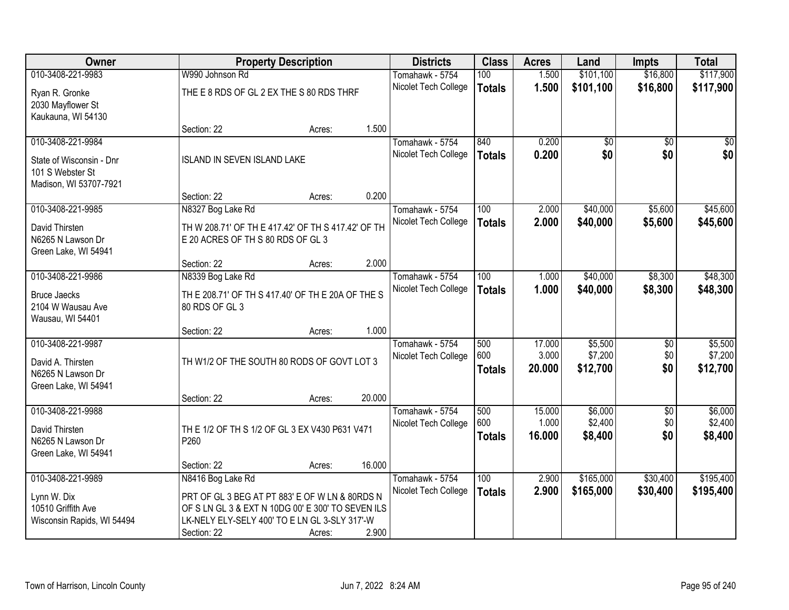| Owner                      |                                                    | <b>Property Description</b> |        | <b>Districts</b>     | <b>Class</b>  | <b>Acres</b> | Land            | <b>Impts</b>    | <b>Total</b>    |
|----------------------------|----------------------------------------------------|-----------------------------|--------|----------------------|---------------|--------------|-----------------|-----------------|-----------------|
| 010-3408-221-9983          | W990 Johnson Rd                                    |                             |        | Tomahawk - 5754      | 100           | 1.500        | \$101,100       | \$16,800        | \$117,900       |
| Ryan R. Gronke             | THE E 8 RDS OF GL 2 EX THE S 80 RDS THRF           |                             |        | Nicolet Tech College | <b>Totals</b> | 1.500        | \$101,100       | \$16,800        | \$117,900       |
| 2030 Mayflower St          |                                                    |                             |        |                      |               |              |                 |                 |                 |
| Kaukauna, WI 54130         |                                                    |                             |        |                      |               |              |                 |                 |                 |
|                            | Section: 22                                        | Acres:                      | 1.500  |                      |               |              |                 |                 |                 |
| 010-3408-221-9984          |                                                    |                             |        | Tomahawk - 5754      | 840           | 0.200        | $\overline{50}$ | $\overline{50}$ | $\overline{50}$ |
| State of Wisconsin - Dnr   | <b>ISLAND IN SEVEN ISLAND LAKE</b>                 |                             |        | Nicolet Tech College | <b>Totals</b> | 0.200        | \$0             | \$0             | \$0             |
| 101 S Webster St           |                                                    |                             |        |                      |               |              |                 |                 |                 |
| Madison, WI 53707-7921     |                                                    |                             |        |                      |               |              |                 |                 |                 |
|                            | Section: 22                                        | Acres:                      | 0.200  |                      |               |              |                 |                 |                 |
| 010-3408-221-9985          | N8327 Bog Lake Rd                                  |                             |        | Tomahawk - 5754      | 100           | 2.000        | \$40,000        | \$5,600         | \$45,600        |
| David Thirsten             | TH W 208.71' OF TH E 417.42' OF TH S 417.42' OF TH |                             |        | Nicolet Tech College | <b>Totals</b> | 2.000        | \$40,000        | \$5,600         | \$45,600        |
| N6265 N Lawson Dr          | E 20 ACRES OF TH S 80 RDS OF GL 3                  |                             |        |                      |               |              |                 |                 |                 |
| Green Lake, WI 54941       |                                                    |                             |        |                      |               |              |                 |                 |                 |
|                            | Section: 22                                        | Acres:                      | 2.000  |                      |               |              |                 |                 |                 |
| 010-3408-221-9986          | N8339 Bog Lake Rd                                  |                             |        | Tomahawk - 5754      | 100           | 1.000        | \$40,000        | \$8,300         | \$48,300        |
| <b>Bruce Jaecks</b>        | TH E 208.71' OF TH S 417.40' OF TH E 20A OF THE S  |                             |        | Nicolet Tech College | <b>Totals</b> | 1.000        | \$40,000        | \$8,300         | \$48,300        |
| 2104 W Wausau Ave          | 80 RDS OF GL 3                                     |                             |        |                      |               |              |                 |                 |                 |
| Wausau, WI 54401           |                                                    |                             |        |                      |               |              |                 |                 |                 |
|                            | Section: 22                                        | Acres:                      | 1.000  |                      |               |              |                 |                 |                 |
| 010-3408-221-9987          |                                                    |                             |        | Tomahawk - 5754      | 500           | 17.000       | \$5,500         | \$0             | \$5,500         |
| David A. Thirsten          | TH W1/2 OF THE SOUTH 80 RODS OF GOVT LOT 3         |                             |        | Nicolet Tech College | 600           | 3.000        | \$7,200         | \$0             | \$7,200         |
| N6265 N Lawson Dr          |                                                    |                             |        |                      | <b>Totals</b> | 20.000       | \$12,700        | \$0             | \$12,700        |
| Green Lake, WI 54941       |                                                    |                             |        |                      |               |              |                 |                 |                 |
|                            | Section: 22                                        | Acres:                      | 20.000 |                      |               |              |                 |                 |                 |
| 010-3408-221-9988          |                                                    |                             |        | Tomahawk - 5754      | 500           | 15.000       | \$6,000         | $\overline{50}$ | \$6,000         |
| David Thirsten             | TH E 1/2 OF TH S 1/2 OF GL 3 EX V430 P631 V471     |                             |        | Nicolet Tech College | 600           | 1.000        | \$2,400         | \$0             | \$2,400         |
| N6265 N Lawson Dr          | P260                                               |                             |        |                      | <b>Totals</b> | 16.000       | \$8,400         | \$0             | \$8,400         |
| Green Lake, WI 54941       |                                                    |                             |        |                      |               |              |                 |                 |                 |
|                            | Section: 22                                        | Acres:                      | 16.000 |                      |               |              |                 |                 |                 |
| 010-3408-221-9989          | N8416 Bog Lake Rd                                  |                             |        | Tomahawk - 5754      | 100           | 2.900        | \$165,000       | \$30,400        | \$195,400       |
| Lynn W. Dix                | PRT OF GL 3 BEG AT PT 883' E OF W LN & 80RDS N     |                             |        | Nicolet Tech College | <b>Totals</b> | 2.900        | \$165,000       | \$30,400        | \$195,400       |
| 10510 Griffith Ave         | OF S LN GL 3 & EXT N 10DG 00' E 300' TO SEVEN ILS  |                             |        |                      |               |              |                 |                 |                 |
| Wisconsin Rapids, WI 54494 | LK-NELY ELY-SELY 400' TO E LN GL 3-SLY 317'-W      |                             |        |                      |               |              |                 |                 |                 |
|                            | Section: 22                                        | Acres:                      | 2.900  |                      |               |              |                 |                 |                 |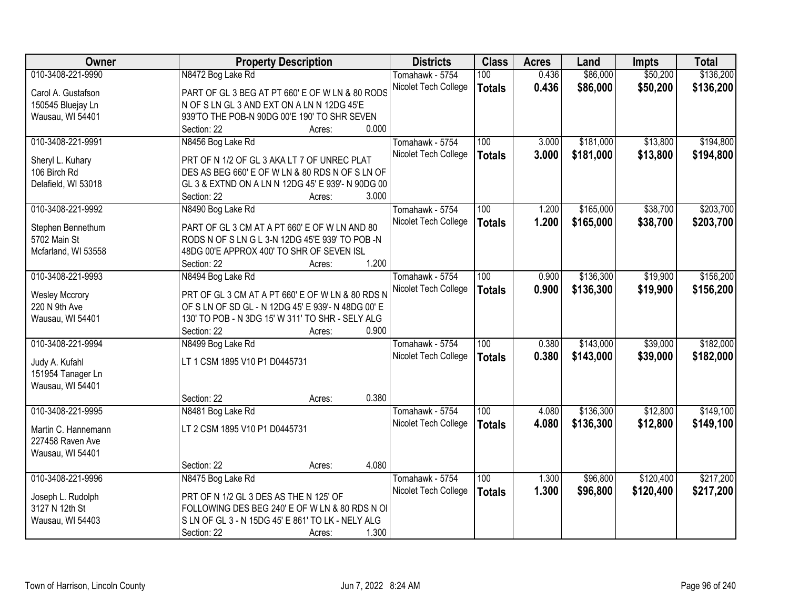| Owner                               | <b>Property Description</b>                        | <b>Districts</b>     | <b>Class</b>     | <b>Acres</b> | Land      | <b>Impts</b> | <b>Total</b> |
|-------------------------------------|----------------------------------------------------|----------------------|------------------|--------------|-----------|--------------|--------------|
| 010-3408-221-9990                   | N8472 Bog Lake Rd                                  | Tomahawk - 5754      | 100              | 0.436        | \$86,000  | \$50,200     | \$136,200    |
| Carol A. Gustafson                  | PART OF GL 3 BEG AT PT 660' E OF W LN & 80 RODS    | Nicolet Tech College | <b>Totals</b>    | 0.436        | \$86,000  | \$50,200     | \$136,200    |
| 150545 Bluejay Ln                   | N OF S LN GL 3 AND EXT ON A LN N 12DG 45'E         |                      |                  |              |           |              |              |
| Wausau, WI 54401                    | 939'TO THE POB-N 90DG 00'E 190' TO SHR SEVEN       |                      |                  |              |           |              |              |
|                                     | 0.000<br>Section: 22<br>Acres:                     |                      |                  |              |           |              |              |
| 010-3408-221-9991                   | N8456 Bog Lake Rd                                  | Tomahawk - 5754      | 100              | 3.000        | \$181,000 | \$13,800     | \$194,800    |
|                                     |                                                    | Nicolet Tech College | <b>Totals</b>    | 3.000        | \$181,000 | \$13,800     | \$194,800    |
| Sheryl L. Kuhary                    | PRT OF N 1/2 OF GL 3 AKA LT 7 OF UNREC PLAT        |                      |                  |              |           |              |              |
| 106 Birch Rd                        | DES AS BEG 660' E OF W LN & 80 RDS N OF S LN OF    |                      |                  |              |           |              |              |
| Delafield, WI 53018                 | GL 3 & EXTND ON A LN N 12DG 45' E 939'- N 90DG 00  |                      |                  |              |           |              |              |
|                                     | 3.000<br>Section: 22<br>Acres:                     |                      |                  |              |           |              |              |
| 010-3408-221-9992                   | N8490 Bog Lake Rd                                  | Tomahawk - 5754      | 100              | 1.200        | \$165,000 | \$38,700     | \$203,700    |
| Stephen Bennethum                   | PART OF GL 3 CM AT A PT 660' E OF W LN AND 80      | Nicolet Tech College | <b>Totals</b>    | 1.200        | \$165,000 | \$38,700     | \$203,700    |
| 5702 Main St                        | RODS N OF S LN G L 3-N 12DG 45'E 939' TO POB -N    |                      |                  |              |           |              |              |
| Mcfarland, WI 53558                 | 48DG 00'E APPROX 400' TO SHR OF SEVEN ISL          |                      |                  |              |           |              |              |
|                                     | 1.200<br>Section: 22<br>Acres:                     |                      |                  |              |           |              |              |
| 010-3408-221-9993                   | N8494 Bog Lake Rd                                  | Tomahawk - 5754      | 100              | 0.900        | \$136,300 | \$19,900     | \$156,200    |
|                                     |                                                    | Nicolet Tech College | <b>Totals</b>    | 0.900        | \$136,300 | \$19,900     | \$156,200    |
| <b>Wesley Mccrory</b>               | PRT OF GL 3 CM AT A PT 660' E OF W LN & 80 RDS N   |                      |                  |              |           |              |              |
| 220 N 9th Ave                       | OF S LN OF SD GL - N 12DG 45' E 939'- N 48DG 00' E |                      |                  |              |           |              |              |
| Wausau, WI 54401                    | 130' TO POB - N 3DG 15' W 311' TO SHR - SELY ALG   |                      |                  |              |           |              |              |
|                                     | 0.900<br>Section: 22<br>Acres:                     |                      |                  |              |           |              |              |
| 010-3408-221-9994                   | N8499 Bog Lake Rd                                  | Tomahawk - 5754      | $\overline{100}$ | 0.380        | \$143,000 | \$39,000     | \$182,000    |
|                                     | LT 1 CSM 1895 V10 P1 D0445731                      | Nicolet Tech College | <b>Totals</b>    | 0.380        | \$143,000 | \$39,000     | \$182,000    |
| Judy A. Kufahl<br>151954 Tanager Ln |                                                    |                      |                  |              |           |              |              |
|                                     |                                                    |                      |                  |              |           |              |              |
| Wausau, WI 54401                    | 0.380                                              |                      |                  |              |           |              |              |
|                                     | Section: 22<br>Acres:                              |                      | $\overline{100}$ |              |           | \$12,800     | \$149,100    |
| 010-3408-221-9995                   | N8481 Bog Lake Rd                                  | Tomahawk - 5754      |                  | 4.080        | \$136,300 |              |              |
| Martin C. Hannemann                 | LT 2 CSM 1895 V10 P1 D0445731                      | Nicolet Tech College | <b>Totals</b>    | 4.080        | \$136,300 | \$12,800     | \$149,100    |
| 227458 Raven Ave                    |                                                    |                      |                  |              |           |              |              |
| Wausau, WI 54401                    |                                                    |                      |                  |              |           |              |              |
|                                     | 4.080<br>Section: 22<br>Acres:                     |                      |                  |              |           |              |              |
| 010-3408-221-9996                   | N8475 Bog Lake Rd                                  | Tomahawk - 5754      | 100              | 1.300        | \$96,800  | \$120,400    | \$217,200    |
|                                     | PRT OF N 1/2 GL 3 DES AS THE N 125' OF             | Nicolet Tech College | <b>Totals</b>    | 1.300        | \$96,800  | \$120,400    | \$217,200    |
| Joseph L. Rudolph<br>3127 N 12th St | FOLLOWING DES BEG 240' E OF W LN & 80 RDS N OI     |                      |                  |              |           |              |              |
|                                     | S LN OF GL 3 - N 15DG 45' E 861' TO LK - NELY ALG  |                      |                  |              |           |              |              |
| Wausau, WI 54403                    |                                                    |                      |                  |              |           |              |              |
|                                     | 1.300<br>Section: 22<br>Acres:                     |                      |                  |              |           |              |              |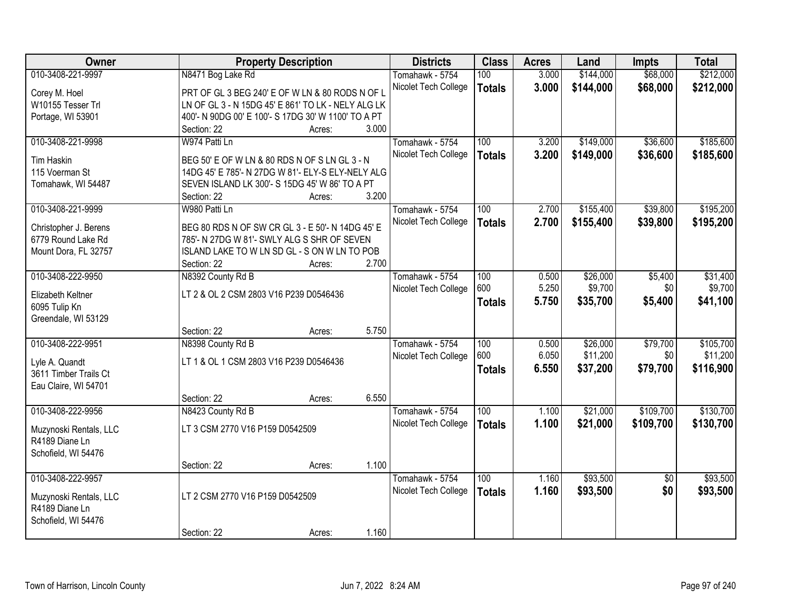| Owner                  | <b>Property Description</b>                         |                 | <b>Districts</b>     | <b>Class</b>  | <b>Acres</b> | Land      | <b>Impts</b>    | <b>Total</b> |
|------------------------|-----------------------------------------------------|-----------------|----------------------|---------------|--------------|-----------|-----------------|--------------|
| 010-3408-221-9997      | N8471 Bog Lake Rd                                   |                 | Tomahawk - 5754      | 100           | 3.000        | \$144,000 | \$68,000        | \$212,000    |
| Corey M. Hoel          | PRT OF GL 3 BEG 240' E OF W LN & 80 RODS N OF L     |                 | Nicolet Tech College | <b>Totals</b> | 3.000        | \$144,000 | \$68,000        | \$212,000    |
| W10155 Tesser Trl      | LN OF GL 3 - N 15DG 45' E 861' TO LK - NELY ALG LK  |                 |                      |               |              |           |                 |              |
| Portage, WI 53901      | 400'- N 90DG 00' E 100'- S 17DG 30' W 1100' TO A PT |                 |                      |               |              |           |                 |              |
|                        | Section: 22                                         | 3.000<br>Acres: |                      |               |              |           |                 |              |
| 010-3408-221-9998      | W974 Patti Ln                                       |                 | Tomahawk - 5754      | 100           | 3.200        | \$149,000 | \$36,600        | \$185,600    |
|                        |                                                     |                 | Nicolet Tech College | <b>Totals</b> | 3.200        | \$149,000 | \$36,600        | \$185,600    |
| Tim Haskin             | BEG 50' E OF W LN & 80 RDS N OF S LN GL 3 - N       |                 |                      |               |              |           |                 |              |
| 115 Voerman St         | 14DG 45' E 785'- N 27DG W 81'- ELY-S ELY-NELY ALG   |                 |                      |               |              |           |                 |              |
| Tomahawk, WI 54487     | SEVEN ISLAND LK 300'- S 15DG 45' W 86' TO A PT      |                 |                      |               |              |           |                 |              |
|                        | Section: 22                                         | 3.200<br>Acres: |                      |               |              |           |                 |              |
| 010-3408-221-9999      | W980 Patti Ln                                       |                 | Tomahawk - 5754      | 100           | 2.700        | \$155,400 | \$39,800        | \$195,200    |
| Christopher J. Berens  | BEG 80 RDS N OF SW CR GL 3 - E 50'- N 14DG 45' E    |                 | Nicolet Tech College | <b>Totals</b> | 2.700        | \$155,400 | \$39,800        | \$195,200    |
| 6779 Round Lake Rd     | 785'- N 27DG W 81'- SWLY ALG S SHR OF SEVEN         |                 |                      |               |              |           |                 |              |
| Mount Dora, FL 32757   | ISLAND LAKE TO W LN SD GL - S ON W LN TO POB        |                 |                      |               |              |           |                 |              |
|                        | Section: 22                                         | 2.700<br>Acres: |                      |               |              |           |                 |              |
| 010-3408-222-9950      | N8392 County Rd B                                   |                 | Tomahawk - 5754      | 100           | 0.500        | \$26,000  | \$5,400         | \$31,400     |
|                        |                                                     |                 | Nicolet Tech College | 600           | 5.250        | \$9,700   | \$0             | \$9,700      |
| Elizabeth Keltner      | LT 2 & OL 2 CSM 2803 V16 P239 D0546436              |                 |                      | <b>Totals</b> | 5.750        | \$35,700  | \$5,400         | \$41,100     |
| 6095 Tulip Kn          |                                                     |                 |                      |               |              |           |                 |              |
| Greendale, WI 53129    |                                                     |                 |                      |               |              |           |                 |              |
|                        | Section: 22                                         | 5.750<br>Acres: |                      |               |              |           |                 |              |
| 010-3408-222-9951      | N8398 County Rd B                                   |                 | Tomahawk - 5754      | 100           | 0.500        | \$26,000  | \$79,700        | \$105,700    |
| Lyle A. Quandt         | LT 1 & OL 1 CSM 2803 V16 P239 D0546436              |                 | Nicolet Tech College | 600           | 6.050        | \$11,200  | \$0             | \$11,200     |
| 3611 Timber Trails Ct  |                                                     |                 |                      | <b>Totals</b> | 6.550        | \$37,200  | \$79,700        | \$116,900    |
| Eau Claire, WI 54701   |                                                     |                 |                      |               |              |           |                 |              |
|                        | Section: 22                                         | 6.550<br>Acres: |                      |               |              |           |                 |              |
| 010-3408-222-9956      | N8423 County Rd B                                   |                 | Tomahawk - 5754      | 100           | 1.100        | \$21,000  | \$109,700       | \$130,700    |
|                        | LT 3 CSM 2770 V16 P159 D0542509                     |                 | Nicolet Tech College | <b>Totals</b> | 1.100        | \$21,000  | \$109,700       | \$130,700    |
| Muzynoski Rentals, LLC |                                                     |                 |                      |               |              |           |                 |              |
| R4189 Diane Ln         |                                                     |                 |                      |               |              |           |                 |              |
| Schofield, WI 54476    |                                                     | 1.100           |                      |               |              |           |                 |              |
| 010-3408-222-9957      | Section: 22                                         | Acres:          |                      | 100           |              |           |                 | \$93,500     |
|                        |                                                     |                 | Tomahawk - 5754      |               | 1.160        | \$93,500  | $\overline{50}$ |              |
| Muzynoski Rentals, LLC | LT 2 CSM 2770 V16 P159 D0542509                     |                 | Nicolet Tech College | <b>Totals</b> | 1.160        | \$93,500  | \$0             | \$93,500     |
| R4189 Diane Ln         |                                                     |                 |                      |               |              |           |                 |              |
| Schofield, WI 54476    |                                                     |                 |                      |               |              |           |                 |              |
|                        | Section: 22                                         | 1.160<br>Acres: |                      |               |              |           |                 |              |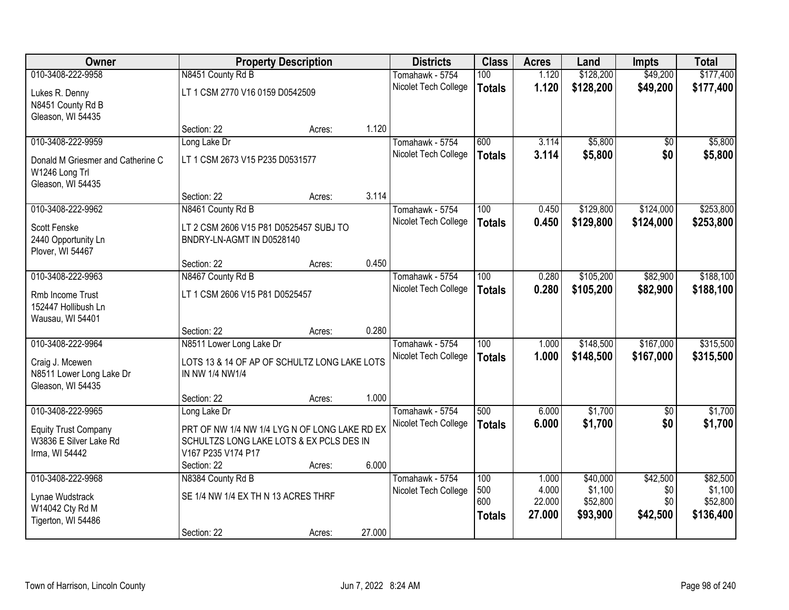| Owner                                                                                 |                                                                                                                                | <b>Property Description</b> |        | <b>Districts</b>                        | <b>Class</b>                      | <b>Acres</b>              | Land                            | <b>Impts</b>           | <b>Total</b>                     |
|---------------------------------------------------------------------------------------|--------------------------------------------------------------------------------------------------------------------------------|-----------------------------|--------|-----------------------------------------|-----------------------------------|---------------------------|---------------------------------|------------------------|----------------------------------|
| 010-3408-222-9958                                                                     | N8451 County Rd B                                                                                                              |                             |        | Tomahawk - 5754                         | 100                               | 1.120                     | \$128,200                       | \$49,200               | \$177,400                        |
| Lukes R. Denny<br>N8451 County Rd B<br>Gleason, WI 54435                              | LT 1 CSM 2770 V16 0159 D0542509                                                                                                |                             |        | Nicolet Tech College                    | <b>Totals</b>                     | 1.120                     | \$128,200                       | \$49,200               | \$177,400                        |
|                                                                                       | Section: 22                                                                                                                    | Acres:                      | 1.120  |                                         |                                   |                           |                                 |                        |                                  |
| 010-3408-222-9959                                                                     | Long Lake Dr                                                                                                                   |                             |        | Tomahawk - 5754                         | 600                               | 3.114                     | \$5,800                         | \$0                    | \$5,800                          |
| Donald M Griesmer and Catherine C<br>W1246 Long Trl<br>Gleason, WI 54435              | LT 1 CSM 2673 V15 P235 D0531577                                                                                                |                             |        | Nicolet Tech College                    | <b>Totals</b>                     | 3.114                     | \$5,800                         | \$0                    | \$5,800                          |
|                                                                                       | Section: 22                                                                                                                    | Acres:                      | 3.114  |                                         |                                   |                           |                                 |                        |                                  |
| 010-3408-222-9962                                                                     | N8461 County Rd B                                                                                                              |                             |        | Tomahawk - 5754                         | 100                               | 0.450                     | \$129,800                       | \$124,000              | \$253,800                        |
| Scott Fenske<br>2440 Opportunity Ln<br>Plover, WI 54467                               | LT 2 CSM 2606 V15 P81 D0525457 SUBJ TO<br>BNDRY-LN-AGMT IN D0528140                                                            |                             |        | Nicolet Tech College                    | <b>Totals</b>                     | 0.450                     | \$129,800                       | \$124,000              | \$253,800                        |
|                                                                                       | Section: 22                                                                                                                    | Acres:                      | 0.450  |                                         |                                   |                           |                                 |                        |                                  |
| 010-3408-222-9963                                                                     | N8467 County Rd B                                                                                                              |                             |        | Tomahawk - 5754                         | 100                               | 0.280                     | \$105,200                       | \$82,900               | \$188,100                        |
| Rmb Income Trust<br>152447 Hollibush Ln<br>Wausau, WI 54401                           | LT 1 CSM 2606 V15 P81 D0525457                                                                                                 |                             |        | Nicolet Tech College                    | <b>Totals</b>                     | 0.280                     | \$105,200                       | \$82,900               | \$188,100                        |
|                                                                                       | Section: 22                                                                                                                    | Acres:                      | 0.280  |                                         |                                   |                           |                                 |                        |                                  |
| 010-3408-222-9964<br>Craig J. Mcewen<br>N8511 Lower Long Lake Dr<br>Gleason, WI 54435 | N8511 Lower Long Lake Dr<br>LOTS 13 & 14 OF AP OF SCHULTZ LONG LAKE LOTS<br>IN NW 1/4 NW1/4                                    |                             |        | Tomahawk - 5754<br>Nicolet Tech College | $\overline{100}$<br><b>Totals</b> | 1.000<br>1.000            | \$148,500<br>\$148,500          | \$167,000<br>\$167,000 | \$315,500<br>\$315,500           |
|                                                                                       | Section: 22                                                                                                                    | Acres:                      | 1.000  |                                         |                                   |                           |                                 |                        |                                  |
| 010-3408-222-9965                                                                     | Long Lake Dr                                                                                                                   |                             |        | Tomahawk - 5754                         | 500                               | 6.000                     | \$1,700                         | $\sqrt{6}$             | \$1,700                          |
| <b>Equity Trust Company</b><br>W3836 E Silver Lake Rd<br>Irma, WI 54442               | PRT OF NW 1/4 NW 1/4 LYG N OF LONG LAKE RD EX<br>SCHULTZS LONG LAKE LOTS & EX PCLS DES IN<br>V167 P235 V174 P17<br>Section: 22 | Acres:                      | 6.000  | Nicolet Tech College                    | <b>Totals</b>                     | 6.000                     | \$1,700                         | \$0                    | \$1,700                          |
| 010-3408-222-9968                                                                     | N8384 County Rd B                                                                                                              |                             |        | Tomahawk - 5754                         | 100                               | 1.000                     | \$40,000                        | \$42,500               | \$82,500                         |
| Lynae Wudstrack<br>W14042 Cty Rd M<br>Tigerton, WI 54486                              | SE 1/4 NW 1/4 EX TH N 13 ACRES THRF<br>Section: 22                                                                             |                             | 27.000 | Nicolet Tech College                    | 500<br>600<br><b>Totals</b>       | 4.000<br>22.000<br>27,000 | \$1,100<br>\$52,800<br>\$93,900 | \$0<br>\$0<br>\$42,500 | \$1,100<br>\$52,800<br>\$136,400 |
|                                                                                       |                                                                                                                                | Acres:                      |        |                                         |                                   |                           |                                 |                        |                                  |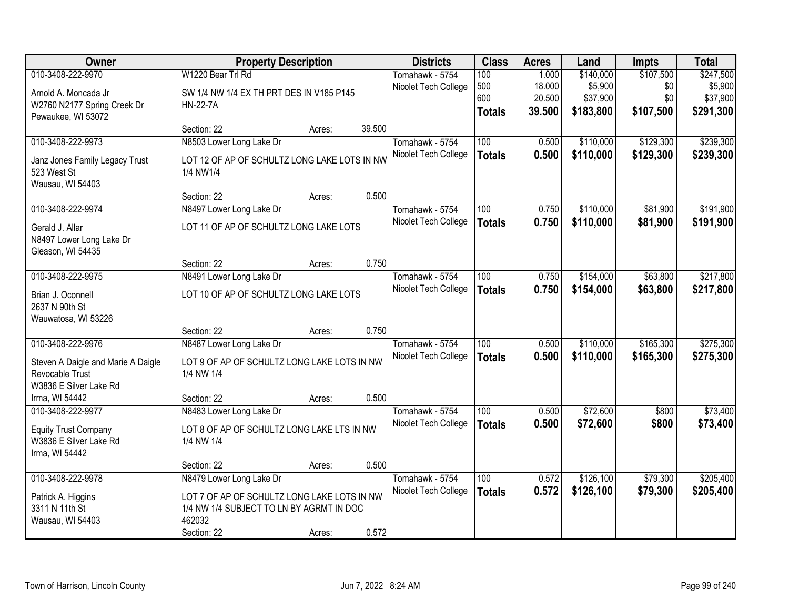| Owner                              | <b>Property Description</b>                  |        |        | <b>Districts</b>     | <b>Class</b>     | <b>Acres</b> | Land      | <b>Impts</b> | <b>Total</b> |
|------------------------------------|----------------------------------------------|--------|--------|----------------------|------------------|--------------|-----------|--------------|--------------|
| 010-3408-222-9970                  | W1220 Bear Trl Rd                            |        |        | Tomahawk - 5754      | 100              | 1.000        | \$140,000 | \$107,500    | \$247,500    |
| Arnold A. Moncada Jr               | SW 1/4 NW 1/4 EX TH PRT DES IN V185 P145     |        |        | Nicolet Tech College | 500              | 18.000       | \$5,900   | \$0          | \$5,900      |
| W2760 N2177 Spring Creek Dr        | <b>HN-22-7A</b>                              |        |        |                      | 600              | 20.500       | \$37,900  | \$0          | \$37,900     |
| Pewaukee, WI 53072                 |                                              |        |        |                      | <b>Totals</b>    | 39.500       | \$183,800 | \$107,500    | \$291,300    |
|                                    | Section: 22                                  | Acres: | 39.500 |                      |                  |              |           |              |              |
| 010-3408-222-9973                  | N8503 Lower Long Lake Dr                     |        |        | Tomahawk - 5754      | 100              | 0.500        | \$110,000 | \$129,300    | \$239,300    |
| Janz Jones Family Legacy Trust     | LOT 12 OF AP OF SCHULTZ LONG LAKE LOTS IN NW |        |        | Nicolet Tech College | <b>Totals</b>    | 0.500        | \$110,000 | \$129,300    | \$239,300    |
| 523 West St                        | 1/4 NW1/4                                    |        |        |                      |                  |              |           |              |              |
| Wausau, WI 54403                   |                                              |        |        |                      |                  |              |           |              |              |
|                                    | Section: 22                                  | Acres: | 0.500  |                      |                  |              |           |              |              |
| 010-3408-222-9974                  | N8497 Lower Long Lake Dr                     |        |        | Tomahawk - 5754      | 100              | 0.750        | \$110,000 | \$81,900     | \$191,900    |
| Gerald J. Allar                    | LOT 11 OF AP OF SCHULTZ LONG LAKE LOTS       |        |        | Nicolet Tech College | <b>Totals</b>    | 0.750        | \$110,000 | \$81,900     | \$191,900    |
| N8497 Lower Long Lake Dr           |                                              |        |        |                      |                  |              |           |              |              |
| Gleason, WI 54435                  |                                              |        |        |                      |                  |              |           |              |              |
|                                    | Section: 22                                  | Acres: | 0.750  |                      |                  |              |           |              |              |
| 010-3408-222-9975                  | N8491 Lower Long Lake Dr                     |        |        | Tomahawk - 5754      | 100              | 0.750        | \$154,000 | \$63,800     | \$217,800    |
| Brian J. Oconnell                  | LOT 10 OF AP OF SCHULTZ LONG LAKE LOTS       |        |        | Nicolet Tech College | <b>Totals</b>    | 0.750        | \$154,000 | \$63,800     | \$217,800    |
| 2637 N 90th St                     |                                              |        |        |                      |                  |              |           |              |              |
| Wauwatosa, WI 53226                |                                              |        |        |                      |                  |              |           |              |              |
|                                    | Section: 22                                  | Acres: | 0.750  |                      |                  |              |           |              |              |
| 010-3408-222-9976                  | N8487 Lower Long Lake Dr                     |        |        | Tomahawk - 5754      | $\overline{100}$ | 0.500        | \$110,000 | \$165,300    | \$275,300    |
| Steven A Daigle and Marie A Daigle | LOT 9 OF AP OF SCHULTZ LONG LAKE LOTS IN NW  |        |        | Nicolet Tech College | <b>Totals</b>    | 0.500        | \$110,000 | \$165,300    | \$275,300    |
| Revocable Trust                    | 1/4 NW 1/4                                   |        |        |                      |                  |              |           |              |              |
| W3836 E Silver Lake Rd             |                                              |        |        |                      |                  |              |           |              |              |
| Irma, WI 54442                     | Section: 22                                  | Acres: | 0.500  |                      |                  |              |           |              |              |
| 010-3408-222-9977                  | N8483 Lower Long Lake Dr                     |        |        | Tomahawk - 5754      | 100              | 0.500        | \$72,600  | \$800        | \$73,400     |
| <b>Equity Trust Company</b>        | LOT 8 OF AP OF SCHULTZ LONG LAKE LTS IN NW   |        |        | Nicolet Tech College | <b>Totals</b>    | 0.500        | \$72,600  | \$800        | \$73,400     |
| W3836 E Silver Lake Rd             | 1/4 NW 1/4                                   |        |        |                      |                  |              |           |              |              |
| Irma, WI 54442                     |                                              |        |        |                      |                  |              |           |              |              |
|                                    | Section: 22                                  | Acres: | 0.500  |                      |                  |              |           |              |              |
| 010-3408-222-9978                  | N8479 Lower Long Lake Dr                     |        |        | Tomahawk - 5754      | 100              | 0.572        | \$126,100 | \$79,300     | \$205,400    |
| Patrick A. Higgins                 | LOT 7 OF AP OF SCHULTZ LONG LAKE LOTS IN NW  |        |        | Nicolet Tech College | <b>Totals</b>    | 0.572        | \$126,100 | \$79,300     | \$205,400    |
| 3311 N 11th St                     | 1/4 NW 1/4 SUBJECT TO LN BY AGRMT IN DOC     |        |        |                      |                  |              |           |              |              |
| Wausau, WI 54403                   | 462032                                       |        |        |                      |                  |              |           |              |              |
|                                    | Section: 22                                  | Acres: | 0.572  |                      |                  |              |           |              |              |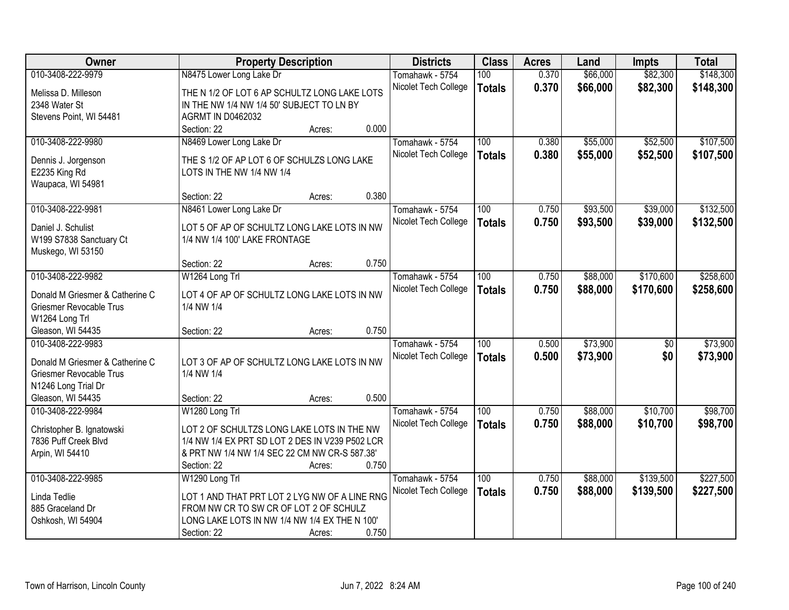| Owner                                                             | <b>Property Description</b>                               | <b>Districts</b>     | <b>Class</b>     | <b>Acres</b> | Land     | <b>Impts</b>    | <b>Total</b> |
|-------------------------------------------------------------------|-----------------------------------------------------------|----------------------|------------------|--------------|----------|-----------------|--------------|
| 010-3408-222-9979                                                 | N8475 Lower Long Lake Dr                                  | Tomahawk - 5754      | 100              | 0.370        | \$66,000 | \$82,300        | \$148,300    |
| Melissa D. Milleson                                               | THE N 1/2 OF LOT 6 AP SCHULTZ LONG LAKE LOTS              | Nicolet Tech College | <b>Totals</b>    | 0.370        | \$66,000 | \$82,300        | \$148,300    |
| 2348 Water St                                                     | IN THE NW 1/4 NW 1/4 50' SUBJECT TO LN BY                 |                      |                  |              |          |                 |              |
| Stevens Point, WI 54481                                           | <b>AGRMT IN D0462032</b>                                  |                      |                  |              |          |                 |              |
|                                                                   | 0.000<br>Section: 22<br>Acres:                            |                      |                  |              |          |                 |              |
| 010-3408-222-9980                                                 | N8469 Lower Long Lake Dr                                  | Tomahawk - 5754      | 100              | 0.380        | \$55,000 | \$52,500        | \$107,500    |
| Dennis J. Jorgenson                                               | THE S 1/2 OF AP LOT 6 OF SCHULZS LONG LAKE                | Nicolet Tech College | <b>Totals</b>    | 0.380        | \$55,000 | \$52,500        | \$107,500    |
| E2235 King Rd                                                     | LOTS IN THE NW 1/4 NW 1/4                                 |                      |                  |              |          |                 |              |
| Waupaca, WI 54981                                                 |                                                           |                      |                  |              |          |                 |              |
|                                                                   | 0.380<br>Section: 22<br>Acres:                            |                      |                  |              |          |                 |              |
| 010-3408-222-9981                                                 | N8461 Lower Long Lake Dr                                  | Tomahawk - 5754      | 100              | 0.750        | \$93,500 | \$39,000        | \$132,500    |
| Daniel J. Schulist                                                | LOT 5 OF AP OF SCHULTZ LONG LAKE LOTS IN NW               | Nicolet Tech College | <b>Totals</b>    | 0.750        | \$93,500 | \$39,000        | \$132,500    |
| W199 S7838 Sanctuary Ct                                           | 1/4 NW 1/4 100' LAKE FRONTAGE                             |                      |                  |              |          |                 |              |
| Muskego, WI 53150                                                 |                                                           |                      |                  |              |          |                 |              |
|                                                                   | 0.750<br>Section: 22<br>Acres:                            |                      |                  |              |          |                 |              |
| 010-3408-222-9982                                                 | W1264 Long Trl                                            | Tomahawk - 5754      | 100              | 0.750        | \$88,000 | \$170,600       | \$258,600    |
|                                                                   |                                                           | Nicolet Tech College | <b>Totals</b>    | 0.750        | \$88,000 | \$170,600       | \$258,600    |
| Donald M Griesmer & Catherine C<br><b>Griesmer Revocable Trus</b> | LOT 4 OF AP OF SCHULTZ LONG LAKE LOTS IN NW<br>1/4 NW 1/4 |                      |                  |              |          |                 |              |
| W1264 Long Trl                                                    |                                                           |                      |                  |              |          |                 |              |
| Gleason, WI 54435                                                 | 0.750<br>Section: 22<br>Acres:                            |                      |                  |              |          |                 |              |
| 010-3408-222-9983                                                 |                                                           | Tomahawk - 5754      | $\overline{100}$ | 0.500        | \$73,900 | $\overline{50}$ | \$73,900     |
|                                                                   |                                                           | Nicolet Tech College | <b>Totals</b>    | 0.500        | \$73,900 | \$0             | \$73,900     |
| Donald M Griesmer & Catherine C                                   | LOT 3 OF AP OF SCHULTZ LONG LAKE LOTS IN NW               |                      |                  |              |          |                 |              |
| <b>Griesmer Revocable Trus</b>                                    | 1/4 NW 1/4                                                |                      |                  |              |          |                 |              |
| N1246 Long Trial Dr                                               |                                                           |                      |                  |              |          |                 |              |
| Gleason, WI 54435                                                 | 0.500<br>Section: 22<br>Acres:                            |                      |                  |              |          |                 |              |
| 010-3408-222-9984                                                 | W1280 Long Trl                                            | Tomahawk - 5754      | $\overline{100}$ | 0.750        | \$88,000 | \$10,700        | \$98,700     |
| Christopher B. Ignatowski                                         | LOT 2 OF SCHULTZS LONG LAKE LOTS IN THE NW                | Nicolet Tech College | <b>Totals</b>    | 0.750        | \$88,000 | \$10,700        | \$98,700     |
| 7836 Puff Creek Blvd                                              | 1/4 NW 1/4 EX PRT SD LOT 2 DES IN V239 P502 LCR           |                      |                  |              |          |                 |              |
| Arpin, WI 54410                                                   | & PRT NW 1/4 NW 1/4 SEC 22 CM NW CR-S 587.38'             |                      |                  |              |          |                 |              |
|                                                                   | 0.750<br>Section: 22<br>Acres:                            |                      |                  |              |          |                 |              |
| 010-3408-222-9985                                                 | W1290 Long Trl                                            | Tomahawk - 5754      | 100              | 0.750        | \$88,000 | \$139,500       | \$227,500    |
| Linda Tedlie                                                      | LOT 1 AND THAT PRT LOT 2 LYG NW OF A LINE RNG             | Nicolet Tech College | <b>Totals</b>    | 0.750        | \$88,000 | \$139,500       | \$227,500    |
| 885 Graceland Dr                                                  | FROM NW CR TO SW CR OF LOT 2 OF SCHULZ                    |                      |                  |              |          |                 |              |
| Oshkosh, WI 54904                                                 | LONG LAKE LOTS IN NW 1/4 NW 1/4 EX THE N 100'             |                      |                  |              |          |                 |              |
|                                                                   | 0.750<br>Section: 22<br>Acres:                            |                      |                  |              |          |                 |              |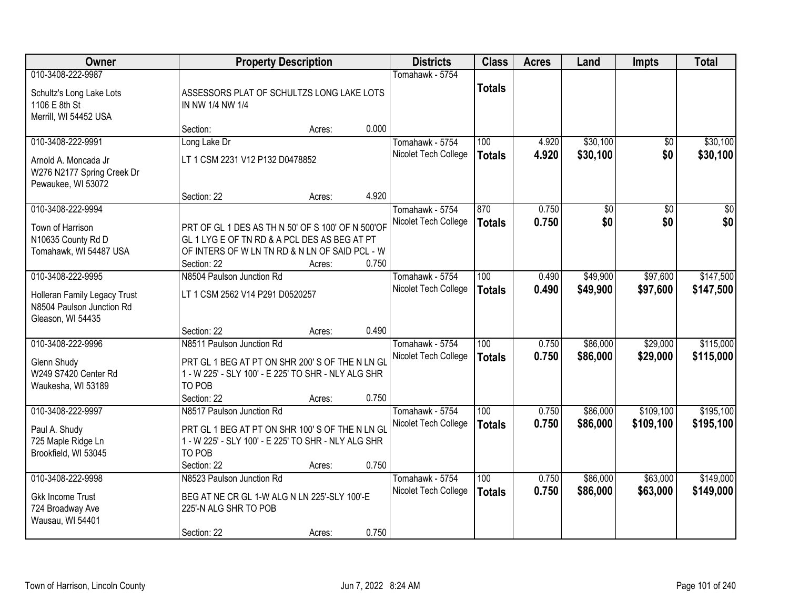| Owner                                                                                               |                                                                                                                                                                                   | <b>Property Description</b> |                |                                         | <b>Class</b>                      | <b>Acres</b>   | Land                 | <b>Impts</b>           | <b>Total</b>           |
|-----------------------------------------------------------------------------------------------------|-----------------------------------------------------------------------------------------------------------------------------------------------------------------------------------|-----------------------------|----------------|-----------------------------------------|-----------------------------------|----------------|----------------------|------------------------|------------------------|
| 010-3408-222-9987<br>Schultz's Long Lake Lots<br>1106 E 8th St<br>Merrill, WI 54452 USA             | ASSESSORS PLAT OF SCHULTZS LONG LAKE LOTS<br>IN NW 1/4 NW 1/4                                                                                                                     |                             |                | Tomahawk - 5754                         | <b>Totals</b>                     |                |                      |                        |                        |
|                                                                                                     | Section:                                                                                                                                                                          | Acres:                      | 0.000          |                                         |                                   |                |                      |                        |                        |
| 010-3408-222-9991<br>Arnold A. Moncada Jr<br>W276 N2177 Spring Creek Dr<br>Pewaukee, WI 53072       | Long Lake Dr<br>LT 1 CSM 2231 V12 P132 D0478852                                                                                                                                   |                             |                | Tomahawk - 5754<br>Nicolet Tech College | 100<br><b>Totals</b>              | 4.920<br>4.920 | \$30,100<br>\$30,100 | \$0<br>\$0             | \$30,100<br>\$30,100   |
| 010-3408-222-9994<br>Town of Harrison<br>N10635 County Rd D<br>Tomahawk, WI 54487 USA               | Section: 22<br>PRT OF GL 1 DES AS TH N 50' OF S 100' OF N 500'OF<br>GL 1 LYG E OF TN RD & A PCL DES AS BEG AT PT<br>OF INTERS OF W LN TN RD & N LN OF SAID PCL - W<br>Section: 22 | Acres:<br>Acres:            | 4.920<br>0.750 | Tomahawk - 5754<br>Nicolet Tech College | 870<br><b>Totals</b>              | 0.750<br>0.750 | \$0<br>\$0           | $\overline{50}$<br>\$0 | \$0<br>\$0             |
| 010-3408-222-9995<br>Holleran Family Legacy Trust<br>N8504 Paulson Junction Rd<br>Gleason, WI 54435 | N8504 Paulson Junction Rd<br>LT 1 CSM 2562 V14 P291 D0520257<br>Section: 22                                                                                                       | Acres:                      | 0.490          | Tomahawk - 5754<br>Nicolet Tech College | 100<br><b>Totals</b>              | 0.490<br>0.490 | \$49,900<br>\$49,900 | \$97,600<br>\$97,600   | \$147,500<br>\$147,500 |
| 010-3408-222-9996<br>Glenn Shudy<br>W249 S7420 Center Rd<br>Waukesha, WI 53189                      | N8511 Paulson Junction Rd<br>PRT GL 1 BEG AT PT ON SHR 200' S OF THE N LN GL<br>1 - W 225' - SLY 100' - E 225' TO SHR - NLY ALG SHR<br>TO POB<br>Section: 22                      | Acres:                      | 0.750          | Tomahawk - 5754<br>Nicolet Tech College | $\overline{100}$<br><b>Totals</b> | 0.750<br>0.750 | \$86,000<br>\$86,000 | \$29,000<br>\$29,000   | \$115,000<br>\$115,000 |
| 010-3408-222-9997<br>Paul A. Shudy<br>725 Maple Ridge Ln<br>Brookfield, WI 53045                    | N8517 Paulson Junction Rd<br>PRT GL 1 BEG AT PT ON SHR 100'S OF THE N LN GL<br>1 - W 225' - SLY 100' - E 225' TO SHR - NLY ALG SHR<br>TO POB<br>Section: 22                       | Acres:                      | 0.750          | Tomahawk - 5754<br>Nicolet Tech College | 100<br><b>Totals</b>              | 0.750<br>0.750 | \$86,000<br>\$86,000 | \$109,100<br>\$109,100 | \$195,100<br>\$195,100 |
| 010-3408-222-9998<br><b>Gkk Income Trust</b><br>724 Broadway Ave<br>Wausau, WI 54401                | N8523 Paulson Junction Rd<br>BEG AT NE CR GL 1-W ALG N LN 225'-SLY 100'-E<br>225'-N ALG SHR TO POB<br>Section: 22                                                                 | Acres:                      | 0.750          | Tomahawk - 5754<br>Nicolet Tech College | 100<br><b>Totals</b>              | 0.750<br>0.750 | \$86,000<br>\$86,000 | \$63,000<br>\$63,000   | \$149,000<br>\$149,000 |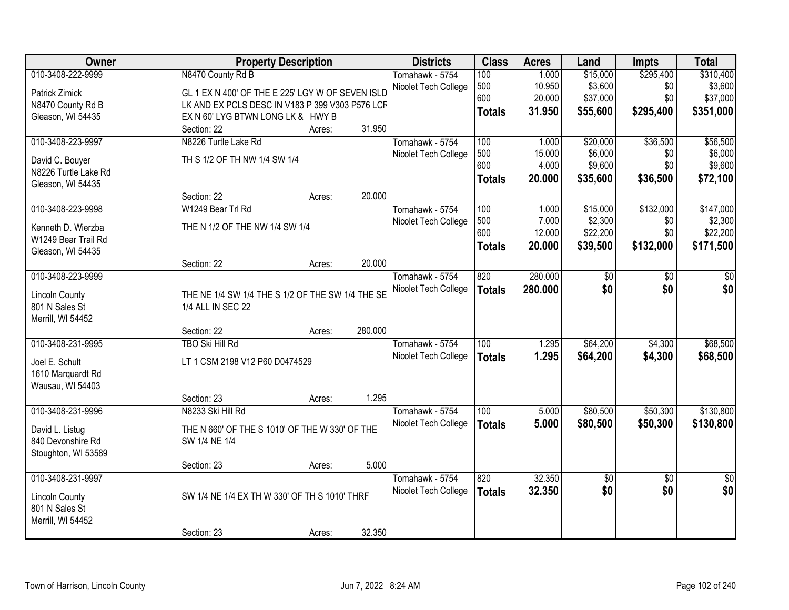| Owner                 | <b>Property Description</b>                      |        |         | <b>Districts</b>     | <b>Class</b>     | <b>Acres</b> | Land     | <b>Impts</b>    | <b>Total</b>    |
|-----------------------|--------------------------------------------------|--------|---------|----------------------|------------------|--------------|----------|-----------------|-----------------|
| 010-3408-222-9999     | N8470 County Rd B                                |        |         | Tomahawk - 5754      | 100              | 1.000        | \$15,000 | \$295,400       | \$310,400       |
| Patrick Zimick        | GL 1 EX N 400' OF THE E 225' LGY W OF SEVEN ISLD |        |         | Nicolet Tech College | 500              | 10.950       | \$3,600  | \$0             | \$3,600         |
| N8470 County Rd B     | LK AND EX PCLS DESC IN V183 P 399 V303 P576 LCF  |        |         |                      | 600              | 20.000       | \$37,000 | \$0             | \$37,000        |
| Gleason, WI 54435     | EX N 60' LYG BTWN LONG LK & HWY B                |        |         |                      | <b>Totals</b>    | 31.950       | \$55,600 | \$295,400       | \$351,000       |
|                       | Section: 22                                      | Acres: | 31.950  |                      |                  |              |          |                 |                 |
| 010-3408-223-9997     | N8226 Turtle Lake Rd                             |        |         | Tomahawk - 5754      | 100              | 1.000        | \$20,000 | \$36,500        | \$56,500        |
|                       |                                                  |        |         | Nicolet Tech College | 500              | 15.000       | \$6,000  | \$0             | \$6,000         |
| David C. Bouyer       | TH S 1/2 OF TH NW 1/4 SW 1/4                     |        |         |                      | 600              | 4.000        | \$9,600  | \$0             | \$9,600         |
| N8226 Turtle Lake Rd  |                                                  |        |         |                      | <b>Totals</b>    | 20.000       | \$35,600 | \$36,500        | \$72,100        |
| Gleason, WI 54435     |                                                  |        |         |                      |                  |              |          |                 |                 |
|                       | Section: 22                                      | Acres: | 20.000  |                      |                  |              |          |                 |                 |
| 010-3408-223-9998     | W1249 Bear Trl Rd                                |        |         | Tomahawk - 5754      | 100              | 1.000        | \$15,000 | \$132,000       | \$147,000       |
| Kenneth D. Wierzba    | THE N 1/2 OF THE NW 1/4 SW 1/4                   |        |         | Nicolet Tech College | 500              | 7.000        | \$2,300  | \$0             | \$2,300         |
| W1249 Bear Trail Rd   |                                                  |        |         |                      | 600              | 12.000       | \$22,200 | \$0             | \$22,200        |
| Gleason, WI 54435     |                                                  |        |         |                      | <b>Totals</b>    | 20.000       | \$39,500 | \$132,000       | \$171,500       |
|                       | Section: 22                                      | Acres: | 20.000  |                      |                  |              |          |                 |                 |
| 010-3408-223-9999     |                                                  |        |         | Tomahawk - 5754      | 820              | 280.000      | \$0      | \$0             | \$0             |
|                       |                                                  |        |         | Nicolet Tech College | <b>Totals</b>    | 280,000      | \$0      | \$0             | \$0             |
| <b>Lincoln County</b> | THE NE 1/4 SW 1/4 THE S 1/2 OF THE SW 1/4 THE SE |        |         |                      |                  |              |          |                 |                 |
| 801 N Sales St        | 1/4 ALL IN SEC 22                                |        |         |                      |                  |              |          |                 |                 |
| Merrill, WI 54452     |                                                  |        |         |                      |                  |              |          |                 |                 |
|                       | Section: 22                                      | Acres: | 280.000 |                      |                  |              |          |                 |                 |
| 010-3408-231-9995     | <b>TBO Ski Hill Rd</b>                           |        |         | Tomahawk - 5754      | $\overline{100}$ | 1.295        | \$64,200 | \$4,300         | \$68,500        |
| Joel E. Schult        | LT 1 CSM 2198 V12 P60 D0474529                   |        |         | Nicolet Tech College | <b>Totals</b>    | 1.295        | \$64,200 | \$4,300         | \$68,500        |
| 1610 Marquardt Rd     |                                                  |        |         |                      |                  |              |          |                 |                 |
| Wausau, WI 54403      |                                                  |        |         |                      |                  |              |          |                 |                 |
|                       | Section: 23                                      | Acres: | 1.295   |                      |                  |              |          |                 |                 |
| 010-3408-231-9996     | N8233 Ski Hill Rd                                |        |         | Tomahawk - 5754      | $\overline{100}$ | 5.000        | \$80,500 | \$50,300        | \$130,800       |
|                       |                                                  |        |         | Nicolet Tech College | <b>Totals</b>    | 5.000        | \$80,500 | \$50,300        | \$130,800       |
| David L. Listug       | THE N 660' OF THE S 1010' OF THE W 330' OF THE   |        |         |                      |                  |              |          |                 |                 |
| 840 Devonshire Rd     | SW 1/4 NE 1/4                                    |        |         |                      |                  |              |          |                 |                 |
| Stoughton, WI 53589   |                                                  |        |         |                      |                  |              |          |                 |                 |
|                       | Section: 23                                      | Acres: | 5.000   |                      |                  |              |          |                 |                 |
| 010-3408-231-9997     |                                                  |        |         | Tomahawk - 5754      | 820              | 32.350       | \$0      | $\overline{50}$ | $\overline{50}$ |
| <b>Lincoln County</b> | SW 1/4 NE 1/4 EX TH W 330' OF TH S 1010' THRF    |        |         | Nicolet Tech College | <b>Totals</b>    | 32.350       | \$0      | \$0             | \$0             |
| 801 N Sales St        |                                                  |        |         |                      |                  |              |          |                 |                 |
| Merrill, WI 54452     |                                                  |        |         |                      |                  |              |          |                 |                 |
|                       | Section: 23                                      | Acres: | 32.350  |                      |                  |              |          |                 |                 |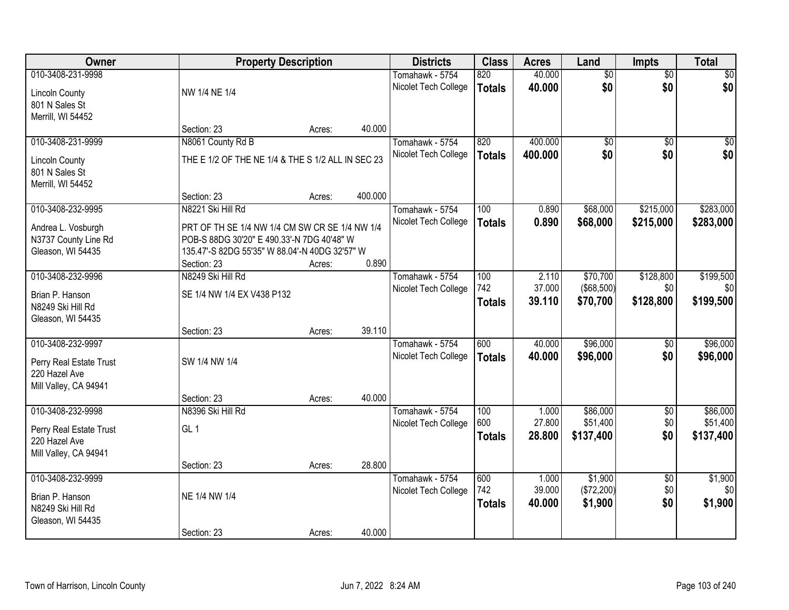| Owner                   | <b>Property Description</b>                       |        |         | <b>Districts</b>     | <b>Class</b>  | <b>Acres</b>     | Land              | Impts           | <b>Total</b>    |
|-------------------------|---------------------------------------------------|--------|---------|----------------------|---------------|------------------|-------------------|-----------------|-----------------|
| 010-3408-231-9998       |                                                   |        |         | Tomahawk - 5754      | 820           | 40.000           | $\overline{50}$   | $\overline{50}$ | \$0             |
| <b>Lincoln County</b>   | NW 1/4 NE 1/4                                     |        |         | Nicolet Tech College | <b>Totals</b> | 40.000           | \$0               | \$0             | \$0             |
| 801 N Sales St          |                                                   |        |         |                      |               |                  |                   |                 |                 |
| Merrill, WI 54452       |                                                   |        |         |                      |               |                  |                   |                 |                 |
|                         | Section: 23                                       | Acres: | 40.000  |                      |               |                  |                   |                 |                 |
| 010-3408-231-9999       | N8061 County Rd B                                 |        |         | Tomahawk - 5754      | 820           | 400.000          | $\overline{50}$   | $\overline{50}$ | $\overline{50}$ |
| <b>Lincoln County</b>   | THE E 1/2 OF THE NE 1/4 & THE S 1/2 ALL IN SEC 23 |        |         | Nicolet Tech College | <b>Totals</b> | 400.000          | \$0               | \$0             | \$0             |
| 801 N Sales St          |                                                   |        |         |                      |               |                  |                   |                 |                 |
| Merrill, WI 54452       |                                                   |        |         |                      |               |                  |                   |                 |                 |
|                         | Section: 23                                       | Acres: | 400.000 |                      |               |                  |                   |                 |                 |
| 010-3408-232-9995       | N8221 Ski Hill Rd                                 |        |         | Tomahawk - 5754      | 100           | 0.890            | \$68,000          | \$215,000       | \$283,000       |
| Andrea L. Vosburgh      | PRT OF TH SE 1/4 NW 1/4 CM SW CR SE 1/4 NW 1/4    |        |         | Nicolet Tech College | <b>Totals</b> | 0.890            | \$68,000          | \$215,000       | \$283,000       |
| N3737 County Line Rd    | POB-S 88DG 30'20" E 490.33'-N 7DG 40'48" W        |        |         |                      |               |                  |                   |                 |                 |
| Gleason, WI 54435       | 135.47'-S 82DG 55'35" W 88.04'-N 40DG 32'57" W    |        |         |                      |               |                  |                   |                 |                 |
|                         | Section: 23                                       | Acres: | 0.890   |                      |               |                  |                   |                 |                 |
| 010-3408-232-9996       | N8249 Ski Hill Rd                                 |        |         | Tomahawk - 5754      | 100           | 2.110            | \$70,700          | \$128,800       | \$199,500       |
| Brian P. Hanson         | SE 1/4 NW 1/4 EX V438 P132                        |        |         | Nicolet Tech College | 742           | 37.000           | $($ \$68,500) $ $ | \$0             | \$0             |
| N8249 Ski Hill Rd       |                                                   |        |         |                      | <b>Totals</b> | 39.110           | \$70,700          | \$128,800       | \$199,500       |
| Gleason, WI 54435       |                                                   |        |         |                      |               |                  |                   |                 |                 |
|                         | Section: 23                                       | Acres: | 39.110  |                      |               |                  |                   |                 |                 |
| 010-3408-232-9997       |                                                   |        |         | Tomahawk - 5754      | 600           | 40.000           | \$96,000          | $\overline{50}$ | \$96,000        |
| Perry Real Estate Trust | SW 1/4 NW 1/4                                     |        |         | Nicolet Tech College | <b>Totals</b> | 40.000           | \$96,000          | \$0             | \$96,000        |
| 220 Hazel Ave           |                                                   |        |         |                      |               |                  |                   |                 |                 |
| Mill Valley, CA 94941   |                                                   |        |         |                      |               |                  |                   |                 |                 |
|                         | Section: 23                                       | Acres: | 40.000  |                      |               |                  |                   |                 |                 |
| 010-3408-232-9998       | N8396 Ski Hill Rd                                 |        |         | Tomahawk - 5754      | 100           | 1.000            | \$86,000          | $\overline{50}$ | \$86,000        |
| Perry Real Estate Trust | GL <sub>1</sub>                                   |        |         | Nicolet Tech College | 600           | 27.800           | \$51,400          | \$0<br>\$0      | \$51,400        |
| 220 Hazel Ave           |                                                   |        |         |                      | <b>Totals</b> | 28.800           | \$137,400         |                 | \$137,400       |
| Mill Valley, CA 94941   |                                                   |        |         |                      |               |                  |                   |                 |                 |
|                         | Section: 23                                       | Acres: | 28.800  |                      |               |                  |                   |                 |                 |
| 010-3408-232-9999       |                                                   |        |         | Tomahawk - 5754      | 600<br>742    | 1.000            | \$1,900           | $\overline{50}$ | \$1,900         |
| Brian P. Hanson         | NE 1/4 NW 1/4                                     |        |         | Nicolet Tech College |               | 39.000<br>40.000 | (\$72,200)        | \$0<br>\$0      | \$0<br>\$1,900  |
| N8249 Ski Hill Rd       |                                                   |        |         |                      | <b>Totals</b> |                  | \$1,900           |                 |                 |
| Gleason, WI 54435       |                                                   |        |         |                      |               |                  |                   |                 |                 |
|                         | Section: 23                                       | Acres: | 40.000  |                      |               |                  |                   |                 |                 |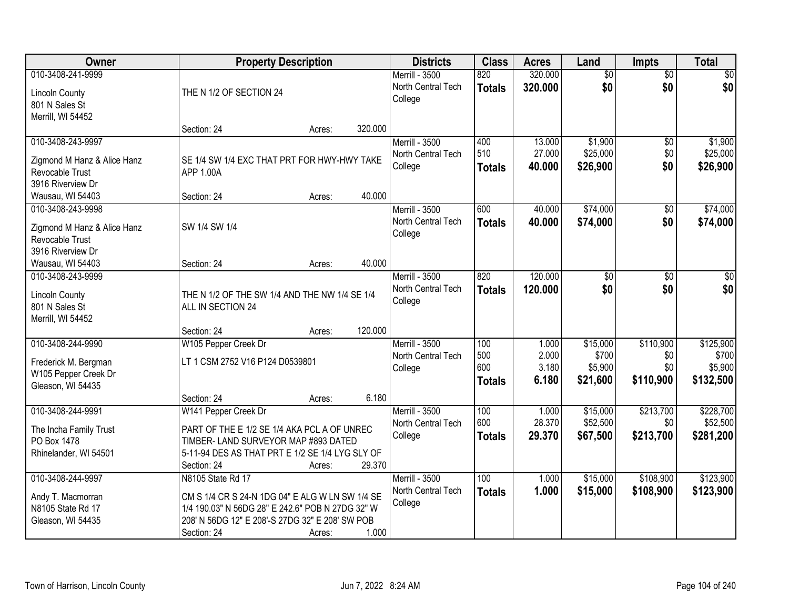| Owner                                                                                                                            | <b>Property Description</b>                                                                                                                                                                                   | <b>Districts</b>                                       | <b>Class</b>                       | <b>Acres</b>                     | Land                                     | <b>Impts</b>                         | <b>Total</b>                               |
|----------------------------------------------------------------------------------------------------------------------------------|---------------------------------------------------------------------------------------------------------------------------------------------------------------------------------------------------------------|--------------------------------------------------------|------------------------------------|----------------------------------|------------------------------------------|--------------------------------------|--------------------------------------------|
| 010-3408-241-9999<br><b>Lincoln County</b><br>801 N Sales St<br>Merrill, WI 54452                                                | THE N 1/2 OF SECTION 24                                                                                                                                                                                       | Merrill - 3500<br>North Central Tech<br>College        | 820<br><b>Totals</b>               | 320.000<br>320.000               | $\overline{50}$<br>\$0                   | $\overline{50}$<br>\$0               | $\sqrt{50}$<br>\$0                         |
|                                                                                                                                  | Section: 24<br>320.000<br>Acres:                                                                                                                                                                              |                                                        |                                    |                                  |                                          |                                      |                                            |
| 010-3408-243-9997<br>Zigmond M Hanz & Alice Hanz<br>Revocable Trust<br>3916 Riverview Dr                                         | SE 1/4 SW 1/4 EXC THAT PRT FOR HWY-HWY TAKE<br>APP 1.00A                                                                                                                                                      | Merrill - 3500<br>North Central Tech<br>College        | 400<br>510<br><b>Totals</b>        | 13.000<br>27.000<br>40.000       | \$1,900<br>\$25,000<br>\$26,900          | \$0<br>\$0<br>\$0                    | \$1,900<br>\$25,000<br>\$26,900            |
| Wausau, WI 54403<br>010-3408-243-9998<br>Zigmond M Hanz & Alice Hanz<br>Revocable Trust<br>3916 Riverview Dr<br>Wausau, WI 54403 | 40.000<br>Section: 24<br>Acres:<br>SW 1/4 SW 1/4<br>40.000<br>Section: 24<br>Acres:                                                                                                                           | Merrill - 3500<br>North Central Tech<br>College        | 600<br><b>Totals</b>               | 40.000<br>40.000                 | \$74,000<br>\$74,000                     | $\overline{50}$<br>\$0               | \$74,000<br>\$74,000                       |
| 010-3408-243-9999<br><b>Lincoln County</b><br>801 N Sales St<br>Merrill, WI 54452                                                | THE N 1/2 OF THE SW 1/4 AND THE NW 1/4 SE 1/4<br>ALL IN SECTION 24<br>120.000<br>Section: 24<br>Acres:                                                                                                        | <b>Merrill - 3500</b><br>North Central Tech<br>College | 820<br><b>Totals</b>               | 120,000<br>120.000               | \$0<br>\$0                               | \$0<br>\$0                           | \$0<br>\$0                                 |
| 010-3408-244-9990<br>Frederick M. Bergman<br>W105 Pepper Creek Dr<br>Gleason, WI 54435                                           | W105 Pepper Creek Dr<br>LT 1 CSM 2752 V16 P124 D0539801<br>6.180<br>Section: 24<br>Acres:                                                                                                                     | Merrill - 3500<br>North Central Tech<br>College        | 100<br>500<br>600<br><b>Totals</b> | 1.000<br>2.000<br>3.180<br>6.180 | \$15,000<br>\$700<br>\$5,900<br>\$21,600 | \$110,900<br>\$0<br>\$0<br>\$110,900 | \$125,900<br>\$700<br>\$5,900<br>\$132,500 |
| 010-3408-244-9991<br>The Incha Family Trust<br>PO Box 1478<br>Rhinelander, WI 54501                                              | W141 Pepper Creek Dr<br>PART OF THE E 1/2 SE 1/4 AKA PCL A OF UNREC<br>TIMBER- LAND SURVEYOR MAP #893 DATED<br>5-11-94 DES AS THAT PRT E 1/2 SE 1/4 LYG SLY OF<br>29.370<br>Section: 24<br>Acres:             | Merrill - 3500<br>North Central Tech<br>College        | 100<br>600<br><b>Totals</b>        | 1.000<br>28.370<br>29.370        | \$15,000<br>\$52,500<br>\$67,500         | \$213,700<br>\$0<br>\$213,700        | \$228,700<br>\$52,500<br>\$281,200         |
| 010-3408-244-9997<br>Andy T. Macmorran<br>N8105 State Rd 17<br>Gleason, WI 54435                                                 | N8105 State Rd 17<br>CM S 1/4 CR S 24-N 1DG 04" E ALG W LN SW 1/4 SE<br>1/4 190.03" N 56DG 28" E 242.6" POB N 27DG 32" W<br>208' N 56DG 12" E 208'-S 27DG 32" E 208' SW POB<br>1.000<br>Section: 24<br>Acres: | <b>Merrill - 3500</b><br>North Central Tech<br>College | 100<br><b>Totals</b>               | 1.000<br>1.000                   | \$15,000<br>\$15,000                     | \$108,900<br>\$108,900               | \$123,900<br>\$123,900                     |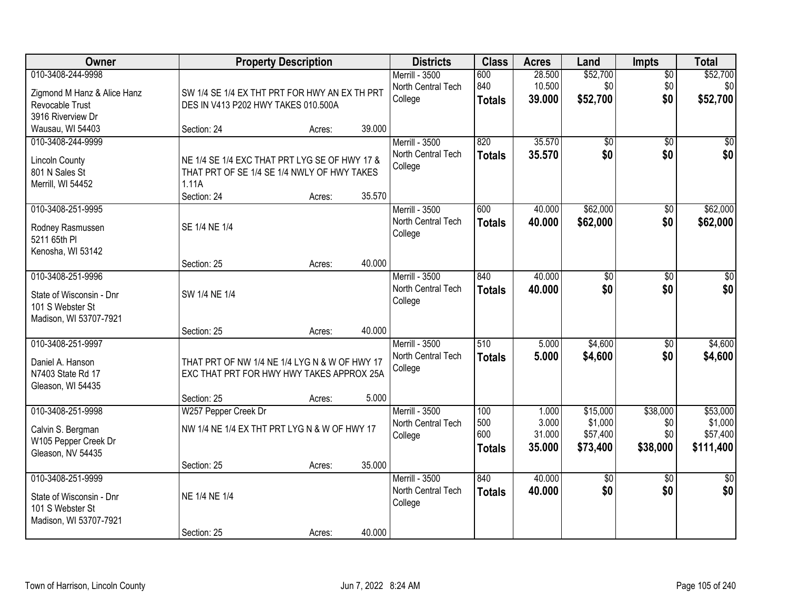| Owner                                            |                                               | <b>Property Description</b> |        | <b>Districts</b>                     | <b>Class</b>  | <b>Acres</b>     | Land            | Impts                  | <b>Total</b>    |
|--------------------------------------------------|-----------------------------------------------|-----------------------------|--------|--------------------------------------|---------------|------------------|-----------------|------------------------|-----------------|
| 010-3408-244-9998<br>Zigmond M Hanz & Alice Hanz | SW 1/4 SE 1/4 EX THT PRT FOR HWY AN EX TH PRT |                             |        | Merrill - 3500<br>North Central Tech | 600<br>840    | 28.500<br>10.500 | \$52,700<br>\$0 | $\overline{60}$<br>\$0 | \$52,700<br>\$0 |
| Revocable Trust                                  | DES IN V413 P202 HWY TAKES 010.500A           |                             |        | College                              | <b>Totals</b> | 39.000           | \$52,700        | \$0                    | \$52,700        |
| 3916 Riverview Dr                                |                                               |                             |        |                                      |               |                  |                 |                        |                 |
| Wausau, WI 54403                                 | Section: 24                                   | Acres:                      | 39.000 |                                      |               |                  |                 |                        |                 |
| 010-3408-244-9999                                |                                               |                             |        | Merrill - 3500                       | 820           | 35.570           | \$0             | $\overline{50}$        | \$0             |
| <b>Lincoln County</b>                            | NE 1/4 SE 1/4 EXC THAT PRT LYG SE OF HWY 17 & |                             |        | North Central Tech                   | <b>Totals</b> | 35.570           | \$0             | \$0                    | \$0             |
| 801 N Sales St                                   | THAT PRT OF SE 1/4 SE 1/4 NWLY OF HWY TAKES   |                             |        | College                              |               |                  |                 |                        |                 |
| Merrill, WI 54452                                | 1.11A                                         |                             |        |                                      |               |                  |                 |                        |                 |
| 010-3408-251-9995                                | Section: 24                                   | Acres:                      | 35.570 | Merrill - 3500                       | 600           | 40.000           | \$62,000        | \$0                    | \$62,000        |
|                                                  |                                               |                             |        | North Central Tech                   | <b>Totals</b> | 40.000           | \$62,000        | \$0                    | \$62,000        |
| Rodney Rasmussen                                 | SE 1/4 NE 1/4                                 |                             |        | College                              |               |                  |                 |                        |                 |
| 5211 65th PI<br>Kenosha, WI 53142                |                                               |                             |        |                                      |               |                  |                 |                        |                 |
|                                                  | Section: 25                                   | Acres:                      | 40.000 |                                      |               |                  |                 |                        |                 |
| 010-3408-251-9996                                |                                               |                             |        | Merrill - 3500                       | 840           | 40.000           | \$0             | \$0                    | \$0             |
| State of Wisconsin - Dnr                         | SW 1/4 NE 1/4                                 |                             |        | North Central Tech                   | <b>Totals</b> | 40.000           | \$0             | \$0                    | \$0             |
| 101 S Webster St                                 |                                               |                             |        | College                              |               |                  |                 |                        |                 |
| Madison, WI 53707-7921                           |                                               |                             |        |                                      |               |                  |                 |                        |                 |
|                                                  | Section: 25                                   | Acres:                      | 40.000 |                                      |               |                  |                 |                        |                 |
| 010-3408-251-9997                                |                                               |                             |        | <b>Merrill - 3500</b>                | 510           | 5.000            | \$4,600         | $\overline{50}$        | \$4,600         |
| Daniel A. Hanson                                 | THAT PRT OF NW 1/4 NE 1/4 LYG N & W OF HWY 17 |                             |        | North Central Tech<br>College        | <b>Totals</b> | 5.000            | \$4,600         | \$0                    | \$4,600         |
| N7403 State Rd 17                                | EXC THAT PRT FOR HWY HWY TAKES APPROX 25A     |                             |        |                                      |               |                  |                 |                        |                 |
| Gleason, WI 54435                                |                                               |                             |        |                                      |               |                  |                 |                        |                 |
| 010-3408-251-9998                                | Section: 25<br>W257 Pepper Creek Dr           | Acres:                      | 5.000  | Merrill - 3500                       | 100           | 1.000            | \$15,000        | \$38,000               | \$53,000        |
|                                                  |                                               |                             |        | North Central Tech                   | 500           | 3.000            | \$1,000         | \$0                    | \$1,000         |
| Calvin S. Bergman                                | NW 1/4 NE 1/4 EX THT PRT LYG N & W OF HWY 17  |                             |        | College                              | 600           | 31.000           | \$57,400        | \$0                    | \$57,400        |
| W105 Pepper Creek Dr<br>Gleason, NV 54435        |                                               |                             |        |                                      | <b>Totals</b> | 35.000           | \$73,400        | \$38,000               | \$111,400       |
|                                                  | Section: 25                                   | Acres:                      | 35.000 |                                      |               |                  |                 |                        |                 |
| 010-3408-251-9999                                |                                               |                             |        | Merrill - 3500                       | 840           | 40.000           | $\sqrt{6}$      | $\overline{30}$        | $\overline{50}$ |
| State of Wisconsin - Dnr                         | NE 1/4 NE 1/4                                 |                             |        | North Central Tech                   | <b>Totals</b> | 40.000           | \$0             | \$0                    | \$0             |
| 101 S Webster St                                 |                                               |                             |        | College                              |               |                  |                 |                        |                 |
| Madison, WI 53707-7921                           |                                               |                             |        |                                      |               |                  |                 |                        |                 |
|                                                  | Section: 25                                   | Acres:                      | 40.000 |                                      |               |                  |                 |                        |                 |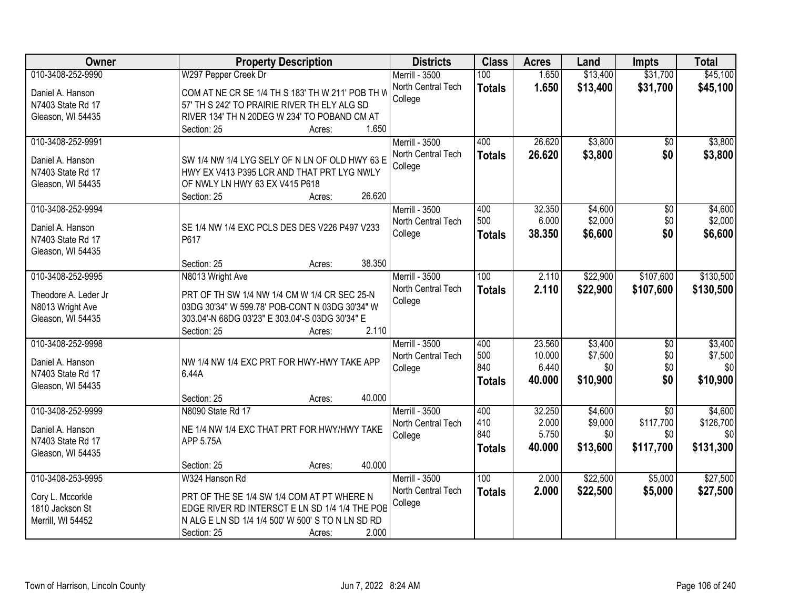| Owner                | <b>Property Description</b>                       | <b>Districts</b>      | <b>Class</b>  | <b>Acres</b> | Land     | <b>Impts</b>    | <b>Total</b> |
|----------------------|---------------------------------------------------|-----------------------|---------------|--------------|----------|-----------------|--------------|
| 010-3408-252-9990    | W297 Pepper Creek Dr                              | Merrill - 3500        | 100           | 1.650        | \$13,400 | \$31,700        | \$45,100     |
| Daniel A. Hanson     | COM AT NE CR SE 1/4 TH S 183' TH W 211' POB TH W  | North Central Tech    | <b>Totals</b> | 1.650        | \$13,400 | \$31,700        | \$45,100     |
| N7403 State Rd 17    | 57' TH S 242' TO PRAIRIE RIVER TH ELY ALG SD      | College               |               |              |          |                 |              |
| Gleason, WI 54435    | RIVER 134' TH N 20DEG W 234' TO POBAND CM AT      |                       |               |              |          |                 |              |
|                      | 1.650<br>Section: 25<br>Acres:                    |                       |               |              |          |                 |              |
| 010-3408-252-9991    |                                                   | Merrill - 3500        | 400           | 26.620       | \$3,800  | $\overline{50}$ | \$3,800      |
|                      |                                                   | North Central Tech    |               | 26.620       | \$3,800  | \$0             | \$3,800      |
| Daniel A. Hanson     | SW 1/4 NW 1/4 LYG SELY OF N LN OF OLD HWY 63 E    | College               | <b>Totals</b> |              |          |                 |              |
| N7403 State Rd 17    | HWY EX V413 P395 LCR AND THAT PRT LYG NWLY        |                       |               |              |          |                 |              |
| Gleason, WI 54435    | OF NWLY LN HWY 63 EX V415 P618                    |                       |               |              |          |                 |              |
|                      | 26.620<br>Section: 25<br>Acres:                   |                       |               |              |          |                 |              |
| 010-3408-252-9994    |                                                   | Merrill - 3500        | 400           | 32.350       | \$4,600  | $\overline{50}$ | \$4,600      |
| Daniel A. Hanson     | SE 1/4 NW 1/4 EXC PCLS DES DES V226 P497 V233     | North Central Tech    | 500           | 6.000        | \$2,000  | \$0             | \$2,000      |
| N7403 State Rd 17    | P617                                              | College               | Totals        | 38.350       | \$6,600  | \$0             | \$6,600      |
| Gleason, WI 54435    |                                                   |                       |               |              |          |                 |              |
|                      | 38.350<br>Section: 25<br>Acres:                   |                       |               |              |          |                 |              |
| 010-3408-252-9995    |                                                   | Merrill - 3500        | 100           | 2.110        |          | \$107,600       |              |
|                      | N8013 Wright Ave                                  |                       |               |              | \$22,900 |                 | \$130,500    |
| Theodore A. Leder Jr | PRT OF TH SW 1/4 NW 1/4 CM W 1/4 CR SEC 25-N      | North Central Tech    | <b>Totals</b> | 2.110        | \$22,900 | \$107,600       | \$130,500    |
| N8013 Wright Ave     | 03DG 30'34" W 599.78' POB-CONT N 03DG 30'34" W    | College               |               |              |          |                 |              |
| Gleason, WI 54435    | 303.04'-N 68DG 03'23" E 303.04'-S 03DG 30'34" E   |                       |               |              |          |                 |              |
|                      | 2.110<br>Section: 25<br>Acres:                    |                       |               |              |          |                 |              |
| 010-3408-252-9998    |                                                   | <b>Merrill - 3500</b> | 400           | 23.560       | \$3,400  | $\overline{30}$ | \$3,400      |
|                      |                                                   | North Central Tech    | 500           | 10.000       | \$7,500  | \$0             | \$7,500      |
| Daniel A. Hanson     | NW 1/4 NW 1/4 EXC PRT FOR HWY-HWY TAKE APP        | College               | 840           | 6.440        | \$0      | \$0             | \$0          |
| N7403 State Rd 17    | 6.44A                                             |                       | <b>Totals</b> | 40.000       | \$10,900 | \$0             | \$10,900     |
| Gleason, WI 54435    |                                                   |                       |               |              |          |                 |              |
|                      | 40.000<br>Section: 25<br>Acres:                   |                       |               |              |          |                 |              |
| 010-3408-252-9999    | N8090 State Rd 17                                 | Merrill - 3500        | 400           | 32.250       | \$4,600  | $\overline{50}$ | \$4,600      |
| Daniel A. Hanson     | NE 1/4 NW 1/4 EXC THAT PRT FOR HWY/HWY TAKE       | North Central Tech    | 410           | 2.000        | \$9,000  | \$117,700       | \$126,700    |
| N7403 State Rd 17    | APP 5.75A                                         | College               | 840           | 5.750        | \$0      | \$0             | \$0          |
| Gleason, WI 54435    |                                                   |                       | <b>Totals</b> | 40.000       | \$13,600 | \$117,700       | \$131,300    |
|                      | 40.000<br>Section: 25<br>Acres:                   |                       |               |              |          |                 |              |
| 010-3408-253-9995    | W324 Hanson Rd                                    | Merrill - 3500        | 100           | 2.000        | \$22,500 | \$5,000         | \$27,500     |
|                      |                                                   | North Central Tech    | <b>Totals</b> | 2.000        | \$22,500 | \$5,000         | \$27,500     |
| Cory L. Mccorkle     | PRT OF THE SE 1/4 SW 1/4 COM AT PT WHERE N        | College               |               |              |          |                 |              |
| 1810 Jackson St      | EDGE RIVER RD INTERSCT E LN SD 1/4 1/4 THE POB    |                       |               |              |          |                 |              |
| Merrill, WI 54452    | N ALG E LN SD 1/4 1/4 500' W 500' S TO N LN SD RD |                       |               |              |          |                 |              |
|                      | 2.000<br>Section: 25<br>Acres:                    |                       |               |              |          |                 |              |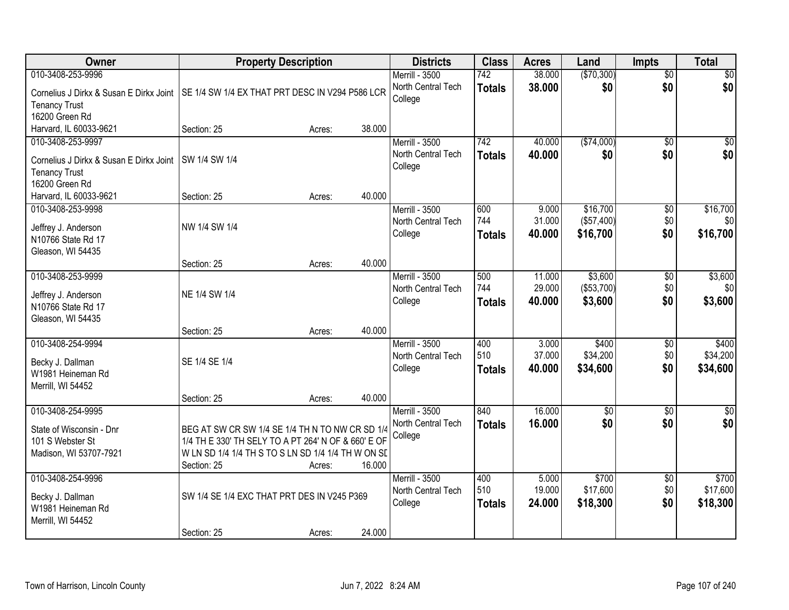| Owner                                   |                                                     | <b>Property Description</b> |        | <b>Districts</b>      | <b>Class</b>     | <b>Acres</b> | Land            | <b>Impts</b>    | <b>Total</b>    |
|-----------------------------------------|-----------------------------------------------------|-----------------------------|--------|-----------------------|------------------|--------------|-----------------|-----------------|-----------------|
| 010-3408-253-9996                       |                                                     |                             |        | Merrill - 3500        | 742              | 38.000       | (\$70,300)      | $\overline{50}$ | \$0             |
| Cornelius J Dirkx & Susan E Dirkx Joint | SE 1/4 SW 1/4 EX THAT PRT DESC IN V294 P586 LCR     |                             |        | North Central Tech    | <b>Totals</b>    | 38.000       | \$0             | \$0             | \$0             |
| <b>Tenancy Trust</b>                    |                                                     |                             |        | College               |                  |              |                 |                 |                 |
| 16200 Green Rd                          |                                                     |                             |        |                       |                  |              |                 |                 |                 |
| Harvard, IL 60033-9621                  | Section: 25                                         | Acres:                      | 38.000 |                       |                  |              |                 |                 |                 |
| 010-3408-253-9997                       |                                                     |                             |        | <b>Merrill - 3500</b> | $\overline{742}$ | 40.000       | (\$74,000)      | $\overline{50}$ | $\overline{50}$ |
| Cornelius J Dirkx & Susan E Dirkx Joint | SW 1/4 SW 1/4                                       |                             |        | North Central Tech    | <b>Totals</b>    | 40.000       | \$0             | \$0             | \$0             |
| <b>Tenancy Trust</b>                    |                                                     |                             |        | College               |                  |              |                 |                 |                 |
| 16200 Green Rd                          |                                                     |                             |        |                       |                  |              |                 |                 |                 |
| Harvard, IL 60033-9621                  | Section: 25                                         | Acres:                      | 40.000 |                       |                  |              |                 |                 |                 |
| 010-3408-253-9998                       |                                                     |                             |        | <b>Merrill - 3500</b> | 600              | 9.000        | \$16,700        | $\overline{50}$ | \$16,700        |
| Jeffrey J. Anderson                     | NW 1/4 SW 1/4                                       |                             |        | North Central Tech    | 744              | 31.000       | (\$57,400)      | \$0             | \$0             |
| N10766 State Rd 17                      |                                                     |                             |        | College               | <b>Totals</b>    | 40.000       | \$16,700        | \$0             | \$16,700        |
| Gleason, WI 54435                       |                                                     |                             |        |                       |                  |              |                 |                 |                 |
|                                         | Section: 25                                         | Acres:                      | 40.000 |                       |                  |              |                 |                 |                 |
| 010-3408-253-9999                       |                                                     |                             |        | Merrill - 3500        | 500              | 11.000       | \$3,600         | \$0             | \$3,600         |
| Jeffrey J. Anderson                     | NE 1/4 SW 1/4                                       |                             |        | North Central Tech    | 744              | 29.000       | (\$53,700)      | \$0             | \$0             |
| N10766 State Rd 17                      |                                                     |                             |        | College               | <b>Totals</b>    | 40.000       | \$3,600         | \$0             | \$3,600         |
| Gleason, WI 54435                       |                                                     |                             |        |                       |                  |              |                 |                 |                 |
|                                         | Section: 25                                         | Acres:                      | 40.000 |                       |                  |              |                 |                 |                 |
| 010-3408-254-9994                       |                                                     |                             |        | <b>Merrill - 3500</b> | 400              | 3.000        | \$400           | $\overline{50}$ | \$400           |
| Becky J. Dallman                        | SE 1/4 SE 1/4                                       |                             |        | North Central Tech    | 510              | 37.000       | \$34,200        | \$0             | \$34,200        |
| W1981 Heineman Rd                       |                                                     |                             |        | College               | <b>Totals</b>    | 40.000       | \$34,600        | \$0             | \$34,600        |
| Merrill, WI 54452                       |                                                     |                             |        |                       |                  |              |                 |                 |                 |
|                                         | Section: 25                                         | Acres:                      | 40.000 |                       |                  |              |                 |                 |                 |
| 010-3408-254-9995                       |                                                     |                             |        | <b>Merrill - 3500</b> | 840              | 16.000       | $\overline{50}$ | $\overline{50}$ | \$0             |
| State of Wisconsin - Dnr                | BEG AT SW CR SW 1/4 SE 1/4 TH N TO NW CR SD 1/4     |                             |        | North Central Tech    | <b>Totals</b>    | 16.000       | \$0             | \$0             | \$0             |
| 101 S Webster St                        | 1/4 TH E 330' TH SELY TO A PT 264' N OF & 660' E OF |                             |        | College               |                  |              |                 |                 |                 |
| Madison, WI 53707-7921                  | W LN SD 1/4 1/4 TH S TO S LN SD 1/4 1/4 TH W ON SD  |                             |        |                       |                  |              |                 |                 |                 |
|                                         | Section: 25                                         | Acres:                      | 16.000 |                       |                  |              |                 |                 |                 |
| 010-3408-254-9996                       |                                                     |                             |        | Merrill - 3500        | 400              | 5.000        | \$700           | $\overline{50}$ | \$700           |
| Becky J. Dallman                        | SW 1/4 SE 1/4 EXC THAT PRT DES IN V245 P369         |                             |        | North Central Tech    | 510              | 19.000       | \$17,600        | \$0             | \$17,600        |
| W1981 Heineman Rd                       |                                                     |                             |        | College               | <b>Totals</b>    | 24.000       | \$18,300        | \$0             | \$18,300        |
| Merrill, WI 54452                       |                                                     |                             |        |                       |                  |              |                 |                 |                 |
|                                         | Section: 25                                         | Acres:                      | 24.000 |                       |                  |              |                 |                 |                 |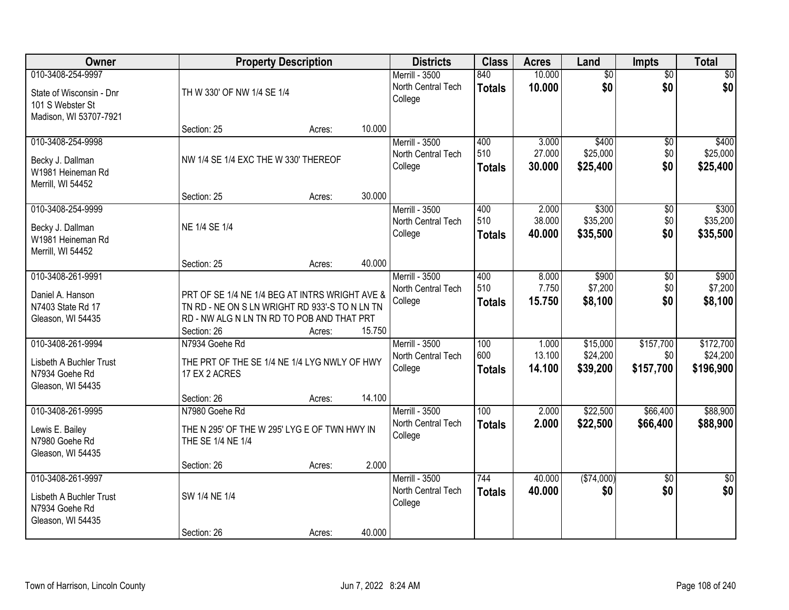| Owner                                                                                       | <b>Property Description</b>                                                                                                                                   | <b>Districts</b> | <b>Class</b>                                           | <b>Acres</b>                | Land                      | Impts                            | <b>Total</b>                  |                                    |
|---------------------------------------------------------------------------------------------|---------------------------------------------------------------------------------------------------------------------------------------------------------------|------------------|--------------------------------------------------------|-----------------------------|---------------------------|----------------------------------|-------------------------------|------------------------------------|
| 010-3408-254-9997<br>State of Wisconsin - Dnr<br>101 S Webster St<br>Madison, WI 53707-7921 | TH W 330' OF NW 1/4 SE 1/4                                                                                                                                    |                  | Merrill - 3500<br>North Central Tech<br>College        | 840<br><b>Totals</b>        | 10.000<br>10.000          | $\overline{60}$<br>\$0           | $\overline{50}$<br>\$0        | \$0<br>\$0                         |
|                                                                                             | Section: 25                                                                                                                                                   | 10.000<br>Acres: |                                                        |                             |                           |                                  |                               |                                    |
| 010-3408-254-9998<br>Becky J. Dallman<br>W1981 Heineman Rd<br>Merrill, WI 54452             | NW 1/4 SE 1/4 EXC THE W 330' THEREOF                                                                                                                          |                  | <b>Merrill - 3500</b><br>North Central Tech<br>College | 400<br>510<br><b>Totals</b> | 3.000<br>27.000<br>30.000 | \$400<br>\$25,000<br>\$25,400    | $\overline{50}$<br>\$0<br>\$0 | \$400<br>\$25,000<br>\$25,400      |
| 010-3408-254-9999                                                                           | Section: 25                                                                                                                                                   | 30.000<br>Acres: | <b>Merrill - 3500</b>                                  | 400                         | 2.000                     | \$300                            | \$0                           | \$300                              |
| Becky J. Dallman<br>W1981 Heineman Rd<br>Merrill, WI 54452                                  | NE 1/4 SE 1/4                                                                                                                                                 |                  | North Central Tech<br>College                          | 510<br><b>Totals</b>        | 38.000<br>40.000          | \$35,200<br>\$35,500             | \$0<br>\$0                    | \$35,200<br>\$35,500               |
|                                                                                             | Section: 25                                                                                                                                                   | 40.000<br>Acres: |                                                        |                             |                           |                                  |                               |                                    |
| 010-3408-261-9991<br>Daniel A. Hanson<br>N7403 State Rd 17<br>Gleason, WI 54435             | PRT OF SE 1/4 NE 1/4 BEG AT INTRS WRIGHT AVE &<br>TN RD - NE ON S LN WRIGHT RD 933'-S TO N LN TN<br>RD - NW ALG N LN TN RD TO POB AND THAT PRT<br>Section: 26 | 15.750<br>Acres: | Merrill - 3500<br>North Central Tech<br>College        | 400<br>510<br><b>Totals</b> | 8.000<br>7.750<br>15.750  | \$900<br>\$7,200<br>\$8,100      | \$0<br>\$0<br>\$0             | \$900<br>\$7,200<br>\$8,100        |
| 010-3408-261-9994<br>Lisbeth A Buchler Trust<br>N7934 Goehe Rd<br>Gleason, WI 54435         | N7934 Goehe Rd<br>THE PRT OF THE SE 1/4 NE 1/4 LYG NWLY OF HWY<br>17 EX 2 ACRES                                                                               |                  | <b>Merrill - 3500</b><br>North Central Tech<br>College | 100<br>600<br><b>Totals</b> | 1.000<br>13.100<br>14.100 | \$15,000<br>\$24,200<br>\$39,200 | \$157,700<br>\$0<br>\$157,700 | \$172,700<br>\$24,200<br>\$196,900 |
| 010-3408-261-9995                                                                           | Section: 26<br>N7980 Goehe Rd                                                                                                                                 | 14.100<br>Acres: | Merrill - 3500                                         | $\overline{100}$            | 2.000                     | \$22,500                         | \$66,400                      | \$88,900                           |
| Lewis E. Bailey<br>N7980 Goehe Rd<br>Gleason, WI 54435                                      | THE N 295' OF THE W 295' LYG E OF TWN HWY IN<br>THE SE 1/4 NE 1/4                                                                                             |                  | North Central Tech<br>College                          | <b>Totals</b>               | 2.000                     | \$22,500                         | \$66,400                      | \$88,900                           |
|                                                                                             | Section: 26                                                                                                                                                   | 2.000<br>Acres:  |                                                        |                             |                           |                                  |                               |                                    |
| 010-3408-261-9997<br>Lisbeth A Buchler Trust<br>N7934 Goehe Rd<br>Gleason, WI 54435         | SW 1/4 NE 1/4                                                                                                                                                 |                  | Merrill - 3500<br>North Central Tech<br>College        | 744<br><b>Totals</b>        | 40.000<br>40.000          | (\$74,000)<br>\$0                | $\overline{50}$<br>\$0        | $\overline{50}$<br>\$0             |
|                                                                                             | Section: 26                                                                                                                                                   | 40.000<br>Acres: |                                                        |                             |                           |                                  |                               |                                    |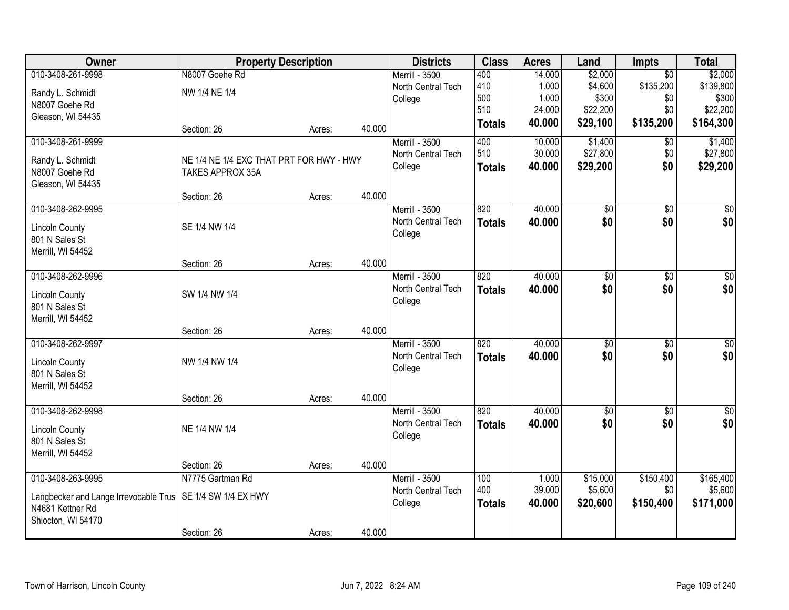| Owner                                 | <b>Property Description</b>              |        |        | <b>Districts</b>              | <b>Class</b>  | <b>Acres</b>     | Land                 | <b>Impts</b>     | <b>Total</b>         |
|---------------------------------------|------------------------------------------|--------|--------|-------------------------------|---------------|------------------|----------------------|------------------|----------------------|
| 010-3408-261-9998                     | N8007 Goehe Rd                           |        |        | Merrill - 3500                | 400           | 14.000           | \$2,000              | $\overline{30}$  | \$2,000              |
| Randy L. Schmidt                      | NW 1/4 NE 1/4                            |        |        | North Central Tech            | 410           | 1.000            | \$4,600              | \$135,200        | \$139,800            |
| N8007 Goehe Rd                        |                                          |        |        | College                       | 500<br>510    | 1.000            | \$300                | \$0              | \$300                |
| Gleason, WI 54435                     |                                          |        |        |                               |               | 24.000<br>40.000 | \$22,200<br>\$29,100 | \$0              | \$22,200             |
|                                       | Section: 26                              | Acres: | 40.000 |                               | <b>Totals</b> |                  |                      | \$135,200        | \$164,300            |
| 010-3408-261-9999                     |                                          |        |        | <b>Merrill - 3500</b>         | 400           | 10.000           | \$1,400              | $\sqrt{$0}$      | \$1,400              |
| Randy L. Schmidt                      | NE 1/4 NE 1/4 EXC THAT PRT FOR HWY - HWY |        |        | North Central Tech            | 510           | 30.000           | \$27,800             | \$0              | \$27,800             |
| N8007 Goehe Rd                        | <b>TAKES APPROX 35A</b>                  |        |        | College                       | <b>Totals</b> | 40.000           | \$29,200             | \$0              | \$29,200             |
| Gleason, WI 54435                     |                                          |        |        |                               |               |                  |                      |                  |                      |
|                                       | Section: 26                              | Acres: | 40.000 |                               |               |                  |                      |                  |                      |
| 010-3408-262-9995                     |                                          |        |        | Merrill - 3500                | 820           | 40.000           | \$0                  | \$0              | \$0                  |
| <b>Lincoln County</b>                 | SE 1/4 NW 1/4                            |        |        | North Central Tech            | <b>Totals</b> | 40.000           | \$0                  | \$0              | \$0                  |
| 801 N Sales St                        |                                          |        |        | College                       |               |                  |                      |                  |                      |
| Merrill, WI 54452                     |                                          |        |        |                               |               |                  |                      |                  |                      |
|                                       | Section: 26                              | Acres: | 40.000 |                               |               |                  |                      |                  |                      |
| 010-3408-262-9996                     |                                          |        |        | Merrill - 3500                | 820           | 40.000           | \$0                  | \$0              | \$0                  |
| <b>Lincoln County</b>                 | SW 1/4 NW 1/4                            |        |        | North Central Tech            | <b>Totals</b> | 40.000           | \$0                  | \$0              | \$0                  |
| 801 N Sales St                        |                                          |        |        | College                       |               |                  |                      |                  |                      |
| Merrill, WI 54452                     |                                          |        |        |                               |               |                  |                      |                  |                      |
|                                       | Section: 26                              | Acres: | 40.000 |                               |               |                  |                      |                  |                      |
| 010-3408-262-9997                     |                                          |        |        | Merrill - 3500                | 820           | 40.000           | $\overline{50}$      | $\overline{50}$  | $\overline{50}$      |
| <b>Lincoln County</b>                 | NW 1/4 NW 1/4                            |        |        | North Central Tech            | <b>Totals</b> | 40.000           | \$0                  | \$0              | \$0                  |
| 801 N Sales St                        |                                          |        |        | College                       |               |                  |                      |                  |                      |
| Merrill, WI 54452                     |                                          |        |        |                               |               |                  |                      |                  |                      |
|                                       | Section: 26                              | Acres: | 40.000 |                               |               |                  |                      |                  |                      |
| 010-3408-262-9998                     |                                          |        |        | <b>Merrill - 3500</b>         | 820           | 40.000           | $\overline{50}$      | $\overline{50}$  | $\overline{50}$      |
| <b>Lincoln County</b>                 | NE 1/4 NW 1/4                            |        |        | North Central Tech            | <b>Totals</b> | 40.000           | \$0                  | \$0              | \$0                  |
| 801 N Sales St                        |                                          |        |        | College                       |               |                  |                      |                  |                      |
| Merrill, WI 54452                     |                                          |        |        |                               |               |                  |                      |                  |                      |
|                                       | Section: 26                              | Acres: | 40.000 |                               |               |                  |                      |                  |                      |
| 010-3408-263-9995                     | N7775 Gartman Rd                         |        |        | Merrill - 3500                | 100<br>400    | 1.000<br>39.000  | \$15,000<br>\$5,600  | \$150,400<br>\$0 | \$165,400<br>\$5,600 |
| Langbecker and Lange Irrevocable Trus | SE 1/4 SW 1/4 EX HWY                     |        |        | North Central Tech<br>College |               | 40.000           | \$20,600             | \$150,400        | \$171,000            |
| N4681 Kettner Rd                      |                                          |        |        |                               | <b>Totals</b> |                  |                      |                  |                      |
| Shiocton, WI 54170                    |                                          |        |        |                               |               |                  |                      |                  |                      |
|                                       | Section: 26                              | Acres: | 40.000 |                               |               |                  |                      |                  |                      |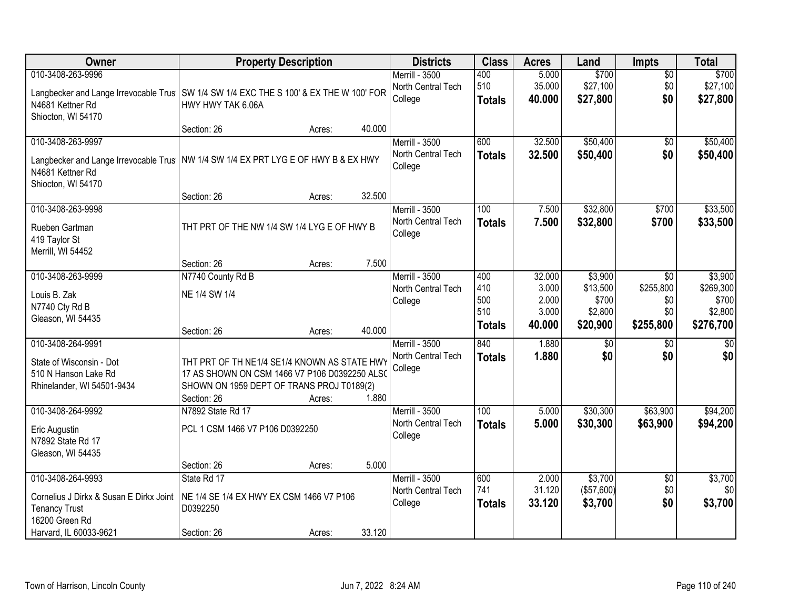| Owner                                                                                    | <b>Property Description</b>                                                                   |        |        | <b>Districts</b>                     | <b>Class</b>         | <b>Acres</b>     | Land                | <b>Impts</b>           | <b>Total</b>           |
|------------------------------------------------------------------------------------------|-----------------------------------------------------------------------------------------------|--------|--------|--------------------------------------|----------------------|------------------|---------------------|------------------------|------------------------|
| 010-3408-263-9996                                                                        |                                                                                               |        |        | Merrill - 3500                       | 400<br>510           | 5.000            | \$700<br>\$27,100   | $\overline{50}$<br>\$0 | \$700                  |
| Langbecker and Lange Irrevocable Trus   SW 1/4 SW 1/4 EXC THE S 100' & EX THE W 100' FOR |                                                                                               |        |        | North Central Tech<br>College        | <b>Totals</b>        | 35.000<br>40.000 | \$27,800            | \$0                    | \$27,100<br>\$27,800   |
| N4681 Kettner Rd<br>Shiocton, WI 54170                                                   | HWY HWY TAK 6.06A                                                                             |        |        |                                      |                      |                  |                     |                        |                        |
|                                                                                          | Section: 26                                                                                   | Acres: | 40.000 |                                      |                      |                  |                     |                        |                        |
| 010-3408-263-9997                                                                        |                                                                                               |        |        | Merrill - 3500                       | 600                  | 32.500           | \$50,400            | \$0                    | \$50,400               |
| Langbecker and Lange Irrevocable Trus   NW 1/4 SW 1/4 EX PRT LYG E OF HWY B & EX HWY     |                                                                                               |        |        | North Central Tech<br>College        | <b>Totals</b>        | 32.500           | \$50,400            | \$0                    | \$50,400               |
| N4681 Kettner Rd                                                                         |                                                                                               |        |        |                                      |                      |                  |                     |                        |                        |
| Shiocton, WI 54170                                                                       | Section: 26                                                                                   | Acres: | 32.500 |                                      |                      |                  |                     |                        |                        |
| 010-3408-263-9998                                                                        |                                                                                               |        |        | Merrill - 3500                       | 100                  | 7.500            | \$32,800            | \$700                  | \$33,500               |
| Rueben Gartman                                                                           | THT PRT OF THE NW 1/4 SW 1/4 LYG E OF HWY B                                                   |        |        | North Central Tech                   | <b>Totals</b>        | 7.500            | \$32,800            | \$700                  | \$33,500               |
| 419 Taylor St                                                                            |                                                                                               |        |        | College                              |                      |                  |                     |                        |                        |
| Merrill, WI 54452                                                                        |                                                                                               |        | 7.500  |                                      |                      |                  |                     |                        |                        |
| 010-3408-263-9999                                                                        | Section: 26<br>N7740 County Rd B                                                              | Acres: |        | <b>Merrill - 3500</b>                | 400                  | 32.000           | \$3,900             | \$0                    | \$3,900                |
| Louis B. Zak                                                                             | NE 1/4 SW 1/4                                                                                 |        |        | North Central Tech                   | 410                  | 3.000            | \$13,500            | \$255,800              | \$269,300              |
| N7740 Cty Rd B                                                                           |                                                                                               |        |        | College                              | 500<br>510           | 2.000            | \$700               | \$0                    | \$700                  |
| Gleason, WI 54435                                                                        |                                                                                               |        |        |                                      | <b>Totals</b>        | 3.000<br>40.000  | \$2,800<br>\$20,900 | \$0<br>\$255,800       | \$2,800<br>\$276,700   |
|                                                                                          | Section: 26                                                                                   | Acres: | 40.000 |                                      |                      |                  |                     |                        |                        |
| 010-3408-264-9991                                                                        |                                                                                               |        |        | Merrill - 3500<br>North Central Tech | 840<br><b>Totals</b> | 1.880<br>1.880   | \$0<br>\$0          | $\overline{50}$<br>\$0 | $\overline{50}$<br>\$0 |
| State of Wisconsin - Dot<br>510 N Hanson Lake Rd                                         | THT PRT OF TH NE1/4 SE1/4 KNOWN AS STATE HWY<br>17 AS SHOWN ON CSM 1466 V7 P106 D0392250 ALSO |        |        | College                              |                      |                  |                     |                        |                        |
| Rhinelander, WI 54501-9434                                                               | SHOWN ON 1959 DEPT OF TRANS PROJ T0189(2)                                                     |        |        |                                      |                      |                  |                     |                        |                        |
|                                                                                          | Section: 26                                                                                   | Acres: | 1.880  |                                      |                      |                  |                     |                        |                        |
| 010-3408-264-9992                                                                        | N7892 State Rd 17                                                                             |        |        | Merrill - 3500                       | $\overline{100}$     | 5.000            | \$30,300            | \$63,900               | \$94,200               |
| Eric Augustin                                                                            | PCL 1 CSM 1466 V7 P106 D0392250                                                               |        |        | North Central Tech<br>College        | <b>Totals</b>        | 5.000            | \$30,300            | \$63,900               | \$94,200               |
| N7892 State Rd 17                                                                        |                                                                                               |        |        |                                      |                      |                  |                     |                        |                        |
| Gleason, WI 54435                                                                        | Section: 26                                                                                   | Acres: | 5.000  |                                      |                      |                  |                     |                        |                        |
| 010-3408-264-9993                                                                        | State Rd 17                                                                                   |        |        | <b>Merrill - 3500</b>                | 600                  | 2.000            | \$3,700             | $\overline{50}$        | \$3,700                |
| Cornelius J Dirkx & Susan E Dirkx Joint                                                  | NE 1/4 SE 1/4 EX HWY EX CSM 1466 V7 P106                                                      |        |        | North Central Tech                   | 741                  | 31.120           | (\$57,600)          | \$0                    | \$0                    |
| <b>Tenancy Trust</b>                                                                     | D0392250                                                                                      |        |        | College                              | <b>Totals</b>        | 33.120           | \$3,700             | \$0                    | \$3,700                |
| 16200 Green Rd<br>Harvard, IL 60033-9621                                                 | Section: 26                                                                                   |        | 33.120 |                                      |                      |                  |                     |                        |                        |
|                                                                                          |                                                                                               | Acres: |        |                                      |                      |                  |                     |                        |                        |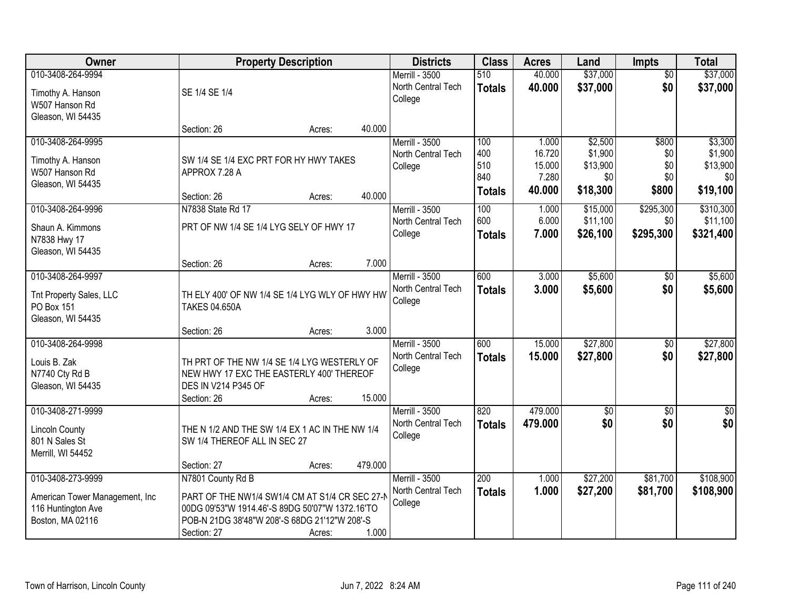| Owner                          |                                                 | <b>Property Description</b> |         | <b>Districts</b>      | <b>Class</b>  | <b>Acres</b> | Land            | <b>Impts</b>    | <b>Total</b>     |
|--------------------------------|-------------------------------------------------|-----------------------------|---------|-----------------------|---------------|--------------|-----------------|-----------------|------------------|
| 010-3408-264-9994              |                                                 |                             |         | Merrill - 3500        | 510           | 40.000       | \$37,000        | $\overline{50}$ | \$37,000         |
| Timothy A. Hanson              | SE 1/4 SE 1/4                                   |                             |         | North Central Tech    | <b>Totals</b> | 40.000       | \$37,000        | \$0             | \$37,000         |
| W507 Hanson Rd                 |                                                 |                             |         | College               |               |              |                 |                 |                  |
| Gleason, WI 54435              |                                                 |                             |         |                       |               |              |                 |                 |                  |
|                                | Section: 26                                     | Acres:                      | 40.000  |                       |               |              |                 |                 |                  |
| 010-3408-264-9995              |                                                 |                             |         | Merrill - 3500        | 100           | 1.000        | \$2,500         | \$800           | \$3,300          |
| Timothy A. Hanson              | SW 1/4 SE 1/4 EXC PRT FOR HY HWY TAKES          |                             |         | North Central Tech    | 400           | 16.720       | \$1,900         | \$0             | \$1,900          |
| W507 Hanson Rd                 | APPROX 7.28 A                                   |                             |         | College               | 510           | 15.000       | \$13,900        | \$0             | \$13,900         |
| Gleason, WI 54435              |                                                 |                             |         |                       | 840           | 7.280        | \$0             | \$0             | \$0              |
|                                | Section: 26                                     | Acres:                      | 40.000  |                       | <b>Totals</b> | 40.000       | \$18,300        | \$800           | \$19,100         |
| 010-3408-264-9996              | N7838 State Rd 17                               |                             |         | Merrill - 3500        | 100           | 1.000        | \$15,000        | \$295,300       | \$310,300        |
| Shaun A. Kimmons               | PRT OF NW 1/4 SE 1/4 LYG SELY OF HWY 17         |                             |         | North Central Tech    | 600           | 6.000        | \$11,100        | \$0             | \$11,100         |
| N7838 Hwy 17                   |                                                 |                             |         | College               | <b>Totals</b> | 7.000        | \$26,100        | \$295,300       | \$321,400        |
| Gleason, WI 54435              |                                                 |                             |         |                       |               |              |                 |                 |                  |
|                                | Section: 26                                     | Acres:                      | 7.000   |                       |               |              |                 |                 |                  |
| 010-3408-264-9997              |                                                 |                             |         | Merrill - 3500        | 600           | 3.000        | \$5,600         | $\sqrt[6]{3}$   | \$5,600          |
| Tnt Property Sales, LLC        | TH ELY 400' OF NW 1/4 SE 1/4 LYG WLY OF HWY HW  |                             |         | North Central Tech    | <b>Totals</b> | 3.000        | \$5,600         | \$0             | \$5,600          |
| PO Box 151                     | <b>TAKES 04.650A</b>                            |                             |         | College               |               |              |                 |                 |                  |
| Gleason, WI 54435              |                                                 |                             |         |                       |               |              |                 |                 |                  |
|                                | Section: 26                                     | Acres:                      | 3.000   |                       |               |              |                 |                 |                  |
| 010-3408-264-9998              |                                                 |                             |         | <b>Merrill - 3500</b> | 600           | 15.000       | \$27,800        | $\overline{50}$ | \$27,800         |
| Louis B. Zak                   | TH PRT OF THE NW 1/4 SE 1/4 LYG WESTERLY OF     |                             |         | North Central Tech    | <b>Totals</b> | 15.000       | \$27,800        | \$0             | \$27,800         |
| N7740 Cty Rd B                 | NEW HWY 17 EXC THE EASTERLY 400' THEREOF        |                             |         | College               |               |              |                 |                 |                  |
| Gleason, WI 54435              | DES IN V214 P345 OF                             |                             |         |                       |               |              |                 |                 |                  |
|                                | Section: 26                                     | Acres:                      | 15.000  |                       |               |              |                 |                 |                  |
| 010-3408-271-9999              |                                                 |                             |         | Merrill - 3500        | 820           | 479.000      | $\overline{50}$ | $\overline{50}$ | $\overline{\$0}$ |
| <b>Lincoln County</b>          | THE N 1/2 AND THE SW 1/4 EX 1 AC IN THE NW 1/4  |                             |         | North Central Tech    | <b>Totals</b> | 479.000      | \$0             | \$0             | \$0              |
| 801 N Sales St                 | SW 1/4 THEREOF ALL IN SEC 27                    |                             |         | College               |               |              |                 |                 |                  |
| Merrill, WI 54452              |                                                 |                             |         |                       |               |              |                 |                 |                  |
|                                | Section: 27                                     | Acres:                      | 479.000 |                       |               |              |                 |                 |                  |
| 010-3408-273-9999              | N7801 County Rd B                               |                             |         | Merrill - 3500        | 200           | 1.000        | \$27,200        | \$81,700        | \$108,900        |
| American Tower Management, Inc | PART OF THE NW1/4 SW1/4 CM AT S1/4 CR SEC 27-N  |                             |         | North Central Tech    | <b>Totals</b> | 1.000        | \$27,200        | \$81,700        | \$108,900        |
| 116 Huntington Ave             | 00DG 09'53"W 1914.46'-S 89DG 50'07"W 1372.16'TO |                             |         | College               |               |              |                 |                 |                  |
| Boston, MA 02116               | POB-N 21DG 38'48"W 208'-S 68DG 21'12"W 208'-S   |                             |         |                       |               |              |                 |                 |                  |
|                                | Section: 27                                     | Acres:                      | 1.000   |                       |               |              |                 |                 |                  |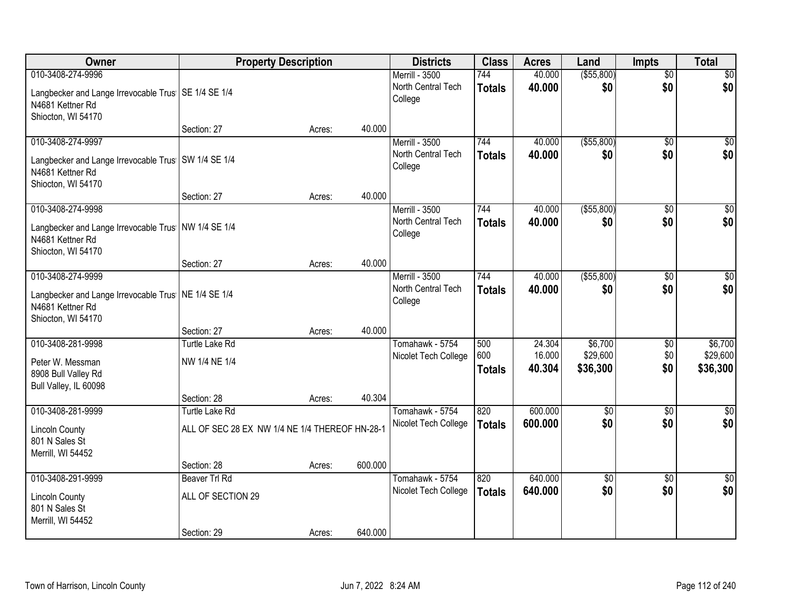| Owner                                                                                           | <b>Property Description</b>                    |        |         | <b>Districts</b>                        | <b>Class</b>  | <b>Acres</b>       | Land                   | <b>Impts</b>           | <b>Total</b>       |
|-------------------------------------------------------------------------------------------------|------------------------------------------------|--------|---------|-----------------------------------------|---------------|--------------------|------------------------|------------------------|--------------------|
| 010-3408-274-9996                                                                               |                                                |        |         | Merrill - 3500                          | 744           | 40.000             | ( \$55, 800)           | $\overline{50}$        | $\sqrt{50}$        |
| Langbecker and Lange Irrevocable Trus   SE 1/4 SE 1/4<br>N4681 Kettner Rd                       |                                                |        |         | North Central Tech<br>College           | <b>Totals</b> | 40.000             | \$0                    | \$0                    | \$0                |
| Shiocton, WI 54170                                                                              | Section: 27                                    | Acres: | 40.000  |                                         |               |                    |                        |                        |                    |
| 010-3408-274-9997                                                                               |                                                |        |         | <b>Merrill - 3500</b>                   | 744           | 40.000             | ( \$55, 800)           | $\overline{30}$        | $\sqrt{50}$        |
| Langbecker and Lange Irrevocable Trus   SW 1/4 SE 1/4<br>N4681 Kettner Rd<br>Shiocton, WI 54170 |                                                |        |         | North Central Tech<br>College           | <b>Totals</b> | 40.000             | \$0                    | \$0                    | \$0                |
|                                                                                                 | Section: 27                                    | Acres: | 40.000  |                                         |               |                    |                        |                        |                    |
| 010-3408-274-9998                                                                               |                                                |        |         | Merrill - 3500                          | 744           | 40.000             | ( \$55, 800)           | \$0                    | $\overline{30}$    |
| Langbecker and Lange Irrevocable Trus   NW 1/4 SE 1/4<br>N4681 Kettner Rd<br>Shiocton, WI 54170 |                                                |        |         | North Central Tech<br>College           | <b>Totals</b> | 40.000             | \$0                    | \$0                    | \$0                |
|                                                                                                 | Section: 27                                    | Acres: | 40.000  |                                         |               |                    |                        |                        |                    |
| 010-3408-274-9999                                                                               |                                                |        |         | Merrill - 3500                          | 744           | 40.000             | ( \$55, 800)           | \$0                    | \$0                |
| Langbecker and Lange Irrevocable Trus   NE 1/4 SE 1/4<br>N4681 Kettner Rd<br>Shiocton, WI 54170 |                                                |        |         | North Central Tech<br>College           | <b>Totals</b> | 40.000             | \$0                    | \$0                    | \$0                |
|                                                                                                 | Section: 27                                    | Acres: | 40.000  |                                         |               |                    |                        |                        |                    |
| 010-3408-281-9998                                                                               | <b>Turtle Lake Rd</b>                          |        |         | Tomahawk - 5754                         | 500           | 24.304             | \$6,700                | \$0                    | \$6,700            |
| Peter W. Messman                                                                                | NW 1/4 NE 1/4                                  |        |         | Nicolet Tech College                    | 600           | 16.000             | \$29,600               | \$0                    | \$29,600           |
| 8908 Bull Valley Rd                                                                             |                                                |        |         |                                         | <b>Totals</b> | 40.304             | \$36,300               | \$0                    | \$36,300           |
| Bull Valley, IL 60098                                                                           |                                                |        |         |                                         |               |                    |                        |                        |                    |
|                                                                                                 | Section: 28                                    | Acres: | 40.304  |                                         |               |                    |                        |                        |                    |
| 010-3408-281-9999                                                                               | <b>Turtle Lake Rd</b>                          |        |         | Tomahawk - 5754<br>Nicolet Tech College | 820           | 600.000<br>600.000 | $\overline{50}$<br>\$0 | $\overline{30}$<br>\$0 | $\sqrt{50}$<br>\$0 |
| <b>Lincoln County</b><br>801 N Sales St<br>Merrill, WI 54452                                    | ALL OF SEC 28 EX NW 1/4 NE 1/4 THEREOF HN-28-1 |        |         |                                         | <b>Totals</b> |                    |                        |                        |                    |
|                                                                                                 | Section: 28                                    | Acres: | 600.000 |                                         |               |                    |                        |                        |                    |
| 010-3408-291-9999                                                                               | Beaver Trl Rd                                  |        |         | Tomahawk - 5754                         | 820           | 640.000            | $\overline{50}$        | $\overline{50}$        | $\overline{50}$    |
| <b>Lincoln County</b><br>801 N Sales St<br>Merrill, WI 54452                                    | ALL OF SECTION 29                              |        |         | Nicolet Tech College                    | <b>Totals</b> | 640.000            | \$0                    | \$0                    | \$0                |
|                                                                                                 | Section: 29                                    | Acres: | 640.000 |                                         |               |                    |                        |                        |                    |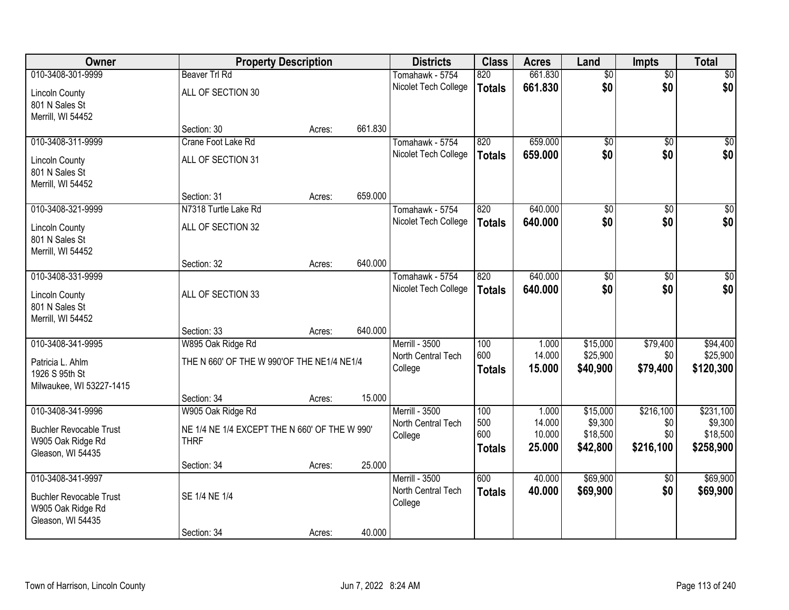| Owner                                                        |                                               | <b>Property Description</b> |         | <b>Districts</b>              | <b>Class</b>  | <b>Acres</b> | Land            | <b>Impts</b>    | <b>Total</b>     |
|--------------------------------------------------------------|-----------------------------------------------|-----------------------------|---------|-------------------------------|---------------|--------------|-----------------|-----------------|------------------|
| 010-3408-301-9999                                            | <b>Beaver Trl Rd</b>                          |                             |         | Tomahawk - 5754               | 820           | 661.830      | $\overline{50}$ | $\overline{50}$ | \$0              |
| <b>Lincoln County</b><br>801 N Sales St                      | ALL OF SECTION 30                             |                             |         | Nicolet Tech College          | <b>Totals</b> | 661.830      | \$0             | \$0             | \$0              |
| Merrill, WI 54452                                            | Section: 30                                   |                             | 661.830 |                               |               |              |                 |                 |                  |
| 010-3408-311-9999                                            | Crane Foot Lake Rd                            | Acres:                      |         | Tomahawk - 5754               | 820           | 659.000      | $\overline{50}$ | $\overline{50}$ | \$0              |
|                                                              |                                               |                             |         | Nicolet Tech College          | <b>Totals</b> | 659.000      | \$0             | \$0             | \$0              |
| <b>Lincoln County</b><br>801 N Sales St<br>Merrill, WI 54452 | ALL OF SECTION 31                             |                             |         |                               |               |              |                 |                 |                  |
|                                                              | Section: 31                                   | Acres:                      | 659.000 |                               |               |              |                 |                 |                  |
| 010-3408-321-9999                                            | N7318 Turtle Lake Rd                          |                             |         | Tomahawk - 5754               | 820           | 640.000      | $\overline{50}$ | \$0             | $\overline{\$0}$ |
| <b>Lincoln County</b><br>801 N Sales St                      | ALL OF SECTION 32                             |                             |         | Nicolet Tech College          | <b>Totals</b> | 640.000      | \$0             | \$0             | \$0              |
| Merrill, WI 54452                                            |                                               |                             | 640.000 |                               |               |              |                 |                 |                  |
| 010-3408-331-9999                                            | Section: 32                                   | Acres:                      |         | Tomahawk - 5754               | 820           | 640.000      | $\overline{50}$ | \$0             | $\sqrt{50}$      |
|                                                              |                                               |                             |         | Nicolet Tech College          |               | 640.000      | \$0             | \$0             | \$0              |
| <b>Lincoln County</b><br>801 N Sales St<br>Merrill, WI 54452 | ALL OF SECTION 33                             |                             |         |                               | <b>Totals</b> |              |                 |                 |                  |
|                                                              | Section: 33                                   | Acres:                      | 640.000 |                               |               |              |                 |                 |                  |
| 010-3408-341-9995                                            | W895 Oak Ridge Rd                             |                             |         | Merrill - 3500                | 100           | 1.000        | \$15,000        | \$79,400        | \$94,400         |
| Patricia L. Ahlm                                             | THE N 660' OF THE W 990'OF THE NE1/4 NE1/4    |                             |         | North Central Tech            | 600           | 14.000       | \$25,900        | \$0             | \$25,900         |
| 1926 S 95th St                                               |                                               |                             |         | College                       | <b>Totals</b> | 15.000       | \$40,900        | \$79,400        | \$120,300        |
| Milwaukee, WI 53227-1415                                     | Section: 34                                   | Acres:                      | 15.000  |                               |               |              |                 |                 |                  |
| 010-3408-341-9996                                            | W905 Oak Ridge Rd                             |                             |         | <b>Merrill - 3500</b>         | 100           | 1.000        | \$15,000        | \$216,100       | \$231,100        |
|                                                              |                                               |                             |         | North Central Tech            | 500           | 14.000       | \$9,300         | \$0             | \$9,300          |
| <b>Buchler Revocable Trust</b>                               | NE 1/4 NE 1/4 EXCEPT THE N 660' OF THE W 990' |                             |         | College                       | 600           | 10.000       | \$18,500        | \$0             | \$18,500         |
| W905 Oak Ridge Rd                                            | <b>THRF</b>                                   |                             |         |                               | <b>Totals</b> | 25.000       | \$42,800        | \$216,100       | \$258,900        |
| Gleason, WI 54435                                            | Section: 34                                   | Acres:                      | 25.000  |                               |               |              |                 |                 |                  |
| 010-3408-341-9997                                            |                                               |                             |         | Merrill - 3500                | 600           | 40.000       | \$69,900        | $\sqrt{6}$      | \$69,900         |
| <b>Buchler Revocable Trust</b><br>W905 Oak Ridge Rd          | SE 1/4 NE 1/4                                 |                             |         | North Central Tech<br>College | <b>Totals</b> | 40.000       | \$69,900        | \$0             | \$69,900         |
| Gleason, WI 54435                                            | Section: 34                                   | Acres:                      | 40.000  |                               |               |              |                 |                 |                  |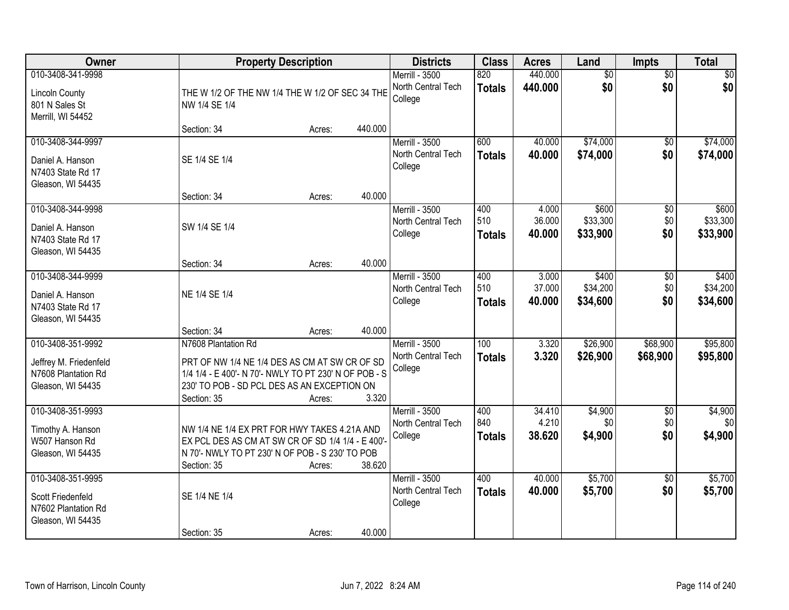| Owner                                                                                   |                                                                                                                                                                                             | <b>Property Description</b> |         | <b>Districts</b>                                       | <b>Class</b>                      | <b>Acres</b>              | Land                          | <b>Impts</b>                  | <b>Total</b>                  |
|-----------------------------------------------------------------------------------------|---------------------------------------------------------------------------------------------------------------------------------------------------------------------------------------------|-----------------------------|---------|--------------------------------------------------------|-----------------------------------|---------------------------|-------------------------------|-------------------------------|-------------------------------|
| 010-3408-341-9998<br><b>Lincoln County</b><br>801 N Sales St<br>Merrill, WI 54452       | THE W 1/2 OF THE NW 1/4 THE W 1/2 OF SEC 34 THE<br>NW 1/4 SE 1/4                                                                                                                            |                             |         | Merrill - 3500<br>North Central Tech<br>College        | 820<br><b>Totals</b>              | 440.000<br>440.000        | $\overline{60}$<br>\$0        | $\overline{50}$<br>\$0        | \$0<br>\$0                    |
|                                                                                         | Section: 34                                                                                                                                                                                 | Acres:                      | 440.000 |                                                        |                                   |                           |                               |                               |                               |
| 010-3408-344-9997<br>Daniel A. Hanson<br>N7403 State Rd 17<br>Gleason, WI 54435         | SE 1/4 SE 1/4                                                                                                                                                                               |                             |         | <b>Merrill - 3500</b><br>North Central Tech<br>College | 600<br><b>Totals</b>              | 40.000<br>40.000          | \$74,000<br>\$74,000          | $\overline{50}$<br>\$0        | \$74,000<br>\$74,000          |
|                                                                                         | Section: 34                                                                                                                                                                                 | Acres:                      | 40.000  |                                                        |                                   |                           |                               |                               |                               |
| 010-3408-344-9998<br>Daniel A. Hanson<br>N7403 State Rd 17<br>Gleason, WI 54435         | SW 1/4 SE 1/4                                                                                                                                                                               |                             |         | <b>Merrill - 3500</b><br>North Central Tech<br>College | 400<br>510<br><b>Totals</b>       | 4.000<br>36.000<br>40.000 | \$600<br>\$33,300<br>\$33,900 | $\overline{50}$<br>\$0<br>\$0 | \$600<br>\$33,300<br>\$33,900 |
|                                                                                         | Section: 34                                                                                                                                                                                 | Acres:                      | 40.000  |                                                        |                                   |                           |                               |                               |                               |
| 010-3408-344-9999<br>Daniel A. Hanson<br>N7403 State Rd 17<br>Gleason, WI 54435         | NE 1/4 SE 1/4                                                                                                                                                                               |                             |         | Merrill - 3500<br>North Central Tech<br>College        | 400<br>510<br><b>Totals</b>       | 3.000<br>37.000<br>40.000 | \$400<br>\$34,200<br>\$34,600 | \$0<br>\$0<br>\$0             | \$400<br>\$34,200<br>\$34,600 |
|                                                                                         | Section: 34                                                                                                                                                                                 | Acres:                      | 40.000  |                                                        |                                   |                           |                               |                               |                               |
| 010-3408-351-9992<br>Jeffrey M. Friedenfeld<br>N7608 Plantation Rd<br>Gleason, WI 54435 | N7608 Plantation Rd<br>PRT OF NW 1/4 NE 1/4 DES AS CM AT SW CR OF SD<br>1/4 1/4 - E 400'- N 70'- NWLY TO PT 230' N OF POB - S<br>230' TO POB - SD PCL DES AS AN EXCEPTION ON<br>Section: 35 | Acres:                      | 3.320   | <b>Merrill - 3500</b><br>North Central Tech<br>College | $\overline{100}$<br><b>Totals</b> | 3.320<br>3.320            | \$26,900<br>\$26,900          | \$68,900<br>\$68,900          | \$95,800<br>\$95,800          |
| 010-3408-351-9993<br>Timothy A. Hanson<br>W507 Hanson Rd<br>Gleason, WI 54435           | NW 1/4 NE 1/4 EX PRT FOR HWY TAKES 4.21A AND<br>EX PCL DES AS CM AT SW CR OF SD 1/4 1/4 - E 400'-<br>N 70'- NWLY TO PT 230' N OF POB - S 230' TO POB<br>Section: 35                         | Acres:                      | 38.620  | <b>Merrill - 3500</b><br>North Central Tech<br>College | 400<br>840<br><b>Totals</b>       | 34.410<br>4.210<br>38.620 | \$4,900<br>\$0<br>\$4,900     | $\overline{50}$<br>\$0<br>\$0 | \$4,900<br>\$0<br>\$4,900     |
| 010-3408-351-9995<br>Scott Friedenfeld<br>N7602 Plantation Rd<br>Gleason, WI 54435      | SE 1/4 NE 1/4<br>Section: 35                                                                                                                                                                | Acres:                      | 40.000  | <b>Merrill - 3500</b><br>North Central Tech<br>College | 400<br><b>Totals</b>              | 40.000<br>40.000          | \$5,700<br>\$5,700            | $\overline{50}$<br>\$0        | \$5,700<br>\$5,700            |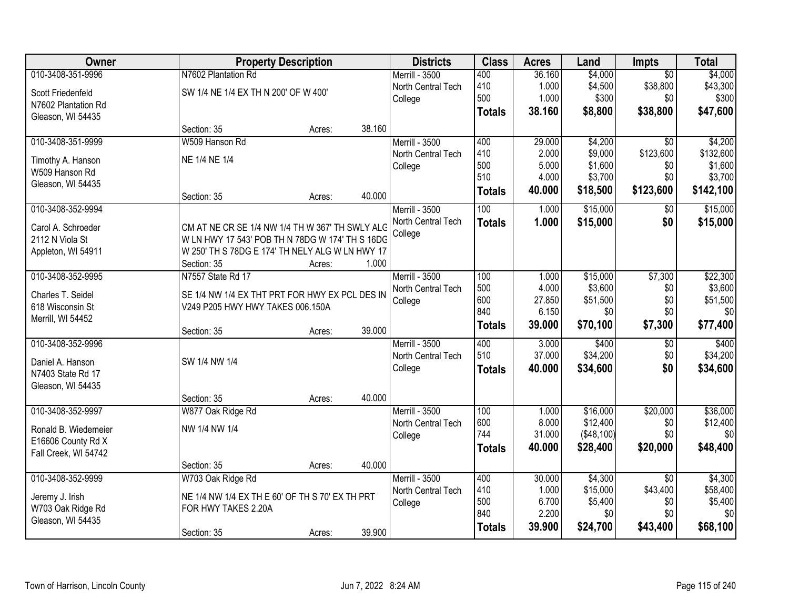| Owner                |                                                 | <b>Property Description</b> |        | <b>Districts</b>   | <b>Class</b>  | <b>Acres</b> | Land       | <b>Impts</b>    | <b>Total</b> |
|----------------------|-------------------------------------------------|-----------------------------|--------|--------------------|---------------|--------------|------------|-----------------|--------------|
| 010-3408-351-9996    | N7602 Plantation Rd                             |                             |        | Merrill - 3500     | 400           | 36.160       | \$4,000    | $\overline{50}$ | \$4,000      |
| Scott Friedenfeld    | SW 1/4 NE 1/4 EX TH N 200' OF W 400'            |                             |        | North Central Tech | 410           | 1.000        | \$4,500    | \$38,800        | \$43,300     |
| N7602 Plantation Rd  |                                                 |                             |        | College            | 500           | 1.000        | \$300      | \$0             | \$300        |
| Gleason, WI 54435    |                                                 |                             |        |                    | <b>Totals</b> | 38.160       | \$8,800    | \$38,800        | \$47,600     |
|                      | Section: 35                                     | Acres:                      | 38.160 |                    |               |              |            |                 |              |
| 010-3408-351-9999    | W509 Hanson Rd                                  |                             |        | Merrill - 3500     | 400           | 29.000       | \$4,200    | $\overline{30}$ | \$4,200      |
| Timothy A. Hanson    | NE 1/4 NE 1/4                                   |                             |        | North Central Tech | 410           | 2.000        | \$9,000    | \$123,600       | \$132,600    |
| W509 Hanson Rd       |                                                 |                             |        | College            | 500           | 5.000        | \$1,600    | \$0             | \$1,600      |
| Gleason, WI 54435    |                                                 |                             |        |                    | 510           | 4.000        | \$3,700    | \$0             | \$3,700      |
|                      | Section: 35                                     | Acres:                      | 40.000 |                    | <b>Totals</b> | 40.000       | \$18,500   | \$123,600       | \$142,100    |
| 010-3408-352-9994    |                                                 |                             |        | Merrill - 3500     | 100           | 1.000        | \$15,000   | $\sqrt[6]{3}$   | \$15,000     |
| Carol A. Schroeder   | CM AT NE CR SE 1/4 NW 1/4 TH W 367' TH SWLY ALG |                             |        | North Central Tech | <b>Totals</b> | 1.000        | \$15,000   | \$0             | \$15,000     |
| 2112 N Viola St      | W LN HWY 17 543' POB TH N 78DG W 174' TH S 16DG |                             |        | College            |               |              |            |                 |              |
| Appleton, WI 54911   | W 250' TH S 78DG E 174' TH NELY ALG W LN HWY 17 |                             |        |                    |               |              |            |                 |              |
|                      | Section: 35                                     | Acres:                      | 1.000  |                    |               |              |            |                 |              |
| 010-3408-352-9995    | N7557 State Rd 17                               |                             |        | Merrill - 3500     | 100           | 1.000        | \$15,000   | \$7,300         | \$22,300     |
| Charles T. Seidel    | SE 1/4 NW 1/4 EX THT PRT FOR HWY EX PCL DES IN  |                             |        | North Central Tech | 500           | 4.000        | \$3,600    | \$0             | \$3,600      |
| 618 Wisconsin St     | V249 P205 HWY HWY TAKES 006.150A                |                             |        | College            | 600           | 27.850       | \$51,500   | \$0             | \$51,500     |
| Merrill, WI 54452    |                                                 |                             |        |                    | 840           | 6.150        | \$0        | \$0             | \$0          |
|                      | Section: 35                                     | Acres:                      | 39.000 |                    | <b>Totals</b> | 39.000       | \$70,100   | \$7,300         | \$77,400     |
| 010-3408-352-9996    |                                                 |                             |        | Merrill - 3500     | 400           | 3.000        | \$400      | \$0             | \$400        |
| Daniel A. Hanson     | SW 1/4 NW 1/4                                   |                             |        | North Central Tech | 510           | 37.000       | \$34,200   | \$0             | \$34,200     |
| N7403 State Rd 17    |                                                 |                             |        | College            | <b>Totals</b> | 40.000       | \$34,600   | \$0             | \$34,600     |
| Gleason, WI 54435    |                                                 |                             |        |                    |               |              |            |                 |              |
|                      | Section: 35                                     | Acres:                      | 40.000 |                    |               |              |            |                 |              |
| 010-3408-352-9997    | W877 Oak Ridge Rd                               |                             |        | Merrill - 3500     | 100           | 1.000        | \$16,000   | \$20,000        | \$36,000     |
| Ronald B. Wiedemeier | NW 1/4 NW 1/4                                   |                             |        | North Central Tech | 600           | 8.000        | \$12,400   | \$0             | \$12,400     |
| E16606 County Rd X   |                                                 |                             |        | College            | 744           | 31.000       | (\$48,100) | \$0             | \$0          |
| Fall Creek, WI 54742 |                                                 |                             |        |                    | <b>Totals</b> | 40,000       | \$28,400   | \$20,000        | \$48,400     |
|                      | Section: 35                                     | Acres:                      | 40.000 |                    |               |              |            |                 |              |
| 010-3408-352-9999    | W703 Oak Ridge Rd                               |                             |        | Merrill - 3500     | 400           | 30.000       | \$4,300    | $\overline{30}$ | \$4,300      |
| Jeremy J. Irish      | NE 1/4 NW 1/4 EX TH E 60' OF TH S 70' EX TH PRT |                             |        | North Central Tech | 410           | 1.000        | \$15,000   | \$43,400        | \$58,400     |
| W703 Oak Ridge Rd    | FOR HWY TAKES 2.20A                             |                             |        | College            | 500           | 6.700        | \$5,400    | \$0             | \$5,400      |
| Gleason, WI 54435    |                                                 |                             |        |                    | 840           | 2.200        | \$0        | \$0             | \$0          |
|                      | Section: 35                                     | Acres:                      | 39.900 |                    | <b>Totals</b> | 39.900       | \$24,700   | \$43,400        | \$68,100     |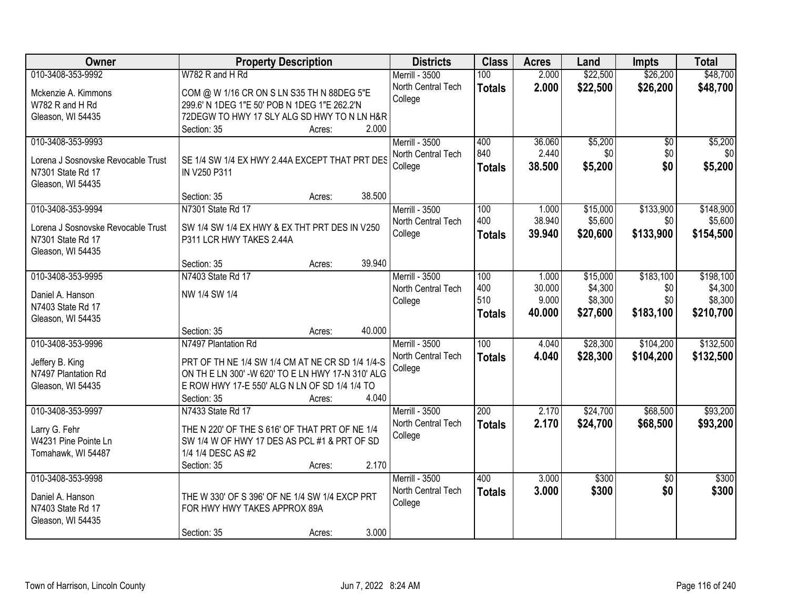| Owner                              | <b>Property Description</b>                       | <b>Districts</b>      | <b>Class</b>     | <b>Acres</b> | Land     | <b>Impts</b>    | <b>Total</b> |
|------------------------------------|---------------------------------------------------|-----------------------|------------------|--------------|----------|-----------------|--------------|
| 010-3408-353-9992                  | W782 R and H Rd                                   | Merrill - 3500        | 100              | 2.000        | \$22,500 | \$26,200        | \$48,700     |
| Mckenzie A. Kimmons                | COM @ W 1/16 CR ON S LN S35 TH N 88DEG 5"E        | North Central Tech    | <b>Totals</b>    | 2.000        | \$22,500 | \$26,200        | \$48,700     |
| W782 R and H Rd                    | 299.6' N 1DEG 1"E 50' POB N 1DEG 1"E 262.2'N      | College               |                  |              |          |                 |              |
| Gleason, WI 54435                  | 72DEGW TO HWY 17 SLY ALG SD HWY TO N LN H&R       |                       |                  |              |          |                 |              |
|                                    | 2.000<br>Section: 35<br>Acres:                    |                       |                  |              |          |                 |              |
| 010-3408-353-9993                  |                                                   | Merrill - 3500        | 400              | 36.060       | \$5,200  | \$0             | \$5,200      |
| Lorena J Sosnovske Revocable Trust | SE 1/4 SW 1/4 EX HWY 2.44A EXCEPT THAT PRT DES    | North Central Tech    | 840              | 2.440        | \$0      | \$0             | \$0          |
| N7301 State Rd 17                  | IN V250 P311                                      | College               | <b>Totals</b>    | 38.500       | \$5,200  | \$0             | \$5,200      |
| Gleason, WI 54435                  |                                                   |                       |                  |              |          |                 |              |
|                                    | 38.500<br>Section: 35<br>Acres:                   |                       |                  |              |          |                 |              |
| 010-3408-353-9994                  | N7301 State Rd 17                                 | Merrill - 3500        | 100              | 1.000        | \$15,000 | \$133,900       | \$148,900    |
| Lorena J Sosnovske Revocable Trust | SW 1/4 SW 1/4 EX HWY & EX THT PRT DES IN V250     | North Central Tech    | 400              | 38.940       | \$5,600  | \$0             | \$5,600      |
| N7301 State Rd 17                  | P311 LCR HWY TAKES 2.44A                          | College               | <b>Totals</b>    | 39.940       | \$20,600 | \$133,900       | \$154,500    |
| Gleason, WI 54435                  |                                                   |                       |                  |              |          |                 |              |
|                                    | 39.940<br>Section: 35<br>Acres:                   |                       |                  |              |          |                 |              |
| 010-3408-353-9995                  | N7403 State Rd 17                                 | Merrill - 3500        | 100              | 1.000        | \$15,000 | \$183,100       | \$198,100    |
| Daniel A. Hanson                   | NW 1/4 SW 1/4                                     | North Central Tech    | 400              | 30.000       | \$4,300  | \$0             | \$4,300      |
| N7403 State Rd 17                  |                                                   | College               | 510              | 9.000        | \$8,300  | \$0             | \$8,300      |
| Gleason, WI 54435                  |                                                   |                       | <b>Totals</b>    | 40.000       | \$27,600 | \$183,100       | \$210,700    |
|                                    | 40.000<br>Section: 35<br>Acres:                   |                       |                  |              |          |                 |              |
| 010-3408-353-9996                  | N7497 Plantation Rd                               | <b>Merrill - 3500</b> | 100              | 4.040        | \$28,300 | \$104,200       | \$132,500    |
| Jeffery B. King                    | PRT OF TH NE 1/4 SW 1/4 CM AT NE CR SD 1/4 1/4-S  | North Central Tech    | <b>Totals</b>    | 4.040        | \$28,300 | \$104,200       | \$132,500    |
| N7497 Plantation Rd                | ON TH E LN 300' -W 620' TO E LN HWY 17-N 310' ALG | College               |                  |              |          |                 |              |
| Gleason, WI 54435                  | E ROW HWY 17-E 550' ALG N LN OF SD 1/4 1/4 TO     |                       |                  |              |          |                 |              |
|                                    | 4.040<br>Section: 35<br>Acres:                    |                       |                  |              |          |                 |              |
| 010-3408-353-9997                  | N7433 State Rd 17                                 | Merrill - 3500        | $\overline{200}$ | 2.170        | \$24,700 | \$68,500        | \$93,200     |
| Larry G. Fehr                      | THE N 220' OF THE S 616' OF THAT PRT OF NE 1/4    | North Central Tech    | <b>Totals</b>    | 2.170        | \$24,700 | \$68,500        | \$93,200     |
| W4231 Pine Pointe Ln               | SW 1/4 W OF HWY 17 DES AS PCL #1 & PRT OF SD      | College               |                  |              |          |                 |              |
| Tomahawk, WI 54487                 | 1/4 1/4 DESC AS #2                                |                       |                  |              |          |                 |              |
|                                    | 2.170<br>Section: 35<br>Acres:                    |                       |                  |              |          |                 |              |
| 010-3408-353-9998                  |                                                   | <b>Merrill - 3500</b> | 400              | 3.000        | \$300    | $\overline{50}$ | \$300        |
| Daniel A. Hanson                   | THE W 330' OF S 396' OF NE 1/4 SW 1/4 EXCP PRT    | North Central Tech    | <b>Totals</b>    | 3.000        | \$300    | \$0             | \$300        |
| N7403 State Rd 17                  | FOR HWY HWY TAKES APPROX 89A                      | College               |                  |              |          |                 |              |
| Gleason, WI 54435                  |                                                   |                       |                  |              |          |                 |              |
|                                    | 3.000<br>Section: 35<br>Acres:                    |                       |                  |              |          |                 |              |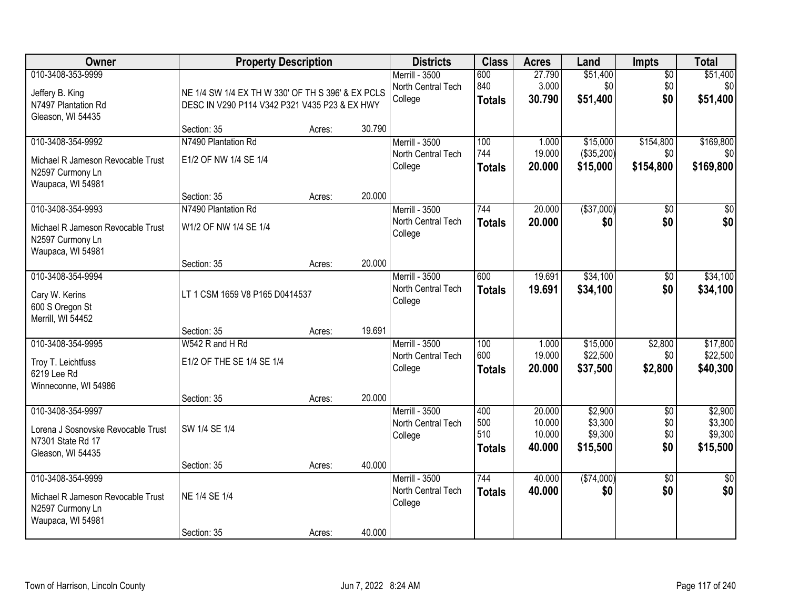| Owner                                                                                             | <b>Property Description</b>                                                                        |                  |                  | <b>Districts</b>                                | <b>Class</b>                       | <b>Acres</b>                         | Land                                      | <b>Impts</b>                    | <b>Total</b>                              |
|---------------------------------------------------------------------------------------------------|----------------------------------------------------------------------------------------------------|------------------|------------------|-------------------------------------------------|------------------------------------|--------------------------------------|-------------------------------------------|---------------------------------|-------------------------------------------|
| 010-3408-353-9999<br>Jeffery B. King<br>N7497 Plantation Rd                                       | NE 1/4 SW 1/4 EX TH W 330' OF TH S 396' & EX PCLS<br>DESC IN V290 P114 V342 P321 V435 P23 & EX HWY |                  |                  | Merrill - 3500<br>North Central Tech<br>College | 600<br>840<br><b>Totals</b>        | 27.790<br>3.000<br>30.790            | \$51,400<br>\$0<br>\$51,400               | $\overline{50}$<br>\$0<br>\$0   | \$51,400<br>\$0<br>\$51,400               |
| Gleason, WI 54435                                                                                 | Section: 35                                                                                        | Acres:           | 30.790           |                                                 |                                    |                                      |                                           |                                 |                                           |
| 010-3408-354-9992<br>Michael R Jameson Revocable Trust<br>N2597 Curmony Ln<br>Waupaca, WI 54981   | N7490 Plantation Rd<br>E1/2 OF NW 1/4 SE 1/4                                                       |                  |                  | Merrill - 3500<br>North Central Tech<br>College | 100<br>744<br><b>Totals</b>        | 1.000<br>19.000<br>20.000            | \$15,000<br>(\$35,200)<br>\$15,000        | \$154,800<br>\$0<br>\$154,800   | \$169,800<br>\$0<br>\$169,800             |
| 010-3408-354-9993<br>Michael R Jameson Revocable Trust<br>N2597 Curmony Ln<br>Waupaca, WI 54981   | Section: 35<br>N7490 Plantation Rd<br>W1/2 OF NW 1/4 SE 1/4                                        | Acres:           | 20.000           | Merrill - 3500<br>North Central Tech<br>College | 744<br><b>Totals</b>               | 20.000<br>20.000                     | ( \$37,000)<br>\$0                        | $\overline{50}$<br>\$0          | $\overline{30}$<br>\$0                    |
| 010-3408-354-9994<br>Cary W. Kerins<br>600 S Oregon St<br>Merrill, WI 54452                       | Section: 35<br>LT 1 CSM 1659 V8 P165 D0414537                                                      | Acres:           | 20.000           | Merrill - 3500<br>North Central Tech<br>College | 600<br><b>Totals</b>               | 19.691<br>19.691                     | \$34,100<br>\$34,100                      | $\sqrt[6]{3}$<br>\$0            | \$34,100<br>\$34,100                      |
| 010-3408-354-9995<br>Troy T. Leichtfuss<br>6219 Lee Rd<br>Winneconne, WI 54986                    | Section: 35<br>W542 R and H Rd<br>E1/2 OF THE SE 1/4 SE 1/4                                        | Acres:           | 19.691           | Merrill - 3500<br>North Central Tech<br>College | 100<br>600<br>Totals               | 1.000<br>19.000<br>20.000            | \$15,000<br>\$22,500<br>\$37,500          | \$2,800<br>\$0<br>\$2,800       | \$17,800<br>\$22,500<br>\$40,300          |
| 010-3408-354-9997<br>Lorena J Sosnovske Revocable Trust<br>N7301 State Rd 17<br>Gleason, WI 54435 | Section: 35<br>SW 1/4 SE 1/4<br>Section: 35                                                        | Acres:<br>Acres: | 20.000<br>40.000 | Merrill - 3500<br>North Central Tech<br>College | 400<br>500<br>510<br><b>Totals</b> | 20.000<br>10.000<br>10.000<br>40.000 | \$2,900<br>\$3,300<br>\$9,300<br>\$15,500 | $\sqrt{6}$<br>\$0<br>\$0<br>\$0 | \$2,900<br>\$3,300<br>\$9,300<br>\$15,500 |
| 010-3408-354-9999<br>Michael R Jameson Revocable Trust<br>N2597 Curmony Ln<br>Waupaca, WI 54981   | NE 1/4 SE 1/4<br>Section: 35                                                                       | Acres:           | 40.000           | Merrill - 3500<br>North Central Tech<br>College | 744<br><b>Totals</b>               | 40.000<br>40.000                     | (\$74,000)<br>\$0                         | $\overline{50}$<br>\$0          | $\frac{1}{2}$<br>\$0                      |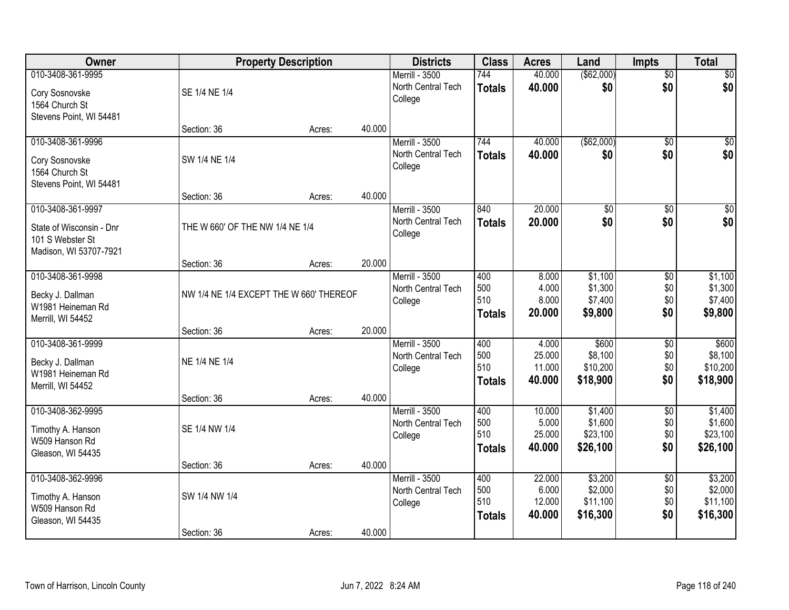| Owner                                                                                       |                                         | <b>Property Description</b> |        | <b>Districts</b>                                | <b>Class</b>                       | <b>Acres</b>                        | Land                                       | <b>Impts</b>                         | <b>Total</b>                               |
|---------------------------------------------------------------------------------------------|-----------------------------------------|-----------------------------|--------|-------------------------------------------------|------------------------------------|-------------------------------------|--------------------------------------------|--------------------------------------|--------------------------------------------|
| 010-3408-361-9995<br>Cory Sosnovske<br>1564 Church St                                       | SE 1/4 NE 1/4                           |                             |        | Merrill - 3500<br>North Central Tech<br>College | 744<br><b>Totals</b>               | 40.000<br>40.000                    | (\$62,000)<br>\$0                          | $\overline{50}$<br>\$0               | \$0<br>\$0                                 |
| Stevens Point, WI 54481                                                                     | Section: 36                             | Acres:                      | 40.000 |                                                 |                                    |                                     |                                            |                                      |                                            |
| 010-3408-361-9996<br>Cory Sosnovske<br>1564 Church St<br>Stevens Point, WI 54481            | SW 1/4 NE 1/4                           |                             |        | Merrill - 3500<br>North Central Tech<br>College | 744<br><b>Totals</b>               | 40.000<br>40.000                    | ( \$62,000)<br>\$0                         | $\overline{50}$<br>\$0               | \$0<br>\$0                                 |
|                                                                                             | Section: 36                             | Acres:                      | 40.000 |                                                 |                                    |                                     |                                            |                                      |                                            |
| 010-3408-361-9997<br>State of Wisconsin - Dnr<br>101 S Webster St<br>Madison, WI 53707-7921 | THE W 660' OF THE NW 1/4 NE 1/4         |                             |        | Merrill - 3500<br>North Central Tech<br>College | 840<br><b>Totals</b>               | 20.000<br>20.000                    | $\overline{50}$<br>\$0                     | \$0<br>\$0                           | $\overline{\$0}$<br>\$0                    |
|                                                                                             | Section: 36                             | Acres:                      | 20.000 |                                                 |                                    |                                     |                                            |                                      |                                            |
| 010-3408-361-9998<br>Becky J. Dallman<br>W1981 Heineman Rd<br>Merrill, WI 54452             | NW 1/4 NE 1/4 EXCEPT THE W 660' THEREOF |                             |        | Merrill - 3500<br>North Central Tech<br>College | 400<br>500<br>510<br><b>Totals</b> | 8.000<br>4.000<br>8.000<br>20.000   | \$1,100<br>\$1,300<br>\$7,400<br>\$9,800   | $\sqrt[6]{3}$<br>\$0<br>\$0<br>\$0   | \$1,100<br>\$1,300<br>\$7,400<br>\$9,800   |
|                                                                                             | Section: 36                             | Acres:                      | 20.000 |                                                 |                                    |                                     |                                            |                                      |                                            |
| 010-3408-361-9999<br>Becky J. Dallman<br>W1981 Heineman Rd<br>Merrill, WI 54452             | NE 1/4 NE 1/4                           |                             |        | Merrill - 3500<br>North Central Tech<br>College | 400<br>500<br>510<br><b>Totals</b> | 4.000<br>25.000<br>11.000<br>40.000 | \$600<br>\$8,100<br>\$10,200<br>\$18,900   | $\overline{50}$<br>\$0<br>\$0<br>\$0 | \$600<br>\$8,100<br>\$10,200<br>\$18,900   |
|                                                                                             | Section: 36                             | Acres:                      | 40.000 |                                                 |                                    |                                     |                                            |                                      |                                            |
| 010-3408-362-9995<br>Timothy A. Hanson<br>W509 Hanson Rd<br>Gleason, WI 54435               | SE 1/4 NW 1/4                           |                             |        | Merrill - 3500<br>North Central Tech<br>College | 400<br>500<br>510<br><b>Totals</b> | 10.000<br>5.000<br>25.000<br>40,000 | \$1,400<br>\$1,600<br>\$23,100<br>\$26,100 | $\sqrt{6}$<br>\$0<br>\$0<br>\$0      | \$1,400<br>\$1,600<br>\$23,100<br>\$26,100 |
|                                                                                             | Section: 36                             | Acres:                      | 40.000 |                                                 |                                    |                                     |                                            |                                      |                                            |
| 010-3408-362-9996<br>Timothy A. Hanson<br>W509 Hanson Rd<br>Gleason, WI 54435               | SW 1/4 NW 1/4                           |                             |        | Merrill - 3500<br>North Central Tech<br>College | 400<br>500<br>510<br><b>Totals</b> | 22.000<br>6.000<br>12.000<br>40.000 | \$3,200<br>\$2,000<br>\$11,100<br>\$16,300 | $\overline{60}$<br>\$0<br>\$0<br>\$0 | \$3,200<br>\$2,000<br>\$11,100<br>\$16,300 |
|                                                                                             | Section: 36                             | Acres:                      | 40.000 |                                                 |                                    |                                     |                                            |                                      |                                            |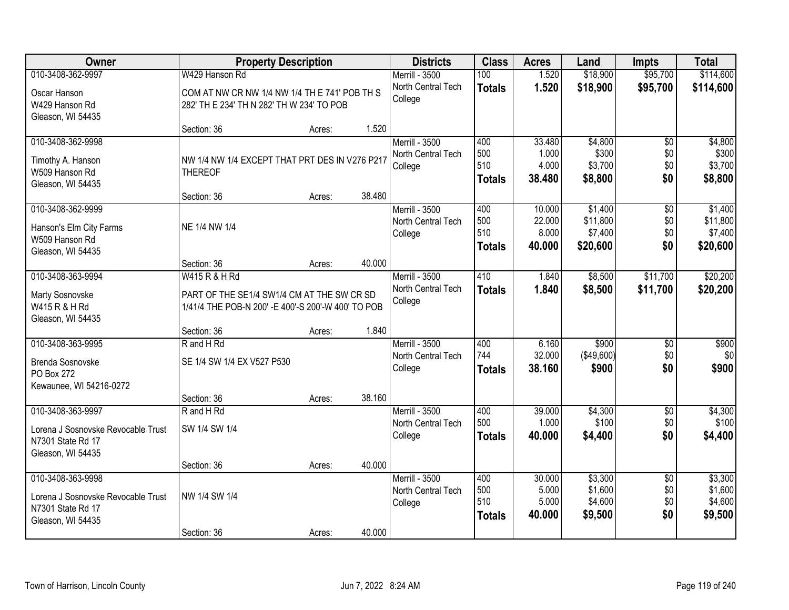| Owner                              |                                                     | <b>Property Description</b> |        | <b>Districts</b>      | <b>Class</b>  | <b>Acres</b> | Land              | <b>Impts</b>    | <b>Total</b> |
|------------------------------------|-----------------------------------------------------|-----------------------------|--------|-----------------------|---------------|--------------|-------------------|-----------------|--------------|
| 010-3408-362-9997                  | W429 Hanson Rd                                      |                             |        | Merrill - 3500        | 100           | 1.520        | \$18,900          | \$95,700        | \$114,600    |
| Oscar Hanson                       | COM AT NW CR NW 1/4 NW 1/4 TH E 741' POB TH S       |                             |        | North Central Tech    | <b>Totals</b> | 1.520        | \$18,900          | \$95,700        | \$114,600    |
| W429 Hanson Rd                     | 282' TH E 234' TH N 282' TH W 234' TO POB           |                             |        | College               |               |              |                   |                 |              |
| Gleason, WI 54435                  |                                                     |                             |        |                       |               |              |                   |                 |              |
|                                    | Section: 36                                         | Acres:                      | 1.520  |                       |               |              |                   |                 |              |
| 010-3408-362-9998                  |                                                     |                             |        | Merrill - 3500        | 400           | 33.480       | \$4,800           | $\overline{50}$ | \$4,800      |
| Timothy A. Hanson                  | NW 1/4 NW 1/4 EXCEPT THAT PRT DES IN V276 P217      |                             |        | North Central Tech    | 500           | 1.000        | \$300             | \$0             | \$300        |
| W509 Hanson Rd                     | <b>THEREOF</b>                                      |                             |        | College               | 510           | 4.000        | \$3,700           | \$0             | \$3,700      |
| Gleason, WI 54435                  |                                                     |                             |        |                       | <b>Totals</b> | 38.480       | \$8,800           | \$0             | \$8,800      |
|                                    | Section: 36                                         | Acres:                      | 38.480 |                       |               |              |                   |                 |              |
| 010-3408-362-9999                  |                                                     |                             |        | Merrill - 3500        | 400           | 10.000       | \$1,400           | $\overline{50}$ | \$1,400      |
| Hanson's Elm City Farms            | NE 1/4 NW 1/4                                       |                             |        | North Central Tech    | 500           | 22.000       | \$11,800          | \$0             | \$11,800     |
| W509 Hanson Rd                     |                                                     |                             |        | College               | 510           | 8.000        | \$7,400           | \$0             | \$7,400      |
| Gleason, WI 54435                  |                                                     |                             |        |                       | <b>Totals</b> | 40.000       | \$20,600          | \$0             | \$20,600     |
|                                    | Section: 36                                         | Acres:                      | 40.000 |                       |               |              |                   |                 |              |
| 010-3408-363-9994                  | W415 R & H Rd                                       |                             |        | <b>Merrill - 3500</b> | 410           | 1.840        | \$8,500           | \$11,700        | \$20,200     |
| Marty Sosnovske                    | PART OF THE SE1/4 SW1/4 CM AT THE SW CR SD          |                             |        | North Central Tech    | <b>Totals</b> | 1.840        | \$8,500           | \$11,700        | \$20,200     |
| W415 R & H Rd                      | 1/41/4 THE POB-N 200' - E 400'-S 200'-W 400' TO POB |                             |        | College               |               |              |                   |                 |              |
| Gleason, WI 54435                  |                                                     |                             |        |                       |               |              |                   |                 |              |
|                                    | Section: 36                                         | Acres:                      | 1.840  |                       |               |              |                   |                 |              |
| 010-3408-363-9995                  | R and H Rd                                          |                             |        | Merrill - 3500        | 400           | 6.160        | \$900             | $\overline{50}$ | \$900        |
| Brenda Sosnovske                   | SE 1/4 SW 1/4 EX V527 P530                          |                             |        | North Central Tech    | 744           | 32.000       | $($ \$49,600) $ $ | \$0             | \$0          |
| PO Box 272                         |                                                     |                             |        | College               | <b>Totals</b> | 38.160       | \$900             | \$0             | \$900        |
| Kewaunee, WI 54216-0272            |                                                     |                             |        |                       |               |              |                   |                 |              |
|                                    | Section: 36                                         | Acres:                      | 38.160 |                       |               |              |                   |                 |              |
| 010-3408-363-9997                  | R and H Rd                                          |                             |        | Merrill - 3500        | 400           | 39.000       | \$4,300           | $\overline{50}$ | \$4,300      |
| Lorena J Sosnovske Revocable Trust | SW 1/4 SW 1/4                                       |                             |        | North Central Tech    | 500           | 1.000        | \$100             | \$0             | \$100        |
| N7301 State Rd 17                  |                                                     |                             |        | College               | <b>Totals</b> | 40.000       | \$4,400           | \$0             | \$4,400      |
| Gleason, WI 54435                  |                                                     |                             |        |                       |               |              |                   |                 |              |
|                                    | Section: 36                                         | Acres:                      | 40.000 |                       |               |              |                   |                 |              |
| 010-3408-363-9998                  |                                                     |                             |        | Merrill - 3500        | 400           | 30.000       | \$3,300           | $\overline{50}$ | \$3,300      |
| Lorena J Sosnovske Revocable Trust | NW 1/4 SW 1/4                                       |                             |        | North Central Tech    | 500           | 5.000        | \$1,600           | \$0             | \$1,600      |
| N7301 State Rd 17                  |                                                     |                             |        | College               | 510           | 5.000        | \$4,600           | \$0             | \$4,600      |
| Gleason, WI 54435                  |                                                     |                             |        |                       | <b>Totals</b> | 40.000       | \$9,500           | \$0             | \$9,500      |
|                                    | Section: 36                                         | Acres:                      | 40.000 |                       |               |              |                   |                 |              |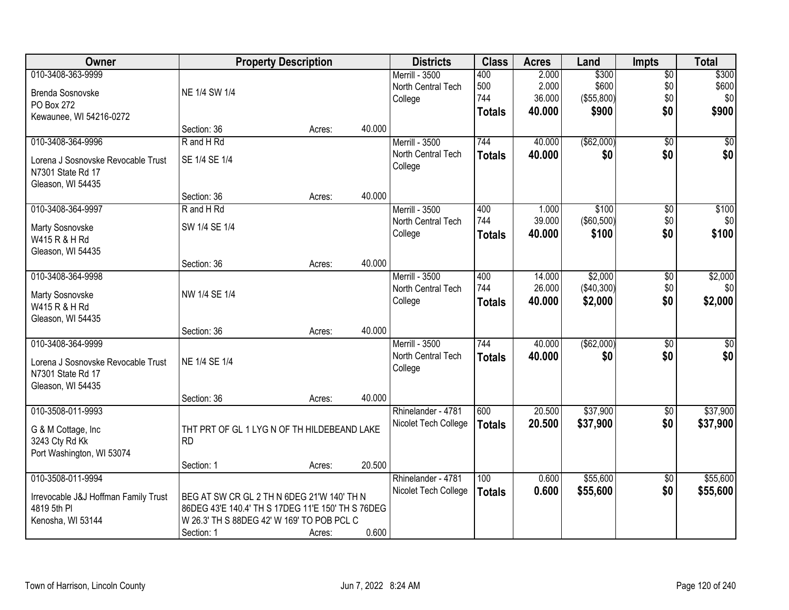| Owner                                |                                                   | <b>Property Description</b> |        | <b>Districts</b>      | <b>Class</b>  | <b>Acres</b> | Land        | <b>Impts</b>    | <b>Total</b> |
|--------------------------------------|---------------------------------------------------|-----------------------------|--------|-----------------------|---------------|--------------|-------------|-----------------|--------------|
| 010-3408-363-9999                    |                                                   |                             |        | <b>Merrill - 3500</b> | 400           | 2.000        | \$300       | $\overline{$0}$ | \$300        |
| Brenda Sosnovske                     | NE 1/4 SW 1/4                                     |                             |        | North Central Tech    | 500           | 2.000        | \$600       | \$0             | \$600        |
| PO Box 272                           |                                                   |                             |        | College               | 744           | 36.000       | (\$55,800)  | \$0             | \$0          |
| Kewaunee, WI 54216-0272              |                                                   |                             |        |                       | <b>Totals</b> | 40.000       | \$900       | \$0             | \$900        |
|                                      | Section: 36                                       | Acres:                      | 40.000 |                       |               |              |             |                 |              |
| 010-3408-364-9996                    | R and H Rd                                        |                             |        | <b>Merrill - 3500</b> | 744           | 40.000       | (\$62,000)  | $\overline{50}$ | \$0          |
| Lorena J Sosnovske Revocable Trust   | SE 1/4 SE 1/4                                     |                             |        | North Central Tech    | <b>Totals</b> | 40.000       | \$0         | \$0             | \$0          |
| N7301 State Rd 17                    |                                                   |                             |        | College               |               |              |             |                 |              |
| Gleason, WI 54435                    |                                                   |                             |        |                       |               |              |             |                 |              |
|                                      | Section: 36                                       | Acres:                      | 40.000 |                       |               |              |             |                 |              |
| 010-3408-364-9997                    | R and H Rd                                        |                             |        | Merrill - 3500        | 400           | 1.000        | \$100       | \$0             | \$100        |
| Marty Sosnovske                      | SW 1/4 SE 1/4                                     |                             |        | North Central Tech    | 744           | 39.000       | (\$60,500)  | \$0             | \$0          |
| W415 R & H Rd                        |                                                   |                             |        | College               | <b>Totals</b> | 40.000       | \$100       | \$0             | \$100        |
| Gleason, WI 54435                    |                                                   |                             |        |                       |               |              |             |                 |              |
|                                      | Section: 36                                       | Acres:                      | 40.000 |                       |               |              |             |                 |              |
| 010-3408-364-9998                    |                                                   |                             |        | Merrill - 3500        | 400           | 14.000       | \$2,000     | $\sqrt[6]{3}$   | \$2,000      |
| Marty Sosnovske                      | NW 1/4 SE 1/4                                     |                             |        | North Central Tech    | 744           | 26.000       | (\$40,300)  | \$0             | \$0          |
| W415 R & H Rd                        |                                                   |                             |        | College               | <b>Totals</b> | 40.000       | \$2,000     | \$0             | \$2,000      |
| Gleason, WI 54435                    |                                                   |                             |        |                       |               |              |             |                 |              |
|                                      | Section: 36                                       | Acres:                      | 40.000 |                       |               |              |             |                 |              |
| 010-3408-364-9999                    |                                                   |                             |        | <b>Merrill - 3500</b> | 744           | 40.000       | ( \$62,000) | $\overline{50}$ | $\sqrt{50}$  |
| Lorena J Sosnovske Revocable Trust   | NE 1/4 SE 1/4                                     |                             |        | North Central Tech    | <b>Totals</b> | 40.000       | \$0         | \$0             | \$0          |
| N7301 State Rd 17                    |                                                   |                             |        | College               |               |              |             |                 |              |
| Gleason, WI 54435                    |                                                   |                             |        |                       |               |              |             |                 |              |
|                                      | Section: 36                                       | Acres:                      | 40.000 |                       |               |              |             |                 |              |
| 010-3508-011-9993                    |                                                   |                             |        | Rhinelander - 4781    | 600           | 20.500       | \$37,900    | $\sqrt{6}$      | \$37,900     |
| G & M Cottage, Inc.                  | THT PRT OF GL 1 LYG N OF TH HILDEBEAND LAKE       |                             |        | Nicolet Tech College  | <b>Totals</b> | 20.500       | \$37,900    | \$0             | \$37,900     |
| 3243 Cty Rd Kk                       | <b>RD</b>                                         |                             |        |                       |               |              |             |                 |              |
| Port Washington, WI 53074            |                                                   |                             |        |                       |               |              |             |                 |              |
|                                      | Section: 1                                        | Acres:                      | 20.500 |                       |               |              |             |                 |              |
| 010-3508-011-9994                    |                                                   |                             |        | Rhinelander - 4781    | 100           | 0.600        | \$55,600    | \$0             | \$55,600     |
| Irrevocable J&J Hoffman Family Trust | BEG AT SW CR GL 2 TH N 6DEG 21'W 140' TH N        |                             |        | Nicolet Tech College  | <b>Totals</b> | 0.600        | \$55,600    | \$0             | \$55,600     |
| 4819 5th PI                          | 86DEG 43'E 140.4' TH S 17DEG 11'E 150' TH S 76DEG |                             |        |                       |               |              |             |                 |              |
| Kenosha, WI 53144                    | W 26.3' TH S 88DEG 42' W 169' TO POB PCL C        |                             |        |                       |               |              |             |                 |              |
|                                      | Section: 1                                        | Acres:                      | 0.600  |                       |               |              |             |                 |              |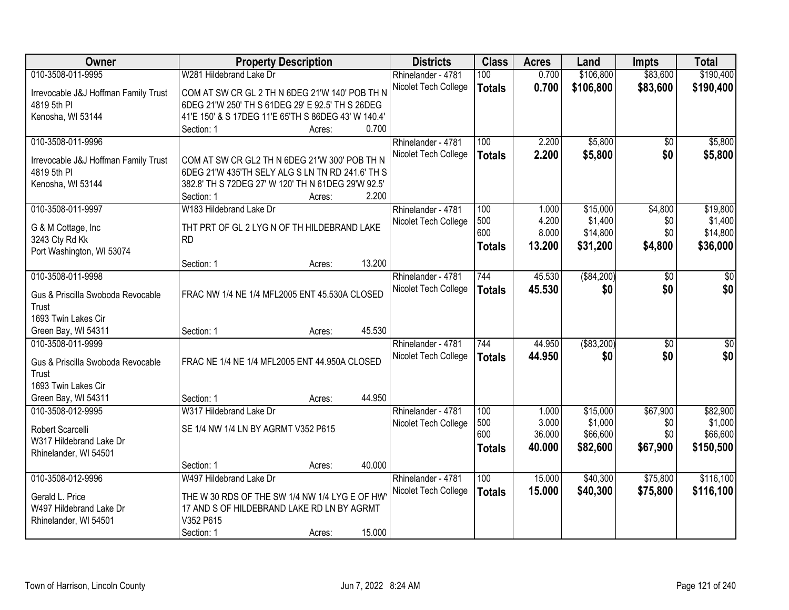| Owner                                               |                                                                                                   | <b>Property Description</b> |        | <b>Districts</b>     | <b>Class</b>  | <b>Acres</b> | Land         | <b>Impts</b>    | <b>Total</b>    |
|-----------------------------------------------------|---------------------------------------------------------------------------------------------------|-----------------------------|--------|----------------------|---------------|--------------|--------------|-----------------|-----------------|
| 010-3508-011-9995                                   | W281 Hildebrand Lake Dr                                                                           |                             |        | Rhinelander - 4781   | 100           | 0.700        | \$106,800    | \$83,600        | \$190,400       |
| Irrevocable J&J Hoffman Family Trust                | COM AT SW CR GL 2 TH N 6DEG 21'W 140' POB TH N                                                    |                             |        | Nicolet Tech College | <b>Totals</b> | 0.700        | \$106,800    | \$83,600        | \$190,400       |
| 4819 5th PI                                         | 6DEG 21'W 250' TH S 61DEG 29' E 92.5' TH S 26DEG                                                  |                             |        |                      |               |              |              |                 |                 |
| Kenosha, WI 53144                                   | 41'E 150' & S 17DEG 11'E 65'TH S 86DEG 43' W 140.4'                                               |                             |        |                      |               |              |              |                 |                 |
|                                                     | Section: 1                                                                                        | Acres:                      | 0.700  |                      |               |              |              |                 |                 |
| 010-3508-011-9996                                   |                                                                                                   |                             |        | Rhinelander - 4781   | 100           | 2.200        | \$5,800      | \$0             | \$5,800         |
|                                                     |                                                                                                   |                             |        | Nicolet Tech College | <b>Totals</b> | 2.200        | \$5,800      | \$0             | \$5,800         |
| Irrevocable J&J Hoffman Family Trust<br>4819 5th PI | COM AT SW CR GL2 TH N 6DEG 21'W 300' POB TH N<br>6DEG 21'W 435'TH SELY ALG S LN TN RD 241.6' TH S |                             |        |                      |               |              |              |                 |                 |
| Kenosha, WI 53144                                   | 382.8' TH S 72DEG 27' W 120' TH N 61DEG 29'W 92.5'                                                |                             |        |                      |               |              |              |                 |                 |
|                                                     | Section: 1                                                                                        | Acres:                      | 2.200  |                      |               |              |              |                 |                 |
| 010-3508-011-9997                                   | W183 Hildebrand Lake Dr                                                                           |                             |        | Rhinelander - 4781   | 100           | 1.000        | \$15,000     | \$4,800         | \$19,800        |
|                                                     |                                                                                                   |                             |        | Nicolet Tech College | 500           | 4.200        | \$1,400      | \$0             | \$1,400         |
| G & M Cottage, Inc                                  | THT PRT OF GL 2 LYG N OF TH HILDEBRAND LAKE                                                       |                             |        |                      | 600           | 8.000        | \$14,800     | \$0             | \$14,800        |
| 3243 Cty Rd Kk                                      | <b>RD</b>                                                                                         |                             |        |                      | <b>Totals</b> | 13.200       | \$31,200     | \$4,800         | \$36,000        |
| Port Washington, WI 53074                           | Section: 1                                                                                        | Acres:                      | 13.200 |                      |               |              |              |                 |                 |
| 010-3508-011-9998                                   |                                                                                                   |                             |        | Rhinelander - 4781   | 744           | 45.530       | ( \$84, 200) | \$0             | $\sqrt{50}$     |
|                                                     |                                                                                                   |                             |        | Nicolet Tech College | <b>Totals</b> | 45.530       | \$0          | \$0             | \$0             |
| Gus & Priscilla Swoboda Revocable                   | FRAC NW 1/4 NE 1/4 MFL2005 ENT 45.530A CLOSED                                                     |                             |        |                      |               |              |              |                 |                 |
| Trust                                               |                                                                                                   |                             |        |                      |               |              |              |                 |                 |
| 1693 Twin Lakes Cir                                 |                                                                                                   |                             |        |                      |               |              |              |                 |                 |
| Green Bay, WI 54311                                 | Section: 1                                                                                        | Acres:                      | 45.530 |                      |               |              |              |                 |                 |
| 010-3508-011-9999                                   |                                                                                                   |                             |        | Rhinelander - 4781   | 744           | 44.950       | ( \$83,200)  | $\overline{50}$ | $\overline{50}$ |
| Gus & Priscilla Swoboda Revocable                   | FRAC NE 1/4 NE 1/4 MFL2005 ENT 44.950A CLOSED                                                     |                             |        | Nicolet Tech College | <b>Totals</b> | 44.950       | \$0          | \$0             | \$0             |
| Trust                                               |                                                                                                   |                             |        |                      |               |              |              |                 |                 |
| 1693 Twin Lakes Cir                                 |                                                                                                   |                             |        |                      |               |              |              |                 |                 |
| Green Bay, WI 54311                                 | Section: 1                                                                                        | Acres:                      | 44.950 |                      |               |              |              |                 |                 |
| 010-3508-012-9995                                   | W317 Hildebrand Lake Dr                                                                           |                             |        | Rhinelander - 4781   | 100           | 1.000        | \$15,000     | \$67,900        | \$82,900        |
| Robert Scarcelli                                    | SE 1/4 NW 1/4 LN BY AGRMT V352 P615                                                               |                             |        | Nicolet Tech College | 500           | 3.000        | \$1,000      | \$0             | \$1,000         |
| W317 Hildebrand Lake Dr                             |                                                                                                   |                             |        |                      | 600           | 36.000       | \$66,600     | \$0             | \$66,600        |
| Rhinelander, WI 54501                               |                                                                                                   |                             |        |                      | <b>Totals</b> | 40.000       | \$82,600     | \$67,900        | \$150,500       |
|                                                     | Section: 1                                                                                        | Acres:                      | 40.000 |                      |               |              |              |                 |                 |
| 010-3508-012-9996                                   | W497 Hildebrand Lake Dr                                                                           |                             |        | Rhinelander - 4781   | 100           | 15,000       | \$40,300     | \$75,800        | \$116,100       |
| Gerald L. Price                                     | THE W 30 RDS OF THE SW 1/4 NW 1/4 LYG E OF HW                                                     |                             |        | Nicolet Tech College | <b>Totals</b> | 15.000       | \$40,300     | \$75,800        | \$116,100       |
| W497 Hildebrand Lake Dr                             | 17 AND S OF HILDEBRAND LAKE RD LN BY AGRMT                                                        |                             |        |                      |               |              |              |                 |                 |
| Rhinelander, WI 54501                               | V352 P615                                                                                         |                             |        |                      |               |              |              |                 |                 |
|                                                     | Section: 1                                                                                        | Acres:                      | 15.000 |                      |               |              |              |                 |                 |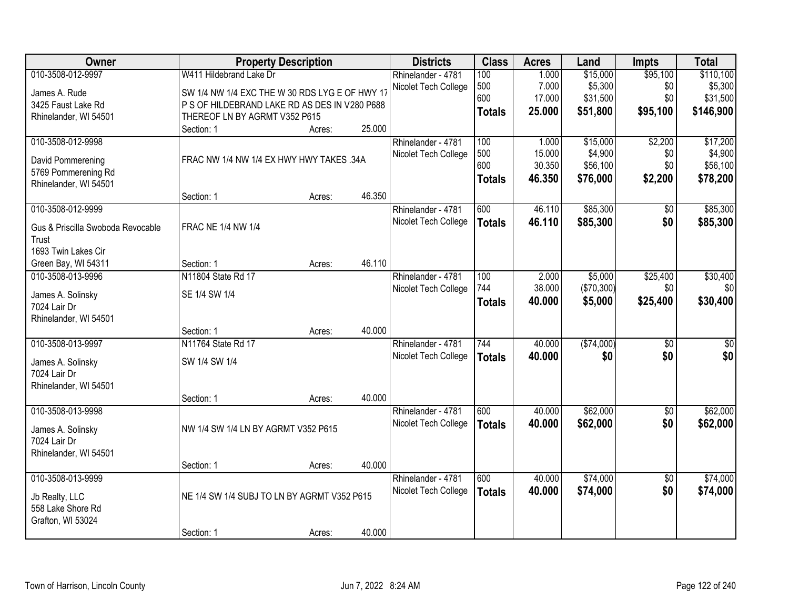| Owner                             |                                                | <b>Property Description</b> |        | <b>Districts</b>     | <b>Class</b>  | <b>Acres</b> | Land       | <b>Impts</b>    | <b>Total</b>    |
|-----------------------------------|------------------------------------------------|-----------------------------|--------|----------------------|---------------|--------------|------------|-----------------|-----------------|
| 010-3508-012-9997                 | W411 Hildebrand Lake Dr                        |                             |        | Rhinelander - 4781   | 100           | 1.000        | \$15,000   | \$95,100        | \$110,100       |
| James A. Rude                     | SW 1/4 NW 1/4 EXC THE W 30 RDS LYG E OF HWY 17 |                             |        | Nicolet Tech College | 500           | 7.000        | \$5,300    | \$0             | \$5,300         |
| 3425 Faust Lake Rd                | P S OF HILDEBRAND LAKE RD AS DES IN V280 P688  |                             |        |                      | 600           | 17.000       | \$31,500   | \$0             | \$31,500        |
| Rhinelander, WI 54501             | THEREOF LN BY AGRMT V352 P615                  |                             |        |                      | <b>Totals</b> | 25.000       | \$51,800   | \$95,100        | \$146,900       |
|                                   | Section: 1                                     | Acres:                      | 25.000 |                      |               |              |            |                 |                 |
| 010-3508-012-9998                 |                                                |                             |        | Rhinelander - 4781   | 100           | 1.000        | \$15,000   | \$2,200         | \$17,200        |
| David Pommerening                 | FRAC NW 1/4 NW 1/4 EX HWY HWY TAKES .34A       |                             |        | Nicolet Tech College | 500           | 15.000       | \$4,900    | \$0             | \$4,900         |
| 5769 Pommerening Rd               |                                                |                             |        |                      | 600           | 30.350       | \$56,100   | \$0             | \$56,100        |
| Rhinelander, WI 54501             |                                                |                             |        |                      | <b>Totals</b> | 46.350       | \$76,000   | \$2,200         | \$78,200        |
|                                   | Section: 1                                     | Acres:                      | 46.350 |                      |               |              |            |                 |                 |
| 010-3508-012-9999                 |                                                |                             |        | Rhinelander - 4781   | 600           | 46.110       | \$85,300   | \$0             | \$85,300        |
| Gus & Priscilla Swoboda Revocable | <b>FRAC NE 1/4 NW 1/4</b>                      |                             |        | Nicolet Tech College | <b>Totals</b> | 46.110       | \$85,300   | \$0             | \$85,300        |
| Trust                             |                                                |                             |        |                      |               |              |            |                 |                 |
| 1693 Twin Lakes Cir               |                                                |                             |        |                      |               |              |            |                 |                 |
| Green Bay, WI 54311               | Section: 1                                     | Acres:                      | 46.110 |                      |               |              |            |                 |                 |
| 010-3508-013-9996                 | N11804 State Rd 17                             |                             |        | Rhinelander - 4781   | 100           | 2.000        | \$5,000    | \$25,400        | \$30,400        |
|                                   |                                                |                             |        | Nicolet Tech College | 744           | 38.000       | (\$70,300) | \$0             | \$0             |
| James A. Solinsky                 | SE 1/4 SW 1/4                                  |                             |        |                      | <b>Totals</b> | 40.000       | \$5,000    | \$25,400        | \$30,400        |
| 7024 Lair Dr                      |                                                |                             |        |                      |               |              |            |                 |                 |
| Rhinelander, WI 54501             |                                                |                             | 40.000 |                      |               |              |            |                 |                 |
| 010-3508-013-9997                 | Section: 1<br>N11764 State Rd 17               | Acres:                      |        | Rhinelander - 4781   | 744           | 40.000       | (\$74,000) | $\overline{60}$ | $\overline{50}$ |
|                                   |                                                |                             |        | Nicolet Tech College |               | 40.000       | \$0        | \$0             | \$0             |
| James A. Solinsky                 | SW 1/4 SW 1/4                                  |                             |        |                      | <b>Totals</b> |              |            |                 |                 |
| 7024 Lair Dr                      |                                                |                             |        |                      |               |              |            |                 |                 |
| Rhinelander, WI 54501             |                                                |                             |        |                      |               |              |            |                 |                 |
|                                   | Section: 1                                     | Acres:                      | 40.000 |                      |               |              |            |                 |                 |
| 010-3508-013-9998                 |                                                |                             |        | Rhinelander - 4781   | 600           | 40.000       | \$62,000   | $\sqrt{6}$      | \$62,000        |
| James A. Solinsky                 | NW 1/4 SW 1/4 LN BY AGRMT V352 P615            |                             |        | Nicolet Tech College | <b>Totals</b> | 40.000       | \$62,000   | \$0             | \$62,000        |
| 7024 Lair Dr                      |                                                |                             |        |                      |               |              |            |                 |                 |
| Rhinelander, WI 54501             |                                                |                             |        |                      |               |              |            |                 |                 |
|                                   | Section: 1                                     | Acres:                      | 40.000 |                      |               |              |            |                 |                 |
| 010-3508-013-9999                 |                                                |                             |        | Rhinelander - 4781   | 600           | 40.000       | \$74,000   | $\overline{50}$ | \$74,000        |
| Jb Realty, LLC                    | NE 1/4 SW 1/4 SUBJ TO LN BY AGRMT V352 P615    |                             |        | Nicolet Tech College | <b>Totals</b> | 40.000       | \$74,000   | \$0             | \$74,000        |
| 558 Lake Shore Rd                 |                                                |                             |        |                      |               |              |            |                 |                 |
| Grafton, WI 53024                 |                                                |                             |        |                      |               |              |            |                 |                 |
|                                   | Section: 1                                     | Acres:                      | 40.000 |                      |               |              |            |                 |                 |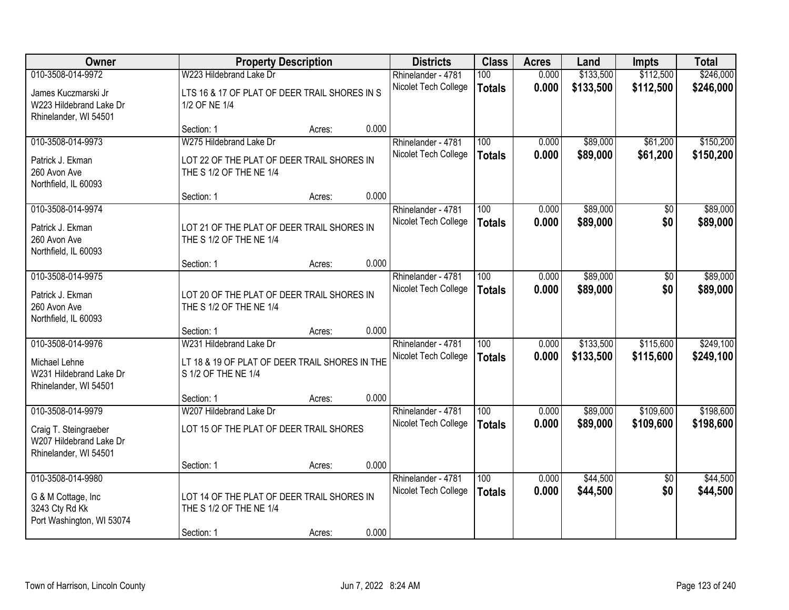| Owner                                                                                  | <b>Property Description</b>                                                                      |        |       | <b>Districts</b>                           | <b>Class</b>                      | <b>Acres</b>   | Land                   | <b>Impts</b>           | <b>Total</b>           |
|----------------------------------------------------------------------------------------|--------------------------------------------------------------------------------------------------|--------|-------|--------------------------------------------|-----------------------------------|----------------|------------------------|------------------------|------------------------|
| 010-3508-014-9972                                                                      | W223 Hildebrand Lake Dr                                                                          |        |       | Rhinelander - 4781                         | 100                               | 0.000          | \$133,500              | \$112,500              | \$246,000              |
| James Kuczmarski Jr<br>W223 Hildebrand Lake Dr<br>Rhinelander, WI 54501                | LTS 16 & 17 OF PLAT OF DEER TRAIL SHORES IN S<br>1/2 OF NE 1/4                                   |        |       | Nicolet Tech College                       | <b>Totals</b>                     | 0.000          | \$133,500              | \$112,500              | \$246,000              |
|                                                                                        | Section: 1                                                                                       | Acres: | 0.000 |                                            |                                   |                |                        |                        |                        |
| 010-3508-014-9973                                                                      | W275 Hildebrand Lake Dr                                                                          |        |       | Rhinelander - 4781                         | 100                               | 0.000          | \$89,000               | \$61,200               | \$150,200              |
| Patrick J. Ekman<br>260 Avon Ave<br>Northfield, IL 60093                               | LOT 22 OF THE PLAT OF DEER TRAIL SHORES IN<br>THE S 1/2 OF THE NE 1/4                            |        |       | Nicolet Tech College                       | <b>Totals</b>                     | 0.000          | \$89,000               | \$61,200               | \$150,200              |
|                                                                                        | Section: 1                                                                                       | Acres: | 0.000 |                                            |                                   |                |                        |                        |                        |
| 010-3508-014-9974                                                                      |                                                                                                  |        |       | Rhinelander - 4781                         | 100                               | 0.000          | \$89,000               | \$0                    | \$89,000               |
| Patrick J. Ekman<br>260 Avon Ave<br>Northfield, IL 60093                               | LOT 21 OF THE PLAT OF DEER TRAIL SHORES IN<br>THE S 1/2 OF THE NE 1/4                            |        |       | Nicolet Tech College                       | <b>Totals</b>                     | 0.000          | \$89,000               | \$0                    | \$89,000               |
|                                                                                        | Section: 1                                                                                       | Acres: | 0.000 |                                            |                                   |                |                        |                        |                        |
| 010-3508-014-9975                                                                      |                                                                                                  |        |       | Rhinelander - 4781                         | 100                               | 0.000          | \$89,000               | \$0                    | \$89,000               |
| Patrick J. Ekman<br>260 Avon Ave<br>Northfield, IL 60093                               | LOT 20 OF THE PLAT OF DEER TRAIL SHORES IN<br>THE S 1/2 OF THE NE 1/4                            |        |       | Nicolet Tech College                       | <b>Totals</b>                     | 0.000          | \$89,000               | \$0                    | \$89,000               |
|                                                                                        | Section: 1                                                                                       | Acres: | 0.000 |                                            |                                   |                |                        |                        |                        |
| 010-3508-014-9976<br>Michael Lehne<br>W231 Hildebrand Lake Dr                          | W231 Hildebrand Lake Dr<br>LT 18 & 19 OF PLAT OF DEER TRAIL SHORES IN THE<br>S 1/2 OF THE NE 1/4 |        |       | Rhinelander - 4781<br>Nicolet Tech College | $\overline{100}$<br><b>Totals</b> | 0.000<br>0.000 | \$133,500<br>\$133,500 | \$115,600<br>\$115,600 | \$249,100<br>\$249,100 |
| Rhinelander, WI 54501                                                                  | Section: 1                                                                                       | Acres: | 0.000 |                                            |                                   |                |                        |                        |                        |
| 010-3508-014-9979                                                                      | W207 Hildebrand Lake Dr                                                                          |        |       | Rhinelander - 4781                         | 100                               | 0.000          | \$89,000               | \$109,600              | \$198,600              |
| Craig T. Steingraeber<br>W207 Hildebrand Lake Dr<br>Rhinelander, WI 54501              | LOT 15 OF THE PLAT OF DEER TRAIL SHORES                                                          |        |       | Nicolet Tech College                       | <b>Totals</b>                     | 0.000          | \$89,000               | \$109,600              | \$198,600              |
|                                                                                        | Section: 1                                                                                       | Acres: | 0.000 |                                            |                                   |                |                        |                        |                        |
| 010-3508-014-9980<br>G & M Cottage, Inc<br>3243 Cty Rd Kk<br>Port Washington, WI 53074 | LOT 14 OF THE PLAT OF DEER TRAIL SHORES IN<br>THE S 1/2 OF THE NE 1/4                            |        |       | Rhinelander - 4781<br>Nicolet Tech College | 100<br><b>Totals</b>              | 0.000<br>0.000 | \$44,500<br>\$44,500   | $\overline{50}$<br>\$0 | \$44,500<br>\$44,500   |
|                                                                                        | Section: 1                                                                                       | Acres: | 0.000 |                                            |                                   |                |                        |                        |                        |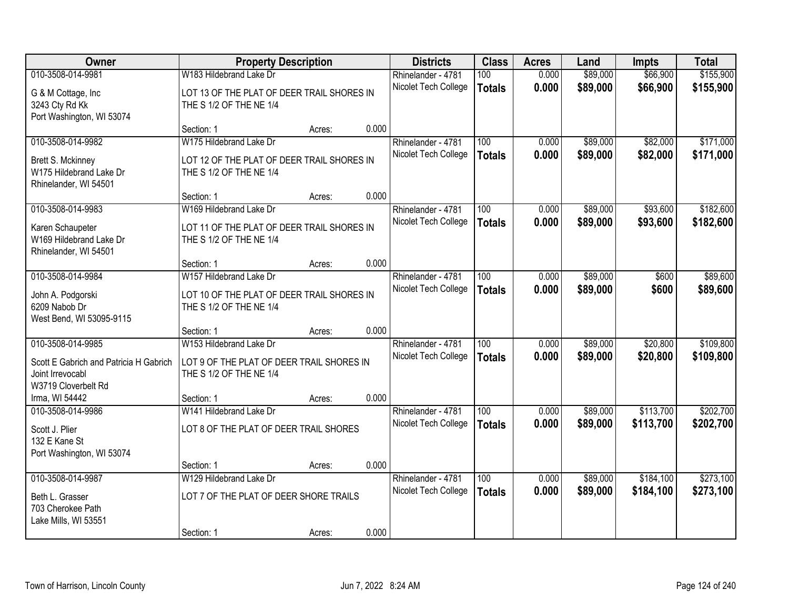| Owner                                                                                                  | <b>Property Description</b>                                                                     |        |       | <b>Districts</b>                           | <b>Class</b>                      | <b>Acres</b>   | Land                 | <b>Impts</b>         | <b>Total</b>           |
|--------------------------------------------------------------------------------------------------------|-------------------------------------------------------------------------------------------------|--------|-------|--------------------------------------------|-----------------------------------|----------------|----------------------|----------------------|------------------------|
| 010-3508-014-9981                                                                                      | W183 Hildebrand Lake Dr                                                                         |        |       | Rhinelander - 4781                         | 100                               | 0.000          | \$89,000             | \$66,900             | \$155,900              |
| G & M Cottage, Inc<br>3243 Cty Rd Kk<br>Port Washington, WI 53074                                      | LOT 13 OF THE PLAT OF DEER TRAIL SHORES IN<br>THE S 1/2 OF THE NE 1/4                           |        |       | Nicolet Tech College                       | <b>Totals</b>                     | 0.000          | \$89,000             | \$66,900             | \$155,900              |
|                                                                                                        | Section: 1                                                                                      | Acres: | 0.000 |                                            |                                   |                |                      |                      |                        |
| 010-3508-014-9982                                                                                      | W175 Hildebrand Lake Dr                                                                         |        |       | Rhinelander - 4781                         | 100                               | 0.000          | \$89,000             | \$82,000             | \$171,000              |
| Brett S. Mckinney<br>W175 Hildebrand Lake Dr<br>Rhinelander, WI 54501                                  | LOT 12 OF THE PLAT OF DEER TRAIL SHORES IN<br>THE S 1/2 OF THE NE 1/4                           |        |       | Nicolet Tech College                       | <b>Totals</b>                     | 0.000          | \$89,000             | \$82,000             | \$171,000              |
|                                                                                                        | Section: 1                                                                                      | Acres: | 0.000 |                                            |                                   |                |                      |                      |                        |
| 010-3508-014-9983                                                                                      | W169 Hildebrand Lake Dr                                                                         |        |       | Rhinelander - 4781                         | 100                               | 0.000          | \$89,000             | \$93,600             | \$182,600              |
| Karen Schaupeter<br>W169 Hildebrand Lake Dr<br>Rhinelander, WI 54501                                   | LOT 11 OF THE PLAT OF DEER TRAIL SHORES IN<br>THE S 1/2 OF THE NE 1/4                           |        |       | Nicolet Tech College                       | <b>Totals</b>                     | 0.000          | \$89,000             | \$93,600             | \$182,600              |
|                                                                                                        | Section: 1                                                                                      | Acres: | 0.000 |                                            |                                   |                |                      |                      |                        |
| 010-3508-014-9984                                                                                      | W157 Hildebrand Lake Dr                                                                         |        |       | Rhinelander - 4781                         | 100                               | 0.000          | \$89,000             | \$600                | \$89,600               |
| John A. Podgorski<br>6209 Nabob Dr<br>West Bend, WI 53095-9115                                         | LOT 10 OF THE PLAT OF DEER TRAIL SHORES IN<br>THE S 1/2 OF THE NE 1/4                           |        |       | Nicolet Tech College                       | <b>Totals</b>                     | 0.000          | \$89,000             | \$600                | \$89,600               |
|                                                                                                        | Section: 1                                                                                      | Acres: | 0.000 |                                            |                                   |                |                      |                      |                        |
| 010-3508-014-9985<br>Scott E Gabrich and Patricia H Gabrich<br>Joint Irrevocabl<br>W3719 Cloverbelt Rd | W153 Hildebrand Lake Dr<br>LOT 9 OF THE PLAT OF DEER TRAIL SHORES IN<br>THE S 1/2 OF THE NE 1/4 |        |       | Rhinelander - 4781<br>Nicolet Tech College | $\overline{100}$<br><b>Totals</b> | 0.000<br>0.000 | \$89,000<br>\$89,000 | \$20,800<br>\$20,800 | \$109,800<br>\$109,800 |
| Irma, WI 54442                                                                                         | Section: 1                                                                                      | Acres: | 0.000 |                                            |                                   |                |                      |                      |                        |
| 010-3508-014-9986                                                                                      | W141 Hildebrand Lake Dr                                                                         |        |       | Rhinelander - 4781                         | 100                               | 0.000          | \$89,000             | \$113,700            | \$202,700              |
| Scott J. Plier<br>132 E Kane St<br>Port Washington, WI 53074                                           | LOT 8 OF THE PLAT OF DEER TRAIL SHORES                                                          |        |       | Nicolet Tech College                       | <b>Totals</b>                     | 0.000          | \$89,000             | \$113,700            | \$202,700              |
|                                                                                                        | Section: 1                                                                                      | Acres: | 0.000 |                                            |                                   |                |                      |                      |                        |
| 010-3508-014-9987                                                                                      | W129 Hildebrand Lake Dr                                                                         |        |       | Rhinelander - 4781                         | 100                               | 0.000          | \$89,000             | \$184,100            | \$273,100              |
| Beth L. Grasser<br>703 Cherokee Path<br>Lake Mills, WI 53551                                           | LOT 7 OF THE PLAT OF DEER SHORE TRAILS                                                          |        |       | Nicolet Tech College                       | <b>Totals</b>                     | 0.000          | \$89,000             | \$184,100            | \$273,100              |
|                                                                                                        | Section: 1                                                                                      | Acres: | 0.000 |                                            |                                   |                |                      |                      |                        |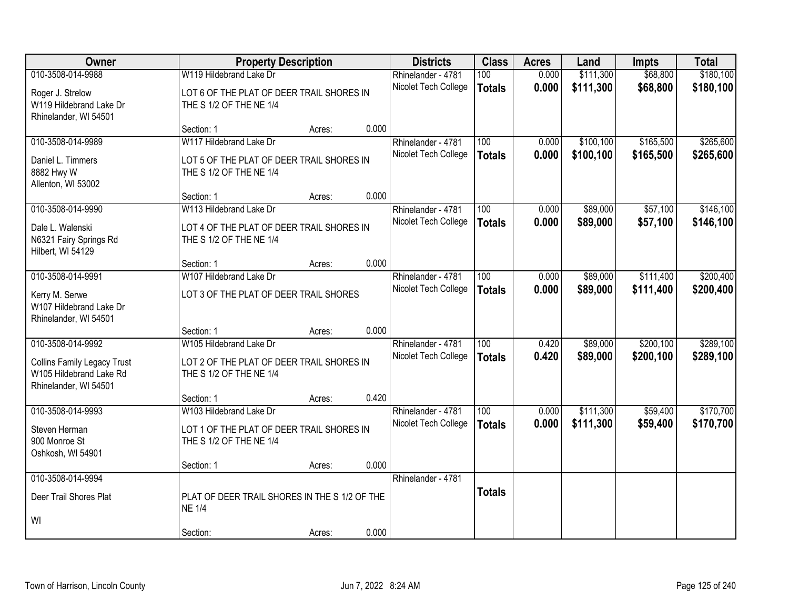| Owner                                                         | <b>Property Description</b>                                          |        |       | <b>Districts</b>     | <b>Class</b>     | <b>Acres</b> | Land      | <b>Impts</b> | <b>Total</b> |
|---------------------------------------------------------------|----------------------------------------------------------------------|--------|-------|----------------------|------------------|--------------|-----------|--------------|--------------|
| 010-3508-014-9988                                             | W119 Hildebrand Lake Dr                                              |        |       | Rhinelander - 4781   | 100              | 0.000        | \$111,300 | \$68,800     | \$180,100    |
| Roger J. Strelow                                              | LOT 6 OF THE PLAT OF DEER TRAIL SHORES IN                            |        |       | Nicolet Tech College | <b>Totals</b>    | 0.000        | \$111,300 | \$68,800     | \$180,100    |
| W119 Hildebrand Lake Dr                                       | THE S 1/2 OF THE NE 1/4                                              |        |       |                      |                  |              |           |              |              |
| Rhinelander, WI 54501                                         |                                                                      |        |       |                      |                  |              |           |              |              |
|                                                               | Section: 1                                                           | Acres: | 0.000 |                      |                  |              |           |              |              |
| 010-3508-014-9989                                             | W117 Hildebrand Lake Dr                                              |        |       | Rhinelander - 4781   | 100              | 0.000        | \$100,100 | \$165,500    | \$265,600    |
| Daniel L. Timmers                                             | LOT 5 OF THE PLAT OF DEER TRAIL SHORES IN                            |        |       | Nicolet Tech College | <b>Totals</b>    | 0.000        | \$100,100 | \$165,500    | \$265,600    |
| 8882 Hwy W                                                    | THE S 1/2 OF THE NE 1/4                                              |        |       |                      |                  |              |           |              |              |
| Allenton, WI 53002                                            |                                                                      |        |       |                      |                  |              |           |              |              |
|                                                               | Section: 1                                                           | Acres: | 0.000 |                      |                  |              |           |              |              |
| 010-3508-014-9990                                             | W113 Hildebrand Lake Dr                                              |        |       | Rhinelander - 4781   | 100              | 0.000        | \$89,000  | \$57,100     | \$146,100    |
| Dale L. Walenski                                              | LOT 4 OF THE PLAT OF DEER TRAIL SHORES IN                            |        |       | Nicolet Tech College | <b>Totals</b>    | 0.000        | \$89,000  | \$57,100     | \$146,100    |
| N6321 Fairy Springs Rd                                        | THE S 1/2 OF THE NE 1/4                                              |        |       |                      |                  |              |           |              |              |
| Hilbert, WI 54129                                             |                                                                      |        | 0.000 |                      |                  |              |           |              |              |
| 010-3508-014-9991                                             | Section: 1<br>W107 Hildebrand Lake Dr                                | Acres: |       | Rhinelander - 4781   | 100              | 0.000        | \$89,000  | \$111,400    | \$200,400    |
|                                                               |                                                                      |        |       | Nicolet Tech College | <b>Totals</b>    | 0.000        | \$89,000  | \$111,400    | \$200,400    |
| Kerry M. Serwe                                                | LOT 3 OF THE PLAT OF DEER TRAIL SHORES                               |        |       |                      |                  |              |           |              |              |
| W107 Hildebrand Lake Dr<br>Rhinelander, WI 54501              |                                                                      |        |       |                      |                  |              |           |              |              |
|                                                               | Section: 1                                                           | Acres: | 0.000 |                      |                  |              |           |              |              |
| 010-3508-014-9992                                             | W105 Hildebrand Lake Dr                                              |        |       | Rhinelander - 4781   | $\overline{100}$ | 0.420        | \$89,000  | \$200,100    | \$289,100    |
|                                                               |                                                                      |        |       | Nicolet Tech College | <b>Totals</b>    | 0.420        | \$89,000  | \$200,100    | \$289,100    |
| <b>Collins Family Legacy Trust</b><br>W105 Hildebrand Lake Rd | LOT 2 OF THE PLAT OF DEER TRAIL SHORES IN<br>THE S 1/2 OF THE NE 1/4 |        |       |                      |                  |              |           |              |              |
| Rhinelander, WI 54501                                         |                                                                      |        |       |                      |                  |              |           |              |              |
|                                                               | Section: 1                                                           | Acres: | 0.420 |                      |                  |              |           |              |              |
| 010-3508-014-9993                                             | W103 Hildebrand Lake Dr                                              |        |       | Rhinelander - 4781   | 100              | 0.000        | \$111,300 | \$59,400     | \$170,700    |
| Steven Herman                                                 | LOT 1 OF THE PLAT OF DEER TRAIL SHORES IN                            |        |       | Nicolet Tech College | <b>Totals</b>    | 0.000        | \$111,300 | \$59,400     | \$170,700    |
| 900 Monroe St                                                 | THE S 1/2 OF THE NE 1/4                                              |        |       |                      |                  |              |           |              |              |
| Oshkosh, WI 54901                                             |                                                                      |        |       |                      |                  |              |           |              |              |
|                                                               | Section: 1                                                           | Acres: | 0.000 |                      |                  |              |           |              |              |
| 010-3508-014-9994                                             |                                                                      |        |       | Rhinelander - 4781   |                  |              |           |              |              |
| Deer Trail Shores Plat                                        | PLAT OF DEER TRAIL SHORES IN THE S 1/2 OF THE                        |        |       |                      | <b>Totals</b>    |              |           |              |              |
|                                                               | <b>NE 1/4</b>                                                        |        |       |                      |                  |              |           |              |              |
| WI                                                            |                                                                      |        |       |                      |                  |              |           |              |              |
|                                                               | Section:                                                             | Acres: | 0.000 |                      |                  |              |           |              |              |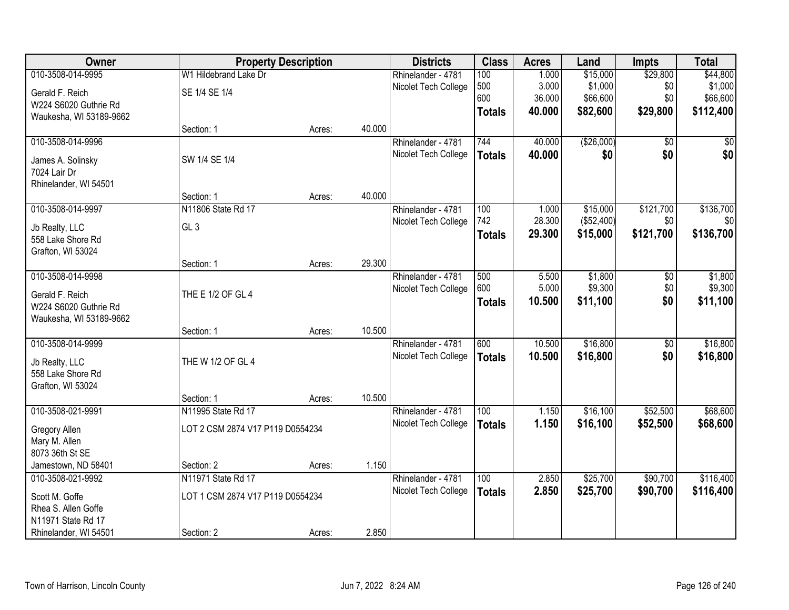| Owner                   | <b>Property Description</b>      |        |        | <b>Districts</b>     | <b>Class</b>  | <b>Acres</b> | Land       | <b>Impts</b>    | <b>Total</b> |
|-------------------------|----------------------------------|--------|--------|----------------------|---------------|--------------|------------|-----------------|--------------|
| 010-3508-014-9995       | W1 Hildebrand Lake Dr            |        |        | Rhinelander - 4781   | 100           | 1.000        | \$15,000   | \$29,800        | \$44,800     |
| Gerald F. Reich         | SE 1/4 SE 1/4                    |        |        | Nicolet Tech College | 500           | 3.000        | \$1,000    | \$0             | \$1,000      |
| W224 S6020 Guthrie Rd   |                                  |        |        |                      | 600           | 36.000       | \$66,600   | \$0             | \$66,600     |
| Waukesha, WI 53189-9662 |                                  |        |        |                      | <b>Totals</b> | 40.000       | \$82,600   | \$29,800        | \$112,400    |
|                         | Section: 1                       | Acres: | 40.000 |                      |               |              |            |                 |              |
| 010-3508-014-9996       |                                  |        |        | Rhinelander - 4781   | 744           | 40.000       | (\$26,000) | $\overline{50}$ | \$0          |
| James A. Solinsky       | SW 1/4 SE 1/4                    |        |        | Nicolet Tech College | <b>Totals</b> | 40.000       | \$0        | \$0             | \$0          |
| 7024 Lair Dr            |                                  |        |        |                      |               |              |            |                 |              |
| Rhinelander, WI 54501   |                                  |        |        |                      |               |              |            |                 |              |
|                         | Section: 1                       | Acres: | 40.000 |                      |               |              |            |                 |              |
| 010-3508-014-9997       | N11806 State Rd 17               |        |        | Rhinelander - 4781   | 100           | 1.000        | \$15,000   | \$121,700       | \$136,700    |
| Jb Realty, LLC          | GL <sub>3</sub>                  |        |        | Nicolet Tech College | 742           | 28.300       | (\$52,400) | \$0             | \$0          |
| 558 Lake Shore Rd       |                                  |        |        |                      | <b>Totals</b> | 29.300       | \$15,000   | \$121,700       | \$136,700    |
| Grafton, WI 53024       |                                  |        |        |                      |               |              |            |                 |              |
|                         | Section: 1                       | Acres: | 29.300 |                      |               |              |            |                 |              |
| 010-3508-014-9998       |                                  |        |        | Rhinelander - 4781   | 500           | 5.500        | \$1,800    | \$0             | \$1,800      |
| Gerald F. Reich         | THE E 1/2 OF GL 4                |        |        | Nicolet Tech College | 600           | 5.000        | \$9,300    | \$0             | \$9,300      |
| W224 S6020 Guthrie Rd   |                                  |        |        |                      | <b>Totals</b> | 10.500       | \$11,100   | \$0             | \$11,100     |
| Waukesha, WI 53189-9662 |                                  |        |        |                      |               |              |            |                 |              |
|                         | Section: 1                       | Acres: | 10.500 |                      |               |              |            |                 |              |
| 010-3508-014-9999       |                                  |        |        | Rhinelander - 4781   | 600           | 10.500       | \$16,800   | \$0             | \$16,800     |
| Jb Realty, LLC          | THE W 1/2 OF GL 4                |        |        | Nicolet Tech College | <b>Totals</b> | 10.500       | \$16,800   | \$0             | \$16,800     |
| 558 Lake Shore Rd       |                                  |        |        |                      |               |              |            |                 |              |
| Grafton, WI 53024       |                                  |        |        |                      |               |              |            |                 |              |
|                         | Section: 1                       | Acres: | 10.500 |                      |               |              |            |                 |              |
| 010-3508-021-9991       | N11995 State Rd 17               |        |        | Rhinelander - 4781   | 100           | 1.150        | \$16,100   | \$52,500        | \$68,600     |
| Gregory Allen           | LOT 2 CSM 2874 V17 P119 D0554234 |        |        | Nicolet Tech College | <b>Totals</b> | 1.150        | \$16,100   | \$52,500        | \$68,600     |
| Mary M. Allen           |                                  |        |        |                      |               |              |            |                 |              |
| 8073 36th St SE         |                                  |        |        |                      |               |              |            |                 |              |
| Jamestown, ND 58401     | Section: 2                       | Acres: | 1.150  |                      |               |              |            |                 |              |
| 010-3508-021-9992       | N11971 State Rd 17               |        |        | Rhinelander - 4781   | 100           | 2.850        | \$25,700   | \$90,700        | \$116,400    |
| Scott M. Goffe          | LOT 1 CSM 2874 V17 P119 D0554234 |        |        | Nicolet Tech College | <b>Totals</b> | 2.850        | \$25,700   | \$90,700        | \$116,400    |
| Rhea S. Allen Goffe     |                                  |        |        |                      |               |              |            |                 |              |
| N11971 State Rd 17      |                                  |        |        |                      |               |              |            |                 |              |
| Rhinelander, WI 54501   | Section: 2                       | Acres: | 2.850  |                      |               |              |            |                 |              |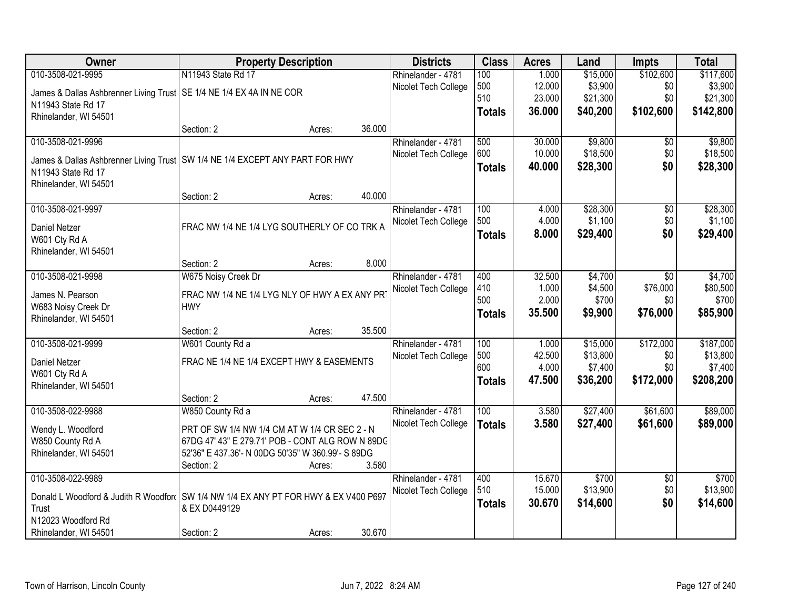| Owner                                                                                         | <b>Property Description</b>                       |        |        | <b>Districts</b>     | <b>Class</b>     | <b>Acres</b> | Land     | <b>Impts</b>    | <b>Total</b> |
|-----------------------------------------------------------------------------------------------|---------------------------------------------------|--------|--------|----------------------|------------------|--------------|----------|-----------------|--------------|
| 010-3508-021-9995                                                                             | N11943 State Rd 17                                |        |        | Rhinelander - 4781   | 100              | 1.000        | \$15,000 | \$102,600       | \$117,600    |
| James & Dallas Ashbrenner Living Trust   SE 1/4 NE 1/4 EX 4A IN NE COR                        |                                                   |        |        | Nicolet Tech College | 500              | 12.000       | \$3,900  | \$0             | \$3,900      |
| N11943 State Rd 17                                                                            |                                                   |        |        |                      | 510              | 23.000       | \$21,300 | \$0             | \$21,300     |
| Rhinelander, WI 54501                                                                         |                                                   |        |        |                      | <b>Totals</b>    | 36.000       | \$40,200 | \$102,600       | \$142,800    |
|                                                                                               | Section: 2                                        | Acres: | 36.000 |                      |                  |              |          |                 |              |
| 010-3508-021-9996                                                                             |                                                   |        |        | Rhinelander - 4781   | 500              | 30.000       | \$9,800  | \$0             | \$9,800      |
| James & Dallas Ashbrenner Living Trust   SW 1/4 NE 1/4 EXCEPT ANY PART FOR HWY                |                                                   |        |        | Nicolet Tech College | 600              | 10.000       | \$18,500 | \$0             | \$18,500     |
| N11943 State Rd 17                                                                            |                                                   |        |        |                      | <b>Totals</b>    | 40.000       | \$28,300 | \$0             | \$28,300     |
| Rhinelander, WI 54501                                                                         |                                                   |        |        |                      |                  |              |          |                 |              |
|                                                                                               | Section: 2                                        | Acres: | 40.000 |                      |                  |              |          |                 |              |
| 010-3508-021-9997                                                                             |                                                   |        |        | Rhinelander - 4781   | 100              | 4.000        | \$28,300 | $\overline{50}$ | \$28,300     |
| Daniel Netzer                                                                                 | FRAC NW 1/4 NE 1/4 LYG SOUTHERLY OF CO TRK A      |        |        | Nicolet Tech College | 500              | 4.000        | \$1,100  | \$0             | \$1,100      |
| W601 Cty Rd A                                                                                 |                                                   |        |        |                      | <b>Totals</b>    | 8.000        | \$29,400 | \$0             | \$29,400     |
| Rhinelander, WI 54501                                                                         |                                                   |        |        |                      |                  |              |          |                 |              |
|                                                                                               | Section: 2                                        | Acres: | 8.000  |                      |                  |              |          |                 |              |
| 010-3508-021-9998                                                                             | W675 Noisy Creek Dr                               |        |        | Rhinelander - 4781   | 400              | 32.500       | \$4,700  | \$0             | \$4,700      |
| James N. Pearson                                                                              | FRAC NW 1/4 NE 1/4 LYG NLY OF HWY A EX ANY PR     |        |        | Nicolet Tech College | 410              | 1.000        | \$4,500  | \$76,000        | \$80,500     |
| W683 Noisy Creek Dr                                                                           | <b>HWY</b>                                        |        |        |                      | 500              | 2.000        | \$700    | \$0             | \$700        |
| Rhinelander, WI 54501                                                                         |                                                   |        |        |                      | <b>Totals</b>    | 35.500       | \$9,900  | \$76,000        | \$85,900     |
|                                                                                               | Section: 2                                        | Acres: | 35.500 |                      |                  |              |          |                 |              |
| 010-3508-021-9999                                                                             | W601 County Rd a                                  |        |        | Rhinelander - 4781   | $\overline{100}$ | 1.000        | \$15,000 | \$172,000       | \$187,000    |
| Daniel Netzer                                                                                 | FRAC NE 1/4 NE 1/4 EXCEPT HWY & EASEMENTS         |        |        | Nicolet Tech College | 500              | 42.500       | \$13,800 | \$0             | \$13,800     |
| W601 Cty Rd A                                                                                 |                                                   |        |        |                      | 600              | 4.000        | \$7,400  | \$0             | \$7,400      |
| Rhinelander, WI 54501                                                                         |                                                   |        |        |                      | <b>Totals</b>    | 47.500       | \$36,200 | \$172,000       | \$208,200    |
|                                                                                               | Section: 2                                        | Acres: | 47.500 |                      |                  |              |          |                 |              |
| 010-3508-022-9988                                                                             | W850 County Rd a                                  |        |        | Rhinelander - 4781   | 100              | 3.580        | \$27,400 | \$61,600        | \$89,000     |
| Wendy L. Woodford                                                                             | PRT OF SW 1/4 NW 1/4 CM AT W 1/4 CR SEC 2 - N     |        |        | Nicolet Tech College | <b>Totals</b>    | 3.580        | \$27,400 | \$61,600        | \$89,000     |
| W850 County Rd A                                                                              | 67DG 47' 43" E 279.71' POB - CONT ALG ROW N 89DC  |        |        |                      |                  |              |          |                 |              |
| Rhinelander, WI 54501                                                                         | 52'36" E 437.36'- N 00DG 50'35" W 360.99'- S 89DG |        |        |                      |                  |              |          |                 |              |
|                                                                                               | Section: 2                                        | Acres: | 3.580  |                      |                  |              |          |                 |              |
| 010-3508-022-9989                                                                             |                                                   |        |        | Rhinelander - 4781   | 400              | 15.670       | \$700    | $\overline{30}$ | \$700        |
|                                                                                               |                                                   |        |        | Nicolet Tech College | 510              | 15.000       | \$13,900 | \$0             | \$13,900     |
| Donald L Woodford & Judith R Woodford SW 1/4 NW 1/4 EX ANY PT FOR HWY & EX V400 P697<br>Trust | & EX D0449129                                     |        |        |                      | <b>Totals</b>    | 30.670       | \$14,600 | \$0             | \$14,600     |
| N12023 Woodford Rd                                                                            |                                                   |        |        |                      |                  |              |          |                 |              |
| Rhinelander, WI 54501                                                                         | Section: 2                                        | Acres: | 30.670 |                      |                  |              |          |                 |              |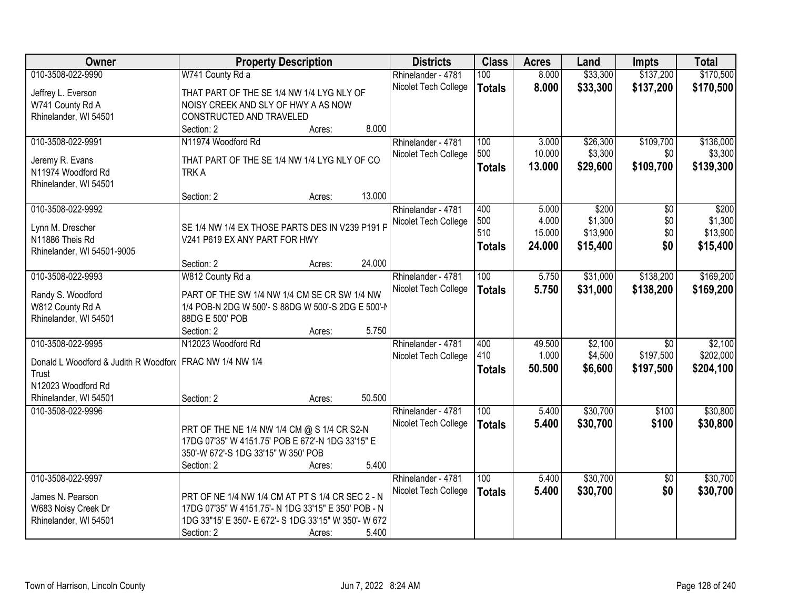| Owner                                                    | <b>Property Description</b>                           |                  | <b>Districts</b>     | <b>Class</b>     | <b>Acres</b> | Land     | <b>Impts</b>    | <b>Total</b> |
|----------------------------------------------------------|-------------------------------------------------------|------------------|----------------------|------------------|--------------|----------|-----------------|--------------|
| 010-3508-022-9990                                        | W741 County Rd a                                      |                  | Rhinelander - 4781   | 100              | 8.000        | \$33,300 | \$137,200       | \$170,500    |
| Jeffrey L. Everson                                       | THAT PART OF THE SE 1/4 NW 1/4 LYG NLY OF             |                  | Nicolet Tech College | <b>Totals</b>    | 8.000        | \$33,300 | \$137,200       | \$170,500    |
| W741 County Rd A                                         | NOISY CREEK AND SLY OF HWY A AS NOW                   |                  |                      |                  |              |          |                 |              |
| Rhinelander, WI 54501                                    | CONSTRUCTED AND TRAVELED                              |                  |                      |                  |              |          |                 |              |
|                                                          | Section: 2                                            | 8.000<br>Acres:  |                      |                  |              |          |                 |              |
| 010-3508-022-9991                                        | N11974 Woodford Rd                                    |                  | Rhinelander - 4781   | 100              | 3.000        | \$26,300 | \$109,700       | \$136,000    |
|                                                          |                                                       |                  | Nicolet Tech College | 500              | 10.000       | \$3,300  | \$0             | \$3,300      |
| Jeremy R. Evans                                          | THAT PART OF THE SE 1/4 NW 1/4 LYG NLY OF CO          |                  |                      | <b>Totals</b>    | 13.000       | \$29,600 | \$109,700       | \$139,300    |
| N11974 Woodford Rd                                       | <b>TRKA</b>                                           |                  |                      |                  |              |          |                 |              |
| Rhinelander, WI 54501                                    |                                                       |                  |                      |                  |              |          |                 |              |
|                                                          | Section: 2                                            | 13.000<br>Acres: |                      |                  |              |          |                 |              |
| 010-3508-022-9992                                        |                                                       |                  | Rhinelander - 4781   | 400              | 5.000        | \$200    | \$0             | \$200        |
| Lynn M. Drescher                                         | SE 1/4 NW 1/4 EX THOSE PARTS DES IN V239 P191 P       |                  | Nicolet Tech College | 500              | 4.000        | \$1,300  | \$0             | \$1,300      |
| N11886 Theis Rd                                          | V241 P619 EX ANY PART FOR HWY                         |                  |                      | 510              | 15.000       | \$13,900 | \$0             | \$13,900     |
| Rhinelander, WI 54501-9005                               |                                                       |                  |                      | <b>Totals</b>    | 24.000       | \$15,400 | \$0             | \$15,400     |
|                                                          | Section: 2                                            | 24.000<br>Acres: |                      |                  |              |          |                 |              |
| 010-3508-022-9993                                        | W812 County Rd a                                      |                  | Rhinelander - 4781   | 100              | 5.750        | \$31,000 | \$138,200       | \$169,200    |
|                                                          |                                                       |                  | Nicolet Tech College | <b>Totals</b>    | 5.750        | \$31,000 | \$138,200       | \$169,200    |
| Randy S. Woodford                                        | PART OF THE SW 1/4 NW 1/4 CM SE CR SW 1/4 NW          |                  |                      |                  |              |          |                 |              |
| W812 County Rd A                                         | 1/4 POB-N 2DG W 500'- S 88DG W 500'-S 2DG E 500'-N    |                  |                      |                  |              |          |                 |              |
| Rhinelander, WI 54501                                    | 88DG E 500' POB                                       |                  |                      |                  |              |          |                 |              |
|                                                          | Section: 2                                            | 5.750<br>Acres:  |                      |                  |              |          |                 |              |
| 010-3508-022-9995                                        | N12023 Woodford Rd                                    |                  | Rhinelander - 4781   | 400              | 49.500       | \$2,100  | $\overline{50}$ | \$2,100      |
| Donald L Woodford & Judith R Woodford FRAC NW 1/4 NW 1/4 |                                                       |                  | Nicolet Tech College | 410              | 1.000        | \$4,500  | \$197,500       | \$202,000    |
| Trust                                                    |                                                       |                  |                      | <b>Totals</b>    | 50.500       | \$6,600  | \$197,500       | \$204,100    |
| N12023 Woodford Rd                                       |                                                       |                  |                      |                  |              |          |                 |              |
| Rhinelander, WI 54501                                    | Section: 2                                            | 50.500<br>Acres: |                      |                  |              |          |                 |              |
| 010-3508-022-9996                                        |                                                       |                  | Rhinelander - 4781   | $\overline{100}$ | 5.400        | \$30,700 | \$100           | \$30,800     |
|                                                          |                                                       |                  | Nicolet Tech College | <b>Totals</b>    | 5.400        | \$30,700 | \$100           | \$30,800     |
|                                                          | PRT OF THE NE 1/4 NW 1/4 CM @ S 1/4 CR S2-N           |                  |                      |                  |              |          |                 |              |
|                                                          | 17DG 07'35" W 4151.75' POB E 672'-N 1DG 33'15" E      |                  |                      |                  |              |          |                 |              |
|                                                          | 350'-W 672'-S 1DG 33'15" W 350' POB                   |                  |                      |                  |              |          |                 |              |
|                                                          | Section: 2                                            | 5.400<br>Acres:  |                      |                  |              |          |                 |              |
| 010-3508-022-9997                                        |                                                       |                  | Rhinelander - 4781   | 100              | 5.400        | \$30,700 | $\overline{30}$ | \$30,700     |
| James N. Pearson                                         | PRT OF NE 1/4 NW 1/4 CM AT PT S 1/4 CR SEC 2 - N      |                  | Nicolet Tech College | <b>Totals</b>    | 5.400        | \$30,700 | \$0             | \$30,700     |
| W683 Noisy Creek Dr                                      | 17DG 07'35" W 4151.75'- N 1DG 33'15" E 350' POB - N   |                  |                      |                  |              |          |                 |              |
| Rhinelander, WI 54501                                    | 1DG 33"15' E 350'- E 672'- S 1DG 33'15" W 350'- W 672 |                  |                      |                  |              |          |                 |              |
|                                                          | Section: 2                                            | 5.400<br>Acres:  |                      |                  |              |          |                 |              |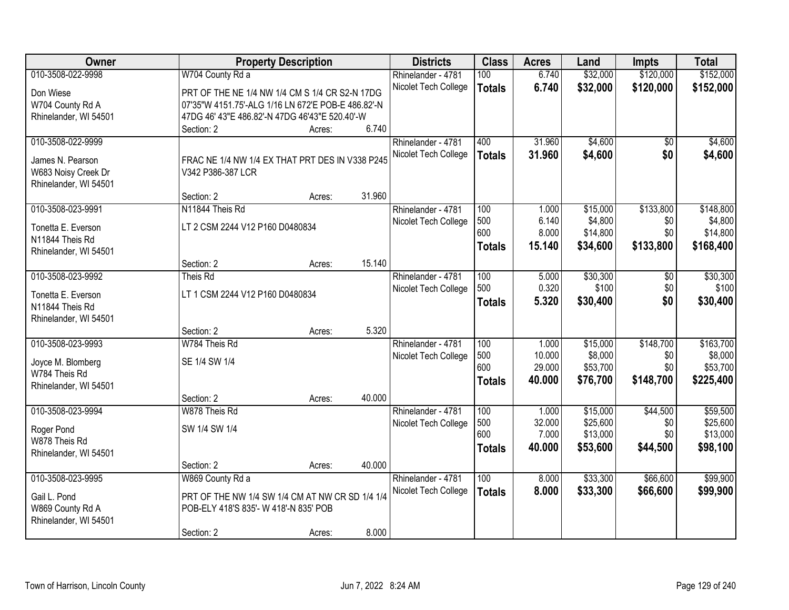| Owner                                   |                                                                      | <b>Property Description</b> |        | <b>Districts</b>     | <b>Class</b>  | <b>Acres</b>   | Land              | <b>Impts</b>        | <b>Total</b>      |
|-----------------------------------------|----------------------------------------------------------------------|-----------------------------|--------|----------------------|---------------|----------------|-------------------|---------------------|-------------------|
| 010-3508-022-9998                       | W704 County Rd a                                                     |                             |        | Rhinelander - 4781   | 100           | 6.740          | \$32,000          | \$120,000           | \$152,000         |
| Don Wiese                               | PRT OF THE NE 1/4 NW 1/4 CM S 1/4 CR S2-N 17DG                       |                             |        | Nicolet Tech College | <b>Totals</b> | 6.740          | \$32,000          | \$120,000           | \$152,000         |
| W704 County Rd A                        | 07'35"W 4151.75'-ALG 1/16 LN 672'E POB-E 486.82'-N                   |                             |        |                      |               |                |                   |                     |                   |
| Rhinelander, WI 54501                   | 47DG 46' 43"E 486.82'-N 47DG 46'43"E 520.40'-W                       |                             |        |                      |               |                |                   |                     |                   |
|                                         | Section: 2                                                           | Acres:                      | 6.740  |                      |               |                |                   |                     |                   |
| 010-3508-022-9999                       |                                                                      |                             |        | Rhinelander - 4781   | 400           | 31.960         | \$4,600           | $\overline{50}$     | \$4,600           |
|                                         |                                                                      |                             |        | Nicolet Tech College | <b>Totals</b> | 31.960         | \$4,600           | \$0                 | \$4,600           |
| James N. Pearson<br>W683 Noisy Creek Dr | FRAC NE 1/4 NW 1/4 EX THAT PRT DES IN V338 P245<br>V342 P386-387 LCR |                             |        |                      |               |                |                   |                     |                   |
| Rhinelander, WI 54501                   |                                                                      |                             |        |                      |               |                |                   |                     |                   |
|                                         | Section: 2                                                           | Acres:                      | 31.960 |                      |               |                |                   |                     |                   |
| 010-3508-023-9991                       | N11844 Theis Rd                                                      |                             |        | Rhinelander - 4781   | 100           | 1.000          | \$15,000          | \$133,800           | \$148,800         |
|                                         |                                                                      |                             |        | Nicolet Tech College | 500           | 6.140          | \$4,800           | \$0                 | \$4,800           |
| Tonetta E. Everson                      | LT 2 CSM 2244 V12 P160 D0480834                                      |                             |        |                      | 600           | 8.000          | \$14,800          | \$0                 | \$14,800          |
| N11844 Theis Rd                         |                                                                      |                             |        |                      | <b>Totals</b> | 15.140         | \$34,600          | \$133,800           | \$168,400         |
| Rhinelander, WI 54501                   |                                                                      |                             |        |                      |               |                |                   |                     |                   |
| 010-3508-023-9992                       | Section: 2<br>Theis Rd                                               | Acres:                      | 15.140 |                      | 100           |                |                   |                     |                   |
|                                         |                                                                      |                             |        | Rhinelander - 4781   | 500           | 5.000<br>0.320 | \$30,300<br>\$100 | $\sqrt[6]{}$<br>\$0 | \$30,300<br>\$100 |
| Tonetta E. Everson                      | LT 1 CSM 2244 V12 P160 D0480834                                      |                             |        | Nicolet Tech College |               |                |                   | \$0                 |                   |
| N11844 Theis Rd                         |                                                                      |                             |        |                      | <b>Totals</b> | 5.320          | \$30,400          |                     | \$30,400          |
| Rhinelander, WI 54501                   |                                                                      |                             |        |                      |               |                |                   |                     |                   |
|                                         | Section: 2                                                           | Acres:                      | 5.320  |                      |               |                |                   |                     |                   |
| 010-3508-023-9993                       | W784 Theis Rd                                                        |                             |        | Rhinelander - 4781   | 100           | 1.000          | \$15,000          | \$148,700           | \$163,700         |
| Joyce M. Blomberg                       | SE 1/4 SW 1/4                                                        |                             |        | Nicolet Tech College | 500           | 10.000         | \$8,000           | \$0                 | \$8,000           |
| W784 Theis Rd                           |                                                                      |                             |        |                      | 600           | 29.000         | \$53,700          | \$0                 | \$53,700          |
| Rhinelander, WI 54501                   |                                                                      |                             |        |                      | <b>Totals</b> | 40.000         | \$76,700          | \$148,700           | \$225,400         |
|                                         | Section: 2                                                           | Acres:                      | 40.000 |                      |               |                |                   |                     |                   |
| 010-3508-023-9994                       | W878 Theis Rd                                                        |                             |        | Rhinelander - 4781   | 100           | 1.000          | \$15,000          | \$44,500            | \$59,500          |
| Roger Pond                              | SW 1/4 SW 1/4                                                        |                             |        | Nicolet Tech College | 500           | 32.000         | \$25,600          | \$0                 | \$25,600          |
| W878 Theis Rd                           |                                                                      |                             |        |                      | 600           | 7.000          | \$13,000          | \$0                 | \$13,000          |
| Rhinelander, WI 54501                   |                                                                      |                             |        |                      | <b>Totals</b> | 40.000         | \$53,600          | \$44,500            | \$98,100          |
|                                         | Section: 2                                                           | Acres:                      | 40.000 |                      |               |                |                   |                     |                   |
| 010-3508-023-9995                       | W869 County Rd a                                                     |                             |        | Rhinelander - 4781   | 100           | 8.000          | \$33,300          | \$66,600            | \$99,900          |
|                                         |                                                                      |                             |        | Nicolet Tech College | <b>Totals</b> | 8.000          | \$33,300          | \$66,600            | \$99,900          |
| Gail L. Pond                            | PRT OF THE NW 1/4 SW 1/4 CM AT NW CR SD 1/4 1/4                      |                             |        |                      |               |                |                   |                     |                   |
| W869 County Rd A                        | POB-ELY 418'S 835'- W 418'-N 835' POB                                |                             |        |                      |               |                |                   |                     |                   |
| Rhinelander, WI 54501                   |                                                                      |                             |        |                      |               |                |                   |                     |                   |
|                                         | Section: 2                                                           | Acres:                      | 8.000  |                      |               |                |                   |                     |                   |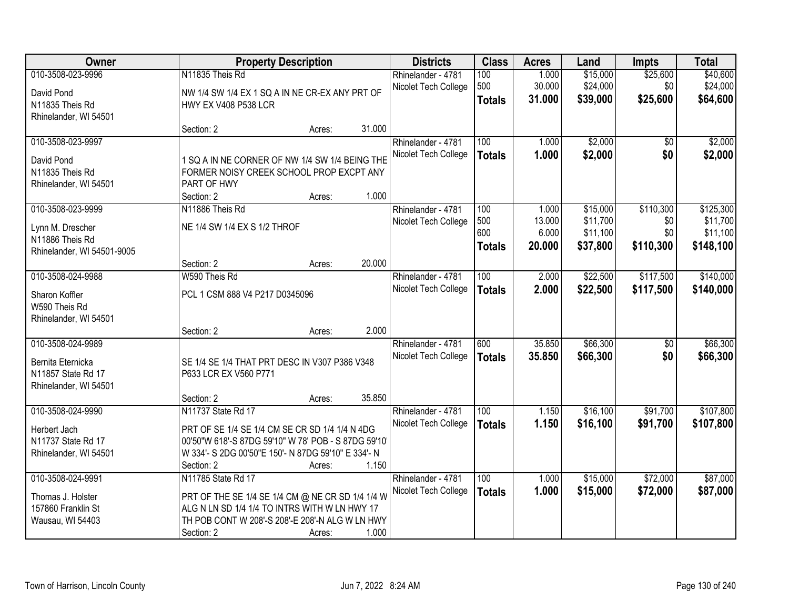| Owner                      |                                                      | <b>Property Description</b> |        | <b>Districts</b>     | <b>Class</b>  | <b>Acres</b> | Land     | <b>Impts</b>    | <b>Total</b> |
|----------------------------|------------------------------------------------------|-----------------------------|--------|----------------------|---------------|--------------|----------|-----------------|--------------|
| 010-3508-023-9996          | N11835 Theis Rd                                      |                             |        | Rhinelander - 4781   | 100           | 1.000        | \$15,000 | \$25,600        | \$40,600     |
| David Pond                 | NW 1/4 SW 1/4 EX 1 SQ A IN NE CR-EX ANY PRT OF       |                             |        | Nicolet Tech College | 500           | 30.000       | \$24,000 | \$0             | \$24,000     |
| N11835 Theis Rd            | <b>HWY EX V408 P538 LCR</b>                          |                             |        |                      | <b>Totals</b> | 31.000       | \$39,000 | \$25,600        | \$64,600     |
| Rhinelander, WI 54501      |                                                      |                             |        |                      |               |              |          |                 |              |
|                            | Section: 2                                           | Acres:                      | 31.000 |                      |               |              |          |                 |              |
| 010-3508-023-9997          |                                                      |                             |        | Rhinelander - 4781   | 100           | 1.000        | \$2,000  | \$0             | \$2,000      |
| David Pond                 | 1 SQ A IN NE CORNER OF NW 1/4 SW 1/4 BEING THE       |                             |        | Nicolet Tech College | <b>Totals</b> | 1.000        | \$2,000  | \$0             | \$2,000      |
| N11835 Theis Rd            | FORMER NOISY CREEK SCHOOL PROP EXCPT ANY             |                             |        |                      |               |              |          |                 |              |
| Rhinelander, WI 54501      | PART OF HWY                                          |                             |        |                      |               |              |          |                 |              |
|                            | Section: 2                                           | Acres:                      | 1.000  |                      |               |              |          |                 |              |
| 010-3508-023-9999          | N11886 Theis Rd                                      |                             |        | Rhinelander - 4781   | 100           | 1.000        | \$15,000 | \$110,300       | \$125,300    |
| Lynn M. Drescher           | NE 1/4 SW 1/4 EX S 1/2 THROF                         |                             |        | Nicolet Tech College | 500           | 13.000       | \$11,700 | \$0             | \$11,700     |
| N11886 Theis Rd            |                                                      |                             |        |                      | 600           | 6.000        | \$11,100 | \$0             | \$11,100     |
| Rhinelander, WI 54501-9005 |                                                      |                             |        |                      | <b>Totals</b> | 20.000       | \$37,800 | \$110,300       | \$148,100    |
|                            | Section: 2                                           | Acres:                      | 20.000 |                      |               |              |          |                 |              |
| 010-3508-024-9988          | W590 Theis Rd                                        |                             |        | Rhinelander - 4781   | 100           | 2.000        | \$22,500 | \$117,500       | \$140,000    |
| Sharon Koffler             | PCL 1 CSM 888 V4 P217 D0345096                       |                             |        | Nicolet Tech College | <b>Totals</b> | 2.000        | \$22,500 | \$117,500       | \$140,000    |
| W590 Theis Rd              |                                                      |                             |        |                      |               |              |          |                 |              |
| Rhinelander, WI 54501      |                                                      |                             |        |                      |               |              |          |                 |              |
|                            | Section: 2                                           | Acres:                      | 2.000  |                      |               |              |          |                 |              |
| 010-3508-024-9989          |                                                      |                             |        | Rhinelander - 4781   | 600           | 35.850       | \$66,300 | $\overline{50}$ | \$66,300     |
| Bernita Eternicka          | SE 1/4 SE 1/4 THAT PRT DESC IN V307 P386 V348        |                             |        | Nicolet Tech College | <b>Totals</b> | 35.850       | \$66,300 | \$0             | \$66,300     |
| N11857 State Rd 17         | P633 LCR EX V560 P771                                |                             |        |                      |               |              |          |                 |              |
| Rhinelander, WI 54501      |                                                      |                             |        |                      |               |              |          |                 |              |
|                            | Section: 2                                           | Acres:                      | 35.850 |                      |               |              |          |                 |              |
| 010-3508-024-9990          | N11737 State Rd 17                                   |                             |        | Rhinelander - 4781   | 100           | 1.150        | \$16,100 | \$91,700        | \$107,800    |
| Herbert Jach               | PRT OF SE 1/4 SE 1/4 CM SE CR SD 1/4 1/4 N 4DG       |                             |        | Nicolet Tech College | <b>Totals</b> | 1.150        | \$16,100 | \$91,700        | \$107,800    |
| N11737 State Rd 17         | 00'50"W 618'-S 87DG 59'10" W 78' POB - S 87DG 59'10' |                             |        |                      |               |              |          |                 |              |
| Rhinelander, WI 54501      | W 334'- S 2DG 00'50"E 150'- N 87DG 59'10" E 334'- N  |                             |        |                      |               |              |          |                 |              |
|                            | Section: 2                                           | Acres:                      | 1.150  |                      |               |              |          |                 |              |
| 010-3508-024-9991          | N11785 State Rd 17                                   |                             |        | Rhinelander - 4781   | 100           | 1.000        | \$15,000 | \$72,000        | \$87,000     |
| Thomas J. Holster          | PRT OF THE SE 1/4 SE 1/4 CM @ NE CR SD 1/4 1/4 W     |                             |        | Nicolet Tech College | <b>Totals</b> | 1.000        | \$15,000 | \$72,000        | \$87,000     |
| 157860 Franklin St         | ALG N LN SD 1/4 1/4 TO INTRS WITH W LN HWY 17        |                             |        |                      |               |              |          |                 |              |
| Wausau, WI 54403           | TH POB CONT W 208'-S 208'-E 208'-N ALG W LN HWY      |                             |        |                      |               |              |          |                 |              |
|                            | Section: 2                                           | Acres:                      | 1.000  |                      |               |              |          |                 |              |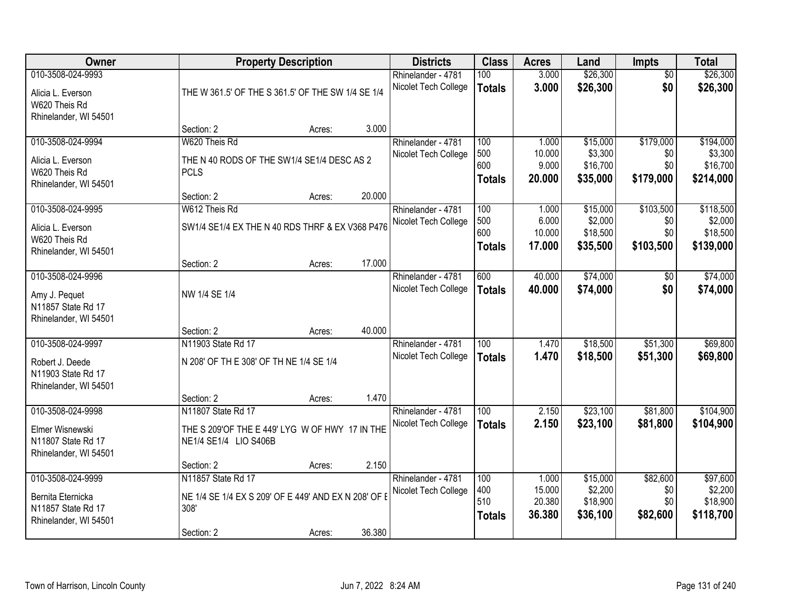| Owner                 |                                                      | <b>Property Description</b> |        | <b>Districts</b>                           | <b>Class</b>     | <b>Acres</b>    | Land                | Impts           | <b>Total</b>        |
|-----------------------|------------------------------------------------------|-----------------------------|--------|--------------------------------------------|------------------|-----------------|---------------------|-----------------|---------------------|
| 010-3508-024-9993     |                                                      |                             |        | Rhinelander - 4781                         | 100              | 3.000           | \$26,300            | $\overline{50}$ | \$26,300            |
| Alicia L. Everson     | THE W 361.5' OF THE S 361.5' OF THE SW 1/4 SE 1/4    |                             |        | Nicolet Tech College                       | <b>Totals</b>    | 3.000           | \$26,300            | \$0             | \$26,300            |
| W620 Theis Rd         |                                                      |                             |        |                                            |                  |                 |                     |                 |                     |
| Rhinelander, WI 54501 |                                                      |                             |        |                                            |                  |                 |                     |                 |                     |
|                       | Section: 2                                           | Acres:                      | 3.000  |                                            |                  |                 |                     |                 |                     |
| 010-3508-024-9994     | W620 Theis Rd                                        |                             |        | Rhinelander - 4781                         | 100              | 1.000           | \$15,000            | \$179,000       | \$194,000           |
| Alicia L. Everson     | THE N 40 RODS OF THE SW1/4 SE1/4 DESC AS 2           |                             |        | Nicolet Tech College                       | 500<br>600       | 10.000<br>9.000 | \$3,300<br>\$16,700 | \$0<br>\$0      | \$3,300<br>\$16,700 |
| W620 Theis Rd         | <b>PCLS</b>                                          |                             |        |                                            | <b>Totals</b>    | 20.000          | \$35,000            | \$179,000       | \$214,000           |
| Rhinelander, WI 54501 |                                                      |                             |        |                                            |                  |                 |                     |                 |                     |
|                       | Section: 2                                           | Acres:                      | 20.000 |                                            |                  |                 |                     |                 |                     |
| 010-3508-024-9995     | W612 Theis Rd                                        |                             |        | Rhinelander - 4781                         | 100              | 1.000           | \$15,000            | \$103,500       | \$118,500           |
| Alicia L. Everson     | SW1/4 SE1/4 EX THE N 40 RDS THRF & EX V368 P476      |                             |        | Nicolet Tech College                       | 500<br>600       | 6.000<br>10.000 | \$2,000<br>\$18,500 | \$0<br>\$0      | \$2,000<br>\$18,500 |
| W620 Theis Rd         |                                                      |                             |        |                                            | <b>Totals</b>    | 17.000          | \$35,500            | \$103,500       | \$139,000           |
| Rhinelander, WI 54501 |                                                      |                             |        |                                            |                  |                 |                     |                 |                     |
|                       | Section: 2                                           | Acres:                      | 17.000 |                                            |                  |                 |                     |                 |                     |
| 010-3508-024-9996     |                                                      |                             |        | Rhinelander - 4781                         | 600              | 40.000          | \$74,000            | $\sqrt[6]{}$    | \$74,000            |
| Amy J. Pequet         | NW 1/4 SE 1/4                                        |                             |        | Nicolet Tech College                       | <b>Totals</b>    | 40.000          | \$74,000            | \$0             | \$74,000            |
| N11857 State Rd 17    |                                                      |                             |        |                                            |                  |                 |                     |                 |                     |
| Rhinelander, WI 54501 |                                                      |                             |        |                                            |                  |                 |                     |                 |                     |
|                       | Section: 2                                           | Acres:                      | 40.000 |                                            |                  |                 |                     |                 |                     |
| 010-3508-024-9997     | N11903 State Rd 17                                   |                             |        | Rhinelander - 4781                         | $\overline{100}$ | 1.470           | \$18,500            | \$51,300        | \$69,800            |
| Robert J. Deede       | N 208' OF TH E 308' OF TH NE 1/4 SE 1/4              |                             |        | Nicolet Tech College                       | <b>Totals</b>    | 1.470           | \$18,500            | \$51,300        | \$69,800            |
| N11903 State Rd 17    |                                                      |                             |        |                                            |                  |                 |                     |                 |                     |
| Rhinelander, WI 54501 |                                                      |                             |        |                                            |                  |                 |                     |                 |                     |
|                       | Section: 2                                           | Acres:                      | 1.470  |                                            |                  |                 |                     |                 |                     |
| 010-3508-024-9998     | N11807 State Rd 17                                   |                             |        | Rhinelander - 4781                         | 100              | 2.150           | \$23,100            | \$81,800        | \$104,900           |
| Elmer Wisnewski       | THE S 209'OF THE E 449' LYG W OF HWY 17 IN THE       |                             |        | Nicolet Tech College                       | <b>Totals</b>    | 2.150           | \$23,100            | \$81,800        | \$104,900           |
| N11807 State Rd 17    | NE1/4 SE1/4 LIO S406B                                |                             |        |                                            |                  |                 |                     |                 |                     |
| Rhinelander, WI 54501 |                                                      |                             |        |                                            |                  |                 |                     |                 |                     |
|                       | Section: 2                                           | Acres:                      | 2.150  |                                            |                  |                 |                     |                 |                     |
| 010-3508-024-9999     | N11857 State Rd 17                                   |                             |        | Rhinelander - 4781<br>Nicolet Tech College | 100<br>400       | 1.000<br>15.000 | \$15,000<br>\$2,200 | \$82,600<br>\$0 | \$97,600<br>\$2,200 |
| Bernita Eternicka     | NE 1/4 SE 1/4 EX S 209' OF E 449' AND EX N 208' OF E |                             |        |                                            | 510              | 20.380          | \$18,900            | \$0             | \$18,900            |
| N11857 State Rd 17    | 308'                                                 |                             |        |                                            | <b>Totals</b>    | 36.380          | \$36,100            | \$82,600        | \$118,700           |
| Rhinelander, WI 54501 |                                                      |                             |        |                                            |                  |                 |                     |                 |                     |
|                       | Section: 2                                           | Acres:                      | 36.380 |                                            |                  |                 |                     |                 |                     |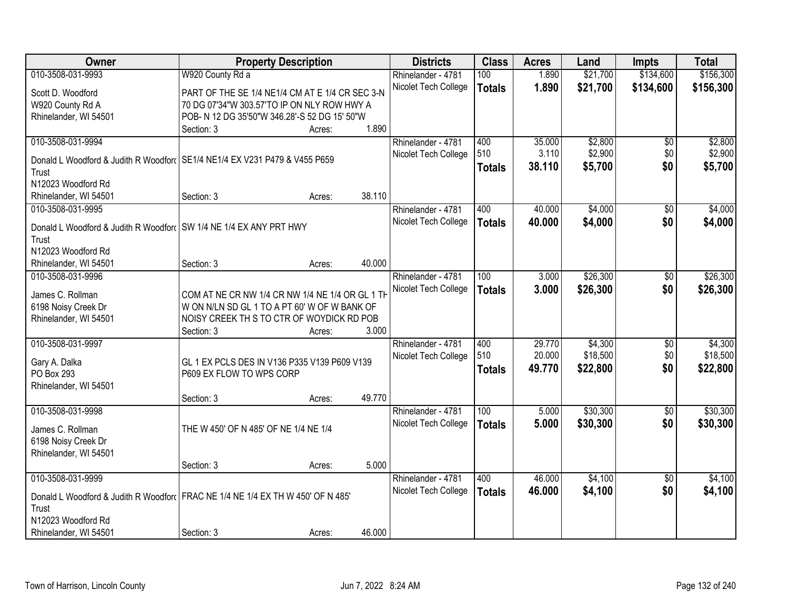| Owner                                                              | <b>Property Description</b>                                                     |        | <b>Districts</b>     | <b>Class</b>  | <b>Acres</b> | Land     | <b>Impts</b>    | <b>Total</b> |
|--------------------------------------------------------------------|---------------------------------------------------------------------------------|--------|----------------------|---------------|--------------|----------|-----------------|--------------|
| 010-3508-031-9993                                                  | W920 County Rd a                                                                |        | Rhinelander - 4781   | 100           | 1.890        | \$21,700 | \$134,600       | \$156,300    |
| Scott D. Woodford                                                  | PART OF THE SE 1/4 NE1/4 CM AT E 1/4 CR SEC 3-N                                 |        | Nicolet Tech College | <b>Totals</b> | 1.890        | \$21,700 | \$134,600       | \$156,300    |
| W920 County Rd A                                                   | 70 DG 07'34"W 303.57'TO IP ON NLY ROW HWY A                                     |        |                      |               |              |          |                 |              |
| Rhinelander, WI 54501                                              | POB- N 12 DG 35'50"W 346.28'-S 52 DG 15' 50"W                                   |        |                      |               |              |          |                 |              |
|                                                                    | Section: 3<br>Acres:                                                            | 1.890  |                      |               |              |          |                 |              |
| 010-3508-031-9994                                                  |                                                                                 |        | Rhinelander - 4781   | 400           | 35.000       | \$2,800  | \$0             | \$2,800      |
|                                                                    |                                                                                 |        | Nicolet Tech College | 510           | 3.110        | \$2,900  | \$0             | \$2,900      |
|                                                                    | Donald L Woodford & Judith R Woodford SE1/4 NE1/4 EX V231 P479 & V455 P659      |        |                      | <b>Totals</b> | 38.110       | \$5,700  | \$0             | \$5,700      |
| Trust                                                              |                                                                                 |        |                      |               |              |          |                 |              |
| N12023 Woodford Rd                                                 |                                                                                 |        |                      |               |              |          |                 |              |
| Rhinelander, WI 54501                                              | Section: 3<br>Acres:                                                            | 38.110 |                      |               |              |          |                 |              |
| 010-3508-031-9995                                                  |                                                                                 |        | Rhinelander - 4781   | 400           | 40.000       | \$4,000  | \$0             | \$4,000      |
| Donald L Woodford & Judith R Woodford SW 1/4 NE 1/4 EX ANY PRT HWY |                                                                                 |        | Nicolet Tech College | <b>Totals</b> | 40.000       | \$4,000  | \$0             | \$4,000      |
| Trust                                                              |                                                                                 |        |                      |               |              |          |                 |              |
| N12023 Woodford Rd                                                 |                                                                                 |        |                      |               |              |          |                 |              |
| Rhinelander, WI 54501                                              | Section: 3<br>Acres:                                                            | 40.000 |                      |               |              |          |                 |              |
| 010-3508-031-9996                                                  |                                                                                 |        | Rhinelander - 4781   | 100           | 3.000        | \$26,300 | \$0             | \$26,300     |
|                                                                    |                                                                                 |        | Nicolet Tech College | <b>Totals</b> | 3.000        | \$26,300 | \$0             | \$26,300     |
| James C. Rollman                                                   | COM AT NE CR NW 1/4 CR NW 1/4 NE 1/4 OR GL 1 TH                                 |        |                      |               |              |          |                 |              |
| 6198 Noisy Creek Dr                                                | W ON N/LN SD GL 1 TO A PT 60' W OF W BANK OF                                    |        |                      |               |              |          |                 |              |
| Rhinelander, WI 54501                                              | NOISY CREEK THIS TO CTR OF WOYDICK RD POB                                       |        |                      |               |              |          |                 |              |
|                                                                    | Section: 3<br>Acres:                                                            | 3.000  |                      |               |              |          |                 |              |
| 010-3508-031-9997                                                  |                                                                                 |        | Rhinelander - 4781   | 400           | 29.770       | \$4,300  | \$0             | \$4,300      |
| Gary A. Dalka                                                      | GL 1 EX PCLS DES IN V136 P335 V139 P609 V139                                    |        | Nicolet Tech College | 510           | 20.000       | \$18,500 | \$0             | \$18,500     |
| PO Box 293                                                         | P609 EX FLOW TO WPS CORP                                                        |        |                      | <b>Totals</b> | 49.770       | \$22,800 | \$0             | \$22,800     |
| Rhinelander, WI 54501                                              |                                                                                 |        |                      |               |              |          |                 |              |
|                                                                    | Section: 3<br>Acres:                                                            | 49.770 |                      |               |              |          |                 |              |
| 010-3508-031-9998                                                  |                                                                                 |        | Rhinelander - 4781   | 100           | 5.000        | \$30,300 | $\sqrt{6}$      | \$30,300     |
|                                                                    |                                                                                 |        |                      |               |              |          |                 |              |
| James C. Rollman                                                   | THE W 450' OF N 485' OF NE 1/4 NE 1/4                                           |        | Nicolet Tech College | <b>Totals</b> | 5.000        | \$30,300 | \$0             | \$30,300     |
| 6198 Noisy Creek Dr                                                |                                                                                 |        |                      |               |              |          |                 |              |
| Rhinelander, WI 54501                                              |                                                                                 |        |                      |               |              |          |                 |              |
|                                                                    | Section: 3<br>Acres:                                                            | 5.000  |                      |               |              |          |                 |              |
| 010-3508-031-9999                                                  |                                                                                 |        | Rhinelander - 4781   | 400           | 46.000       | \$4,100  | $\overline{30}$ | \$4,100      |
|                                                                    | Donald L Woodford & Judith R Woodford FRAC NE 1/4 NE 1/4 EX TH W 450' OF N 485' |        | Nicolet Tech College | <b>Totals</b> | 46.000       | \$4,100  | \$0             | \$4,100      |
| Trust                                                              |                                                                                 |        |                      |               |              |          |                 |              |
| N12023 Woodford Rd                                                 |                                                                                 |        |                      |               |              |          |                 |              |
|                                                                    |                                                                                 |        |                      |               |              |          |                 |              |
| Rhinelander, WI 54501                                              | Section: 3<br>Acres:                                                            | 46.000 |                      |               |              |          |                 |              |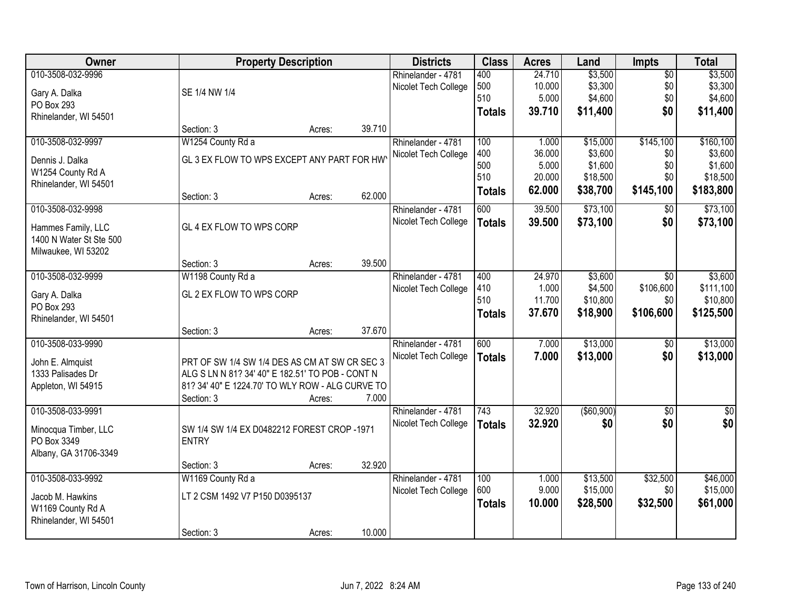| Owner                   |                                                  | <b>Property Description</b> |        | <b>Districts</b>     | <b>Class</b>  | <b>Acres</b> | Land         | <b>Impts</b>   | <b>Total</b>     |
|-------------------------|--------------------------------------------------|-----------------------------|--------|----------------------|---------------|--------------|--------------|----------------|------------------|
| 010-3508-032-9996       |                                                  |                             |        | Rhinelander - 4781   | 400           | 24.710       | \$3,500      | \$0            | \$3,500          |
| Gary A. Dalka           | SE 1/4 NW 1/4                                    |                             |        | Nicolet Tech College | 500           | 10.000       | \$3,300      | \$0            | \$3,300          |
| PO Box 293              |                                                  |                             |        |                      | 510           | 5.000        | \$4,600      | \$0            | \$4,600          |
| Rhinelander, WI 54501   |                                                  |                             |        |                      | <b>Totals</b> | 39.710       | \$11,400     | \$0            | \$11,400         |
|                         | Section: 3                                       | Acres:                      | 39.710 |                      |               |              |              |                |                  |
| 010-3508-032-9997       | W1254 County Rd a                                |                             |        | Rhinelander - 4781   | 100           | 1.000        | \$15,000     | \$145,100      | \$160, 100       |
| Dennis J. Dalka         | GL 3 EX FLOW TO WPS EXCEPT ANY PART FOR HW       |                             |        | Nicolet Tech College | 400           | 36.000       | \$3,600      | \$0            | \$3,600          |
| W1254 County Rd A       |                                                  |                             |        |                      | 500           | 5.000        | \$1,600      | \$0            | \$1,600          |
| Rhinelander, WI 54501   |                                                  |                             |        |                      | 510           | 20.000       | \$18,500     | \$0            | \$18,500         |
|                         | Section: 3                                       | Acres:                      | 62.000 |                      | <b>Totals</b> | 62.000       | \$38,700     | \$145,100      | \$183,800        |
| 010-3508-032-9998       |                                                  |                             |        | Rhinelander - 4781   | 600           | 39.500       | \$73,100     | $\sqrt[6]{30}$ | \$73,100         |
| Hammes Family, LLC      | GL 4 EX FLOW TO WPS CORP                         |                             |        | Nicolet Tech College | <b>Totals</b> | 39.500       | \$73,100     | \$0            | \$73,100         |
| 1400 N Water St Ste 500 |                                                  |                             |        |                      |               |              |              |                |                  |
| Milwaukee, WI 53202     |                                                  |                             |        |                      |               |              |              |                |                  |
|                         | Section: 3                                       | Acres:                      | 39.500 |                      |               |              |              |                |                  |
| 010-3508-032-9999       | W1198 County Rd a                                |                             |        | Rhinelander - 4781   | 400           | 24.970       | \$3,600      | \$0            | \$3,600          |
| Gary A. Dalka           | GL 2 EX FLOW TO WPS CORP                         |                             |        | Nicolet Tech College | 410           | 1.000        | \$4,500      | \$106,600      | \$111,100        |
| PO Box 293              |                                                  |                             |        |                      | 510           | 11.700       | \$10,800     | \$0            | \$10,800         |
| Rhinelander, WI 54501   |                                                  |                             |        |                      | <b>Totals</b> | 37.670       | \$18,900     | \$106,600      | \$125,500        |
|                         | Section: 3                                       | Acres:                      | 37.670 |                      |               |              |              |                |                  |
| 010-3508-033-9990       |                                                  |                             |        | Rhinelander - 4781   | 600           | 7.000        | \$13,000     | \$0            | \$13,000         |
| John E. Almquist        | PRT OF SW 1/4 SW 1/4 DES AS CM AT SW CR SEC 3    |                             |        | Nicolet Tech College | <b>Totals</b> | 7.000        | \$13,000     | \$0            | \$13,000         |
| 1333 Palisades Dr       | ALG S LN N 81? 34' 40" E 182.51' TO POB - CONT N |                             |        |                      |               |              |              |                |                  |
| Appleton, WI 54915      | 81? 34' 40" E 1224.70' TO WLY ROW - ALG CURVE TO |                             |        |                      |               |              |              |                |                  |
|                         | Section: 3                                       | Acres:                      | 7.000  |                      |               |              |              |                |                  |
| 010-3508-033-9991       |                                                  |                             |        | Rhinelander - 4781   | 743           | 32.920       | ( \$60, 900) | \$0            | $\overline{\$0}$ |
| Minocqua Timber, LLC    | SW 1/4 SW 1/4 EX D0482212 FOREST CROP -1971      |                             |        | Nicolet Tech College | <b>Totals</b> | 32.920       | \$0          | \$0            | \$0              |
| PO Box 3349             | <b>ENTRY</b>                                     |                             |        |                      |               |              |              |                |                  |
| Albany, GA 31706-3349   |                                                  |                             |        |                      |               |              |              |                |                  |
|                         | Section: 3                                       | Acres:                      | 32.920 |                      |               |              |              |                |                  |
| 010-3508-033-9992       | W1169 County Rd a                                |                             |        | Rhinelander - 4781   | 100           | 1.000        | \$13,500     | \$32,500       | \$46,000         |
| Jacob M. Hawkins        | LT 2 CSM 1492 V7 P150 D0395137                   |                             |        | Nicolet Tech College | 600           | 9.000        | \$15,000     | \$0            | \$15,000         |
| W1169 County Rd A       |                                                  |                             |        |                      | <b>Totals</b> | 10.000       | \$28,500     | \$32,500       | \$61,000         |
| Rhinelander, WI 54501   |                                                  |                             |        |                      |               |              |              |                |                  |
|                         | Section: 3                                       | Acres:                      | 10.000 |                      |               |              |              |                |                  |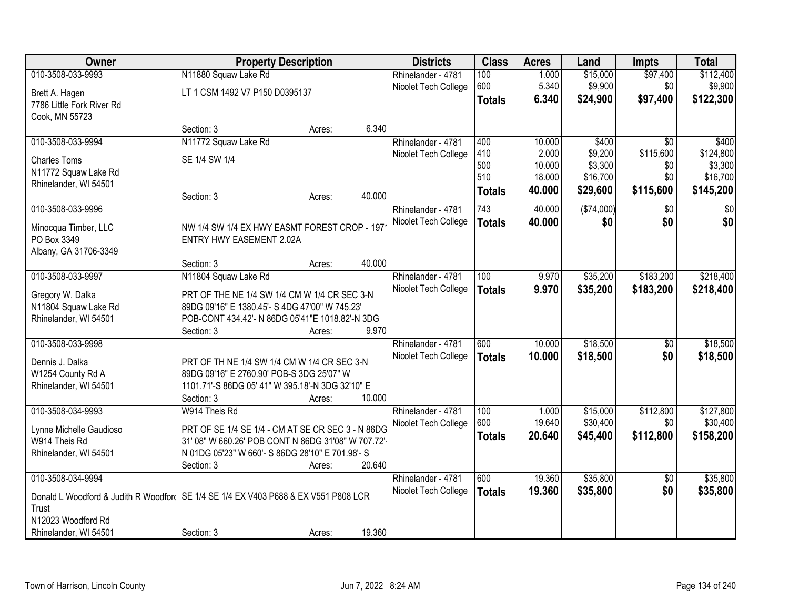| Owner                                                                                 |                                                     | <b>Property Description</b> |        | <b>Districts</b>     | <b>Class</b>  | <b>Acres</b> | Land        | <b>Impts</b>    | <b>Total</b> |
|---------------------------------------------------------------------------------------|-----------------------------------------------------|-----------------------------|--------|----------------------|---------------|--------------|-------------|-----------------|--------------|
| 010-3508-033-9993                                                                     | N11880 Squaw Lake Rd                                |                             |        | Rhinelander - 4781   | 100           | 1.000        | \$15,000    | \$97,400        | \$112,400    |
| Brett A. Hagen                                                                        | LT 1 CSM 1492 V7 P150 D0395137                      |                             |        | Nicolet Tech College | 600           | 5.340        | \$9,900     | \$0             | \$9,900      |
| 7786 Little Fork River Rd                                                             |                                                     |                             |        |                      | <b>Totals</b> | 6.340        | \$24,900    | \$97,400        | \$122,300    |
| Cook, MN 55723                                                                        |                                                     |                             |        |                      |               |              |             |                 |              |
|                                                                                       | Section: 3                                          | Acres:                      | 6.340  |                      |               |              |             |                 |              |
| 010-3508-033-9994                                                                     | N11772 Squaw Lake Rd                                |                             |        | Rhinelander - 4781   | 400           | 10.000       | \$400       | $\overline{50}$ | \$400        |
| <b>Charles Toms</b>                                                                   | SE 1/4 SW 1/4                                       |                             |        | Nicolet Tech College | 410           | 2.000        | \$9,200     | \$115,600       | \$124,800    |
| N11772 Squaw Lake Rd                                                                  |                                                     |                             |        |                      | 500           | 10.000       | \$3,300     | \$0             | \$3,300      |
| Rhinelander, WI 54501                                                                 |                                                     |                             |        |                      | 510           | 18.000       | \$16,700    | \$0             | \$16,700     |
|                                                                                       | Section: 3                                          | Acres:                      | 40.000 |                      | <b>Totals</b> | 40.000       | \$29,600    | \$115,600       | \$145,200    |
| 010-3508-033-9996                                                                     |                                                     |                             |        | Rhinelander - 4781   | 743           | 40.000       | ( \$74,000) | \$0             | \$0          |
| Minocqua Timber, LLC                                                                  | NW 1/4 SW 1/4 EX HWY EASMT FOREST CROP - 197        |                             |        | Nicolet Tech College | <b>Totals</b> | 40.000       | \$0         | \$0             | \$0          |
| PO Box 3349                                                                           | <b>ENTRY HWY EASEMENT 2.02A</b>                     |                             |        |                      |               |              |             |                 |              |
| Albany, GA 31706-3349                                                                 |                                                     |                             |        |                      |               |              |             |                 |              |
|                                                                                       | Section: 3                                          | Acres:                      | 40.000 |                      |               |              |             |                 |              |
| 010-3508-033-9997                                                                     | N11804 Squaw Lake Rd                                |                             |        | Rhinelander - 4781   | 100           | 9.970        | \$35,200    | \$183,200       | \$218,400    |
| Gregory W. Dalka                                                                      | PRT OF THE NE 1/4 SW 1/4 CM W 1/4 CR SEC 3-N        |                             |        | Nicolet Tech College | <b>Totals</b> | 9.970        | \$35,200    | \$183,200       | \$218,400    |
| N11804 Squaw Lake Rd                                                                  | 89DG 09'16" E 1380.45'- S 4DG 47'00" W 745.23'      |                             |        |                      |               |              |             |                 |              |
| Rhinelander, WI 54501                                                                 | POB-CONT 434.42'- N 86DG 05'41"E 1018.82'-N 3DG     |                             |        |                      |               |              |             |                 |              |
|                                                                                       | Section: 3                                          | Acres:                      | 9.970  |                      |               |              |             |                 |              |
| 010-3508-033-9998                                                                     |                                                     |                             |        | Rhinelander - 4781   | 600           | 10.000       | \$18,500    | $\overline{50}$ | \$18,500     |
| Dennis J. Dalka                                                                       | PRT OF TH NE 1/4 SW 1/4 CM W 1/4 CR SEC 3-N         |                             |        | Nicolet Tech College | <b>Totals</b> | 10.000       | \$18,500    | \$0             | \$18,500     |
| W1254 County Rd A                                                                     | 89DG 09'16" E 2760.90' POB-S 3DG 25'07" W           |                             |        |                      |               |              |             |                 |              |
| Rhinelander, WI 54501                                                                 | 1101.71'-S 86DG 05' 41" W 395.18'-N 3DG 32'10" E    |                             |        |                      |               |              |             |                 |              |
|                                                                                       | Section: 3                                          | Acres:                      | 10.000 |                      |               |              |             |                 |              |
| 010-3508-034-9993                                                                     | W914 Theis Rd                                       |                             |        | Rhinelander - 4781   | 100           | 1.000        | \$15,000    | \$112,800       | \$127,800    |
| Lynne Michelle Gaudioso                                                               | PRT OF SE 1/4 SE 1/4 - CM AT SE CR SEC 3 - N 86DG   |                             |        | Nicolet Tech College | 600           | 19.640       | \$30,400    | \$0             | \$30,400     |
| W914 Theis Rd                                                                         | 31' 08" W 660.26' POB CONT N 86DG 31'08" W 707.72'- |                             |        |                      | <b>Totals</b> | 20.640       | \$45,400    | \$112,800       | \$158,200    |
| Rhinelander, WI 54501                                                                 | N 01DG 05'23" W 660'- S 86DG 28'10" E 701.98'- S    |                             |        |                      |               |              |             |                 |              |
|                                                                                       | Section: 3                                          | Acres:                      | 20.640 |                      |               |              |             |                 |              |
| 010-3508-034-9994                                                                     |                                                     |                             |        | Rhinelander - 4781   | 600           | 19.360       | \$35,800    | $\overline{50}$ | \$35,800     |
| Donald L Woodford & Judith R Woodford   SE 1/4 SE 1/4 EX V403 P688 & EX V551 P808 LCR |                                                     |                             |        | Nicolet Tech College | <b>Totals</b> | 19.360       | \$35,800    | \$0             | \$35,800     |
| Trust                                                                                 |                                                     |                             |        |                      |               |              |             |                 |              |
| N12023 Woodford Rd                                                                    |                                                     |                             |        |                      |               |              |             |                 |              |
| Rhinelander, WI 54501                                                                 | Section: 3                                          | Acres:                      | 19.360 |                      |               |              |             |                 |              |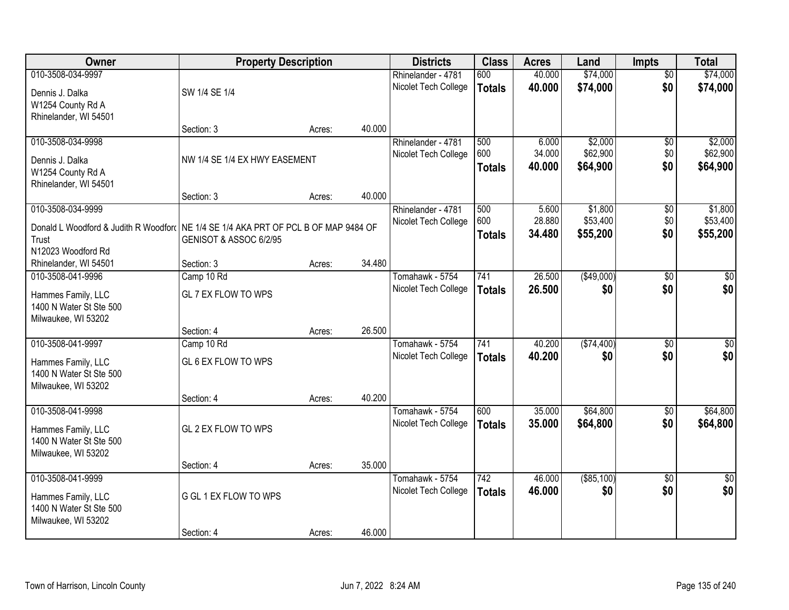| Owner                                                                               | <b>Property Description</b>   |        |        | <b>Districts</b>     | <b>Class</b>     | <b>Acres</b> | Land         | <b>Impts</b>    | <b>Total</b>    |
|-------------------------------------------------------------------------------------|-------------------------------|--------|--------|----------------------|------------------|--------------|--------------|-----------------|-----------------|
| 010-3508-034-9997                                                                   |                               |        |        | Rhinelander - 4781   | 600              | 40.000       | \$74,000     | $\overline{50}$ | \$74,000        |
| Dennis J. Dalka                                                                     | SW 1/4 SE 1/4                 |        |        | Nicolet Tech College | <b>Totals</b>    | 40.000       | \$74,000     | \$0             | \$74,000        |
| W1254 County Rd A                                                                   |                               |        |        |                      |                  |              |              |                 |                 |
| Rhinelander, WI 54501                                                               |                               |        |        |                      |                  |              |              |                 |                 |
|                                                                                     | Section: 3                    | Acres: | 40.000 |                      |                  |              |              |                 |                 |
| 010-3508-034-9998                                                                   |                               |        |        | Rhinelander - 4781   | 500              | 6.000        | \$2,000      | \$0             | \$2,000         |
| Dennis J. Dalka                                                                     | NW 1/4 SE 1/4 EX HWY EASEMENT |        |        | Nicolet Tech College | 600              | 34.000       | \$62,900     | \$0             | \$62,900        |
| W1254 County Rd A                                                                   |                               |        |        |                      | <b>Totals</b>    | 40.000       | \$64,900     | \$0             | \$64,900        |
| Rhinelander, WI 54501                                                               |                               |        |        |                      |                  |              |              |                 |                 |
|                                                                                     | Section: 3                    | Acres: | 40.000 |                      |                  |              |              |                 |                 |
| 010-3508-034-9999                                                                   |                               |        |        | Rhinelander - 4781   | 500              | 5.600        | \$1,800      | $\overline{50}$ | \$1,800         |
| Donald L Woodford & Judith R Woodford NE 1/4 SE 1/4 AKA PRT OF PCL B OF MAP 9484 OF |                               |        |        | Nicolet Tech College | 600              | 28.880       | \$53,400     | \$0             | \$53,400        |
| Trust                                                                               | GENISOT & ASSOC 6/2/95        |        |        |                      | <b>Totals</b>    | 34.480       | \$55,200     | \$0             | \$55,200        |
| N12023 Woodford Rd                                                                  |                               |        |        |                      |                  |              |              |                 |                 |
| Rhinelander, WI 54501                                                               | Section: 3                    | Acres: | 34.480 |                      |                  |              |              |                 |                 |
| 010-3508-041-9996                                                                   | Camp 10 Rd                    |        |        | Tomahawk - 5754      | 741              | 26.500       | (\$49,000)   | $\overline{50}$ | $\overline{50}$ |
| Hammes Family, LLC                                                                  | GL 7 EX FLOW TO WPS           |        |        | Nicolet Tech College | <b>Totals</b>    | 26.500       | \$0          | \$0             | \$0             |
| 1400 N Water St Ste 500                                                             |                               |        |        |                      |                  |              |              |                 |                 |
| Milwaukee, WI 53202                                                                 |                               |        |        |                      |                  |              |              |                 |                 |
|                                                                                     | Section: 4                    | Acres: | 26.500 |                      |                  |              |              |                 |                 |
| 010-3508-041-9997                                                                   | Camp 10 Rd                    |        |        | Tomahawk - 5754      | 741              | 40.200       | ( \$74,400)  | $\overline{50}$ | $\overline{50}$ |
| Hammes Family, LLC                                                                  | GL 6 EX FLOW TO WPS           |        |        | Nicolet Tech College | <b>Totals</b>    | 40.200       | \$0          | \$0             | \$0             |
| 1400 N Water St Ste 500                                                             |                               |        |        |                      |                  |              |              |                 |                 |
| Milwaukee, WI 53202                                                                 |                               |        |        |                      |                  |              |              |                 |                 |
|                                                                                     | Section: 4                    | Acres: | 40.200 |                      |                  |              |              |                 |                 |
| 010-3508-041-9998                                                                   |                               |        |        | Tomahawk - 5754      | 600              | 35.000       | \$64,800     | $\sqrt{6}$      | \$64,800        |
| Hammes Family, LLC                                                                  | GL 2 EX FLOW TO WPS           |        |        | Nicolet Tech College | <b>Totals</b>    | 35.000       | \$64,800     | \$0             | \$64,800        |
| 1400 N Water St Ste 500                                                             |                               |        |        |                      |                  |              |              |                 |                 |
| Milwaukee, WI 53202                                                                 |                               |        |        |                      |                  |              |              |                 |                 |
|                                                                                     | Section: 4                    | Acres: | 35.000 |                      |                  |              |              |                 |                 |
| 010-3508-041-9999                                                                   |                               |        |        | Tomahawk - 5754      | $\overline{742}$ | 46.000       | ( \$85, 100) | $\overline{50}$ | $\overline{50}$ |
| Hammes Family, LLC                                                                  | G GL 1 EX FLOW TO WPS         |        |        | Nicolet Tech College | <b>Totals</b>    | 46.000       | \$0          | \$0             | \$0             |
| 1400 N Water St Ste 500                                                             |                               |        |        |                      |                  |              |              |                 |                 |
| Milwaukee, WI 53202                                                                 |                               |        |        |                      |                  |              |              |                 |                 |
|                                                                                     | Section: 4                    | Acres: | 46.000 |                      |                  |              |              |                 |                 |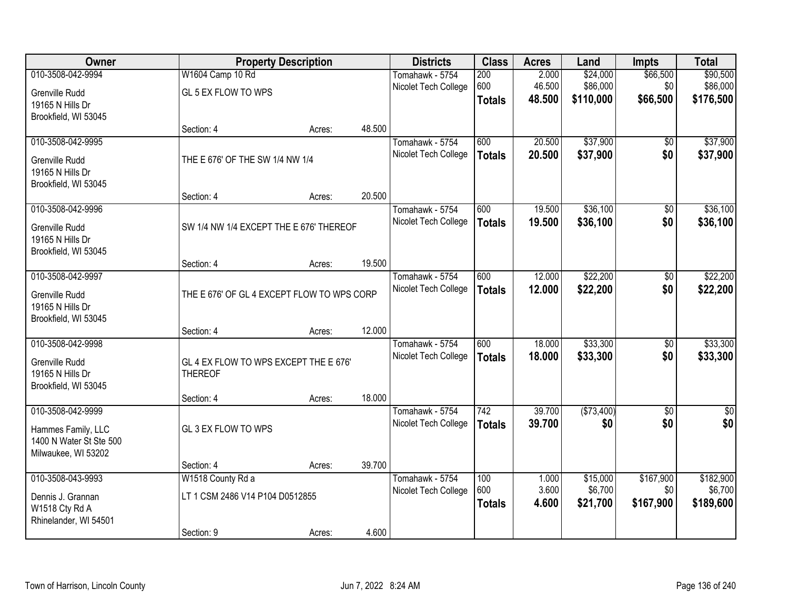| Owner                                    |                                                         | <b>Property Description</b> |        | <b>Districts</b>                        | <b>Class</b>  | <b>Acres</b> | Land       | <b>Impts</b>    | <b>Total</b> |
|------------------------------------------|---------------------------------------------------------|-----------------------------|--------|-----------------------------------------|---------------|--------------|------------|-----------------|--------------|
| 010-3508-042-9994                        | W1604 Camp 10 Rd                                        |                             |        | Tomahawk - 5754                         | 200           | 2.000        | \$24,000   | \$66,500        | \$90,500     |
| Grenville Rudd                           | GL 5 EX FLOW TO WPS                                     |                             |        | Nicolet Tech College                    | 600           | 46.500       | \$86,000   | \$0             | \$86,000     |
| 19165 N Hills Dr                         |                                                         |                             |        |                                         | <b>Totals</b> | 48.500       | \$110,000  | \$66,500        | \$176,500    |
| Brookfield, WI 53045                     |                                                         |                             |        |                                         |               |              |            |                 |              |
|                                          | Section: 4                                              | Acres:                      | 48.500 |                                         |               |              |            |                 |              |
| 010-3508-042-9995                        |                                                         |                             |        | Tomahawk - 5754                         | 600           | 20.500       | \$37,900   | \$0             | \$37,900     |
| Grenville Rudd                           | THE E 676' OF THE SW 1/4 NW 1/4                         |                             |        | Nicolet Tech College                    | <b>Totals</b> | 20.500       | \$37,900   | \$0             | \$37,900     |
| 19165 N Hills Dr                         |                                                         |                             |        |                                         |               |              |            |                 |              |
| Brookfield, WI 53045                     |                                                         |                             |        |                                         |               |              |            |                 |              |
|                                          | Section: 4                                              | Acres:                      | 20.500 |                                         |               |              |            |                 |              |
| 010-3508-042-9996                        |                                                         |                             |        | Tomahawk - 5754<br>Nicolet Tech College | 600           | 19.500       | \$36,100   | \$0<br>\$0      | \$36,100     |
| Grenville Rudd                           | SW 1/4 NW 1/4 EXCEPT THE E 676' THEREOF                 |                             |        |                                         | <b>Totals</b> | 19.500       | \$36,100   |                 | \$36,100     |
| 19165 N Hills Dr                         |                                                         |                             |        |                                         |               |              |            |                 |              |
| Brookfield, WI 53045                     | Section: 4                                              |                             | 19.500 |                                         |               |              |            |                 |              |
| 010-3508-042-9997                        |                                                         | Acres:                      |        | Tomahawk - 5754                         | 600           | 12.000       | \$22,200   | \$0             | \$22,200     |
|                                          |                                                         |                             |        | Nicolet Tech College                    | <b>Totals</b> | 12.000       | \$22,200   | \$0             | \$22,200     |
| Grenville Rudd                           | THE E 676' OF GL 4 EXCEPT FLOW TO WPS CORP              |                             |        |                                         |               |              |            |                 |              |
| 19165 N Hills Dr<br>Brookfield, WI 53045 |                                                         |                             |        |                                         |               |              |            |                 |              |
|                                          | Section: 4                                              | Acres:                      | 12.000 |                                         |               |              |            |                 |              |
| 010-3508-042-9998                        |                                                         |                             |        | Tomahawk - 5754                         | 600           | 18.000       | \$33,300   | $\overline{50}$ | \$33,300     |
|                                          |                                                         |                             |        | Nicolet Tech College                    | <b>Totals</b> | 18.000       | \$33,300   | \$0             | \$33,300     |
| Grenville Rudd<br>19165 N Hills Dr       | GL 4 EX FLOW TO WPS EXCEPT THE E 676'<br><b>THEREOF</b> |                             |        |                                         |               |              |            |                 |              |
| Brookfield, WI 53045                     |                                                         |                             |        |                                         |               |              |            |                 |              |
|                                          | Section: 4                                              | Acres:                      | 18.000 |                                         |               |              |            |                 |              |
| 010-3508-042-9999                        |                                                         |                             |        | Tomahawk - 5754                         | 742           | 39.700       | (\$73,400) | $\sqrt{6}$      | \$0          |
| Hammes Family, LLC                       | GL 3 EX FLOW TO WPS                                     |                             |        | Nicolet Tech College                    | <b>Totals</b> | 39.700       | \$0        | \$0             | \$0          |
| 1400 N Water St Ste 500                  |                                                         |                             |        |                                         |               |              |            |                 |              |
| Milwaukee, WI 53202                      |                                                         |                             |        |                                         |               |              |            |                 |              |
|                                          | Section: 4                                              | Acres:                      | 39.700 |                                         |               |              |            |                 |              |
| 010-3508-043-9993                        | W1518 County Rd a                                       |                             |        | Tomahawk - 5754                         | 100           | 1.000        | \$15,000   | \$167,900       | \$182,900    |
| Dennis J. Grannan                        | LT 1 CSM 2486 V14 P104 D0512855                         |                             |        | Nicolet Tech College                    | 600           | 3.600        | \$6,700    | \$0             | \$6,700      |
| W1518 Cty Rd A                           |                                                         |                             |        |                                         | <b>Totals</b> | 4.600        | \$21,700   | \$167,900       | \$189,600    |
| Rhinelander, WI 54501                    |                                                         |                             |        |                                         |               |              |            |                 |              |
|                                          | Section: 9                                              | Acres:                      | 4.600  |                                         |               |              |            |                 |              |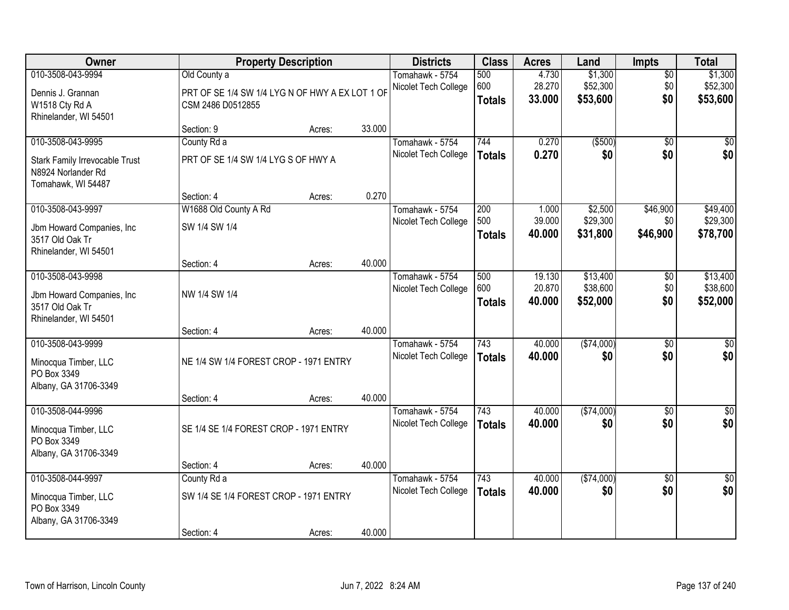| <b>Owner</b>                   |                                                 | <b>Property Description</b> |        | <b>Districts</b>     | <b>Class</b>  | <b>Acres</b> | Land       | Impts           | <b>Total</b>    |
|--------------------------------|-------------------------------------------------|-----------------------------|--------|----------------------|---------------|--------------|------------|-----------------|-----------------|
| 010-3508-043-9994              | Old County a                                    |                             |        | Tomahawk - 5754      | 500           | 4.730        | \$1,300    | $\overline{50}$ | \$1,300         |
| Dennis J. Grannan              | PRT OF SE 1/4 SW 1/4 LYG N OF HWY A EX LOT 1 OF |                             |        | Nicolet Tech College | 600           | 28.270       | \$52,300   | \$0             | \$52,300        |
| W1518 Cty Rd A                 | CSM 2486 D0512855                               |                             |        |                      | <b>Totals</b> | 33.000       | \$53,600   | \$0             | \$53,600        |
| Rhinelander, WI 54501          |                                                 |                             |        |                      |               |              |            |                 |                 |
|                                | Section: 9                                      | Acres:                      | 33.000 |                      |               |              |            |                 |                 |
| 010-3508-043-9995              | County Rd a                                     |                             |        | Tomahawk - 5754      | 744           | 0.270        | ( \$500)   | $\overline{50}$ | $\overline{50}$ |
| Stark Family Irrevocable Trust | PRT OF SE 1/4 SW 1/4 LYG S OF HWY A             |                             |        | Nicolet Tech College | <b>Totals</b> | 0.270        | \$0        | \$0             | \$0             |
| N8924 Norlander Rd             |                                                 |                             |        |                      |               |              |            |                 |                 |
| Tomahawk, WI 54487             |                                                 |                             |        |                      |               |              |            |                 |                 |
|                                | Section: 4                                      | Acres:                      | 0.270  |                      |               |              |            |                 |                 |
| 010-3508-043-9997              | W1688 Old County A Rd                           |                             |        | Tomahawk - 5754      | 200           | 1.000        | \$2,500    | \$46,900        | \$49,400        |
| Jbm Howard Companies, Inc      | SW 1/4 SW 1/4                                   |                             |        | Nicolet Tech College | 500           | 39.000       | \$29,300   | \$0             | \$29,300        |
| 3517 Old Oak Tr                |                                                 |                             |        |                      | <b>Totals</b> | 40.000       | \$31,800   | \$46,900        | \$78,700        |
| Rhinelander, WI 54501          |                                                 |                             |        |                      |               |              |            |                 |                 |
|                                | Section: 4                                      | Acres:                      | 40.000 |                      |               |              |            |                 |                 |
| 010-3508-043-9998              |                                                 |                             |        | Tomahawk - 5754      | 500           | 19.130       | \$13,400   | \$0             | \$13,400        |
| Jbm Howard Companies, Inc.     | NW 1/4 SW 1/4                                   |                             |        | Nicolet Tech College | 600           | 20.870       | \$38,600   | \$0             | \$38,600        |
| 3517 Old Oak Tr                |                                                 |                             |        |                      | <b>Totals</b> | 40.000       | \$52,000   | \$0             | \$52,000        |
| Rhinelander, WI 54501          |                                                 |                             |        |                      |               |              |            |                 |                 |
|                                | Section: 4                                      | Acres:                      | 40.000 |                      |               |              |            |                 |                 |
| 010-3508-043-9999              |                                                 |                             |        | Tomahawk - 5754      | 743           | 40.000       | (\$74,000) | $\overline{50}$ | $\overline{50}$ |
| Minocqua Timber, LLC           | NE 1/4 SW 1/4 FOREST CROP - 1971 ENTRY          |                             |        | Nicolet Tech College | <b>Totals</b> | 40.000       | \$0        | \$0             | \$0             |
| PO Box 3349                    |                                                 |                             |        |                      |               |              |            |                 |                 |
| Albany, GA 31706-3349          |                                                 |                             |        |                      |               |              |            |                 |                 |
|                                | Section: 4                                      | Acres:                      | 40.000 |                      |               |              |            |                 |                 |
| 010-3508-044-9996              |                                                 |                             |        | Tomahawk - 5754      | 743           | 40.000       | (\$74,000) | $\overline{50}$ | $\overline{50}$ |
| Minocqua Timber, LLC           | SE 1/4 SE 1/4 FOREST CROP - 1971 ENTRY          |                             |        | Nicolet Tech College | <b>Totals</b> | 40.000       | \$0        | \$0             | \$0             |
| PO Box 3349                    |                                                 |                             |        |                      |               |              |            |                 |                 |
| Albany, GA 31706-3349          |                                                 |                             |        |                      |               |              |            |                 |                 |
|                                | Section: 4                                      | Acres:                      | 40.000 |                      |               |              |            |                 |                 |
| 010-3508-044-9997              | County Rd a                                     |                             |        | Tomahawk - 5754      | 743           | 40.000       | (\$74,000) | $\overline{50}$ | $\overline{50}$ |
| Minocqua Timber, LLC           | SW 1/4 SE 1/4 FOREST CROP - 1971 ENTRY          |                             |        | Nicolet Tech College | <b>Totals</b> | 40.000       | \$0        | \$0             | \$0             |
| PO Box 3349                    |                                                 |                             |        |                      |               |              |            |                 |                 |
| Albany, GA 31706-3349          |                                                 |                             |        |                      |               |              |            |                 |                 |
|                                | Section: 4                                      | Acres:                      | 40.000 |                      |               |              |            |                 |                 |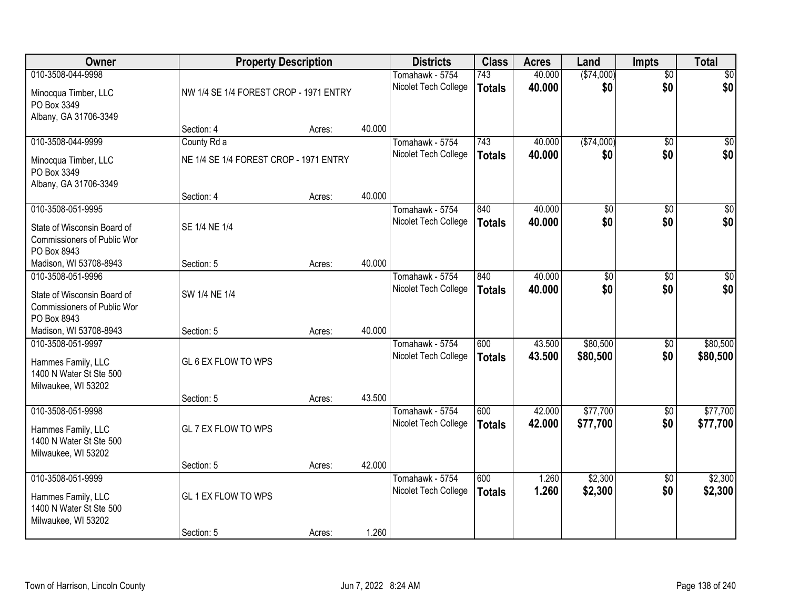| <b>Owner</b>                                                                                   | <b>Property Description</b>            |        |        | <b>Districts</b>                        | <b>Class</b>         | <b>Acres</b>     | Land                 | <b>Impts</b>           | <b>Total</b>            |
|------------------------------------------------------------------------------------------------|----------------------------------------|--------|--------|-----------------------------------------|----------------------|------------------|----------------------|------------------------|-------------------------|
| 010-3508-044-9998<br>Minocqua Timber, LLC<br>PO Box 3349<br>Albany, GA 31706-3349              | NW 1/4 SE 1/4 FOREST CROP - 1971 ENTRY |        |        | Tomahawk - 5754<br>Nicolet Tech College | 743<br><b>Totals</b> | 40.000<br>40.000 | (\$74,000)<br>\$0    | $\overline{50}$<br>\$0 | $\overline{50}$<br>\$0  |
|                                                                                                | Section: 4                             | Acres: | 40.000 |                                         |                      |                  |                      |                        |                         |
| 010-3508-044-9999                                                                              | County Rd a                            |        |        | Tomahawk - 5754                         | 743                  | 40.000           | ( \$74,000)          | $\overline{50}$        | $\sqrt{50}$             |
| Minocqua Timber, LLC<br>PO Box 3349<br>Albany, GA 31706-3349                                   | NE 1/4 SE 1/4 FOREST CROP - 1971 ENTRY |        |        | Nicolet Tech College                    | <b>Totals</b>        | 40.000           | \$0                  | \$0                    | \$0                     |
|                                                                                                | Section: 4                             | Acres: | 40.000 |                                         |                      |                  |                      |                        |                         |
| 010-3508-051-9995<br>State of Wisconsin Board of<br>Commissioners of Public Wor<br>PO Box 8943 | SE 1/4 NE 1/4                          |        |        | Tomahawk - 5754<br>Nicolet Tech College | 840<br><b>Totals</b> | 40.000<br>40.000 | \$0<br>\$0           | \$0<br>\$0             | $\overline{\$0}$<br>\$0 |
| Madison, WI 53708-8943                                                                         | Section: 5                             | Acres: | 40.000 |                                         |                      |                  |                      |                        |                         |
| 010-3508-051-9996<br>State of Wisconsin Board of<br>Commissioners of Public Wor<br>PO Box 8943 | SW 1/4 NE 1/4                          |        |        | Tomahawk - 5754<br>Nicolet Tech College | 840<br><b>Totals</b> | 40.000<br>40.000 | \$0<br>\$0           | \$0<br>\$0             | \$0<br>\$0              |
| Madison, WI 53708-8943                                                                         | Section: 5                             | Acres: | 40.000 |                                         |                      |                  |                      |                        |                         |
| 010-3508-051-9997<br>Hammes Family, LLC<br>1400 N Water St Ste 500<br>Milwaukee, WI 53202      | GL 6 EX FLOW TO WPS<br>Section: 5      | Acres: | 43.500 | Tomahawk - 5754<br>Nicolet Tech College | 600<br><b>Totals</b> | 43.500<br>43.500 | \$80,500<br>\$80,500 | \$0<br>\$0             | \$80,500<br>\$80,500    |
| 010-3508-051-9998                                                                              |                                        |        |        | Tomahawk - 5754                         | 600                  | 42.000           | \$77,700             | \$0                    | \$77,700                |
| Hammes Family, LLC<br>1400 N Water St Ste 500<br>Milwaukee, WI 53202                           | GL 7 EX FLOW TO WPS                    |        |        | Nicolet Tech College                    | <b>Totals</b>        | 42.000           | \$77,700             | \$0                    | \$77,700                |
|                                                                                                | Section: 5                             | Acres: | 42.000 |                                         |                      |                  |                      |                        |                         |
| 010-3508-051-9999<br>Hammes Family, LLC<br>1400 N Water St Ste 500<br>Milwaukee, WI 53202      | GL 1 EX FLOW TO WPS<br>Section: 5      | Acres: | 1.260  | Tomahawk - 5754<br>Nicolet Tech College | 600<br><b>Totals</b> | 1.260<br>1.260   | \$2,300<br>\$2,300   | $\overline{50}$<br>\$0 | \$2,300<br>\$2,300      |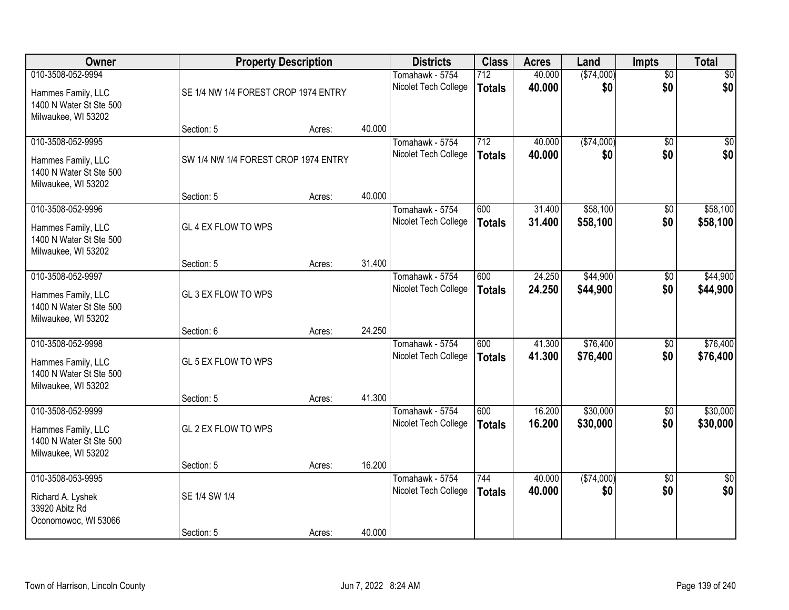| Owner                                                                | <b>Property Description</b>          |        |        | <b>Districts</b>     | <b>Class</b>  | <b>Acres</b> | Land       | <b>Impts</b>    | <b>Total</b>    |
|----------------------------------------------------------------------|--------------------------------------|--------|--------|----------------------|---------------|--------------|------------|-----------------|-----------------|
| 010-3508-052-9994                                                    |                                      |        |        | Tomahawk - 5754      | 712           | 40.000       | (\$74,000) | $\overline{50}$ | \$0             |
| Hammes Family, LLC<br>1400 N Water St Ste 500<br>Milwaukee, WI 53202 | SE 1/4 NW 1/4 FOREST CROP 1974 ENTRY |        |        | Nicolet Tech College | <b>Totals</b> | 40.000       | \$0        | \$0             | \$0             |
|                                                                      | Section: 5                           | Acres: | 40.000 |                      |               |              |            |                 |                 |
| 010-3508-052-9995                                                    |                                      |        |        | Tomahawk - 5754      | 712           | 40.000       | (\$74,000) | $\overline{30}$ | $\overline{50}$ |
| Hammes Family, LLC<br>1400 N Water St Ste 500<br>Milwaukee, WI 53202 | SW 1/4 NW 1/4 FOREST CROP 1974 ENTRY |        |        | Nicolet Tech College | <b>Totals</b> | 40.000       | \$0        | \$0             | \$0             |
|                                                                      | Section: 5                           | Acres: | 40.000 |                      |               |              |            |                 |                 |
| 010-3508-052-9996                                                    |                                      |        |        | Tomahawk - 5754      | 600           | 31.400       | \$58,100   | \$0             | \$58,100        |
| Hammes Family, LLC<br>1400 N Water St Ste 500<br>Milwaukee, WI 53202 | GL 4 EX FLOW TO WPS                  |        |        | Nicolet Tech College | <b>Totals</b> | 31.400       | \$58,100   | \$0             | \$58,100        |
|                                                                      | Section: 5                           | Acres: | 31.400 |                      |               |              |            |                 |                 |
| 010-3508-052-9997                                                    |                                      |        |        | Tomahawk - 5754      | 600           | 24.250       | \$44,900   | \$0             | \$44,900        |
| Hammes Family, LLC<br>1400 N Water St Ste 500<br>Milwaukee, WI 53202 | GL 3 EX FLOW TO WPS                  |        |        | Nicolet Tech College | <b>Totals</b> | 24.250       | \$44,900   | \$0             | \$44,900        |
|                                                                      | Section: 6                           | Acres: | 24.250 |                      |               |              |            |                 |                 |
| 010-3508-052-9998                                                    |                                      |        |        | Tomahawk - 5754      | 600           | 41.300       | \$76,400   | $\overline{50}$ | \$76,400        |
| Hammes Family, LLC<br>1400 N Water St Ste 500<br>Milwaukee, WI 53202 | GL 5 EX FLOW TO WPS                  |        |        | Nicolet Tech College | <b>Totals</b> | 41.300       | \$76,400   | \$0             | \$76,400        |
|                                                                      | Section: 5                           | Acres: | 41.300 |                      |               |              |            |                 |                 |
| 010-3508-052-9999                                                    |                                      |        |        | Tomahawk - 5754      | 600           | 16.200       | \$30,000   | \$0             | \$30,000        |
| Hammes Family, LLC<br>1400 N Water St Ste 500<br>Milwaukee, WI 53202 | GL 2 EX FLOW TO WPS                  |        |        | Nicolet Tech College | <b>Totals</b> | 16.200       | \$30,000   | \$0             | \$30,000        |
|                                                                      | Section: 5                           | Acres: | 16.200 |                      |               |              |            |                 |                 |
| 010-3508-053-9995                                                    |                                      |        |        | Tomahawk - 5754      | 744           | 40.000       | (\$74,000) | $\overline{50}$ | $\overline{30}$ |
| Richard A. Lyshek<br>33920 Abitz Rd<br>Oconomowoc, WI 53066          | SE 1/4 SW 1/4                        |        |        | Nicolet Tech College | <b>Totals</b> | 40.000       | \$0        | \$0             | \$0             |
|                                                                      | Section: 5                           | Acres: | 40.000 |                      |               |              |            |                 |                 |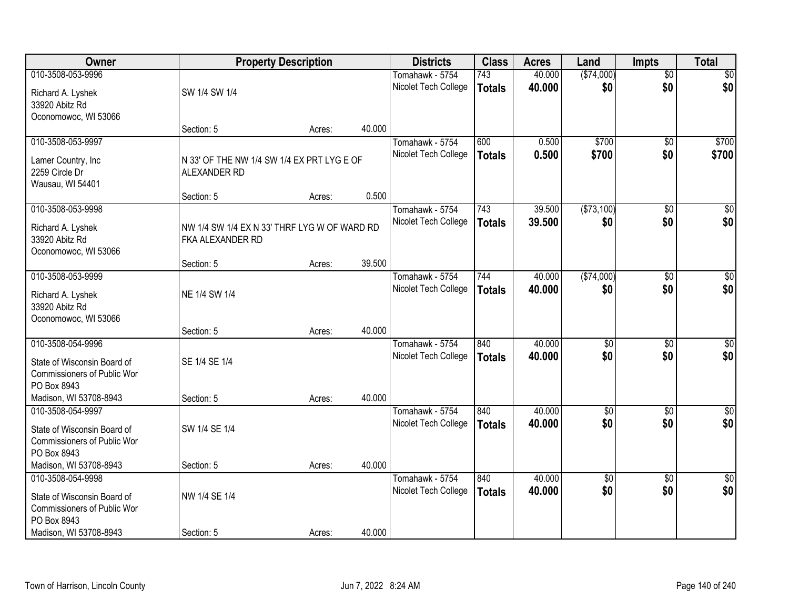| Owner                              |                                              | <b>Property Description</b> |        | <b>Districts</b>     | <b>Class</b>  | <b>Acres</b> | Land            | <b>Impts</b>    | <b>Total</b>     |
|------------------------------------|----------------------------------------------|-----------------------------|--------|----------------------|---------------|--------------|-----------------|-----------------|------------------|
| 010-3508-053-9996                  |                                              |                             |        | Tomahawk - 5754      | 743           | 40.000       | (\$74,000)      | $\overline{50}$ | \$0              |
| Richard A. Lyshek                  | SW 1/4 SW 1/4                                |                             |        | Nicolet Tech College | <b>Totals</b> | 40.000       | \$0             | \$0             | \$0              |
| 33920 Abitz Rd                     |                                              |                             |        |                      |               |              |                 |                 |                  |
| Oconomowoc, WI 53066               |                                              |                             |        |                      |               |              |                 |                 |                  |
|                                    | Section: 5                                   | Acres:                      | 40.000 |                      |               |              |                 |                 |                  |
| 010-3508-053-9997                  |                                              |                             |        | Tomahawk - 5754      | 600           | 0.500        | \$700           | $\overline{50}$ | \$700            |
| Lamer Country, Inc                 | N 33' OF THE NW 1/4 SW 1/4 EX PRT LYG E OF   |                             |        | Nicolet Tech College | <b>Totals</b> | 0.500        | \$700           | \$0             | \$700            |
| 2259 Circle Dr                     | ALEXANDER RD                                 |                             |        |                      |               |              |                 |                 |                  |
| Wausau, WI 54401                   |                                              |                             |        |                      |               |              |                 |                 |                  |
|                                    | Section: 5                                   | Acres:                      | 0.500  |                      |               |              |                 |                 |                  |
| 010-3508-053-9998                  |                                              |                             |        | Tomahawk - 5754      | 743           | 39.500       | ( \$73,100)     | \$0             | $\overline{50}$  |
| Richard A. Lyshek                  | NW 1/4 SW 1/4 EX N 33' THRF LYG W OF WARD RD |                             |        | Nicolet Tech College | <b>Totals</b> | 39.500       | \$0             | \$0             | \$0              |
| 33920 Abitz Rd                     | FKA ALEXANDER RD                             |                             |        |                      |               |              |                 |                 |                  |
| Oconomowoc, WI 53066               |                                              |                             |        |                      |               |              |                 |                 |                  |
|                                    | Section: 5                                   | Acres:                      | 39.500 |                      |               |              |                 |                 |                  |
| 010-3508-053-9999                  |                                              |                             |        | Tomahawk - 5754      | 744           | 40.000       | ( \$74,000)     | $\sqrt[6]{}$    | $\sqrt{50}$      |
| Richard A. Lyshek                  | NE 1/4 SW 1/4                                |                             |        | Nicolet Tech College | <b>Totals</b> | 40.000       | \$0             | \$0             | \$0              |
| 33920 Abitz Rd                     |                                              |                             |        |                      |               |              |                 |                 |                  |
| Oconomowoc, WI 53066               |                                              |                             |        |                      |               |              |                 |                 |                  |
|                                    | Section: 5                                   | Acres:                      | 40.000 |                      |               |              |                 |                 |                  |
| 010-3508-054-9996                  |                                              |                             |        | Tomahawk - 5754      | 840           | 40.000       | $\overline{50}$ | $\overline{50}$ | $\overline{50}$  |
| State of Wisconsin Board of        | SE 1/4 SE 1/4                                |                             |        | Nicolet Tech College | <b>Totals</b> | 40.000       | \$0             | \$0             | \$0              |
| <b>Commissioners of Public Wor</b> |                                              |                             |        |                      |               |              |                 |                 |                  |
| PO Box 8943                        |                                              |                             |        |                      |               |              |                 |                 |                  |
| Madison, WI 53708-8943             | Section: 5                                   | Acres:                      | 40.000 |                      |               |              |                 |                 |                  |
| 010-3508-054-9997                  |                                              |                             |        | Tomahawk - 5754      | 840           | 40.000       | $\overline{50}$ | $\overline{30}$ | $\overline{\$0}$ |
| State of Wisconsin Board of        | SW 1/4 SE 1/4                                |                             |        | Nicolet Tech College | <b>Totals</b> | 40.000       | \$0             | \$0             | \$0              |
| Commissioners of Public Wor        |                                              |                             |        |                      |               |              |                 |                 |                  |
| PO Box 8943                        |                                              |                             |        |                      |               |              |                 |                 |                  |
| Madison, WI 53708-8943             | Section: 5                                   | Acres:                      | 40.000 |                      |               |              |                 |                 |                  |
| 010-3508-054-9998                  |                                              |                             |        | Tomahawk - 5754      | 840           | 40.000       | $\overline{50}$ | $\overline{50}$ | $\overline{30}$  |
| State of Wisconsin Board of        | NW 1/4 SE 1/4                                |                             |        | Nicolet Tech College | <b>Totals</b> | 40.000       | \$0             | \$0             | \$0              |
| Commissioners of Public Wor        |                                              |                             |        |                      |               |              |                 |                 |                  |
| PO Box 8943                        |                                              |                             |        |                      |               |              |                 |                 |                  |
| Madison, WI 53708-8943             | Section: 5                                   | Acres:                      | 40.000 |                      |               |              |                 |                 |                  |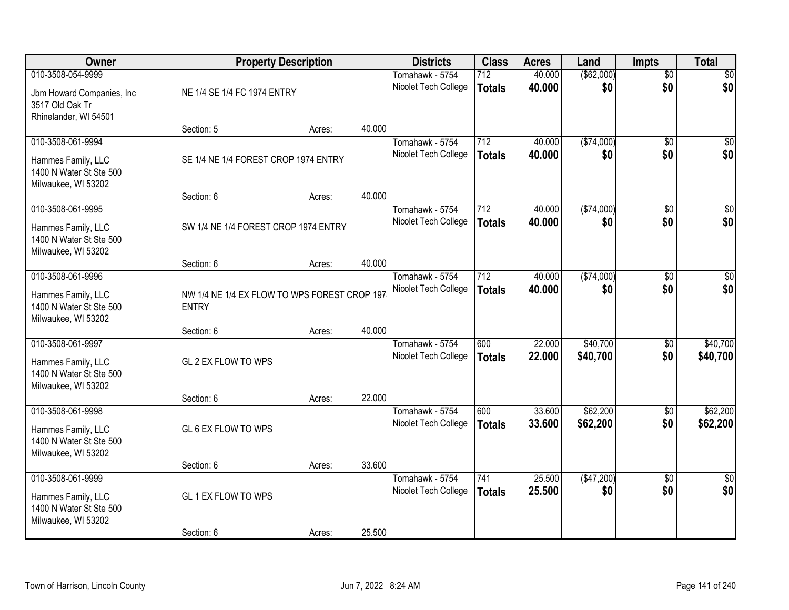| Owner                                                                                       | <b>Property Description</b>                                  |        |        | <b>Districts</b>                        | <b>Class</b>         | <b>Acres</b>     | Land                 | <b>Impts</b>           | <b>Total</b>           |
|---------------------------------------------------------------------------------------------|--------------------------------------------------------------|--------|--------|-----------------------------------------|----------------------|------------------|----------------------|------------------------|------------------------|
| 010-3508-054-9999<br>Jbm Howard Companies, Inc.<br>3517 Old Oak Tr<br>Rhinelander, WI 54501 | NE 1/4 SE 1/4 FC 1974 ENTRY                                  |        |        | Tomahawk - 5754<br>Nicolet Tech College | 712<br><b>Totals</b> | 40.000<br>40.000 | ( \$62,000)<br>\$0   | $\overline{50}$<br>\$0 | $\overline{30}$<br>\$0 |
|                                                                                             | Section: 5                                                   | Acres: | 40.000 |                                         |                      |                  |                      |                        |                        |
| 010-3508-061-9994<br>Hammes Family, LLC<br>1400 N Water St Ste 500<br>Milwaukee, WI 53202   | SE 1/4 NE 1/4 FOREST CROP 1974 ENTRY                         |        |        | Tomahawk - 5754<br>Nicolet Tech College | 712<br><b>Totals</b> | 40.000<br>40.000 | ( \$74,000)<br>\$0   | $\overline{50}$<br>\$0 | $\sqrt{50}$<br>\$0     |
| 010-3508-061-9995                                                                           | Section: 6                                                   | Acres: | 40.000 | Tomahawk - 5754                         | 712                  | 40.000           | ( \$74,000)          | \$0                    | $\overline{30}$        |
| Hammes Family, LLC<br>1400 N Water St Ste 500<br>Milwaukee, WI 53202                        | SW 1/4 NE 1/4 FOREST CROP 1974 ENTRY                         |        |        | Nicolet Tech College                    | <b>Totals</b>        | 40.000           | \$0                  | \$0                    | \$0                    |
|                                                                                             | Section: 6                                                   | Acres: | 40.000 |                                         |                      |                  |                      |                        |                        |
| 010-3508-061-9996<br>Hammes Family, LLC<br>1400 N Water St Ste 500<br>Milwaukee, WI 53202   | NW 1/4 NE 1/4 EX FLOW TO WPS FOREST CROP 197<br><b>ENTRY</b> |        |        | Tomahawk - 5754<br>Nicolet Tech College | 712<br><b>Totals</b> | 40.000<br>40.000 | (\$74,000)<br>\$0    | \$0<br>\$0             | \$0<br>\$0             |
|                                                                                             | Section: 6                                                   | Acres: | 40.000 |                                         |                      |                  |                      |                        |                        |
| 010-3508-061-9997<br>Hammes Family, LLC<br>1400 N Water St Ste 500<br>Milwaukee, WI 53202   | GL 2 EX FLOW TO WPS<br>Section: 6                            | Acres: | 22.000 | Tomahawk - 5754<br>Nicolet Tech College | 600<br><b>Totals</b> | 22.000<br>22.000 | \$40,700<br>\$40,700 | \$0<br>\$0             | \$40,700<br>\$40,700   |
| 010-3508-061-9998                                                                           |                                                              |        |        | Tomahawk - 5754<br>Nicolet Tech College | 600<br><b>Totals</b> | 33.600<br>33.600 | \$62,200<br>\$62,200 | $\overline{50}$<br>\$0 | \$62,200<br>\$62,200   |
| Hammes Family, LLC<br>1400 N Water St Ste 500<br>Milwaukee, WI 53202                        | GL 6 EX FLOW TO WPS<br>Section: 6                            | Acres: | 33.600 |                                         |                      |                  |                      |                        |                        |
| 010-3508-061-9999                                                                           |                                                              |        |        | Tomahawk - 5754                         | 741                  | 25.500           | (\$47,200)           | $\overline{50}$        | $\overline{50}$        |
| Hammes Family, LLC<br>1400 N Water St Ste 500<br>Milwaukee, WI 53202                        | GL 1 EX FLOW TO WPS                                          |        |        | Nicolet Tech College                    | <b>Totals</b>        | 25.500           | \$0                  | \$0                    | \$0                    |
|                                                                                             | Section: 6                                                   | Acres: | 25.500 |                                         |                      |                  |                      |                        |                        |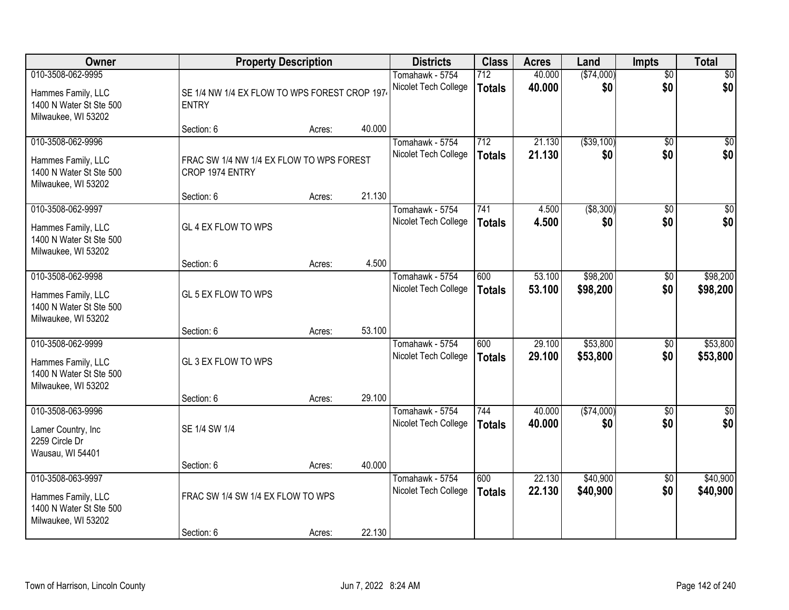| Owner                                                                                     | <b>Property Description</b>                                   |        |        | <b>Districts</b>                        | <b>Class</b>                      | <b>Acres</b>     | Land                 | <b>Impts</b>           | <b>Total</b>           |
|-------------------------------------------------------------------------------------------|---------------------------------------------------------------|--------|--------|-----------------------------------------|-----------------------------------|------------------|----------------------|------------------------|------------------------|
| 010-3508-062-9995<br>Hammes Family, LLC<br>1400 N Water St Ste 500<br>Milwaukee, WI 53202 | SE 1/4 NW 1/4 EX FLOW TO WPS FOREST CROP 1974<br><b>ENTRY</b> |        |        | Tomahawk - 5754<br>Nicolet Tech College | $\overline{712}$<br><b>Totals</b> | 40.000<br>40.000 | (\$74,000)<br>\$0    | $\overline{50}$<br>\$0 | $\overline{30}$<br>\$0 |
|                                                                                           | Section: 6                                                    | Acres: | 40.000 |                                         |                                   |                  |                      |                        |                        |
| 010-3508-062-9996<br>Hammes Family, LLC<br>1400 N Water St Ste 500<br>Milwaukee, WI 53202 | FRAC SW 1/4 NW 1/4 EX FLOW TO WPS FOREST<br>CROP 1974 ENTRY   |        | 21.130 | Tomahawk - 5754<br>Nicolet Tech College | 712<br><b>Totals</b>              | 21.130<br>21.130 | ( \$39, 100)<br>\$0  | $\overline{30}$<br>\$0 | $\overline{30}$<br>\$0 |
| 010-3508-062-9997                                                                         | Section: 6                                                    | Acres: |        | Tomahawk - 5754                         | 741                               | 4.500            | ( \$8,300)           | \$0                    | $\overline{30}$        |
| Hammes Family, LLC<br>1400 N Water St Ste 500<br>Milwaukee, WI 53202                      | GL 4 EX FLOW TO WPS                                           |        |        | Nicolet Tech College                    | <b>Totals</b>                     | 4.500            | \$0                  | \$0                    | \$0                    |
|                                                                                           | Section: 6                                                    | Acres: | 4.500  |                                         |                                   |                  |                      |                        |                        |
| 010-3508-062-9998<br>Hammes Family, LLC<br>1400 N Water St Ste 500<br>Milwaukee, WI 53202 | GL 5 EX FLOW TO WPS                                           |        |        | Tomahawk - 5754<br>Nicolet Tech College | 600<br><b>Totals</b>              | 53.100<br>53.100 | \$98,200<br>\$98,200 | \$0<br>\$0             | \$98,200<br>\$98,200   |
|                                                                                           | Section: 6                                                    | Acres: | 53.100 |                                         |                                   |                  |                      |                        |                        |
| 010-3508-062-9999<br>Hammes Family, LLC<br>1400 N Water St Ste 500<br>Milwaukee, WI 53202 | GL 3 EX FLOW TO WPS<br>Section: 6                             | Acres: | 29.100 | Tomahawk - 5754<br>Nicolet Tech College | 600<br><b>Totals</b>              | 29.100<br>29.100 | \$53,800<br>\$53,800 | \$0<br>\$0             | \$53,800<br>\$53,800   |
| 010-3508-063-9996                                                                         |                                                               |        |        | Tomahawk - 5754                         | 744                               | 40.000           | (\$74,000)           | \$0                    | $\overline{30}$        |
| Lamer Country, Inc<br>2259 Circle Dr<br>Wausau, WI 54401                                  | SE 1/4 SW 1/4                                                 |        |        | Nicolet Tech College                    | <b>Totals</b>                     | 40.000           | \$0                  | \$0                    | \$0                    |
|                                                                                           | Section: 6                                                    | Acres: | 40.000 |                                         |                                   |                  |                      |                        |                        |
| 010-3508-063-9997<br>Hammes Family, LLC<br>1400 N Water St Ste 500<br>Milwaukee, WI 53202 | FRAC SW 1/4 SW 1/4 EX FLOW TO WPS<br>Section: 6               | Acres: | 22.130 | Tomahawk - 5754<br>Nicolet Tech College | 600<br><b>Totals</b>              | 22.130<br>22.130 | \$40,900<br>\$40,900 | $\overline{50}$<br>\$0 | \$40,900<br>\$40,900   |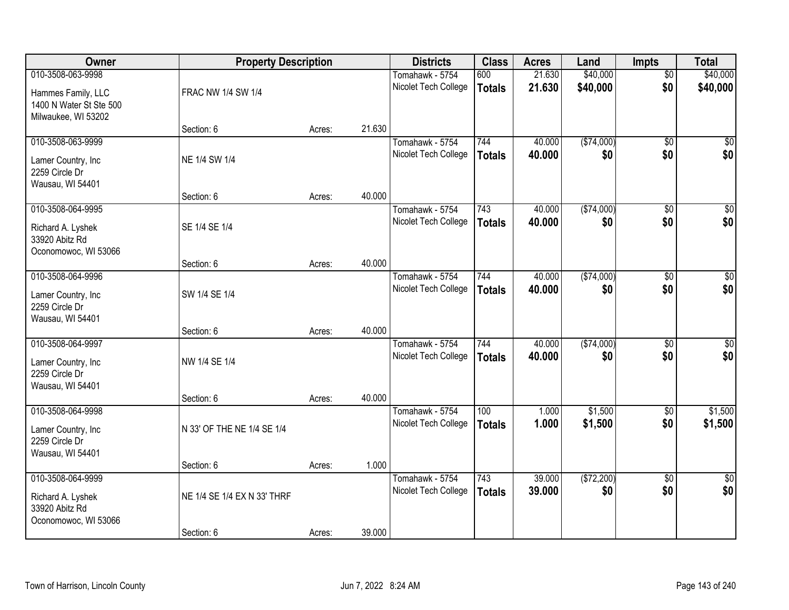| Owner                                                                                     | <b>Property Description</b> |        |        | <b>Districts</b>                        | <b>Class</b>         | <b>Acres</b>     | Land                 | <b>Impts</b>           | <b>Total</b>           |
|-------------------------------------------------------------------------------------------|-----------------------------|--------|--------|-----------------------------------------|----------------------|------------------|----------------------|------------------------|------------------------|
| 010-3508-063-9998<br>Hammes Family, LLC<br>1400 N Water St Ste 500<br>Milwaukee, WI 53202 | FRAC NW 1/4 SW 1/4          |        |        | Tomahawk - 5754<br>Nicolet Tech College | 600<br><b>Totals</b> | 21.630<br>21.630 | \$40,000<br>\$40,000 | $\overline{50}$<br>\$0 | \$40,000<br>\$40,000   |
|                                                                                           | Section: 6                  | Acres: | 21.630 |                                         |                      |                  |                      |                        |                        |
| 010-3508-063-9999<br>Lamer Country, Inc<br>2259 Circle Dr<br>Wausau, WI 54401             | NE 1/4 SW 1/4               |        |        | Tomahawk - 5754<br>Nicolet Tech College | 744<br><b>Totals</b> | 40.000<br>40.000 | (\$74,000)<br>\$0    | $\overline{50}$<br>\$0 | \$0<br>\$0             |
|                                                                                           | Section: 6                  | Acres: | 40.000 |                                         |                      |                  |                      |                        |                        |
| 010-3508-064-9995<br>Richard A. Lyshek<br>33920 Abitz Rd<br>Oconomowoc, WI 53066          | SE 1/4 SE 1/4               |        |        | Tomahawk - 5754<br>Nicolet Tech College | 743<br><b>Totals</b> | 40.000<br>40.000 | ( \$74,000)<br>\$0   | \$0<br>\$0             | $\overline{50}$<br>\$0 |
|                                                                                           | Section: 6                  | Acres: | 40.000 |                                         |                      |                  |                      |                        |                        |
| 010-3508-064-9996<br>Lamer Country, Inc<br>2259 Circle Dr<br>Wausau, WI 54401             | SW 1/4 SE 1/4               |        |        | Tomahawk - 5754<br>Nicolet Tech College | 744<br><b>Totals</b> | 40.000<br>40.000 | (\$74,000)<br>\$0    | \$0<br>\$0             | $\sqrt{50}$<br>\$0     |
|                                                                                           | Section: 6                  | Acres: | 40.000 |                                         |                      |                  |                      |                        |                        |
| 010-3508-064-9997<br>Lamer Country, Inc<br>2259 Circle Dr<br>Wausau, WI 54401             | NW 1/4 SE 1/4               |        | 40.000 | Tomahawk - 5754<br>Nicolet Tech College | 744<br><b>Totals</b> | 40.000<br>40.000 | (\$74,000)<br>\$0    | \$0<br>\$0             | $\sqrt{50}$<br>\$0     |
| 010-3508-064-9998                                                                         | Section: 6                  | Acres: |        | Tomahawk - 5754                         | 100                  | 1.000            | \$1,500              | \$0                    | \$1,500                |
| Lamer Country, Inc<br>2259 Circle Dr<br>Wausau, WI 54401                                  | N 33' OF THE NE 1/4 SE 1/4  |        |        | Nicolet Tech College                    | <b>Totals</b>        | 1.000            | \$1,500              | \$0                    | \$1,500                |
|                                                                                           | Section: 6                  | Acres: | 1.000  |                                         |                      |                  |                      |                        |                        |
| 010-3508-064-9999<br>Richard A. Lyshek<br>33920 Abitz Rd<br>Oconomowoc, WI 53066          | NE 1/4 SE 1/4 EX N 33' THRF |        |        | Tomahawk - 5754<br>Nicolet Tech College | 743<br><b>Totals</b> | 39.000<br>39.000 | (\$72,200)<br>\$0    | $\overline{50}$<br>\$0 | $\overline{30}$<br>\$0 |
|                                                                                           | Section: 6                  | Acres: | 39.000 |                                         |                      |                  |                      |                        |                        |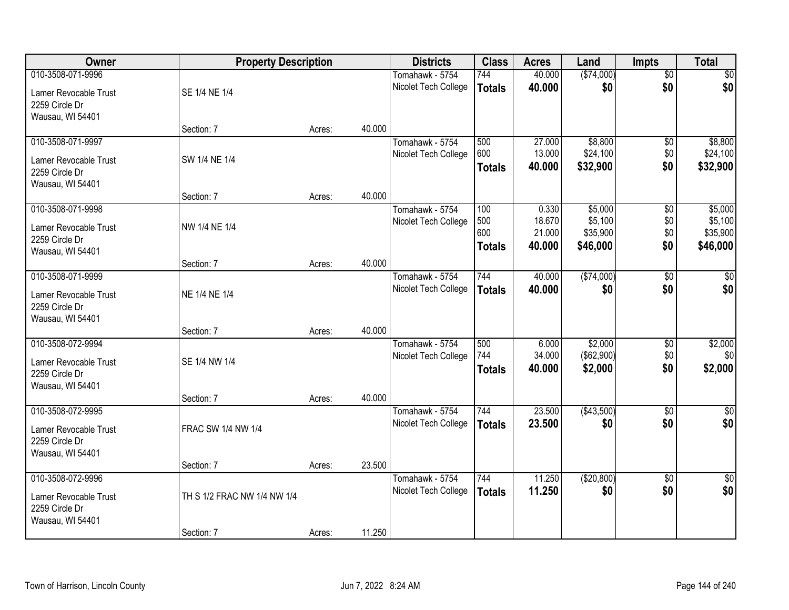| Owner                 | <b>Property Description</b> |        | <b>Districts</b>     | <b>Class</b>  | <b>Acres</b> | Land       | <b>Impts</b>    | <b>Total</b>    |
|-----------------------|-----------------------------|--------|----------------------|---------------|--------------|------------|-----------------|-----------------|
| 010-3508-071-9996     |                             |        | Tomahawk - 5754      | 744           | 40.000       | (\$74,000) | $\overline{50}$ | $\overline{30}$ |
| Lamer Revocable Trust | SE 1/4 NE 1/4               |        | Nicolet Tech College | <b>Totals</b> | 40.000       | \$0        | \$0             | \$0             |
| 2259 Circle Dr        |                             |        |                      |               |              |            |                 |                 |
| Wausau, WI 54401      |                             |        |                      |               |              |            |                 |                 |
|                       | Section: 7                  | Acres: | 40.000               |               |              |            |                 |                 |
| 010-3508-071-9997     |                             |        | Tomahawk - 5754      | 500           | 27.000       | \$8,800    | \$0             | \$8,800         |
| Lamer Revocable Trust | SW 1/4 NE 1/4               |        | Nicolet Tech College | 600           | 13.000       | \$24,100   | \$0             | \$24,100        |
| 2259 Circle Dr        |                             |        |                      | <b>Totals</b> | 40.000       | \$32,900   | \$0             | \$32,900        |
| Wausau, WI 54401      |                             |        |                      |               |              |            |                 |                 |
|                       | Section: 7                  | Acres: | 40.000               |               |              |            |                 |                 |
| 010-3508-071-9998     |                             |        | Tomahawk - 5754      | 100           | 0.330        | \$5,000    | \$0             | \$5,000         |
| Lamer Revocable Trust | NW 1/4 NE 1/4               |        | Nicolet Tech College | 500           | 18.670       | \$5,100    | \$0             | \$5,100         |
| 2259 Circle Dr        |                             |        |                      | 600           | 21.000       | \$35,900   | \$0             | \$35,900        |
| Wausau, WI 54401      |                             |        |                      | <b>Totals</b> | 40.000       | \$46,000   | \$0             | \$46,000        |
|                       | Section: 7                  | Acres: | 40.000               |               |              |            |                 |                 |
| 010-3508-071-9999     |                             |        | Tomahawk - 5754      | 744           | 40.000       | (\$74,000) | \$0             | \$0             |
| Lamer Revocable Trust | NE 1/4 NE 1/4               |        | Nicolet Tech College | <b>Totals</b> | 40.000       | \$0        | \$0             | \$0             |
| 2259 Circle Dr        |                             |        |                      |               |              |            |                 |                 |
| Wausau, WI 54401      |                             |        |                      |               |              |            |                 |                 |
|                       | Section: 7                  | Acres: | 40.000               |               |              |            |                 |                 |
| 010-3508-072-9994     |                             |        | Tomahawk - 5754      | 500           | 6.000        | \$2,000    | \$0             | \$2,000         |
| Lamer Revocable Trust | SE 1/4 NW 1/4               |        | Nicolet Tech College | 744           | 34.000       | (\$62,900) | \$0             | \$0             |
| 2259 Circle Dr        |                             |        |                      | <b>Totals</b> | 40.000       | \$2,000    | \$0             | \$2,000         |
| Wausau, WI 54401      |                             |        |                      |               |              |            |                 |                 |
|                       | Section: 7                  | Acres: | 40.000               |               |              |            |                 |                 |
| 010-3508-072-9995     |                             |        | Tomahawk - 5754      | 744           | 23.500       | (\$43,500) | $\overline{50}$ | $\sqrt{50}$     |
| Lamer Revocable Trust | FRAC SW 1/4 NW 1/4          |        | Nicolet Tech College | <b>Totals</b> | 23.500       | \$0        | \$0             | \$0             |
| 2259 Circle Dr        |                             |        |                      |               |              |            |                 |                 |
| Wausau, WI 54401      |                             |        |                      |               |              |            |                 |                 |
|                       | Section: 7                  | Acres: | 23.500               |               |              |            |                 |                 |
| 010-3508-072-9996     |                             |        | Tomahawk - 5754      | 744           | 11.250       | (\$20,800) | $\overline{30}$ | $\sqrt{30}$     |
| Lamer Revocable Trust | TH S 1/2 FRAC NW 1/4 NW 1/4 |        | Nicolet Tech College | <b>Totals</b> | 11.250       | \$0        | \$0             | \$0             |
| 2259 Circle Dr        |                             |        |                      |               |              |            |                 |                 |
| Wausau, WI 54401      |                             |        |                      |               |              |            |                 |                 |
|                       | Section: 7                  | Acres: | 11.250               |               |              |            |                 |                 |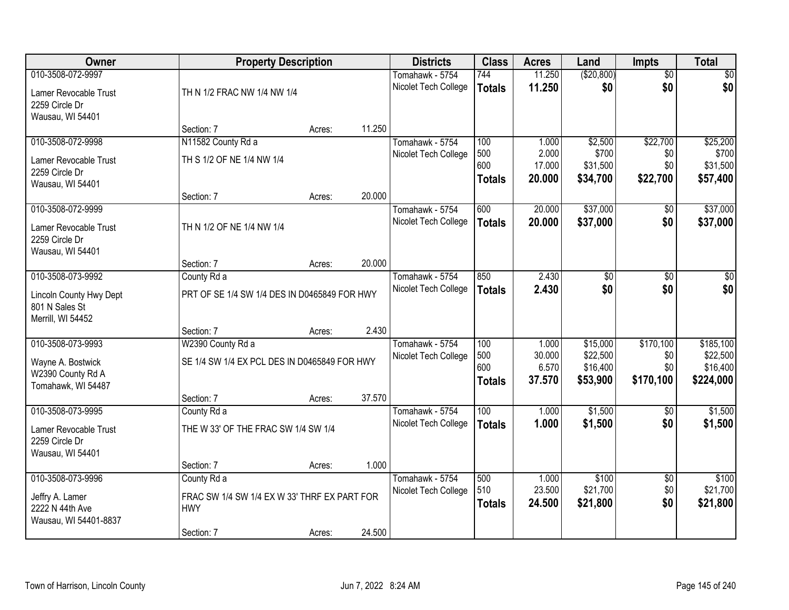| Owner                                                          | <b>Property Description</b>                  |        |        | <b>Districts</b>     | <b>Class</b>  | <b>Acres</b>    | Land              | <b>Impts</b>           | <b>Total</b>      |
|----------------------------------------------------------------|----------------------------------------------|--------|--------|----------------------|---------------|-----------------|-------------------|------------------------|-------------------|
| 010-3508-072-9997                                              |                                              |        |        | Tomahawk - 5754      | 744           | 11.250          | ( \$20, 800)      | $\overline{50}$        | \$0               |
| Lamer Revocable Trust<br>2259 Circle Dr                        | TH N 1/2 FRAC NW 1/4 NW 1/4                  |        |        | Nicolet Tech College | <b>Totals</b> | 11.250          | \$0               | \$0                    | \$0               |
| Wausau, WI 54401                                               |                                              |        |        |                      |               |                 |                   |                        |                   |
|                                                                | Section: 7                                   | Acres: | 11.250 |                      |               |                 |                   |                        |                   |
| 010-3508-072-9998                                              | N11582 County Rd a                           |        |        | Tomahawk - 5754      | 100           | 1.000           | \$2,500           | \$22,700               | \$25,200          |
| Lamer Revocable Trust                                          | TH S 1/2 OF NE 1/4 NW 1/4                    |        |        | Nicolet Tech College | 500<br>600    | 2.000<br>17.000 | \$700<br>\$31,500 | \$0<br>\$0             | \$700<br>\$31,500 |
| 2259 Circle Dr                                                 |                                              |        |        |                      | <b>Totals</b> | 20.000          | \$34,700          | \$22,700               | \$57,400          |
| Wausau, WI 54401                                               |                                              |        |        |                      |               |                 |                   |                        |                   |
|                                                                | Section: 7                                   | Acres: | 20.000 |                      |               |                 |                   |                        |                   |
| 010-3508-072-9999                                              |                                              |        |        | Tomahawk - 5754      | 600           | 20.000          | \$37,000          | \$0                    | \$37,000          |
| Lamer Revocable Trust<br>2259 Circle Dr<br>Wausau, WI 54401    | TH N 1/2 OF NE 1/4 NW 1/4                    |        |        | Nicolet Tech College | <b>Totals</b> | 20.000          | \$37,000          | \$0                    | \$37,000          |
|                                                                | Section: 7                                   | Acres: | 20.000 |                      |               |                 |                   |                        |                   |
| 010-3508-073-9992                                              | County Rd a                                  |        |        | Tomahawk - 5754      | 850           | 2.430           | \$0               | $\overline{30}$        | \$0               |
|                                                                |                                              |        |        | Nicolet Tech College | <b>Totals</b> | 2.430           | \$0               | \$0                    | \$0               |
| Lincoln County Hwy Dept<br>801 N Sales St<br>Merrill, WI 54452 | PRT OF SE 1/4 SW 1/4 DES IN D0465849 FOR HWY |        |        |                      |               |                 |                   |                        |                   |
|                                                                | Section: 7                                   | Acres: | 2.430  |                      |               |                 |                   |                        |                   |
| 010-3508-073-9993                                              | W2390 County Rd a                            |        |        | Tomahawk - 5754      | 100           | 1.000           | \$15,000          | \$170,100              | \$185,100         |
| Wayne A. Bostwick                                              | SE 1/4 SW 1/4 EX PCL DES IN D0465849 FOR HWY |        |        | Nicolet Tech College | 500           | 30.000          | \$22,500          | \$0                    | \$22,500          |
| W2390 County Rd A                                              |                                              |        |        |                      | 600           | 6.570           | \$16,400          | \$0                    | \$16,400          |
| Tomahawk, WI 54487                                             |                                              |        |        |                      | <b>Totals</b> | 37.570          | \$53,900          | \$170,100              | \$224,000         |
|                                                                | Section: 7                                   | Acres: | 37.570 |                      |               |                 |                   |                        |                   |
| 010-3508-073-9995                                              | County Rd a                                  |        |        | Tomahawk - 5754      | 100           | 1.000           | \$1,500           | $\overline{50}$        | \$1,500           |
| Lamer Revocable Trust<br>2259 Circle Dr                        | THE W 33' OF THE FRAC SW 1/4 SW 1/4          |        |        | Nicolet Tech College | <b>Totals</b> | 1.000           | \$1,500           | \$0                    | \$1,500           |
| Wausau, WI 54401                                               |                                              |        |        |                      |               |                 |                   |                        |                   |
|                                                                | Section: 7                                   | Acres: | 1.000  |                      |               |                 |                   |                        |                   |
| 010-3508-073-9996                                              | County Rd a                                  |        |        | Tomahawk - 5754      | 500<br>510    | 1.000<br>23.500 | \$100<br>\$21,700 | $\overline{50}$<br>\$0 | \$100<br>\$21,700 |
| Jeffry A. Lamer                                                | FRAC SW 1/4 SW 1/4 EX W 33' THRF EX PART FOR |        |        | Nicolet Tech College | <b>Totals</b> | 24.500          | \$21,800          | \$0                    | \$21,800          |
| 2222 N 44th Ave                                                | <b>HWY</b>                                   |        |        |                      |               |                 |                   |                        |                   |
| Wausau, WI 54401-8837                                          |                                              |        |        |                      |               |                 |                   |                        |                   |
|                                                                | Section: 7                                   | Acres: | 24.500 |                      |               |                 |                   |                        |                   |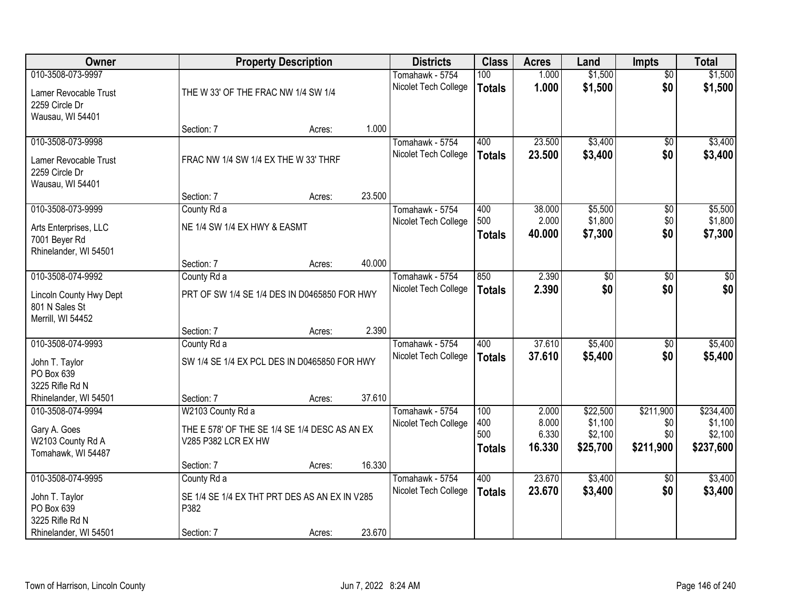| Owner                                                          |                                                                      | <b>Property Description</b> |        | <b>Districts</b>                        | <b>Class</b>         | <b>Acres</b>    | Land               | <b>Impts</b>           | <b>Total</b>       |
|----------------------------------------------------------------|----------------------------------------------------------------------|-----------------------------|--------|-----------------------------------------|----------------------|-----------------|--------------------|------------------------|--------------------|
| 010-3508-073-9997<br>Lamer Revocable Trust                     | THE W 33' OF THE FRAC NW 1/4 SW 1/4                                  |                             |        | Tomahawk - 5754<br>Nicolet Tech College | 100<br><b>Totals</b> | 1.000<br>1.000  | \$1,500<br>\$1,500 | $\overline{50}$<br>\$0 | \$1,500<br>\$1,500 |
| 2259 Circle Dr<br>Wausau, WI 54401                             |                                                                      |                             |        |                                         |                      |                 |                    |                        |                    |
|                                                                | Section: 7                                                           | Acres:                      | 1.000  |                                         |                      |                 |                    |                        |                    |
| 010-3508-073-9998                                              |                                                                      |                             |        | Tomahawk - 5754                         | 400                  | 23.500          | \$3,400            | \$0                    | \$3,400            |
| Lamer Revocable Trust<br>2259 Circle Dr                        | FRAC NW 1/4 SW 1/4 EX THE W 33' THRF                                 |                             |        | Nicolet Tech College                    | <b>Totals</b>        | 23.500          | \$3,400            | \$0                    | \$3,400            |
| Wausau, WI 54401                                               | Section: 7                                                           | Acres:                      | 23.500 |                                         |                      |                 |                    |                        |                    |
| 010-3508-073-9999                                              | County Rd a                                                          |                             |        | Tomahawk - 5754                         | 400                  | 38.000          | \$5,500            | \$0                    | \$5,500            |
| Arts Enterprises, LLC                                          | NE 1/4 SW 1/4 EX HWY & EASMT                                         |                             |        | Nicolet Tech College                    | 500<br><b>Totals</b> | 2.000<br>40.000 | \$1,800<br>\$7,300 | \$0<br>\$0             | \$1,800<br>\$7,300 |
| 7001 Beyer Rd<br>Rhinelander, WI 54501                         |                                                                      |                             |        |                                         |                      |                 |                    |                        |                    |
|                                                                | Section: 7                                                           | Acres:                      | 40.000 |                                         |                      |                 |                    |                        |                    |
| 010-3508-074-9992                                              | County Rd a                                                          |                             |        | Tomahawk - 5754                         | 850                  | 2.390           | $\overline{60}$    | \$0                    | \$0                |
| Lincoln County Hwy Dept<br>801 N Sales St<br>Merrill, WI 54452 | PRT OF SW 1/4 SE 1/4 DES IN D0465850 FOR HWY                         |                             |        | Nicolet Tech College                    | <b>Totals</b>        | 2.390           | \$0                | \$0                    | \$0                |
|                                                                | Section: 7                                                           | Acres:                      | 2.390  |                                         |                      |                 |                    |                        |                    |
| 010-3508-074-9993                                              | County Rd a                                                          |                             |        | Tomahawk - 5754                         | 400                  | 37.610          | \$5,400            | $\overline{30}$        | \$5,400            |
| John T. Taylor                                                 | SW 1/4 SE 1/4 EX PCL DES IN D0465850 FOR HWY                         |                             |        | Nicolet Tech College                    | <b>Totals</b>        | 37.610          | \$5,400            | \$0                    | \$5,400            |
| PO Box 639                                                     |                                                                      |                             |        |                                         |                      |                 |                    |                        |                    |
| 3225 Rifle Rd N                                                |                                                                      |                             |        |                                         |                      |                 |                    |                        |                    |
| Rhinelander, WI 54501<br>010-3508-074-9994                     | Section: 7<br>W2103 County Rd a                                      | Acres:                      | 37.610 | Tomahawk - 5754                         | 100                  | 2.000           | \$22,500           | \$211,900              | \$234,400          |
|                                                                |                                                                      |                             |        | Nicolet Tech College                    | 400                  | 8.000           | \$1,100            | \$0                    | \$1,100            |
| Gary A. Goes<br>W2103 County Rd A                              | THE E 578' OF THE SE 1/4 SE 1/4 DESC AS AN EX<br>V285 P382 LCR EX HW |                             |        |                                         | 500                  | 6.330           | \$2,100            | \$0                    | \$2,100            |
| Tomahawk, WI 54487                                             |                                                                      |                             |        |                                         | <b>Totals</b>        | 16.330          | \$25,700           | \$211,900              | \$237,600          |
|                                                                | Section: 7                                                           | Acres:                      | 16.330 |                                         |                      |                 |                    |                        |                    |
| 010-3508-074-9995                                              | County Rd a                                                          |                             |        | Tomahawk - 5754                         | 400                  | 23.670          | \$3,400            | $\overline{50}$        | \$3,400            |
| John T. Taylor                                                 | SE 1/4 SE 1/4 EX THT PRT DES AS AN EX IN V285                        |                             |        | Nicolet Tech College                    | <b>Totals</b>        | 23.670          | \$3,400            | \$0                    | \$3,400            |
| PO Box 639                                                     | P382                                                                 |                             |        |                                         |                      |                 |                    |                        |                    |
| 3225 Rifle Rd N<br>Rhinelander, WI 54501                       | Section: 7                                                           | Acres:                      | 23.670 |                                         |                      |                 |                    |                        |                    |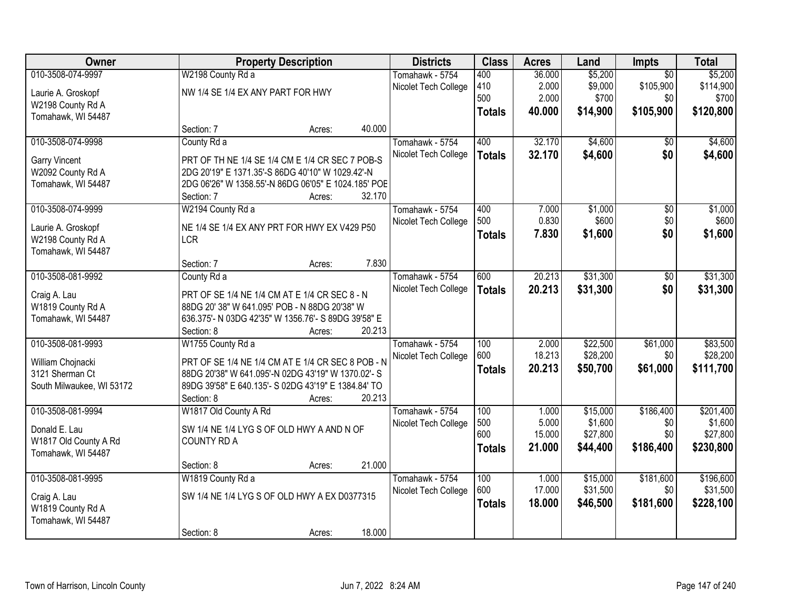| Owner                     |                                                     | <b>Property Description</b> |        | <b>Districts</b>     | <b>Class</b>  | <b>Acres</b>   | Land                | Impts            | <b>Total</b>         |
|---------------------------|-----------------------------------------------------|-----------------------------|--------|----------------------|---------------|----------------|---------------------|------------------|----------------------|
| 010-3508-074-9997         | W2198 County Rd a                                   |                             |        | Tomahawk - 5754      | 400           | 36.000         | \$5,200             | $\overline{50}$  | \$5,200              |
| Laurie A. Groskopf        | NW 1/4 SE 1/4 EX ANY PART FOR HWY                   |                             |        | Nicolet Tech College | 410           | 2.000          | \$9,000             | \$105,900        | \$114,900            |
| W2198 County Rd A         |                                                     |                             |        |                      | 500           | 2.000          | \$700               | \$0              | \$700                |
| Tomahawk, WI 54487        |                                                     |                             |        |                      | <b>Totals</b> | 40.000         | \$14,900            | \$105,900        | \$120,800            |
|                           | Section: 7                                          | Acres:                      | 40.000 |                      |               |                |                     |                  |                      |
| 010-3508-074-9998         | County Rd a                                         |                             |        | Tomahawk - 5754      | 400           | 32.170         | \$4,600             | \$0              | \$4,600              |
| Garry Vincent             | PRT OF TH NE 1/4 SE 1/4 CM E 1/4 CR SEC 7 POB-S     |                             |        | Nicolet Tech College | <b>Totals</b> | 32.170         | \$4,600             | \$0              | \$4,600              |
| W2092 County Rd A         | 2DG 20'19" E 1371.35'-S 86DG 40'10" W 1029.42'-N    |                             |        |                      |               |                |                     |                  |                      |
| Tomahawk, WI 54487        | 2DG 06'26" W 1358.55'-N 86DG 06'05" E 1024.185' POE |                             |        |                      |               |                |                     |                  |                      |
|                           | Section: 7                                          | Acres:                      | 32.170 |                      |               |                |                     |                  |                      |
| 010-3508-074-9999         | W2194 County Rd a                                   |                             |        | Tomahawk - 5754      | 400           | 7.000          | \$1,000             | $\overline{50}$  | \$1,000              |
| Laurie A. Groskopf        | NE 1/4 SE 1/4 EX ANY PRT FOR HWY EX V429 P50        |                             |        | Nicolet Tech College | 500           | 0.830          | \$600               | \$0              | \$600                |
| W2198 County Rd A         | <b>LCR</b>                                          |                             |        |                      | <b>Totals</b> | 7.830          | \$1,600             | \$0              | \$1,600              |
| Tomahawk, WI 54487        |                                                     |                             |        |                      |               |                |                     |                  |                      |
|                           | Section: 7                                          | Acres:                      | 7.830  |                      |               |                |                     |                  |                      |
| 010-3508-081-9992         | County Rd a                                         |                             |        | Tomahawk - 5754      | 600           | 20.213         | \$31,300            | $\overline{50}$  | \$31,300             |
| Craig A. Lau              | PRT OF SE 1/4 NE 1/4 CM AT E 1/4 CR SEC 8 - N       |                             |        | Nicolet Tech College | <b>Totals</b> | 20.213         | \$31,300            | \$0              | \$31,300             |
| W1819 County Rd A         | 88DG 20' 38" W 641.095' POB - N 88DG 20'38" W       |                             |        |                      |               |                |                     |                  |                      |
| Tomahawk, WI 54487        | 636.375'- N 03DG 42'35" W 1356.76'- S 89DG 39'58" E |                             |        |                      |               |                |                     |                  |                      |
|                           | Section: 8                                          | Acres:                      | 20.213 |                      |               |                |                     |                  |                      |
| 010-3508-081-9993         | W1755 County Rd a                                   |                             |        | Tomahawk - 5754      | 100           | 2.000          | \$22,500            | \$61,000         | \$83,500             |
|                           |                                                     |                             |        | Nicolet Tech College | 600           | 18.213         | \$28,200            | \$0              | \$28,200             |
| William Chojnacki         | PRT OF SE 1/4 NE 1/4 CM AT E 1/4 CR SEC 8 POB - N   |                             |        |                      | <b>Totals</b> | 20.213         | \$50,700            | \$61,000         | \$111,700            |
| 3121 Sherman Ct           | 88DG 20'38" W 641.095'-N 02DG 43'19" W 1370.02'- S  |                             |        |                      |               |                |                     |                  |                      |
| South Milwaukee, WI 53172 | 89DG 39'58" E 640.135'- S 02DG 43'19" E 1384.84' TO |                             |        |                      |               |                |                     |                  |                      |
|                           | Section: 8                                          | Acres:                      | 20.213 |                      |               |                |                     |                  |                      |
| 010-3508-081-9994         | W1817 Old County A Rd                               |                             |        | Tomahawk - 5754      | 100<br>500    | 1.000<br>5.000 | \$15,000<br>\$1,600 | \$186,400<br>\$0 | \$201,400<br>\$1,600 |
| Donald E. Lau             | SW 1/4 NE 1/4 LYG S OF OLD HWY A AND N OF           |                             |        | Nicolet Tech College | 600           | 15.000         | \$27,800            | \$0              | \$27,800             |
| W1817 Old County A Rd     | <b>COUNTY RD A</b>                                  |                             |        |                      |               | 21.000         | \$44,400            | \$186,400        | \$230,800            |
| Tomahawk, WI 54487        |                                                     |                             |        |                      | <b>Totals</b> |                |                     |                  |                      |
|                           | Section: 8                                          | Acres:                      | 21.000 |                      |               |                |                     |                  |                      |
| 010-3508-081-9995         | W1819 County Rd a                                   |                             |        | Tomahawk - 5754      | 100           | 1.000          | \$15,000            | \$181,600        | \$196,600            |
| Craig A. Lau              | SW 1/4 NE 1/4 LYG S OF OLD HWY A EX D0377315        |                             |        | Nicolet Tech College | 600           | 17.000         | \$31,500            | \$0              | \$31,500             |
| W1819 County Rd A         |                                                     |                             |        |                      | <b>Totals</b> | 18.000         | \$46,500            | \$181,600        | \$228,100            |
| Tomahawk, WI 54487        |                                                     |                             |        |                      |               |                |                     |                  |                      |
|                           | Section: 8                                          | Acres:                      | 18.000 |                      |               |                |                     |                  |                      |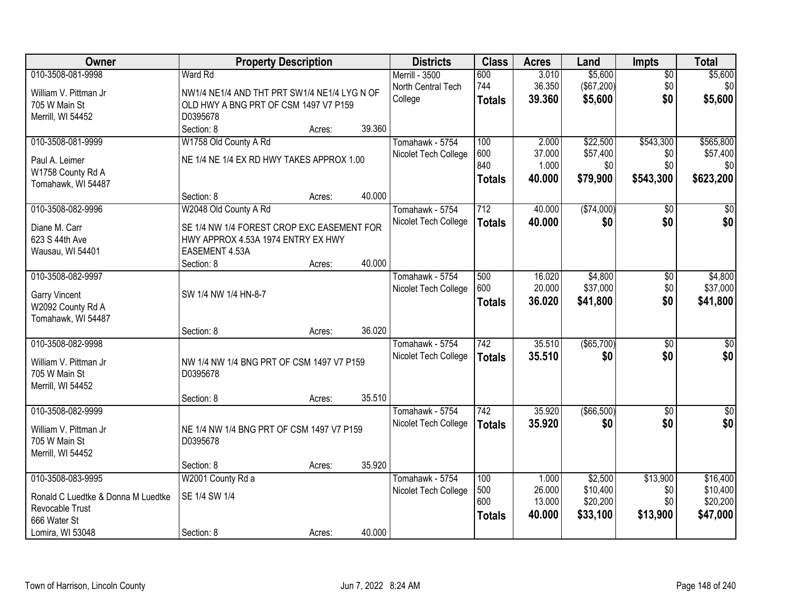| Owner                                     | <b>Property Description</b>                  |        |        | <b>Districts</b>     | <b>Class</b>     | <b>Acres</b> | Land          | <b>Impts</b>    | <b>Total</b> |
|-------------------------------------------|----------------------------------------------|--------|--------|----------------------|------------------|--------------|---------------|-----------------|--------------|
| 010-3508-081-9998                         | Ward Rd                                      |        |        | Merrill - 3500       | 600              | 3.010        | \$5,600       | $\sqrt{$0}$     | \$5,600      |
| William V. Pittman Jr                     | NW1/4 NE1/4 AND THT PRT SW1/4 NE1/4 LYG N OF |        |        | North Central Tech   | 744              | 36.350       | (\$67,200)    | \$0             | \$0          |
| 705 W Main St                             | OLD HWY A BNG PRT OF CSM 1497 V7 P159        |        |        | College              | <b>Totals</b>    | 39.360       | \$5,600       | \$0             | \$5,600      |
| Merrill, WI 54452                         | D0395678                                     |        |        |                      |                  |              |               |                 |              |
|                                           | Section: 8                                   | Acres: | 39.360 |                      |                  |              |               |                 |              |
| 010-3508-081-9999                         | W1758 Old County A Rd                        |        |        | Tomahawk - 5754      | 100              | 2.000        | \$22,500      | \$543,300       | \$565,800    |
| Paul A. Leimer                            | NE 1/4 NE 1/4 EX RD HWY TAKES APPROX 1.00    |        |        | Nicolet Tech College | 600              | 37.000       | \$57,400      | \$0             | \$57,400     |
| W1758 County Rd A                         |                                              |        |        |                      | 840              | 1.000        | \$0           | \$0             | \$0          |
| Tomahawk, WI 54487                        |                                              |        |        |                      | <b>Totals</b>    | 40.000       | \$79,900      | \$543,300       | \$623,200    |
|                                           | Section: 8                                   | Acres: | 40.000 |                      |                  |              |               |                 |              |
| 010-3508-082-9996                         | W2048 Old County A Rd                        |        |        | Tomahawk - 5754      | 712              | 40.000       | ( \$74,000)   | \$0             | $\sqrt{50}$  |
| Diane M. Carr                             | SE 1/4 NW 1/4 FOREST CROP EXC EASEMENT FOR   |        |        | Nicolet Tech College | <b>Totals</b>    | 40.000       | \$0           | \$0             | \$0          |
| 623 S 44th Ave                            | HWY APPROX 4.53A 1974 ENTRY EX HWY           |        |        |                      |                  |              |               |                 |              |
| Wausau, WI 54401                          | EASEMENT 4.53A                               |        |        |                      |                  |              |               |                 |              |
|                                           | Section: 8                                   | Acres: | 40.000 |                      |                  |              |               |                 |              |
| 010-3508-082-9997                         |                                              |        |        | Tomahawk - 5754      | 500              | 16.020       | \$4,800       | \$0             | \$4,800      |
|                                           | SW 1/4 NW 1/4 HN-8-7                         |        |        | Nicolet Tech College | 600              | 20.000       | \$37,000      | \$0             | \$37,000     |
| <b>Garry Vincent</b><br>W2092 County Rd A |                                              |        |        |                      | <b>Totals</b>    | 36.020       | \$41,800      | \$0             | \$41,800     |
| Tomahawk, WI 54487                        |                                              |        |        |                      |                  |              |               |                 |              |
|                                           | Section: 8                                   | Acres: | 36.020 |                      |                  |              |               |                 |              |
| 010-3508-082-9998                         |                                              |        |        | Tomahawk - 5754      | $\overline{742}$ | 35.510       | $($ \$65,700) | $\overline{50}$ | $\sqrt{50}$  |
| William V. Pittman Jr                     | NW 1/4 NW 1/4 BNG PRT OF CSM 1497 V7 P159    |        |        | Nicolet Tech College | <b>Totals</b>    | 35.510       | \$0           | \$0             | \$0          |
| 705 W Main St                             | D0395678                                     |        |        |                      |                  |              |               |                 |              |
| Merrill, WI 54452                         |                                              |        |        |                      |                  |              |               |                 |              |
|                                           | Section: 8                                   | Acres: | 35.510 |                      |                  |              |               |                 |              |
| 010-3508-082-9999                         |                                              |        |        | Tomahawk - 5754      | $\overline{742}$ | 35.920       | ( \$66,500)   | $\overline{30}$ | $\sqrt{$0]}$ |
| William V. Pittman Jr                     | NE 1/4 NW 1/4 BNG PRT OF CSM 1497 V7 P159    |        |        | Nicolet Tech College | <b>Totals</b>    | 35.920       | \$0           | \$0             | \$0          |
| 705 W Main St                             | D0395678                                     |        |        |                      |                  |              |               |                 |              |
| Merrill, WI 54452                         |                                              |        |        |                      |                  |              |               |                 |              |
|                                           | Section: 8                                   | Acres: | 35.920 |                      |                  |              |               |                 |              |
| 010-3508-083-9995                         | W2001 County Rd a                            |        |        | Tomahawk - 5754      | 100              | 1.000        | \$2,500       | \$13,900        | \$16,400     |
| Ronald C Luedtke & Donna M Luedtke        | SE 1/4 SW 1/4                                |        |        | Nicolet Tech College | 500              | 26.000       | \$10,400      | \$0             | \$10,400     |
| Revocable Trust                           |                                              |        |        |                      | 600              | 13.000       | \$20,200      | \$0             | \$20,200     |
| 666 Water St                              |                                              |        |        |                      | <b>Totals</b>    | 40.000       | \$33,100      | \$13,900        | \$47,000     |
| Lomira, WI 53048                          | Section: 8                                   | Acres: | 40.000 |                      |                  |              |               |                 |              |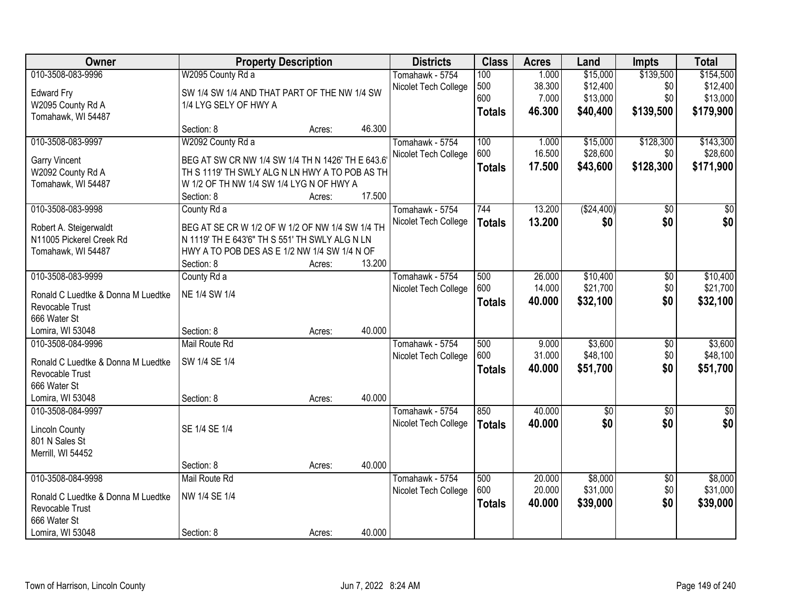| Owner                                                 | <b>Property Description</b>                      |        |        | <b>Districts</b>                        | <b>Class</b>  | <b>Acres</b>     | Land               | <b>Impts</b>           | <b>Total</b>         |
|-------------------------------------------------------|--------------------------------------------------|--------|--------|-----------------------------------------|---------------|------------------|--------------------|------------------------|----------------------|
| 010-3508-083-9996                                     | W2095 County Rd a                                |        |        | Tomahawk - 5754                         | 100           | 1.000            | \$15,000           | \$139,500              | \$154,500            |
| <b>Edward Fry</b>                                     | SW 1/4 SW 1/4 AND THAT PART OF THE NW 1/4 SW     |        |        | Nicolet Tech College                    | 500           | 38.300           | \$12,400           | \$0                    | \$12,400             |
| W2095 County Rd A                                     | 1/4 LYG SELY OF HWY A                            |        |        |                                         | 600           | 7.000            | \$13,000           | \$0                    | \$13,000             |
| Tomahawk, WI 54487                                    |                                                  |        |        |                                         | <b>Totals</b> | 46.300           | \$40,400           | \$139,500              | \$179,900            |
|                                                       | Section: 8                                       | Acres: | 46.300 |                                         |               |                  |                    |                        |                      |
| 010-3508-083-9997                                     | W2092 County Rd a                                |        |        | Tomahawk - 5754                         | 100           | 1.000            | \$15,000           | \$128,300              | \$143,300            |
| Garry Vincent                                         | BEG AT SW CR NW 1/4 SW 1/4 TH N 1426' TH E 643.6 |        |        | Nicolet Tech College                    | 600           | 16.500           | \$28,600           | \$0                    | \$28,600             |
| W2092 County Rd A                                     | TH S 1119' TH SWLY ALG N LN HWY A TO POB AS TH   |        |        |                                         | <b>Totals</b> | 17.500           | \$43,600           | \$128,300              | \$171,900            |
| Tomahawk, WI 54487                                    | W 1/2 OF TH NW 1/4 SW 1/4 LYG N OF HWY A         |        |        |                                         |               |                  |                    |                        |                      |
|                                                       | Section: 8                                       | Acres: | 17.500 |                                         |               |                  |                    |                        |                      |
| 010-3508-083-9998                                     | County Rd a                                      |        |        | Tomahawk - 5754                         | 744           | 13.200           | ( \$24,400)        | $\overline{50}$        | $\overline{50}$      |
| Robert A. Steigerwaldt                                | BEG AT SE CR W 1/2 OF W 1/2 OF NW 1/4 SW 1/4 TH  |        |        | Nicolet Tech College                    | <b>Totals</b> | 13.200           | \$0                | \$0                    | \$0                  |
| N11005 Pickerel Creek Rd                              | N 1119' TH E 643'6" TH S 551' TH SWLY ALG N LN   |        |        |                                         |               |                  |                    |                        |                      |
| Tomahawk, WI 54487                                    | HWY A TO POB DES AS E 1/2 NW 1/4 SW 1/4 N OF     |        |        |                                         |               |                  |                    |                        |                      |
|                                                       | Section: 8                                       | Acres: | 13.200 |                                         |               |                  |                    |                        |                      |
| 010-3508-083-9999                                     | County Rd a                                      |        |        | Tomahawk - 5754                         | 500           | 26.000           | \$10,400           | \$0                    | \$10,400             |
|                                                       | NE 1/4 SW 1/4                                    |        |        | Nicolet Tech College                    | 600           | 14.000           | \$21,700           | \$0                    | \$21,700             |
| Ronald C Luedtke & Donna M Luedtke<br>Revocable Trust |                                                  |        |        |                                         | <b>Totals</b> | 40.000           | \$32,100           | \$0                    | \$32,100             |
| 666 Water St                                          |                                                  |        |        |                                         |               |                  |                    |                        |                      |
| Lomira, WI 53048                                      | Section: 8                                       | Acres: | 40.000 |                                         |               |                  |                    |                        |                      |
| 010-3508-084-9996                                     | Mail Route Rd                                    |        |        | Tomahawk - 5754                         | 500           | 9.000            | \$3,600            | $\overline{50}$        | \$3,600              |
|                                                       |                                                  |        |        | Nicolet Tech College                    | 600           | 31.000           | \$48,100           | \$0                    | \$48,100             |
| Ronald C Luedtke & Donna M Luedtke                    | SW 1/4 SE 1/4                                    |        |        |                                         | <b>Totals</b> | 40.000           | \$51,700           | \$0                    | \$51,700             |
| Revocable Trust                                       |                                                  |        |        |                                         |               |                  |                    |                        |                      |
| 666 Water St                                          |                                                  |        |        |                                         |               |                  |                    |                        |                      |
| Lomira, WI 53048                                      | Section: 8                                       | Acres: | 40.000 |                                         |               |                  |                    |                        |                      |
| 010-3508-084-9997                                     |                                                  |        |        | Tomahawk - 5754<br>Nicolet Tech College | 850           | 40.000<br>40.000 | $\sqrt{$0}$<br>\$0 | $\overline{60}$<br>\$0 | $\frac{1}{6}$<br>\$0 |
| <b>Lincoln County</b>                                 | SE 1/4 SE 1/4                                    |        |        |                                         | <b>Totals</b> |                  |                    |                        |                      |
| 801 N Sales St                                        |                                                  |        |        |                                         |               |                  |                    |                        |                      |
| Merrill, WI 54452                                     |                                                  |        |        |                                         |               |                  |                    |                        |                      |
|                                                       | Section: 8                                       | Acres: | 40.000 |                                         |               |                  |                    |                        |                      |
| 010-3508-084-9998                                     | Mail Route Rd                                    |        |        | Tomahawk - 5754                         | 500           | 20.000           | \$8,000            | $\overline{50}$        | \$8,000              |
| Ronald C Luedtke & Donna M Luedtke                    | NW 1/4 SE 1/4                                    |        |        | Nicolet Tech College                    | 600           | 20.000           | \$31,000           | \$0                    | \$31,000             |
| Revocable Trust                                       |                                                  |        |        |                                         | <b>Totals</b> | 40.000           | \$39,000           | \$0                    | \$39,000             |
| 666 Water St                                          |                                                  |        |        |                                         |               |                  |                    |                        |                      |
| Lomira, WI 53048                                      | Section: 8                                       | Acres: | 40.000 |                                         |               |                  |                    |                        |                      |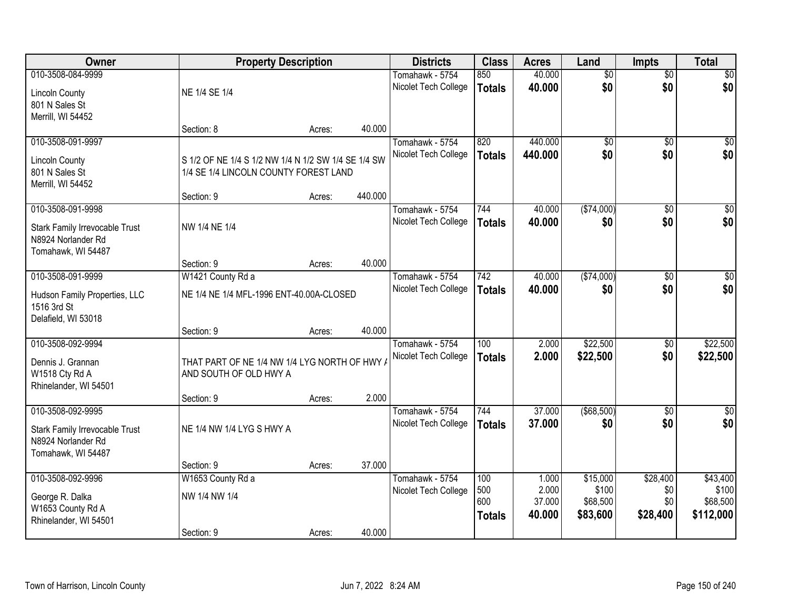| Owner                                                                                                  | <b>Property Description</b>                                                                  |        |         | <b>Districts</b>                        | <b>Class</b>                       | <b>Acres</b>                       | Land                                      | <b>Impts</b>                       | <b>Total</b>                               |
|--------------------------------------------------------------------------------------------------------|----------------------------------------------------------------------------------------------|--------|---------|-----------------------------------------|------------------------------------|------------------------------------|-------------------------------------------|------------------------------------|--------------------------------------------|
| 010-3508-084-9999<br><b>Lincoln County</b><br>801 N Sales St                                           | NE 1/4 SE 1/4                                                                                |        |         | Tomahawk - 5754<br>Nicolet Tech College | 850<br><b>Totals</b>               | 40.000<br>40.000                   | $\overline{50}$<br>\$0                    | $\overline{50}$<br>\$0             | $\sqrt{50}$<br>\$0                         |
| Merrill, WI 54452                                                                                      | Section: 8                                                                                   | Acres: | 40.000  |                                         |                                    |                                    |                                           |                                    |                                            |
| 010-3508-091-9997<br><b>Lincoln County</b><br>801 N Sales St<br>Merrill, WI 54452                      | S 1/2 OF NE 1/4 S 1/2 NW 1/4 N 1/2 SW 1/4 SE 1/4 SW<br>1/4 SE 1/4 LINCOLN COUNTY FOREST LAND |        |         | Tomahawk - 5754<br>Nicolet Tech College | 820<br><b>Totals</b>               | 440.000<br>440.000                 | $\overline{50}$<br>\$0                    | $\overline{30}$<br>\$0             | $\sqrt{50}$<br>\$0                         |
|                                                                                                        | Section: 9                                                                                   | Acres: | 440.000 |                                         |                                    |                                    |                                           |                                    |                                            |
| 010-3508-091-9998<br><b>Stark Family Irrevocable Trust</b><br>N8924 Norlander Rd<br>Tomahawk, WI 54487 | NW 1/4 NE 1/4                                                                                |        |         | Tomahawk - 5754<br>Nicolet Tech College | 744<br><b>Totals</b>               | 40.000<br>40.000                   | ( \$74,000)<br>\$0                        | \$0<br>\$0                         | \$0<br>\$0                                 |
|                                                                                                        | Section: 9                                                                                   | Acres: | 40.000  |                                         |                                    |                                    |                                           |                                    |                                            |
| 010-3508-091-9999<br>Hudson Family Properties, LLC<br>1516 3rd St                                      | W1421 County Rd a<br>NE 1/4 NE 1/4 MFL-1996 ENT-40.00A-CLOSED                                |        |         | Tomahawk - 5754<br>Nicolet Tech College | 742<br><b>Totals</b>               | 40.000<br>40.000                   | ( \$74,000)<br>\$0                        | \$0<br>\$0                         | \$0<br>\$0                                 |
| Delafield, WI 53018                                                                                    | Section: 9                                                                                   | Acres: | 40.000  |                                         |                                    |                                    |                                           |                                    |                                            |
| 010-3508-092-9994<br>Dennis J. Grannan<br>W1518 Cty Rd A<br>Rhinelander, WI 54501                      | THAT PART OF NE 1/4 NW 1/4 LYG NORTH OF HWY<br>AND SOUTH OF OLD HWY A                        |        |         | Tomahawk - 5754<br>Nicolet Tech College | $\overline{100}$<br><b>Totals</b>  | 2.000<br>2.000                     | \$22,500<br>\$22,500                      | $\overline{30}$<br>\$0             | \$22,500<br>\$22,500                       |
| 010-3508-092-9995                                                                                      | Section: 9                                                                                   | Acres: | 2.000   | Tomahawk - 5754                         | 744                                | 37.000                             | ( \$68,500)                               | $\overline{50}$                    | $\sqrt{50}$                                |
| Stark Family Irrevocable Trust<br>N8924 Norlander Rd<br>Tomahawk, WI 54487                             | NE 1/4 NW 1/4 LYG S HWY A                                                                    |        |         | Nicolet Tech College                    | <b>Totals</b>                      | 37.000                             | \$0                                       | \$0                                | \$0                                        |
|                                                                                                        | Section: 9                                                                                   | Acres: | 37.000  |                                         |                                    |                                    |                                           |                                    |                                            |
| 010-3508-092-9996<br>George R. Dalka<br>W1653 County Rd A<br>Rhinelander, WI 54501                     | W1653 County Rd a<br>NW 1/4 NW 1/4<br>Section: 9                                             | Acres: | 40.000  | Tomahawk - 5754<br>Nicolet Tech College | 100<br>500<br>600<br><b>Totals</b> | 1.000<br>2.000<br>37.000<br>40.000 | \$15,000<br>\$100<br>\$68,500<br>\$83,600 | \$28,400<br>\$0<br>\$0<br>\$28,400 | \$43,400<br>\$100<br>\$68,500<br>\$112,000 |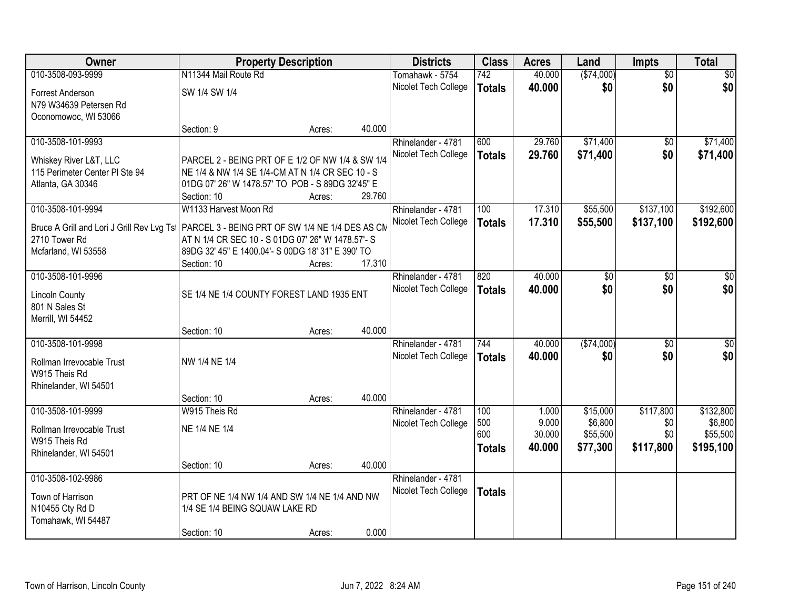| Owner                                                                                        | <b>Property Description</b>                       |        |        | <b>Districts</b>     | <b>Class</b>  | <b>Acres</b> | Land        | <b>Impts</b>    | <b>Total</b>    |
|----------------------------------------------------------------------------------------------|---------------------------------------------------|--------|--------|----------------------|---------------|--------------|-------------|-----------------|-----------------|
| 010-3508-093-9999                                                                            | N11344 Mail Route Rd                              |        |        | Tomahawk - 5754      | 742           | 40.000       | ( \$74,000) | $\overline{50}$ | $\overline{50}$ |
| Forrest Anderson                                                                             | SW 1/4 SW 1/4                                     |        |        | Nicolet Tech College | <b>Totals</b> | 40.000       | \$0         | \$0             | \$0             |
| N79 W34639 Petersen Rd                                                                       |                                                   |        |        |                      |               |              |             |                 |                 |
| Oconomowoc, WI 53066                                                                         |                                                   |        |        |                      |               |              |             |                 |                 |
|                                                                                              | Section: 9                                        | Acres: | 40.000 |                      |               |              |             |                 |                 |
| 010-3508-101-9993                                                                            |                                                   |        |        | Rhinelander - 4781   | 600           | 29.760       | \$71,400    | \$0             | \$71,400        |
| Whiskey River L&T, LLC                                                                       | PARCEL 2 - BEING PRT OF E 1/2 OF NW 1/4 & SW 1/4  |        |        | Nicolet Tech College | <b>Totals</b> | 29.760       | \$71,400    | \$0             | \$71,400        |
| 115 Perimeter Center PI Ste 94                                                               | NE 1/4 & NW 1/4 SE 1/4-CM AT N 1/4 CR SEC 10 - S  |        |        |                      |               |              |             |                 |                 |
| Atlanta, GA 30346                                                                            | 01DG 07' 26" W 1478.57' TO POB - S 89DG 32'45" E  |        |        |                      |               |              |             |                 |                 |
|                                                                                              | Section: 10                                       | Acres: | 29.760 |                      |               |              |             |                 |                 |
| 010-3508-101-9994                                                                            | W1133 Harvest Moon Rd                             |        |        | Rhinelander - 4781   | 100           | 17.310       | \$55,500    | \$137,100       | \$192,600       |
| Bruce A Grill and Lori J Grill Rev Lvg Tsl   PARCEL 3 - BEING PRT OF SW 1/4 NE 1/4 DES AS CM |                                                   |        |        | Nicolet Tech College | <b>Totals</b> | 17.310       | \$55,500    | \$137,100       | \$192,600       |
| 2710 Tower Rd                                                                                | AT N 1/4 CR SEC 10 - S 01DG 07' 26" W 1478.57'- S |        |        |                      |               |              |             |                 |                 |
| Mcfarland, WI 53558                                                                          | 89DG 32' 45" E 1400.04'- S 00DG 18' 31" E 390' TO |        |        |                      |               |              |             |                 |                 |
| 010-3508-101-9996                                                                            | Section: 10                                       | Acres: | 17.310 | Rhinelander - 4781   | 820           | 40.000       | \$0         | \$0             | \$0             |
|                                                                                              |                                                   |        |        | Nicolet Tech College | <b>Totals</b> | 40.000       | \$0         | \$0             | \$0             |
| <b>Lincoln County</b>                                                                        | SE 1/4 NE 1/4 COUNTY FOREST LAND 1935 ENT         |        |        |                      |               |              |             |                 |                 |
| 801 N Sales St                                                                               |                                                   |        |        |                      |               |              |             |                 |                 |
| Merrill, WI 54452                                                                            | Section: 10                                       | Acres: | 40.000 |                      |               |              |             |                 |                 |
| 010-3508-101-9998                                                                            |                                                   |        |        | Rhinelander - 4781   | 744           | 40.000       | ( \$74,000) | $\overline{50}$ | \$0             |
|                                                                                              |                                                   |        |        | Nicolet Tech College | <b>Totals</b> | 40.000       | \$0         | \$0             | \$0             |
| Rollman Irrevocable Trust                                                                    | NW 1/4 NE 1/4                                     |        |        |                      |               |              |             |                 |                 |
| W915 Theis Rd<br>Rhinelander, WI 54501                                                       |                                                   |        |        |                      |               |              |             |                 |                 |
|                                                                                              | Section: 10                                       | Acres: | 40.000 |                      |               |              |             |                 |                 |
| 010-3508-101-9999                                                                            | W915 Theis Rd                                     |        |        | Rhinelander - 4781   | 100           | 1.000        | \$15,000    | \$117,800       | \$132,800       |
| Rollman Irrevocable Trust                                                                    | NE 1/4 NE 1/4                                     |        |        | Nicolet Tech College | 500           | 9.000        | \$6,800     | \$0             | \$6,800         |
| W915 Theis Rd                                                                                |                                                   |        |        |                      | 600           | 30.000       | \$55,500    | \$0             | \$55,500        |
| Rhinelander, WI 54501                                                                        |                                                   |        |        |                      | <b>Totals</b> | 40.000       | \$77,300    | \$117,800       | \$195,100       |
|                                                                                              | Section: 10                                       | Acres: | 40.000 |                      |               |              |             |                 |                 |
| 010-3508-102-9986                                                                            |                                                   |        |        | Rhinelander - 4781   |               |              |             |                 |                 |
| Town of Harrison                                                                             | PRT OF NE 1/4 NW 1/4 AND SW 1/4 NE 1/4 AND NW     |        |        | Nicolet Tech College | <b>Totals</b> |              |             |                 |                 |
| N10455 Cty Rd D                                                                              | 1/4 SE 1/4 BEING SQUAW LAKE RD                    |        |        |                      |               |              |             |                 |                 |
| Tomahawk, WI 54487                                                                           |                                                   |        |        |                      |               |              |             |                 |                 |
|                                                                                              | Section: 10                                       | Acres: | 0.000  |                      |               |              |             |                 |                 |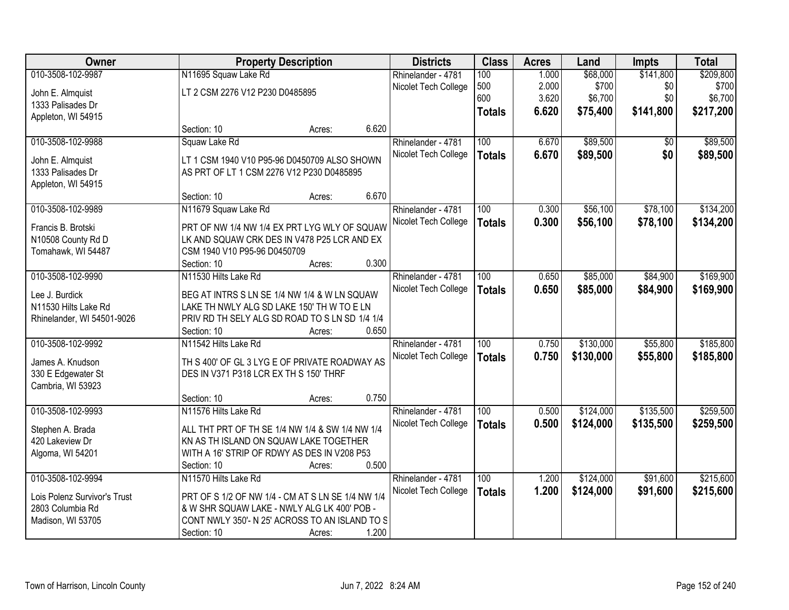| <b>Owner</b>                 |                                                   | <b>Property Description</b> |       | <b>Districts</b>     | <b>Class</b>     | <b>Acres</b> | Land      | <b>Impts</b> | <b>Total</b> |
|------------------------------|---------------------------------------------------|-----------------------------|-------|----------------------|------------------|--------------|-----------|--------------|--------------|
| 010-3508-102-9987            | N11695 Squaw Lake Rd                              |                             |       | Rhinelander - 4781   | 100              | 1.000        | \$68,000  | \$141,800    | \$209,800    |
| John E. Almquist             | LT 2 CSM 2276 V12 P230 D0485895                   |                             |       | Nicolet Tech College | 500              | 2.000        | \$700     | \$0          | \$700        |
| 1333 Palisades Dr            |                                                   |                             |       |                      | 600              | 3.620        | \$6,700   | \$0          | \$6,700      |
| Appleton, WI 54915           |                                                   |                             |       |                      | <b>Totals</b>    | 6.620        | \$75,400  | \$141,800    | \$217,200    |
|                              | Section: 10                                       | Acres:                      | 6.620 |                      |                  |              |           |              |              |
| 010-3508-102-9988            | Squaw Lake Rd                                     |                             |       | Rhinelander - 4781   | 100              | 6.670        | \$89,500  | \$0          | \$89,500     |
| John E. Almquist             | LT 1 CSM 1940 V10 P95-96 D0450709 ALSO SHOWN      |                             |       | Nicolet Tech College | <b>Totals</b>    | 6.670        | \$89,500  | \$0          | \$89,500     |
| 1333 Palisades Dr            | AS PRT OF LT 1 CSM 2276 V12 P230 D0485895         |                             |       |                      |                  |              |           |              |              |
| Appleton, WI 54915           |                                                   |                             |       |                      |                  |              |           |              |              |
|                              | Section: 10                                       | Acres:                      | 6.670 |                      |                  |              |           |              |              |
| 010-3508-102-9989            | N11679 Squaw Lake Rd                              |                             |       | Rhinelander - 4781   | 100              | 0.300        | \$56,100  | \$78,100     | \$134,200    |
| Francis B. Brotski           | PRT OF NW 1/4 NW 1/4 EX PRT LYG WLY OF SQUAW      |                             |       | Nicolet Tech College | <b>Totals</b>    | 0.300        | \$56,100  | \$78,100     | \$134,200    |
| N10508 County Rd D           | LK AND SQUAW CRK DES IN V478 P25 LCR AND EX       |                             |       |                      |                  |              |           |              |              |
| Tomahawk, WI 54487           | CSM 1940 V10 P95-96 D0450709                      |                             |       |                      |                  |              |           |              |              |
|                              | Section: 10                                       | Acres:                      | 0.300 |                      |                  |              |           |              |              |
| 010-3508-102-9990            | N11530 Hilts Lake Rd                              |                             |       | Rhinelander - 4781   | 100              | 0.650        | \$85,000  | \$84,900     | \$169,900    |
|                              |                                                   |                             |       | Nicolet Tech College | <b>Totals</b>    | 0.650        | \$85,000  | \$84,900     | \$169,900    |
| Lee J. Burdick               | BEG AT INTRS S LN SE 1/4 NW 1/4 & W LN SQUAW      |                             |       |                      |                  |              |           |              |              |
| N11530 Hilts Lake Rd         | LAKE TH NWLY ALG SD LAKE 150' TH W TO E LN        |                             |       |                      |                  |              |           |              |              |
| Rhinelander, WI 54501-9026   | PRIV RD TH SELY ALG SD ROAD TO S LN SD 1/4 1/4    |                             |       |                      |                  |              |           |              |              |
|                              | Section: 10                                       | Acres:                      | 0.650 |                      |                  |              |           |              |              |
| 010-3508-102-9992            | N11542 Hilts Lake Rd                              |                             |       | Rhinelander - 4781   | $\overline{100}$ | 0.750        | \$130,000 | \$55,800     | \$185,800    |
| James A. Knudson             | TH S 400' OF GL 3 LYG E OF PRIVATE ROADWAY AS     |                             |       | Nicolet Tech College | <b>Totals</b>    | 0.750        | \$130,000 | \$55,800     | \$185,800    |
| 330 E Edgewater St           | DES IN V371 P318 LCR EX TH S 150' THRF            |                             |       |                      |                  |              |           |              |              |
| Cambria, WI 53923            |                                                   |                             |       |                      |                  |              |           |              |              |
|                              | Section: 10                                       | Acres:                      | 0.750 |                      |                  |              |           |              |              |
| 010-3508-102-9993            | N11576 Hilts Lake Rd                              |                             |       | Rhinelander - 4781   | $\overline{100}$ | 0.500        | \$124,000 | \$135,500    | \$259,500    |
| Stephen A. Brada             | ALL THT PRT OF TH SE 1/4 NW 1/4 & SW 1/4 NW 1/4   |                             |       | Nicolet Tech College | <b>Totals</b>    | 0.500        | \$124,000 | \$135,500    | \$259,500    |
| 420 Lakeview Dr              | KN AS TH ISLAND ON SQUAW LAKE TOGETHER            |                             |       |                      |                  |              |           |              |              |
| Algoma, WI 54201             | WITH A 16' STRIP OF RDWY AS DES IN V208 P53       |                             |       |                      |                  |              |           |              |              |
|                              | Section: 10                                       | Acres:                      | 0.500 |                      |                  |              |           |              |              |
| 010-3508-102-9994            | N11570 Hilts Lake Rd                              |                             |       | Rhinelander - 4781   | 100              | 1.200        | \$124,000 | \$91,600     | \$215,600    |
| Lois Polenz Survivor's Trust | PRT OF S 1/2 OF NW 1/4 - CM AT S LN SE 1/4 NW 1/4 |                             |       | Nicolet Tech College | <b>Totals</b>    | 1.200        | \$124,000 | \$91,600     | \$215,600    |
| 2803 Columbia Rd             | & W SHR SQUAW LAKE - NWLY ALG LK 400' POB -       |                             |       |                      |                  |              |           |              |              |
| Madison, WI 53705            | CONT NWLY 350'- N 25' ACROSS TO AN ISLAND TO S    |                             |       |                      |                  |              |           |              |              |
|                              | Section: 10                                       | Acres:                      | 1.200 |                      |                  |              |           |              |              |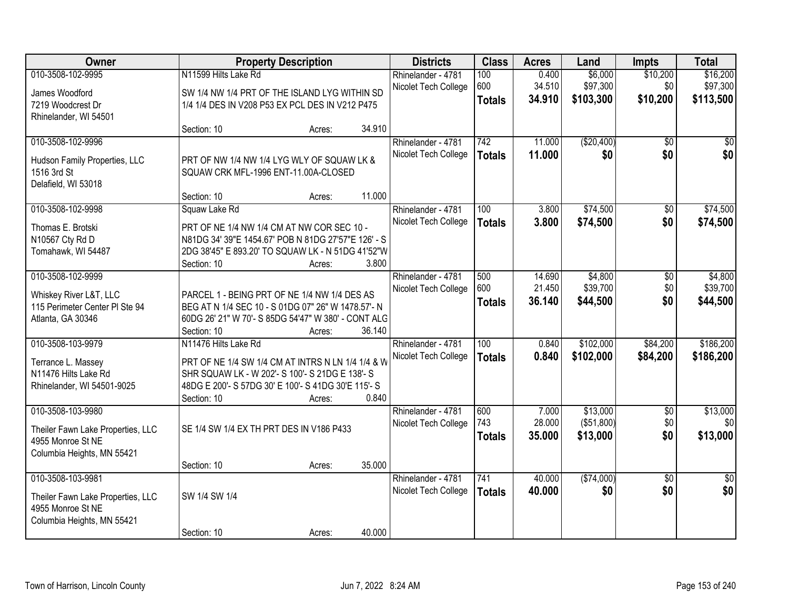| Owner                             |                                                     | <b>Property Description</b> |        | <b>Districts</b>     | <b>Class</b>     | <b>Acres</b> | Land       | <b>Impts</b>    | <b>Total</b>    |
|-----------------------------------|-----------------------------------------------------|-----------------------------|--------|----------------------|------------------|--------------|------------|-----------------|-----------------|
| 010-3508-102-9995                 | N11599 Hilts Lake Rd                                |                             |        | Rhinelander - 4781   | 100              | 0.400        | \$6,000    | \$10,200        | \$16,200        |
| James Woodford                    | SW 1/4 NW 1/4 PRT OF THE ISLAND LYG WITHIN SD       |                             |        | Nicolet Tech College | 600              | 34.510       | \$97,300   | \$0             | \$97,300        |
| 7219 Woodcrest Dr                 | 1/4 1/4 DES IN V208 P53 EX PCL DES IN V212 P475     |                             |        |                      | <b>Totals</b>    | 34.910       | \$103,300  | \$10,200        | \$113,500       |
| Rhinelander, WI 54501             |                                                     |                             |        |                      |                  |              |            |                 |                 |
|                                   | Section: 10                                         | Acres:                      | 34.910 |                      |                  |              |            |                 |                 |
| 010-3508-102-9996                 |                                                     |                             |        | Rhinelander - 4781   | 742              | 11.000       | (\$20,400) | $\overline{50}$ | $\overline{50}$ |
| Hudson Family Properties, LLC     | PRT OF NW 1/4 NW 1/4 LYG WLY OF SQUAW LK &          |                             |        | Nicolet Tech College | <b>Totals</b>    | 11.000       | \$0        | \$0             | \$0             |
| 1516 3rd St                       | SQUAW CRK MFL-1996 ENT-11.00A-CLOSED                |                             |        |                      |                  |              |            |                 |                 |
| Delafield, WI 53018               |                                                     |                             |        |                      |                  |              |            |                 |                 |
|                                   | Section: 10                                         | Acres:                      | 11.000 |                      |                  |              |            |                 |                 |
| 010-3508-102-9998                 | Squaw Lake Rd                                       |                             |        | Rhinelander - 4781   | 100              | 3.800        | \$74,500   | \$0             | \$74,500        |
| Thomas E. Brotski                 | PRT OF NE 1/4 NW 1/4 CM AT NW COR SEC 10 -          |                             |        | Nicolet Tech College | <b>Totals</b>    | 3.800        | \$74,500   | \$0             | \$74,500        |
| N10567 Cty Rd D                   | N81DG 34' 39"E 1454.67' POB N 81DG 27'57"E 126' - S |                             |        |                      |                  |              |            |                 |                 |
| Tomahawk, WI 54487                | 2DG 38'45" E 893.20' TO SQUAW LK - N 51DG 41'52"W   |                             |        |                      |                  |              |            |                 |                 |
|                                   | Section: 10                                         | Acres:                      | 3.800  |                      |                  |              |            |                 |                 |
| 010-3508-102-9999                 |                                                     |                             |        | Rhinelander - 4781   | 500              | 14.690       | \$4,800    | \$0             | \$4,800         |
| Whiskey River L&T, LLC            | PARCEL 1 - BEING PRT OF NE 1/4 NW 1/4 DES AS        |                             |        | Nicolet Tech College | 600              | 21.450       | \$39,700   | \$0             | \$39,700        |
| 115 Perimeter Center PI Ste 94    | BEG AT N 1/4 SEC 10 - S 01DG 07" 26" W 1478.57'- N  |                             |        |                      | <b>Totals</b>    | 36.140       | \$44,500   | \$0             | \$44,500        |
| Atlanta, GA 30346                 | 60DG 26' 21" W 70'- S 85DG 54'47" W 380' - CONT ALG |                             |        |                      |                  |              |            |                 |                 |
|                                   | Section: 10                                         | Acres:                      | 36.140 |                      |                  |              |            |                 |                 |
| 010-3508-103-9979                 | N11476 Hilts Lake Rd                                |                             |        | Rhinelander - 4781   | $\overline{100}$ | 0.840        | \$102,000  | \$84,200        | \$186,200       |
| Terrance L. Massey                | PRT OF NE 1/4 SW 1/4 CM AT INTRS N LN 1/4 1/4 & W   |                             |        | Nicolet Tech College | <b>Totals</b>    | 0.840        | \$102,000  | \$84,200        | \$186,200       |
| N11476 Hilts Lake Rd              | SHR SQUAW LK - W 202'- S 100'- S 21DG E 138'- S     |                             |        |                      |                  |              |            |                 |                 |
| Rhinelander, WI 54501-9025        | 48DG E 200'- S 57DG 30' E 100'- S 41DG 30'E 115'- S |                             |        |                      |                  |              |            |                 |                 |
|                                   | Section: 10                                         | Acres:                      | 0.840  |                      |                  |              |            |                 |                 |
| 010-3508-103-9980                 |                                                     |                             |        | Rhinelander - 4781   | 600              | 7.000        | \$13,000   | $\overline{50}$ | \$13,000        |
| Theiler Fawn Lake Properties, LLC | SE 1/4 SW 1/4 EX TH PRT DES IN V186 P433            |                             |        | Nicolet Tech College | 743              | 28.000       | (\$51,800) | \$0<br>\$0      | \$0<br>\$13,000 |
| 4955 Monroe St NE                 |                                                     |                             |        |                      | <b>Totals</b>    | 35.000       | \$13,000   |                 |                 |
| Columbia Heights, MN 55421        |                                                     |                             |        |                      |                  |              |            |                 |                 |
|                                   | Section: 10                                         | Acres:                      | 35.000 |                      |                  |              |            |                 |                 |
| 010-3508-103-9981                 |                                                     |                             |        | Rhinelander - 4781   | 741              | 40.000       | (\$74,000) | $\overline{30}$ | $\overline{50}$ |
| Theiler Fawn Lake Properties, LLC | SW 1/4 SW 1/4                                       |                             |        | Nicolet Tech College | <b>Totals</b>    | 40.000       | \$0        | \$0             | \$0             |
| 4955 Monroe St NE                 |                                                     |                             |        |                      |                  |              |            |                 |                 |
| Columbia Heights, MN 55421        |                                                     |                             |        |                      |                  |              |            |                 |                 |
|                                   | Section: 10                                         | Acres:                      | 40.000 |                      |                  |              |            |                 |                 |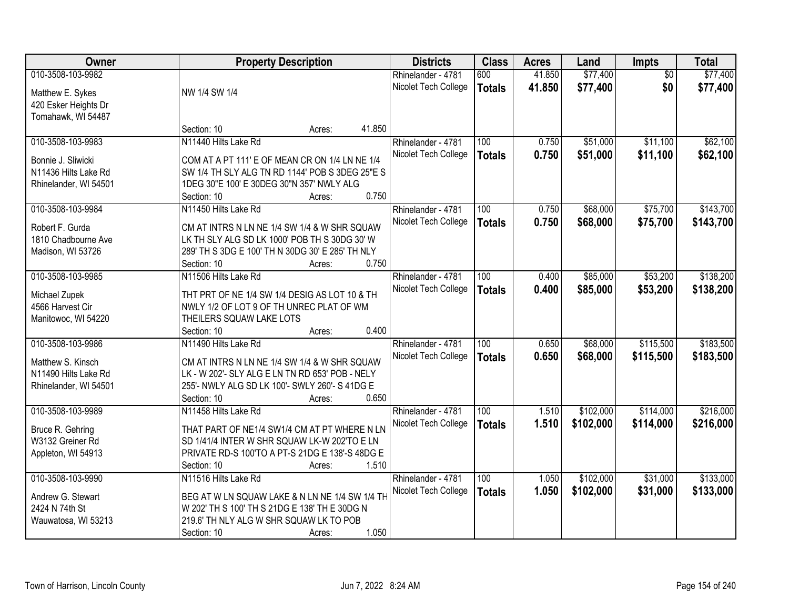| Owner                 | <b>Property Description</b>                      | <b>Districts</b>     | <b>Class</b>     | <b>Acres</b> | Land      | Impts           | <b>Total</b> |
|-----------------------|--------------------------------------------------|----------------------|------------------|--------------|-----------|-----------------|--------------|
| 010-3508-103-9982     |                                                  | Rhinelander - 4781   | 600              | 41.850       | \$77,400  | $\overline{50}$ | \$77,400     |
| Matthew E. Sykes      | NW 1/4 SW 1/4                                    | Nicolet Tech College | <b>Totals</b>    | 41.850       | \$77,400  | \$0             | \$77,400     |
| 420 Esker Heights Dr  |                                                  |                      |                  |              |           |                 |              |
| Tomahawk, WI 54487    |                                                  |                      |                  |              |           |                 |              |
|                       | 41.850<br>Section: 10<br>Acres:                  |                      |                  |              |           |                 |              |
| 010-3508-103-9983     | N11440 Hilts Lake Rd                             | Rhinelander - 4781   | 100              | 0.750        | \$51,000  | \$11,100        | \$62,100     |
|                       |                                                  | Nicolet Tech College | <b>Totals</b>    | 0.750        | \$51,000  | \$11,100        | \$62,100     |
| Bonnie J. Sliwicki    | COM AT A PT 111' E OF MEAN CR ON 1/4 LN NE 1/4   |                      |                  |              |           |                 |              |
| N11436 Hilts Lake Rd  | SW 1/4 TH SLY ALG TN RD 1144' POB S 3DEG 25"E S  |                      |                  |              |           |                 |              |
| Rhinelander, WI 54501 | 1DEG 30"E 100' E 30DEG 30"N 357' NWLY ALG        |                      |                  |              |           |                 |              |
|                       | 0.750<br>Section: 10<br>Acres:                   |                      |                  |              |           |                 |              |
| 010-3508-103-9984     | N11450 Hilts Lake Rd                             | Rhinelander - 4781   | 100              | 0.750        | \$68,000  | \$75,700        | \$143,700    |
| Robert F. Gurda       | CM AT INTRS N LN NE 1/4 SW 1/4 & W SHR SQUAW     | Nicolet Tech College | <b>Totals</b>    | 0.750        | \$68,000  | \$75,700        | \$143,700    |
| 1810 Chadbourne Ave   | LK TH SLY ALG SD LK 1000' POB TH S 30DG 30' W    |                      |                  |              |           |                 |              |
| Madison, WI 53726     | 289' TH S 3DG E 100' TH N 30DG 30' E 285' TH NLY |                      |                  |              |           |                 |              |
|                       | 0.750<br>Section: 10<br>Acres:                   |                      |                  |              |           |                 |              |
| 010-3508-103-9985     | N11506 Hilts Lake Rd                             | Rhinelander - 4781   | 100              | 0.400        | \$85,000  | \$53,200        | \$138,200    |
|                       |                                                  | Nicolet Tech College | <b>Totals</b>    | 0.400        | \$85,000  | \$53,200        | \$138,200    |
| Michael Zupek         | THT PRT OF NE 1/4 SW 1/4 DESIG AS LOT 10 & TH    |                      |                  |              |           |                 |              |
| 4566 Harvest Cir      | NWLY 1/2 OF LOT 9 OF TH UNREC PLAT OF WM         |                      |                  |              |           |                 |              |
| Manitowoc, WI 54220   | THEILERS SQUAW LAKE LOTS                         |                      |                  |              |           |                 |              |
|                       | 0.400<br>Section: 10<br>Acres:                   |                      |                  |              |           |                 |              |
| 010-3508-103-9986     | N11490 Hilts Lake Rd                             | Rhinelander - 4781   | $\overline{100}$ | 0.650        | \$68,000  | \$115,500       | \$183,500    |
| Matthew S. Kinsch     | CM AT INTRS N LN NE 1/4 SW 1/4 & W SHR SQUAW     | Nicolet Tech College | <b>Totals</b>    | 0.650        | \$68,000  | \$115,500       | \$183,500    |
| N11490 Hilts Lake Rd  | LK - W 202'- SLY ALG E LN TN RD 653' POB - NELY  |                      |                  |              |           |                 |              |
| Rhinelander, WI 54501 | 255'- NWLY ALG SD LK 100'- SWLY 260'- S 41DG E   |                      |                  |              |           |                 |              |
|                       | 0.650<br>Section: 10<br>Acres:                   |                      |                  |              |           |                 |              |
| 010-3508-103-9989     | N11458 Hilts Lake Rd                             | Rhinelander - 4781   | 100              | 1.510        | \$102,000 | \$114,000       | \$216,000    |
|                       |                                                  | Nicolet Tech College | <b>Totals</b>    | 1.510        | \$102,000 | \$114,000       | \$216,000    |
| Bruce R. Gehring      | THAT PART OF NE1/4 SW1/4 CM AT PT WHERE N LN     |                      |                  |              |           |                 |              |
| W3132 Greiner Rd      | SD 1/41/4 INTER W SHR SQUAW LK-W 202'TO E LN     |                      |                  |              |           |                 |              |
| Appleton, WI 54913    | PRIVATE RD-S 100'TO A PT-S 21DG E 138'-S 48DG E  |                      |                  |              |           |                 |              |
|                       | 1.510<br>Section: 10<br>Acres:                   |                      |                  |              |           |                 |              |
| 010-3508-103-9990     | N11516 Hilts Lake Rd                             | Rhinelander - 4781   | 100              | 1.050        | \$102,000 | \$31,000        | \$133,000    |
| Andrew G. Stewart     | BEG AT W LN SQUAW LAKE & N LN NE 1/4 SW 1/4 TH   | Nicolet Tech College | <b>Totals</b>    | 1.050        | \$102,000 | \$31,000        | \$133,000    |
| 2424 N 74th St        | W 202' TH S 100' TH S 21DG E 138' TH E 30DG N    |                      |                  |              |           |                 |              |
| Wauwatosa, WI 53213   | 219.6' TH NLY ALG W SHR SQUAW LK TO POB          |                      |                  |              |           |                 |              |
|                       | 1.050<br>Section: 10<br>Acres:                   |                      |                  |              |           |                 |              |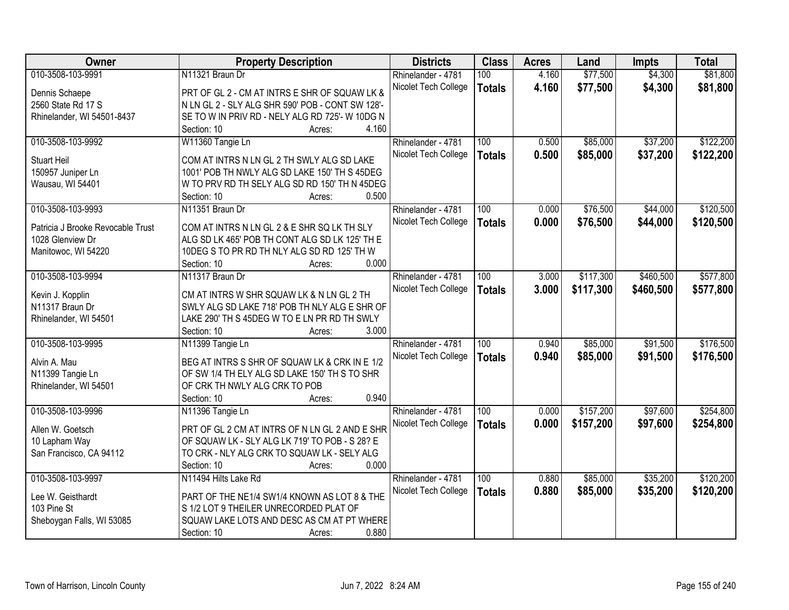| <b>Owner</b>                      | <b>Property Description</b>                      | <b>Districts</b>     | <b>Class</b>     | <b>Acres</b> | Land      | <b>Impts</b> | <b>Total</b> |
|-----------------------------------|--------------------------------------------------|----------------------|------------------|--------------|-----------|--------------|--------------|
| 010-3508-103-9991                 | N11321 Braun Dr                                  | Rhinelander - 4781   | 100              | 4.160        | \$77,500  | \$4,300      | \$81,800     |
| Dennis Schaepe                    | PRT OF GL 2 - CM AT INTRS E SHR OF SQUAW LK &    | Nicolet Tech College | <b>Totals</b>    | 4.160        | \$77,500  | \$4,300      | \$81,800     |
| 2560 State Rd 17 S                | N LN GL 2 - SLY ALG SHR 590' POB - CONT SW 128'- |                      |                  |              |           |              |              |
| Rhinelander, WI 54501-8437        | SE TO W IN PRIV RD - NELY ALG RD 725'- W 10DG N  |                      |                  |              |           |              |              |
|                                   | 4.160<br>Section: 10<br>Acres:                   |                      |                  |              |           |              |              |
| 010-3508-103-9992                 | W11360 Tangie Ln                                 | Rhinelander - 4781   | 100              | 0.500        | \$85,000  | \$37,200     | \$122,200    |
|                                   |                                                  | Nicolet Tech College | <b>Totals</b>    | 0.500        | \$85,000  | \$37,200     | \$122,200    |
| <b>Stuart Heil</b>                | COM AT INTRS N LN GL 2 TH SWLY ALG SD LAKE       |                      |                  |              |           |              |              |
| 150957 Juniper Ln                 | 1001' POB TH NWLY ALG SD LAKE 150' TH S 45DEG    |                      |                  |              |           |              |              |
| Wausau, WI 54401                  | W TO PRV RD TH SELY ALG SD RD 150' TH N 45DEG    |                      |                  |              |           |              |              |
|                                   | 0.500<br>Section: 10<br>Acres:                   |                      |                  |              |           |              |              |
| 010-3508-103-9993                 | N11351 Braun Dr                                  | Rhinelander - 4781   | 100              | 0.000        | \$76,500  | \$44,000     | \$120,500    |
| Patricia J Brooke Revocable Trust | COM AT INTRS N LN GL 2 & E SHR SQ LK TH SLY      | Nicolet Tech College | <b>Totals</b>    | 0.000        | \$76,500  | \$44,000     | \$120,500    |
| 1028 Glenview Dr                  | ALG SD LK 465' POB TH CONT ALG SD LK 125' TH E   |                      |                  |              |           |              |              |
| Manitowoc, WI 54220               | 10DEG S TO PR RD TH NLY ALG SD RD 125' TH W      |                      |                  |              |           |              |              |
|                                   | Section: 10<br>0.000<br>Acres:                   |                      |                  |              |           |              |              |
| 010-3508-103-9994                 | N11317 Braun Dr                                  | Rhinelander - 4781   | 100              | 3.000        | \$117,300 | \$460,500    | \$577,800    |
|                                   |                                                  | Nicolet Tech College | <b>Totals</b>    | 3.000        | \$117,300 | \$460,500    | \$577,800    |
| Kevin J. Kopplin                  | CM AT INTRS W SHR SQUAW LK & N LN GL 2 TH        |                      |                  |              |           |              |              |
| N11317 Braun Dr                   | SWLY ALG SD LAKE 718' POB TH NLY ALG E SHR OF    |                      |                  |              |           |              |              |
| Rhinelander, WI 54501             | LAKE 290' TH S 45DEG W TO E LN PR RD TH SWLY     |                      |                  |              |           |              |              |
|                                   | Section: 10<br>3.000<br>Acres:                   |                      |                  |              |           |              |              |
| 010-3508-103-9995                 | N11399 Tangie Ln                                 | Rhinelander - 4781   | $\overline{100}$ | 0.940        | \$85,000  | \$91,500     | \$176,500    |
| Alvin A. Mau                      | BEG AT INTRS S SHR OF SQUAW LK & CRK IN E 1/2    | Nicolet Tech College | <b>Totals</b>    | 0.940        | \$85,000  | \$91,500     | \$176,500    |
| N11399 Tangie Ln                  | OF SW 1/4 TH ELY ALG SD LAKE 150' TH S TO SHR    |                      |                  |              |           |              |              |
| Rhinelander, WI 54501             | OF CRK TH NWLY ALG CRK TO POB                    |                      |                  |              |           |              |              |
|                                   | 0.940<br>Section: 10<br>Acres:                   |                      |                  |              |           |              |              |
| 010-3508-103-9996                 |                                                  |                      | 100              | 0.000        | \$157,200 | \$97,600     | \$254,800    |
|                                   | N11396 Tangie Ln                                 | Rhinelander - 4781   |                  |              |           |              |              |
| Allen W. Goetsch                  | PRT OF GL 2 CM AT INTRS OF N LN GL 2 AND E SHR   | Nicolet Tech College | <b>Totals</b>    | 0.000        | \$157,200 | \$97,600     | \$254,800    |
| 10 Lapham Way                     | OF SQUAW LK - SLY ALG LK 719' TO POB - S 28? E   |                      |                  |              |           |              |              |
| San Francisco, CA 94112           | TO CRK - NLY ALG CRK TO SQUAW LK - SELY ALG      |                      |                  |              |           |              |              |
|                                   | 0.000<br>Section: 10<br>Acres:                   |                      |                  |              |           |              |              |
| 010-3508-103-9997                 | N11494 Hilts Lake Rd                             | Rhinelander - 4781   | 100              | 0.880        | \$85,000  | \$35,200     | \$120,200    |
|                                   |                                                  | Nicolet Tech College | <b>Totals</b>    | 0.880        | \$85,000  | \$35,200     | \$120,200    |
| Lee W. Geisthardt                 | PART OF THE NE1/4 SW1/4 KNOWN AS LOT 8 & THE     |                      |                  |              |           |              |              |
| 103 Pine St                       | S 1/2 LOT 9 THEILER UNRECORDED PLAT OF           |                      |                  |              |           |              |              |
| Sheboygan Falls, WI 53085         | SQUAW LAKE LOTS AND DESC AS CM AT PT WHERE       |                      |                  |              |           |              |              |
|                                   | 0.880<br>Section: 10<br>Acres:                   |                      |                  |              |           |              |              |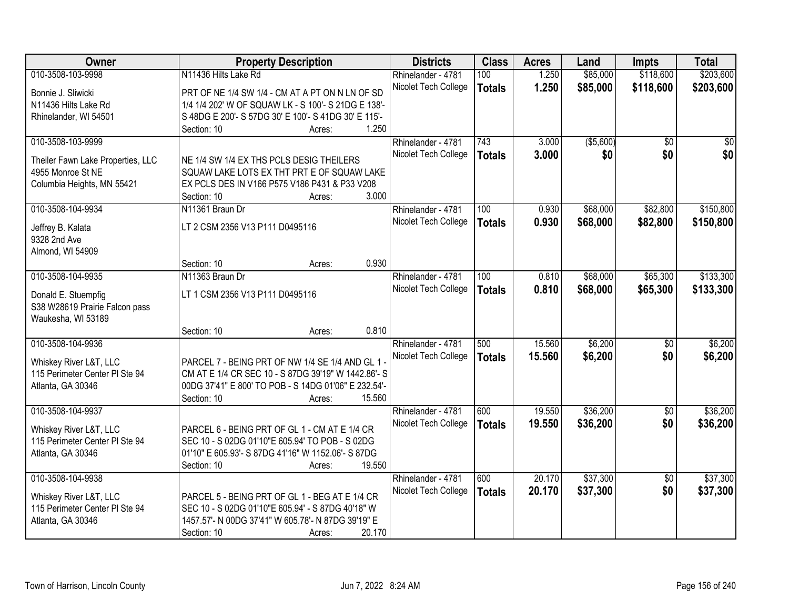| Owner                                                  | <b>Property Description</b>                                                            | <b>Districts</b>     | <b>Class</b>  | <b>Acres</b> | Land       | <b>Impts</b>    | <b>Total</b>    |
|--------------------------------------------------------|----------------------------------------------------------------------------------------|----------------------|---------------|--------------|------------|-----------------|-----------------|
| 010-3508-103-9998                                      | N11436 Hilts Lake Rd                                                                   | Rhinelander - 4781   | 100           | 1.250        | \$85,000   | \$118,600       | \$203,600       |
| Bonnie J. Sliwicki                                     | PRT OF NE 1/4 SW 1/4 - CM AT A PT ON N LN OF SD                                        | Nicolet Tech College | <b>Totals</b> | 1.250        | \$85,000   | \$118,600       | \$203,600       |
| N11436 Hilts Lake Rd                                   | 1/4 1/4 202' W OF SQUAW LK - S 100'- S 21DG E 138'-                                    |                      |               |              |            |                 |                 |
| Rhinelander, WI 54501                                  | S 48DG E 200'- S 57DG 30' E 100'- S 41DG 30' E 115'-                                   |                      |               |              |            |                 |                 |
|                                                        | 1.250<br>Section: 10<br>Acres:                                                         |                      |               |              |            |                 |                 |
| 010-3508-103-9999                                      |                                                                                        | Rhinelander - 4781   | 743           | 3.000        | ( \$5,600) | $\overline{50}$ | $\overline{50}$ |
|                                                        |                                                                                        | Nicolet Tech College | <b>Totals</b> | 3.000        | \$0        | \$0             | \$0             |
| Theiler Fawn Lake Properties, LLC<br>4955 Monroe St NE | NE 1/4 SW 1/4 EX THS PCLS DESIG THEILERS<br>SQUAW LAKE LOTS EX THT PRT E OF SQUAW LAKE |                      |               |              |            |                 |                 |
| Columbia Heights, MN 55421                             | EX PCLS DES IN V166 P575 V186 P431 & P33 V208                                          |                      |               |              |            |                 |                 |
|                                                        | 3.000<br>Section: 10<br>Acres:                                                         |                      |               |              |            |                 |                 |
| 010-3508-104-9934                                      | N11361 Braun Dr                                                                        | Rhinelander - 4781   | 100           | 0.930        | \$68,000   | \$82,800        | \$150,800       |
|                                                        |                                                                                        | Nicolet Tech College | <b>Totals</b> | 0.930        | \$68,000   | \$82,800        | \$150,800       |
| Jeffrey B. Kalata                                      | LT 2 CSM 2356 V13 P111 D0495116                                                        |                      |               |              |            |                 |                 |
| 9328 2nd Ave                                           |                                                                                        |                      |               |              |            |                 |                 |
| Almond, WI 54909                                       | 0.930                                                                                  |                      |               |              |            |                 |                 |
| 010-3508-104-9935                                      | Section: 10<br>Acres:<br>N11363 Braun Dr                                               |                      |               | 0.810        |            |                 |                 |
|                                                        |                                                                                        | Rhinelander - 4781   | 100           |              | \$68,000   | \$65,300        | \$133,300       |
| Donald E. Stuempfig                                    | LT 1 CSM 2356 V13 P111 D0495116                                                        | Nicolet Tech College | <b>Totals</b> | 0.810        | \$68,000   | \$65,300        | \$133,300       |
| S38 W28619 Prairie Falcon pass                         |                                                                                        |                      |               |              |            |                 |                 |
| Waukesha, WI 53189                                     |                                                                                        |                      |               |              |            |                 |                 |
|                                                        | 0.810<br>Section: 10<br>Acres:                                                         |                      |               |              |            |                 |                 |
| 010-3508-104-9936                                      |                                                                                        | Rhinelander - 4781   | 500           | 15.560       | \$6,200    | $\overline{50}$ | \$6,200         |
| Whiskey River L&T, LLC                                 | PARCEL 7 - BEING PRT OF NW 1/4 SE 1/4 AND GL 1                                         | Nicolet Tech College | <b>Totals</b> | 15.560       | \$6,200    | \$0             | \$6,200         |
| 115 Perimeter Center PI Ste 94                         | CM AT E 1/4 CR SEC 10 - S 87DG 39'19" W 1442.86'- S                                    |                      |               |              |            |                 |                 |
| Atlanta, GA 30346                                      | 00DG 37'41" E 800' TO POB - S 14DG 01'06" E 232.54'-                                   |                      |               |              |            |                 |                 |
|                                                        | Section: 10<br>15.560<br>Acres:                                                        |                      |               |              |            |                 |                 |
| 010-3508-104-9937                                      |                                                                                        | Rhinelander - 4781   | 600           | 19.550       | \$36,200   | $\sqrt{6}$      | \$36,200        |
| Whiskey River L&T, LLC                                 | PARCEL 6 - BEING PRT OF GL 1 - CM AT E 1/4 CR                                          | Nicolet Tech College | <b>Totals</b> | 19.550       | \$36,200   | \$0             | \$36,200        |
| 115 Perimeter Center PI Ste 94                         | SEC 10 - S 02DG 01'10"E 605.94' TO POB - S 02DG                                        |                      |               |              |            |                 |                 |
| Atlanta, GA 30346                                      | 01'10" E 605.93'- S 87DG 41'16" W 1152.06'- S 87DG                                     |                      |               |              |            |                 |                 |
|                                                        | 19.550<br>Section: 10<br>Acres:                                                        |                      |               |              |            |                 |                 |
| 010-3508-104-9938                                      |                                                                                        | Rhinelander - 4781   | 600           | 20.170       | \$37,300   | $\overline{30}$ | \$37,300        |
|                                                        |                                                                                        | Nicolet Tech College | <b>Totals</b> | 20.170       | \$37,300   | \$0             | \$37,300        |
| Whiskey River L&T, LLC                                 | PARCEL 5 - BEING PRT OF GL 1 - BEG AT E 1/4 CR                                         |                      |               |              |            |                 |                 |
| 115 Perimeter Center PI Ste 94                         | SEC 10 - S 02DG 01'10"E 605.94' - S 87DG 40'18" W                                      |                      |               |              |            |                 |                 |
| Atlanta, GA 30346                                      | 1457.57'- N 00DG 37'41" W 605.78'- N 87DG 39'19" E                                     |                      |               |              |            |                 |                 |
|                                                        | 20.170<br>Section: 10<br>Acres:                                                        |                      |               |              |            |                 |                 |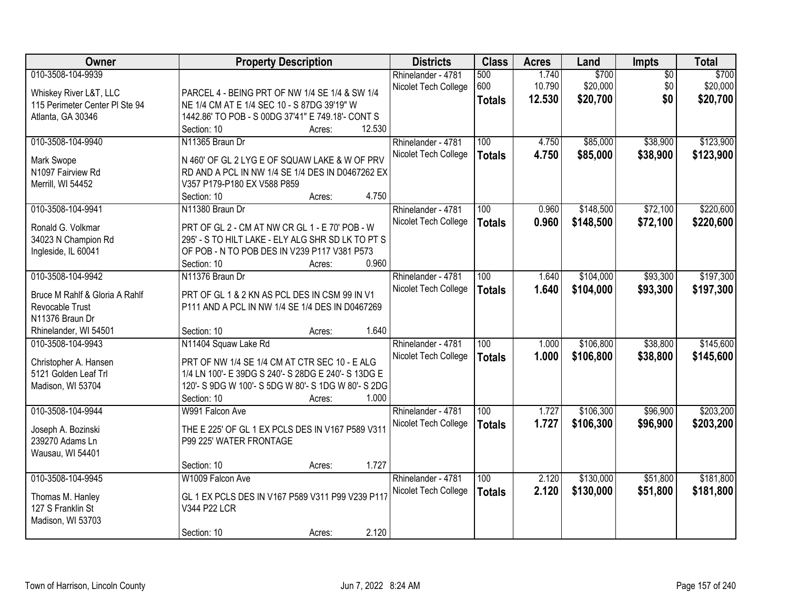| \$700<br>010-3508-104-9939<br>1.740<br>\$700<br>$\overline{50}$<br>Rhinelander - 4781<br>500<br>600<br>10.790<br>\$20,000<br>\$0<br>\$20,000<br>Nicolet Tech College<br>Whiskey River L&T, LLC<br>PARCEL 4 - BEING PRT OF NW 1/4 SE 1/4 & SW 1/4<br>\$0<br>12.530<br>\$20,700<br><b>Totals</b><br>NE 1/4 CM AT E 1/4 SEC 10 - S 87DG 39'19" W<br>115 Perimeter Center PI Ste 94<br>1442.86' TO POB - S 00DG 37'41" E 749.18'- CONT S<br>Atlanta, GA 30346<br>12.530<br>Section: 10<br>Acres:<br>010-3508-104-9940<br>\$85,000<br>\$38,900<br>N11365 Braun Dr<br>100<br>4.750<br>Rhinelander - 4781<br>4.750<br>Nicolet Tech College<br>\$85,000<br>\$38,900<br><b>Totals</b><br>Mark Swope<br>N 460' OF GL 2 LYG E OF SQUAW LAKE & W OF PRV<br>N1097 Fairview Rd<br>RD AND A PCL IN NW 1/4 SE 1/4 DES IN D0467262 EX<br>V357 P179-P180 EX V588 P859<br>Merrill, WI 54452<br>4.750<br>Section: 10<br>Acres:<br>010-3508-104-9941<br>\$148,500<br>\$72,100<br>N11380 Braun Dr<br>100<br>0.960<br>Rhinelander - 4781<br>Nicolet Tech College<br>0.960<br>\$72,100<br>\$148,500<br><b>Totals</b><br>Ronald G. Volkmar<br>PRT OF GL 2 - CM AT NW CR GL 1 - E 70' POB - W<br>34023 N Champion Rd<br>295' - S TO HILT LAKE - ELY ALG SHR SD LK TO PT S<br>OF POB - N TO POB DES IN V239 P117 V381 P573<br>Ingleside, IL 60041<br>Section: 10<br>0.960<br>Acres:<br>010-3508-104-9942<br>\$93,300<br>N11376 Braun Dr<br>Rhinelander - 4781<br>100<br>\$104,000<br>1.640<br>Nicolet Tech College<br>1.640<br>\$104,000<br>\$93,300<br><b>Totals</b><br>PRT OF GL 1 & 2 KN AS PCL DES IN CSM 99 IN V1<br>Bruce M Rahlf & Gloria A Rahlf<br>Revocable Trust<br>P111 AND A PCL IN NW 1/4 SE 1/4 DES IN D0467269<br>N11376 Braun Dr<br>1.640<br>Rhinelander, WI 54501<br>Section: 10<br>Acres:<br>N11404 Squaw Lake Rd<br>100<br>\$106,800<br>\$38,800<br>010-3508-104-9943<br>1.000<br>Rhinelander - 4781<br>1.000<br>\$106,800<br>\$38,800<br>Nicolet Tech College<br><b>Totals</b><br>PRT OF NW 1/4 SE 1/4 CM AT CTR SEC 10 - E ALG<br>Christopher A. Hansen<br>1/4 LN 100'- E 39DG S 240'- S 28DG E 240'- S 13DG E<br>5121 Golden Leaf Trl<br>120'- S 9DG W 100'- S 5DG W 80'- S 1DG W 80'- S 2DG<br>Madison, WI 53704<br>1.000<br>Section: 10<br>Acres:<br>010-3508-104-9944<br>100<br>\$106,300<br>\$96,900<br>1.727<br>W991 Falcon Ave<br>Rhinelander - 4781<br>1.727<br>\$106,300<br>Nicolet Tech College<br>\$96,900<br><b>Totals</b><br>THE E 225' OF GL 1 EX PCLS DES IN V167 P589 V311<br>Joseph A. Bozinski<br>P99 225' WATER FRONTAGE<br>239270 Adams Ln<br>Wausau, WI 54401<br>1.727<br>Section: 10<br>Acres:<br>010-3508-104-9945<br>\$130,000<br>\$51,800<br>W1009 Falcon Ave<br>100<br>2.120<br>Rhinelander - 4781<br>Nicolet Tech College<br>2.120<br>\$51,800<br>\$130,000<br><b>Totals</b><br>GL 1 EX PCLS DES IN V167 P589 V311 P99 V239 P117<br>Thomas M. Hanley<br>127 S Franklin St<br>V344 P22 LCR<br>Madison, WI 53703 | Owner |             | <b>Property Description</b> | <b>Districts</b> | <b>Class</b> | <b>Acres</b> | Land | Impts | <b>Total</b> |
|--------------------------------------------------------------------------------------------------------------------------------------------------------------------------------------------------------------------------------------------------------------------------------------------------------------------------------------------------------------------------------------------------------------------------------------------------------------------------------------------------------------------------------------------------------------------------------------------------------------------------------------------------------------------------------------------------------------------------------------------------------------------------------------------------------------------------------------------------------------------------------------------------------------------------------------------------------------------------------------------------------------------------------------------------------------------------------------------------------------------------------------------------------------------------------------------------------------------------------------------------------------------------------------------------------------------------------------------------------------------------------------------------------------------------------------------------------------------------------------------------------------------------------------------------------------------------------------------------------------------------------------------------------------------------------------------------------------------------------------------------------------------------------------------------------------------------------------------------------------------------------------------------------------------------------------------------------------------------------------------------------------------------------------------------------------------------------------------------------------------------------------------------------------------------------------------------------------------------------------------------------------------------------------------------------------------------------------------------------------------------------------------------------------------------------------------------------------------------------------------------------------------------------------------------------------------------------------------------------------------------------------------------------------------------------------------------------------------------------------------------------------------------------------------------------------------------------------------------------------------------------------------------------------------------------------|-------|-------------|-----------------------------|------------------|--------------|--------------|------|-------|--------------|
| \$20,700                                                                                                                                                                                                                                                                                                                                                                                                                                                                                                                                                                                                                                                                                                                                                                                                                                                                                                                                                                                                                                                                                                                                                                                                                                                                                                                                                                                                                                                                                                                                                                                                                                                                                                                                                                                                                                                                                                                                                                                                                                                                                                                                                                                                                                                                                                                                                                                                                                                                                                                                                                                                                                                                                                                                                                                                                                                                                                                             |       |             |                             |                  |              |              |      |       |              |
|                                                                                                                                                                                                                                                                                                                                                                                                                                                                                                                                                                                                                                                                                                                                                                                                                                                                                                                                                                                                                                                                                                                                                                                                                                                                                                                                                                                                                                                                                                                                                                                                                                                                                                                                                                                                                                                                                                                                                                                                                                                                                                                                                                                                                                                                                                                                                                                                                                                                                                                                                                                                                                                                                                                                                                                                                                                                                                                                      |       |             |                             |                  |              |              |      |       |              |
| \$123,900<br>\$123,900<br>\$220,600<br>\$220,600<br>\$197,300<br>\$197,300<br>\$203,200<br>\$181,800                                                                                                                                                                                                                                                                                                                                                                                                                                                                                                                                                                                                                                                                                                                                                                                                                                                                                                                                                                                                                                                                                                                                                                                                                                                                                                                                                                                                                                                                                                                                                                                                                                                                                                                                                                                                                                                                                                                                                                                                                                                                                                                                                                                                                                                                                                                                                                                                                                                                                                                                                                                                                                                                                                                                                                                                                                 |       |             |                             |                  |              |              |      |       |              |
|                                                                                                                                                                                                                                                                                                                                                                                                                                                                                                                                                                                                                                                                                                                                                                                                                                                                                                                                                                                                                                                                                                                                                                                                                                                                                                                                                                                                                                                                                                                                                                                                                                                                                                                                                                                                                                                                                                                                                                                                                                                                                                                                                                                                                                                                                                                                                                                                                                                                                                                                                                                                                                                                                                                                                                                                                                                                                                                                      |       |             |                             |                  |              |              |      |       |              |
|                                                                                                                                                                                                                                                                                                                                                                                                                                                                                                                                                                                                                                                                                                                                                                                                                                                                                                                                                                                                                                                                                                                                                                                                                                                                                                                                                                                                                                                                                                                                                                                                                                                                                                                                                                                                                                                                                                                                                                                                                                                                                                                                                                                                                                                                                                                                                                                                                                                                                                                                                                                                                                                                                                                                                                                                                                                                                                                                      |       |             |                             |                  |              |              |      |       |              |
|                                                                                                                                                                                                                                                                                                                                                                                                                                                                                                                                                                                                                                                                                                                                                                                                                                                                                                                                                                                                                                                                                                                                                                                                                                                                                                                                                                                                                                                                                                                                                                                                                                                                                                                                                                                                                                                                                                                                                                                                                                                                                                                                                                                                                                                                                                                                                                                                                                                                                                                                                                                                                                                                                                                                                                                                                                                                                                                                      |       |             |                             |                  |              |              |      |       |              |
|                                                                                                                                                                                                                                                                                                                                                                                                                                                                                                                                                                                                                                                                                                                                                                                                                                                                                                                                                                                                                                                                                                                                                                                                                                                                                                                                                                                                                                                                                                                                                                                                                                                                                                                                                                                                                                                                                                                                                                                                                                                                                                                                                                                                                                                                                                                                                                                                                                                                                                                                                                                                                                                                                                                                                                                                                                                                                                                                      |       |             |                             |                  |              |              |      |       |              |
|                                                                                                                                                                                                                                                                                                                                                                                                                                                                                                                                                                                                                                                                                                                                                                                                                                                                                                                                                                                                                                                                                                                                                                                                                                                                                                                                                                                                                                                                                                                                                                                                                                                                                                                                                                                                                                                                                                                                                                                                                                                                                                                                                                                                                                                                                                                                                                                                                                                                                                                                                                                                                                                                                                                                                                                                                                                                                                                                      |       |             |                             |                  |              |              |      |       |              |
|                                                                                                                                                                                                                                                                                                                                                                                                                                                                                                                                                                                                                                                                                                                                                                                                                                                                                                                                                                                                                                                                                                                                                                                                                                                                                                                                                                                                                                                                                                                                                                                                                                                                                                                                                                                                                                                                                                                                                                                                                                                                                                                                                                                                                                                                                                                                                                                                                                                                                                                                                                                                                                                                                                                                                                                                                                                                                                                                      |       |             |                             |                  |              |              |      |       |              |
|                                                                                                                                                                                                                                                                                                                                                                                                                                                                                                                                                                                                                                                                                                                                                                                                                                                                                                                                                                                                                                                                                                                                                                                                                                                                                                                                                                                                                                                                                                                                                                                                                                                                                                                                                                                                                                                                                                                                                                                                                                                                                                                                                                                                                                                                                                                                                                                                                                                                                                                                                                                                                                                                                                                                                                                                                                                                                                                                      |       |             |                             |                  |              |              |      |       |              |
|                                                                                                                                                                                                                                                                                                                                                                                                                                                                                                                                                                                                                                                                                                                                                                                                                                                                                                                                                                                                                                                                                                                                                                                                                                                                                                                                                                                                                                                                                                                                                                                                                                                                                                                                                                                                                                                                                                                                                                                                                                                                                                                                                                                                                                                                                                                                                                                                                                                                                                                                                                                                                                                                                                                                                                                                                                                                                                                                      |       |             |                             |                  |              |              |      |       |              |
|                                                                                                                                                                                                                                                                                                                                                                                                                                                                                                                                                                                                                                                                                                                                                                                                                                                                                                                                                                                                                                                                                                                                                                                                                                                                                                                                                                                                                                                                                                                                                                                                                                                                                                                                                                                                                                                                                                                                                                                                                                                                                                                                                                                                                                                                                                                                                                                                                                                                                                                                                                                                                                                                                                                                                                                                                                                                                                                                      |       |             |                             |                  |              |              |      |       |              |
|                                                                                                                                                                                                                                                                                                                                                                                                                                                                                                                                                                                                                                                                                                                                                                                                                                                                                                                                                                                                                                                                                                                                                                                                                                                                                                                                                                                                                                                                                                                                                                                                                                                                                                                                                                                                                                                                                                                                                                                                                                                                                                                                                                                                                                                                                                                                                                                                                                                                                                                                                                                                                                                                                                                                                                                                                                                                                                                                      |       |             |                             |                  |              |              |      |       |              |
|                                                                                                                                                                                                                                                                                                                                                                                                                                                                                                                                                                                                                                                                                                                                                                                                                                                                                                                                                                                                                                                                                                                                                                                                                                                                                                                                                                                                                                                                                                                                                                                                                                                                                                                                                                                                                                                                                                                                                                                                                                                                                                                                                                                                                                                                                                                                                                                                                                                                                                                                                                                                                                                                                                                                                                                                                                                                                                                                      |       |             |                             |                  |              |              |      |       |              |
|                                                                                                                                                                                                                                                                                                                                                                                                                                                                                                                                                                                                                                                                                                                                                                                                                                                                                                                                                                                                                                                                                                                                                                                                                                                                                                                                                                                                                                                                                                                                                                                                                                                                                                                                                                                                                                                                                                                                                                                                                                                                                                                                                                                                                                                                                                                                                                                                                                                                                                                                                                                                                                                                                                                                                                                                                                                                                                                                      |       |             |                             |                  |              |              |      |       |              |
|                                                                                                                                                                                                                                                                                                                                                                                                                                                                                                                                                                                                                                                                                                                                                                                                                                                                                                                                                                                                                                                                                                                                                                                                                                                                                                                                                                                                                                                                                                                                                                                                                                                                                                                                                                                                                                                                                                                                                                                                                                                                                                                                                                                                                                                                                                                                                                                                                                                                                                                                                                                                                                                                                                                                                                                                                                                                                                                                      |       |             |                             |                  |              |              |      |       |              |
|                                                                                                                                                                                                                                                                                                                                                                                                                                                                                                                                                                                                                                                                                                                                                                                                                                                                                                                                                                                                                                                                                                                                                                                                                                                                                                                                                                                                                                                                                                                                                                                                                                                                                                                                                                                                                                                                                                                                                                                                                                                                                                                                                                                                                                                                                                                                                                                                                                                                                                                                                                                                                                                                                                                                                                                                                                                                                                                                      |       |             |                             |                  |              |              |      |       |              |
| \$145,600<br>\$145,600<br>\$203,200<br>\$181,800                                                                                                                                                                                                                                                                                                                                                                                                                                                                                                                                                                                                                                                                                                                                                                                                                                                                                                                                                                                                                                                                                                                                                                                                                                                                                                                                                                                                                                                                                                                                                                                                                                                                                                                                                                                                                                                                                                                                                                                                                                                                                                                                                                                                                                                                                                                                                                                                                                                                                                                                                                                                                                                                                                                                                                                                                                                                                     |       |             |                             |                  |              |              |      |       |              |
|                                                                                                                                                                                                                                                                                                                                                                                                                                                                                                                                                                                                                                                                                                                                                                                                                                                                                                                                                                                                                                                                                                                                                                                                                                                                                                                                                                                                                                                                                                                                                                                                                                                                                                                                                                                                                                                                                                                                                                                                                                                                                                                                                                                                                                                                                                                                                                                                                                                                                                                                                                                                                                                                                                                                                                                                                                                                                                                                      |       |             |                             |                  |              |              |      |       |              |
|                                                                                                                                                                                                                                                                                                                                                                                                                                                                                                                                                                                                                                                                                                                                                                                                                                                                                                                                                                                                                                                                                                                                                                                                                                                                                                                                                                                                                                                                                                                                                                                                                                                                                                                                                                                                                                                                                                                                                                                                                                                                                                                                                                                                                                                                                                                                                                                                                                                                                                                                                                                                                                                                                                                                                                                                                                                                                                                                      |       |             |                             |                  |              |              |      |       |              |
|                                                                                                                                                                                                                                                                                                                                                                                                                                                                                                                                                                                                                                                                                                                                                                                                                                                                                                                                                                                                                                                                                                                                                                                                                                                                                                                                                                                                                                                                                                                                                                                                                                                                                                                                                                                                                                                                                                                                                                                                                                                                                                                                                                                                                                                                                                                                                                                                                                                                                                                                                                                                                                                                                                                                                                                                                                                                                                                                      |       |             |                             |                  |              |              |      |       |              |
|                                                                                                                                                                                                                                                                                                                                                                                                                                                                                                                                                                                                                                                                                                                                                                                                                                                                                                                                                                                                                                                                                                                                                                                                                                                                                                                                                                                                                                                                                                                                                                                                                                                                                                                                                                                                                                                                                                                                                                                                                                                                                                                                                                                                                                                                                                                                                                                                                                                                                                                                                                                                                                                                                                                                                                                                                                                                                                                                      |       |             |                             |                  |              |              |      |       |              |
|                                                                                                                                                                                                                                                                                                                                                                                                                                                                                                                                                                                                                                                                                                                                                                                                                                                                                                                                                                                                                                                                                                                                                                                                                                                                                                                                                                                                                                                                                                                                                                                                                                                                                                                                                                                                                                                                                                                                                                                                                                                                                                                                                                                                                                                                                                                                                                                                                                                                                                                                                                                                                                                                                                                                                                                                                                                                                                                                      |       |             |                             |                  |              |              |      |       |              |
|                                                                                                                                                                                                                                                                                                                                                                                                                                                                                                                                                                                                                                                                                                                                                                                                                                                                                                                                                                                                                                                                                                                                                                                                                                                                                                                                                                                                                                                                                                                                                                                                                                                                                                                                                                                                                                                                                                                                                                                                                                                                                                                                                                                                                                                                                                                                                                                                                                                                                                                                                                                                                                                                                                                                                                                                                                                                                                                                      |       |             |                             |                  |              |              |      |       |              |
|                                                                                                                                                                                                                                                                                                                                                                                                                                                                                                                                                                                                                                                                                                                                                                                                                                                                                                                                                                                                                                                                                                                                                                                                                                                                                                                                                                                                                                                                                                                                                                                                                                                                                                                                                                                                                                                                                                                                                                                                                                                                                                                                                                                                                                                                                                                                                                                                                                                                                                                                                                                                                                                                                                                                                                                                                                                                                                                                      |       |             |                             |                  |              |              |      |       |              |
|                                                                                                                                                                                                                                                                                                                                                                                                                                                                                                                                                                                                                                                                                                                                                                                                                                                                                                                                                                                                                                                                                                                                                                                                                                                                                                                                                                                                                                                                                                                                                                                                                                                                                                                                                                                                                                                                                                                                                                                                                                                                                                                                                                                                                                                                                                                                                                                                                                                                                                                                                                                                                                                                                                                                                                                                                                                                                                                                      |       |             |                             |                  |              |              |      |       |              |
|                                                                                                                                                                                                                                                                                                                                                                                                                                                                                                                                                                                                                                                                                                                                                                                                                                                                                                                                                                                                                                                                                                                                                                                                                                                                                                                                                                                                                                                                                                                                                                                                                                                                                                                                                                                                                                                                                                                                                                                                                                                                                                                                                                                                                                                                                                                                                                                                                                                                                                                                                                                                                                                                                                                                                                                                                                                                                                                                      |       |             |                             |                  |              |              |      |       |              |
|                                                                                                                                                                                                                                                                                                                                                                                                                                                                                                                                                                                                                                                                                                                                                                                                                                                                                                                                                                                                                                                                                                                                                                                                                                                                                                                                                                                                                                                                                                                                                                                                                                                                                                                                                                                                                                                                                                                                                                                                                                                                                                                                                                                                                                                                                                                                                                                                                                                                                                                                                                                                                                                                                                                                                                                                                                                                                                                                      |       |             |                             |                  |              |              |      |       |              |
|                                                                                                                                                                                                                                                                                                                                                                                                                                                                                                                                                                                                                                                                                                                                                                                                                                                                                                                                                                                                                                                                                                                                                                                                                                                                                                                                                                                                                                                                                                                                                                                                                                                                                                                                                                                                                                                                                                                                                                                                                                                                                                                                                                                                                                                                                                                                                                                                                                                                                                                                                                                                                                                                                                                                                                                                                                                                                                                                      |       |             |                             |                  |              |              |      |       |              |
|                                                                                                                                                                                                                                                                                                                                                                                                                                                                                                                                                                                                                                                                                                                                                                                                                                                                                                                                                                                                                                                                                                                                                                                                                                                                                                                                                                                                                                                                                                                                                                                                                                                                                                                                                                                                                                                                                                                                                                                                                                                                                                                                                                                                                                                                                                                                                                                                                                                                                                                                                                                                                                                                                                                                                                                                                                                                                                                                      |       |             |                             |                  |              |              |      |       |              |
|                                                                                                                                                                                                                                                                                                                                                                                                                                                                                                                                                                                                                                                                                                                                                                                                                                                                                                                                                                                                                                                                                                                                                                                                                                                                                                                                                                                                                                                                                                                                                                                                                                                                                                                                                                                                                                                                                                                                                                                                                                                                                                                                                                                                                                                                                                                                                                                                                                                                                                                                                                                                                                                                                                                                                                                                                                                                                                                                      |       |             |                             |                  |              |              |      |       |              |
|                                                                                                                                                                                                                                                                                                                                                                                                                                                                                                                                                                                                                                                                                                                                                                                                                                                                                                                                                                                                                                                                                                                                                                                                                                                                                                                                                                                                                                                                                                                                                                                                                                                                                                                                                                                                                                                                                                                                                                                                                                                                                                                                                                                                                                                                                                                                                                                                                                                                                                                                                                                                                                                                                                                                                                                                                                                                                                                                      |       |             |                             |                  |              |              |      |       |              |
|                                                                                                                                                                                                                                                                                                                                                                                                                                                                                                                                                                                                                                                                                                                                                                                                                                                                                                                                                                                                                                                                                                                                                                                                                                                                                                                                                                                                                                                                                                                                                                                                                                                                                                                                                                                                                                                                                                                                                                                                                                                                                                                                                                                                                                                                                                                                                                                                                                                                                                                                                                                                                                                                                                                                                                                                                                                                                                                                      |       |             |                             |                  |              |              |      |       |              |
|                                                                                                                                                                                                                                                                                                                                                                                                                                                                                                                                                                                                                                                                                                                                                                                                                                                                                                                                                                                                                                                                                                                                                                                                                                                                                                                                                                                                                                                                                                                                                                                                                                                                                                                                                                                                                                                                                                                                                                                                                                                                                                                                                                                                                                                                                                                                                                                                                                                                                                                                                                                                                                                                                                                                                                                                                                                                                                                                      |       |             |                             |                  |              |              |      |       |              |
|                                                                                                                                                                                                                                                                                                                                                                                                                                                                                                                                                                                                                                                                                                                                                                                                                                                                                                                                                                                                                                                                                                                                                                                                                                                                                                                                                                                                                                                                                                                                                                                                                                                                                                                                                                                                                                                                                                                                                                                                                                                                                                                                                                                                                                                                                                                                                                                                                                                                                                                                                                                                                                                                                                                                                                                                                                                                                                                                      |       |             |                             |                  |              |              |      |       |              |
|                                                                                                                                                                                                                                                                                                                                                                                                                                                                                                                                                                                                                                                                                                                                                                                                                                                                                                                                                                                                                                                                                                                                                                                                                                                                                                                                                                                                                                                                                                                                                                                                                                                                                                                                                                                                                                                                                                                                                                                                                                                                                                                                                                                                                                                                                                                                                                                                                                                                                                                                                                                                                                                                                                                                                                                                                                                                                                                                      |       |             |                             |                  |              |              |      |       |              |
|                                                                                                                                                                                                                                                                                                                                                                                                                                                                                                                                                                                                                                                                                                                                                                                                                                                                                                                                                                                                                                                                                                                                                                                                                                                                                                                                                                                                                                                                                                                                                                                                                                                                                                                                                                                                                                                                                                                                                                                                                                                                                                                                                                                                                                                                                                                                                                                                                                                                                                                                                                                                                                                                                                                                                                                                                                                                                                                                      |       |             |                             |                  |              |              |      |       |              |
| 2.120<br>Acres:                                                                                                                                                                                                                                                                                                                                                                                                                                                                                                                                                                                                                                                                                                                                                                                                                                                                                                                                                                                                                                                                                                                                                                                                                                                                                                                                                                                                                                                                                                                                                                                                                                                                                                                                                                                                                                                                                                                                                                                                                                                                                                                                                                                                                                                                                                                                                                                                                                                                                                                                                                                                                                                                                                                                                                                                                                                                                                                      |       | Section: 10 |                             |                  |              |              |      |       |              |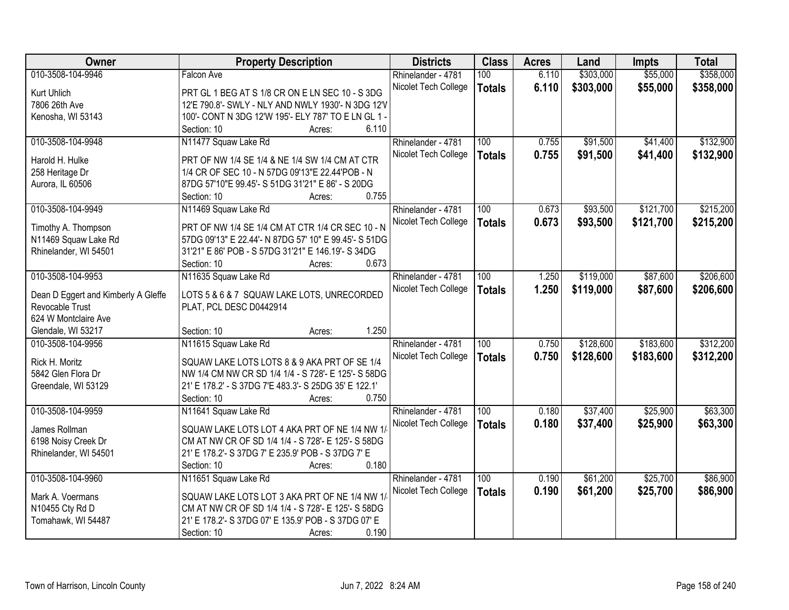| 010-3508-104-9946<br>6.110<br>Falcon Ave<br>Rhinelander - 4781<br>100<br>6.110<br>\$303,000<br>\$55,000<br>Nicolet Tech College<br><b>Totals</b><br>Kurt Uhlich<br>PRT GL 1 BEG AT S 1/8 CR ON E LN SEC 10 - S 3DG<br>7806 26th Ave<br>12'E 790.8'- SWLY - NLY AND NWLY 1930'- N 3DG 12'V<br>100'- CONT N 3DG 12'W 195'- ELY 787' TO E LN GL 1 -<br>Kenosha, WI 53143<br>6.110<br>Section: 10<br>Acres:<br>\$91,500<br>\$41,400<br>010-3508-104-9948<br>N11477 Squaw Lake Rd<br>Rhinelander - 4781<br>100<br>0.755<br>Nicolet Tech College<br>0.755<br>\$91,500<br>\$41,400<br><b>Totals</b><br>Harold H. Hulke<br>PRT OF NW 1/4 SE 1/4 & NE 1/4 SW 1/4 CM AT CTR<br>1/4 CR OF SEC 10 - N 57DG 09'13"E 22.44'POB - N<br>258 Heritage Dr<br>Aurora, IL 60506<br>87DG 57'10"E 99.45'- S 51DG 31'21" E 86' - S 20DG<br>0.755<br>Section: 10<br>Acres:<br>\$121,700<br>010-3508-104-9949<br>N11469 Squaw Lake Rd<br>\$93,500<br>Rhinelander - 4781<br>100<br>0.673<br>\$121,700<br>Nicolet Tech College<br>0.673<br>\$93,500<br><b>Totals</b><br>PRT OF NW 1/4 SE 1/4 CM AT CTR 1/4 CR SEC 10 - N<br>Timothy A. Thompson<br>N11469 Squaw Lake Rd<br>57DG 09'13" E 22.44'- N 87DG 57' 10" E 99.45'- S 51DG<br>31'21" E 86' POB - S 57DG 31'21" E 146.19'- S 34DG<br>Rhinelander, WI 54501<br>0.673<br>Section: 10<br>Acres:<br>010-3508-104-9953<br>N11635 Squaw Lake Rd<br>\$119,000<br>\$87,600<br>Rhinelander - 4781<br>100<br>1.250<br>1.250<br>Nicolet Tech College<br>\$119,000<br>\$87,600<br><b>Totals</b><br>LOTS 5 & 6 & 7 SQUAW LAKE LOTS, UNRECORDED<br>Dean D Eggert and Kimberly A Gleffe<br>Revocable Trust<br>PLAT, PCL DESC D0442914<br>624 W Montclaire Ave<br>1.250<br>Section: 10<br>Glendale, WI 53217<br>Acres:<br>N11615 Squaw Lake Rd<br>100<br>\$128,600<br>\$183,600<br>010-3508-104-9956<br>0.750<br>Rhinelander - 4781<br>0.750<br>\$128,600<br>\$183,600<br>Nicolet Tech College<br><b>Totals</b><br>SQUAW LAKE LOTS LOTS 8 & 9 AKA PRT OF SE 1/4<br>Rick H. Moritz<br>5842 Glen Flora Dr<br>NW 1/4 CM NW CR SD 1/4 1/4 - S 728'- E 125'- S 58DG<br>Greendale, WI 53129<br>21' E 178.2' - S 37DG 7'E 483.3'- S 25DG 35' E 122.1'<br>0.750<br>Section: 10<br>Acres:<br>010-3508-104-9959<br>100<br>\$37,400<br>\$25,900<br>N11641 Squaw Lake Rd<br>Rhinelander - 4781<br>0.180<br>0.180<br>\$37,400<br>\$25,900<br>Nicolet Tech College<br><b>Totals</b><br>SQUAW LAKE LOTS LOT 4 AKA PRT OF NE 1/4 NW 1/<br>James Rollman<br>CM AT NW CR OF SD 1/4 1/4 - S 728'- E 125'- S 58DG<br>6198 Noisy Creek Dr<br>21' E 178.2'- S 37DG 7' E 235.9' POB - S 37DG 7' E<br>Rhinelander, WI 54501<br>0.180<br>Section: 10<br>Acres:<br>\$25,700<br>\$86,900<br>010-3508-104-9960<br>\$61,200<br>N11651 Squaw Lake Rd<br>Rhinelander - 4781<br>100<br>0.190<br>0.190<br>\$61,200<br>\$25,700<br>Nicolet Tech College<br>\$86,900<br><b>Totals</b><br>Mark A. Voermans<br>SQUAW LAKE LOTS LOT 3 AKA PRT OF NE 1/4 NW 1/ | Owner           | <b>Property Description</b>                        | <b>Districts</b> | <b>Class</b> | <b>Acres</b> | Land      | <b>Impts</b> | <b>Total</b> |
|-----------------------------------------------------------------------------------------------------------------------------------------------------------------------------------------------------------------------------------------------------------------------------------------------------------------------------------------------------------------------------------------------------------------------------------------------------------------------------------------------------------------------------------------------------------------------------------------------------------------------------------------------------------------------------------------------------------------------------------------------------------------------------------------------------------------------------------------------------------------------------------------------------------------------------------------------------------------------------------------------------------------------------------------------------------------------------------------------------------------------------------------------------------------------------------------------------------------------------------------------------------------------------------------------------------------------------------------------------------------------------------------------------------------------------------------------------------------------------------------------------------------------------------------------------------------------------------------------------------------------------------------------------------------------------------------------------------------------------------------------------------------------------------------------------------------------------------------------------------------------------------------------------------------------------------------------------------------------------------------------------------------------------------------------------------------------------------------------------------------------------------------------------------------------------------------------------------------------------------------------------------------------------------------------------------------------------------------------------------------------------------------------------------------------------------------------------------------------------------------------------------------------------------------------------------------------------------------------------------------------------------------------------------------------------------------------------------------------------------------------------------------------------------------------------------------------------------------------------------------------------------------------------------------------------------|-----------------|----------------------------------------------------|------------------|--------------|--------------|-----------|--------------|--------------|
|                                                                                                                                                                                                                                                                                                                                                                                                                                                                                                                                                                                                                                                                                                                                                                                                                                                                                                                                                                                                                                                                                                                                                                                                                                                                                                                                                                                                                                                                                                                                                                                                                                                                                                                                                                                                                                                                                                                                                                                                                                                                                                                                                                                                                                                                                                                                                                                                                                                                                                                                                                                                                                                                                                                                                                                                                                                                                                                                   |                 |                                                    |                  |              |              | \$303,000 | \$55,000     | \$358,000    |
|                                                                                                                                                                                                                                                                                                                                                                                                                                                                                                                                                                                                                                                                                                                                                                                                                                                                                                                                                                                                                                                                                                                                                                                                                                                                                                                                                                                                                                                                                                                                                                                                                                                                                                                                                                                                                                                                                                                                                                                                                                                                                                                                                                                                                                                                                                                                                                                                                                                                                                                                                                                                                                                                                                                                                                                                                                                                                                                                   |                 |                                                    |                  |              |              |           |              | \$358,000    |
|                                                                                                                                                                                                                                                                                                                                                                                                                                                                                                                                                                                                                                                                                                                                                                                                                                                                                                                                                                                                                                                                                                                                                                                                                                                                                                                                                                                                                                                                                                                                                                                                                                                                                                                                                                                                                                                                                                                                                                                                                                                                                                                                                                                                                                                                                                                                                                                                                                                                                                                                                                                                                                                                                                                                                                                                                                                                                                                                   |                 |                                                    |                  |              |              |           |              |              |
| \$132,900<br>\$132,900<br>\$215,200<br>\$215,200<br>\$206,600<br>\$206,600                                                                                                                                                                                                                                                                                                                                                                                                                                                                                                                                                                                                                                                                                                                                                                                                                                                                                                                                                                                                                                                                                                                                                                                                                                                                                                                                                                                                                                                                                                                                                                                                                                                                                                                                                                                                                                                                                                                                                                                                                                                                                                                                                                                                                                                                                                                                                                                                                                                                                                                                                                                                                                                                                                                                                                                                                                                        |                 |                                                    |                  |              |              |           |              |              |
|                                                                                                                                                                                                                                                                                                                                                                                                                                                                                                                                                                                                                                                                                                                                                                                                                                                                                                                                                                                                                                                                                                                                                                                                                                                                                                                                                                                                                                                                                                                                                                                                                                                                                                                                                                                                                                                                                                                                                                                                                                                                                                                                                                                                                                                                                                                                                                                                                                                                                                                                                                                                                                                                                                                                                                                                                                                                                                                                   |                 |                                                    |                  |              |              |           |              |              |
|                                                                                                                                                                                                                                                                                                                                                                                                                                                                                                                                                                                                                                                                                                                                                                                                                                                                                                                                                                                                                                                                                                                                                                                                                                                                                                                                                                                                                                                                                                                                                                                                                                                                                                                                                                                                                                                                                                                                                                                                                                                                                                                                                                                                                                                                                                                                                                                                                                                                                                                                                                                                                                                                                                                                                                                                                                                                                                                                   |                 |                                                    |                  |              |              |           |              |              |
|                                                                                                                                                                                                                                                                                                                                                                                                                                                                                                                                                                                                                                                                                                                                                                                                                                                                                                                                                                                                                                                                                                                                                                                                                                                                                                                                                                                                                                                                                                                                                                                                                                                                                                                                                                                                                                                                                                                                                                                                                                                                                                                                                                                                                                                                                                                                                                                                                                                                                                                                                                                                                                                                                                                                                                                                                                                                                                                                   |                 |                                                    |                  |              |              |           |              |              |
|                                                                                                                                                                                                                                                                                                                                                                                                                                                                                                                                                                                                                                                                                                                                                                                                                                                                                                                                                                                                                                                                                                                                                                                                                                                                                                                                                                                                                                                                                                                                                                                                                                                                                                                                                                                                                                                                                                                                                                                                                                                                                                                                                                                                                                                                                                                                                                                                                                                                                                                                                                                                                                                                                                                                                                                                                                                                                                                                   |                 |                                                    |                  |              |              |           |              |              |
|                                                                                                                                                                                                                                                                                                                                                                                                                                                                                                                                                                                                                                                                                                                                                                                                                                                                                                                                                                                                                                                                                                                                                                                                                                                                                                                                                                                                                                                                                                                                                                                                                                                                                                                                                                                                                                                                                                                                                                                                                                                                                                                                                                                                                                                                                                                                                                                                                                                                                                                                                                                                                                                                                                                                                                                                                                                                                                                                   |                 |                                                    |                  |              |              |           |              |              |
|                                                                                                                                                                                                                                                                                                                                                                                                                                                                                                                                                                                                                                                                                                                                                                                                                                                                                                                                                                                                                                                                                                                                                                                                                                                                                                                                                                                                                                                                                                                                                                                                                                                                                                                                                                                                                                                                                                                                                                                                                                                                                                                                                                                                                                                                                                                                                                                                                                                                                                                                                                                                                                                                                                                                                                                                                                                                                                                                   |                 |                                                    |                  |              |              |           |              |              |
|                                                                                                                                                                                                                                                                                                                                                                                                                                                                                                                                                                                                                                                                                                                                                                                                                                                                                                                                                                                                                                                                                                                                                                                                                                                                                                                                                                                                                                                                                                                                                                                                                                                                                                                                                                                                                                                                                                                                                                                                                                                                                                                                                                                                                                                                                                                                                                                                                                                                                                                                                                                                                                                                                                                                                                                                                                                                                                                                   |                 |                                                    |                  |              |              |           |              |              |
|                                                                                                                                                                                                                                                                                                                                                                                                                                                                                                                                                                                                                                                                                                                                                                                                                                                                                                                                                                                                                                                                                                                                                                                                                                                                                                                                                                                                                                                                                                                                                                                                                                                                                                                                                                                                                                                                                                                                                                                                                                                                                                                                                                                                                                                                                                                                                                                                                                                                                                                                                                                                                                                                                                                                                                                                                                                                                                                                   |                 |                                                    |                  |              |              |           |              |              |
|                                                                                                                                                                                                                                                                                                                                                                                                                                                                                                                                                                                                                                                                                                                                                                                                                                                                                                                                                                                                                                                                                                                                                                                                                                                                                                                                                                                                                                                                                                                                                                                                                                                                                                                                                                                                                                                                                                                                                                                                                                                                                                                                                                                                                                                                                                                                                                                                                                                                                                                                                                                                                                                                                                                                                                                                                                                                                                                                   |                 |                                                    |                  |              |              |           |              |              |
|                                                                                                                                                                                                                                                                                                                                                                                                                                                                                                                                                                                                                                                                                                                                                                                                                                                                                                                                                                                                                                                                                                                                                                                                                                                                                                                                                                                                                                                                                                                                                                                                                                                                                                                                                                                                                                                                                                                                                                                                                                                                                                                                                                                                                                                                                                                                                                                                                                                                                                                                                                                                                                                                                                                                                                                                                                                                                                                                   |                 |                                                    |                  |              |              |           |              |              |
|                                                                                                                                                                                                                                                                                                                                                                                                                                                                                                                                                                                                                                                                                                                                                                                                                                                                                                                                                                                                                                                                                                                                                                                                                                                                                                                                                                                                                                                                                                                                                                                                                                                                                                                                                                                                                                                                                                                                                                                                                                                                                                                                                                                                                                                                                                                                                                                                                                                                                                                                                                                                                                                                                                                                                                                                                                                                                                                                   |                 |                                                    |                  |              |              |           |              |              |
|                                                                                                                                                                                                                                                                                                                                                                                                                                                                                                                                                                                                                                                                                                                                                                                                                                                                                                                                                                                                                                                                                                                                                                                                                                                                                                                                                                                                                                                                                                                                                                                                                                                                                                                                                                                                                                                                                                                                                                                                                                                                                                                                                                                                                                                                                                                                                                                                                                                                                                                                                                                                                                                                                                                                                                                                                                                                                                                                   |                 |                                                    |                  |              |              |           |              |              |
|                                                                                                                                                                                                                                                                                                                                                                                                                                                                                                                                                                                                                                                                                                                                                                                                                                                                                                                                                                                                                                                                                                                                                                                                                                                                                                                                                                                                                                                                                                                                                                                                                                                                                                                                                                                                                                                                                                                                                                                                                                                                                                                                                                                                                                                                                                                                                                                                                                                                                                                                                                                                                                                                                                                                                                                                                                                                                                                                   |                 |                                                    |                  |              |              |           |              |              |
|                                                                                                                                                                                                                                                                                                                                                                                                                                                                                                                                                                                                                                                                                                                                                                                                                                                                                                                                                                                                                                                                                                                                                                                                                                                                                                                                                                                                                                                                                                                                                                                                                                                                                                                                                                                                                                                                                                                                                                                                                                                                                                                                                                                                                                                                                                                                                                                                                                                                                                                                                                                                                                                                                                                                                                                                                                                                                                                                   |                 |                                                    |                  |              |              |           |              |              |
| \$312,200<br>\$312,200<br>\$63,300<br>\$63,300                                                                                                                                                                                                                                                                                                                                                                                                                                                                                                                                                                                                                                                                                                                                                                                                                                                                                                                                                                                                                                                                                                                                                                                                                                                                                                                                                                                                                                                                                                                                                                                                                                                                                                                                                                                                                                                                                                                                                                                                                                                                                                                                                                                                                                                                                                                                                                                                                                                                                                                                                                                                                                                                                                                                                                                                                                                                                    |                 |                                                    |                  |              |              |           |              |              |
|                                                                                                                                                                                                                                                                                                                                                                                                                                                                                                                                                                                                                                                                                                                                                                                                                                                                                                                                                                                                                                                                                                                                                                                                                                                                                                                                                                                                                                                                                                                                                                                                                                                                                                                                                                                                                                                                                                                                                                                                                                                                                                                                                                                                                                                                                                                                                                                                                                                                                                                                                                                                                                                                                                                                                                                                                                                                                                                                   |                 |                                                    |                  |              |              |           |              |              |
|                                                                                                                                                                                                                                                                                                                                                                                                                                                                                                                                                                                                                                                                                                                                                                                                                                                                                                                                                                                                                                                                                                                                                                                                                                                                                                                                                                                                                                                                                                                                                                                                                                                                                                                                                                                                                                                                                                                                                                                                                                                                                                                                                                                                                                                                                                                                                                                                                                                                                                                                                                                                                                                                                                                                                                                                                                                                                                                                   |                 |                                                    |                  |              |              |           |              |              |
|                                                                                                                                                                                                                                                                                                                                                                                                                                                                                                                                                                                                                                                                                                                                                                                                                                                                                                                                                                                                                                                                                                                                                                                                                                                                                                                                                                                                                                                                                                                                                                                                                                                                                                                                                                                                                                                                                                                                                                                                                                                                                                                                                                                                                                                                                                                                                                                                                                                                                                                                                                                                                                                                                                                                                                                                                                                                                                                                   |                 |                                                    |                  |              |              |           |              |              |
|                                                                                                                                                                                                                                                                                                                                                                                                                                                                                                                                                                                                                                                                                                                                                                                                                                                                                                                                                                                                                                                                                                                                                                                                                                                                                                                                                                                                                                                                                                                                                                                                                                                                                                                                                                                                                                                                                                                                                                                                                                                                                                                                                                                                                                                                                                                                                                                                                                                                                                                                                                                                                                                                                                                                                                                                                                                                                                                                   |                 |                                                    |                  |              |              |           |              |              |
|                                                                                                                                                                                                                                                                                                                                                                                                                                                                                                                                                                                                                                                                                                                                                                                                                                                                                                                                                                                                                                                                                                                                                                                                                                                                                                                                                                                                                                                                                                                                                                                                                                                                                                                                                                                                                                                                                                                                                                                                                                                                                                                                                                                                                                                                                                                                                                                                                                                                                                                                                                                                                                                                                                                                                                                                                                                                                                                                   |                 |                                                    |                  |              |              |           |              |              |
|                                                                                                                                                                                                                                                                                                                                                                                                                                                                                                                                                                                                                                                                                                                                                                                                                                                                                                                                                                                                                                                                                                                                                                                                                                                                                                                                                                                                                                                                                                                                                                                                                                                                                                                                                                                                                                                                                                                                                                                                                                                                                                                                                                                                                                                                                                                                                                                                                                                                                                                                                                                                                                                                                                                                                                                                                                                                                                                                   |                 |                                                    |                  |              |              |           |              |              |
|                                                                                                                                                                                                                                                                                                                                                                                                                                                                                                                                                                                                                                                                                                                                                                                                                                                                                                                                                                                                                                                                                                                                                                                                                                                                                                                                                                                                                                                                                                                                                                                                                                                                                                                                                                                                                                                                                                                                                                                                                                                                                                                                                                                                                                                                                                                                                                                                                                                                                                                                                                                                                                                                                                                                                                                                                                                                                                                                   |                 |                                                    |                  |              |              |           |              |              |
|                                                                                                                                                                                                                                                                                                                                                                                                                                                                                                                                                                                                                                                                                                                                                                                                                                                                                                                                                                                                                                                                                                                                                                                                                                                                                                                                                                                                                                                                                                                                                                                                                                                                                                                                                                                                                                                                                                                                                                                                                                                                                                                                                                                                                                                                                                                                                                                                                                                                                                                                                                                                                                                                                                                                                                                                                                                                                                                                   |                 |                                                    |                  |              |              |           |              |              |
|                                                                                                                                                                                                                                                                                                                                                                                                                                                                                                                                                                                                                                                                                                                                                                                                                                                                                                                                                                                                                                                                                                                                                                                                                                                                                                                                                                                                                                                                                                                                                                                                                                                                                                                                                                                                                                                                                                                                                                                                                                                                                                                                                                                                                                                                                                                                                                                                                                                                                                                                                                                                                                                                                                                                                                                                                                                                                                                                   |                 |                                                    |                  |              |              |           |              |              |
|                                                                                                                                                                                                                                                                                                                                                                                                                                                                                                                                                                                                                                                                                                                                                                                                                                                                                                                                                                                                                                                                                                                                                                                                                                                                                                                                                                                                                                                                                                                                                                                                                                                                                                                                                                                                                                                                                                                                                                                                                                                                                                                                                                                                                                                                                                                                                                                                                                                                                                                                                                                                                                                                                                                                                                                                                                                                                                                                   |                 |                                                    |                  |              |              |           |              |              |
|                                                                                                                                                                                                                                                                                                                                                                                                                                                                                                                                                                                                                                                                                                                                                                                                                                                                                                                                                                                                                                                                                                                                                                                                                                                                                                                                                                                                                                                                                                                                                                                                                                                                                                                                                                                                                                                                                                                                                                                                                                                                                                                                                                                                                                                                                                                                                                                                                                                                                                                                                                                                                                                                                                                                                                                                                                                                                                                                   |                 |                                                    |                  |              |              |           |              |              |
|                                                                                                                                                                                                                                                                                                                                                                                                                                                                                                                                                                                                                                                                                                                                                                                                                                                                                                                                                                                                                                                                                                                                                                                                                                                                                                                                                                                                                                                                                                                                                                                                                                                                                                                                                                                                                                                                                                                                                                                                                                                                                                                                                                                                                                                                                                                                                                                                                                                                                                                                                                                                                                                                                                                                                                                                                                                                                                                                   |                 |                                                    |                  |              |              |           |              |              |
|                                                                                                                                                                                                                                                                                                                                                                                                                                                                                                                                                                                                                                                                                                                                                                                                                                                                                                                                                                                                                                                                                                                                                                                                                                                                                                                                                                                                                                                                                                                                                                                                                                                                                                                                                                                                                                                                                                                                                                                                                                                                                                                                                                                                                                                                                                                                                                                                                                                                                                                                                                                                                                                                                                                                                                                                                                                                                                                                   |                 |                                                    |                  |              |              |           |              |              |
|                                                                                                                                                                                                                                                                                                                                                                                                                                                                                                                                                                                                                                                                                                                                                                                                                                                                                                                                                                                                                                                                                                                                                                                                                                                                                                                                                                                                                                                                                                                                                                                                                                                                                                                                                                                                                                                                                                                                                                                                                                                                                                                                                                                                                                                                                                                                                                                                                                                                                                                                                                                                                                                                                                                                                                                                                                                                                                                                   |                 |                                                    |                  |              |              |           |              |              |
|                                                                                                                                                                                                                                                                                                                                                                                                                                                                                                                                                                                                                                                                                                                                                                                                                                                                                                                                                                                                                                                                                                                                                                                                                                                                                                                                                                                                                                                                                                                                                                                                                                                                                                                                                                                                                                                                                                                                                                                                                                                                                                                                                                                                                                                                                                                                                                                                                                                                                                                                                                                                                                                                                                                                                                                                                                                                                                                                   |                 |                                                    |                  |              |              |           |              |              |
|                                                                                                                                                                                                                                                                                                                                                                                                                                                                                                                                                                                                                                                                                                                                                                                                                                                                                                                                                                                                                                                                                                                                                                                                                                                                                                                                                                                                                                                                                                                                                                                                                                                                                                                                                                                                                                                                                                                                                                                                                                                                                                                                                                                                                                                                                                                                                                                                                                                                                                                                                                                                                                                                                                                                                                                                                                                                                                                                   | N10455 Cty Rd D | CM AT NW CR OF SD 1/4 1/4 - S 728'- E 125'- S 58DG |                  |              |              |           |              |              |
| Tomahawk, WI 54487<br>21' E 178.2'- S 37DG 07' E 135.9' POB - S 37DG 07' E                                                                                                                                                                                                                                                                                                                                                                                                                                                                                                                                                                                                                                                                                                                                                                                                                                                                                                                                                                                                                                                                                                                                                                                                                                                                                                                                                                                                                                                                                                                                                                                                                                                                                                                                                                                                                                                                                                                                                                                                                                                                                                                                                                                                                                                                                                                                                                                                                                                                                                                                                                                                                                                                                                                                                                                                                                                        |                 |                                                    |                  |              |              |           |              |              |
| 0.190<br>Section: 10<br>Acres:                                                                                                                                                                                                                                                                                                                                                                                                                                                                                                                                                                                                                                                                                                                                                                                                                                                                                                                                                                                                                                                                                                                                                                                                                                                                                                                                                                                                                                                                                                                                                                                                                                                                                                                                                                                                                                                                                                                                                                                                                                                                                                                                                                                                                                                                                                                                                                                                                                                                                                                                                                                                                                                                                                                                                                                                                                                                                                    |                 |                                                    |                  |              |              |           |              |              |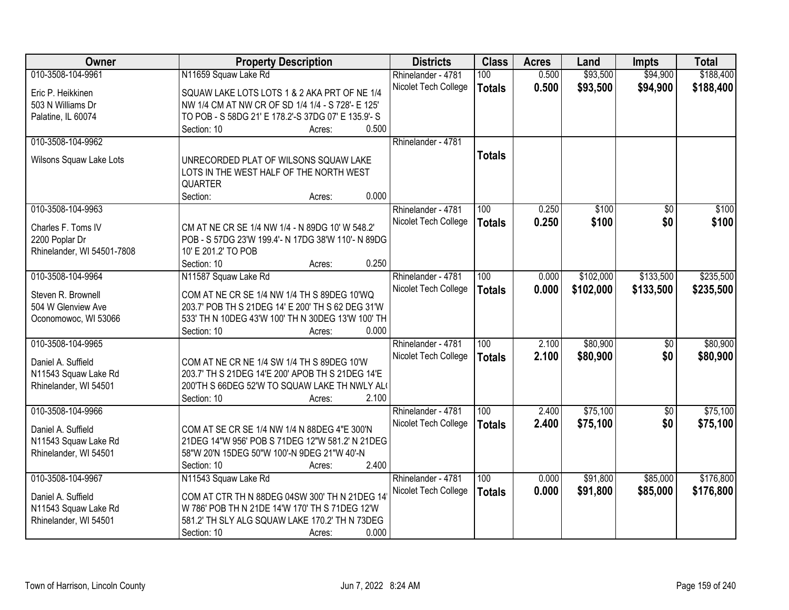| Owner                      | <b>Property Description</b>                         | <b>Districts</b>     | <b>Class</b>     | <b>Acres</b> | Land      | <b>Impts</b>    | <b>Total</b> |
|----------------------------|-----------------------------------------------------|----------------------|------------------|--------------|-----------|-----------------|--------------|
| 010-3508-104-9961          | N11659 Squaw Lake Rd                                | Rhinelander - 4781   | 100              | 0.500        | \$93,500  | \$94,900        | \$188,400    |
| Eric P. Heikkinen          | SQUAW LAKE LOTS LOTS 1 & 2 AKA PRT OF NE 1/4        | Nicolet Tech College | <b>Totals</b>    | 0.500        | \$93,500  | \$94,900        | \$188,400    |
| 503 N Williams Dr          | NW 1/4 CM AT NW CR OF SD 1/4 1/4 - S 728'- E 125'   |                      |                  |              |           |                 |              |
| Palatine, IL 60074         | TO POB - S 58DG 21' E 178.2'-S 37DG 07' E 135.9'- S |                      |                  |              |           |                 |              |
|                            | 0.500<br>Section: 10<br>Acres:                      |                      |                  |              |           |                 |              |
| 010-3508-104-9962          |                                                     | Rhinelander - 4781   |                  |              |           |                 |              |
|                            |                                                     |                      | <b>Totals</b>    |              |           |                 |              |
| Wilsons Squaw Lake Lots    | UNRECORDED PLAT OF WILSONS SQUAW LAKE               |                      |                  |              |           |                 |              |
|                            | LOTS IN THE WEST HALF OF THE NORTH WEST             |                      |                  |              |           |                 |              |
|                            | <b>QUARTER</b>                                      |                      |                  |              |           |                 |              |
|                            | 0.000<br>Section:<br>Acres:                         |                      |                  |              |           |                 |              |
| 010-3508-104-9963          |                                                     | Rhinelander - 4781   | 100              | 0.250        | \$100     | $\overline{50}$ | \$100        |
| Charles F. Toms IV         | CM AT NE CR SE 1/4 NW 1/4 - N 89DG 10' W 548.2'     | Nicolet Tech College | <b>Totals</b>    | 0.250        | \$100     | \$0             | \$100        |
| 2200 Poplar Dr             | POB - S 57DG 23'W 199.4'- N 17DG 38'W 110'- N 89DG  |                      |                  |              |           |                 |              |
| Rhinelander, WI 54501-7808 | 10' E 201.2' TO POB                                 |                      |                  |              |           |                 |              |
|                            | Section: 10<br>0.250<br>Acres:                      |                      |                  |              |           |                 |              |
| 010-3508-104-9964          | N11587 Squaw Lake Rd                                | Rhinelander - 4781   | 100              | 0.000        | \$102,000 | \$133,500       | \$235,500    |
|                            |                                                     | Nicolet Tech College | <b>Totals</b>    | 0.000        | \$102,000 | \$133,500       | \$235,500    |
| Steven R. Brownell         | COM AT NE CR SE 1/4 NW 1/4 TH S 89DEG 10'WQ         |                      |                  |              |           |                 |              |
| 504 W Glenview Ave         | 203.7' POB TH S 21DEG 14' E 200' TH S 62 DEG 31'W   |                      |                  |              |           |                 |              |
| Oconomowoc, WI 53066       | 533' TH N 10DEG 43'W 100' TH N 30DEG 13'W 100' TH   |                      |                  |              |           |                 |              |
|                            | 0.000<br>Section: 10<br>Acres:                      |                      |                  |              |           |                 |              |
| 010-3508-104-9965          |                                                     | Rhinelander - 4781   | $\overline{100}$ | 2.100        | \$80,900  | $\overline{50}$ | \$80,900     |
| Daniel A. Suffield         | COM AT NE CR NE 1/4 SW 1/4 TH S 89DEG 10'W          | Nicolet Tech College | <b>Totals</b>    | 2.100        | \$80,900  | \$0             | \$80,900     |
| N11543 Squaw Lake Rd       | 203.7' TH S 21DEG 14'E 200' APOB TH S 21DEG 14'E    |                      |                  |              |           |                 |              |
| Rhinelander, WI 54501      | 200'TH S 66DEG 52'W TO SQUAW LAKE TH NWLY AL(       |                      |                  |              |           |                 |              |
|                            | 2.100<br>Section: 10<br>Acres:                      |                      |                  |              |           |                 |              |
| 010-3508-104-9966          |                                                     | Rhinelander - 4781   | 100              | 2.400        | \$75,100  | $\overline{50}$ | \$75,100     |
|                            |                                                     | Nicolet Tech College | <b>Totals</b>    | 2.400        | \$75,100  | \$0             | \$75,100     |
| Daniel A. Suffield         | COM AT SE CR SE 1/4 NW 1/4 N 88DEG 4"E 300'N        |                      |                  |              |           |                 |              |
| N11543 Squaw Lake Rd       | 21DEG 14"W 956' POB S 71DEG 12"W 581.2' N 21DEG     |                      |                  |              |           |                 |              |
| Rhinelander, WI 54501      | 58"W 20'N 15DEG 50"W 100'-N 9DEG 21"W 40'-N         |                      |                  |              |           |                 |              |
|                            | 2.400<br>Section: 10<br>Acres:                      |                      |                  |              |           |                 |              |
| 010-3508-104-9967          | N11543 Squaw Lake Rd                                | Rhinelander - 4781   | 100              | 0.000        | \$91,800  | \$85,000        | \$176,800    |
| Daniel A. Suffield         | COM AT CTR TH N 88DEG 04SW 300' TH N 21DEG 14       | Nicolet Tech College | <b>Totals</b>    | 0.000        | \$91,800  | \$85,000        | \$176,800    |
| N11543 Squaw Lake Rd       | W 786' POB TH N 21DE 14'W 170' TH S 71DEG 12'W      |                      |                  |              |           |                 |              |
| Rhinelander, WI 54501      | 581.2' TH SLY ALG SQUAW LAKE 170.2' TH N 73DEG      |                      |                  |              |           |                 |              |
|                            | 0.000<br>Section: 10<br>Acres:                      |                      |                  |              |           |                 |              |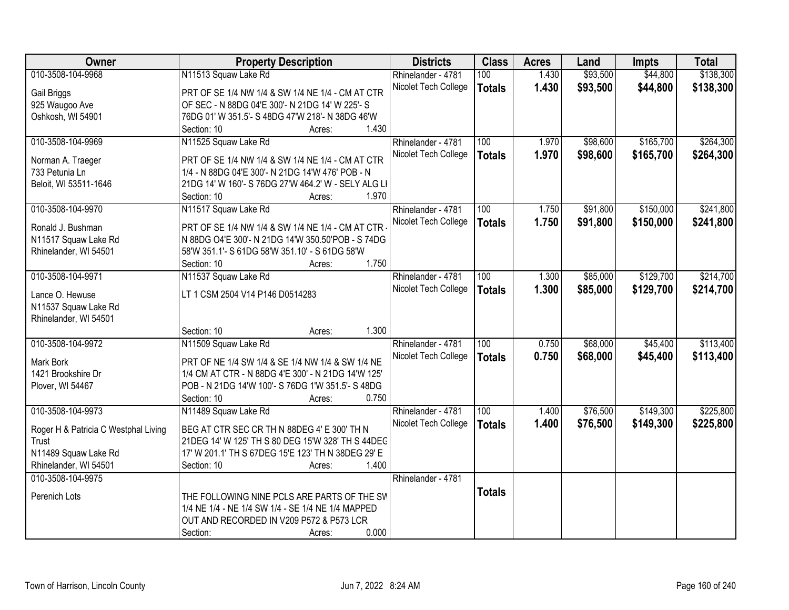| Owner                                | <b>Property Description</b>                                                                      | <b>Districts</b>     | <b>Class</b>     | <b>Acres</b> | Land     | <b>Impts</b> | <b>Total</b> |
|--------------------------------------|--------------------------------------------------------------------------------------------------|----------------------|------------------|--------------|----------|--------------|--------------|
| 010-3508-104-9968                    | N11513 Squaw Lake Rd                                                                             | Rhinelander - 4781   | 100              | 1.430        | \$93,500 | \$44,800     | \$138,300    |
| Gail Briggs                          | PRT OF SE 1/4 NW 1/4 & SW 1/4 NE 1/4 - CM AT CTR                                                 | Nicolet Tech College | <b>Totals</b>    | 1.430        | \$93,500 | \$44,800     | \$138,300    |
| 925 Waugoo Ave                       | OF SEC - N 88DG 04'E 300'- N 21DG 14' W 225'- S                                                  |                      |                  |              |          |              |              |
| Oshkosh, WI 54901                    | 76DG 01' W 351.5'- S 48DG 47'W 218'- N 38DG 46'W                                                 |                      |                  |              |          |              |              |
|                                      | 1.430<br>Section: 10<br>Acres:                                                                   |                      |                  |              |          |              |              |
| 010-3508-104-9969                    | N11525 Squaw Lake Rd                                                                             | Rhinelander - 4781   | 100              | 1.970        | \$98,600 | \$165,700    | \$264,300    |
| Norman A. Traeger                    | PRT OF SE 1/4 NW 1/4 & SW 1/4 NE 1/4 - CM AT CTR                                                 | Nicolet Tech College | <b>Totals</b>    | 1.970        | \$98,600 | \$165,700    | \$264,300    |
| 733 Petunia Ln                       | 1/4 - N 88DG 04'E 300'- N 21DG 14'W 476' POB - N                                                 |                      |                  |              |          |              |              |
| Beloit, WI 53511-1646                | 21DG 14' W 160'- S 76DG 27'W 464.2' W - SELY ALG LI                                              |                      |                  |              |          |              |              |
|                                      | 1.970<br>Section: 10<br>Acres:                                                                   |                      |                  |              |          |              |              |
| 010-3508-104-9970                    | N11517 Squaw Lake Rd                                                                             | Rhinelander - 4781   | 100              | 1.750        | \$91,800 | \$150,000    | \$241,800    |
|                                      |                                                                                                  | Nicolet Tech College | <b>Totals</b>    | 1.750        | \$91,800 | \$150,000    | \$241,800    |
| Ronald J. Bushman                    | PRT OF SE 1/4 NW 1/4 & SW 1/4 NE 1/4 - CM AT CTR                                                 |                      |                  |              |          |              |              |
| N11517 Squaw Lake Rd                 | N 88DG O4'E 300'- N 21DG 14'W 350.50'POB - S 74DG                                                |                      |                  |              |          |              |              |
| Rhinelander, WI 54501                | 58'W 351.1'- S 61DG 58'W 351.10' - S 61DG 58'W                                                   |                      |                  |              |          |              |              |
|                                      | 1.750<br>Section: 10<br>Acres:                                                                   |                      |                  |              |          |              |              |
| 010-3508-104-9971                    | N11537 Squaw Lake Rd                                                                             | Rhinelander - 4781   | 100              | 1.300        | \$85,000 | \$129,700    | \$214,700    |
| Lance O. Hewuse                      | LT 1 CSM 2504 V14 P146 D0514283                                                                  | Nicolet Tech College | <b>Totals</b>    | 1.300        | \$85,000 | \$129,700    | \$214,700    |
| N11537 Squaw Lake Rd                 |                                                                                                  |                      |                  |              |          |              |              |
| Rhinelander, WI 54501                |                                                                                                  |                      |                  |              |          |              |              |
|                                      | 1.300<br>Section: 10<br>Acres:                                                                   |                      |                  |              |          |              |              |
| 010-3508-104-9972                    | N11509 Squaw Lake Rd                                                                             | Rhinelander - 4781   | $\overline{100}$ | 0.750        | \$68,000 | \$45,400     | \$113,400    |
| Mark Bork                            | PRT OF NE 1/4 SW 1/4 & SE 1/4 NW 1/4 & SW 1/4 NE                                                 | Nicolet Tech College | <b>Totals</b>    | 0.750        | \$68,000 | \$45,400     | \$113,400    |
| 1421 Brookshire Dr                   | 1/4 CM AT CTR - N 88DG 4'E 300' - N 21DG 14'W 125'                                               |                      |                  |              |          |              |              |
| Plover, WI 54467                     | POB - N 21DG 14'W 100'- S 76DG 1'W 351.5'- S 48DG                                                |                      |                  |              |          |              |              |
|                                      | 0.750<br>Section: 10<br>Acres:                                                                   |                      |                  |              |          |              |              |
| 010-3508-104-9973                    | N11489 Squaw Lake Rd                                                                             | Rhinelander - 4781   | 100              | 1.400        | \$76,500 | \$149,300    | \$225,800    |
|                                      |                                                                                                  | Nicolet Tech College | <b>Totals</b>    | 1.400        | \$76,500 | \$149,300    | \$225,800    |
| Roger H & Patricia C Westphal Living | BEG AT CTR SEC CR TH N 88DEG 4' E 300' TH N<br>21DEG 14' W 125' TH S 80 DEG 15'W 328' TH S 44DEC |                      |                  |              |          |              |              |
| Trust<br>N11489 Squaw Lake Rd        | 17' W 201.1' TH S 67DEG 15'E 123' TH N 38DEG 29' E                                               |                      |                  |              |          |              |              |
| Rhinelander, WI 54501                | Section: 10<br>1.400<br>Acres:                                                                   |                      |                  |              |          |              |              |
| 010-3508-104-9975                    |                                                                                                  | Rhinelander - 4781   |                  |              |          |              |              |
|                                      |                                                                                                  |                      |                  |              |          |              |              |
| Perenich Lots                        | THE FOLLOWING NINE PCLS ARE PARTS OF THE SW                                                      |                      | <b>Totals</b>    |              |          |              |              |
|                                      | 1/4 NE 1/4 - NE 1/4 SW 1/4 - SE 1/4 NE 1/4 MAPPED                                                |                      |                  |              |          |              |              |
|                                      | OUT AND RECORDED IN V209 P572 & P573 LCR                                                         |                      |                  |              |          |              |              |
|                                      | 0.000<br>Section:<br>Acres:                                                                      |                      |                  |              |          |              |              |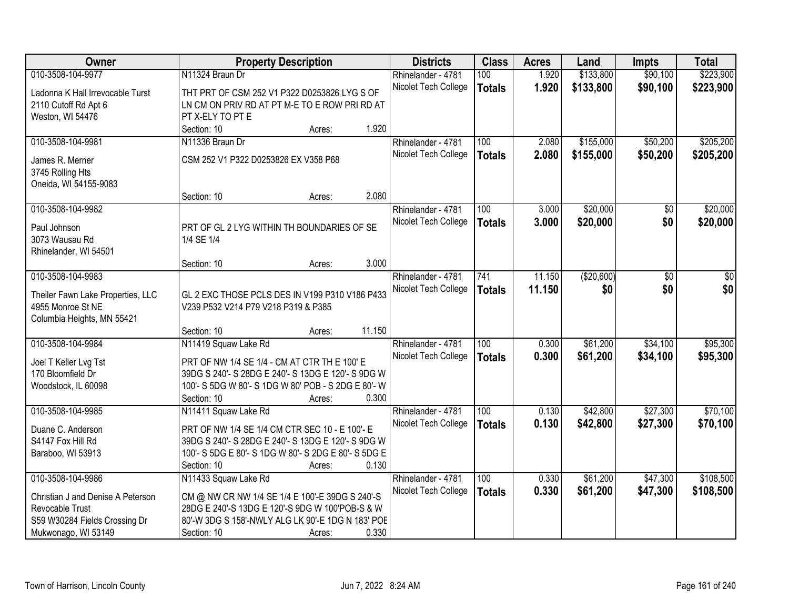| <b>Owner</b>                      | <b>Property Description</b>                              |        |        | <b>Districts</b>     | <b>Class</b>  | <b>Acres</b> | Land       | <b>Impts</b> | <b>Total</b> |
|-----------------------------------|----------------------------------------------------------|--------|--------|----------------------|---------------|--------------|------------|--------------|--------------|
| 010-3508-104-9977                 | N11324 Braun Dr                                          |        |        | Rhinelander - 4781   | 100           | 1.920        | \$133,800  | \$90,100     | \$223,900    |
| Ladonna K Hall Irrevocable Turst  | THT PRT OF CSM 252 V1 P322 D0253826 LYG S OF             |        |        | Nicolet Tech College | <b>Totals</b> | 1.920        | \$133,800  | \$90,100     | \$223,900    |
| 2110 Cutoff Rd Apt 6              | LN CM ON PRIV RD AT PT M-E TO E ROW PRI RD AT            |        |        |                      |               |              |            |              |              |
| Weston, WI 54476                  | PT X-ELY TO PT E                                         |        |        |                      |               |              |            |              |              |
|                                   | Section: 10                                              | Acres: | 1.920  |                      |               |              |            |              |              |
| 010-3508-104-9981                 | N11336 Braun Dr                                          |        |        | Rhinelander - 4781   | 100           | 2.080        | \$155,000  | \$50,200     | \$205,200    |
| James R. Merner                   | CSM 252 V1 P322 D0253826 EX V358 P68                     |        |        | Nicolet Tech College | <b>Totals</b> | 2.080        | \$155,000  | \$50,200     | \$205,200    |
| 3745 Rolling Hts                  |                                                          |        |        |                      |               |              |            |              |              |
| Oneida, WI 54155-9083             |                                                          |        |        |                      |               |              |            |              |              |
|                                   | Section: 10                                              | Acres: | 2.080  |                      |               |              |            |              |              |
| 010-3508-104-9982                 |                                                          |        |        | Rhinelander - 4781   | 100           | 3.000        | \$20,000   | \$0          | \$20,000     |
|                                   |                                                          |        |        | Nicolet Tech College | <b>Totals</b> | 3.000        | \$20,000   | \$0          | \$20,000     |
| Paul Johnson<br>3073 Wausau Rd    | PRT OF GL 2 LYG WITHIN TH BOUNDARIES OF SE<br>1/4 SE 1/4 |        |        |                      |               |              |            |              |              |
| Rhinelander, WI 54501             |                                                          |        |        |                      |               |              |            |              |              |
|                                   | Section: 10                                              | Acres: | 3.000  |                      |               |              |            |              |              |
| 010-3508-104-9983                 |                                                          |        |        | Rhinelander - 4781   | 741           | 11.150       | (\$20,600) | \$0          | \$0          |
|                                   |                                                          |        |        | Nicolet Tech College | <b>Totals</b> | 11.150       | \$0        | \$0          | \$0          |
| Theiler Fawn Lake Properties, LLC | GL 2 EXC THOSE PCLS DES IN V199 P310 V186 P433           |        |        |                      |               |              |            |              |              |
| 4955 Monroe St NE                 | V239 P532 V214 P79 V218 P319 & P385                      |        |        |                      |               |              |            |              |              |
| Columbia Heights, MN 55421        |                                                          |        | 11.150 |                      |               |              |            |              |              |
|                                   | Section: 10                                              | Acres: |        |                      | 100           |              |            | \$34,100     |              |
| 010-3508-104-9984                 | N11419 Squaw Lake Rd                                     |        |        | Rhinelander - 4781   |               | 0.300        | \$61,200   |              | \$95,300     |
| Joel T Keller Lvg Tst             | PRT OF NW 1/4 SE 1/4 - CM AT CTR TH E 100' E             |        |        | Nicolet Tech College | <b>Totals</b> | 0.300        | \$61,200   | \$34,100     | \$95,300     |
| 170 Bloomfield Dr                 | 39DG S 240'- S 28DG E 240'- S 13DG E 120'- S 9DG W       |        |        |                      |               |              |            |              |              |
| Woodstock, IL 60098               | 100'- S 5DG W 80'- S 1DG W 80' POB - S 2DG E 80'- W      |        |        |                      |               |              |            |              |              |
|                                   | Section: 10                                              | Acres: | 0.300  |                      |               |              |            |              |              |
| 010-3508-104-9985                 | N11411 Squaw Lake Rd                                     |        |        | Rhinelander - 4781   | 100           | 0.130        | \$42,800   | \$27,300     | \$70,100     |
| Duane C. Anderson                 | PRT OF NW 1/4 SE 1/4 CM CTR SEC 10 - E 100'- E           |        |        | Nicolet Tech College | <b>Totals</b> | 0.130        | \$42,800   | \$27,300     | \$70,100     |
| S4147 Fox Hill Rd                 | 39DG S 240'- S 28DG E 240'- S 13DG E 120'- S 9DG W       |        |        |                      |               |              |            |              |              |
| Baraboo, WI 53913                 | 100'- S 5DG E 80'- S 1DG W 80'- S 2DG E 80'- S 5DG E     |        |        |                      |               |              |            |              |              |
|                                   | Section: 10                                              | Acres: | 0.130  |                      |               |              |            |              |              |
| 010-3508-104-9986                 | N11433 Squaw Lake Rd                                     |        |        | Rhinelander - 4781   | 100           | 0.330        | \$61,200   | \$47,300     | \$108,500    |
| Christian J and Denise A Peterson | CM @ NW CR NW 1/4 SE 1/4 E 100'-E 39DG S 240'-S          |        |        | Nicolet Tech College | <b>Totals</b> | 0.330        | \$61,200   | \$47,300     | \$108,500    |
| Revocable Trust                   | 28DG E 240'-S 13DG E 120'-S 9DG W 100'POB-S & W          |        |        |                      |               |              |            |              |              |
| S59 W30284 Fields Crossing Dr     | 80'-W 3DG S 158'-NWLY ALG LK 90'-E 1DG N 183' POE        |        |        |                      |               |              |            |              |              |
| Mukwonago, WI 53149               | Section: 10                                              | Acres: | 0.330  |                      |               |              |            |              |              |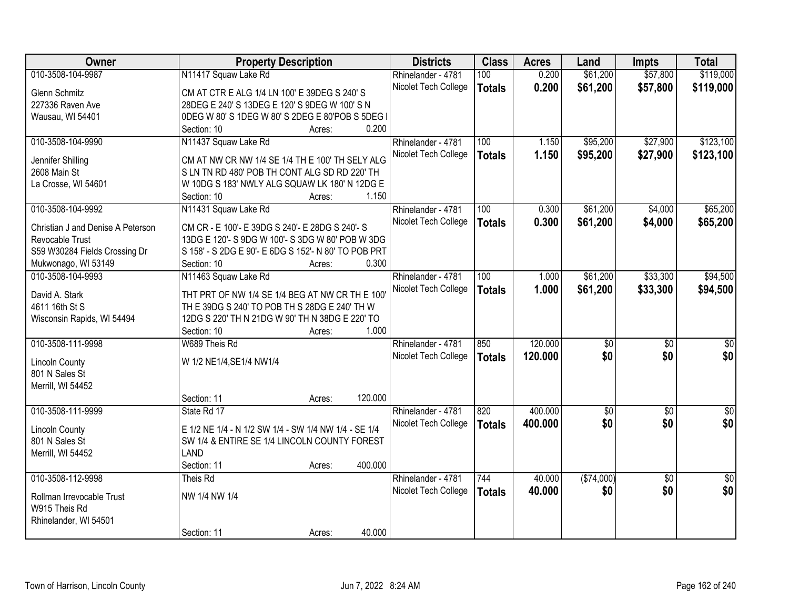| Owner                             | <b>Property Description</b>                          |                   | <b>Districts</b>     | <b>Class</b>  | <b>Acres</b> | Land            | <b>Impts</b>    | <b>Total</b>    |
|-----------------------------------|------------------------------------------------------|-------------------|----------------------|---------------|--------------|-----------------|-----------------|-----------------|
| 010-3508-104-9987                 | N11417 Squaw Lake Rd                                 |                   | Rhinelander - 4781   | 100           | 0.200        | \$61,200        | \$57,800        | \$119,000       |
| <b>Glenn Schmitz</b>              | CM AT CTR E ALG 1/4 LN 100' E 39DEG S 240' S         |                   | Nicolet Tech College | <b>Totals</b> | 0.200        | \$61,200        | \$57,800        | \$119,000       |
| 227336 Raven Ave                  | 28DEG E 240' S 13DEG E 120' S 9DEG W 100' S N        |                   |                      |               |              |                 |                 |                 |
| Wausau, WI 54401                  | 0DEG W 80' S 1DEG W 80' S 2DEG E 80'POB S 5DEG I     |                   |                      |               |              |                 |                 |                 |
|                                   | Section: 10                                          | 0.200<br>Acres:   |                      |               |              |                 |                 |                 |
| 010-3508-104-9990                 | N11437 Squaw Lake Rd                                 |                   | Rhinelander - 4781   | 100           | 1.150        | \$95,200        | \$27,900        | \$123,100       |
|                                   |                                                      |                   | Nicolet Tech College | <b>Totals</b> | 1.150        | \$95,200        | \$27,900        | \$123,100       |
| Jennifer Shilling                 | CM AT NW CR NW 1/4 SE 1/4 TH E 100' TH SELY ALG      |                   |                      |               |              |                 |                 |                 |
| 2608 Main St                      | SLN TN RD 480' POB TH CONT ALG SD RD 220' TH         |                   |                      |               |              |                 |                 |                 |
| La Crosse, WI 54601               | W 10DG S 183' NWLY ALG SQUAW LK 180' N 12DG E        |                   |                      |               |              |                 |                 |                 |
|                                   | Section: 10                                          | 1.150<br>Acres:   |                      |               |              |                 |                 |                 |
| 010-3508-104-9992                 | N11431 Squaw Lake Rd                                 |                   | Rhinelander - 4781   | 100           | 0.300        | \$61,200        | \$4,000         | \$65,200        |
| Christian J and Denise A Peterson | CM CR - E 100'- E 39DG S 240'- E 28DG S 240'- S      |                   | Nicolet Tech College | <b>Totals</b> | 0.300        | \$61,200        | \$4,000         | \$65,200        |
| Revocable Trust                   | 13DG E 120'- S 9DG W 100'- S 3DG W 80' POB W 3DG     |                   |                      |               |              |                 |                 |                 |
| S59 W30284 Fields Crossing Dr     | S 158' - S 2DG E 90'- E 6DG S 152'- N 80' TO POB PRT |                   |                      |               |              |                 |                 |                 |
| Mukwonago, WI 53149               | Section: 10                                          | 0.300<br>Acres:   |                      |               |              |                 |                 |                 |
| 010-3508-104-9993                 | N11463 Squaw Lake Rd                                 |                   | Rhinelander - 4781   | 100           | 1.000        | \$61,200        | \$33,300        | \$94,500        |
|                                   |                                                      |                   | Nicolet Tech College | <b>Totals</b> | 1.000        | \$61,200        | \$33,300        | \$94,500        |
| David A. Stark                    | THT PRT OF NW 1/4 SE 1/4 BEG AT NW CR TH E 100'      |                   |                      |               |              |                 |                 |                 |
| 4611 16th St S                    | TH E 39DG S 240' TO POB TH S 28DG E 240' TH W        |                   |                      |               |              |                 |                 |                 |
| Wisconsin Rapids, WI 54494        | 12DG S 220' TH N 21DG W 90' TH N 38DG E 220' TO      |                   |                      |               |              |                 |                 |                 |
|                                   | Section: 10                                          | 1.000<br>Acres:   |                      |               |              |                 |                 |                 |
| 010-3508-111-9998                 | W689 Theis Rd                                        |                   | Rhinelander - 4781   | 850           | 120.000      | $\overline{50}$ | $\overline{50}$ | $\overline{50}$ |
| <b>Lincoln County</b>             | W 1/2 NE1/4, SE1/4 NW1/4                             |                   | Nicolet Tech College | <b>Totals</b> | 120.000      | \$0             | \$0             | \$0             |
| 801 N Sales St                    |                                                      |                   |                      |               |              |                 |                 |                 |
| Merrill, WI 54452                 |                                                      |                   |                      |               |              |                 |                 |                 |
|                                   | Section: 11                                          | 120.000<br>Acres: |                      |               |              |                 |                 |                 |
| 010-3508-111-9999                 | State Rd 17                                          |                   | Rhinelander - 4781   | 820           | 400.000      | $\sqrt{6}$      | $\overline{50}$ | $\overline{50}$ |
|                                   |                                                      |                   | Nicolet Tech College | <b>Totals</b> | 400.000      | \$0             | \$0             | \$0             |
| <b>Lincoln County</b>             | E 1/2 NE 1/4 - N 1/2 SW 1/4 - SW 1/4 NW 1/4 - SE 1/4 |                   |                      |               |              |                 |                 |                 |
| 801 N Sales St                    | SW 1/4 & ENTIRE SE 1/4 LINCOLN COUNTY FOREST         |                   |                      |               |              |                 |                 |                 |
| Merrill, WI 54452                 | <b>LAND</b>                                          |                   |                      |               |              |                 |                 |                 |
|                                   | Section: 11                                          | 400.000<br>Acres: |                      |               |              |                 |                 |                 |
| 010-3508-112-9998                 | Theis Rd                                             |                   | Rhinelander - 4781   | 744           | 40.000       | (\$74,000)      | $\overline{30}$ | $\overline{50}$ |
| Rollman Irrevocable Trust         | NW 1/4 NW 1/4                                        |                   | Nicolet Tech College | <b>Totals</b> | 40.000       | \$0             | \$0             | \$0             |
| W915 Theis Rd                     |                                                      |                   |                      |               |              |                 |                 |                 |
| Rhinelander, WI 54501             |                                                      |                   |                      |               |              |                 |                 |                 |
|                                   | Section: 11                                          | 40.000<br>Acres:  |                      |               |              |                 |                 |                 |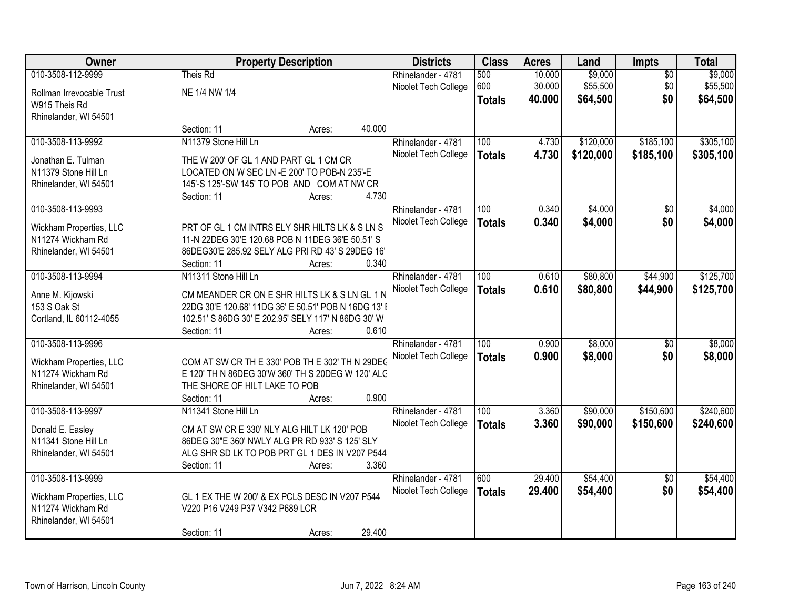| Owner                                        | <b>Property Description</b>                          |                  | <b>Districts</b>     | <b>Class</b>     | <b>Acres</b> | Land      | Impts           | <b>Total</b> |
|----------------------------------------------|------------------------------------------------------|------------------|----------------------|------------------|--------------|-----------|-----------------|--------------|
| 010-3508-112-9999                            | Theis Rd                                             |                  | Rhinelander - 4781   | 500              | 10.000       | \$9,000   | $\overline{50}$ | \$9,000      |
| Rollman Irrevocable Trust                    | NE 1/4 NW 1/4                                        |                  | Nicolet Tech College | 600              | 30.000       | \$55,500  | \$0             | \$55,500     |
| W915 Theis Rd                                |                                                      |                  |                      | <b>Totals</b>    | 40.000       | \$64,500  | \$0             | \$64,500     |
| Rhinelander, WI 54501                        |                                                      |                  |                      |                  |              |           |                 |              |
|                                              | Section: 11                                          | 40.000<br>Acres: |                      |                  |              |           |                 |              |
| 010-3508-113-9992                            | N11379 Stone Hill Ln                                 |                  | Rhinelander - 4781   | 100              | 4.730        | \$120,000 | \$185,100       | \$305,100    |
| Jonathan E. Tulman                           | THE W 200' OF GL 1 AND PART GL 1 CM CR               |                  | Nicolet Tech College | <b>Totals</b>    | 4.730        | \$120,000 | \$185,100       | \$305,100    |
| N11379 Stone Hill Ln                         | LOCATED ON W SEC LN - E 200' TO POB-N 235'-E         |                  |                      |                  |              |           |                 |              |
| Rhinelander, WI 54501                        | 145'-S 125'-SW 145' TO POB AND COM AT NW CR          |                  |                      |                  |              |           |                 |              |
|                                              | Section: 11                                          | 4.730<br>Acres:  |                      |                  |              |           |                 |              |
| 010-3508-113-9993                            |                                                      |                  | Rhinelander - 4781   | 100              | 0.340        | \$4,000   | \$0             | \$4,000      |
|                                              | PRT OF GL 1 CM INTRS ELY SHR HILTS LK & S LN S       |                  | Nicolet Tech College | <b>Totals</b>    | 0.340        | \$4,000   | \$0             | \$4,000      |
| Wickham Properties, LLC<br>N11274 Wickham Rd | 11-N 22DEG 30'E 120.68 POB N 11DEG 36'E 50.51' S     |                  |                      |                  |              |           |                 |              |
| Rhinelander, WI 54501                        | 86DEG30'E 285.92 SELY ALG PRI RD 43' S 29DEG 16'     |                  |                      |                  |              |           |                 |              |
|                                              | Section: 11                                          | 0.340<br>Acres:  |                      |                  |              |           |                 |              |
| 010-3508-113-9994                            | N11311 Stone Hill Ln                                 |                  | Rhinelander - 4781   | 100              | 0.610        | \$80,800  | \$44,900        | \$125,700    |
|                                              |                                                      |                  | Nicolet Tech College | <b>Totals</b>    | 0.610        | \$80,800  | \$44,900        | \$125,700    |
| Anne M. Kijowski                             | CM MEANDER CR ON E SHR HILTS LK & S LN GL 1 N        |                  |                      |                  |              |           |                 |              |
| 153 S Oak St                                 | 22DG 30'E 120.68' 11DG 36' E 50.51' POB N 16DG 13' I |                  |                      |                  |              |           |                 |              |
| Cortland, IL 60112-4055                      | 102.51' S 86DG 30' E 202.95' SELY 117' N 86DG 30' W  |                  |                      |                  |              |           |                 |              |
| 010-3508-113-9996                            | Section: 11                                          | 0.610<br>Acres:  |                      | $\overline{100}$ | 0.900        | \$8,000   |                 | \$8,000      |
|                                              |                                                      |                  | Rhinelander - 4781   |                  |              |           | $\overline{50}$ |              |
| Wickham Properties, LLC                      | COM AT SW CR TH E 330' POB TH E 302' TH N 29DEG      |                  | Nicolet Tech College | <b>Totals</b>    | 0.900        | \$8,000   | \$0             | \$8,000      |
| N11274 Wickham Rd                            | E 120' TH N 86DEG 30'W 360' TH S 20DEG W 120' ALC    |                  |                      |                  |              |           |                 |              |
| Rhinelander, WI 54501                        | THE SHORE OF HILT LAKE TO POB                        |                  |                      |                  |              |           |                 |              |
|                                              | Section: 11                                          | 0.900<br>Acres:  |                      |                  |              |           |                 |              |
| 010-3508-113-9997                            | N11341 Stone Hill Ln                                 |                  | Rhinelander - 4781   | 100              | 3.360        | \$90,000  | \$150,600       | \$240,600    |
| Donald E. Easley                             | CM AT SW CR E 330' NLY ALG HILT LK 120' POB          |                  | Nicolet Tech College | <b>Totals</b>    | 3.360        | \$90,000  | \$150,600       | \$240,600    |
| N11341 Stone Hill Ln                         | 86DEG 30"E 360' NWLY ALG PR RD 933' S 125' SLY       |                  |                      |                  |              |           |                 |              |
| Rhinelander, WI 54501                        | ALG SHR SD LK TO POB PRT GL 1 DES IN V207 P544       |                  |                      |                  |              |           |                 |              |
|                                              | Section: 11                                          | 3.360<br>Acres:  |                      |                  |              |           |                 |              |
| 010-3508-113-9999                            |                                                      |                  | Rhinelander - 4781   | 600              | 29.400       | \$54,400  | $\overline{50}$ | \$54,400     |
| Wickham Properties, LLC                      | GL 1 EX THE W 200' & EX PCLS DESC IN V207 P544       |                  | Nicolet Tech College | <b>Totals</b>    | 29.400       | \$54,400  | \$0             | \$54,400     |
| N11274 Wickham Rd                            | V220 P16 V249 P37 V342 P689 LCR                      |                  |                      |                  |              |           |                 |              |
| Rhinelander, WI 54501                        |                                                      |                  |                      |                  |              |           |                 |              |
|                                              | Section: 11                                          | 29.400<br>Acres: |                      |                  |              |           |                 |              |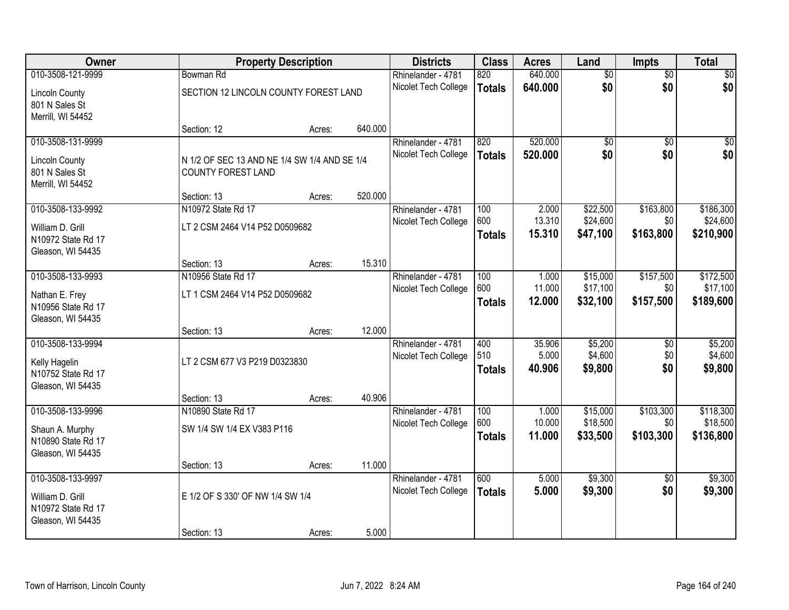| Owner                                                        | <b>Property Description</b>                  |        |                      | <b>Districts</b>                           | <b>Class</b>         | <b>Acres</b>       | Land                 | <b>Impts</b>           | <b>Total</b>          |
|--------------------------------------------------------------|----------------------------------------------|--------|----------------------|--------------------------------------------|----------------------|--------------------|----------------------|------------------------|-----------------------|
| 010-3508-121-9999                                            | Bowman Rd                                    |        |                      | Rhinelander - 4781                         | 820                  | 640.000            | \$0                  | $\overline{50}$        | \$0                   |
| <b>Lincoln County</b><br>801 N Sales St<br>Merrill, WI 54452 | SECTION 12 LINCOLN COUNTY FOREST LAND        |        | Nicolet Tech College | <b>Totals</b>                              | 640.000              | \$0                | \$0                  | \$0                    |                       |
|                                                              | Section: 12                                  | Acres: | 640.000              |                                            |                      |                    |                      |                        |                       |
| 010-3508-131-9999<br><b>Lincoln County</b>                   | N 1/2 OF SEC 13 AND NE 1/4 SW 1/4 AND SE 1/4 |        |                      | Rhinelander - 4781<br>Nicolet Tech College | 820<br><b>Totals</b> | 520.000<br>520.000 | \$0<br>\$0           | $\overline{50}$<br>\$0 | \$0<br>\$0            |
| 801 N Sales St<br>Merrill, WI 54452                          | <b>COUNTY FOREST LAND</b>                    |        |                      |                                            |                      |                    |                      |                        |                       |
|                                                              | Section: 13                                  | Acres: | 520.000              |                                            |                      |                    |                      |                        |                       |
| 010-3508-133-9992                                            | N10972 State Rd 17                           |        |                      | Rhinelander - 4781                         | 100                  | 2.000<br>13.310    | \$22,500             | \$163,800              | \$186,300             |
| William D. Grill<br>N10972 State Rd 17                       | LT 2 CSM 2464 V14 P52 D0509682               |        |                      | Nicolet Tech College                       | 600<br><b>Totals</b> | 15.310             | \$24,600<br>\$47,100 | \$0<br>\$163,800       | \$24,600<br>\$210,900 |
| Gleason, WI 54435                                            | Section: 13                                  | Acres: | 15.310               |                                            |                      |                    |                      |                        |                       |
| 010-3508-133-9993                                            | N10956 State Rd 17                           |        |                      | Rhinelander - 4781                         | 100                  | 1.000              | \$15,000             | \$157,500              | \$172,500             |
| Nathan E. Frey                                               | LT 1 CSM 2464 V14 P52 D0509682               |        | Nicolet Tech College | 600                                        | 11.000               | \$17,100           | \$0                  | \$17,100               |                       |
| N10956 State Rd 17<br>Gleason, WI 54435                      |                                              |        |                      |                                            | <b>Totals</b>        | 12.000             | \$32,100             | \$157,500              | \$189,600             |
|                                                              | Section: 13                                  | Acres: | 12.000               |                                            |                      |                    |                      |                        |                       |
| 010-3508-133-9994                                            |                                              |        |                      | Rhinelander - 4781                         | 400                  | 35.906             | \$5,200              | \$0                    | \$5,200               |
| Kelly Hagelin<br>N10752 State Rd 17                          | LT 2 CSM 677 V3 P219 D0323830                |        |                      | Nicolet Tech College                       | 510<br><b>Totals</b> | 5.000<br>40.906    | \$4,600<br>\$9,800   | \$0<br>\$0             | \$4,600<br>\$9,800    |
| Gleason, WI 54435                                            |                                              |        |                      |                                            |                      |                    |                      |                        |                       |
|                                                              | Section: 13                                  | Acres: | 40.906               |                                            |                      |                    |                      |                        |                       |
| 010-3508-133-9996                                            | N10890 State Rd 17                           |        |                      | Rhinelander - 4781                         | 100                  | 1.000              | \$15,000             | \$103,300              | \$118,300             |
| Shaun A. Murphy                                              | SW 1/4 SW 1/4 EX V383 P116                   |        |                      | Nicolet Tech College                       | 600                  | 10.000             | \$18,500             | \$0                    | \$18,500              |
| N10890 State Rd 17                                           |                                              |        |                      |                                            | <b>Totals</b>        | 11.000             | \$33,500             | \$103,300              | \$136,800             |
| Gleason, WI 54435                                            |                                              |        |                      |                                            |                      |                    |                      |                        |                       |
| 010-3508-133-9997                                            | Section: 13                                  | Acres: | 11.000               |                                            | 600                  | 5.000              | \$9,300              | $\overline{50}$        | \$9,300               |
|                                                              |                                              |        |                      | Rhinelander - 4781<br>Nicolet Tech College | <b>Totals</b>        | 5.000              | \$9,300              | \$0                    | \$9,300               |
| William D. Grill<br>N10972 State Rd 17<br>Gleason, WI 54435  | E 1/2 OF S 330' OF NW 1/4 SW 1/4             |        |                      |                                            |                      |                    |                      |                        |                       |
|                                                              | Section: 13                                  | Acres: | 5.000                |                                            |                      |                    |                      |                        |                       |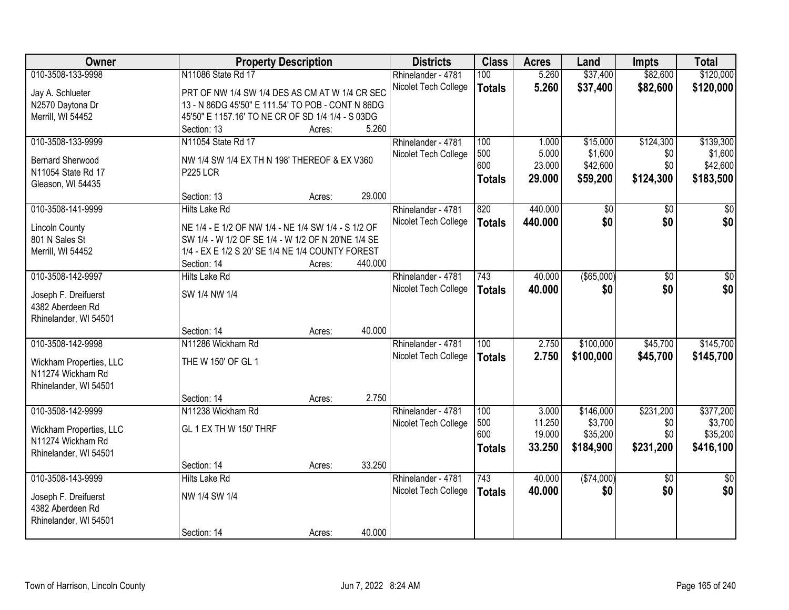| Owner                                    | <b>Property Description</b>                         |                   | <b>Districts</b>     | <b>Class</b>     | <b>Acres</b> | Land          | <b>Impts</b>    | <b>Total</b>    |
|------------------------------------------|-----------------------------------------------------|-------------------|----------------------|------------------|--------------|---------------|-----------------|-----------------|
| 010-3508-133-9998                        | N11086 State Rd 17                                  |                   | Rhinelander - 4781   | 100              | 5.260        | \$37,400      | \$82,600        | \$120,000       |
| Jay A. Schlueter                         | PRT OF NW 1/4 SW 1/4 DES AS CM AT W 1/4 CR SEC      |                   | Nicolet Tech College | <b>Totals</b>    | 5.260        | \$37,400      | \$82,600        | \$120,000       |
| N2570 Daytona Dr                         | 13 - N 86DG 45'50" E 111.54' TO POB - CONT N 86DG   |                   |                      |                  |              |               |                 |                 |
| Merrill, WI 54452                        | 45'50" E 1157.16' TO NE CR OF SD 1/4 1/4 - S 03DG   |                   |                      |                  |              |               |                 |                 |
|                                          | Section: 13                                         | 5.260<br>Acres:   |                      |                  |              |               |                 |                 |
| 010-3508-133-9999                        | N11054 State Rd 17                                  |                   | Rhinelander - 4781   | 100              | 1.000        | \$15,000      | \$124,300       | \$139,300       |
|                                          |                                                     |                   | Nicolet Tech College | 500              | 5.000        | \$1,600       | \$0             | \$1,600         |
| <b>Bernard Sherwood</b>                  | NW 1/4 SW 1/4 EX TH N 198' THEREOF & EX V360        |                   |                      | 600              | 23.000       | \$42,600      | \$0             | \$42,600        |
| N11054 State Rd 17                       | <b>P225 LCR</b>                                     |                   |                      | <b>Totals</b>    | 29.000       | \$59,200      | \$124,300       | \$183,500       |
| Gleason, WI 54435                        |                                                     |                   |                      |                  |              |               |                 |                 |
|                                          | Section: 13                                         | 29.000<br>Acres:  |                      |                  |              |               |                 |                 |
| 010-3508-141-9999                        | <b>Hilts Lake Rd</b>                                |                   | Rhinelander - 4781   | 820              | 440.000      | \$0           | \$0             | \$0             |
| <b>Lincoln County</b>                    | NE 1/4 - E 1/2 OF NW 1/4 - NE 1/4 SW 1/4 - S 1/2 OF |                   | Nicolet Tech College | <b>Totals</b>    | 440.000      | \$0           | \$0             | \$0             |
| 801 N Sales St                           | SW 1/4 - W 1/2 OF SE 1/4 - W 1/2 OF N 20'NE 1/4 SE  |                   |                      |                  |              |               |                 |                 |
| Merrill, WI 54452                        | 1/4 - EX E 1/2 S 20' SE 1/4 NE 1/4 COUNTY FOREST    |                   |                      |                  |              |               |                 |                 |
|                                          | Section: 14                                         | 440.000<br>Acres: |                      |                  |              |               |                 |                 |
| 010-3508-142-9997                        | <b>Hilts Lake Rd</b>                                |                   | Rhinelander - 4781   | 743              | 40.000       | $($ \$65,000) | \$0             | \$0             |
|                                          | SW 1/4 NW 1/4                                       |                   | Nicolet Tech College | <b>Totals</b>    | 40.000       | \$0           | \$0             | \$0             |
| Joseph F. Dreifuerst<br>4382 Aberdeen Rd |                                                     |                   |                      |                  |              |               |                 |                 |
| Rhinelander, WI 54501                    |                                                     |                   |                      |                  |              |               |                 |                 |
|                                          | Section: 14                                         | 40.000<br>Acres:  |                      |                  |              |               |                 |                 |
| 010-3508-142-9998                        | N11286 Wickham Rd                                   |                   | Rhinelander - 4781   | $\overline{100}$ | 2.750        | \$100,000     | \$45,700        | \$145,700       |
|                                          |                                                     |                   | Nicolet Tech College |                  | 2.750        | \$100,000     | \$45,700        | \$145,700       |
| Wickham Properties, LLC                  | THE W 150' OF GL 1                                  |                   |                      | <b>Totals</b>    |              |               |                 |                 |
| N11274 Wickham Rd                        |                                                     |                   |                      |                  |              |               |                 |                 |
| Rhinelander, WI 54501                    |                                                     |                   |                      |                  |              |               |                 |                 |
|                                          | Section: 14                                         | 2.750<br>Acres:   |                      |                  |              |               |                 |                 |
| 010-3508-142-9999                        | N11238 Wickham Rd                                   |                   | Rhinelander - 4781   | 100              | 3.000        | \$146,000     | \$231,200       | \$377,200       |
| Wickham Properties, LLC                  | GL 1 EX TH W 150' THRF                              |                   | Nicolet Tech College | 500              | 11.250       | \$3,700       | \$0             | \$3,700         |
| N11274 Wickham Rd                        |                                                     |                   |                      | 600              | 19.000       | \$35,200      | \$0             | \$35,200        |
| Rhinelander, WI 54501                    |                                                     |                   |                      | <b>Totals</b>    | 33.250       | \$184,900     | \$231,200       | \$416,100       |
|                                          | Section: 14                                         | 33.250<br>Acres:  |                      |                  |              |               |                 |                 |
| 010-3508-143-9999                        | <b>Hilts Lake Rd</b>                                |                   | Rhinelander - 4781   | 743              | 40.000       | (\$74,000)    | $\overline{50}$ | $\overline{50}$ |
|                                          |                                                     |                   | Nicolet Tech College | <b>Totals</b>    | 40.000       | \$0           | \$0             | \$0             |
| Joseph F. Dreifuerst                     | NW 1/4 SW 1/4                                       |                   |                      |                  |              |               |                 |                 |
| 4382 Aberdeen Rd                         |                                                     |                   |                      |                  |              |               |                 |                 |
| Rhinelander, WI 54501                    |                                                     | 40.000            |                      |                  |              |               |                 |                 |
|                                          | Section: 14                                         | Acres:            |                      |                  |              |               |                 |                 |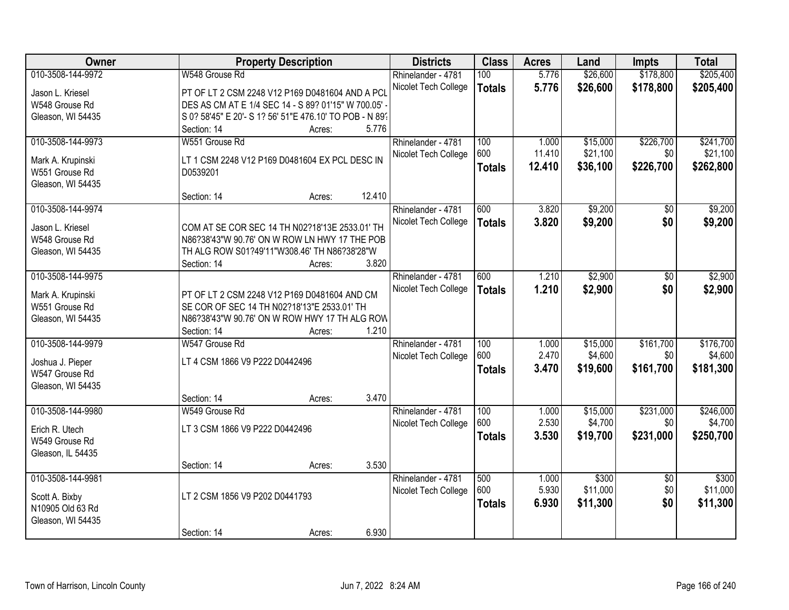| Owner             | <b>Property Description</b>                             | <b>Districts</b>     | <b>Class</b>  | <b>Acres</b> | Land     | <b>Impts</b>    | <b>Total</b> |
|-------------------|---------------------------------------------------------|----------------------|---------------|--------------|----------|-----------------|--------------|
| 010-3508-144-9972 | W548 Grouse Rd                                          | Rhinelander - 4781   | 100           | 5.776        | \$26,600 | \$178,800       | \$205,400    |
| Jason L. Kriesel  | PT OF LT 2 CSM 2248 V12 P169 D0481604 AND A PCL         | Nicolet Tech College | <b>Totals</b> | 5.776        | \$26,600 | \$178,800       | \$205,400    |
| W548 Grouse Rd    | DES AS CM AT E 1/4 SEC 14 - S 89? 01'15" W 700.05' -    |                      |               |              |          |                 |              |
| Gleason, WI 54435 | S 0? 58'45" E 20'- S 1? 56' 51"E 476.10' TO POB - N 89' |                      |               |              |          |                 |              |
|                   | 5.776<br>Section: 14<br>Acres:                          |                      |               |              |          |                 |              |
| 010-3508-144-9973 | W551 Grouse Rd                                          | Rhinelander - 4781   | 100           | 1.000        | \$15,000 | \$226,700       | \$241,700    |
|                   |                                                         | Nicolet Tech College | 600           | 11.410       | \$21,100 | \$0             | \$21,100     |
| Mark A. Krupinski | LT 1 CSM 2248 V12 P169 D0481604 EX PCL DESC IN          |                      | <b>Totals</b> | 12.410       | \$36,100 | \$226,700       | \$262,800    |
| W551 Grouse Rd    | D0539201                                                |                      |               |              |          |                 |              |
| Gleason, WI 54435 |                                                         |                      |               |              |          |                 |              |
|                   | 12.410<br>Section: 14<br>Acres:                         |                      |               |              |          |                 |              |
| 010-3508-144-9974 |                                                         | Rhinelander - 4781   | 600           | 3.820        | \$9,200  | \$0             | \$9,200      |
| Jason L. Kriesel  | COM AT SE COR SEC 14 TH N02?18'13E 2533.01' TH          | Nicolet Tech College | <b>Totals</b> | 3.820        | \$9,200  | \$0             | \$9,200      |
| W548 Grouse Rd    | N86?38'43"W 90.76' ON W ROW LN HWY 17 THE POB           |                      |               |              |          |                 |              |
| Gleason, WI 54435 | TH ALG ROW S01?49'11"W308.46' TH N86?38'28"W            |                      |               |              |          |                 |              |
|                   | 3.820<br>Section: 14<br>Acres:                          |                      |               |              |          |                 |              |
| 010-3508-144-9975 |                                                         | Rhinelander - 4781   | 600           | 1.210        | \$2,900  | \$0             | \$2,900      |
|                   |                                                         | Nicolet Tech College | <b>Totals</b> | 1.210        | \$2,900  | \$0             | \$2,900      |
| Mark A. Krupinski | PT OF LT 2 CSM 2248 V12 P169 D0481604 AND CM            |                      |               |              |          |                 |              |
| W551 Grouse Rd    | SE COR OF SEC 14 TH N02?18'13"E 2533.01' TH             |                      |               |              |          |                 |              |
| Gleason, WI 54435 | N86?38'43"W 90.76' ON W ROW HWY 17 TH ALG ROW           |                      |               |              |          |                 |              |
|                   | 1.210<br>Section: 14<br>Acres:                          |                      |               |              |          |                 |              |
| 010-3508-144-9979 | W547 Grouse Rd                                          | Rhinelander - 4781   | 100           | 1.000        | \$15,000 | \$161,700       | \$176,700    |
| Joshua J. Pieper  | LT 4 CSM 1866 V9 P222 D0442496                          | Nicolet Tech College | 600           | 2.470        | \$4,600  | \$0             | \$4,600      |
| W547 Grouse Rd    |                                                         |                      | <b>Totals</b> | 3.470        | \$19,600 | \$161,700       | \$181,300    |
| Gleason, WI 54435 |                                                         |                      |               |              |          |                 |              |
|                   | 3.470<br>Section: 14<br>Acres:                          |                      |               |              |          |                 |              |
| 010-3508-144-9980 | W549 Grouse Rd                                          | Rhinelander - 4781   | 100           | 1.000        | \$15,000 | \$231,000       | \$246,000    |
| Erich R. Utech    | LT 3 CSM 1866 V9 P222 D0442496                          | Nicolet Tech College | 600           | 2.530        | \$4,700  | \$0             | \$4,700      |
| W549 Grouse Rd    |                                                         |                      | <b>Totals</b> | 3.530        | \$19,700 | \$231,000       | \$250,700    |
| Gleason, IL 54435 |                                                         |                      |               |              |          |                 |              |
|                   | 3.530<br>Section: 14<br>Acres:                          |                      |               |              |          |                 |              |
| 010-3508-144-9981 |                                                         | Rhinelander - 4781   | 500           | 1.000        | \$300    | $\overline{50}$ | \$300        |
|                   |                                                         | Nicolet Tech College | 600           | 5.930        | \$11,000 | \$0             | \$11,000     |
| Scott A. Bixby    | LT 2 CSM 1856 V9 P202 D0441793                          |                      |               |              |          |                 |              |
| N10905 Old 63 Rd  |                                                         |                      | <b>Totals</b> | 6.930        | \$11,300 | \$0             | \$11,300     |
| Gleason, WI 54435 |                                                         |                      |               |              |          |                 |              |
|                   | 6.930<br>Section: 14<br>Acres:                          |                      |               |              |          |                 |              |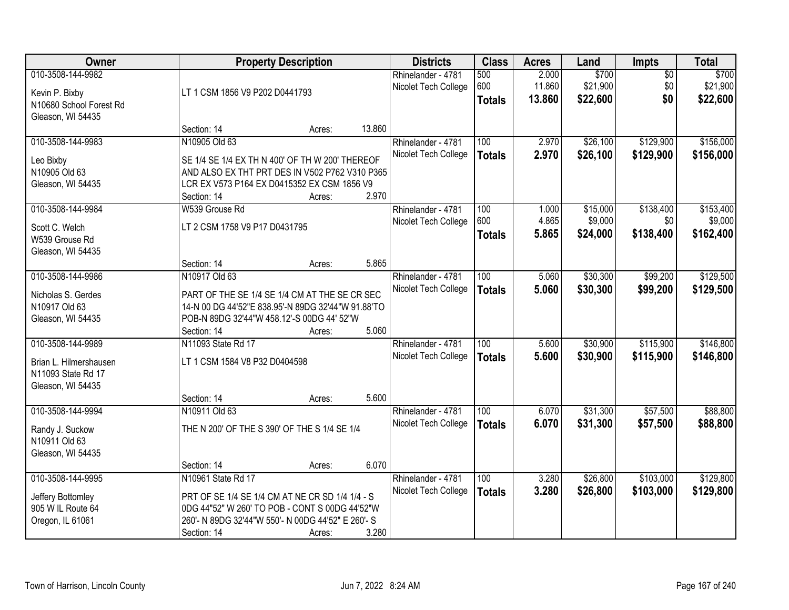| Owner                            |                                                    | <b>Property Description</b> |        | <b>Districts</b>     | <b>Class</b>  | <b>Acres</b> | Land     | Impts           | <b>Total</b> |
|----------------------------------|----------------------------------------------------|-----------------------------|--------|----------------------|---------------|--------------|----------|-----------------|--------------|
| 010-3508-144-9982                |                                                    |                             |        | Rhinelander - 4781   | 500           | 2.000        | \$700    | $\overline{50}$ | \$700        |
| Kevin P. Bixby                   | LT 1 CSM 1856 V9 P202 D0441793                     |                             |        | Nicolet Tech College | 600           | 11.860       | \$21,900 | \$0             | \$21,900     |
| N10680 School Forest Rd          |                                                    |                             |        |                      | <b>Totals</b> | 13.860       | \$22,600 | \$0             | \$22,600     |
| Gleason, WI 54435                |                                                    |                             |        |                      |               |              |          |                 |              |
|                                  | Section: 14                                        | Acres:                      | 13.860 |                      |               |              |          |                 |              |
| 010-3508-144-9983                | N10905 Old 63                                      |                             |        | Rhinelander - 4781   | 100           | 2.970        | \$26,100 | \$129,900       | \$156,000    |
|                                  | SE 1/4 SE 1/4 EX TH N 400' OF TH W 200' THEREOF    |                             |        | Nicolet Tech College | <b>Totals</b> | 2.970        | \$26,100 | \$129,900       | \$156,000    |
| Leo Bixby<br>N10905 Old 63       | AND ALSO EX THT PRT DES IN V502 P762 V310 P365     |                             |        |                      |               |              |          |                 |              |
| Gleason, WI 54435                | LCR EX V573 P164 EX D0415352 EX CSM 1856 V9        |                             |        |                      |               |              |          |                 |              |
|                                  | Section: 14                                        | Acres:                      | 2.970  |                      |               |              |          |                 |              |
| 010-3508-144-9984                | W539 Grouse Rd                                     |                             |        | Rhinelander - 4781   | 100           | 1.000        | \$15,000 | \$138,400       | \$153,400    |
|                                  |                                                    |                             |        | Nicolet Tech College | 600           | 4.865        | \$9,000  | \$0             | \$9,000      |
| Scott C. Welch                   | LT 2 CSM 1758 V9 P17 D0431795                      |                             |        |                      | <b>Totals</b> | 5.865        | \$24,000 | \$138,400       | \$162,400    |
| W539 Grouse Rd                   |                                                    |                             |        |                      |               |              |          |                 |              |
| Gleason, WI 54435                | Section: 14                                        | Acres:                      | 5.865  |                      |               |              |          |                 |              |
| 010-3508-144-9986                | N10917 Old 63                                      |                             |        | Rhinelander - 4781   | 100           | 5.060        | \$30,300 | \$99,200        | \$129,500    |
|                                  |                                                    |                             |        | Nicolet Tech College |               | 5.060        |          |                 |              |
| Nicholas S. Gerdes               | PART OF THE SE 1/4 SE 1/4 CM AT THE SE CR SEC      |                             |        |                      | <b>Totals</b> |              | \$30,300 | \$99,200        | \$129,500    |
| N10917 Old 63                    | 14-N 00 DG 44'52"E 838.95'-N 89DG 32'44"W 91.88'TO |                             |        |                      |               |              |          |                 |              |
| Gleason, WI 54435                | POB-N 89DG 32'44"W 458.12'-S 00DG 44' 52"W         |                             |        |                      |               |              |          |                 |              |
|                                  | Section: 14                                        | Acres:                      | 5.060  |                      |               |              |          |                 |              |
| 010-3508-144-9989                | N11093 State Rd 17                                 |                             |        | Rhinelander - 4781   | 100           | 5.600        | \$30,900 | \$115,900       | \$146,800    |
| Brian L. Hilmershausen           | LT 1 CSM 1584 V8 P32 D0404598                      |                             |        | Nicolet Tech College | <b>Totals</b> | 5.600        | \$30,900 | \$115,900       | \$146,800    |
| N11093 State Rd 17               |                                                    |                             |        |                      |               |              |          |                 |              |
| Gleason, WI 54435                |                                                    |                             |        |                      |               |              |          |                 |              |
|                                  | Section: 14                                        | Acres:                      | 5.600  |                      |               |              |          |                 |              |
| 010-3508-144-9994                | N10911 Old 63                                      |                             |        | Rhinelander - 4781   | 100           | 6.070        | \$31,300 | \$57,500        | \$88,800     |
|                                  | THE N 200' OF THE S 390' OF THE S 1/4 SE 1/4       |                             |        | Nicolet Tech College | <b>Totals</b> | 6.070        | \$31,300 | \$57,500        | \$88,800     |
| Randy J. Suckow<br>N10911 Old 63 |                                                    |                             |        |                      |               |              |          |                 |              |
| Gleason, WI 54435                |                                                    |                             |        |                      |               |              |          |                 |              |
|                                  | Section: 14                                        | Acres:                      | 6.070  |                      |               |              |          |                 |              |
| 010-3508-144-9995                | N10961 State Rd 17                                 |                             |        | Rhinelander - 4781   | 100           | 3.280        | \$26,800 | \$103,000       | \$129,800    |
|                                  |                                                    |                             |        | Nicolet Tech College | <b>Totals</b> | 3.280        | \$26,800 | \$103,000       | \$129,800    |
| Jeffery Bottomley                | PRT OF SE 1/4 SE 1/4 CM AT NE CR SD 1/4 1/4 - S    |                             |        |                      |               |              |          |                 |              |
| 905 W IL Route 64                | 0DG 44"52" W 260' TO POB - CONT S 00DG 44'52"W     |                             |        |                      |               |              |          |                 |              |
| Oregon, IL 61061                 | 260'- N 89DG 32'44"W 550'- N 00DG 44'52" E 260'- S |                             |        |                      |               |              |          |                 |              |
|                                  | Section: 14                                        | Acres:                      | 3.280  |                      |               |              |          |                 |              |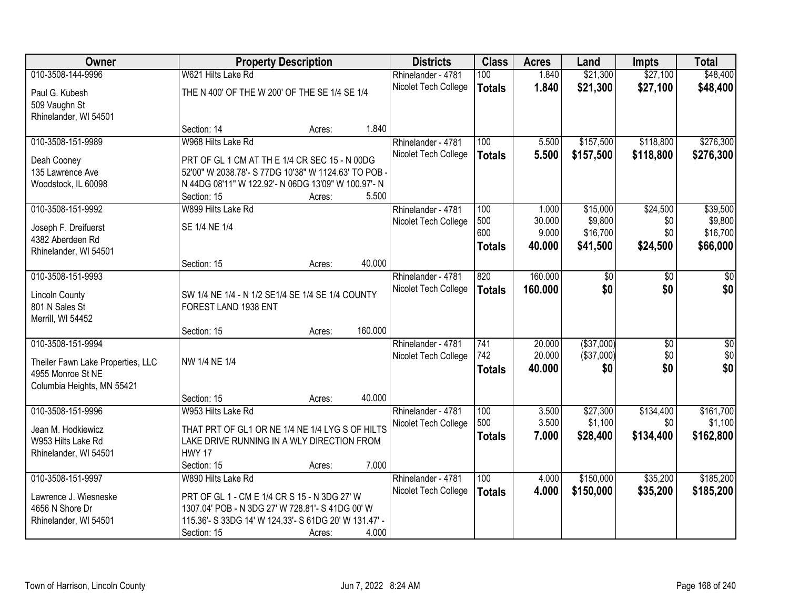| Owner                                     |                                                       | <b>Property Description</b> |         | <b>Districts</b>     | <b>Class</b>  | <b>Acres</b>     | Land              | <b>Impts</b>           | <b>Total</b>           |
|-------------------------------------------|-------------------------------------------------------|-----------------------------|---------|----------------------|---------------|------------------|-------------------|------------------------|------------------------|
| 010-3508-144-9996                         | W621 Hilts Lake Rd                                    |                             |         | Rhinelander - 4781   | 100           | 1.840            | \$21,300          | \$27,100               | \$48,400               |
| Paul G. Kubesh                            | THE N 400' OF THE W 200' OF THE SE 1/4 SE 1/4         |                             |         | Nicolet Tech College | <b>Totals</b> | 1.840            | \$21,300          | \$27,100               | \$48,400               |
| 509 Vaughn St                             |                                                       |                             |         |                      |               |                  |                   |                        |                        |
| Rhinelander, WI 54501                     |                                                       |                             |         |                      |               |                  |                   |                        |                        |
|                                           | Section: 14                                           | Acres:                      | 1.840   |                      |               |                  |                   |                        |                        |
| 010-3508-151-9989                         | W968 Hilts Lake Rd                                    |                             |         | Rhinelander - 4781   | 100           | 5.500            | \$157,500         | \$118,800              | \$276,300              |
| Deah Cooney                               | PRT OF GL 1 CM AT TH E 1/4 CR SEC 15 - N 00DG         |                             |         | Nicolet Tech College | <b>Totals</b> | 5.500            | \$157,500         | \$118,800              | \$276,300              |
| 135 Lawrence Ave                          | 52'00" W 2038.78'- S 77DG 10'38" W 1124.63' TO POB -  |                             |         |                      |               |                  |                   |                        |                        |
| Woodstock, IL 60098                       | N 44DG 08'11" W 122.92'- N 06DG 13'09" W 100.97'- N   |                             |         |                      |               |                  |                   |                        |                        |
|                                           | Section: 15                                           | Acres:                      | 5.500   |                      |               |                  |                   |                        |                        |
| 010-3508-151-9992                         | W899 Hilts Lake Rd                                    |                             |         | Rhinelander - 4781   | 100           | 1.000            | \$15,000          | \$24,500               | \$39,500               |
|                                           |                                                       |                             |         | Nicolet Tech College | 500           | 30.000           | \$9,800           | \$0                    | \$9,800                |
| Joseph F. Dreifuerst                      | SE 1/4 NE 1/4                                         |                             |         |                      | 600           | 9.000            | \$16,700          | \$0                    | \$16,700               |
| 4382 Aberdeen Rd<br>Rhinelander, WI 54501 |                                                       |                             |         |                      | <b>Totals</b> | 40.000           | \$41,500          | \$24,500               | \$66,000               |
|                                           | Section: 15                                           | Acres:                      | 40.000  |                      |               |                  |                   |                        |                        |
| 010-3508-151-9993                         |                                                       |                             |         | Rhinelander - 4781   | 820           | 160.000          | \$0               | \$0                    | \$0                    |
|                                           |                                                       |                             |         | Nicolet Tech College | <b>Totals</b> | 160.000          | \$0               | \$0                    | \$0                    |
| <b>Lincoln County</b>                     | SW 1/4 NE 1/4 - N 1/2 SE1/4 SE 1/4 SE 1/4 COUNTY      |                             |         |                      |               |                  |                   |                        |                        |
| 801 N Sales St                            | FOREST LAND 1938 ENT                                  |                             |         |                      |               |                  |                   |                        |                        |
| Merrill, WI 54452                         |                                                       |                             |         |                      |               |                  |                   |                        |                        |
|                                           | Section: 15                                           | Acres:                      | 160.000 |                      |               |                  |                   |                        |                        |
| 010-3508-151-9994                         |                                                       |                             |         | Rhinelander - 4781   | 741<br>742    | 20.000<br>20.000 | ( \$37,000)       | $\overline{50}$<br>\$0 | $\overline{50}$<br>\$0 |
| Theiler Fawn Lake Properties, LLC         | NW 1/4 NE 1/4                                         |                             |         | Nicolet Tech College |               | 40.000           | (\$37,000)<br>\$0 | \$0                    | \$0                    |
| 4955 Monroe St NE                         |                                                       |                             |         |                      | <b>Totals</b> |                  |                   |                        |                        |
| Columbia Heights, MN 55421                |                                                       |                             |         |                      |               |                  |                   |                        |                        |
|                                           | Section: 15                                           | Acres:                      | 40.000  |                      |               |                  |                   |                        |                        |
| 010-3508-151-9996                         | W953 Hilts Lake Rd                                    |                             |         | Rhinelander - 4781   | 100           | 3.500            | \$27,300          | \$134,400              | \$161,700              |
| Jean M. Hodkiewicz                        | THAT PRT OF GL1 OR NE 1/4 NE 1/4 LYG S OF HILTS       |                             |         | Nicolet Tech College | 500           | 3.500            | \$1,100           | \$0                    | \$1,100                |
| W953 Hilts Lake Rd                        | LAKE DRIVE RUNNING IN A WLY DIRECTION FROM            |                             |         |                      | <b>Totals</b> | 7.000            | \$28,400          | \$134,400              | \$162,800              |
| Rhinelander, WI 54501                     | <b>HWY 17</b>                                         |                             |         |                      |               |                  |                   |                        |                        |
|                                           | Section: 15                                           | Acres:                      | 7.000   |                      |               |                  |                   |                        |                        |
| 010-3508-151-9997                         | W890 Hilts Lake Rd                                    |                             |         | Rhinelander - 4781   | 100           | 4.000            | \$150,000         | \$35,200               | \$185,200              |
| Lawrence J. Wiesneske                     | PRT OF GL 1 - CM E 1/4 CR S 15 - N 3DG 27' W          |                             |         | Nicolet Tech College | <b>Totals</b> | 4.000            | \$150,000         | \$35,200               | \$185,200              |
| 4656 N Shore Dr                           | 1307.04' POB - N 3DG 27' W 728.81'- S 41DG 00' W      |                             |         |                      |               |                  |                   |                        |                        |
| Rhinelander, WI 54501                     | 115.36'- S 33DG 14' W 124.33'- S 61DG 20' W 131.47' - |                             |         |                      |               |                  |                   |                        |                        |
|                                           | Section: 15                                           | Acres:                      | 4.000   |                      |               |                  |                   |                        |                        |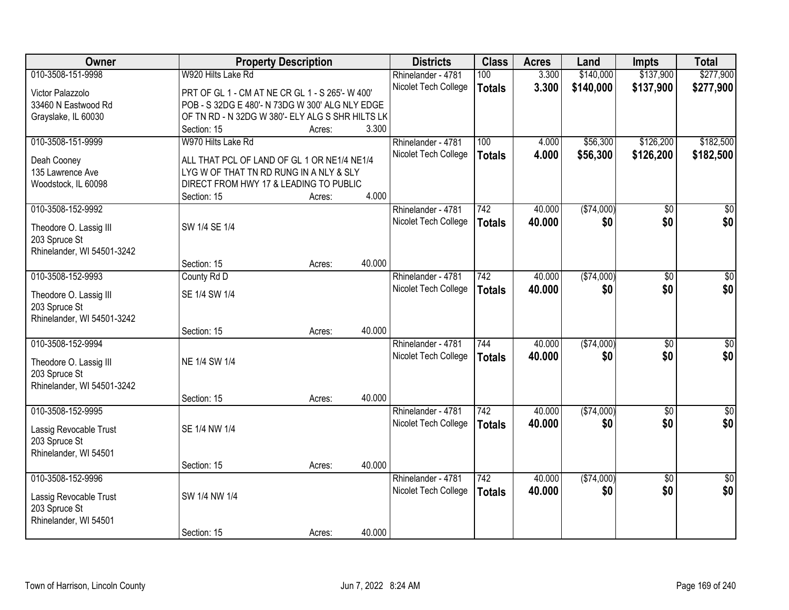| <b>Owner</b>               |                                                  | <b>Property Description</b> |        | <b>Districts</b>     | <b>Class</b>  | <b>Acres</b> | Land        | <b>Impts</b>    | <b>Total</b>    |
|----------------------------|--------------------------------------------------|-----------------------------|--------|----------------------|---------------|--------------|-------------|-----------------|-----------------|
| 010-3508-151-9998          | W920 Hilts Lake Rd                               |                             |        | Rhinelander - 4781   | 100           | 3.300        | \$140,000   | \$137,900       | \$277,900       |
| Victor Palazzolo           | PRT OF GL 1 - CM AT NE CR GL 1 - S 265'- W 400'  |                             |        | Nicolet Tech College | <b>Totals</b> | 3.300        | \$140,000   | \$137,900       | \$277,900       |
| 33460 N Eastwood Rd        | POB - S 32DG E 480'- N 73DG W 300' ALG NLY EDGE  |                             |        |                      |               |              |             |                 |                 |
| Grayslake, IL 60030        | OF TN RD - N 32DG W 380'- ELY ALG S SHR HILTS LK |                             |        |                      |               |              |             |                 |                 |
|                            | Section: 15                                      | Acres:                      | 3.300  |                      |               |              |             |                 |                 |
| 010-3508-151-9999          | W970 Hilts Lake Rd                               |                             |        | Rhinelander - 4781   | 100           | 4.000        | \$56,300    | \$126,200       | \$182,500       |
|                            |                                                  |                             |        | Nicolet Tech College | <b>Totals</b> | 4.000        | \$56,300    | \$126,200       | \$182,500       |
| Deah Cooney                | ALL THAT PCL OF LAND OF GL 1 OR NE1/4 NE1/4      |                             |        |                      |               |              |             |                 |                 |
| 135 Lawrence Ave           | LYG W OF THAT TN RD RUNG IN A NLY & SLY          |                             |        |                      |               |              |             |                 |                 |
| Woodstock, IL 60098        | DIRECT FROM HWY 17 & LEADING TO PUBLIC           |                             |        |                      |               |              |             |                 |                 |
|                            | Section: 15                                      | Acres:                      | 4.000  |                      |               |              |             |                 |                 |
| 010-3508-152-9992          |                                                  |                             |        | Rhinelander - 4781   | 742           | 40.000       | ( \$74,000) | $\overline{50}$ | $\overline{50}$ |
| Theodore O. Lassig III     | SW 1/4 SE 1/4                                    |                             |        | Nicolet Tech College | <b>Totals</b> | 40.000       | \$0         | \$0             | \$0             |
| 203 Spruce St              |                                                  |                             |        |                      |               |              |             |                 |                 |
| Rhinelander, WI 54501-3242 |                                                  |                             |        |                      |               |              |             |                 |                 |
|                            | Section: 15                                      | Acres:                      | 40.000 |                      |               |              |             |                 |                 |
| 010-3508-152-9993          | County Rd D                                      |                             |        | Rhinelander - 4781   | 742           | 40.000       | (\$74,000)  | $\overline{50}$ | $\overline{50}$ |
|                            |                                                  |                             |        | Nicolet Tech College | <b>Totals</b> | 40.000       | \$0         | \$0             | \$0             |
| Theodore O. Lassig III     | SE 1/4 SW 1/4                                    |                             |        |                      |               |              |             |                 |                 |
| 203 Spruce St              |                                                  |                             |        |                      |               |              |             |                 |                 |
| Rhinelander, WI 54501-3242 |                                                  |                             |        |                      |               |              |             |                 |                 |
|                            | Section: 15                                      | Acres:                      | 40.000 |                      |               |              |             |                 |                 |
| 010-3508-152-9994          |                                                  |                             |        | Rhinelander - 4781   | 744           | 40.000       | (\$74,000)  | $\overline{60}$ | \$0             |
| Theodore O. Lassig III     | NE 1/4 SW 1/4                                    |                             |        | Nicolet Tech College | <b>Totals</b> | 40.000       | \$0         | \$0             | \$0             |
| 203 Spruce St              |                                                  |                             |        |                      |               |              |             |                 |                 |
| Rhinelander, WI 54501-3242 |                                                  |                             |        |                      |               |              |             |                 |                 |
|                            | Section: 15                                      | Acres:                      | 40.000 |                      |               |              |             |                 |                 |
| 010-3508-152-9995          |                                                  |                             |        | Rhinelander - 4781   | 742           | 40.000       | (\$74,000)  | $\sqrt{6}$      | $\frac{1}{6}$   |
|                            |                                                  |                             |        | Nicolet Tech College | <b>Totals</b> | 40.000       | \$0         | \$0             | \$0             |
| Lassig Revocable Trust     | SE 1/4 NW 1/4                                    |                             |        |                      |               |              |             |                 |                 |
| 203 Spruce St              |                                                  |                             |        |                      |               |              |             |                 |                 |
| Rhinelander, WI 54501      |                                                  |                             | 40.000 |                      |               |              |             |                 |                 |
|                            | Section: 15                                      | Acres:                      |        |                      |               |              |             |                 |                 |
| 010-3508-152-9996          |                                                  |                             |        | Rhinelander - 4781   | 742           | 40.000       | ( \$74,000) | $\overline{50}$ | $\overline{50}$ |
| Lassig Revocable Trust     | SW 1/4 NW 1/4                                    |                             |        | Nicolet Tech College | <b>Totals</b> | 40.000       | \$0         | \$0             | \$0             |
| 203 Spruce St              |                                                  |                             |        |                      |               |              |             |                 |                 |
| Rhinelander, WI 54501      |                                                  |                             |        |                      |               |              |             |                 |                 |
|                            | Section: 15                                      | Acres:                      | 40.000 |                      |               |              |             |                 |                 |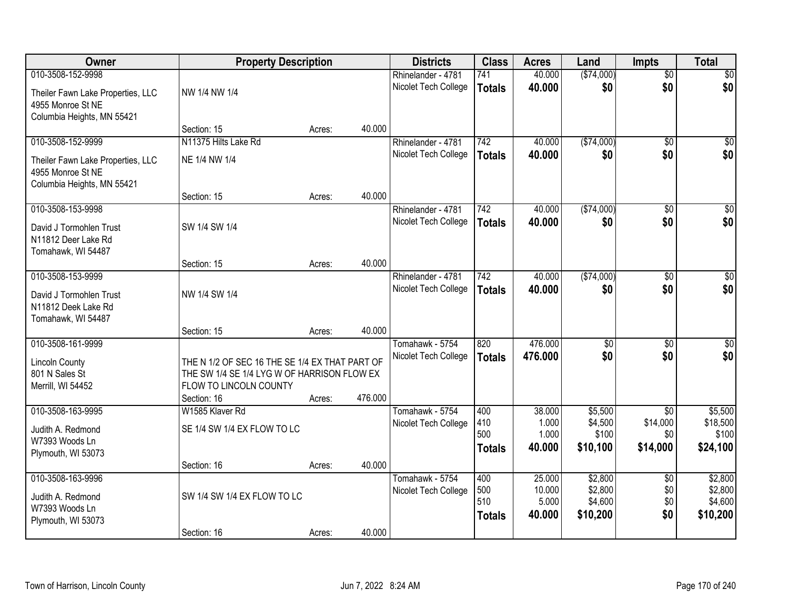| Owner                                                                                | <b>Property Description</b>                                                                                                            |        |         | <b>Districts</b>                        | <b>Class</b>                       | <b>Acres</b>                        | Land                                      | <b>Impts</b>                         | <b>Total</b>                              |
|--------------------------------------------------------------------------------------|----------------------------------------------------------------------------------------------------------------------------------------|--------|---------|-----------------------------------------|------------------------------------|-------------------------------------|-------------------------------------------|--------------------------------------|-------------------------------------------|
| 010-3508-152-9998                                                                    |                                                                                                                                        |        |         | Rhinelander - 4781                      | 741                                | 40.000                              | (\$74,000)                                | $\overline{50}$                      | \$0                                       |
| Theiler Fawn Lake Properties, LLC<br>4955 Monroe St NE<br>Columbia Heights, MN 55421 | NW 1/4 NW 1/4                                                                                                                          |        |         | Nicolet Tech College                    | <b>Totals</b>                      | 40.000                              | \$0                                       | \$0                                  | \$0                                       |
|                                                                                      | Section: 15                                                                                                                            | Acres: | 40.000  |                                         |                                    |                                     |                                           |                                      |                                           |
| 010-3508-152-9999                                                                    | N11375 Hilts Lake Rd                                                                                                                   |        |         | Rhinelander - 4781                      | 742                                | 40.000                              | (\$74,000)                                | $\overline{50}$                      | \$0                                       |
| Theiler Fawn Lake Properties, LLC<br>4955 Monroe St NE<br>Columbia Heights, MN 55421 | NE 1/4 NW 1/4                                                                                                                          |        |         | Nicolet Tech College                    | <b>Totals</b>                      | 40.000                              | \$0                                       | \$0                                  | \$0                                       |
|                                                                                      | Section: 15                                                                                                                            | Acres: | 40.000  |                                         |                                    |                                     |                                           |                                      |                                           |
| 010-3508-153-9998                                                                    |                                                                                                                                        |        |         | Rhinelander - 4781                      | 742                                | 40.000                              | ( \$74,000)                               | \$0                                  | $\overline{50}$                           |
| David J Tormohlen Trust<br>N11812 Deer Lake Rd<br>Tomahawk, WI 54487                 | SW 1/4 SW 1/4                                                                                                                          |        |         | Nicolet Tech College                    | <b>Totals</b>                      | 40.000                              | \$0                                       | \$0                                  | \$0                                       |
|                                                                                      | Section: 15                                                                                                                            | Acres: | 40.000  |                                         |                                    |                                     |                                           |                                      |                                           |
| 010-3508-153-9999                                                                    |                                                                                                                                        |        |         | Rhinelander - 4781                      | 742                                | 40.000                              | ( \$74,000)                               | $\sqrt[6]{3}$                        | $\sqrt{50}$                               |
| David J Tormohlen Trust<br>N11812 Deek Lake Rd<br>Tomahawk, WI 54487                 | NW 1/4 SW 1/4                                                                                                                          |        |         | Nicolet Tech College                    | <b>Totals</b>                      | 40,000                              | \$0                                       | \$0                                  | \$0                                       |
|                                                                                      | Section: 15                                                                                                                            | Acres: | 40.000  |                                         |                                    |                                     |                                           |                                      |                                           |
| 010-3508-161-9999                                                                    |                                                                                                                                        |        |         | Tomahawk - 5754                         | 820                                | 476.000                             | $\overline{50}$                           | $\overline{50}$                      | $\overline{50}$                           |
| <b>Lincoln County</b><br>801 N Sales St<br>Merrill, WI 54452                         | THE N 1/2 OF SEC 16 THE SE 1/4 EX THAT PART OF<br>THE SW 1/4 SE 1/4 LYG W OF HARRISON FLOW EX<br>FLOW TO LINCOLN COUNTY<br>Section: 16 | Acres: | 476.000 | Nicolet Tech College                    | <b>Totals</b>                      | 476.000                             | \$0                                       | \$0                                  | \$0                                       |
| 010-3508-163-9995                                                                    | W1585 Klaver Rd                                                                                                                        |        |         | Tomahawk - 5754                         | 400                                | 38.000                              | \$5,500                                   | $\overline{30}$                      | \$5,500                                   |
| Judith A. Redmond<br>W7393 Woods Ln<br>Plymouth, WI 53073                            | SE 1/4 SW 1/4 EX FLOW TO LC                                                                                                            |        |         | Nicolet Tech College                    | 410<br>500<br><b>Totals</b>        | 1.000<br>1.000<br>40.000            | \$4,500<br>\$100<br>\$10,100              | \$14,000<br>\$0<br>\$14,000          | \$18,500<br>\$100<br>\$24,100             |
|                                                                                      | Section: 16                                                                                                                            | Acres: | 40.000  |                                         |                                    |                                     |                                           |                                      |                                           |
| 010-3508-163-9996<br>Judith A. Redmond<br>W7393 Woods Ln<br>Plymouth, WI 53073       | SW 1/4 SW 1/4 EX FLOW TO LC                                                                                                            |        |         | Tomahawk - 5754<br>Nicolet Tech College | 400<br>500<br>510<br><b>Totals</b> | 25.000<br>10.000<br>5.000<br>40.000 | \$2,800<br>\$2,800<br>\$4,600<br>\$10,200 | $\overline{50}$<br>\$0<br>\$0<br>\$0 | \$2,800<br>\$2,800<br>\$4,600<br>\$10,200 |
|                                                                                      | Section: 16                                                                                                                            | Acres: | 40.000  |                                         |                                    |                                     |                                           |                                      |                                           |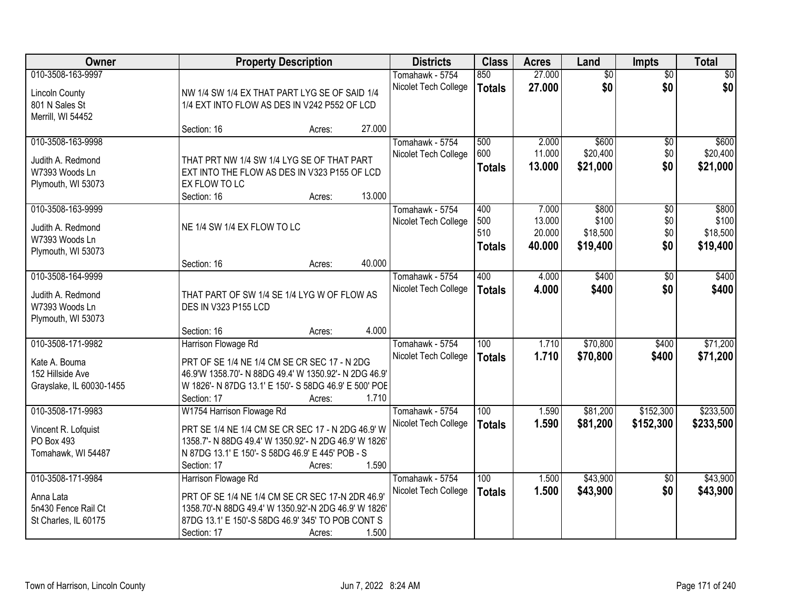| Owner                                                                              |                                                                                                                                                                                                            | <b>Property Description</b> |        | <b>Districts</b>                        | <b>Class</b>                       | <b>Acres</b>                        | Land                                   | <b>Impts</b>                         | <b>Total</b>                           |
|------------------------------------------------------------------------------------|------------------------------------------------------------------------------------------------------------------------------------------------------------------------------------------------------------|-----------------------------|--------|-----------------------------------------|------------------------------------|-------------------------------------|----------------------------------------|--------------------------------------|----------------------------------------|
| 010-3508-163-9997<br><b>Lincoln County</b><br>801 N Sales St<br>Merrill, WI 54452  | NW 1/4 SW 1/4 EX THAT PART LYG SE OF SAID 1/4<br>1/4 EXT INTO FLOW AS DES IN V242 P552 OF LCD                                                                                                              |                             |        | Tomahawk - 5754<br>Nicolet Tech College | 850<br><b>Totals</b>               | 27.000<br>27.000                    | $\overline{50}$<br>\$0                 | $\overline{50}$<br>\$0               | $\sqrt{30}$<br>\$0                     |
|                                                                                    | Section: 16                                                                                                                                                                                                | Acres:                      | 27.000 |                                         |                                    |                                     |                                        |                                      |                                        |
| 010-3508-163-9998<br>Judith A. Redmond<br>W7393 Woods Ln<br>Plymouth, WI 53073     | THAT PRT NW 1/4 SW 1/4 LYG SE OF THAT PART<br>EXT INTO THE FLOW AS DES IN V323 P155 OF LCD<br>EX FLOW TO LC<br>Section: 16                                                                                 | Acres:                      | 13.000 | Tomahawk - 5754<br>Nicolet Tech College | 500<br>600<br><b>Totals</b>        | 2.000<br>11.000<br>13.000           | \$600<br>\$20,400<br>\$21,000          | \$0<br>\$0<br>\$0                    | \$600<br>\$20,400<br>\$21,000          |
| 010-3508-163-9999<br>Judith A. Redmond<br>W7393 Woods Ln<br>Plymouth, WI 53073     | NE 1/4 SW 1/4 EX FLOW TO LC<br>Section: 16                                                                                                                                                                 | Acres:                      | 40.000 | Tomahawk - 5754<br>Nicolet Tech College | 400<br>500<br>510<br><b>Totals</b> | 7.000<br>13.000<br>20.000<br>40.000 | \$800<br>\$100<br>\$18,500<br>\$19,400 | $\overline{50}$<br>\$0<br>\$0<br>\$0 | \$800<br>\$100<br>\$18,500<br>\$19,400 |
| 010-3508-164-9999<br>Judith A. Redmond<br>W7393 Woods Ln<br>Plymouth, WI 53073     | THAT PART OF SW 1/4 SE 1/4 LYG W OF FLOW AS<br>DES IN V323 P155 LCD<br>Section: 16                                                                                                                         | Acres:                      | 4.000  | Tomahawk - 5754<br>Nicolet Tech College | 400<br><b>Totals</b>               | 4.000<br>4.000                      | \$400<br>\$400                         | \$0<br>\$0                           | \$400<br>\$400                         |
| 010-3508-171-9982<br>Kate A. Bouma<br>152 Hillside Ave<br>Grayslake, IL 60030-1455 | Harrison Flowage Rd<br>PRT OF SE 1/4 NE 1/4 CM SE CR SEC 17 - N 2DG<br>46.9'W 1358.70'- N 88DG 49.4' W 1350.92'- N 2DG 46.9'<br>W 1826'- N 87DG 13.1' E 150'- S 58DG 46.9' E 500' POE<br>Section: 17       | Acres:                      | 1.710  | Tomahawk - 5754<br>Nicolet Tech College | 100<br><b>Totals</b>               | 1.710<br>1.710                      | \$70,800<br>\$70,800                   | \$400<br>\$400                       | \$71,200<br>\$71,200                   |
| 010-3508-171-9983<br>Vincent R. Lofquist<br>PO Box 493<br>Tomahawk, WI 54487       | W1754 Harrison Flowage Rd<br>PRT SE 1/4 NE 1/4 CM SE CR SEC 17 - N 2DG 46.9' W<br>1358.7'- N 88DG 49.4' W 1350.92'- N 2DG 46.9' W 1826'<br>N 87DG 13.1' E 150'- S 58DG 46.9' E 445' POB - S<br>Section: 17 | Acres:                      | 1.590  | Tomahawk - 5754<br>Nicolet Tech College | 100<br><b>Totals</b>               | 1.590<br>1.590                      | \$81,200<br>\$81,200                   | \$152,300<br>\$152,300               | \$233,500<br>\$233,500                 |
| 010-3508-171-9984<br>Anna Lata<br>5n430 Fence Rail Ct<br>St Charles, IL 60175      | Harrison Flowage Rd<br>PRT OF SE 1/4 NE 1/4 CM SE CR SEC 17-N 2DR 46.9'<br>1358.70'-N 88DG 49.4' W 1350.92'-N 2DG 46.9' W 1826'<br>87DG 13.1' E 150'-S 58DG 46.9' 345' TO POB CONT S<br>Section: 17        | Acres:                      | 1.500  | Tomahawk - 5754<br>Nicolet Tech College | 100<br><b>Totals</b>               | 1.500<br>1.500                      | \$43,900<br>\$43,900                   | $\overline{30}$<br>\$0               | \$43,900<br>\$43,900                   |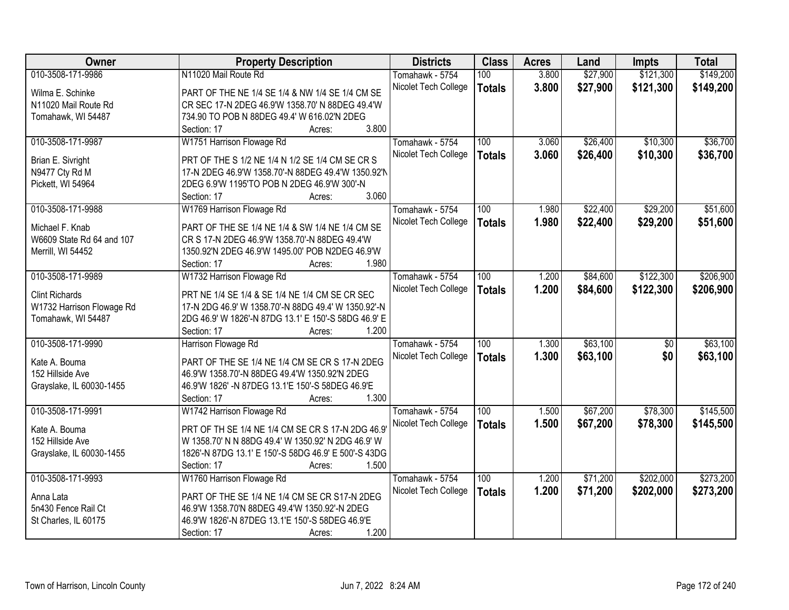| Owner                     | <b>Property Description</b>                          | <b>Districts</b>     | <b>Class</b>  | <b>Acres</b> | Land     | <b>Impts</b>    | <b>Total</b> |
|---------------------------|------------------------------------------------------|----------------------|---------------|--------------|----------|-----------------|--------------|
| 010-3508-171-9986         | N11020 Mail Route Rd                                 | Tomahawk - 5754      | 100           | 3.800        | \$27,900 | \$121,300       | \$149,200    |
| Wilma E. Schinke          | PART OF THE NE 1/4 SE 1/4 & NW 1/4 SE 1/4 CM SE      | Nicolet Tech College | <b>Totals</b> | 3.800        | \$27,900 | \$121,300       | \$149,200    |
| N11020 Mail Route Rd      | CR SEC 17-N 2DEG 46.9'W 1358.70' N 88DEG 49.4'W      |                      |               |              |          |                 |              |
| Tomahawk, WI 54487        | 734.90 TO POB N 88DEG 49.4' W 616.02'N 2DEG          |                      |               |              |          |                 |              |
|                           | 3.800<br>Section: 17<br>Acres:                       |                      |               |              |          |                 |              |
| 010-3508-171-9987         | W1751 Harrison Flowage Rd                            | Tomahawk - 5754      | 100           | 3.060        | \$26,400 | \$10,300        | \$36,700     |
|                           |                                                      | Nicolet Tech College | <b>Totals</b> | 3.060        | \$26,400 | \$10,300        | \$36,700     |
| Brian E. Sivright         | PRT OF THE S 1/2 NE 1/4 N 1/2 SE 1/4 CM SE CR S      |                      |               |              |          |                 |              |
| N9477 Cty Rd M            | 17-N 2DEG 46.9'W 1358.70'-N 88DEG 49.4'W 1350.92'N   |                      |               |              |          |                 |              |
| Pickett, WI 54964         | 2DEG 6.9'W 1195'TO POB N 2DEG 46.9'W 300'-N          |                      |               |              |          |                 |              |
|                           | 3.060<br>Section: 17<br>Acres:                       |                      |               |              |          |                 |              |
| 010-3508-171-9988         | W1769 Harrison Flowage Rd                            | Tomahawk - 5754      | 100           | 1.980        | \$22,400 | \$29,200        | \$51,600     |
| Michael F. Knab           | PART OF THE SE 1/4 NE 1/4 & SW 1/4 NE 1/4 CM SE      | Nicolet Tech College | <b>Totals</b> | 1.980        | \$22,400 | \$29,200        | \$51,600     |
| W6609 State Rd 64 and 107 | CR S 17-N 2DEG 46.9'W 1358.70'-N 88DEG 49.4'W        |                      |               |              |          |                 |              |
| Merrill, WI 54452         | 1350.92'N 2DEG 46.9'W 1495.00' POB N2DEG 46.9'W      |                      |               |              |          |                 |              |
|                           | 1.980<br>Section: 17                                 |                      |               |              |          |                 |              |
| 010-3508-171-9989         | Acres:                                               |                      | 100           |              |          | \$122,300       | \$206,900    |
|                           | W1732 Harrison Flowage Rd                            | Tomahawk - 5754      |               | 1.200        | \$84,600 |                 |              |
| <b>Clint Richards</b>     | PRT NE 1/4 SE 1/4 & SE 1/4 NE 1/4 CM SE CR SEC       | Nicolet Tech College | <b>Totals</b> | 1.200        | \$84,600 | \$122,300       | \$206,900    |
| W1732 Harrison Flowage Rd | 17-N 2DG 46.9' W 1358.70'-N 88DG 49.4' W 1350.92'-N  |                      |               |              |          |                 |              |
| Tomahawk, WI 54487        | 2DG 46.9' W 1826'-N 87DG 13.1' E 150'-S 58DG 46.9' E |                      |               |              |          |                 |              |
|                           | 1.200<br>Section: 17<br>Acres:                       |                      |               |              |          |                 |              |
| 010-3508-171-9990         | Harrison Flowage Rd                                  | Tomahawk - 5754      | 100           | 1.300        | \$63,100 | $\overline{50}$ | \$63,100     |
|                           |                                                      | Nicolet Tech College | <b>Totals</b> | 1.300        | \$63,100 | \$0             | \$63,100     |
| Kate A. Bouma             | PART OF THE SE 1/4 NE 1/4 CM SE CR S 17-N 2DEG       |                      |               |              |          |                 |              |
| 152 Hillside Ave          | 46.9'W 1358.70'-N 88DEG 49.4'W 1350.92'N 2DEG        |                      |               |              |          |                 |              |
| Grayslake, IL 60030-1455  | 46.9'W 1826' -N 87DEG 13.1'E 150'-S 58DEG 46.9'E     |                      |               |              |          |                 |              |
|                           | 1.300<br>Section: 17<br>Acres:                       |                      |               |              |          |                 |              |
| 010-3508-171-9991         | W1742 Harrison Flowage Rd                            | Tomahawk - 5754      | 100           | 1.500        | \$67,200 | \$78,300        | \$145,500    |
| Kate A. Bouma             | PRT OF TH SE 1/4 NE 1/4 CM SE CR S 17-N 2DG 46.9     | Nicolet Tech College | <b>Totals</b> | 1.500        | \$67,200 | \$78,300        | \$145,500    |
| 152 Hillside Ave          | W 1358.70' N N 88DG 49.4' W 1350.92' N 2DG 46.9' W   |                      |               |              |          |                 |              |
| Grayslake, IL 60030-1455  | 1826'-N 87DG 13.1' E 150'-S 58DG 46.9' E 500'-S 43DG |                      |               |              |          |                 |              |
|                           | 1.500<br>Section: 17<br>Acres:                       |                      |               |              |          |                 |              |
| 010-3508-171-9993         | W1760 Harrison Flowage Rd                            | Tomahawk - 5754      | 100           | 1.200        | \$71,200 | \$202,000       | \$273,200    |
|                           |                                                      | Nicolet Tech College | <b>Totals</b> | 1.200        | \$71,200 | \$202,000       | \$273,200    |
| Anna Lata                 | PART OF THE SE 1/4 NE 1/4 CM SE CR S17-N 2DEG        |                      |               |              |          |                 |              |
| 5n430 Fence Rail Ct       | 46.9'W 1358.70'N 88DEG 49.4'W 1350.92'-N 2DEG        |                      |               |              |          |                 |              |
| St Charles, IL 60175      | 46.9'W 1826'-N 87DEG 13.1'E 150'-S 58DEG 46.9'E      |                      |               |              |          |                 |              |
|                           | 1.200<br>Section: 17<br>Acres:                       |                      |               |              |          |                 |              |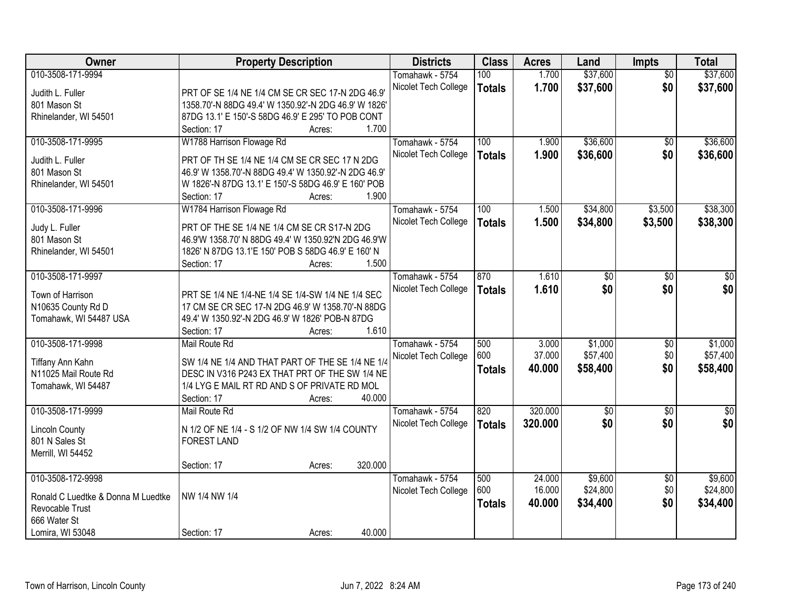| <b>Owner</b>                       | <b>Property Description</b>                          | <b>Districts</b>     | <b>Class</b>  | <b>Acres</b> | Land        | Impts           | <b>Total</b>  |
|------------------------------------|------------------------------------------------------|----------------------|---------------|--------------|-------------|-----------------|---------------|
| 010-3508-171-9994                  |                                                      | Tomahawk - 5754      | 100           | 1.700        | \$37,600    | $\overline{50}$ | \$37,600      |
| Judith L. Fuller                   | PRT OF SE 1/4 NE 1/4 CM SE CR SEC 17-N 2DG 46.9      | Nicolet Tech College | <b>Totals</b> | 1.700        | \$37,600    | \$0             | \$37,600      |
| 801 Mason St                       | 1358.70'-N 88DG 49.4' W 1350.92'-N 2DG 46.9' W 1826' |                      |               |              |             |                 |               |
| Rhinelander, WI 54501              | 87DG 13.1' E 150'-S 58DG 46.9' E 295' TO POB CONT    |                      |               |              |             |                 |               |
|                                    | 1.700<br>Section: 17<br>Acres:                       |                      |               |              |             |                 |               |
| 010-3508-171-9995                  | W1788 Harrison Flowage Rd                            | Tomahawk - 5754      | 100           | 1.900        | \$36,600    | \$0             | \$36,600      |
|                                    |                                                      | Nicolet Tech College | <b>Totals</b> | 1.900        | \$36,600    | \$0             | \$36,600      |
| Judith L. Fuller                   | PRT OF TH SE 1/4 NE 1/4 CM SE CR SEC 17 N 2DG        |                      |               |              |             |                 |               |
| 801 Mason St                       | 46.9' W 1358.70'-N 88DG 49.4' W 1350.92'-N 2DG 46.9' |                      |               |              |             |                 |               |
| Rhinelander, WI 54501              | W 1826'-N 87DG 13.1' E 150'-S 58DG 46.9' E 160' POB  |                      |               |              |             |                 |               |
|                                    | 1.900<br>Section: 17<br>Acres:                       |                      |               |              |             |                 |               |
| 010-3508-171-9996                  | W1784 Harrison Flowage Rd                            | Tomahawk - 5754      | 100           | 1.500        | \$34,800    | \$3,500         | \$38,300      |
| Judy L. Fuller                     | PRT OF THE SE 1/4 NE 1/4 CM SE CR S17-N 2DG          | Nicolet Tech College | <b>Totals</b> | 1.500        | \$34,800    | \$3,500         | \$38,300      |
| 801 Mason St                       | 46.9'W 1358.70' N 88DG 49.4' W 1350.92'N 2DG 46.9'W  |                      |               |              |             |                 |               |
| Rhinelander, WI 54501              | 1826' N 87DG 13.1'E 150' POB S 58DG 46.9' E 160' N   |                      |               |              |             |                 |               |
|                                    | 1.500<br>Section: 17<br>Acres:                       |                      |               |              |             |                 |               |
| 010-3508-171-9997                  |                                                      | Tomahawk - 5754      | 870           | 1.610        | \$0         | \$0             | \$0           |
|                                    |                                                      | Nicolet Tech College |               | 1.610        | \$0         | \$0             | \$0           |
| Town of Harrison                   | PRT SE 1/4 NE 1/4-NE 1/4 SE 1/4-SW 1/4 NE 1/4 SEC    |                      | <b>Totals</b> |              |             |                 |               |
| N10635 County Rd D                 | 17 CM SE CR SEC 17-N 2DG 46.9' W 1358.70'-N 88DG     |                      |               |              |             |                 |               |
| Tomahawk, WI 54487 USA             | 49.4' W 1350.92'-N 2DG 46.9' W 1826' POB-N 87DG      |                      |               |              |             |                 |               |
|                                    | 1.610<br>Section: 17<br>Acres:                       |                      |               |              |             |                 |               |
| 010-3508-171-9998                  | Mail Route Rd                                        | Tomahawk - 5754      | 500           | 3.000        | \$1,000     | $\overline{50}$ | \$1,000       |
| Tiffany Ann Kahn                   | SW 1/4 NE 1/4 AND THAT PART OF THE SE 1/4 NE 1/4     | Nicolet Tech College | 600           | 37.000       | \$57,400    | \$0             | \$57,400      |
| N11025 Mail Route Rd               | DESC IN V316 P243 EX THAT PRT OF THE SW 1/4 NE       |                      | <b>Totals</b> | 40.000       | \$58,400    | \$0             | \$58,400      |
| Tomahawk, WI 54487                 | 1/4 LYG E MAIL RT RD AND S OF PRIVATE RD MOL         |                      |               |              |             |                 |               |
|                                    | 40.000<br>Section: 17<br>Acres:                      |                      |               |              |             |                 |               |
| 010-3508-171-9999                  | Mail Route Rd                                        | Tomahawk - 5754      | 820           | 320.000      | $\sqrt{$0}$ | $\overline{50}$ | $\frac{1}{6}$ |
|                                    |                                                      |                      |               |              | \$0         | \$0             | \$0           |
| <b>Lincoln County</b>              | N 1/2 OF NE 1/4 - S 1/2 OF NW 1/4 SW 1/4 COUNTY      | Nicolet Tech College | <b>Totals</b> | 320.000      |             |                 |               |
| 801 N Sales St                     | <b>FOREST LAND</b>                                   |                      |               |              |             |                 |               |
| Merrill, WI 54452                  |                                                      |                      |               |              |             |                 |               |
|                                    | 320.000<br>Section: 17<br>Acres:                     |                      |               |              |             |                 |               |
| 010-3508-172-9998                  |                                                      | Tomahawk - 5754      | 500           | 24.000       | \$9,600     | $\overline{50}$ | \$9,600       |
| Ronald C Luedtke & Donna M Luedtke | NW 1/4 NW 1/4                                        | Nicolet Tech College | 600           | 16.000       | \$24,800    | \$0             | \$24,800      |
| Revocable Trust                    |                                                      |                      | <b>Totals</b> | 40.000       | \$34,400    | \$0             | \$34,400      |
| 666 Water St                       |                                                      |                      |               |              |             |                 |               |
| Lomira, WI 53048                   | 40.000<br>Section: 17                                |                      |               |              |             |                 |               |
|                                    | Acres:                                               |                      |               |              |             |                 |               |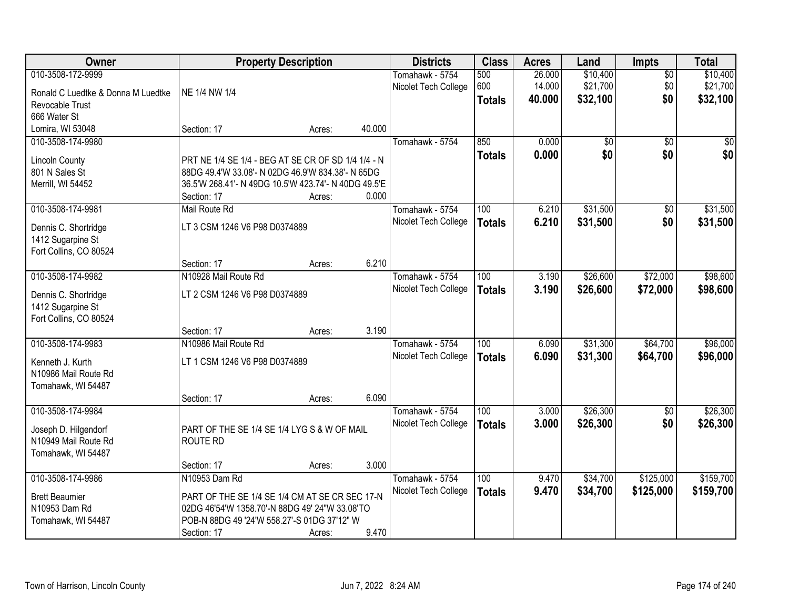| Owner                                    |                                                                     | <b>Property Description</b> |        | <b>Districts</b>     | <b>Class</b>  | <b>Acres</b> | Land            | <b>Impts</b>    | <b>Total</b>   |
|------------------------------------------|---------------------------------------------------------------------|-----------------------------|--------|----------------------|---------------|--------------|-----------------|-----------------|----------------|
| 010-3508-172-9999                        |                                                                     |                             |        | Tomahawk - 5754      | 500           | 26.000       | \$10,400        | $\overline{50}$ | \$10,400       |
| Ronald C Luedtke & Donna M Luedtke       | NE 1/4 NW 1/4                                                       |                             |        | Nicolet Tech College | 600           | 14.000       | \$21,700        | \$0             | \$21,700       |
| Revocable Trust                          |                                                                     |                             |        |                      | <b>Totals</b> | 40.000       | \$32,100        | \$0             | \$32,100       |
| 666 Water St                             |                                                                     |                             |        |                      |               |              |                 |                 |                |
| Lomira, WI 53048                         | Section: 17                                                         | Acres:                      | 40.000 |                      |               |              |                 |                 |                |
| 010-3508-174-9980                        |                                                                     |                             |        | Tomahawk - 5754      | 850           | 0.000        | $\overline{50}$ | $\overline{50}$ | $\frac{1}{20}$ |
|                                          |                                                                     |                             |        |                      | <b>Totals</b> | 0.000        | \$0             | \$0             | \$0            |
| <b>Lincoln County</b>                    | PRT NE 1/4 SE 1/4 - BEG AT SE CR OF SD 1/4 1/4 - N                  |                             |        |                      |               |              |                 |                 |                |
| 801 N Sales St                           | 88DG 49.4'W 33.08'- N 02DG 46.9'W 834.38'- N 65DG                   |                             |        |                      |               |              |                 |                 |                |
| Merrill, WI 54452                        | 36.5'W 268.41'- N 49DG 10.5'W 423.74'- N 40DG 49.5'E<br>Section: 17 |                             | 0.000  |                      |               |              |                 |                 |                |
| 010-3508-174-9981                        | Mail Route Rd                                                       | Acres:                      |        | Tomahawk - 5754      | 100           | 6.210        | \$31,500        | \$0             | \$31,500       |
|                                          |                                                                     |                             |        | Nicolet Tech College |               |              |                 |                 |                |
| Dennis C. Shortridge                     | LT 3 CSM 1246 V6 P98 D0374889                                       |                             |        |                      | <b>Totals</b> | 6.210        | \$31,500        | \$0             | \$31,500       |
| 1412 Sugarpine St                        |                                                                     |                             |        |                      |               |              |                 |                 |                |
| Fort Collins, CO 80524                   |                                                                     |                             |        |                      |               |              |                 |                 |                |
|                                          | Section: 17                                                         | Acres:                      | 6.210  |                      |               |              |                 |                 |                |
| 010-3508-174-9982                        | N10928 Mail Route Rd                                                |                             |        | Tomahawk - 5754      | 100           | 3.190        | \$26,600        | \$72,000        | \$98,600       |
| Dennis C. Shortridge                     | LT 2 CSM 1246 V6 P98 D0374889                                       |                             |        | Nicolet Tech College | <b>Totals</b> | 3.190        | \$26,600        | \$72,000        | \$98,600       |
| 1412 Sugarpine St                        |                                                                     |                             |        |                      |               |              |                 |                 |                |
| Fort Collins, CO 80524                   |                                                                     |                             |        |                      |               |              |                 |                 |                |
|                                          | Section: 17                                                         | Acres:                      | 3.190  |                      |               |              |                 |                 |                |
| 010-3508-174-9983                        | N10986 Mail Route Rd                                                |                             |        | Tomahawk - 5754      | 100           | 6.090        | \$31,300        | \$64,700        | \$96,000       |
|                                          |                                                                     |                             |        | Nicolet Tech College | <b>Totals</b> | 6.090        | \$31,300        | \$64,700        | \$96,000       |
| Kenneth J. Kurth<br>N10986 Mail Route Rd | LT 1 CSM 1246 V6 P98 D0374889                                       |                             |        |                      |               |              |                 |                 |                |
| Tomahawk, WI 54487                       |                                                                     |                             |        |                      |               |              |                 |                 |                |
|                                          | Section: 17                                                         | Acres:                      | 6.090  |                      |               |              |                 |                 |                |
| 010-3508-174-9984                        |                                                                     |                             |        | Tomahawk - 5754      | 100           | 3.000        | \$26,300        | $\sqrt{$0}$     | \$26,300       |
|                                          |                                                                     |                             |        | Nicolet Tech College | <b>Totals</b> | 3.000        | \$26,300        | \$0             | \$26,300       |
| Joseph D. Hilgendorf                     | PART OF THE SE 1/4 SE 1/4 LYG S & W OF MAIL                         |                             |        |                      |               |              |                 |                 |                |
| N10949 Mail Route Rd                     | <b>ROUTE RD</b>                                                     |                             |        |                      |               |              |                 |                 |                |
| Tomahawk, WI 54487                       |                                                                     |                             |        |                      |               |              |                 |                 |                |
|                                          | Section: 17                                                         | Acres:                      | 3.000  |                      |               |              |                 |                 |                |
| 010-3508-174-9986                        | N10953 Dam Rd                                                       |                             |        | Tomahawk - 5754      | 100           | 9.470        | \$34,700        | \$125,000       | \$159,700      |
| <b>Brett Beaumier</b>                    | PART OF THE SE 1/4 SE 1/4 CM AT SE CR SEC 17-N                      |                             |        | Nicolet Tech College | <b>Totals</b> | 9.470        | \$34,700        | \$125,000       | \$159,700      |
| N10953 Dam Rd                            | 02DG 46'54'W 1358.70'-N 88DG 49' 24"W 33.08'TO                      |                             |        |                      |               |              |                 |                 |                |
| Tomahawk, WI 54487                       | POB-N 88DG 49 '24'W 558.27'-S 01DG 37'12" W                         |                             |        |                      |               |              |                 |                 |                |
|                                          | Section: 17                                                         | Acres:                      | 9.470  |                      |               |              |                 |                 |                |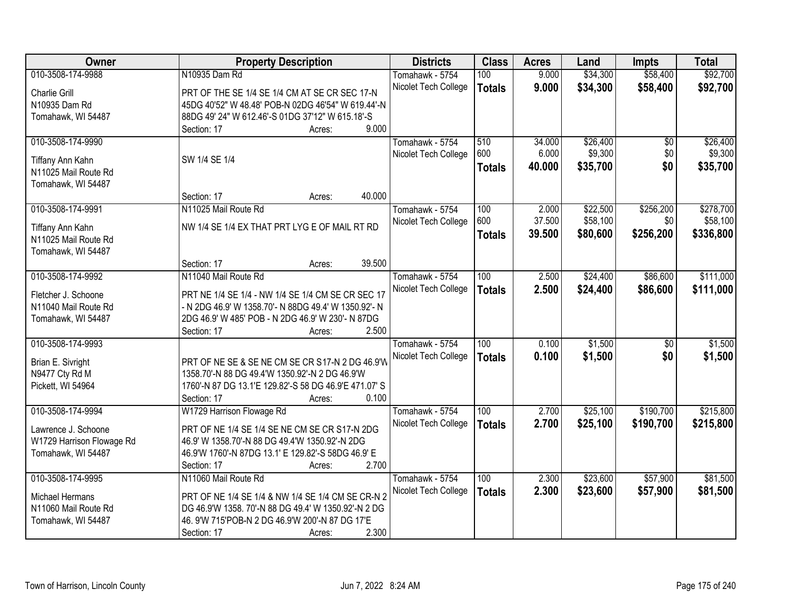| <b>Owner</b>              | <b>Property Description</b>                           | <b>Districts</b>     | <b>Class</b>     | <b>Acres</b> | Land     | <b>Impts</b>    | <b>Total</b> |
|---------------------------|-------------------------------------------------------|----------------------|------------------|--------------|----------|-----------------|--------------|
| 010-3508-174-9988         | N10935 Dam Rd                                         | Tomahawk - 5754      | 100              | 9.000        | \$34,300 | \$58,400        | \$92,700     |
| Charlie Grill             | PRT OF THE SE 1/4 SE 1/4 CM AT SE CR SEC 17-N         | Nicolet Tech College | <b>Totals</b>    | 9.000        | \$34,300 | \$58,400        | \$92,700     |
| N10935 Dam Rd             | 45DG 40'52" W 48.48' POB-N 02DG 46'54" W 619.44'-N    |                      |                  |              |          |                 |              |
| Tomahawk, WI 54487        | 88DG 49' 24" W 612.46'-S 01DG 37'12" W 615.18'-S      |                      |                  |              |          |                 |              |
|                           | 9.000<br>Section: 17<br>Acres:                        |                      |                  |              |          |                 |              |
| 010-3508-174-9990         |                                                       | Tomahawk - 5754      | 510              | 34,000       | \$26,400 | $\overline{50}$ | \$26,400     |
|                           |                                                       | Nicolet Tech College | 600              | 6.000        | \$9,300  | \$0             | \$9,300      |
| Tiffany Ann Kahn          | SW 1/4 SE 1/4                                         |                      | <b>Totals</b>    | 40.000       | \$35,700 | \$0             | \$35,700     |
| N11025 Mail Route Rd      |                                                       |                      |                  |              |          |                 |              |
| Tomahawk, WI 54487        |                                                       |                      |                  |              |          |                 |              |
|                           | 40.000<br>Section: 17<br>Acres:                       |                      |                  |              |          |                 |              |
| 010-3508-174-9991         | N11025 Mail Route Rd                                  | Tomahawk - 5754      | 100              | 2.000        | \$22,500 | \$256,200       | \$278,700    |
| Tiffany Ann Kahn          | NW 1/4 SE 1/4 EX THAT PRT LYG E OF MAIL RT RD         | Nicolet Tech College | 600              | 37.500       | \$58,100 | \$0             | \$58,100     |
| N11025 Mail Route Rd      |                                                       |                      | <b>Totals</b>    | 39.500       | \$80,600 | \$256,200       | \$336,800    |
| Tomahawk, WI 54487        |                                                       |                      |                  |              |          |                 |              |
|                           | 39.500<br>Section: 17<br>Acres:                       |                      |                  |              |          |                 |              |
| 010-3508-174-9992         | N11040 Mail Route Rd                                  | Tomahawk - 5754      | 100              | 2.500        | \$24,400 | \$86,600        | \$111,000    |
|                           |                                                       |                      |                  |              |          |                 |              |
| Fletcher J. Schoone       | PRT NE 1/4 SE 1/4 - NW 1/4 SE 1/4 CM SE CR SEC 17     | Nicolet Tech College | <b>Totals</b>    | 2.500        | \$24,400 | \$86,600        | \$111,000    |
| N11040 Mail Route Rd      | - N 2DG 46.9' W 1358.70'- N 88DG 49.4' W 1350.92'- N  |                      |                  |              |          |                 |              |
| Tomahawk, WI 54487        | 2DG 46.9' W 485' POB - N 2DG 46.9' W 230'- N 87DG     |                      |                  |              |          |                 |              |
|                           | 2.500<br>Section: 17<br>Acres:                        |                      |                  |              |          |                 |              |
| 010-3508-174-9993         |                                                       | Tomahawk - 5754      | $\overline{100}$ | 0.100        | \$1,500  | $\overline{50}$ | \$1,500      |
|                           |                                                       | Nicolet Tech College | <b>Totals</b>    | 0.100        | \$1,500  | \$0             | \$1,500      |
| Brian E. Sivright         | PRT OF NE SE & SE NE CM SE CR S17-N 2 DG 46.9'W       |                      |                  |              |          |                 |              |
| N9477 Cty Rd M            | 1358.70'-N 88 DG 49.4'W 1350.92'-N 2 DG 46.9'W        |                      |                  |              |          |                 |              |
| Pickett, WI 54964         | 1760'-N 87 DG 13.1'E 129.82'-S 58 DG 46.9'E 471.07' S |                      |                  |              |          |                 |              |
|                           | 0.100<br>Section: 17<br>Acres:                        |                      |                  |              |          |                 |              |
| 010-3508-174-9994         | W1729 Harrison Flowage Rd                             | Tomahawk - 5754      | 100              | 2.700        | \$25,100 | \$190,700       | \$215,800    |
| Lawrence J. Schoone       | PRT OF NE 1/4 SE 1/4 SE NE CM SE CR S17-N 2DG         | Nicolet Tech College | <b>Totals</b>    | 2.700        | \$25,100 | \$190,700       | \$215,800    |
| W1729 Harrison Flowage Rd | 46.9' W 1358.70'-N 88 DG 49.4'W 1350.92'-N 2DG        |                      |                  |              |          |                 |              |
| Tomahawk, WI 54487        | 46.9'W 1760'-N 87DG 13.1' E 129.82'-S 58DG 46.9' E    |                      |                  |              |          |                 |              |
|                           | 2.700<br>Section: 17<br>Acres:                        |                      |                  |              |          |                 |              |
| 010-3508-174-9995         | N11060 Mail Route Rd                                  | Tomahawk - 5754      | 100              | 2.300        | \$23,600 | \$57,900        | \$81,500     |
|                           |                                                       | Nicolet Tech College | <b>Totals</b>    | 2.300        | \$23,600 | \$57,900        | \$81,500     |
| Michael Hermans           | PRT OF NE 1/4 SE 1/4 & NW 1/4 SE 1/4 CM SE CR-N 2     |                      |                  |              |          |                 |              |
| N11060 Mail Route Rd      | DG 46.9'W 1358. 70'-N 88 DG 49.4' W 1350.92'-N 2 DG   |                      |                  |              |          |                 |              |
| Tomahawk, WI 54487        | 46. 9'W 715'POB-N 2 DG 46.9'W 200'-N 87 DG 17'E       |                      |                  |              |          |                 |              |
|                           | 2.300<br>Section: 17<br>Acres:                        |                      |                  |              |          |                 |              |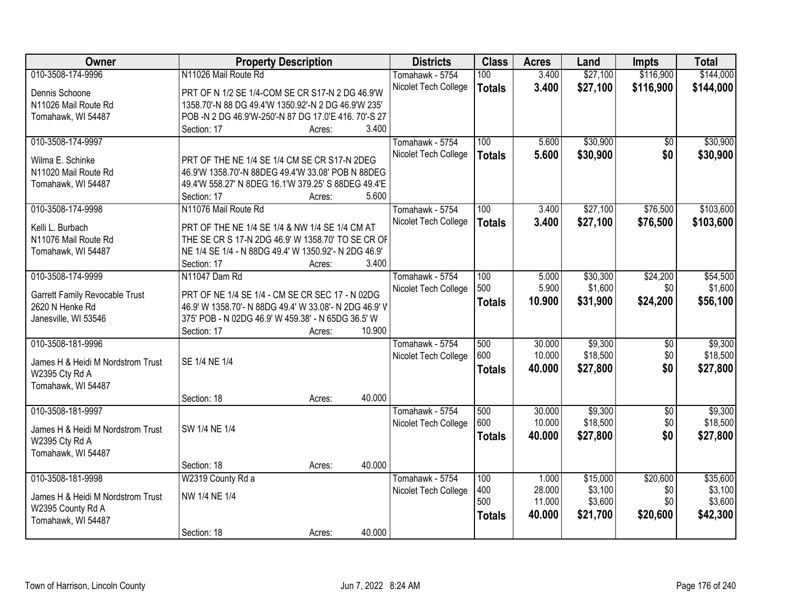| Owner                                   | <b>Property Description</b>                            |        |        | <b>Districts</b>     | <b>Class</b>  | <b>Acres</b> | Land     | <b>Impts</b>    | <b>Total</b> |
|-----------------------------------------|--------------------------------------------------------|--------|--------|----------------------|---------------|--------------|----------|-----------------|--------------|
| 010-3508-174-9996                       | N11026 Mail Route Rd                                   |        |        | Tomahawk - 5754      | 100           | 3.400        | \$27,100 | \$116,900       | \$144,000    |
| Dennis Schoone                          | PRT OF N 1/2 SE 1/4-COM SE CR S17-N 2 DG 46.9'W        |        |        | Nicolet Tech College | <b>Totals</b> | 3.400        | \$27,100 | \$116,900       | \$144,000    |
| N11026 Mail Route Rd                    | 1358.70'-N 88 DG 49.4'W 1350.92'-N 2 DG 46.9'W 235'    |        |        |                      |               |              |          |                 |              |
| Tomahawk, WI 54487                      | POB -N 2 DG 46.9'W-250'-N 87 DG 17.0'E 416. 70'-S 27   |        |        |                      |               |              |          |                 |              |
|                                         | Section: 17                                            | Acres: | 3.400  |                      |               |              |          |                 |              |
| 010-3508-174-9997                       |                                                        |        |        | Tomahawk - 5754      | 100           | 5.600        | \$30,900 | \$0             | \$30,900     |
|                                         |                                                        |        |        | Nicolet Tech College | <b>Totals</b> | 5.600        | \$30,900 | \$0             | \$30,900     |
| Wilma E. Schinke                        | PRT OF THE NE 1/4 SE 1/4 CM SE CR S17-N 2DEG           |        |        |                      |               |              |          |                 |              |
| N11020 Mail Route Rd                    | 46.9'W 1358.70'-N 88DEG 49.4'W 33.08' POB N 88DEG      |        |        |                      |               |              |          |                 |              |
| Tomahawk, WI 54487                      | 49.4'W 558.27' N 8DEG 16.1'W 379.25' S 88DEG 49.4'E    |        | 5.600  |                      |               |              |          |                 |              |
| 010-3508-174-9998                       | Section: 17<br>N11076 Mail Route Rd                    | Acres: |        | Tomahawk - 5754      | 100           | 3.400        | \$27,100 | \$76,500        | \$103,600    |
|                                         |                                                        |        |        |                      |               |              |          |                 |              |
| Kelli L. Burbach                        | PRT OF THE NE 1/4 SE 1/4 & NW 1/4 SE 1/4 CM AT         |        |        | Nicolet Tech College | <b>Totals</b> | 3.400        | \$27,100 | \$76,500        | \$103,600    |
| N11076 Mail Route Rd                    | THE SE CR S 17-N 2DG 46.9' W 1358.70' TO SE CR OF      |        |        |                      |               |              |          |                 |              |
| Tomahawk, WI 54487                      | NE 1/4 SE 1/4 - N 88DG 49.4' W 1350.92'- N 2DG 46.9'   |        |        |                      |               |              |          |                 |              |
|                                         | Section: 17                                            | Acres: | 3.400  |                      |               |              |          |                 |              |
| 010-3508-174-9999                       | N11047 Dam Rd                                          |        |        | Tomahawk - 5754      | 100           | 5.000        | \$30,300 | \$24,200        | \$54,500     |
| Garrett Family Revocable Trust          | PRT OF NE 1/4 SE 1/4 - CM SE CR SEC 17 - N 02DG        |        |        | Nicolet Tech College | 500           | 5.900        | \$1,600  | \$0             | \$1,600      |
| 2620 N Henke Rd                         | 46.9' W 1358.70'- N 88DG 49.4' W 33.08'- N 2DG 46.9' V |        |        |                      | <b>Totals</b> | 10.900       | \$31,900 | \$24,200        | \$56,100     |
| Janesville, WI 53546                    | 375' POB - N 02DG 46.9' W 459.38' - N 65DG 36.5' W     |        |        |                      |               |              |          |                 |              |
|                                         | Section: 17                                            | Acres: | 10.900 |                      |               |              |          |                 |              |
| 010-3508-181-9996                       |                                                        |        |        | Tomahawk - 5754      | 500           | 30.000       | \$9,300  | $\overline{50}$ | \$9,300      |
|                                         |                                                        |        |        | Nicolet Tech College | 600           | 10.000       | \$18,500 | \$0             | \$18,500     |
| James H & Heidi M Nordstrom Trust       | SE 1/4 NE 1/4                                          |        |        |                      | <b>Totals</b> | 40.000       | \$27,800 | \$0             | \$27,800     |
| W2395 Cty Rd A                          |                                                        |        |        |                      |               |              |          |                 |              |
| Tomahawk, WI 54487                      |                                                        |        |        |                      |               |              |          |                 |              |
|                                         | Section: 18                                            | Acres: | 40.000 |                      |               |              |          |                 |              |
| 010-3508-181-9997                       |                                                        |        |        | Tomahawk - 5754      | 500           | 30.000       | \$9,300  | $\sqrt{6}$      | \$9,300      |
| James H & Heidi M Nordstrom Trust       | SW 1/4 NE 1/4                                          |        |        | Nicolet Tech College | 600           | 10.000       | \$18,500 | \$0             | \$18,500     |
| W2395 Cty Rd A                          |                                                        |        |        |                      | <b>Totals</b> | 40.000       | \$27,800 | \$0             | \$27,800     |
| Tomahawk, WI 54487                      |                                                        |        |        |                      |               |              |          |                 |              |
|                                         | Section: 18                                            | Acres: | 40.000 |                      |               |              |          |                 |              |
| 010-3508-181-9998                       | W2319 County Rd a                                      |        |        | Tomahawk - 5754      | 100           | 1.000        | \$15,000 | \$20,600        | \$35,600     |
|                                         |                                                        |        |        | Nicolet Tech College | 400           | 28.000       | \$3,100  | \$0             | \$3,100      |
| James H & Heidi M Nordstrom Trust       | NW 1/4 NE 1/4                                          |        |        |                      | 500           | 11.000       | \$3,600  | \$0             | \$3,600      |
| W2395 County Rd A<br>Tomahawk, WI 54487 |                                                        |        |        |                      | <b>Totals</b> | 40.000       | \$21,700 | \$20,600        | \$42,300     |
|                                         | Section: 18                                            |        | 40.000 |                      |               |              |          |                 |              |
|                                         |                                                        | Acres: |        |                      |               |              |          |                 |              |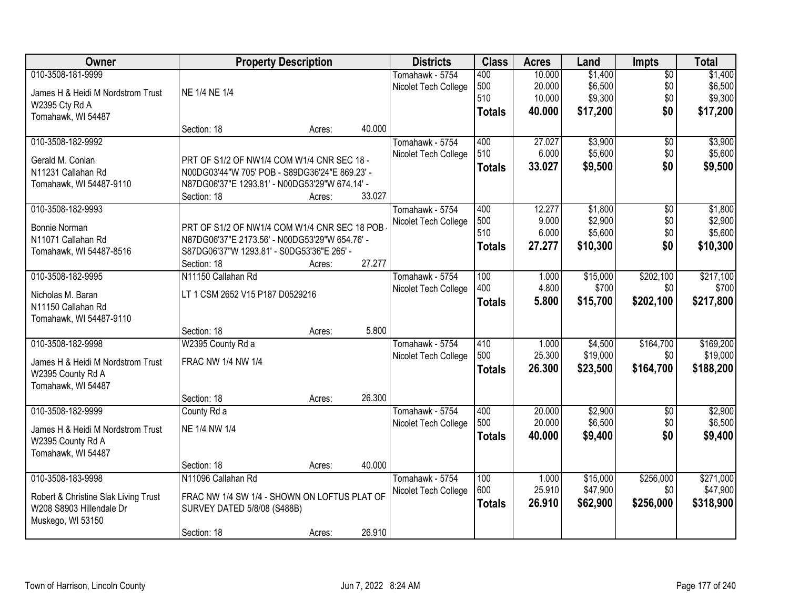| Owner                                         |                                                | <b>Property Description</b> |        | <b>Districts</b>     | <b>Class</b>  | <b>Acres</b> | Land               | <b>Impts</b>    | <b>Total</b>       |
|-----------------------------------------------|------------------------------------------------|-----------------------------|--------|----------------------|---------------|--------------|--------------------|-----------------|--------------------|
| 010-3508-181-9999                             |                                                |                             |        | Tomahawk - 5754      | 400           | 10.000       | \$1,400            | $\overline{50}$ | \$1,400            |
| James H & Heidi M Nordstrom Trust             | NE 1/4 NE 1/4                                  |                             |        | Nicolet Tech College | 500           | 20.000       | \$6,500            | \$0             | \$6,500            |
| W2395 Cty Rd A                                |                                                |                             |        |                      | 510           | 10.000       | \$9,300            | \$0             | \$9,300            |
| Tomahawk, WI 54487                            |                                                |                             |        |                      | <b>Totals</b> | 40.000       | \$17,200           | \$0             | \$17,200           |
|                                               | Section: 18                                    | Acres:                      | 40.000 |                      |               |              |                    |                 |                    |
| 010-3508-182-9992                             |                                                |                             |        | Tomahawk - 5754      | 400           | 27.027       | \$3,900            | $\overline{50}$ | \$3,900            |
| Gerald M. Conlan                              | PRT OF S1/2 OF NW1/4 COM W1/4 CNR SEC 18 -     |                             |        | Nicolet Tech College | 510           | 6.000        | \$5,600            | \$0             | \$5,600            |
| N11231 Callahan Rd                            | N00DG03'44"W 705' POB - S89DG36'24"E 869.23' - |                             |        |                      | <b>Totals</b> | 33.027       | \$9,500            | \$0             | \$9,500            |
| Tomahawk, WI 54487-9110                       | N87DG06'37"E 1293.81' - N00DG53'29"W 674.14' - |                             |        |                      |               |              |                    |                 |                    |
|                                               | Section: 18                                    | Acres:                      | 33.027 |                      |               |              |                    |                 |                    |
| 010-3508-182-9993                             |                                                |                             |        | Tomahawk - 5754      | 400           | 12.277       | \$1,800            | \$0             | \$1,800            |
| <b>Bonnie Norman</b>                          | PRT OF S1/2 OF NW1/4 COM W1/4 CNR SEC 18 POB   |                             |        | Nicolet Tech College | 500           | 9.000        | \$2,900            | \$0             | \$2,900            |
| N11071 Callahan Rd                            | N87DG06'37"E 2173.56' - N00DG53'29"W 654.76' - |                             |        |                      | 510           | 6.000        | \$5,600            | \$0             | \$5,600            |
| Tomahawk, WI 54487-8516                       | S87DG06'37"W 1293.81' - S0DG53'36"E 265' -     |                             |        |                      | <b>Totals</b> | 27.277       | \$10,300           | \$0             | \$10,300           |
|                                               | Section: 18                                    | Acres:                      | 27.277 |                      |               |              |                    |                 |                    |
| 010-3508-182-9995                             | N11150 Callahan Rd                             |                             |        | Tomahawk - 5754      | 100           | 1.000        | \$15,000           | \$202,100       | \$217,100          |
|                                               |                                                |                             |        | Nicolet Tech College | 400           | 4.800        | \$700              | \$0             | \$700              |
| Nicholas M. Baran                             | LT 1 CSM 2652 V15 P187 D0529216                |                             |        |                      | <b>Totals</b> | 5.800        | \$15,700           | \$202,100       | \$217,800          |
| N11150 Callahan Rd<br>Tomahawk, WI 54487-9110 |                                                |                             |        |                      |               |              |                    |                 |                    |
|                                               | Section: 18                                    | Acres:                      | 5.800  |                      |               |              |                    |                 |                    |
| 010-3508-182-9998                             | W2395 County Rd a                              |                             |        | Tomahawk - 5754      | 410           | 1.000        | \$4,500            | \$164,700       | \$169,200          |
|                                               |                                                |                             |        | Nicolet Tech College | 500           | 25.300       | \$19,000           | \$0             | \$19,000           |
| James H & Heidi M Nordstrom Trust             | FRAC NW 1/4 NW 1/4                             |                             |        |                      | <b>Totals</b> | 26.300       | \$23,500           | \$164,700       | \$188,200          |
| W2395 County Rd A                             |                                                |                             |        |                      |               |              |                    |                 |                    |
| Tomahawk, WI 54487                            |                                                |                             |        |                      |               |              |                    |                 |                    |
|                                               | Section: 18                                    | Acres:                      | 26.300 |                      |               |              |                    |                 |                    |
| 010-3508-182-9999                             | County Rd a                                    |                             |        | Tomahawk - 5754      | 400<br>500    | 20.000       | \$2,900<br>\$6,500 | $\overline{50}$ | \$2,900<br>\$6,500 |
| James H & Heidi M Nordstrom Trust             | NE 1/4 NW 1/4                                  |                             |        | Nicolet Tech College |               | 20.000       |                    | \$0             |                    |
| W2395 County Rd A                             |                                                |                             |        |                      | <b>Totals</b> | 40.000       | \$9,400            | \$0             | \$9,400            |
| Tomahawk, WI 54487                            |                                                |                             |        |                      |               |              |                    |                 |                    |
|                                               | Section: 18                                    | Acres:                      | 40.000 |                      |               |              |                    |                 |                    |
| 010-3508-183-9998                             | N11096 Callahan Rd                             |                             |        | Tomahawk - 5754      | 100           | 1.000        | \$15,000           | \$256,000       | \$271,000          |
| Robert & Christine Slak Living Trust          | FRAC NW 1/4 SW 1/4 - SHOWN ON LOFTUS PLAT OF   |                             |        | Nicolet Tech College | 600           | 25.910       | \$47,900           | \$0             | \$47,900           |
| W208 S8903 Hillendale Dr                      | SURVEY DATED 5/8/08 (S488B)                    |                             |        |                      | <b>Totals</b> | 26.910       | \$62,900           | \$256,000       | \$318,900          |
| Muskego, WI 53150                             |                                                |                             |        |                      |               |              |                    |                 |                    |
|                                               | Section: 18                                    | Acres:                      | 26.910 |                      |               |              |                    |                 |                    |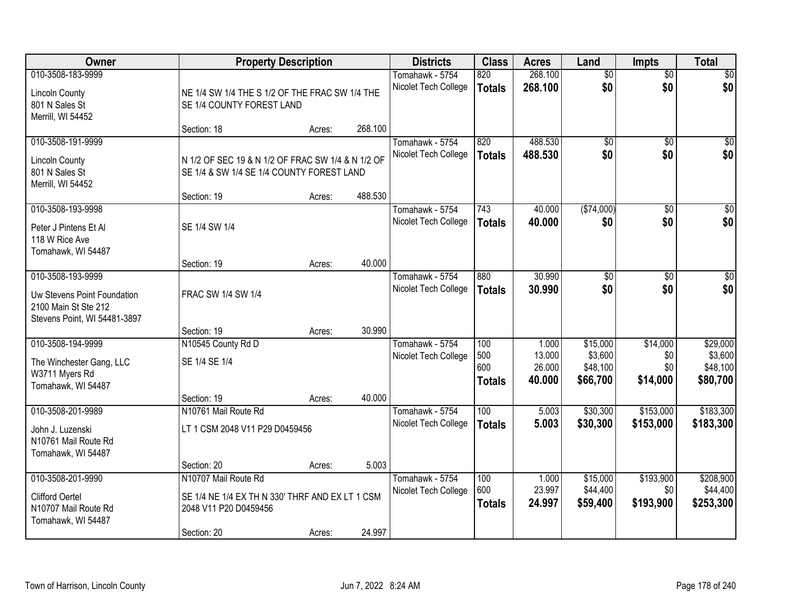| Owner                                                                                                    |                                                                                                                 | <b>Property Description</b> |         | <b>Districts</b>                        | <b>Class</b>                       | <b>Acres</b>                        | Land                                        | <b>Impts</b>                       | <b>Total</b>                                |
|----------------------------------------------------------------------------------------------------------|-----------------------------------------------------------------------------------------------------------------|-----------------------------|---------|-----------------------------------------|------------------------------------|-------------------------------------|---------------------------------------------|------------------------------------|---------------------------------------------|
| 010-3508-183-9999<br><b>Lincoln County</b><br>801 N Sales St<br>Merrill, WI 54452                        | NE 1/4 SW 1/4 THE S 1/2 OF THE FRAC SW 1/4 THE<br>SE 1/4 COUNTY FOREST LAND                                     |                             |         | Tomahawk - 5754<br>Nicolet Tech College | 820<br><b>Totals</b>               | 268.100<br>268.100                  | $\overline{50}$<br>\$0                      | $\overline{50}$<br>\$0             | \$0<br>\$0                                  |
|                                                                                                          | Section: 18                                                                                                     | Acres:                      | 268.100 |                                         |                                    |                                     |                                             |                                    |                                             |
| 010-3508-191-9999<br><b>Lincoln County</b><br>801 N Sales St<br>Merrill, WI 54452                        | N 1/2 OF SEC 19 & N 1/2 OF FRAC SW 1/4 & N 1/2 OF<br>SE 1/4 & SW 1/4 SE 1/4 COUNTY FOREST LAND<br>Section: 19   | Acres:                      | 488.530 | Tomahawk - 5754<br>Nicolet Tech College | 820<br><b>Totals</b>               | 488.530<br>488.530                  | $\overline{50}$<br>\$0                      | $\overline{50}$<br>\$0             | \$0<br>\$0                                  |
| 010-3508-193-9998                                                                                        |                                                                                                                 |                             |         | Tomahawk - 5754                         | 743                                | 40.000                              | ( \$74,000)                                 | \$0                                | $\overline{50}$                             |
| Peter J Pintens Et Al<br>118 W Rice Ave<br>Tomahawk, WI 54487                                            | SE 1/4 SW 1/4                                                                                                   |                             |         | Nicolet Tech College                    | <b>Totals</b>                      | 40.000                              | \$0                                         | \$0                                | \$0                                         |
|                                                                                                          | Section: 19                                                                                                     | Acres:                      | 40.000  |                                         |                                    |                                     |                                             |                                    |                                             |
| 010-3508-193-9999<br>Uw Stevens Point Foundation<br>2100 Main St Ste 212<br>Stevens Point, WI 54481-3897 | FRAC SW 1/4 SW 1/4                                                                                              |                             |         | Tomahawk - 5754<br>Nicolet Tech College | 880<br><b>Totals</b>               | 30.990<br>30,990                    | \$0<br>\$0                                  | $\sqrt[6]{3}$<br>\$0               | $\sqrt{50}$<br>\$0                          |
|                                                                                                          | Section: 19                                                                                                     | Acres:                      | 30.990  |                                         |                                    |                                     |                                             |                                    |                                             |
| 010-3508-194-9999<br>The Winchester Gang, LLC<br>W3711 Myers Rd<br>Tomahawk, WI 54487                    | N10545 County Rd D<br>SE 1/4 SE 1/4<br>Section: 19                                                              | Acres:                      | 40.000  | Tomahawk - 5754<br>Nicolet Tech College | 100<br>500<br>600<br><b>Totals</b> | 1.000<br>13.000<br>26.000<br>40.000 | \$15,000<br>\$3,600<br>\$48,100<br>\$66,700 | \$14,000<br>\$0<br>\$0<br>\$14,000 | \$29,000<br>\$3,600<br>\$48,100<br>\$80,700 |
| 010-3508-201-9989                                                                                        | N10761 Mail Route Rd                                                                                            |                             |         | Tomahawk - 5754                         | 100                                | 5.003                               | \$30,300                                    | \$153,000                          | \$183,300                                   |
| John J. Luzenski<br>N10761 Mail Route Rd<br>Tomahawk, WI 54487                                           | LT 1 CSM 2048 V11 P29 D0459456                                                                                  |                             |         | Nicolet Tech College                    | <b>Totals</b>                      | 5.003                               | \$30,300                                    | \$153,000                          | \$183,300                                   |
|                                                                                                          | Section: 20                                                                                                     | Acres:                      | 5.003   |                                         |                                    |                                     |                                             |                                    |                                             |
| 010-3508-201-9990<br><b>Clifford Oertel</b><br>N10707 Mail Route Rd<br>Tomahawk, WI 54487                | N10707 Mail Route Rd<br>SE 1/4 NE 1/4 EX TH N 330' THRF AND EX LT 1 CSM<br>2048 V11 P20 D0459456<br>Section: 20 | Acres:                      | 24.997  | Tomahawk - 5754<br>Nicolet Tech College | 100<br>600<br><b>Totals</b>        | 1.000<br>23.997<br>24.997           | \$15,000<br>\$44,400<br>\$59,400            | \$193,900<br>\$0<br>\$193,900      | \$208,900<br>\$44,400<br>\$253,300          |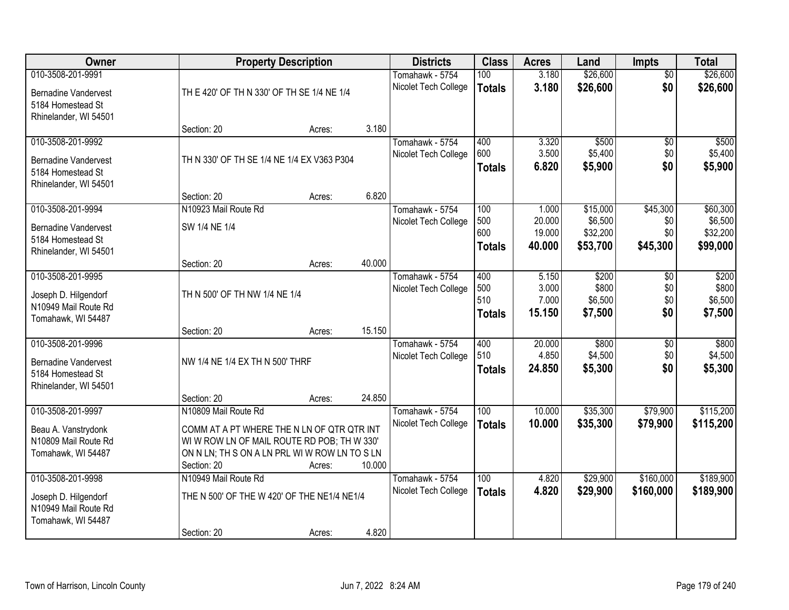| Owner                       |                                               | <b>Property Description</b> |        | <b>Districts</b>     | <b>Class</b>  | <b>Acres</b> | Land     | <b>Impts</b>    | <b>Total</b> |
|-----------------------------|-----------------------------------------------|-----------------------------|--------|----------------------|---------------|--------------|----------|-----------------|--------------|
| 010-3508-201-9991           |                                               |                             |        | Tomahawk - 5754      | 100           | 3.180        | \$26,600 | $\overline{50}$ | \$26,600     |
| <b>Bernadine Vandervest</b> | TH E 420' OF TH N 330' OF TH SE 1/4 NE 1/4    |                             |        | Nicolet Tech College | <b>Totals</b> | 3.180        | \$26,600 | \$0             | \$26,600     |
| 5184 Homestead St           |                                               |                             |        |                      |               |              |          |                 |              |
| Rhinelander, WI 54501       |                                               |                             |        |                      |               |              |          |                 |              |
|                             | Section: 20                                   | Acres:                      | 3.180  |                      |               |              |          |                 |              |
| 010-3508-201-9992           |                                               |                             |        | Tomahawk - 5754      | 400           | 3.320        | \$500    | \$0             | \$500        |
| <b>Bernadine Vandervest</b> | TH N 330' OF TH SE 1/4 NE 1/4 EX V363 P304    |                             |        | Nicolet Tech College | 600           | 3.500        | \$5,400  | \$0             | \$5,400      |
| 5184 Homestead St           |                                               |                             |        |                      | <b>Totals</b> | 6.820        | \$5,900  | \$0             | \$5,900      |
| Rhinelander, WI 54501       |                                               |                             |        |                      |               |              |          |                 |              |
|                             | Section: 20                                   | Acres:                      | 6.820  |                      |               |              |          |                 |              |
| 010-3508-201-9994           | N10923 Mail Route Rd                          |                             |        | Tomahawk - 5754      | 100           | 1.000        | \$15,000 | \$45,300        | \$60,300     |
| <b>Bernadine Vandervest</b> | SW 1/4 NE 1/4                                 |                             |        | Nicolet Tech College | 500           | 20.000       | \$6,500  | \$0             | \$6,500      |
| 5184 Homestead St           |                                               |                             |        |                      | 600           | 19.000       | \$32,200 | \$0             | \$32,200     |
| Rhinelander, WI 54501       |                                               |                             |        |                      | <b>Totals</b> | 40.000       | \$53,700 | \$45,300        | \$99,000     |
|                             | Section: 20                                   | Acres:                      | 40.000 |                      |               |              |          |                 |              |
| 010-3508-201-9995           |                                               |                             |        | Tomahawk - 5754      | 400           | 5.150        | \$200    | $\sqrt{6}$      | \$200        |
| Joseph D. Hilgendorf        | TH N 500' OF TH NW 1/4 NE 1/4                 |                             |        | Nicolet Tech College | 500           | 3.000        | \$800    | \$0             | \$800        |
| N10949 Mail Route Rd        |                                               |                             |        |                      | 510           | 7.000        | \$6,500  | \$0             | \$6,500      |
| Tomahawk, WI 54487          |                                               |                             |        |                      | <b>Totals</b> | 15.150       | \$7,500  | \$0             | \$7,500      |
|                             | Section: 20                                   | Acres:                      | 15.150 |                      |               |              |          |                 |              |
| 010-3508-201-9996           |                                               |                             |        | Tomahawk - 5754      | 400           | 20.000       | \$800    | $\overline{$0}$ | \$800        |
| <b>Bernadine Vandervest</b> | NW 1/4 NE 1/4 EX TH N 500' THRF               |                             |        | Nicolet Tech College | 510           | 4.850        | \$4,500  | \$0             | \$4,500      |
| 5184 Homestead St           |                                               |                             |        |                      | <b>Totals</b> | 24.850       | \$5,300  | \$0             | \$5,300      |
| Rhinelander, WI 54501       |                                               |                             |        |                      |               |              |          |                 |              |
|                             | Section: 20                                   | Acres:                      | 24.850 |                      |               |              |          |                 |              |
| 010-3508-201-9997           | N10809 Mail Route Rd                          |                             |        | Tomahawk - 5754      | 100           | 10.000       | \$35,300 | \$79,900        | \$115,200    |
| Beau A. Vanstrydonk         | COMM AT A PT WHERE THE N LN OF QTR QTR INT    |                             |        | Nicolet Tech College | <b>Totals</b> | 10.000       | \$35,300 | \$79,900        | \$115,200    |
| N10809 Mail Route Rd        | WI W ROW LN OF MAIL ROUTE RD POB; TH W 330'   |                             |        |                      |               |              |          |                 |              |
| Tomahawk, WI 54487          | ON N LN; TH S ON A LN PRL WI W ROW LN TO S LN |                             |        |                      |               |              |          |                 |              |
|                             | Section: 20                                   | Acres:                      | 10.000 |                      |               |              |          |                 |              |
| 010-3508-201-9998           | N10949 Mail Route Rd                          |                             |        | Tomahawk - 5754      | 100           | 4.820        | \$29,900 | \$160,000       | \$189,900    |
| Joseph D. Hilgendorf        | THE N 500' OF THE W 420' OF THE NE1/4 NE1/4   |                             |        | Nicolet Tech College | <b>Totals</b> | 4.820        | \$29,900 | \$160,000       | \$189,900    |
| N10949 Mail Route Rd        |                                               |                             |        |                      |               |              |          |                 |              |
| Tomahawk, WI 54487          |                                               |                             |        |                      |               |              |          |                 |              |
|                             | Section: 20                                   | Acres:                      | 4.820  |                      |               |              |          |                 |              |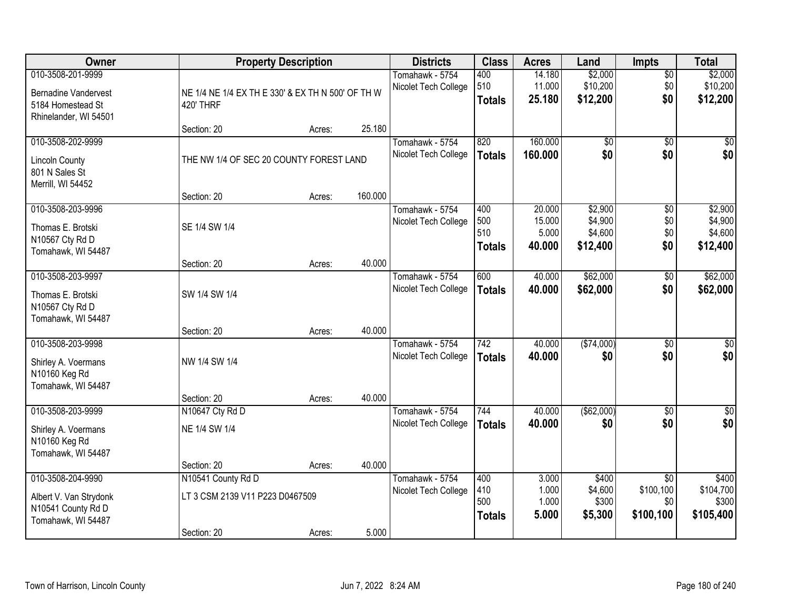| Owner                       | <b>Property Description</b>                       |        |         | <b>Districts</b>                        | <b>Class</b>  | <b>Acres</b>    | Land               | <b>Impts</b>                 | <b>Total</b>       |
|-----------------------------|---------------------------------------------------|--------|---------|-----------------------------------------|---------------|-----------------|--------------------|------------------------------|--------------------|
| 010-3508-201-9999           |                                                   |        |         | Tomahawk - 5754                         | 400           | 14.180          | \$2,000            | $\overline{50}$              | \$2,000            |
| <b>Bernadine Vandervest</b> | NE 1/4 NE 1/4 EX TH E 330' & EX TH N 500' OF TH W |        |         | Nicolet Tech College                    | 510           | 11.000          | \$10,200           | \$0                          | \$10,200           |
| 5184 Homestead St           | <b>420' THRF</b>                                  |        |         |                                         | <b>Totals</b> | 25.180          | \$12,200           | \$0                          | \$12,200           |
| Rhinelander, WI 54501       |                                                   |        |         |                                         |               |                 |                    |                              |                    |
|                             | Section: 20                                       | Acres: | 25.180  |                                         |               |                 |                    |                              |                    |
| 010-3508-202-9999           |                                                   |        |         | Tomahawk - 5754                         | 820           | 160.000         | \$0                | $\overline{50}$              | \$0                |
| <b>Lincoln County</b>       | THE NW 1/4 OF SEC 20 COUNTY FOREST LAND           |        |         | Nicolet Tech College                    | <b>Totals</b> | 160.000         | \$0                | \$0                          | \$0                |
| 801 N Sales St              |                                                   |        |         |                                         |               |                 |                    |                              |                    |
| Merrill, WI 54452           |                                                   |        |         |                                         |               |                 |                    |                              |                    |
|                             | Section: 20                                       | Acres: | 160.000 |                                         |               |                 |                    |                              |                    |
| 010-3508-203-9996           |                                                   |        |         | Tomahawk - 5754                         | 400           | 20.000          | \$2,900            | \$0                          | \$2,900            |
| Thomas E. Brotski           | SE 1/4 SW 1/4                                     |        |         | Nicolet Tech College                    | 500<br>510    | 15.000<br>5.000 | \$4,900<br>\$4,600 | \$0<br>\$0                   | \$4,900<br>\$4,600 |
| N10567 Cty Rd D             |                                                   |        |         |                                         | <b>Totals</b> | 40.000          | \$12,400           | \$0                          | \$12,400           |
| Tomahawk, WI 54487          |                                                   |        |         |                                         |               |                 |                    |                              |                    |
|                             | Section: 20                                       | Acres: | 40.000  |                                         |               |                 |                    |                              |                    |
| 010-3508-203-9997           |                                                   |        |         | Tomahawk - 5754                         | 600           | 40.000          | \$62,000           | \$0                          | \$62,000           |
| Thomas E. Brotski           | SW 1/4 SW 1/4                                     |        |         | Nicolet Tech College                    | <b>Totals</b> | 40.000          | \$62,000           | \$0                          | \$62,000           |
| N10567 Cty Rd D             |                                                   |        |         |                                         |               |                 |                    |                              |                    |
| Tomahawk, WI 54487          |                                                   |        |         |                                         |               |                 |                    |                              |                    |
|                             | Section: 20                                       | Acres: | 40.000  |                                         |               |                 |                    |                              |                    |
| 010-3508-203-9998           |                                                   |        |         | Tomahawk - 5754                         | 742           | 40.000          | ( \$74,000)        | $\overline{30}$              | $\overline{30}$    |
| Shirley A. Voermans         | NW 1/4 SW 1/4                                     |        |         | Nicolet Tech College                    | <b>Totals</b> | 40.000          | \$0                | \$0                          | \$0                |
| N10160 Keg Rd               |                                                   |        |         |                                         |               |                 |                    |                              |                    |
| Tomahawk, WI 54487          |                                                   |        |         |                                         |               |                 |                    |                              |                    |
|                             | Section: 20                                       | Acres: | 40.000  |                                         |               |                 |                    |                              |                    |
| 010-3508-203-9999           | N10647 Cty Rd D                                   |        |         | Tomahawk - 5754                         | 744           | 40.000          | ( \$62,000)        | $\sqrt{6}$                   | $\sqrt{50}$        |
| Shirley A. Voermans         | NE 1/4 SW 1/4                                     |        |         | Nicolet Tech College                    | <b>Totals</b> | 40.000          | \$0                | \$0                          | \$0                |
| N10160 Keg Rd               |                                                   |        |         |                                         |               |                 |                    |                              |                    |
| Tomahawk, WI 54487          |                                                   |        |         |                                         |               |                 |                    |                              |                    |
|                             | Section: 20                                       | Acres: | 40.000  |                                         |               |                 |                    |                              |                    |
| 010-3508-204-9990           | N10541 County Rd D                                |        |         | Tomahawk - 5754<br>Nicolet Tech College | 400<br>410    | 3.000<br>1.000  | \$400<br>\$4,600   | $\overline{30}$<br>\$100,100 | \$400<br>\$104,700 |
| Albert V. Van Strydonk      | LT 3 CSM 2139 V11 P223 D0467509                   |        |         |                                         | 500           | 1.000           | \$300              | \$0                          | \$300              |
| N10541 County Rd D          |                                                   |        |         |                                         | <b>Totals</b> | 5.000           | \$5,300            | \$100,100                    | \$105,400          |
| Tomahawk, WI 54487          |                                                   |        |         |                                         |               |                 |                    |                              |                    |
|                             | Section: 20                                       | Acres: | 5.000   |                                         |               |                 |                    |                              |                    |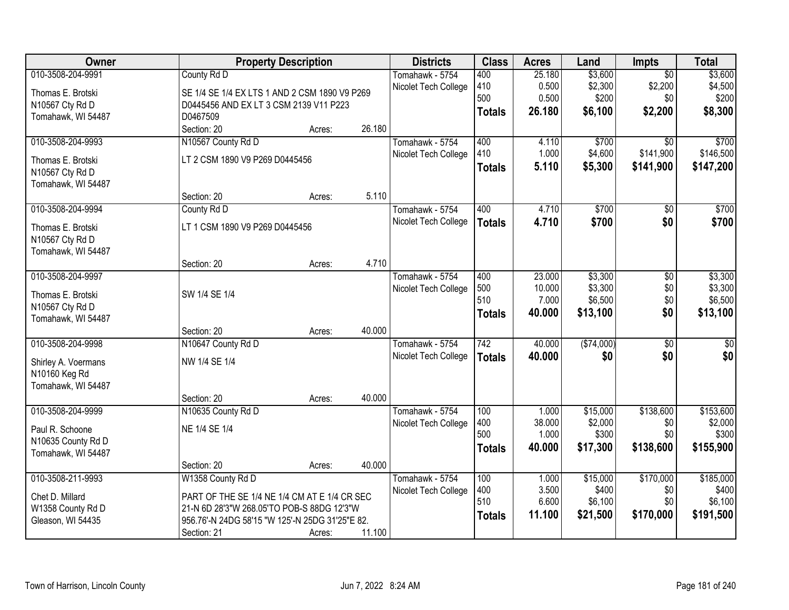| Owner                                 | <b>Property Description</b>                     |        |        | <b>Districts</b>     | <b>Class</b>     | <b>Acres</b>    | Land               | <b>Impts</b>    | <b>Total</b>       |
|---------------------------------------|-------------------------------------------------|--------|--------|----------------------|------------------|-----------------|--------------------|-----------------|--------------------|
| 010-3508-204-9991                     | County Rd D                                     |        |        | Tomahawk - 5754      | 400              | 25.180          | \$3,600            | $\overline{30}$ | \$3,600            |
| Thomas E. Brotski                     | SE 1/4 SE 1/4 EX LTS 1 AND 2 CSM 1890 V9 P269   |        |        | Nicolet Tech College | 410              | 0.500           | \$2,300            | \$2,200         | \$4,500            |
| N10567 Cty Rd D                       | D0445456 AND EX LT 3 CSM 2139 V11 P223          |        |        |                      | 500              | 0.500           | \$200              | \$0             | \$200              |
| Tomahawk, WI 54487                    | D0467509                                        |        |        |                      | <b>Totals</b>    | 26.180          | \$6,100            | \$2,200         | \$8,300            |
|                                       | Section: 20                                     | Acres: | 26.180 |                      |                  |                 |                    |                 |                    |
| 010-3508-204-9993                     | N10567 County Rd D                              |        |        | Tomahawk - 5754      | 400              | 4.110           | \$700              | $\overline{50}$ | \$700              |
|                                       | LT 2 CSM 1890 V9 P269 D0445456                  |        |        | Nicolet Tech College | 410              | 1.000           | \$4,600            | \$141,900       | \$146,500          |
| Thomas E. Brotski                     |                                                 |        |        |                      | <b>Totals</b>    | 5.110           | \$5,300            | \$141,900       | \$147,200          |
| N10567 Cty Rd D<br>Tomahawk, WI 54487 |                                                 |        |        |                      |                  |                 |                    |                 |                    |
|                                       | Section: 20                                     | Acres: | 5.110  |                      |                  |                 |                    |                 |                    |
| 010-3508-204-9994                     | County Rd D                                     |        |        | Tomahawk - 5754      | 400              | 4.710           | \$700              | \$0             | \$700              |
|                                       |                                                 |        |        | Nicolet Tech College | <b>Totals</b>    | 4.710           | \$700              | \$0             | \$700              |
| Thomas E. Brotski                     | LT 1 CSM 1890 V9 P269 D0445456                  |        |        |                      |                  |                 |                    |                 |                    |
| N10567 Cty Rd D                       |                                                 |        |        |                      |                  |                 |                    |                 |                    |
| Tomahawk, WI 54487                    |                                                 |        |        |                      |                  |                 |                    |                 |                    |
|                                       | Section: 20                                     | Acres: | 4.710  |                      |                  |                 |                    |                 |                    |
| 010-3508-204-9997                     |                                                 |        |        | Tomahawk - 5754      | 400              | 23.000          | \$3,300            | \$0             | \$3,300            |
| Thomas E. Brotski                     | SW 1/4 SE 1/4                                   |        |        | Nicolet Tech College | 500<br>510       | 10.000<br>7.000 | \$3,300<br>\$6,500 | \$0<br>\$0      | \$3,300<br>\$6,500 |
| N10567 Cty Rd D                       |                                                 |        |        |                      |                  | 40.000          | \$13,100           | \$0             |                    |
| Tomahawk, WI 54487                    |                                                 |        |        |                      | <b>Totals</b>    |                 |                    |                 | \$13,100           |
|                                       | Section: 20                                     | Acres: | 40.000 |                      |                  |                 |                    |                 |                    |
| 010-3508-204-9998                     | N10647 County Rd D                              |        |        | Tomahawk - 5754      | $\overline{742}$ | 40.000          | (\$74,000)         | $\overline{50}$ | $\overline{50}$    |
| Shirley A. Voermans                   | NW 1/4 SE 1/4                                   |        |        | Nicolet Tech College | <b>Totals</b>    | 40.000          | \$0                | \$0             | \$0                |
| N10160 Keg Rd                         |                                                 |        |        |                      |                  |                 |                    |                 |                    |
| Tomahawk, WI 54487                    |                                                 |        |        |                      |                  |                 |                    |                 |                    |
|                                       | Section: 20                                     | Acres: | 40.000 |                      |                  |                 |                    |                 |                    |
| 010-3508-204-9999                     | N10635 County Rd D                              |        |        | Tomahawk - 5754      | 100              | 1.000           | \$15,000           | \$138,600       | \$153,600          |
| Paul R. Schoone                       | NE 1/4 SE 1/4                                   |        |        | Nicolet Tech College | 400              | 38.000          | \$2,000            | \$0             | \$2,000            |
| N10635 County Rd D                    |                                                 |        |        |                      | 500              | 1.000           | \$300              | \$0             | \$300              |
| Tomahawk, WI 54487                    |                                                 |        |        |                      | <b>Totals</b>    | 40.000          | \$17,300           | \$138,600       | \$155,900          |
|                                       | Section: 20                                     | Acres: | 40.000 |                      |                  |                 |                    |                 |                    |
| 010-3508-211-9993                     | W1358 County Rd D                               |        |        | Tomahawk - 5754      | 100              | 1.000           | \$15,000           | \$170,000       | \$185,000          |
|                                       |                                                 |        |        | Nicolet Tech College | 400              | 3.500           | \$400              | \$0             | \$400              |
| Chet D. Millard                       | PART OF THE SE 1/4 NE 1/4 CM AT E 1/4 CR SEC    |        |        |                      | 510              | 6.600           | \$6,100            | \$0             | \$6,100            |
| W1358 County Rd D                     | 21-N 6D 28'3"W 268.05'TO POB-S 88DG 12'3"W      |        |        |                      | <b>Totals</b>    | 11.100          | \$21,500           | \$170,000       | \$191,500          |
| Gleason, WI 54435                     | 956.76'-N 24DG 58'15 "W 125'-N 25DG 31'25"E 82. |        |        |                      |                  |                 |                    |                 |                    |
|                                       | Section: 21                                     | Acres: | 11.100 |                      |                  |                 |                    |                 |                    |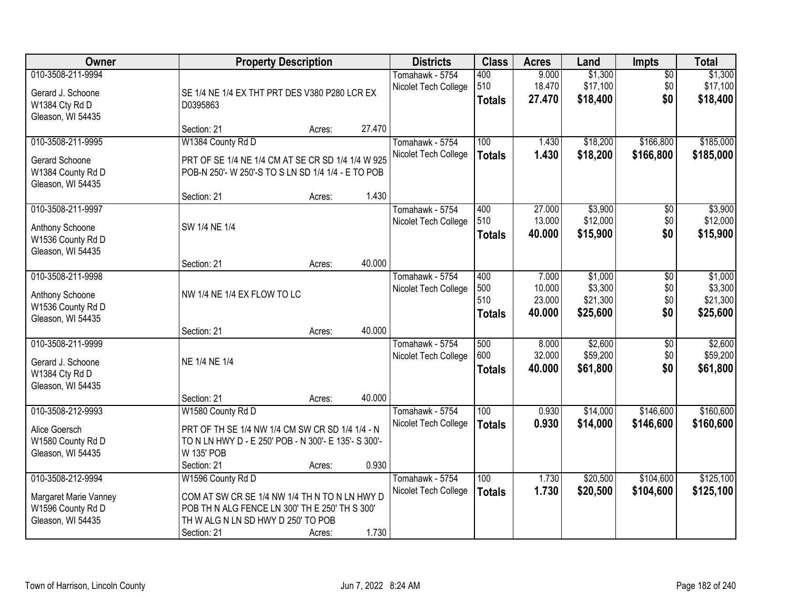| <b>Owner</b>                                                                         | <b>Property Description</b>                                                                                                                                               |        |        | <b>Districts</b>                        | <b>Class</b>                       | <b>Acres</b>                        | Land                                       | <b>Impts</b>              | <b>Total</b>                               |
|--------------------------------------------------------------------------------------|---------------------------------------------------------------------------------------------------------------------------------------------------------------------------|--------|--------|-----------------------------------------|------------------------------------|-------------------------------------|--------------------------------------------|---------------------------|--------------------------------------------|
| 010-3508-211-9994<br>Gerard J. Schoone<br>W1384 Cty Rd D<br>Gleason, WI 54435        | SE 1/4 NE 1/4 EX THT PRT DES V380 P280 LCR EX<br>D0395863                                                                                                                 |        |        | Tomahawk - 5754<br>Nicolet Tech College | 400<br>510<br><b>Totals</b>        | 9.000<br>18.470<br>27.470           | \$1,300<br>\$17,100<br>\$18,400            | $\sqrt{$0}$<br>\$0<br>\$0 | \$1,300<br>\$17,100<br>\$18,400            |
|                                                                                      | Section: 21                                                                                                                                                               | Acres: | 27.470 |                                         |                                    |                                     |                                            |                           |                                            |
| 010-3508-211-9995<br>Gerard Schoone<br>W1384 County Rd D<br>Gleason, WI 54435        | W1384 County Rd D<br>PRT OF SE 1/4 NE 1/4 CM AT SE CR SD 1/4 1/4 W 925<br>POB-N 250'- W 250'-S TO S LN SD 1/4 1/4 - E TO POB                                              |        |        | Tomahawk - 5754<br>Nicolet Tech College | 100<br><b>Totals</b>               | 1.430<br>1.430                      | \$18,200<br>\$18,200                       | \$166,800<br>\$166,800    | \$185,000<br>\$185,000                     |
| 010-3508-211-9997                                                                    | Section: 21                                                                                                                                                               | Acres: | 1.430  | Tomahawk - 5754                         | 400                                | 27.000                              | \$3,900                                    | \$0                       | \$3,900                                    |
| Anthony Schoone<br>W1536 County Rd D<br>Gleason, WI 54435                            | SW 1/4 NE 1/4                                                                                                                                                             |        |        | Nicolet Tech College                    | 510<br><b>Totals</b>               | 13.000<br>40.000                    | \$12,000<br>\$15,900                       | \$0<br>\$0                | \$12,000<br>\$15,900                       |
|                                                                                      | Section: 21                                                                                                                                                               | Acres: | 40.000 |                                         |                                    |                                     |                                            |                           |                                            |
| 010-3508-211-9998<br>Anthony Schoone<br>W1536 County Rd D<br>Gleason, WI 54435       | NW 1/4 NE 1/4 EX FLOW TO LC                                                                                                                                               |        |        | Tomahawk - 5754<br>Nicolet Tech College | 400<br>500<br>510<br><b>Totals</b> | 7.000<br>10.000<br>23.000<br>40.000 | \$1,000<br>\$3,300<br>\$21,300<br>\$25,600 | \$0<br>\$0<br>\$0<br>\$0  | \$1,000<br>\$3,300<br>\$21,300<br>\$25,600 |
|                                                                                      | Section: 21                                                                                                                                                               | Acres: | 40.000 |                                         |                                    |                                     |                                            |                           |                                            |
| 010-3508-211-9999<br>Gerard J. Schoone<br>W1384 Cty Rd D<br>Gleason, WI 54435        | NE 1/4 NE 1/4                                                                                                                                                             |        |        | Tomahawk - 5754<br>Nicolet Tech College | 500<br>600<br><b>Totals</b>        | 8.000<br>32.000<br>40.000           | \$2,600<br>\$59,200<br>\$61,800            | \$0<br>\$0<br>\$0         | \$2,600<br>\$59,200<br>\$61,800            |
|                                                                                      | Section: 21                                                                                                                                                               | Acres: | 40.000 |                                         |                                    |                                     |                                            |                           |                                            |
| 010-3508-212-9993<br>Alice Goersch<br>W1580 County Rd D<br>Gleason, WI 54435         | W1580 County Rd D<br>PRT OF TH SE 1/4 NW 1/4 CM SW CR SD 1/4 1/4 - N<br>TO N LN HWY D - E 250' POB - N 300'- E 135'- S 300'-<br>W 135' POB                                |        |        | Tomahawk - 5754<br>Nicolet Tech College | 100<br><b>Totals</b>               | 0.930<br>0.930                      | \$14,000<br>\$14,000                       | \$146,600<br>\$146,600    | \$160,600<br>\$160,600                     |
|                                                                                      | Section: 21                                                                                                                                                               | Acres: | 0.930  |                                         |                                    |                                     |                                            |                           |                                            |
| 010-3508-212-9994<br>Margaret Marie Vanney<br>W1596 County Rd D<br>Gleason, WI 54435 | W1596 County Rd D<br>COM AT SW CR SE 1/4 NW 1/4 TH N TO N LN HWY D<br>POB TH N ALG FENCE LN 300' TH E 250' TH S 300'<br>TH W ALG N LN SD HWY D 250' TO POB<br>Section: 21 | Acres: | 1.730  | Tomahawk - 5754<br>Nicolet Tech College | 100<br><b>Totals</b>               | 1.730<br>1.730                      | \$20,500<br>\$20,500                       | \$104,600<br>\$104,600    | \$125,100<br>\$125,100                     |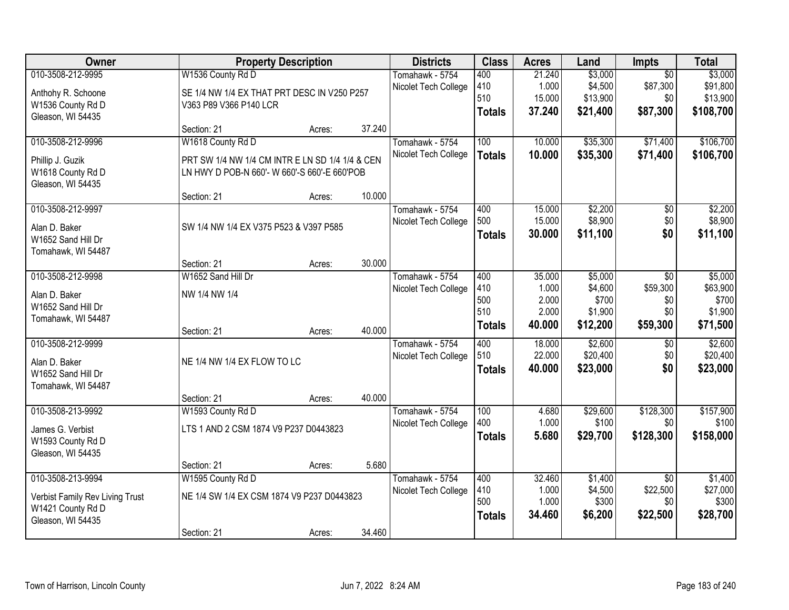| Owner                           |                                                 | <b>Property Description</b> |        | <b>Districts</b>     | <b>Class</b>  | <b>Acres</b> | Land     | <b>Impts</b>    | <b>Total</b> |
|---------------------------------|-------------------------------------------------|-----------------------------|--------|----------------------|---------------|--------------|----------|-----------------|--------------|
| 010-3508-212-9995               | W1536 County Rd D                               |                             |        | Tomahawk - 5754      | 400           | 21.240       | \$3,000  | $\overline{30}$ | \$3,000      |
| Anthohy R. Schoone              | SE 1/4 NW 1/4 EX THAT PRT DESC IN V250 P257     |                             |        | Nicolet Tech College | 410           | 1.000        | \$4,500  | \$87,300        | \$91,800     |
| W1536 County Rd D               | V363 P89 V366 P140 LCR                          |                             |        |                      | 510           | 15.000       | \$13,900 | \$0             | \$13,900     |
| Gleason, WI 54435               |                                                 |                             |        |                      | <b>Totals</b> | 37.240       | \$21,400 | \$87,300        | \$108,700    |
|                                 | Section: 21                                     | Acres:                      | 37.240 |                      |               |              |          |                 |              |
| 010-3508-212-9996               | W1618 County Rd D                               |                             |        | Tomahawk - 5754      | 100           | 10.000       | \$35,300 | \$71,400        | \$106,700    |
| Phillip J. Guzik                | PRT SW 1/4 NW 1/4 CM INTR E LN SD 1/4 1/4 & CEN |                             |        | Nicolet Tech College | <b>Totals</b> | 10.000       | \$35,300 | \$71,400        | \$106,700    |
| W1618 County Rd D               | LN HWY D POB-N 660'- W 660'-S 660'-E 660'POB    |                             |        |                      |               |              |          |                 |              |
| Gleason, WI 54435               |                                                 |                             |        |                      |               |              |          |                 |              |
|                                 | Section: 21                                     | Acres:                      | 10.000 |                      |               |              |          |                 |              |
| 010-3508-212-9997               |                                                 |                             |        | Tomahawk - 5754      | 400           | 15.000       | \$2,200  | \$0             | \$2,200      |
| Alan D. Baker                   | SW 1/4 NW 1/4 EX V375 P523 & V397 P585          |                             |        | Nicolet Tech College | 500           | 15.000       | \$8,900  | \$0             | \$8,900      |
| W1652 Sand Hill Dr              |                                                 |                             |        |                      | <b>Totals</b> | 30.000       | \$11,100 | \$0             | \$11,100     |
| Tomahawk, WI 54487              |                                                 |                             |        |                      |               |              |          |                 |              |
|                                 | Section: 21                                     | Acres:                      | 30.000 |                      |               |              |          |                 |              |
| 010-3508-212-9998               | W1652 Sand Hill Dr                              |                             |        | Tomahawk - 5754      | 400           | 35.000       | \$5,000  | \$0             | \$5,000      |
| Alan D. Baker                   | NW 1/4 NW 1/4                                   |                             |        | Nicolet Tech College | 410           | 1.000        | \$4,600  | \$59,300        | \$63,900     |
| W1652 Sand Hill Dr              |                                                 |                             |        |                      | 500           | 2.000        | \$700    | \$0             | \$700        |
| Tomahawk, WI 54487              |                                                 |                             |        |                      | 510           | 2.000        | \$1,900  | \$0             | \$1,900      |
|                                 | Section: 21                                     | Acres:                      | 40.000 |                      | <b>Totals</b> | 40.000       | \$12,200 | \$59,300        | \$71,500     |
| 010-3508-212-9999               |                                                 |                             |        | Tomahawk - 5754      | 400           | 18.000       | \$2,600  | $\overline{50}$ | \$2,600      |
| Alan D. Baker                   | NE 1/4 NW 1/4 EX FLOW TO LC                     |                             |        | Nicolet Tech College | 510           | 22.000       | \$20,400 | \$0             | \$20,400     |
| W1652 Sand Hill Dr              |                                                 |                             |        |                      | <b>Totals</b> | 40.000       | \$23,000 | \$0             | \$23,000     |
| Tomahawk, WI 54487              |                                                 |                             |        |                      |               |              |          |                 |              |
|                                 | Section: 21                                     | Acres:                      | 40.000 |                      |               |              |          |                 |              |
| 010-3508-213-9992               | W1593 County Rd D                               |                             |        | Tomahawk - 5754      | 100           | 4.680        | \$29,600 | \$128,300       | \$157,900    |
| James G. Verbist                | LTS 1 AND 2 CSM 1874 V9 P237 D0443823           |                             |        | Nicolet Tech College | 400           | 1.000        | \$100    | \$0             | \$100        |
| W1593 County Rd D               |                                                 |                             |        |                      | <b>Totals</b> | 5.680        | \$29,700 | \$128,300       | \$158,000    |
| Gleason, WI 54435               |                                                 |                             |        |                      |               |              |          |                 |              |
|                                 | Section: 21                                     | Acres:                      | 5.680  |                      |               |              |          |                 |              |
| 010-3508-213-9994               | W1595 County Rd D                               |                             |        | Tomahawk - 5754      | 400           | 32.460       | \$1,400  | $\overline{50}$ | \$1,400      |
| Verbist Family Rev Living Trust | NE 1/4 SW 1/4 EX CSM 1874 V9 P237 D0443823      |                             |        | Nicolet Tech College | 410           | 1.000        | \$4,500  | \$22,500        | \$27,000     |
| W1421 County Rd D               |                                                 |                             |        |                      | 500           | 1.000        | \$300    | \$0             | \$300        |
| Gleason, WI 54435               |                                                 |                             |        |                      | <b>Totals</b> | 34.460       | \$6,200  | \$22,500        | \$28,700     |
|                                 | Section: 21                                     | Acres:                      | 34.460 |                      |               |              |          |                 |              |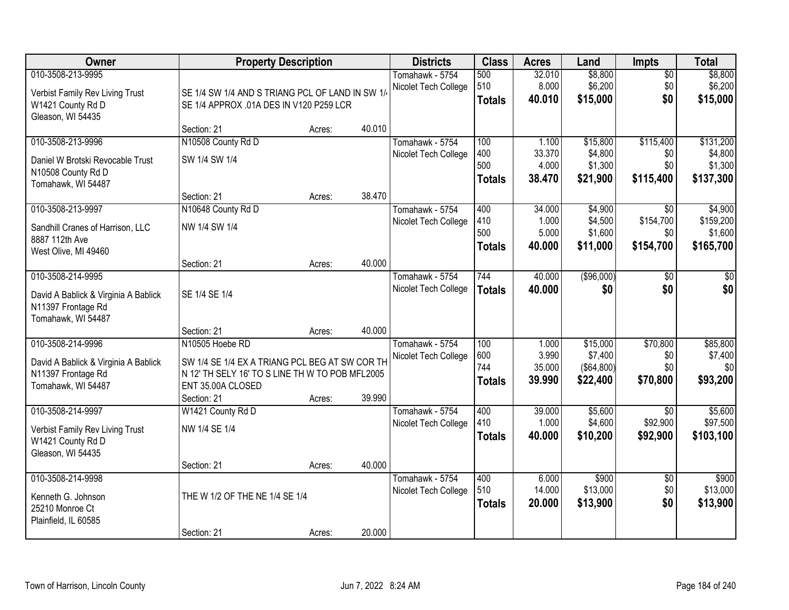| Owner                                                                                                 | <b>Property Description</b>                                                                                                                              |        |        | <b>Districts</b>                        | <b>Class</b>                       | <b>Acres</b>                       | Land                                          | <b>Impts</b>                            | <b>Total</b>                                 |
|-------------------------------------------------------------------------------------------------------|----------------------------------------------------------------------------------------------------------------------------------------------------------|--------|--------|-----------------------------------------|------------------------------------|------------------------------------|-----------------------------------------------|-----------------------------------------|----------------------------------------------|
| 010-3508-213-9995<br>Verbist Family Rev Living Trust<br>W1421 County Rd D<br>Gleason, WI 54435        | SE 1/4 SW 1/4 AND S TRIANG PCL OF LAND IN SW 1/<br>SE 1/4 APPROX .01A DES IN V120 P259 LCR                                                               |        |        | Tomahawk - 5754<br>Nicolet Tech College | 500<br>510<br><b>Totals</b>        | 32.010<br>8.000<br>40.010          | \$8,800<br>\$6,200<br>\$15,000                | $\overline{50}$<br>\$0<br>\$0           | \$8,800<br>\$6,200<br>\$15,000               |
|                                                                                                       | Section: 21                                                                                                                                              | Acres: | 40.010 |                                         |                                    |                                    |                                               |                                         |                                              |
| 010-3508-213-9996<br>Daniel W Brotski Revocable Trust<br>N10508 County Rd D<br>Tomahawk, WI 54487     | N10508 County Rd D<br>SW 1/4 SW 1/4                                                                                                                      |        |        | Tomahawk - 5754<br>Nicolet Tech College | 100<br>400<br>500<br><b>Totals</b> | 1.100<br>33.370<br>4.000<br>38.470 | \$15,800<br>\$4,800<br>\$1,300<br>\$21,900    | \$115,400<br>\$0<br>\$0<br>\$115,400    | \$131,200<br>\$4,800<br>\$1,300<br>\$137,300 |
|                                                                                                       | Section: 21                                                                                                                                              | Acres: | 38.470 |                                         |                                    |                                    |                                               |                                         |                                              |
| 010-3508-213-9997<br>Sandhill Cranes of Harrison, LLC<br>8887 112th Ave<br>West Olive, MI 49460       | N10648 County Rd D<br>NW 1/4 SW 1/4                                                                                                                      |        |        | Tomahawk - 5754<br>Nicolet Tech College | 400<br>410<br>500<br><b>Totals</b> | 34.000<br>1.000<br>5.000<br>40.000 | \$4,900<br>\$4,500<br>\$1,600<br>\$11,000     | \$0<br>\$154,700<br>\$0<br>\$154,700    | \$4,900<br>\$159,200<br>\$1,600<br>\$165,700 |
|                                                                                                       | Section: 21                                                                                                                                              | Acres: | 40.000 |                                         |                                    |                                    |                                               |                                         |                                              |
| 010-3508-214-9995<br>David A Bablick & Virginia A Bablick<br>N11397 Frontage Rd<br>Tomahawk, WI 54487 | SE 1/4 SE 1/4                                                                                                                                            |        |        | Tomahawk - 5754<br>Nicolet Tech College | 744<br><b>Totals</b>               | 40.000<br>40.000                   | ( \$96,000)<br>\$0                            | $\sqrt[6]{}$<br>\$0                     | $\frac{1}{3}$<br>\$0                         |
|                                                                                                       | Section: 21                                                                                                                                              | Acres: | 40.000 |                                         |                                    |                                    |                                               |                                         |                                              |
| 010-3508-214-9996<br>David A Bablick & Virginia A Bablick<br>N11397 Frontage Rd<br>Tomahawk, WI 54487 | N10505 Hoebe RD<br>SW 1/4 SE 1/4 EX A TRIANG PCL BEG AT SW COR TH<br>N 12' TH SELY 16' TO S LINE TH W TO POB MFL2005<br>ENT 35.00A CLOSED<br>Section: 21 | Acres: | 39.990 | Tomahawk - 5754<br>Nicolet Tech College | 100<br>600<br>744<br><b>Totals</b> | 1.000<br>3.990<br>35.000<br>39.990 | \$15,000<br>\$7,400<br>(\$64,800)<br>\$22,400 | \$70,800<br>\$0<br>\$0<br>\$70,800      | \$85,800<br>\$7,400<br>\$0<br>\$93,200       |
| 010-3508-214-9997<br>Verbist Family Rev Living Trust<br>W1421 County Rd D<br>Gleason, WI 54435        | W1421 County Rd D<br>NW 1/4 SE 1/4<br>Section: 21                                                                                                        | Acres: | 40.000 | Tomahawk - 5754<br>Nicolet Tech College | 400<br>410<br><b>Totals</b>        | 39.000<br>1.000<br>40.000          | \$5,600<br>\$4,600<br>\$10,200                | $\overline{50}$<br>\$92,900<br>\$92,900 | \$5,600<br>\$97,500<br>\$103,100             |
| 010-3508-214-9998<br>Kenneth G. Johnson<br>25210 Monroe Ct<br>Plainfield, IL 60585                    | THE W 1/2 OF THE NE 1/4 SE 1/4<br>Section: 21                                                                                                            | Acres: | 20.000 | Tomahawk - 5754<br>Nicolet Tech College | 400<br>510<br><b>Totals</b>        | 6.000<br>14.000<br>20.000          | \$900<br>\$13,000<br>\$13,900                 | $\overline{30}$<br>\$0<br>\$0           | \$900<br>\$13,000<br>\$13,900                |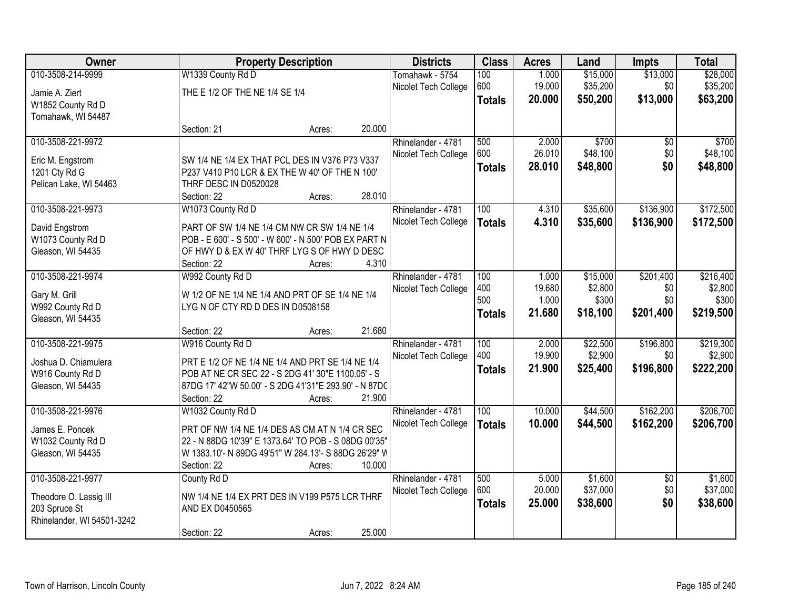| Owner                      |                                                       | <b>Property Description</b> | <b>Districts</b>     | <b>Class</b>     | <b>Acres</b> | Land     | <b>Impts</b>    | <b>Total</b> |
|----------------------------|-------------------------------------------------------|-----------------------------|----------------------|------------------|--------------|----------|-----------------|--------------|
| 010-3508-214-9999          | W1339 County Rd D                                     |                             | Tomahawk - 5754      | 100              | 1.000        | \$15,000 | \$13,000        | \$28,000     |
| Jamie A. Ziert             | THE E 1/2 OF THE NE 1/4 SE 1/4                        |                             | Nicolet Tech College | 600              | 19.000       | \$35,200 | \$0             | \$35,200     |
| W1852 County Rd D          |                                                       |                             |                      | <b>Totals</b>    | 20.000       | \$50,200 | \$13,000        | \$63,200     |
| Tomahawk, WI 54487         |                                                       |                             |                      |                  |              |          |                 |              |
|                            | Section: 21                                           | Acres:                      | 20.000               |                  |              |          |                 |              |
| 010-3508-221-9972          |                                                       |                             | Rhinelander - 4781   | 500              | 2.000        | \$700    | \$0             | \$700        |
| Eric M. Engstrom           | SW 1/4 NE 1/4 EX THAT PCL DES IN V376 P73 V337        |                             | Nicolet Tech College | 600              | 26.010       | \$48,100 | \$0             | \$48,100     |
| 1201 Cty Rd G              | P237 V410 P10 LCR & EX THE W 40' OF THE N 100'        |                             |                      | <b>Totals</b>    | 28.010       | \$48,800 | \$0             | \$48,800     |
| Pelican Lake, WI 54463     | THRF DESC IN D0520028                                 |                             |                      |                  |              |          |                 |              |
|                            | Section: 22                                           | Acres:                      | 28.010               |                  |              |          |                 |              |
| 010-3508-221-9973          | W1073 County Rd D                                     |                             | Rhinelander - 4781   | 100              | 4.310        | \$35,600 | \$136,900       | \$172,500    |
| David Engstrom             | PART OF SW 1/4 NE 1/4 CM NW CR SW 1/4 NE 1/4          |                             | Nicolet Tech College | <b>Totals</b>    | 4.310        | \$35,600 | \$136,900       | \$172,500    |
| W1073 County Rd D          | POB - E 600' - S 500' - W 600' - N 500' POB EX PART N |                             |                      |                  |              |          |                 |              |
| Gleason, WI 54435          | OF HWY D & EX W 40' THRF LYG S OF HWY D DESC          |                             |                      |                  |              |          |                 |              |
|                            | Section: 22                                           | Acres:                      | 4.310                |                  |              |          |                 |              |
| 010-3508-221-9974          | W992 County Rd D                                      |                             | Rhinelander - 4781   | 100              | 1.000        | \$15,000 | \$201,400       | \$216,400    |
| Gary M. Grill              | W 1/2 OF NE 1/4 NE 1/4 AND PRT OF SE 1/4 NE 1/4       |                             | Nicolet Tech College | 400              | 19.680       | \$2,800  | \$0             | \$2,800      |
| W992 County Rd D           | LYGN OF CTY RD D DES IN D0508158                      |                             |                      | 500              | 1.000        | \$300    | \$0             | \$300        |
| Gleason, WI 54435          |                                                       |                             |                      | <b>Totals</b>    | 21.680       | \$18,100 | \$201,400       | \$219,500    |
|                            | Section: 22                                           | Acres:                      | 21.680               |                  |              |          |                 |              |
| 010-3508-221-9975          | W916 County Rd D                                      |                             | Rhinelander - 4781   | 100              | 2.000        | \$22,500 | \$196,800       | \$219,300    |
| Joshua D. Chiamulera       | PRT E 1/2 OF NE 1/4 NE 1/4 AND PRT SE 1/4 NE 1/4      |                             | Nicolet Tech College | 400              | 19.900       | \$2,900  | \$0             | \$2,900      |
| W916 County Rd D           | POB AT NE CR SEC 22 - S 2DG 41' 30"E 1100.05' - S     |                             |                      | <b>Totals</b>    | 21.900       | \$25,400 | \$196,800       | \$222,200    |
| Gleason, WI 54435          | 87DG 17' 42"W 50.00' - S 2DG 41'31"E 293.90' - N 87DC |                             |                      |                  |              |          |                 |              |
|                            | Section: 22                                           | Acres:                      | 21.900               |                  |              |          |                 |              |
| 010-3508-221-9976          | W1032 County Rd D                                     |                             | Rhinelander - 4781   | $\overline{100}$ | 10.000       | \$44,500 | \$162,200       | \$206,700    |
| James E. Poncek            | PRT OF NW 1/4 NE 1/4 DES AS CM AT N 1/4 CR SEC        |                             | Nicolet Tech College | <b>Totals</b>    | 10.000       | \$44,500 | \$162,200       | \$206,700    |
| W1032 County Rd D          | 22 - N 88DG 10'39" E 1373.64' TO POB - S 08DG 00'35"  |                             |                      |                  |              |          |                 |              |
| Gleason, WI 54435          | W 1383.10'- N 89DG 49'51" W 284.13'- S 88DG 26'29" W  |                             |                      |                  |              |          |                 |              |
|                            | Section: 22                                           | Acres:                      | 10.000               |                  |              |          |                 |              |
| 010-3508-221-9977          | County Rd D                                           |                             | Rhinelander - 4781   | 500              | 5.000        | \$1,600  | $\overline{50}$ | \$1,600      |
| Theodore O. Lassig III     | NW 1/4 NE 1/4 EX PRT DES IN V199 P575 LCR THRF        |                             | Nicolet Tech College | 600              | 20.000       | \$37,000 | \$0             | \$37,000     |
| 203 Spruce St              | AND EX D0450565                                       |                             |                      | <b>Totals</b>    | 25.000       | \$38,600 | \$0             | \$38,600     |
| Rhinelander, WI 54501-3242 |                                                       |                             |                      |                  |              |          |                 |              |
|                            | Section: 22                                           | Acres:                      | 25.000               |                  |              |          |                 |              |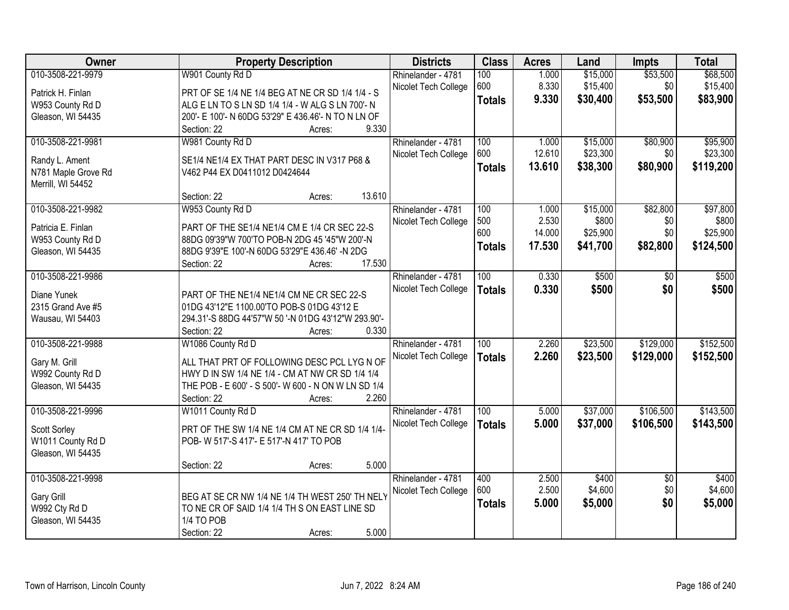| Owner               | <b>Property Description</b>                         | <b>Districts</b>     | <b>Class</b>  | <b>Acres</b>   | Land     | <b>Impts</b>           | <b>Total</b> |
|---------------------|-----------------------------------------------------|----------------------|---------------|----------------|----------|------------------------|--------------|
| 010-3508-221-9979   | W901 County Rd D                                    | Rhinelander - 4781   | 100           | 1.000          | \$15,000 | \$53,500               | \$68,500     |
| Patrick H. Finlan   | PRT OF SE 1/4 NE 1/4 BEG AT NE CR SD 1/4 1/4 - S    | Nicolet Tech College | 600           | 8.330          | \$15,400 | \$0                    | \$15,400     |
| W953 County Rd D    | ALG E LN TO S LN SD 1/4 1/4 - W ALG S LN 700'- N    |                      | <b>Totals</b> | 9.330          | \$30,400 | \$53,500               | \$83,900     |
| Gleason, WI 54435   | 200'- E 100'- N 60DG 53'29" E 436.46'- N TO N LN OF |                      |               |                |          |                        |              |
|                     | 9.330<br>Section: 22<br>Acres:                      |                      |               |                |          |                        |              |
| 010-3508-221-9981   | W981 County Rd D                                    | Rhinelander - 4781   | 100           | 1.000          | \$15,000 | \$80,900               | \$95,900     |
|                     |                                                     | Nicolet Tech College | 600           | 12.610         | \$23,300 | \$0                    | \$23,300     |
| Randy L. Ament      | SE1/4 NE1/4 EX THAT PART DESC IN V317 P68 &         |                      | <b>Totals</b> | 13.610         | \$38,300 | \$80,900               | \$119,200    |
| N781 Maple Grove Rd | V462 P44 EX D0411012 D0424644                       |                      |               |                |          |                        |              |
| Merrill, WI 54452   | 13.610<br>Section: 22                               |                      |               |                |          |                        |              |
| 010-3508-221-9982   | Acres:<br>W953 County Rd D                          | Rhinelander - 4781   | 100           | 1.000          | \$15,000 | \$82,800               | \$97,800     |
|                     |                                                     |                      | 500           | 2.530          | \$800    | \$0                    | \$800        |
| Patricia E. Finlan  | PART OF THE SE1/4 NE1/4 CM E 1/4 CR SEC 22-S        | Nicolet Tech College | 600           | 14.000         | \$25,900 | \$0                    | \$25,900     |
| W953 County Rd D    | 88DG 09'39"W 700'TO POB-N 2DG 45 '45"W 200'-N       |                      |               | 17.530         |          |                        |              |
| Gleason, WI 54435   | 88DG 9'39"E 100'-N 60DG 53'29"E 436.46' -N 2DG      |                      | <b>Totals</b> |                | \$41,700 | \$82,800               | \$124,500    |
|                     | 17.530<br>Section: 22<br>Acres:                     |                      |               |                |          |                        |              |
| 010-3508-221-9986   |                                                     | Rhinelander - 4781   | 100           | 0.330          | \$500    | \$0                    | \$500        |
| Diane Yunek         | PART OF THE NE1/4 NE1/4 CM NE CR SEC 22-S           | Nicolet Tech College | <b>Totals</b> | 0.330          | \$500    | \$0                    | \$500        |
| 2315 Grand Ave #5   | 01DG 43'12"E 1100.00'TO POB-S 01DG 43'12 E          |                      |               |                |          |                        |              |
| Wausau, WI 54403    | 294.31'-S 88DG 44'57"W 50 '-N 01DG 43'12"W 293.90'- |                      |               |                |          |                        |              |
|                     | Section: 22<br>0.330<br>Acres:                      |                      |               |                |          |                        |              |
| 010-3508-221-9988   | W1086 County Rd D                                   | Rhinelander - 4781   | 100           | 2.260          | \$23,500 | \$129,000              | \$152,500    |
|                     |                                                     |                      |               |                |          |                        |              |
| Gary M. Grill       | ALL THAT PRT OF FOLLOWING DESC PCL LYG N OF         | Nicolet Tech College | <b>Totals</b> | 2.260          | \$23,500 | \$129,000              | \$152,500    |
| W992 County Rd D    | HWY D IN SW 1/4 NE 1/4 - CM AT NW CR SD 1/4 1/4     |                      |               |                |          |                        |              |
| Gleason, WI 54435   | THE POB - E 600' - S 500'- W 600 - N ON W LN SD 1/4 |                      |               |                |          |                        |              |
|                     | 2.260<br>Section: 22<br>Acres:                      |                      |               |                |          |                        |              |
| 010-3508-221-9996   | W1011 County Rd D                                   | Rhinelander - 4781   | 100           | 5.000          | \$37,000 | \$106,500              | \$143,500    |
| Scott Sorley        | PRT OF THE SW 1/4 NE 1/4 CM AT NE CR SD 1/4 1/4-    | Nicolet Tech College | <b>Totals</b> | 5.000          | \$37,000 | \$106,500              | \$143,500    |
| W1011 County Rd D   | POB- W 517'-S 417'- E 517'-N 417' TO POB            |                      |               |                |          |                        |              |
| Gleason, WI 54435   |                                                     |                      |               |                |          |                        |              |
|                     | 5.000<br>Section: 22                                |                      |               |                |          |                        |              |
| 010-3508-221-9998   | Acres:                                              |                      | 400           |                | \$400    |                        | \$400        |
|                     |                                                     | Rhinelander - 4781   | 600           | 2.500<br>2.500 | \$4,600  | $\overline{30}$<br>\$0 | \$4,600      |
| Gary Grill          | BEG AT SE CR NW 1/4 NE 1/4 TH WEST 250' TH NELY     | Nicolet Tech College |               |                |          | \$0                    |              |
| W992 Cty Rd D       | TO NE CR OF SAID 1/4 1/4 TH S ON EAST LINE SD       |                      | <b>Totals</b> | 5.000          | \$5,000  |                        | \$5,000      |
| Gleason, WI 54435   | 1/4 TO POB                                          |                      |               |                |          |                        |              |
|                     | 5.000<br>Section: 22<br>Acres:                      |                      |               |                |          |                        |              |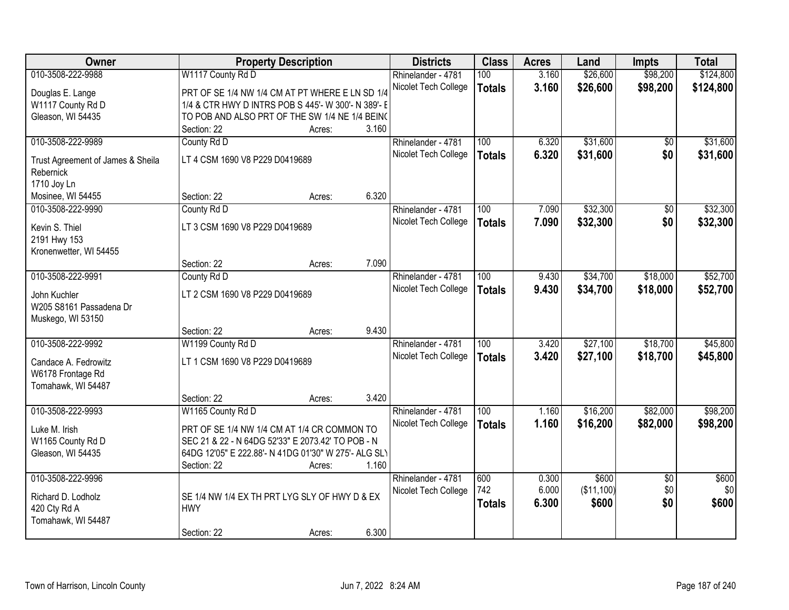| Owner                                          |                                                      | <b>Property Description</b> |       | <b>Districts</b>     | <b>Class</b>     | <b>Acres</b> | Land       | <b>Impts</b>    | <b>Total</b> |
|------------------------------------------------|------------------------------------------------------|-----------------------------|-------|----------------------|------------------|--------------|------------|-----------------|--------------|
| 010-3508-222-9988                              | W1117 County Rd D                                    |                             |       | Rhinelander - 4781   | 100              | 3.160        | \$26,600   | \$98,200        | \$124,800    |
| Douglas E. Lange                               | PRT OF SE 1/4 NW 1/4 CM AT PT WHERE E LN SD 1/4      |                             |       | Nicolet Tech College | <b>Totals</b>    | 3.160        | \$26,600   | \$98,200        | \$124,800    |
| W1117 County Rd D                              | 1/4 & CTR HWY D INTRS POB S 445'- W 300'- N 389'- E  |                             |       |                      |                  |              |            |                 |              |
| Gleason, WI 54435                              | TO POB AND ALSO PRT OF THE SW 1/4 NE 1/4 BEIN(       |                             |       |                      |                  |              |            |                 |              |
|                                                | Section: 22                                          | Acres:                      | 3.160 |                      |                  |              |            |                 |              |
| 010-3508-222-9989                              | County Rd D                                          |                             |       | Rhinelander - 4781   | 100              | 6.320        | \$31,600   | $\overline{50}$ | \$31,600     |
|                                                | LT 4 CSM 1690 V8 P229 D0419689                       |                             |       | Nicolet Tech College | <b>Totals</b>    | 6.320        | \$31,600   | \$0             | \$31,600     |
| Trust Agreement of James & Sheila<br>Rebernick |                                                      |                             |       |                      |                  |              |            |                 |              |
| 1710 Joy Ln                                    |                                                      |                             |       |                      |                  |              |            |                 |              |
| Mosinee, WI 54455                              | Section: 22                                          | Acres:                      | 6.320 |                      |                  |              |            |                 |              |
| 010-3508-222-9990                              | County Rd D                                          |                             |       | Rhinelander - 4781   | 100              | 7.090        | \$32,300   | $\overline{50}$ | \$32,300     |
|                                                |                                                      |                             |       | Nicolet Tech College | <b>Totals</b>    | 7.090        | \$32,300   | \$0             | \$32,300     |
| Kevin S. Thiel                                 | LT 3 CSM 1690 V8 P229 D0419689                       |                             |       |                      |                  |              |            |                 |              |
| 2191 Hwy 153                                   |                                                      |                             |       |                      |                  |              |            |                 |              |
| Kronenwetter, WI 54455                         |                                                      |                             |       |                      |                  |              |            |                 |              |
|                                                | Section: 22                                          | Acres:                      | 7.090 |                      |                  |              |            |                 |              |
| 010-3508-222-9991                              | County Rd D                                          |                             |       | Rhinelander - 4781   | 100              | 9.430        | \$34,700   | \$18,000        | \$52,700     |
| John Kuchler                                   | LT 2 CSM 1690 V8 P229 D0419689                       |                             |       | Nicolet Tech College | <b>Totals</b>    | 9.430        | \$34,700   | \$18,000        | \$52,700     |
| W205 S8161 Passadena Dr                        |                                                      |                             |       |                      |                  |              |            |                 |              |
| Muskego, WI 53150                              |                                                      |                             |       |                      |                  |              |            |                 |              |
|                                                | Section: 22                                          | Acres:                      | 9.430 |                      |                  |              |            |                 |              |
| 010-3508-222-9992                              | W1199 County Rd D                                    |                             |       | Rhinelander - 4781   | $\overline{100}$ | 3.420        | \$27,100   | \$18,700        | \$45,800     |
| Candace A. Fedrowitz                           | LT 1 CSM 1690 V8 P229 D0419689                       |                             |       | Nicolet Tech College | <b>Totals</b>    | 3.420        | \$27,100   | \$18,700        | \$45,800     |
| W6178 Frontage Rd                              |                                                      |                             |       |                      |                  |              |            |                 |              |
| Tomahawk, WI 54487                             |                                                      |                             |       |                      |                  |              |            |                 |              |
|                                                | Section: 22                                          | Acres:                      | 3.420 |                      |                  |              |            |                 |              |
| 010-3508-222-9993                              | W1165 County Rd D                                    |                             |       | Rhinelander - 4781   | 100              | 1.160        | \$16,200   | \$82,000        | \$98,200     |
| Luke M. Irish                                  | PRT OF SE 1/4 NW 1/4 CM AT 1/4 CR COMMON TO          |                             |       | Nicolet Tech College | <b>Totals</b>    | 1.160        | \$16,200   | \$82,000        | \$98,200     |
| W1165 County Rd D                              | SEC 21 & 22 - N 64DG 52'33" E 2073.42' TO POB - N    |                             |       |                      |                  |              |            |                 |              |
| Gleason, WI 54435                              | 64DG 12'05" E 222.88'- N 41DG 01'30" W 275'- ALG SLY |                             |       |                      |                  |              |            |                 |              |
|                                                | Section: 22                                          | Acres:                      | 1.160 |                      |                  |              |            |                 |              |
| 010-3508-222-9996                              |                                                      |                             |       | Rhinelander - 4781   | 600              | 0.300        | \$600      | $\overline{50}$ | \$600        |
|                                                |                                                      |                             |       | Nicolet Tech College | 742              | 6.000        | (\$11,100) | \$0             | \$0          |
| Richard D. Lodholz                             | SE 1/4 NW 1/4 EX TH PRT LYG SLY OF HWY D & EX        |                             |       |                      | <b>Totals</b>    | 6.300        | \$600      | \$0             | \$600        |
| 420 Cty Rd A                                   | <b>HWY</b>                                           |                             |       |                      |                  |              |            |                 |              |
| Tomahawk, WI 54487                             |                                                      |                             |       |                      |                  |              |            |                 |              |
|                                                | Section: 22                                          | Acres:                      | 6.300 |                      |                  |              |            |                 |              |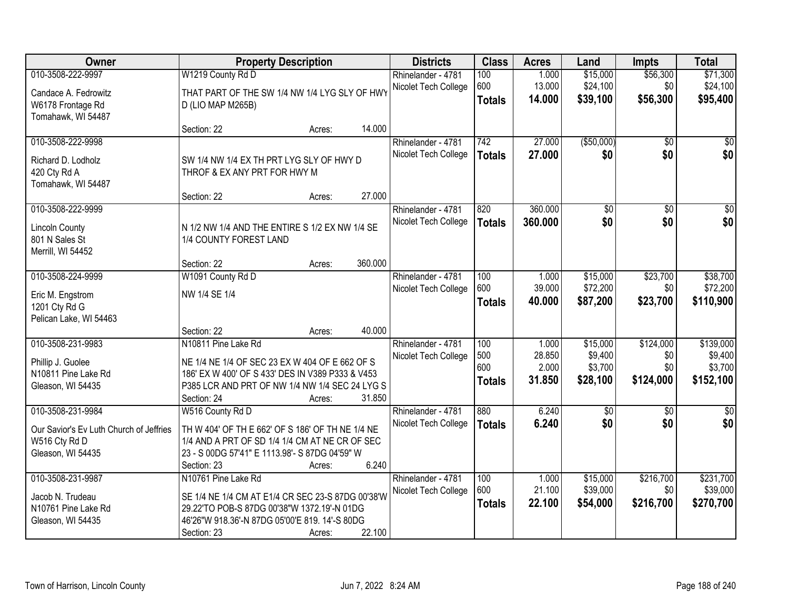| Owner                                   |                                                   | <b>Property Description</b> |         | <b>Districts</b>     | <b>Class</b>  | <b>Acres</b>    | Land                 | <b>Impts</b>     | <b>Total</b>          |
|-----------------------------------------|---------------------------------------------------|-----------------------------|---------|----------------------|---------------|-----------------|----------------------|------------------|-----------------------|
| 010-3508-222-9997                       | W1219 County Rd D                                 |                             |         | Rhinelander - 4781   | 100           | 1.000           | \$15,000             | \$56,300         | \$71,300              |
| Candace A. Fedrowitz                    | THAT PART OF THE SW 1/4 NW 1/4 LYG SLY OF HWY     |                             |         | Nicolet Tech College | 600           | 13.000          | \$24,100             | \$0              | \$24,100              |
| W6178 Frontage Rd                       | D (LIO MAP M265B)                                 |                             |         |                      | <b>Totals</b> | 14.000          | \$39,100             | \$56,300         | \$95,400              |
| Tomahawk, WI 54487                      |                                                   |                             |         |                      |               |                 |                      |                  |                       |
|                                         | Section: 22                                       | Acres:                      | 14.000  |                      |               |                 |                      |                  |                       |
| 010-3508-222-9998                       |                                                   |                             |         | Rhinelander - 4781   | 742           | 27.000          | ( \$50,000)          | $\overline{50}$  | $\overline{50}$       |
| Richard D. Lodholz                      | SW 1/4 NW 1/4 EX TH PRT LYG SLY OF HWY D          |                             |         | Nicolet Tech College | <b>Totals</b> | 27.000          | \$0                  | \$0              | \$0                   |
| 420 Cty Rd A                            | THROF & EX ANY PRT FOR HWY M                      |                             |         |                      |               |                 |                      |                  |                       |
| Tomahawk, WI 54487                      |                                                   |                             |         |                      |               |                 |                      |                  |                       |
|                                         | Section: 22                                       | Acres:                      | 27.000  |                      |               |                 |                      |                  |                       |
| 010-3508-222-9999                       |                                                   |                             |         | Rhinelander - 4781   | 820           | 360.000         | $\overline{50}$      | $\overline{50}$  | $\overline{50}$       |
| <b>Lincoln County</b>                   | N 1/2 NW 1/4 AND THE ENTIRE S 1/2 EX NW 1/4 SE    |                             |         | Nicolet Tech College | <b>Totals</b> | 360.000         | \$0                  | \$0              | \$0                   |
| 801 N Sales St                          | 1/4 COUNTY FOREST LAND                            |                             |         |                      |               |                 |                      |                  |                       |
| Merrill, WI 54452                       |                                                   |                             |         |                      |               |                 |                      |                  |                       |
|                                         | Section: 22                                       | Acres:                      | 360.000 |                      |               |                 |                      |                  |                       |
| 010-3508-224-9999                       | W1091 County Rd D                                 |                             |         | Rhinelander - 4781   | 100           | 1.000           | \$15,000             | \$23,700         | \$38,700              |
| Eric M. Engstrom                        | NW 1/4 SE 1/4                                     |                             |         | Nicolet Tech College | 600           | 39.000          | \$72,200             | \$0              | \$72,200              |
| 1201 Cty Rd G                           |                                                   |                             |         |                      | <b>Totals</b> | 40.000          | \$87,200             | \$23,700         | \$110,900             |
| Pelican Lake, WI 54463                  |                                                   |                             |         |                      |               |                 |                      |                  |                       |
|                                         | Section: 22                                       | Acres:                      | 40.000  |                      |               |                 |                      |                  |                       |
| 010-3508-231-9983                       | N10811 Pine Lake Rd                               |                             |         | Rhinelander - 4781   | 100           | 1.000           | \$15,000             | \$124,000        | \$139,000             |
| Phillip J. Guolee                       | NE 1/4 NE 1/4 OF SEC 23 EX W 404 OF E 662 OF S    |                             |         | Nicolet Tech College | 500<br>600    | 28.850<br>2.000 | \$9,400<br>\$3,700   | \$0<br>\$0       | \$9,400<br>\$3,700    |
| N10811 Pine Lake Rd                     | 186' EX W 400' OF S 433' DES IN V389 P333 & V453  |                             |         |                      | <b>Totals</b> | 31.850          | \$28,100             | \$124,000        | \$152,100             |
| Gleason, WI 54435                       | P385 LCR AND PRT OF NW 1/4 NW 1/4 SEC 24 LYG S    |                             |         |                      |               |                 |                      |                  |                       |
|                                         | Section: 24                                       | Acres:                      | 31.850  |                      |               |                 |                      |                  |                       |
| 010-3508-231-9984                       | W516 County Rd D                                  |                             |         | Rhinelander - 4781   | 880           | 6.240           | $\sqrt{50}$          | $\sqrt{6}$       | $\frac{1}{6}$         |
| Our Savior's Ev Luth Church of Jeffries | TH W 404' OF TH E 662' OF S 186' OF TH NE 1/4 NE  |                             |         | Nicolet Tech College | <b>Totals</b> | 6.240           | \$0                  | \$0              | \$0                   |
| W516 Cty Rd D                           | 1/4 AND A PRT OF SD 1/4 1/4 CM AT NE CR OF SEC    |                             |         |                      |               |                 |                      |                  |                       |
| Gleason, WI 54435                       | 23 - S 00DG 57'41" E 1113.98'- S 87DG 04'59" W    |                             |         |                      |               |                 |                      |                  |                       |
|                                         | Section: 23                                       | Acres:                      | 6.240   |                      |               |                 |                      |                  |                       |
| 010-3508-231-9987                       | N10761 Pine Lake Rd                               |                             |         | Rhinelander - 4781   | 100<br>600    | 1.000<br>21.100 | \$15,000<br>\$39,000 | \$216,700<br>\$0 | \$231,700<br>\$39,000 |
| Jacob N. Trudeau                        | SE 1/4 NE 1/4 CM AT E1/4 CR SEC 23-S 87DG 00'38'W |                             |         | Nicolet Tech College |               | 22.100          | \$54,000             | \$216,700        | \$270,700             |
| N10761 Pine Lake Rd                     | 29.22'TO POB-S 87DG 00'38"W 1372.19'-N 01DG       |                             |         |                      | <b>Totals</b> |                 |                      |                  |                       |
| Gleason, WI 54435                       | 46'26"W 918.36'-N 87DG 05'00'E 819. 14'-S 80DG    |                             |         |                      |               |                 |                      |                  |                       |
|                                         | Section: 23                                       | Acres:                      | 22.100  |                      |               |                 |                      |                  |                       |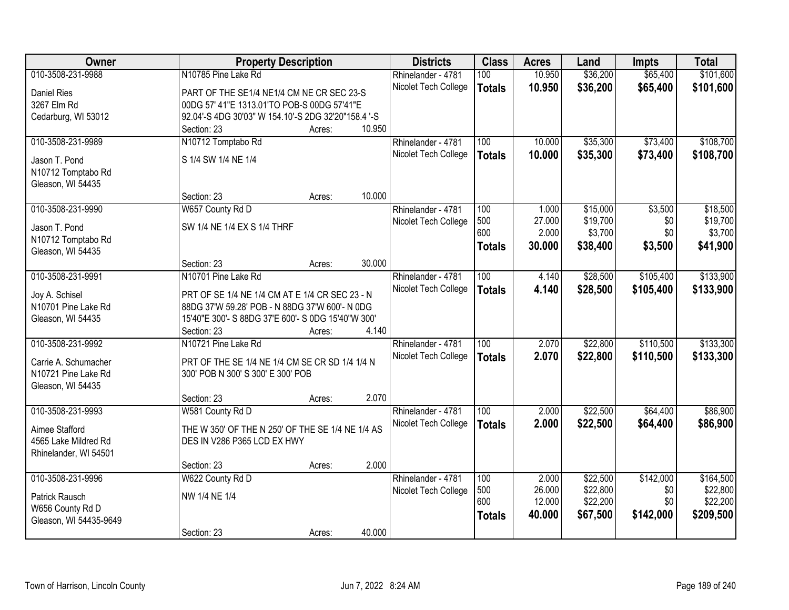| Owner                                  |                                                     | <b>Property Description</b> |        | <b>Districts</b>     | <b>Class</b>  | <b>Acres</b>    | Land     | <b>Impts</b> | <b>Total</b> |
|----------------------------------------|-----------------------------------------------------|-----------------------------|--------|----------------------|---------------|-----------------|----------|--------------|--------------|
| 010-3508-231-9988                      | N10785 Pine Lake Rd                                 |                             |        | Rhinelander - 4781   | 100           | 10.950          | \$36,200 | \$65,400     | \$101,600    |
| Daniel Ries                            | PART OF THE SE1/4 NE1/4 CM NE CR SEC 23-S           |                             |        | Nicolet Tech College | <b>Totals</b> | 10.950          | \$36,200 | \$65,400     | \$101,600    |
| 3267 Elm Rd                            | 00DG 57' 41"E 1313.01'TO POB-S 00DG 57'41"E         |                             |        |                      |               |                 |          |              |              |
| Cedarburg, WI 53012                    | 92.04'-S 4DG 30'03" W 154.10'-S 2DG 32'20"158.4 '-S |                             |        |                      |               |                 |          |              |              |
|                                        | Section: 23                                         | Acres:                      | 10.950 |                      |               |                 |          |              |              |
| 010-3508-231-9989                      | N10712 Tomptabo Rd                                  |                             |        | Rhinelander - 4781   | 100           | 10.000          | \$35,300 | \$73,400     | \$108,700    |
|                                        |                                                     |                             |        | Nicolet Tech College | <b>Totals</b> | 10.000          | \$35,300 | \$73,400     | \$108,700    |
| Jason T. Pond                          | S 1/4 SW 1/4 NE 1/4                                 |                             |        |                      |               |                 |          |              |              |
| N10712 Tomptabo Rd                     |                                                     |                             |        |                      |               |                 |          |              |              |
| Gleason, WI 54435                      |                                                     |                             |        |                      |               |                 |          |              |              |
|                                        | Section: 23                                         | Acres:                      | 10.000 |                      |               |                 |          |              |              |
| 010-3508-231-9990                      | W657 County Rd D                                    |                             |        | Rhinelander - 4781   | 100           | 1.000           | \$15,000 | \$3,500      | \$18,500     |
| Jason T. Pond                          | SW 1/4 NE 1/4 EX S 1/4 THRF                         |                             |        | Nicolet Tech College | 500           | 27.000          | \$19,700 | \$0          | \$19,700     |
| N10712 Tomptabo Rd                     |                                                     |                             |        |                      | 600           | 2.000           | \$3,700  | \$0          | \$3,700      |
| Gleason, WI 54435                      |                                                     |                             |        |                      | <b>Totals</b> | 30.000          | \$38,400 | \$3,500      | \$41,900     |
|                                        | Section: 23                                         | Acres:                      | 30.000 |                      |               |                 |          |              |              |
| 010-3508-231-9991                      | N10701 Pine Lake Rd                                 |                             |        | Rhinelander - 4781   | 100           | 4.140           | \$28,500 | \$105,400    | \$133,900    |
|                                        |                                                     |                             |        | Nicolet Tech College | <b>Totals</b> | 4.140           | \$28,500 | \$105,400    | \$133,900    |
| Joy A. Schisel                         | PRT OF SE 1/4 NE 1/4 CM AT E 1/4 CR SEC 23 - N      |                             |        |                      |               |                 |          |              |              |
| N10701 Pine Lake Rd                    | 88DG 37'W 59.28' POB - N 88DG 37'W 600'- N 0DG      |                             |        |                      |               |                 |          |              |              |
| Gleason, WI 54435                      | 15'40"E 300'- S 88DG 37'E 600'- S 0DG 15'40"W 300'  |                             |        |                      |               |                 |          |              |              |
|                                        | Section: 23                                         | Acres:                      | 4.140  |                      |               |                 |          |              |              |
| 010-3508-231-9992                      | N10721 Pine Lake Rd                                 |                             |        | Rhinelander - 4781   | 100           | 2.070           | \$22,800 | \$110,500    | \$133,300    |
| Carrie A. Schumacher                   | PRT OF THE SE 1/4 NE 1/4 CM SE CR SD 1/4 1/4 N      |                             |        | Nicolet Tech College | <b>Totals</b> | 2.070           | \$22,800 | \$110,500    | \$133,300    |
| N10721 Pine Lake Rd                    | 300' POB N 300' S 300' E 300' POB                   |                             |        |                      |               |                 |          |              |              |
| Gleason, WI 54435                      |                                                     |                             |        |                      |               |                 |          |              |              |
|                                        | Section: 23                                         | Acres:                      | 2.070  |                      |               |                 |          |              |              |
| 010-3508-231-9993                      | W581 County Rd D                                    |                             |        | Rhinelander - 4781   | 100           | 2.000           | \$22,500 | \$64,400     | \$86,900     |
|                                        | THE W 350' OF THE N 250' OF THE SE 1/4 NE 1/4 AS    |                             |        | Nicolet Tech College | <b>Totals</b> | 2.000           | \$22,500 | \$64,400     | \$86,900     |
| Aimee Stafford<br>4565 Lake Mildred Rd | DES IN V286 P365 LCD EX HWY                         |                             |        |                      |               |                 |          |              |              |
|                                        |                                                     |                             |        |                      |               |                 |          |              |              |
| Rhinelander, WI 54501                  | Section: 23                                         |                             | 2.000  |                      |               |                 |          |              |              |
|                                        |                                                     | Acres:                      |        |                      |               |                 |          |              |              |
| 010-3508-231-9996                      | W622 County Rd D                                    |                             |        | Rhinelander - 4781   | 100<br>500    | 2.000<br>26.000 | \$22,500 | \$142,000    | \$164,500    |
| Patrick Rausch                         | NW 1/4 NE 1/4                                       |                             |        | Nicolet Tech College | 600           |                 | \$22,800 | \$0          | \$22,800     |
| W656 County Rd D                       |                                                     |                             |        |                      |               | 12.000          | \$22,200 | \$0          | \$22,200     |
| Gleason, WI 54435-9649                 |                                                     |                             |        |                      | <b>Totals</b> | 40.000          | \$67,500 | \$142,000    | \$209,500    |
|                                        | Section: 23                                         | Acres:                      | 40.000 |                      |               |                 |          |              |              |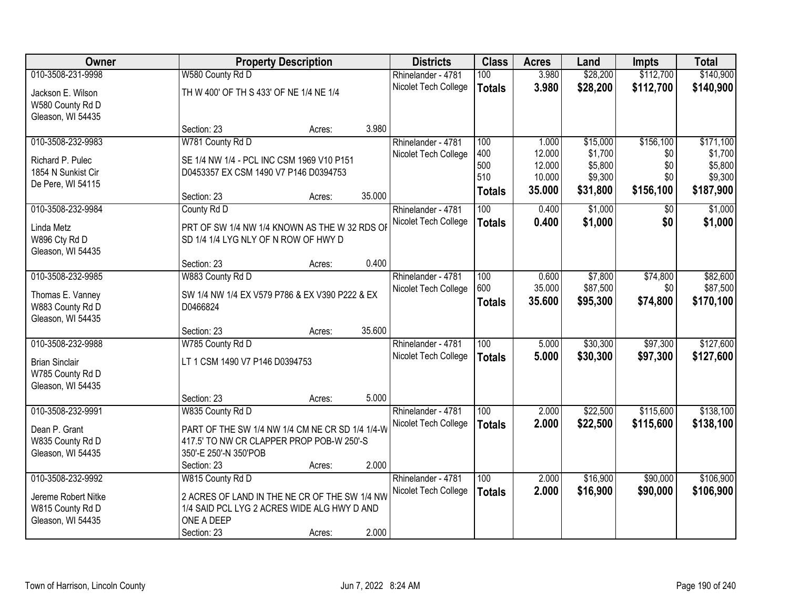| Owner                 |                                                 | <b>Property Description</b> |        | <b>Districts</b>     | <b>Class</b>  | <b>Acres</b> | Land     | <b>Impts</b> | <b>Total</b> |
|-----------------------|-------------------------------------------------|-----------------------------|--------|----------------------|---------------|--------------|----------|--------------|--------------|
| 010-3508-231-9998     | W580 County Rd D                                |                             |        | Rhinelander - 4781   | 100           | 3.980        | \$28,200 | \$112,700    | \$140,900    |
| Jackson E. Wilson     | TH W 400' OF TH S 433' OF NE 1/4 NE 1/4         |                             |        | Nicolet Tech College | <b>Totals</b> | 3.980        | \$28,200 | \$112,700    | \$140,900    |
| W580 County Rd D      |                                                 |                             |        |                      |               |              |          |              |              |
| Gleason, WI 54435     |                                                 |                             |        |                      |               |              |          |              |              |
|                       | Section: 23                                     | Acres:                      | 3.980  |                      |               |              |          |              |              |
| 010-3508-232-9983     | W781 County Rd D                                |                             |        | Rhinelander - 4781   | 100           | 1.000        | \$15,000 | \$156,100    | \$171,100    |
| Richard P. Pulec      | SE 1/4 NW 1/4 - PCL INC CSM 1969 V10 P151       |                             |        | Nicolet Tech College | 400           | 12.000       | \$1,700  | \$0          | \$1,700      |
| 1854 N Sunkist Cir    | D0453357 EX CSM 1490 V7 P146 D0394753           |                             |        |                      | 500           | 12.000       | \$5,800  | \$0          | \$5,800      |
| De Pere, WI 54115     |                                                 |                             |        |                      | 510           | 10.000       | \$9,300  | \$0          | \$9,300      |
|                       | Section: 23                                     | Acres:                      | 35.000 |                      | <b>Totals</b> | 35.000       | \$31,800 | \$156,100    | \$187,900    |
| 010-3508-232-9984     | County Rd D                                     |                             |        | Rhinelander - 4781   | 100           | 0.400        | \$1,000  | \$0          | \$1,000      |
| Linda Metz            | PRT OF SW 1/4 NW 1/4 KNOWN AS THE W 32 RDS OF   |                             |        | Nicolet Tech College | <b>Totals</b> | 0.400        | \$1,000  | \$0          | \$1,000      |
| W896 Cty Rd D         | SD 1/4 1/4 LYG NLY OF N ROW OF HWY D            |                             |        |                      |               |              |          |              |              |
| Gleason, WI 54435     |                                                 |                             |        |                      |               |              |          |              |              |
|                       | Section: 23                                     | Acres:                      | 0.400  |                      |               |              |          |              |              |
| 010-3508-232-9985     | W883 County Rd D                                |                             |        | Rhinelander - 4781   | 100           | 0.600        | \$7,800  | \$74,800     | \$82,600     |
| Thomas E. Vanney      | SW 1/4 NW 1/4 EX V579 P786 & EX V390 P222 & EX  |                             |        | Nicolet Tech College | 600           | 35.000       | \$87,500 | \$0          | \$87,500     |
| W883 County Rd D      | D0466824                                        |                             |        |                      | <b>Totals</b> | 35.600       | \$95,300 | \$74,800     | \$170,100    |
| Gleason, WI 54435     |                                                 |                             |        |                      |               |              |          |              |              |
|                       | Section: 23                                     | Acres:                      | 35.600 |                      |               |              |          |              |              |
| 010-3508-232-9988     | W785 County Rd D                                |                             |        | Rhinelander - 4781   | 100           | 5.000        | \$30,300 | \$97,300     | \$127,600    |
| <b>Brian Sinclair</b> | LT 1 CSM 1490 V7 P146 D0394753                  |                             |        | Nicolet Tech College | <b>Totals</b> | 5.000        | \$30,300 | \$97,300     | \$127,600    |
| W785 County Rd D      |                                                 |                             |        |                      |               |              |          |              |              |
| Gleason, WI 54435     |                                                 |                             |        |                      |               |              |          |              |              |
|                       | Section: 23                                     | Acres:                      | 5.000  |                      |               |              |          |              |              |
| 010-3508-232-9991     | W835 County Rd D                                |                             |        | Rhinelander - 4781   | 100           | 2.000        | \$22,500 | \$115,600    | \$138,100    |
| Dean P. Grant         | PART OF THE SW 1/4 NW 1/4 CM NE CR SD 1/4 1/4-W |                             |        | Nicolet Tech College | <b>Totals</b> | 2.000        | \$22,500 | \$115,600    | \$138,100    |
| W835 County Rd D      | 417.5' TO NW CR CLAPPER PROP POB-W 250'-S       |                             |        |                      |               |              |          |              |              |
| Gleason, WI 54435     | 350'-E 250'-N 350'POB                           |                             |        |                      |               |              |          |              |              |
|                       | Section: 23                                     | Acres:                      | 2.000  |                      |               |              |          |              |              |
| 010-3508-232-9992     | W815 County Rd D                                |                             |        | Rhinelander - 4781   | 100           | 2.000        | \$16,900 | \$90,000     | \$106,900    |
| Jereme Robert Nitke   | 2 ACRES OF LAND IN THE NE CR OF THE SW 1/4 NW   |                             |        | Nicolet Tech College | <b>Totals</b> | 2.000        | \$16,900 | \$90,000     | \$106,900    |
| W815 County Rd D      | 1/4 SAID PCL LYG 2 ACRES WIDE ALG HWY D AND     |                             |        |                      |               |              |          |              |              |
| Gleason, WI 54435     | ONE A DEEP                                      |                             |        |                      |               |              |          |              |              |
|                       | Section: 23                                     | Acres:                      | 2.000  |                      |               |              |          |              |              |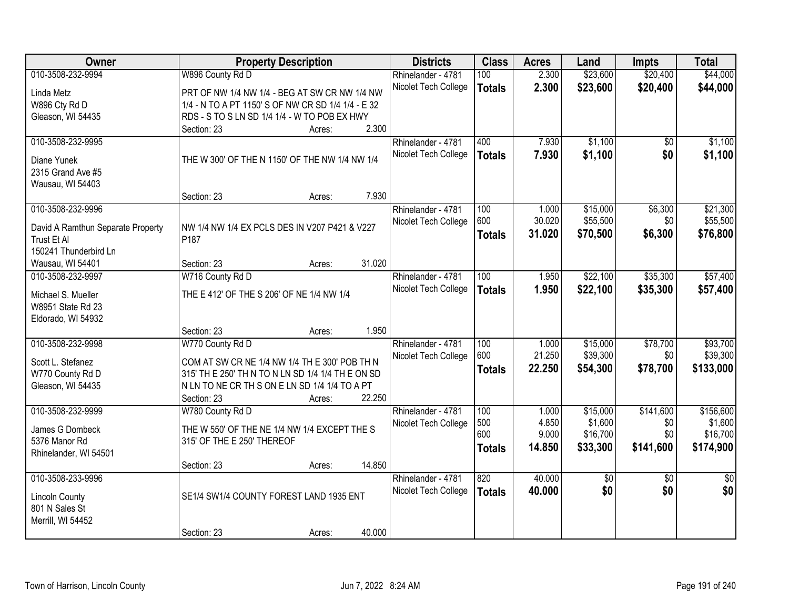| Owner                             | <b>Property Description</b>                        |        | <b>Districts</b>     | <b>Class</b>  | <b>Acres</b> | Land     | <b>Impts</b>    | <b>Total</b>    |
|-----------------------------------|----------------------------------------------------|--------|----------------------|---------------|--------------|----------|-----------------|-----------------|
| 010-3508-232-9994                 | W896 County Rd D                                   |        | Rhinelander - 4781   | 100           | 2.300        | \$23,600 | \$20,400        | \$44,000        |
| Linda Metz                        | PRT OF NW 1/4 NW 1/4 - BEG AT SW CR NW 1/4 NW      |        | Nicolet Tech College | <b>Totals</b> | 2.300        | \$23,600 | \$20,400        | \$44,000        |
| W896 Cty Rd D                     | 1/4 - N TO A PT 1150' S OF NW CR SD 1/4 1/4 - E 32 |        |                      |               |              |          |                 |                 |
| Gleason, WI 54435                 | RDS - S TO S LN SD 1/4 1/4 - W TO POB EX HWY       |        |                      |               |              |          |                 |                 |
|                                   | Section: 23<br>Acres:                              | 2.300  |                      |               |              |          |                 |                 |
| 010-3508-232-9995                 |                                                    |        | Rhinelander - 4781   | 400           | 7.930        | \$1,100  | \$0             | \$1,100         |
|                                   |                                                    |        | Nicolet Tech College | <b>Totals</b> | 7.930        | \$1,100  | \$0             | \$1,100         |
| Diane Yunek                       | THE W 300' OF THE N 1150' OF THE NW 1/4 NW 1/4     |        |                      |               |              |          |                 |                 |
| 2315 Grand Ave #5                 |                                                    |        |                      |               |              |          |                 |                 |
| Wausau, WI 54403                  |                                                    |        |                      |               |              |          |                 |                 |
|                                   | Section: 23<br>Acres:                              | 7.930  |                      |               |              |          |                 |                 |
| 010-3508-232-9996                 |                                                    |        | Rhinelander - 4781   | 100           | 1.000        | \$15,000 | \$6,300         | \$21,300        |
| David A Ramthun Separate Property | NW 1/4 NW 1/4 EX PCLS DES IN V207 P421 & V227      |        | Nicolet Tech College | 600           | 30.020       | \$55,500 | \$0             | \$55,500        |
| Trust Et Al                       | P187                                               |        |                      | <b>Totals</b> | 31.020       | \$70,500 | \$6,300         | \$76,800        |
| 150241 Thunderbird Ln             |                                                    |        |                      |               |              |          |                 |                 |
| Wausau, WI 54401                  | Section: 23<br>Acres:                              | 31.020 |                      |               |              |          |                 |                 |
| 010-3508-232-9997                 | W716 County Rd D                                   |        | Rhinelander - 4781   | 100           | 1.950        | \$22,100 | \$35,300        | \$57,400        |
| Michael S. Mueller                | THE E 412' OF THE S 206' OF NE 1/4 NW 1/4          |        | Nicolet Tech College | <b>Totals</b> | 1.950        | \$22,100 | \$35,300        | \$57,400        |
| W8951 State Rd 23                 |                                                    |        |                      |               |              |          |                 |                 |
| Eldorado, WI 54932                |                                                    |        |                      |               |              |          |                 |                 |
|                                   | Section: 23<br>Acres:                              | 1.950  |                      |               |              |          |                 |                 |
| 010-3508-232-9998                 | W770 County Rd D                                   |        | Rhinelander - 4781   | 100           | 1.000        | \$15,000 | \$78,700        | \$93,700        |
|                                   |                                                    |        | Nicolet Tech College | 600           | 21.250       | \$39,300 | \$0             | \$39,300        |
| Scott L. Stefanez                 | COM AT SW CR NE 1/4 NW 1/4 TH E 300' POB TH N      |        |                      | <b>Totals</b> | 22.250       | \$54,300 | \$78,700        | \$133,000       |
| W770 County Rd D                  | 315' TH E 250' TH N TO N LN SD 1/4 1/4 TH E ON SD  |        |                      |               |              |          |                 |                 |
| Gleason, WI 54435                 | N LN TO NE CR TH S ON E LN SD 1/4 1/4 TO A PT      |        |                      |               |              |          |                 |                 |
|                                   | Section: 23<br>Acres:                              | 22.250 |                      |               |              |          |                 |                 |
| 010-3508-232-9999                 | W780 County Rd D                                   |        | Rhinelander - 4781   | 100           | 1.000        | \$15,000 | \$141,600       | \$156,600       |
| James G Dombeck                   | THE W 550' OF THE NE 1/4 NW 1/4 EXCEPT THE S       |        | Nicolet Tech College | 500           | 4.850        | \$1,600  | \$0             | \$1,600         |
| 5376 Manor Rd                     | 315' OF THE E 250' THEREOF                         |        |                      | 600           | 9.000        | \$16,700 | \$0             | \$16,700        |
| Rhinelander, WI 54501             |                                                    |        |                      | <b>Totals</b> | 14.850       | \$33,300 | \$141,600       | \$174,900       |
|                                   | Section: 23<br>Acres:                              | 14.850 |                      |               |              |          |                 |                 |
| 010-3508-233-9996                 |                                                    |        | Rhinelander - 4781   | 820           | 40.000       | \$0      | $\overline{50}$ | $\overline{50}$ |
|                                   |                                                    |        | Nicolet Tech College | <b>Totals</b> | 40.000       | \$0      | \$0             | \$0             |
| <b>Lincoln County</b>             | SE1/4 SW1/4 COUNTY FOREST LAND 1935 ENT            |        |                      |               |              |          |                 |                 |
| 801 N Sales St                    |                                                    |        |                      |               |              |          |                 |                 |
| Merrill, WI 54452                 |                                                    |        |                      |               |              |          |                 |                 |
|                                   | Section: 23<br>Acres:                              | 40.000 |                      |               |              |          |                 |                 |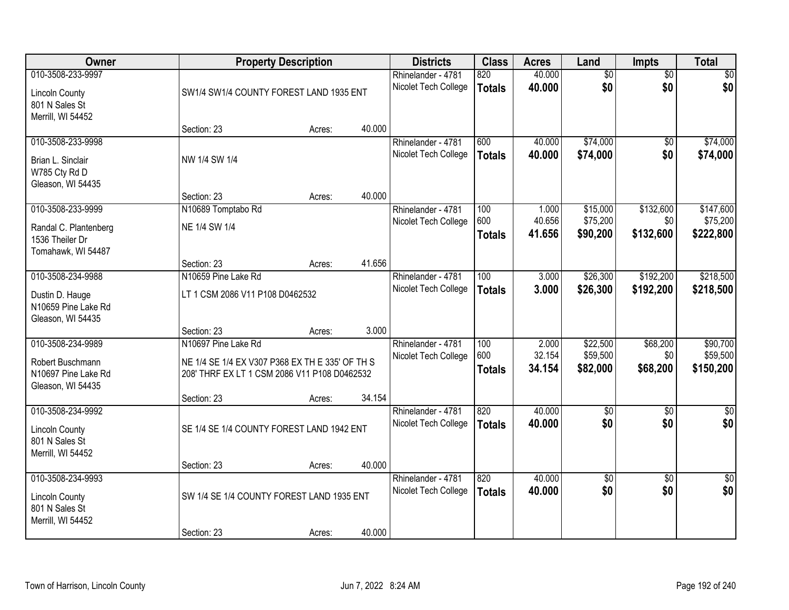| Owner                                                                             |                                                                                                                                       | <b>Property Description</b> |        | <b>Districts</b>                           | <b>Class</b>                | <b>Acres</b>              | Land                             | <b>Impts</b>                | <b>Total</b>                      |
|-----------------------------------------------------------------------------------|---------------------------------------------------------------------------------------------------------------------------------------|-----------------------------|--------|--------------------------------------------|-----------------------------|---------------------------|----------------------------------|-----------------------------|-----------------------------------|
| 010-3508-233-9997<br><b>Lincoln County</b><br>801 N Sales St<br>Merrill, WI 54452 | SW1/4 SW1/4 COUNTY FOREST LAND 1935 ENT                                                                                               |                             |        | Rhinelander - 4781<br>Nicolet Tech College | 820<br><b>Totals</b>        | 40.000<br>40.000          | $\overline{50}$<br>\$0           | $\overline{50}$<br>\$0      | $\frac{1}{20}$<br>\$0             |
|                                                                                   | Section: 23                                                                                                                           | Acres:                      | 40.000 |                                            |                             |                           |                                  |                             |                                   |
| 010-3508-233-9998<br>Brian L. Sinclair<br>W785 Cty Rd D<br>Gleason, WI 54435      | NW 1/4 SW 1/4                                                                                                                         |                             | 40.000 | Rhinelander - 4781<br>Nicolet Tech College | 600<br><b>Totals</b>        | 40.000<br>40.000          | \$74,000<br>\$74,000             | $\sqrt{6}$<br>\$0           | \$74,000<br>\$74,000              |
| 010-3508-233-9999                                                                 | Section: 23<br>N10689 Tomptabo Rd                                                                                                     | Acres:                      |        | Rhinelander - 4781                         | 100                         | 1.000                     | \$15,000                         | \$132,600                   | \$147,600                         |
| Randal C. Plantenberg<br>1536 Theiler Dr<br>Tomahawk, WI 54487                    | NE 1/4 SW 1/4                                                                                                                         |                             |        | Nicolet Tech College                       | 600<br><b>Totals</b>        | 40.656<br>41.656          | \$75,200<br>\$90,200             | \$0<br>\$132,600            | \$75,200<br>\$222,800             |
|                                                                                   | Section: 23                                                                                                                           | Acres:                      | 41.656 |                                            |                             |                           |                                  |                             |                                   |
| 010-3508-234-9988<br>Dustin D. Hauge<br>N10659 Pine Lake Rd<br>Gleason, WI 54435  | N10659 Pine Lake Rd<br>LT 1 CSM 2086 V11 P108 D0462532                                                                                |                             |        | Rhinelander - 4781<br>Nicolet Tech College | 100<br><b>Totals</b>        | 3.000<br>3.000            | \$26,300<br>\$26,300             | \$192,200<br>\$192,200      | \$218,500<br>\$218,500            |
|                                                                                   | Section: 23                                                                                                                           | Acres:                      | 3.000  |                                            |                             |                           |                                  |                             |                                   |
| 010-3508-234-9989<br>Robert Buschmann<br>N10697 Pine Lake Rd<br>Gleason, WI 54435 | N10697 Pine Lake Rd<br>NE 1/4 SE 1/4 EX V307 P368 EX TH E 335' OF TH S<br>208' THRF EX LT 1 CSM 2086 V11 P108 D0462532<br>Section: 23 | Acres:                      | 34.154 | Rhinelander - 4781<br>Nicolet Tech College | 100<br>600<br><b>Totals</b> | 2.000<br>32.154<br>34.154 | \$22,500<br>\$59,500<br>\$82,000 | \$68,200<br>\$0<br>\$68,200 | \$90,700<br>\$59,500<br>\$150,200 |
| 010-3508-234-9992<br><b>Lincoln County</b><br>801 N Sales St<br>Merrill, WI 54452 | SE 1/4 SE 1/4 COUNTY FOREST LAND 1942 ENT                                                                                             |                             |        | Rhinelander - 4781<br>Nicolet Tech College | 820<br><b>Totals</b>        | 40.000<br>40.000          | $\overline{50}$<br>\$0           | $\sqrt{6}$<br>\$0           | $\sqrt{30}$<br>\$0                |
|                                                                                   | Section: 23                                                                                                                           | Acres:                      | 40.000 |                                            |                             |                           |                                  |                             |                                   |
| 010-3508-234-9993<br><b>Lincoln County</b><br>801 N Sales St<br>Merrill, WI 54452 | SW 1/4 SE 1/4 COUNTY FOREST LAND 1935 ENT                                                                                             |                             |        | Rhinelander - 4781<br>Nicolet Tech College | 820<br><b>Totals</b>        | 40.000<br>40.000          | $\overline{50}$<br>\$0           | $\overline{50}$<br>\$0      | $\overline{\$0}$<br>\$0           |
|                                                                                   | Section: 23                                                                                                                           | Acres:                      | 40.000 |                                            |                             |                           |                                  |                             |                                   |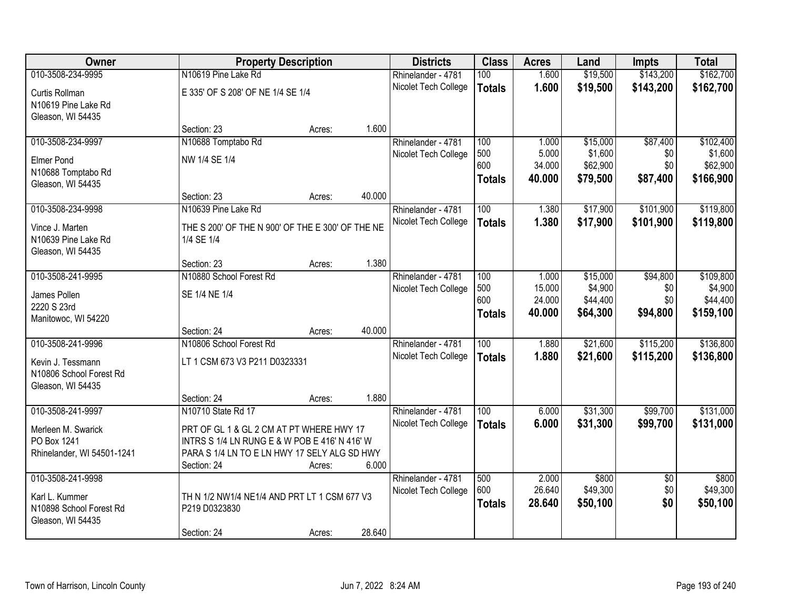| Owner                      | <b>Property Description</b>                      |        |        | <b>Districts</b>     | <b>Class</b>     | <b>Acres</b>    | Land     | <b>Impts</b>           | <b>Total</b> |
|----------------------------|--------------------------------------------------|--------|--------|----------------------|------------------|-----------------|----------|------------------------|--------------|
| 010-3508-234-9995          | N10619 Pine Lake Rd                              |        |        | Rhinelander - 4781   | 100              | 1.600           | \$19,500 | \$143,200              | \$162,700    |
| Curtis Rollman             | E 335' OF S 208' OF NE 1/4 SE 1/4                |        |        | Nicolet Tech College | <b>Totals</b>    | 1.600           | \$19,500 | \$143,200              | \$162,700    |
| N10619 Pine Lake Rd        |                                                  |        |        |                      |                  |                 |          |                        |              |
| Gleason, WI 54435          |                                                  |        |        |                      |                  |                 |          |                        |              |
|                            | Section: 23                                      | Acres: | 1.600  |                      |                  |                 |          |                        |              |
| 010-3508-234-9997          | N10688 Tomptabo Rd                               |        |        | Rhinelander - 4781   | 100              | 1.000           | \$15,000 | \$87,400               | \$102,400    |
| <b>Elmer Pond</b>          | NW 1/4 SE 1/4                                    |        |        | Nicolet Tech College | 500              | 5.000           | \$1,600  | \$0                    | \$1,600      |
| N10688 Tomptabo Rd         |                                                  |        |        |                      | 600              | 34.000          | \$62,900 | \$0                    | \$62,900     |
| Gleason, WI 54435          |                                                  |        |        |                      | <b>Totals</b>    | 40.000          | \$79,500 | \$87,400               | \$166,900    |
|                            | Section: 23                                      | Acres: | 40.000 |                      |                  |                 |          |                        |              |
| 010-3508-234-9998          | N10639 Pine Lake Rd                              |        |        | Rhinelander - 4781   | 100              | 1.380           | \$17,900 | \$101,900              | \$119,800    |
| Vince J. Marten            | THE S 200' OF THE N 900' OF THE E 300' OF THE NE |        |        | Nicolet Tech College | <b>Totals</b>    | 1.380           | \$17,900 | \$101,900              | \$119,800    |
| N10639 Pine Lake Rd        | 1/4 SE 1/4                                       |        |        |                      |                  |                 |          |                        |              |
| Gleason, WI 54435          |                                                  |        |        |                      |                  |                 |          |                        |              |
|                            | Section: 23                                      | Acres: | 1.380  |                      |                  |                 |          |                        |              |
| 010-3508-241-9995          | N10880 School Forest Rd                          |        |        | Rhinelander - 4781   | 100              | 1.000           | \$15,000 | \$94,800               | \$109,800    |
| James Pollen               | SE 1/4 NE 1/4                                    |        |        | Nicolet Tech College | 500              | 15.000          | \$4,900  | \$0                    | \$4,900      |
| 2220 S 23rd                |                                                  |        |        |                      | 600              | 24.000          | \$44,400 | \$0                    | \$44,400     |
| Manitowoc, WI 54220        |                                                  |        |        |                      | <b>Totals</b>    | 40.000          | \$64,300 | \$94,800               | \$159,100    |
|                            | Section: 24                                      | Acres: | 40.000 |                      |                  |                 |          |                        |              |
| 010-3508-241-9996          | N10806 School Forest Rd                          |        |        | Rhinelander - 4781   | $\overline{100}$ | 1.880           | \$21,600 | \$115,200              | \$136,800    |
| Kevin J. Tessmann          | LT 1 CSM 673 V3 P211 D0323331                    |        |        | Nicolet Tech College | <b>Totals</b>    | 1.880           | \$21,600 | \$115,200              | \$136,800    |
| N10806 School Forest Rd    |                                                  |        |        |                      |                  |                 |          |                        |              |
| Gleason, WI 54435          |                                                  |        |        |                      |                  |                 |          |                        |              |
|                            | Section: 24                                      | Acres: | 1.880  |                      |                  |                 |          |                        |              |
| 010-3508-241-9997          | N10710 State Rd 17                               |        |        | Rhinelander - 4781   | 100              | 6.000           | \$31,300 | \$99,700               | \$131,000    |
| Merleen M. Swarick         | PRT OF GL 1 & GL 2 CM AT PT WHERE HWY 17         |        |        | Nicolet Tech College | <b>Totals</b>    | 6.000           | \$31,300 | \$99,700               | \$131,000    |
| PO Box 1241                | INTRS S 1/4 LN RUNG E & W POB E 416' N 416' W    |        |        |                      |                  |                 |          |                        |              |
| Rhinelander, WI 54501-1241 | PARA S 1/4 LN TO E LN HWY 17 SELY ALG SD HWY     |        |        |                      |                  |                 |          |                        |              |
|                            | Section: 24                                      | Acres: | 6.000  |                      |                  |                 |          |                        |              |
| 010-3508-241-9998          |                                                  |        |        | Rhinelander - 4781   | 500<br>600       | 2.000<br>26.640 | \$800    | $\overline{50}$<br>\$0 | \$800        |
| Karl L. Kummer             | TH N 1/2 NW1/4 NE1/4 AND PRT LT 1 CSM 677 V3     |        |        | Nicolet Tech College |                  |                 | \$49,300 |                        | \$49,300     |
| N10898 School Forest Rd    | P219 D0323830                                    |        |        |                      | <b>Totals</b>    | 28.640          | \$50,100 | \$0                    | \$50,100     |
| Gleason, WI 54435          |                                                  |        |        |                      |                  |                 |          |                        |              |
|                            | Section: 24                                      | Acres: | 28.640 |                      |                  |                 |          |                        |              |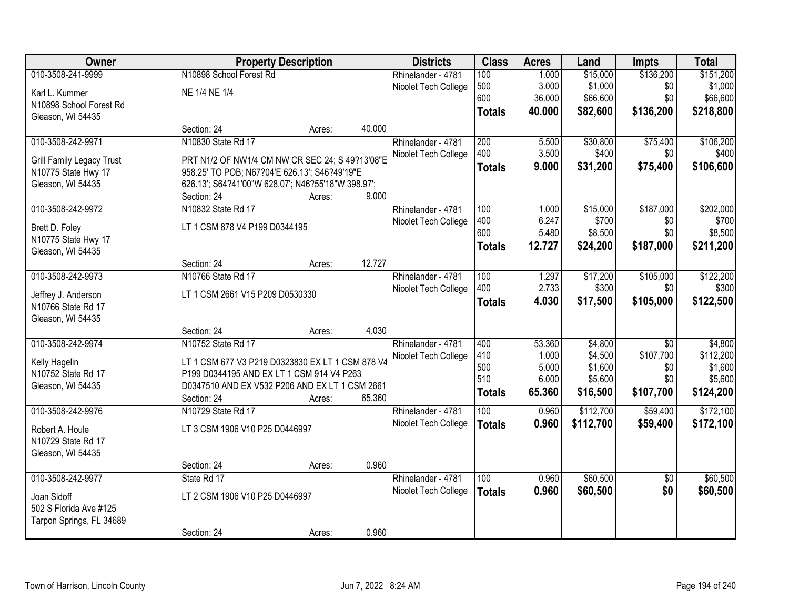| Owner                            |                                                    | <b>Property Description</b> |        | <b>Districts</b>     | <b>Class</b>  | <b>Acres</b> | Land      | <b>Impts</b>    | <b>Total</b> |
|----------------------------------|----------------------------------------------------|-----------------------------|--------|----------------------|---------------|--------------|-----------|-----------------|--------------|
| 010-3508-241-9999                | N10898 School Forest Rd                            |                             |        | Rhinelander - 4781   | 100           | 1.000        | \$15,000  | \$136,200       | \$151,200    |
| Karl L. Kummer                   | NE 1/4 NE 1/4                                      |                             |        | Nicolet Tech College | 500           | 3.000        | \$1,000   | \$0             | \$1,000      |
| N10898 School Forest Rd          |                                                    |                             |        |                      | 600           | 36.000       | \$66,600  | \$0             | \$66,600     |
| Gleason, WI 54435                |                                                    |                             |        |                      | <b>Totals</b> | 40.000       | \$82,600  | \$136,200       | \$218,800    |
|                                  | Section: 24                                        | Acres:                      | 40.000 |                      |               |              |           |                 |              |
| 010-3508-242-9971                | N10830 State Rd 17                                 |                             |        | Rhinelander - 4781   | 200           | 5.500        | \$30,800  | \$75,400        | \$106,200    |
| <b>Grill Family Legacy Trust</b> | PRT N1/2 OF NW1/4 CM NW CR SEC 24; S 49?13'08"E    |                             |        | Nicolet Tech College | 400           | 3.500        | \$400     | \$0             | \$400        |
| N10775 State Hwy 17              | 958.25' TO POB; N67?04'E 626.13'; S46?49'19"E      |                             |        |                      | <b>Totals</b> | 9.000        | \$31,200  | \$75,400        | \$106,600    |
| Gleason, WI 54435                | 626.13'; S64?41'00"W 628.07'; N46?55'18"W 398.97'; |                             |        |                      |               |              |           |                 |              |
|                                  | Section: 24                                        | Acres:                      | 9.000  |                      |               |              |           |                 |              |
| 010-3508-242-9972                | N10832 State Rd 17                                 |                             |        | Rhinelander - 4781   | 100           | 1.000        | \$15,000  | \$187,000       | \$202,000    |
| Brett D. Foley                   | LT 1 CSM 878 V4 P199 D0344195                      |                             |        | Nicolet Tech College | 400           | 6.247        | \$700     | \$0             | \$700        |
| N10775 State Hwy 17              |                                                    |                             |        |                      | 600           | 5.480        | \$8,500   | \$0             | \$8,500      |
| Gleason, WI 54435                |                                                    |                             |        |                      | <b>Totals</b> | 12.727       | \$24,200  | \$187,000       | \$211,200    |
|                                  | Section: 24                                        | Acres:                      | 12.727 |                      |               |              |           |                 |              |
| 010-3508-242-9973                | N10766 State Rd 17                                 |                             |        | Rhinelander - 4781   | 100           | 1.297        | \$17,200  | \$105,000       | \$122,200    |
| Jeffrey J. Anderson              | LT 1 CSM 2661 V15 P209 D0530330                    |                             |        | Nicolet Tech College | 400           | 2.733        | \$300     | \$0             | \$300        |
| N10766 State Rd 17               |                                                    |                             |        |                      | <b>Totals</b> | 4.030        | \$17,500  | \$105,000       | \$122,500    |
| Gleason, WI 54435                |                                                    |                             |        |                      |               |              |           |                 |              |
|                                  | Section: 24                                        | Acres:                      | 4.030  |                      |               |              |           |                 |              |
| 010-3508-242-9974                | N10752 State Rd 17                                 |                             |        | Rhinelander - 4781   | 400           | 53.360       | \$4,800   | $\overline{30}$ | \$4,800      |
| Kelly Hagelin                    | LT 1 CSM 677 V3 P219 D0323830 EX LT 1 CSM 878 V4   |                             |        | Nicolet Tech College | 410           | 1.000        | \$4,500   | \$107,700       | \$112,200    |
| N10752 State Rd 17               | P199 D0344195 AND EX LT 1 CSM 914 V4 P263          |                             |        |                      | 500           | 5.000        | \$1,600   | \$0             | \$1,600      |
| Gleason, WI 54435                | D0347510 AND EX V532 P206 AND EX LT 1 CSM 2661     |                             |        |                      | 510           | 6.000        | \$5,600   | \$0             | \$5,600      |
|                                  | Section: 24                                        | Acres:                      | 65.360 |                      | <b>Totals</b> | 65.360       | \$16,500  | \$107,700       | \$124,200    |
| 010-3508-242-9976                | N10729 State Rd 17                                 |                             |        | Rhinelander - 4781   | 100           | 0.960        | \$112,700 | \$59,400        | \$172,100    |
| Robert A. Houle                  | LT 3 CSM 1906 V10 P25 D0446997                     |                             |        | Nicolet Tech College | <b>Totals</b> | 0.960        | \$112,700 | \$59,400        | \$172,100    |
| N10729 State Rd 17               |                                                    |                             |        |                      |               |              |           |                 |              |
| Gleason, WI 54435                |                                                    |                             |        |                      |               |              |           |                 |              |
|                                  | Section: 24                                        | Acres:                      | 0.960  |                      |               |              |           |                 |              |
| 010-3508-242-9977                | State Rd 17                                        |                             |        | Rhinelander - 4781   | 100           | 0.960        | \$60,500  | $\overline{50}$ | \$60,500     |
| Joan Sidoff                      | LT 2 CSM 1906 V10 P25 D0446997                     |                             |        | Nicolet Tech College | <b>Totals</b> | 0.960        | \$60,500  | \$0             | \$60,500     |
| 502 S Florida Ave #125           |                                                    |                             |        |                      |               |              |           |                 |              |
| Tarpon Springs, FL 34689         |                                                    |                             |        |                      |               |              |           |                 |              |
|                                  | Section: 24                                        | Acres:                      | 0.960  |                      |               |              |           |                 |              |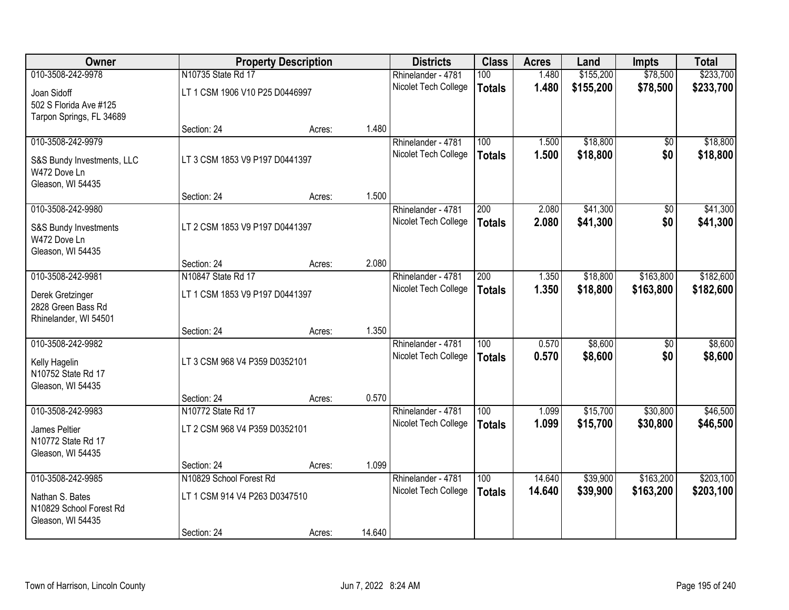| Owner                                   |                                | <b>Property Description</b> |        | <b>Districts</b>                           | <b>Class</b>     | <b>Acres</b>   | Land                 | <b>Impts</b>    | <b>Total</b>         |
|-----------------------------------------|--------------------------------|-----------------------------|--------|--------------------------------------------|------------------|----------------|----------------------|-----------------|----------------------|
| 010-3508-242-9978                       | N10735 State Rd 17             |                             |        | Rhinelander - 4781                         | 100              | 1.480          | \$155,200            | \$78,500        | \$233,700            |
| Joan Sidoff                             | LT 1 CSM 1906 V10 P25 D0446997 |                             |        | Nicolet Tech College                       | <b>Totals</b>    | 1.480          | \$155,200            | \$78,500        | \$233,700            |
| 502 S Florida Ave #125                  |                                |                             |        |                                            |                  |                |                      |                 |                      |
| Tarpon Springs, FL 34689                |                                |                             |        |                                            |                  |                |                      |                 |                      |
|                                         | Section: 24                    | Acres:                      | 1.480  |                                            |                  |                |                      |                 |                      |
| 010-3508-242-9979                       |                                |                             |        | Rhinelander - 4781<br>Nicolet Tech College | 100              | 1.500<br>1.500 | \$18,800<br>\$18,800 | \$0<br>\$0      | \$18,800<br>\$18,800 |
| S&S Bundy Investments, LLC              | LT 3 CSM 1853 V9 P197 D0441397 |                             |        |                                            | <b>Totals</b>    |                |                      |                 |                      |
| W472 Dove Ln<br>Gleason, WI 54435       |                                |                             |        |                                            |                  |                |                      |                 |                      |
|                                         | Section: 24                    | Acres:                      | 1.500  |                                            |                  |                |                      |                 |                      |
| 010-3508-242-9980                       |                                |                             |        | Rhinelander - 4781                         | 200              | 2.080          | \$41,300             | \$0             | \$41,300             |
| S&S Bundy Investments                   | LT 2 CSM 1853 V9 P197 D0441397 |                             |        | Nicolet Tech College                       | <b>Totals</b>    | 2.080          | \$41,300             | \$0             | \$41,300             |
| W472 Dove Ln                            |                                |                             |        |                                            |                  |                |                      |                 |                      |
| Gleason, WI 54435                       |                                |                             |        |                                            |                  |                |                      |                 |                      |
|                                         | Section: 24                    | Acres:                      | 2.080  |                                            |                  |                |                      |                 |                      |
| 010-3508-242-9981                       | N10847 State Rd 17             |                             |        | Rhinelander - 4781                         | $\overline{200}$ | 1.350          | \$18,800             | \$163,800       | \$182,600            |
| Derek Gretzinger                        | LT 1 CSM 1853 V9 P197 D0441397 |                             |        | Nicolet Tech College                       | <b>Totals</b>    | 1.350          | \$18,800             | \$163,800       | \$182,600            |
| 2828 Green Bass Rd                      |                                |                             |        |                                            |                  |                |                      |                 |                      |
| Rhinelander, WI 54501                   |                                |                             |        |                                            |                  |                |                      |                 |                      |
| 010-3508-242-9982                       | Section: 24                    | Acres:                      | 1.350  | Rhinelander - 4781                         | 100              | 0.570          | \$8,600              | $\overline{50}$ | \$8,600              |
|                                         |                                |                             |        | Nicolet Tech College                       | <b>Totals</b>    | 0.570          | \$8,600              | \$0             | \$8,600              |
| Kelly Hagelin                           | LT 3 CSM 968 V4 P359 D0352101  |                             |        |                                            |                  |                |                      |                 |                      |
| N10752 State Rd 17<br>Gleason, WI 54435 |                                |                             |        |                                            |                  |                |                      |                 |                      |
|                                         | Section: 24                    | Acres:                      | 0.570  |                                            |                  |                |                      |                 |                      |
| 010-3508-242-9983                       | N10772 State Rd 17             |                             |        | Rhinelander - 4781                         | 100              | 1.099          | \$15,700             | \$30,800        | \$46,500             |
| James Peltier                           | LT 2 CSM 968 V4 P359 D0352101  |                             |        | Nicolet Tech College                       | <b>Totals</b>    | 1.099          | \$15,700             | \$30,800        | \$46,500             |
| N10772 State Rd 17                      |                                |                             |        |                                            |                  |                |                      |                 |                      |
| Gleason, WI 54435                       |                                |                             |        |                                            |                  |                |                      |                 |                      |
|                                         | Section: 24                    | Acres:                      | 1.099  |                                            |                  |                |                      |                 |                      |
| 010-3508-242-9985                       | N10829 School Forest Rd        |                             |        | Rhinelander - 4781                         | 100              | 14.640         | \$39,900             | \$163,200       | \$203,100            |
| Nathan S. Bates                         | LT 1 CSM 914 V4 P263 D0347510  |                             |        | Nicolet Tech College                       | <b>Totals</b>    | 14.640         | \$39,900             | \$163,200       | \$203,100            |
| N10829 School Forest Rd                 |                                |                             |        |                                            |                  |                |                      |                 |                      |
| Gleason, WI 54435                       |                                |                             |        |                                            |                  |                |                      |                 |                      |
|                                         | Section: 24                    | Acres:                      | 14.640 |                                            |                  |                |                      |                 |                      |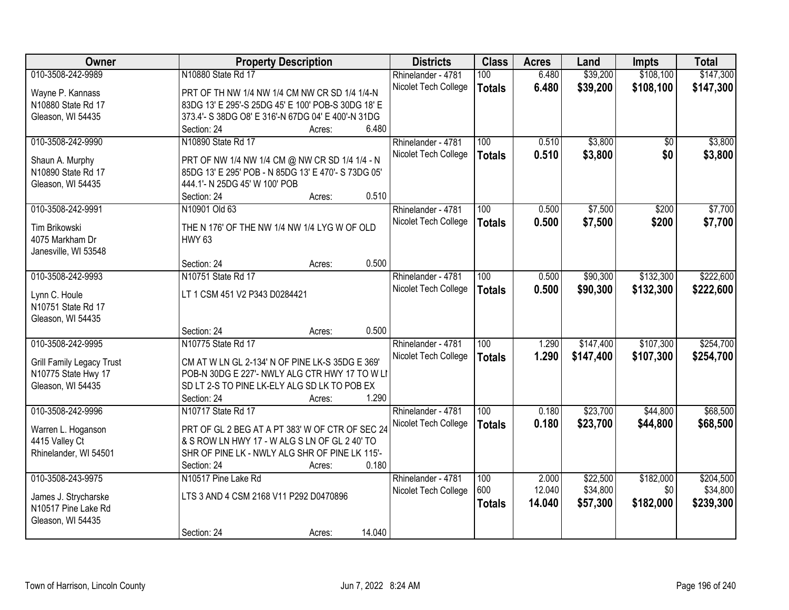| Owner                            | <b>Property Description</b>                         | <b>Districts</b>     | <b>Class</b>     | <b>Acres</b> | Land      | Impts     | <b>Total</b> |
|----------------------------------|-----------------------------------------------------|----------------------|------------------|--------------|-----------|-----------|--------------|
| 010-3508-242-9989                | N10880 State Rd 17                                  | Rhinelander - 4781   | 100              | 6.480        | \$39,200  | \$108,100 | \$147,300    |
| Wayne P. Kannass                 | PRT OF TH NW 1/4 NW 1/4 CM NW CR SD 1/4 1/4-N       | Nicolet Tech College | <b>Totals</b>    | 6.480        | \$39,200  | \$108,100 | \$147,300    |
| N10880 State Rd 17               | 83DG 13' E 295'-S 25DG 45' E 100' POB-S 30DG 18' E  |                      |                  |              |           |           |              |
| Gleason, WI 54435                | 373.4'- S 38DG O8' E 316'-N 67DG 04' E 400'-N 31DG  |                      |                  |              |           |           |              |
|                                  | 6.480<br>Section: 24<br>Acres:                      |                      |                  |              |           |           |              |
| 010-3508-242-9990                | N10890 State Rd 17                                  | Rhinelander - 4781   | 100              | 0.510        | \$3,800   | \$0       | \$3,800      |
|                                  |                                                     | Nicolet Tech College | <b>Totals</b>    | 0.510        | \$3,800   | \$0       | \$3,800      |
| Shaun A. Murphy                  | PRT OF NW 1/4 NW 1/4 CM @ NW CR SD 1/4 1/4 - N      |                      |                  |              |           |           |              |
| N10890 State Rd 17               | 85DG 13' E 295' POB - N 85DG 13' E 470'- S 73DG 05' |                      |                  |              |           |           |              |
| Gleason, WI 54435                | 444.1'- N 25DG 45' W 100' POB                       |                      |                  |              |           |           |              |
|                                  | 0.510<br>Section: 24<br>Acres:                      |                      |                  |              |           |           |              |
| 010-3508-242-9991                | N10901 Old 63                                       | Rhinelander - 4781   | 100              | 0.500        | \$7,500   | \$200     | \$7,700      |
| Tim Brikowski                    | THE N 176' OF THE NW 1/4 NW 1/4 LYG W OF OLD        | Nicolet Tech College | <b>Totals</b>    | 0.500        | \$7,500   | \$200     | \$7,700      |
| 4075 Markham Dr                  | <b>HWY 63</b>                                       |                      |                  |              |           |           |              |
| Janesville, WI 53548             |                                                     |                      |                  |              |           |           |              |
|                                  | 0.500<br>Section: 24<br>Acres:                      |                      |                  |              |           |           |              |
| 010-3508-242-9993                | N10751 State Rd 17                                  | Rhinelander - 4781   | 100              | 0.500        | \$90,300  | \$132,300 | \$222,600    |
|                                  |                                                     | Nicolet Tech College | <b>Totals</b>    | 0.500        | \$90,300  | \$132,300 | \$222,600    |
| Lynn C. Houle                    | LT 1 CSM 451 V2 P343 D0284421                       |                      |                  |              |           |           |              |
| N10751 State Rd 17               |                                                     |                      |                  |              |           |           |              |
| Gleason, WI 54435                |                                                     |                      |                  |              |           |           |              |
|                                  | 0.500<br>Section: 24<br>Acres:                      |                      |                  |              |           |           |              |
| 010-3508-242-9995                | N10775 State Rd 17                                  | Rhinelander - 4781   | $\overline{100}$ | 1.290        | \$147,400 | \$107,300 | \$254,700    |
| <b>Grill Family Legacy Trust</b> | CM AT W LN GL 2-134' N OF PINE LK-S 35DG E 369'     | Nicolet Tech College | <b>Totals</b>    | 1.290        | \$147,400 | \$107,300 | \$254,700    |
| N10775 State Hwy 17              | POB-N 30DG E 227'- NWLY ALG CTR HWY 17 TO W LI      |                      |                  |              |           |           |              |
| Gleason, WI 54435                | SD LT 2-S TO PINE LK-ELY ALG SD LK TO POB EX        |                      |                  |              |           |           |              |
|                                  | 1.290<br>Section: 24<br>Acres:                      |                      |                  |              |           |           |              |
| 010-3508-242-9996                | N10717 State Rd 17                                  | Rhinelander - 4781   | 100              | 0.180        | \$23,700  | \$44,800  | \$68,500     |
|                                  |                                                     | Nicolet Tech College | <b>Totals</b>    | 0.180        | \$23,700  | \$44,800  | \$68,500     |
| Warren L. Hoganson               | PRT OF GL 2 BEG AT A PT 383' W OF CTR OF SEC 24     |                      |                  |              |           |           |              |
| 4415 Valley Ct                   | & S ROW LN HWY 17 - W ALG S LN OF GL 2 40' TO       |                      |                  |              |           |           |              |
| Rhinelander, WI 54501            | SHR OF PINE LK - NWLY ALG SHR OF PINE LK 115'-      |                      |                  |              |           |           |              |
|                                  | 0.180<br>Section: 24<br>Acres:                      |                      |                  |              |           |           |              |
| 010-3508-243-9975                | N10517 Pine Lake Rd                                 | Rhinelander - 4781   | 100              | 2.000        | \$22,500  | \$182,000 | \$204,500    |
| James J. Strycharske             | LTS 3 AND 4 CSM 2168 V11 P292 D0470896              | Nicolet Tech College | 600              | 12.040       | \$34,800  | \$0       | \$34,800     |
| N10517 Pine Lake Rd              |                                                     |                      | <b>Totals</b>    | 14.040       | \$57,300  | \$182,000 | \$239,300    |
| Gleason, WI 54435                |                                                     |                      |                  |              |           |           |              |
|                                  | 14.040<br>Section: 24<br>Acres:                     |                      |                  |              |           |           |              |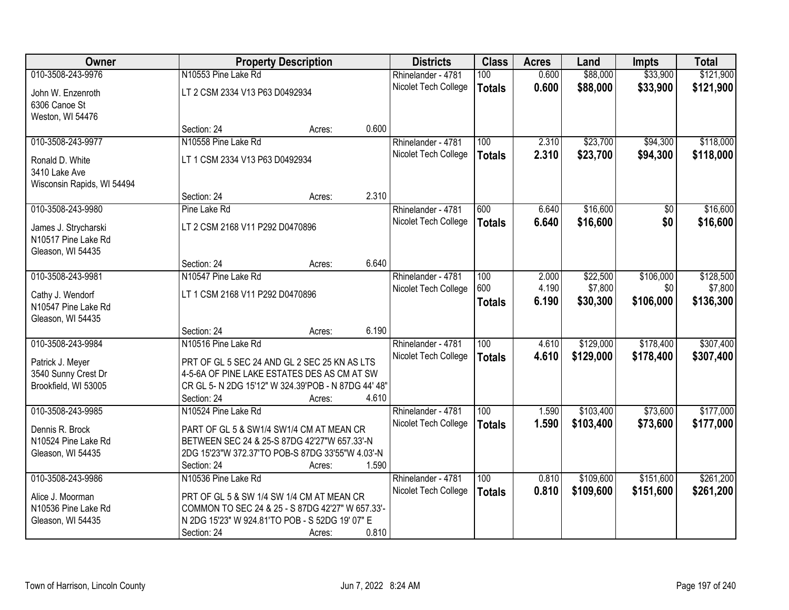| Owner                      |                                                     | <b>Property Description</b> |       | <b>Districts</b>                           | <b>Class</b>     | <b>Acres</b>   | Land                   | <b>Impts</b> | <b>Total</b> |
|----------------------------|-----------------------------------------------------|-----------------------------|-------|--------------------------------------------|------------------|----------------|------------------------|--------------|--------------|
| 010-3508-243-9976          | N10553 Pine Lake Rd                                 |                             |       | Rhinelander - 4781                         | 100              | 0.600          | \$88,000               | \$33,900     | \$121,900    |
| John W. Enzenroth          | LT 2 CSM 2334 V13 P63 D0492934                      |                             |       | Nicolet Tech College                       | <b>Totals</b>    | 0.600          | \$88,000               | \$33,900     | \$121,900    |
| 6306 Canoe St              |                                                     |                             |       |                                            |                  |                |                        |              |              |
| Weston, WI 54476           |                                                     |                             | 0.600 |                                            |                  |                |                        |              |              |
| 010-3508-243-9977          | Section: 24<br>N10558 Pine Lake Rd                  | Acres:                      |       | Rhinelander - 4781                         | 100              | 2.310          | \$23,700               | \$94,300     | \$118,000    |
|                            |                                                     |                             |       | Nicolet Tech College                       |                  | 2.310          | \$23,700               | \$94,300     | \$118,000    |
| Ronald D. White            | LT 1 CSM 2334 V13 P63 D0492934                      |                             |       |                                            | <b>Totals</b>    |                |                        |              |              |
| 3410 Lake Ave              |                                                     |                             |       |                                            |                  |                |                        |              |              |
| Wisconsin Rapids, WI 54494 | Section: 24                                         |                             | 2.310 |                                            |                  |                |                        |              |              |
| 010-3508-243-9980          | Pine Lake Rd                                        | Acres:                      |       | Rhinelander - 4781                         | 600              | 6.640          | \$16,600               | \$0          | \$16,600     |
|                            |                                                     |                             |       | Nicolet Tech College                       | <b>Totals</b>    | 6.640          | \$16,600               | \$0          | \$16,600     |
| James J. Strycharski       | LT 2 CSM 2168 V11 P292 D0470896                     |                             |       |                                            |                  |                |                        |              |              |
| N10517 Pine Lake Rd        |                                                     |                             |       |                                            |                  |                |                        |              |              |
| Gleason, WI 54435          |                                                     |                             | 6.640 |                                            |                  |                |                        |              |              |
| 010-3508-243-9981          | Section: 24<br>N10547 Pine Lake Rd                  | Acres:                      |       | Rhinelander - 4781                         | 100              | 2.000          | \$22,500               | \$106,000    | \$128,500    |
|                            |                                                     |                             |       | Nicolet Tech College                       | 600              | 4.190          | \$7,800                | \$0          | \$7,800      |
| Cathy J. Wendorf           | LT 1 CSM 2168 V11 P292 D0470896                     |                             |       |                                            | <b>Totals</b>    | 6.190          | \$30,300               | \$106,000    | \$136,300    |
| N10547 Pine Lake Rd        |                                                     |                             |       |                                            |                  |                |                        |              |              |
| Gleason, WI 54435          |                                                     |                             |       |                                            |                  |                |                        |              |              |
| 010-3508-243-9984          | Section: 24<br>N10516 Pine Lake Rd                  | Acres:                      | 6.190 |                                            | $\overline{100}$ | 4.610          |                        | \$178,400    | \$307,400    |
|                            |                                                     |                             |       | Rhinelander - 4781                         |                  | 4.610          | \$129,000<br>\$129,000 |              |              |
| Patrick J. Meyer           | PRT OF GL 5 SEC 24 AND GL 2 SEC 25 KN AS LTS        |                             |       | Nicolet Tech College                       | <b>Totals</b>    |                |                        | \$178,400    | \$307,400    |
| 3540 Sunny Crest Dr        | 4-5-6A OF PINE LAKE ESTATES DES AS CM AT SW         |                             |       |                                            |                  |                |                        |              |              |
| Brookfield, WI 53005       | CR GL 5- N 2DG 15'12" W 324.39'POB - N 87DG 44' 48" |                             |       |                                            |                  |                |                        |              |              |
| 010-3508-243-9985          | Section: 24<br>N10524 Pine Lake Rd                  | Acres:                      | 4.610 |                                            |                  |                |                        |              | \$177,000    |
|                            |                                                     |                             |       | Rhinelander - 4781<br>Nicolet Tech College | 100              | 1.590<br>1.590 | \$103,400<br>\$103,400 | \$73,600     |              |
| Dennis R. Brock            | PART OF GL 5 & SW1/4 SW1/4 CM AT MEAN CR            |                             |       |                                            | <b>Totals</b>    |                |                        | \$73,600     | \$177,000    |
| N10524 Pine Lake Rd        | BETWEEN SEC 24 & 25-S 87DG 42'27"W 657.33'-N        |                             |       |                                            |                  |                |                        |              |              |
| Gleason, WI 54435          | 2DG 15'23"W 372.37'TO POB-S 87DG 33'55"W 4.03'-N    |                             |       |                                            |                  |                |                        |              |              |
|                            | Section: 24                                         | Acres:                      | 1.590 |                                            |                  |                |                        |              |              |
| 010-3508-243-9986          | N10536 Pine Lake Rd                                 |                             |       | Rhinelander - 4781                         | 100              | 0.810          | \$109,600              | \$151,600    | \$261,200    |
| Alice J. Moorman           | PRT OF GL 5 & SW 1/4 SW 1/4 CM AT MEAN CR           |                             |       | Nicolet Tech College                       | <b>Totals</b>    | 0.810          | \$109,600              | \$151,600    | \$261,200    |
| N10536 Pine Lake Rd        | COMMON TO SEC 24 & 25 - S 87DG 42'27" W 657.33'-    |                             |       |                                            |                  |                |                        |              |              |
| Gleason, WI 54435          | N 2DG 15'23" W 924.81'TO POB - S 52DG 19' 07" E     |                             |       |                                            |                  |                |                        |              |              |
|                            | Section: 24                                         | Acres:                      | 0.810 |                                            |                  |                |                        |              |              |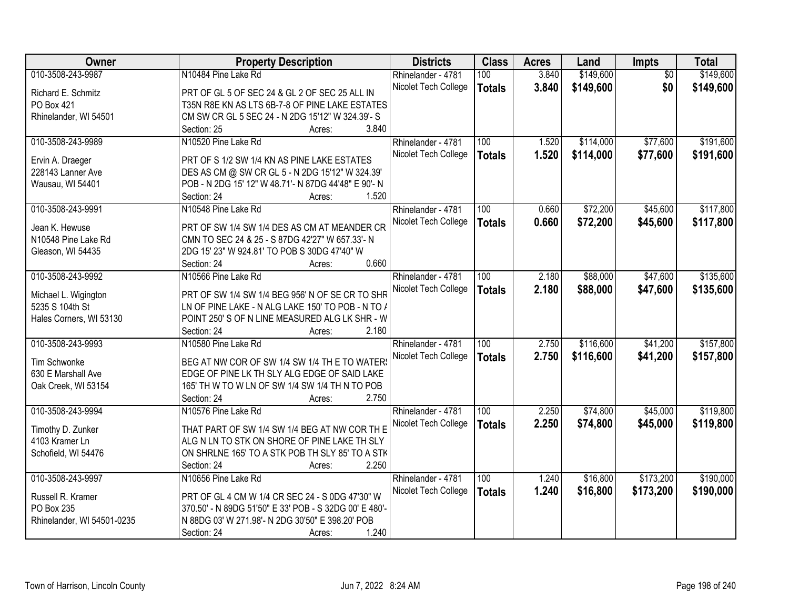| Owner                                 | <b>Property Description</b>                                                                         | <b>Districts</b>     | <b>Class</b>  | <b>Acres</b> | Land      | Impts           | <b>Total</b> |
|---------------------------------------|-----------------------------------------------------------------------------------------------------|----------------------|---------------|--------------|-----------|-----------------|--------------|
| 010-3508-243-9987                     | N10484 Pine Lake Rd                                                                                 | Rhinelander - 4781   | 100           | 3.840        | \$149,600 | $\overline{50}$ | \$149,600    |
| Richard E. Schmitz                    | PRT OF GL 5 OF SEC 24 & GL 2 OF SEC 25 ALL IN                                                       | Nicolet Tech College | <b>Totals</b> | 3.840        | \$149,600 | \$0             | \$149,600    |
| PO Box 421                            | T35N R8E KN AS LTS 6B-7-8 OF PINE LAKE ESTATES                                                      |                      |               |              |           |                 |              |
| Rhinelander, WI 54501                 | CM SW CR GL 5 SEC 24 - N 2DG 15'12" W 324.39'- S                                                    |                      |               |              |           |                 |              |
|                                       | 3.840<br>Section: 25<br>Acres:                                                                      |                      |               |              |           |                 |              |
| 010-3508-243-9989                     | N10520 Pine Lake Rd                                                                                 | Rhinelander - 4781   | 100           | 1.520        | \$114,000 | \$77,600        | \$191,600    |
|                                       |                                                                                                     | Nicolet Tech College | <b>Totals</b> | 1.520        | \$114,000 | \$77,600        | \$191,600    |
| Ervin A. Draeger<br>228143 Lanner Ave | PRT OF S 1/2 SW 1/4 KN AS PINE LAKE ESTATES<br>DES AS CM @ SW CR GL 5 - N 2DG 15'12" W 324.39'      |                      |               |              |           |                 |              |
| Wausau, WI 54401                      | POB - N 2DG 15' 12" W 48.71'- N 87DG 44'48" E 90'- N                                                |                      |               |              |           |                 |              |
|                                       | 1.520<br>Section: 24<br>Acres:                                                                      |                      |               |              |           |                 |              |
| 010-3508-243-9991                     | N10548 Pine Lake Rd                                                                                 | Rhinelander - 4781   | 100           | 0.660        | \$72,200  | \$45,600        | \$117,800    |
|                                       |                                                                                                     |                      |               |              |           |                 |              |
| Jean K. Hewuse                        | PRT OF SW 1/4 SW 1/4 DES AS CM AT MEANDER CR                                                        | Nicolet Tech College | <b>Totals</b> | 0.660        | \$72,200  | \$45,600        | \$117,800    |
| N10548 Pine Lake Rd                   | CMN TO SEC 24 & 25 - S 87DG 42'27" W 657.33'- N                                                     |                      |               |              |           |                 |              |
| Gleason, WI 54435                     | 2DG 15' 23" W 924.81' TO POB S 30DG 47'40" W                                                        |                      |               |              |           |                 |              |
|                                       | 0.660<br>Section: 24<br>Acres:                                                                      |                      |               |              |           |                 |              |
| 010-3508-243-9992                     | N10566 Pine Lake Rd                                                                                 | Rhinelander - 4781   | 100           | 2.180        | \$88,000  | \$47,600        | \$135,600    |
|                                       |                                                                                                     | Nicolet Tech College | <b>Totals</b> | 2.180        | \$88,000  | \$47,600        | \$135,600    |
| Michael L. Wigington                  | PRT OF SW 1/4 SW 1/4 BEG 956' N OF SE CR TO SHR                                                     |                      |               |              |           |                 |              |
| 5235 S 104th St                       | LN OF PINE LAKE - N ALG LAKE 150' TO POB - N TO /<br>POINT 250' S OF N LINE MEASURED ALG LK SHR - W |                      |               |              |           |                 |              |
| Hales Corners, WI 53130               | 2.180<br>Section: 24                                                                                |                      |               |              |           |                 |              |
| 010-3508-243-9993                     | Acres:<br>N10580 Pine Lake Rd                                                                       |                      | 100           | 2.750        | \$116,600 | \$41,200        | \$157,800    |
|                                       |                                                                                                     | Rhinelander - 4781   |               |              |           |                 |              |
| Tim Schwonke                          | BEG AT NW COR OF SW 1/4 SW 1/4 TH E TO WATER                                                        | Nicolet Tech College | <b>Totals</b> | 2.750        | \$116,600 | \$41,200        | \$157,800    |
| 630 E Marshall Ave                    | EDGE OF PINE LK TH SLY ALG EDGE OF SAID LAKE                                                        |                      |               |              |           |                 |              |
| Oak Creek, WI 53154                   | 165' TH W TO W LN OF SW 1/4 SW 1/4 TH N TO POB                                                      |                      |               |              |           |                 |              |
|                                       | 2.750<br>Section: 24<br>Acres:                                                                      |                      |               |              |           |                 |              |
| 010-3508-243-9994                     | N10576 Pine Lake Rd                                                                                 | Rhinelander - 4781   | 100           | 2.250        | \$74,800  | \$45,000        | \$119,800    |
|                                       | THAT PART OF SW 1/4 SW 1/4 BEG AT NW COR TH E                                                       | Nicolet Tech College | <b>Totals</b> | 2.250        | \$74,800  | \$45,000        | \$119,800    |
| Timothy D. Zunker<br>4103 Kramer Ln   | ALG N LN TO STK ON SHORE OF PINE LAKE TH SLY                                                        |                      |               |              |           |                 |              |
| Schofield, WI 54476                   | ON SHRLNE 165' TO A STK POB TH SLY 85' TO A STK                                                     |                      |               |              |           |                 |              |
|                                       | 2.250<br>Section: 24                                                                                |                      |               |              |           |                 |              |
| 010-3508-243-9997                     | Acres:<br>N10656 Pine Lake Rd                                                                       | Rhinelander - 4781   | 100           | 1.240        | \$16,800  | \$173,200       | \$190,000    |
|                                       |                                                                                                     |                      |               |              |           |                 |              |
| Russell R. Kramer                     | PRT OF GL 4 CM W 1/4 CR SEC 24 - S 0DG 47'30" W                                                     | Nicolet Tech College | <b>Totals</b> | 1.240        | \$16,800  | \$173,200       | \$190,000    |
| PO Box 235                            | 370.50' - N 89DG 51'50" E 33' POB - S 32DG 00' E 480'-                                              |                      |               |              |           |                 |              |
| Rhinelander, WI 54501-0235            | N 88DG 03' W 271.98'- N 2DG 30'50" E 398.20' POB                                                    |                      |               |              |           |                 |              |
|                                       | 1.240<br>Section: 24<br>Acres:                                                                      |                      |               |              |           |                 |              |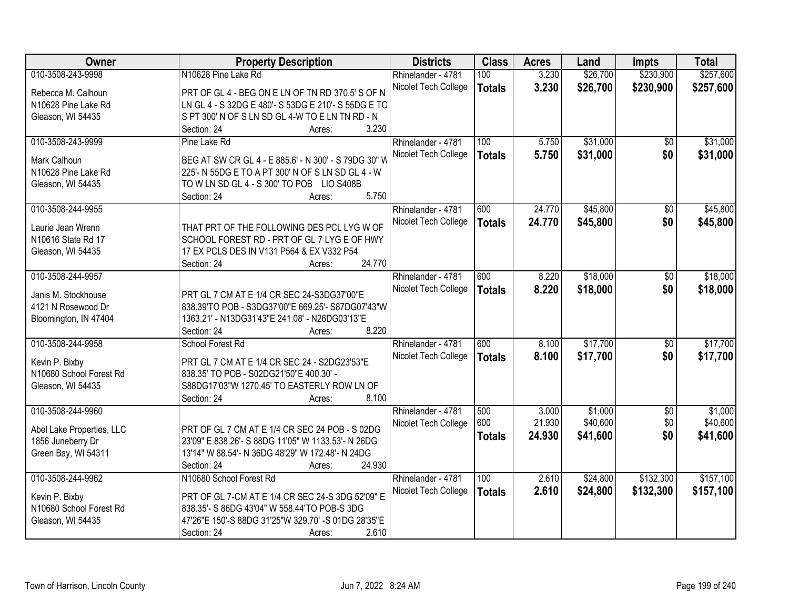| Owner                     | <b>Property Description</b>                          | <b>Districts</b>     | <b>Class</b>  | <b>Acres</b> | Land     | Impts           | <b>Total</b> |
|---------------------------|------------------------------------------------------|----------------------|---------------|--------------|----------|-----------------|--------------|
| 010-3508-243-9998         | N10628 Pine Lake Rd                                  | Rhinelander - 4781   | 100           | 3.230        | \$26,700 | \$230,900       | \$257,600    |
| Rebecca M. Calhoun        | PRT OF GL 4 - BEG ON E LN OF TN RD 370.5' S OF N     | Nicolet Tech College | <b>Totals</b> | 3.230        | \$26,700 | \$230,900       | \$257,600    |
| N10628 Pine Lake Rd       | LN GL 4 - S 32DG E 480'- S 53DG E 210'- S 55DG E TO  |                      |               |              |          |                 |              |
| Gleason, WI 54435         | S PT 300' N OF S LN SD GL 4-W TO E LN TN RD - N      |                      |               |              |          |                 |              |
|                           | 3.230<br>Section: 24<br>Acres:                       |                      |               |              |          |                 |              |
| 010-3508-243-9999         | Pine Lake Rd                                         | Rhinelander - 4781   | 100           | 5.750        | \$31,000 | \$0             | \$31,000     |
|                           |                                                      |                      |               | 5.750        |          | \$0             |              |
| Mark Calhoun              | BEG AT SW CR GL 4 - E 885.6' - N 300' - S 79DG 30" W | Nicolet Tech College | <b>Totals</b> |              | \$31,000 |                 | \$31,000     |
| N10628 Pine Lake Rd       | 225'- N 55DG E TO A PT 300' N OF S LN SD GL 4 - W    |                      |               |              |          |                 |              |
| Gleason, WI 54435         | TO W LN SD GL 4 - S 300' TO POB LIO S408B            |                      |               |              |          |                 |              |
|                           | 5.750<br>Section: 24<br>Acres:                       |                      |               |              |          |                 |              |
| 010-3508-244-9955         |                                                      | Rhinelander - 4781   | 600           | 24.770       | \$45,800 | \$0             | \$45,800     |
|                           |                                                      | Nicolet Tech College | <b>Totals</b> | 24.770       | \$45,800 | \$0             | \$45,800     |
| Laurie Jean Wrenn         | THAT PRT OF THE FOLLOWING DES PCL LYG W OF           |                      |               |              |          |                 |              |
| N10616 State Rd 17        | SCHOOL FOREST RD - PRT OF GL 7 LYG E OF HWY          |                      |               |              |          |                 |              |
| Gleason, WI 54435         | 17 EX PCLS DES IN V131 P564 & EX V332 P54            |                      |               |              |          |                 |              |
|                           | 24.770<br>Section: 24<br>Acres:                      |                      |               |              |          |                 |              |
| 010-3508-244-9957         |                                                      | Rhinelander - 4781   | 600           | 8.220        | \$18,000 | \$0             | \$18,000     |
| Janis M. Stockhouse       | PRT GL 7 CM AT E 1/4 CR SEC 24-S3DG37'00"E           | Nicolet Tech College | <b>Totals</b> | 8.220        | \$18,000 | \$0             | \$18,000     |
| 4121 N Rosewood Dr        | 838.39'TO POB - S3DG37'00"E 669.25'- S87DG07'43"W    |                      |               |              |          |                 |              |
| Bloomington, IN 47404     | 1363.21' - N13DG31'43"E 241.08' - N26DG03'13"E       |                      |               |              |          |                 |              |
|                           | 8.220<br>Section: 24<br>Acres:                       |                      |               |              |          |                 |              |
| 010-3508-244-9958         | School Forest Rd                                     | Rhinelander - 4781   | 600           | 8.100        | \$17,700 | $\overline{50}$ | \$17,700     |
|                           |                                                      | Nicolet Tech College | <b>Totals</b> | 8.100        | \$17,700 | \$0             | \$17,700     |
| Kevin P. Bixby            | PRT GL 7 CM AT E 1/4 CR SEC 24 - S2DG23'53"E         |                      |               |              |          |                 |              |
| N10680 School Forest Rd   | 838.35' TO POB - S02DG21'50"E 400.30' -              |                      |               |              |          |                 |              |
| Gleason, WI 54435         | S88DG17'03"W 1270.45' TO EASTERLY ROW LN OF          |                      |               |              |          |                 |              |
|                           | 8.100<br>Section: 24<br>Acres:                       |                      |               |              |          |                 |              |
| 010-3508-244-9960         |                                                      | Rhinelander - 4781   | 500           | 3.000        | \$1,000  | $\overline{50}$ | \$1,000      |
| Abel Lake Properties, LLC | PRT OF GL 7 CM AT E 1/4 CR SEC 24 POB - S 02DG       | Nicolet Tech College | 600           | 21.930       | \$40,600 | \$0             | \$40,600     |
| 1856 Juneberry Dr         | 23'09" E 838.26'- S 88DG 11'05" W 1133.53'- N 26DG   |                      | <b>Totals</b> | 24.930       | \$41,600 | \$0             | \$41,600     |
| Green Bay, WI 54311       | 13'14" W 88.54'- N 36DG 48'29" W 172.48'- N 24DG     |                      |               |              |          |                 |              |
|                           | 24.930<br>Section: 24<br>Acres:                      |                      |               |              |          |                 |              |
| 010-3508-244-9962         | N10680 School Forest Rd                              | Rhinelander - 4781   | 100           | 2.610        | \$24,800 | \$132,300       | \$157,100    |
|                           |                                                      |                      |               |              |          |                 |              |
| Kevin P. Bixby            | PRT OF GL 7-CM AT E 1/4 CR SEC 24-S 3DG 52'09" E     | Nicolet Tech College | <b>Totals</b> | 2.610        | \$24,800 | \$132,300       | \$157,100    |
| N10680 School Forest Rd   | 838.35'- S 86DG 43'04" W 558.44'TO POB-S 3DG         |                      |               |              |          |                 |              |
| Gleason, WI 54435         | 47'26"E 150'-S 88DG 31'25"W 329.70' -S 01DG 28'35"E  |                      |               |              |          |                 |              |
|                           | 2.610<br>Section: 24<br>Acres:                       |                      |               |              |          |                 |              |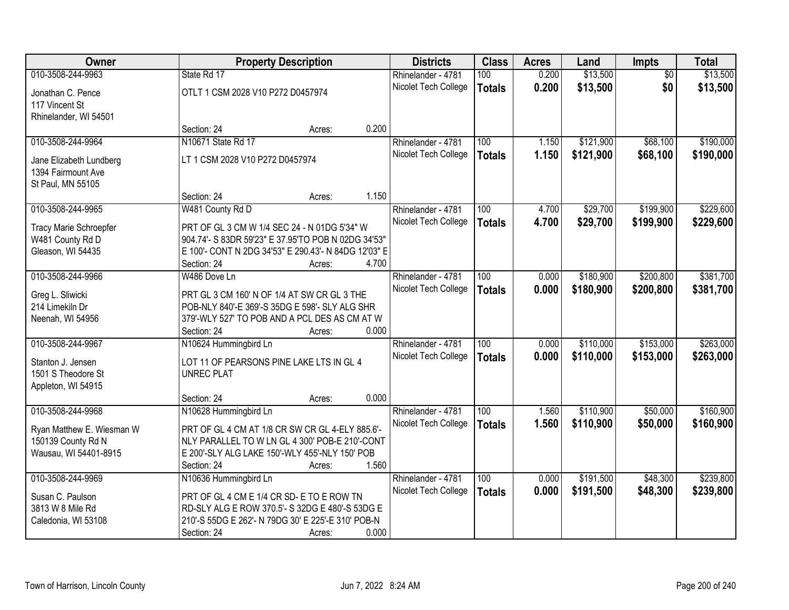| Owner                                       | <b>Property Description</b>                                                                      |        |       | <b>Districts</b>     | <b>Class</b>     | <b>Acres</b> | Land      | <b>Impts</b>    | <b>Total</b> |
|---------------------------------------------|--------------------------------------------------------------------------------------------------|--------|-------|----------------------|------------------|--------------|-----------|-----------------|--------------|
| 010-3508-244-9963                           | State Rd 17                                                                                      |        |       | Rhinelander - 4781   | 100              | 0.200        | \$13,500  | $\overline{50}$ | \$13,500     |
| Jonathan C. Pence                           | OTLT 1 CSM 2028 V10 P272 D0457974                                                                |        |       | Nicolet Tech College | <b>Totals</b>    | 0.200        | \$13,500  | \$0             | \$13,500     |
| 117 Vincent St                              |                                                                                                  |        |       |                      |                  |              |           |                 |              |
| Rhinelander, WI 54501                       |                                                                                                  |        |       |                      |                  |              |           |                 |              |
|                                             | Section: 24                                                                                      | Acres: | 0.200 |                      |                  |              |           |                 |              |
| 010-3508-244-9964                           | N10671 State Rd 17                                                                               |        |       | Rhinelander - 4781   | 100              | 1.150        | \$121,900 | \$68,100        | \$190,000    |
| Jane Elizabeth Lundberg                     | LT 1 CSM 2028 V10 P272 D0457974                                                                  |        |       | Nicolet Tech College | <b>Totals</b>    | 1.150        | \$121,900 | \$68,100        | \$190,000    |
| 1394 Fairmount Ave                          |                                                                                                  |        |       |                      |                  |              |           |                 |              |
| St Paul, MN 55105                           |                                                                                                  |        |       |                      |                  |              |           |                 |              |
|                                             | Section: 24                                                                                      | Acres: | 1.150 |                      |                  |              |           |                 |              |
| 010-3508-244-9965                           | W481 County Rd D                                                                                 |        |       | Rhinelander - 4781   | 100              | 4.700        | \$29,700  | \$199,900       | \$229,600    |
| <b>Tracy Marie Schroepfer</b>               | PRT OF GL 3 CM W 1/4 SEC 24 - N 01DG 5'34" W                                                     |        |       | Nicolet Tech College | <b>Totals</b>    | 4.700        | \$29,700  | \$199,900       | \$229,600    |
| W481 County Rd D                            | 904.74'- S 83DR 59'23" E 37.95'TO POB N 02DG 34'53"                                              |        |       |                      |                  |              |           |                 |              |
| Gleason, WI 54435                           | E 100'- CONT N 2DG 34'53" E 290.43'- N 84DG 12'03" E                                             |        |       |                      |                  |              |           |                 |              |
|                                             | Section: 24                                                                                      | Acres: | 4.700 |                      |                  |              |           |                 |              |
| 010-3508-244-9966                           | W486 Dove Ln                                                                                     |        |       | Rhinelander - 4781   | 100              | 0.000        | \$180,900 | \$200,800       | \$381,700    |
|                                             | PRT GL 3 CM 160' N OF 1/4 AT SW CR GL 3 THE                                                      |        |       | Nicolet Tech College | <b>Totals</b>    | 0.000        | \$180,900 | \$200,800       | \$381,700    |
| Greg L. Sliwicki<br>214 Limekiln Dr         | POB-NLY 840'-E 369'-S 35DG E 598'- SLY ALG SHR                                                   |        |       |                      |                  |              |           |                 |              |
| Neenah, WI 54956                            | 379'-WLY 527' TO POB AND A PCL DES AS CM AT W                                                    |        |       |                      |                  |              |           |                 |              |
|                                             | Section: 24                                                                                      | Acres: | 0.000 |                      |                  |              |           |                 |              |
| 010-3508-244-9967                           | N10624 Hummingbird Ln                                                                            |        |       | Rhinelander - 4781   | $\overline{100}$ | 0.000        | \$110,000 | \$153,000       | \$263,000    |
|                                             |                                                                                                  |        |       | Nicolet Tech College | <b>Totals</b>    | 0.000        | \$110,000 | \$153,000       | \$263,000    |
| Stanton J. Jensen<br>1501 S Theodore St     | LOT 11 OF PEARSONS PINE LAKE LTS IN GL 4<br><b>UNREC PLAT</b>                                    |        |       |                      |                  |              |           |                 |              |
| Appleton, WI 54915                          |                                                                                                  |        |       |                      |                  |              |           |                 |              |
|                                             | Section: 24                                                                                      | Acres: | 0.000 |                      |                  |              |           |                 |              |
| 010-3508-244-9968                           | N10628 Hummingbird Ln                                                                            |        |       | Rhinelander - 4781   | 100              | 1.560        | \$110,900 | \$50,000        | \$160,900    |
|                                             |                                                                                                  |        |       | Nicolet Tech College | <b>Totals</b>    | 1.560        | \$110,900 | \$50,000        | \$160,900    |
| Ryan Matthew E. Wiesman W                   | PRT OF GL 4 CM AT 1/8 CR SW CR GL 4-ELY 885.6'-                                                  |        |       |                      |                  |              |           |                 |              |
| 150139 County Rd N<br>Wausau, WI 54401-8915 | NLY PARALLEL TO W LN GL 4 300' POB-E 210'-CONT<br>E 200'-SLY ALG LAKE 150'-WLY 455'-NLY 150' POB |        |       |                      |                  |              |           |                 |              |
|                                             | Section: 24                                                                                      | Acres: | 1.560 |                      |                  |              |           |                 |              |
| 010-3508-244-9969                           | N10636 Hummingbird Ln                                                                            |        |       | Rhinelander - 4781   | 100              | 0.000        | \$191,500 | \$48,300        | \$239,800    |
|                                             |                                                                                                  |        |       | Nicolet Tech College | <b>Totals</b>    | 0.000        | \$191,500 | \$48,300        | \$239,800    |
| Susan C. Paulson                            | PRT OF GL 4 CM E 1/4 CR SD- E TO E ROW TN                                                        |        |       |                      |                  |              |           |                 |              |
| 3813 W 8 Mile Rd                            | RD-SLY ALG E ROW 370.5'- S 32DG E 480'-S 53DG E                                                  |        |       |                      |                  |              |           |                 |              |
| Caledonia, WI 53108                         | 210'-S 55DG E 262'- N 79DG 30' E 225'-E 310' POB-N                                               |        |       |                      |                  |              |           |                 |              |
|                                             | Section: 24                                                                                      | Acres: | 0.000 |                      |                  |              |           |                 |              |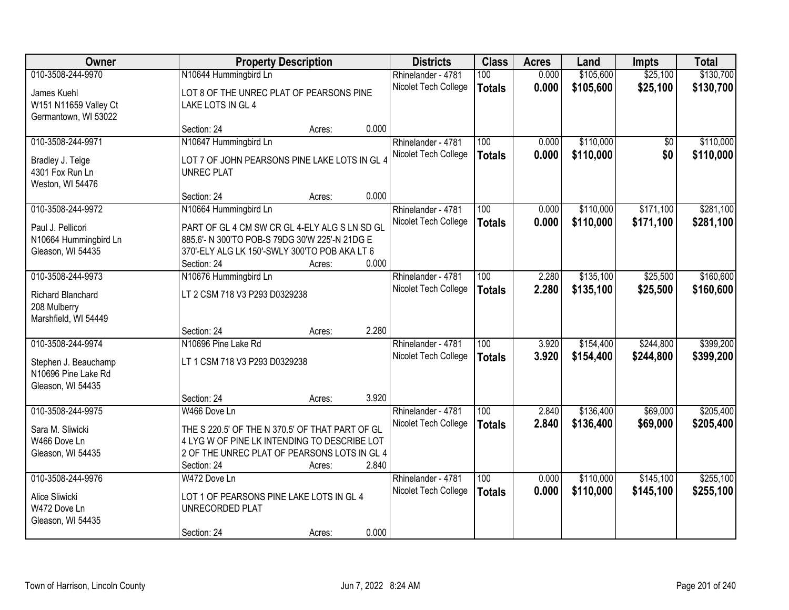| Owner                 |                                                 | <b>Property Description</b> |       | <b>Districts</b>     | <b>Class</b>     | <b>Acres</b> | Land      | <b>Impts</b> | <b>Total</b> |
|-----------------------|-------------------------------------------------|-----------------------------|-------|----------------------|------------------|--------------|-----------|--------------|--------------|
| 010-3508-244-9970     | N10644 Hummingbird Ln                           |                             |       | Rhinelander - 4781   | 100              | 0.000        | \$105,600 | \$25,100     | \$130,700    |
| James Kuehl           | LOT 8 OF THE UNREC PLAT OF PEARSONS PINE        |                             |       | Nicolet Tech College | <b>Totals</b>    | 0.000        | \$105,600 | \$25,100     | \$130,700    |
| W151 N11659 Valley Ct | LAKE LOTS IN GL 4                               |                             |       |                      |                  |              |           |              |              |
| Germantown, WI 53022  |                                                 |                             |       |                      |                  |              |           |              |              |
|                       | Section: 24                                     | Acres:                      | 0.000 |                      |                  |              |           |              |              |
| 010-3508-244-9971     | N10647 Hummingbird Ln                           |                             |       | Rhinelander - 4781   | 100              | 0.000        | \$110,000 | \$0          | \$110,000    |
| Bradley J. Teige      | LOT 7 OF JOHN PEARSONS PINE LAKE LOTS IN GL 4   |                             |       | Nicolet Tech College | <b>Totals</b>    | 0.000        | \$110,000 | \$0          | \$110,000    |
| 4301 Fox Run Ln       | <b>UNREC PLAT</b>                               |                             |       |                      |                  |              |           |              |              |
| Weston, WI 54476      |                                                 |                             |       |                      |                  |              |           |              |              |
|                       | Section: 24                                     | Acres:                      | 0.000 |                      |                  |              |           |              |              |
| 010-3508-244-9972     | N10664 Hummingbird Ln                           |                             |       | Rhinelander - 4781   | 100              | 0.000        | \$110,000 | \$171,100    | \$281,100    |
| Paul J. Pellicori     | PART OF GL 4 CM SW CR GL 4-ELY ALG S LN SD GL   |                             |       | Nicolet Tech College | <b>Totals</b>    | 0.000        | \$110,000 | \$171,100    | \$281,100    |
| N10664 Hummingbird Ln | 885.6'- N 300'TO POB-S 79DG 30'W 225'-N 21DG E  |                             |       |                      |                  |              |           |              |              |
| Gleason, WI 54435     | 370'-ELY ALG LK 150'-SWLY 300'TO POB AKA LT 6   |                             |       |                      |                  |              |           |              |              |
|                       | Section: 24                                     | Acres:                      | 0.000 |                      |                  |              |           |              |              |
| 010-3508-244-9973     | N10676 Hummingbird Ln                           |                             |       | Rhinelander - 4781   | 100              | 2.280        | \$135,100 | \$25,500     | \$160,600    |
| Richard Blanchard     | LT 2 CSM 718 V3 P293 D0329238                   |                             |       | Nicolet Tech College | <b>Totals</b>    | 2.280        | \$135,100 | \$25,500     | \$160,600    |
| 208 Mulberry          |                                                 |                             |       |                      |                  |              |           |              |              |
| Marshfield, WI 54449  |                                                 |                             |       |                      |                  |              |           |              |              |
|                       | Section: 24                                     | Acres:                      | 2.280 |                      |                  |              |           |              |              |
| 010-3508-244-9974     | N10696 Pine Lake Rd                             |                             |       | Rhinelander - 4781   | $\overline{100}$ | 3.920        | \$154,400 | \$244,800    | \$399,200    |
| Stephen J. Beauchamp  | LT 1 CSM 718 V3 P293 D0329238                   |                             |       | Nicolet Tech College | <b>Totals</b>    | 3.920        | \$154,400 | \$244,800    | \$399,200    |
| N10696 Pine Lake Rd   |                                                 |                             |       |                      |                  |              |           |              |              |
| Gleason, WI 54435     |                                                 |                             |       |                      |                  |              |           |              |              |
|                       | Section: 24                                     | Acres:                      | 3.920 |                      |                  |              |           |              |              |
| 010-3508-244-9975     | W466 Dove Ln                                    |                             |       | Rhinelander - 4781   | 100              | 2.840        | \$136,400 | \$69,000     | \$205,400    |
| Sara M. Sliwicki      | THE S 220.5' OF THE N 370.5' OF THAT PART OF GL |                             |       | Nicolet Tech College | <b>Totals</b>    | 2.840        | \$136,400 | \$69,000     | \$205,400    |
| W466 Dove Ln          | 4 LYG W OF PINE LK INTENDING TO DESCRIBE LOT    |                             |       |                      |                  |              |           |              |              |
| Gleason, WI 54435     | 2 OF THE UNREC PLAT OF PEARSONS LOTS IN GL 4    |                             |       |                      |                  |              |           |              |              |
|                       | Section: 24                                     | Acres:                      | 2.840 |                      |                  |              |           |              |              |
| 010-3508-244-9976     | W472 Dove Ln                                    |                             |       | Rhinelander - 4781   | 100              | 0.000        | \$110,000 | \$145,100    | \$255,100    |
| Alice Sliwicki        | LOT 1 OF PEARSONS PINE LAKE LOTS IN GL 4        |                             |       | Nicolet Tech College | <b>Totals</b>    | 0.000        | \$110,000 | \$145,100    | \$255,100    |
| W472 Dove Ln          | UNRECORDED PLAT                                 |                             |       |                      |                  |              |           |              |              |
| Gleason, WI 54435     |                                                 |                             |       |                      |                  |              |           |              |              |
|                       | Section: 24                                     | Acres:                      | 0.000 |                      |                  |              |           |              |              |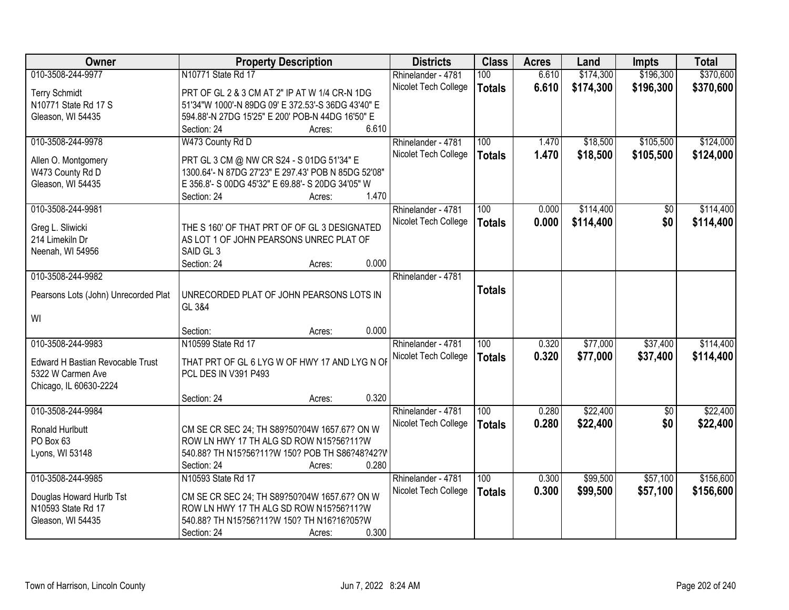| Owner                                | <b>Property Description</b>                                                                              | <b>Districts</b>     | <b>Class</b>     | <b>Acres</b> | Land      | Impts           | <b>Total</b> |
|--------------------------------------|----------------------------------------------------------------------------------------------------------|----------------------|------------------|--------------|-----------|-----------------|--------------|
| 010-3508-244-9977                    | N10771 State Rd 17                                                                                       | Rhinelander - 4781   | 100              | 6.610        | \$174,300 | \$196,300       | \$370,600    |
| <b>Terry Schmidt</b>                 | PRT OF GL 2 & 3 CM AT 2" IP AT W 1/4 CR-N 1DG                                                            | Nicolet Tech College | <b>Totals</b>    | 6.610        | \$174,300 | \$196,300       | \$370,600    |
| N10771 State Rd 17 S                 | 51'34"W 1000'-N 89DG 09' E 372.53'-S 36DG 43'40" E                                                       |                      |                  |              |           |                 |              |
| Gleason, WI 54435                    | 594.88'-N 27DG 15'25" E 200' POB-N 44DG 16'50" E                                                         |                      |                  |              |           |                 |              |
|                                      | 6.610<br>Section: 24<br>Acres:                                                                           |                      |                  |              |           |                 |              |
| 010-3508-244-9978                    | W473 County Rd D                                                                                         | Rhinelander - 4781   | 100              | 1.470        | \$18,500  | \$105,500       | \$124,000    |
|                                      |                                                                                                          | Nicolet Tech College | <b>Totals</b>    | 1.470        | \$18,500  | \$105,500       | \$124,000    |
| Allen O. Montgomery                  | PRT GL 3 CM @ NW CR S24 - S 01DG 51'34" E                                                                |                      |                  |              |           |                 |              |
| W473 County Rd D                     | 1300.64'- N 87DG 27'23" E 297.43' POB N 85DG 52'08"<br>E 356.8'- S 00DG 45'32" E 69.88'- S 20DG 34'05" W |                      |                  |              |           |                 |              |
| Gleason, WI 54435                    | 1.470<br>Section: 24                                                                                     |                      |                  |              |           |                 |              |
| 010-3508-244-9981                    | Acres:                                                                                                   | Rhinelander - 4781   | 100              | 0.000        | \$114,400 | \$0             | \$114,400    |
|                                      |                                                                                                          | Nicolet Tech College |                  | 0.000        |           | \$0             |              |
| Greg L. Sliwicki                     | THE S 160' OF THAT PRT OF OF GL 3 DESIGNATED                                                             |                      | <b>Totals</b>    |              | \$114,400 |                 | \$114,400    |
| 214 Limekiln Dr                      | AS LOT 1 OF JOHN PEARSONS UNREC PLAT OF                                                                  |                      |                  |              |           |                 |              |
| Neenah, WI 54956                     | SAID GL 3                                                                                                |                      |                  |              |           |                 |              |
|                                      | 0.000<br>Section: 24<br>Acres:                                                                           |                      |                  |              |           |                 |              |
| 010-3508-244-9982                    |                                                                                                          | Rhinelander - 4781   |                  |              |           |                 |              |
| Pearsons Lots (John) Unrecorded Plat | UNRECORDED PLAT OF JOHN PEARSONS LOTS IN                                                                 |                      | <b>Totals</b>    |              |           |                 |              |
|                                      | GL 3&4                                                                                                   |                      |                  |              |           |                 |              |
| WI                                   |                                                                                                          |                      |                  |              |           |                 |              |
|                                      | 0.000<br>Section:<br>Acres:                                                                              |                      |                  |              |           |                 |              |
| 010-3508-244-9983                    | N10599 State Rd 17                                                                                       | Rhinelander - 4781   | $\overline{100}$ | 0.320        | \$77,000  | \$37,400        | \$114,400    |
|                                      |                                                                                                          | Nicolet Tech College | <b>Totals</b>    | 0.320        | \$77,000  | \$37,400        | \$114,400    |
| Edward H Bastian Revocable Trust     | THAT PRT OF GL 6 LYG W OF HWY 17 AND LYG N OF                                                            |                      |                  |              |           |                 |              |
| 5322 W Carmen Ave                    | PCL DES IN V391 P493                                                                                     |                      |                  |              |           |                 |              |
| Chicago, IL 60630-2224               |                                                                                                          |                      |                  |              |           |                 |              |
|                                      | 0.320<br>Section: 24<br>Acres:                                                                           |                      |                  |              |           |                 |              |
| 010-3508-244-9984                    |                                                                                                          | Rhinelander - 4781   | $\overline{100}$ | 0.280        | \$22,400  | $\overline{50}$ | \$22,400     |
| Ronald Hurlbutt                      | CM SE CR SEC 24; TH S89?50?04W 1657.67? ON W                                                             | Nicolet Tech College | <b>Totals</b>    | 0.280        | \$22,400  | \$0             | \$22,400     |
| PO Box 63                            | ROW LN HWY 17 TH ALG SD ROW N15?56?11?W                                                                  |                      |                  |              |           |                 |              |
| Lyons, WI 53148                      | 540.88? TH N15?56?11?W 150? POB TH S86?48?42?V                                                           |                      |                  |              |           |                 |              |
|                                      | 0.280<br>Section: 24<br>Acres:                                                                           |                      |                  |              |           |                 |              |
| 010-3508-244-9985                    | N10593 State Rd 17                                                                                       | Rhinelander - 4781   | 100              | 0.300        | \$99,500  | \$57,100        | \$156,600    |
| Douglas Howard Hurlb Tst             | CM SE CR SEC 24; TH S89?50?04W 1657.67? ON W                                                             | Nicolet Tech College | <b>Totals</b>    | 0.300        | \$99,500  | \$57,100        | \$156,600    |
| N10593 State Rd 17                   | ROW LN HWY 17 TH ALG SD ROW N15?56?11?W                                                                  |                      |                  |              |           |                 |              |
| Gleason, WI 54435                    | 540.88? TH N15?56?11?W 150? TH N16?16?05?W                                                               |                      |                  |              |           |                 |              |
|                                      | 0.300<br>Section: 24<br>Acres:                                                                           |                      |                  |              |           |                 |              |
|                                      |                                                                                                          |                      |                  |              |           |                 |              |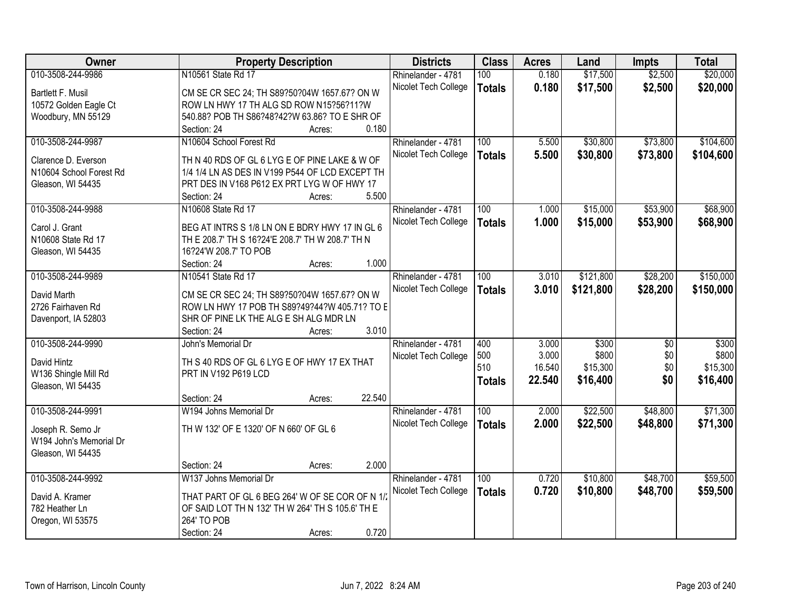| Owner                   | <b>Property Description</b>                      | <b>Districts</b>     | <b>Class</b>  | <b>Acres</b> | Land      | <b>Impts</b>    | <b>Total</b> |
|-------------------------|--------------------------------------------------|----------------------|---------------|--------------|-----------|-----------------|--------------|
| 010-3508-244-9986       | N10561 State Rd 17                               | Rhinelander - 4781   | 100           | 0.180        | \$17,500  | \$2,500         | \$20,000     |
| Bartlett F. Musil       | CM SE CR SEC 24; TH S89?50?04W 1657.67? ON W     | Nicolet Tech College | <b>Totals</b> | 0.180        | \$17,500  | \$2,500         | \$20,000     |
| 10572 Golden Eagle Ct   | ROW LN HWY 17 TH ALG SD ROW N15?56?11?W          |                      |               |              |           |                 |              |
| Woodbury, MN 55129      | 540.88? POB TH S86?48?42?W 63.86? TO E SHR OF    |                      |               |              |           |                 |              |
|                         | 0.180<br>Section: 24<br>Acres:                   |                      |               |              |           |                 |              |
| 010-3508-244-9987       | N10604 School Forest Rd                          | Rhinelander - 4781   | 100           | 5.500        | \$30,800  | \$73,800        | \$104,600    |
|                         |                                                  | Nicolet Tech College |               | 5.500        |           |                 |              |
| Clarence D. Everson     | TH N 40 RDS OF GL 6 LYG E OF PINE LAKE & W OF    |                      | <b>Totals</b> |              | \$30,800  | \$73,800        | \$104,600    |
| N10604 School Forest Rd | 1/4 1/4 LN AS DES IN V199 P544 OF LCD EXCEPT TH  |                      |               |              |           |                 |              |
| Gleason, WI 54435       | PRT DES IN V168 P612 EX PRT LYG W OF HWY 17      |                      |               |              |           |                 |              |
|                         | 5.500<br>Section: 24<br>Acres:                   |                      |               |              |           |                 |              |
| 010-3508-244-9988       | N10608 State Rd 17                               | Rhinelander - 4781   | 100           | 1.000        | \$15,000  | \$53,900        | \$68,900     |
|                         |                                                  | Nicolet Tech College | <b>Totals</b> | 1.000        | \$15,000  | \$53,900        | \$68,900     |
| Carol J. Grant          | BEG AT INTRS S 1/8 LN ON E BDRY HWY 17 IN GL 6   |                      |               |              |           |                 |              |
| N10608 State Rd 17      | TH E 208.7' TH S 16?24'E 208.7' TH W 208.7' TH N |                      |               |              |           |                 |              |
| Gleason, WI 54435       | 16?24'W 208.7' TO POB                            |                      |               |              |           |                 |              |
|                         | 1.000<br>Section: 24<br>Acres:                   |                      |               |              |           |                 |              |
| 010-3508-244-9989       | N10541 State Rd 17                               | Rhinelander - 4781   | 100           | 3.010        | \$121,800 | \$28,200        | \$150,000    |
| David Marth             | CM SE CR SEC 24; TH S89?50?04W 1657.67? ON W     | Nicolet Tech College | <b>Totals</b> | 3.010        | \$121,800 | \$28,200        | \$150,000    |
| 2726 Fairhaven Rd       | ROW LN HWY 17 POB TH S89?49?44?W 405.71? TO E    |                      |               |              |           |                 |              |
| Davenport, IA 52803     | SHR OF PINE LK THE ALG E SH ALG MDR LN           |                      |               |              |           |                 |              |
|                         | 3.010<br>Section: 24<br>Acres:                   |                      |               |              |           |                 |              |
| 010-3508-244-9990       | John's Memorial Dr                               | Rhinelander - 4781   | 400           | 3.000        | \$300     | $\overline{50}$ | \$300        |
|                         |                                                  | Nicolet Tech College | 500           | 3.000        | \$800     | \$0             | \$800        |
| David Hintz             | TH S 40 RDS OF GL 6 LYG E OF HWY 17 EX THAT      |                      | 510           | 16.540       | \$15,300  | \$0             | \$15,300     |
| W136 Shingle Mill Rd    | PRT IN V192 P619 LCD                             |                      | <b>Totals</b> | 22.540       | \$16,400  | \$0             | \$16,400     |
| Gleason, WI 54435       |                                                  |                      |               |              |           |                 |              |
|                         | 22.540<br>Section: 24<br>Acres:                  |                      |               |              |           |                 |              |
| 010-3508-244-9991       | W194 Johns Memorial Dr                           | Rhinelander - 4781   | 100           | 2.000        | \$22,500  | \$48,800        | \$71,300     |
| Joseph R. Semo Jr       | TH W 132' OF E 1320' OF N 660' OF GL 6           | Nicolet Tech College | <b>Totals</b> | 2.000        | \$22,500  | \$48,800        | \$71,300     |
| W194 John's Memorial Dr |                                                  |                      |               |              |           |                 |              |
| Gleason, WI 54435       |                                                  |                      |               |              |           |                 |              |
|                         | 2.000<br>Section: 24<br>Acres:                   |                      |               |              |           |                 |              |
| 010-3508-244-9992       | W137 Johns Memorial Dr                           | Rhinelander - 4781   | 100           | 0.720        | \$10,800  | \$48,700        | \$59,500     |
|                         |                                                  | Nicolet Tech College | <b>Totals</b> | 0.720        | \$10,800  | \$48,700        | \$59,500     |
| David A. Kramer         | THAT PART OF GL 6 BEG 264' W OF SE COR OF N 1/   |                      |               |              |           |                 |              |
| 782 Heather Ln          | OF SAID LOT TH N 132' TH W 264' TH S 105.6' TH E |                      |               |              |           |                 |              |
| Oregon, WI 53575        | 264' TO POB                                      |                      |               |              |           |                 |              |
|                         | 0.720<br>Section: 24<br>Acres:                   |                      |               |              |           |                 |              |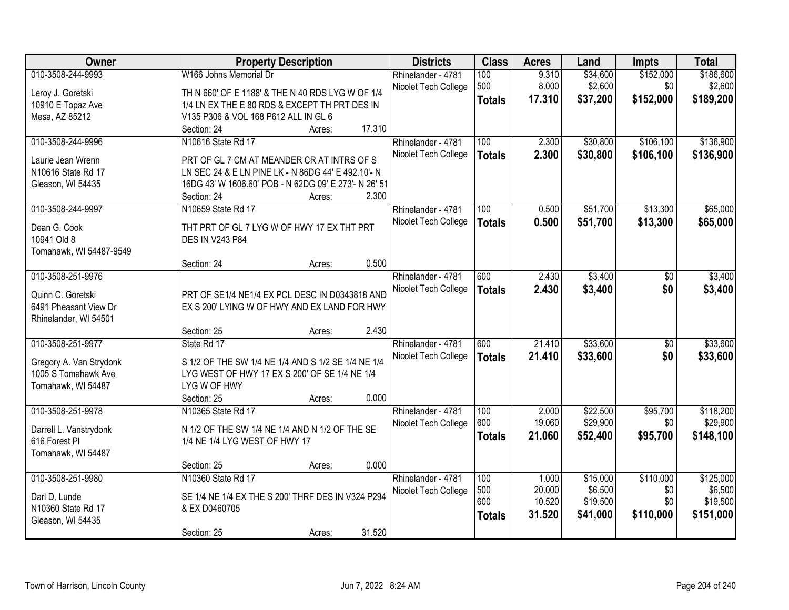| Owner                   | <b>Property Description</b>                           | <b>Districts</b>     | <b>Class</b>  | <b>Acres</b> | Land     | <b>Impts</b>    | <b>Total</b> |
|-------------------------|-------------------------------------------------------|----------------------|---------------|--------------|----------|-----------------|--------------|
| 010-3508-244-9993       | W166 Johns Memorial Dr                                | Rhinelander - 4781   | 100           | 9.310        | \$34,600 | \$152,000       | \$186,600    |
| Leroy J. Goretski       | TH N 660' OF E 1188' & THE N 40 RDS LYG W OF 1/4      | Nicolet Tech College | 500           | 8.000        | \$2,600  | \$0             | \$2,600      |
| 10910 E Topaz Ave       | 1/4 LN EX THE E 80 RDS & EXCEPT TH PRT DES IN         |                      | <b>Totals</b> | 17.310       | \$37,200 | \$152,000       | \$189,200    |
| Mesa, AZ 85212          | V135 P306 & VOL 168 P612 ALL IN GL 6                  |                      |               |              |          |                 |              |
|                         | 17.310<br>Section: 24<br>Acres:                       |                      |               |              |          |                 |              |
| 010-3508-244-9996       | N10616 State Rd 17                                    | Rhinelander - 4781   | 100           | 2.300        | \$30,800 | \$106,100       | \$136,900    |
|                         |                                                       | Nicolet Tech College | <b>Totals</b> | 2.300        | \$30,800 | \$106,100       | \$136,900    |
| Laurie Jean Wrenn       | PRT OF GL 7 CM AT MEANDER CR AT INTRS OF S            |                      |               |              |          |                 |              |
| N10616 State Rd 17      | LN SEC 24 & E LN PINE LK - N 86DG 44' E 492.10'- N    |                      |               |              |          |                 |              |
| Gleason, WI 54435       | 16DG 43' W 1606.60' POB - N 62DG 09' E 273'- N 26' 51 |                      |               |              |          |                 |              |
|                         | 2.300<br>Section: 24<br>Acres:                        |                      |               |              |          |                 |              |
| 010-3508-244-9997       | N10659 State Rd 17                                    | Rhinelander - 4781   | 100           | 0.500        | \$51,700 | \$13,300        | \$65,000     |
| Dean G. Cook            | THT PRT OF GL 7 LYG W OF HWY 17 EX THT PRT            | Nicolet Tech College | <b>Totals</b> | 0.500        | \$51,700 | \$13,300        | \$65,000     |
| 10941 Old 8             | <b>DES IN V243 P84</b>                                |                      |               |              |          |                 |              |
| Tomahawk, WI 54487-9549 |                                                       |                      |               |              |          |                 |              |
|                         | 0.500<br>Section: 24<br>Acres:                        |                      |               |              |          |                 |              |
| 010-3508-251-9976       |                                                       | Rhinelander - 4781   | 600           | 2.430        | \$3,400  | \$0             | \$3,400      |
|                         |                                                       | Nicolet Tech College | <b>Totals</b> | 2.430        | \$3,400  | \$0             | \$3,400      |
| Quinn C. Goretski       | PRT OF SE1/4 NE1/4 EX PCL DESC IN D0343818 AND        |                      |               |              |          |                 |              |
| 6491 Pheasant View Dr   | EX S 200' LYING W OF HWY AND EX LAND FOR HWY          |                      |               |              |          |                 |              |
| Rhinelander, WI 54501   |                                                       |                      |               |              |          |                 |              |
|                         | 2.430<br>Section: 25<br>Acres:                        |                      |               |              |          |                 |              |
| 010-3508-251-9977       | State Rd 17                                           | Rhinelander - 4781   | 600           | 21.410       | \$33,600 | $\overline{50}$ | \$33,600     |
| Gregory A. Van Strydonk | S 1/2 OF THE SW 1/4 NE 1/4 AND S 1/2 SE 1/4 NE 1/4    | Nicolet Tech College | <b>Totals</b> | 21.410       | \$33,600 | \$0             | \$33,600     |
| 1005 S Tomahawk Ave     | LYG WEST OF HWY 17 EX S 200' OF SE 1/4 NE 1/4         |                      |               |              |          |                 |              |
| Tomahawk, WI 54487      | LYG W OF HWY                                          |                      |               |              |          |                 |              |
|                         | 0.000<br>Section: 25<br>Acres:                        |                      |               |              |          |                 |              |
| 010-3508-251-9978       | N10365 State Rd 17                                    | Rhinelander - 4781   | 100           | 2.000        | \$22,500 | \$95,700        | \$118,200    |
|                         |                                                       | Nicolet Tech College | 600           | 19.060       | \$29,900 | \$0             | \$29,900     |
| Darrell L. Vanstrydonk  | N 1/2 OF THE SW 1/4 NE 1/4 AND N 1/2 OF THE SE        |                      | <b>Totals</b> | 21.060       | \$52,400 | \$95,700        | \$148,100    |
| 616 Forest PI           | 1/4 NE 1/4 LYG WEST OF HWY 17                         |                      |               |              |          |                 |              |
| Tomahawk, WI 54487      |                                                       |                      |               |              |          |                 |              |
|                         | 0.000<br>Section: 25<br>Acres:                        |                      |               |              |          |                 |              |
| 010-3508-251-9980       | N10360 State Rd 17                                    | Rhinelander - 4781   | 100           | 1.000        | \$15,000 | \$110,000       | \$125,000    |
| Darl D. Lunde           | SE 1/4 NE 1/4 EX THE S 200' THRF DES IN V324 P294     | Nicolet Tech College | 500<br>600    | 20.000       | \$6,500  | \$0<br>\$0      | \$6,500      |
| N10360 State Rd 17      | & EX D0460705                                         |                      |               | 10.520       | \$19,500 |                 | \$19,500     |
| Gleason, WI 54435       |                                                       |                      | <b>Totals</b> | 31.520       | \$41,000 | \$110,000       | \$151,000    |
|                         | 31.520<br>Section: 25<br>Acres:                       |                      |               |              |          |                 |              |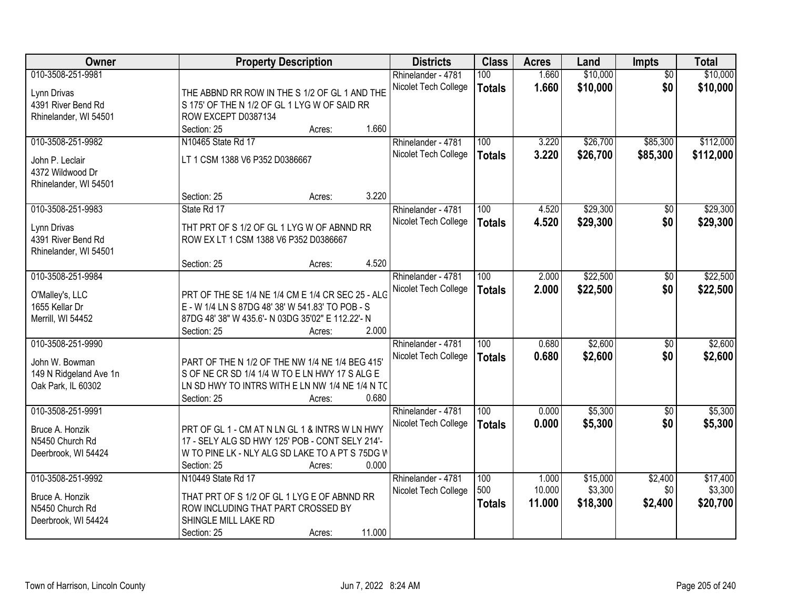| Owner                  | <b>Property Description</b>                       | <b>Districts</b>     | <b>Class</b>  | <b>Acres</b> | Land     | Impts           | <b>Total</b> |
|------------------------|---------------------------------------------------|----------------------|---------------|--------------|----------|-----------------|--------------|
| 010-3508-251-9981      |                                                   | Rhinelander - 4781   | 100           | 1.660        | \$10,000 | $\overline{50}$ | \$10,000     |
| Lynn Drivas            | THE ABBND RR ROW IN THE S 1/2 OF GL 1 AND THE     | Nicolet Tech College | <b>Totals</b> | 1.660        | \$10,000 | \$0             | \$10,000     |
| 4391 River Bend Rd     | S 175' OF THE N 1/2 OF GL 1 LYG W OF SAID RR      |                      |               |              |          |                 |              |
| Rhinelander, WI 54501  | ROW EXCEPT D0387134                               |                      |               |              |          |                 |              |
|                        | Section: 25<br>Acres:                             | 1.660                |               |              |          |                 |              |
| 010-3508-251-9982      | N10465 State Rd 17                                | Rhinelander - 4781   | 100           | 3.220        | \$26,700 | \$85,300        | \$112,000    |
| John P. Leclair        | LT 1 CSM 1388 V6 P352 D0386667                    | Nicolet Tech College | <b>Totals</b> | 3.220        | \$26,700 | \$85,300        | \$112,000    |
| 4372 Wildwood Dr       |                                                   |                      |               |              |          |                 |              |
| Rhinelander, WI 54501  |                                                   |                      |               |              |          |                 |              |
|                        | Section: 25<br>Acres:                             | 3.220                |               |              |          |                 |              |
| 010-3508-251-9983      | State Rd 17                                       | Rhinelander - 4781   | 100           | 4.520        | \$29,300 | \$0             | \$29,300     |
|                        |                                                   | Nicolet Tech College | <b>Totals</b> | 4.520        | \$29,300 | \$0             | \$29,300     |
| Lynn Drivas            | THT PRT OF S 1/2 OF GL 1 LYG W OF ABNND RR        |                      |               |              |          |                 |              |
| 4391 River Bend Rd     | ROW EX LT 1 CSM 1388 V6 P352 D0386667             |                      |               |              |          |                 |              |
| Rhinelander, WI 54501  | Section: 25<br>Acres:                             | 4.520                |               |              |          |                 |              |
| 010-3508-251-9984      |                                                   | Rhinelander - 4781   | 100           | 2.000        | \$22,500 | \$0             | \$22,500     |
|                        |                                                   | Nicolet Tech College | <b>Totals</b> | 2.000        | \$22,500 | \$0             | \$22,500     |
| O'Malley's, LLC        | PRT OF THE SE 1/4 NE 1/4 CM E 1/4 CR SEC 25 - ALG |                      |               |              |          |                 |              |
| 1655 Kellar Dr         | E - W 1/4 LN S 87DG 48' 38' W 541.83' TO POB - S  |                      |               |              |          |                 |              |
| Merrill, WI 54452      | 87DG 48' 38" W 435.6'- N 03DG 35'02" E 112.22'- N |                      |               |              |          |                 |              |
|                        | Section: 25<br>Acres:                             | 2.000                |               |              |          |                 |              |
| 010-3508-251-9990      |                                                   | Rhinelander - 4781   | 100           | 0.680        | \$2,600  | $\overline{50}$ | \$2,600      |
| John W. Bowman         | PART OF THE N 1/2 OF THE NW 1/4 NE 1/4 BEG 415'   | Nicolet Tech College | <b>Totals</b> | 0.680        | \$2,600  | \$0             | \$2,600      |
| 149 N Ridgeland Ave 1n | S OF NE CR SD 1/4 1/4 W TO E LN HWY 17 S ALG E    |                      |               |              |          |                 |              |
| Oak Park, IL 60302     | LN SD HWY TO INTRS WITH E LN NW 1/4 NE 1/4 N TC   |                      |               |              |          |                 |              |
|                        | Section: 25<br>Acres:                             | 0.680                |               |              |          |                 |              |
| 010-3508-251-9991      |                                                   | Rhinelander - 4781   | 100           | 0.000        | \$5,300  | $\sqrt{6}$      | \$5,300      |
| Bruce A. Honzik        | PRT OF GL 1 - CM AT N LN GL 1 & INTRS W LN HWY    | Nicolet Tech College | <b>Totals</b> | 0.000        | \$5,300  | \$0             | \$5,300      |
| N5450 Church Rd        | 17 - SELY ALG SD HWY 125' POB - CONT SELY 214'-   |                      |               |              |          |                 |              |
| Deerbrook, WI 54424    | W TO PINE LK - NLY ALG SD LAKE TO A PT S 75DG W   |                      |               |              |          |                 |              |
|                        | Section: 25<br>Acres:                             | 0.000                |               |              |          |                 |              |
| 010-3508-251-9992      | N10449 State Rd 17                                | Rhinelander - 4781   | 100           | 1.000        | \$15,000 | \$2,400         | \$17,400     |
| Bruce A. Honzik        | THAT PRT OF S 1/2 OF GL 1 LYG E OF ABNND RR       | Nicolet Tech College | 500           | 10.000       | \$3,300  | \$0             | \$3,300      |
| N5450 Church Rd        | ROW INCLUDING THAT PART CROSSED BY                |                      | <b>Totals</b> | 11.000       | \$18,300 | \$2,400         | \$20,700     |
| Deerbrook, WI 54424    | SHINGLE MILL LAKE RD                              |                      |               |              |          |                 |              |
|                        | Section: 25<br>Acres:                             | 11.000               |               |              |          |                 |              |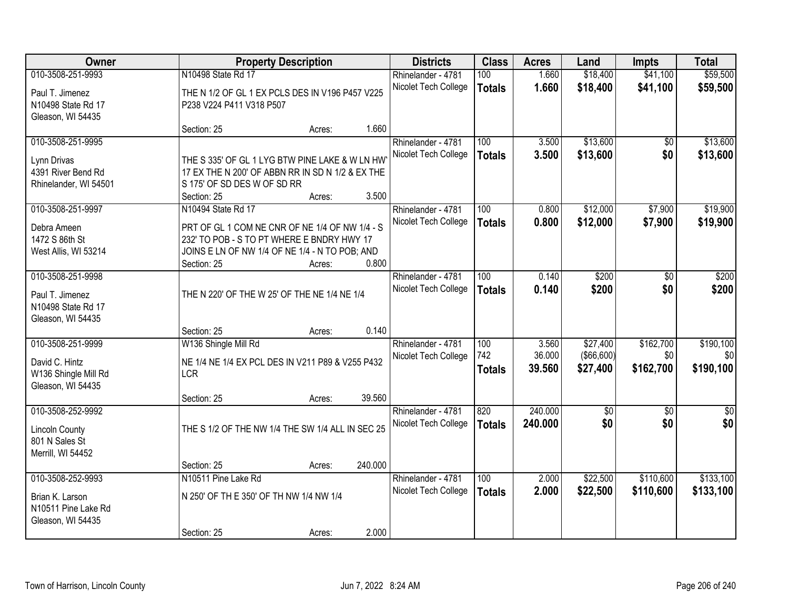| Owner                                                                             |                                                                                                                                                                                     | <b>Property Description</b> |                  | <b>Districts</b>                           | <b>Class</b>                | <b>Acres</b>              | Land                                | <b>Impts</b>                  | <b>Total</b>                  |
|-----------------------------------------------------------------------------------|-------------------------------------------------------------------------------------------------------------------------------------------------------------------------------------|-----------------------------|------------------|--------------------------------------------|-----------------------------|---------------------------|-------------------------------------|-------------------------------|-------------------------------|
| 010-3508-251-9993<br>Paul T. Jimenez<br>N10498 State Rd 17                        | N10498 State Rd 17<br>THE N 1/2 OF GL 1 EX PCLS DES IN V196 P457 V225<br>P238 V224 P411 V318 P507                                                                                   |                             |                  | Rhinelander - 4781<br>Nicolet Tech College | 100<br><b>Totals</b>        | 1.660<br>1.660            | \$18,400<br>\$18,400                | \$41,100<br>\$41,100          | \$59,500<br>\$59,500          |
| Gleason, WI 54435                                                                 | Section: 25                                                                                                                                                                         | Acres:                      | 1.660            |                                            |                             |                           |                                     |                               |                               |
| 010-3508-251-9995<br>Lynn Drivas<br>4391 River Bend Rd<br>Rhinelander, WI 54501   | THE S 335' OF GL 1 LYG BTW PINE LAKE & W LN HW<br>17 EX THE N 200' OF ABBN RR IN SD N 1/2 & EX THE<br>S 175' OF SD DES W OF SD RR<br>Section: 25                                    | Acres:                      | 3.500            | Rhinelander - 4781<br>Nicolet Tech College | 100<br><b>Totals</b>        | 3.500<br>3.500            | \$13,600<br>\$13,600                | \$0<br>\$0                    | \$13,600<br>\$13,600          |
| 010-3508-251-9997<br>Debra Ameen<br>1472 S 86th St<br>West Allis, WI 53214        | N10494 State Rd 17<br>PRT OF GL 1 COM NE CNR OF NE 1/4 OF NW 1/4 - S<br>232' TO POB - S TO PT WHERE E BNDRY HWY 17<br>JOINS E LN OF NW 1/4 OF NE 1/4 - N TO POB; AND<br>Section: 25 | Acres:                      | 0.800            | Rhinelander - 4781<br>Nicolet Tech College | 100<br><b>Totals</b>        | 0.800<br>0.800            | \$12,000<br>\$12,000                | \$7,900<br>\$7,900            | \$19,900<br>\$19,900          |
| 010-3508-251-9998<br>Paul T. Jimenez<br>N10498 State Rd 17<br>Gleason, WI 54435   | THE N 220' OF THE W 25' OF THE NE 1/4 NE 1/4<br>Section: 25                                                                                                                         | Acres:                      | 0.140            | Rhinelander - 4781<br>Nicolet Tech College | 100<br><b>Totals</b>        | 0.140<br>0.140            | \$200<br>\$200                      | \$0<br>\$0                    | \$200<br>\$200                |
| 010-3508-251-9999<br>David C. Hintz<br>W136 Shingle Mill Rd<br>Gleason, WI 54435  | W136 Shingle Mill Rd<br>NE 1/4 NE 1/4 EX PCL DES IN V211 P89 & V255 P432<br><b>LCR</b><br>Section: 25                                                                               | Acres:                      | 39.560           | Rhinelander - 4781<br>Nicolet Tech College | 100<br>742<br><b>Totals</b> | 3.560<br>36.000<br>39.560 | \$27,400<br>( \$66,600)<br>\$27,400 | \$162,700<br>\$0<br>\$162,700 | \$190,100<br>\$0<br>\$190,100 |
| 010-3508-252-9992<br><b>Lincoln County</b><br>801 N Sales St<br>Merrill, WI 54452 | THE S 1/2 OF THE NW 1/4 THE SW 1/4 ALL IN SEC 25                                                                                                                                    |                             |                  | Rhinelander - 4781<br>Nicolet Tech College | 820<br><b>Totals</b>        | 240.000<br>240.000        | $\sqrt{50}$<br>\$0                  | $\overline{50}$<br>\$0        | $\overline{50}$<br>\$0        |
| 010-3508-252-9993<br>Brian K. Larson<br>N10511 Pine Lake Rd<br>Gleason, WI 54435  | Section: 25<br>N10511 Pine Lake Rd<br>N 250' OF TH E 350' OF TH NW 1/4 NW 1/4<br>Section: 25                                                                                        | Acres:<br>Acres:            | 240.000<br>2.000 | Rhinelander - 4781<br>Nicolet Tech College | 100<br><b>Totals</b>        | 2.000<br>2.000            | \$22,500<br>\$22,500                | \$110,600<br>\$110,600        | \$133,100<br>\$133,100        |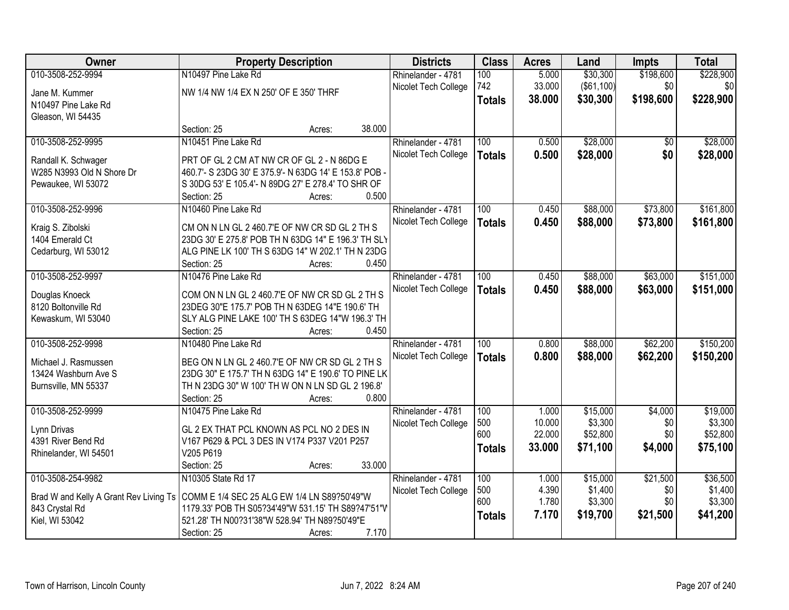| Owner                                        | <b>Property Description</b>                                                                           | <b>Districts</b>     | <b>Class</b>  | <b>Acres</b> | Land              | <b>Impts</b> | <b>Total</b> |
|----------------------------------------------|-------------------------------------------------------------------------------------------------------|----------------------|---------------|--------------|-------------------|--------------|--------------|
| 010-3508-252-9994                            | N10497 Pine Lake Rd                                                                                   | Rhinelander - 4781   | 100           | 5.000        | \$30,300          | \$198,600    | \$228,900    |
| Jane M. Kummer                               | NW 1/4 NW 1/4 EX N 250' OF E 350' THRF                                                                | Nicolet Tech College | 742           | 33.000       | $($ \$61,100) $ $ | \$0          | \$0          |
| N10497 Pine Lake Rd                          |                                                                                                       |                      | <b>Totals</b> | 38.000       | \$30,300          | \$198,600    | \$228,900    |
| Gleason, WI 54435                            |                                                                                                       |                      |               |              |                   |              |              |
|                                              | 38.000<br>Section: 25<br>Acres:                                                                       |                      |               |              |                   |              |              |
| 010-3508-252-9995                            | N10451 Pine Lake Rd                                                                                   | Rhinelander - 4781   | 100           | 0.500        | \$28,000          | \$0          | \$28,000     |
| Randall K. Schwager                          | PRT OF GL 2 CM AT NW CR OF GL 2 - N 86DG E                                                            | Nicolet Tech College | <b>Totals</b> | 0.500        | \$28,000          | \$0          | \$28,000     |
| W285 N3993 Old N Shore Dr                    | 460.7'- S 23DG 30' E 375.9'- N 63DG 14' E 153.8' POB -                                                |                      |               |              |                   |              |              |
| Pewaukee, WI 53072                           | S 30DG 53' E 105.4'- N 89DG 27' E 278.4' TO SHR OF                                                    |                      |               |              |                   |              |              |
|                                              | 0.500<br>Section: 25<br>Acres:                                                                        |                      |               |              |                   |              |              |
| 010-3508-252-9996                            | N10460 Pine Lake Rd                                                                                   | Rhinelander - 4781   | 100           | 0.450        | \$88,000          | \$73,800     | \$161,800    |
| Kraig S. Zibolski                            | CM ON N LN GL 2 460.7'E OF NW CR SD GL 2 TH S                                                         | Nicolet Tech College | <b>Totals</b> | 0.450        | \$88,000          | \$73,800     | \$161,800    |
| 1404 Emerald Ct                              | 23DG 30' E 275.8' POB TH N 63DG 14" E 196.3' TH SLY                                                   |                      |               |              |                   |              |              |
| Cedarburg, WI 53012                          | ALG PINE LK 100' TH S 63DG 14" W 202.1' TH N 23DG                                                     |                      |               |              |                   |              |              |
|                                              | Section: 25<br>0.450<br>Acres:                                                                        |                      |               |              |                   |              |              |
| 010-3508-252-9997                            | N10476 Pine Lake Rd                                                                                   | Rhinelander - 4781   | 100           | 0.450        | \$88,000          | \$63,000     | \$151,000    |
|                                              | COM ON N LN GL 2 460.7'E OF NW CR SD GL 2 TH S                                                        | Nicolet Tech College | <b>Totals</b> | 0.450        | \$88,000          | \$63,000     | \$151,000    |
| Douglas Knoeck<br>8120 Boltonville Rd        | 23DEG 30"E 175.7' POB TH N 63DEG 14"E 190.6' TH                                                       |                      |               |              |                   |              |              |
| Kewaskum, WI 53040                           | SLY ALG PINE LAKE 100' TH S 63DEG 14"W 196.3' TH                                                      |                      |               |              |                   |              |              |
|                                              | 0.450<br>Section: 25<br>Acres:                                                                        |                      |               |              |                   |              |              |
| 010-3508-252-9998                            | N10480 Pine Lake Rd                                                                                   | Rhinelander - 4781   | 100           | 0.800        | \$88,000          | \$62,200     | \$150,200    |
|                                              |                                                                                                       | Nicolet Tech College | <b>Totals</b> | 0.800        | \$88,000          | \$62,200     | \$150,200    |
| Michael J. Rasmussen<br>13424 Washburn Ave S | BEG ON N LN GL 2 460.7'E OF NW CR SD GL 2 TH S<br>23DG 30" E 175.7' TH N 63DG 14" E 190.6' TO PINE LK |                      |               |              |                   |              |              |
| Burnsville, MN 55337                         | TH N 23DG 30" W 100' TH W ON N LN SD GL 2 196.8'                                                      |                      |               |              |                   |              |              |
|                                              | 0.800<br>Section: 25<br>Acres:                                                                        |                      |               |              |                   |              |              |
| 010-3508-252-9999                            | N10475 Pine Lake Rd                                                                                   | Rhinelander - 4781   | 100           | 1.000        | \$15,000          | \$4,000      | \$19,000     |
|                                              |                                                                                                       | Nicolet Tech College | 500           | 10.000       | \$3,300           | \$0          | \$3,300      |
| Lynn Drivas                                  | GL 2 EX THAT PCL KNOWN AS PCL NO 2 DES IN                                                             |                      | 600           | 22.000       | \$52,800          | \$0          | \$52,800     |
| 4391 River Bend Rd<br>Rhinelander, WI 54501  | V167 P629 & PCL 3 DES IN V174 P337 V201 P257<br>V205 P619                                             |                      | <b>Totals</b> | 33,000       | \$71,100          | \$4,000      | \$75,100     |
|                                              | 33.000<br>Section: 25<br>Acres:                                                                       |                      |               |              |                   |              |              |
| 010-3508-254-9982                            | N10305 State Rd 17                                                                                    | Rhinelander - 4781   | 100           | 1.000        | \$15,000          | \$21,500     | \$36,500     |
|                                              |                                                                                                       | Nicolet Tech College | 500           | 4.390        | \$1,400           | \$0          | \$1,400      |
| Brad W and Kelly A Grant Rev Living Ts       | COMM E 1/4 SEC 25 ALG EW 1/4 LN S89?50'49"W                                                           |                      | 600           | 1.780        | \$3,300           | \$0          | \$3,300      |
| 843 Crystal Rd                               | 1179.33' POB TH S05?34'49"W 531.15' TH S89?47'51"V                                                    |                      | <b>Totals</b> | 7.170        | \$19,700          | \$21,500     | \$41,200     |
| Kiel, WI 53042                               | 521.28' TH N00?31'38"W 528.94' TH N89?50'49"E<br>7.170                                                |                      |               |              |                   |              |              |
|                                              | Section: 25<br>Acres:                                                                                 |                      |               |              |                   |              |              |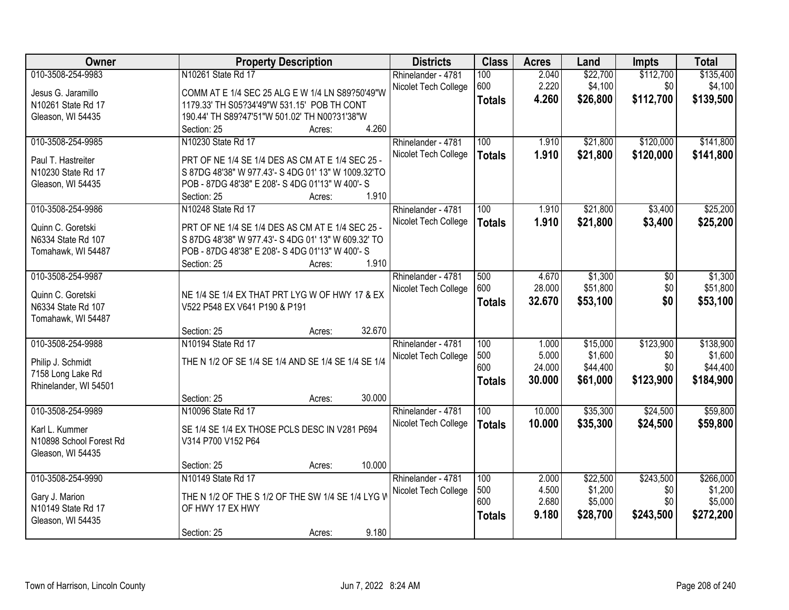| Owner                   | <b>Property Description</b>                                                                             | <b>Districts</b>     | <b>Class</b>  | <b>Acres</b> | Land     | <b>Impts</b> | <b>Total</b> |
|-------------------------|---------------------------------------------------------------------------------------------------------|----------------------|---------------|--------------|----------|--------------|--------------|
| 010-3508-254-9983       | N10261 State Rd 17                                                                                      | Rhinelander - 4781   | 100           | 2.040        | \$22,700 | \$112,700    | \$135,400    |
| Jesus G. Jaramillo      | COMM AT E 1/4 SEC 25 ALG E W 1/4 LN S89?50'49"W                                                         | Nicolet Tech College | 600           | 2.220        | \$4,100  | \$0          | \$4,100      |
| N10261 State Rd 17      | 1179.33' TH S05?34'49"W 531.15' POB TH CONT                                                             |                      | <b>Totals</b> | 4.260        | \$26,800 | \$112,700    | \$139,500    |
| Gleason, WI 54435       | 190.44' TH S89?47'51"W 501.02' TH N00?31'38"W                                                           |                      |               |              |          |              |              |
|                         | 4.260<br>Section: 25<br>Acres:                                                                          |                      |               |              |          |              |              |
| 010-3508-254-9985       | N10230 State Rd 17                                                                                      | Rhinelander - 4781   | 100           | 1.910        | \$21,800 | \$120,000    | \$141,800    |
| Paul T. Hastreiter      |                                                                                                         | Nicolet Tech College | <b>Totals</b> | 1.910        | \$21,800 | \$120,000    | \$141,800    |
| N10230 State Rd 17      | PRT OF NE 1/4 SE 1/4 DES AS CM AT E 1/4 SEC 25 -<br>S 87DG 48'38" W 977.43'- S 4DG 01' 13" W 1009.32'TO |                      |               |              |          |              |              |
| Gleason, WI 54435       | POB - 87DG 48'38" E 208'- S 4DG 01'13" W 400'- S                                                        |                      |               |              |          |              |              |
|                         | 1.910<br>Section: 25<br>Acres:                                                                          |                      |               |              |          |              |              |
| 010-3508-254-9986       | N10248 State Rd 17                                                                                      | Rhinelander - 4781   | 100           | 1.910        | \$21,800 | \$3,400      | \$25,200     |
|                         |                                                                                                         | Nicolet Tech College | <b>Totals</b> | 1.910        | \$21,800 | \$3,400      | \$25,200     |
| Quinn C. Goretski       | PRT OF NE 1/4 SE 1/4 DES AS CM AT E 1/4 SEC 25 -                                                        |                      |               |              |          |              |              |
| N6334 State Rd 107      | S 87DG 48'38" W 977.43'- S 4DG 01' 13" W 609.32' TO                                                     |                      |               |              |          |              |              |
| Tomahawk, WI 54487      | POB - 87DG 48'38" E 208'- S 4DG 01'13" W 400'- S                                                        |                      |               |              |          |              |              |
|                         | 1.910<br>Section: 25<br>Acres:                                                                          |                      |               |              |          |              |              |
| 010-3508-254-9987       |                                                                                                         | Rhinelander - 4781   | 500           | 4.670        | \$1,300  | \$0          | \$1,300      |
| Quinn C. Goretski       | NE 1/4 SE 1/4 EX THAT PRT LYG W OF HWY 17 & EX                                                          | Nicolet Tech College | 600           | 28.000       | \$51,800 | \$0          | \$51,800     |
| N6334 State Rd 107      | V522 P548 EX V641 P190 & P191                                                                           |                      | <b>Totals</b> | 32.670       | \$53,100 | \$0          | \$53,100     |
| Tomahawk, WI 54487      |                                                                                                         |                      |               |              |          |              |              |
|                         | 32.670<br>Section: 25<br>Acres:                                                                         |                      |               |              |          |              |              |
| 010-3508-254-9988       | N10194 State Rd 17                                                                                      | Rhinelander - 4781   | 100           | 1.000        | \$15,000 | \$123,900    | \$138,900    |
| Philip J. Schmidt       | THE N 1/2 OF SE 1/4 SE 1/4 AND SE 1/4 SE 1/4 SE 1/4                                                     | Nicolet Tech College | 500           | 5.000        | \$1,600  | \$0          | \$1,600      |
| 7158 Long Lake Rd       |                                                                                                         |                      | 600           | 24.000       | \$44,400 | \$0          | \$44,400     |
| Rhinelander, WI 54501   |                                                                                                         |                      | <b>Totals</b> | 30.000       | \$61,000 | \$123,900    | \$184,900    |
|                         | 30.000<br>Section: 25<br>Acres:                                                                         |                      |               |              |          |              |              |
| 010-3508-254-9989       | N10096 State Rd 17                                                                                      | Rhinelander - 4781   | 100           | 10.000       | \$35,300 | \$24,500     | \$59,800     |
| Karl L. Kummer          | SE 1/4 SE 1/4 EX THOSE PCLS DESC IN V281 P694                                                           | Nicolet Tech College | <b>Totals</b> | 10.000       | \$35,300 | \$24,500     | \$59,800     |
| N10898 School Forest Rd | V314 P700 V152 P64                                                                                      |                      |               |              |          |              |              |
| Gleason, WI 54435       |                                                                                                         |                      |               |              |          |              |              |
|                         | 10.000<br>Section: 25<br>Acres:                                                                         |                      |               |              |          |              |              |
| 010-3508-254-9990       | N10149 State Rd 17                                                                                      | Rhinelander - 4781   | 100           | 2.000        | \$22,500 | \$243,500    | \$266,000    |
|                         |                                                                                                         | Nicolet Tech College | 500           | 4.500        | \$1,200  | \$0          | \$1,200      |
| Gary J. Marion          | THE N 1/2 OF THE S 1/2 OF THE SW 1/4 SE 1/4 LYG W                                                       |                      | 600           | 2.680        | \$5,000  | \$0          | \$5,000      |
| N10149 State Rd 17      | OF HWY 17 EX HWY                                                                                        |                      | <b>Totals</b> | 9.180        | \$28,700 | \$243,500    | \$272,200    |
| Gleason, WI 54435       |                                                                                                         |                      |               |              |          |              |              |
|                         | 9.180<br>Section: 25<br>Acres:                                                                          |                      |               |              |          |              |              |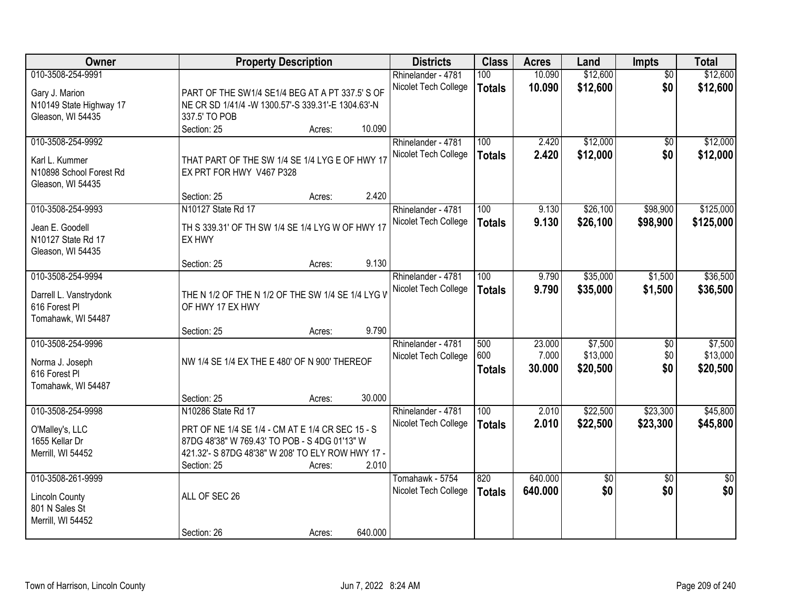| Owner                                   |                                                     | <b>Property Description</b> |         | <b>Districts</b>     | <b>Class</b>  | <b>Acres</b> | Land     | <b>Impts</b>    | <b>Total</b>    |
|-----------------------------------------|-----------------------------------------------------|-----------------------------|---------|----------------------|---------------|--------------|----------|-----------------|-----------------|
| 010-3508-254-9991                       |                                                     |                             |         | Rhinelander - 4781   | 100           | 10.090       | \$12,600 | $\overline{50}$ | \$12,600        |
| Gary J. Marion                          | PART OF THE SW1/4 SE1/4 BEG AT A PT 337.5' S OF     |                             |         | Nicolet Tech College | <b>Totals</b> | 10.090       | \$12,600 | \$0             | \$12,600        |
| N10149 State Highway 17                 | NE CR SD 1/41/4 - W 1300.57'-S 339.31'-E 1304.63'-N |                             |         |                      |               |              |          |                 |                 |
| Gleason, WI 54435                       | 337.5' TO POB                                       |                             |         |                      |               |              |          |                 |                 |
|                                         | Section: 25                                         | Acres:                      | 10.090  |                      |               |              |          |                 |                 |
| 010-3508-254-9992                       |                                                     |                             |         | Rhinelander - 4781   | 100           | 2.420        | \$12,000 | \$0             | \$12,000        |
| Karl L. Kummer                          | THAT PART OF THE SW 1/4 SE 1/4 LYG E OF HWY 17      |                             |         | Nicolet Tech College | <b>Totals</b> | 2.420        | \$12,000 | \$0             | \$12,000        |
| N10898 School Forest Rd                 | EX PRT FOR HWY V467 P328                            |                             |         |                      |               |              |          |                 |                 |
| Gleason, WI 54435                       |                                                     |                             |         |                      |               |              |          |                 |                 |
|                                         | Section: 25                                         | Acres:                      | 2.420   |                      |               |              |          |                 |                 |
| 010-3508-254-9993                       | N10127 State Rd 17                                  |                             |         | Rhinelander - 4781   | 100           | 9.130        | \$26,100 | \$98,900        | \$125,000       |
| Jean E. Goodell                         | TH S 339.31' OF TH SW 1/4 SE 1/4 LYG W OF HWY 17    |                             |         | Nicolet Tech College | <b>Totals</b> | 9.130        | \$26,100 | \$98,900        | \$125,000       |
| N10127 State Rd 17                      | EX HWY                                              |                             |         |                      |               |              |          |                 |                 |
| Gleason, WI 54435                       |                                                     |                             |         |                      |               |              |          |                 |                 |
|                                         | Section: 25                                         | Acres:                      | 9.130   |                      |               |              |          |                 |                 |
| 010-3508-254-9994                       |                                                     |                             |         | Rhinelander - 4781   | 100           | 9.790        | \$35,000 | \$1,500         | \$36,500        |
|                                         | THE N 1/2 OF THE N 1/2 OF THE SW 1/4 SE 1/4 LYG V   |                             |         | Nicolet Tech College | <b>Totals</b> | 9.790        | \$35,000 | \$1,500         | \$36,500        |
| Darrell L. Vanstrydonk<br>616 Forest PI | OF HWY 17 EX HWY                                    |                             |         |                      |               |              |          |                 |                 |
| Tomahawk, WI 54487                      |                                                     |                             |         |                      |               |              |          |                 |                 |
|                                         | Section: 25                                         | Acres:                      | 9.790   |                      |               |              |          |                 |                 |
| 010-3508-254-9996                       |                                                     |                             |         | Rhinelander - 4781   | 500           | 23.000       | \$7,500  | $\overline{60}$ | \$7,500         |
|                                         | NW 1/4 SE 1/4 EX THE E 480' OF N 900' THEREOF       |                             |         | Nicolet Tech College | 600           | 7.000        | \$13,000 | \$0             | \$13,000        |
| Norma J. Joseph<br>616 Forest Pl        |                                                     |                             |         |                      | <b>Totals</b> | 30.000       | \$20,500 | \$0             | \$20,500        |
| Tomahawk, WI 54487                      |                                                     |                             |         |                      |               |              |          |                 |                 |
|                                         | Section: 25                                         | Acres:                      | 30.000  |                      |               |              |          |                 |                 |
| 010-3508-254-9998                       | N10286 State Rd 17                                  |                             |         | Rhinelander - 4781   | 100           | 2.010        | \$22,500 | \$23,300        | \$45,800        |
|                                         | PRT OF NE 1/4 SE 1/4 - CM AT E 1/4 CR SEC 15 - S    |                             |         | Nicolet Tech College | <b>Totals</b> | 2.010        | \$22,500 | \$23,300        | \$45,800        |
| O'Malley's, LLC<br>1655 Kellar Dr       | 87DG 48'38" W 769.43' TO POB - S 4DG 01'13" W       |                             |         |                      |               |              |          |                 |                 |
| Merrill, WI 54452                       | 421.32'- S 87DG 48'38" W 208' TO ELY ROW HWY 17 -   |                             |         |                      |               |              |          |                 |                 |
|                                         | Section: 25                                         | Acres:                      | 2.010   |                      |               |              |          |                 |                 |
| 010-3508-261-9999                       |                                                     |                             |         | Tomahawk - 5754      | 820           | 640.000      | \$0      | $\overline{50}$ | $\overline{50}$ |
|                                         |                                                     |                             |         | Nicolet Tech College | <b>Totals</b> | 640.000      | \$0      | \$0             | \$0             |
| <b>Lincoln County</b><br>801 N Sales St | ALL OF SEC 26                                       |                             |         |                      |               |              |          |                 |                 |
| Merrill, WI 54452                       |                                                     |                             |         |                      |               |              |          |                 |                 |
|                                         | Section: 26                                         | Acres:                      | 640.000 |                      |               |              |          |                 |                 |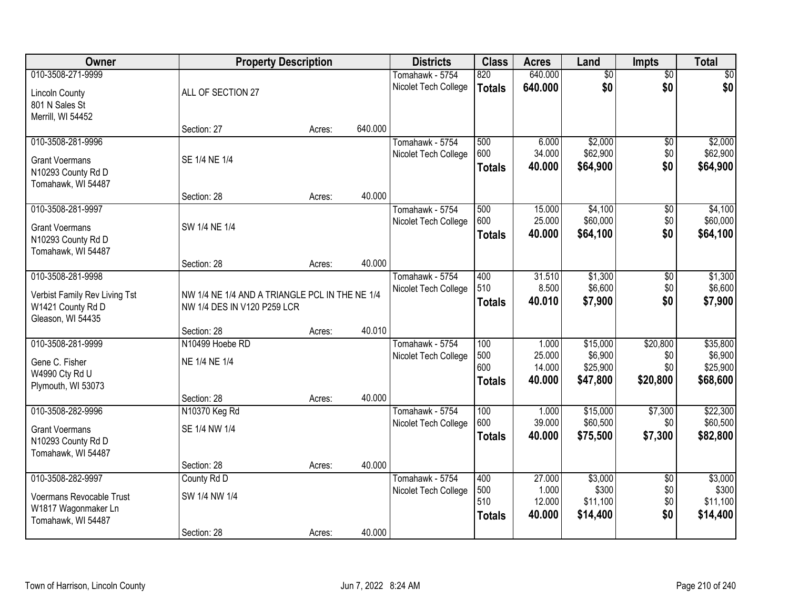| Owner                                     | <b>Property Description</b>                    |        |         | <b>Districts</b>                        | <b>Class</b>         | <b>Acres</b>     | Land                 | <b>Impts</b>    | <b>Total</b>         |
|-------------------------------------------|------------------------------------------------|--------|---------|-----------------------------------------|----------------------|------------------|----------------------|-----------------|----------------------|
| 010-3508-271-9999                         |                                                |        |         | Tomahawk - 5754                         | 820                  | 640.000          | $\overline{60}$      | $\overline{50}$ | \$0                  |
| <b>Lincoln County</b>                     | ALL OF SECTION 27                              |        |         | Nicolet Tech College                    | <b>Totals</b>        | 640.000          | \$0                  | \$0             | \$0                  |
| 801 N Sales St                            |                                                |        |         |                                         |                      |                  |                      |                 |                      |
| Merrill, WI 54452                         |                                                |        |         |                                         |                      |                  |                      |                 |                      |
|                                           | Section: 27                                    | Acres: | 640.000 |                                         |                      |                  |                      |                 |                      |
| 010-3508-281-9996                         |                                                |        |         | Tomahawk - 5754                         | 500                  | 6.000            | \$2,000              | \$0             | \$2,000              |
| <b>Grant Voermans</b>                     | SE 1/4 NE 1/4                                  |        |         | Nicolet Tech College                    | 600                  | 34.000           | \$62,900             | \$0             | \$62,900             |
| N10293 County Rd D                        |                                                |        |         |                                         | <b>Totals</b>        | 40.000           | \$64,900             | \$0             | \$64,900             |
| Tomahawk, WI 54487                        |                                                |        |         |                                         |                      |                  |                      |                 |                      |
|                                           | Section: 28                                    | Acres: | 40.000  |                                         |                      |                  |                      |                 |                      |
| 010-3508-281-9997                         |                                                |        |         | Tomahawk - 5754                         | 500                  | 15.000           | \$4,100              | \$0             | \$4,100              |
| <b>Grant Voermans</b>                     | SW 1/4 NE 1/4                                  |        |         | Nicolet Tech College                    | 600<br><b>Totals</b> | 25.000<br>40.000 | \$60,000<br>\$64,100 | \$0<br>\$0      | \$60,000<br>\$64,100 |
| N10293 County Rd D                        |                                                |        |         |                                         |                      |                  |                      |                 |                      |
| Tomahawk, WI 54487                        |                                                |        |         |                                         |                      |                  |                      |                 |                      |
|                                           | Section: 28                                    | Acres: | 40.000  |                                         |                      |                  |                      |                 |                      |
| 010-3508-281-9998                         |                                                |        |         | Tomahawk - 5754<br>Nicolet Tech College | 400<br>510           | 31.510<br>8.500  | \$1,300<br>\$6,600   | \$0<br>\$0      | \$1,300<br>\$6,600   |
| Verbist Family Rev Living Tst             | NW 1/4 NE 1/4 AND A TRIANGLE PCL IN THE NE 1/4 |        |         |                                         | <b>Totals</b>        | 40.010           | \$7,900              | \$0             | \$7,900              |
| W1421 County Rd D                         | NW 1/4 DES IN V120 P259 LCR                    |        |         |                                         |                      |                  |                      |                 |                      |
| Gleason, WI 54435                         |                                                |        | 40.010  |                                         |                      |                  |                      |                 |                      |
| 010-3508-281-9999                         | Section: 28<br>N10499 Hoebe RD                 | Acres: |         | Tomahawk - 5754                         | 100                  | 1.000            | \$15,000             | \$20,800        | \$35,800             |
|                                           |                                                |        |         | Nicolet Tech College                    | 500                  | 25.000           | \$6,900              | \$0             | \$6,900              |
| Gene C. Fisher                            | NE 1/4 NE 1/4                                  |        |         |                                         | 600                  | 14.000           | \$25,900             | \$0             | \$25,900             |
| W4990 Cty Rd U                            |                                                |        |         |                                         | <b>Totals</b>        | 40.000           | \$47,800             | \$20,800        | \$68,600             |
| Plymouth, WI 53073                        |                                                |        | 40.000  |                                         |                      |                  |                      |                 |                      |
| 010-3508-282-9996                         | Section: 28<br>N10370 Keg Rd                   | Acres: |         | Tomahawk - 5754                         | 100                  | 1.000            | \$15,000             | \$7,300         | \$22,300             |
|                                           |                                                |        |         | Nicolet Tech College                    | 600                  | 39.000           | \$60,500             | \$0             | \$60,500             |
| <b>Grant Voermans</b>                     | SE 1/4 NW 1/4                                  |        |         |                                         | <b>Totals</b>        | 40.000           | \$75,500             | \$7,300         | \$82,800             |
| N10293 County Rd D                        |                                                |        |         |                                         |                      |                  |                      |                 |                      |
| Tomahawk, WI 54487                        | Section: 28                                    | Acres: | 40.000  |                                         |                      |                  |                      |                 |                      |
| 010-3508-282-9997                         | County Rd D                                    |        |         | Tomahawk - 5754                         | 400                  | 27.000           | \$3,000              | $\overline{50}$ | \$3,000              |
|                                           |                                                |        |         | Nicolet Tech College                    | 500                  | 1.000            | \$300                | \$0             | \$300                |
| Voermans Revocable Trust                  | SW 1/4 NW 1/4                                  |        |         |                                         | 510                  | 12.000           | \$11,100             | \$0             | \$11,100             |
| W1817 Wagonmaker Ln<br>Tomahawk, WI 54487 |                                                |        |         |                                         | <b>Totals</b>        | 40.000           | \$14,400             | \$0             | \$14,400             |
|                                           | Section: 28                                    | Acres: | 40.000  |                                         |                      |                  |                      |                 |                      |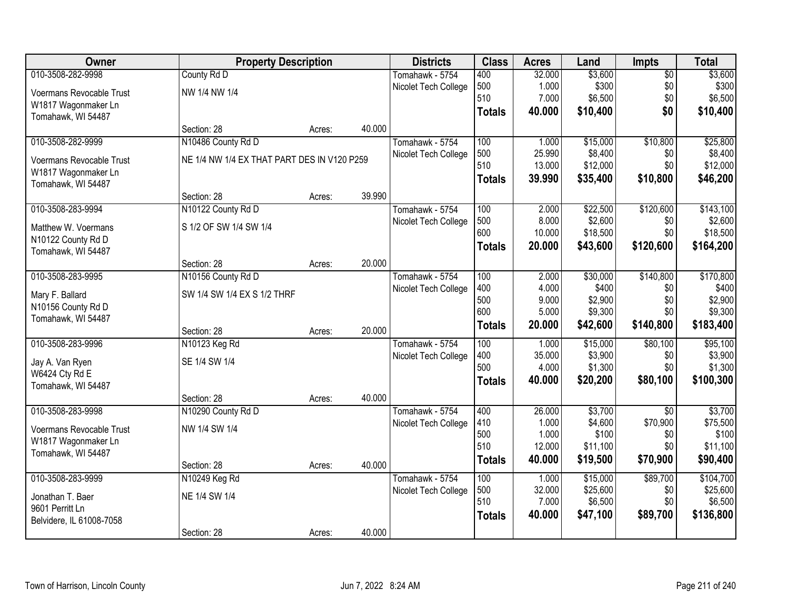| Owner                    | <b>Property Description</b>                 |        |        | <b>Districts</b>     | <b>Class</b>  | <b>Acres</b> | Land     | Impts           | <b>Total</b> |
|--------------------------|---------------------------------------------|--------|--------|----------------------|---------------|--------------|----------|-----------------|--------------|
| 010-3508-282-9998        | County Rd D                                 |        |        | Tomahawk - 5754      | 400           | 32.000       | \$3,600  | $\overline{60}$ | \$3,600      |
| Voermans Revocable Trust | NW 1/4 NW 1/4                               |        |        | Nicolet Tech College | 500           | 1.000        | \$300    | \$0             | \$300        |
| W1817 Wagonmaker Ln      |                                             |        |        |                      | 510           | 7.000        | \$6,500  | \$0             | \$6,500      |
| Tomahawk, WI 54487       |                                             |        |        |                      | <b>Totals</b> | 40.000       | \$10,400 | \$0             | \$10,400     |
|                          | Section: 28                                 | Acres: | 40.000 |                      |               |              |          |                 |              |
| 010-3508-282-9999        | N10486 County Rd D                          |        |        | Tomahawk - 5754      | 100           | 1.000        | \$15,000 | \$10,800        | \$25,800     |
| Voermans Revocable Trust | NE 1/4 NW 1/4 EX THAT PART DES IN V120 P259 |        |        | Nicolet Tech College | 500           | 25.990       | \$8,400  | \$0             | \$8,400      |
| W1817 Wagonmaker Ln      |                                             |        |        |                      | 510           | 13.000       | \$12,000 | \$0             | \$12,000     |
| Tomahawk, WI 54487       |                                             |        |        |                      | <b>Totals</b> | 39.990       | \$35,400 | \$10,800        | \$46,200     |
|                          | Section: 28                                 | Acres: | 39.990 |                      |               |              |          |                 |              |
| 010-3508-283-9994        | N10122 County Rd D                          |        |        | Tomahawk - 5754      | 100           | 2.000        | \$22,500 | \$120,600       | \$143,100    |
| Matthew W. Voermans      | S 1/2 OF SW 1/4 SW 1/4                      |        |        | Nicolet Tech College | 500           | 8.000        | \$2,600  | \$0             | \$2,600      |
| N10122 County Rd D       |                                             |        |        |                      | 600           | 10.000       | \$18,500 | \$0             | \$18,500     |
| Tomahawk, WI 54487       |                                             |        |        |                      | <b>Totals</b> | 20.000       | \$43,600 | \$120,600       | \$164,200    |
|                          | Section: 28                                 | Acres: | 20.000 |                      |               |              |          |                 |              |
| 010-3508-283-9995        | N10156 County Rd D                          |        |        | Tomahawk - 5754      | 100           | 2.000        | \$30,000 | \$140,800       | \$170,800    |
| Mary F. Ballard          | SW 1/4 SW 1/4 EX S 1/2 THRF                 |        |        | Nicolet Tech College | 400           | 4.000        | \$400    | \$0             | \$400        |
| N10156 County Rd D       |                                             |        |        |                      | 500           | 9.000        | \$2,900  | \$0             | \$2,900      |
| Tomahawk, WI 54487       |                                             |        |        |                      | 600           | 5.000        | \$9,300  | \$0             | \$9,300      |
|                          | Section: 28                                 | Acres: | 20.000 |                      | <b>Totals</b> | 20.000       | \$42,600 | \$140,800       | \$183,400    |
| 010-3508-283-9996        | N10123 Keg Rd                               |        |        | Tomahawk - 5754      | 100           | 1.000        | \$15,000 | \$80,100        | \$95,100     |
| Jay A. Van Ryen          | SE 1/4 SW 1/4                               |        |        | Nicolet Tech College | 400           | 35.000       | \$3,900  | \$0             | \$3,900      |
| W6424 Cty Rd E           |                                             |        |        |                      | 500           | 4.000        | \$1,300  | \$0             | \$1,300      |
| Tomahawk, WI 54487       |                                             |        |        |                      | <b>Totals</b> | 40.000       | \$20,200 | \$80,100        | \$100,300    |
|                          | Section: 28                                 | Acres: | 40.000 |                      |               |              |          |                 |              |
| 010-3508-283-9998        | N10290 County Rd D                          |        |        | Tomahawk - 5754      | 400           | 26.000       | \$3,700  | $\overline{30}$ | \$3,700      |
| Voermans Revocable Trust | NW 1/4 SW 1/4                               |        |        | Nicolet Tech College | 410           | 1.000        | \$4,600  | \$70,900        | \$75,500     |
| W1817 Wagonmaker Ln      |                                             |        |        |                      | 500           | 1.000        | \$100    | \$0             | \$100        |
| Tomahawk, WI 54487       |                                             |        |        |                      | 510           | 12.000       | \$11,100 | \$0             | \$11,100     |
|                          | Section: 28                                 | Acres: | 40.000 |                      | <b>Totals</b> | 40.000       | \$19,500 | \$70,900        | \$90,400     |
| 010-3508-283-9999        | N10249 Keg Rd                               |        |        | Tomahawk - 5754      | 100           | 1.000        | \$15,000 | \$89,700        | \$104,700    |
| Jonathan T. Baer         | NE 1/4 SW 1/4                               |        |        | Nicolet Tech College | 500           | 32.000       | \$25,600 | \$0             | \$25,600     |
| 9601 Perritt Ln          |                                             |        |        |                      | 510           | 7.000        | \$6,500  | \$0             | \$6,500      |
| Belvidere, IL 61008-7058 |                                             |        |        |                      | <b>Totals</b> | 40.000       | \$47,100 | \$89,700        | \$136,800    |
|                          | Section: 28                                 | Acres: | 40.000 |                      |               |              |          |                 |              |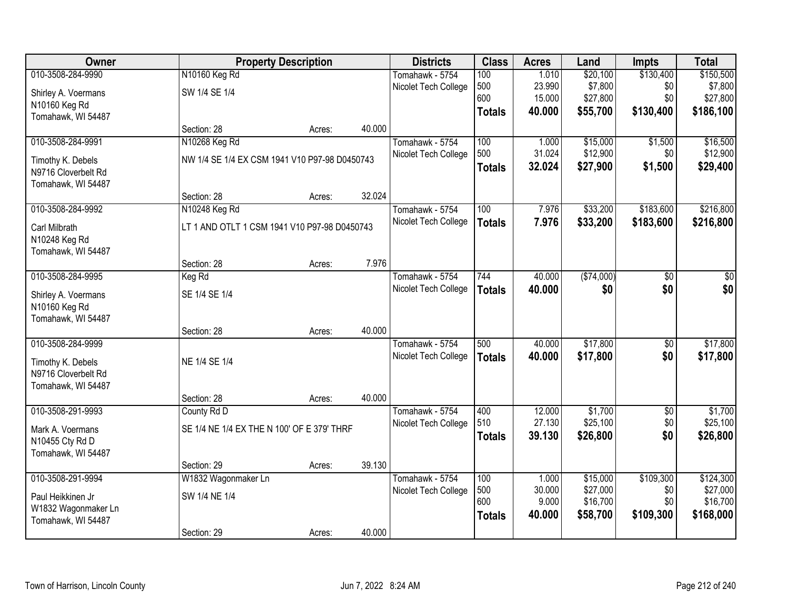| Owner               |                                               | <b>Property Description</b> |        | <b>Districts</b>     | <b>Class</b>  | <b>Acres</b>    | Land                 | <b>Impts</b>    | <b>Total</b>         |
|---------------------|-----------------------------------------------|-----------------------------|--------|----------------------|---------------|-----------------|----------------------|-----------------|----------------------|
| 010-3508-284-9990   | N10160 Keg Rd                                 |                             |        | Tomahawk - 5754      | 100           | 1.010           | \$20,100             | \$130,400       | \$150,500            |
| Shirley A. Voermans | SW 1/4 SE 1/4                                 |                             |        | Nicolet Tech College | 500           | 23.990          | \$7,800              | \$0             | \$7,800              |
| N10160 Keg Rd       |                                               |                             |        |                      | 600           | 15.000          | \$27,800             | \$0             | \$27,800             |
| Tomahawk, WI 54487  |                                               |                             |        |                      | <b>Totals</b> | 40.000          | \$55,700             | \$130,400       | \$186,100            |
|                     | Section: 28                                   | Acres:                      | 40.000 |                      |               |                 |                      |                 |                      |
| 010-3508-284-9991   | N10268 Keg Rd                                 |                             |        | Tomahawk - 5754      | 100           | 1.000           | \$15,000             | \$1,500         | \$16,500             |
| Timothy K. Debels   | NW 1/4 SE 1/4 EX CSM 1941 V10 P97-98 D0450743 |                             |        | Nicolet Tech College | 500           | 31.024          | \$12,900             | \$0             | \$12,900             |
| N9716 Cloverbelt Rd |                                               |                             |        |                      | <b>Totals</b> | 32.024          | \$27,900             | \$1,500         | \$29,400             |
| Tomahawk, WI 54487  |                                               |                             |        |                      |               |                 |                      |                 |                      |
|                     | Section: 28                                   | Acres:                      | 32.024 |                      |               |                 |                      |                 |                      |
| 010-3508-284-9992   | N10248 Keg Rd                                 |                             |        | Tomahawk - 5754      | 100           | 7.976           | \$33,200             | \$183,600       | \$216,800            |
| Carl Milbrath       | LT 1 AND OTLT 1 CSM 1941 V10 P97-98 D0450743  |                             |        | Nicolet Tech College | <b>Totals</b> | 7.976           | \$33,200             | \$183,600       | \$216,800            |
| N10248 Keg Rd       |                                               |                             |        |                      |               |                 |                      |                 |                      |
| Tomahawk, WI 54487  |                                               |                             |        |                      |               |                 |                      |                 |                      |
|                     | Section: 28                                   | Acres:                      | 7.976  |                      |               |                 |                      |                 |                      |
| 010-3508-284-9995   | Keg Rd                                        |                             |        | Tomahawk - 5754      | 744           | 40.000          | (\$74,000)           | $\overline{50}$ | \$0                  |
| Shirley A. Voermans | SE 1/4 SE 1/4                                 |                             |        | Nicolet Tech College | <b>Totals</b> | 40.000          | \$0                  | \$0             | \$0                  |
| N10160 Keg Rd       |                                               |                             |        |                      |               |                 |                      |                 |                      |
| Tomahawk, WI 54487  |                                               |                             |        |                      |               |                 |                      |                 |                      |
|                     | Section: 28                                   | Acres:                      | 40.000 |                      |               |                 |                      |                 |                      |
| 010-3508-284-9999   |                                               |                             |        | Tomahawk - 5754      | 500           | 40.000          | \$17,800             | $\overline{50}$ | \$17,800             |
| Timothy K. Debels   | NE 1/4 SE 1/4                                 |                             |        | Nicolet Tech College | <b>Totals</b> | 40.000          | \$17,800             | \$0             | \$17,800             |
| N9716 Cloverbelt Rd |                                               |                             |        |                      |               |                 |                      |                 |                      |
| Tomahawk, WI 54487  |                                               |                             |        |                      |               |                 |                      |                 |                      |
|                     | Section: 28                                   | Acres:                      | 40.000 |                      |               |                 |                      |                 |                      |
| 010-3508-291-9993   | County Rd D                                   |                             |        | Tomahawk - 5754      | 400           | 12.000          | \$1,700              | $\overline{50}$ | \$1,700              |
| Mark A. Voermans    | SE 1/4 NE 1/4 EX THE N 100' OF E 379' THRF    |                             |        | Nicolet Tech College | 510           | 27.130          | \$25,100             | \$0             | \$25,100             |
| N10455 Cty Rd D     |                                               |                             |        |                      | <b>Totals</b> | 39.130          | \$26,800             | \$0             | \$26,800             |
| Tomahawk, WI 54487  |                                               |                             |        |                      |               |                 |                      |                 |                      |
|                     | Section: 29                                   | Acres:                      | 39.130 |                      |               |                 |                      |                 |                      |
| 010-3508-291-9994   | W1832 Wagonmaker Ln                           |                             |        | Tomahawk - 5754      | 100           | 1.000           | \$15,000             | \$109,300       | \$124,300            |
| Paul Heikkinen Jr   | SW 1/4 NE 1/4                                 |                             |        | Nicolet Tech College | 500<br>600    | 30.000<br>9.000 | \$27,000<br>\$16,700 | \$0<br>\$0      | \$27,000<br>\$16,700 |
| W1832 Wagonmaker Ln |                                               |                             |        |                      | <b>Totals</b> | 40.000          | \$58,700             | \$109,300       | \$168,000            |
| Tomahawk, WI 54487  |                                               |                             |        |                      |               |                 |                      |                 |                      |
|                     | Section: 29                                   | Acres:                      | 40.000 |                      |               |                 |                      |                 |                      |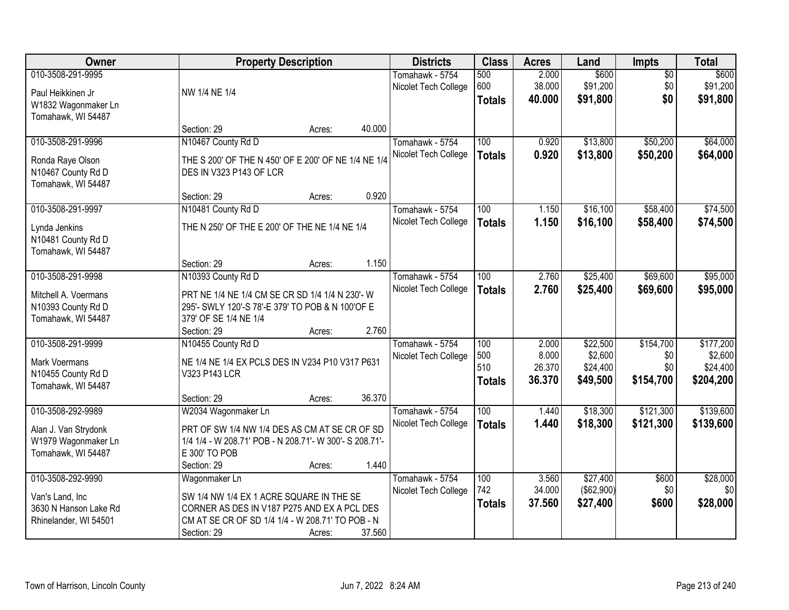| Owner                                  | <b>Property Description</b>                             |        |        | <b>Districts</b>     | <b>Class</b>  | <b>Acres</b> | Land       | Impts           | <b>Total</b> |
|----------------------------------------|---------------------------------------------------------|--------|--------|----------------------|---------------|--------------|------------|-----------------|--------------|
| 010-3508-291-9995                      |                                                         |        |        | Tomahawk - 5754      | 500           | 2.000        | \$600      | $\overline{50}$ | \$600        |
| Paul Heikkinen Jr                      | NW 1/4 NE 1/4                                           |        |        | Nicolet Tech College | 600           | 38.000       | \$91,200   | \$0             | \$91,200     |
| W1832 Wagonmaker Ln                    |                                                         |        |        |                      | <b>Totals</b> | 40.000       | \$91,800   | \$0             | \$91,800     |
| Tomahawk, WI 54487                     |                                                         |        |        |                      |               |              |            |                 |              |
|                                        | Section: 29                                             | Acres: | 40.000 |                      |               |              |            |                 |              |
| 010-3508-291-9996                      | N10467 County Rd D                                      |        |        | Tomahawk - 5754      | 100           | 0.920        | \$13,800   | \$50,200        | \$64,000     |
|                                        | THE S 200' OF THE N 450' OF E 200' OF NE 1/4 NE 1/4     |        |        | Nicolet Tech College | <b>Totals</b> | 0.920        | \$13,800   | \$50,200        | \$64,000     |
| Ronda Raye Olson<br>N10467 County Rd D | DES IN V323 P143 OF LCR                                 |        |        |                      |               |              |            |                 |              |
| Tomahawk, WI 54487                     |                                                         |        |        |                      |               |              |            |                 |              |
|                                        | Section: 29                                             | Acres: | 0.920  |                      |               |              |            |                 |              |
| 010-3508-291-9997                      | N10481 County Rd D                                      |        |        | Tomahawk - 5754      | 100           | 1.150        | \$16,100   | \$58,400        | \$74,500     |
|                                        | THE N 250' OF THE E 200' OF THE NE 1/4 NE 1/4           |        |        | Nicolet Tech College | <b>Totals</b> | 1.150        | \$16,100   | \$58,400        | \$74,500     |
| Lynda Jenkins<br>N10481 County Rd D    |                                                         |        |        |                      |               |              |            |                 |              |
| Tomahawk, WI 54487                     |                                                         |        |        |                      |               |              |            |                 |              |
|                                        | Section: 29                                             | Acres: | 1.150  |                      |               |              |            |                 |              |
| 010-3508-291-9998                      | N10393 County Rd D                                      |        |        | Tomahawk - 5754      | 100           | 2.760        | \$25,400   | \$69,600        | \$95,000     |
|                                        |                                                         |        |        | Nicolet Tech College | <b>Totals</b> | 2.760        | \$25,400   | \$69,600        | \$95,000     |
| Mitchell A. Voermans                   | PRT NE 1/4 NE 1/4 CM SE CR SD 1/4 1/4 N 230'- W         |        |        |                      |               |              |            |                 |              |
| N10393 County Rd D                     | 295'- SWLY 120'-S 78'-E 379' TO POB & N 100'OF E        |        |        |                      |               |              |            |                 |              |
| Tomahawk, WI 54487                     | 379' OF SE 1/4 NE 1/4                                   |        |        |                      |               |              |            |                 |              |
|                                        | Section: 29                                             | Acres: | 2.760  |                      |               |              |            |                 |              |
| 010-3508-291-9999                      | N10455 County Rd D                                      |        |        | Tomahawk - 5754      | 100           | 2.000        | \$22,500   | \$154,700       | \$177,200    |
| <b>Mark Voermans</b>                   | NE 1/4 NE 1/4 EX PCLS DES IN V234 P10 V317 P631         |        |        | Nicolet Tech College | 500           | 8.000        | \$2,600    | \$0             | \$2,600      |
| N10455 County Rd D                     | V323 P143 LCR                                           |        |        |                      | 510           | 26.370       | \$24,400   | \$0             | \$24,400     |
| Tomahawk, WI 54487                     |                                                         |        |        |                      | <b>Totals</b> | 36.370       | \$49,500   | \$154,700       | \$204,200    |
|                                        | Section: 29                                             | Acres: | 36.370 |                      |               |              |            |                 |              |
| 010-3508-292-9989                      | W2034 Wagonmaker Ln                                     |        |        | Tomahawk - 5754      | 100           | 1.440        | \$18,300   | \$121,300       | \$139,600    |
| Alan J. Van Strydonk                   | PRT OF SW 1/4 NW 1/4 DES AS CM AT SE CR OF SD           |        |        | Nicolet Tech College | <b>Totals</b> | 1.440        | \$18,300   | \$121,300       | \$139,600    |
| W1979 Wagonmaker Ln                    | 1/4 1/4 - W 208.71' POB - N 208.71'- W 300'- S 208.71'- |        |        |                      |               |              |            |                 |              |
| Tomahawk, WI 54487                     | E 300' TO POB                                           |        |        |                      |               |              |            |                 |              |
|                                        | Section: 29                                             | Acres: | 1.440  |                      |               |              |            |                 |              |
| 010-3508-292-9990                      | Wagonmaker Ln                                           |        |        | Tomahawk - 5754      | 100           | 3.560        | \$27,400   | \$600           | \$28,000     |
| Van's Land, Inc                        | SW 1/4 NW 1/4 EX 1 ACRE SQUARE IN THE SE                |        |        | Nicolet Tech College | 742           | 34.000       | (\$62,900) | \$0             | \$0          |
| 3630 N Hanson Lake Rd                  | CORNER AS DES IN V187 P275 AND EX A PCL DES             |        |        |                      | <b>Totals</b> | 37.560       | \$27,400   | \$600           | \$28,000     |
| Rhinelander, WI 54501                  | CM AT SE CR OF SD 1/4 1/4 - W 208.71' TO POB - N        |        |        |                      |               |              |            |                 |              |
|                                        | Section: 29                                             | Acres: | 37.560 |                      |               |              |            |                 |              |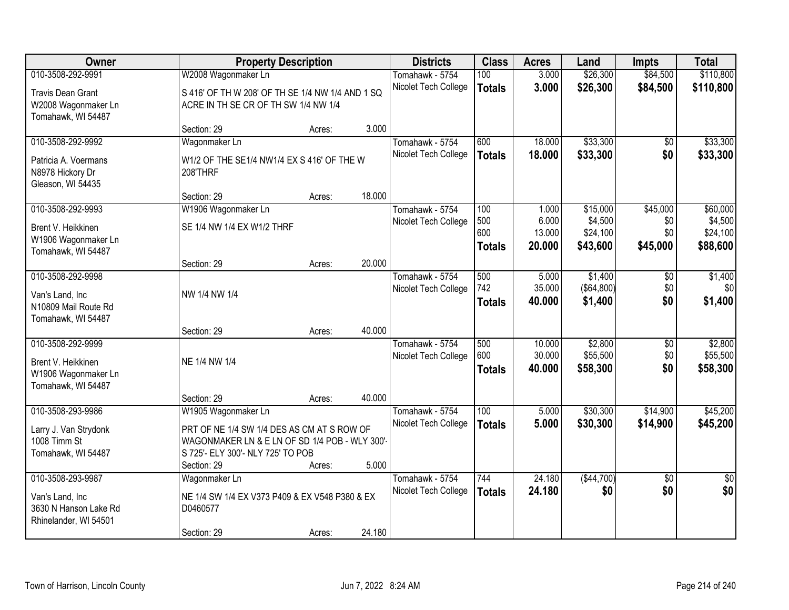| Owner                    |                                                  | <b>Property Description</b> |        | <b>Districts</b>     | <b>Class</b>     | <b>Acres</b> | Land         | <b>Impts</b>    | <b>Total</b>    |
|--------------------------|--------------------------------------------------|-----------------------------|--------|----------------------|------------------|--------------|--------------|-----------------|-----------------|
| 010-3508-292-9991        | W2008 Wagonmaker Ln                              |                             |        | Tomahawk - 5754      | 100              | 3.000        | \$26,300     | \$84,500        | \$110,800       |
| <b>Travis Dean Grant</b> | S 416' OF TH W 208' OF TH SE 1/4 NW 1/4 AND 1 SQ |                             |        | Nicolet Tech College | <b>Totals</b>    | 3.000        | \$26,300     | \$84,500        | \$110,800       |
| W2008 Wagonmaker Ln      | ACRE IN TH SE CR OF TH SW 1/4 NW 1/4             |                             |        |                      |                  |              |              |                 |                 |
| Tomahawk, WI 54487       |                                                  |                             |        |                      |                  |              |              |                 |                 |
|                          | Section: 29                                      | Acres:                      | 3.000  |                      |                  |              |              |                 |                 |
| 010-3508-292-9992        | Wagonmaker Ln                                    |                             |        | Tomahawk - 5754      | 600              | 18.000       | \$33,300     | \$0             | \$33,300        |
| Patricia A. Voermans     | W1/2 OF THE SE1/4 NW1/4 EX S 416' OF THE W       |                             |        | Nicolet Tech College | <b>Totals</b>    | 18.000       | \$33,300     | \$0             | \$33,300        |
| N8978 Hickory Dr         | 208'THRF                                         |                             |        |                      |                  |              |              |                 |                 |
| Gleason, WI 54435        |                                                  |                             |        |                      |                  |              |              |                 |                 |
|                          | Section: 29                                      | Acres:                      | 18.000 |                      |                  |              |              |                 |                 |
| 010-3508-292-9993        | W1906 Wagonmaker Ln                              |                             |        | Tomahawk - 5754      | 100              | 1.000        | \$15,000     | \$45,000        | \$60,000        |
| Brent V. Heikkinen       | SE 1/4 NW 1/4 EX W1/2 THRF                       |                             |        | Nicolet Tech College | 500              | 6.000        | \$4,500      | \$0             | \$4,500         |
| W1906 Wagonmaker Ln      |                                                  |                             |        |                      | 600              | 13.000       | \$24,100     | \$0             | \$24,100        |
| Tomahawk, WI 54487       |                                                  |                             |        |                      | <b>Totals</b>    | 20,000       | \$43,600     | \$45,000        | \$88,600        |
|                          | Section: 29                                      | Acres:                      | 20.000 |                      |                  |              |              |                 |                 |
| 010-3508-292-9998        |                                                  |                             |        | Tomahawk - 5754      | 500              | 5.000        | \$1,400      | \$0             | \$1,400         |
| Van's Land, Inc          | NW 1/4 NW 1/4                                    |                             |        | Nicolet Tech College | 742              | 35.000       | ( \$64, 800) | \$0             | \$0             |
| N10809 Mail Route Rd     |                                                  |                             |        |                      | <b>Totals</b>    | 40.000       | \$1,400      | \$0             | \$1,400         |
| Tomahawk, WI 54487       |                                                  |                             |        |                      |                  |              |              |                 |                 |
|                          | Section: 29                                      | Acres:                      | 40.000 |                      |                  |              |              |                 |                 |
| 010-3508-292-9999        |                                                  |                             |        | Tomahawk - 5754      | 500              | 10.000       | \$2,800      | $\overline{50}$ | \$2,800         |
| Brent V. Heikkinen       | NE 1/4 NW 1/4                                    |                             |        | Nicolet Tech College | 600              | 30.000       | \$55,500     | \$0             | \$55,500        |
| W1906 Wagonmaker Ln      |                                                  |                             |        |                      | <b>Totals</b>    | 40.000       | \$58,300     | \$0             | \$58,300        |
| Tomahawk, WI 54487       |                                                  |                             |        |                      |                  |              |              |                 |                 |
|                          | Section: 29                                      | Acres:                      | 40.000 |                      |                  |              |              |                 |                 |
| 010-3508-293-9986        | W1905 Wagonmaker Ln                              |                             |        | Tomahawk - 5754      | $\overline{100}$ | 5.000        | \$30,300     | \$14,900        | \$45,200        |
| Larry J. Van Strydonk    | PRT OF NE 1/4 SW 1/4 DES AS CM AT S ROW OF       |                             |        | Nicolet Tech College | <b>Totals</b>    | 5.000        | \$30,300     | \$14,900        | \$45,200        |
| 1008 Timm St             | WAGONMAKER LN & E LN OF SD 1/4 POB - WLY 300'-   |                             |        |                      |                  |              |              |                 |                 |
| Tomahawk, WI 54487       | S 725'- ELY 300'- NLY 725' TO POB                |                             |        |                      |                  |              |              |                 |                 |
|                          | Section: 29                                      | Acres:                      | 5.000  |                      |                  |              |              |                 |                 |
| 010-3508-293-9987        | Wagonmaker Ln                                    |                             |        | Tomahawk - 5754      | 744              | 24.180       | ( \$44,700)  | $\overline{50}$ | $\overline{50}$ |
| Van's Land, Inc          | NE 1/4 SW 1/4 EX V373 P409 & EX V548 P380 & EX   |                             |        | Nicolet Tech College | <b>Totals</b>    | 24.180       | \$0          | \$0             | \$0             |
| 3630 N Hanson Lake Rd    | D0460577                                         |                             |        |                      |                  |              |              |                 |                 |
| Rhinelander, WI 54501    |                                                  |                             |        |                      |                  |              |              |                 |                 |
|                          | Section: 29                                      | Acres:                      | 24.180 |                      |                  |              |              |                 |                 |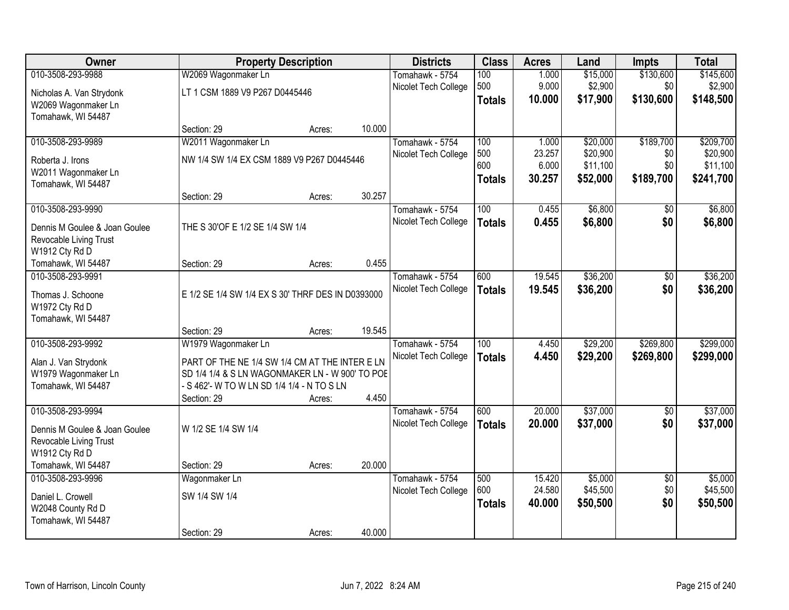| Owner                                   |                                                   | <b>Property Description</b> |        | <b>Districts</b>                        | <b>Class</b>  | <b>Acres</b>     | Land                 | <b>Impts</b>           | <b>Total</b>         |
|-----------------------------------------|---------------------------------------------------|-----------------------------|--------|-----------------------------------------|---------------|------------------|----------------------|------------------------|----------------------|
| 010-3508-293-9988                       | W2069 Wagonmaker Ln                               |                             |        | Tomahawk - 5754                         | 100           | 1.000            | \$15,000             | \$130,600              | \$145,600            |
| Nicholas A. Van Strydonk                | LT 1 CSM 1889 V9 P267 D0445446                    |                             |        | Nicolet Tech College                    | 500           | 9.000            | \$2,900              | \$0                    | \$2,900              |
| W2069 Wagonmaker Ln                     |                                                   |                             |        |                                         | <b>Totals</b> | 10.000           | \$17,900             | \$130,600              | \$148,500            |
| Tomahawk, WI 54487                      |                                                   |                             |        |                                         |               |                  |                      |                        |                      |
|                                         | Section: 29                                       | Acres:                      | 10.000 |                                         |               |                  |                      |                        |                      |
| 010-3508-293-9989                       | W2011 Wagonmaker Ln                               |                             |        | Tomahawk - 5754                         | 100           | 1.000            | \$20,000             | \$189,700              | \$209,700            |
| Roberta J. Irons                        | NW 1/4 SW 1/4 EX CSM 1889 V9 P267 D0445446        |                             |        | Nicolet Tech College                    | 500<br>600    | 23.257<br>6.000  | \$20,900<br>\$11,100 | \$0<br>\$0             | \$20,900<br>\$11,100 |
| W2011 Wagonmaker Ln                     |                                                   |                             |        |                                         | <b>Totals</b> | 30.257           | \$52,000             | \$189,700              | \$241,700            |
| Tomahawk, WI 54487                      |                                                   |                             |        |                                         |               |                  |                      |                        |                      |
|                                         | Section: 29                                       | Acres:                      | 30.257 |                                         |               |                  |                      |                        |                      |
| 010-3508-293-9990                       |                                                   |                             |        | Tomahawk - 5754                         | 100           | 0.455            | \$6,800              | $\overline{50}$        | \$6,800              |
| Dennis M Goulee & Joan Goulee           | THE S 30'OF E 1/2 SE 1/4 SW 1/4                   |                             |        | Nicolet Tech College                    | <b>Totals</b> | 0.455            | \$6,800              | \$0                    | \$6,800              |
| Revocable Living Trust                  |                                                   |                             |        |                                         |               |                  |                      |                        |                      |
| W1912 Cty Rd D                          |                                                   |                             |        |                                         |               |                  |                      |                        |                      |
| Tomahawk, WI 54487                      | Section: 29                                       | Acres:                      | 0.455  |                                         |               |                  |                      |                        |                      |
| 010-3508-293-9991                       |                                                   |                             |        | Tomahawk - 5754                         | 600           | 19.545           | \$36,200             | \$0                    | \$36,200             |
| Thomas J. Schoone                       | E 1/2 SE 1/4 SW 1/4 EX S 30' THRF DES IN D0393000 |                             |        | Nicolet Tech College                    | <b>Totals</b> | 19.545           | \$36,200             | \$0                    | \$36,200             |
| W1972 Cty Rd D                          |                                                   |                             |        |                                         |               |                  |                      |                        |                      |
| Tomahawk, WI 54487                      |                                                   |                             |        |                                         |               |                  |                      |                        |                      |
|                                         | Section: 29                                       | Acres:                      | 19.545 |                                         |               |                  |                      |                        |                      |
| 010-3508-293-9992                       | W1979 Wagonmaker Ln                               |                             |        | Tomahawk - 5754                         | 100           | 4.450            | \$29,200             | \$269,800              | \$299,000            |
| Alan J. Van Strydonk                    | PART OF THE NE 1/4 SW 1/4 CM AT THE INTER E LN    |                             |        | Nicolet Tech College                    | <b>Totals</b> | 4.450            | \$29,200             | \$269,800              | \$299,000            |
| W1979 Wagonmaker Ln                     | SD 1/4 1/4 & S LN WAGONMAKER LN - W 900' TO POE   |                             |        |                                         |               |                  |                      |                        |                      |
| Tomahawk, WI 54487                      | - S 462'- W TO W LN SD 1/4 1/4 - N TO S LN        |                             |        |                                         |               |                  |                      |                        |                      |
| 010-3508-293-9994                       | Section: 29                                       | Acres:                      | 4.450  |                                         | 600           |                  |                      |                        |                      |
|                                         |                                                   |                             |        | Tomahawk - 5754<br>Nicolet Tech College |               | 20.000<br>20.000 | \$37,000<br>\$37,000 | $\sqrt{6}$<br>\$0      | \$37,000<br>\$37,000 |
| Dennis M Goulee & Joan Goulee           | W 1/2 SE 1/4 SW 1/4                               |                             |        |                                         | <b>Totals</b> |                  |                      |                        |                      |
| Revocable Living Trust                  |                                                   |                             |        |                                         |               |                  |                      |                        |                      |
| W1912 Cty Rd D                          |                                                   |                             |        |                                         |               |                  |                      |                        |                      |
| Tomahawk, WI 54487<br>010-3508-293-9996 | Section: 29                                       | Acres:                      | 20.000 | Tomahawk - 5754                         | 500           | 15.420           | \$5,000              |                        | \$5,000              |
|                                         | Wagonmaker Ln                                     |                             |        | Nicolet Tech College                    | 600           | 24.580           | \$45,500             | $\overline{50}$<br>\$0 | \$45,500             |
| Daniel L. Crowell                       | SW 1/4 SW 1/4                                     |                             |        |                                         | <b>Totals</b> | 40.000           | \$50,500             | \$0                    | \$50,500             |
| W2048 County Rd D                       |                                                   |                             |        |                                         |               |                  |                      |                        |                      |
| Tomahawk, WI 54487                      | Section: 29                                       |                             | 40.000 |                                         |               |                  |                      |                        |                      |
|                                         |                                                   | Acres:                      |        |                                         |               |                  |                      |                        |                      |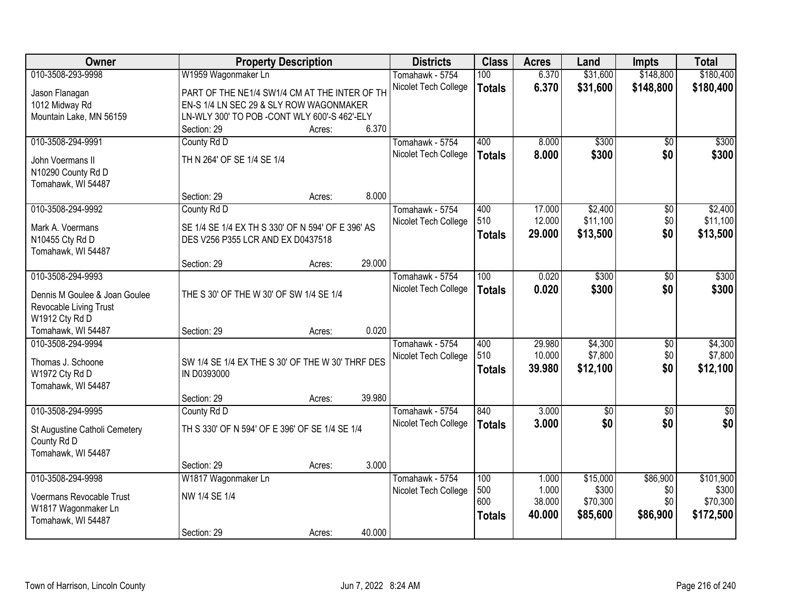| Owner                                        | <b>Property Description</b>                       |        |        | <b>Districts</b>     | <b>Class</b>  | <b>Acres</b> | Land            | <b>Impts</b>    | <b>Total</b>    |
|----------------------------------------------|---------------------------------------------------|--------|--------|----------------------|---------------|--------------|-----------------|-----------------|-----------------|
| 010-3508-293-9998                            | W1959 Wagonmaker Ln                               |        |        | Tomahawk - 5754      | 100           | 6.370        | \$31,600        | \$148,800       | \$180,400       |
| Jason Flanagan                               | PART OF THE NE1/4 SW1/4 CM AT THE INTER OF TH     |        |        | Nicolet Tech College | <b>Totals</b> | 6.370        | \$31,600        | \$148,800       | \$180,400       |
| 1012 Midway Rd                               | EN-S 1/4 LN SEC 29 & SLY ROW WAGONMAKER           |        |        |                      |               |              |                 |                 |                 |
| Mountain Lake, MN 56159                      | LN-WLY 300' TO POB - CONT WLY 600'-S 462'-ELY     |        |        |                      |               |              |                 |                 |                 |
|                                              | Section: 29                                       | Acres: | 6.370  |                      |               |              |                 |                 |                 |
| 010-3508-294-9991                            | County Rd D                                       |        |        | Tomahawk - 5754      | 400           | 8.000        | \$300           | $\overline{50}$ | \$300           |
| John Voermans II                             | TH N 264' OF SE 1/4 SE 1/4                        |        |        | Nicolet Tech College | <b>Totals</b> | 8.000        | \$300           | \$0             | \$300           |
| N10290 County Rd D                           |                                                   |        |        |                      |               |              |                 |                 |                 |
| Tomahawk, WI 54487                           |                                                   |        |        |                      |               |              |                 |                 |                 |
|                                              | Section: 29                                       | Acres: | 8.000  |                      |               |              |                 |                 |                 |
| 010-3508-294-9992                            | County Rd D                                       |        |        | Tomahawk - 5754      | 400           | 17.000       | \$2,400         | \$0             | \$2,400         |
|                                              |                                                   |        |        | Nicolet Tech College | 510           | 12.000       | \$11,100        | \$0             | \$11,100        |
| Mark A. Voermans                             | SE 1/4 SE 1/4 EX TH S 330' OF N 594' OF E 396' AS |        |        |                      | <b>Totals</b> | 29.000       | \$13,500        | \$0             | \$13,500        |
| N10455 Cty Rd D                              | DES V256 P355 LCR AND EX D0437518                 |        |        |                      |               |              |                 |                 |                 |
| Tomahawk, WI 54487                           |                                                   |        |        |                      |               |              |                 |                 |                 |
|                                              | Section: 29                                       | Acres: | 29.000 |                      |               |              |                 |                 |                 |
| 010-3508-294-9993                            |                                                   |        |        | Tomahawk - 5754      | 100           | 0.020        | \$300           | \$0             | \$300           |
| Dennis M Goulee & Joan Goulee                | THE S 30' OF THE W 30' OF SW 1/4 SE 1/4           |        |        | Nicolet Tech College | <b>Totals</b> | 0.020        | \$300           | \$0             | \$300           |
| Revocable Living Trust                       |                                                   |        |        |                      |               |              |                 |                 |                 |
| W1912 Cty Rd D                               |                                                   |        |        |                      |               |              |                 |                 |                 |
| Tomahawk, WI 54487                           | Section: 29                                       | Acres: | 0.020  |                      |               |              |                 |                 |                 |
| 010-3508-294-9994                            |                                                   |        |        | Tomahawk - 5754      | 400           | 29.980       | \$4,300         | $\overline{50}$ | \$4,300         |
| Thomas J. Schoone                            | SW 1/4 SE 1/4 EX THE S 30' OF THE W 30' THRF DES  |        |        | Nicolet Tech College | 510           | 10.000       | \$7,800         | \$0             | \$7,800         |
| W1972 Cty Rd D                               | IN D0393000                                       |        |        |                      | <b>Totals</b> | 39.980       | \$12,100        | \$0             | \$12,100        |
| Tomahawk, WI 54487                           |                                                   |        |        |                      |               |              |                 |                 |                 |
|                                              | Section: 29                                       | Acres: | 39.980 |                      |               |              |                 |                 |                 |
| 010-3508-294-9995                            | County Rd D                                       |        |        | Tomahawk - 5754      | 840           | 3.000        | $\overline{60}$ | $\overline{50}$ | $\overline{50}$ |
|                                              | TH S 330' OF N 594' OF E 396' OF SE 1/4 SE 1/4    |        |        | Nicolet Tech College | <b>Totals</b> | 3.000        | \$0             | \$0             | \$0             |
| St Augustine Catholi Cemetery<br>County Rd D |                                                   |        |        |                      |               |              |                 |                 |                 |
| Tomahawk, WI 54487                           |                                                   |        |        |                      |               |              |                 |                 |                 |
|                                              | Section: 29                                       | Acres: | 3.000  |                      |               |              |                 |                 |                 |
| 010-3508-294-9998                            | W1817 Wagonmaker Ln                               |        |        | Tomahawk - 5754      | 100           | 1.000        | \$15,000        | \$86,900        | \$101,900       |
|                                              |                                                   |        |        | Nicolet Tech College | 500           | 1.000        | \$300           | \$0             | \$300           |
| Voermans Revocable Trust                     | NW 1/4 SE 1/4                                     |        |        |                      | 600           | 38.000       | \$70,300        | \$0             | \$70,300        |
| W1817 Wagonmaker Ln                          |                                                   |        |        |                      | <b>Totals</b> | 40.000       | \$85,600        | \$86,900        | \$172,500       |
| Tomahawk, WI 54487                           |                                                   |        |        |                      |               |              |                 |                 |                 |
|                                              | Section: 29                                       | Acres: | 40.000 |                      |               |              |                 |                 |                 |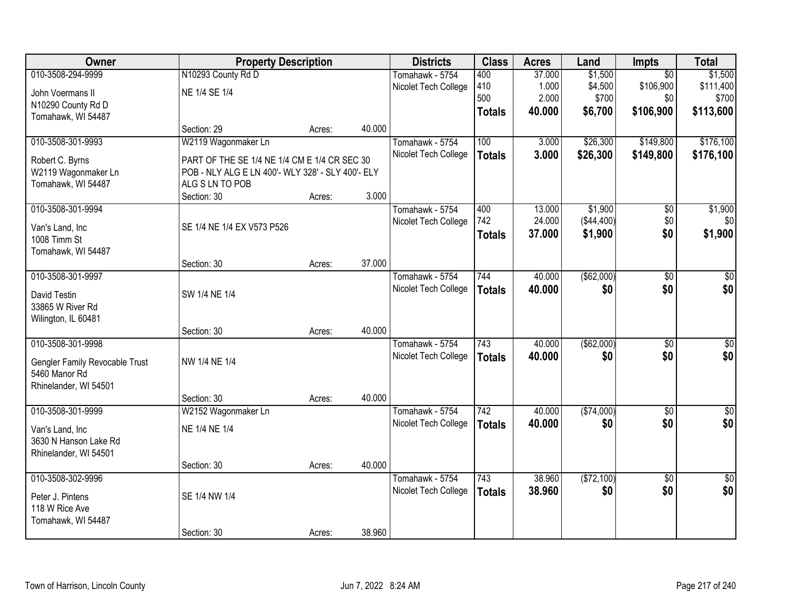| Owner                          | <b>Property Description</b>                       |        |        | <b>Districts</b>     | <b>Class</b>  | <b>Acres</b> | Land        | <b>Impts</b>    | <b>Total</b>    |
|--------------------------------|---------------------------------------------------|--------|--------|----------------------|---------------|--------------|-------------|-----------------|-----------------|
| 010-3508-294-9999              | N10293 County Rd D                                |        |        | Tomahawk - 5754      | 400           | 37.000       | \$1,500     | $\overline{50}$ | \$1,500         |
| John Voermans II               | NE 1/4 SE 1/4                                     |        |        | Nicolet Tech College | 410           | 1.000        | \$4,500     | \$106,900       | \$111,400       |
| N10290 County Rd D             |                                                   |        |        |                      | 500           | 2.000        | \$700       | \$0             | \$700           |
| Tomahawk, WI 54487             |                                                   |        |        |                      | <b>Totals</b> | 40.000       | \$6,700     | \$106,900       | \$113,600       |
|                                | Section: 29                                       | Acres: | 40.000 |                      |               |              |             |                 |                 |
| 010-3508-301-9993              | W2119 Wagonmaker Ln                               |        |        | Tomahawk - 5754      | 100           | 3.000        | \$26,300    | \$149,800       | \$176,100       |
| Robert C. Byrns                | PART OF THE SE 1/4 NE 1/4 CM E 1/4 CR SEC 30      |        |        | Nicolet Tech College | <b>Totals</b> | 3.000        | \$26,300    | \$149,800       | \$176,100       |
| W2119 Wagonmaker Ln            | POB - NLY ALG E LN 400'- WLY 328' - SLY 400'- ELY |        |        |                      |               |              |             |                 |                 |
| Tomahawk, WI 54487             | ALG S LN TO POB                                   |        |        |                      |               |              |             |                 |                 |
|                                | Section: 30                                       | Acres: | 3.000  |                      |               |              |             |                 |                 |
| 010-3508-301-9994              |                                                   |        |        | Tomahawk - 5754      | 400           | 13.000       | \$1,900     | \$0             | \$1,900         |
| Van's Land, Inc                | SE 1/4 NE 1/4 EX V573 P526                        |        |        | Nicolet Tech College | 742           | 24.000       | (\$44,400)  | \$0             | \$0             |
| 1008 Timm St                   |                                                   |        |        |                      | <b>Totals</b> | 37.000       | \$1,900     | \$0             | \$1,900         |
| Tomahawk, WI 54487             |                                                   |        |        |                      |               |              |             |                 |                 |
|                                | Section: 30                                       | Acres: | 37.000 |                      |               |              |             |                 |                 |
| 010-3508-301-9997              |                                                   |        |        | Tomahawk - 5754      | 744           | 40.000       | ( \$62,000) | $\overline{50}$ | \$0             |
| David Testin                   | SW 1/4 NE 1/4                                     |        |        | Nicolet Tech College | <b>Totals</b> | 40.000       | \$0         | \$0             | \$0             |
| 33865 W River Rd               |                                                   |        |        |                      |               |              |             |                 |                 |
| Wilington, IL 60481            |                                                   |        |        |                      |               |              |             |                 |                 |
|                                | Section: 30                                       | Acres: | 40.000 |                      |               |              |             |                 |                 |
| 010-3508-301-9998              |                                                   |        |        | Tomahawk - 5754      | 743           | 40.000       | (\$62,000)  | $\overline{50}$ | \$0             |
| Gengler Family Revocable Trust | NW 1/4 NE 1/4                                     |        |        | Nicolet Tech College | <b>Totals</b> | 40.000       | \$0         | \$0             | \$0             |
| 5460 Manor Rd                  |                                                   |        |        |                      |               |              |             |                 |                 |
| Rhinelander, WI 54501          |                                                   |        |        |                      |               |              |             |                 |                 |
|                                | Section: 30                                       | Acres: | 40.000 |                      |               |              |             |                 |                 |
| 010-3508-301-9999              | W2152 Wagonmaker Ln                               |        |        | Tomahawk - 5754      | 742           | 40.000       | ( \$74,000) | $\sqrt{6}$      | $\frac{6}{3}$   |
| Van's Land, Inc                | NE 1/4 NE 1/4                                     |        |        | Nicolet Tech College | <b>Totals</b> | 40.000       | \$0         | \$0             | \$0             |
| 3630 N Hanson Lake Rd          |                                                   |        |        |                      |               |              |             |                 |                 |
| Rhinelander, WI 54501          |                                                   |        |        |                      |               |              |             |                 |                 |
|                                | Section: 30                                       | Acres: | 40.000 |                      |               |              |             |                 |                 |
| 010-3508-302-9996              |                                                   |        |        | Tomahawk - 5754      | 743           | 38.960       | (\$72,100)  | $\overline{50}$ | $\overline{50}$ |
| Peter J. Pintens               | SE 1/4 NW 1/4                                     |        |        | Nicolet Tech College | <b>Totals</b> | 38.960       | \$0         | \$0             | \$0             |
| 118 W Rice Ave                 |                                                   |        |        |                      |               |              |             |                 |                 |
| Tomahawk, WI 54487             |                                                   |        |        |                      |               |              |             |                 |                 |
|                                | Section: 30                                       | Acres: | 38.960 |                      |               |              |             |                 |                 |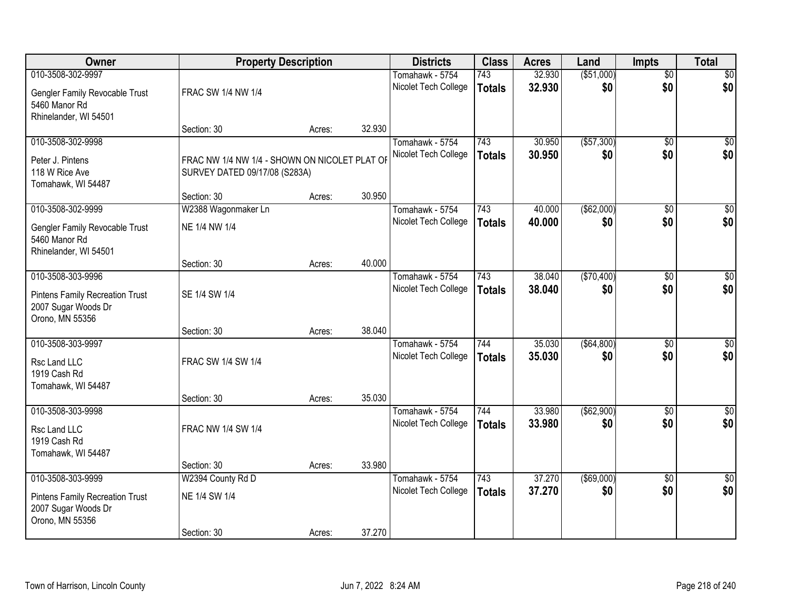| Owner                                                                                                 | <b>Property Description</b>                                                    |        |        | <b>Districts</b>                        | <b>Class</b>         | <b>Acres</b>     | Land                 | <b>Impts</b>           | <b>Total</b>           |
|-------------------------------------------------------------------------------------------------------|--------------------------------------------------------------------------------|--------|--------|-----------------------------------------|----------------------|------------------|----------------------|------------------------|------------------------|
| 010-3508-302-9997<br>Gengler Family Revocable Trust<br>5460 Manor Rd                                  | FRAC SW 1/4 NW 1/4                                                             |        |        | Tomahawk - 5754<br>Nicolet Tech College | 743<br><b>Totals</b> | 32.930<br>32.930 | ( \$51,000)<br>\$0   | $\overline{50}$<br>\$0 | \$0<br>\$0             |
| Rhinelander, WI 54501                                                                                 | Section: 30                                                                    | Acres: | 32.930 |                                         |                      |                  |                      |                        |                        |
| 010-3508-302-9998<br>Peter J. Pintens<br>118 W Rice Ave<br>Tomahawk, WI 54487                         | FRAC NW 1/4 NW 1/4 - SHOWN ON NICOLET PLAT OF<br>SURVEY DATED 09/17/08 (S283A) |        |        | Tomahawk - 5754<br>Nicolet Tech College | 743<br><b>Totals</b> | 30.950<br>30.950 | ( \$57, 300)<br>\$0  | \$0<br>\$0             | \$0<br>\$0             |
| 010-3508-302-9999                                                                                     | Section: 30<br>W2388 Wagonmaker Ln                                             | Acres: | 30.950 | Tomahawk - 5754                         | 743                  | 40.000           | ( \$62,000)          | \$0                    | $\overline{50}$        |
| Gengler Family Revocable Trust<br>5460 Manor Rd<br>Rhinelander, WI 54501                              | NE 1/4 NW 1/4                                                                  |        |        | Nicolet Tech College                    | <b>Totals</b>        | 40.000           | \$0                  | \$0                    | \$0                    |
|                                                                                                       | Section: 30                                                                    | Acres: | 40.000 |                                         |                      |                  |                      |                        |                        |
| 010-3508-303-9996<br><b>Pintens Family Recreation Trust</b><br>2007 Sugar Woods Dr<br>Orono, MN 55356 | SE 1/4 SW 1/4                                                                  |        |        | Tomahawk - 5754<br>Nicolet Tech College | 743<br><b>Totals</b> | 38.040<br>38.040 | (\$70,400)<br>\$0    | \$0<br>\$0             | $\sqrt{50}$<br>\$0     |
|                                                                                                       | Section: 30                                                                    | Acres: | 38.040 |                                         |                      |                  |                      |                        |                        |
| 010-3508-303-9997<br>Rsc Land LLC<br>1919 Cash Rd<br>Tomahawk, WI 54487                               | FRAC SW 1/4 SW 1/4<br>Section: 30                                              | Acres: | 35.030 | Tomahawk - 5754<br>Nicolet Tech College | 744<br><b>Totals</b> | 35.030<br>35.030 | ( \$64, 800)<br>\$0  | \$0<br>\$0             | $\sqrt{50}$<br>\$0     |
| 010-3508-303-9998<br>Rsc Land LLC<br>1919 Cash Rd<br>Tomahawk, WI 54487                               | FRAC NW 1/4 SW 1/4                                                             |        |        | Tomahawk - 5754<br>Nicolet Tech College | 744<br><b>Totals</b> | 33.980<br>33.980 | ( \$62, 900)<br>\$0  | \$0<br>\$0             | \$0<br>\$0             |
|                                                                                                       | Section: 30                                                                    | Acres: | 33.980 |                                         |                      |                  |                      |                        |                        |
| 010-3508-303-9999<br><b>Pintens Family Recreation Trust</b><br>2007 Sugar Woods Dr<br>Orono, MN 55356 | W2394 County Rd D<br>NE 1/4 SW 1/4<br>Section: 30                              | Acres: | 37.270 | Tomahawk - 5754<br>Nicolet Tech College | 743<br><b>Totals</b> | 37.270<br>37.270 | $($ \$69,000)<br>\$0 | $\overline{50}$<br>\$0 | $\overline{30}$<br>\$0 |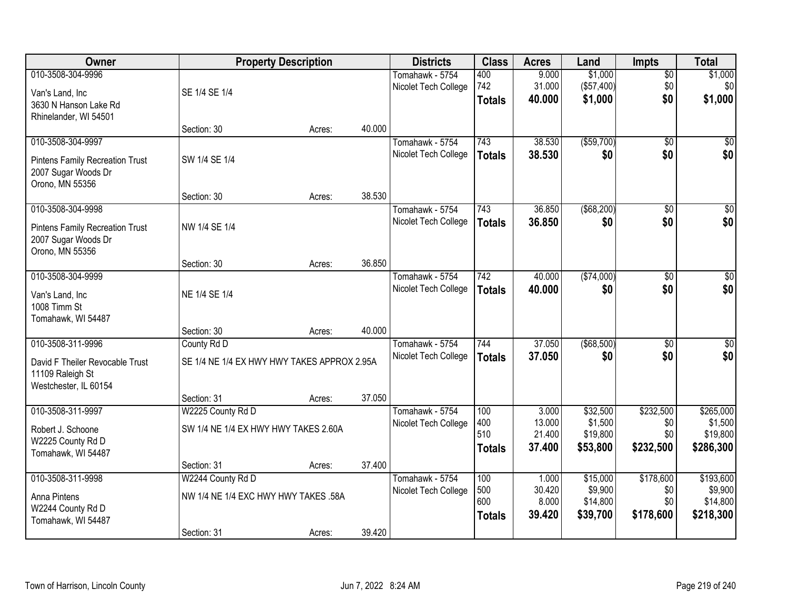| Owner                                  |                                             | <b>Property Description</b> |        | <b>Districts</b>     | <b>Class</b>  | <b>Acres</b>    | Land                | <b>Impts</b>     | <b>Total</b>         |
|----------------------------------------|---------------------------------------------|-----------------------------|--------|----------------------|---------------|-----------------|---------------------|------------------|----------------------|
| 010-3508-304-9996                      |                                             |                             |        | Tomahawk - 5754      | 400           | 9.000           | \$1,000             | $\sqrt{$0}$      | \$1,000              |
| Van's Land, Inc                        | SE 1/4 SE 1/4                               |                             |        | Nicolet Tech College | 742           | 31.000          | (\$57,400)          | \$0              | \$0                  |
| 3630 N Hanson Lake Rd                  |                                             |                             |        |                      | <b>Totals</b> | 40.000          | \$1,000             | \$0              | \$1,000              |
| Rhinelander, WI 54501                  |                                             |                             |        |                      |               |                 |                     |                  |                      |
|                                        | Section: 30                                 | Acres:                      | 40.000 |                      |               |                 |                     |                  |                      |
| 010-3508-304-9997                      |                                             |                             |        | Tomahawk - 5754      | 743           | 38.530          | ( \$59,700)         | $\overline{50}$  | \$0                  |
| <b>Pintens Family Recreation Trust</b> | SW 1/4 SE 1/4                               |                             |        | Nicolet Tech College | <b>Totals</b> | 38.530          | \$0                 | \$0              | \$0                  |
| 2007 Sugar Woods Dr                    |                                             |                             |        |                      |               |                 |                     |                  |                      |
| Orono, MN 55356                        |                                             |                             |        |                      |               |                 |                     |                  |                      |
|                                        | Section: 30                                 | Acres:                      | 38.530 |                      |               |                 |                     |                  |                      |
| 010-3508-304-9998                      |                                             |                             |        | Tomahawk - 5754      | 743           | 36.850          | ( \$68,200)         | \$0              | $\overline{50}$      |
| <b>Pintens Family Recreation Trust</b> | NW 1/4 SE 1/4                               |                             |        | Nicolet Tech College | <b>Totals</b> | 36.850          | \$0                 | \$0              | \$0                  |
| 2007 Sugar Woods Dr                    |                                             |                             |        |                      |               |                 |                     |                  |                      |
| Orono, MN 55356                        |                                             |                             |        |                      |               |                 |                     |                  |                      |
|                                        | Section: 30                                 | Acres:                      | 36.850 |                      |               |                 |                     |                  |                      |
| 010-3508-304-9999                      |                                             |                             |        | Tomahawk - 5754      | 742           | 40.000          | (\$74,000)          | \$0              | $\sqrt{50}$          |
| Van's Land, Inc                        | NE 1/4 SE 1/4                               |                             |        | Nicolet Tech College | <b>Totals</b> | 40,000          | \$0                 | \$0              | \$0                  |
| 1008 Timm St                           |                                             |                             |        |                      |               |                 |                     |                  |                      |
| Tomahawk, WI 54487                     |                                             |                             |        |                      |               |                 |                     |                  |                      |
|                                        | Section: 30                                 | Acres:                      | 40.000 |                      |               |                 |                     |                  |                      |
| 010-3508-311-9996                      | County Rd D                                 |                             |        | Tomahawk - 5754      | 744           | 37.050          | (\$68,500)          | \$0              | $\sqrt{50}$          |
| David F Theiler Revocable Trust        | SE 1/4 NE 1/4 EX HWY HWY TAKES APPROX 2.95A |                             |        | Nicolet Tech College | <b>Totals</b> | 37,050          | \$0                 | \$0              | \$0                  |
| 11109 Raleigh St                       |                                             |                             |        |                      |               |                 |                     |                  |                      |
| Westchester, IL 60154                  |                                             |                             |        |                      |               |                 |                     |                  |                      |
|                                        | Section: 31                                 | Acres:                      | 37.050 |                      |               |                 |                     |                  |                      |
| 010-3508-311-9997                      | W2225 County Rd D                           |                             |        | Tomahawk - 5754      | 100           | 3.000<br>13.000 | \$32,500            | \$232,500        | \$265,000            |
| Robert J. Schoone                      | SW 1/4 NE 1/4 EX HWY HWY TAKES 2.60A        |                             |        | Nicolet Tech College | 400<br>510    | 21.400          | \$1,500<br>\$19,800 | \$0<br>\$0       | \$1,500<br>\$19,800  |
| W2225 County Rd D                      |                                             |                             |        |                      | <b>Totals</b> | 37.400          | \$53,800            | \$232,500        | \$286,300            |
| Tomahawk, WI 54487                     |                                             |                             |        |                      |               |                 |                     |                  |                      |
|                                        | Section: 31                                 | Acres:                      | 37.400 |                      |               |                 |                     |                  |                      |
| 010-3508-311-9998                      | W2244 County Rd D                           |                             |        | Tomahawk - 5754      | 100<br>500    | 1.000<br>30.420 | \$15,000<br>\$9,900 | \$178,600<br>\$0 | \$193,600<br>\$9,900 |
| Anna Pintens                           | NW 1/4 NE 1/4 EXC HWY HWY TAKES .58A        |                             |        | Nicolet Tech College | 600           | 8.000           | \$14,800            | \$0              | \$14,800             |
| W2244 County Rd D                      |                                             |                             |        |                      | <b>Totals</b> | 39.420          | \$39,700            | \$178,600        | \$218,300            |
| Tomahawk, WI 54487                     |                                             |                             |        |                      |               |                 |                     |                  |                      |
|                                        | Section: 31                                 | Acres:                      | 39.420 |                      |               |                 |                     |                  |                      |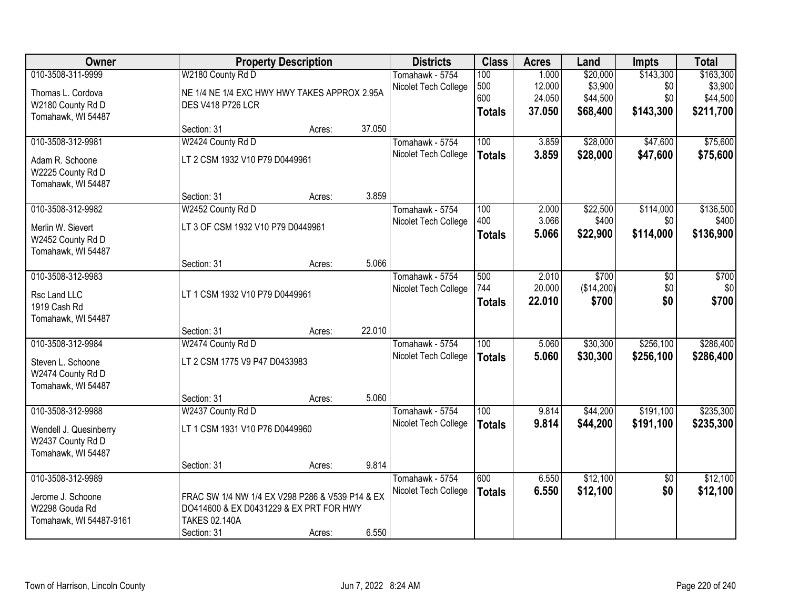| Owner                   |                                                 | <b>Property Description</b> |        | <b>Districts</b>     | <b>Class</b>     | <b>Acres</b> | Land       | <b>Impts</b>    | <b>Total</b> |
|-------------------------|-------------------------------------------------|-----------------------------|--------|----------------------|------------------|--------------|------------|-----------------|--------------|
| 010-3508-311-9999       | W2180 County Rd D                               |                             |        | Tomahawk - 5754      | 100              | 1.000        | \$20,000   | \$143,300       | \$163,300    |
| Thomas L. Cordova       | NE 1/4 NE 1/4 EXC HWY HWY TAKES APPROX 2.95A    |                             |        | Nicolet Tech College | 500              | 12.000       | \$3,900    | \$0             | \$3,900      |
| W2180 County Rd D       | <b>DES V418 P726 LCR</b>                        |                             |        |                      | 600              | 24.050       | \$44,500   | \$0             | \$44,500     |
| Tomahawk, WI 54487      |                                                 |                             |        |                      | <b>Totals</b>    | 37.050       | \$68,400   | \$143,300       | \$211,700    |
|                         | Section: 31                                     | Acres:                      | 37.050 |                      |                  |              |            |                 |              |
| 010-3508-312-9981       | W2424 County Rd D                               |                             |        | Tomahawk - 5754      | 100              | 3.859        | \$28,000   | \$47,600        | \$75,600     |
| Adam R. Schoone         | LT 2 CSM 1932 V10 P79 D0449961                  |                             |        | Nicolet Tech College | <b>Totals</b>    | 3.859        | \$28,000   | \$47,600        | \$75,600     |
| W2225 County Rd D       |                                                 |                             |        |                      |                  |              |            |                 |              |
| Tomahawk, WI 54487      |                                                 |                             |        |                      |                  |              |            |                 |              |
|                         | Section: 31                                     | Acres:                      | 3.859  |                      |                  |              |            |                 |              |
| 010-3508-312-9982       | W2452 County Rd D                               |                             |        | Tomahawk - 5754      | 100              | 2.000        | \$22,500   | \$114,000       | \$136,500    |
| Merlin W. Sievert       | LT 3 OF CSM 1932 V10 P79 D0449961               |                             |        | Nicolet Tech College | 400              | 3.066        | \$400      | \$0             | \$400        |
| W2452 County Rd D       |                                                 |                             |        |                      | <b>Totals</b>    | 5.066        | \$22,900   | \$114,000       | \$136,900    |
| Tomahawk, WI 54487      |                                                 |                             |        |                      |                  |              |            |                 |              |
|                         | Section: 31                                     | Acres:                      | 5.066  |                      |                  |              |            |                 |              |
| 010-3508-312-9983       |                                                 |                             |        | Tomahawk - 5754      | 500              | 2.010        | \$700      | $\overline{50}$ | \$700        |
| Rsc Land LLC            | LT 1 CSM 1932 V10 P79 D0449961                  |                             |        | Nicolet Tech College | 744              | 20.000       | (\$14,200) | \$0             | \$0          |
| 1919 Cash Rd            |                                                 |                             |        |                      | <b>Totals</b>    | 22.010       | \$700      | \$0             | \$700        |
| Tomahawk, WI 54487      |                                                 |                             |        |                      |                  |              |            |                 |              |
|                         | Section: 31                                     | Acres:                      | 22.010 |                      |                  |              |            |                 |              |
| 010-3508-312-9984       | W2474 County Rd D                               |                             |        | Tomahawk - 5754      | $\overline{100}$ | 5.060        | \$30,300   | \$256,100       | \$286,400    |
| Steven L. Schoone       | LT 2 CSM 1775 V9 P47 D0433983                   |                             |        | Nicolet Tech College | <b>Totals</b>    | 5.060        | \$30,300   | \$256,100       | \$286,400    |
| W2474 County Rd D       |                                                 |                             |        |                      |                  |              |            |                 |              |
| Tomahawk, WI 54487      |                                                 |                             |        |                      |                  |              |            |                 |              |
|                         | Section: 31                                     | Acres:                      | 5.060  |                      |                  |              |            |                 |              |
| 010-3508-312-9988       | W2437 County Rd D                               |                             |        | Tomahawk - 5754      | 100              | 9.814        | \$44,200   | \$191,100       | \$235,300    |
| Wendell J. Quesinberry  | LT 1 CSM 1931 V10 P76 D0449960                  |                             |        | Nicolet Tech College | <b>Totals</b>    | 9.814        | \$44,200   | \$191,100       | \$235,300    |
| W2437 County Rd D       |                                                 |                             |        |                      |                  |              |            |                 |              |
| Tomahawk, WI 54487      |                                                 |                             |        |                      |                  |              |            |                 |              |
|                         | Section: 31                                     | Acres:                      | 9.814  |                      |                  |              |            |                 |              |
| 010-3508-312-9989       |                                                 |                             |        | Tomahawk - 5754      | 600              | 6.550        | \$12,100   | $\overline{50}$ | \$12,100     |
| Jerome J. Schoone       | FRAC SW 1/4 NW 1/4 EX V298 P286 & V539 P14 & EX |                             |        | Nicolet Tech College | <b>Totals</b>    | 6.550        | \$12,100   | \$0             | \$12,100     |
| W2298 Gouda Rd          | DO414600 & EX D0431229 & EX PRT FOR HWY         |                             |        |                      |                  |              |            |                 |              |
| Tomahawk, WI 54487-9161 | <b>TAKES 02.140A</b>                            |                             |        |                      |                  |              |            |                 |              |
|                         | Section: 31                                     | Acres:                      | 6.550  |                      |                  |              |            |                 |              |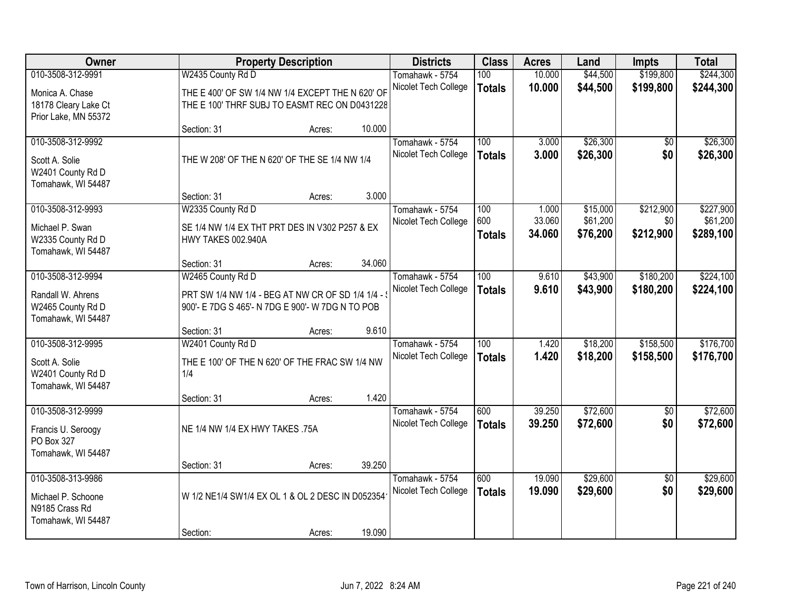| Owner                                   |                                                  | <b>Property Description</b> |        | <b>Districts</b>                        | <b>Class</b>     | <b>Acres</b>     | Land                 | <b>Impts</b>      | <b>Total</b> |
|-----------------------------------------|--------------------------------------------------|-----------------------------|--------|-----------------------------------------|------------------|------------------|----------------------|-------------------|--------------|
| 010-3508-312-9991                       | W2435 County Rd D                                |                             |        | Tomahawk - 5754                         | 100              | 10.000           | \$44,500             | \$199,800         | \$244,300    |
| Monica A. Chase                         | THE E 400' OF SW 1/4 NW 1/4 EXCEPT THE N 620' OF |                             |        | Nicolet Tech College                    | <b>Totals</b>    | 10.000           | \$44,500             | \$199,800         | \$244,300    |
| 18178 Cleary Lake Ct                    | THE E 100' THRF SUBJ TO EASMT REC ON D0431228    |                             |        |                                         |                  |                  |                      |                   |              |
| Prior Lake, MN 55372                    |                                                  |                             |        |                                         |                  |                  |                      |                   |              |
|                                         | Section: 31                                      | Acres:                      | 10.000 |                                         |                  |                  |                      |                   |              |
| 010-3508-312-9992                       |                                                  |                             |        | Tomahawk - 5754                         | 100              | 3.000            | \$26,300             | \$0               | \$26,300     |
| Scott A. Solie                          | THE W 208' OF THE N 620' OF THE SE 1/4 NW 1/4    |                             |        | Nicolet Tech College                    | <b>Totals</b>    | 3.000            | \$26,300             | \$0               | \$26,300     |
| W2401 County Rd D                       |                                                  |                             |        |                                         |                  |                  |                      |                   |              |
| Tomahawk, WI 54487                      |                                                  |                             |        |                                         |                  |                  |                      |                   |              |
| 010-3508-312-9993                       | Section: 31<br>W2335 County Rd D                 | Acres:                      | 3.000  | Tomahawk - 5754                         | 100              | 1.000            | \$15,000             | \$212,900         | \$227,900    |
|                                         |                                                  |                             |        | Nicolet Tech College                    | 600              | 33.060           | \$61,200             | \$0               | \$61,200     |
| Michael P. Swan                         | SE 1/4 NW 1/4 EX THT PRT DES IN V302 P257 & EX   |                             |        |                                         | <b>Totals</b>    | 34.060           | \$76,200             | \$212,900         | \$289,100    |
| W2335 County Rd D<br>Tomahawk, WI 54487 | HWY TAKES 002.940A                               |                             |        |                                         |                  |                  |                      |                   |              |
|                                         | Section: 31                                      | Acres:                      | 34.060 |                                         |                  |                  |                      |                   |              |
| 010-3508-312-9994                       | W2465 County Rd D                                |                             |        | Tomahawk - 5754                         | 100              | 9.610            | \$43,900             | \$180,200         | \$224,100    |
| Randall W. Ahrens                       | PRT SW 1/4 NW 1/4 - BEG AT NW CR OF SD 1/4 1/4 - |                             |        | Nicolet Tech College                    | <b>Totals</b>    | 9.610            | \$43,900             | \$180,200         | \$224,100    |
| W2465 County Rd D                       | 900'- E 7DG S 465'- N 7DG E 900'- W 7DG N TO POB |                             |        |                                         |                  |                  |                      |                   |              |
| Tomahawk, WI 54487                      |                                                  |                             |        |                                         |                  |                  |                      |                   |              |
|                                         | Section: 31                                      | Acres:                      | 9.610  |                                         |                  |                  |                      |                   |              |
| 010-3508-312-9995                       | W2401 County Rd D                                |                             |        | Tomahawk - 5754                         | $\overline{100}$ | 1.420            | \$18,200             | \$158,500         | \$176,700    |
| Scott A. Solie                          | THE E 100' OF THE N 620' OF THE FRAC SW 1/4 NW   |                             |        | Nicolet Tech College                    | <b>Totals</b>    | 1.420            | \$18,200             | \$158,500         | \$176,700    |
| W2401 County Rd D                       | 1/4                                              |                             |        |                                         |                  |                  |                      |                   |              |
| Tomahawk, WI 54487                      |                                                  |                             |        |                                         |                  |                  |                      |                   |              |
|                                         | Section: 31                                      | Acres:                      | 1.420  |                                         |                  |                  |                      |                   |              |
| 010-3508-312-9999                       |                                                  |                             |        | Tomahawk - 5754<br>Nicolet Tech College | 600              | 39.250<br>39.250 | \$72,600<br>\$72,600 | $\sqrt{6}$<br>\$0 | \$72,600     |
| Francis U. Seroogy                      | NE 1/4 NW 1/4 EX HWY TAKES .75A                  |                             |        |                                         | <b>Totals</b>    |                  |                      |                   | \$72,600     |
| PO Box 327                              |                                                  |                             |        |                                         |                  |                  |                      |                   |              |
| Tomahawk, WI 54487                      | Section: 31                                      | Acres:                      | 39.250 |                                         |                  |                  |                      |                   |              |
| 010-3508-313-9986                       |                                                  |                             |        | Tomahawk - 5754                         | 600              | 19.090           | \$29,600             | $\overline{50}$   | \$29,600     |
|                                         |                                                  |                             |        | Nicolet Tech College                    | <b>Totals</b>    | 19.090           | \$29,600             | \$0               | \$29,600     |
| Michael P. Schoone<br>N9185 Crass Rd    | W 1/2 NE1/4 SW1/4 EX OL 1 & OL 2 DESC IN D052354 |                             |        |                                         |                  |                  |                      |                   |              |
| Tomahawk, WI 54487                      |                                                  |                             |        |                                         |                  |                  |                      |                   |              |
|                                         | Section:                                         | Acres:                      | 19.090 |                                         |                  |                  |                      |                   |              |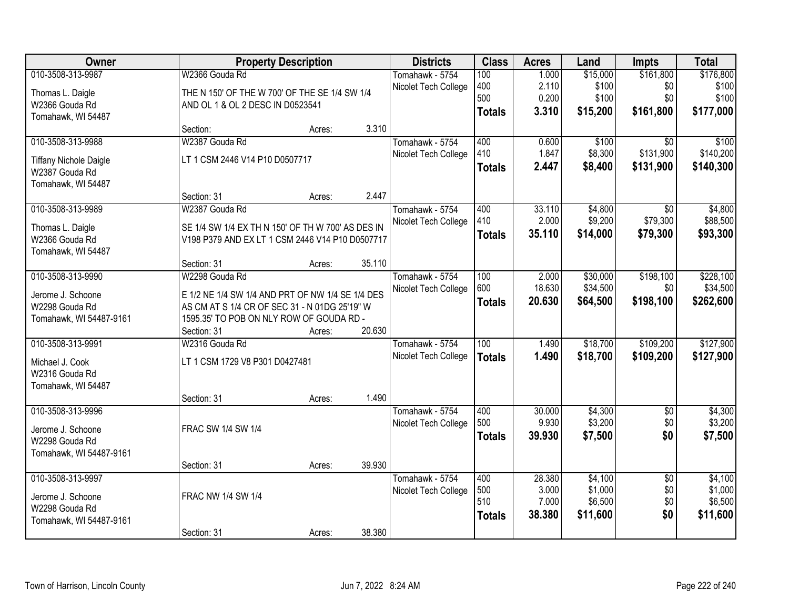| Owner                                           |                                                   | <b>Property Description</b> |        | <b>Districts</b>     | <b>Class</b>     | <b>Acres</b> | Land     | <b>Impts</b>    | <b>Total</b> |
|-------------------------------------------------|---------------------------------------------------|-----------------------------|--------|----------------------|------------------|--------------|----------|-----------------|--------------|
| 010-3508-313-9987                               | W2366 Gouda Rd                                    |                             |        | Tomahawk - 5754      | 100              | 1.000        | \$15,000 | \$161,800       | \$176,800    |
| Thomas L. Daigle                                | THE N 150' OF THE W 700' OF THE SE 1/4 SW 1/4     |                             |        | Nicolet Tech College | 400              | 2.110        | \$100    | \$0             | \$100        |
| W2366 Gouda Rd                                  | AND OL 1 & OL 2 DESC IN D0523541                  |                             |        |                      | 500              | 0.200        | \$100    | \$0             | \$100        |
| Tomahawk, WI 54487                              |                                                   |                             |        |                      | <b>Totals</b>    | 3.310        | \$15,200 | \$161,800       | \$177,000    |
|                                                 | Section:                                          | Acres:                      | 3.310  |                      |                  |              |          |                 |              |
| 010-3508-313-9988                               | W2387 Gouda Rd                                    |                             |        | Tomahawk - 5754      | 400              | 0.600        | \$100    | $\overline{50}$ | \$100        |
|                                                 | LT 1 CSM 2446 V14 P10 D0507717                    |                             |        | Nicolet Tech College | 410              | 1.847        | \$8,300  | \$131,900       | \$140,200    |
| <b>Tiffany Nichole Daigle</b><br>W2387 Gouda Rd |                                                   |                             |        |                      | <b>Totals</b>    | 2.447        | \$8,400  | \$131,900       | \$140,300    |
| Tomahawk, WI 54487                              |                                                   |                             |        |                      |                  |              |          |                 |              |
|                                                 | Section: 31                                       | Acres:                      | 2.447  |                      |                  |              |          |                 |              |
| 010-3508-313-9989                               | W2387 Gouda Rd                                    |                             |        | Tomahawk - 5754      | 400              | 33.110       | \$4,800  | \$0             | \$4,800      |
|                                                 |                                                   |                             |        | Nicolet Tech College | 410              | 2.000        | \$9,200  | \$79,300        | \$88,500     |
| Thomas L. Daigle                                | SE 1/4 SW 1/4 EX TH N 150' OF TH W 700' AS DES IN |                             |        |                      | <b>Totals</b>    | 35.110       | \$14,000 | \$79,300        | \$93,300     |
| W2366 Gouda Rd                                  | V198 P379 AND EX LT 1 CSM 2446 V14 P10 D0507717   |                             |        |                      |                  |              |          |                 |              |
| Tomahawk, WI 54487                              | Section: 31                                       | Acres:                      | 35.110 |                      |                  |              |          |                 |              |
| 010-3508-313-9990                               | W2298 Gouda Rd                                    |                             |        | Tomahawk - 5754      | 100              | 2.000        | \$30,000 | \$198,100       | \$228,100    |
|                                                 |                                                   |                             |        | Nicolet Tech College | 600              | 18.630       | \$34,500 | \$0             | \$34,500     |
| Jerome J. Schoone                               | E 1/2 NE 1/4 SW 1/4 AND PRT OF NW 1/4 SE 1/4 DES  |                             |        |                      | <b>Totals</b>    | 20.630       | \$64,500 | \$198,100       | \$262,600    |
| W2298 Gouda Rd                                  | AS CM AT S 1/4 CR OF SEC 31 - N 01DG 25'19" W     |                             |        |                      |                  |              |          |                 |              |
| Tomahawk, WI 54487-9161                         | 1595.35' TO POB ON NLY ROW OF GOUDA RD -          |                             |        |                      |                  |              |          |                 |              |
|                                                 | Section: 31                                       | Acres:                      | 20.630 |                      |                  |              |          |                 |              |
| 010-3508-313-9991                               | W2316 Gouda Rd                                    |                             |        | Tomahawk - 5754      | $\overline{100}$ | 1.490        | \$18,700 | \$109,200       | \$127,900    |
| Michael J. Cook                                 | LT 1 CSM 1729 V8 P301 D0427481                    |                             |        | Nicolet Tech College | <b>Totals</b>    | 1.490        | \$18,700 | \$109,200       | \$127,900    |
| W2316 Gouda Rd                                  |                                                   |                             |        |                      |                  |              |          |                 |              |
| Tomahawk, WI 54487                              |                                                   |                             |        |                      |                  |              |          |                 |              |
|                                                 | Section: 31                                       | Acres:                      | 1.490  |                      |                  |              |          |                 |              |
| 010-3508-313-9996                               |                                                   |                             |        | Tomahawk - 5754      | 400              | 30.000       | \$4,300  | $\overline{50}$ | \$4,300      |
| Jerome J. Schoone                               | FRAC SW 1/4 SW 1/4                                |                             |        | Nicolet Tech College | 500              | 9.930        | \$3,200  | \$0             | \$3,200      |
| W2298 Gouda Rd                                  |                                                   |                             |        |                      | <b>Totals</b>    | 39.930       | \$7,500  | \$0             | \$7,500      |
| Tomahawk, WI 54487-9161                         |                                                   |                             |        |                      |                  |              |          |                 |              |
|                                                 | Section: 31                                       | Acres:                      | 39.930 |                      |                  |              |          |                 |              |
| 010-3508-313-9997                               |                                                   |                             |        | Tomahawk - 5754      | 400              | 28.380       | \$4,100  | $\overline{50}$ | \$4,100      |
|                                                 |                                                   |                             |        | Nicolet Tech College | 500              | 3.000        | \$1,000  | \$0             | \$1,000      |
| Jerome J. Schoone                               | FRAC NW 1/4 SW 1/4                                |                             |        |                      | 510              | 7.000        | \$6,500  | \$0             | \$6,500      |
| W2298 Gouda Rd                                  |                                                   |                             |        |                      | <b>Totals</b>    | 38.380       | \$11,600 | \$0             | \$11,600     |
| Tomahawk, WI 54487-9161                         |                                                   |                             |        |                      |                  |              |          |                 |              |
|                                                 | Section: 31                                       | Acres:                      | 38.380 |                      |                  |              |          |                 |              |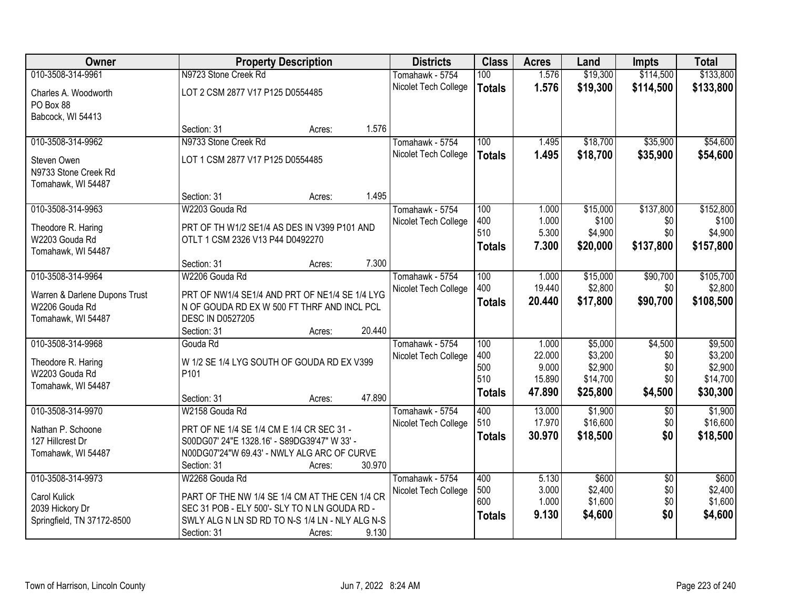| Owner                                | <b>Property Description</b>                                |                  | <b>Districts</b>     | <b>Class</b>  | <b>Acres</b> | Land     | <b>Impts</b>    | <b>Total</b> |
|--------------------------------------|------------------------------------------------------------|------------------|----------------------|---------------|--------------|----------|-----------------|--------------|
| 010-3508-314-9961                    | N9723 Stone Creek Rd                                       |                  | Tomahawk - 5754      | 100           | 1.576        | \$19,300 | \$114,500       | \$133,800    |
| Charles A. Woodworth                 | LOT 2 CSM 2877 V17 P125 D0554485                           |                  | Nicolet Tech College | <b>Totals</b> | 1.576        | \$19,300 | \$114,500       | \$133,800    |
| PO Box 88                            |                                                            |                  |                      |               |              |          |                 |              |
| Babcock, WI 54413                    |                                                            |                  |                      |               |              |          |                 |              |
|                                      | Section: 31                                                | 1.576<br>Acres:  |                      |               |              |          |                 |              |
| 010-3508-314-9962                    | N9733 Stone Creek Rd                                       |                  | Tomahawk - 5754      | 100           | 1.495        | \$18,700 | \$35,900        | \$54,600     |
| Steven Owen                          | LOT 1 CSM 2877 V17 P125 D0554485                           |                  | Nicolet Tech College | <b>Totals</b> | 1.495        | \$18,700 | \$35,900        | \$54,600     |
| N9733 Stone Creek Rd                 |                                                            |                  |                      |               |              |          |                 |              |
| Tomahawk, WI 54487                   |                                                            |                  |                      |               |              |          |                 |              |
|                                      | Section: 31                                                | 1.495<br>Acres:  |                      |               |              |          |                 |              |
| 010-3508-314-9963                    | W2203 Gouda Rd                                             |                  | Tomahawk - 5754      | 100           | 1.000        | \$15,000 | \$137,800       | \$152,800    |
| Theodore R. Haring                   | PRT OF TH W1/2 SE1/4 AS DES IN V399 P101 AND               |                  | Nicolet Tech College | 400           | 1.000        | \$100    | \$0             | \$100        |
| W2203 Gouda Rd                       | OTLT 1 CSM 2326 V13 P44 D0492270                           |                  |                      | 510           | 5.300        | \$4,900  | \$0             | \$4,900      |
| Tomahawk, WI 54487                   |                                                            |                  |                      | <b>Totals</b> | 7.300        | \$20,000 | \$137,800       | \$157,800    |
|                                      | Section: 31                                                | 7.300<br>Acres:  |                      |               |              |          |                 |              |
| 010-3508-314-9964                    | W2206 Gouda Rd                                             |                  | Tomahawk - 5754      | 100           | 1.000        | \$15,000 | \$90,700        | \$105,700    |
| Warren & Darlene Dupons Trust        | PRT OF NW1/4 SE1/4 AND PRT OF NE1/4 SE 1/4 LYG             |                  | Nicolet Tech College | 400           | 19.440       | \$2,800  | \$0             | \$2,800      |
| W2206 Gouda Rd                       | N OF GOUDA RD EX W 500 FT THRF AND INCL PCL                |                  |                      | <b>Totals</b> | 20.440       | \$17,800 | \$90,700        | \$108,500    |
| Tomahawk, WI 54487                   | <b>DESC IN D0527205</b>                                    |                  |                      |               |              |          |                 |              |
|                                      | Section: 31                                                | 20.440<br>Acres: |                      |               |              |          |                 |              |
| 010-3508-314-9968                    | Gouda Rd                                                   |                  | Tomahawk - 5754      | 100           | 1.000        | \$5,000  | \$4,500         | \$9,500      |
|                                      |                                                            |                  | Nicolet Tech College | 400           | 22.000       | \$3,200  | \$0             | \$3,200      |
| Theodore R. Haring                   | W 1/2 SE 1/4 LYG SOUTH OF GOUDA RD EX V399                 |                  |                      | 500           | 9.000        | \$2,900  | \$0             | \$2,900      |
| W2203 Gouda Rd<br>Tomahawk, WI 54487 | P <sub>101</sub>                                           |                  |                      | 510           | 15.890       | \$14,700 | \$0             | \$14,700     |
|                                      | Section: 31                                                | 47.890<br>Acres: |                      | <b>Totals</b> | 47.890       | \$25,800 | \$4,500         | \$30,300     |
| 010-3508-314-9970                    | W2158 Gouda Rd                                             |                  | Tomahawk - 5754      | 400           | 13.000       | \$1,900  | $\overline{50}$ | \$1,900      |
|                                      |                                                            |                  | Nicolet Tech College | 510           | 17.970       | \$16,600 | \$0             | \$16,600     |
| Nathan P. Schoone                    | PRT OF NE 1/4 SE 1/4 CM E 1/4 CR SEC 31 -                  |                  |                      | <b>Totals</b> | 30.970       | \$18,500 | \$0             | \$18,500     |
| 127 Hillcrest Dr                     | S00DG07' 24"E 1328.16' - S89DG39'47" W 33' -               |                  |                      |               |              |          |                 |              |
| Tomahawk, WI 54487                   | N00DG07'24"W 69.43' - NWLY ALG ARC OF CURVE<br>Section: 31 | 30.970           |                      |               |              |          |                 |              |
| 010-3508-314-9973                    | W2268 Gouda Rd                                             | Acres:           | Tomahawk - 5754      | 400           | 5.130        | \$600    | $\overline{50}$ | \$600        |
|                                      |                                                            |                  | Nicolet Tech College | 500           | 3.000        | \$2,400  | \$0             | \$2,400      |
| Carol Kulick                         | PART OF THE NW 1/4 SE 1/4 CM AT THE CEN 1/4 CR             |                  |                      | 600           | 1.000        | \$1,600  | \$0             | \$1,600      |
| 2039 Hickory Dr                      | SEC 31 POB - ELY 500'- SLY TO N LN GOUDA RD -              |                  |                      | <b>Totals</b> | 9.130        | \$4,600  | \$0             | \$4,600      |
| Springfield, TN 37172-8500           | SWLY ALG N LN SD RD TO N-S 1/4 LN - NLY ALG N-S            |                  |                      |               |              |          |                 |              |
|                                      | Section: 31                                                | 9.130<br>Acres:  |                      |               |              |          |                 |              |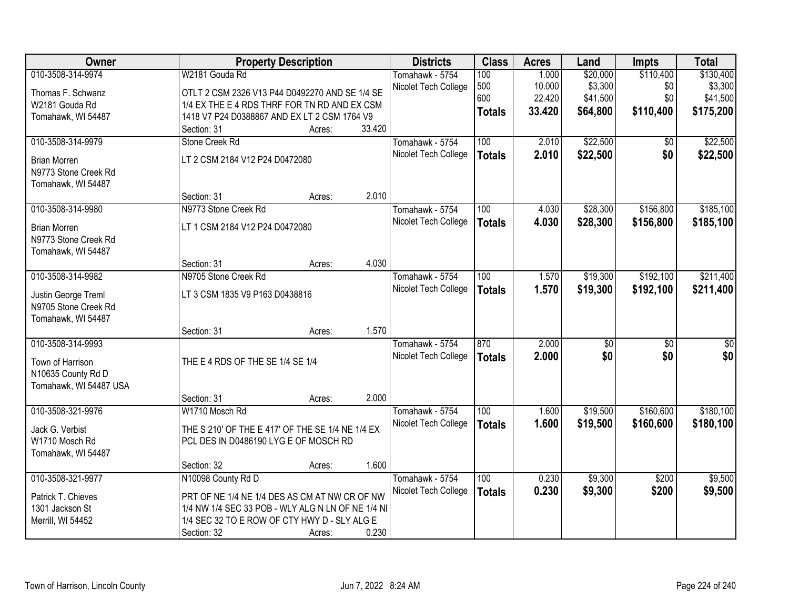| Owner                  |                                                   | <b>Property Description</b> |        | <b>Districts</b>     | <b>Class</b>  | <b>Acres</b> | Land            | <b>Impts</b>    | <b>Total</b> |
|------------------------|---------------------------------------------------|-----------------------------|--------|----------------------|---------------|--------------|-----------------|-----------------|--------------|
| 010-3508-314-9974      | W2181 Gouda Rd                                    |                             |        | Tomahawk - 5754      | 100           | 1.000        | \$20,000        | \$110,400       | \$130,400    |
| Thomas F. Schwanz      | OTLT 2 CSM 2326 V13 P44 D0492270 AND SE 1/4 SE    |                             |        | Nicolet Tech College | 500           | 10.000       | \$3,300         | \$0             | \$3,300      |
| W2181 Gouda Rd         | 1/4 EX THE E 4 RDS THRF FOR TN RD AND EX CSM      |                             |        |                      | 600           | 22.420       | \$41,500        | \$0             | \$41,500     |
| Tomahawk, WI 54487     | 1418 V7 P24 D0388867 AND EX LT 2 CSM 1764 V9      |                             |        |                      | <b>Totals</b> | 33.420       | \$64,800        | \$110,400       | \$175,200    |
|                        | Section: 31                                       | Acres:                      | 33.420 |                      |               |              |                 |                 |              |
| 010-3508-314-9979      | Stone Creek Rd                                    |                             |        | Tomahawk - 5754      | 100           | 2.010        | \$22,500        | \$0             | \$22,500     |
| <b>Brian Morren</b>    | LT 2 CSM 2184 V12 P24 D0472080                    |                             |        | Nicolet Tech College | <b>Totals</b> | 2.010        | \$22,500        | \$0             | \$22,500     |
| N9773 Stone Creek Rd   |                                                   |                             |        |                      |               |              |                 |                 |              |
| Tomahawk, WI 54487     |                                                   |                             |        |                      |               |              |                 |                 |              |
|                        | Section: 31                                       | Acres:                      | 2.010  |                      |               |              |                 |                 |              |
| 010-3508-314-9980      | N9773 Stone Creek Rd                              |                             |        | Tomahawk - 5754      | 100           | 4.030        | \$28,300        | \$156,800       | \$185,100    |
| <b>Brian Morren</b>    | LT 1 CSM 2184 V12 P24 D0472080                    |                             |        | Nicolet Tech College | <b>Totals</b> | 4.030        | \$28,300        | \$156,800       | \$185,100    |
| N9773 Stone Creek Rd   |                                                   |                             |        |                      |               |              |                 |                 |              |
| Tomahawk, WI 54487     |                                                   |                             |        |                      |               |              |                 |                 |              |
|                        | Section: 31                                       | Acres:                      | 4.030  |                      |               |              |                 |                 |              |
| 010-3508-314-9982      | N9705 Stone Creek Rd                              |                             |        | Tomahawk - 5754      | 100           | 1.570        | \$19,300        | \$192,100       | \$211,400    |
| Justin George Treml    | LT 3 CSM 1835 V9 P163 D0438816                    |                             |        | Nicolet Tech College | <b>Totals</b> | 1.570        | \$19,300        | \$192,100       | \$211,400    |
| N9705 Stone Creek Rd   |                                                   |                             |        |                      |               |              |                 |                 |              |
| Tomahawk, WI 54487     |                                                   |                             |        |                      |               |              |                 |                 |              |
|                        | Section: 31                                       | Acres:                      | 1.570  |                      |               |              |                 |                 |              |
| 010-3508-314-9993      |                                                   |                             |        | Tomahawk - 5754      | 870           | 2.000        | $\overline{50}$ | $\overline{50}$ | \$0          |
| Town of Harrison       | THE E 4 RDS OF THE SE 1/4 SE 1/4                  |                             |        | Nicolet Tech College | <b>Totals</b> | 2.000        | \$0             | \$0             | \$0          |
| N10635 County Rd D     |                                                   |                             |        |                      |               |              |                 |                 |              |
| Tomahawk, WI 54487 USA |                                                   |                             |        |                      |               |              |                 |                 |              |
|                        | Section: 31                                       | Acres:                      | 2.000  |                      |               |              |                 |                 |              |
| 010-3508-321-9976      | W1710 Mosch Rd                                    |                             |        | Tomahawk - 5754      | 100           | 1.600        | \$19,500        | \$160,600       | \$180,100    |
| Jack G. Verbist        | THE S 210' OF THE E 417' OF THE SE 1/4 NE 1/4 EX  |                             |        | Nicolet Tech College | <b>Totals</b> | 1.600        | \$19,500        | \$160,600       | \$180,100    |
| W1710 Mosch Rd         | PCL DES IN D0486190 LYG E OF MOSCH RD             |                             |        |                      |               |              |                 |                 |              |
| Tomahawk, WI 54487     |                                                   |                             |        |                      |               |              |                 |                 |              |
|                        | Section: 32                                       | Acres:                      | 1.600  |                      |               |              |                 |                 |              |
| 010-3508-321-9977      | N10098 County Rd D                                |                             |        | Tomahawk - 5754      | 100           | 0.230        | \$9,300         | \$200           | \$9,500      |
| Patrick T. Chieves     | PRT OF NE 1/4 NE 1/4 DES AS CM AT NW CR OF NW     |                             |        | Nicolet Tech College | <b>Totals</b> | 0.230        | \$9,300         | \$200           | \$9,500      |
| 1301 Jackson St        | 1/4 NW 1/4 SEC 33 POB - WLY ALG N LN OF NE 1/4 NI |                             |        |                      |               |              |                 |                 |              |
| Merrill, WI 54452      | 1/4 SEC 32 TO E ROW OF CTY HWY D - SLY ALG E      |                             |        |                      |               |              |                 |                 |              |
|                        | Section: 32                                       | Acres:                      | 0.230  |                      |               |              |                 |                 |              |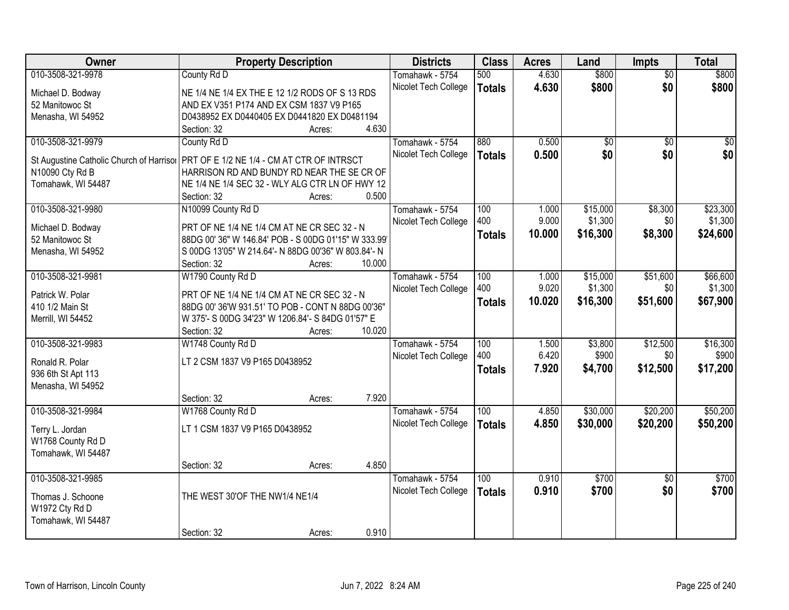| Owner                                    | <b>Property Description</b>                          | <b>Districts</b>     | <b>Class</b>  | <b>Acres</b> | Land            | <b>Impts</b>    | <b>Total</b>     |
|------------------------------------------|------------------------------------------------------|----------------------|---------------|--------------|-----------------|-----------------|------------------|
| 010-3508-321-9978                        | County Rd D                                          | Tomahawk - 5754      | 500           | 4.630        | \$800           | $\overline{50}$ | \$800            |
| Michael D. Bodway                        | NE 1/4 NE 1/4 EX THE E 12 1/2 RODS OF S 13 RDS       | Nicolet Tech College | <b>Totals</b> | 4.630        | \$800           | \$0             | \$800            |
| 52 Manitowoc St                          | AND EX V351 P174 AND EX CSM 1837 V9 P165             |                      |               |              |                 |                 |                  |
| Menasha, WI 54952                        | D0438952 EX D0440405 EX D0441820 EX D0481194         |                      |               |              |                 |                 |                  |
|                                          | 4.630<br>Section: 32<br>Acres:                       |                      |               |              |                 |                 |                  |
| 010-3508-321-9979                        | County Rd D                                          | Tomahawk - 5754      | 880           | 0.500        | $\overline{50}$ | $\overline{50}$ | $\overline{\$0}$ |
|                                          |                                                      | Nicolet Tech College | <b>Totals</b> | 0.500        | \$0             | \$0             | \$0              |
| St Augustine Catholic Church of Harrisor | PRT OF E 1/2 NE 1/4 - CM AT CTR OF INTRSCT           |                      |               |              |                 |                 |                  |
| N10090 Cty Rd B                          | HARRISON RD AND BUNDY RD NEAR THE SE CR OF           |                      |               |              |                 |                 |                  |
| Tomahawk, WI 54487                       | NE 1/4 NE 1/4 SEC 32 - WLY ALG CTR LN OF HWY 12      |                      |               |              |                 |                 |                  |
|                                          | 0.500<br>Section: 32<br>Acres:                       |                      |               |              |                 |                 |                  |
| 010-3508-321-9980                        | N10099 County Rd D                                   | Tomahawk - 5754      | 100           | 1.000        | \$15,000        | \$8,300         | \$23,300         |
| Michael D. Bodway                        | PRT OF NE 1/4 NE 1/4 CM AT NE CR SEC 32 - N          | Nicolet Tech College | 400           | 9.000        | \$1,300         | \$0             | \$1,300          |
| 52 Manitowoc St                          | 88DG 00' 36" W 146.84' POB - S 00DG 01'15" W 333.99' |                      | <b>Totals</b> | 10.000       | \$16,300        | \$8,300         | \$24,600         |
| Menasha, WI 54952                        | S 00DG 13'05" W 214.64'- N 88DG 00'36" W 803.84'- N  |                      |               |              |                 |                 |                  |
|                                          | Section: 32<br>10.000<br>Acres:                      |                      |               |              |                 |                 |                  |
| 010-3508-321-9981                        | W1790 County Rd D                                    | Tomahawk - 5754      | 100           | 1.000        | \$15,000        | \$51,600        | \$66,600         |
|                                          |                                                      | Nicolet Tech College | 400           | 9.020        | \$1,300         | \$0             | \$1,300          |
| Patrick W. Polar                         | PRT OF NE 1/4 NE 1/4 CM AT NE CR SEC 32 - N          |                      | <b>Totals</b> | 10.020       | \$16,300        | \$51,600        | \$67,900         |
| 410 1/2 Main St                          | 88DG 00' 36'W 931.51' TO POB - CONT N 88DG 00'36"    |                      |               |              |                 |                 |                  |
| Merrill, WI 54452                        | W 375'- S 00DG 34'23" W 1206.84'- S 84DG 01'57" E    |                      |               |              |                 |                 |                  |
|                                          | 10.020<br>Section: 32<br>Acres:                      |                      |               |              |                 |                 |                  |
| 010-3508-321-9983                        | W1748 County Rd D                                    | Tomahawk - 5754      | 100           | 1.500        | \$3,800         | \$12,500        | \$16,300         |
| Ronald R. Polar                          | LT 2 CSM 1837 V9 P165 D0438952                       | Nicolet Tech College | 400           | 6.420        | \$900           | \$0             | \$900            |
| 936 6th St Apt 113                       |                                                      |                      | <b>Totals</b> | 7.920        | \$4,700         | \$12,500        | \$17,200         |
| Menasha, WI 54952                        |                                                      |                      |               |              |                 |                 |                  |
|                                          | 7.920<br>Section: 32<br>Acres:                       |                      |               |              |                 |                 |                  |
| 010-3508-321-9984                        | W1768 County Rd D                                    | Tomahawk - 5754      | 100           | 4.850        | \$30,000        | \$20,200        | \$50,200         |
|                                          |                                                      | Nicolet Tech College | <b>Totals</b> | 4.850        | \$30,000        | \$20,200        | \$50,200         |
| Terry L. Jordan                          | LT 1 CSM 1837 V9 P165 D0438952                       |                      |               |              |                 |                 |                  |
| W1768 County Rd D                        |                                                      |                      |               |              |                 |                 |                  |
| Tomahawk, WI 54487                       |                                                      |                      |               |              |                 |                 |                  |
|                                          | 4.850<br>Section: 32<br>Acres:                       |                      |               |              |                 |                 |                  |
| 010-3508-321-9985                        |                                                      | Tomahawk - 5754      | 100           | 0.910        | \$700           | $\overline{50}$ | \$700            |
| Thomas J. Schoone                        | THE WEST 30'OF THE NW1/4 NE1/4                       | Nicolet Tech College | <b>Totals</b> | 0.910        | \$700           | \$0             | \$700            |
| W1972 Cty Rd D                           |                                                      |                      |               |              |                 |                 |                  |
| Tomahawk, WI 54487                       |                                                      |                      |               |              |                 |                 |                  |
|                                          | 0.910<br>Section: 32<br>Acres:                       |                      |               |              |                 |                 |                  |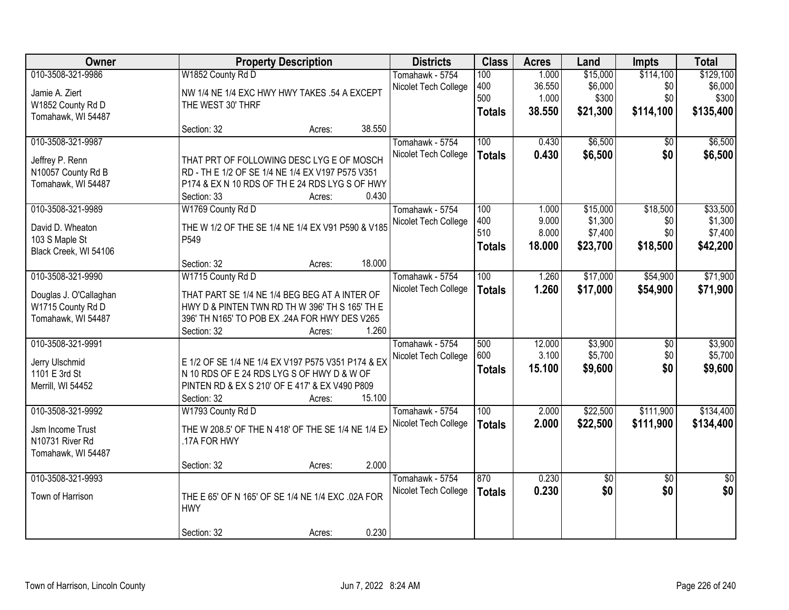| Owner                           |                                                                                                  | <b>Property Description</b> |        | <b>Districts</b>     | <b>Class</b>     | <b>Acres</b> | Land        | <b>Impts</b>    | <b>Total</b>    |
|---------------------------------|--------------------------------------------------------------------------------------------------|-----------------------------|--------|----------------------|------------------|--------------|-------------|-----------------|-----------------|
| 010-3508-321-9986               | W1852 County Rd D                                                                                |                             |        | Tomahawk - 5754      | 100              | 1.000        | \$15,000    | \$114,100       | \$129,100       |
| Jamie A. Ziert                  | NW 1/4 NE 1/4 EXC HWY HWY TAKES .54 A EXCEPT                                                     |                             |        | Nicolet Tech College | 400              | 36.550       | \$6,000     | \$0             | \$6,000         |
| W1852 County Rd D               | THE WEST 30' THRF                                                                                |                             |        |                      | 500              | 1.000        | \$300       | \$0             | \$300           |
| Tomahawk, WI 54487              |                                                                                                  |                             |        |                      | <b>Totals</b>    | 38.550       | \$21,300    | \$114,100       | \$135,400       |
|                                 | Section: 32                                                                                      | Acres:                      | 38.550 |                      |                  |              |             |                 |                 |
| 010-3508-321-9987               |                                                                                                  |                             |        | Tomahawk - 5754      | 100              | 0.430        | \$6,500     | \$0             | \$6,500         |
| Jeffrey P. Renn                 | THAT PRT OF FOLLOWING DESC LYG E OF MOSCH                                                        |                             |        | Nicolet Tech College | <b>Totals</b>    | 0.430        | \$6,500     | \$0             | \$6,500         |
| N10057 County Rd B              | RD - TH E 1/2 OF SE 1/4 NE 1/4 EX V197 P575 V351                                                 |                             |        |                      |                  |              |             |                 |                 |
| Tomahawk, WI 54487              | P174 & EX N 10 RDS OF TH E 24 RDS LYG S OF HWY                                                   |                             |        |                      |                  |              |             |                 |                 |
|                                 | Section: 33                                                                                      | Acres:                      | 0.430  |                      |                  |              |             |                 |                 |
| 010-3508-321-9989               | W1769 County Rd D                                                                                |                             |        | Tomahawk - 5754      | 100              | 1.000        | \$15,000    | \$18,500        | \$33,500        |
| David D. Wheaton                | THE W 1/2 OF THE SE 1/4 NE 1/4 EX V91 P590 & V185                                                |                             |        | Nicolet Tech College | 400              | 9.000        | \$1,300     | \$0             | \$1,300         |
| 103 S Maple St                  | P549                                                                                             |                             |        |                      | 510              | 8.000        | \$7,400     | \$0             | \$7,400         |
| Black Creek, WI 54106           |                                                                                                  |                             |        |                      | <b>Totals</b>    | 18.000       | \$23,700    | \$18,500        | \$42,200        |
|                                 | Section: 32                                                                                      | Acres:                      | 18.000 |                      |                  |              |             |                 |                 |
| 010-3508-321-9990               | W1715 County Rd D                                                                                |                             |        | Tomahawk - 5754      | 100              | 1.260        | \$17,000    | \$54,900        | \$71,900        |
| Douglas J. O'Callaghan          | THAT PART SE 1/4 NE 1/4 BEG BEG AT A INTER OF                                                    |                             |        | Nicolet Tech College | <b>Totals</b>    | 1.260        | \$17,000    | \$54,900        | \$71,900        |
| W1715 County Rd D               | HWY D & PINTEN TWN RD TH W 396' TH S 165' TH E                                                   |                             |        |                      |                  |              |             |                 |                 |
| Tomahawk, WI 54487              | 396' TH N165' TO POB EX .24A FOR HWY DES V265                                                    |                             |        |                      |                  |              |             |                 |                 |
|                                 | Section: 32                                                                                      | Acres:                      | 1.260  |                      |                  |              |             |                 |                 |
| 010-3508-321-9991               |                                                                                                  |                             |        | Tomahawk - 5754      | 500              | 12.000       | \$3,900     | \$0             | \$3,900         |
|                                 |                                                                                                  |                             |        | Nicolet Tech College | 600              | 3.100        | \$5,700     | \$0             | \$5,700         |
| Jerry Ulschmid<br>1101 E 3rd St | E 1/2 OF SE 1/4 NE 1/4 EX V197 P575 V351 P174 & EX<br>N 10 RDS OF E 24 RDS LYG S OF HWY D & W OF |                             |        |                      | <b>Totals</b>    | 15.100       | \$9,600     | \$0             | \$9,600         |
| Merrill, WI 54452               | PINTEN RD & EX S 210' OF E 417' & EX V490 P809                                                   |                             |        |                      |                  |              |             |                 |                 |
|                                 | Section: 32                                                                                      | Acres:                      | 15.100 |                      |                  |              |             |                 |                 |
| 010-3508-321-9992               | W1793 County Rd D                                                                                |                             |        | Tomahawk - 5754      | $\overline{100}$ | 2.000        | \$22,500    | \$111,900       | \$134,400       |
|                                 |                                                                                                  |                             |        | Nicolet Tech College | <b>Totals</b>    | 2.000        | \$22,500    | \$111,900       | \$134,400       |
| Jsm Income Trust                | THE W 208.5' OF THE N 418' OF THE SE 1/4 NE 1/4 EX                                               |                             |        |                      |                  |              |             |                 |                 |
| N10731 River Rd                 | .17A FOR HWY                                                                                     |                             |        |                      |                  |              |             |                 |                 |
| Tomahawk, WI 54487              |                                                                                                  |                             |        |                      |                  |              |             |                 |                 |
|                                 | Section: 32                                                                                      | Acres:                      | 2.000  |                      |                  |              |             |                 |                 |
| 010-3508-321-9993               |                                                                                                  |                             |        | Tomahawk - 5754      | 870              | 0.230        | $\sqrt{$0}$ | $\overline{30}$ | $\overline{50}$ |
| Town of Harrison                | THE E 65' OF N 165' OF SE 1/4 NE 1/4 EXC .02A FOR                                                |                             |        | Nicolet Tech College | <b>Totals</b>    | 0.230        | \$0         | \$0             | \$0             |
|                                 | <b>HWY</b>                                                                                       |                             |        |                      |                  |              |             |                 |                 |
|                                 |                                                                                                  |                             |        |                      |                  |              |             |                 |                 |
|                                 | Section: 32                                                                                      | Acres:                      | 0.230  |                      |                  |              |             |                 |                 |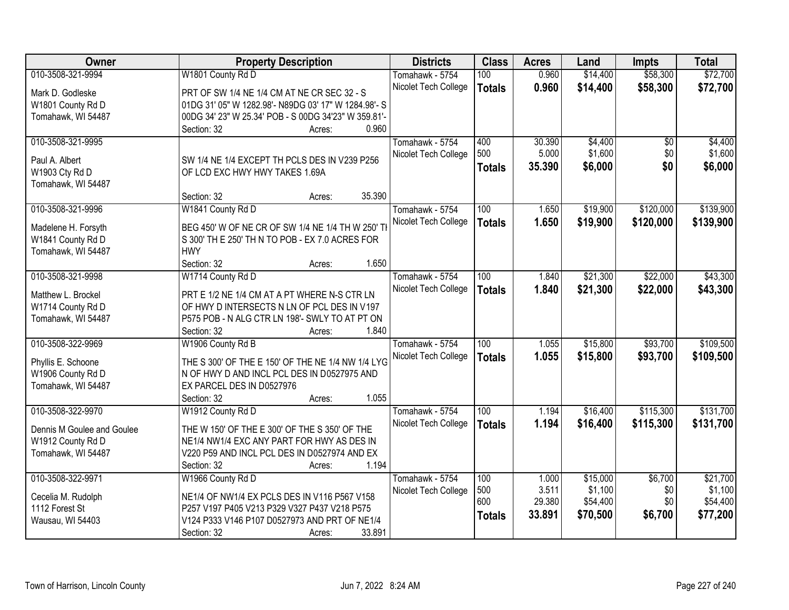| <b>Owner</b>               | <b>Property Description</b>                          | <b>Districts</b>     | <b>Class</b>  | <b>Acres</b> | Land     | <b>Impts</b> | <b>Total</b> |
|----------------------------|------------------------------------------------------|----------------------|---------------|--------------|----------|--------------|--------------|
| 010-3508-321-9994          | W1801 County Rd D                                    | Tomahawk - 5754      | 100           | 0.960        | \$14,400 | \$58,300     | \$72,700     |
| Mark D. Godleske           | PRT OF SW 1/4 NE 1/4 CM AT NE CR SEC 32 - S          | Nicolet Tech College | <b>Totals</b> | 0.960        | \$14,400 | \$58,300     | \$72,700     |
| W1801 County Rd D          | 01DG 31' 05" W 1282.98'- N89DG 03' 17" W 1284.98'- S |                      |               |              |          |              |              |
| Tomahawk, WI 54487         | 00DG 34' 23" W 25.34' POB - S 00DG 34'23" W 359.81'- |                      |               |              |          |              |              |
|                            | 0.960<br>Section: 32<br>Acres:                       |                      |               |              |          |              |              |
| 010-3508-321-9995          |                                                      | Tomahawk - 5754      | 400           | 30.390       | \$4,400  | \$0          | \$4,400      |
|                            |                                                      | Nicolet Tech College | 500           | 5.000        | \$1,600  | \$0          | \$1,600      |
| Paul A. Albert             | SW 1/4 NE 1/4 EXCEPT TH PCLS DES IN V239 P256        |                      | <b>Totals</b> | 35.390       | \$6,000  | \$0          | \$6,000      |
| W1903 Cty Rd D             | OF LCD EXC HWY HWY TAKES 1.69A                       |                      |               |              |          |              |              |
| Tomahawk, WI 54487         | 35.390<br>Section: 32<br>Acres:                      |                      |               |              |          |              |              |
| 010-3508-321-9996          | W1841 County Rd D                                    | Tomahawk - 5754      | 100           | 1.650        | \$19,900 | \$120,000    | \$139,900    |
|                            |                                                      | Nicolet Tech College | <b>Totals</b> | 1.650        | \$19,900 | \$120,000    | \$139,900    |
| Madelene H. Forsyth        | BEG 450' W OF NE CR OF SW 1/4 NE 1/4 TH W 250' TH    |                      |               |              |          |              |              |
| W1841 County Rd D          | S 300' TH E 250' TH N TO POB - EX 7.0 ACRES FOR      |                      |               |              |          |              |              |
| Tomahawk, WI 54487         | <b>HWY</b>                                           |                      |               |              |          |              |              |
|                            | 1.650<br>Section: 32<br>Acres:                       |                      |               |              |          |              |              |
| 010-3508-321-9998          | W1714 County Rd D                                    | Tomahawk - 5754      | 100           | 1.840        | \$21,300 | \$22,000     | \$43,300     |
| Matthew L. Brockel         | PRT E 1/2 NE 1/4 CM AT A PT WHERE N-S CTR LN         | Nicolet Tech College | <b>Totals</b> | 1.840        | \$21,300 | \$22,000     | \$43,300     |
| W1714 County Rd D          | OF HWY D INTERSECTS N LN OF PCL DES IN V197          |                      |               |              |          |              |              |
| Tomahawk, WI 54487         | P575 POB - N ALG CTR LN 198'- SWLY TO AT PT ON       |                      |               |              |          |              |              |
|                            | 1.840<br>Section: 32<br>Acres:                       |                      |               |              |          |              |              |
| 010-3508-322-9969          | W1906 County Rd B                                    | Tomahawk - 5754      | 100           | 1.055        | \$15,800 | \$93,700     | \$109,500    |
|                            |                                                      | Nicolet Tech College | <b>Totals</b> | 1.055        | \$15,800 | \$93,700     | \$109,500    |
| Phyllis E. Schoone         | THE S 300' OF THE E 150' OF THE NE 1/4 NW 1/4 LYG    |                      |               |              |          |              |              |
| W1906 County Rd D          | N OF HWY D AND INCL PCL DES IN D0527975 AND          |                      |               |              |          |              |              |
| Tomahawk, WI 54487         | EX PARCEL DES IN D0527976                            |                      |               |              |          |              |              |
|                            | 1.055<br>Section: 32<br>Acres:                       |                      |               |              |          |              |              |
| 010-3508-322-9970          | W1912 County Rd D                                    | Tomahawk - 5754      | 100           | 1.194        | \$16,400 | \$115,300    | \$131,700    |
| Dennis M Goulee and Goulee | THE W 150' OF THE E 300' OF THE S 350' OF THE        | Nicolet Tech College | <b>Totals</b> | 1.194        | \$16,400 | \$115,300    | \$131,700    |
| W1912 County Rd D          | NE1/4 NW1/4 EXC ANY PART FOR HWY AS DES IN           |                      |               |              |          |              |              |
| Tomahawk, WI 54487         | V220 P59 AND INCL PCL DES IN D0527974 AND EX         |                      |               |              |          |              |              |
|                            | 1.194<br>Section: 32<br>Acres:                       |                      |               |              |          |              |              |
| 010-3508-322-9971          | W1966 County Rd D                                    | Tomahawk - 5754      | 100           | 1.000        | \$15,000 | \$6,700      | \$21,700     |
| Cecelia M. Rudolph         | NE1/4 OF NW1/4 EX PCLS DES IN V116 P567 V158         | Nicolet Tech College | 500           | 3.511        | \$1,100  | \$0          | \$1,100      |
| 1112 Forest St             | P257 V197 P405 V213 P329 V327 P437 V218 P575         |                      | 600           | 29.380       | \$54,400 | \$0          | \$54,400     |
| Wausau, WI 54403           | V124 P333 V146 P107 D0527973 AND PRT OF NE1/4        |                      | <b>Totals</b> | 33.891       | \$70,500 | \$6,700      | \$77,200     |
|                            | 33.891<br>Section: 32<br>Acres:                      |                      |               |              |          |              |              |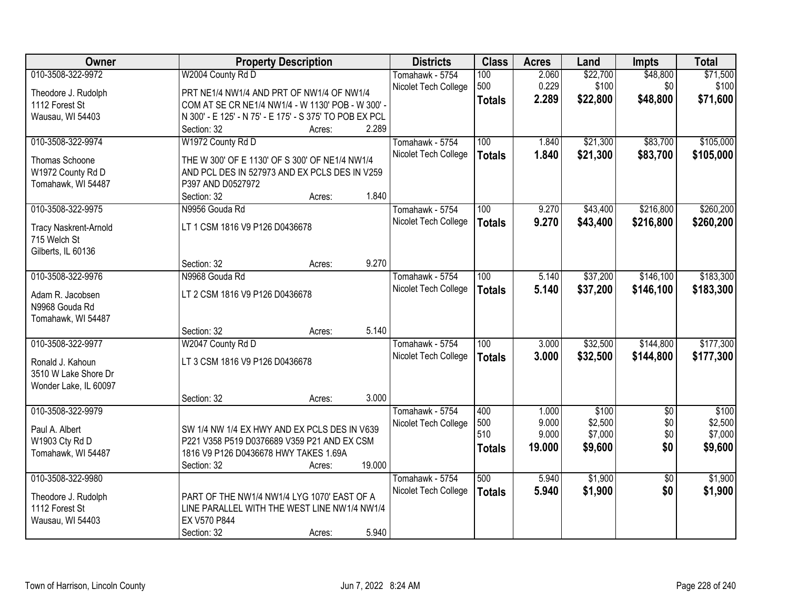| Owner                                        | <b>Property Description</b>                             |        |        | <b>Districts</b>     | <b>Class</b>  | <b>Acres</b> | Land     | <b>Impts</b>    | <b>Total</b> |
|----------------------------------------------|---------------------------------------------------------|--------|--------|----------------------|---------------|--------------|----------|-----------------|--------------|
| 010-3508-322-9972                            | W2004 County Rd D                                       |        |        | Tomahawk - 5754      | 100           | 2.060        | \$22,700 | \$48,800        | \$71,500     |
| Theodore J. Rudolph                          | PRT NE1/4 NW1/4 AND PRT OF NW1/4 OF NW1/4               |        |        | Nicolet Tech College | 500           | 0.229        | \$100    | \$0             | \$100        |
| 1112 Forest St                               | COM AT SE CR NE1/4 NW1/4 - W 1130' POB - W 300' -       |        |        |                      | <b>Totals</b> | 2.289        | \$22,800 | \$48,800        | \$71,600     |
| Wausau, WI 54403                             | N 300' - E 125' - N 75' - E 175' - S 375' TO POB EX PCL |        |        |                      |               |              |          |                 |              |
|                                              | Section: 32                                             | Acres: | 2.289  |                      |               |              |          |                 |              |
| 010-3508-322-9974                            | W1972 County Rd D                                       |        |        | Tomahawk - 5754      | 100           | 1.840        | \$21,300 | \$83,700        | \$105,000    |
| Thomas Schoone                               | THE W 300' OF E 1130' OF S 300' OF NE1/4 NW1/4          |        |        | Nicolet Tech College | <b>Totals</b> | 1.840        | \$21,300 | \$83,700        | \$105,000    |
| W1972 County Rd D                            | AND PCL DES IN 527973 AND EX PCLS DES IN V259           |        |        |                      |               |              |          |                 |              |
| Tomahawk, WI 54487                           | P397 AND D0527972                                       |        |        |                      |               |              |          |                 |              |
|                                              | Section: 32                                             | Acres: | 1.840  |                      |               |              |          |                 |              |
| 010-3508-322-9975                            | N9956 Gouda Rd                                          |        |        | Tomahawk - 5754      | 100           | 9.270        | \$43,400 | \$216,800       | \$260,200    |
|                                              | LT 1 CSM 1816 V9 P126 D0436678                          |        |        | Nicolet Tech College | <b>Totals</b> | 9.270        | \$43,400 | \$216,800       | \$260,200    |
| <b>Tracy Naskrent-Arnold</b><br>715 Welch St |                                                         |        |        |                      |               |              |          |                 |              |
| Gilberts, IL 60136                           |                                                         |        |        |                      |               |              |          |                 |              |
|                                              | Section: 32                                             | Acres: | 9.270  |                      |               |              |          |                 |              |
| 010-3508-322-9976                            | N9968 Gouda Rd                                          |        |        | Tomahawk - 5754      | 100           | 5.140        | \$37,200 | \$146,100       | \$183,300    |
|                                              |                                                         |        |        | Nicolet Tech College | <b>Totals</b> | 5.140        | \$37,200 | \$146,100       | \$183,300    |
| Adam R. Jacobsen                             | LT 2 CSM 1816 V9 P126 D0436678                          |        |        |                      |               |              |          |                 |              |
| N9968 Gouda Rd                               |                                                         |        |        |                      |               |              |          |                 |              |
| Tomahawk, WI 54487                           |                                                         |        | 5.140  |                      |               |              |          |                 |              |
|                                              | Section: 32                                             | Acres: |        |                      |               |              |          |                 |              |
| 010-3508-322-9977                            | W2047 County Rd D                                       |        |        | Tomahawk - 5754      | 100           | 3.000        | \$32,500 | \$144,800       | \$177,300    |
| Ronald J. Kahoun                             | LT 3 CSM 1816 V9 P126 D0436678                          |        |        | Nicolet Tech College | <b>Totals</b> | 3.000        | \$32,500 | \$144,800       | \$177,300    |
| 3510 W Lake Shore Dr                         |                                                         |        |        |                      |               |              |          |                 |              |
| Wonder Lake, IL 60097                        |                                                         |        |        |                      |               |              |          |                 |              |
|                                              | Section: 32                                             | Acres: | 3.000  |                      |               |              |          |                 |              |
| 010-3508-322-9979                            |                                                         |        |        | Tomahawk - 5754      | 400           | 1.000        | \$100    | $\overline{60}$ | \$100        |
| Paul A. Albert                               | SW 1/4 NW 1/4 EX HWY AND EX PCLS DES IN V639            |        |        | Nicolet Tech College | 500           | 9.000        | \$2,500  | \$0             | \$2,500      |
| W1903 Cty Rd D                               | P221 V358 P519 D0376689 V359 P21 AND EX CSM             |        |        |                      | 510           | 9.000        | \$7,000  | \$0             | \$7,000      |
| Tomahawk, WI 54487                           | 1816 V9 P126 D0436678 HWY TAKES 1.69A                   |        |        |                      | <b>Totals</b> | 19,000       | \$9,600  | \$0             | \$9,600      |
|                                              | Section: 32                                             | Acres: | 19.000 |                      |               |              |          |                 |              |
| 010-3508-322-9980                            |                                                         |        |        | Tomahawk - 5754      | 500           | 5.940        | \$1,900  | $\overline{50}$ | \$1,900      |
| Theodore J. Rudolph                          | PART OF THE NW1/4 NW1/4 LYG 1070' EAST OF A             |        |        | Nicolet Tech College | <b>Totals</b> | 5.940        | \$1,900  | \$0             | \$1,900      |
| 1112 Forest St                               | LINE PARALLEL WITH THE WEST LINE NW1/4 NW1/4            |        |        |                      |               |              |          |                 |              |
| Wausau, WI 54403                             | EX V570 P844                                            |        |        |                      |               |              |          |                 |              |
|                                              | Section: 32                                             | Acres: | 5.940  |                      |               |              |          |                 |              |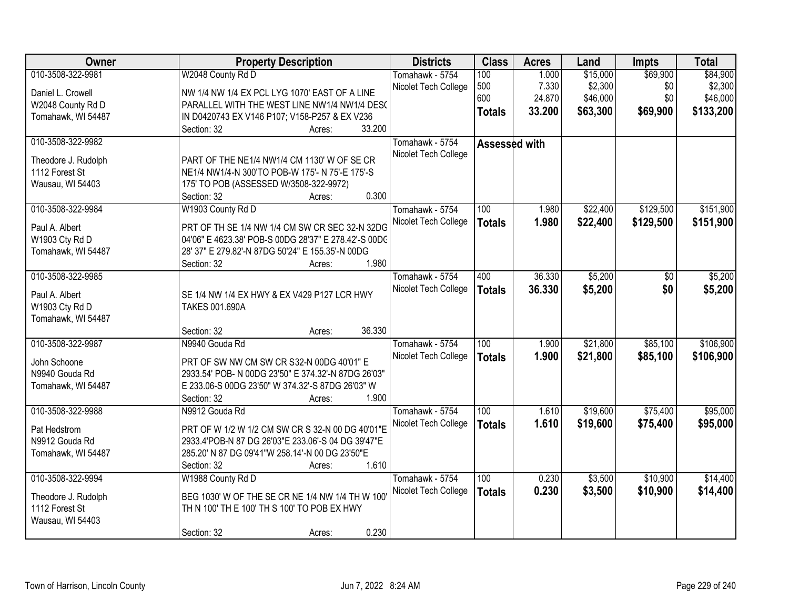| Owner               | <b>Property Description</b>                          | <b>Districts</b>     | <b>Class</b>  | <b>Acres</b> | Land     | <b>Impts</b> | <b>Total</b> |
|---------------------|------------------------------------------------------|----------------------|---------------|--------------|----------|--------------|--------------|
| 010-3508-322-9981   | W2048 County Rd D                                    | Tomahawk - 5754      | 100           | 1.000        | \$15,000 | \$69,900     | \$84,900     |
| Daniel L. Crowell   | NW 1/4 NW 1/4 EX PCL LYG 1070' EAST OF A LINE        | Nicolet Tech College | 500           | 7.330        | \$2,300  | \$0          | \$2,300      |
| W2048 County Rd D   | PARALLEL WITH THE WEST LINE NW1/4 NW1/4 DES(         |                      | 600           | 24.870       | \$46,000 | \$0          | \$46,000     |
| Tomahawk, WI 54487  | IN D0420743 EX V146 P107; V158-P257 & EX V236        |                      | <b>Totals</b> | 33.200       | \$63,300 | \$69,900     | \$133,200    |
|                     | 33.200<br>Section: 32<br>Acres:                      |                      |               |              |          |              |              |
| 010-3508-322-9982   |                                                      | Tomahawk - 5754      | Assessed with |              |          |              |              |
|                     |                                                      | Nicolet Tech College |               |              |          |              |              |
| Theodore J. Rudolph | PART OF THE NE1/4 NW1/4 CM 1130' W OF SE CR          |                      |               |              |          |              |              |
| 1112 Forest St      | NE1/4 NW1/4-N 300'TO POB-W 175'- N 75'-E 175'-S      |                      |               |              |          |              |              |
| Wausau, WI 54403    | 175' TO POB (ASSESSED W/3508-322-9972)               |                      |               |              |          |              |              |
|                     | 0.300<br>Section: 32<br>Acres:                       |                      |               |              |          |              |              |
| 010-3508-322-9984   | W1903 County Rd D                                    | Tomahawk - 5754      | 100           | 1.980        | \$22,400 | \$129,500    | \$151,900    |
| Paul A. Albert      | PRT OF TH SE 1/4 NW 1/4 CM SW CR SEC 32-N 32DG       | Nicolet Tech College | <b>Totals</b> | 1.980        | \$22,400 | \$129,500    | \$151,900    |
| W1903 Cty Rd D      | 04'06" E 4623.38' POB-S 00DG 28'37" E 278.42'-S 00DC |                      |               |              |          |              |              |
| Tomahawk, WI 54487  | 28' 37" E 279.82'-N 87DG 50'24" E 155.35'-N 00DG     |                      |               |              |          |              |              |
|                     | 1.980<br>Section: 32<br>Acres:                       |                      |               |              |          |              |              |
| 010-3508-322-9985   |                                                      | Tomahawk - 5754      | 400           | 36.330       | \$5,200  | \$0          | \$5,200      |
|                     |                                                      | Nicolet Tech College | <b>Totals</b> | 36.330       | \$5,200  | \$0          | \$5,200      |
| Paul A. Albert      | SE 1/4 NW 1/4 EX HWY & EX V429 P127 LCR HWY          |                      |               |              |          |              |              |
| W1903 Cty Rd D      | <b>TAKES 001.690A</b>                                |                      |               |              |          |              |              |
| Tomahawk, WI 54487  |                                                      |                      |               |              |          |              |              |
|                     | 36.330<br>Section: 32<br>Acres:                      |                      |               |              |          |              |              |
| 010-3508-322-9987   | N9940 Gouda Rd                                       | Tomahawk - 5754      | 100           | 1.900        | \$21,800 | \$85,100     | \$106,900    |
| John Schoone        | PRT OF SW NW CM SW CR S32-N 00DG 40'01" E            | Nicolet Tech College | <b>Totals</b> | 1.900        | \$21,800 | \$85,100     | \$106,900    |
| N9940 Gouda Rd      | 2933.54' POB- N 00DG 23'50" E 374.32'-N 87DG 26'03"  |                      |               |              |          |              |              |
| Tomahawk, WI 54487  | E 233.06-S 00DG 23'50" W 374.32'-S 87DG 26'03" W     |                      |               |              |          |              |              |
|                     | 1.900<br>Section: 32<br>Acres:                       |                      |               |              |          |              |              |
| 010-3508-322-9988   | N9912 Gouda Rd                                       | Tomahawk - 5754      | 100           | 1.610        | \$19,600 | \$75,400     | \$95,000     |
|                     |                                                      | Nicolet Tech College | <b>Totals</b> | 1.610        | \$19,600 | \$75,400     | \$95,000     |
| Pat Hedstrom        | PRT OF W 1/2 W 1/2 CM SW CR S 32-N 00 DG 40'01"E     |                      |               |              |          |              |              |
| N9912 Gouda Rd      | 2933.4'POB-N 87 DG 26'03"E 233.06'-S 04 DG 39'47"E   |                      |               |              |          |              |              |
| Tomahawk, WI 54487  | 285.20' N 87 DG 09'41"W 258.14'-N 00 DG 23'50"E      |                      |               |              |          |              |              |
|                     | 1.610<br>Section: 32<br>Acres:                       |                      |               |              |          |              |              |
| 010-3508-322-9994   | W1988 County Rd D                                    | Tomahawk - 5754      | 100           | 0.230        | \$3,500  | \$10,900     | \$14,400     |
| Theodore J. Rudolph | BEG 1030' W OF THE SE CR NE 1/4 NW 1/4 TH W 100      | Nicolet Tech College | <b>Totals</b> | 0.230        | \$3,500  | \$10,900     | \$14,400     |
| 1112 Forest St      | TH N 100' TH E 100' TH S 100' TO POB EX HWY          |                      |               |              |          |              |              |
| Wausau, WI 54403    |                                                      |                      |               |              |          |              |              |
|                     | 0.230<br>Section: 32<br>Acres:                       |                      |               |              |          |              |              |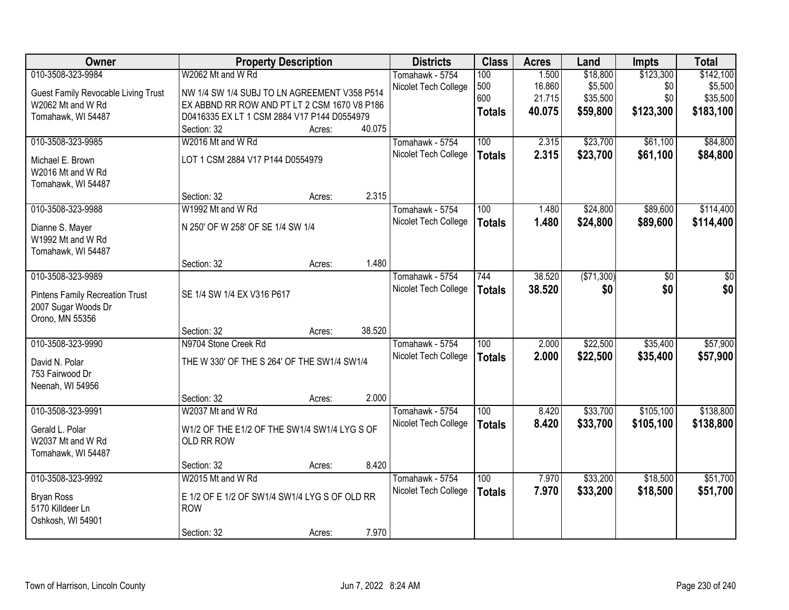| Owner                                      | <b>Property Description</b>                   |        |        | <b>Districts</b>     | <b>Class</b>     | <b>Acres</b> | Land       | <b>Impts</b> | <b>Total</b> |
|--------------------------------------------|-----------------------------------------------|--------|--------|----------------------|------------------|--------------|------------|--------------|--------------|
| 010-3508-323-9984                          | W2062 Mt and W Rd                             |        |        | Tomahawk - 5754      | 100              | 1.500        | \$18,800   | \$123,300    | \$142,100    |
| <b>Guest Family Revocable Living Trust</b> | NW 1/4 SW 1/4 SUBJ TO LN AGREEMENT V358 P514  |        |        | Nicolet Tech College | 500              | 16.860       | \$5,500    | \$0          | \$5,500      |
| W2062 Mt and W Rd                          | EX ABBND RR ROW AND PT LT 2 CSM 1670 V8 P186  |        |        |                      | 600              | 21.715       | \$35,500   | \$0          | \$35,500     |
| Tomahawk, WI 54487                         | D0416335 EX LT 1 CSM 2884 V17 P144 D0554979   |        |        |                      | <b>Totals</b>    | 40.075       | \$59,800   | \$123,300    | \$183,100    |
|                                            | Section: 32                                   | Acres: | 40.075 |                      |                  |              |            |              |              |
| 010-3508-323-9985                          | W2016 Mt and W Rd                             |        |        | Tomahawk - 5754      | 100              | 2.315        | \$23,700   | \$61,100     | \$84,800     |
| Michael E. Brown                           | LOT 1 CSM 2884 V17 P144 D0554979              |        |        | Nicolet Tech College | <b>Totals</b>    | 2.315        | \$23,700   | \$61,100     | \$84,800     |
| W2016 Mt and W Rd                          |                                               |        |        |                      |                  |              |            |              |              |
| Tomahawk, WI 54487                         |                                               |        |        |                      |                  |              |            |              |              |
|                                            | Section: 32                                   | Acres: | 2.315  |                      |                  |              |            |              |              |
| 010-3508-323-9988                          | W1992 Mt and W Rd                             |        |        | Tomahawk - 5754      | 100              | 1.480        | \$24,800   | \$89,600     | \$114,400    |
| Dianne S. Mayer                            | N 250' OF W 258' OF SE 1/4 SW 1/4             |        |        | Nicolet Tech College | <b>Totals</b>    | 1.480        | \$24,800   | \$89,600     | \$114,400    |
| W1992 Mt and W Rd                          |                                               |        |        |                      |                  |              |            |              |              |
| Tomahawk, WI 54487                         |                                               |        |        |                      |                  |              |            |              |              |
|                                            | Section: 32                                   | Acres: | 1.480  |                      |                  |              |            |              |              |
| 010-3508-323-9989                          |                                               |        |        | Tomahawk - 5754      | 744              | 38.520       | (\$71,300) | \$0          | \$0          |
|                                            |                                               |        |        | Nicolet Tech College | <b>Totals</b>    | 38.520       | \$0        | \$0          | \$0          |
| <b>Pintens Family Recreation Trust</b>     | SE 1/4 SW 1/4 EX V316 P617                    |        |        |                      |                  |              |            |              |              |
| 2007 Sugar Woods Dr<br>Orono, MN 55356     |                                               |        |        |                      |                  |              |            |              |              |
|                                            | Section: 32                                   | Acres: | 38.520 |                      |                  |              |            |              |              |
| 010-3508-323-9990                          | N9704 Stone Creek Rd                          |        |        | Tomahawk - 5754      | $\overline{100}$ | 2.000        | \$22,500   | \$35,400     | \$57,900     |
|                                            |                                               |        |        | Nicolet Tech College | <b>Totals</b>    | 2.000        | \$22,500   | \$35,400     | \$57,900     |
| David N. Polar                             | THE W 330' OF THE S 264' OF THE SW1/4 SW1/4   |        |        |                      |                  |              |            |              |              |
| 753 Fairwood Dr                            |                                               |        |        |                      |                  |              |            |              |              |
| Neenah, WI 54956                           |                                               |        |        |                      |                  |              |            |              |              |
|                                            | Section: 32                                   | Acres: | 2.000  |                      |                  |              |            |              |              |
| 010-3508-323-9991                          | W2037 Mt and W Rd                             |        |        | Tomahawk - 5754      | 100              | 8.420        | \$33,700   | \$105,100    | \$138,800    |
| Gerald L. Polar                            | W1/2 OF THE E1/2 OF THE SW1/4 SW1/4 LYG S OF  |        |        | Nicolet Tech College | <b>Totals</b>    | 8.420        | \$33,700   | \$105,100    | \$138,800    |
| W2037 Mt and W Rd                          | OLD RR ROW                                    |        |        |                      |                  |              |            |              |              |
| Tomahawk, WI 54487                         |                                               |        |        |                      |                  |              |            |              |              |
|                                            | Section: 32                                   | Acres: | 8.420  |                      |                  |              |            |              |              |
| 010-3508-323-9992                          | W2015 Mt and W Rd                             |        |        | Tomahawk - 5754      | 100              | 7.970        | \$33,200   | \$18,500     | \$51,700     |
| <b>Bryan Ross</b>                          | E 1/2 OF E 1/2 OF SW1/4 SW1/4 LYG S OF OLD RR |        |        | Nicolet Tech College | <b>Totals</b>    | 7.970        | \$33,200   | \$18,500     | \$51,700     |
| 5170 Killdeer Ln                           | <b>ROW</b>                                    |        |        |                      |                  |              |            |              |              |
| Oshkosh, WI 54901                          |                                               |        |        |                      |                  |              |            |              |              |
|                                            | Section: 32                                   | Acres: | 7.970  |                      |                  |              |            |              |              |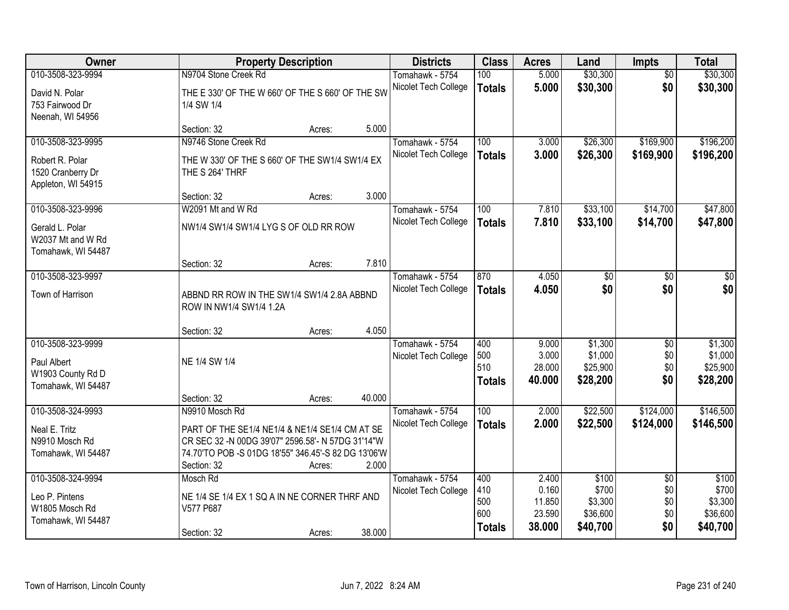| Owner                                                                           |                                                                                                                                                                           | <b>Property Description</b> |        | <b>Districts</b>                        | <b>Class</b>                              | <b>Acres</b>                                 | Land                                              | Impts                                       | <b>Total</b>                                      |
|---------------------------------------------------------------------------------|---------------------------------------------------------------------------------------------------------------------------------------------------------------------------|-----------------------------|--------|-----------------------------------------|-------------------------------------------|----------------------------------------------|---------------------------------------------------|---------------------------------------------|---------------------------------------------------|
| 010-3508-323-9994<br>David N. Polar<br>753 Fairwood Dr<br>Neenah, WI 54956      | N9704 Stone Creek Rd<br>THE E 330' OF THE W 660' OF THE S 660' OF THE SW<br>1/4 SW 1/4                                                                                    |                             |        | Tomahawk - 5754<br>Nicolet Tech College | 100<br><b>Totals</b>                      | 5.000<br>5.000                               | \$30,300<br>\$30,300                              | $\overline{50}$<br>\$0                      | \$30,300<br>\$30,300                              |
|                                                                                 | Section: 32                                                                                                                                                               | Acres:                      | 5.000  |                                         |                                           |                                              |                                                   |                                             |                                                   |
| 010-3508-323-9995<br>Robert R. Polar<br>1520 Cranberry Dr<br>Appleton, WI 54915 | N9746 Stone Creek Rd<br>THE W 330' OF THE S 660' OF THE SW1/4 SW1/4 EX<br>THE S 264' THRF<br>Section: 32                                                                  |                             | 3.000  | Tomahawk - 5754<br>Nicolet Tech College | 100<br><b>Totals</b>                      | 3.000<br>3.000                               | \$26,300<br>\$26,300                              | \$169,900<br>\$169,900                      | \$196,200<br>\$196,200                            |
| 010-3508-323-9996                                                               | W2091 Mt and W Rd                                                                                                                                                         | Acres:                      |        | Tomahawk - 5754                         | 100                                       | 7.810                                        | \$33,100                                          | \$14,700                                    | \$47,800                                          |
| Gerald L. Polar<br>W2037 Mt and W Rd<br>Tomahawk, WI 54487                      | NW1/4 SW1/4 SW1/4 LYG S OF OLD RR ROW                                                                                                                                     |                             |        | Nicolet Tech College                    | <b>Totals</b>                             | 7.810                                        | \$33,100                                          | \$14,700                                    | \$47,800                                          |
|                                                                                 | Section: 32                                                                                                                                                               | Acres:                      | 7.810  |                                         |                                           |                                              |                                                   |                                             |                                                   |
| 010-3508-323-9997<br>Town of Harrison                                           | ABBND RR ROW IN THE SW1/4 SW1/4 2.8A ABBND<br>ROW IN NW1/4 SW1/4 1.2A                                                                                                     |                             |        | Tomahawk - 5754<br>Nicolet Tech College | 870<br><b>Totals</b>                      | 4.050<br>4.050                               | \$0<br>\$0                                        | \$0<br>\$0                                  | \$0<br>\$0                                        |
|                                                                                 | Section: 32                                                                                                                                                               | Acres:                      | 4.050  |                                         |                                           |                                              |                                                   |                                             |                                                   |
| 010-3508-323-9999<br>Paul Albert<br>W1903 County Rd D<br>Tomahawk, WI 54487     | NE 1/4 SW 1/4<br>Section: 32                                                                                                                                              | Acres:                      | 40.000 | Tomahawk - 5754<br>Nicolet Tech College | 400<br>500<br>510<br><b>Totals</b>        | 9.000<br>3.000<br>28.000<br>40.000           | \$1,300<br>\$1,000<br>\$25,900<br>\$28,200        | $\overline{50}$<br>\$0<br>\$0<br>\$0        | \$1,300<br>\$1,000<br>\$25,900<br>\$28,200        |
| 010-3508-324-9993                                                               | N9910 Mosch Rd                                                                                                                                                            |                             |        | Tomahawk - 5754                         | 100                                       | 2.000                                        | \$22,500                                          | \$124,000                                   | \$146,500                                         |
| Neal E. Tritz<br>N9910 Mosch Rd<br>Tomahawk, WI 54487                           | PART OF THE SE1/4 NE1/4 & NE1/4 SE1/4 CM AT SE<br>CR SEC 32 -N 00DG 39'07" 2596.58'- N 57DG 31'14"W<br>74.70'TO POB -S 01DG 18'55" 346.45'-S 82 DG 13'06'W<br>Section: 32 | Acres:                      | 2.000  | Nicolet Tech College                    | <b>Totals</b>                             | 2.000                                        | \$22,500                                          | \$124,000                                   | \$146,500                                         |
| 010-3508-324-9994<br>Leo P. Pintens<br>W1805 Mosch Rd<br>Tomahawk, WI 54487     | Mosch Rd<br>NE 1/4 SE 1/4 EX 1 SQ A IN NE CORNER THRF AND<br>V577 P687<br>Section: 32                                                                                     | Acres:                      | 38.000 | Tomahawk - 5754<br>Nicolet Tech College | 400<br>410<br>500<br>600<br><b>Totals</b> | 2.400<br>0.160<br>11.850<br>23.590<br>38.000 | \$100<br>\$700<br>\$3,300<br>\$36,600<br>\$40,700 | $\overline{30}$<br>\$0<br>\$0<br>\$0<br>\$0 | \$100<br>\$700<br>\$3,300<br>\$36,600<br>\$40,700 |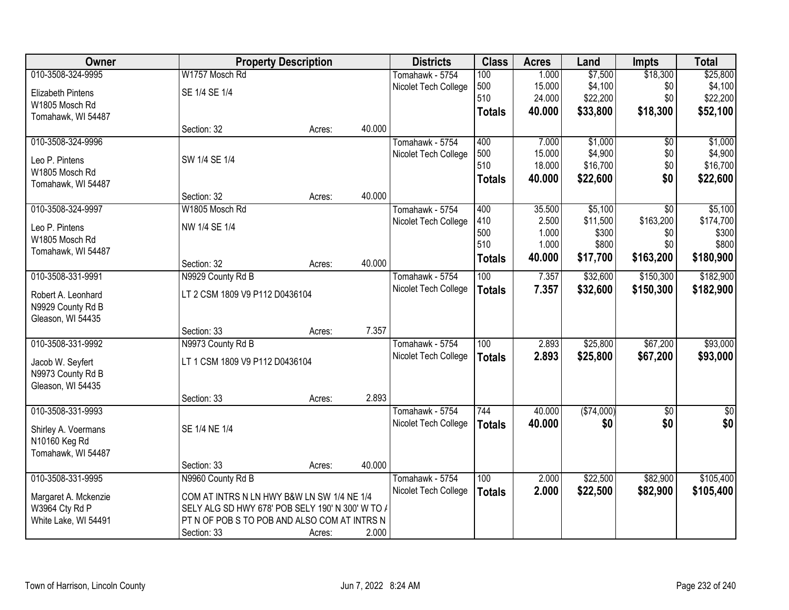| Owner                                 | <b>Property Description</b>                      |        |        | <b>Districts</b>     | <b>Class</b>     | <b>Acres</b> | Land       | <b>Impts</b>    | <b>Total</b> |
|---------------------------------------|--------------------------------------------------|--------|--------|----------------------|------------------|--------------|------------|-----------------|--------------|
| 010-3508-324-9995                     | W1757 Mosch Rd                                   |        |        | Tomahawk - 5754      | 100              | 1.000        | \$7,500    | \$18,300        | \$25,800     |
| Elizabeth Pintens                     | SE 1/4 SE 1/4                                    |        |        | Nicolet Tech College | 500              | 15.000       | \$4,100    | \$0             | \$4,100      |
| W1805 Mosch Rd                        |                                                  |        |        |                      | 510              | 24.000       | \$22,200   | \$0             | \$22,200     |
| Tomahawk, WI 54487                    |                                                  |        |        |                      | <b>Totals</b>    | 40.000       | \$33,800   | \$18,300        | \$52,100     |
|                                       | Section: 32                                      | Acres: | 40.000 |                      |                  |              |            |                 |              |
| 010-3508-324-9996                     |                                                  |        |        | Tomahawk - 5754      | 400              | 7.000        | \$1,000    | \$0             | \$1,000      |
| Leo P. Pintens                        | SW 1/4 SE 1/4                                    |        |        | Nicolet Tech College | 500              | 15.000       | \$4,900    | \$0             | \$4,900      |
| W1805 Mosch Rd                        |                                                  |        |        |                      | 510              | 18.000       | \$16,700   | \$0             | \$16,700     |
| Tomahawk, WI 54487                    |                                                  |        |        |                      | <b>Totals</b>    | 40.000       | \$22,600   | \$0             | \$22,600     |
|                                       | Section: 32                                      | Acres: | 40.000 |                      |                  |              |            |                 |              |
| 010-3508-324-9997                     | W1805 Mosch Rd                                   |        |        | Tomahawk - 5754      | 400              | 35.500       | \$5,100    | $\overline{30}$ | \$5,100      |
| Leo P. Pintens                        | NW 1/4 SE 1/4                                    |        |        | Nicolet Tech College | 410              | 2.500        | \$11,500   | \$163,200       | \$174,700    |
| W1805 Mosch Rd                        |                                                  |        |        |                      | 500              | 1.000        | \$300      | \$0             | \$300        |
| Tomahawk, WI 54487                    |                                                  |        |        |                      | 510              | 1.000        | \$800      | \$0             | \$800        |
|                                       | Section: 32                                      | Acres: | 40.000 |                      | <b>Totals</b>    | 40.000       | \$17,700   | \$163,200       | \$180,900    |
| 010-3508-331-9991                     | N9929 County Rd B                                |        |        | Tomahawk - 5754      | 100              | 7.357        | \$32,600   | \$150,300       | \$182,900    |
| Robert A. Leonhard                    | LT 2 CSM 1809 V9 P112 D0436104                   |        |        | Nicolet Tech College | <b>Totals</b>    | 7.357        | \$32,600   | \$150,300       | \$182,900    |
| N9929 County Rd B                     |                                                  |        |        |                      |                  |              |            |                 |              |
| Gleason, WI 54435                     |                                                  |        |        |                      |                  |              |            |                 |              |
|                                       | Section: 33                                      | Acres: | 7.357  |                      |                  |              |            |                 |              |
| 010-3508-331-9992                     | N9973 County Rd B                                |        |        | Tomahawk - 5754      | $\overline{100}$ | 2.893        | \$25,800   | \$67,200        | \$93,000     |
|                                       | LT 1 CSM 1809 V9 P112 D0436104                   |        |        | Nicolet Tech College | <b>Totals</b>    | 2.893        | \$25,800   | \$67,200        | \$93,000     |
| Jacob W. Seyfert<br>N9973 County Rd B |                                                  |        |        |                      |                  |              |            |                 |              |
| Gleason, WI 54435                     |                                                  |        |        |                      |                  |              |            |                 |              |
|                                       | Section: 33                                      | Acres: | 2.893  |                      |                  |              |            |                 |              |
| 010-3508-331-9993                     |                                                  |        |        | Tomahawk - 5754      | 744              | 40.000       | (\$74,000) | $\overline{50}$ | $\sqrt{50}$  |
|                                       | SE 1/4 NE 1/4                                    |        |        | Nicolet Tech College | <b>Totals</b>    | 40.000       | \$0        | \$0             | \$0          |
| Shirley A. Voermans<br>N10160 Keg Rd  |                                                  |        |        |                      |                  |              |            |                 |              |
| Tomahawk, WI 54487                    |                                                  |        |        |                      |                  |              |            |                 |              |
|                                       | Section: 33                                      | Acres: | 40.000 |                      |                  |              |            |                 |              |
| 010-3508-331-9995                     | N9960 County Rd B                                |        |        | Tomahawk - 5754      | 100              | 2.000        | \$22,500   | \$82,900        | \$105,400    |
| Margaret A. Mckenzie                  | COM AT INTRS N LN HWY B&W LN SW 1/4 NE 1/4       |        |        | Nicolet Tech College | <b>Totals</b>    | 2.000        | \$22,500   | \$82,900        | \$105,400    |
| W3964 Cty Rd P                        | SELY ALG SD HWY 678' POB SELY 190' N 300' W TO / |        |        |                      |                  |              |            |                 |              |
| White Lake, WI 54491                  | PT N OF POB S TO POB AND ALSO COM AT INTRS N     |        |        |                      |                  |              |            |                 |              |
|                                       | Section: 33                                      | Acres: | 2.000  |                      |                  |              |            |                 |              |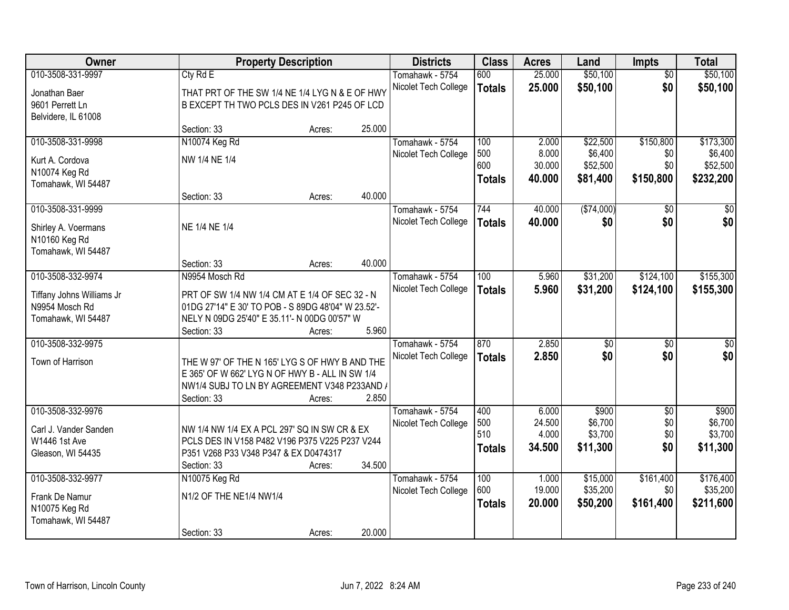| Owner                                                             |                                                                                                                                                                     | <b>Property Description</b> |        | <b>Districts</b>                        | <b>Class</b>         | <b>Acres</b>     | Land                 | <b>Impts</b>           | <b>Total</b>          |
|-------------------------------------------------------------------|---------------------------------------------------------------------------------------------------------------------------------------------------------------------|-----------------------------|--------|-----------------------------------------|----------------------|------------------|----------------------|------------------------|-----------------------|
| 010-3508-331-9997<br>Jonathan Baer<br>9601 Perrett Ln             | Cty Rd E<br>THAT PRT OF THE SW 1/4 NE 1/4 LYG N & E OF HWY<br>B EXCEPT TH TWO PCLS DES IN V261 P245 OF LCD                                                          |                             |        | Tomahawk - 5754<br>Nicolet Tech College | 600<br><b>Totals</b> | 25.000<br>25.000 | \$50,100<br>\$50,100 | $\overline{50}$<br>\$0 | \$50,100<br>\$50,100  |
| Belvidere, IL 61008                                               | Section: 33                                                                                                                                                         | Acres:                      | 25.000 |                                         |                      |                  |                      |                        |                       |
| 010-3508-331-9998                                                 | N10074 Keg Rd<br>NW 1/4 NE 1/4                                                                                                                                      |                             |        | Tomahawk - 5754<br>Nicolet Tech College | 100<br>500           | 2.000<br>8.000   | \$22,500<br>\$6,400  | \$150,800<br>\$0       | \$173,300<br>\$6,400  |
| Kurt A. Cordova<br>N10074 Keg Rd<br>Tomahawk, WI 54487            |                                                                                                                                                                     |                             |        |                                         | 600<br><b>Totals</b> | 30.000<br>40.000 | \$52,500<br>\$81,400 | \$0<br>\$150,800       | \$52,500<br>\$232,200 |
|                                                                   | Section: 33                                                                                                                                                         | Acres:                      | 40.000 |                                         |                      |                  |                      |                        |                       |
| 010-3508-331-9999                                                 |                                                                                                                                                                     |                             |        | Tomahawk - 5754                         | 744                  | 40.000           | ( \$74,000)          | \$0                    | $\sqrt{50}$           |
| Shirley A. Voermans<br>N10160 Keg Rd<br>Tomahawk, WI 54487        | NE 1/4 NE 1/4                                                                                                                                                       |                             |        | Nicolet Tech College                    | <b>Totals</b>        | 40.000           | \$0                  | \$0                    | \$0                   |
|                                                                   | Section: 33                                                                                                                                                         | Acres:                      | 40.000 |                                         |                      |                  |                      |                        |                       |
| 010-3508-332-9974                                                 | N9954 Mosch Rd                                                                                                                                                      |                             |        | Tomahawk - 5754                         | 100                  | 5.960            | \$31,200             | \$124,100              | \$155,300             |
| Tiffany Johns Williams Jr<br>N9954 Mosch Rd<br>Tomahawk, WI 54487 | PRT OF SW 1/4 NW 1/4 CM AT E 1/4 OF SEC 32 - N<br>01DG 27'14" E 30' TO POB - S 89DG 48'04" W 23.52'-<br>NELY N 09DG 25'40" E 35.11'- N 00DG 00'57" W<br>Section: 33 | Acres:                      | 5.960  | Nicolet Tech College                    | <b>Totals</b>        | 5.960            | \$31,200             | \$124,100              | \$155,300             |
| 010-3508-332-9975                                                 |                                                                                                                                                                     |                             |        | Tomahawk - 5754                         | 870                  | 2.850            | $\overline{50}$      | \$0                    | $\overline{50}$       |
| Town of Harrison                                                  | THE W 97' OF THE N 165' LYG S OF HWY B AND THE<br>E 365' OF W 662' LYG N OF HWY B - ALL IN SW 1/4<br>NW1/4 SUBJ TO LN BY AGREEMENT V348 P233AND /<br>Section: 33    | Acres:                      | 2.850  | Nicolet Tech College                    | <b>Totals</b>        | 2.850            | \$0                  | \$0                    | \$0                   |
| 010-3508-332-9976                                                 |                                                                                                                                                                     |                             |        | Tomahawk - 5754                         | 400                  | 6.000            | \$900                | $\overline{50}$        | \$900                 |
| Carl J. Vander Sanden                                             | NW 1/4 NW 1/4 EX A PCL 297' SQ IN SW CR & EX                                                                                                                        |                             |        | Nicolet Tech College                    | 500<br>510           | 24.500<br>4.000  | \$6,700<br>\$3,700   | \$0<br>\$0             | \$6,700<br>\$3,700    |
| W1446 1st Ave                                                     | PCLS DES IN V158 P482 V196 P375 V225 P237 V244                                                                                                                      |                             |        |                                         | <b>Totals</b>        | 34.500           | \$11,300             | \$0                    | \$11,300              |
| Gleason, WI 54435                                                 | P351 V268 P33 V348 P347 & EX D0474317<br>Section: 33                                                                                                                | Acres:                      | 34.500 |                                         |                      |                  |                      |                        |                       |
| 010-3508-332-9977                                                 | N10075 Keg Rd                                                                                                                                                       |                             |        | Tomahawk - 5754                         | 100                  | 1.000            | \$15,000             | \$161,400              | \$176,400             |
| Frank De Namur<br>N10075 Keg Rd<br>Tomahawk, WI 54487             | N1/2 OF THE NE1/4 NW1/4                                                                                                                                             |                             |        | Nicolet Tech College                    | 600<br><b>Totals</b> | 19.000<br>20.000 | \$35,200<br>\$50,200 | \$0<br>\$161,400       | \$35,200<br>\$211,600 |
|                                                                   | Section: 33                                                                                                                                                         | Acres:                      | 20.000 |                                         |                      |                  |                      |                        |                       |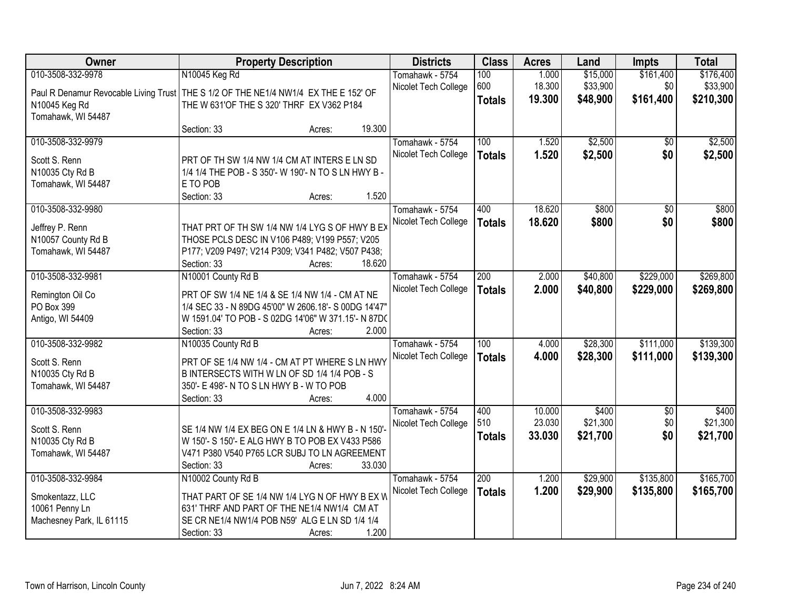| Owner                                                                                 | <b>Property Description</b>                                        |        |        | <b>Districts</b>     | <b>Class</b>  | <b>Acres</b> | Land     | <b>Impts</b>    | <b>Total</b> |
|---------------------------------------------------------------------------------------|--------------------------------------------------------------------|--------|--------|----------------------|---------------|--------------|----------|-----------------|--------------|
| 010-3508-332-9978                                                                     | N10045 Keg Rd                                                      |        |        | Tomahawk - 5754      | 100           | 1.000        | \$15,000 | \$161,400       | \$176,400    |
| Paul R Denamur Revocable Living Trust   THE S 1/2 OF THE NE1/4 NW1/4 EX THE E 152' OF |                                                                    |        |        | Nicolet Tech College | 600           | 18.300       | \$33,900 | \$0             | \$33,900     |
| N10045 Keg Rd                                                                         | THE W 631'OF THE S 320' THRF EX V362 P184                          |        |        |                      | <b>Totals</b> | 19.300       | \$48,900 | \$161,400       | \$210,300    |
| Tomahawk, WI 54487                                                                    |                                                                    |        |        |                      |               |              |          |                 |              |
|                                                                                       | Section: 33                                                        | Acres: | 19.300 |                      |               |              |          |                 |              |
| 010-3508-332-9979                                                                     |                                                                    |        |        | Tomahawk - 5754      | 100           | 1.520        | \$2,500  | \$0             | \$2,500      |
| Scott S. Renn                                                                         | PRT OF TH SW 1/4 NW 1/4 CM AT INTERS E LN SD                       |        |        | Nicolet Tech College | <b>Totals</b> | 1.520        | \$2,500  | \$0             | \$2,500      |
| N10035 Cty Rd B                                                                       | 1/4 1/4 THE POB - S 350'- W 190'- N TO S LN HWY B -                |        |        |                      |               |              |          |                 |              |
| Tomahawk, WI 54487                                                                    | E TO POB                                                           |        |        |                      |               |              |          |                 |              |
|                                                                                       | Section: 33                                                        | Acres: | 1.520  |                      |               |              |          |                 |              |
| 010-3508-332-9980                                                                     |                                                                    |        |        | Tomahawk - 5754      | 400           | 18.620       | \$800    | $\overline{50}$ | \$800        |
| Jeffrey P. Renn                                                                       | THAT PRT OF TH SW 1/4 NW 1/4 LYG S OF HWY B EX                     |        |        | Nicolet Tech College | <b>Totals</b> | 18.620       | \$800    | \$0             | \$800        |
| N10057 County Rd B                                                                    | THOSE PCLS DESC IN V106 P489; V199 P557; V205                      |        |        |                      |               |              |          |                 |              |
| Tomahawk, WI 54487                                                                    | P177; V209 P497; V214 P309; V341 P482; V507 P438;                  |        |        |                      |               |              |          |                 |              |
|                                                                                       | Section: 33                                                        | Acres: | 18.620 |                      |               |              |          |                 |              |
| 010-3508-332-9981                                                                     | N10001 County Rd B                                                 |        |        | Tomahawk - 5754      | 200           | 2.000        | \$40,800 | \$229,000       | \$269,800    |
|                                                                                       |                                                                    |        |        | Nicolet Tech College | <b>Totals</b> | 2.000        | \$40,800 | \$229,000       | \$269,800    |
| Remington Oil Co                                                                      | PRT OF SW 1/4 NE 1/4 & SE 1/4 NW 1/4 - CM AT NE                    |        |        |                      |               |              |          |                 |              |
| PO Box 399                                                                            | 1/4 SEC 33 - N 89DG 45'00" W 2606.18'- S 00DG 14'47"               |        |        |                      |               |              |          |                 |              |
| Antigo, WI 54409                                                                      | W 1591.04' TO POB - S 02DG 14'06" W 371.15'- N 87DC<br>Section: 33 |        | 2.000  |                      |               |              |          |                 |              |
| 010-3508-332-9982                                                                     | N10035 County Rd B                                                 | Acres: |        | Tomahawk - 5754      | 100           | 4.000        | \$28,300 | \$111,000       | \$139,300    |
|                                                                                       |                                                                    |        |        | Nicolet Tech College |               | 4.000        | \$28,300 | \$111,000       | \$139,300    |
| Scott S. Renn                                                                         | PRT OF SE 1/4 NW 1/4 - CM AT PT WHERE S LN HWY                     |        |        |                      | <b>Totals</b> |              |          |                 |              |
| N10035 Cty Rd B                                                                       | B INTERSECTS WITH W LN OF SD 1/4 1/4 POB - S                       |        |        |                      |               |              |          |                 |              |
| Tomahawk, WI 54487                                                                    | 350'- E 498'- N TO S LN HWY B - W TO POB                           |        |        |                      |               |              |          |                 |              |
|                                                                                       | Section: 33                                                        | Acres: | 4.000  |                      |               |              |          |                 |              |
| 010-3508-332-9983                                                                     |                                                                    |        |        | Tomahawk - 5754      | 400           | 10.000       | \$400    | $\sqrt{6}$      | \$400        |
| Scott S. Renn                                                                         | SE 1/4 NW 1/4 EX BEG ON E 1/4 LN & HWY B - N 150'-                 |        |        | Nicolet Tech College | 510           | 23.030       | \$21,300 | \$0             | \$21,300     |
| N10035 Cty Rd B                                                                       | W 150'- S 150'- E ALG HWY B TO POB EX V433 P586                    |        |        |                      | <b>Totals</b> | 33.030       | \$21,700 | \$0             | \$21,700     |
| Tomahawk, WI 54487                                                                    | V471 P380 V540 P765 LCR SUBJ TO LN AGREEMENT                       |        |        |                      |               |              |          |                 |              |
|                                                                                       | Section: 33                                                        | Acres: | 33.030 |                      |               |              |          |                 |              |
| 010-3508-332-9984                                                                     | N10002 County Rd B                                                 |        |        | Tomahawk - 5754      | 200           | 1.200        | \$29,900 | \$135,800       | \$165,700    |
| Smokentazz, LLC                                                                       | THAT PART OF SE 1/4 NW 1/4 LYG N OF HWY B EX W                     |        |        | Nicolet Tech College | <b>Totals</b> | 1.200        | \$29,900 | \$135,800       | \$165,700    |
| 10061 Penny Ln                                                                        | 631' THRF AND PART OF THE NE1/4 NW1/4 CM AT                        |        |        |                      |               |              |          |                 |              |
| Machesney Park, IL 61115                                                              | SE CR NE1/4 NW1/4 POB N59' ALG E LN SD 1/4 1/4                     |        |        |                      |               |              |          |                 |              |
|                                                                                       | Section: 33                                                        | Acres: | 1.200  |                      |               |              |          |                 |              |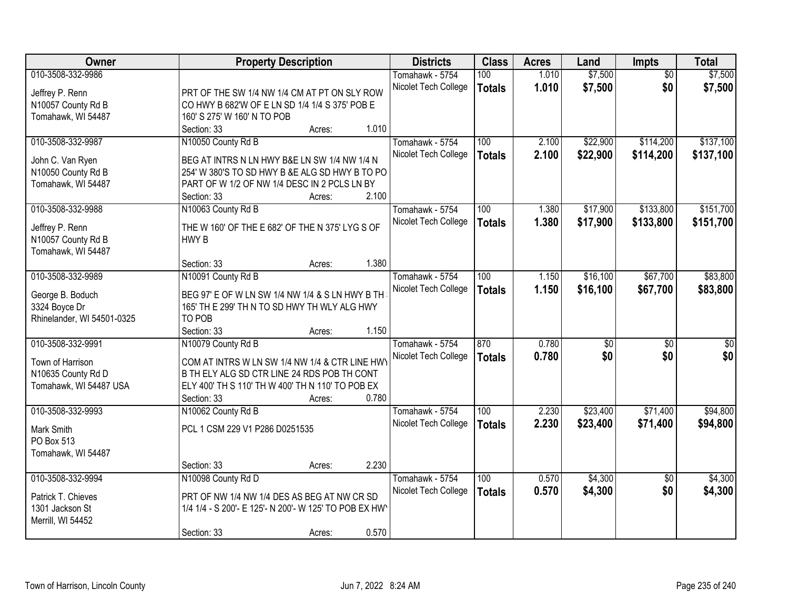| Owner                      |                                                       | <b>Property Description</b> |       | <b>Districts</b>     | <b>Class</b>  | <b>Acres</b> | Land            | Impts           | <b>Total</b> |
|----------------------------|-------------------------------------------------------|-----------------------------|-------|----------------------|---------------|--------------|-----------------|-----------------|--------------|
| 010-3508-332-9986          |                                                       |                             |       | Tomahawk - 5754      | 100           | 1.010        | \$7,500         | $\overline{50}$ | \$7,500      |
| Jeffrey P. Renn            | PRT OF THE SW 1/4 NW 1/4 CM AT PT ON SLY ROW          |                             |       | Nicolet Tech College | <b>Totals</b> | 1.010        | \$7,500         | \$0             | \$7,500      |
| N10057 County Rd B         | CO HWY B 682'W OF E LN SD 1/4 1/4 S 375' POB E        |                             |       |                      |               |              |                 |                 |              |
| Tomahawk, WI 54487         | 160' S 275' W 160' N TO POB                           |                             |       |                      |               |              |                 |                 |              |
|                            | Section: 33                                           | Acres:                      | 1.010 |                      |               |              |                 |                 |              |
| 010-3508-332-9987          | N10050 County Rd B                                    |                             |       | Tomahawk - 5754      | 100           | 2.100        | \$22,900        | \$114,200       | \$137,100    |
|                            |                                                       |                             |       | Nicolet Tech College | <b>Totals</b> | 2.100        | \$22,900        | \$114,200       | \$137,100    |
| John C. Van Ryen           | BEG AT INTRS N LN HWY B&E LN SW 1/4 NW 1/4 N          |                             |       |                      |               |              |                 |                 |              |
| N10050 County Rd B         | 254' W 380'S TO SD HWY B &E ALG SD HWY B TO PO        |                             |       |                      |               |              |                 |                 |              |
| Tomahawk, WI 54487         | PART OF W 1/2 OF NW 1/4 DESC IN 2 PCLS LN BY          |                             |       |                      |               |              |                 |                 |              |
|                            | Section: 33                                           | Acres:                      | 2.100 |                      |               |              |                 |                 |              |
| 010-3508-332-9988          | N10063 County Rd B                                    |                             |       | Tomahawk - 5754      | 100           | 1.380        | \$17,900        | \$133,800       | \$151,700    |
| Jeffrey P. Renn            | THE W 160' OF THE E 682' OF THE N 375' LYG S OF       |                             |       | Nicolet Tech College | <b>Totals</b> | 1.380        | \$17,900        | \$133,800       | \$151,700    |
| N10057 County Rd B         | HWY B                                                 |                             |       |                      |               |              |                 |                 |              |
| Tomahawk, WI 54487         |                                                       |                             |       |                      |               |              |                 |                 |              |
|                            | Section: 33                                           | Acres:                      | 1.380 |                      |               |              |                 |                 |              |
| 010-3508-332-9989          | N10091 County Rd B                                    |                             |       | Tomahawk - 5754      | 100           | 1.150        | \$16,100        | \$67,700        | \$83,800     |
|                            |                                                       |                             |       | Nicolet Tech College | <b>Totals</b> | 1.150        | \$16,100        | \$67,700        | \$83,800     |
| George B. Boduch           | BEG 97' E OF W LN SW 1/4 NW 1/4 & S LN HWY B TH       |                             |       |                      |               |              |                 |                 |              |
| 3324 Boyce Dr              | 165' TH E 299' TH N TO SD HWY TH WLY ALG HWY          |                             |       |                      |               |              |                 |                 |              |
| Rhinelander, WI 54501-0325 | TO POB                                                |                             |       |                      |               |              |                 |                 |              |
|                            | Section: 33                                           | Acres:                      | 1.150 |                      |               |              |                 |                 |              |
| 010-3508-332-9991          | N10079 County Rd B                                    |                             |       | Tomahawk - 5754      | 870           | 0.780        | $\overline{60}$ | $\overline{50}$ | \$0          |
| Town of Harrison           | COM AT INTRS W LN SW 1/4 NW 1/4 & CTR LINE HWY        |                             |       | Nicolet Tech College | <b>Totals</b> | 0.780        | \$0             | \$0             | \$0          |
| N10635 County Rd D         | B TH ELY ALG SD CTR LINE 24 RDS POB TH CONT           |                             |       |                      |               |              |                 |                 |              |
| Tomahawk, WI 54487 USA     | ELY 400' TH S 110' TH W 400' TH N 110' TO POB EX      |                             |       |                      |               |              |                 |                 |              |
|                            | Section: 33                                           | Acres:                      | 0.780 |                      |               |              |                 |                 |              |
| 010-3508-332-9993          | N10062 County Rd B                                    |                             |       | Tomahawk - 5754      | 100           | 2.230        | \$23,400        | \$71,400        | \$94,800     |
|                            |                                                       |                             |       | Nicolet Tech College | <b>Totals</b> | 2.230        | \$23,400        | \$71,400        | \$94,800     |
| Mark Smith                 | PCL 1 CSM 229 V1 P286 D0251535                        |                             |       |                      |               |              |                 |                 |              |
| PO Box 513                 |                                                       |                             |       |                      |               |              |                 |                 |              |
| Tomahawk, WI 54487         |                                                       |                             |       |                      |               |              |                 |                 |              |
|                            | Section: 33                                           | Acres:                      | 2.230 |                      |               |              |                 |                 |              |
| 010-3508-332-9994          | N10098 County Rd D                                    |                             |       | Tomahawk - 5754      | 100           | 0.570        | \$4,300         | $\overline{50}$ | \$4,300      |
| Patrick T. Chieves         | PRT OF NW 1/4 NW 1/4 DES AS BEG AT NW CR SD           |                             |       | Nicolet Tech College | <b>Totals</b> | 0.570        | \$4,300         | \$0             | \$4,300      |
| 1301 Jackson St            | 1/4 1/4 - S 200'- E 125'- N 200'- W 125' TO POB EX HW |                             |       |                      |               |              |                 |                 |              |
| Merrill, WI 54452          |                                                       |                             |       |                      |               |              |                 |                 |              |
|                            | Section: 33                                           | Acres:                      | 0.570 |                      |               |              |                 |                 |              |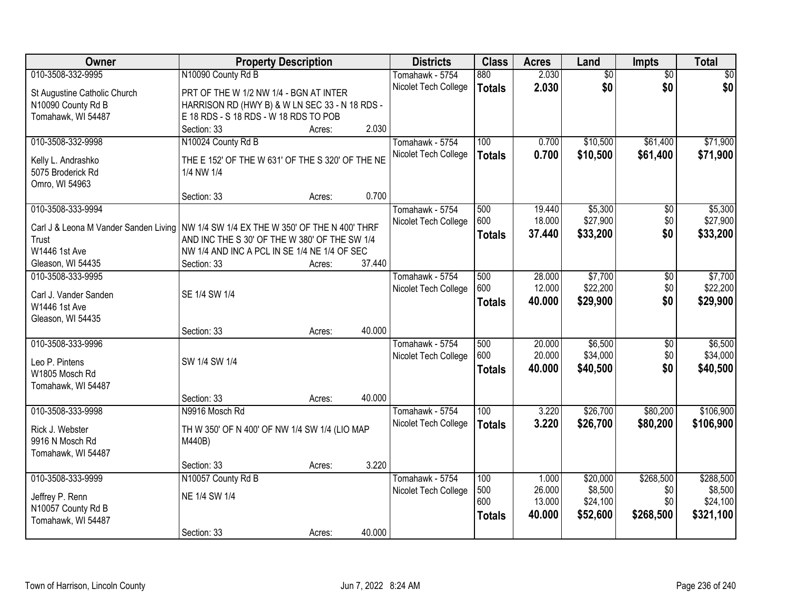| <b>Owner</b>                           | <b>Property Description</b>                      |        |        | <b>Districts</b>     | <b>Class</b>  | <b>Acres</b> | Land            | Impts           | <b>Total</b>    |
|----------------------------------------|--------------------------------------------------|--------|--------|----------------------|---------------|--------------|-----------------|-----------------|-----------------|
| 010-3508-332-9995                      | N10090 County Rd B                               |        |        | Tomahawk - 5754      | 880           | 2.030        | $\overline{50}$ | $\overline{50}$ | $\overline{50}$ |
| St Augustine Catholic Church           | PRT OF THE W 1/2 NW 1/4 - BGN AT INTER           |        |        | Nicolet Tech College | <b>Totals</b> | 2.030        | \$0             | \$0             | \$0             |
| N10090 County Rd B                     | HARRISON RD (HWY B) & W LN SEC 33 - N 18 RDS -   |        |        |                      |               |              |                 |                 |                 |
| Tomahawk, WI 54487                     | E 18 RDS - S 18 RDS - W 18 RDS TO POB            |        |        |                      |               |              |                 |                 |                 |
|                                        | Section: 33                                      | Acres: | 2.030  |                      |               |              |                 |                 |                 |
| 010-3508-332-9998                      | N10024 County Rd B                               |        |        | Tomahawk - 5754      | 100           | 0.700        | \$10,500        | \$61,400        | \$71,900        |
|                                        |                                                  |        |        | Nicolet Tech College | <b>Totals</b> | 0.700        | \$10,500        | \$61,400        | \$71,900        |
| Kelly L. Andrashko                     | THE E 152' OF THE W 631' OF THE S 320' OF THE NE |        |        |                      |               |              |                 |                 |                 |
| 5075 Broderick Rd                      | 1/4 NW 1/4                                       |        |        |                      |               |              |                 |                 |                 |
| Omro, WI 54963                         |                                                  |        |        |                      |               |              |                 |                 |                 |
|                                        | Section: 33                                      | Acres: | 0.700  |                      |               |              |                 |                 |                 |
| 010-3508-333-9994                      |                                                  |        |        | Tomahawk - 5754      | 500           | 19.440       | \$5,300         | \$0             | \$5,300         |
| Carl J & Leona M Vander Sanden Living  | NW 1/4 SW 1/4 EX THE W 350' OF THE N 400' THRF   |        |        | Nicolet Tech College | 600           | 18.000       | \$27,900        | \$0             | \$27,900        |
| Trust                                  | AND INC THE S 30' OF THE W 380' OF THE SW 1/4    |        |        |                      | <b>Totals</b> | 37.440       | \$33,200        | \$0             | \$33,200        |
| W1446 1st Ave                          | NW 1/4 AND INC A PCL IN SE 1/4 NE 1/4 OF SEC     |        |        |                      |               |              |                 |                 |                 |
| Gleason, WI 54435                      | Section: 33                                      | Acres: | 37.440 |                      |               |              |                 |                 |                 |
| 010-3508-333-9995                      |                                                  |        |        | Tomahawk - 5754      | 500           | 28.000       | \$7,700         | \$0             | \$7,700         |
|                                        | SE 1/4 SW 1/4                                    |        |        | Nicolet Tech College | 600           | 12.000       | \$22,200        | \$0             | \$22,200        |
| Carl J. Vander Sanden<br>W1446 1st Ave |                                                  |        |        |                      | <b>Totals</b> | 40.000       | \$29,900        | \$0             | \$29,900        |
| Gleason, WI 54435                      |                                                  |        |        |                      |               |              |                 |                 |                 |
|                                        | Section: 33                                      | Acres: | 40.000 |                      |               |              |                 |                 |                 |
| 010-3508-333-9996                      |                                                  |        |        | Tomahawk - 5754      | 500           | 20.000       | \$6,500         | \$0             | \$6,500         |
|                                        |                                                  |        |        |                      | 600           | 20.000       | \$34,000        | \$0             | \$34,000        |
| Leo P. Pintens                         | SW 1/4 SW 1/4                                    |        |        | Nicolet Tech College |               | 40.000       | \$40,500        | \$0             | \$40,500        |
| W1805 Mosch Rd                         |                                                  |        |        |                      | <b>Totals</b> |              |                 |                 |                 |
| Tomahawk, WI 54487                     |                                                  |        |        |                      |               |              |                 |                 |                 |
|                                        | Section: 33                                      | Acres: | 40.000 |                      |               |              |                 |                 |                 |
| 010-3508-333-9998                      | N9916 Mosch Rd                                   |        |        | Tomahawk - 5754      | 100           | 3.220        | \$26,700        | \$80,200        | \$106,900       |
| Rick J. Webster                        | TH W 350' OF N 400' OF NW 1/4 SW 1/4 (LIO MAP    |        |        | Nicolet Tech College | <b>Totals</b> | 3.220        | \$26,700        | \$80,200        | \$106,900       |
| 9916 N Mosch Rd                        | M440B)                                           |        |        |                      |               |              |                 |                 |                 |
| Tomahawk, WI 54487                     |                                                  |        |        |                      |               |              |                 |                 |                 |
|                                        | Section: 33                                      | Acres: | 3.220  |                      |               |              |                 |                 |                 |
| 010-3508-333-9999                      | N10057 County Rd B                               |        |        | Tomahawk - 5754      | 100           | 1.000        | \$20,000        | \$268,500       | \$288,500       |
|                                        |                                                  |        |        | Nicolet Tech College | 500           | 26.000       | \$8,500         | \$0             | \$8,500         |
| Jeffrey P. Renn                        | NE 1/4 SW 1/4                                    |        |        |                      | 600           | 13.000       | \$24,100        | \$0             | \$24,100        |
| N10057 County Rd B                     |                                                  |        |        |                      | <b>Totals</b> | 40.000       | \$52,600        | \$268,500       | \$321,100       |
| Tomahawk, WI 54487                     |                                                  |        |        |                      |               |              |                 |                 |                 |
|                                        | Section: 33                                      | Acres: | 40.000 |                      |               |              |                 |                 |                 |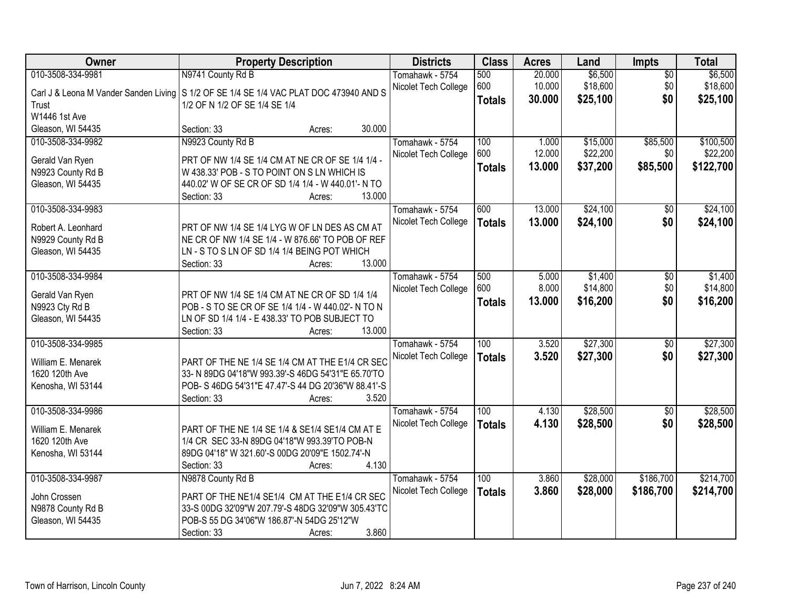| Owner                               | <b>Property Description</b>                                                                               | <b>Districts</b>     | <b>Class</b>         | <b>Acres</b>     | Land                 | Impts           | <b>Total</b>         |
|-------------------------------------|-----------------------------------------------------------------------------------------------------------|----------------------|----------------------|------------------|----------------------|-----------------|----------------------|
| 010-3508-334-9981                   | N9741 County Rd B                                                                                         | Tomahawk - 5754      | 500                  | 20.000           | \$6,500              | $\overline{50}$ | \$6,500              |
|                                     | Carl J & Leona M Vander Sanden Living   S 1/2 OF SE 1/4 SE 1/4 VAC PLAT DOC 473940 AND S                  | Nicolet Tech College | 600<br><b>Totals</b> | 10.000<br>30.000 | \$18,600<br>\$25,100 | \$0<br>\$0      | \$18,600<br>\$25,100 |
| Trust                               | 1/2 OF N 1/2 OF SE 1/4 SE 1/4                                                                             |                      |                      |                  |                      |                 |                      |
| W1446 1st Ave                       |                                                                                                           |                      |                      |                  |                      |                 |                      |
| Gleason, WI 54435                   | 30.000<br>Section: 33<br>Acres:                                                                           |                      |                      |                  |                      |                 |                      |
| 010-3508-334-9982                   | N9923 County Rd B                                                                                         | Tomahawk - 5754      | 100                  | 1.000            | \$15,000             | \$85,500        | \$100,500            |
| Gerald Van Ryen                     | PRT OF NW 1/4 SE 1/4 CM AT NE CR OF SE 1/4 1/4 -                                                          | Nicolet Tech College | 600                  | 12.000           | \$22,200             | \$0             | \$22,200             |
| N9923 County Rd B                   | W 438.33' POB - S TO POINT ON S LN WHICH IS                                                               |                      | <b>Totals</b>        | 13.000           | \$37,200             | \$85,500        | \$122,700            |
| Gleason, WI 54435                   | 440.02' W OF SE CR OF SD 1/4 1/4 - W 440.01'- N TO                                                        |                      |                      |                  |                      |                 |                      |
|                                     | 13.000<br>Section: 33<br>Acres:                                                                           |                      |                      |                  |                      |                 |                      |
| 010-3508-334-9983                   |                                                                                                           | Tomahawk - 5754      | 600                  | 13.000           | \$24,100             | $\overline{50}$ | \$24,100             |
| Robert A. Leonhard                  | PRT OF NW 1/4 SE 1/4 LYG W OF LN DES AS CM AT                                                             | Nicolet Tech College | <b>Totals</b>        | 13.000           | \$24,100             | \$0             | \$24,100             |
| N9929 County Rd B                   | NE CR OF NW 1/4 SE 1/4 - W 876.66' TO POB OF REF                                                          |                      |                      |                  |                      |                 |                      |
| Gleason, WI 54435                   | LN - S TO S LN OF SD 1/4 1/4 BEING POT WHICH                                                              |                      |                      |                  |                      |                 |                      |
|                                     | 13.000<br>Section: 33<br>Acres:                                                                           |                      |                      |                  |                      |                 |                      |
| 010-3508-334-9984                   |                                                                                                           | Tomahawk - 5754      | 500                  | 5.000            | \$1,400              | \$0             | \$1,400              |
| Gerald Van Ryen                     | PRT OF NW 1/4 SE 1/4 CM AT NE CR OF SD 1/4 1/4                                                            | Nicolet Tech College | 600                  | 8.000            | \$14,800             | \$0             | \$14,800             |
| N9923 Cty Rd B                      | POB - S TO SE CR OF SE 1/4 1/4 - W 440.02'- N TO N                                                        |                      | <b>Totals</b>        | 13.000           | \$16,200             | \$0             | \$16,200             |
| Gleason, WI 54435                   | LN OF SD 1/4 1/4 - E 438.33' TO POB SUBJECT TO                                                            |                      |                      |                  |                      |                 |                      |
|                                     | 13.000<br>Section: 33<br>Acres:                                                                           |                      |                      |                  |                      |                 |                      |
| 010-3508-334-9985                   |                                                                                                           | Tomahawk - 5754      | 100                  | 3.520            | \$27,300             | $\overline{50}$ | \$27,300             |
|                                     |                                                                                                           | Nicolet Tech College | <b>Totals</b>        | 3.520            | \$27,300             | \$0             | \$27,300             |
| William E. Menarek                  | PART OF THE NE 1/4 SE 1/4 CM AT THE E1/4 CR SEC                                                           |                      |                      |                  |                      |                 |                      |
| 1620 120th Ave<br>Kenosha, WI 53144 | 33- N 89DG 04'18"W 993.39'-S 46DG 54'31"E 65.70'TO<br>POB- S 46DG 54'31"E 47.47'-S 44 DG 20'36"W 88.41'-S |                      |                      |                  |                      |                 |                      |
|                                     | Section: 33<br>3.520<br>Acres:                                                                            |                      |                      |                  |                      |                 |                      |
| 010-3508-334-9986                   |                                                                                                           | Tomahawk - 5754      | 100                  | 4.130            | \$28,500             | $\overline{50}$ | \$28,500             |
|                                     |                                                                                                           | Nicolet Tech College | <b>Totals</b>        | 4.130            | \$28,500             | \$0             | \$28,500             |
| William E. Menarek                  | PART OF THE NE 1/4 SE 1/4 & SE1/4 SE1/4 CM AT E                                                           |                      |                      |                  |                      |                 |                      |
| 1620 120th Ave                      | 1/4 CR SEC 33-N 89DG 04'18"W 993.39'TO POB-N                                                              |                      |                      |                  |                      |                 |                      |
| Kenosha, WI 53144                   | 89DG 04'18" W 321.60'-S 00DG 20'09"E 1502.74'-N                                                           |                      |                      |                  |                      |                 |                      |
|                                     | 4.130<br>Section: 33<br>Acres:                                                                            |                      |                      |                  |                      |                 |                      |
| 010-3508-334-9987                   | N9878 County Rd B                                                                                         | Tomahawk - 5754      | 100                  | 3.860            | \$28,000             | \$186,700       | \$214,700            |
| John Crossen                        | PART OF THE NE1/4 SE1/4 CM AT THE E1/4 CR SEC                                                             | Nicolet Tech College | <b>Totals</b>        | 3.860            | \$28,000             | \$186,700       | \$214,700            |
| N9878 County Rd B                   | 33-S 00DG 32'09"W 207.79'-S 48DG 32'09"W 305.43'TC                                                        |                      |                      |                  |                      |                 |                      |
| Gleason, WI 54435                   | POB-S 55 DG 34'06"W 186.87'-N 54DG 25'12"W                                                                |                      |                      |                  |                      |                 |                      |
|                                     | 3.860<br>Section: 33<br>Acres:                                                                            |                      |                      |                  |                      |                 |                      |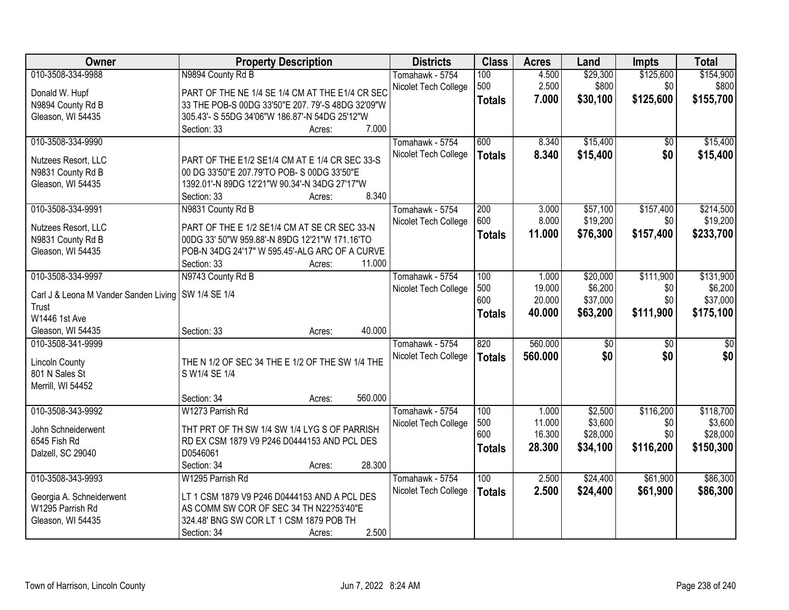| Owner                                  | <b>Property Description</b>                       |                   | <b>Districts</b>     | <b>Class</b>  | <b>Acres</b> | Land            | <b>Impts</b>    | <b>Total</b> |
|----------------------------------------|---------------------------------------------------|-------------------|----------------------|---------------|--------------|-----------------|-----------------|--------------|
| 010-3508-334-9988                      | N9894 County Rd B                                 |                   | Tomahawk - 5754      | 100           | 4.500        | \$29,300        | \$125,600       | \$154,900    |
| Donald W. Hupf                         | PART OF THE NE 1/4 SE 1/4 CM AT THE E1/4 CR SEC   |                   | Nicolet Tech College | 500           | 2.500        | \$800           | \$0             | \$800        |
| N9894 County Rd B                      | 33 THE POB-S 00DG 33'50"E 207. 79'-S 48DG 32'09"W |                   |                      | <b>Totals</b> | 7.000        | \$30,100        | \$125,600       | \$155,700    |
| Gleason, WI 54435                      | 305.43'- S 55DG 34'06"W 186.87'-N 54DG 25'12"W    |                   |                      |               |              |                 |                 |              |
|                                        | Section: 33                                       | 7.000<br>Acres:   |                      |               |              |                 |                 |              |
| 010-3508-334-9990                      |                                                   |                   | Tomahawk - 5754      | 600           | 8.340        | \$15,400        | $\overline{50}$ | \$15,400     |
|                                        |                                                   |                   | Nicolet Tech College | <b>Totals</b> | 8.340        | \$15,400        | \$0             | \$15,400     |
| Nutzees Resort, LLC                    | PART OF THE E1/2 SE1/4 CM AT E 1/4 CR SEC 33-S    |                   |                      |               |              |                 |                 |              |
| N9831 County Rd B                      | 00 DG 33'50"E 207.79'TO POB- S 00DG 33'50"E       |                   |                      |               |              |                 |                 |              |
| Gleason, WI 54435                      | 1392.01'-N 89DG 12'21"W 90.34'-N 34DG 27'17"W     |                   |                      |               |              |                 |                 |              |
|                                        | Section: 33                                       | 8.340<br>Acres:   |                      |               |              |                 |                 |              |
| 010-3508-334-9991                      | N9831 County Rd B                                 |                   | Tomahawk - 5754      | 200           | 3.000        | \$57,100        | \$157,400       | \$214,500    |
| Nutzees Resort, LLC                    | PART OF THE E 1/2 SE1/4 CM AT SE CR SEC 33-N      |                   | Nicolet Tech College | 600           | 8.000        | \$19,200        | \$0             | \$19,200     |
| N9831 County Rd B                      | 00DG 33' 50"W 959.88'-N 89DG 12'21"W 171.16'TO    |                   |                      | <b>Totals</b> | 11.000       | \$76,300        | \$157,400       | \$233,700    |
| Gleason, WI 54435                      | POB-N 34DG 24'17" W 595.45'-ALG ARC OF A CURVE    |                   |                      |               |              |                 |                 |              |
|                                        | Section: 33                                       | 11.000<br>Acres:  |                      |               |              |                 |                 |              |
| 010-3508-334-9997                      | N9743 County Rd B                                 |                   | Tomahawk - 5754      | 100           | 1.000        | \$20,000        | \$111,900       | \$131,900    |
|                                        |                                                   |                   | Nicolet Tech College | 500           | 19.000       | \$6,200         | \$0             | \$6,200      |
| Carl J & Leona M Vander Sanden Living  | SW 1/4 SE 1/4                                     |                   |                      | 600           | 20.000       | \$37,000        | \$0             | \$37,000     |
| Trust<br>W1446 1st Ave                 |                                                   |                   |                      | <b>Totals</b> | 40.000       | \$63,200        | \$111,900       | \$175,100    |
|                                        |                                                   | 40.000            |                      |               |              |                 |                 |              |
| Gleason, WI 54435<br>010-3508-341-9999 | Section: 33                                       | Acres:            |                      | 820           | 560.000      | $\overline{60}$ | $\overline{50}$ | \$0          |
|                                        |                                                   |                   | Tomahawk - 5754      |               |              |                 |                 |              |
| <b>Lincoln County</b>                  | THE N 1/2 OF SEC 34 THE E 1/2 OF THE SW 1/4 THE   |                   | Nicolet Tech College | <b>Totals</b> | 560,000      | \$0             | \$0             | \$0          |
| 801 N Sales St                         | S W1/4 SE 1/4                                     |                   |                      |               |              |                 |                 |              |
| Merrill, WI 54452                      |                                                   |                   |                      |               |              |                 |                 |              |
|                                        | Section: 34                                       | 560.000<br>Acres: |                      |               |              |                 |                 |              |
| 010-3508-343-9992                      | W1273 Parrish Rd                                  |                   | Tomahawk - 5754      | 100           | 1.000        | \$2,500         | \$116,200       | \$118,700    |
| John Schneiderwent                     | THT PRT OF TH SW 1/4 SW 1/4 LYG S OF PARRISH      |                   | Nicolet Tech College | 500           | 11.000       | \$3,600         | \$0             | \$3,600      |
| 6545 Fish Rd                           | RD EX CSM 1879 V9 P246 D0444153 AND PCL DES       |                   |                      | 600           | 16.300       | \$28,000        | \$0             | \$28,000     |
| Dalzell, SC 29040                      | D0546061                                          |                   |                      | <b>Totals</b> | 28.300       | \$34,100        | \$116,200       | \$150,300    |
|                                        | Section: 34                                       | 28.300<br>Acres:  |                      |               |              |                 |                 |              |
| 010-3508-343-9993                      | W1295 Parrish Rd                                  |                   | Tomahawk - 5754      | 100           | 2.500        | \$24,400        | \$61,900        | \$86,300     |
|                                        |                                                   |                   | Nicolet Tech College | <b>Totals</b> | 2.500        | \$24,400        | \$61,900        | \$86,300     |
| Georgia A. Schneiderwent               | LT 1 CSM 1879 V9 P246 D0444153 AND A PCL DES      |                   |                      |               |              |                 |                 |              |
| W1295 Parrish Rd                       | AS COMM SW COR OF SEC 34 TH N22?53'40"E           |                   |                      |               |              |                 |                 |              |
| Gleason, WI 54435                      | 324.48' BNG SW COR LT 1 CSM 1879 POB TH           |                   |                      |               |              |                 |                 |              |
|                                        | Section: 34                                       | 2.500<br>Acres:   |                      |               |              |                 |                 |              |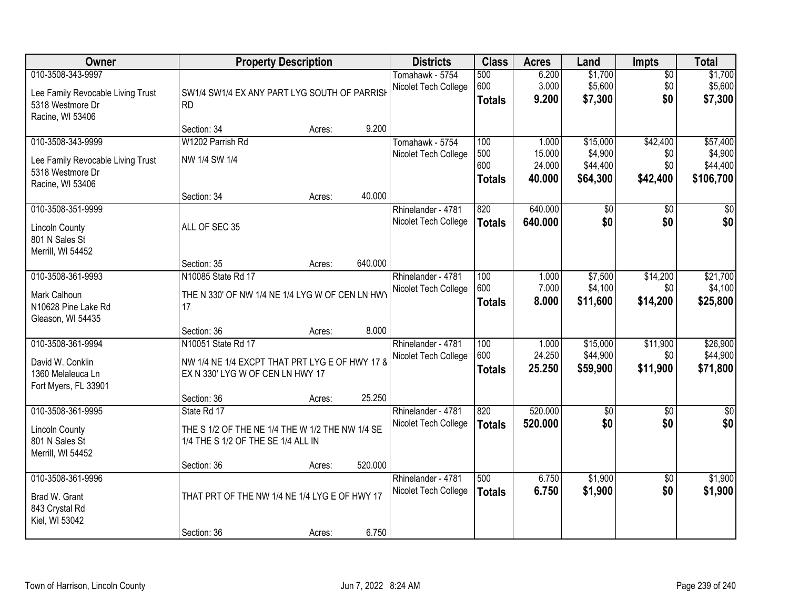| <b>Owner</b>                                                                       |                                                                                                          | <b>Property Description</b> |         | <b>Districts</b>                           | <b>Class</b>                | <b>Acres</b>               | Land                             | <b>Impts</b>                  | <b>Total</b>                     |
|------------------------------------------------------------------------------------|----------------------------------------------------------------------------------------------------------|-----------------------------|---------|--------------------------------------------|-----------------------------|----------------------------|----------------------------------|-------------------------------|----------------------------------|
| 010-3508-343-9997<br>Lee Family Revocable Living Trust<br>5318 Westmore Dr         | SW1/4 SW1/4 EX ANY PART LYG SOUTH OF PARRISH<br><b>RD</b>                                                |                             |         | Tomahawk - 5754<br>Nicolet Tech College    | 500<br>600<br><b>Totals</b> | 6.200<br>3.000<br>9.200    | \$1,700<br>\$5,600<br>\$7,300    | $\overline{50}$<br>\$0<br>\$0 | \$1,700<br>\$5,600<br>\$7,300    |
| Racine, WI 53406                                                                   | Section: 34                                                                                              | Acres:                      | 9.200   |                                            |                             |                            |                                  |                               |                                  |
| 010-3508-343-9999                                                                  | W1202 Parrish Rd                                                                                         |                             |         | Tomahawk - 5754                            | 100                         | 1.000                      | \$15,000                         | \$42,400                      | \$57,400                         |
| Lee Family Revocable Living Trust<br>5318 Westmore Dr                              | NW 1/4 SW 1/4                                                                                            |                             |         | Nicolet Tech College                       | 500<br>600<br><b>Totals</b> | 15.000<br>24.000<br>40.000 | \$4,900<br>\$44,400<br>\$64,300  | \$0<br>\$0<br>\$42,400        | \$4,900<br>\$44,400<br>\$106,700 |
| Racine, WI 53406                                                                   |                                                                                                          |                             |         |                                            |                             |                            |                                  |                               |                                  |
| 010-3508-351-9999                                                                  | Section: 34                                                                                              | Acres:                      | 40.000  |                                            | 820                         | 640.000                    |                                  |                               |                                  |
| <b>Lincoln County</b><br>801 N Sales St                                            | ALL OF SEC 35                                                                                            |                             |         | Rhinelander - 4781<br>Nicolet Tech College | <b>Totals</b>               | 640.000                    | \$0<br>\$0                       | \$0<br>\$0                    | \$0<br>\$0                       |
| Merrill, WI 54452                                                                  |                                                                                                          |                             |         |                                            |                             |                            |                                  |                               |                                  |
|                                                                                    | Section: 35                                                                                              | Acres:                      | 640.000 |                                            |                             |                            |                                  |                               |                                  |
| 010-3508-361-9993                                                                  | N10085 State Rd 17                                                                                       |                             |         | Rhinelander - 4781                         | 100                         | 1.000                      | \$7,500                          | \$14,200                      | \$21,700                         |
| Mark Calhoun<br>N10628 Pine Lake Rd<br>Gleason, WI 54435                           | THE N 330' OF NW 1/4 NE 1/4 LYG W OF CEN LN HWY<br>17                                                    |                             |         | Nicolet Tech College                       | 600<br><b>Totals</b>        | 7.000<br>8.000             | \$4,100<br>\$11,600              | \$0<br>\$14,200               | \$4,100<br>\$25,800              |
|                                                                                    | Section: 36                                                                                              | Acres:                      | 8.000   |                                            |                             |                            |                                  |                               |                                  |
| 010-3508-361-9994<br>David W. Conklin<br>1360 Melaleuca Ln<br>Fort Myers, FL 33901 | N10051 State Rd 17<br>NW 1/4 NE 1/4 EXCPT THAT PRT LYG E OF HWY 17 8<br>EX N 330' LYG W OF CEN LN HWY 17 |                             |         | Rhinelander - 4781<br>Nicolet Tech College | 100<br>600<br><b>Totals</b> | 1.000<br>24.250<br>25.250  | \$15,000<br>\$44,900<br>\$59,900 | \$11,900<br>\$0<br>\$11,900   | \$26,900<br>\$44,900<br>\$71,800 |
|                                                                                    | Section: 36                                                                                              | Acres:                      | 25.250  |                                            |                             |                            |                                  |                               |                                  |
| 010-3508-361-9995                                                                  | State Rd 17                                                                                              |                             |         | Rhinelander - 4781                         | 820                         | 520.000                    | \$0                              | \$0                           | $\sqrt{50}$                      |
| <b>Lincoln County</b><br>801 N Sales St<br>Merrill, WI 54452                       | THE S 1/2 OF THE NE 1/4 THE W 1/2 THE NW 1/4 SE<br>1/4 THE S 1/2 OF THE SE 1/4 ALL IN                    |                             |         | Nicolet Tech College                       | <b>Totals</b>               | 520.000                    | \$0                              | \$0                           | \$0                              |
|                                                                                    | Section: 36                                                                                              | Acres:                      | 520.000 |                                            |                             |                            |                                  |                               |                                  |
| 010-3508-361-9996<br>Brad W. Grant<br>843 Crystal Rd                               | THAT PRT OF THE NW 1/4 NE 1/4 LYG E OF HWY 17                                                            |                             |         | Rhinelander - 4781<br>Nicolet Tech College | 500<br><b>Totals</b>        | 6.750<br>6.750             | \$1,900<br>\$1,900               | $\overline{50}$<br>\$0        | \$1,900<br>\$1,900               |
| Kiel, WI 53042                                                                     | Section: 36                                                                                              | Acres:                      | 6.750   |                                            |                             |                            |                                  |                               |                                  |